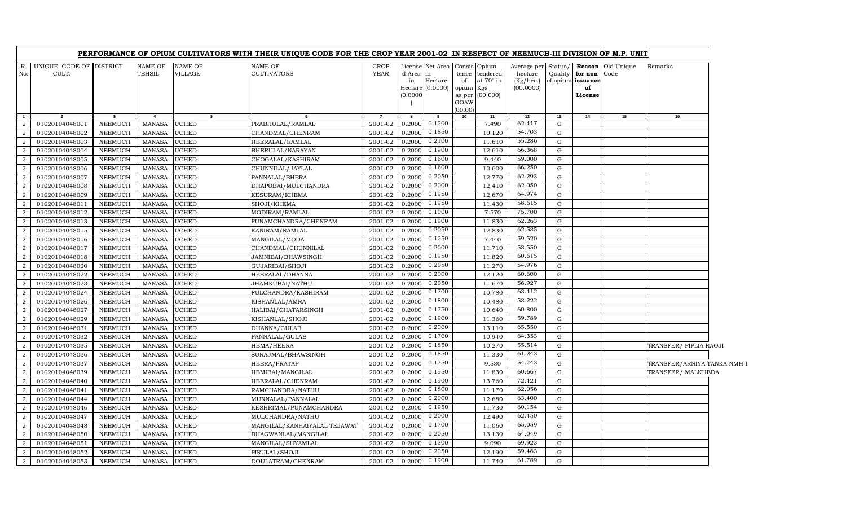|                     |                                  |                                  |                                |                                  | PERFORMANCE OF OPIUM CULTIVATORS WITH THEIR UNIQUE CODE FOR THE CROP YEAR 2001-02 IN RESPECT OF NEEMUCH-III DIVISION OF M.P. UNIT |                            |                             |                                                              |                                         |                                                          |                                                  |                    |                                                    |                          |                             |  |
|---------------------|----------------------------------|----------------------------------|--------------------------------|----------------------------------|-----------------------------------------------------------------------------------------------------------------------------------|----------------------------|-----------------------------|--------------------------------------------------------------|-----------------------------------------|----------------------------------------------------------|--------------------------------------------------|--------------------|----------------------------------------------------|--------------------------|-----------------------------|--|
| $R_{\cdot}$<br>No.  | UNIQUE CODE OF DISTRICT<br>CULT. |                                  | <b>NAME OF</b><br>TEHSIL       | <b>NAME OF</b><br><b>VILLAGE</b> | NAME OF<br>CULTIVATORS                                                                                                            | <b>CROP</b><br><b>YEAR</b> | d Area in<br>in<br>(0.0000) | License Net Area Consis Opium<br>Hectare<br>Hectare (0.0000) | tence<br>of<br>opium<br>GOAW<br>(00.00) | tendered<br>at $70^\circ$ in<br>Kgs<br>as per $(00.000)$ | Average per<br>hectare<br>(Kg/hec.)<br>(00.0000) | Status/<br>Quality | for non-Code<br>of opium issuance<br>of<br>License | <b>Reason</b> Old Unique | Remarks                     |  |
| $\mathbf{1}$        | $\overline{2}$                   | $\overline{\mathbf{3}}$          | $\overline{\mathbf{4}}$        | $5^{\circ}$                      |                                                                                                                                   | $\overline{7}$             | 8                           | 9                                                            | 10                                      | 11                                                       | 12                                               | 13                 | 14                                                 | 15                       | 16                          |  |
| $\overline{2}$      | 01020104048001                   | <b>NEEMUCH</b>                   | <b>MANASA</b>                  | <b>UCHED</b>                     | PRABHULAL/RAMLAL                                                                                                                  | 2001-02                    | 0.2000                      | 0.1200                                                       |                                         | 7.490                                                    | 62.417                                           | G                  |                                                    |                          |                             |  |
| $\overline{2}$      | 01020104048002                   | <b>NEEMUCH</b>                   | <b>MANASA</b>                  | <b>UCHED</b>                     | CHANDMAL/CHENRAM                                                                                                                  | 2001-02                    | 0.2000                      | 0.1850                                                       |                                         | 10.120                                                   | 54.703                                           | G                  |                                                    |                          |                             |  |
| 2                   | 01020104048003                   | <b>NEEMUCH</b>                   | <b>MANASA</b>                  | <b>UCHED</b>                     | HEERALAL/RAMLAL                                                                                                                   | 2001-02                    | 0.2000                      | 0.2100                                                       |                                         | 11.610                                                   | 55.286                                           | G                  |                                                    |                          |                             |  |
| 2                   | 01020104048004                   | <b>NEEMUCH</b>                   | <b>MANASA</b>                  | <b>UCHED</b>                     | BHERULAL/NARAYAN                                                                                                                  | 2001-02                    | 0.2000                      | 0.1900                                                       |                                         | 12.610                                                   | 66.368                                           | G                  |                                                    |                          |                             |  |
| $\overline{a}$      | 01020104048005                   | <b>NEEMUCH</b>                   | <b>MANASA</b>                  | <b>UCHED</b>                     | CHOGALAL/KASHIRAM                                                                                                                 | 2001-02                    | 0.2000                      | 0.1600                                                       |                                         | 9.440                                                    | 59.000                                           | $\mathbf G$        |                                                    |                          |                             |  |
| $\overline{2}$      | 01020104048006                   | <b>NEEMUCH</b>                   | <b>MANASA</b>                  | <b>UCHED</b>                     | CHUNNILAL/JAYLAL                                                                                                                  | 2001-02                    | 0.2000                      | 0.1600                                                       |                                         | 10.600                                                   | 66.250                                           | G                  |                                                    |                          |                             |  |
| $\overline{2}$      | 01020104048007                   | <b>NEEMUCH</b>                   | <b>MANASA</b>                  | <b>UCHED</b>                     | PANNALAL/BHERA                                                                                                                    | 2001-02                    | 0.2000                      | 0.2050                                                       |                                         | 12.770                                                   | 62.293                                           | G                  |                                                    |                          |                             |  |
| 2                   | 01020104048008                   | <b>NEEMUCH</b>                   | <b>MANASA</b>                  | <b>UCHED</b>                     | DHAPUBAI/MULCHANDRA                                                                                                               | 2001-02                    | 0.2000                      | 0.2000                                                       |                                         | 12.410                                                   | 62.050                                           | G                  |                                                    |                          |                             |  |
| 2                   | 01020104048009                   | <b>NEEMUCH</b>                   | <b>MANASA</b>                  | <b>UCHED</b>                     | KESURAM/KHEMA                                                                                                                     | 2001-02                    | 0.2000                      | 0.1950                                                       |                                         | 12.670                                                   | 64.974                                           | G                  |                                                    |                          |                             |  |
| 2                   | 01020104048011                   | <b>NEEMUCH</b>                   | <b>MANASA</b>                  | <b>UCHED</b>                     | SHOJI/KHEMA                                                                                                                       | 2001-02                    | 0.2000                      | 0.1950                                                       |                                         | 11.430                                                   | 58.615                                           | $\mathbf G$        |                                                    |                          |                             |  |
| 2                   | 01020104048012                   | <b>NEEMUCH</b>                   | <b>MANASA</b>                  | <b>UCHED</b>                     | MODIRAM/RAMLAL                                                                                                                    | 2001-02                    | 0.2000                      | 0.1000                                                       |                                         | 7.570                                                    | 75.700                                           | $\mathbf G$        |                                                    |                          |                             |  |
| $\overline{2}$      | 01020104048013                   | NEEMUCH                          | <b>MANASA</b>                  | <b>UCHED</b>                     | PUNAMCHANDRA/CHENRAM                                                                                                              | 2001-02                    | 0.2000                      | 0.1900                                                       |                                         | 11.830                                                   | 62.263                                           | G                  |                                                    |                          |                             |  |
| 2                   | 01020104048015                   | <b>NEEMUCH</b>                   | <b>MANASA</b>                  | <b>UCHED</b>                     | KANIRAM/RAMLAL                                                                                                                    | 2001-02                    | 0.2000                      | 0.2050                                                       |                                         | 12.830                                                   | 62.585                                           | $\mathbf G$        |                                                    |                          |                             |  |
| 2                   | 01020104048016                   | <b>NEEMUCH</b>                   | <b>MANASA</b>                  | <b>UCHED</b>                     | MANGILAL/MODA                                                                                                                     | 2001-02                    | 0.2000                      | 0.1250                                                       |                                         | 7.440                                                    | 59.520                                           | G                  |                                                    |                          |                             |  |
| 2                   | 01020104048017                   | <b>NEEMUCH</b>                   | <b>MANASA</b>                  | <b>UCHED</b>                     | CHANDMAL/CHUNNILAL                                                                                                                | 2001-02                    | 0.2000                      | 0.2000                                                       |                                         | 11.710                                                   | 58.550                                           | G                  |                                                    |                          |                             |  |
| 2                   | 01020104048018                   | <b>NEEMUCH</b>                   | <b>MANASA</b>                  | <b>UCHED</b>                     | JAMNIBAI/BHAWSINGH                                                                                                                | 2001-02                    | 0.2000                      | 0.1950                                                       |                                         | 11.820                                                   | 60.615                                           | G                  |                                                    |                          |                             |  |
| $\overline{2}$      | 01020104048020                   | <b>NEEMUCH</b>                   | <b>MANASA</b>                  | <b>UCHED</b>                     | GUJARIBAI/SHOJI                                                                                                                   | 2001-02                    | 0.2000                      | 0.2050                                                       |                                         | 11.270                                                   | 54.976                                           | G                  |                                                    |                          |                             |  |
| $\overline{2}$      | 01020104048022                   | <b>NEEMUCH</b>                   | <b>MANASA</b>                  | <b>UCHED</b>                     | HEERALAL/DHANNA                                                                                                                   | 2001-02                    | 0.2000                      | 0.2000                                                       |                                         | 12.120                                                   | 60.600                                           | G                  |                                                    |                          |                             |  |
| 2                   | 01020104048023                   | <b>NEEMUCH</b>                   | <b>MANASA</b>                  | <b>UCHED</b>                     | JHAMKUBAI/NATHU                                                                                                                   | 2001-02                    | 0.2000                      | 0.2050                                                       |                                         | 11.670                                                   | 56.927                                           | G                  |                                                    |                          |                             |  |
| $\overline{2}$      | 01020104048024                   | <b>NEEMUCH</b>                   | <b>MANASA</b>                  | <b>UCHED</b>                     | FULCHANDRA/KASHIRAM                                                                                                               | 2001-02                    | 0.2000                      | 0.1700                                                       |                                         | 10.780                                                   | 63.412<br>58.222                                 | $\mathbf G$        |                                                    |                          |                             |  |
| 2                   | 01020104048026                   | <b>NEEMUCH</b>                   | <b>MANASA</b>                  | <b>UCHED</b>                     | KISHANLAL/AMRA                                                                                                                    | 2001-02                    | 0.2000                      | 0.1800<br>0.1750                                             |                                         | 10.480                                                   |                                                  | G                  |                                                    |                          |                             |  |
| 2                   | 01020104048027                   | <b>NEEMUCH</b>                   | <b>MANASA</b>                  | <b>UCHED</b>                     | HALIBAI/CHATARSINGH                                                                                                               | 2001-02                    | 0.2000                      |                                                              |                                         | 10.640                                                   | 60.800<br>59.789                                 | G                  |                                                    |                          |                             |  |
| $\overline{2}$      | 01020104048029                   | <b>NEEMUCH</b>                   | <b>MANASA</b>                  | <b>UCHED</b>                     | KISHANLAL/SHOJI                                                                                                                   | 2001-02                    | 0.2000                      | 0.1900<br>0.2000                                             |                                         | 11.360                                                   | 65.550                                           | $\mathbf G$        |                                                    |                          |                             |  |
| $\overline{2}$      | 01020104048031                   | NEEMUCH                          | <b>MANASA</b>                  | <b>UCHED</b>                     | DHANNA/GULAB                                                                                                                      | 2001-02                    | 0.2000                      | 0.1700                                                       |                                         | 13.110                                                   | 64.353                                           | G<br>$\mathbf G$   |                                                    |                          |                             |  |
| 2<br>2              | 01020104048032                   | <b>NEEMUCH</b>                   | <b>MANASA</b>                  | <b>UCHED</b>                     | PANNALAL/GULAB                                                                                                                    | 2001-02                    | 0.2000                      | 0.1850                                                       |                                         | 10.940                                                   | 55.514                                           |                    |                                                    |                          |                             |  |
|                     | 01020104048035                   | <b>NEEMUCH</b>                   | <b>MANASA</b>                  | <b>UCHED</b>                     | HEMA/HEERA                                                                                                                        | 2001-02                    | 0.2000                      | 0.1850                                                       |                                         | 10.270                                                   | 61.243                                           | $\mathbf G$<br>G   |                                                    |                          | TRANSFER/ PIPLIA RAOJI      |  |
| $\overline{2}$<br>2 | 01020104048036                   | <b>NEEMUCH</b>                   | <b>MANASA</b>                  | <b>UCHED</b>                     | SURAJMAL/BHAWSINGH                                                                                                                | 2001-02                    | 0.2000                      | 0.1750                                                       |                                         | 11.330                                                   | 54.743                                           | G                  |                                                    |                          |                             |  |
| 2                   | 01020104048037                   | <b>NEEMUCH</b>                   | <b>MANASA</b>                  | <b>UCHED</b>                     | HEERA/PRATAP                                                                                                                      | 2001-02                    | 0.2000                      | 0.1950                                                       |                                         | 9.580                                                    | 60.667                                           | G                  |                                                    |                          | TRANSFER/ARNIYA TANKA NMH-1 |  |
| 2                   | 01020104048039<br>01020104048040 | <b>NEEMUCH</b><br><b>NEEMUCH</b> | <b>MANASA</b><br><b>MANASA</b> | <b>UCHED</b><br><b>UCHED</b>     | HEMIBAI/MANGILAL                                                                                                                  | 2001-02<br>2001-02         | 0.2000<br>0.2000            | 0.1900                                                       |                                         | 11.830<br>13.760                                         | 72.421                                           | G                  |                                                    |                          | TRANSFER/MALKHEDA           |  |
| 2                   | 01020104048041                   | <b>NEEMUCH</b>                   | <b>MANASA</b>                  | <b>UCHED</b>                     | HEERALAL/CHENRAM                                                                                                                  | 2001-02                    | 0.2000                      | 0.1800                                                       |                                         | 11.170                                                   | 62.056                                           | G                  |                                                    |                          |                             |  |
| $\overline{2}$      | 01020104048044                   | <b>NEEMUCH</b>                   | <b>MANASA</b>                  | <b>UCHED</b>                     | RAMCHANDRA/NATHU<br>MUNNALAL/PANNALAL                                                                                             | 2001-02                    | 0.2000                      | 0.2000                                                       |                                         | 12.680                                                   | 63.400                                           | $\mathbf G$        |                                                    |                          |                             |  |
| $\overline{2}$      | 01020104048046                   | <b>NEEMUCH</b>                   | <b>MANASA</b>                  | <b>UCHED</b>                     | KESHRIMAL/PUNAMCHANDRA                                                                                                            | 2001-02                    | 0.2000                      | 0.1950                                                       |                                         | 11.730                                                   | 60.154                                           | G                  |                                                    |                          |                             |  |
| 2                   | 01020104048047                   | <b>NEEMUCH</b>                   | <b>MANASA</b>                  | <b>UCHED</b>                     | MULCHANDRA/NATHU                                                                                                                  | 2001-02                    | 0.2000                      | 0.2000                                                       |                                         | 12.490                                                   | 62.450                                           | G                  |                                                    |                          |                             |  |
| 2                   | 01020104048048                   | <b>NEEMUCH</b>                   | <b>MANASA</b>                  | <b>UCHED</b>                     | MANGILAL/KANHAIYALAL TEJAWAT                                                                                                      | 2001-02                    | 0.2000                      | 0.1700                                                       |                                         | 11.060                                                   | 65.059                                           | G                  |                                                    |                          |                             |  |
| $\overline{a}$      | 01020104048050                   | <b>NEEMUCH</b>                   | <b>MANASA</b>                  | <b>UCHED</b>                     | BHAGWANLAL/MANGILAL                                                                                                               | 2001-02                    | 0.2000                      | 0.2050                                                       |                                         | 13.130                                                   | 64.049                                           | G                  |                                                    |                          |                             |  |
| 2                   | 01020104048051                   | <b>NEEMUCH</b>                   | <b>MANASA</b>                  | <b>UCHED</b>                     | MANGILAL/SHYAMLAL                                                                                                                 | 2001-02                    | 0.2000                      | 0.1300                                                       |                                         | 9.090                                                    | 69.923                                           | G                  |                                                    |                          |                             |  |
| $\overline{2}$      | 01020104048052                   | <b>NEEMUCH</b>                   | <b>MANASA</b>                  | <b>UCHED</b>                     | PIRULAL/SHOJI                                                                                                                     | 2001-02                    | 0.2000                      | 0.2050                                                       |                                         | 12.190                                                   | 59.463                                           | G                  |                                                    |                          |                             |  |
| $\overline{a}$      | 01020104048053                   | NEEMUCH                          | MANASA                         | <b>UCHED</b>                     | DOULATRAM/CHENRAM                                                                                                                 | 2001-02                    | 0.2000                      | 0.1900                                                       |                                         | 11.740                                                   | 61.789                                           | G                  |                                                    |                          |                             |  |
|                     |                                  |                                  |                                |                                  |                                                                                                                                   |                            |                             |                                                              |                                         |                                                          |                                                  |                    |                                                    |                          |                             |  |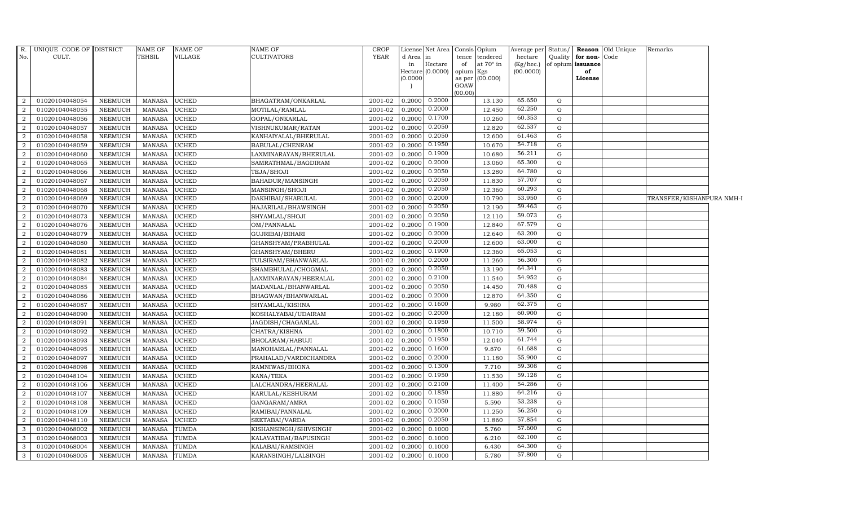| R.             | UNIQUE CODE OF DISTRICT |                | NAME OF       | <b>NAME OF</b> | NAME OF                | CROP        |           |                             | License Net Area Consis Opium          | Average per            | Status/     |                         | <b>Reason</b> Old Unique | Remarks                   |  |
|----------------|-------------------------|----------------|---------------|----------------|------------------------|-------------|-----------|-----------------------------|----------------------------------------|------------------------|-------------|-------------------------|--------------------------|---------------------------|--|
| No.            | CULT.                   |                | <b>TEHSIL</b> | VILLAGE        | CULTIVATORS            | <b>YEAR</b> | d Area in |                             | tendered<br>tence                      | hectare                |             | Quality for non-Code    |                          |                           |  |
|                |                         |                |               |                |                        |             | in        | Hectare<br>Hectare (0.0000) | of<br>at $70^\circ$ in<br>opium<br>Kgs | (Kg/hec.)<br>(00.0000) |             | of opium issuance<br>of |                          |                           |  |
|                |                         |                |               |                |                        |             | (0.0000)  |                             | (00.000)<br>as per                     |                        |             | License                 |                          |                           |  |
|                |                         |                |               |                |                        |             |           |                             | GOAW                                   |                        |             |                         |                          |                           |  |
|                |                         |                |               |                |                        |             |           |                             | (00.00)                                |                        |             |                         |                          |                           |  |
| 2              | 01020104048054          | NEEMUCH        | MANASA        | <b>UCHED</b>   | BHAGATRAM/ONKARLAL     | 2001-02     |           | 0.2000 0.2000               | 13.130                                 | 65.650                 | G           |                         |                          |                           |  |
| 2              | 01020104048055          | NEEMUCH        | <b>MANASA</b> | <b>UCHED</b>   | MOTILAL/RAMLAL         | 2001-02     |           | 0.2000 0.2000               | 12.450                                 | 62.250                 | G           |                         |                          |                           |  |
| 2              | 01020104048056          | NEEMUCH        | <b>MANASA</b> | UCHED          | GOPAL/ONKARLAL         | 2001-02     | 0.2000    | 0.1700                      | 10.260                                 | 60.353                 | G           |                         |                          |                           |  |
| $\overline{2}$ | 01020104048057          | <b>NEEMUCH</b> | <b>MANASA</b> | <b>UCHED</b>   | VISHNUKUMAR/RATAN      | 2001-02     | 0.2000    | 0.2050                      | 12.820                                 | 62.537                 | G           |                         |                          |                           |  |
| $\overline{a}$ | 01020104048058          | NEEMUCH        | <b>MANASA</b> | UCHED          | KANHAIYALAL/BHERULAL   | 2001-02     | 0.2000    | 0.2050                      | 12.600                                 | 61.463                 | ${\rm G}$   |                         |                          |                           |  |
| 2              | 01020104048059          | NEEMUCH        | <b>MANASA</b> | UCHED          | BABULAL/CHENRAM        | $2001 - 02$ | 0.2000    | 0.1950                      | 10.670                                 | 54.718                 | G           |                         |                          |                           |  |
| 2              | 01020104048060          | <b>NEEMUCH</b> | <b>MANASA</b> | <b>UCHED</b>   | LAXMINARAYAN/BHERULAL  | 2001-02     | 0.2000    | 0.1900                      | 10.680                                 | 56.211                 | G           |                         |                          |                           |  |
| 2              | 01020104048065          | NEEMUCH        | <b>MANASA</b> | UCHED          | SAMRATHMAL/BAGDIRAM    | 2001-02     | 0.2000    | 0.2000                      | 13.060                                 | 65.300                 | ${\rm G}$   |                         |                          |                           |  |
| $\overline{2}$ | 01020104048066          | <b>NEEMUCH</b> | <b>MANASA</b> | <b>UCHED</b>   | TEJA/SHOJI             | 2001-02     | 0.2000    | 0.2050                      | 13.280                                 | 64.780                 | $\mathbf G$ |                         |                          |                           |  |
| $\overline{2}$ | 01020104048067          | <b>NEEMUCH</b> | <b>MANASA</b> | UCHED          | BAHADUR/MANSINGH       | 2001-02     | 0.2000    | 0.2050                      | 11.830                                 | 57.707                 | G           |                         |                          |                           |  |
| 2              | 01020104048068          | <b>NEEMUCH</b> | <b>MANASA</b> | <b>UCHED</b>   | MANSINGH/SHOJI         | 2001-02     | 0.2000    | 0.2050                      | 12.360                                 | 60.293                 | $\mathbf G$ |                         |                          |                           |  |
| 2              | 01020104048069          | <b>NEEMUCH</b> | MANASA        | <b>UCHED</b>   | DAKHIBAI/SHABULAL      | 2001-02     | 0.2000    | 0.2000                      | 10.790                                 | 53.950                 | $\mathbf G$ |                         |                          | TRANSFER/KISHANPURA NMH-I |  |
| $\overline{2}$ | 01020104048070          | NEEMUCH        | <b>MANASA</b> | UCHED          | HAJARILAL/BHAWSINGH    | 2001-02     | 0.2000    | 0.2050                      | 12.190                                 | 59.463                 | ${\rm G}$   |                         |                          |                           |  |
| $\overline{2}$ | 01020104048073          | <b>NEEMUCH</b> | <b>MANASA</b> | <b>UCHED</b>   | SHYAMLAL/SHOJI         | 2001-02     | 0.2000    | 0.2050                      | 12.110                                 | 59.073                 | $\mathbf G$ |                         |                          |                           |  |
| 2              | 01020104048076          | <b>NEEMUCH</b> | <b>MANASA</b> | UCHED          | OM/PANNALAL            | 2001-02     | 0.2000    | 0.1900                      | 12.840                                 | 67.579                 | G           |                         |                          |                           |  |
| 2              | 01020104048079          | NEEMUCH        | <b>MANASA</b> | <b>UCHED</b>   | GUJRIBAI/BIHARI        | 2001-02     | 0.2000    | 0.2000                      | 12.640                                 | 63.200                 | G           |                         |                          |                           |  |
| 2              | 01020104048080          | NEEMUCH        | <b>MANASA</b> | <b>UCHED</b>   | GHANSHYAM/PRABHULAL    | 2001-02     | 0.2000    | 0.2000                      | 12.600                                 | 63.000                 | G           |                         |                          |                           |  |
| $\overline{2}$ | 01020104048081          | NEEMUCH        | <b>MANASA</b> | UCHED          | GHANSHYAM/BHERU        | 2001-02     | 0.2000    | 0.1900                      | 12.360                                 | 65.053                 | ${\rm G}$   |                         |                          |                           |  |
| 2              | 01020104048082          | NEEMUCH        | <b>MANASA</b> | <b>UCHED</b>   | TULSIRAM/BHANWARLAL    | 2001-02     | 0.2000    | 0.2000                      | 11.260                                 | 56.300                 | $\mathbf G$ |                         |                          |                           |  |
| 2              | 01020104048083          | <b>NEEMUCH</b> | <b>MANASA</b> | UCHED          | SHAMBHULAL/CHOGMAL     | $2001 - 02$ | 0.2000    | 0.2050                      | 13.190                                 | 64.341                 | G           |                         |                          |                           |  |
| 2              | 01020104048084          | NEEMUCH        | <b>MANASA</b> | <b>UCHED</b>   | LAXMINARAYAN/HEERALAL  | 2001-02     | 0.2000    | 0.2100                      | 11.540                                 | 54.952                 | G           |                         |                          |                           |  |
| 2              | 01020104048085          | NEEMUCH        | <b>MANASA</b> | <b>UCHED</b>   | MADANLAL/BHANWARLAL    | 2001-02     | 0.2000    | 0.2050                      | 14.450                                 | 70.488                 | $\mathbf G$ |                         |                          |                           |  |
| 2              | 01020104048086          | <b>NEEMUCH</b> | <b>MANASA</b> | <b>UCHED</b>   | BHAGWAN/BHANWARLAL     | 2001-02     |           | $0.2000 \quad 0.2000$       | 12.870                                 | 64.350                 | G           |                         |                          |                           |  |
| 2              | 01020104048087          | <b>NEEMUCH</b> | <b>MANASA</b> | <b>UCHED</b>   | SHYAMLAL/KISHNA        | 2001-02     | 0.2000    | 0.1600                      | 9.980                                  | 62.375                 | ${\rm G}$   |                         |                          |                           |  |
| $\overline{2}$ | 01020104048090          | <b>NEEMUCH</b> | <b>MANASA</b> | UCHED          | KOSHALYABAI/UDAIRAM    | 2001-02     | 0.2000    | 0.2000                      | 12.180                                 | 60.900                 | G           |                         |                          |                           |  |
| 2              | 01020104048091          | NEEMUCH        | <b>MANASA</b> | <b>UCHED</b>   | JAGDISH/CHAGANLAL      | 2001-02     | 0.2000    | 0.1950                      | 11.500                                 | 58.974                 | G           |                         |                          |                           |  |
| $\overline{2}$ | 01020104048092          | NEEMUCH        | <b>MANASA</b> | <b>UCHED</b>   | CHATRA/KISHNA          | 2001-02     | 0.2000    | 0.1800                      | 10.710                                 | 59.500                 | G           |                         |                          |                           |  |
| 2              | 01020104048093          | NEEMUCH        | <b>MANASA</b> | UCHED          | BHOLARAM/HABUJI        | 2001-02     |           | $0.2000$ $0.1950$           | 12.040                                 | 61.744                 | G           |                         |                          |                           |  |
| $\overline{2}$ | 01020104048095          | NEEMUCH        | <b>MANASA</b> | <b>UCHED</b>   | MANOHARLAL/PANNALAL    | 2001-02     | 0.2000    | 0.1600                      | 9.870                                  | 61.688                 | ${\rm G}$   |                         |                          |                           |  |
| $\overline{2}$ | 01020104048097          | <b>NEEMUCH</b> | <b>MANASA</b> | UCHED          | PRAHALAD/VARDICHANDRA  | 2001-02     | 0.2000    | 0.2000                      | 11.180                                 | 55.900                 | G           |                         |                          |                           |  |
| $\overline{2}$ | 01020104048098          | NEEMUCH        | <b>MANASA</b> | UCHED          | RAMNIWAS/BHONA         | 2001-02     | 0.2000    | 0.1300                      | 7.710                                  | 59.308                 | G           |                         |                          |                           |  |
| 2              | 01020104048104          | NEEMUCH        | <b>MANASA</b> | <b>UCHED</b>   | KANA/TEKA              | 2001-02     | 0.2000    | 0.1950                      | 11.530                                 | 59.128                 | G           |                         |                          |                           |  |
| 2              | 01020104048106          | <b>NEEMUCH</b> | MANASA        | <b>UCHED</b>   | LALCHANDRA/HEERALAL    | 2001-02     |           | $0.2000 \mid 0.2100$        | 11.400                                 | 54.286                 | G           |                         |                          |                           |  |
| 2              | 01020104048107          | <b>NEEMUCH</b> | <b>MANASA</b> | <b>UCHED</b>   | KARULAL/KESHURAM       | 2001-02     | 0.2000    | 0.1850                      | 11.880                                 | 64.216                 | ${\rm G}$   |                         |                          |                           |  |
| 2              | 01020104048108          | NEEMUCH        | <b>MANASA</b> | UCHED          | GANGARAM/AMRA          | 2001-02     | 0.2000    | 0.1050                      | 5.590                                  | 53.238                 | G           |                         |                          |                           |  |
| $\overline{2}$ | 01020104048109          | <b>NEEMUCH</b> | <b>MANASA</b> | UCHED          | RAMIBAI/PANNALAL       | 2001-02     | 0.2000    | 0.2000                      | 11.250                                 | 56.250                 | G           |                         |                          |                           |  |
| 2              | 01020104048110          | NEEMUCH        | MANASA        | <b>UCHED</b>   | SEETABAI/VARDA         | 2001-02     | 0.2000    | 0.2050                      | 11.860                                 | 57.854                 | G           |                         |                          |                           |  |
| 3              | 01020104068002          | NEEMUCH        | MANASA        | <b>TUMDA</b>   | KISHANSINGH/SHIVSINGH' | 2001-02     | 0.2000    | 0.1000                      | 5.760                                  | 57.600                 | G           |                         |                          |                           |  |
| 3              | 01020104068003          | NEEMUCH        | <b>MANASA</b> | TUMDA          | KALAVATIBAI/BAPUSINGH  | 2001-02     | 0.2000    | 0.1000                      | 6.210                                  | 62.100                 | G           |                         |                          |                           |  |
| 3              | 01020104068004          | NEEMUCH        | <b>MANASA</b> | TUMDA          | KALABAI/RAMSINGH       | 2001-02     | 0.2000    | 0.1000                      | 6.430                                  | 64.300                 | G           |                         |                          |                           |  |
| 3              | 01020104068005          | <b>NEEMUCH</b> | MANASA        | <b>TUMDA</b>   | KARANSINGH/LALSINGH    | 2001-02     | 0.2000    | 0.1000                      | 5.780                                  | 57.800                 | G           |                         |                          |                           |  |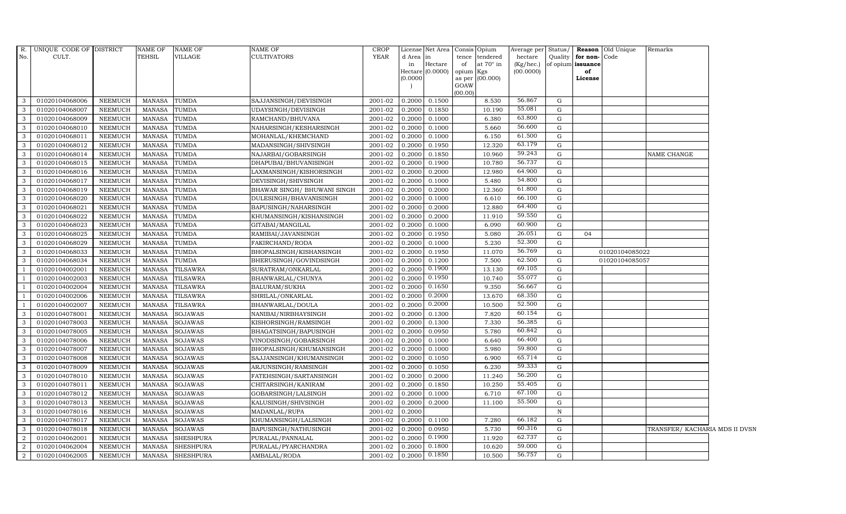| $R$ .          | UNIQUE CODE OF DISTRICT |                | <b>NAME OF</b> | NAME OF          | NAME OF                      | <b>CROP</b> |           | License Net Area Consis Opium |           |                 | Average per Status/ |              |               | Reason Old Unique | Remarks                        |  |
|----------------|-------------------------|----------------|----------------|------------------|------------------------------|-------------|-----------|-------------------------------|-----------|-----------------|---------------------|--------------|---------------|-------------------|--------------------------------|--|
| No.            | CULT.                   |                | <b>TEHSIL</b>  | VILLAGE          | CULTIVATORS                  | <b>YEAR</b> | d Area in |                               |           | tence tendered  | hectare             | Quality      | for non-      | Code              |                                |  |
|                |                         |                |                |                  |                              |             | in        | Hectare                       | of        | at 70° in       | (Kg/hec.)           | of opium     | issuance      |                   |                                |  |
|                |                         |                |                |                  |                              |             | (0.0000)  | Hectare (0.0000)              | opium Kgs | as per (00.000) | (00.0000)           |              | of<br>License |                   |                                |  |
|                |                         |                |                |                  |                              |             |           |                               | GOAW      |                 |                     |              |               |                   |                                |  |
|                |                         |                |                |                  |                              |             |           |                               | (00.00)   |                 |                     |              |               |                   |                                |  |
| 3              | 01020104068006          | NEEMUCH        | MANASA         | TUMDA            | SAJJANSINGH/DEVISINGH        | 2001-02     | 0.2000    | 0.1500                        |           | 8.530           | 56.867              | G            |               |                   |                                |  |
| 3              | 01020104068007          | NEEMUCH        | <b>MANASA</b>  | <b>TUMDA</b>     | UDAYSINGH/DEVISINGH          | 2001-02     | 0.2000    | 0.1850                        |           | 10.190          | 55.081              | G            |               |                   |                                |  |
| 3              | 01020104068009          | NEEMUCH        | <b>MANASA</b>  | <b>TUMDA</b>     | RAMCHAND/BHUVANA             | 2001-02     | 0.2000    | 0.1000                        |           | 6.380           | 63.800              | G            |               |                   |                                |  |
| 3              | 01020104068010          | NEEMUCH        | <b>MANASA</b>  | TUMDA            | NAHARSINGH/KESHARSINGH       | 2001-02     | 0.2000    | 0.1000                        |           | 5.660           | 56.600              | G            |               |                   |                                |  |
| 3              | 01020104068011          | NEEMUCH        | <b>MANASA</b>  | <b>TUMDA</b>     | MOHANLAL/KHEMCHAND           | 2001-02     | 0.2000    | 0.1000                        |           | 6.150           | 61.500              | G            |               |                   |                                |  |
| $\mathbf{3}$   | 01020104068012          | NEEMUCH        | <b>MANASA</b>  | TUMDA            | MADANSINGH/SHIVSINGH         | 2001-02     | 0.2000    | 0.1950                        |           | 12.320          | 63.179              | G            |               |                   |                                |  |
| 3              | 01020104068014          | NEEMUCH        | <b>MANASA</b>  | TUMDA            | NAJARBAI/GOBARSINGH          | 2001-02     | 0.2000    | 0.1850                        |           | 10.960          | 59.243              | G            |               |                   | NAME CHANGE                    |  |
| 3              | 01020104068015          | <b>NEEMUCH</b> | <b>MANASA</b>  | TUMDA            | DHAPUBAI/BHUVANISINGH        | 2001-02     | 0.2000    | 0.1900                        |           | 10.780          | 56.737              | G            |               |                   |                                |  |
| 3              | 01020104068016          | NEEMUCH        | <b>MANASA</b>  | TUMDA            | LAXMANSINGH/KISHORSINGH      | 2001-02     | 0.2000    | 0.2000                        |           | 12.980          | 64.900              | G            |               |                   |                                |  |
| 3              | 01020104068017          | NEEMUCH        | <b>MANASA</b>  | TUMDA            | DEVISINGH/SHIVSINGH          | 2001-02     | 0.2000    | 0.1000                        |           | 5.480           | 54.800              | G            |               |                   |                                |  |
| 3              | 01020104068019          | NEEMUCH        | <b>MANASA</b>  | TUMDA            | BHAWAR SINGH / BHUWANI SINGH | 2001-02     | 0.2000    | 0.2000                        |           | 12.360          | 61.800              | G            |               |                   |                                |  |
| 3              | 01020104068020          | <b>NEEMUCH</b> | <b>MANASA</b>  | <b>TUMDA</b>     | DULESINGH/BHAVANISINGH       | 2001-02     | 0.2000    | 0.1000                        |           | 6.610           | 66.100              | G            |               |                   |                                |  |
| 3              | 01020104068021          | NEEMUCH        | <b>MANASA</b>  | TUMDA            | BAPUSINGH/NAHARSINGH         | 2001-02     | 0.2000    | 0.2000                        |           | 12.880          | 64.400              | G            |               |                   |                                |  |
| 3              | 01020104068022          | <b>NEEMUCH</b> | <b>MANASA</b>  | TUMDA            | KHUMANSINGH/KISHANSINGH      | 2001-02     | 0.2000    | 0.2000                        |           | 11.910          | 59.550              | G            |               |                   |                                |  |
| 3              | 01020104068023          | NEEMUCH        | <b>MANASA</b>  | TUMDA            | GITABAI/MANGILAL             | 2001-02     | 0.2000    | 0.1000                        |           | 6.090           | 60.900              | G            |               |                   |                                |  |
| 3              | 01020104068025          | NEEMUCH        | <b>MANASA</b>  | TUMDA            | RAMIBAI/JAVANSINGH           | 2001-02     | 0.2000    | 0.1950                        |           | 5.080           | 26.051              | G            | 04            |                   |                                |  |
| 3              | 01020104068029          | NEEMUCH        | <b>MANASA</b>  | <b>TUMDA</b>     | FAKIRCHAND/RODA              | 2001-02     | 0.2000    | 0.1000                        |           | 5.230           | 52.300              | G            |               |                   |                                |  |
| 3              | 01020104068033          | NEEMUCH        | <b>MANASA</b>  | <b>TUMDA</b>     | BHOPALSINGH/KISHANSINGH      | 2001-02     | 0.2000    | 0.1950                        |           | 11.070          | 56.769              | G            |               | 01020104085022    |                                |  |
| 3              | 01020104068034          | NEEMUCH        | <b>MANASA</b>  | <b>TUMDA</b>     | BHERUSINGH/GOVINDSINGH       | 2001-02     | 0.2000    | 0.1200                        |           | 7.500           | 62.500              | G            |               | 01020104085057    |                                |  |
|                | 01020104002001          | <b>NEEMUCH</b> | <b>MANASA</b>  | <b>TILSAWRA</b>  | SURATRAM/ONKARLAL            | 2001-02     | 0.2000    | 0.1900                        |           | 13.130          | 69.105              | G            |               |                   |                                |  |
| - 1            | 01020104002003          | NEEMUCH        | <b>MANASA</b>  | <b>TILSAWRA</b>  | BHANWARLAL/CHUNYA            | 2001-02     | 0.2000    | 0.1950                        |           | 10.740          | 55.077              | G            |               |                   |                                |  |
| $\overline{1}$ | 01020104002004          | NEEMUCH        | <b>MANASA</b>  | TILSAWRA         | BALURAM/SUKHA                | 2001-02     | 0.2000    | 0.1650                        |           | 9.350           | 56.667              | G            |               |                   |                                |  |
| $\overline{1}$ | 01020104002006          | <b>NEEMUCH</b> | <b>MANASA</b>  | TILSAWRA         | SHRILAL/ONKARLAL             | 2001-02     | 0.2000    | 0.2000                        |           | 13.670          | 68.350              | G            |               |                   |                                |  |
|                | 01020104002007          | <b>NEEMUCH</b> | <b>MANASA</b>  | <b>TILSAWRA</b>  | BHANWARLAL/DOULA             | 2001-02     | 0.2000    | 0.2000                        |           | 10.500          | 52.500              | G            |               |                   |                                |  |
| 3              | 01020104078001          | <b>NEEMUCH</b> | <b>MANASA</b>  | SOJAWAS          | NANIBAI/NIRBHAYSINGH         | 2001-02     | 0.2000    | 0.1300                        |           | 7.820           | 60.154              | G            |               |                   |                                |  |
| 3              | 01020104078003          | NEEMUCH        | <b>MANASA</b>  | SOJAWAS          | KISHORSINGH/RAMSINGH         | 2001-02     | 0.2000    | 0.1300                        |           | 7.330           | 56.385              | G            |               |                   |                                |  |
| 3              | 01020104078005          | NEEMUCH        | <b>MANASA</b>  | <b>SOJAWAS</b>   | BHAGATSINGH/BAPUSINGH        | 2001-02     | 0.2000    | 0.0950                        |           | 5.780           | 60.842              | G            |               |                   |                                |  |
| 3              | 01020104078006          | NEEMUCH        | <b>MANASA</b>  | <b>SOJAWAS</b>   | VINODSINGH/GOBARSINGH        | 2001-02     | 0.2000    | 0.1000                        |           | 6.640           | 66.400              | G            |               |                   |                                |  |
| 3              | 01020104078007          | NEEMUCH        | <b>MANASA</b>  | <b>SOJAWAS</b>   | BHOPALSINGH/KHUMANSINGH      | 2001-02     | 0.2000    | 0.1000                        |           | 5.980           | 59.800              | G            |               |                   |                                |  |
| 3              | 01020104078008          | <b>NEEMUCH</b> | <b>MANASA</b>  | SOJAWAS          | SAJJANSINGH/KHUMANSINGH      | 2001-02     | 0.2000    | 0.1050                        |           | 6.900           | 65.714              | G            |               |                   |                                |  |
| 3              | 01020104078009          | NEEMUCH        | <b>MANASA</b>  | <b>SOJAWAS</b>   | ARJUNSINGH/RAMSINGH          | 2001-02     | 0.2000    | 0.1050                        |           | 6.230           | 59.333              | G            |               |                   |                                |  |
| 3              | 01020104078010          | <b>NEEMUCH</b> | <b>MANASA</b>  | <b>SOJAWAS</b>   | FATEHSINGH/SARTANSINGH       | 2001-02     | 0.2000    | 0.2000                        |           | 11.240          | 56.200              | G            |               |                   |                                |  |
| 3              | 01020104078011          | <b>NEEMUCH</b> | <b>MANASA</b>  | <b>SOJAWAS</b>   | CHITARSINGH/KANIRAM          | 2001-02     | 0.2000    | 0.1850                        |           | 10.250          | 55.405              | G            |               |                   |                                |  |
| 3              | 01020104078012          | <b>NEEMUCH</b> | <b>MANASA</b>  | <b>SOJAWAS</b>   | GOBARSINGH/LALSINGH          | 2001-02     | 0.2000    | 0.1000                        |           | 6.710           | 67.100              | G            |               |                   |                                |  |
| 3              | 01020104078013          | <b>NEEMUCH</b> | <b>MANASA</b>  | <b>SOJAWAS</b>   | KALUSINGH/SHIVSINGH          | 2001-02     | 0.2000    | 0.2000                        |           | 11.100          | 55.500              | G            |               |                   |                                |  |
| 3              | 01020104078016          | <b>NEEMUCH</b> | <b>MANASA</b>  | <b>SOJAWAS</b>   | MADANLAL/RUPA                | 2001-02     | 0.2000    |                               |           |                 |                     | $\, {\bf N}$ |               |                   |                                |  |
| 3              | 01020104078017          | NEEMUCH        | <b>MANASA</b>  | <b>SOJAWAS</b>   | KHUMANSINGH/LALSINGH         | 2001-02     | 0.2000    | 0.1100                        |           | 7.280           | 66.182              | G            |               |                   |                                |  |
| $\mathbf{3}$   | 01020104078018          | NEEMUCH        | <b>MANASA</b>  | SOJAWAS          | BAPUSINGH/NATHUSINGH         | 2001-02     | 0.2000    | 0.0950                        |           | 5.730           | 60.316              | G            |               |                   | TRANSFER/ KACHARIA MDS II DVSN |  |
| $\overline{2}$ | 01020104062001          | NEEMUCH        | <b>MANASA</b>  | <b>SHESHPURA</b> | PURALAL/PANNALAL             | 2001-02     | 0.2000    | 0.1900                        |           | 11.920          | 62.737              | G            |               |                   |                                |  |
| $\overline{2}$ | 01020104062004          | <b>NEEMUCH</b> | <b>MANASA</b>  | <b>SHESHPURA</b> | PURALAL/PYARCHANDRA          | 2001-02     | 0.2000    | 0.1800                        |           | 10.620          | 59.000              | G            |               |                   |                                |  |
| $\mathbf{2}$   | 01020104062005          | <b>NEEMUCH</b> | <b>MANASA</b>  | <b>SHESHPURA</b> | AMBALAL/RODA                 | 2001-02     | 0.2000    | 0.1850                        |           | 10.500          | 56.757              | G            |               |                   |                                |  |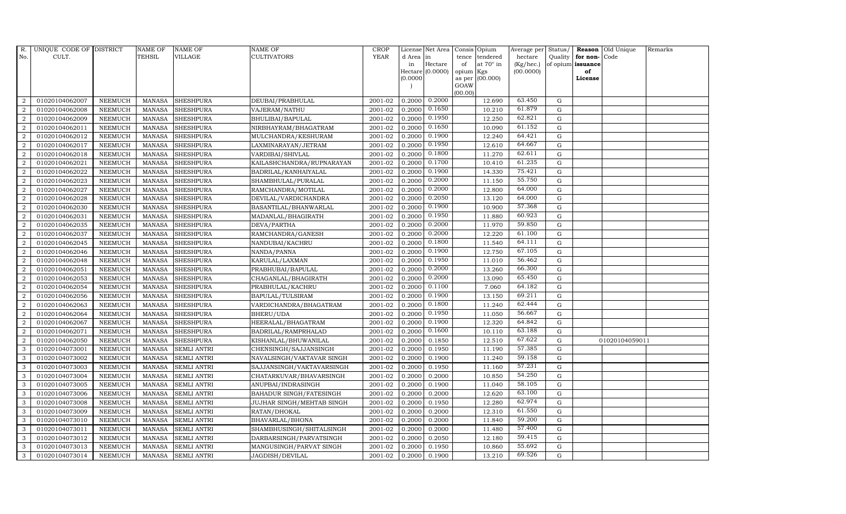| R.               | UNIQUE CODE OF DISTRICT |                | <b>NAME OF</b> | <b>NAME OF</b>     | NAME OF                        | <b>CROP</b> |           | License Net Area   |                | Consis Opium     | Average per Status/ |             |                   | Reason Old Unique | Remarks |
|------------------|-------------------------|----------------|----------------|--------------------|--------------------------------|-------------|-----------|--------------------|----------------|------------------|---------------------|-------------|-------------------|-------------------|---------|
| No.              | CULT.                   |                | <b>TEHSIL</b>  | <b>VILLAGE</b>     | CULTIVATORS                    | <b>YEAR</b> | d Area in |                    | tence          | tendered         | hectare             |             | Quality for non-  | Code              |         |
|                  |                         |                |                |                    |                                |             | in        | Hectare            | of             | at $70^\circ$ in | (Kg/hec.)           |             | of opium issuance |                   |         |
|                  |                         |                |                |                    |                                |             | (0.0000)  | Hectare $(0.0000)$ | opium          | Kgs<br>(00.000)  | (00.0000)           |             | of<br>License     |                   |         |
|                  |                         |                |                |                    |                                |             |           |                    | as per<br>GOAW |                  |                     |             |                   |                   |         |
|                  |                         |                |                |                    |                                |             |           |                    | (00.00)        |                  |                     |             |                   |                   |         |
| 2                | 01020104062007          | <b>NEEMUCH</b> | MANASA         | <b>SHESHPURA</b>   | DEUBAI/PRABHULAL               | 2001-02     | 0.2000    | 0.2000             |                | 12.690           | 63.450              | G           |                   |                   |         |
| 2                | 01020104062008          | <b>NEEMUCH</b> | <b>MANASA</b>  | <b>SHESHPURA</b>   | VAJERAM/NATHU                  | 2001-02     | 0.2000    | 0.1650             |                | 10.210           | 61.879              | $\mathbf G$ |                   |                   |         |
| 2                | 01020104062009          | <b>NEEMUCH</b> | <b>MANASA</b>  | <b>SHESHPURA</b>   | BHULIBAI/BAPULAL               | 2001-02     | 0.2000    | 0.1950             |                | 12.250           | 62.821              | G           |                   |                   |         |
| $\overline{2}$   | 01020104062011          | <b>NEEMUCH</b> | <b>MANASA</b>  | <b>SHESHPURA</b>   | NIRBHAYRAM/BHAGATRAM           | 2001-02     | 0.2000    | 0.1650             |                | 10.090           | 61.152              | G           |                   |                   |         |
| 2                | 01020104062012          | <b>NEEMUCH</b> | <b>MANASA</b>  | <b>SHESHPURA</b>   | MULCHANDRA/KESHURAM            | 2001-02     | 0.2000    | 0.1900             |                | 12.240           | 64.421              | G           |                   |                   |         |
| 2                | 01020104062017          | <b>NEEMUCH</b> | <b>MANASA</b>  | <b>SHESHPURA</b>   | LAXMINARAYAN/JETRAM            | 2001-02     | 0.2000    | 0.1950             |                | 12.610           | 64.667              | G           |                   |                   |         |
| 2                | 01020104062018          | <b>NEEMUCH</b> | <b>MANASA</b>  | <b>SHESHPURA</b>   | VARDIBAI/SHIVLAL               | 2001-02     | 0.2000    | 0.1800             |                | 11.270           | 62.611              | G           |                   |                   |         |
| $\overline{2}$   | 01020104062021          | <b>NEEMUCH</b> | <b>MANASA</b>  | <b>SHESHPURA</b>   | KAILASHCHANDRA/RUPNARAYAN      | 2001-02     | 0.2000    | 0.1700             |                | 10.410           | 61.235              | $\mathbf G$ |                   |                   |         |
| $\overline{2}$   | 01020104062022          | <b>NEEMUCH</b> | <b>MANASA</b>  | <b>SHESHPURA</b>   | BADRILAL/KANHAIYALAL           | 2001-02     | 0.2000    | 0.1900             |                | 14.330           | 75.421              | G           |                   |                   |         |
| $\overline{a}$   | 01020104062023          | <b>NEEMUCH</b> | <b>MANASA</b>  | <b>SHESHPURA</b>   | SHAMBHULAL/PURALAL             | 2001-02     | 0.2000    | 0.2000             |                | 11.150           | 55.750              | G           |                   |                   |         |
| $\overline{2}$   | 01020104062027          | <b>NEEMUCH</b> | <b>MANASA</b>  | <b>SHESHPURA</b>   | RAMCHANDRA/MOTILAL             | 2001-02     | 0.2000    | 0.2000             |                | 12.800           | 64.000              | G           |                   |                   |         |
| 2                | 01020104062028          | <b>NEEMUCH</b> | <b>MANASA</b>  | <b>SHESHPURA</b>   | DEVILAL/VARDICHANDRA           | 2001-02     | 0.2000    | 0.2050             |                | 13.120           | 64.000              | G           |                   |                   |         |
| 2                | 01020104062030          | <b>NEEMUCH</b> | <b>MANASA</b>  | <b>SHESHPURA</b>   | BASANTILAL/BHANWARLAL          | 2001-02     | 0.2000    | 0.1900             |                | 10.900           | 57.368              | $\mathbf G$ |                   |                   |         |
| $\overline{2}$   | 01020104062031          | <b>NEEMUCH</b> | <b>MANASA</b>  | <b>SHESHPURA</b>   | MADANLAL/BHAGIRATH             | 2001-02     | 0.2000    | 0.1950             |                | 11.880           | 60.923              | G           |                   |                   |         |
| 2                | 01020104062035          | <b>NEEMUCH</b> | <b>MANASA</b>  | <b>SHESHPURA</b>   | DEVA/PARTHA                    | 2001-02     | 0.2000    | 0.2000             |                | 11.970           | 59.850              | G           |                   |                   |         |
| 2                | 01020104062037          | <b>NEEMUCH</b> | <b>MANASA</b>  | <b>SHESHPURA</b>   | RAMCHANDRA/GANESH              | 2001-02     | 0.2000    | 0.2000             |                | 12.220           | 61.100              | G           |                   |                   |         |
| $\overline{2}$   | 01020104062045          | <b>NEEMUCH</b> | <b>MANASA</b>  | <b>SHESHPURA</b>   | NANDUBAI/KACHRU                | 2001-02     | 0.2000    | 0.1800             |                | 11.540           | 64.111              | G           |                   |                   |         |
| $\overline{2}$   | 01020104062046          | <b>NEEMUCH</b> | <b>MANASA</b>  | <b>SHESHPURA</b>   | NANDA/PANNA                    | 2001-02     | 0.2000    | 0.1900             |                | 12.750           | 67.105              | G           |                   |                   |         |
| $\overline{2}$   | 01020104062048          | <b>NEEMUCH</b> | <b>MANASA</b>  | <b>SHESHPURA</b>   | KARULAL/LAXMAN                 | 2001-02     | 0.2000    | 0.1950             |                | 11.010           | 56.462              | G           |                   |                   |         |
| $\overline{2}$   | 01020104062051          | <b>NEEMUCH</b> | <b>MANASA</b>  | <b>SHESHPURA</b>   | PRABHUBAI/BAPULAL              | 2001-02     | 0.2000    | 0.2000             |                | 13.260           | 66.300              | G           |                   |                   |         |
| 2                | 01020104062053          | <b>NEEMUCH</b> | <b>MANASA</b>  | <b>SHESHPURA</b>   | CHAGANLAL/BHAGIRATH            | 2001-02     | 0.2000    | 0.2000             |                | 13.090           | 65.450              | G           |                   |                   |         |
| $\boldsymbol{2}$ | 01020104062054          | <b>NEEMUCH</b> | <b>MANASA</b>  | <b>SHESHPURA</b>   | PRABHULAL/KACHRU               | 2001-02     | 0.2000    | 0.1100             |                | 7.060            | 64.182              | G           |                   |                   |         |
| $\overline{2}$   | 01020104062056          | <b>NEEMUCH</b> | <b>MANASA</b>  | <b>SHESHPURA</b>   | BAPULAL/TULSIRAM               | 2001-02     | 0.2000    | 0.1900             |                | 13.150           | 69.211              | G           |                   |                   |         |
| 2                | 01020104062063          | <b>NEEMUCH</b> | <b>MANASA</b>  | <b>SHESHPURA</b>   | VARDICHANDRA/BHAGATRAM         | 2001-02     | 0.2000    | 0.1800             |                | 11.240           | 62.444              | $\mathbf G$ |                   |                   |         |
| $\overline{2}$   | 01020104062064          | <b>NEEMUCH</b> | <b>MANASA</b>  | <b>SHESHPURA</b>   | BHERU/UDA                      | 2001-02     | 0.2000    | 0.1950             |                | 11.050           | 56.667              | G           |                   |                   |         |
| 2                | 01020104062067          | <b>NEEMUCH</b> | <b>MANASA</b>  | <b>SHESHPURA</b>   | HEERALAL/BHAGATRAM             | 2001-02     | 0.2000    | 0.1900             |                | 12.320           | 64.842              | G           |                   |                   |         |
| $\overline{2}$   | 01020104062071          | <b>NEEMUCH</b> | <b>MANASA</b>  | <b>SHESHPURA</b>   | BADRILAL/RAMPRHALAD            | 2001-02     | 0.2000    | 0.1600             |                | 10.110           | 63.188              | G           |                   |                   |         |
| 2                | 01020104062050          | <b>NEEMUCH</b> | <b>MANASA</b>  | <b>SHESHPURA</b>   | KISHANLAL/BHUWANILAL           | 2001-02     | 0.2000    | 0.1850             |                | 12.510           | 67.622              | G           |                   | 01020104059011    |         |
| 3                | 01020104073001          | <b>NEEMUCH</b> | <b>MANASA</b>  | <b>SEMLI ANTRI</b> | CHENSINGH/SAJJANSINGH          | 2001-02     | 0.2000    | 0.1950             |                | 11.190           | 57.385              | $\mathbf G$ |                   |                   |         |
| 3                | 01020104073002          | <b>NEEMUCH</b> | <b>MANASA</b>  | <b>SEMLI ANTRI</b> | NAVALSINGH/VAKTAVAR SINGH      | 2001-02     | 0.2000    | 0.1900             |                | 11.240           | 59.158              | G           |                   |                   |         |
| 3                | 01020104073003          | <b>NEEMUCH</b> | <b>MANASA</b>  | <b>SEMLI ANTRI</b> | SAJJANSINGH/VAKTAVARSINGH      | 2001-02     | 0.2000    | 0.1950             |                | 11.160           | 57.231              | G           |                   |                   |         |
| 3                | 01020104073004          | <b>NEEMUCH</b> | <b>MANASA</b>  | <b>SEMLI ANTRI</b> | CHATARKUVAR/BHAVARSINGH        | 2001-02     | 0.2000    | 0.2000             |                | 10.850           | 54.250              | G           |                   |                   |         |
| 3                | 01020104073005          | <b>NEEMUCH</b> | <b>MANASA</b>  | <b>SEMLI ANTRI</b> | ANUPBAI/INDRASINGH             | 2001-02     | 0.2000    | 0.1900             |                | 11.040           | 58.105              | G           |                   |                   |         |
| 3                | 01020104073006          | <b>NEEMUCH</b> | <b>MANASA</b>  | <b>SEMLI ANTRI</b> | <b>BAHADUR SINGH/FATESINGH</b> | 2001-02     | 0.2000    | 0.2000             |                | 12.620           | 63.100              | $\mathbf G$ |                   |                   |         |
| 3                | 01020104073008          | <b>NEEMUCH</b> | <b>MANASA</b>  | <b>SEMLI ANTRI</b> | JUJHAR SINGH/MEHTAB SINGH      | 2001-02     | 0.2000    | 0.1950             |                | 12.280           | 62.974              | $\mathbf G$ |                   |                   |         |
| 3                | 01020104073009          | <b>NEEMUCH</b> | <b>MANASA</b>  | <b>SEMLI ANTRI</b> | RATAN/DHOKAL                   | 2001-02     | 0.2000    | 0.2000             |                | 12.310           | 61.550              | G           |                   |                   |         |
| 3                | 01020104073010          | <b>NEEMUCH</b> | <b>MANASA</b>  | <b>SEMLI ANTRI</b> | BHAVARLAL/BHONA                | 2001-02     | 0.2000    | 0.2000             |                | 11.840           | 59.200              | G           |                   |                   |         |
| 3                | 01020104073011          | <b>NEEMUCH</b> | <b>MANASA</b>  | <b>SEMLI ANTRI</b> | SHAMBHUSINGH/SHITALSINGH       | 2001-02     | 0.2000    | 0.2000             |                | 11.480           | 57.400              | G           |                   |                   |         |
| 3                | 01020104073012          | <b>NEEMUCH</b> | <b>MANASA</b>  | <b>SEMLI ANTRI</b> | DARBARSINGH/PARVATSINGH        | 2001-02     | 0.2000    | 0.2050             |                | 12.180           | 59.415              | G           |                   |                   |         |
| 3                | 01020104073013          | <b>NEEMUCH</b> | <b>MANASA</b>  | <b>SEMLI ANTRI</b> | MANGUSINGH/PARVAT SINGH        | 2001-02     | 0.2000    | 0.1950             |                | 10.860           | 55.692              | $\mathbf G$ |                   |                   |         |
| 3                | 01020104073014          | <b>NEEMUCH</b> | MANASA         | <b>SEMLI ANTRI</b> | JAGDISH/DEVILAL                | 2001-02     | 0.2000    | 0.1900             |                | 13.210           | 69.526              | G           |                   |                   |         |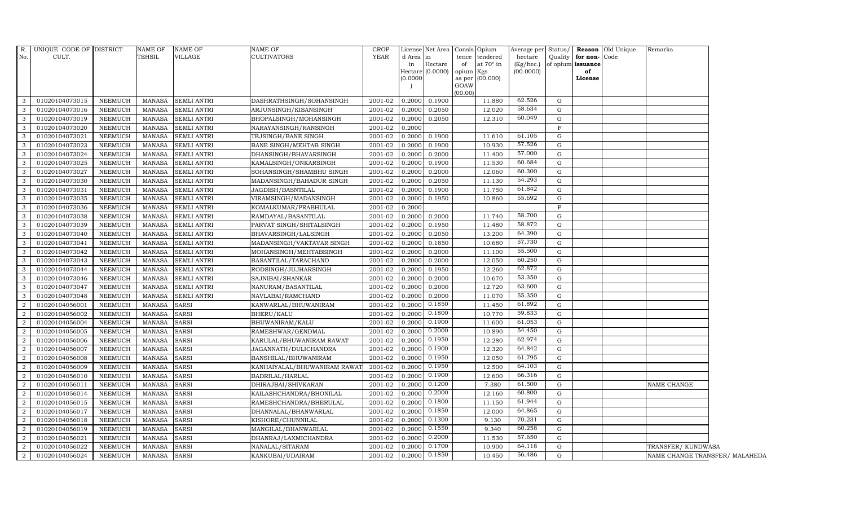| CULT.<br>TEHSIL<br>VILLAGE<br><b>CULTIVATORS</b><br>YEAR<br>Quality<br>for non-Code<br>d Area<br>tence tendered<br>hectare<br> in<br>at $70^\circ$ in<br>of opium issuance<br>Hectare<br>(Kg/hec.)<br>in<br>of<br>Hectare (0.0000)<br>(00.0000)<br>opium Kgs<br>of<br>(0.0000)<br>as per (00.000)<br>License<br>GOAW<br>(00.00)<br>62.526<br>01020104073015<br>0.2000<br>0.1900<br>11.880<br>G<br><b>NEEMUCH</b><br><b>SEMLI ANTRI</b><br>DASHRATHSINGH/SOHANSINGH<br>2001-02<br>MANASA<br>58.634<br>01020104073016<br><b>NEEMUCH</b><br><b>SEMLI ANTRI</b><br>ARJUNSINGH/KISANSINGH'<br>2001-02<br>0.2000<br>0.2050<br>12.020<br>G<br><b>MANASA</b><br>60.049<br>01020104073019<br><b>NEEMUCH</b><br><b>MANASA</b><br><b>SEMLI ANTRI</b><br>BHOPALSINGH/MOHANSINGH<br>2001-02<br>0.2000<br>0.2050<br>12.310<br>G<br>$\mathbf{3}$<br><b>NEEMUCH</b><br>$\mathbf F$<br>01020104073020<br><b>MANASA</b><br><b>SEMLI ANTRI</b><br>NARAYANSINGH/RANSINGH<br>2001-02<br>0.2000<br>2001-02<br>11.610<br>61.105<br>G<br>01020104073021<br><b>NEEMUCH</b><br><b>MANASA</b><br><b>SEMLI ANTRI</b><br>TEJSINGH/BANE SINGH<br>0.2000<br>0.1900<br>57.526<br>0.1900<br>10.930<br>G<br>01020104073023<br><b>NEEMUCH</b><br>2001-02<br>0.2000<br><b>MANASA</b><br><b>SEMLI ANTRI</b><br>BANE SINGH/MEHTAB SINGH<br>57.000<br>01020104073024<br>2001-02<br>0.2000<br>0.2000<br>11.400<br>G<br><b>NEEMUCH</b><br><b>MANASA</b><br><b>SEMLI ANTRI</b><br>DHANSINGH/BHAVARSINGH<br>60.684<br>01020104073025<br>0.2000<br>11.530<br><b>NEEMUCH</b><br><b>MANASA</b><br><b>SEMLI ANTRI</b><br>KAMALSINGH/ONKARSINGH<br>2001-02<br>0.1900<br>G<br>60.300<br>01020104073027<br><b>NEEMUCH</b><br><b>MANASA</b><br><b>SEMLI ANTRI</b><br>2001-02<br>0.2000<br>0.2000<br>12.060<br>G<br>SOHANSINGH/SHAMBHU SINGH<br>54.293<br>2001-02<br>11.130<br>G<br>01020104073030<br><b>NEEMUCH</b><br><b>MANASA</b><br><b>SEMLI ANTRI</b><br>MADANSINGH/BAHADUR SINGH<br>0.2000<br>0.2050<br>11.750<br>61.842<br>01020104073031<br><b>NEEMUCH</b><br><b>MANASA</b><br><b>SEMLI ANTRI</b><br>JAGDISH/BASNTILAL<br>2001-02<br>0.2000<br>0.1900<br>G<br>55.692<br>01020104073035<br>2001-02<br>10.860<br>G<br><b>NEEMUCH</b><br><b>MANASA</b><br><b>SEMLI ANTRI</b><br>0.2000<br>0.1950<br>VIRAMSINGH/MADANSINGH<br>01020104073036<br><b>NEEMUCH</b><br>KOMALKUMAR/PRABHULAL<br>2001-02<br>0.2000<br>F<br><b>MANASA</b><br><b>SEMLI ANTRI</b><br>58.700<br><b>NEEMUCH</b><br>01020104073038<br><b>MANASA</b><br><b>SEMLI ANTRI</b><br>RAMDAYAL/BASANTILAL<br>2001-02<br>0.2000<br>0.2000<br>11.740<br>G<br>58.872<br>01020104073039<br>2001-02<br>0.2000<br>0.1950<br>11.480<br>G<br><b>NEEMUCH</b><br><b>MANASA</b><br><b>SEMLI ANTRI</b><br>PARVAT SINGH/SHITALSINGH<br>64.390<br>01020104073040<br>NEEMUCH<br>2001-02<br>0.2050<br>13.200<br>G<br><b>MANASA</b><br><b>SEMLI ANTRI</b><br>BHAVARSINGH/LALSINGH<br>0.2000<br>57.730<br>01020104073041<br><b>NEEMUCH</b><br>2001-02<br>0.1850<br>10.680<br>G<br><b>MANASA</b><br><b>SEMLI ANTRI</b><br>MADANSINGH/VAKTAVAR SINGH<br>0.2000<br>55.500<br>01020104073042<br><b>NEEMUCH</b><br><b>MANASA</b><br><b>SEMLI ANTRI</b><br>MOHANSINGH/MEHTABSINGH<br>2001-02<br>0.2000<br>0.2000<br>11.100<br>G<br>60.250<br>01020104073043<br><b>NEEMUCH</b><br><b>MANASA</b><br><b>SEMLI ANTRI</b><br>BASANTILAL/TARACHAND<br>2001-02<br>0.2000<br>0.2000<br>12.050<br>G<br>62.872<br>0.2000<br>12.260<br>G<br>01020104073044<br><b>NEEMUCH</b><br><b>MANASA</b><br><b>SEMLI ANTRI</b><br>RODSINGH/JUJHARSINGH<br>2001-02<br>0.1950<br>53.350<br>10.670<br>01020104073046<br><b>NEEMUCH</b><br><b>MANASA</b><br><b>SEMLI ANTRI</b><br>SAJNIBAI/SHANKAR<br>2001-02<br>0.2000<br>0.2000<br>G<br>63.600<br>01020104073047<br><b>NEEMUCH</b><br><b>MANASA</b><br><b>SEMLI ANTRI</b><br>NANURAM/BASANTILAL<br>2001-02<br>0.2000<br>0.2000<br>12.720<br>G<br>55.350<br>01020104073048<br>0.2000<br>11.070<br><b>NEEMUCH</b><br><b>MANASA</b><br><b>SEMLI ANTRI</b><br>NAVLABAI/RAMCHAND<br>2001-02<br>0.2000<br>G<br>0.1850<br>61.892<br><b>NEEMUCH</b><br><b>MANASA</b><br>0.2000<br>11.450<br>G<br>01020104056001<br><b>SARSI</b><br>KANWARLAL/BHUWANIRAM<br>2001-02<br>0.1800<br>59.833<br>10.770<br>01020104056002<br><b>NEEMUCH</b><br><b>MANASA</b><br>BHERU/KALU<br>2001-02<br>0.2000<br>G<br><b>SARSI</b><br>0.1900<br>61.053<br>2001-02<br>11.600<br>G<br>01020104056004<br><b>NEEMUCH</b><br><b>MANASA</b><br><b>SARSI</b><br>BHUWANIRAM/KALU<br>0.2000<br>54.450<br>2001-02<br>0.2000<br>0.2000<br>10.890<br>01020104056005<br><b>NEEMUCH</b><br><b>MANASA</b><br><b>SARSI</b><br>RAMESHWAR/GENDMAL<br>G<br>0.1950<br>62.974<br>12.280<br>01020104056006<br><b>NEEMUCH</b><br>2001-02<br>0.2000<br>G<br><b>MANASA</b><br><b>SARSI</b><br>KARULAL/BHUWANIRAM RAWAT<br>64.842<br>0.1900<br>01020104056007<br>2001-02<br>0.2000<br>12.320<br>G<br>NEEMUCH<br><b>MANASA</b><br><b>SARSI</b><br>JAGANNATH/DULICHANDRA<br>0.1950<br>61.795<br>12.050<br>01020104056008<br><b>NEEMUCH</b><br><b>MANASA</b><br><b>SARSI</b><br>BANSHILAL/BHUWANIRAM<br>2001-02<br>0.2000<br>G<br>0.1950<br>64.103<br>G<br><b>NEEMUCH</b><br><b>MANASA</b><br><b>SARSI</b><br>2001-02<br>0.2000<br>12.500<br>01020104056009<br>KANHAIYALAL/BHUWANIRAM RAWA'<br>2001-02<br>0.1900<br>66.316<br>01020104056010<br><b>NEEMUCH</b><br><b>MANASA</b><br>BADRILAL/HARLAL<br>0.2000<br>12.600<br>G<br><b>SARSI</b><br>0.1200<br>61.500<br>01020104056011<br>2001-02<br>0.2000<br>7.380<br>G<br><b>NEEMUCH</b><br><b>MANASA</b><br><b>SARSI</b><br>DHIRAJBAI/SHIVKARAN<br><b>NAME CHANGE</b><br>0.2000<br>60.800<br>01020104056014<br><b>NEEMUCH</b><br><b>MANASA</b><br>KAILASHCHANDRA/BHONILAL<br>2001-02<br>0.2000<br>12.160<br>G<br><b>SARSI</b><br><b>NEEMUCH</b><br>2001-02<br>0.2000<br>0.1800<br>11.150<br>61.944<br>01020104056015<br><b>MANASA</b><br><b>SARSI</b><br>RAMESHCHANDRA/BHERULAL<br>G<br>0.1850<br>64.865<br>12.000<br>G<br>01020104056017<br><b>NEEMUCH</b><br><b>MANASA</b><br><b>SARSI</b><br>2001-02<br>0.2000<br>DHANNALAL/BHANWARLAL<br>70.231<br>0.1300<br>01020104056018<br><b>NEEMUCH</b><br><b>MANASA</b><br>KISHORE/CHUNNILAL<br>2001-02<br>0.2000<br>9.130<br>G<br><b>SARSI</b><br>0.1550<br>60.258<br>2001-02<br>9.340<br>G<br>01020104056019<br><b>NEEMUCH</b><br><b>MANASA</b><br><b>SARSI</b><br>MANGILAL/BHANWARLAL<br>0.2000<br>0.2000<br>57.650<br>01020104056021<br>$2001 - 02$<br>11.530<br><b>NEEMUCH</b><br><b>MANASA</b><br><b>SARSI</b><br>DHANRAJ/LAXMICHANDRA<br>0.2000<br>G<br>64.118<br>0.1700<br>01020104056022<br><b>NEEMUCH</b><br><b>MANASA</b><br><b>SARSI</b><br>NANALAL/SITARAM<br>2001-02<br>0.2000<br>10.900<br>G<br>TRANSFER/KUNDWASA<br>0.1850<br>56.486<br>$\overline{2}$<br>01020104056024<br>NEEMUCH<br>MANASA<br><b>SARSI</b><br>KANKUBAI/UDAIRAM<br>2001-02<br>0.2000<br>10.450<br>G<br>NAME CHANGE TRANSFER/ MALAHEDA |                | R. UNIQUE CODE OF DISTRICT | <b>NAME OF</b> | <b>NAME OF</b> | <b>NAME OF</b> | <b>CROP</b> | License Net Area Consis Opium |  | Average per Status/ |  | <b>Reason</b> Old Unique | Remarks |  |
|--------------------------------------------------------------------------------------------------------------------------------------------------------------------------------------------------------------------------------------------------------------------------------------------------------------------------------------------------------------------------------------------------------------------------------------------------------------------------------------------------------------------------------------------------------------------------------------------------------------------------------------------------------------------------------------------------------------------------------------------------------------------------------------------------------------------------------------------------------------------------------------------------------------------------------------------------------------------------------------------------------------------------------------------------------------------------------------------------------------------------------------------------------------------------------------------------------------------------------------------------------------------------------------------------------------------------------------------------------------------------------------------------------------------------------------------------------------------------------------------------------------------------------------------------------------------------------------------------------------------------------------------------------------------------------------------------------------------------------------------------------------------------------------------------------------------------------------------------------------------------------------------------------------------------------------------------------------------------------------------------------------------------------------------------------------------------------------------------------------------------------------------------------------------------------------------------------------------------------------------------------------------------------------------------------------------------------------------------------------------------------------------------------------------------------------------------------------------------------------------------------------------------------------------------------------------------------------------------------------------------------------------------------------------------------------------------------------------------------------------------------------------------------------------------------------------------------------------------------------------------------------------------------------------------------------------------------------------------------------------------------------------------------------------------------------------------------------------------------------------------------------------------------------------------------------------------------------------------------------------------------------------------------------------------------------------------------------------------------------------------------------------------------------------------------------------------------------------------------------------------------------------------------------------------------------------------------------------------------------------------------------------------------------------------------------------------------------------------------------------------------------------------------------------------------------------------------------------------------------------------------------------------------------------------------------------------------------------------------------------------------------------------------------------------------------------------------------------------------------------------------------------------------------------------------------------------------------------------------------------------------------------------------------------------------------------------------------------------------------------------------------------------------------------------------------------------------------------------------------------------------------------------------------------------------------------------------------------------------------------------------------------------------------------------------------------------------------------------------------------------------------------------------------------------------------------------------------------------------------------------------------------------------------------------------------------------------------------------------------------------------------------------------------------------------------------------------------------------------------------------------------------------------------------------------------------------------------------------------------------------------------------------------------------------------------------------------------------------------------------------------------------------------------------------------------------------------------------------------------------------------------------------------------------------------------------------------------------------------------------------------------------------------------------------------------------------------------------------------------------------------------------------------------------------------------------------------------------------------------------------------------------------------------------------------------------------------------------------------------------------------------------------------------------------------------------------------------------------------------------------------------------------------------------------------------------------------------------------------------------------------------------------------------------------------------------------------------------------------------------------------------------------------------------------------------------------------------------------------------------------------------------------------------------------------------------------------------------------------------------------------------------------------------------------------------------------------------------------------------------------------------------------------------------------------------------------------------------------------------------|----------------|----------------------------|----------------|----------------|----------------|-------------|-------------------------------|--|---------------------|--|--------------------------|---------|--|
|                                                                                                                                                                                                                                                                                                                                                                                                                                                                                                                                                                                                                                                                                                                                                                                                                                                                                                                                                                                                                                                                                                                                                                                                                                                                                                                                                                                                                                                                                                                                                                                                                                                                                                                                                                                                                                                                                                                                                                                                                                                                                                                                                                                                                                                                                                                                                                                                                                                                                                                                                                                                                                                                                                                                                                                                                                                                                                                                                                                                                                                                                                                                                                                                                                                                                                                                                                                                                                                                                                                                                                                                                                                                                                                                                                                                                                                                                                                                                                                                                                                                                                                                                                                                                                                                                                                                                                                                                                                                                                                                                                                                                                                                                                                                                                                                                                                                                                                                                                                                                                                                                                                                                                                                                                                                                                                                                                                                                                                                                                                                                                                                                                                                                                                                                                                                                                                                                                                                                                                                                                                                                                                                                                                                                                                                                                                                                                                                                                                                                                                                                                                                                                                                                                                                                                                                                                                                    | No.            |                            |                |                |                |             |                               |  |                     |  |                          |         |  |
|                                                                                                                                                                                                                                                                                                                                                                                                                                                                                                                                                                                                                                                                                                                                                                                                                                                                                                                                                                                                                                                                                                                                                                                                                                                                                                                                                                                                                                                                                                                                                                                                                                                                                                                                                                                                                                                                                                                                                                                                                                                                                                                                                                                                                                                                                                                                                                                                                                                                                                                                                                                                                                                                                                                                                                                                                                                                                                                                                                                                                                                                                                                                                                                                                                                                                                                                                                                                                                                                                                                                                                                                                                                                                                                                                                                                                                                                                                                                                                                                                                                                                                                                                                                                                                                                                                                                                                                                                                                                                                                                                                                                                                                                                                                                                                                                                                                                                                                                                                                                                                                                                                                                                                                                                                                                                                                                                                                                                                                                                                                                                                                                                                                                                                                                                                                                                                                                                                                                                                                                                                                                                                                                                                                                                                                                                                                                                                                                                                                                                                                                                                                                                                                                                                                                                                                                                                                                    |                |                            |                |                |                |             |                               |  |                     |  |                          |         |  |
|                                                                                                                                                                                                                                                                                                                                                                                                                                                                                                                                                                                                                                                                                                                                                                                                                                                                                                                                                                                                                                                                                                                                                                                                                                                                                                                                                                                                                                                                                                                                                                                                                                                                                                                                                                                                                                                                                                                                                                                                                                                                                                                                                                                                                                                                                                                                                                                                                                                                                                                                                                                                                                                                                                                                                                                                                                                                                                                                                                                                                                                                                                                                                                                                                                                                                                                                                                                                                                                                                                                                                                                                                                                                                                                                                                                                                                                                                                                                                                                                                                                                                                                                                                                                                                                                                                                                                                                                                                                                                                                                                                                                                                                                                                                                                                                                                                                                                                                                                                                                                                                                                                                                                                                                                                                                                                                                                                                                                                                                                                                                                                                                                                                                                                                                                                                                                                                                                                                                                                                                                                                                                                                                                                                                                                                                                                                                                                                                                                                                                                                                                                                                                                                                                                                                                                                                                                                                    |                |                            |                |                |                |             |                               |  |                     |  |                          |         |  |
|                                                                                                                                                                                                                                                                                                                                                                                                                                                                                                                                                                                                                                                                                                                                                                                                                                                                                                                                                                                                                                                                                                                                                                                                                                                                                                                                                                                                                                                                                                                                                                                                                                                                                                                                                                                                                                                                                                                                                                                                                                                                                                                                                                                                                                                                                                                                                                                                                                                                                                                                                                                                                                                                                                                                                                                                                                                                                                                                                                                                                                                                                                                                                                                                                                                                                                                                                                                                                                                                                                                                                                                                                                                                                                                                                                                                                                                                                                                                                                                                                                                                                                                                                                                                                                                                                                                                                                                                                                                                                                                                                                                                                                                                                                                                                                                                                                                                                                                                                                                                                                                                                                                                                                                                                                                                                                                                                                                                                                                                                                                                                                                                                                                                                                                                                                                                                                                                                                                                                                                                                                                                                                                                                                                                                                                                                                                                                                                                                                                                                                                                                                                                                                                                                                                                                                                                                                                                    |                |                            |                |                |                |             |                               |  |                     |  |                          |         |  |
|                                                                                                                                                                                                                                                                                                                                                                                                                                                                                                                                                                                                                                                                                                                                                                                                                                                                                                                                                                                                                                                                                                                                                                                                                                                                                                                                                                                                                                                                                                                                                                                                                                                                                                                                                                                                                                                                                                                                                                                                                                                                                                                                                                                                                                                                                                                                                                                                                                                                                                                                                                                                                                                                                                                                                                                                                                                                                                                                                                                                                                                                                                                                                                                                                                                                                                                                                                                                                                                                                                                                                                                                                                                                                                                                                                                                                                                                                                                                                                                                                                                                                                                                                                                                                                                                                                                                                                                                                                                                                                                                                                                                                                                                                                                                                                                                                                                                                                                                                                                                                                                                                                                                                                                                                                                                                                                                                                                                                                                                                                                                                                                                                                                                                                                                                                                                                                                                                                                                                                                                                                                                                                                                                                                                                                                                                                                                                                                                                                                                                                                                                                                                                                                                                                                                                                                                                                                                    |                |                            |                |                |                |             |                               |  |                     |  |                          |         |  |
|                                                                                                                                                                                                                                                                                                                                                                                                                                                                                                                                                                                                                                                                                                                                                                                                                                                                                                                                                                                                                                                                                                                                                                                                                                                                                                                                                                                                                                                                                                                                                                                                                                                                                                                                                                                                                                                                                                                                                                                                                                                                                                                                                                                                                                                                                                                                                                                                                                                                                                                                                                                                                                                                                                                                                                                                                                                                                                                                                                                                                                                                                                                                                                                                                                                                                                                                                                                                                                                                                                                                                                                                                                                                                                                                                                                                                                                                                                                                                                                                                                                                                                                                                                                                                                                                                                                                                                                                                                                                                                                                                                                                                                                                                                                                                                                                                                                                                                                                                                                                                                                                                                                                                                                                                                                                                                                                                                                                                                                                                                                                                                                                                                                                                                                                                                                                                                                                                                                                                                                                                                                                                                                                                                                                                                                                                                                                                                                                                                                                                                                                                                                                                                                                                                                                                                                                                                                                    | 3              |                            |                |                |                |             |                               |  |                     |  |                          |         |  |
|                                                                                                                                                                                                                                                                                                                                                                                                                                                                                                                                                                                                                                                                                                                                                                                                                                                                                                                                                                                                                                                                                                                                                                                                                                                                                                                                                                                                                                                                                                                                                                                                                                                                                                                                                                                                                                                                                                                                                                                                                                                                                                                                                                                                                                                                                                                                                                                                                                                                                                                                                                                                                                                                                                                                                                                                                                                                                                                                                                                                                                                                                                                                                                                                                                                                                                                                                                                                                                                                                                                                                                                                                                                                                                                                                                                                                                                                                                                                                                                                                                                                                                                                                                                                                                                                                                                                                                                                                                                                                                                                                                                                                                                                                                                                                                                                                                                                                                                                                                                                                                                                                                                                                                                                                                                                                                                                                                                                                                                                                                                                                                                                                                                                                                                                                                                                                                                                                                                                                                                                                                                                                                                                                                                                                                                                                                                                                                                                                                                                                                                                                                                                                                                                                                                                                                                                                                                                    | 3              |                            |                |                |                |             |                               |  |                     |  |                          |         |  |
|                                                                                                                                                                                                                                                                                                                                                                                                                                                                                                                                                                                                                                                                                                                                                                                                                                                                                                                                                                                                                                                                                                                                                                                                                                                                                                                                                                                                                                                                                                                                                                                                                                                                                                                                                                                                                                                                                                                                                                                                                                                                                                                                                                                                                                                                                                                                                                                                                                                                                                                                                                                                                                                                                                                                                                                                                                                                                                                                                                                                                                                                                                                                                                                                                                                                                                                                                                                                                                                                                                                                                                                                                                                                                                                                                                                                                                                                                                                                                                                                                                                                                                                                                                                                                                                                                                                                                                                                                                                                                                                                                                                                                                                                                                                                                                                                                                                                                                                                                                                                                                                                                                                                                                                                                                                                                                                                                                                                                                                                                                                                                                                                                                                                                                                                                                                                                                                                                                                                                                                                                                                                                                                                                                                                                                                                                                                                                                                                                                                                                                                                                                                                                                                                                                                                                                                                                                                                    | 3              |                            |                |                |                |             |                               |  |                     |  |                          |         |  |
|                                                                                                                                                                                                                                                                                                                                                                                                                                                                                                                                                                                                                                                                                                                                                                                                                                                                                                                                                                                                                                                                                                                                                                                                                                                                                                                                                                                                                                                                                                                                                                                                                                                                                                                                                                                                                                                                                                                                                                                                                                                                                                                                                                                                                                                                                                                                                                                                                                                                                                                                                                                                                                                                                                                                                                                                                                                                                                                                                                                                                                                                                                                                                                                                                                                                                                                                                                                                                                                                                                                                                                                                                                                                                                                                                                                                                                                                                                                                                                                                                                                                                                                                                                                                                                                                                                                                                                                                                                                                                                                                                                                                                                                                                                                                                                                                                                                                                                                                                                                                                                                                                                                                                                                                                                                                                                                                                                                                                                                                                                                                                                                                                                                                                                                                                                                                                                                                                                                                                                                                                                                                                                                                                                                                                                                                                                                                                                                                                                                                                                                                                                                                                                                                                                                                                                                                                                                                    |                |                            |                |                |                |             |                               |  |                     |  |                          |         |  |
|                                                                                                                                                                                                                                                                                                                                                                                                                                                                                                                                                                                                                                                                                                                                                                                                                                                                                                                                                                                                                                                                                                                                                                                                                                                                                                                                                                                                                                                                                                                                                                                                                                                                                                                                                                                                                                                                                                                                                                                                                                                                                                                                                                                                                                                                                                                                                                                                                                                                                                                                                                                                                                                                                                                                                                                                                                                                                                                                                                                                                                                                                                                                                                                                                                                                                                                                                                                                                                                                                                                                                                                                                                                                                                                                                                                                                                                                                                                                                                                                                                                                                                                                                                                                                                                                                                                                                                                                                                                                                                                                                                                                                                                                                                                                                                                                                                                                                                                                                                                                                                                                                                                                                                                                                                                                                                                                                                                                                                                                                                                                                                                                                                                                                                                                                                                                                                                                                                                                                                                                                                                                                                                                                                                                                                                                                                                                                                                                                                                                                                                                                                                                                                                                                                                                                                                                                                                                    | $\mathbf{3}$   |                            |                |                |                |             |                               |  |                     |  |                          |         |  |
|                                                                                                                                                                                                                                                                                                                                                                                                                                                                                                                                                                                                                                                                                                                                                                                                                                                                                                                                                                                                                                                                                                                                                                                                                                                                                                                                                                                                                                                                                                                                                                                                                                                                                                                                                                                                                                                                                                                                                                                                                                                                                                                                                                                                                                                                                                                                                                                                                                                                                                                                                                                                                                                                                                                                                                                                                                                                                                                                                                                                                                                                                                                                                                                                                                                                                                                                                                                                                                                                                                                                                                                                                                                                                                                                                                                                                                                                                                                                                                                                                                                                                                                                                                                                                                                                                                                                                                                                                                                                                                                                                                                                                                                                                                                                                                                                                                                                                                                                                                                                                                                                                                                                                                                                                                                                                                                                                                                                                                                                                                                                                                                                                                                                                                                                                                                                                                                                                                                                                                                                                                                                                                                                                                                                                                                                                                                                                                                                                                                                                                                                                                                                                                                                                                                                                                                                                                                                    | $\mathbf{3}$   |                            |                |                |                |             |                               |  |                     |  |                          |         |  |
|                                                                                                                                                                                                                                                                                                                                                                                                                                                                                                                                                                                                                                                                                                                                                                                                                                                                                                                                                                                                                                                                                                                                                                                                                                                                                                                                                                                                                                                                                                                                                                                                                                                                                                                                                                                                                                                                                                                                                                                                                                                                                                                                                                                                                                                                                                                                                                                                                                                                                                                                                                                                                                                                                                                                                                                                                                                                                                                                                                                                                                                                                                                                                                                                                                                                                                                                                                                                                                                                                                                                                                                                                                                                                                                                                                                                                                                                                                                                                                                                                                                                                                                                                                                                                                                                                                                                                                                                                                                                                                                                                                                                                                                                                                                                                                                                                                                                                                                                                                                                                                                                                                                                                                                                                                                                                                                                                                                                                                                                                                                                                                                                                                                                                                                                                                                                                                                                                                                                                                                                                                                                                                                                                                                                                                                                                                                                                                                                                                                                                                                                                                                                                                                                                                                                                                                                                                                                    | 3              |                            |                |                |                |             |                               |  |                     |  |                          |         |  |
|                                                                                                                                                                                                                                                                                                                                                                                                                                                                                                                                                                                                                                                                                                                                                                                                                                                                                                                                                                                                                                                                                                                                                                                                                                                                                                                                                                                                                                                                                                                                                                                                                                                                                                                                                                                                                                                                                                                                                                                                                                                                                                                                                                                                                                                                                                                                                                                                                                                                                                                                                                                                                                                                                                                                                                                                                                                                                                                                                                                                                                                                                                                                                                                                                                                                                                                                                                                                                                                                                                                                                                                                                                                                                                                                                                                                                                                                                                                                                                                                                                                                                                                                                                                                                                                                                                                                                                                                                                                                                                                                                                                                                                                                                                                                                                                                                                                                                                                                                                                                                                                                                                                                                                                                                                                                                                                                                                                                                                                                                                                                                                                                                                                                                                                                                                                                                                                                                                                                                                                                                                                                                                                                                                                                                                                                                                                                                                                                                                                                                                                                                                                                                                                                                                                                                                                                                                                                    | 3              |                            |                |                |                |             |                               |  |                     |  |                          |         |  |
|                                                                                                                                                                                                                                                                                                                                                                                                                                                                                                                                                                                                                                                                                                                                                                                                                                                                                                                                                                                                                                                                                                                                                                                                                                                                                                                                                                                                                                                                                                                                                                                                                                                                                                                                                                                                                                                                                                                                                                                                                                                                                                                                                                                                                                                                                                                                                                                                                                                                                                                                                                                                                                                                                                                                                                                                                                                                                                                                                                                                                                                                                                                                                                                                                                                                                                                                                                                                                                                                                                                                                                                                                                                                                                                                                                                                                                                                                                                                                                                                                                                                                                                                                                                                                                                                                                                                                                                                                                                                                                                                                                                                                                                                                                                                                                                                                                                                                                                                                                                                                                                                                                                                                                                                                                                                                                                                                                                                                                                                                                                                                                                                                                                                                                                                                                                                                                                                                                                                                                                                                                                                                                                                                                                                                                                                                                                                                                                                                                                                                                                                                                                                                                                                                                                                                                                                                                                                    | 3              |                            |                |                |                |             |                               |  |                     |  |                          |         |  |
|                                                                                                                                                                                                                                                                                                                                                                                                                                                                                                                                                                                                                                                                                                                                                                                                                                                                                                                                                                                                                                                                                                                                                                                                                                                                                                                                                                                                                                                                                                                                                                                                                                                                                                                                                                                                                                                                                                                                                                                                                                                                                                                                                                                                                                                                                                                                                                                                                                                                                                                                                                                                                                                                                                                                                                                                                                                                                                                                                                                                                                                                                                                                                                                                                                                                                                                                                                                                                                                                                                                                                                                                                                                                                                                                                                                                                                                                                                                                                                                                                                                                                                                                                                                                                                                                                                                                                                                                                                                                                                                                                                                                                                                                                                                                                                                                                                                                                                                                                                                                                                                                                                                                                                                                                                                                                                                                                                                                                                                                                                                                                                                                                                                                                                                                                                                                                                                                                                                                                                                                                                                                                                                                                                                                                                                                                                                                                                                                                                                                                                                                                                                                                                                                                                                                                                                                                                                                    | 3              |                            |                |                |                |             |                               |  |                     |  |                          |         |  |
|                                                                                                                                                                                                                                                                                                                                                                                                                                                                                                                                                                                                                                                                                                                                                                                                                                                                                                                                                                                                                                                                                                                                                                                                                                                                                                                                                                                                                                                                                                                                                                                                                                                                                                                                                                                                                                                                                                                                                                                                                                                                                                                                                                                                                                                                                                                                                                                                                                                                                                                                                                                                                                                                                                                                                                                                                                                                                                                                                                                                                                                                                                                                                                                                                                                                                                                                                                                                                                                                                                                                                                                                                                                                                                                                                                                                                                                                                                                                                                                                                                                                                                                                                                                                                                                                                                                                                                                                                                                                                                                                                                                                                                                                                                                                                                                                                                                                                                                                                                                                                                                                                                                                                                                                                                                                                                                                                                                                                                                                                                                                                                                                                                                                                                                                                                                                                                                                                                                                                                                                                                                                                                                                                                                                                                                                                                                                                                                                                                                                                                                                                                                                                                                                                                                                                                                                                                                                    | $\mathbf{3}$   |                            |                |                |                |             |                               |  |                     |  |                          |         |  |
|                                                                                                                                                                                                                                                                                                                                                                                                                                                                                                                                                                                                                                                                                                                                                                                                                                                                                                                                                                                                                                                                                                                                                                                                                                                                                                                                                                                                                                                                                                                                                                                                                                                                                                                                                                                                                                                                                                                                                                                                                                                                                                                                                                                                                                                                                                                                                                                                                                                                                                                                                                                                                                                                                                                                                                                                                                                                                                                                                                                                                                                                                                                                                                                                                                                                                                                                                                                                                                                                                                                                                                                                                                                                                                                                                                                                                                                                                                                                                                                                                                                                                                                                                                                                                                                                                                                                                                                                                                                                                                                                                                                                                                                                                                                                                                                                                                                                                                                                                                                                                                                                                                                                                                                                                                                                                                                                                                                                                                                                                                                                                                                                                                                                                                                                                                                                                                                                                                                                                                                                                                                                                                                                                                                                                                                                                                                                                                                                                                                                                                                                                                                                                                                                                                                                                                                                                                                                    | 3              |                            |                |                |                |             |                               |  |                     |  |                          |         |  |
|                                                                                                                                                                                                                                                                                                                                                                                                                                                                                                                                                                                                                                                                                                                                                                                                                                                                                                                                                                                                                                                                                                                                                                                                                                                                                                                                                                                                                                                                                                                                                                                                                                                                                                                                                                                                                                                                                                                                                                                                                                                                                                                                                                                                                                                                                                                                                                                                                                                                                                                                                                                                                                                                                                                                                                                                                                                                                                                                                                                                                                                                                                                                                                                                                                                                                                                                                                                                                                                                                                                                                                                                                                                                                                                                                                                                                                                                                                                                                                                                                                                                                                                                                                                                                                                                                                                                                                                                                                                                                                                                                                                                                                                                                                                                                                                                                                                                                                                                                                                                                                                                                                                                                                                                                                                                                                                                                                                                                                                                                                                                                                                                                                                                                                                                                                                                                                                                                                                                                                                                                                                                                                                                                                                                                                                                                                                                                                                                                                                                                                                                                                                                                                                                                                                                                                                                                                                                    | $\mathbf{3}$   |                            |                |                |                |             |                               |  |                     |  |                          |         |  |
|                                                                                                                                                                                                                                                                                                                                                                                                                                                                                                                                                                                                                                                                                                                                                                                                                                                                                                                                                                                                                                                                                                                                                                                                                                                                                                                                                                                                                                                                                                                                                                                                                                                                                                                                                                                                                                                                                                                                                                                                                                                                                                                                                                                                                                                                                                                                                                                                                                                                                                                                                                                                                                                                                                                                                                                                                                                                                                                                                                                                                                                                                                                                                                                                                                                                                                                                                                                                                                                                                                                                                                                                                                                                                                                                                                                                                                                                                                                                                                                                                                                                                                                                                                                                                                                                                                                                                                                                                                                                                                                                                                                                                                                                                                                                                                                                                                                                                                                                                                                                                                                                                                                                                                                                                                                                                                                                                                                                                                                                                                                                                                                                                                                                                                                                                                                                                                                                                                                                                                                                                                                                                                                                                                                                                                                                                                                                                                                                                                                                                                                                                                                                                                                                                                                                                                                                                                                                    | 3              |                            |                |                |                |             |                               |  |                     |  |                          |         |  |
|                                                                                                                                                                                                                                                                                                                                                                                                                                                                                                                                                                                                                                                                                                                                                                                                                                                                                                                                                                                                                                                                                                                                                                                                                                                                                                                                                                                                                                                                                                                                                                                                                                                                                                                                                                                                                                                                                                                                                                                                                                                                                                                                                                                                                                                                                                                                                                                                                                                                                                                                                                                                                                                                                                                                                                                                                                                                                                                                                                                                                                                                                                                                                                                                                                                                                                                                                                                                                                                                                                                                                                                                                                                                                                                                                                                                                                                                                                                                                                                                                                                                                                                                                                                                                                                                                                                                                                                                                                                                                                                                                                                                                                                                                                                                                                                                                                                                                                                                                                                                                                                                                                                                                                                                                                                                                                                                                                                                                                                                                                                                                                                                                                                                                                                                                                                                                                                                                                                                                                                                                                                                                                                                                                                                                                                                                                                                                                                                                                                                                                                                                                                                                                                                                                                                                                                                                                                                    | 3              |                            |                |                |                |             |                               |  |                     |  |                          |         |  |
|                                                                                                                                                                                                                                                                                                                                                                                                                                                                                                                                                                                                                                                                                                                                                                                                                                                                                                                                                                                                                                                                                                                                                                                                                                                                                                                                                                                                                                                                                                                                                                                                                                                                                                                                                                                                                                                                                                                                                                                                                                                                                                                                                                                                                                                                                                                                                                                                                                                                                                                                                                                                                                                                                                                                                                                                                                                                                                                                                                                                                                                                                                                                                                                                                                                                                                                                                                                                                                                                                                                                                                                                                                                                                                                                                                                                                                                                                                                                                                                                                                                                                                                                                                                                                                                                                                                                                                                                                                                                                                                                                                                                                                                                                                                                                                                                                                                                                                                                                                                                                                                                                                                                                                                                                                                                                                                                                                                                                                                                                                                                                                                                                                                                                                                                                                                                                                                                                                                                                                                                                                                                                                                                                                                                                                                                                                                                                                                                                                                                                                                                                                                                                                                                                                                                                                                                                                                                    | $\mathbf{3}$   |                            |                |                |                |             |                               |  |                     |  |                          |         |  |
|                                                                                                                                                                                                                                                                                                                                                                                                                                                                                                                                                                                                                                                                                                                                                                                                                                                                                                                                                                                                                                                                                                                                                                                                                                                                                                                                                                                                                                                                                                                                                                                                                                                                                                                                                                                                                                                                                                                                                                                                                                                                                                                                                                                                                                                                                                                                                                                                                                                                                                                                                                                                                                                                                                                                                                                                                                                                                                                                                                                                                                                                                                                                                                                                                                                                                                                                                                                                                                                                                                                                                                                                                                                                                                                                                                                                                                                                                                                                                                                                                                                                                                                                                                                                                                                                                                                                                                                                                                                                                                                                                                                                                                                                                                                                                                                                                                                                                                                                                                                                                                                                                                                                                                                                                                                                                                                                                                                                                                                                                                                                                                                                                                                                                                                                                                                                                                                                                                                                                                                                                                                                                                                                                                                                                                                                                                                                                                                                                                                                                                                                                                                                                                                                                                                                                                                                                                                                    | $\mathbf{3}$   |                            |                |                |                |             |                               |  |                     |  |                          |         |  |
|                                                                                                                                                                                                                                                                                                                                                                                                                                                                                                                                                                                                                                                                                                                                                                                                                                                                                                                                                                                                                                                                                                                                                                                                                                                                                                                                                                                                                                                                                                                                                                                                                                                                                                                                                                                                                                                                                                                                                                                                                                                                                                                                                                                                                                                                                                                                                                                                                                                                                                                                                                                                                                                                                                                                                                                                                                                                                                                                                                                                                                                                                                                                                                                                                                                                                                                                                                                                                                                                                                                                                                                                                                                                                                                                                                                                                                                                                                                                                                                                                                                                                                                                                                                                                                                                                                                                                                                                                                                                                                                                                                                                                                                                                                                                                                                                                                                                                                                                                                                                                                                                                                                                                                                                                                                                                                                                                                                                                                                                                                                                                                                                                                                                                                                                                                                                                                                                                                                                                                                                                                                                                                                                                                                                                                                                                                                                                                                                                                                                                                                                                                                                                                                                                                                                                                                                                                                                    | $\mathbf{3}$   |                            |                |                |                |             |                               |  |                     |  |                          |         |  |
|                                                                                                                                                                                                                                                                                                                                                                                                                                                                                                                                                                                                                                                                                                                                                                                                                                                                                                                                                                                                                                                                                                                                                                                                                                                                                                                                                                                                                                                                                                                                                                                                                                                                                                                                                                                                                                                                                                                                                                                                                                                                                                                                                                                                                                                                                                                                                                                                                                                                                                                                                                                                                                                                                                                                                                                                                                                                                                                                                                                                                                                                                                                                                                                                                                                                                                                                                                                                                                                                                                                                                                                                                                                                                                                                                                                                                                                                                                                                                                                                                                                                                                                                                                                                                                                                                                                                                                                                                                                                                                                                                                                                                                                                                                                                                                                                                                                                                                                                                                                                                                                                                                                                                                                                                                                                                                                                                                                                                                                                                                                                                                                                                                                                                                                                                                                                                                                                                                                                                                                                                                                                                                                                                                                                                                                                                                                                                                                                                                                                                                                                                                                                                                                                                                                                                                                                                                                                    | 3              |                            |                |                |                |             |                               |  |                     |  |                          |         |  |
|                                                                                                                                                                                                                                                                                                                                                                                                                                                                                                                                                                                                                                                                                                                                                                                                                                                                                                                                                                                                                                                                                                                                                                                                                                                                                                                                                                                                                                                                                                                                                                                                                                                                                                                                                                                                                                                                                                                                                                                                                                                                                                                                                                                                                                                                                                                                                                                                                                                                                                                                                                                                                                                                                                                                                                                                                                                                                                                                                                                                                                                                                                                                                                                                                                                                                                                                                                                                                                                                                                                                                                                                                                                                                                                                                                                                                                                                                                                                                                                                                                                                                                                                                                                                                                                                                                                                                                                                                                                                                                                                                                                                                                                                                                                                                                                                                                                                                                                                                                                                                                                                                                                                                                                                                                                                                                                                                                                                                                                                                                                                                                                                                                                                                                                                                                                                                                                                                                                                                                                                                                                                                                                                                                                                                                                                                                                                                                                                                                                                                                                                                                                                                                                                                                                                                                                                                                                                    | 3              |                            |                |                |                |             |                               |  |                     |  |                          |         |  |
|                                                                                                                                                                                                                                                                                                                                                                                                                                                                                                                                                                                                                                                                                                                                                                                                                                                                                                                                                                                                                                                                                                                                                                                                                                                                                                                                                                                                                                                                                                                                                                                                                                                                                                                                                                                                                                                                                                                                                                                                                                                                                                                                                                                                                                                                                                                                                                                                                                                                                                                                                                                                                                                                                                                                                                                                                                                                                                                                                                                                                                                                                                                                                                                                                                                                                                                                                                                                                                                                                                                                                                                                                                                                                                                                                                                                                                                                                                                                                                                                                                                                                                                                                                                                                                                                                                                                                                                                                                                                                                                                                                                                                                                                                                                                                                                                                                                                                                                                                                                                                                                                                                                                                                                                                                                                                                                                                                                                                                                                                                                                                                                                                                                                                                                                                                                                                                                                                                                                                                                                                                                                                                                                                                                                                                                                                                                                                                                                                                                                                                                                                                                                                                                                                                                                                                                                                                                                    | $\mathbf{3}$   |                            |                |                |                |             |                               |  |                     |  |                          |         |  |
|                                                                                                                                                                                                                                                                                                                                                                                                                                                                                                                                                                                                                                                                                                                                                                                                                                                                                                                                                                                                                                                                                                                                                                                                                                                                                                                                                                                                                                                                                                                                                                                                                                                                                                                                                                                                                                                                                                                                                                                                                                                                                                                                                                                                                                                                                                                                                                                                                                                                                                                                                                                                                                                                                                                                                                                                                                                                                                                                                                                                                                                                                                                                                                                                                                                                                                                                                                                                                                                                                                                                                                                                                                                                                                                                                                                                                                                                                                                                                                                                                                                                                                                                                                                                                                                                                                                                                                                                                                                                                                                                                                                                                                                                                                                                                                                                                                                                                                                                                                                                                                                                                                                                                                                                                                                                                                                                                                                                                                                                                                                                                                                                                                                                                                                                                                                                                                                                                                                                                                                                                                                                                                                                                                                                                                                                                                                                                                                                                                                                                                                                                                                                                                                                                                                                                                                                                                                                    | 3              |                            |                |                |                |             |                               |  |                     |  |                          |         |  |
|                                                                                                                                                                                                                                                                                                                                                                                                                                                                                                                                                                                                                                                                                                                                                                                                                                                                                                                                                                                                                                                                                                                                                                                                                                                                                                                                                                                                                                                                                                                                                                                                                                                                                                                                                                                                                                                                                                                                                                                                                                                                                                                                                                                                                                                                                                                                                                                                                                                                                                                                                                                                                                                                                                                                                                                                                                                                                                                                                                                                                                                                                                                                                                                                                                                                                                                                                                                                                                                                                                                                                                                                                                                                                                                                                                                                                                                                                                                                                                                                                                                                                                                                                                                                                                                                                                                                                                                                                                                                                                                                                                                                                                                                                                                                                                                                                                                                                                                                                                                                                                                                                                                                                                                                                                                                                                                                                                                                                                                                                                                                                                                                                                                                                                                                                                                                                                                                                                                                                                                                                                                                                                                                                                                                                                                                                                                                                                                                                                                                                                                                                                                                                                                                                                                                                                                                                                                                    | $\mathbf{3}$   |                            |                |                |                |             |                               |  |                     |  |                          |         |  |
|                                                                                                                                                                                                                                                                                                                                                                                                                                                                                                                                                                                                                                                                                                                                                                                                                                                                                                                                                                                                                                                                                                                                                                                                                                                                                                                                                                                                                                                                                                                                                                                                                                                                                                                                                                                                                                                                                                                                                                                                                                                                                                                                                                                                                                                                                                                                                                                                                                                                                                                                                                                                                                                                                                                                                                                                                                                                                                                                                                                                                                                                                                                                                                                                                                                                                                                                                                                                                                                                                                                                                                                                                                                                                                                                                                                                                                                                                                                                                                                                                                                                                                                                                                                                                                                                                                                                                                                                                                                                                                                                                                                                                                                                                                                                                                                                                                                                                                                                                                                                                                                                                                                                                                                                                                                                                                                                                                                                                                                                                                                                                                                                                                                                                                                                                                                                                                                                                                                                                                                                                                                                                                                                                                                                                                                                                                                                                                                                                                                                                                                                                                                                                                                                                                                                                                                                                                                                    | $\overline{2}$ |                            |                |                |                |             |                               |  |                     |  |                          |         |  |
|                                                                                                                                                                                                                                                                                                                                                                                                                                                                                                                                                                                                                                                                                                                                                                                                                                                                                                                                                                                                                                                                                                                                                                                                                                                                                                                                                                                                                                                                                                                                                                                                                                                                                                                                                                                                                                                                                                                                                                                                                                                                                                                                                                                                                                                                                                                                                                                                                                                                                                                                                                                                                                                                                                                                                                                                                                                                                                                                                                                                                                                                                                                                                                                                                                                                                                                                                                                                                                                                                                                                                                                                                                                                                                                                                                                                                                                                                                                                                                                                                                                                                                                                                                                                                                                                                                                                                                                                                                                                                                                                                                                                                                                                                                                                                                                                                                                                                                                                                                                                                                                                                                                                                                                                                                                                                                                                                                                                                                                                                                                                                                                                                                                                                                                                                                                                                                                                                                                                                                                                                                                                                                                                                                                                                                                                                                                                                                                                                                                                                                                                                                                                                                                                                                                                                                                                                                                                    | $\overline{2}$ |                            |                |                |                |             |                               |  |                     |  |                          |         |  |
|                                                                                                                                                                                                                                                                                                                                                                                                                                                                                                                                                                                                                                                                                                                                                                                                                                                                                                                                                                                                                                                                                                                                                                                                                                                                                                                                                                                                                                                                                                                                                                                                                                                                                                                                                                                                                                                                                                                                                                                                                                                                                                                                                                                                                                                                                                                                                                                                                                                                                                                                                                                                                                                                                                                                                                                                                                                                                                                                                                                                                                                                                                                                                                                                                                                                                                                                                                                                                                                                                                                                                                                                                                                                                                                                                                                                                                                                                                                                                                                                                                                                                                                                                                                                                                                                                                                                                                                                                                                                                                                                                                                                                                                                                                                                                                                                                                                                                                                                                                                                                                                                                                                                                                                                                                                                                                                                                                                                                                                                                                                                                                                                                                                                                                                                                                                                                                                                                                                                                                                                                                                                                                                                                                                                                                                                                                                                                                                                                                                                                                                                                                                                                                                                                                                                                                                                                                                                    | 2              |                            |                |                |                |             |                               |  |                     |  |                          |         |  |
|                                                                                                                                                                                                                                                                                                                                                                                                                                                                                                                                                                                                                                                                                                                                                                                                                                                                                                                                                                                                                                                                                                                                                                                                                                                                                                                                                                                                                                                                                                                                                                                                                                                                                                                                                                                                                                                                                                                                                                                                                                                                                                                                                                                                                                                                                                                                                                                                                                                                                                                                                                                                                                                                                                                                                                                                                                                                                                                                                                                                                                                                                                                                                                                                                                                                                                                                                                                                                                                                                                                                                                                                                                                                                                                                                                                                                                                                                                                                                                                                                                                                                                                                                                                                                                                                                                                                                                                                                                                                                                                                                                                                                                                                                                                                                                                                                                                                                                                                                                                                                                                                                                                                                                                                                                                                                                                                                                                                                                                                                                                                                                                                                                                                                                                                                                                                                                                                                                                                                                                                                                                                                                                                                                                                                                                                                                                                                                                                                                                                                                                                                                                                                                                                                                                                                                                                                                                                    | 2              |                            |                |                |                |             |                               |  |                     |  |                          |         |  |
|                                                                                                                                                                                                                                                                                                                                                                                                                                                                                                                                                                                                                                                                                                                                                                                                                                                                                                                                                                                                                                                                                                                                                                                                                                                                                                                                                                                                                                                                                                                                                                                                                                                                                                                                                                                                                                                                                                                                                                                                                                                                                                                                                                                                                                                                                                                                                                                                                                                                                                                                                                                                                                                                                                                                                                                                                                                                                                                                                                                                                                                                                                                                                                                                                                                                                                                                                                                                                                                                                                                                                                                                                                                                                                                                                                                                                                                                                                                                                                                                                                                                                                                                                                                                                                                                                                                                                                                                                                                                                                                                                                                                                                                                                                                                                                                                                                                                                                                                                                                                                                                                                                                                                                                                                                                                                                                                                                                                                                                                                                                                                                                                                                                                                                                                                                                                                                                                                                                                                                                                                                                                                                                                                                                                                                                                                                                                                                                                                                                                                                                                                                                                                                                                                                                                                                                                                                                                    | 2              |                            |                |                |                |             |                               |  |                     |  |                          |         |  |
|                                                                                                                                                                                                                                                                                                                                                                                                                                                                                                                                                                                                                                                                                                                                                                                                                                                                                                                                                                                                                                                                                                                                                                                                                                                                                                                                                                                                                                                                                                                                                                                                                                                                                                                                                                                                                                                                                                                                                                                                                                                                                                                                                                                                                                                                                                                                                                                                                                                                                                                                                                                                                                                                                                                                                                                                                                                                                                                                                                                                                                                                                                                                                                                                                                                                                                                                                                                                                                                                                                                                                                                                                                                                                                                                                                                                                                                                                                                                                                                                                                                                                                                                                                                                                                                                                                                                                                                                                                                                                                                                                                                                                                                                                                                                                                                                                                                                                                                                                                                                                                                                                                                                                                                                                                                                                                                                                                                                                                                                                                                                                                                                                                                                                                                                                                                                                                                                                                                                                                                                                                                                                                                                                                                                                                                                                                                                                                                                                                                                                                                                                                                                                                                                                                                                                                                                                                                                    | 2              |                            |                |                |                |             |                               |  |                     |  |                          |         |  |
|                                                                                                                                                                                                                                                                                                                                                                                                                                                                                                                                                                                                                                                                                                                                                                                                                                                                                                                                                                                                                                                                                                                                                                                                                                                                                                                                                                                                                                                                                                                                                                                                                                                                                                                                                                                                                                                                                                                                                                                                                                                                                                                                                                                                                                                                                                                                                                                                                                                                                                                                                                                                                                                                                                                                                                                                                                                                                                                                                                                                                                                                                                                                                                                                                                                                                                                                                                                                                                                                                                                                                                                                                                                                                                                                                                                                                                                                                                                                                                                                                                                                                                                                                                                                                                                                                                                                                                                                                                                                                                                                                                                                                                                                                                                                                                                                                                                                                                                                                                                                                                                                                                                                                                                                                                                                                                                                                                                                                                                                                                                                                                                                                                                                                                                                                                                                                                                                                                                                                                                                                                                                                                                                                                                                                                                                                                                                                                                                                                                                                                                                                                                                                                                                                                                                                                                                                                                                    | $\overline{2}$ |                            |                |                |                |             |                               |  |                     |  |                          |         |  |
|                                                                                                                                                                                                                                                                                                                                                                                                                                                                                                                                                                                                                                                                                                                                                                                                                                                                                                                                                                                                                                                                                                                                                                                                                                                                                                                                                                                                                                                                                                                                                                                                                                                                                                                                                                                                                                                                                                                                                                                                                                                                                                                                                                                                                                                                                                                                                                                                                                                                                                                                                                                                                                                                                                                                                                                                                                                                                                                                                                                                                                                                                                                                                                                                                                                                                                                                                                                                                                                                                                                                                                                                                                                                                                                                                                                                                                                                                                                                                                                                                                                                                                                                                                                                                                                                                                                                                                                                                                                                                                                                                                                                                                                                                                                                                                                                                                                                                                                                                                                                                                                                                                                                                                                                                                                                                                                                                                                                                                                                                                                                                                                                                                                                                                                                                                                                                                                                                                                                                                                                                                                                                                                                                                                                                                                                                                                                                                                                                                                                                                                                                                                                                                                                                                                                                                                                                                                                    | $\overline{2}$ |                            |                |                |                |             |                               |  |                     |  |                          |         |  |
|                                                                                                                                                                                                                                                                                                                                                                                                                                                                                                                                                                                                                                                                                                                                                                                                                                                                                                                                                                                                                                                                                                                                                                                                                                                                                                                                                                                                                                                                                                                                                                                                                                                                                                                                                                                                                                                                                                                                                                                                                                                                                                                                                                                                                                                                                                                                                                                                                                                                                                                                                                                                                                                                                                                                                                                                                                                                                                                                                                                                                                                                                                                                                                                                                                                                                                                                                                                                                                                                                                                                                                                                                                                                                                                                                                                                                                                                                                                                                                                                                                                                                                                                                                                                                                                                                                                                                                                                                                                                                                                                                                                                                                                                                                                                                                                                                                                                                                                                                                                                                                                                                                                                                                                                                                                                                                                                                                                                                                                                                                                                                                                                                                                                                                                                                                                                                                                                                                                                                                                                                                                                                                                                                                                                                                                                                                                                                                                                                                                                                                                                                                                                                                                                                                                                                                                                                                                                    | 2              |                            |                |                |                |             |                               |  |                     |  |                          |         |  |
|                                                                                                                                                                                                                                                                                                                                                                                                                                                                                                                                                                                                                                                                                                                                                                                                                                                                                                                                                                                                                                                                                                                                                                                                                                                                                                                                                                                                                                                                                                                                                                                                                                                                                                                                                                                                                                                                                                                                                                                                                                                                                                                                                                                                                                                                                                                                                                                                                                                                                                                                                                                                                                                                                                                                                                                                                                                                                                                                                                                                                                                                                                                                                                                                                                                                                                                                                                                                                                                                                                                                                                                                                                                                                                                                                                                                                                                                                                                                                                                                                                                                                                                                                                                                                                                                                                                                                                                                                                                                                                                                                                                                                                                                                                                                                                                                                                                                                                                                                                                                                                                                                                                                                                                                                                                                                                                                                                                                                                                                                                                                                                                                                                                                                                                                                                                                                                                                                                                                                                                                                                                                                                                                                                                                                                                                                                                                                                                                                                                                                                                                                                                                                                                                                                                                                                                                                                                                    | 2              |                            |                |                |                |             |                               |  |                     |  |                          |         |  |
|                                                                                                                                                                                                                                                                                                                                                                                                                                                                                                                                                                                                                                                                                                                                                                                                                                                                                                                                                                                                                                                                                                                                                                                                                                                                                                                                                                                                                                                                                                                                                                                                                                                                                                                                                                                                                                                                                                                                                                                                                                                                                                                                                                                                                                                                                                                                                                                                                                                                                                                                                                                                                                                                                                                                                                                                                                                                                                                                                                                                                                                                                                                                                                                                                                                                                                                                                                                                                                                                                                                                                                                                                                                                                                                                                                                                                                                                                                                                                                                                                                                                                                                                                                                                                                                                                                                                                                                                                                                                                                                                                                                                                                                                                                                                                                                                                                                                                                                                                                                                                                                                                                                                                                                                                                                                                                                                                                                                                                                                                                                                                                                                                                                                                                                                                                                                                                                                                                                                                                                                                                                                                                                                                                                                                                                                                                                                                                                                                                                                                                                                                                                                                                                                                                                                                                                                                                                                    | 2              |                            |                |                |                |             |                               |  |                     |  |                          |         |  |
|                                                                                                                                                                                                                                                                                                                                                                                                                                                                                                                                                                                                                                                                                                                                                                                                                                                                                                                                                                                                                                                                                                                                                                                                                                                                                                                                                                                                                                                                                                                                                                                                                                                                                                                                                                                                                                                                                                                                                                                                                                                                                                                                                                                                                                                                                                                                                                                                                                                                                                                                                                                                                                                                                                                                                                                                                                                                                                                                                                                                                                                                                                                                                                                                                                                                                                                                                                                                                                                                                                                                                                                                                                                                                                                                                                                                                                                                                                                                                                                                                                                                                                                                                                                                                                                                                                                                                                                                                                                                                                                                                                                                                                                                                                                                                                                                                                                                                                                                                                                                                                                                                                                                                                                                                                                                                                                                                                                                                                                                                                                                                                                                                                                                                                                                                                                                                                                                                                                                                                                                                                                                                                                                                                                                                                                                                                                                                                                                                                                                                                                                                                                                                                                                                                                                                                                                                                                                    | 2              |                            |                |                |                |             |                               |  |                     |  |                          |         |  |
|                                                                                                                                                                                                                                                                                                                                                                                                                                                                                                                                                                                                                                                                                                                                                                                                                                                                                                                                                                                                                                                                                                                                                                                                                                                                                                                                                                                                                                                                                                                                                                                                                                                                                                                                                                                                                                                                                                                                                                                                                                                                                                                                                                                                                                                                                                                                                                                                                                                                                                                                                                                                                                                                                                                                                                                                                                                                                                                                                                                                                                                                                                                                                                                                                                                                                                                                                                                                                                                                                                                                                                                                                                                                                                                                                                                                                                                                                                                                                                                                                                                                                                                                                                                                                                                                                                                                                                                                                                                                                                                                                                                                                                                                                                                                                                                                                                                                                                                                                                                                                                                                                                                                                                                                                                                                                                                                                                                                                                                                                                                                                                                                                                                                                                                                                                                                                                                                                                                                                                                                                                                                                                                                                                                                                                                                                                                                                                                                                                                                                                                                                                                                                                                                                                                                                                                                                                                                    | $\overline{2}$ |                            |                |                |                |             |                               |  |                     |  |                          |         |  |
|                                                                                                                                                                                                                                                                                                                                                                                                                                                                                                                                                                                                                                                                                                                                                                                                                                                                                                                                                                                                                                                                                                                                                                                                                                                                                                                                                                                                                                                                                                                                                                                                                                                                                                                                                                                                                                                                                                                                                                                                                                                                                                                                                                                                                                                                                                                                                                                                                                                                                                                                                                                                                                                                                                                                                                                                                                                                                                                                                                                                                                                                                                                                                                                                                                                                                                                                                                                                                                                                                                                                                                                                                                                                                                                                                                                                                                                                                                                                                                                                                                                                                                                                                                                                                                                                                                                                                                                                                                                                                                                                                                                                                                                                                                                                                                                                                                                                                                                                                                                                                                                                                                                                                                                                                                                                                                                                                                                                                                                                                                                                                                                                                                                                                                                                                                                                                                                                                                                                                                                                                                                                                                                                                                                                                                                                                                                                                                                                                                                                                                                                                                                                                                                                                                                                                                                                                                                                    | 2              |                            |                |                |                |             |                               |  |                     |  |                          |         |  |
|                                                                                                                                                                                                                                                                                                                                                                                                                                                                                                                                                                                                                                                                                                                                                                                                                                                                                                                                                                                                                                                                                                                                                                                                                                                                                                                                                                                                                                                                                                                                                                                                                                                                                                                                                                                                                                                                                                                                                                                                                                                                                                                                                                                                                                                                                                                                                                                                                                                                                                                                                                                                                                                                                                                                                                                                                                                                                                                                                                                                                                                                                                                                                                                                                                                                                                                                                                                                                                                                                                                                                                                                                                                                                                                                                                                                                                                                                                                                                                                                                                                                                                                                                                                                                                                                                                                                                                                                                                                                                                                                                                                                                                                                                                                                                                                                                                                                                                                                                                                                                                                                                                                                                                                                                                                                                                                                                                                                                                                                                                                                                                                                                                                                                                                                                                                                                                                                                                                                                                                                                                                                                                                                                                                                                                                                                                                                                                                                                                                                                                                                                                                                                                                                                                                                                                                                                                                                    | 2              |                            |                |                |                |             |                               |  |                     |  |                          |         |  |
|                                                                                                                                                                                                                                                                                                                                                                                                                                                                                                                                                                                                                                                                                                                                                                                                                                                                                                                                                                                                                                                                                                                                                                                                                                                                                                                                                                                                                                                                                                                                                                                                                                                                                                                                                                                                                                                                                                                                                                                                                                                                                                                                                                                                                                                                                                                                                                                                                                                                                                                                                                                                                                                                                                                                                                                                                                                                                                                                                                                                                                                                                                                                                                                                                                                                                                                                                                                                                                                                                                                                                                                                                                                                                                                                                                                                                                                                                                                                                                                                                                                                                                                                                                                                                                                                                                                                                                                                                                                                                                                                                                                                                                                                                                                                                                                                                                                                                                                                                                                                                                                                                                                                                                                                                                                                                                                                                                                                                                                                                                                                                                                                                                                                                                                                                                                                                                                                                                                                                                                                                                                                                                                                                                                                                                                                                                                                                                                                                                                                                                                                                                                                                                                                                                                                                                                                                                                                    | 2              |                            |                |                |                |             |                               |  |                     |  |                          |         |  |
|                                                                                                                                                                                                                                                                                                                                                                                                                                                                                                                                                                                                                                                                                                                                                                                                                                                                                                                                                                                                                                                                                                                                                                                                                                                                                                                                                                                                                                                                                                                                                                                                                                                                                                                                                                                                                                                                                                                                                                                                                                                                                                                                                                                                                                                                                                                                                                                                                                                                                                                                                                                                                                                                                                                                                                                                                                                                                                                                                                                                                                                                                                                                                                                                                                                                                                                                                                                                                                                                                                                                                                                                                                                                                                                                                                                                                                                                                                                                                                                                                                                                                                                                                                                                                                                                                                                                                                                                                                                                                                                                                                                                                                                                                                                                                                                                                                                                                                                                                                                                                                                                                                                                                                                                                                                                                                                                                                                                                                                                                                                                                                                                                                                                                                                                                                                                                                                                                                                                                                                                                                                                                                                                                                                                                                                                                                                                                                                                                                                                                                                                                                                                                                                                                                                                                                                                                                                                    | $\overline{2}$ |                            |                |                |                |             |                               |  |                     |  |                          |         |  |
|                                                                                                                                                                                                                                                                                                                                                                                                                                                                                                                                                                                                                                                                                                                                                                                                                                                                                                                                                                                                                                                                                                                                                                                                                                                                                                                                                                                                                                                                                                                                                                                                                                                                                                                                                                                                                                                                                                                                                                                                                                                                                                                                                                                                                                                                                                                                                                                                                                                                                                                                                                                                                                                                                                                                                                                                                                                                                                                                                                                                                                                                                                                                                                                                                                                                                                                                                                                                                                                                                                                                                                                                                                                                                                                                                                                                                                                                                                                                                                                                                                                                                                                                                                                                                                                                                                                                                                                                                                                                                                                                                                                                                                                                                                                                                                                                                                                                                                                                                                                                                                                                                                                                                                                                                                                                                                                                                                                                                                                                                                                                                                                                                                                                                                                                                                                                                                                                                                                                                                                                                                                                                                                                                                                                                                                                                                                                                                                                                                                                                                                                                                                                                                                                                                                                                                                                                                                                    |                |                            |                |                |                |             |                               |  |                     |  |                          |         |  |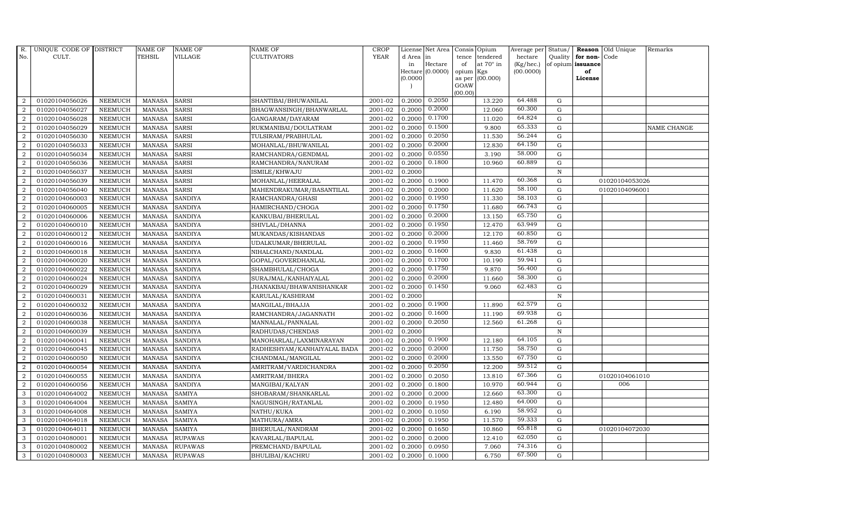| R.               | UNIQUE CODE OF DISTRICT |                | <b>NAME OF</b> | <b>NAME OF</b> | <b>NAME OF</b>              | CROP        |           | License Net Area |                | Consis Opium     | Average per        | Status/      | Reason            | Old Unique     | Remarks     |
|------------------|-------------------------|----------------|----------------|----------------|-----------------------------|-------------|-----------|------------------|----------------|------------------|--------------------|--------------|-------------------|----------------|-------------|
| No.              | CULT.                   |                | <b>TEHSIL</b>  | <b>VILLAGE</b> | <b>CULTIVATORS</b>          | <b>YEAR</b> | d Area in |                  | tence          | tendered         | hectare            | Quality      | for non-          | Code           |             |
|                  |                         |                |                |                |                             |             | in        | Hectare          | of             | at $70^\circ$ in | $(Kg/ {\rm hec.})$ |              | of opium issuance |                |             |
|                  |                         |                |                |                |                             |             |           | Hectare (0.0000) | opium Kgs      |                  | (00.0000)          |              | of                |                |             |
|                  |                         |                |                |                |                             |             | (0.0000)  |                  | as per<br>GOAW | (00.000)         |                    |              | License           |                |             |
|                  |                         |                |                |                |                             |             |           |                  | (00.00)        |                  |                    |              |                   |                |             |
| $\overline{2}$   | 01020104056026          | <b>NEEMUCH</b> | <b>MANASA</b>  | <b>SARSI</b>   | SHANTIBAI/BHUWANILAL        | 2001-02     | 0.2000    | 0.2050           |                | 13.220           | 64.488             | ${\rm G}$    |                   |                |             |
| $\overline{2}$   | 01020104056027          | <b>NEEMUCH</b> | <b>MANASA</b>  | <b>SARSI</b>   | BHAGWANSINGH/BHANWARLAL     | 2001-02     | 0.2000    | 0.2000           |                | 12.060           | 60.300             | ${\rm G}$    |                   |                |             |
| 2                | 01020104056028          | <b>NEEMUCH</b> | <b>MANASA</b>  | <b>SARSI</b>   | GANGARAM/DAYARAM            | 2001-02     | 0.2000    | 0.1700           |                | 11.020           | 64.824             | $\mathbf G$  |                   |                |             |
| $\overline{2}$   | 01020104056029          | <b>NEEMUCH</b> | <b>MANASA</b>  | <b>SARSI</b>   | RUKMANIBAI/DOULATRAM        | 2001-02     | 0.2000    | 0.1500           |                | 9.800            | 65.333             | $\mathbf G$  |                   |                | NAME CHANGE |
| $\overline{2}$   | 01020104056030          | <b>NEEMUCH</b> | <b>MANASA</b>  | <b>SARSI</b>   | TULSIRAM/PRABHULAL          | 2001-02     | 0.2000    | 0.2050           |                | 11.530           | 56.244             | $\mathbf G$  |                   |                |             |
| $\overline{2}$   | 01020104056033          | <b>NEEMUCH</b> | <b>MANASA</b>  | SARSI          | MOHANLAL/BHUWANILAL         | 2001-02     | 0.2000    | 0.2000           |                | 12.830           | 64.150             | ${\rm G}$    |                   |                |             |
| $\overline{a}$   | 01020104056034          | <b>NEEMUCH</b> | <b>MANASA</b>  | <b>SARSI</b>   | RAMCHANDRA/GENDMAL          | 2001-02     | 0.2000    | 0.0550           |                | 3.190            | 58.000             | ${\rm G}$    |                   |                |             |
| $\overline{2}$   | 01020104056036          | <b>NEEMUCH</b> | <b>MANASA</b>  | <b>SARSI</b>   | RAMCHANDRA/NANURAM          | 2001-02     | 0.2000    | 0.1800           |                | 10.960           | 60.889             | G            |                   |                |             |
| $\overline{2}$   | 01020104056037          | <b>NEEMUCH</b> | <b>MANASA</b>  | <b>SARSI</b>   | ISMILE/KHWAJU               | 2001-02     | 0.2000    |                  |                |                  |                    | $\mathbf N$  |                   |                |             |
| $\boldsymbol{2}$ | 01020104056039          | NEEMUCH        | <b>MANASA</b>  | <b>SARSI</b>   | MOHANLAL/HEERALAL           | 2001-02     | 0.2000    | 0.1900           |                | 11.470           | 60.368             | $\mathbf G$  |                   | 01020104053026 |             |
| 2                | 01020104056040          | <b>NEEMUCH</b> | <b>MANASA</b>  | <b>SARSI</b>   | MAHENDRAKUMAR/BASANTILAL    | $2001 - 02$ | 0.2000    | 0.2000           |                | 11.620           | 58.100             | ${\rm G}$    |                   | 01020104096001 |             |
| $\overline{a}$   | 01020104060003          | <b>NEEMUCH</b> | <b>MANASA</b>  | <b>SANDIYA</b> | RAMCHANDRA/GHASI            | 2001-02     | 0.2000    | 0.1950           |                | 11.330           | 58.103             | ${\rm G}$    |                   |                |             |
| $\overline{2}$   | 01020104060005          | <b>NEEMUCH</b> | <b>MANASA</b>  | <b>SANDIYA</b> | HAMIRCHAND/CHOGA            | 2001-02     | 0.2000    | 0.1750           |                | 11.680           | 66.743             | $\mathbf G$  |                   |                |             |
| 2                | 01020104060006          | <b>NEEMUCH</b> | <b>MANASA</b>  | <b>SANDIYA</b> | KANKUBAI/BHERULAL           | 2001-02     | 0.2000    | 0.2000           |                | 13.150           | 65.750             | $\mathbf G$  |                   |                |             |
| $\sqrt{2}$       | 01020104060010          | NEEMUCH        | <b>MANASA</b>  | <b>SANDIYA</b> | SHIVLAL/DHANNA              | 2001-02     | 0.2000    | 0.1950           |                | 12.470           | 63.949             | $\mathbf G$  |                   |                |             |
| 2                | 01020104060012          | <b>NEEMUCH</b> | <b>MANASA</b>  | <b>SANDIYA</b> | MUKANDAS/KISHANDAS          | 2001-02     | 0.2000    | 0.2000           |                | 12.170           | 60.850             | $\mathbf G$  |                   |                |             |
| 2                | 01020104060016          | <b>NEEMUCH</b> | <b>MANASA</b>  | <b>SANDIYA</b> | UDALKUMAR/BHERULAL          | 2001-02     | 0.2000    | 0.1950           |                | 11.460           | 58.769             | ${\rm G}$    |                   |                |             |
| $\overline{a}$   | 01020104060018          | <b>NEEMUCH</b> | MANASA         | <b>SANDIYA</b> | NIHALCHAND/NANDLAL          | 2001-02     | 0.2000    | 0.1600           |                | 9.830            | 61.438             | $\mathbf G$  |                   |                |             |
| $\overline{2}$   | 01020104060020          | <b>NEEMUCH</b> | <b>MANASA</b>  | <b>SANDIYA</b> | GOPAL/GOVERDHANLAL          | 2001-02     | 0.2000    | 0.1700           |                | 10.190           | 59.941             | $\mathbf G$  |                   |                |             |
| $\overline{2}$   | 01020104060022          | NEEMUCH        | <b>MANASA</b>  | <b>SANDIYA</b> | SHAMBHULAL/CHOGA            | 2001-02     | 0.2000    | 0.1750           |                | 9.870            | 56.400             | $\mathbf G$  |                   |                |             |
| $\overline{2}$   | 01020104060024          | <b>NEEMUCH</b> | <b>MANASA</b>  | <b>SANDIYA</b> | SURAJMAL/KANHAIYALAL        | 2001-02     | 0.2000    | 0.2000           |                | 11.660           | 58.300             | $\mathbf G$  |                   |                |             |
| 2                | 01020104060029          | <b>NEEMUCH</b> | <b>MANASA</b>  | <b>SANDIYA</b> | JHANAKBAI/BHAWANISHANKAR    | 2001-02     | 0.2000    | 0.1450           |                | 9.060            | 62.483             | ${\rm G}$    |                   |                |             |
| $\overline{a}$   | 01020104060031          | <b>NEEMUCH</b> | MANASA         | <b>SANDIYA</b> | KARULAL/KASHIRAM            | 2001-02     | 0.2000    |                  |                |                  |                    | ${\bf N}$    |                   |                |             |
| 2                | 01020104060032          | <b>NEEMUCH</b> | <b>MANASA</b>  | <b>SANDIYA</b> | MANGILAL/BHAJJA             | 2001-02     | 0.2000    | 0.1900           |                | 11.890           | 62.579             | $\mathbf G$  |                   |                |             |
| $\overline{2}$   | 01020104060036          | <b>NEEMUCH</b> | <b>MANASA</b>  | <b>SANDIYA</b> | RAMCHANDRA/JAGANNATH        | 2001-02     | 0.2000    | 0.1600           |                | 11.190           | 69.938             | $\mathbf G$  |                   |                |             |
| 2                | 01020104060038          | <b>NEEMUCH</b> | <b>MANASA</b>  | <b>SANDIYA</b> | MANNALAL/PANNALAL           | 2001-02     | 0.2000    | 0.2050           |                | 12.560           | 61.268             | ${\rm G}$    |                   |                |             |
| 2                | 01020104060039          | <b>NEEMUCH</b> | <b>MANASA</b>  | <b>SANDIYA</b> | RADHUDAS/CHENDAS            | 2001-02     | 0.2000    |                  |                |                  |                    | $\, {\rm N}$ |                   |                |             |
| $\overline{a}$   | 01020104060041          | <b>NEEMUCH</b> | <b>MANASA</b>  | <b>SANDIYA</b> | MANOHARLAL/LAXMINARAYAN     | 2001-02     | 0.2000    | 0.1900           |                | 12.180           | 64.105             | $\mathbf G$  |                   |                |             |
| $\overline{2}$   | 01020104060045          | <b>NEEMUCH</b> | <b>MANASA</b>  | <b>SANDIYA</b> | RADHESHYAM/KANHAIYALAL BADA | 2001-02     | 0.2000    | 0.2000           |                | 11.750           | 58.750             | $\mathbf G$  |                   |                |             |
| $\overline{2}$   | 01020104060050          | <b>NEEMUCH</b> | <b>MANASA</b>  | <b>SANDIYA</b> | CHANDMAL/MANGILAL           | 2001-02     | 0.2000    | 0.2000           |                | 13.550           | 67.750             | $\mathbf G$  |                   |                |             |
| $\overline{2}$   | 01020104060054          | <b>NEEMUCH</b> | MANASA         | <b>SANDIYA</b> | AMRITRAM/VARDICHANDRA       | 2001-02     | 0.2000    | 0.2050           |                | 12.200           | 59.512             | G            |                   |                |             |
| $\overline{2}$   | 01020104060055          | <b>NEEMUCH</b> | <b>MANASA</b>  | <b>SANDIYA</b> | AMRITRAM/BHERA              | 2001-02     | 0.2000    | 0.2050           |                | 13.810           | 67.366             | ${\rm G}$    |                   | 01020104061010 |             |
| $\overline{a}$   | 01020104060056          | <b>NEEMUCH</b> | <b>MANASA</b>  | <b>SANDIYA</b> | MANGIBAI/KALYAN             | 2001-02     | 0.2000    | 0.1800           |                | 10.970           | 60.944             | ${\bf G}$    |                   | 006            |             |
| 3                | 01020104064002          | <b>NEEMUCH</b> | <b>MANASA</b>  | <b>SAMIYA</b>  | SHOBARAM/SHANKARLAL         | 2001-02     | 0.2000    | 0.2000           |                | 12.660           | 63.300             | $\mathbf G$  |                   |                |             |
| 3                | 01020104064004          | <b>NEEMUCH</b> | <b>MANASA</b>  | <b>SAMIYA</b>  | NAGUSINGH/RATANLAL          | 2001-02     | 0.2000    | 0.1950           |                | 12.480           | 64.000             | $\mathbf G$  |                   |                |             |
| 3                | 01020104064008          | <b>NEEMUCH</b> | <b>MANASA</b>  | <b>SAMIYA</b>  | NATHU/KUKA                  | 2001-02     | 0.2000    | 0.1050           |                | 6.190            | 58.952             | ${\rm G}$    |                   |                |             |
| 3                | 01020104064018          | <b>NEEMUCH</b> | <b>MANASA</b>  | <b>SAMIYA</b>  | MATHURA/AMRA                | 2001-02     | 0.2000    | 0.1950           |                | 11.570           | 59.333             | $\mathbf G$  |                   |                |             |
| 3                | 01020104064011          | <b>NEEMUCH</b> | <b>MANASA</b>  | <b>SAMIYA</b>  | BHERULAL/NANDRAM            | 2001-02     | 0.2000    | 0.1650           |                | 10.860           | 65.818             | ${\rm G}$    |                   | 01020104072030 |             |
| 3                | 01020104080001          | <b>NEEMUCH</b> | <b>MANASA</b>  | <b>RUPAWAS</b> | KAVARLAL/BAPULAL            | 2001-02     | 0.2000    | 0.2000           |                | 12.410           | 62.050             | $\mathbf G$  |                   |                |             |
| 3                | 01020104080002          | <b>NEEMUCH</b> | <b>MANASA</b>  | <b>RUPAWAS</b> | PREMCHAND/BAPULAL           | 2001-02     | 0.2000    | 0.0950           |                | 7.060            | 74.316             | $\mathbf G$  |                   |                |             |
| 3                | 01020104080003          | <b>NEEMUCH</b> |                | MANASA RUPAWAS | BHULIBAI/KACHRU             | 2001-02     | 0.2000    | 0.1000           |                | 6.750            | 67.500             | G            |                   |                |             |
|                  |                         |                |                |                |                             |             |           |                  |                |                  |                    |              |                   |                |             |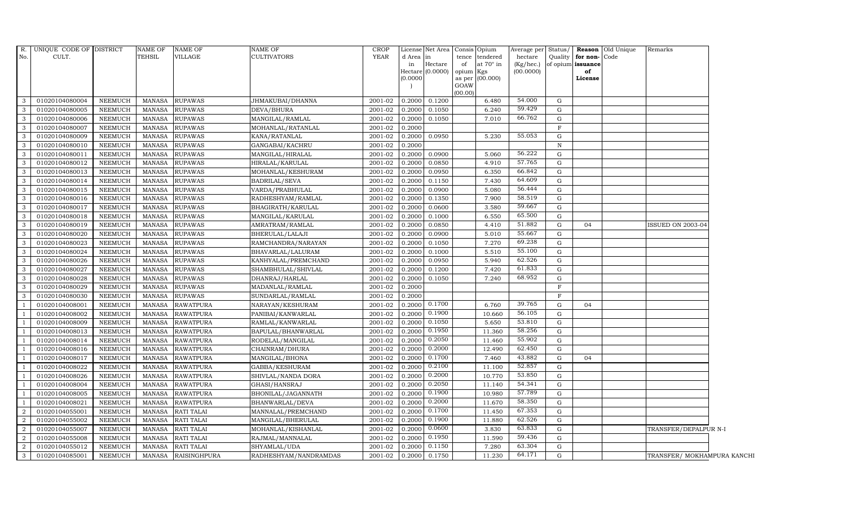| $R$ .          | UNIQUE CODE OF DISTRICT |                 | NAME OF       | <b>NAME OF</b>      | <b>NAME OF</b>        | <b>CROP</b> |           | License Net Area Consis Opium |           |                  | Average per Status/ |              |                   | <b>Reason</b> Old Unique | Remarks                     |  |
|----------------|-------------------------|-----------------|---------------|---------------------|-----------------------|-------------|-----------|-------------------------------|-----------|------------------|---------------------|--------------|-------------------|--------------------------|-----------------------------|--|
| No.            | CULT.                   |                 | TEHSIL        | VILLAGE             | <b>CULTIVATORS</b>    | <b>YEAR</b> | d Area in |                               | tence     | tendered         | hectare             | Quality      | for non-Code      |                          |                             |  |
|                |                         |                 |               |                     |                       |             | in        | Hectare                       | of        | at $70^\circ$ in | $(Kg/$ hec.)        |              | of opium issuance |                          |                             |  |
|                |                         |                 |               |                     |                       |             | (0.0000)  | Hectare $(0.0000)$            | opium Kgs | as per (00.000)  | (00.0000)           |              | of<br>License     |                          |                             |  |
|                |                         |                 |               |                     |                       |             |           |                               | GOAW      |                  |                     |              |                   |                          |                             |  |
|                |                         |                 |               |                     |                       |             |           |                               | (00.00)   |                  |                     |              |                   |                          |                             |  |
| 3              | 01020104080004          | NEEMUCH         | MANASA        | <b>RUPAWAS</b>      | JHMAKUBAI/DHANNA      | 2001-02     | 0.2000    | 0.1200                        |           | 6.480            | 54.000              | G            |                   |                          |                             |  |
| 3              | 01020104080005          | <b>NEEMUCH</b>  | <b>MANASA</b> | <b>RUPAWAS</b>      | DEVA/BHURA            | 2001-02     | 0.2000    | 0.1050                        |           | 6.240            | 59.429              | G            |                   |                          |                             |  |
| 3              | 01020104080006          | <b>NEEMUCH</b>  | <b>MANASA</b> | <b>RUPAWAS</b>      | MANGILAL/RAMLAL       | 2001-02     | 0.2000    | 0.1050                        |           | 7.010            | 66.762              | G            |                   |                          |                             |  |
| 3              | 01020104080007          | NEEMUCH         | <b>MANASA</b> | <b>RUPAWAS</b>      | MOHANLAL/RATANLAL     | 2001-02     | 0.2000    |                               |           |                  |                     | $\mathbf{F}$ |                   |                          |                             |  |
| 3              | 01020104080009          | <b>NEEMUCH</b>  | <b>MANASA</b> | <b>RUPAWAS</b>      | KANA/RATANLAL         | 2001-02     | 0.2000    | 0.0950                        |           | 5.230            | 55.053              | G            |                   |                          |                             |  |
| 3              | 01020104080010          | NEEMUCH         | <b>MANASA</b> | <b>RUPAWAS</b>      | GANGABAI/KACHRU       | 2001-02     | 0.2000    |                               |           |                  |                     | ${\bf N}$    |                   |                          |                             |  |
| 3              | 01020104080011          | NEEMUCH         | <b>MANASA</b> | <b>RUPAWAS</b>      | MANGILAL/HIRALAL      | 2001-02     | 0.2000    | 0.0900                        |           | 5.060            | 56.222              | G            |                   |                          |                             |  |
| 3              | 01020104080012          | <b>NEEMUCH</b>  | <b>MANASA</b> | <b>RUPAWAS</b>      | HIRALAL/KARULAL       | 2001-02     | 0.2000    | 0.0850                        |           | 4.910            | 57.765              | G            |                   |                          |                             |  |
| 3              | 01020104080013          | <b>NEEMUCH</b>  | <b>MANASA</b> | <b>RUPAWAS</b>      | MOHANLAL/KESHURAM     | 2001-02     | 0.2000    | 0.0950                        |           | 6.350            | 66.842              | G            |                   |                          |                             |  |
| 3              | 01020104080014          | NEEMUCH         | <b>MANASA</b> | <b>RUPAWAS</b>      | <b>BADRILAL/SEVA</b>  | 2001-02     | 0.2000    | 0.1150                        |           | 7.430            | 64.609              | G            |                   |                          |                             |  |
| 3              | 01020104080015          | <b>NEEMUCH</b>  | <b>MANASA</b> | <b>RUPAWAS</b>      | VARDA/PRABHULAL       | 2001-02     | 0.2000    | 0.0900                        |           | 5.080            | 56.444              | G            |                   |                          |                             |  |
| 3              | 01020104080016          | <b>NEEMUCH</b>  | <b>MANASA</b> | <b>RUPAWAS</b>      | RADHESHYAM/RAMLAL     | 2001-02     | 0.2000    | 0.1350                        |           | 7.900            | 58.519              | G            |                   |                          |                             |  |
| 3              | 01020104080017          | <b>NEEMUCH</b>  | <b>MANASA</b> | <b>RUPAWAS</b>      | BHAGIRATH/KARULAL     | 2001-02     | 0.2000    | 0.0600                        |           | 3.580            | 59.667              | G            |                   |                          |                             |  |
| 3              | 01020104080018          | <b>NEEMUCH</b>  | <b>MANASA</b> | <b>RUPAWAS</b>      | MANGILAL/KARULAL      | 2001-02     | 0.2000    | 0.1000                        |           | 6.550            | 65.500              | G            |                   |                          |                             |  |
| 3              | 01020104080019          | <b>NEEMUCH</b>  | <b>MANASA</b> | <b>RUPAWAS</b>      | AMRATRAM/RAMLAL       | 2001-02     | 0.2000    | 0.0850                        |           | 4.410            | 51.882              | G            | 04                |                          | <b>ISSUED ON 2003-04</b>    |  |
| 3              | 01020104080020          | NEEMUCH         | <b>MANASA</b> | <b>RUPAWAS</b>      | BHERULAL/LALAJI       | 2001-02     | 0.2000    | 0.0900                        |           | 5.010            | 55.667              | G            |                   |                          |                             |  |
| 3              | 01020104080023          | NEEMUCH         | <b>MANASA</b> | <b>RUPAWAS</b>      | RAMCHANDRA/NARAYAN    | 2001-02     | 0.2000    | 0.1050                        |           | 7.270            | 69.238              | G            |                   |                          |                             |  |
| 3              | 01020104080024          | NEEMUCH         | <b>MANASA</b> | <b>RUPAWAS</b>      | BHAVARLAL/LALURAM     | 2001-02     | 0.2000    | 0.1000                        |           | 5.510            | 55.100              | G            |                   |                          |                             |  |
| 3              | 01020104080026          | <b>NEEMUCH</b>  | <b>MANASA</b> | <b>RUPAWAS</b>      | KANHYALAL/PREMCHAND   | 2001-02     | 0.2000    | 0.0950                        |           | 5.940            | 62.526              | G            |                   |                          |                             |  |
| 3              | 01020104080027          | <b>NEEMUCH</b>  | <b>MANASA</b> | <b>RUPAWAS</b>      | SHAMBHULAL/SHIVLAL    | 2001-02     | 0.2000    | 0.1200                        |           | 7.420            | 61.833              | G            |                   |                          |                             |  |
| 3              | 01020104080028          | <b>NEEMUCH</b>  | <b>MANASA</b> | <b>RUPAWAS</b>      | DHANRAJ/HARLAL        | 2001-02     | 0.2000    | 0.1050                        |           | 7.240            | 68.952              | ${\rm G}$    |                   |                          |                             |  |
| 3              | 01020104080029          | NEEMUCH         | <b>MANASA</b> | <b>RUPAWAS</b>      | MADANLAL/RAMLAL       | 2001-02     | 0.2000    |                               |           |                  |                     | $\mathbf F$  |                   |                          |                             |  |
| 3              | 01020104080030          | NEEMUCH         | <b>MANASA</b> | <b>RUPAWAS</b>      | SUNDARLAL/RAMLAL      | 2001-02     | 0.2000    |                               |           |                  |                     | $\mathbf{F}$ |                   |                          |                             |  |
|                | 01020104008001          | <b>NEEMUCH</b>  | <b>MANASA</b> | <b>RAWATPURA</b>    | NARAYAN/KESHURAM      | 2001-02     | 0.2000    | 0.1700                        |           | 6.760            | 39.765              | G            | 04                |                          |                             |  |
|                | 01020104008002          | <b>NEEMUCH</b>  | <b>MANASA</b> | <b>RAWATPURA</b>    | PANIBAI/KANWARLAL     | 2001-02     | 0.2000    | 0.1900                        |           | 10.660           | 56.105              | G            |                   |                          |                             |  |
|                | 01020104008009          | <b>NEEMUCH</b>  | <b>MANASA</b> | <b>RAWATPURA</b>    | RAMLAL/KANWARLAL      | 2001-02     | 0.2000    | 0.1050                        |           | 5.650            | 53.810              | G            |                   |                          |                             |  |
|                | 01020104008013          | <b>NEEMUCH</b>  | <b>MANASA</b> | <b>RAWATPURA</b>    | BAPULAL/BHANWARLAL    | $2001 - 02$ | 0.2000    | 0.1950                        |           | 11.360           | 58.256              | G            |                   |                          |                             |  |
|                | 01020104008014          | NEEMUCH         | <b>MANASA</b> | <b>RAWATPURA</b>    | RODELAL/MANGILAL      | 2001-02     | 0.2000    | 0.2050                        |           | 11.460           | 55.902              | G            |                   |                          |                             |  |
|                | 01020104008016          | NEEMUCH         | <b>MANASA</b> | <b>RAWATPURA</b>    | CHAINRAM/DHURA        | 2001-02     | 0.2000    | 0.2000                        |           | 12.490           | 62.450              | G            |                   |                          |                             |  |
|                | 01020104008017          | <b>NEEMUCH</b>  | <b>MANASA</b> | <b>RAWATPURA</b>    | MANGILAL/BHONA        | 2001-02     | 0.2000    | 0.1700                        |           | 7.460            | 43.882              | G            | 04                |                          |                             |  |
|                | 01020104008022          | ${\tt NEEMUCH}$ | <b>MANASA</b> | <b>RAWATPURA</b>    | GABBA/KESHURAM        | 2001-02     | 0.2000    | 0.2100                        |           | 11.100           | 52.857              | G            |                   |                          |                             |  |
|                | 01020104008026          | <b>NEEMUCH</b>  | <b>MANASA</b> | <b>RAWATPURA</b>    | SHIVLAL/NANDA DORA    | 2001-02     | 0.2000    | 0.2000                        |           | 10.770           | 53.850              | G            |                   |                          |                             |  |
|                | 01020104008004          | <b>NEEMUCH</b>  | <b>MANASA</b> | <b>RAWATPURA</b>    | GHASI/HANSRAJ         | 2001-02     | 0.2000    | 0.2050                        |           | 11.140           | 54.341              | G            |                   |                          |                             |  |
| $\overline{1}$ | 01020104008005          | <b>NEEMUCH</b>  | <b>MANASA</b> | <b>RAWATPURA</b>    | BHONILAL/JAGANNATH    | 2001-02     | 0.2000    | 0.1900                        |           | 10.980           | 57.789              | G            |                   |                          |                             |  |
|                | 01020104008021          | <b>NEEMUCH</b>  | <b>MANASA</b> | <b>RAWATPURA</b>    | BHANWARLAL/DEVA       | 2001-02     | 0.2000    | 0.2000                        |           | 11.670           | 58.350              | G            |                   |                          |                             |  |
| 2              | 01020104055001          | <b>NEEMUCH</b>  | <b>MANASA</b> | <b>RATI TALAI</b>   | MANNALAL/PREMCHAND    | 2001-02     | 0.2000    | 0.1700                        |           | 11.450           | 67.353              | G            |                   |                          |                             |  |
| 2              | 01020104055002          | <b>NEEMUCH</b>  | <b>MANASA</b> | RATI TALAI          | MANGILAL/BHERULAL     | 2001-02     | 0.2000    | 0.1900                        |           | 11.880           | 62.526              | G            |                   |                          |                             |  |
| 2              | 01020104055007          | NEEMUCH         | <b>MANASA</b> | RATI TALAI          | MOHANLAL/KISHANLAL    | 2001-02     | 0.2000    | 0.0600                        |           | 3.830            | 63.833              | G            |                   |                          | TRANSFER/DEPALPUR N-I       |  |
| $\overline{2}$ | 01020104055008          | <b>NEEMUCH</b>  | <b>MANASA</b> | <b>RATI TALAI</b>   | RAJMAL/MANNALAL       | 2001-02     | 0.2000    | 0.1950                        |           | 11.590           | 59.436              | G            |                   |                          |                             |  |
| $\overline{2}$ | 01020104055012          | <b>NEEMUCH</b>  | <b>MANASA</b> | <b>RATI TALAI</b>   | SHYAMLAL/UDA          | 2001-02     | 0.2000    | 0.1150                        |           | 7.280            | 63.304              | G            |                   |                          |                             |  |
| 3              | 01020104085001          | <b>NEEMUCH</b>  | <b>MANASA</b> | <b>RAISINGHPURA</b> | RADHESHYAM/NANDRAMDAS | 2001-02     | 0.2000    | 0.1750                        |           | 11.230           | 64.171              | G            |                   |                          | TRANSFER/ MOKHAMPURA KANCHI |  |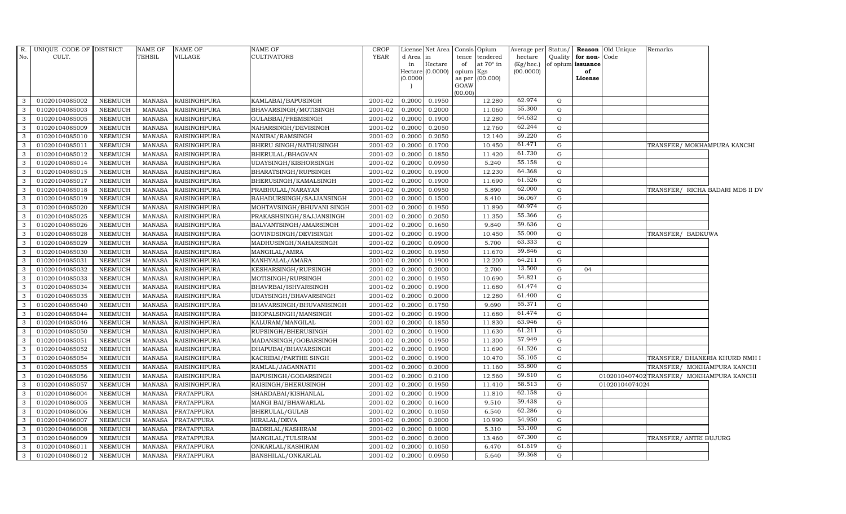| $R_{\cdot}$    | UNIQUE CODE OF DISTRICT |                | <b>NAME OF</b> | <b>NAME OF</b>      | <b>NAME OF</b>            | <b>CROP</b> |           | License Net Area Consis Opium |           |                  | Average per | Status/     |                   | <b>Reason</b> Old Unique | Remarks                |                                          |
|----------------|-------------------------|----------------|----------------|---------------------|---------------------------|-------------|-----------|-------------------------------|-----------|------------------|-------------|-------------|-------------------|--------------------------|------------------------|------------------------------------------|
| No.            | CULT.                   |                | TEHSIL         | VILLAGE             | <b>CULTIVATORS</b>        | <b>YEAR</b> | d Area in |                               |           | tence tendered   | hectare     | Quality     | for non-Code      |                          |                        |                                          |
|                |                         |                |                |                     |                           |             | in        | Hectare                       | of        | at $70^\circ$ in | (Kg/hec.)   |             | of opium issuance |                          |                        |                                          |
|                |                         |                |                |                     |                           |             | (0.0000)  | Hectare (0.0000)              | opium Kgs | as per (00.000)  | (00.0000)   |             | of<br>License     |                          |                        |                                          |
|                |                         |                |                |                     |                           |             |           |                               | GOAW      |                  |             |             |                   |                          |                        |                                          |
|                |                         |                |                |                     |                           |             |           |                               | (00.00)   |                  |             |             |                   |                          |                        |                                          |
| $\mathbf{3}$   | 01020104085002          | <b>NEEMUCH</b> | MANASA         | <b>RAISINGHPURA</b> | KAMLABAI/BAPUSINGH        | 2001-02     | 0.2000    | 0.1950                        |           | 12.280           | 62.974      | G           |                   |                          |                        |                                          |
| 3              | 01020104085003          | <b>NEEMUCH</b> | <b>MANASA</b>  | <b>RAISINGHPURA</b> | BHAVARSINGH/MOTISINGH     | 2001-02     | 0.2000    | 0.2000                        |           | 11.060           | 55.300      | G           |                   |                          |                        |                                          |
| 3              | 01020104085005          | NEEMUCH        | <b>MANASA</b>  | <b>RAISINGHPURA</b> | GULABBAI/PREMSINGH        | 2001-02     | 0.2000    | 0.1900                        |           | 12.280           | 64.632      | G           |                   |                          |                        |                                          |
| 3              | 01020104085009          | <b>NEEMUCH</b> | <b>MANASA</b>  | <b>RAISINGHPURA</b> | NAHARSINGH/DEVISINGH      | 2001-02     | 0.2000    | 0.2050                        |           | 12.760           | 62.244      | G           |                   |                          |                        |                                          |
| $\mathbf{3}$   | 01020104085010          | <b>NEEMUCH</b> | <b>MANASA</b>  | <b>RAISINGHPURA</b> | NANIBAI/RAMSINGH          | 2001-02     | 0.2000    | 0.2050                        |           | 12.140           | 59.220      | G           |                   |                          |                        |                                          |
| $\mathbf{3}$   | 01020104085011          | <b>NEEMUCH</b> | <b>MANASA</b>  | <b>RAISINGHPURA</b> | BHERU SINGH/NATHUSINGH    | 2001-02     | 0.2000    | 0.1700                        |           | 10.450           | 61.471      | G           |                   |                          |                        | TRANSFER/ MOKHAMPURA KANCHI              |
| 3              | 01020104085012          | <b>NEEMUCH</b> | <b>MANASA</b>  | <b>RAISINGHPURA</b> | BHERULAL/BHAGVAN          | 2001-02     | 0.2000    | 0.1850                        |           | 11.420           | 61.730      | G           |                   |                          |                        |                                          |
| $\mathbf{3}$   | 01020104085014          | NEEMUCH        | <b>MANASA</b>  | <b>RAISINGHPURA</b> | UDAYSINGH/KISHORSINGH     | 2001-02     | 0.2000    | 0.0950                        |           | 5.240            | 55.158      | G           |                   |                          |                        |                                          |
| 3              | 01020104085015          | <b>NEEMUCH</b> | <b>MANASA</b>  | <b>RAISINGHPURA</b> | BHARATSINGH/RUPSINGH      | 2001-02     | 0.2000    | 0.1900                        |           | 12.230           | 64.368      | G           |                   |                          |                        |                                          |
| $\mathbf{3}$   | 01020104085017          | NEEMUCH        | <b>MANASA</b>  | <b>RAISINGHPURA</b> | BHERUSINGH/KAMALSINGH     | 2001-02     | 0.2000    | 0.1900                        |           | 11.690           | 61.526      | ${\rm G}$   |                   |                          |                        |                                          |
| $\mathbf{3}$   | 01020104085018          | <b>NEEMUCH</b> | <b>MANASA</b>  | <b>RAISINGHPURA</b> | PRABHULAL/NARAYAN         | 2001-02     | 0.2000    | 0.0950                        |           | 5.890            | 62.000      | G           |                   |                          |                        | TRANSFER/ RICHA BADARI MDS II DV         |
| $\mathbf{3}$   | 01020104085019          | <b>NEEMUCH</b> | <b>MANASA</b>  | <b>RAISINGHPURA</b> | BAHADURSINGH/SAJJANSINGH  | 2001-02     | 0.2000    | 0.1500                        |           | 8.410            | 56.067      | G           |                   |                          |                        |                                          |
| $\mathbf{3}$   | 01020104085020          | <b>NEEMUCH</b> | <b>MANASA</b>  | <b>RAISINGHPURA</b> | MOHTAVSINGH/BHUVANI SINGH | 2001-02     | 0.2000    | 0.1950                        |           | 11.890           | 60.974      | G           |                   |                          |                        |                                          |
| 3              | 01020104085025          | <b>NEEMUCH</b> | <b>MANASA</b>  | <b>RAISINGHPURA</b> | PRAKASHSINGH/SAJJANSINGH  | 2001-02     | 0.2000    | 0.2050                        |           | 11.350           | 55.366      | G           |                   |                          |                        |                                          |
| $\mathbf{3}$   | 01020104085026          | <b>NEEMUCH</b> | <b>MANASA</b>  | <b>RAISINGHPURA</b> | BALVANTSINGH/AMARSINGH    | 2001-02     | 0.200     | 0.1650                        |           | 9.840            | 59.636      | ${\rm G}$   |                   |                          |                        |                                          |
| $\mathbf{3}$   | 01020104085028          | <b>NEEMUCH</b> | <b>MANASA</b>  | <b>RAISINGHPURA</b> | GOVINDSINGH/DEVISINGH     | 2001-02     | 0.2000    | 0.1900                        |           | 10.450           | 55.000      | G           |                   |                          | TRANSFER/ BADKUWA      |                                          |
| 3              | 01020104085029          | <b>NEEMUCH</b> | <b>MANASA</b>  | <b>RAISINGHPURA</b> | MADHUSINGH/NAHARSINGH     | 2001-02     | 0.2000    | 0.0900                        |           | 5.700            | 63.333      | G           |                   |                          |                        |                                          |
| $\overline{3}$ | 01020104085030          | <b>NEEMUCH</b> | <b>MANASA</b>  | <b>RAISINGHPURA</b> | MANGILAL/AMRA             | 2001-02     | 0.2000    | 0.1950                        |           | 11.670           | 59.846      | G           |                   |                          |                        |                                          |
| 3              | 01020104085031          | <b>NEEMUCH</b> | <b>MANASA</b>  | <b>RAISINGHPURA</b> | KANHYALAL/AMARA           | 2001-02     | 0.2000    | 0.1900                        |           | 12.200           | 64.211      | G           |                   |                          |                        |                                          |
| -3             | 01020104085032          | <b>NEEMUCH</b> | <b>MANASA</b>  | <b>RAISINGHPURA</b> | KESHARSINGH/RUPSINGH      | 2001-02     | 0.2000    | 0.2000                        |           | 2.700            | 13.500      | G           | 04                |                          |                        |                                          |
| $\mathbf{3}$   | 01020104085033          | <b>NEEMUCH</b> | <b>MANASA</b>  | <b>RAISINGHPURA</b> | MOTISINGH/RUPSINGH        | 2001-02     | 0.2000    | 0.1950                        |           | 10.690           | 54.821      | G           |                   |                          |                        |                                          |
| 3              | 01020104085034          | <b>NEEMUCH</b> | <b>MANASA</b>  | <b>RAISINGHPURA</b> | BHAVRBAI/ISHVARSINGH      | 2001-02     | 0.2000    | 0.1900                        |           | 11.680           | 61.474      | G           |                   |                          |                        |                                          |
| $\mathbf{3}$   | 01020104085035          | <b>NEEMUCH</b> | <b>MANASA</b>  | <b>RAISINGHPURA</b> | UDAYSINGH/BHAVARSINGH     | 2001-02     | 0.2000    | 0.2000                        |           | 12.280           | 61.400      | G           |                   |                          |                        |                                          |
| 3              | 01020104085040          | <b>NEEMUCH</b> | <b>MANASA</b>  | <b>RAISINGHPURA</b> | BHAVARSINGH/BHUVANISINGH  | 2001-02     | 0.2000    | 0.1750                        |           | 9.690            | 55.371      | G           |                   |                          |                        |                                          |
| 3              | 01020104085044          | <b>NEEMUCH</b> | <b>MANASA</b>  | <b>RAISINGHPURA</b> | BHOPALSINGH/MANSINGH      | 2001-02     | 0.2000    | 0.1900                        |           | 11.680           | 61.474      | G           |                   |                          |                        |                                          |
| 3              | 01020104085046          | <b>NEEMUCH</b> | <b>MANASA</b>  | <b>RAISINGHPURA</b> | KALURAM/MANGILAL          | 2001-02     | 0.2000    | 0.1850                        |           | 11.830           | 63.946      | G           |                   |                          |                        |                                          |
| 3              | 01020104085050          | <b>NEEMUCH</b> | <b>MANASA</b>  | <b>RAISINGHPURA</b> | RUPSINGH/BHERUSINGH       | 2001-02     | 0.2000    | 0.1900                        |           | 11.630           | 61.211      | G           |                   |                          |                        |                                          |
| $\mathbf{3}$   | 01020104085051          | <b>NEEMUCH</b> | <b>MANASA</b>  | <b>RAISINGHPURA</b> | MADANSINGH/GOBARSINGH     | 2001-02     | 0.2000    | 0.1950                        |           | 11.300           | 57.949      | G           |                   |                          |                        |                                          |
| 3              | 01020104085052          | <b>NEEMUCH</b> | <b>MANASA</b>  | <b>RAISINGHPURA</b> | DHAPUBAI/BHAVARSINGH      | 2001-02     | 0.200     | 0.1900                        |           | 11.690           | 61.526      | G           |                   |                          |                        |                                          |
| $\mathbf{3}$   | 01020104085054          | <b>NEEMUCH</b> | <b>MANASA</b>  | <b>RAISINGHPURA</b> | KACRIBAI/PARTHE SINGH     | 2001-02     | 0.2000    | 0.1900                        |           | 10.470           | 55.105      | G           |                   |                          |                        | TRANSFER/ DHANERIA KHURD NMH I           |
| 3              | 01020104085055          | <b>NEEMUCH</b> | <b>MANASA</b>  | <b>RAISINGHPURA</b> | RAMLAL/JAGANNATH          | 2001-02     | 0.2000    | 0.2000                        |           | 11.160           | 55.800      | G           |                   |                          |                        | TRANSFER/ MOKHAMPURA KANCHI              |
| 3              | 01020104085056          | NEEMUCH        | <b>MANASA</b>  | <b>RAISINGHPURA</b> | BAPUSINGH/GOBARSINGH      | 2001-02     | 0.2000    | 0.2100                        |           | 12.560           | 59.810      | G           |                   |                          |                        | 0102010407402TRANSFER/ MOKHAMPURA KANCHI |
| $\mathbf{3}$   | 01020104085057          | <b>NEEMUCH</b> | <b>MANASA</b>  | <b>RAISINGHPURA</b> | RAISINGH/BHERUSINGH       | 2001-02     | 0.2000    | 0.1950                        |           | 11.410           | 58.513      | G           |                   | 01020104074024           |                        |                                          |
| 3              | 01020104086004          | <b>NEEMUCH</b> | <b>MANASA</b>  | PRATAPPURA          | SHARDABAI/KISHANLAL       | 2001-02     | 0.200     | 0.1900                        |           | 11.810           | 62.158      | G           |                   |                          |                        |                                          |
| $\mathbf{3}$   | 01020104086005          | <b>NEEMUCH</b> | <b>MANASA</b>  | <b>PRATAPPURA</b>   | MANGI BAI/BHAWARLAL       | 2001-02     | 0.2000    | 0.1600                        |           | 9.510            | 59.438      | G           |                   |                          |                        |                                          |
| $\overline{3}$ | 01020104086006          | <b>NEEMUCH</b> | <b>MANASA</b>  | PRATAPPURA          | BHERULAL/GULAB            | 2001-02     | 0.2000    | 0.1050                        |           | 6.540            | 62.286      | $\mathbf G$ |                   |                          |                        |                                          |
| $\mathbf{3}$   | 01020104086007          | <b>NEEMUCH</b> | <b>MANASA</b>  | PRATAPPURA          | HIRALAL/DEVA              | 2001-02     | 0.2000    | 0.2000                        |           | 10.990           | 54.950      | G           |                   |                          |                        |                                          |
| $\mathbf{3}$   | 01020104086008          | <b>NEEMUCH</b> | <b>MANASA</b>  | PRATAPPURA          | BADRILAL/KASHIRAM         | 2001-02     | 0.2000    | 0.1000                        |           | 5.310            | 53.100      | G           |                   |                          |                        |                                          |
| 3              | 01020104086009          | <b>NEEMUCH</b> | <b>MANASA</b>  | <b>PRATAPPURA</b>   | MANGILAL/TULSIRAM         | 2001-02     | 0.200     | 0.2000                        |           | 13.460           | 67.300      | G           |                   |                          | TRANSFER/ ANTRI BUJURG |                                          |
| $\mathbf{3}$   | 01020104086011          | <b>NEEMUCH</b> | <b>MANASA</b>  | <b>PRATAPPURA</b>   | ONKARLAL/KASHIRAM         | 2001-02     | 0.2000    | 0.1050                        |           | 6.470            | 61.619      | G           |                   |                          |                        |                                          |
| 3              | 01020104086012          | <b>NEEMUCH</b> | <b>MANASA</b>  | PRATAPPURA          | BANSHILAL/ONKARLAL        | 2001-02     | 0.2000    | 0.0950                        |           | 5.640            | 59.368      | G           |                   |                          |                        |                                          |
|                |                         |                |                |                     |                           |             |           |                               |           |                  |             |             |                   |                          |                        |                                          |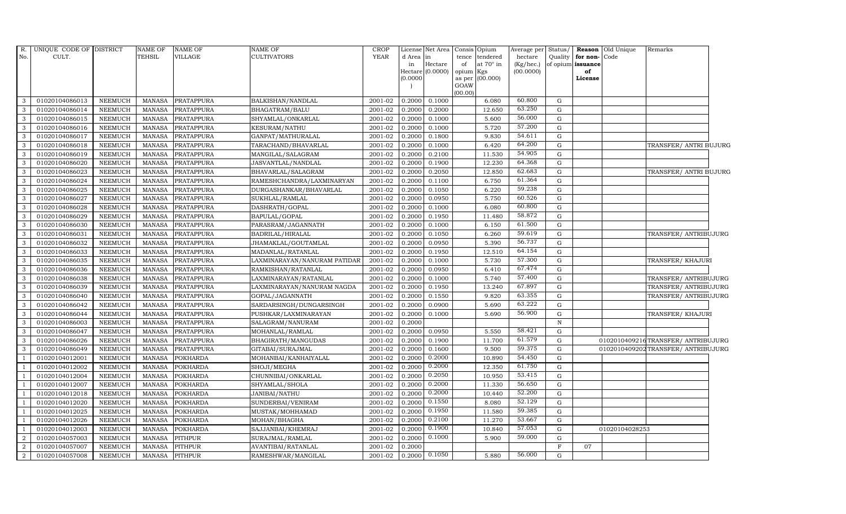| R.<br>No.      | UNIQUE CODE OF DISTRICT<br>CULT. |                | <b>NAME OF</b><br><b>TEHSIL</b> | <b>NAME OF</b><br>VILLAGE | <b>NAME OF</b><br><b>CULTIVATORS</b> | <b>CROP</b><br><b>YEAR</b> | d Area in<br>in | License Net Area   Consis   Opium<br>Hectare | tence<br>of                            | tendered<br>at 70° in | Average per<br>hectare<br>(Kg/hec.) | Status/<br>Quality | for non-<br>of opium issuance | Reason Old Unique<br>Code | Remarks                           |
|----------------|----------------------------------|----------------|---------------------------------|---------------------------|--------------------------------------|----------------------------|-----------------|----------------------------------------------|----------------------------------------|-----------------------|-------------------------------------|--------------------|-------------------------------|---------------------------|-----------------------------------|
|                |                                  |                |                                 |                           |                                      |                            | (0.0000)        | Hectare (0.0000)                             | opium Kgs<br>as per<br>GOAW<br>(00.00) | (00.000)              | (00.0000)                           |                    | of<br>License                 |                           |                                   |
| 3              | 01020104086013                   | NEEMUCH        | MANASA                          | PRATAPPURA                | BALKISHAN/NANDLAL                    | 2001-02                    | 0.2000          | 0.1000                                       |                                        | 6.080                 | 60.800                              | G                  |                               |                           |                                   |
| 3              | 01020104086014                   | <b>NEEMUCH</b> | <b>MANASA</b>                   | PRATAPPURA                | BHAGATRAM/BALU                       | 2001-02                    | 0.2000          | 0.2000                                       |                                        | 12.650                | 63.250                              | G                  |                               |                           |                                   |
| 3              | 01020104086015                   | <b>NEEMUCH</b> | <b>MANASA</b>                   | PRATAPPURA                | SHYAMLAL/ONKARLAL                    | 2001-02                    | 0.2000          | 0.1000                                       |                                        | 5.600                 | 56.000                              | G                  |                               |                           |                                   |
| 3              | 01020104086016                   | <b>NEEMUCH</b> | <b>MANASA</b>                   | <b>PRATAPPURA</b>         | KESURAM/NATHU                        | 2001-02                    | 0.2000          | 0.1000                                       |                                        | 5.720                 | 57.200                              | $\mathbf G$        |                               |                           |                                   |
| 3              | 01020104086017                   | <b>NEEMUCH</b> | <b>MANASA</b>                   | PRATAPPURA                | GANPAT/MATHURALAL                    | 2001-02                    | 0.2000          | 0.1800                                       |                                        | 9.830                 | 54.611                              | G                  |                               |                           |                                   |
| $\mathbf{3}$   | 01020104086018                   | NEEMUCH        | <b>MANASA</b>                   | PRATAPPURA                | TARACHAND/BHAVARLAL                  | 2001-02                    | 0.2000          | 0.1000                                       |                                        | 6.420                 | 64.200                              | $\mathbf{G}$       |                               |                           | TRANSFER/ ANTRI BUJURG            |
| 3              | 01020104086019                   | <b>NEEMUCH</b> | <b>MANASA</b>                   | PRATAPPURA                | MANGILAL/SALAGRAM                    | 2001-02                    | 0.2000          | 0.2100                                       |                                        | 11.530                | 54.905                              | G                  |                               |                           |                                   |
| 3              | 01020104086020                   | <b>NEEMUCH</b> | <b>MANASA</b>                   | PRATAPPURA                | JASVANTLAL/NANDLAL                   | 2001-02                    | 0.2000          | 0.1900                                       |                                        | 12.230                | 64.368                              | G                  |                               |                           |                                   |
| 3              | 01020104086023                   | <b>NEEMUCH</b> | <b>MANASA</b>                   | PRATAPPURA                | BHAVARLAL/SALAGRAM                   | 2001-02                    | 0.2000          | 0.2050                                       |                                        | 12.850                | 62.683                              | G                  |                               |                           | TRANSFER/ ANTRI BUJURG            |
| 3              | 01020104086024                   | <b>NEEMUCH</b> | <b>MANASA</b>                   | PRATAPPURA                | RAMESHCHANDRA/LAXMINARYAN            | 2001-02                    | 0.2000          | 0.1100                                       |                                        | 6.750                 | 61.364                              | G                  |                               |                           |                                   |
| $\mathbf{3}$   | 01020104086025                   | <b>NEEMUCH</b> | <b>MANASA</b>                   | PRATAPPURA                | DURGASHANKAR/BHAVARLAL               | 2001-02                    | 0.2000          | 0.1050                                       |                                        | 6.220                 | 59.238                              | $\mathbf{G}$       |                               |                           |                                   |
| 3              | 01020104086027                   | <b>NEEMUCH</b> | <b>MANASA</b>                   | PRATAPPURA                | SUKHLAL/RAMLAL                       | 2001-02                    | 0.2000          | 0.0950                                       |                                        | 5.750                 | 60.526                              | $\mathbf{G}$       |                               |                           |                                   |
| 3              | 01020104086028                   | <b>NEEMUCH</b> | <b>MANASA</b>                   | PRATAPPURA                | DASHRATH/GOPAL                       | 2001-02                    | 0.2000          | 0.1000                                       |                                        | 6.080                 | 60.800                              | G                  |                               |                           |                                   |
| 3              | 01020104086029                   | <b>NEEMUCH</b> | <b>MANASA</b>                   | PRATAPPURA                | BAPULAL/GOPAL                        | 2001-02                    | 0.2000          | 0.1950                                       |                                        | 11.480                | 58.872                              | G                  |                               |                           |                                   |
| 3              | 01020104086030                   | <b>NEEMUCH</b> | <b>MANASA</b>                   | PRATAPPURA                | PARASRAM/JAGANNATH                   | 2001-02                    | 0.2000          | 0.1000                                       |                                        | 6.150                 | 61.500                              | G                  |                               |                           |                                   |
| $\mathbf{3}$   | 01020104086031                   | <b>NEEMUCH</b> | <b>MANASA</b>                   | PRATAPPURA                | BADRILAL/HIRALAL                     | 2001-02                    | 0.2000          | 0.1050                                       |                                        | 6.260                 | 59.619                              | G                  |                               |                           | TRANSFER/ ANTRIBUJURG             |
| 3              | 01020104086032                   | <b>NEEMUCH</b> | <b>MANASA</b>                   | PRATAPPURA                | JHAMAKLAL/GOUTAMLAL                  | 2001-02                    | 0.2000          | 0.0950                                       |                                        | 5.390                 | 56.737                              | $\mathbf{G}$       |                               |                           |                                   |
| $\mathbf{3}$   | 01020104086033                   | <b>NEEMUCH</b> | <b>MANASA</b>                   | PRATAPPURA                | MADANLAL/RATANLAL                    | 2001-02                    | 0.2000          | 0.1950                                       |                                        | 12.510                | 64.154                              | G                  |                               |                           |                                   |
| 3              | 01020104086035                   | <b>NEEMUCH</b> | <b>MANASA</b>                   | PRATAPPURA                | LAXMINARAYAN/NANURAM PATIDAR         | 2001-02                    | 0.2000          | 0.1000                                       |                                        | 5.730                 | 57.300                              | G                  |                               |                           | TRANSFER/ KHAJURI                 |
| 3              | 01020104086036                   | <b>NEEMUCH</b> | <b>MANASA</b>                   | PRATAPPURA                | RAMKISHAN/RATANLAL                   | 2001-02                    | 0.2000          | 0.0950                                       |                                        | 6.410                 | 67.474                              | G                  |                               |                           |                                   |
| 3              | 01020104086038                   | <b>NEEMUCH</b> | <b>MANASA</b>                   | PRATAPPURA                | LAXMINARAYAN/RATANLAL                | 2001-02                    | 0.2000          | 0.1000                                       |                                        | 5.740                 | 57.400                              | G                  |                               |                           | TRANSFER/ ANTRIBUJURG             |
| 3              | 01020104086039                   | <b>NEEMUCH</b> | <b>MANASA</b>                   | PRATAPPURA                | LAXMINARAYAN/NANURAM NAGDA           | 2001-02                    | 0.2000          | 0.1950                                       |                                        | 13.240                | 67.897                              | $\mathbf{G}$       |                               |                           | TRANSFER/ ANTRIBUJURG             |
| $\mathbf{3}$   | 01020104086040                   | <b>NEEMUCH</b> | <b>MANASA</b>                   | PRATAPPURA                | GOPAL/JAGANNATH                      | 2001-02                    | 0.2000          | 0.1550                                       |                                        | 9.820                 | 63.355                              | G                  |                               |                           | TRANSFER/ ANTRIBUJURG             |
| 3              | 01020104086042                   | <b>NEEMUCH</b> | <b>MANASA</b>                   | <b>PRATAPPURA</b>         | SARDARSINGH/DUNGARSINGH              | 2001-02                    | 0.2000          | 0.0900                                       |                                        | 5.690                 | 63.222                              | G                  |                               |                           |                                   |
| 3              | 01020104086044                   | <b>NEEMUCH</b> | <b>MANASA</b>                   | PRATAPPURA                | PUSHKAR/LAXMINARAYAN                 | 2001-02                    | 0.2000          | 0.1000                                       |                                        | 5.690                 | 56.900                              | G                  |                               |                           | TRANSFER/KHAJURI                  |
| 3              | 01020104086003                   | <b>NEEMUCH</b> | <b>MANASA</b>                   | PRATAPPURA                | SALAGRAM/NANURAM                     | 2001-02                    | 0.2000          |                                              |                                        |                       |                                     | $\, {\rm N}$       |                               |                           |                                   |
| 3              | 01020104086047                   | <b>NEEMUCH</b> | <b>MANASA</b>                   | PRATAPPURA                | MOHANLAL/RAMLAL                      | 2001-02                    | 0.2000          | 0.0950                                       |                                        | 5.550                 | 58.421                              | G                  |                               |                           |                                   |
| 3              | 01020104086026                   | <b>NEEMUCH</b> | <b>MANASA</b>                   | PRATAPPURA                | BHAGIRATH/MANGUDAS                   | 2001-02                    | 0.2000          | 0.1900                                       |                                        | 11.700                | 61.579                              | G                  |                               |                           | 0102010409216TRANSFER/ANTRIBUJURG |
| 3              | 01020104086049                   | <b>NEEMUCH</b> | <b>MANASA</b>                   | PRATAPPURA                | GITABAI/SURAJMAL                     | 2001-02                    | 0.2000          | 0.1600                                       |                                        | 9.500                 | 59.375                              | G                  |                               |                           | 0102010409202TRANSFER/ANTRIBUJURG |
| $\overline{1}$ | 01020104012001                   | <b>NEEMUCH</b> | <b>MANASA</b>                   | <b>POKHARDA</b>           | MOHANBAI/KANHAIYALAL                 | 2001-02                    | 0.2000          | 0.2000                                       |                                        | 10.890                | 54.450                              | G                  |                               |                           |                                   |
| $\overline{1}$ | 01020104012002                   | NEEMUCH        | <b>MANASA</b>                   | <b>POKHARDA</b>           | SHOJI/MEGHA                          | 2001-02                    | 0.2000          | 0.2000                                       |                                        | 12.350                | 61.750                              | $\mathbf{G}$       |                               |                           |                                   |
| -1             | 01020104012004                   | <b>NEEMUCH</b> | <b>MANASA</b>                   | <b>POKHARDA</b>           | CHUNNIBAI/ONKARLAL                   | 2001-02                    | 0.2000          | 0.2050                                       |                                        | 10.950                | 53.415                              | G                  |                               |                           |                                   |
| $\overline{1}$ | 01020104012007                   | <b>NEEMUCH</b> | <b>MANASA</b>                   | <b>POKHARDA</b>           | SHYAMLAL/SHOLA                       | 2001-02                    | 0.2000          | 0.2000                                       |                                        | 11.330                | 56.650                              | G                  |                               |                           |                                   |
| $\overline{1}$ | 01020104012018                   | <b>NEEMUCH</b> | <b>MANASA</b>                   | <b>POKHARDA</b>           | <b>JANIBAI/NATHU</b>                 | 2001-02                    | 0.2000          | 0.2000                                       |                                        | 10.440                | 52.200                              | ${\rm G}$          |                               |                           |                                   |
| $\overline{1}$ | 01020104012020                   | <b>NEEMUCH</b> | <b>MANASA</b>                   | <b>POKHARDA</b>           | SUNDERBAI/VENIRAM                    | 2001-02                    | 0.2000          | 0.1550                                       |                                        | 8.080                 | 52.129                              | G                  |                               |                           |                                   |
| $\overline{1}$ | 01020104012025                   | NEEMUCH        | <b>MANASA</b>                   | <b>POKHARDA</b>           | MUSTAK/MOHHAMAD                      | 2001-02                    | 0.2000          | 0.1950                                       |                                        | 11.580                | 59.385                              | ${\rm G}$          |                               |                           |                                   |
| $\overline{1}$ | 01020104012026                   | <b>NEEMUCH</b> | <b>MANASA</b>                   | <b>POKHARDA</b>           | MOHAN/BHAGHA                         | 2001-02                    | 0.2000          | 0.2100                                       |                                        | 11.270                | 53.667                              | G                  |                               |                           |                                   |
| $\overline{1}$ | 01020104012003                   | <b>NEEMUCH</b> | <b>MANASA</b>                   | <b>POKHARDA</b>           | SAJJANBAI/KHEMRAJ                    | 2001-02                    | 0.2000          | 0.1900                                       |                                        | 10.840                | 57.053                              | G                  |                               | 01020104028253            |                                   |
| 2              | 01020104057003                   | <b>NEEMUCH</b> | <b>MANASA</b>                   | <b>PITHPUR</b>            | SURAJMAL/RAMLAL                      | 2001-02                    | 0.2000          | 0.1000                                       |                                        | 5.900                 | 59.000                              | $\mathbf G$        |                               |                           |                                   |
| $\overline{2}$ | 01020104057007                   | <b>NEEMUCH</b> | <b>MANASA</b>                   | <b>PITHPUR</b>            | AVANTIBAI/RATANLAL                   | 2001-02                    | 0.2000          |                                              |                                        |                       |                                     | $\mathbf F$        | 07                            |                           |                                   |
| $\overline{2}$ | 01020104057008                   | NEEMUCH        | MANASA                          | <b>PITHPUR</b>            | RAMESHWAR/MANGILAL                   | 2001-02                    | 0.2000          | 0.1050                                       |                                        | 5.880                 | 56.000                              | G                  |                               |                           |                                   |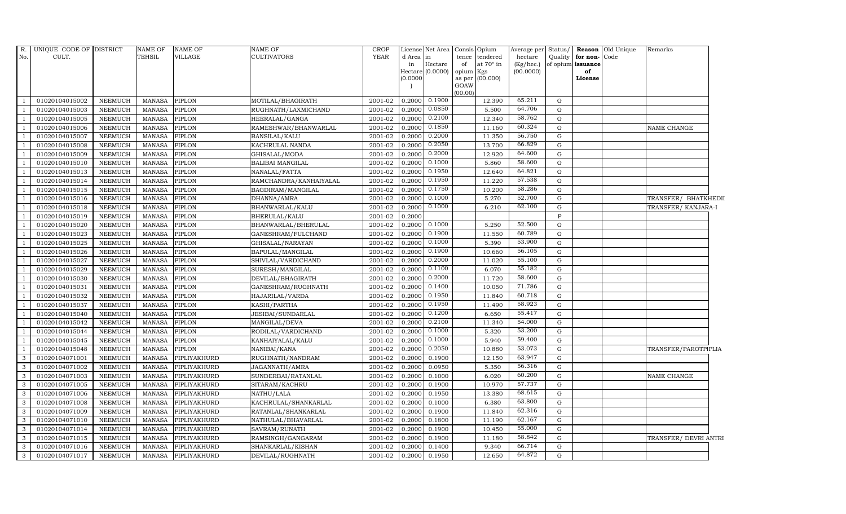| R.             | UNIQUE CODE OF DISTRICT |                | NAME OF       | <b>NAME OF</b> | NAME OF                  | CROP        |           | License Net Area Consis     |             | Opium                   | Average per               | Status/     |                         | Reason Old Unique | Remarks               |  |
|----------------|-------------------------|----------------|---------------|----------------|--------------------------|-------------|-----------|-----------------------------|-------------|-------------------------|---------------------------|-------------|-------------------------|-------------------|-----------------------|--|
| No.            | CULT.                   |                | TEHSIL        | VILLAGE        | CULTIVATORS              | <b>YEAR</b> | d Area in |                             | tence       | tendered                | hectare                   | Quality     | for non-Code            |                   |                       |  |
|                |                         |                |               |                |                          |             | in        | Hectare<br>Hectare (0.0000) | of<br>opium | at $70^\circ$ in<br>Kgs | $(Kg/$ hec.)<br>(00.0000) |             | of opium issuance<br>of |                   |                       |  |
|                |                         |                |               |                |                          |             | (0.0000)  |                             | as per      | (00.000)                |                           |             | License                 |                   |                       |  |
|                |                         |                |               |                |                          |             |           |                             | GOAW        |                         |                           |             |                         |                   |                       |  |
|                |                         |                |               |                |                          |             |           | 0.1900                      | (00.00)     |                         | 65.211                    |             |                         |                   |                       |  |
| -1             | 01020104015002          | <b>NEEMUCH</b> | MANASA        | <b>PIPLON</b>  | MOTILAL/BHAGIRATH        | 2001-02     | 0.2000    |                             |             | 12.390                  |                           | G           |                         |                   |                       |  |
|                | 01020104015003          | <b>NEEMUCH</b> | MANASA        | <b>PIPLON</b>  | RUGHNATH/LAXMICHAND      | 2001-02     | 0.2000    | 0.0850                      |             | 5.500                   | 64.706                    | $\mathbf G$ |                         |                   |                       |  |
| $\overline{1}$ | 01020104015005          | <b>NEEMUCH</b> | <b>MANASA</b> | <b>PIPLON</b>  | HEERALAL/GANGA           | 2001-02     | 0.2000    | 0.2100                      |             | 12.340                  | 58.762                    | G           |                         |                   |                       |  |
|                | 01020104015006          | <b>NEEMUCH</b> | <b>MANASA</b> | <b>PIPLON</b>  | RAMESHWAR/BHANWARLAL     | 2001-02     | 0.2000    | 0.1850                      |             | 11.160                  | 60.324                    | G           |                         |                   | NAME CHANGE           |  |
|                | 01020104015007          | <b>NEEMUCH</b> | <b>MANASA</b> | <b>PIPLON</b>  | BANSILAL/KALU            | 2001-02     | 0.2000    | 0.2000                      |             | 11.350                  | 56.750                    | $\mathbf G$ |                         |                   |                       |  |
| $\overline{1}$ | 01020104015008          | <b>NEEMUCH</b> | <b>MANASA</b> | <b>PIPLON</b>  | KACHRULAL NANDA          | 2001-02     | 0.2000    | 0.2050                      |             | 13.700                  | 66.829                    | G           |                         |                   |                       |  |
|                | 01020104015009          | <b>NEEMUCH</b> | <b>MANASA</b> | <b>PIPLON</b>  | GHISALAL/MODA            | 2001-02     | 0.2000    | 0.2000                      |             | 12.920                  | 64.600                    | G           |                         |                   |                       |  |
|                | 01020104015010          | <b>NEEMUCH</b> | <b>MANASA</b> | <b>PIPLON</b>  | <b>BALIBAI MANGILAL</b>  | 2001-02     | 0.2000    | 0.1000                      |             | 5.860                   | 58.600                    | G           |                         |                   |                       |  |
|                | 01020104015013          | <b>NEEMUCH</b> | <b>MANASA</b> | <b>PIPLON</b>  | NANALAL/FATTA            | 2001-02     | 0.2000    | 0.1950                      |             | 12.640                  | 64.821                    | G           |                         |                   |                       |  |
|                | 01020104015014          | <b>NEEMUCH</b> | <b>MANASA</b> | <b>PIPLON</b>  | RAMCHANDRA/KANHAIYALAL   | 2001-02     | 0.2000    | 0.1950                      |             | 11.220                  | 57.538                    | $\mathbf G$ |                         |                   |                       |  |
|                | 01020104015015          | <b>NEEMUCH</b> | <b>MANASA</b> | <b>PIPLON</b>  | BAGDIRAM/MANGILAL        | 2001-02     | 0.2000    | 0.1750                      |             | 10.200                  | 58.286                    | G           |                         |                   |                       |  |
|                | 01020104015016          | <b>NEEMUCH</b> | <b>MANASA</b> | <b>PIPLON</b>  | DHANNA/AMRA              | 2001-02     | 0.2000    | 0.1000                      |             | 5.270                   | 52.700                    | G           |                         |                   | TRANSFER/ BHATKHEDII  |  |
|                | 01020104015018          | <b>NEEMUCH</b> | MANASA        | PIPLON         | BHANWARLAL/KALU          | 2001-02     | 0.2000    | 0.1000                      |             | 6.210                   | 62.100                    | $\mathbf G$ |                         |                   | TRANSFER/ KANJARA-I   |  |
|                | 01020104015019          | <b>NEEMUCH</b> | <b>MANASA</b> | <b>PIPLON</b>  | BHERULAL/KALU            | 2001-02     | 0.2000    |                             |             |                         |                           | $\mathbf F$ |                         |                   |                       |  |
|                | 01020104015020          | <b>NEEMUCH</b> | <b>MANASA</b> | <b>PIPLON</b>  | BHANWARLAL/BHERULAL      | 2001-02     | 0.2000    | 0.1000                      |             | 5.250                   | 52.500                    | G           |                         |                   |                       |  |
|                | 01020104015023          | <b>NEEMUCH</b> | <b>MANASA</b> | <b>PIPLON</b>  | GANESHRAM/FULCHAND       | 2001-02     | 0.2000    | 0.1900                      |             | 11.550                  | 60.789                    | G           |                         |                   |                       |  |
|                | 01020104015025          | <b>NEEMUCH</b> | <b>MANASA</b> | <b>PIPLON</b>  | GHISALAL/NARAYAN         | 2001-02     | 0.2000    | 0.1000                      |             | 5.390                   | 53.900                    | G           |                         |                   |                       |  |
|                | 01020104015026          | NEEMUCH        | <b>MANASA</b> | PIPLON         | BAPULAL/MANGILAL         | 2001-02     | 0.2000    | 0.1900                      |             | 10.660                  | 56.105                    | G           |                         |                   |                       |  |
|                | 01020104015027          | <b>NEEMUCH</b> | <b>MANASA</b> | PIPLON         | SHIVLAL/VARDICHAND       | 2001-02     | 0.2000    | 0.2000                      |             | 11.020                  | 55.100                    | G           |                         |                   |                       |  |
|                | 01020104015029          | <b>NEEMUCH</b> | <b>MANASA</b> | <b>PIPLON</b>  | SURESH/MANGILAL          | 2001-02     | 0.2000    | 0.1100                      |             | 6.070                   | 55.182                    | $\mathbf G$ |                         |                   |                       |  |
|                | 01020104015030          | <b>NEEMUCH</b> | MANASA        | <b>PIPLON</b>  | DEVILAL/BHAGIRATH        | 2001-02     | 0.2000    | 0.2000                      |             | 11.720                  | 58.600                    | G           |                         |                   |                       |  |
|                | 01020104015031          | <b>NEEMUCH</b> | <b>MANASA</b> | <b>PIPLON</b>  | GANESHRAM/RUGHNATH       | 2001-02     | 0.2000    | 0.1400                      |             | 10.050                  | 71.786                    | G           |                         |                   |                       |  |
|                | 01020104015032          | <b>NEEMUCH</b> | <b>MANASA</b> | <b>PIPLON</b>  | HAJARILAL/VARDA          | 2001-02     | 0.2000    | 0.1950                      |             | 11.840                  | 60.718                    | G           |                         |                   |                       |  |
|                | 01020104015037          | <b>NEEMUCH</b> | MANASA        | <b>PIPLON</b>  | KASHI/PARTHA             | 2001-02     | 0.2000    | 0.1950                      |             | 11.490                  | 58.923                    | G           |                         |                   |                       |  |
|                | 01020104015040          | <b>NEEMUCH</b> | <b>MANASA</b> | <b>PIPLON</b>  | <b>JESIBAI/SUNDARLAL</b> | 2001-02     | 0.2000    | 0.1200                      |             | 6.650                   | 55.417                    | $\mathbf G$ |                         |                   |                       |  |
|                | 01020104015042          | <b>NEEMUCH</b> | <b>MANASA</b> | <b>PIPLON</b>  | MANGILAL/DEVA            | 2001-02     | 0.2000    | 0.2100                      |             | 11.340                  | 54.000                    | G           |                         |                   |                       |  |
|                | 01020104015044          | NEEMUCH        | <b>MANASA</b> | <b>PIPLON</b>  | RODILAL/VARDICHAND       | 2001-02     | 0.2000    | 0.1000                      |             | 5.320                   | 53.200                    | G           |                         |                   |                       |  |
|                | 01020104015045          | <b>NEEMUCH</b> | <b>MANASA</b> | <b>PIPLON</b>  | KANHAIYALAL/KALU         | 2001-02     | 0.2000    | 0.1000                      |             | 5.940                   | 59.400                    | G           |                         |                   |                       |  |
|                | 01020104015048          | <b>NEEMUCH</b> | <b>MANASA</b> | <b>PIPLON</b>  | NANIBAI/KANA             | 2001-02     | 0.2000    | 0.2050                      |             | 10.880                  | 53.073                    | G           |                         |                   | TRANSFER/PAROTPIPLIA  |  |
| 3              | 01020104071001          | <b>NEEMUCH</b> | <b>MANASA</b> | PIPLIYAKHURD   | RUGHNATH/NANDRAM         | 2001-02     | 0.2000    | 0.1900                      |             | 12.150                  | 63.947                    | G           |                         |                   |                       |  |
| 3              | 01020104071002          | <b>NEEMUCH</b> | <b>MANASA</b> | PIPLIYAKHURD   | JAGANNATH/AMRA           | 2001-02     | 0.2000    | 0.0950                      |             | 5.350                   | 56.316                    | $\mathbf G$ |                         |                   |                       |  |
| 3              | 01020104071003          | <b>NEEMUCH</b> | MANASA        | PIPLIYAKHURD   | SUNDERBAI/RATANLAL       | 2001-02     | 0.2000    | 0.1000                      |             | 6.020                   | 60.200                    | G           |                         |                   | NAME CHANGE           |  |
| 3              | 01020104071005          | <b>NEEMUCH</b> | MANASA        | PIPLIYAKHURD   | SITARAM/KACHRU           | 2001-02     | 0.2000    | 0.1900                      |             | 10.970                  | 57.737                    | G           |                         |                   |                       |  |
| 3              | 01020104071006          | <b>NEEMUCH</b> | <b>MANASA</b> | PIPLIYAKHURD   | NATHU/LALA               | 2001-02     | 0.2000    | 0.1950                      |             | 13.380                  | 68.615                    | $\mathbf G$ |                         |                   |                       |  |
| 3              | 01020104071008          | <b>NEEMUCH</b> | <b>MANASA</b> | PIPLIYAKHURD   | KACHRULAL/SHANKARLAL     | 2001-02     | 0.2000    | 0.1000                      |             | 6.380                   | 63.800                    | G           |                         |                   |                       |  |
| 3              | 01020104071009          | <b>NEEMUCH</b> | <b>MANASA</b> | PIPLIYAKHURD   | RATANLAL/SHANKARLAL      | 2001-02     | 0.2000    | 0.1900                      |             | 11.840                  | 62.316                    | G           |                         |                   |                       |  |
| 3              | 01020104071010          | <b>NEEMUCH</b> | <b>MANASA</b> | PIPLIYAKHURD   | NATHULAL/BHAVARLAL       | 2001-02     | 0.2000    | 0.1800                      |             | 11.190                  | 62.167                    | ${\rm G}$   |                         |                   |                       |  |
| 3              | 01020104071014          | <b>NEEMUCH</b> | <b>MANASA</b> | PIPLIYAKHURD   | SAVRAM/RUNATH            | 2001-02     | 0.2000    | 0.1900                      |             | 10.450                  | 55.000                    | G           |                         |                   |                       |  |
| 3              | 01020104071015          | <b>NEEMUCH</b> | <b>MANASA</b> | PIPLIYAKHURD   | RAMSINGH/GANGARAM        | 2001-02     | 0.2000    | 0.1900                      |             | 11.180                  | 58.842                    | $\mathbf G$ |                         |                   | TRANSFER/ DEVRI ANTRI |  |
| 3              | 01020104071016          | <b>NEEMUCH</b> | MANASA        | PIPLIYAKHURD   | SHANKARLAL/KISHAN        | 2001-02     | 0.2000    | 0.1400                      |             | 9.340                   | 66.714                    | G           |                         |                   |                       |  |
| 3              | 01020104071017          | <b>NEEMUCH</b> | MANASA        | PIPLIYAKHURD   | DEVILAL/RUGHNATH         | 2001-02     | 0.2000    | 0.1950                      |             | 12.650                  | 64.872                    | G           |                         |                   |                       |  |
|                |                         |                |               |                |                          |             |           |                             |             |                         |                           |             |                         |                   |                       |  |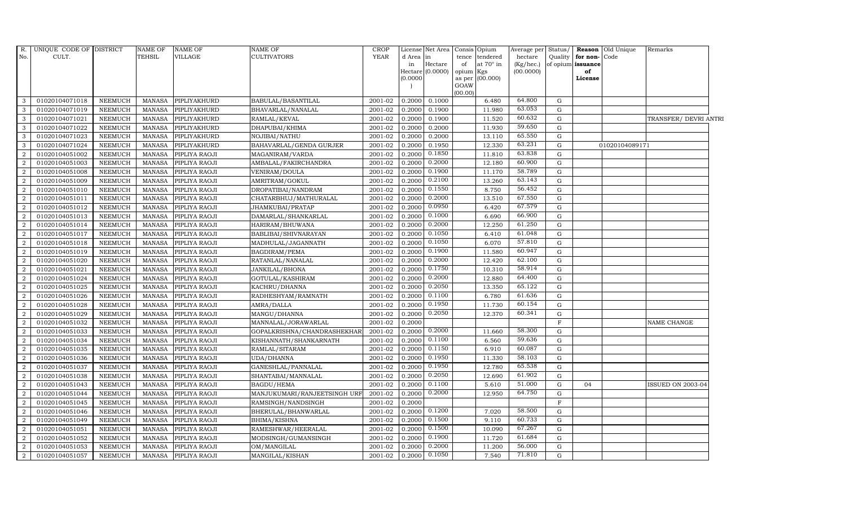|                | R. UNIQUE CODE OF DISTRICT |                | <b>NAME OF</b> | NAME OF       | <b>NAME OF</b>               | <b>CROP</b> | License         | Net Area         |             | Consis Opium                           | Average per Status/     |              |                                           | <b>Reason</b> Old Unique | Remarks                  |
|----------------|----------------------------|----------------|----------------|---------------|------------------------------|-------------|-----------------|------------------|-------------|----------------------------------------|-------------------------|--------------|-------------------------------------------|--------------------------|--------------------------|
| No.            | CULT.                      |                | <b>TEHSIL</b>  | VILLAGE       | <b>CULTIVATORS</b>           | <b>YEAR</b> | d Area in<br>in | Hectare          | tence<br>of | $\,$ tendered $\,$<br>at $70^\circ$ in | hectare<br>$(Kg/$ hec.) |              | Quality for non-Code<br>of opium issuance |                          |                          |
|                |                            |                |                |               |                              |             |                 | Hectare (0.0000) | opium Kgs   |                                        | (00.0000)               |              | of                                        |                          |                          |
|                |                            |                |                |               |                              |             | (0.0000)        |                  |             | as per (00.000)                        |                         |              | License                                   |                          |                          |
|                |                            |                |                |               |                              |             |                 |                  | GOAW        |                                        |                         |              |                                           |                          |                          |
| 3              | 01020104071018             | <b>NEEMUCH</b> | <b>MANASA</b>  | PIPLIYAKHURD  | BABULAL/BASANTILAL           | 2001-02     | 0.2000          | 0.1000           | (00.00)     | 6.480                                  | 64.800                  | G            |                                           |                          |                          |
| $\mathbf{3}$   | 01020104071019             | <b>NEEMUCH</b> | <b>MANASA</b>  | PIPLIYAKHURD  | BHAVARLAL/NANALAL            | 2001-02     | 0.2000          | 0.1900           |             | 11.980                                 | 63.053                  | G            |                                           |                          |                          |
| $\mathbf{3}$   | 01020104071021             | <b>NEEMUCH</b> | <b>MANASA</b>  | PIPLIYAKHURD  | RAMLAL/KEVAL                 | 2001-02     | 0.2000          | 0.1900           |             | 11.520                                 | 60.632                  | G            |                                           |                          | TRANSFER/ DEVRI ANTRI    |
| 3              | 01020104071022             | <b>NEEMUCH</b> | <b>MANASA</b>  | PIPLIYAKHURD  | DHAPUBAI/KHIMA               | 2001-02     | 0.2000          | 0.2000           |             | 11.930                                 | 59.650                  | G            |                                           |                          |                          |
| 3              | 01020104071023             | <b>NEEMUCH</b> | <b>MANASA</b>  | PIPLIYAKHURD  | NOJIBAI/NATHU                | 2001-02     | 0.2000          | 0.2000           |             | 13.110                                 | 65.550                  | G            |                                           |                          |                          |
| $\mathbf{3}$   | 01020104071024             | <b>NEEMUCH</b> | <b>MANASA</b>  | PIPLIYAKHURD  | BAHAVARLAL/GENDA GURJER      | 2001-02     | 0.2000          | 0.1950           |             | 12.330                                 | 63.231                  | G            |                                           | 01020104089171           |                          |
| $\overline{2}$ | 01020104051002             | <b>NEEMUCH</b> | <b>MANASA</b>  | PIPLIYA RAOJI | MAGANIRAM/VARDA              | 2001-02     | 0.2000          | 0.1850           |             | 11.810                                 | 63.838                  | G            |                                           |                          |                          |
| 2              | 01020104051003             | <b>NEEMUCH</b> | <b>MANASA</b>  | PIPLIYA RAOJI | AMBALAL/FAKIRCHANDRA         | 2001-02     | 0.2000          | 0.2000           |             | 12.180                                 | 60.900                  | G            |                                           |                          |                          |
| 2              | 01020104051008             | <b>NEEMUCH</b> | <b>MANASA</b>  | PIPLIYA RAOJI | VENIRAM/DOULA                | 2001-02     | 0.2000          | 0.1900           |             | 11.170                                 | 58.789                  | G            |                                           |                          |                          |
| $\overline{a}$ | 01020104051009             | <b>NEEMUCH</b> | MANASA         | PIPLIYA RAOJI | AMRITRAM/GOKUL               | 2001-02     | 0.2000          | 0.2100           |             | 13.260                                 | 63.143                  | G            |                                           |                          |                          |
| $\overline{2}$ | 01020104051010             | <b>NEEMUCH</b> | <b>MANASA</b>  | PIPLIYA RAOJI | DROPATIBAI/NANDRAM           | 2001-02     | 0.2000          | 0.1550           |             | 8.750                                  | 56.452                  | G            |                                           |                          |                          |
| $\overline{2}$ | 01020104051011             | <b>NEEMUCH</b> | <b>MANASA</b>  | PIPLIYA RAOJI | CHATARBHUJ/MATHURALAL        | 2001-02     | 0.2000          | 0.2000           |             | 13.510                                 | 67.550                  | G            |                                           |                          |                          |
| 2              | 01020104051012             | <b>NEEMUCH</b> | <b>MANASA</b>  | PIPLIYA RAOJI | JHAMKUBAI/PRATAP             | 2001-02     | 0.2000          | 0.0950           |             | 6.420                                  | 67.579                  | G            |                                           |                          |                          |
| 2              | 01020104051013             | <b>NEEMUCH</b> | <b>MANASA</b>  | PIPLIYA RAOJI | DAMARLAL/SHANKARLAL          | 2001-02     | 0.2000          | 0.1000           |             | 6.690                                  | 66.900                  | G            |                                           |                          |                          |
| $\overline{a}$ | 01020104051014             | <b>NEEMUCH</b> | MANASA         | PIPLIYA RAOJI | HARIRAM/BHUWANA              | 2001-02     | 0.2000          | 0.2000           |             | 12.250                                 | 61.250                  | G            |                                           |                          |                          |
| $\overline{2}$ | 01020104051017             | <b>NEEMUCH</b> | <b>MANASA</b>  | PIPLIYA RAOJI | BABLIBAI/SHIVNARAYAN         | 2001-02     | 0.2000          | 0.1050           |             | 6.410                                  | 61.048                  | G            |                                           |                          |                          |
| $\overline{2}$ | 01020104051018             | <b>NEEMUCH</b> | <b>MANASA</b>  | PIPLIYA RAOJI | MADHULAL/JAGANNATH           | 2001-02     | 0.2000          | 0.1050           |             | 6.070                                  | 57.810                  | G            |                                           |                          |                          |
| $\overline{2}$ | 01020104051019             | <b>NEEMUCH</b> | <b>MANASA</b>  | PIPLIYA RAOJI | BAGDIRAM/PEMA                | 2001-02     | 0.2000          | 0.1900           |             | 11.580                                 | 60.947                  | G            |                                           |                          |                          |
| 2              | 01020104051020             | <b>NEEMUCH</b> | <b>MANASA</b>  | PIPLIYA RAOJI | RATANLAL/NANALAL             | $2001 - 02$ | 0.2000          | 0.2000           |             | 12.420                                 | 62.100                  | G            |                                           |                          |                          |
| $\overline{2}$ | 01020104051021             | <b>NEEMUCH</b> | <b>MANASA</b>  | PIPLIYA RAOJI | JANKILAL/BHONA               | 2001-02     | 0.2000          | 0.1750           |             | 10.310                                 | 58.914                  | $\mathbf G$  |                                           |                          |                          |
| 2              | 01020104051024             | <b>NEEMUCH</b> | <b>MANASA</b>  | PIPLIYA RAOJI | GOTULAL/KASHIRAM             | 2001-02     | 0.2000          | 0.2000           |             | 12.880                                 | 64.400                  | G            |                                           |                          |                          |
| 2              | 01020104051025             | <b>NEEMUCH</b> | <b>MANASA</b>  | PIPLIYA RAOJI | KACHRU/DHANNA                | 2001-02     | 0.2000          | 0.2050           |             | 13.350                                 | 65.122                  | G            |                                           |                          |                          |
| $\overline{2}$ | 01020104051026             | <b>NEEMUCH</b> | MANASA         | PIPLIYA RAOJI | RADHESHYAM/RAMNATH           | 2001-02     | 0.2000          | 0.1100           |             | 6.780                                  | 61.636                  | G            |                                           |                          |                          |
| 2              | 01020104051028             | <b>NEEMUCH</b> | <b>MANASA</b>  | PIPLIYA RAOJI | AMRA/DALLA                   | 2001-02     | 0.2000          | 0.1950           |             | 11.730                                 | 60.154                  | G            |                                           |                          |                          |
| 2              | 01020104051029             | <b>NEEMUCH</b> | <b>MANASA</b>  | PIPLIYA RAOJI | MANGU/DHANNA                 | 2001-02     | 0.2000          | 0.2050           |             | 12.370                                 | 60.341                  | G            |                                           |                          |                          |
| 2              | 01020104051032             | <b>NEEMUCH</b> | <b>MANASA</b>  | PIPLIYA RAOJI | MANNALAL/JORAWARLAL          | 2001-02     | 0.2000          |                  |             |                                        |                         | $\mathbf{F}$ |                                           |                          | NAME CHANGE              |
| 2              | 01020104051033             | <b>NEEMUCH</b> | <b>MANASA</b>  | PIPLIYA RAOJI | GOPALKRISHNA/CHANDRASHEKHAR  | 2001-02     | 0.2000          | 0.2000           |             | 11.660                                 | 58.300                  | G            |                                           |                          |                          |
| $\overline{2}$ | 01020104051034             | <b>NEEMUCH</b> | <b>MANASA</b>  | PIPLIYA RAOJI | KISHANNATH/SHANKARNATH       | 2001-02     | 0.2000          | 0.1100           |             | 6.560                                  | 59.636                  | G            |                                           |                          |                          |
| 2              | 01020104051035             | <b>NEEMUCH</b> | <b>MANASA</b>  | PIPLIYA RAOJI | RAMLAL/SITARAM               | 2001-02     | 0.2000          | 0.1150           |             | 6.910                                  | 60.087                  | G            |                                           |                          |                          |
| 2              | 01020104051036             | <b>NEEMUCH</b> | <b>MANASA</b>  | PIPLIYA RAOJI | UDA/DHANNA                   | 2001-02     | 0.2000          | 0.1950           |             | 11.330                                 | 58.103                  | $\mathbf G$  |                                           |                          |                          |
| $\overline{2}$ | 01020104051037             | <b>NEEMUCH</b> | MANASA         | PIPLIYA RAOJI | GANESHLAL/PANNALAL           | 2001-02     | 0.2000          | 0.1950           |             | 12.780                                 | 65.538                  | G            |                                           |                          |                          |
| $\overline{2}$ | 01020104051038             | <b>NEEMUCH</b> | <b>MANASA</b>  | PIPLIYA RAOJI | SHANTABAI/MANNALAL           | 2001-02     | 0.2000          | 0.2050           |             | 12.690                                 | 61.902                  | G            |                                           |                          |                          |
| $\overline{2}$ | 01020104051043             | <b>NEEMUCH</b> | <b>MANASA</b>  | PIPLIYA RAOJI | BAGDU/HEMA                   | 2001-02     | 0.2000          | 0.1100           |             | 5.610                                  | 51.000                  | G            | 04                                        |                          | <b>ISSUED ON 2003-04</b> |
| 2              | 01020104051044             | <b>NEEMUCH</b> | <b>MANASA</b>  | PIPLIYA RAOJI | MANJUKUMARI/RANJEETSINGH URI | 2001-02     | 0.2000          | 0.2000           |             | 12.950                                 | 64.750                  | G            |                                           |                          |                          |
| 2              | 01020104051045             | <b>NEEMUCH</b> | <b>MANASA</b>  | PIPLIYA RAOJI | RAMSINGH/NANDSINGH           | 2001-02     | 0.2000          |                  |             |                                        |                         | $\mathbf{F}$ |                                           |                          |                          |
| $\overline{2}$ | 01020104051046             | <b>NEEMUCH</b> | <b>MANASA</b>  | PIPLIYA RAOJI | BHERULAL/BHANWARLAL          | 2001-02     | 0.2000          | 0.1200           |             | 7.020                                  | 58.500                  | G            |                                           |                          |                          |
| 2              | 01020104051049             | <b>NEEMUCH</b> | <b>MANASA</b>  | PIPLIYA RAOJI | BHIMA/KISHNA                 | 2001-02     | 0.2000          | 0.1500           |             | 9.110                                  | 60.733                  | G            |                                           |                          |                          |
| $\overline{2}$ | 01020104051051             | <b>NEEMUCH</b> | <b>MANASA</b>  | PIPLIYA RAOJI | RAMESHWAR/HEERALAL           | 2001-02     | 0.2000          | 0.1500           |             | 10.090                                 | 67.267                  | G            |                                           |                          |                          |
| 2              | 01020104051052             | <b>NEEMUCH</b> | <b>MANASA</b>  | PIPLIYA RAOJI | MODSINGH/GUMANSINGH          | 2001-02     | 0.2000          | 0.1900           |             | 11.720                                 | 61.684                  | G            |                                           |                          |                          |
| 2              | 01020104051053             | <b>NEEMUCH</b> | <b>MANASA</b>  | PIPLIYA RAOJI | OM/MANGILAL                  | 2001-02     | 0.2000          | 0.2000           |             | 11.200                                 | 56.000                  | G            |                                           |                          |                          |
| $\overline{2}$ | 01020104051057             | <b>NEEMUCH</b> | MANASA         | PIPLIYA RAOJI | MANGILAL/KISHAN              | 2001-02     | 0.2000          | 0.1050           |             | 7.540                                  | 71.810                  | G            |                                           |                          |                          |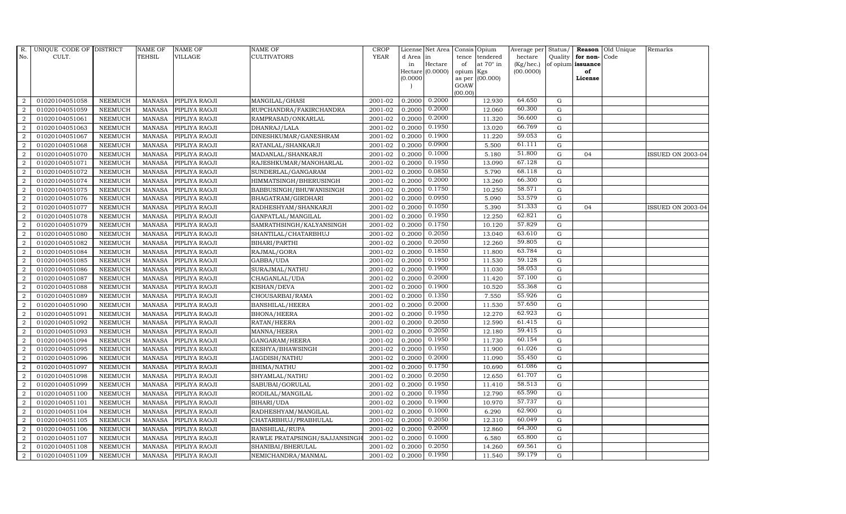| R.               | UNIQUE CODE OF DISTRICT |                | NAME OF       | <b>NAME OF</b> | <b>NAME OF</b>                | CROP                  |           | License Net Area |         | Consis Opium           | Average per        | Status/     |                   | Reason Old Unique | Remarks                  |
|------------------|-------------------------|----------------|---------------|----------------|-------------------------------|-----------------------|-----------|------------------|---------|------------------------|--------------------|-------------|-------------------|-------------------|--------------------------|
| No.              | CULT.                   |                | <b>TEHSIL</b> | VILLAGE        | CULTIVATORS                   | <b>YEAR</b>           | d Area in |                  | tence   | tendered               | hectare            | Quality     | for non-Code      |                   |                          |
|                  |                         |                |               |                |                               |                       | in        | $\rm{Hectare}$   | of      | at $70^\circ$ in       | $(Kg/ {\rm hec.})$ |             | of opium issuance |                   |                          |
|                  |                         |                |               |                |                               |                       | (0.0000)  | Hectare (0.0000) | opium   | Kgs<br>as per (00.000) | (00.0000)          |             | of<br>License     |                   |                          |
|                  |                         |                |               |                |                               |                       |           |                  | GOAW    |                        |                    |             |                   |                   |                          |
|                  |                         |                |               |                |                               |                       |           |                  | (00.00) |                        |                    |             |                   |                   |                          |
| 2                | 01020104051058          | <b>NEEMUCH</b> | <b>MANASA</b> | PIPLIYA RAOJI  | MANGILAL/GHASI                | 2001-02               | 0.2000    | 0.2000           |         | 12.930                 | 64.650             | G           |                   |                   |                          |
| $\overline{a}$   | 01020104051059          | <b>NEEMUCH</b> | <b>MANASA</b> | PIPLIYA RAOJI  | RUPCHANDRA/FAKIRCHANDRA       | 2001-02               | 0.2000    | 0.2000           |         | 12.060                 | 60.300             | G           |                   |                   |                          |
| 2                | 01020104051061          | <b>NEEMUCH</b> | MANASA        | PIPLIYA RAOJI  | RAMPRASAD/ONKARLAL            | $\frac{1}{2}001 - 02$ | 0.2000    | 0.2000           |         | 11.320                 | 56.600             | G           |                   |                   |                          |
| $\overline{2}$   | 01020104051063          | <b>NEEMUCH</b> | <b>MANASA</b> | PIPLIYA RAOJI  | DHANRAJ/LALA                  | 2001-02               | 0.2000    | 0.1950           |         | 13.020                 | 66.769             | G           |                   |                   |                          |
| $\overline{2}$   | 01020104051067          | <b>NEEMUCH</b> | MANASA        | PIPLIYA RAOJI  | DINESHKUMAR/GANESHRAM         | 2001-02               | 0.2000    | 0.1900           |         | 11.220                 | 59.053             | G           |                   |                   |                          |
| $\overline{2}$   | 01020104051068          | <b>NEEMUCH</b> | <b>MANASA</b> | PIPLIYA RAOJI  | RATANLAL/SHANKARJI            | 2001-02               | 0.2000    | 0.0900           |         | 5.500                  | 61.111             | G           |                   |                   |                          |
| $\overline{a}$   | 01020104051070          | <b>NEEMUCH</b> | <b>MANASA</b> | PIPLIYA RAOJI  | MADANLAL/SHANKARJI            | 2001-02               | 0.2000    | 0.1000           |         | 5.180                  | 51.800             | G           | 04                |                   | <b>ISSUED ON 2003-04</b> |
| 2                | 01020104051071          | <b>NEEMUCH</b> | MANASA        | PIPLIYA RAOJI  | RAJESHKUMAR/MANOHARLAL        | 2001-02               | 0.2000    | 0.1950           |         | 13.090                 | 67.128             | G           |                   |                   |                          |
| $\overline{2}$   | 01020104051072          | <b>NEEMUCH</b> | <b>MANASA</b> | PIPLIYA RAOJI  | SUNDERLAL/GANGARAM            | 2001-02               | 0.2000    | 0.0850           |         | 5.790                  | 68.118             | $\mathbf G$ |                   |                   |                          |
| $\boldsymbol{2}$ | 01020104051074          | <b>NEEMUCH</b> | <b>MANASA</b> | PIPLIYA RAOJI  | HIMMATSINGH/BHERUSINGH        | 2001-02               | 0.2000    | 0.2000           |         | 13.260                 | 66.300             | G           |                   |                   |                          |
| $\overline{2}$   | 01020104051075          | <b>NEEMUCH</b> | <b>MANASA</b> | PIPLIYA RAOJI  | BABBUSINGH/BHUWANISINGH       | 2001-02               | 0.2000    | 0.1750           |         | 10.250                 | 58.571             | G           |                   |                   |                          |
| $\overline{a}$   | 01020104051076          | <b>NEEMUCH</b> | <b>MANASA</b> | PIPLIYA RAOJI  | BHAGATRAM/GIRDHARI            | 2001-02               | 0.2000    | 0.0950           |         | 5.090                  | 53.579             | G           |                   |                   |                          |
| $\overline{2}$   | 01020104051077          | <b>NEEMUCH</b> | MANASA        | PIPLIYA RAOJI  | RADHESHYAM/SHANKARJI          | 2001-02               | 0.2000    | 0.1050           |         | 5.390                  | 51.333             | G           | 04                |                   | <b>ISSUED ON 2003-04</b> |
| $\overline{a}$   | 01020104051078          | <b>NEEMUCH</b> | <b>MANASA</b> | PIPLIYA RAOJI  | GANPATLAL/MANGILAL            | 2001-02               | 0.2000    | 0.1950           |         | 12.250                 | 62.821             | $\mathbf G$ |                   |                   |                          |
| $\boldsymbol{2}$ | 01020104051079          | <b>NEEMUCH</b> | <b>MANASA</b> | PIPLIYA RAOJI  | SAMRATHSINGH/KALYANSINGH      | 2001-02               | 0.2000    | 0.1750           |         | 10.120                 | 57.829             | G           |                   |                   |                          |
| $\overline{2}$   | 01020104051080          | <b>NEEMUCH</b> | <b>MANASA</b> | PIPLIYA RAOJI  | SHANTILAL/CHATARBHUJ          | 2001-02               | 0.2000    | 0.2050           |         | 13.040                 | 63.610             | G           |                   |                   |                          |
| 2                | 01020104051082          | <b>NEEMUCH</b> | <b>MANASA</b> | PIPLIYA RAOJI  | BIHARI/PARTHI                 | 2001-02               | 0.2000    | 0.2050           |         | 12.260                 | 59.805             | G           |                   |                   |                          |
| $\overline{a}$   | 01020104051084          | <b>NEEMUCH</b> | MANASA        | PIPLIYA RAOJI  | RAJMAL/GORA                   | 2001-02               | 0.2000    | 0.1850           |         | 11.800                 | 63.784             | G           |                   |                   |                          |
| $\overline{2}$   | 01020104051085          | <b>NEEMUCH</b> | <b>MANASA</b> | PIPLIYA RAOJI  | GABBA/UDA                     | 2001-02               | 0.2000    | 0.1950           |         | 11.530                 | 59.128             | G           |                   |                   |                          |
| $\overline{2}$   | 01020104051086          | <b>NEEMUCH</b> | <b>MANASA</b> | PIPLIYA RAOJI  | SURAJMAL/NATHU                | 2001-02               | 0.2000    | 0.1900           |         | 11.030                 | 58.053             | G           |                   |                   |                          |
| 2                | 01020104051087          | <b>NEEMUCH</b> | MANASA        | PIPLIYA RAOJI  | CHAGANLAL/UDA                 | 2001-02               | 0.2000    | 0.2000           |         | 11.420                 | 57.100             | G           |                   |                   |                          |
| $\overline{2}$   | 01020104051088          | <b>NEEMUCH</b> | <b>MANASA</b> | PIPLIYA RAOJI  | KISHAN/DEVA                   | 2001-02               | 0.2000    | 0.1900           |         | 10.520                 | 55.368             | G           |                   |                   |                          |
| $\overline{2}$   | 01020104051089          | <b>NEEMUCH</b> | <b>MANASA</b> | PIPLIYA RAOJI  | CHOUSARBAI/RAMA               | 2001-02               | 0.2000    | 0.1350           |         | 7.550                  | 55.926             | G           |                   |                   |                          |
| $\overline{2}$   | 01020104051090          | <b>NEEMUCH</b> | <b>MANASA</b> | PIPLIYA RAOJI  | <b>BANSHILAL/HEERA</b>        | 2001-02               | 0.2000    | 0.2000           |         | 11.530                 | 57.650             | G           |                   |                   |                          |
| $\overline{2}$   | 01020104051091          | <b>NEEMUCH</b> | <b>MANASA</b> | PIPLIYA RAOJI  | <b>BHONA/HEERA</b>            | 2001-02               | 0.2000    | 0.1950           |         | 12.270                 | 62.923             | G           |                   |                   |                          |
| $\overline{2}$   | 01020104051092          | <b>NEEMUCH</b> | <b>MANASA</b> | PIPLIYA RAOJI  | RATAN/HEERA                   | 2001-02               | 0.2000    | 0.2050           |         | 12.590                 | 61.415             | G           |                   |                   |                          |
| 2                | 01020104051093          | <b>NEEMUCH</b> | <b>MANASA</b> | PIPLIYA RAOJI  | MANNA/HEERA                   | 2001-02               | 0.2000    | 0.2050           |         | 12.180                 | 59.415             | G           |                   |                   |                          |
| $\overline{2}$   | 01020104051094          | <b>NEEMUCH</b> | <b>MANASA</b> | PIPLIYA RAOJI  | GANGARAM/HEERA                | 2001-02               | 0.2000    | 0.1950           |         | 11.730                 | 60.154             | G           |                   |                   |                          |
| 2                | 01020104051095          | <b>NEEMUCH</b> | MANASA        | PIPLIYA RAOJI  | KESHYA/BHAWSINGH              | 2001-02               | 0.2000    | 0.1950           |         | 11.900                 | 61.026             | ${\rm G}$   |                   |                   |                          |
| $\overline{2}$   | 01020104051096          | <b>NEEMUCH</b> | <b>MANASA</b> | PIPLIYA RAOJI  | JAGDISH/NATHU                 | 2001-02               | 0.2000    | 0.2000           |         | 11.090                 | 55.450             | G           |                   |                   |                          |
| $\overline{2}$   | 01020104051097          | <b>NEEMUCH</b> | MANASA        | PIPLIYA RAOJI  | BHIMA/NATHU                   | 2001-02               | 0.2000    | 0.1750           |         | 10.690                 | 61.086             | G           |                   |                   |                          |
| $\overline{2}$   | 01020104051098          | <b>NEEMUCH</b> | <b>MANASA</b> | PIPLIYA RAOJI  | SHYAMLAL/NATHU                | 2001-02               | 0.2000    | 0.2050           |         | 12.650                 | 61.707             | G           |                   |                   |                          |
| $\overline{a}$   | 01020104051099          | <b>NEEMUCH</b> | <b>MANASA</b> | PIPLIYA RAOJI  | SABUBAI/GORULAL               | 2001-02               | 0.2000    | 0.1950           |         | 11.410                 | 58.513             | G           |                   |                   |                          |
| 2                | 01020104051100          | <b>NEEMUCH</b> | <b>MANASA</b> | PIPLIYA RAOJI  | RODILAL/MANGILAL              | 2001-02               | 0.2000    | 0.1950           |         | 12.790                 | 65.590             | G           |                   |                   |                          |
| $\overline{2}$   | 01020104051101          | <b>NEEMUCH</b> | <b>MANASA</b> | PIPLIYA RAOJI  | BIHARI/UDA                    | 2001-02               | 0.2000    | 0.1900           |         | 10.970                 | 57.737             | G           |                   |                   |                          |
| $\overline{2}$   | 01020104051104          | <b>NEEMUCH</b> | <b>MANASA</b> | PIPLIYA RAOJI  | RADHESHYAM/MANGILAL           | 2001-02               | 0.2000    | 0.1000           |         | 6.290                  | 62.900             | G           |                   |                   |                          |
| 2                | 01020104051105          | <b>NEEMUCH</b> | <b>MANASA</b> | PIPLIYA RAOJI  | CHATARBHUJ/PRABHULAL          | 2001-02               | 0.2000    | 0.2050           |         | 12.310                 | 60.049             | G           |                   |                   |                          |
| $\overline{a}$   | 01020104051106          | <b>NEEMUCH</b> | <b>MANASA</b> | PIPLIYA RAOJI  | BANSHILAL/RUPA                | 2001-02               | 0.2000    | 0.2000           |         | 12.860                 | 64.300             | G           |                   |                   |                          |
| 2                | 01020104051107          | <b>NEEMUCH</b> | <b>MANASA</b> | PIPLIYA RAOJI  | RAWLE PRATAPSINGH/SAJJANSINGI | 2001-02               | 0.2000    | 0.1000           |         | 6.580                  | 65.800             | G           |                   |                   |                          |
| $\overline{2}$   | 01020104051108          | <b>NEEMUCH</b> | <b>MANASA</b> | PIPLIYA RAOJI  | SHANIBAI/BHERULAL             | 2001-02               | 0.2000    | 0.2050           |         | 14.260                 | 69.561             | G           |                   |                   |                          |
| $\overline{2}$   | 01020104051109          | <b>NEEMUCH</b> | MANASA        | PIPLIYA RAOJI  | NEMICHANDRA/MANMAL            | 2001-02               | 0.2000    | 0.1950           |         | 11.540                 | 59.179             | G           |                   |                   |                          |
|                  |                         |                |               |                |                               |                       |           |                  |         |                        |                    |             |                   |                   |                          |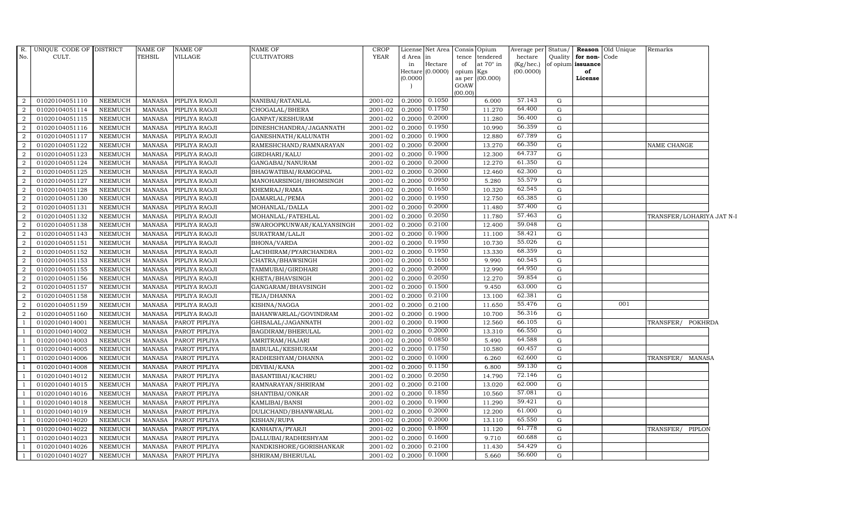| R.             | UNIQUE CODE OF DISTRICT |                | NAME OF       | <b>NAME OF</b> | <b>NAME OF</b>            | <b>CROP</b> |           | License Net Area  |           | Consis Opium     | Average per | Status/     |                      | <b>Reason</b> Old Unique | Remarks                   |  |
|----------------|-------------------------|----------------|---------------|----------------|---------------------------|-------------|-----------|-------------------|-----------|------------------|-------------|-------------|----------------------|--------------------------|---------------------------|--|
| No.            | CULT.                   |                | <b>TEHSIL</b> | <b>VILLAGE</b> | <b>CULTIVATORS</b>        | <b>YEAR</b> | d Area in |                   |           | tence tendered   | hectare     |             | Quality for non-Code |                          |                           |  |
|                |                         |                |               |                |                           |             | in        | Hectare           | of        | at $70^\circ$ in | (Kg/hec.)   |             | of opium issuance    |                          |                           |  |
|                |                         |                |               |                |                           |             | (0.0000)  | Hectare (0.0000)  | opium Kgs | as per (00.000)  | (00.0000)   |             | of<br>License        |                          |                           |  |
|                |                         |                |               |                |                           |             |           |                   | GOAW      |                  |             |             |                      |                          |                           |  |
|                |                         |                |               |                |                           |             |           |                   | (00.00)   |                  |             |             |                      |                          |                           |  |
| 2              | 01020104051110          | NEEMUCH        | MANASA        | PIPLIYA RAOJI  | NANIBAI/RATANLAL          | 2001-02     |           | $0.2000$ $0.1050$ |           | 6.000            | 57.143      | G           |                      |                          |                           |  |
| 2              | 01020104051114          | <b>NEEMUCH</b> | MANASA        | PIPLIYA RAOJI  | CHOGALAL/BHERA            | 2001-02     |           | $0.2000$ $0.1750$ |           | 11.270           | 64.400      | G           |                      |                          |                           |  |
| 2              | 01020104051115          | <b>NEEMUCH</b> | MANASA        | PIPLIYA RAOJI  | GANPAT/KESHURAM           | 2001-02     | 0.2000    | 0.2000            |           | 11.280           | 56.400      | G           |                      |                          |                           |  |
| 2              | 01020104051116          | <b>NEEMUCH</b> | <b>MANASA</b> | PIPLIYA RAOJI  | DINESHCHANDRA/JAGANNATH   | 2001-02     | 0.2000    | 0.1950            |           | 10.990           | 56.359      | G           |                      |                          |                           |  |
| $\overline{2}$ | 01020104051117          | <b>NEEMUCH</b> | <b>MANASA</b> | PIPLIYA RAOJI  | GANESHNATH/KALUNATH       | 2001-02     | 0.2000    | 0.1900            |           | 12.880           | 67.789      | $\mathbf G$ |                      |                          |                           |  |
| 2              | 01020104051122          | <b>NEEMUCH</b> | <b>MANASA</b> | PIPLIYA RAOJI  | RAMESHCHAND/RAMNARAYAN    | 2001-02     | 0.2000    | 0.2000            |           | 13.270           | 66.350      | G           |                      |                          | NAME CHANGE               |  |
| 2              | 01020104051123          | <b>NEEMUCH</b> | MANASA        | PIPLIYA RAOJI  | GIRDHARI/KALU             | 2001-02     | 0.2000    | 0.1900            |           | 12.300           | 64.737      | G           |                      |                          |                           |  |
| 2              | 01020104051124          | <b>NEEMUCH</b> | MANASA        | PIPLIYA RAOJI  | GANGABAI/NANURAM          | 2001-02     | 0.2000    | 0.2000            |           | 12.270           | 61.350      | G           |                      |                          |                           |  |
| 2              | 01020104051125          | <b>NEEMUCH</b> | <b>MANASA</b> | PIPLIYA RAOJI  | BHAGWATIBAI/RAMGOPAL      | 2001-02     | 0.2000    | 0.2000            |           | 12.460           | 62.300      | G           |                      |                          |                           |  |
| $\overline{2}$ | 01020104051127          | <b>NEEMUCH</b> | <b>MANASA</b> | PIPLIYA RAOJI  | MANOHARSINGH/BHOMSINGH    | 2001-02     | 0.2000    | 0.0950            |           | 5.280            | 55.579      | ${\rm G}$   |                      |                          |                           |  |
| 2              | 01020104051128          | <b>NEEMUCH</b> | MANASA        | PIPLIYA RAOJI  | KHEMRAJ/RAMA              | 2001-02     | 0.2000    | 0.1650            |           | 10.320           | 62.545      | G           |                      |                          |                           |  |
| 2              | 01020104051130          | NEEMUCH        | <b>MANASA</b> | PIPLIYA RAOJI  | DAMARLAL/PEMA             | 2001-02     | 0.2000    | 0.1950            |           | 12.750           | 65.385      | G           |                      |                          |                           |  |
| 2              | 01020104051131          | <b>NEEMUCH</b> | MANASA        | PIPLIYA RAOJI  | MOHANLAL/DALLA            | 2001-02     | 0.2000    | 0.2000            |           | 11.480           | 57.400      | G           |                      |                          |                           |  |
| $\overline{2}$ | 01020104051132          | <b>NEEMUCH</b> | <b>MANASA</b> | PIPLIYA RAOJI  | MOHANLAL/FATEHLAL         | 2001-02     | 0.2000    | 0.2050            |           | 11.780           | 57.463      | G           |                      |                          | TRANSFER/LOHARIYA JAT N-I |  |
| $\overline{2}$ | 01020104051138          | <b>NEEMUCH</b> | <b>MANASA</b> | PIPLIYA RAOJI  | SWAROOPKUNWAR/KALYANSINGH | 2001-02     | 0.2000    | 0.2100            |           | 12.400           | 59.048      | G           |                      |                          |                           |  |
| $\overline{2}$ | 01020104051143          | <b>NEEMUCH</b> | <b>MANASA</b> | PIPLIYA RAOJI  | SURATRAM/LALJI            | 2001-02     | 0.2000    | 0.1900            |           | 11.100           | 58.421      | G           |                      |                          |                           |  |
| 2              | 01020104051151          | <b>NEEMUCH</b> | <b>MANASA</b> | PIPLIYA RAOJI  | BHONA/VARDA               | 2001-02     | 0.2000    | 0.1950            |           | 10.730           | 55.026      | G           |                      |                          |                           |  |
| 2              | 01020104051152          | NEEMUCH        | MANASA        | PIPLIYA RAOJI  | LACHHIRAM/PYARCHANDRA     | 2001-02     | 0.2000    | 0.1950            |           | 13.330           | 68.359      | G           |                      |                          |                           |  |
| 2              | 01020104051153          | <b>NEEMUCH</b> | <b>MANASA</b> | PIPLIYA RAOJI  | CHATRA/BHAWSINGH          | 2001-02     | 0.2000    | 0.1650            |           | 9.990            | 60.545      | $\mathbf G$ |                      |                          |                           |  |
| $\overline{2}$ | 01020104051155          | <b>NEEMUCH</b> | <b>MANASA</b> | PIPLIYA RAOJI  | TAMMUBAI/GIRDHARI         | 2001-02     | 0.2000    | 0.2000            |           | 12.990           | 64.950      | $\mathbf G$ |                      |                          |                           |  |
| $\overline{2}$ | 01020104051156          | <b>NEEMUCH</b> | MANASA        | PIPLIYA RAOJI  | KHETA/BHAVSINGH           | 2001-02     | 0.2000    | 0.2050            |           | 12.270           | 59.854      | G           |                      |                          |                           |  |
| $\overline{2}$ | 01020104051157          | <b>NEEMUCH</b> | <b>MANASA</b> | PIPLIYA RAOJI  | GANGARAM/BHAVSINGH        | 2001-02     | 0.2000    | 0.1500            |           | 9.450            | 63.000      | G           |                      |                          |                           |  |
| 2              | 01020104051158          | <b>NEEMUCH</b> | <b>MANASA</b> | PIPLIYA RAOJI  | TEJA/DHANNA               | 2001-02     | 0.2000    | 0.2100            |           | 13.100           | 62.381      | G           |                      |                          |                           |  |
| 2              | 01020104051159          | <b>NEEMUCH</b> | MANASA        | PIPLIYA RAOJI  | KISHNA/NAGGA              | 2001-02     | 0.2000    | 0.2100            |           | 11.650           | 55.476      | G           |                      | 001                      |                           |  |
| 2              | 01020104051160          | <b>NEEMUCH</b> | <b>MANASA</b> | PIPLIYA RAOJI  | BAHANWARLAL/GOVINDRAM     | 2001-02     | 0.2000    | 0.1900            |           | 10.700           | 56.316      | $\mathbf G$ |                      |                          |                           |  |
| $\overline{1}$ | 01020104014001          | <b>NEEMUCH</b> | <b>MANASA</b> | PAROT PIPLIYA  | GHISALAL/JAGANNATH        | 2001-02     | 0.2000    | 0.1900            |           | 12.560           | 66.105      | $\mathbf G$ |                      |                          | TRANSFER/ POKHRDA         |  |
| $\overline{1}$ | 01020104014002          | <b>NEEMUCH</b> | <b>MANASA</b> | PAROT PIPLIYA  | BAGDIRAM/BHERULAL         | 2001-02     | 0.2000    | 0.2000            |           | 13.310           | 66.550      | G           |                      |                          |                           |  |
| <sup>1</sup>   | 01020104014003          | <b>NEEMUCH</b> | <b>MANASA</b> | PAROT PIPLIYA  | AMRITRAM/HAJARI           | 2001-02     | 0.2000    | 0.0850            |           | 5.490            | 64.588      | G           |                      |                          |                           |  |
| $\overline{1}$ | 01020104014005          | <b>NEEMUCH</b> | <b>MANASA</b> | PAROT PIPLIYA  | BABULAL/KESHURAM          | 2001-02     | 0.2000    | 0.1750            |           | 10.580           | 60.457      | G           |                      |                          |                           |  |
| $\overline{1}$ | 01020104014006          | <b>NEEMUCH</b> | <b>MANASA</b> | PAROT PIPLIYA  | RADHESHYAM/DHANNA         | 2001-02     | 0.2000    | 0.1000            |           | 6.260            | 62.600      | G           |                      |                          | TRANSFER/ MANASA          |  |
|                | 01020104014008          | <b>NEEMUCH</b> | <b>MANASA</b> | PAROT PIPLIYA  | DEVBAI/KANA               | 2001-02     | 0.2000    | 0.1150            |           | 6.800            | 59.130      | G           |                      |                          |                           |  |
| $\overline{1}$ | 01020104014012          | <b>NEEMUCH</b> | MANASA        | PAROT PIPLIYA  | BASANTIBAI/KACHRU         | 2001-02     | 0.2000    | 0.2050            |           | 14.790           | 72.146      | G           |                      |                          |                           |  |
| - 1            | 01020104014015          | <b>NEEMUCH</b> | MANASA        | PAROT PIPLIYA  | RAMNARAYAN/SHRIRAM        | 2001-02     | 0.2000    | 0.2100            |           | 13.020           | 62.000      | G           |                      |                          |                           |  |
| <sup>1</sup>   | 01020104014016          | <b>NEEMUCH</b> | <b>MANASA</b> | PAROT PIPLIYA  | SHANTIBAI/ONKAR           | 2001-02     | 0.2000    | 0.1850            |           | 10.560           | 57.081      | G           |                      |                          |                           |  |
| <sup>1</sup>   | 01020104014018          | <b>NEEMUCH</b> | MANASA        | PAROT PIPLIYA  | KAMLIBAI/BANSI            | 2001-02     | 0.2000    | 0.1900            |           | 11.290           | 59.421      | G           |                      |                          |                           |  |
| $\overline{1}$ | 01020104014019          | <b>NEEMUCH</b> | <b>MANASA</b> | PAROT PIPLIYA  | DULICHAND/BHANWARLAL      | 2001-02     | 0.2000    | 0.2000            |           | 12.200           | 61.000      | G           |                      |                          |                           |  |
| $\overline{1}$ | 01020104014020          | <b>NEEMUCH</b> | <b>MANASA</b> | PAROT PIPLIYA  | KISHAN/RUPA               | 2001-02     | 0.2000    | 0.2000            |           | 13.110           | 65.550      | $\mathbf G$ |                      |                          |                           |  |
| <sup>1</sup>   | 01020104014022          | NEEMUCH        | <b>MANASA</b> | PAROT PIPLIYA  | KANHAIYA/PYARJI           | 2001-02     | 0.2000    | 0.1800            |           | 11.120           | 61.778      | G           |                      |                          | TRANSFER/ PIPLON          |  |
| -1             | 01020104014023          | <b>NEEMUCH</b> | MANASA        | PAROT PIPLIYA  | DALLUBAI/RADHESHYAM       | 2001-02     | 0.2000    | 0.1600            |           | 9.710            | 60.688      | G           |                      |                          |                           |  |
| <sup>1</sup>   | 01020104014026          | <b>NEEMUCH</b> | MANASA        | PAROT PIPLIYA  | NANDKISHORE/GORISHANKAR   | 2001-02     | 0.2000    | 0.2100            |           | 11.430           | 54.429      | G           |                      |                          |                           |  |
| <sup>1</sup>   | 01020104014027          | <b>NEEMUCH</b> | <b>MANASA</b> | PAROT PIPLIYA  | SHRIRAM/BHERULAL          | 2001-02     |           | $0.2000$ $0.1000$ |           | 5.660            | 56.600      | G           |                      |                          |                           |  |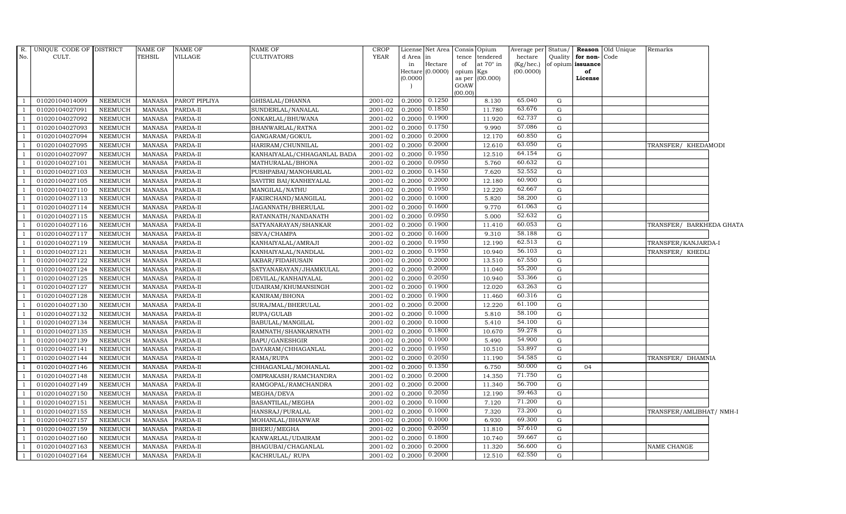| R.  | UNIQUE CODE OF DISTRICT |                | NAME OF       | <b>NAME OF</b> | NAME OF                     | <b>CROP</b> |           | License Net Area Consis     | Opium                              | Average per            | Status/      |                         | <b>Reason</b> Old Unique | Remarks                  |  |
|-----|-------------------------|----------------|---------------|----------------|-----------------------------|-------------|-----------|-----------------------------|------------------------------------|------------------------|--------------|-------------------------|--------------------------|--------------------------|--|
| No. | CULT.                   |                | <b>TEHSIL</b> | VILLAGE        | CULTIVATORS                 | <b>YEAR</b> | d Area in |                             | tence<br>tendered                  | hectare                | Quality      | for non-Code            |                          |                          |  |
|     |                         |                |               |                |                             |             | in        | Hectare<br>Hectare (0.0000) | of<br>at $70^\circ$ in             | (Kg/hec.)<br>(00.0000) |              | of opium issuance<br>of |                          |                          |  |
|     |                         |                |               |                |                             |             | (0.0000)  |                             | opium<br>Kgs<br>(00.000)<br>as per |                        |              | License                 |                          |                          |  |
|     |                         |                |               |                |                             |             |           |                             | GOAW                               |                        |              |                         |                          |                          |  |
|     |                         |                |               |                |                             |             |           |                             | (00.00)                            |                        |              |                         |                          |                          |  |
|     | 01020104014009          | NEEMUCH        | MANASA        | PAROT PIPLIYA  | GHISALAL/DHANNA             | 2001-02     |           | $0.2000$ $0.1250$           | 8.130                              | 65.040                 | G            |                         |                          |                          |  |
|     | 01020104027091          | <b>NEEMUCH</b> | MANASA        | PARDA-II       | SUNDERLAL/NANALAL           | 2001-02     | 0.2000    | 0.1850                      | 11.780                             | 63.676                 | $\mathbf G$  |                         |                          |                          |  |
|     | 01020104027092          | NEEMUCH        | MANASA        | PARDA-II       | ONKARLAL/BHUWANA            | 2001-02     | 0.2000    | 0.1900                      | 11.920                             | 62.737                 | ${\rm G}$    |                         |                          |                          |  |
|     | 01020104027093          | <b>NEEMUCH</b> | <b>MANASA</b> | PARDA-II       | BHANWARLAL/RATNA            | 2001-02     | 0.2000    | 0.1750                      | 9.990                              | 57.086                 | $\mathbf G$  |                         |                          |                          |  |
|     | 01020104027094          | NEEMUCH        | <b>MANASA</b> | PARDA-II       | GANGARAM/GOKUL              | 2001-02     | 0.2000    | 0.2000                      | 12.170                             | 60.850                 | G            |                         |                          |                          |  |
|     | 01020104027095          | <b>NEEMUCH</b> | <b>MANASA</b> | PARDA-II       | HARIRAM/CHUNNILAL           | $2001 - 02$ | 0.2000    | 0.2000                      | 12.610                             | 63.050                 | ${\rm G}$    |                         |                          | TRANSFER/ KHEDAMODI      |  |
|     | 01020104027097          | <b>NEEMUCH</b> | <b>MANASA</b> | PARDA-II       | KANHAIYALAL/CHHAGANLAL BADA | 2001-02     | 0.2000    | 0.1950                      | 12.510                             | 64.154                 | G            |                         |                          |                          |  |
|     | 01020104027101          | NEEMUCH        | <b>MANASA</b> | PARDA-II       | MATHURALAL/BHONA            | 2001-02     | 0.2000    | 0.0950                      | 5.760                              | 60.632                 | G            |                         |                          |                          |  |
|     | 01020104027103          | <b>NEEMUCH</b> | <b>MANASA</b> | PARDA-II       | PUSHPABAI/MANOHARLAL        | 2001-02     | 0.2000    | 0.1450                      | 7.620                              | 52.552                 | $\mathbf G$  |                         |                          |                          |  |
|     | 01020104027105          | <b>NEEMUCH</b> | <b>MANASA</b> | PARDA-II       | SAVITRI BAI/KANHEYALAL      | 2001-02     | 0.2000    | 0.2000                      | 12.180                             | 60.900                 | G            |                         |                          |                          |  |
|     | 01020104027110          | <b>NEEMUCH</b> | <b>MANASA</b> | PARDA-II       | MANGILAL/NATHU              | 2001-02     | 0.2000    | 0.1950                      | 12.220                             | 62.667                 | ${\rm G}$    |                         |                          |                          |  |
|     | 01020104027113          | <b>NEEMUCH</b> | <b>MANASA</b> | PARDA-II       | FAKIRCHAND/MANGILAL         | 2001-02     | 0.2000    | 0.1000                      | 5.820                              | 58.200                 | $\mathbf G$  |                         |                          |                          |  |
|     | 01020104027114          | NEEMUCH        | <b>MANASA</b> | PARDA-II       | JAGANNATH/BHERULAL          | 2001-02     | 0.2000    | 0.1600                      | 9.770                              | 61.063                 | G            |                         |                          |                          |  |
|     | 01020104027115          | <b>NEEMUCH</b> | <b>MANASA</b> | PARDA-II       | RATANNATH/NANDANATH         | 2001-02     | 0.2000    | 0.0950                      | 5.000                              | 52.632                 | $\mathbf G$  |                         |                          |                          |  |
|     | 01020104027116          | <b>NEEMUCH</b> | <b>MANASA</b> | PARDA-II       | SATYANARAYAN/SHANKAR        | 2001-02     | 0.2000    | 0.1900                      | 11.410                             | 60.053                 | G            |                         |                          | TRANSFER/ BARKHEDA GHATA |  |
|     | 01020104027117          | NEEMUCH        | MANASA        | PARDA-II       | SEVA/CHAMPA                 | 2001-02     |           | $0.2000$ $0.1600$           | 9.310                              | 58.188                 | ${\rm G}$    |                         |                          |                          |  |
|     | 01020104027119          | <b>NEEMUCH</b> | <b>MANASA</b> | PARDA-II       | KANHAIYALAL/AMRAJI          | 2001-02     | 0.2000    | 0.1950                      | 12.190                             | 62.513                 | G            |                         |                          | TRANSFER/KANJARDA-I      |  |
|     | 01020104027121          | NEEMUCH        | <b>MANASA</b> | PARDA-II       | KANHAIYALAL/NANDLAL         | 2001-02     | 0.2000    | 0.1950                      | 10.940                             | 56.103                 | ${\rm G}$    |                         |                          | TRANSFER/ KHEDLI         |  |
|     | 01020104027122          | <b>NEEMUCH</b> | <b>MANASA</b> | PARDA-II       | AKBAR/FIDAHUSAIN            | 2001-02     | 0.2000    | 0.2000                      | 13.510                             | 67.550                 | $\mathbf G$  |                         |                          |                          |  |
|     | 01020104027124          | <b>NEEMUCH</b> | <b>MANASA</b> | PARDA-II       | SATYANARAYAN/JHAMKULAL      | 2001-02     | 0.2000    | 0.2000                      | 11.040                             | 55.200                 | G            |                         |                          |                          |  |
|     | 01020104027125          | NEEMUCH        | MANASA        | PARDA-II       | DEVILAL/KANHAIYALAL         | 2001-02     | 0.2000    | 0.2050                      | 10.940                             | 53.366                 | G            |                         |                          |                          |  |
|     | 01020104027127          | <b>NEEMUCH</b> | <b>MANASA</b> | PARDA-II       | UDAIRAM/KHUMANSINGH         | 2001-02     | 0.2000    | 0.1900                      | 12.020                             | 63.263                 | G            |                         |                          |                          |  |
|     | 01020104027128          | NEEMUCH        | MANASA        | PARDA-II       | KANIRAM/BHONA               | 2001-02     | 0.2000    | 0.1900                      | 11.460                             | 60.316                 | G            |                         |                          |                          |  |
|     | 01020104027130          | <b>NEEMUCH</b> | <b>MANASA</b> | PARDA-II       | SURAJMAL/BHERULAL           | 2001-02     | 0.2000    | 0.2000                      | 12.220                             | 61.100                 | $\mathbf G$  |                         |                          |                          |  |
|     | 01020104027132          | <b>NEEMUCH</b> | MANASA        | PARDA-II       | RUPA/GULAB                  | 2001-02     | 0.2000    | 0.1000                      | 5.810                              | 58.100                 | G            |                         |                          |                          |  |
|     | 01020104027134          | NEEMUCH        | MANASA        | PARDA-II       | BABULAL/MANGILAL            | 2001-02     | 0.2000    | 0.1000                      | 5.410                              | 54.100                 | $\mathbf G$  |                         |                          |                          |  |
|     | 01020104027135          | <b>NEEMUCH</b> | <b>MANASA</b> | PARDA-II       | RAMNATH/SHANKARNATH         | 2001-02     | 0.2000    | 0.1800                      | 10.670                             | 59.278                 | G            |                         |                          |                          |  |
|     | 01020104027139          | NEEMUCH        | MANASA        | PARDA-II       | BAPU/GANESHGIR              | 2001-02     | 0.2000    | 0.1000                      | 5.490                              | 54.900                 | G            |                         |                          |                          |  |
|     | 01020104027141          | <b>NEEMUCH</b> | <b>MANASA</b> | PARDA-II       | DAYARAM/CHHAGANLAL          | 2001-02     | 0.2000    | 0.1950                      | 10.510                             | 53.897                 | ${\rm G}$    |                         |                          |                          |  |
|     | 01020104027144          | <b>NEEMUCH</b> | MANASA        | PARDA-II       | RAMA/RUPA                   | 2001-02     | 0.2000    | 0.2050                      | 11.190                             | 54.585                 | $\mathbf{G}$ |                         |                          | TRANSFER/ DHAMNIA        |  |
|     | 01020104027146          | NEEMUCH        | MANASA        | PARDA-II       | CHHAGANLAL/MOHANLAL         | 2001-02     | 0.2000    | 0.1350                      | 6.750                              | 50.000                 | ${\rm G}$    | 04                      |                          |                          |  |
|     | 01020104027148          | <b>NEEMUCH</b> | <b>MANASA</b> | PARDA-II       | OMPRAKASH/RAMCHANDRA        | 2001-02     | 0.2000    | 0.2000                      | 14.350                             | 71.750                 | $\mathbf G$  |                         |                          |                          |  |
|     | 01020104027149          | <b>NEEMUCH</b> | <b>MANASA</b> | PARDA-II       | RAMGOPAL/RAMCHANDRA         | 2001-02     | 0.2000    | 0.2000                      | 11.340                             | 56.700                 | G            |                         |                          |                          |  |
|     | 01020104027150          | <b>NEEMUCH</b> | <b>MANASA</b> | PARDA-II       | MEGHA/DEVA                  | 2001-02     | 0.2000    | 0.2050                      | 12.190                             | 59.463                 | $\mathbf G$  |                         |                          |                          |  |
|     | 01020104027151          | <b>NEEMUCH</b> | <b>MANASA</b> | PARDA-II       | BASANTILAL/MEGHA            | 2001-02     | 0.2000    | 0.1000                      | 7.120                              | 71.200                 | G            |                         |                          |                          |  |
|     | 01020104027155          | NEEMUCH        | MANASA        | PARDA-II       | HANSRAJ/PURALAL             | 2001-02     | 0.2000    | 0.1000                      | 7.320                              | 73.200                 | G            |                         |                          | TRANSFER/AMLIBHAT/ NMH-I |  |
|     | 01020104027157          | NEEMUCH        | <b>MANASA</b> | PARDA-II       | MOHANLAL/BHANWAR            | 2001-02     | 0.2000    | 0.1000                      | 6.930                              | 69.300                 | $\mathbf G$  |                         |                          |                          |  |
|     | 01020104027159          | <b>NEEMUCH</b> | MANASA        | PARDA-II       | BHERU/MEGHA                 | $2001 - 02$ |           | $0.2000 \mid 0.2050$        | 11.810                             | 57.610                 | G            |                         |                          |                          |  |
|     | 01020104027160          | <b>NEEMUCH</b> | <b>MANASA</b> | PARDA-II       | KANWARLAL/UDAIRAM           | 2001-02     | 0.2000    | 0.1800                      | 10.740                             | 59.667                 | ${\rm G}$    |                         |                          |                          |  |
|     | 01020104027163          | <b>NEEMUCH</b> | <b>MANASA</b> | PARDA-II       | BHAGUBAI/CHAGANLAL          | 2001-02     | 0.2000    | 0.2000                      | 11.320                             | 56.600                 | $\mathbf G$  |                         |                          | <b>NAME CHANGE</b>       |  |
|     | 01020104027164          | NEEMUCH        | MANASA        | PARDA-II       | KACHRULAL/RUPA              | 2001-02     | 0.2000    | 0.2000                      | 12.510                             | 62.550                 | G            |                         |                          |                          |  |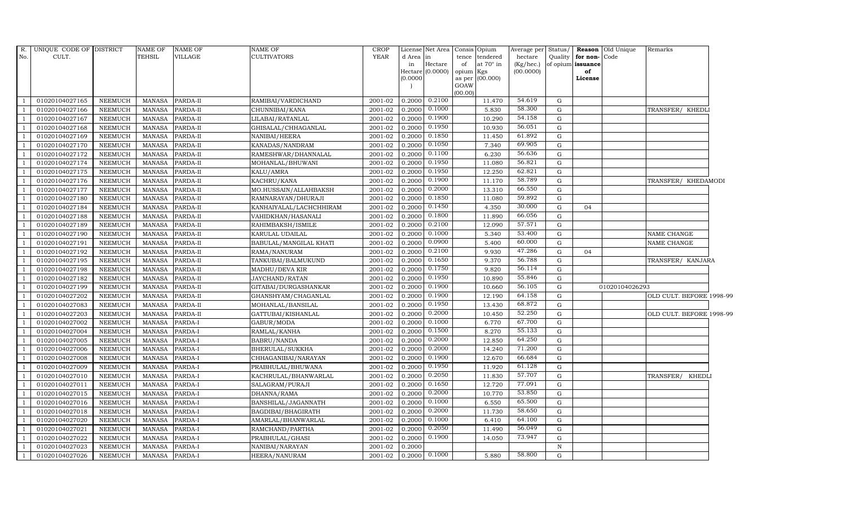| R.             | UNIQUE CODE OF DISTRICT |                | <b>NAME OF</b> | <b>NAME OF</b> | NAME OF                 | <b>CROP</b> |           | License Net Area Consis Opium      |           |                  | Average per Status/ |             |                         | <b>Reason</b> Old Unique | Remarks                  |
|----------------|-------------------------|----------------|----------------|----------------|-------------------------|-------------|-----------|------------------------------------|-----------|------------------|---------------------|-------------|-------------------------|--------------------------|--------------------------|
| No.            | CULT.                   |                | TEHSIL         | <b>VILLAGE</b> | <b>CULTIVATORS</b>      | <b>YEAR</b> | d Area in |                                    | tence     | tendered         | hectare             | Quality     | for non-Code            |                          |                          |
|                |                         |                |                |                |                         |             | in        | $\rm{Hectare}$<br>Hectare (0.0000) | of        | at $70^\circ$ in | (Kg/hec.)           |             | of opium issuance<br>of |                          |                          |
|                |                         |                |                |                |                         |             | (0.0000)  |                                    | opium Kgs | as per (00.000)  | (00.0000)           |             | License                 |                          |                          |
|                |                         |                |                |                |                         |             |           |                                    | GOAW      |                  |                     |             |                         |                          |                          |
|                |                         |                |                |                |                         |             |           |                                    | (00.00)   |                  |                     |             |                         |                          |                          |
| $\overline{1}$ | 01020104027165          | <b>NEEMUCH</b> | MANASA         | PARDA-II       | RAMIBAI/VARDICHAND      | 2001-02     | 0.2000    | 0.2100                             |           | 11.470           | 54.619              | G           |                         |                          |                          |
| $\overline{1}$ | 01020104027166          | <b>NEEMUCH</b> | MANASA         | PARDA-II       | CHUNNIBAI/KANA          | 2001-02     | 0.2000    | 0.1000                             |           | 5.830            | 58.300              | G           |                         |                          | TRANSFER/ KHEDL          |
| $\overline{1}$ | 01020104027167          | <b>NEEMUCH</b> | MANASA         | PARDA-II       | LILABAI/RATANLAL        | 2001-02     | 0.2000    | 0.1900                             |           | 10.290           | 54.158              | G           |                         |                          |                          |
|                | 01020104027168          | <b>NEEMUCH</b> | <b>MANASA</b>  | PARDA-II       | GHISALAL/CHHAGANLAL     | 2001-02     | 0.2000    | 0.1950                             |           | 10.930           | 56.051              | G           |                         |                          |                          |
| $\mathbf{1}$   | 01020104027169          | <b>NEEMUCH</b> | <b>MANASA</b>  | PARDA-II       | NANIBAI/HEERA           | 2001-02     | 0.2000    | 0.1850                             |           | 11.450           | 61.892              | G           |                         |                          |                          |
| $\overline{1}$ | 01020104027170          | NEEMUCH        | <b>MANASA</b>  | PARDA-II       | KANADAS/NANDRAM         | 2001-02     | 0.2000    | 0.1050                             |           | 7.340            | 69.905              | G           |                         |                          |                          |
| $\overline{1}$ | 01020104027172          | <b>NEEMUCH</b> | <b>MANASA</b>  | PARDA-II       | RAMESHWAR/DHANNALAL     | 2001-02     | 0.2000    | 0.1100                             |           | 6.230            | 56.636              | G           |                         |                          |                          |
| $\overline{1}$ | 01020104027174          | <b>NEEMUCH</b> | <b>MANASA</b>  | PARDA-II       | MOHANLAL/BHUWANI        | 2001-02     | 0.2000    | 0.1950                             |           | 11.080           | 56.821              | G           |                         |                          |                          |
|                | 01020104027175          | <b>NEEMUCH</b> | <b>MANASA</b>  | PARDA-II       | KALU/AMRA               | 2001-02     | 0.2000    | 0.1950                             |           | 12.250           | 62.821              | G           |                         |                          |                          |
| $\mathbf{1}$   | 01020104027176          | <b>NEEMUCH</b> | <b>MANASA</b>  | PARDA-II       | KACHRU/KANA             | 2001-02     | 0.2000    | 0.1900                             |           | 11.170           | 58.789              | G           |                         |                          | TRANSFER/ KHEDAMODI      |
| <sup>1</sup>   | 01020104027177          | <b>NEEMUCH</b> | <b>MANASA</b>  | PARDA-II       | MO.HUSSAIN/ALLAHBAKSH   | 2001-02     | 0.2000    | 0.2000                             |           | 13.310           | 66.550              | G           |                         |                          |                          |
| $\overline{1}$ | 01020104027180          | <b>NEEMUCH</b> | <b>MANASA</b>  | PARDA-II       | RAMNARAYAN/DHURAJI      | 2001-02     | 0.2000    | 0.1850                             |           | 11.080           | 59.892              | G           |                         |                          |                          |
| $\overline{1}$ | 01020104027184          | <b>NEEMUCH</b> | <b>MANASA</b>  | PARDA-II       | KANHAIYALAL/LACHCHHIRAM | 2001-02     | 0.2000    | 0.1450                             |           | 4.350            | 30.000              | G           | 04                      |                          |                          |
| $\mathbf{1}$   | 01020104027188          | <b>NEEMUCH</b> | <b>MANASA</b>  | PARDA-II       | VAHIDKHAN/HASANALI      | 2001-02     | 0.2000    | 0.1800                             |           | 11.890           | 66.056              | G           |                         |                          |                          |
| $\mathbf{1}$   | 01020104027189          | <b>NEEMUCH</b> | MANASA         | PARDA-II       | RAHIMBAKSH/ISMILE       | 2001-02     | 0.2000    | 0.2100                             |           | 12.090           | 57.571              | G           |                         |                          |                          |
| $\overline{1}$ | 01020104027190          | <b>NEEMUCH</b> | <b>MANASA</b>  | PARDA-II       | KARULAL UDAILAL         | 2001-02     | 0.2000    | 0.1000                             |           | 5.340            | 53.400              | G           |                         |                          | NAME CHANGE              |
| $\overline{1}$ | 01020104027191          | <b>NEEMUCH</b> | <b>MANASA</b>  | PARDA-II       | BABULAL/MANGILAL KHATI  | $2001 - 02$ | 0.2000    | 0.0900                             |           | 5.400            | 60.000              | G           |                         |                          | NAME CHANGE              |
| $\overline{1}$ | 01020104027192          | <b>NEEMUCH</b> | <b>MANASA</b>  | PARDA-II       | RAMA/NANURAM            | 2001-02     | 0.2000    | 0.2100                             |           | 9.930            | 47.286              | G           | 04                      |                          |                          |
| $\overline{1}$ | 01020104027195          | <b>NEEMUCH</b> | <b>MANASA</b>  | PARDA-II       | TANKUBAI/BALMUKUND      | 2001-02     | 0.2000    | 0.1650                             |           | 9.370            | 56.788              | G           |                         |                          | TRANSFER/ KANJARA        |
|                | 01020104027198          | <b>NEEMUCH</b> | MANASA         | PARDA-II       | MADHU/DEVA KIR          | 2001-02     | 0.2000    | 0.1750                             |           | 9.820            | 56.114              | G           |                         |                          |                          |
| -1             | 01020104027182          | <b>NEEMUCH</b> | <b>MANASA</b>  | PARDA-II       | JAYCHAND/RATAN          | 2001-02     | 0.2000    | 0.1950                             |           | 10.890           | 55.846              | G           |                         |                          |                          |
| $\overline{1}$ | 01020104027199          | <b>NEEMUCH</b> | <b>MANASA</b>  | PARDA-II       | GITABAI/DURGASHANKAR    | 2001-02     | 0.2000    | 0.1900                             |           | 10.660           | 56.105              | G           |                         | 01020104026293           |                          |
| $\overline{1}$ | 01020104027202          | <b>NEEMUCH</b> | <b>MANASA</b>  | PARDA-II       | GHANSHYAM/CHAGANLAL     | 2001-02     | 0.2000    | 0.1900                             |           | 12.190           | 64.158              | G           |                         |                          | OLD CULT. BEFORE 1998-99 |
| $\mathbf{1}$   | 01020104027083          | <b>NEEMUCH</b> | <b>MANASA</b>  | PARDA-II       | MOHANLAL/BANSILAL       | 2001-02     | 0.2000    | 0.1950                             |           | 13.430           | 68.872              | G           |                         |                          |                          |
|                | 01020104027203          | <b>NEEMUCH</b> | MANASA         | PARDA-II       | GATTUBAI/KISHANLAL      | 2001-02     | 0.2000    | 0.2000                             |           | 10.450           | 52.250              | G           |                         |                          | OLD CULT. BEFORE 1998-99 |
| $\overline{1}$ | 01020104027002          | <b>NEEMUCH</b> | <b>MANASA</b>  | PARDA-I        | GABUR/MODA              | 2001-02     | 0.2000    | 0.1000                             |           | 6.770            | 67.700              | G           |                         |                          |                          |
| $\mathbf{1}$   | 01020104027004          | <b>NEEMUCH</b> | <b>MANASA</b>  | PARDA-I        | RAMLAL/KANHA            | 2001-02     | 0.2000    | 0.1500                             |           | 8.270            | 55.133              | G           |                         |                          |                          |
| $\overline{1}$ | 01020104027005          | <b>NEEMUCH</b> | <b>MANASA</b>  | PARDA-I        | <b>BABRU/NANDA</b>      | 2001-02     | 0.2000    | 0.2000                             |           | 12.850           | 64.250              | G           |                         |                          |                          |
| $\mathbf{1}$   | 01020104027006          | <b>NEEMUCH</b> | <b>MANASA</b>  | PARDA-I        | BHERULAL/SUKKHA         | 2001-02     | 0.2000    | 0.2000                             |           | 14.240           | 71.200              | G           |                         |                          |                          |
|                | 01020104027008          | <b>NEEMUCH</b> | <b>MANASA</b>  | PARDA-I        | CHHAGANIBAI/NARAYAN     | 2001-02     | 0.2000    | 0.1900                             |           | 12.670           | 66.684              | G           |                         |                          |                          |
| $\mathbf{1}$   | 01020104027009          | <b>NEEMUCH</b> | <b>MANASA</b>  | PARDA-I        | PRABHULAL/BHUWANA       | 2001-02     | 0.2000    | 0.1950                             |           | 11.920           | 61.128              | G           |                         |                          |                          |
| $\mathbf{1}$   | 01020104027010          | <b>NEEMUCH</b> | <b>MANASA</b>  | PARDA-I        | KACHRULAL/BHANWARLAL    | 2001-02     | 0.2000    | 0.2050                             |           | 11.830           | 57.707              | G           |                         |                          | TRANSFER/ KHEDLI         |
| $\overline{1}$ | 01020104027011          | <b>NEEMUCH</b> | <b>MANASA</b>  | PARDA-I        | SALAGRAM/PURAJI         | 2001-02     | 0.2000    | 0.1650                             |           | 12.720           | 77.091              | G           |                         |                          |                          |
| $\overline{1}$ | 01020104027015          | <b>NEEMUCH</b> | MANASA         | PARDA-I        | DHANNA/RAMA             | 2001-02     | 0.2000    | 0.2000                             |           | 10.770           | 53.850              | G           |                         |                          |                          |
|                | 01020104027016          | <b>NEEMUCH</b> | <b>MANASA</b>  | PARDA-I        | BANSHILAL/JAGANNATH     | 2001-02     | 0.2000    | 0.1000                             |           | 6.550            | 65.500              | G           |                         |                          |                          |
| $\overline{1}$ | 01020104027018          | NEEMUCH        | <b>MANASA</b>  | PARDA-I        | BAGDIBAI/BHAGIRATH      | 2001-02     | 0.2000    | 0.2000                             |           | 11.730           | 58.650              | G           |                         |                          |                          |
| $\mathbf{1}$   | 01020104027020          | <b>NEEMUCH</b> | <b>MANASA</b>  | PARDA-I        | AMARLAL/BHANWARLAL      | 2001-02     | 0.2000    | 0.1000                             |           | 6.410            | 64.100              | G           |                         |                          |                          |
| $\mathbf{1}$   | 01020104027021          | <b>NEEMUCH</b> | <b>MANASA</b>  | PARDA-I        | RAMCHAND/PARTHA         | $2001 - 02$ | 0.2000    | 0.2050                             |           | 11.490           | 56.049              | G           |                         |                          |                          |
| $\overline{1}$ | 01020104027022          | <b>NEEMUCH</b> | MANASA         | PARDA-I        | PRABHULAL/GHASI         | 2001-02     | 0.2000    | 0.1900                             |           | 14.050           | 73.947              | G           |                         |                          |                          |
| $\mathbf{1}$   | 01020104027023          | <b>NEEMUCH</b> | MANASA         | PARDA-I        | NANIBAI/NARAYAN         | 2001-02     | 0.2000    |                                    |           |                  |                     | $\mathbf N$ |                         |                          |                          |
| $\mathbf{1}$   | 01020104027026          | NEEMUCH        | MANASA         | PARDA-I        | HEERA/NANURAM           | 2001-02     |           | $0.2000 \quad 0.1000$              |           | 5.880            | 58.800              | G           |                         |                          |                          |
|                |                         |                |                |                |                         |             |           |                                    |           |                  |                     |             |                         |                          |                          |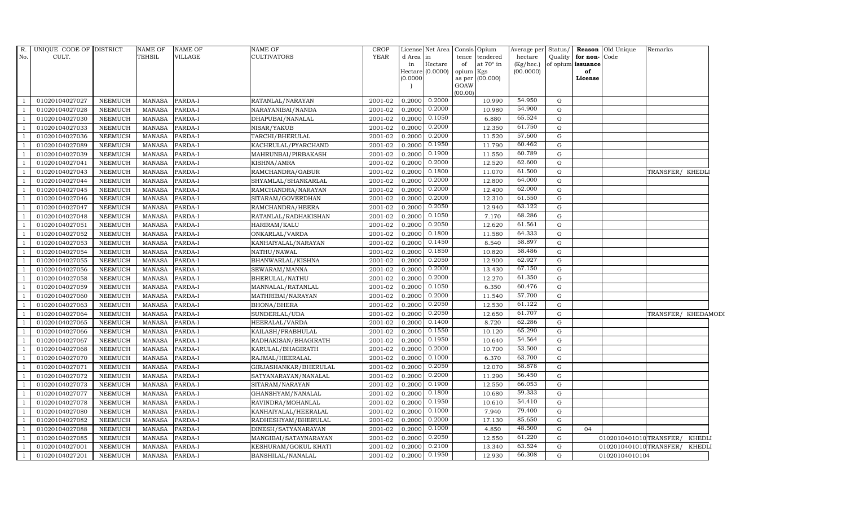| R.<br>No.                | UNIQUE CODE OF DISTRICT<br>CULT. |                                  | <b>NAME OF</b><br><b>TEHSIL</b> | NAME OF<br>VILLAGE | <b>NAME OF</b><br><b>CULTIVATORS</b>  | <b>CROP</b><br><b>YEAR</b> | d Area in<br>in<br>(0.0000) | License Net Area<br>Hectare<br>Hectare (0.0000) | Consis<br>tence<br>of<br>opium<br>as per | Opium<br>tendered<br>at $70^\circ$ in<br>Kgs<br>(00.000) | Average per Status/<br>hectare<br>(Kg/hec.)<br>(00.0000) | Quality     | for non-Code<br>of opium issuance<br>of<br>License | Reason Old Unique      | Remarks             |               |
|--------------------------|----------------------------------|----------------------------------|---------------------------------|--------------------|---------------------------------------|----------------------------|-----------------------------|-------------------------------------------------|------------------------------------------|----------------------------------------------------------|----------------------------------------------------------|-------------|----------------------------------------------------|------------------------|---------------------|---------------|
|                          |                                  |                                  |                                 |                    |                                       |                            |                             |                                                 | GOAW                                     |                                                          |                                                          |             |                                                    |                        |                     |               |
| $\overline{1}$           |                                  |                                  |                                 |                    |                                       |                            | 0.2000                      | 0.2000                                          | (00.00)                                  | 10.990                                                   | 54.950                                                   | G           |                                                    |                        |                     |               |
| $\overline{1}$           | 01020104027027<br>01020104027028 | <b>NEEMUCH</b><br><b>NEEMUCH</b> | MANASA<br><b>MANASA</b>         | PARDA-I<br>PARDA-I | RATANLAL/NARAYAN<br>NARAYANIBAI/NANDA | 2001-02<br>2001-02         | 0.2000                      | 0.2000                                          |                                          | 10.980                                                   | 54.900                                                   | G           |                                                    |                        |                     |               |
| $\overline{1}$           | 01020104027030                   | <b>NEEMUCH</b>                   | <b>MANASA</b>                   | PARDA-I            | DHAPUBAI/NANALAL                      | 2001-02                    | 0.2000                      | 0.1050                                          |                                          | 6.880                                                    | 65.524                                                   | G           |                                                    |                        |                     |               |
| $\overline{1}$           | 01020104027033                   | <b>NEEMUCH</b>                   | <b>MANASA</b>                   | PARDA-I            | NISAR/YAKUB                           | 2001-02                    | 0.2000                      | 0.2000                                          |                                          | 12.350                                                   | 61.750                                                   | G           |                                                    |                        |                     |               |
| $\overline{1}$           | 01020104027036                   | <b>NEEMUCH</b>                   | <b>MANASA</b>                   | PARDA-I            | TARCHI/BHERULAL                       | 2001-02                    | 0.2000                      | 0.2000                                          |                                          | 11.520                                                   | 57.600                                                   | $\mathbf G$ |                                                    |                        |                     |               |
| $\overline{1}$           | 01020104027089                   | <b>NEEMUCH</b>                   | <b>MANASA</b>                   | PARDA-I            | KACHRULAL/PYARCHAND                   | 2001-02                    | 0.2000                      | 0.1950                                          |                                          | 11.790                                                   | 60.462                                                   | G           |                                                    |                        |                     |               |
| $\overline{\phantom{0}}$ | 01020104027039                   | <b>NEEMUCH</b>                   | <b>MANASA</b>                   | PARDA-I            | MAHRUNBAI/PIRBAKASH                   | 2001-02                    | 0.2000                      | 0.1900                                          |                                          | 11.550                                                   | 60.789                                                   | G           |                                                    |                        |                     |               |
| $\overline{1}$           | 01020104027041                   | <b>NEEMUCH</b>                   | <b>MANASA</b>                   | PARDA-I            | KISHNA/AMRA                           | 2001-02                    | 0.2000                      | 0.2000                                          |                                          | 12.520                                                   | 62.600                                                   | G           |                                                    |                        |                     |               |
| $\overline{1}$           | 01020104027043                   | <b>NEEMUCH</b>                   | <b>MANASA</b>                   | PARDA-I            | RAMCHANDRA/GABUR                      | 2001-02                    | 0.2000                      | 0.1800                                          |                                          | 11.070                                                   | 61.500                                                   | G           |                                                    |                        | TRANSFER/ KHEDLI    |               |
| $\overline{1}$           | 01020104027044                   | <b>NEEMUCH</b>                   | <b>MANASA</b>                   | PARDA-I            | SHYAMLAL/SHANKARLAL                   | 2001-02                    | 0.2000                      | 0.2000                                          |                                          | 12.800                                                   | 64.000                                                   | $\mathbf G$ |                                                    |                        |                     |               |
| $\overline{1}$           | 01020104027045                   | <b>NEEMUCH</b>                   | <b>MANASA</b>                   | PARDA-I            | RAMCHANDRA/NARAYAN                    | 2001-02                    | 0.2000                      | 0.2000                                          |                                          | 12.400                                                   | 62.000                                                   | G           |                                                    |                        |                     |               |
| $\overline{\phantom{0}}$ | 01020104027046                   | <b>NEEMUCH</b>                   | <b>MANASA</b>                   | PARDA-I            | SITARAM/GOVERDHAN                     | 2001-02                    | 0.2000                      | 0.2000                                          |                                          | 12.310                                                   | 61.550                                                   | G           |                                                    |                        |                     |               |
| $\overline{1}$           | 01020104027047                   | <b>NEEMUCH</b>                   | <b>MANASA</b>                   | PARDA-I            | RAMCHANDRA/HEERA                      | 2001-02                    | 0.2000                      | 0.2050                                          |                                          | 12.940                                                   | 63.122                                                   | G           |                                                    |                        |                     |               |
| $\overline{1}$           | 01020104027048                   | <b>NEEMUCH</b>                   | <b>MANASA</b>                   | PARDA-I            | RATANLAL/RADHAKISHAN                  | 2001-02                    | 0.2000                      | 0.1050                                          |                                          | 7.170                                                    | 68.286                                                   | G           |                                                    |                        |                     |               |
| $\overline{1}$           | 01020104027051                   | <b>NEEMUCH</b>                   | <b>MANASA</b>                   | PARDA-I            | HARIRAM/KALU                          | 2001-02                    | 0.2000                      | 0.2050                                          |                                          | 12.620                                                   | 61.561                                                   | G           |                                                    |                        |                     |               |
| $\overline{1}$           | 01020104027052                   | <b>NEEMUCH</b>                   | <b>MANASA</b>                   | PARDA-I            | ONKARLAL/VARDA                        | 2001-02                    | 0.2000                      | 0.1800                                          |                                          | 11.580                                                   | 64.333                                                   | G           |                                                    |                        |                     |               |
| -1                       | 01020104027053                   | <b>NEEMUCH</b>                   | <b>MANASA</b>                   | PARDA-I            | KANHAIYALAL/NARAYAN                   | 2001-02                    | 0.2000                      | 0.1450                                          |                                          | 8.540                                                    | 58.897                                                   | G           |                                                    |                        |                     |               |
| $\overline{1}$           | 01020104027054                   | <b>NEEMUCH</b>                   | <b>MANASA</b>                   | PARDA-I            | NATHU/NAWAL                           | 2001-02                    | 0.2000                      | 0.1850                                          |                                          | 10.820                                                   | 58.486                                                   | G           |                                                    |                        |                     |               |
| $\overline{1}$           | 01020104027055                   | <b>NEEMUCH</b>                   | <b>MANASA</b>                   | PARDA-I            | BHANWARLAL/KISHNA                     | 2001-02                    | 0.2000                      | 0.2050                                          |                                          | 12.900                                                   | 62.927                                                   | $\mathbf G$ |                                                    |                        |                     |               |
| $\overline{1}$           | 01020104027056                   | <b>NEEMUCH</b>                   | <b>MANASA</b>                   | PARDA-I            | SEWARAM/MANNA                         | 2001-02                    | 0.2000                      | 0.2000                                          |                                          | 13.430                                                   | 67.150                                                   | $\mathbf G$ |                                                    |                        |                     |               |
| $\overline{1}$           | 01020104027058                   | <b>NEEMUCH</b>                   | <b>MANASA</b>                   | PARDA-I            | BHERULAL/NATHU                        | 2001-02                    | 0.2000                      | 0.2000                                          |                                          | 12.270                                                   | 61.350                                                   | G           |                                                    |                        |                     |               |
| - 1                      | 01020104027059                   | <b>NEEMUCH</b>                   | <b>MANASA</b>                   | PARDA-I            | MANNALAL/RATANLAL                     | 2001-02                    | 0.2000                      | 0.1050                                          |                                          | 6.350                                                    | 60.476                                                   | G           |                                                    |                        |                     |               |
| $\overline{1}$           | 01020104027060                   | <b>NEEMUCH</b>                   | <b>MANASA</b>                   | PARDA-I            | MATHRIBAI/NARAYAN                     | 2001-02                    | 0.2000                      | 0.2000                                          |                                          | 11.540                                                   | 57.700                                                   | G           |                                                    |                        |                     |               |
| $\overline{1}$           | 01020104027063                   | <b>NEEMUCH</b>                   | <b>MANASA</b>                   | PARDA-I            | <b>BHONA/BHERA</b>                    | 2001-02                    | 0.2000                      | 0.2050                                          |                                          | 12.530                                                   | 61.122                                                   | G           |                                                    |                        |                     |               |
| $\overline{1}$           | 01020104027064                   | <b>NEEMUCH</b>                   | <b>MANASA</b>                   | PARDA-I            | SUNDERLAL/UDA                         | 2001-02                    | 0.2000                      | 0.2050                                          |                                          | 12.650                                                   | 61.707                                                   | $\mathbf G$ |                                                    |                        | TRANSFER/ KHEDAMODI |               |
| $\overline{1}$           | 01020104027065                   | <b>NEEMUCH</b>                   | <b>MANASA</b>                   | PARDA-I            | HEERALAL/VARDA                        | 2001-02                    | 0.2000                      | 0.1400                                          |                                          | 8.720                                                    | 62.286                                                   | $\mathbf G$ |                                                    |                        |                     |               |
| $\overline{1}$           | 01020104027066                   | <b>NEEMUCH</b>                   | <b>MANASA</b>                   | PARDA-I            | KAILASH/PRABHULAL                     | 2001-02                    | 0.2000                      | 0.1550                                          |                                          | 10.120                                                   | 65.290                                                   | G           |                                                    |                        |                     |               |
| $\overline{\phantom{0}}$ | 01020104027067                   | <b>NEEMUCH</b>                   | <b>MANASA</b>                   | PARDA-I            | RADHAKISAN/BHAGIRATH                  | 2001-02                    | 0.2000                      | 0.1950                                          |                                          | 10.640                                                   | 54.564                                                   | G           |                                                    |                        |                     |               |
| $\overline{1}$           | 01020104027068                   | <b>NEEMUCH</b>                   | <b>MANASA</b>                   | PARDA-I            | KARULAL/BHAGIRATH                     | 2001-02                    | 0.2000                      | 0.2000                                          |                                          | 10.700                                                   | 53.500                                                   | $\mathbf G$ |                                                    |                        |                     |               |
|                          | 01020104027070                   | <b>NEEMUCH</b>                   | <b>MANASA</b>                   | PARDA-I            | RAJMAL/HEERALAL                       | 2001-02                    | 0.2000                      | 0.1000                                          |                                          | 6.370                                                    | 63.700                                                   | G           |                                                    |                        |                     |               |
| $\overline{1}$           | 01020104027071                   | <b>NEEMUCH</b>                   | <b>MANASA</b>                   | PARDA-I            | GIRJASHANKAR/BHERULAL                 | 2001-02                    | 0.2000                      | 0.2050                                          |                                          | 12.070                                                   | 58.878                                                   | ${\rm G}$   |                                                    |                        |                     |               |
| $\overline{\phantom{0}}$ | 01020104027072                   | <b>NEEMUCH</b>                   | <b>MANASA</b>                   | PARDA-I            | SATYANARAYAN/NANALAL                  | 2001-02                    | 0.2000                      | 0.2000                                          |                                          | 11.290                                                   | 56.450                                                   | G           |                                                    |                        |                     |               |
| $\overline{1}$           | 01020104027073                   | <b>NEEMUCH</b>                   | <b>MANASA</b>                   | PARDA-I            | SITARAM / NARAYAN                     | 2001-02                    | 0.2000                      | 0.1900                                          |                                          | 12.550                                                   | 66.053                                                   | G           |                                                    |                        |                     |               |
| <sup>1</sup>             | 01020104027077                   | <b>NEEMUCH</b>                   | <b>MANASA</b>                   | PARDA-I            | GHANSHYAM/NANALAL                     | 2001-02                    | 0.2000                      | 0.1800                                          |                                          | 10.680                                                   | 59.333                                                   | $\mathbf G$ |                                                    |                        |                     |               |
| $\overline{1}$           | 01020104027078                   | <b>NEEMUCH</b>                   | <b>MANASA</b>                   | PARDA-I            | RAVINDRA/MOHANLAL                     | 2001-02                    | 0.2000                      | 0.1950                                          |                                          | 10.610                                                   | 54.410                                                   | G           |                                                    |                        |                     |               |
| $\overline{1}$           | 01020104027080                   | <b>NEEMUCH</b>                   | <b>MANASA</b>                   | PARDA-I            | KANHAIYALAL/HEERALAL                  | 2001-02                    | 0.2000                      | 0.1000                                          |                                          | 7.940                                                    | 79.400                                                   | G           |                                                    |                        |                     |               |
| $\overline{1}$           | 01020104027082                   | <b>NEEMUCH</b>                   | <b>MANASA</b>                   | PARDA-I            | RADHESHYAM/BHERULAL                   | 2001-02                    | 0.2000                      | 0.2000                                          |                                          | 17.130                                                   | 85.650                                                   | G           |                                                    |                        |                     |               |
| $\overline{1}$           | 01020104027088                   | <b>NEEMUCH</b>                   | <b>MANASA</b>                   | PARDA-I            | DINESH/SATYANARAYAN                   | 2001-02                    | 0.2000                      | 0.1000                                          |                                          | 4.850                                                    | 48.500                                                   | G           | 04                                                 |                        |                     |               |
| -1                       | 01020104027085                   | <b>NEEMUCH</b>                   | <b>MANASA</b>                   | PARDA-I            | MANGIBAI/SATAYNARAYAN                 | 2001-02                    | 0.2000                      | 0.2050                                          |                                          | 12.550                                                   | 61.220                                                   | G           |                                                    | 0102010401010TRANSFER/ |                     | <b>KHEDLI</b> |
| <sup>1</sup>             | 01020104027001                   | <b>NEEMUCH</b>                   | <b>MANASA</b>                   | PARDA-I            | KESHURAM/GOKUL KHATI                  | 2001-02                    | 0.2000                      | 0.2100                                          |                                          | 13.340                                                   | 63.524                                                   | $\mathbf G$ |                                                    | 0102010401010TRANSFER/ |                     | <b>KHEDLI</b> |
| $\mathbf{1}$             | 01020104027201                   | <b>NEEMUCH</b>                   | <b>MANASA</b>                   | PARDA-I            | BANSHILAL/NANALAL                     | 2001-02                    | 0.2000                      | 0.1950                                          |                                          | 12.930                                                   | 66.308                                                   | G           |                                                    | 01020104010104         |                     |               |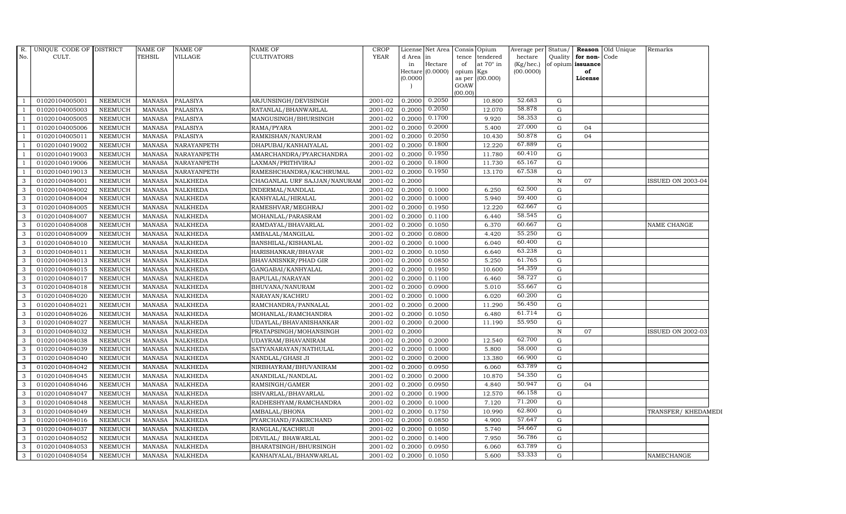| R.  | UNIQUE CODE OF DISTRICT |                | NAME OF       | <b>NAME OF</b>  | <b>NAME OF</b>               | <b>CROP</b> |           | License Net Area            |                 | Consis Opium    | Average per               | Status/      |                         | <b>Reason</b> Old Unique | Remarks            |
|-----|-------------------------|----------------|---------------|-----------------|------------------------------|-------------|-----------|-----------------------------|-----------------|-----------------|---------------------------|--------------|-------------------------|--------------------------|--------------------|
| No. | CULT.                   |                | TEHSIL        | VILLAGE         | CULTIVATORS                  | <b>YEAR</b> | d Area in |                             | tence           | tendered        | hectare                   | Quality      | for non-Code            |                          |                    |
|     |                         |                |               |                 |                              |             | in        | Hectare<br>Hectare (0.0000) | of<br>opium Kgs | at 70° in       | $(Kg/$ hec.)<br>(00.0000) |              | of opium issuance<br>of |                          |                    |
|     |                         |                |               |                 |                              |             | (0.0000)  |                             |                 | as per (00.000) |                           |              | License                 |                          |                    |
|     |                         |                |               |                 |                              |             |           |                             | GOAW            |                 |                           |              |                         |                          |                    |
|     |                         |                |               |                 |                              |             |           |                             | (00.00)         |                 |                           |              |                         |                          |                    |
|     | 01020104005001          | <b>NEEMUCH</b> | <b>MANASA</b> | <b>PALASIYA</b> | ARJUNSINGH/DEVISINGH         | 2001-02     | 0.2000    | 0.2050                      |                 | 10.800          | 52.683                    | G            |                         |                          |                    |
|     | 01020104005003          | <b>NEEMUCH</b> | <b>MANASA</b> | <b>PALASIYA</b> | RATANLAL/BHANWARLAL          | 2001-02     | 0.2000    | 0.2050                      |                 | 12.070          | 58.878                    | G            |                         |                          |                    |
|     | 01020104005005          | <b>NEEMUCH</b> | <b>MANASA</b> | <b>PALASIYA</b> | MANGUSINGH/BHURSINGH         | 2001-02     | 0.2000    | 0.1700                      |                 | 9.920           | 58.353                    | G            |                         |                          |                    |
|     | 01020104005006          | <b>NEEMUCH</b> | <b>MANASA</b> | <b>PALASIYA</b> | RAMA/PYARA                   | 2001-02     | 0.2000    | 0.2000                      |                 | 5.400           | 27.000                    | G            | 04                      |                          |                    |
|     | 01020104005011          | <b>NEEMUCH</b> | <b>MANASA</b> | <b>PALASIYA</b> | RAMKISHAN/NANURAM            | 2001-02     | 0.2000    | 0.2050                      |                 | 10.430          | 50.878                    | G            | 04                      |                          |                    |
|     | 01020104019002          | <b>NEEMUCH</b> | <b>MANASA</b> | NARAYANPETH     | DHAPUBAI/KANHAIYALAL         | 2001-02     | 0.2000    | 0.1800                      |                 | 12.220          | 67.889                    | G            |                         |                          |                    |
|     | 01020104019003          | <b>NEEMUCH</b> | <b>MANASA</b> | NARAYANPETH     | AMARCHANDRA/PYARCHANDRA      | 2001-02     | 0.2000    | 0.1950                      |                 | 11.780          | 60.410                    | G            |                         |                          |                    |
|     | 01020104019006          | <b>NEEMUCH</b> | <b>MANASA</b> | NARAYANPETH     | LAXMAN/PRITHVIRAJ            | 2001-02     | 0.2000    | 0.1800                      |                 | 11.730          | 65.167                    | G            |                         |                          |                    |
|     | 01020104019013          | <b>NEEMUCH</b> | <b>MANASA</b> | NARAYANPETH     | RAMESHCHANDRA/KACHRUMAL      | 2001-02     | 0.2000    | 0.1950                      |                 | 13.170          | 67.538                    | G            |                         |                          |                    |
| 3   | 01020104084001          | <b>NEEMUCH</b> | MANASA        | <b>NALKHEDA</b> | CHAGANLAL URF SAJJAN/NANURAM | 2001-02     | 0.2000    |                             |                 |                 |                           | $\, {\rm N}$ | 07                      |                          | ISSUED ON 2003-04  |
| 3   | 01020104084002          | <b>NEEMUCH</b> | <b>MANASA</b> | <b>NALKHEDA</b> | INDERMAL/NANDLAL             | 2001-02     | 0.2000    | 0.1000                      |                 | 6.250           | 62.500                    | G            |                         |                          |                    |
| 3   | 01020104084004          | <b>NEEMUCH</b> | <b>MANASA</b> | <b>NALKHEDA</b> | KANHYALAL/HIRALAL            | 2001-02     | 0.2000    | 0.1000                      |                 | 5.940           | 59.400                    | $\mathbf G$  |                         |                          |                    |
| 3   | 01020104084005          | <b>NEEMUCH</b> | <b>MANASA</b> | <b>NALKHEDA</b> | RAMESHVAR/MEGHRAJ            | 2001-02     | 0.2000    | 0.1950                      |                 | 12.220          | 62.667                    | G            |                         |                          |                    |
| 3   | 01020104084007          | <b>NEEMUCH</b> | <b>MANASA</b> | <b>NALKHEDA</b> | MOHANLAL/PARASRAM            | 2001-02     | 0.2000    | 0.1100                      |                 | 6.440           | 58.545                    | $\mathbf G$  |                         |                          |                    |
| 3   | 01020104084008          | <b>NEEMUCH</b> | MANASA        | <b>NALKHEDA</b> | RAMDAYAL/BHAVARLAL           | 2001-02     | 0.2000    | 0.1050                      |                 | 6.370           | 60.667                    | G            |                         |                          | NAME CHANGE        |
| 3   | 01020104084009          | <b>NEEMUCH</b> | <b>MANASA</b> | <b>NALKHEDA</b> | AMBALAL/MANGILAL             | 2001-02     | 0.2000    | 0.0800                      |                 | 4.420           | 55.250                    | G            |                         |                          |                    |
| 3   | 01020104084010          | <b>NEEMUCH</b> | <b>MANASA</b> | <b>NALKHEDA</b> | BANSHILAL/KISHANLAL          | 2001-02     | 0.2000    | 0.1000                      |                 | 6.040           | 60.400                    | G            |                         |                          |                    |
| 3   | 01020104084011          | NEEMUCH        | <b>MANASA</b> | <b>NALKHEDA</b> | HARISHANKAR/BHAVAR           | 2001-02     | 0.2000    | 0.1050                      |                 | 6.640           | 63.238                    | G            |                         |                          |                    |
| 3   | 01020104084013          | <b>NEEMUCH</b> | <b>MANASA</b> | <b>NALKHEDA</b> | BHAVANISNKR/PHAD GIR         | 2001-02     | 0.2000    | 0.0850                      |                 | 5.250           | 61.765                    | $\mathbf G$  |                         |                          |                    |
| 3   | 01020104084015          | <b>NEEMUCH</b> | <b>MANASA</b> | <b>NALKHEDA</b> | GANGABAI/KANHYALAL           | 2001-02     | 0.2000    | 0.1950                      |                 | 10.600          | 54.359                    | ${\rm G}$    |                         |                          |                    |
| 3   | 01020104084017          | <b>NEEMUCH</b> | <b>MANASA</b> | <b>NALKHEDA</b> | BAPULAL/NARAYAN              | 2001-02     | 0.2000    | 0.1100                      |                 | 6.460           | 58.727                    | G            |                         |                          |                    |
| 3   | 01020104084018          | <b>NEEMUCH</b> | <b>MANASA</b> | <b>NALKHEDA</b> | BHUVANA/NANURAM              | 2001-02     | 0.2000    | 0.0900                      |                 | 5.010           | 55.667                    | G            |                         |                          |                    |
| 3   | 01020104084020          | NEEMUCH        | MANASA        | <b>NALKHEDA</b> | NARAYAN/KACHRU               | 2001-02     | 0.2000    | 0.1000                      |                 | 6.020           | 60.200                    | G            |                         |                          |                    |
| 3   | 01020104084021          | <b>NEEMUCH</b> | <b>MANASA</b> | <b>NALKHEDA</b> | RAMCHANDRA/PANNALAL          | 2001-02     | 0.2000    | 0.2000                      |                 | 11.290          | 56.450                    | G            |                         |                          |                    |
| 3   | 01020104084026          | <b>NEEMUCH</b> | <b>MANASA</b> | <b>NALKHEDA</b> | MOHANLAL/RAMCHANDRA          | 2001-02     | 0.2000    | 0.1050                      |                 | 6.480           | 61.714                    | $\mathbf G$  |                         |                          |                    |
| 3   | 01020104084027          | <b>NEEMUCH</b> | <b>MANASA</b> | <b>NALKHEDA</b> | UDAYLAL/BHAVANISHANKAR       | 2001-02     | 0.2000    | 0.2000                      |                 | 11.190          | 55.950                    | G            |                         |                          |                    |
| 3   | 01020104084032          | <b>NEEMUCH</b> | <b>MANASA</b> | <b>NALKHEDA</b> | PRATAPSINGH/MOHANSINGH       | 2001-02     | 0.2000    |                             |                 |                 |                           | $\mathbb N$  | 07                      |                          | ISSUED ON 2002-03  |
| 3   | 01020104084038          | <b>NEEMUCH</b> | <b>MANASA</b> | <b>NALKHEDA</b> | UDAYRAM/BHAVANIRAM           | 2001-02     | 0.2000    | 0.2000                      |                 | 12.540          | 62.700                    | $\mathbf G$  |                         |                          |                    |
| 3   | 01020104084039          | <b>NEEMUCH</b> | <b>MANASA</b> | <b>NALKHEDA</b> | SATYANARAYAN/NATHULAL        | 2001-02     | 0.2000    | 0.1000                      |                 | 5.800           | 58.000                    | $\mathbf G$  |                         |                          |                    |
| 3   | 01020104084040          | <b>NEEMUCH</b> | <b>MANASA</b> | <b>NALKHEDA</b> | NANDLAL/GHASI JI             | 2001-02     | 0.2000    | 0.2000                      |                 | 13.380          | 66.900                    | $\mathbf G$  |                         |                          |                    |
| 3   | 01020104084042          | <b>NEEMUCH</b> | <b>MANASA</b> | <b>NALKHEDA</b> | NIRBHAYRAM/BHUVANIRAM        | 2001-02     | 0.2000    | 0.0950                      |                 | 6.060           | 63.789                    | G            |                         |                          |                    |
| 3   | 01020104084045          | <b>NEEMUCH</b> | <b>MANASA</b> | <b>NALKHEDA</b> | ANANDILAL/NANDLAL            | 2001-02     | 0.2000    | 0.2000                      |                 | 10.870          | 54.350                    | G            |                         |                          |                    |
| 3   | 01020104084046          | <b>NEEMUCH</b> | <b>MANASA</b> | <b>NALKHEDA</b> | RAMSINGH/GAMER               | 2001-02     | 0.2000    | 0.0950                      |                 | 4.840           | 50.947                    | G            | 04                      |                          |                    |
| 3   | 01020104084047          | <b>NEEMUCH</b> | <b>MANASA</b> | <b>NALKHEDA</b> | ISHVARLAL/BHAVARLAL          | 2001-02     | 0.2000    | 0.1900                      |                 | 12.570          | 66.158                    | $\mathbf G$  |                         |                          |                    |
| 3   | 01020104084048          | <b>NEEMUCH</b> | <b>MANASA</b> | <b>NALKHEDA</b> | RADHESHYAM/RAMCHANDRA        | 2001-02     | 0.2000    | 0.1000                      |                 | 7.120           | 71.200                    | G            |                         |                          |                    |
| 3   | 01020104084049          | <b>NEEMUCH</b> | MANASA        | <b>NALKHEDA</b> | AMBALAL/BHONA                | 2001-02     | 0.2000    | 0.1750                      |                 | 10.990          | 62.800                    | G            |                         |                          | TRANSFER/KHEDAMEDI |
| 3   | 01020104084016          | <b>NEEMUCH</b> | <b>MANASA</b> | <b>NALKHEDA</b> | PYARCHAND/FAKIRCHAND         | 2001-02     | 0.2000    | 0.0850                      |                 | 4.900           | 57.647                    | G            |                         |                          |                    |
| 3   | 01020104084037          | <b>NEEMUCH</b> | <b>MANASA</b> | <b>NALKHEDA</b> | RANGLAL/KACHRUJI             | 2001-02     | 0.2000    | 0.1050                      |                 | 5.740           | 54.667                    | G            |                         |                          |                    |
| 3   | 01020104084052          | <b>NEEMUCH</b> | <b>MANASA</b> | NALKHEDA        | DEVILAL/ BHAWARLAL           | 2001-02     | 0.2000    | 0.1400                      |                 | 7.950           | 56.786                    | $\mathbf G$  |                         |                          |                    |
| 3   | 01020104084053          | <b>NEEMUCH</b> | <b>MANASA</b> | <b>NALKHEDA</b> | BHARATSINGH/BHURSINGH        | 2001-02     | 0.2000    | 0.0950                      |                 | 6.060           | 63.789                    | G            |                         |                          |                    |
| 3   | 01020104084054          | <b>NEEMUCH</b> | MANASA        | <b>NALKHEDA</b> | KANHAIYALAL/BHANWARLAL       | 2001-02     | 0.2000    | 0.1050                      |                 | 5.600           | 53.333                    | G            |                         |                          | NAMECHANGE         |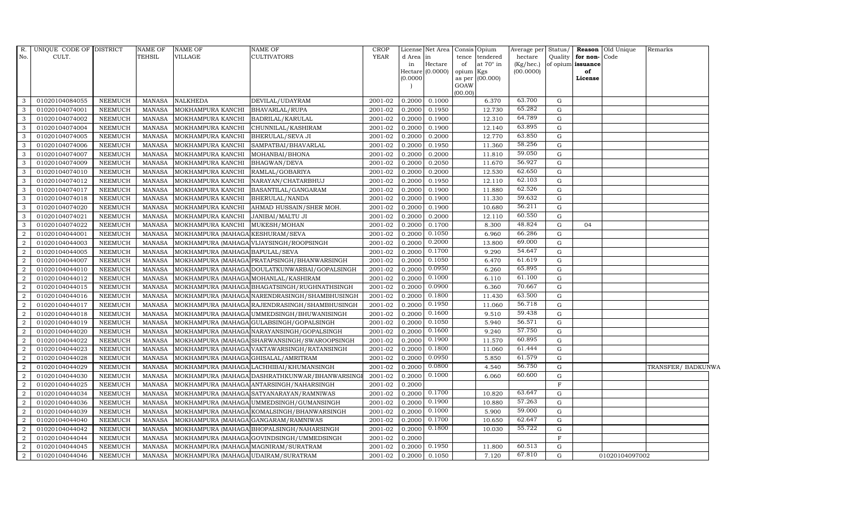| R.<br>No.        | UNIQUE CODE OF DISTRICT<br>CULT. |                | <b>NAME OF</b><br><b>TEHSIL</b> | <b>NAME OF</b><br><b>VILLAGE</b>     | NAME OF<br><b>CULTIVATORS</b>                  | <b>CROP</b><br><b>YEAR</b> | d Area in<br>in<br>(0.0000) | License Net Area<br>Hectare<br>Hectare $(0.0000)$ | Consis Opium<br>of<br>opium Kgs<br>GOAW<br>(00.00) | tence tendered<br>at 70° in<br>as per (00.000) | Average per<br>hectare<br>(Kg/hec.)<br>(00.0000) | Status/<br>Quality | for non-Code<br>of opium issuance<br>of<br>License | <b>Reason</b> Old Unique | Remarks           |  |
|------------------|----------------------------------|----------------|---------------------------------|--------------------------------------|------------------------------------------------|----------------------------|-----------------------------|---------------------------------------------------|----------------------------------------------------|------------------------------------------------|--------------------------------------------------|--------------------|----------------------------------------------------|--------------------------|-------------------|--|
| 3                | 01020104084055                   | <b>NEEMUCH</b> | MANASA                          | <b>NALKHEDA</b>                      | DEVILAL/UDAYRAM                                | 2001-02                    | 0.2000                      | 0.1000                                            |                                                    | 6.370                                          | 63.700                                           | G                  |                                                    |                          |                   |  |
| 3                | 01020104074001                   | NEEMUCH        | <b>MANASA</b>                   | MOKHAMPURA KANCHI                    | <b>BHAVARLAL/RUPA</b>                          | 2001-02                    | 0.2000                      | 0.1950                                            |                                                    | 12.730                                         | 65.282                                           | $\mathbf G$        |                                                    |                          |                   |  |
| 3                | 01020104074002                   | <b>NEEMUCH</b> | <b>MANASA</b>                   | MOKHAMPURA KANCHI                    | <b>BADRILAL/KARULAL</b>                        | 2001-02                    | 0.2000                      | 0.1900                                            |                                                    | 12.310                                         | 64.789                                           | G                  |                                                    |                          |                   |  |
| 3                | 01020104074004                   | <b>NEEMUCH</b> | <b>MANASA</b>                   | MOKHAMPURA KANCHI                    | CHUNNILAL/KASHIRAM                             | 2001-02                    | 0.2000                      | 0.1900                                            |                                                    | 12.140                                         | 63.895                                           | G                  |                                                    |                          |                   |  |
| 3                | 01020104074005                   | <b>NEEMUCH</b> | <b>MANASA</b>                   | MOKHAMPURA KANCHI                    | BHERULAL/SEVA JI                               | 2001-02                    | 0.2000                      | 0.2000                                            |                                                    | 12.770                                         | 63.850                                           | G                  |                                                    |                          |                   |  |
| 3                | 01020104074006                   | <b>NEEMUCH</b> | <b>MANASA</b>                   | MOKHAMPURA KANCHI                    | SAMPATBAI/BHAVARLAL                            | 2001-02                    | 0.2000                      | 0.1950                                            |                                                    | 11.360                                         | 58.256                                           | G                  |                                                    |                          |                   |  |
| 3                | 01020104074007                   | <b>NEEMUCH</b> | <b>MANASA</b>                   | MOKHAMPURA KANCHI                    | MOHANBAI/BHONA                                 | 2001-02                    | 0.2000                      | 0.2000                                            |                                                    | 11.810                                         | 59.050                                           | ${\rm G}$          |                                                    |                          |                   |  |
| $\mathbf{3}$     | 01020104074009                   | <b>NEEMUCH</b> | <b>MANASA</b>                   | MOKHAMPURA KANCHI                    | BHAGWAN/DEVA                                   | 2001-02                    | 0.2000                      | 0.2050                                            |                                                    | 11.670                                         | 56.927                                           | G                  |                                                    |                          |                   |  |
| 3                | 01020104074010                   | <b>NEEMUCH</b> | <b>MANASA</b>                   | MOKHAMPURA KANCHI                    | RAMLAL/GOBARIYA                                | 2001-02                    | 0.2000                      | 0.2000                                            |                                                    | 12.530                                         | 62.650                                           | G                  |                                                    |                          |                   |  |
| 3                | 01020104074012                   | <b>NEEMUCH</b> | <b>MANASA</b>                   | MOKHAMPURA KANCHI                    | NARAYAN/CHATARBHUJ                             | 2001-02                    | 0.2000                      | 0.1950                                            |                                                    | 12.110                                         | 62.103                                           | $\mathbf G$        |                                                    |                          |                   |  |
| $\mathbf{3}$     | 01020104074017                   | <b>NEEMUCH</b> | <b>MANASA</b>                   | MOKHAMPURA KANCHI                    | BASANTILAL/GANGARAM                            | 2001-02                    | 0.2000                      | 0.1900                                            |                                                    | 11.880                                         | 62.526                                           | G                  |                                                    |                          |                   |  |
| 3                | 01020104074018                   | <b>NEEMUCH</b> | <b>MANASA</b>                   | MOKHAMPURA KANCHI                    | BHERULAL/NANDA                                 | 2001-02                    | 0.2000                      | 0.1900                                            |                                                    | 11.330                                         | 59.632                                           | G                  |                                                    |                          |                   |  |
| $\mathbf{3}$     | 01020104074020                   | <b>NEEMUCH</b> | <b>MANASA</b>                   | MOKHAMPURA KANCHI                    | AHMAD HUSSAIN/SHER MOH.                        | 2001-02                    | 0.2000                      | 0.1900                                            |                                                    | 10.680                                         | 56.211                                           | G                  |                                                    |                          |                   |  |
| 3                | 01020104074021                   | <b>NEEMUCH</b> | <b>MANASA</b>                   | MOKHAMPURA KANCHI                    | <b>JANIBAI/MALTU JI</b>                        | 2001-02                    | 0.2000                      | 0.2000                                            |                                                    | 12.110                                         | 60.550                                           | G                  |                                                    |                          |                   |  |
| 3                | 01020104074022                   | <b>NEEMUCH</b> | <b>MANASA</b>                   | MOKHAMPURA KANCHI                    | MUKESH/MOHAN                                   | 2001-02                    | 0.2000                      | 0.1700                                            |                                                    | 8.300                                          | 48.824                                           | G                  | 04                                                 |                          |                   |  |
| $\overline{2}$   | 01020104044001                   | <b>NEEMUCH</b> | <b>MANASA</b>                   | MOKHAMPURA (MAHAGA KESHURAM/SEVA     |                                                | 2001-02                    | 0.2000                      | 0.1050                                            |                                                    | 6.960                                          | 66.286                                           | G                  |                                                    |                          |                   |  |
| $\overline{2}$   | 01020104044003                   | <b>NEEMUCH</b> | <b>MANASA</b>                   |                                      | MOKHAMPURA (MAHAGA VIJAYSINGH/ROOPSINGH        | 2001-02                    | 0.2000                      | 0.2000                                            |                                                    | 13.800                                         | 69.000                                           | G                  |                                                    |                          |                   |  |
| 2                | 01020104044005                   | <b>NEEMUCH</b> | <b>MANASA</b>                   | MOKHAMPURA (MAHAGA BAPULAL/SEVA      |                                                | 2001-02                    | 0.2000                      | 0.1700                                            |                                                    | 9.290                                          | 54.647                                           | G                  |                                                    |                          |                   |  |
| $\overline{2}$   | 01020104044007                   | <b>NEEMUCH</b> | <b>MANASA</b>                   |                                      | MOKHAMPURA (MAHAGA PRATAPSINGH/BHANWARSINGH    | 2001-02                    | 0.2000                      | 0.1050                                            |                                                    | 6.470                                          | 61.619                                           | $\mathbf G$        |                                                    |                          |                   |  |
| $\overline{2}$   | 01020104044010                   | <b>NEEMUCH</b> | <b>MANASA</b>                   |                                      | MOKHAMPURA (MAHAGA DOULATKUNWARBAI/GOPALSINGH  | 2001-02                    | 0.2000                      | 0.0950                                            |                                                    | 6.260                                          | 65.895                                           | G                  |                                                    |                          |                   |  |
| $\overline{2}$   | 01020104044012                   | <b>NEEMUCH</b> | <b>MANASA</b>                   | MOKHAMPURA (MAHAGA MOHANLAL/KASHIRAM |                                                | 2001-02                    | 0.2000                      | 0.1000                                            |                                                    | 6.110                                          | 61.100                                           | G                  |                                                    |                          |                   |  |
| $\overline{2}$   | 01020104044015                   | <b>NEEMUCH</b> | <b>MANASA</b>                   |                                      | MOKHAMPURA (MAHAGA BHAGATSINGH / RUGHNATHSINGH | 2001-02                    | 0.2000                      | 0.0900                                            |                                                    | 6.360                                          | 70.667                                           | G                  |                                                    |                          |                   |  |
| $\overline{2}$   | 01020104044016                   | <b>NEEMUCH</b> | <b>MANASA</b>                   |                                      | MOKHAMPURA (MAHAGA NARENDRASINGH/SHAMBHUSINGH  | 2001-02                    | 0.2000                      | 0.1800                                            |                                                    | 11.430                                         | 63.500                                           | G                  |                                                    |                          |                   |  |
| $\overline{a}$   | 01020104044017                   | <b>NEEMUCH</b> | <b>MANASA</b>                   |                                      | MOKHAMPURA (MAHAGA RAJENDRASINGH/SHAMBHUSINGH  | 2001-02                    | 0.2000                      | 0.1950                                            |                                                    | 11.060                                         | 56.718                                           | G                  |                                                    |                          |                   |  |
| $\overline{2}$   | 01020104044018                   | <b>NEEMUCH</b> | <b>MANASA</b>                   |                                      | MOKHAMPURA (MAHAGA UMMEDSINGH/BHUWANISINGH     | 2001-02                    | 0.2000                      | 0.1600                                            |                                                    | 9.510                                          | 59.438                                           | G                  |                                                    |                          |                   |  |
| $\overline{2}$   | 01020104044019                   | <b>NEEMUCH</b> | <b>MANASA</b>                   |                                      | MOKHAMPURA (MAHAGA GULABSINGH/GOPALSINGH       | 2001-02                    | 0.2000                      | 0.1050                                            |                                                    | 5.940                                          | 56.571                                           | G                  |                                                    |                          |                   |  |
| $\overline{2}$   | 01020104044020                   | <b>NEEMUCH</b> | <b>MANASA</b>                   |                                      | MOKHAMPURA (MAHAGA NARAYANSINGH/GOPALSINGH     | 2001-02                    | 0.2000                      | 0.1600                                            |                                                    | 9.240                                          | 57.750                                           | G                  |                                                    |                          |                   |  |
| $\overline{2}$   | 01020104044022                   | <b>NEEMUCH</b> | <b>MANASA</b>                   |                                      | MOKHAMPURA (MAHAGA SHARWANSINGH/SWAROOPSINGH   | 2001-02                    | 0.2000                      | 0.1900                                            |                                                    | 11.570                                         | 60.895                                           | G                  |                                                    |                          |                   |  |
| $\overline{2}$   | 01020104044023                   | <b>NEEMUCH</b> | <b>MANASA</b>                   |                                      | MOKHAMPURA (MAHAGA VAKTAWARSINGH/RATANSINGH    | 2001-02                    | 0.2000                      | 0.1800                                            |                                                    | 11.060                                         | 61.444                                           | $\mathbf G$        |                                                    |                          |                   |  |
| $\overline{2}$   | 01020104044028                   | <b>NEEMUCH</b> | <b>MANASA</b>                   | MOKHAMPURA (MAHAGA GHISALAL/AMRITRAM |                                                | 2001-02                    | 0.2000                      | 0.0950                                            |                                                    | 5.850                                          | 61.579                                           | $\mathbf G$        |                                                    |                          |                   |  |
| $\overline{2}$   | 01020104044029                   | <b>NEEMUCH</b> | <b>MANASA</b>                   |                                      | MOKHAMPURA (MAHAGA LACHHIBAI/KHUMANSINGH       | 2001-02                    | 0.2000                      | 0.0800                                            |                                                    | 4.540                                          | 56.750                                           | G                  |                                                    |                          | TRANSFER/BADKUNWA |  |
| $\overline{2}$   | 01020104044030                   | <b>NEEMUCH</b> | <b>MANASA</b>                   |                                      | MOKHAMPURA (MAHAGA DASHRATHKUNWAR/BHANWARSINGI | 2001-02                    | 0.2000                      | 0.1000                                            |                                                    | 6.060                                          | 60.600                                           | ${\rm G}$          |                                                    |                          |                   |  |
| $\overline{2}$   | 01020104044025                   | <b>NEEMUCH</b> | <b>MANASA</b>                   |                                      | MOKHAMPURA (MAHAGA ANTARSINGH / NAHARSINGH     | 2001-02                    | 0.2000                      |                                                   |                                                    |                                                |                                                  | F                  |                                                    |                          |                   |  |
| 2                | 01020104044034                   | <b>NEEMUCH</b> | <b>MANASA</b>                   |                                      | MOKHAMPURA (MAHAGA SATYANARAYAN/RAMNIWAS       | 2001-02                    | 0.2000                      | 0.1700                                            |                                                    | 10.820                                         | 63.647                                           | G                  |                                                    |                          |                   |  |
| $\overline{2}$   | 01020104044036                   | <b>NEEMUCH</b> | <b>MANASA</b>                   |                                      | MOKHAMPURA (MAHAGA UMMEDSINGH/GUMANSINGH       | 2001-02                    | 0.2000                      | 0.1900                                            |                                                    | 10.880                                         | 57.263                                           | $\mathbf G$        |                                                    |                          |                   |  |
| $\overline{2}$   | 01020104044039                   | <b>NEEMUCH</b> | <b>MANASA</b>                   |                                      | MOKHAMPURA (MAHAGA KOMALSINGH/BHANWARSINGH     | 2001-02                    | 0.2000                      | 0.1000                                            |                                                    | 5.900                                          | 59.000                                           | G                  |                                                    |                          |                   |  |
| $\overline{2}$   | 01020104044040                   | <b>NEEMUCH</b> | <b>MANASA</b>                   | MOKHAMPURA (MAHAGA GANGARAM/RAMNIWAS |                                                | 2001-02                    | 0.2000                      | 0.1700                                            |                                                    | 10.650                                         | 62.647                                           | G                  |                                                    |                          |                   |  |
| $\boldsymbol{2}$ | 01020104044042                   | <b>NEEMUCH</b> | <b>MANASA</b>                   |                                      | MOKHAMPURA (MAHAGA BHOPALSINGH/NAHARSINGH      | 2001-02                    | 0.2000                      | 0.1800                                            |                                                    | 10.030                                         | 55.722                                           | G                  |                                                    |                          |                   |  |
| $\overline{2}$   | 01020104044044                   | <b>NEEMUCH</b> | <b>MANASA</b>                   |                                      | MOKHAMPURA (MAHAGA GOVINDSINGH/UMMEDSINGH      | 2001-02                    | 0.2000                      |                                                   |                                                    |                                                |                                                  | $\mathbf{F}$       |                                                    |                          |                   |  |
| $\overline{2}$   | 01020104044045                   | <b>NEEMUCH</b> | <b>MANASA</b>                   | MOKHAMPURA (MAHAGA MAGNIRAM/SURATRAM |                                                | 2001-02                    | 0.2000                      | 0.1950                                            |                                                    | 11.800                                         | 60.513                                           | $\mathbf G$        |                                                    |                          |                   |  |
| $\overline{2}$   | 01020104044046                   | <b>NEEMUCH</b> | MANASA                          | MOKHAMPURA (MAHAGA UDAIRAM/SURATRAM  |                                                | 2001-02                    | 0.2000                      | 0.1050                                            |                                                    | 7.120                                          | 67.810                                           | G                  |                                                    | 01020104097002           |                   |  |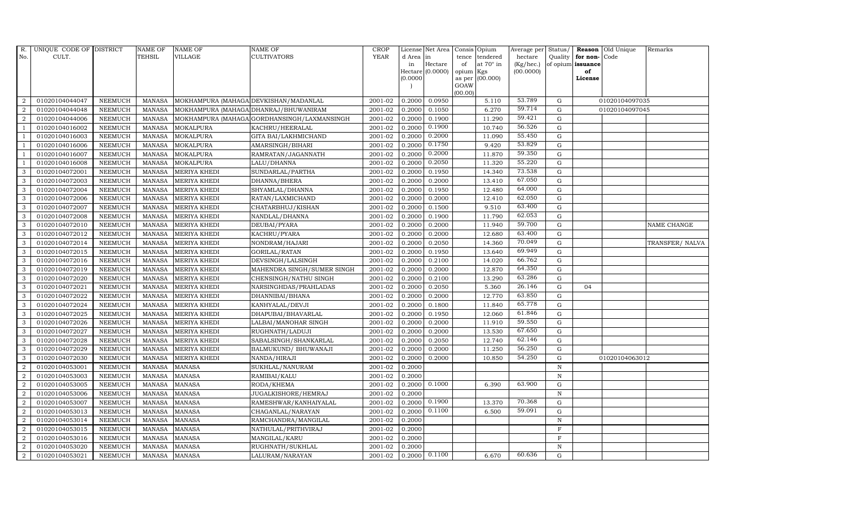| R.             | UNIQUE CODE OF DISTRICT |                | <b>NAME OF</b> | <b>NAME OF</b>                        | <b>NAME OF</b>                              | CROP        |           | License Net Area   Consis   Opium |           |                  | Average per | Status/      |                   | <b>Reason</b> Old Unique | Remarks        |
|----------------|-------------------------|----------------|----------------|---------------------------------------|---------------------------------------------|-------------|-----------|-----------------------------------|-----------|------------------|-------------|--------------|-------------------|--------------------------|----------------|
| No.            | CULT.                   |                | <b>TEHSIL</b>  | <b>VILLAGE</b>                        | <b>CULTIVATORS</b>                          | <b>YEAR</b> | d Area in |                                   |           | tence tendered   | hectare     | Quality      | for non-          | Code                     |                |
|                |                         |                |                |                                       |                                             |             | in        | Hectare                           | of        | at $70^\circ$ in | (Kg/hec.)   |              | of opium issuance |                          |                |
|                |                         |                |                |                                       |                                             |             | (0.0000)  | Hectare (0.0000)                  | opium Kgs | as per (00.000)  | (00.0000)   |              | of<br>License     |                          |                |
|                |                         |                |                |                                       |                                             |             |           |                                   | GOAW      |                  |             |              |                   |                          |                |
|                |                         |                |                |                                       |                                             |             |           |                                   | (00.00)   |                  |             |              |                   |                          |                |
| $\overline{2}$ | 01020104044047          | <b>NEEMUCH</b> | MANASA         | MOKHAMPURA (MAHAGA DEVKISHAN/MADANLAL |                                             | 2001-02     | 0.2000    | 0.0950                            |           | 5.110            | 53.789      | $\mathbf G$  |                   | 01020104097035           |                |
| $\overline{2}$ | 01020104044048          | <b>NEEMUCH</b> | MANASA         |                                       | MOKHAMPURA (MAHAGA DHANRAJ/BHUWANIRAM       | 2001-02     | 0.2000    | 0.1050                            |           | 6.270            | 59.714      | $\mathbf G$  |                   | 01020104097045           |                |
| 2              | 01020104044006          | <b>NEEMUCH</b> | <b>MANASA</b>  |                                       | MOKHAMPURA (MAHAGA GORDHANSINGH/LAXMANSINGH | 2001-02     | 0.2000    | 0.1900                            |           | 11.290           | 59.421      | G            |                   |                          |                |
|                | 01020104016002          | <b>NEEMUCH</b> | <b>MANASA</b>  | <b>MOKALPURA</b>                      | KACHRU/HEERALAL                             | 2001-02     | 0.2000    | 0.1900                            |           | 10.740           | 56.526      | $\mathbf G$  |                   |                          |                |
| -1             | 01020104016003          | <b>NEEMUCH</b> | <b>MANASA</b>  | <b>MOKALPURA</b>                      | GITA BAI/LAKHMICHAND                        | 2001-02     | 0.2000    | 0.2000                            |           | 11.090           | 55.450      | ${\bf G}$    |                   |                          |                |
| $\overline{1}$ | 01020104016006          | <b>NEEMUCH</b> | <b>MANASA</b>  | MOKALPURA                             | AMARSINGH/BIHARI                            | 2001-02     | 0.2000    | 0.1750                            |           | 9.420            | 53.829      | $\mathbf G$  |                   |                          |                |
| $\overline{1}$ | 01020104016007          | <b>NEEMUCH</b> | <b>MANASA</b>  | <b>MOKALPURA</b>                      | RAMRATAN/JAGANNATH                          | 2001-02     | 0.2000    | 0.2000                            |           | 11.870           | 59.350      | $\mathbf G$  |                   |                          |                |
| $\overline{1}$ | 01020104016008          | <b>NEEMUCH</b> | <b>MANASA</b>  | <b>MOKALPURA</b>                      | LALU/DHANNA                                 | 2001-02     | 0.2000    | 0.2050                            |           | 11.320           | 55.220      | $\mathbf G$  |                   |                          |                |
| 3              | 01020104072001          | <b>NEEMUCH</b> | <b>MANASA</b>  | <b>MERIYA KHEDI</b>                   | SUNDARLAL/PARTHA                            | 2001-02     | 0.2000    | 0.1950                            |           | 14.340           | 73.538      | $\mathbf G$  |                   |                          |                |
| 3              | 01020104072003          | <b>NEEMUCH</b> | <b>MANASA</b>  | <b>MERIYA KHEDI</b>                   | DHANNA/BHERA                                | 2001-02     | 0.2000    | 0.2000                            |           | 13.410           | 67.050      | $\mathbf G$  |                   |                          |                |
| $\mathbf{3}$   | 01020104072004          | <b>NEEMUCH</b> | <b>MANASA</b>  | <b>MERIYA KHEDI</b>                   | SHYAMLAL/DHANNA                             | 2001-02     | 0.2000    | 0.1950                            |           | 12.480           | 64.000      | ${\rm G}$    |                   |                          |                |
| 3              | 01020104072006          | <b>NEEMUCH</b> | <b>MANASA</b>  | <b>MERIYA KHEDI</b>                   | RATAN/LAXMICHAND                            | 2001-02     | 0.2000    | 0.2000                            |           | 12.410           | 62.050      | G            |                   |                          |                |
| 3              | 01020104072007          | <b>NEEMUCH</b> | <b>MANASA</b>  | <b>MERIYA KHEDI</b>                   | CHATARBHUJ/KISHAN                           | 2001-02     | 0.2000    | 0.1500                            |           | 9.510            | 63.400      | $\mathbf G$  |                   |                          |                |
| 3              | 01020104072008          | <b>NEEMUCH</b> | <b>MANASA</b>  | <b>MERIYA KHEDI</b>                   | NANDLAL/DHANNA                              | 2001-02     | 0.2000    | 0.1900                            |           | 11.790           | 62.053      | G            |                   |                          |                |
| 3              | 01020104072010          | <b>NEEMUCH</b> | <b>MANASA</b>  | <b>MERIYA KHEDI</b>                   | DEUBAI/PYARA                                | 2001-02     | 0.2000    | 0.2000                            |           | 11.940           | 59.700      | G            |                   |                          | NAME CHANGE    |
| 3              | 01020104072012          | <b>NEEMUCH</b> | <b>MANASA</b>  | <b>MERIYA KHEDI</b>                   | KACHRU/PYARA                                | 2001-02     | 0.2000    | 0.2000                            |           | 12.680           | 63.400      | ${\rm G}$    |                   |                          |                |
| 3              | 01020104072014          | <b>NEEMUCH</b> | <b>MANASA</b>  | <b>MERIYA KHEDI</b>                   | NONDRAM/HAJARI                              | 2001-02     | 0.2000    | 0.2050                            |           | 14.360           | 70.049      | G            |                   |                          | TRANSFER/NALVA |
| 3              | 01020104072015          | <b>NEEMUCH</b> | MANASA         | <b>MERIYA KHEDI</b>                   | GORILAL/RATAN                               | 2001-02     | 0.2000    | 0.1950                            |           | 13.640           | 69.949      | $\mathbf G$  |                   |                          |                |
| 3              | 01020104072016          | <b>NEEMUCH</b> | <b>MANASA</b>  | <b>MERIYA KHEDI</b>                   | DEVSINGH/LALSINGH                           | 2001-02     | 0.2000    | 0.2100                            |           | 14.020           | 66.762      | $\mathbf G$  |                   |                          |                |
| 3              | 01020104072019          | <b>NEEMUCH</b> | <b>MANASA</b>  | <b>MERIYA KHEDI</b>                   | MAHENDRA SINGH/SUMER SINGH                  | 2001-02     | 0.2000    | 0.2000                            |           | 12.870           | 64.350      | $\mathbf G$  |                   |                          |                |
| $\mathbf{3}$   | 01020104072020          | <b>NEEMUCH</b> | <b>MANASA</b>  | <b>MERIYA KHEDI</b>                   | CHENSINGH/NATHU SINGH                       | 2001-02     | 0.2000    | 0.2100                            |           | 13.290           | 63.286      | ${\rm G}$    |                   |                          |                |
| 3              | 01020104072021          | NEEMUCH        | <b>MANASA</b>  | <b>MERIYA KHEDI</b>                   | NARSINGHDAS/PRAHLADAS                       | 2001-02     | 0.2000    | 0.2050                            |           | 5.360            | 26.146      | ${\rm G}$    | 04                |                          |                |
| $\mathbf{3}$   | 01020104072022          | <b>NEEMUCH</b> | MANASA         | <b>MERIYA KHEDI</b>                   | DHANNIBAI/BHANA                             | 2001-02     | 0.2000    | 0.2000                            |           | 12.770           | 63.850      | G            |                   |                          |                |
| 3              | 01020104072024          | <b>NEEMUCH</b> | <b>MANASA</b>  | <b>MERIYA KHEDI</b>                   | KANHYALAL/DEVJI                             | 2001-02     | 0.2000    | 0.1800                            |           | 11.840           | 65.778      | $\mathbf G$  |                   |                          |                |
| 3              | 01020104072025          | <b>NEEMUCH</b> | <b>MANASA</b>  | <b>MERIYA KHEDI</b>                   | DHAPUBAI/BHAVARLAL                          | 2001-02     | 0.2000    | 0.1950                            |           | 12.060           | 61.846      | $\mathbf G$  |                   |                          |                |
| 3              | 01020104072026          | <b>NEEMUCH</b> | <b>MANASA</b>  | <b>MERIYA KHEDI</b>                   | LALBAI/MANOHAR SINGH                        | 2001-02     | 0.2000    | 0.2000                            |           | 11.910           | 59.550      | ${\rm G}$    |                   |                          |                |
| 3              | 01020104072027          | <b>NEEMUCH</b> | <b>MANASA</b>  | MERIYA KHEDI                          | RUGHNATH/LADUJI                             | 2001-02     | 0.2000    | 0.2000                            |           | 13.530           | 67.650      | ${\rm G}$    |                   |                          |                |
| 3              | 01020104072028          | <b>NEEMUCH</b> | MANASA         | MERIYA KHEDI                          | SABALSINGH/SHANKARLAL                       | 2001-02     | 0.2000    | 0.2050                            |           | 12.740           | 62.146      | $\mathbf G$  |                   |                          |                |
| 3              | 01020104072029          | <b>NEEMUCH</b> | <b>MANASA</b>  | <b>MERIYA KHEDI</b>                   | BALMUKUND/ BHUWANAJI                        | 2001-02     | 0.2000    | 0.2000                            |           | 11.250           | 56.250      | $\mathbf G$  |                   |                          |                |
| 3              | 01020104072030          | <b>NEEMUCH</b> | <b>MANASA</b>  | <b>MERIYA KHEDI</b>                   | NANDA/HIRAJI                                | 2001-02     | 0.2000    | 0.2000                            |           | 10.850           | 54.250      | $\mathbf G$  |                   | 01020104063012           |                |
| $\overline{2}$ | 01020104053001          | <b>NEEMUCH</b> | <b>MANASA</b>  | <b>MANASA</b>                         | SUKHLAL/NANURAM                             | 2001-02     | 0.2000    |                                   |           |                  |             | $\mathbb N$  |                   |                          |                |
| $\overline{a}$ | 01020104053003          | <b>NEEMUCH</b> | <b>MANASA</b>  | <b>MANASA</b>                         | RAMIBAI/KALU                                | 2001-02     | 0.2000    |                                   |           |                  |             | $\mathbb N$  |                   |                          |                |
| $\overline{a}$ | 01020104053005          | <b>NEEMUCH</b> | MANASA         | <b>MANASA</b>                         | RODA/KHEMA                                  | 2001-02     | 0.2000    | 0.1000                            |           | 6.390            | 63.900      | $\mathbf G$  |                   |                          |                |
| 2              | 01020104053006          | <b>NEEMUCH</b> | <b>MANASA</b>  | <b>MANASA</b>                         | JUGALKISHORE/HEMRAJ                         | 2001-02     | 0.2000    |                                   |           |                  |             | $\, {\rm N}$ |                   |                          |                |
| $\overline{2}$ | 01020104053007          | <b>NEEMUCH</b> | <b>MANASA</b>  | <b>MANASA</b>                         | RAMESHWAR/KANHAIYALAL                       | 2001-02     | 0.2000    | 0.1900                            |           | 13.370           | 70.368      | $\mathbf G$  |                   |                          |                |
| $\overline{a}$ | 01020104053013          | <b>NEEMUCH</b> | <b>MANASA</b>  | <b>MANASA</b>                         | CHAGANLAL/NARAYAN                           | 2001-02     | 0.2000    | 0.1100                            |           | 6.500            | 59.091      | $\mathbf G$  |                   |                          |                |
| $\overline{2}$ | 01020104053014          | <b>NEEMUCH</b> | <b>MANASA</b>  | <b>MANASA</b>                         | RAMCHANDRA/MANGILAL                         | 2001-02     | 0.2000    |                                   |           |                  |             | $\mathbb N$  |                   |                          |                |
| $\overline{a}$ | 01020104053015          | <b>NEEMUCH</b> | MANASA         | <b>MANASA</b>                         | NATHULAL/PRITHVIRAJ                         | 2001-02     | 0.2000    |                                   |           |                  |             | $\mathbf F$  |                   |                          |                |
| $\overline{2}$ | 01020104053016          | <b>NEEMUCH</b> | <b>MANASA</b>  | <b>MANASA</b>                         | MANGILAL/KARU                               | 2001-02     | 0.2000    |                                   |           |                  |             | $\mathbf F$  |                   |                          |                |
| 2              | 01020104053020          | <b>NEEMUCH</b> | <b>MANASA</b>  | <b>MANASA</b>                         | RUGHNATH/SUKHLAL                            | 2001-02     | 0.2000    |                                   |           |                  |             | N            |                   |                          |                |
| $\overline{a}$ | 01020104053021          | <b>NEEMUCH</b> | MANASA MANASA  |                                       | LALURAM/NARAYAN                             | 2001-02     | 0.2000    | 0.1100                            |           | 6.670            | 60.636      | G            |                   |                          |                |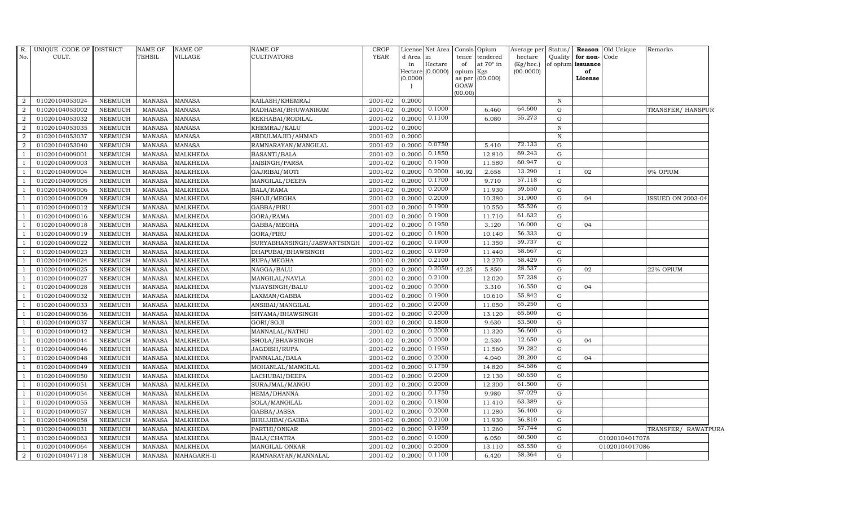| R.<br>No.                | UNIQUE CODE OF DISTRICT<br>CULT. |                | NAME OF<br>TEHSIL | <b>NAME OF</b><br><b>VILLAGE</b> | <b>NAME OF</b><br><b>CULTIVATORS</b> | <b>CROP</b><br><b>YEAR</b> | d Area in<br>in<br>(0.0000) | License Net Area Consis<br>Hectare<br>Hectare (0.0000) | tence<br>of<br>opium<br>as per<br>GOAW | Opium<br>tendered<br>at $70^\circ$ in<br>Kgs<br>(00.000) | Average per<br>hectare<br>(Kg/hec.)<br>(00.0000) | Status/      | Quality for non-Code<br>of opium issuance<br>of<br>License | <b>Reason</b> Old Unique | Remarks             |
|--------------------------|----------------------------------|----------------|-------------------|----------------------------------|--------------------------------------|----------------------------|-----------------------------|--------------------------------------------------------|----------------------------------------|----------------------------------------------------------|--------------------------------------------------|--------------|------------------------------------------------------------|--------------------------|---------------------|
|                          |                                  |                |                   |                                  |                                      |                            |                             |                                                        | (00.00)                                |                                                          |                                                  |              |                                                            |                          |                     |
| 2                        | 01020104053024                   | <b>NEEMUCH</b> | MANASA            | <b>MANASA</b>                    | KAILASH/KHEMRAJ                      | 2001-02                    | 0.2000                      |                                                        |                                        |                                                          |                                                  | $\mathbf N$  |                                                            |                          |                     |
| 2                        | 01020104053002                   | <b>NEEMUCH</b> | <b>MANASA</b>     | <b>MANASA</b>                    | RADHABAI/BHUWANIRAM                  | 2001-02                    | 0.2000                      | 0.1000                                                 |                                        | 6.460                                                    | 64.600                                           | G            |                                                            |                          | TRANSFER/HANSPUR    |
| 2                        | 01020104053032                   | <b>NEEMUCH</b> | <b>MANASA</b>     | <b>MANASA</b>                    | REKHABAI/RODILAL                     | 2001-02                    | 0.2000                      | 0.1100                                                 |                                        | 6.080                                                    | 55.273                                           | G            |                                                            |                          |                     |
| 2                        | 01020104053035                   | <b>NEEMUCH</b> | <b>MANASA</b>     | <b>MANASA</b>                    | KHEMRAJ/KALU                         | 2001-02                    | 0.2000                      |                                                        |                                        |                                                          |                                                  | $\mathbb N$  |                                                            |                          |                     |
| $\overline{2}$           | 01020104053037                   | <b>NEEMUCH</b> | <b>MANASA</b>     | <b>MANASA</b>                    | ABDULMAJID/AHMAD                     | 2001-02                    | 0.2000                      |                                                        |                                        |                                                          |                                                  | $\, {\rm N}$ |                                                            |                          |                     |
| $\overline{a}$           | 01020104053040                   | NEEMUCH        | <b>MANASA</b>     | <b>MANASA</b>                    | RAMNARAYAN/MANGILAL                  | 2001-02                    | 0.2000                      | 0.0750                                                 |                                        | 5.410                                                    | 72.133                                           | G            |                                                            |                          |                     |
| $\overline{\phantom{0}}$ | 01020104009001                   | <b>NEEMUCH</b> | <b>MANASA</b>     | <b>MALKHEDA</b>                  | <b>BASANTI/BALA</b>                  | 2001-02                    | 0.2000                      | 0.1850                                                 |                                        | 12.810                                                   | 69.243                                           | G            |                                                            |                          |                     |
| $\overline{1}$           | 01020104009003                   | <b>NEEMUCH</b> | <b>MANASA</b>     | <b>MALKHEDA</b>                  | <b>JAISINGH/PARSA</b>                | 2001-02                    | 0.2000                      | 0.1900                                                 |                                        | 11.580                                                   | 60.947                                           | $\mathbf G$  |                                                            |                          |                     |
|                          | 01020104009004                   | <b>NEEMUCH</b> | <b>MANASA</b>     | <b>MALKHEDA</b>                  | GAJRIBAI/MOTI                        | 2001-02                    | 0.2000                      | 0.2000                                                 | 40.92                                  | 2.658                                                    | 13.290                                           |              | 02                                                         |                          | 9% OPIUM            |
|                          | 01020104009005                   | <b>NEEMUCH</b> | <b>MANASA</b>     | <b>MALKHEDA</b>                  | MANGILAL/DEEPA                       | 2001-02                    | 0.2000                      | 0.1700                                                 |                                        | 9.710                                                    | 57.118                                           | $\mathbf G$  |                                                            |                          |                     |
| $\overline{1}$           | 01020104009006                   | <b>NEEMUCH</b> | <b>MANASA</b>     | <b>MALKHEDA</b>                  | BALA/RAMA                            | 2001-02                    | 0.2000                      | 0.2000                                                 |                                        | 11.930                                                   | 59.650                                           | G            |                                                            |                          |                     |
| - 1                      | 01020104009009                   | <b>NEEMUCH</b> | MANASA            | <b>MALKHEDA</b>                  | SHOJI/MEGHA                          | 2001-02                    | 0.2000                      | 0.2000                                                 |                                        | 10.380                                                   | 51.900                                           | G            | 04                                                         |                          | ISSUED ON 2003-04   |
| $\overline{\phantom{0}}$ | 01020104009012                   | <b>NEEMUCH</b> | <b>MANASA</b>     | <b>MALKHEDA</b>                  | GABBA/PIRU                           | 2001-02                    | 0.2000                      | 0.1900                                                 |                                        | 10.550                                                   | 55.526                                           | G            |                                                            |                          |                     |
|                          | 01020104009016                   | <b>NEEMUCH</b> | <b>MANASA</b>     | <b>MALKHEDA</b>                  | GORA/RAMA                            | 2001-02                    | 0.2000                      | 0.1900                                                 |                                        | 11.710                                                   | 61.632                                           | G            |                                                            |                          |                     |
|                          | 01020104009018                   | <b>NEEMUCH</b> | <b>MANASA</b>     | <b>MALKHEDA</b>                  | GABBA/MEGHA                          | 2001-02                    | 0.2000                      | 0.1950                                                 |                                        | 3.120                                                    | 16.000                                           | ${\rm G}$    | 04                                                         |                          |                     |
| - 1                      | 01020104009019                   | <b>NEEMUCH</b> | <b>MANASA</b>     | <b>MALKHEDA</b>                  | GORA/PIRU                            | 2001-02                    | 0.2000                      | 0.1800                                                 |                                        | 10.140                                                   | 56.333                                           | G            |                                                            |                          |                     |
| $\overline{1}$           | 01020104009022                   | <b>NEEMUCH</b> | <b>MANASA</b>     | <b>MALKHEDA</b>                  | SURYABHANSINGH/JASWANTSINGH          | 2001-02                    | 0.2000                      | 0.1900                                                 |                                        | 11.350                                                   | 59.737                                           | G            |                                                            |                          |                     |
| $\overline{1}$           | 01020104009023                   | <b>NEEMUCH</b> | MANASA            | <b>MALKHEDA</b>                  | DHAPUBAI/BHAWSINGH                   | 2001-02                    | 0.2000                      | 0.1950                                                 |                                        | 11.440                                                   | 58.667                                           | G            |                                                            |                          |                     |
| $\overline{1}$           | 01020104009024                   | <b>NEEMUCH</b> | <b>MANASA</b>     | <b>MALKHEDA</b>                  | RUPA/MEGHA                           | 2001-02                    | 0.2000                      | 0.2100                                                 |                                        | 12.270                                                   | 58.429                                           | G            |                                                            |                          |                     |
|                          | 01020104009025                   | <b>NEEMUCH</b> | <b>MANASA</b>     | <b>MALKHEDA</b>                  | NAGGA/BALU                           | 2001-02                    | 0.2000                      | 0.2050                                                 | 42.25                                  | 5.850                                                    | 28.537                                           | $\mathbf G$  | 02                                                         |                          | 22% OPIUM           |
| - 1                      | 01020104009027                   | NEEMUCH        | <b>MANASA</b>     | <b>MALKHEDA</b>                  | MANGILAL/NAVLA                       | 2001-02                    | 0.2000                      | 0.2100                                                 |                                        | 12.020                                                   | 57.238                                           | G            |                                                            |                          |                     |
| $\overline{1}$           | 01020104009028                   | <b>NEEMUCH</b> | <b>MANASA</b>     | <b>MALKHEDA</b>                  | VIJAYSINGH/BALU                      | 2001-02                    | 0.2000                      | 0.2000                                                 |                                        | 3.310                                                    | 16.550                                           | G            | 04                                                         |                          |                     |
| $\overline{\phantom{0}}$ | 01020104009032                   | <b>NEEMUCH</b> | MANASA            | <b>MALKHEDA</b>                  | LAXMAN/GABBA                         | 2001-02                    | 0.2000                      | 0.1900                                                 |                                        | 10.610                                                   | 55.842                                           | G            |                                                            |                          |                     |
| $\overline{1}$           | 01020104009033                   | <b>NEEMUCH</b> | <b>MANASA</b>     | <b>MALKHEDA</b>                  | ANSIBAI/MANGILAL                     | 2001-02                    | 0.2000                      | 0.2000                                                 |                                        | 11.050                                                   | 55.250                                           | G            |                                                            |                          |                     |
|                          | 01020104009036                   | <b>NEEMUCH</b> | <b>MANASA</b>     | <b>MALKHEDA</b>                  | SHYAMA/BHAWSINGH                     | 2001-02                    | 0.2000                      | 0.2000                                                 |                                        | 13.120                                                   | 65.600                                           | G            |                                                            |                          |                     |
|                          | 01020104009037                   | <b>NEEMUCH</b> | MANASA            | <b>MALKHEDA</b>                  | GORI/SOJI                            | 2001-02                    | 0.2000                      | 0.1800                                                 |                                        | 9.630                                                    | 53.500                                           | G            |                                                            |                          |                     |
| - 1                      | 01020104009042                   | <b>NEEMUCH</b> | <b>MANASA</b>     | <b>MALKHEDA</b>                  | MANNALAL/NATHU                       | 2001-02                    | 0.2000                      | 0.2000                                                 |                                        | 11.320                                                   | 56.600                                           | G            |                                                            |                          |                     |
| - 1                      | 01020104009044                   | <b>NEEMUCH</b> | MANASA            | <b>MALKHEDA</b>                  | SHOLA/BHAWSINGH                      | 2001-02                    | 0.2000                      | 0.2000                                                 |                                        | 2.530                                                    | 12.650                                           | G            | 04                                                         |                          |                     |
| $\overline{1}$           | 01020104009046                   | NEEMUCH        | <b>MANASA</b>     | <b>MALKHEDA</b>                  | JAGDISH/RUPA                         | 2001-02                    | 0.2000                      | 0.1950                                                 |                                        | 11.560                                                   | 59.282                                           | $\mathbf G$  |                                                            |                          |                     |
|                          | 01020104009048                   | <b>NEEMUCH</b> | <b>MANASA</b>     | <b>MALKHEDA</b>                  | PANNALAL/BALA                        | 2001-02                    | 0.2000                      | 0.2000                                                 |                                        | 4.040                                                    | 20.200                                           | G            | 04                                                         |                          |                     |
|                          | 01020104009049                   | <b>NEEMUCH</b> | <b>MANASA</b>     | <b>MALKHEDA</b>                  | MOHANLAL/MANGILAL                    | 2001-02                    | 0.2000                      | 0.1750                                                 |                                        | 14.820                                                   | 84.686                                           | G            |                                                            |                          |                     |
| - 1                      | 01020104009050                   | NEEMUCH        | <b>MANASA</b>     | <b>MALKHEDA</b>                  | LACHUBAI/DEEPA                       | 2001-02                    | 0.2000                      | 0.2000                                                 |                                        | 12.130                                                   | 60.650                                           | G            |                                                            |                          |                     |
| $\overline{1}$           | 01020104009051                   | <b>NEEMUCH</b> | MANASA            | <b>MALKHEDA</b>                  | SURAJMAL/MANGU                       | 2001-02                    | 0.2000                      | 0.2000                                                 |                                        | 12.300                                                   | 61.500                                           | G            |                                                            |                          |                     |
| $\overline{1}$           | 01020104009054                   | <b>NEEMUCH</b> | <b>MANASA</b>     | <b>MALKHEDA</b>                  | HEMA/DHANNA                          | 2001-02                    | 0.2000                      | 0.1750                                                 |                                        | 9.980                                                    | 57.029                                           | G            |                                                            |                          |                     |
| $\overline{\phantom{0}}$ | 01020104009055                   | <b>NEEMUCH</b> | <b>MANASA</b>     | <b>MALKHEDA</b>                  | SOLA/MANGILAL                        | 2001-02                    | 0.2000                      | 0.1800                                                 |                                        | 11.410                                                   | 63.389                                           | G            |                                                            |                          |                     |
|                          | 01020104009057                   | <b>NEEMUCH</b> | <b>MANASA</b>     | <b>MALKHEDA</b>                  | GABBA/JASSA                          | 2001-02                    | 0.2000                      | 0.2000                                                 |                                        | 11.280                                                   | 56.400                                           | G            |                                                            |                          |                     |
| - 1                      | 01020104009058                   | <b>NEEMUCH</b> | MANASA            | <b>MALKHEDA</b>                  | BHUJJIBAI/GABBA                      | 2001-02                    | 0.2000                      | 0.2100                                                 |                                        | 11.930                                                   | 56.810                                           | G            |                                                            |                          |                     |
| $\overline{1}$           | 01020104009031                   | NEEMUCH        | MANASA            | <b>MALKHEDA</b>                  | PARTHI/ONKAR                         | 2001-02                    | 0.2000                      | 0.1950                                                 |                                        | 11.260                                                   | 57.744                                           | G            |                                                            |                          | TRANSFER/ RAWATPURA |
| $\overline{1}$           | 01020104009063                   | <b>NEEMUCH</b> | MANASA            | <b>MALKHEDA</b>                  | BALA/CHATRA                          | 2001-02                    | 0.2000                      | 0.1000                                                 |                                        | 6.050                                                    | 60.500                                           | G            |                                                            | 01020104017078           |                     |
| $\overline{1}$           | 01020104009064                   | <b>NEEMUCH</b> | <b>MANASA</b>     | <b>MALKHEDA</b>                  | MANGILAL ONKAR                       | 2001-02                    | 0.2000                      | 0.2000                                                 |                                        | 13.110                                                   | 65.550                                           | $\mathbf G$  |                                                            | 01020104017086           |                     |
| $\overline{2}$           | 01020104047118                   | <b>NEEMUCH</b> | MANASA            | MAHAGARH-II                      | RAMNARAYAN/MANNALAL                  | 2001-02                    | 0.2000                      | 0.1100                                                 |                                        | 6.420                                                    | 58.364                                           | G            |                                                            |                          |                     |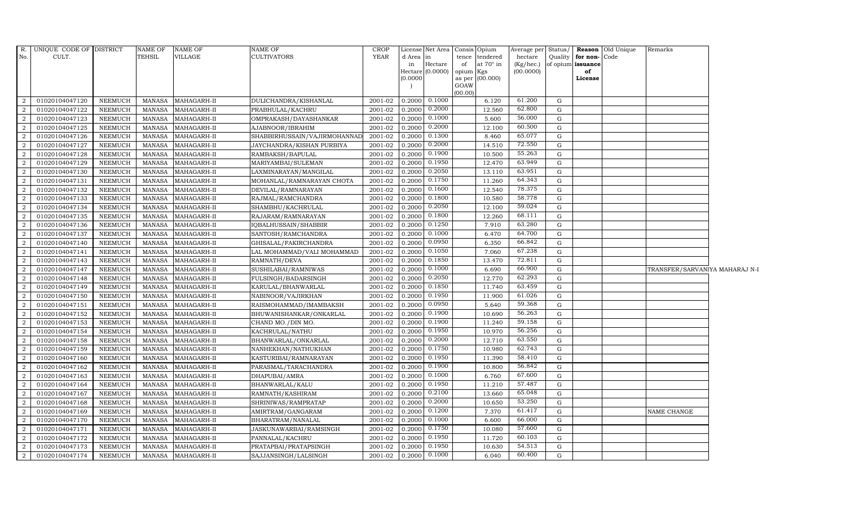| R.             | UNIQUE CODE OF DISTRICT |                | NAME OF       | <b>NAME OF</b> | <b>NAME OF</b>               | <b>CROP</b> |          | License Net Area Consis Opium |           |                 |           |             |                              | Average per Status/ <b>Reason</b> Old Unique | Remarks                        |  |
|----------------|-------------------------|----------------|---------------|----------------|------------------------------|-------------|----------|-------------------------------|-----------|-----------------|-----------|-------------|------------------------------|----------------------------------------------|--------------------------------|--|
| No.            | CULT.                   |                | TEHSIL        | VILLAGE        | <b>CULTIVATORS</b>           | <b>YEAR</b> | d Area   | in                            | tence     | tendered        | hectare   |             | Quality <b>for non-</b> Code |                                              |                                |  |
|                |                         |                |               |                |                              |             | in       | Hectare                       | of        | at 70° in       | (Kg/hec.) |             | of opium issuance            |                                              |                                |  |
|                |                         |                |               |                |                              |             | (0.0000) | Hectare $(0.0000)$            | opium Kgs | as per (00.000) | (00.0000) |             | of<br>License                |                                              |                                |  |
|                |                         |                |               |                |                              |             |          |                               | GOAW      |                 |           |             |                              |                                              |                                |  |
|                |                         |                |               |                |                              |             |          |                               | (00.00)   |                 |           |             |                              |                                              |                                |  |
| 2              | 01020104047120          | NEEMUCH        | MANASA        | MAHAGARH-II    | DULICHANDRA/KISHANLAL        | 2001-02     | 0.2000   | 0.1000                        |           | 6.120           | 61.200    | G           |                              |                                              |                                |  |
| 2              | 01020104047122          | <b>NEEMUCH</b> | <b>MANASA</b> | MAHAGARH-II    | PRABHULAL/KACHRU             | 2001-02     | 0.2000   | 0.2000                        |           | 12.560          | 62.800    | G           |                              |                                              |                                |  |
| 2              | 01020104047123          | <b>NEEMUCH</b> | <b>MANASA</b> | MAHAGARH-II    | OMPRAKASH/DAYASHANKAR        | 2001-02     | 0.2000   | 0.1000                        |           | 5.600           | 56.000    | G           |                              |                                              |                                |  |
| $\overline{2}$ | 01020104047125          | <b>NEEMUCH</b> | <b>MANASA</b> | MAHAGARH-II    | AJABNOOR/IBRAHIM             | 2001-02     | 0.2000   | 0.2000                        |           | 12.100          | 60.500    | G           |                              |                                              |                                |  |
| 2              | 01020104047126          | <b>NEEMUCH</b> | MANASA        | MAHAGARH-II    | SHABBIRHUSSAIN/VAJIRMOHANNAD | 2001-02     | 0.2000   | 0.1300                        |           | 8.460           | 65.077    | G           |                              |                                              |                                |  |
| 2              | 01020104047127          | <b>NEEMUCH</b> | <b>MANASA</b> | MAHAGARH-II    | JAYCHANDRA/KISHAN PURBIYA    | 2001-02     | 0.2000   | 0.2000                        |           | 14.510          | 72.550    | $\mathbf G$ |                              |                                              |                                |  |
| $\overline{2}$ | 01020104047128          | <b>NEEMUCH</b> | <b>MANASA</b> | MAHAGARH-II    | RAMBAKSH/BAPULAL             | 2001-02     | 0.2000   | 0.1900                        |           | 10.500          | 55.263    | G           |                              |                                              |                                |  |
| 2              | 01020104047129          | NEEMUCH        | <b>MANASA</b> | MAHAGARH-II    | MARIYAMBAI/SULEMAN           | 2001-02     | 0.2000   | 0.1950                        |           | 12.470          | 63.949    | G           |                              |                                              |                                |  |
| $\overline{2}$ | 01020104047130          | <b>NEEMUCH</b> | <b>MANASA</b> | MAHAGARH-II    | LAXMINARAYAN / MANGILAL      | 2001-02     | 0.2000   | 0.2050                        |           | 13.110          | 63.951    | G           |                              |                                              |                                |  |
| $\overline{2}$ | 01020104047131          | <b>NEEMUCH</b> | <b>MANASA</b> | MAHAGARH-II    | MOHANLAL/RAMNARAYAN CHOTA    | 2001-02     | 0.2000   | 0.1750                        |           | 11.260          | 64.343    | G           |                              |                                              |                                |  |
| $\overline{2}$ | 01020104047132          | <b>NEEMUCH</b> | <b>MANASA</b> | MAHAGARH-II    | DEVILAL/RAMNARAYAN           | 2001-02     | 0.2000   | 0.1600                        |           | 12.540          | 78.375    | G           |                              |                                              |                                |  |
| 2              | 01020104047133          | <b>NEEMUCH</b> | <b>MANASA</b> | MAHAGARH-II    | RAJMAL/RAMCHANDRA            | 2001-02     | 0.2000   | 0.1800                        |           | 10.580          | 58.778    | G           |                              |                                              |                                |  |
| 2              | 01020104047134          | <b>NEEMUCH</b> | <b>MANASA</b> | MAHAGARH-II    | SHAMBHU/KACHRULAL            | 2001-02     | 0.2000   | 0.2050                        |           | 12.100          | 59.024    | G           |                              |                                              |                                |  |
| 2              | 01020104047135          | <b>NEEMUCH</b> | <b>MANASA</b> | MAHAGARH-II    | RAJARAM / RAMNARAYAN         | 2001-02     | 0.2000   | 0.1800                        |           | 12.260          | 68.111    | G           |                              |                                              |                                |  |
| $\overline{2}$ | 01020104047136          | <b>NEEMUCH</b> | <b>MANASA</b> | MAHAGARH-II    | IQBALHUSSAIN/SHABBIR         | 2001-02     | 0.2000   | 0.1250                        |           | 7.910           | 63.280    | G           |                              |                                              |                                |  |
| $\mathbf{2}$   | 01020104047137          | <b>NEEMUCH</b> | <b>MANASA</b> | MAHAGARH-II    | SANTOSH/RAMCHANDRA           | 2001-02     | 0.2000   | 0.1000                        |           | 6.470           | 64.700    | G           |                              |                                              |                                |  |
| 2              | 01020104047140          | NEEMUCH        | <b>MANASA</b> | MAHAGARH-II    | GHISALAL/FAKIRCHANDRA        | 2001-02     | 0.2000   | 0.0950                        |           | 6.350           | 66.842    | G           |                              |                                              |                                |  |
| 2              | 01020104047141          | NEEMUCH        | <b>MANASA</b> | MAHAGARH-II    | LAL MOHAMMAD/VALI MOHAMMAD   | 2001-02     | 0.2000   | 0.1050                        |           | 7.060           | 67.238    | G           |                              |                                              |                                |  |
| $\overline{2}$ | 01020104047143          | <b>NEEMUCH</b> | <b>MANASA</b> | MAHAGARH-II    | RAMNATH/DEVA                 | 2001-02     | 0.2000   | 0.1850                        |           | 13.470          | 72.811    | G           |                              |                                              |                                |  |
| $\overline{2}$ | 01020104047147          | <b>NEEMUCH</b> | <b>MANASA</b> | MAHAGARH-II    | SUSHILABAI/RAMNIWAS          | 2001-02     | 0.2000   | 0.1000                        |           | 6.690           | 66.900    | G           |                              |                                              | TRANSFER/SARVANIYA MAHARAJ N-I |  |
| 2              | 01020104047148          | NEEMUCH        | <b>MANASA</b> | MAHAGARH-II    | FULSINGH/BADARSINGH          | 2001-02     | 0.2000   | 0.2050                        |           | 12.770          | 62.293    | G           |                              |                                              |                                |  |
| 2              | 01020104047149          | <b>NEEMUCH</b> | <b>MANASA</b> | MAHAGARH-II    | KARULAL/BHANWARLAL           | 2001-02     | 0.2000   | 0.1850                        |           | 11.740          | 63.459    | G           |                              |                                              |                                |  |
| $\overline{2}$ | 01020104047150          | <b>NEEMUCH</b> | <b>MANASA</b> | MAHAGARH-II    | NABINOOR/VAJIRKHAN           | 2001-02     | 0.2000   | 0.1950                        |           | 11.900          | 61.026    | G           |                              |                                              |                                |  |
| $\overline{2}$ | 01020104047151          | <b>NEEMUCH</b> | <b>MANASA</b> | MAHAGARH-II    | RAISMOHAMMAD/IMAMBAKSH       | 2001-02     | 0.2000   | 0.0950                        |           | 5.640           | 59.368    | G           |                              |                                              |                                |  |
| 2              | 01020104047152          | <b>NEEMUCH</b> | <b>MANASA</b> | MAHAGARH-II    | BHUWANISHANKAR/ONKARLAL      | 2001-02     | 0.2000   | 0.1900                        |           | 10.690          | 56.263    | G           |                              |                                              |                                |  |
| 2              | 01020104047153          | <b>NEEMUCH</b> | <b>MANASA</b> | MAHAGARH-II    | CHAND MO./DIN MO.            | 2001-02     | 0.2000   | 0.1900                        |           | 11.240          | 59.158    | G           |                              |                                              |                                |  |
| $\overline{2}$ | 01020104047154          | NEEMUCH        | <b>MANASA</b> | MAHAGARH-II    | KACHRULAL/NATHU              | 2001-02     | 0.2000   | 0.1950                        |           | 10.970          | 56.256    | G           |                              |                                              |                                |  |
| 2              | 01020104047158          | <b>NEEMUCH</b> | <b>MANASA</b> | MAHAGARH-II    | BHANWARLAL/ONKARLAL          | 2001-02     | 0.2000   | 0.2000                        |           | 12.710          | 63.550    | G           |                              |                                              |                                |  |
| 2              | 01020104047159          | <b>NEEMUCH</b> | <b>MANASA</b> | MAHAGARH-II    | NANHEKHAN/NATHUKHAN          | 2001-02     | 0.2000   | 0.1750                        |           | 10.980          | 62.743    | G           |                              |                                              |                                |  |
| 2              | 01020104047160          | <b>NEEMUCH</b> | <b>MANASA</b> | MAHAGARH-II    | KASTURIBAI/RAMNARAYAN        | 2001-02     | 0.2000   | 0.1950                        |           | 11.390          | 58.410    | G           |                              |                                              |                                |  |
| $\overline{2}$ | 01020104047162          | NEEMUCH        | <b>MANASA</b> | MAHAGARH-II    | PARASMAL/TARACHANDRA         | 2001-02     | 0.2000   | 0.1900                        |           | 10.800          | 56.842    | G           |                              |                                              |                                |  |
| 2              | 01020104047163          | <b>NEEMUCH</b> | <b>MANASA</b> | MAHAGARH-II    | DHAPUBAI/AMRA                | 2001-02     | 0.2000   | 0.1000                        |           | 6.760           | 67.600    | G           |                              |                                              |                                |  |
| 2              | 01020104047164          | <b>NEEMUCH</b> | <b>MANASA</b> | MAHAGARH-II    | BHANWARLAL/KALU              | 2001-02     | 0.2000   | 0.1950                        |           | 11.210          | 57.487    | G           |                              |                                              |                                |  |
| $\overline{2}$ | 01020104047167          | NEEMUCH        | <b>MANASA</b> | MAHAGARH-II    | RAMNATH/KASHIRAM             | 2001-02     | 0.2000   | 0.2100                        |           | 13.660          | 65.048    | G           |                              |                                              |                                |  |
| 2              | 01020104047168          | <b>NEEMUCH</b> | MANASA        | MAHAGARH-II    | SHRINIWAS/RAMPRATAP          | 2001-02     | 0.2000   | 0.2000                        |           | 10.650          | 53.250    | G           |                              |                                              |                                |  |
| 2              | 01020104047169          | <b>NEEMUCH</b> | <b>MANASA</b> | MAHAGARH-II    | AMIRTRAM/GANGARAM            | 2001-02     | 0.2000   | 0.1200                        |           | 7.370           | 61.417    | G           |                              |                                              | NAME CHANGE                    |  |
| $\overline{2}$ | 01020104047170          | <b>NEEMUCH</b> | <b>MANASA</b> | MAHAGARH-II    | BHARATRAM/NANALAL            | $2001 - 02$ | 0.2000   | 0.1000                        |           | 6.600           | 66.000    | G           |                              |                                              |                                |  |
| 2              | 01020104047171          | <b>NEEMUCH</b> | <b>MANASA</b> | MAHAGARH-II    | JASKUNAWARBAI/RAMSINGH       | 2001-02     | 0.2000   | 0.1750                        |           | 10.080          | 57.600    | G           |                              |                                              |                                |  |
| $\overline{2}$ | 01020104047172          | <b>NEEMUCH</b> | <b>MANASA</b> | MAHAGARH-II    | PANNALAL/KACHRU              | 2001-02     | 0.2000   | 0.1950                        |           | 11.720          | 60.103    | G           |                              |                                              |                                |  |
| $\overline{2}$ | 01020104047173          | <b>NEEMUCH</b> | <b>MANASA</b> | MAHAGARH-II    | PRATAPBAI/PRATAPSINGH        | 2001-02     | 0.2000   | 0.1950                        |           | 10.630          | 54.513    | G           |                              |                                              |                                |  |
| $\overline{a}$ | 01020104047174          | <b>NEEMUCH</b> | MANASA        | MAHAGARH-II    | SAJJANSINGH/LALSINGH         | 2001-02     | 0.2000   | 0.1000                        |           | 6.040           | 60.400    | G           |                              |                                              |                                |  |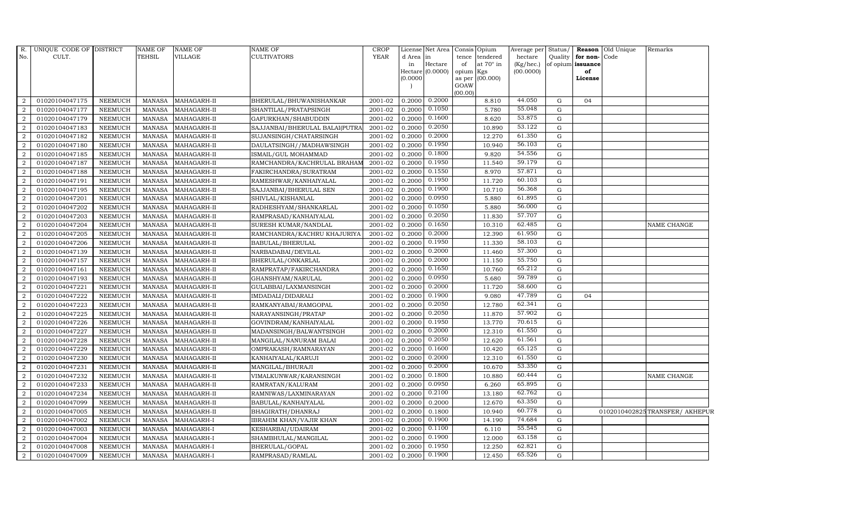| R.               | UNIQUE CODE OF DISTRICT |                | NAME OF       | NAME OF     | <b>NAME OF</b>                 | <b>CROP</b> |                 | License Net Area Consis Opium |                 |                       | Average per          | Status/          |                                   | Reason Old Unique | Remarks                       |
|------------------|-------------------------|----------------|---------------|-------------|--------------------------------|-------------|-----------------|-------------------------------|-----------------|-----------------------|----------------------|------------------|-----------------------------------|-------------------|-------------------------------|
| No.              | CULT.                   |                | TEHSIL        | VILLAGE     | <b>CULTIVATORS</b>             | <b>YEAR</b> | d Area in<br>in | Hectare                       | tence<br>of     | tendered<br>at 70° in | hectare<br>(Kg/hec.) | Quality          | for non-Code<br>of opium issuance |                   |                               |
|                  |                         |                |               |             |                                |             |                 | Hectare (0.0000)              | opium           | Kgs                   | (00.0000)            |                  | of                                |                   |                               |
|                  |                         |                |               |             |                                |             | (0.0000)        |                               | as per          | (00.000)              |                      |                  | License                           |                   |                               |
|                  |                         |                |               |             |                                |             |                 |                               | GOAW<br>(00.00) |                       |                      |                  |                                   |                   |                               |
| 2                | 01020104047175          | NEEMUCH        | MANASA        | MAHAGARH-II | BHERULAL/BHUWANISHANKAR        | 2001-02     | 0.2000          | 0.2000                        |                 | 8.810                 | 44.050               | G                | 04                                |                   |                               |
| $\overline{2}$   | 01020104047177          | <b>NEEMUCH</b> | <b>MANASA</b> | MAHAGARH-II | SHANTILAL/PRATAPSINGH          | 2001-02     | 0.2000          | 0.1050                        |                 | 5.780                 | 55.048               | $\mathbf G$      |                                   |                   |                               |
| 2                | 01020104047179          | <b>NEEMUCH</b> | <b>MANASA</b> | MAHAGARH-II | GAFURKHAN/SHABUDDIN            | 2001-02     | 0.2000          | 0.1600                        |                 | 8.620                 | 53.875               | G                |                                   |                   |                               |
| $\overline{2}$   | 01020104047183          | <b>NEEMUCH</b> | <b>MANASA</b> | MAHAGARH-II | SAJJANBAI/BHERULAL BALAI(PUTRA | 2001-02     | 0.2000          | 0.2050                        |                 | 10.890                | 53.122               | ${\rm G}$        |                                   |                   |                               |
| $\overline{2}$   | 01020104047182          | <b>NEEMUCH</b> | <b>MANASA</b> | MAHAGARH-II | SUJANSINGH/CHATARSINGH         | 2001-02     | 0.2000          | 0.2000                        |                 | 12.270                | 61.350               | G                |                                   |                   |                               |
| $\overline{2}$   | 01020104047180          | <b>NEEMUCH</b> | <b>MANASA</b> | MAHAGARH-II | DAULATSINGH//MADHAWSINGH       | 2001-02     | 0.2000          | 0.1950                        |                 | 10.940                | 56.103               | G                |                                   |                   |                               |
| $\overline{2}$   | 01020104047185          | <b>NEEMUCH</b> | <b>MANASA</b> | MAHAGARH-II | ISMAIL/GUL MOHAMMAD            | 2001-02     | 0.2000          | 0.1800                        |                 | 9.820                 | 54.556               | G                |                                   |                   |                               |
| 2                | 01020104047187          | <b>NEEMUCH</b> | <b>MANASA</b> | MAHAGARH-II | RAMCHANDRA/KACHRULAL BRAHAM    | 2001-02     | 0.2000          | 0.1950                        |                 | 11.540                | 59.179               | G                |                                   |                   |                               |
| $\overline{2}$   | 01020104047188          | <b>NEEMUCH</b> | <b>MANASA</b> | MAHAGARH-II | FAKIRCHANDRA/SURATRAM          | 2001-02     | 0.2000          | 0.1550                        |                 | 8.970                 | 57.871               | G                |                                   |                   |                               |
| 2                | 01020104047191          | <b>NEEMUCH</b> | <b>MANASA</b> | MAHAGARH-II | RAMESHWAR/KANHAIYALAL          | 2001-02     | 0.2000          | 0.1950                        |                 | 11.720                | 60.103               | ${\rm G}$        |                                   |                   |                               |
| $\overline{2}$   | 01020104047195          | <b>NEEMUCH</b> | <b>MANASA</b> | MAHAGARH-II | SAJJANBAI/BHERULAL SEN         | 2001-02     | 0.2000          | 0.1900                        |                 | 10.710                | 56.368               | G                |                                   |                   |                               |
| 2                | 01020104047201          | <b>NEEMUCH</b> | <b>MANASA</b> | MAHAGARH-II | SHIVLAL/KISHANLAL              | 2001-02     | 0.2000          | 0.0950                        |                 | 5.880                 | 61.895               | $\mathbf G$      |                                   |                   |                               |
| $\overline{2}$   | 01020104047202          | <b>NEEMUCH</b> | <b>MANASA</b> | MAHAGARH-II | RADHESHYAM/SHANKARLAL          | 2001-02     | 0.2000          | 0.1050                        |                 | 5.880                 | 56.000               | G                |                                   |                   |                               |
| 2                | 01020104047203          | <b>NEEMUCH</b> | <b>MANASA</b> | MAHAGARH-II | RAMPRASAD/KANHAIYALAL          | 2001-02     | 0.2000          | 0.2050                        |                 | 11.830                | 57.707               | G                |                                   |                   |                               |
| 2                | 01020104047204          | <b>NEEMUCH</b> | <b>MANASA</b> | MAHAGARH-II | SURESH KUMAR/NANDLAL           | 2001-02     | 0.2000          | 0.1650                        |                 | 10.310                | 62.485               | G                |                                   |                   | NAME CHANGE                   |
| $\overline{2}$   | 01020104047205          | <b>NEEMUCH</b> | <b>MANASA</b> | MAHAGARH-II | RAMCHANDRA/KACHRU KHAJURIYA    | 2001-02     | 0.2000          | 0.2000                        |                 | 12.390                | 61.950               | G                |                                   |                   |                               |
| 2                | 01020104047206          | <b>NEEMUCH</b> | <b>MANASA</b> | MAHAGARH-II | BABULAL/BHERULAL               | 2001-02     | 0.2000          | 0.1950                        |                 | 11.330                | 58.103               | G                |                                   |                   |                               |
| $\overline{2}$   | 01020104047139          | <b>NEEMUCH</b> | MANASA        | MAHAGARH-II | NARBADABAI/DEVILAL             | 2001-02     | 0.2000          | 0.2000                        |                 | 11.460                | 57.300               | G                |                                   |                   |                               |
| $\overline{2}$   | 01020104047157          | <b>NEEMUCH</b> | <b>MANASA</b> | MAHAGARH-II | BHERULAL/ONKARLAL              | 2001-02     | 0.2000          | 0.2000                        |                 | 11.150                | 55.750               | $\mathbf G$      |                                   |                   |                               |
| 2                | 01020104047161          | <b>NEEMUCH</b> | <b>MANASA</b> | MAHAGARH-II | RAMPRATAP/FAKIRCHANDRA         | 2001-02     | 0.2000          | 0.1650                        |                 | 10.760                | 65.212               | $\mathbf G$      |                                   |                   |                               |
| 2                | 01020104047193          | <b>NEEMUCH</b> | <b>MANASA</b> | MAHAGARH-II | GHANSHYAM/NARULAL              | 2001-02     | 0.2000          | 0.0950                        |                 | 5.680                 | 59.789               | G                |                                   |                   |                               |
| $\overline{2}$   | 01020104047221          | <b>NEEMUCH</b> | <b>MANASA</b> | MAHAGARH-II | GULABBAI/LAXMANSINGH           | 2001-02     | 0.2000          | 0.2000                        |                 | 11.720                | 58.600               | ${\rm G}$        |                                   |                   |                               |
| $\overline{a}$   | 01020104047222          | <b>NEEMUCH</b> | MANASA        | MAHAGARH-II | IMDADALI/DIDARALI              | 2001-02     | 0.2000          | 0.1900                        |                 | 9.080                 | 47.789               | G                | 04                                |                   |                               |
| 2                | 01020104047223          | <b>NEEMUCH</b> | <b>MANASA</b> | MAHAGARH-II | RAMKANYABAI/RAMGOPAL           | 2001-02     | 0.2000          | 0.2050                        |                 | 12.780                | 62.341               | ${\rm G}$        |                                   |                   |                               |
| $\boldsymbol{2}$ | 01020104047225          | <b>NEEMUCH</b> | <b>MANASA</b> | MAHAGARH-II | NARAYANSINGH/PRATAP            | 2001-02     | 0.2000          | 0.2050                        |                 | 11.870                | 57.902               | ${\rm G}$        |                                   |                   |                               |
| 2                | 01020104047226          | <b>NEEMUCH</b> | <b>MANASA</b> | MAHAGARH-II | GOVINDRAM/KANHAIYALAL          | 2001-02     | 0.2000          | 0.1950                        |                 | 13.770                | 70.615               | G                |                                   |                   |                               |
| $\overline{2}$   | 01020104047227          | <b>NEEMUCH</b> | <b>MANASA</b> | MAHAGARH-II | MADANSINGH/BALWANTSINGH        | 2001-02     | 0.2000          | 0.2000                        |                 | 12.310                | 61.550               | ${\rm G}$        |                                   |                   |                               |
| $\overline{2}$   | 01020104047228          | <b>NEEMUCH</b> | <b>MANASA</b> | MAHAGARH-II | MANGILAL/NANURAM BALAI         | 2001-02     | 0.2000          | 0.2050                        |                 | 12.620                | 61.561               | G                |                                   |                   |                               |
| 2                | 01020104047229          | <b>NEEMUCH</b> | <b>MANASA</b> | MAHAGARH-II | OMPRAKASH/RAMNARAYAN           | 2001-02     | 0.2000          | 0.1600                        |                 | 10.420                | 65.125               | ${\rm G}$        |                                   |                   |                               |
| $\overline{2}$   | 01020104047230          | <b>NEEMUCH</b> | <b>MANASA</b> | MAHAGARH-II | KANHAIYALAL/KARUJI             | 2001-02     | 0.2000          | 0.2000                        |                 | 12.310                | 61.550               | $\mathbf G$      |                                   |                   |                               |
| $\overline{2}$   | 01020104047231          | <b>NEEMUCH</b> | <b>MANASA</b> | MAHAGARH-II | MANGILAL/BHURAJI               | 2001-02     | 0.2000          | 0.2000                        |                 | 10.670                | 53.350               | G                |                                   |                   |                               |
| $\overline{2}$   | 01020104047232          | <b>NEEMUCH</b> | <b>MANASA</b> | MAHAGARH-II | VIMALKUNWAR/KARANSINGH         | 2001-02     | 0.2000          | 0.1800                        |                 | 10.880                | 60.444               | ${\rm G}$        |                                   |                   | NAME CHANGE                   |
| $\overline{2}$   | 01020104047233          | <b>NEEMUCH</b> | <b>MANASA</b> | MAHAGARH-II | RAMRATAN/KALURAM               | 2001-02     | 0.2000          | 0.0950                        |                 | 6.260                 | 65.895               | G                |                                   |                   |                               |
| 2                | 01020104047234          | <b>NEEMUCH</b> | <b>MANASA</b> | MAHAGARH-II | RAMNIWAS/LAXMINARAYAN          | 2001-02     | 0.2000          | 0.2100                        |                 | 13.180                | 62.762               | $\mathbf G$      |                                   |                   |                               |
| $\overline{2}$   | 01020104047099          | <b>NEEMUCH</b> | <b>MANASA</b> | MAHAGARH-II | BABULAL/KANHAIYALAL            | 2001-02     | 0.2000          | 0.2000                        |                 | 12.670                | 63.350<br>60.778     | $\mathbf G$      |                                   |                   |                               |
| $\overline{2}$   | 01020104047005          | <b>NEEMUCH</b> | <b>MANASA</b> | MAHAGARH-II | BHAGIRATH/DHANRAJ              | 2001-02     | 0.2000          | 0.1800<br>0.1900              |                 | 10.940                | 74.684               | G                |                                   |                   | 0102010402825TRANSFER/AKHEPUR |
| $\overline{2}$   | 01020104047002          | <b>NEEMUCH</b> | <b>MANASA</b> | MAHAGARH-I  | <b>IBRAHIM KHAN/VAJIR KHAN</b> | 2001-02     | 0.2000          |                               |                 | 14.190                | 55.545               | G                |                                   |                   |                               |
| $\boldsymbol{2}$ | 01020104047003          | <b>NEEMUCH</b> | <b>MANASA</b> | MAHAGARH-I  | KESHARBAI/UDAIRAM              | 2001-02     | 0.2000          | 0.1100<br>0.1900              |                 | 6.110                 | 63.158               | $\mathbf G$      |                                   |                   |                               |
| 2                | 01020104047004          | <b>NEEMUCH</b> | <b>MANASA</b> | MAHAGARH-I  | SHAMBHULAL/MANGILAL            | 2001-02     | 0.2000          | 0.1950                        |                 | 12.000                | 62.821               | $\mathbf G$      |                                   |                   |                               |
| 2                | 01020104047008          | <b>NEEMUCH</b> | <b>MANASA</b> | MAHAGARH-I  | BHERULAL/GOPAL                 | 2001-02     | 0.2000          | 0.1900                        |                 | 12.250                | 65.526               | $\mathbf G$<br>G |                                   |                   |                               |
| $\overline{2}$   | 01020104047009          | <b>NEEMUCH</b> | <b>MANASA</b> | MAHAGARH-I  | RAMPRASAD/RAMLAL               | 2001-02     | 0.2000          |                               |                 | 12.450                |                      |                  |                                   |                   |                               |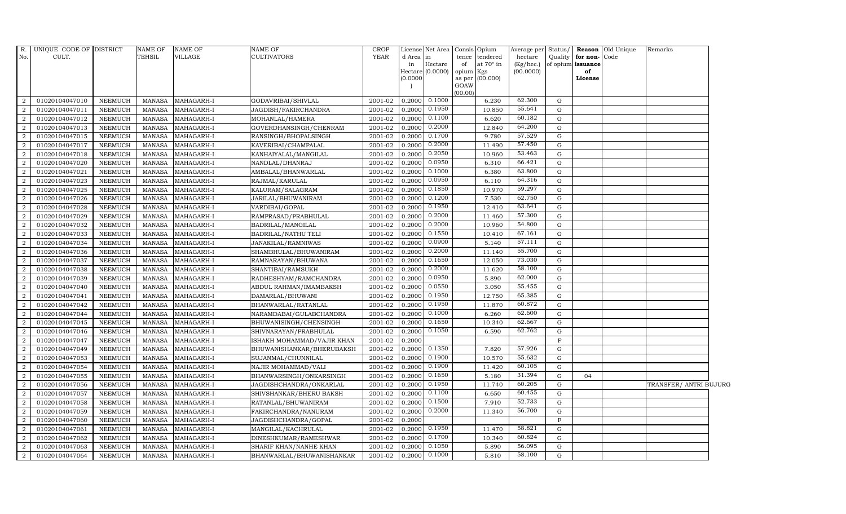| R.<br>No.      | UNIQUE CODE OF DISTRICT<br>CULT. |                | <b>NAME OF</b><br><b>TEHSIL</b> | <b>NAME OF</b><br>VILLAGE | <b>NAME OF</b><br><b>CULTIVATORS</b> | <b>CROP</b><br><b>YEAR</b> | d Area   | License Net Area Consis<br>$\mathop{\mathrm{in}}$ | tence           | Opium<br>tendered | Average per<br>hectare | Status/      | Quality for non-  | Reason Old Unique<br>Code | Remarks                |  |
|----------------|----------------------------------|----------------|---------------------------------|---------------------------|--------------------------------------|----------------------------|----------|---------------------------------------------------|-----------------|-------------------|------------------------|--------------|-------------------|---------------------------|------------------------|--|
|                |                                  |                |                                 |                           |                                      |                            | in       | Hectare                                           | of              | at 70° in         | (Kg/hec.)              |              | of opium issuance |                           |                        |  |
|                |                                  |                |                                 |                           |                                      |                            |          | Hectare (0.0000)                                  | opium           | Kgs               | (00.0000)              |              | of                |                           |                        |  |
|                |                                  |                |                                 |                           |                                      |                            | (0.0000) |                                                   | as per          | (00.000)          |                        |              | License           |                           |                        |  |
|                |                                  |                |                                 |                           |                                      |                            |          |                                                   | GOAW<br>(00.00) |                   |                        |              |                   |                           |                        |  |
| 2              | 01020104047010                   | <b>NEEMUCH</b> | MANASA                          | MAHAGARH-I                | GODAVRIBAI/SHIVLAL                   | 2001-02                    | 0.2000   | 0.1000                                            |                 | 6.230             | 62.300                 | G            |                   |                           |                        |  |
| $\overline{2}$ | 01020104047011                   | <b>NEEMUCH</b> | <b>MANASA</b>                   | MAHAGARH-I                | JAGDISH/FAKIRCHANDRA                 | 2001-02                    | 0.2000   | 0.1950                                            |                 | 10.850            | 55.641                 | G            |                   |                           |                        |  |
| $\overline{2}$ | 01020104047012                   | <b>NEEMUCH</b> | <b>MANASA</b>                   | MAHAGARH-I                | MOHANLAL/HAMERA                      | 2001-02                    | 0.2000   | 0.1100                                            |                 | 6.620             | 60.182                 | G            |                   |                           |                        |  |
|                | 01020104047013                   | <b>NEEMUCH</b> | <b>MANASA</b>                   | MAHAGARH-I                | GOVERDHANSINGH/CHENRAM               | 2001-02                    | 0.2000   | 0.2000                                            |                 | 12.840            | 64.200                 | G            |                   |                           |                        |  |
| $\overline{2}$ | 01020104047015                   | <b>NEEMUCH</b> | <b>MANASA</b>                   | MAHAGARH-I                | RANSINGH/BHOPALSINGH                 | 2001-02                    | 0.2000   | 0.1700                                            |                 | 9.780             | 57.529                 | G            |                   |                           |                        |  |
| 2              | 01020104047017                   | NEEMUCH        | MANASA                          | MAHAGARH-I                | KAVERIBAI/CHAMPALAL                  | 2001-02                    | 0.2000   | 0.2000                                            |                 | 11.490            | 57.450                 | $\mathbf{G}$ |                   |                           |                        |  |
| 2              | 01020104047018                   | <b>NEEMUCH</b> | MANASA                          | MAHAGARH-I                | KANHAIYALAL/MANGILAL                 | 2001-02                    | 0.2000   | 0.2050                                            |                 | 10.960            | 53.463                 | G            |                   |                           |                        |  |
| $\overline{2}$ | 01020104047020                   | <b>NEEMUCH</b> | <b>MANASA</b>                   | MAHAGARH-I                | NANDLAL/DHANRAJ                      | 2001-02                    | 0.2000   | 0.0950                                            |                 | 6.310             | 66.421                 | G            |                   |                           |                        |  |
| $\overline{2}$ | 01020104047021                   | <b>NEEMUCH</b> | <b>MANASA</b>                   | MAHAGARH-I                | AMBALAL/BHANWARLAL                   | 2001-02                    | 0.2000   | 0.1000                                            |                 | 6.380             | 63.800                 | G            |                   |                           |                        |  |
| $\overline{2}$ | 01020104047023                   | <b>NEEMUCH</b> | <b>MANASA</b>                   | MAHAGARH-I                | RAJMAL/KARULAL                       | 2001-02                    | 0.2000   | 0.0950                                            |                 | 6.110             | 64.316                 | G            |                   |                           |                        |  |
| 2              | 01020104047025                   | NEEMUCH        | <b>MANASA</b>                   | MAHAGARH-I                | KALURAM/SALAGRAM                     | 2001-02                    | 0.2000   | 0.1850                                            |                 | 10.970            | 59.297                 | $\mathbf{G}$ |                   |                           |                        |  |
| 2              | 01020104047026                   | <b>NEEMUCH</b> | MANASA                          | MAHAGARH-I                | JARILAL/BHUWANIRAM                   | 2001-02                    | 0.2000   | 0.1200                                            |                 | 7.530             | 62.750                 | G            |                   |                           |                        |  |
| $\overline{2}$ | 01020104047028                   | <b>NEEMUCH</b> | <b>MANASA</b>                   | MAHAGARH-I                | VARDIBAI/GOPAL                       | 2001-02                    | 0.2000   | 0.1950                                            |                 | 12.410            | 63.641                 | G            |                   |                           |                        |  |
| $\mathcal{D}$  | 01020104047029                   | <b>NEEMUCH</b> | <b>MANASA</b>                   | MAHAGARH-I                | RAMPRASAD/PRABHULAL                  | 2001-02                    | 0.2000   | 0.2000                                            |                 | 11.460            | 57.300                 | G            |                   |                           |                        |  |
| 2              | 01020104047032                   | <b>NEEMUCH</b> | MANASA                          | MAHAGARH-I                | BADRILAL/MANGILAL                    | 2001-02                    | 0.2000   | 0.2000                                            |                 | 10.960            | 54.800                 | G            |                   |                           |                        |  |
| 2              | 01020104047033                   | <b>NEEMUCH</b> | <b>MANASA</b>                   | MAHAGARH-I                | BADRILAL/NATHU TELI                  | 2001-02                    | 0.2000   | 0.1550                                            |                 | 10.410            | 67.161                 | G            |                   |                           |                        |  |
| $\overline{2}$ | 01020104047034                   | <b>NEEMUCH</b> | MANASA                          | MAHAGARH-I                | JANAKILAL/RAMNIWAS                   | 2001-02                    | 0.2000   | 0.0900                                            |                 | 5.140             | 57.111                 | G            |                   |                           |                        |  |
| 2              | 01020104047036                   | <b>NEEMUCH</b> | <b>MANASA</b>                   | MAHAGARH-I                | SHAMBHULAL/BHUWANIRAM                | 2001-02                    | 0.2000   | 0.2000                                            |                 | 11.140            | 55.700                 | G            |                   |                           |                        |  |
| $\mathcal{D}$  | 01020104047037                   | <b>NEEMUCH</b> | <b>MANASA</b>                   | MAHAGARH-I                | RAMNARAYAN/BHUWANA                   | 2001-02                    | 0.2000   | 0.1650                                            |                 | 12.050            | 73.030                 | G            |                   |                           |                        |  |
| $\overline{2}$ | 01020104047038                   | <b>NEEMUCH</b> | <b>MANASA</b>                   | MAHAGARH-I                | SHANTIBAI/RAMSUKH                    | 2001-02                    | 0.2000   | 0.2000                                            |                 | 11.620            | 58.100                 | G            |                   |                           |                        |  |
| 2              | 01020104047039                   | <b>NEEMUCH</b> | <b>MANASA</b>                   | MAHAGARH-I                | RADHESHYAM/RAMCHANDRA                | 2001-02                    | 0.2000   | 0.0950                                            |                 | 5.890             | 62.000                 | G            |                   |                           |                        |  |
| 2              | 01020104047040                   | <b>NEEMUCH</b> | <b>MANASA</b>                   | MAHAGARH-I                | ABDUL RAHMAN/IMAMBAKSH               | 2001-02                    | 0.2000   | 0.0550                                            |                 | 3.050             | 55.455                 | G            |                   |                           |                        |  |
| 2              | 01020104047041                   | <b>NEEMUCH</b> | MANASA                          | MAHAGARH-I                | DAMARLAL/BHUWANI                     | 2001-02                    | 0.2000   | 0.1950                                            |                 | 12.750            | 65.385                 | G            |                   |                           |                        |  |
| $\overline{2}$ | 01020104047042                   | <b>NEEMUCH</b> | <b>MANASA</b>                   | MAHAGARH-I                | BHANWARLAL/RATANLAL                  | 2001-02                    | 0.2000   | 0.1950                                            |                 | 11.870            | 60.872                 | G            |                   |                           |                        |  |
| $\overline{2}$ | 01020104047044                   | <b>NEEMUCH</b> | <b>MANASA</b>                   | MAHAGARH-I                | NARAMDABAI/GULABCHANDRA              | 2001-02                    | 0.2000   | 0.1000                                            |                 | 6.260             | 62.600                 | G            |                   |                           |                        |  |
| 2              | 01020104047045                   | <b>NEEMUCH</b> | MANASA                          | MAHAGARH-I                | BHUWANISINGH/CHENSINGH               | 2001-02                    | 0.2000   | 0.1650                                            |                 | 10.340            | 62.667                 | G            |                   |                           |                        |  |
| 2              | 01020104047046                   | <b>NEEMUCH</b> | MANASA                          | MAHAGARH-I                | SHIVNARAYAN/PRABHULAL                | 2001-02                    | 0.2000   | 0.1050                                            |                 | 6.590             | 62.762                 | G            |                   |                           |                        |  |
| $\overline{2}$ | 01020104047047                   | <b>NEEMUCH</b> | <b>MANASA</b>                   | MAHAGARH-I                | ISHAKH MOHAMMAD/VAJIR KHAN           | 2001-02                    | 0.2000   |                                                   |                 |                   |                        | F            |                   |                           |                        |  |
| 2              | 01020104047049                   | <b>NEEMUCH</b> | <b>MANASA</b>                   | MAHAGARH-I                | BHUWANISHANKAR/BHERUBAKSH            | 2001-02                    | 0.2000   | 0.1350                                            |                 | 7.820             | 57.926                 | ${\rm G}$    |                   |                           |                        |  |
| $\mathcal{D}$  | 01020104047053                   | <b>NEEMUCH</b> | <b>MANASA</b>                   | MAHAGARH-I                | SUJANMAL/CHUNNILAL                   | 2001-02                    | 0.2000   | 0.1900                                            |                 | 10.570            | 55.632                 | G            |                   |                           |                        |  |
| 2              | 01020104047054                   | <b>NEEMUCH</b> | <b>MANASA</b>                   | MAHAGARH-I                | NAJIR MOHAMMAD/VALI                  | 2001-02                    | 0.2000   | 0.1900                                            |                 | 11.420            | 60.105                 | G            |                   |                           |                        |  |
| 2              | 01020104047055                   | <b>NEEMUCH</b> | <b>MANASA</b>                   | MAHAGARH-I                | BHANWARSINGH/ONKARSINGH              | 2001-02                    | 0.2000   | 0.1650                                            |                 | 5.180             | 31.394                 | G            | 04                |                           |                        |  |
| $\overline{2}$ | 01020104047056                   | NEEMUCH        | <b>MANASA</b>                   | MAHAGARH-I                | JAGDISHCHANDRA/ONKARLAL              | 2001-02                    | 0.2000   | 0.1950                                            |                 | 11.740            | 60.205                 | G            |                   |                           | TRANSFER/ ANTRI BUJURG |  |
| 2              | 01020104047057                   | <b>NEEMUCH</b> | <b>MANASA</b>                   | MAHAGARH-I                | SHIVSHANKAR/BHERU BAKSH              | 2001-02                    | 0.2000   | 0.1100                                            |                 | 6.650             | 60.455                 | ${\rm G}$    |                   |                           |                        |  |
| $\overline{2}$ | 01020104047058                   | <b>NEEMUCH</b> | <b>MANASA</b>                   | MAHAGARH-I                | RATANLAL/BHUWANIRAM                  | 2001-02                    | 0.2000   | 0.1500                                            |                 | 7.910             | 52.733                 | G            |                   |                           |                        |  |
| $\overline{2}$ | 01020104047059                   | <b>NEEMUCH</b> | <b>MANASA</b>                   | MAHAGARH-I                | FAKIRCHANDRA/NANURAM                 | 2001-02                    | 0.2000   | 0.2000                                            |                 | 11.340            | 56.700                 | G            |                   |                           |                        |  |
| 2              | 01020104047060                   | <b>NEEMUCH</b> | MANASA                          | MAHAGARH-I                | JAGDISHCHANDRA/GOPAL                 | 2001-02                    | 0.2000   |                                                   |                 |                   |                        | $\mathbf F$  |                   |                           |                        |  |
| 2              | 01020104047061                   | <b>NEEMUCH</b> | MANASA                          | MAHAGARH-I                | MANGILAL/KACHRULAL                   | 2001-02                    | 0.2000   | 0.1950                                            |                 | 11.470            | 58.821                 | G            |                   |                           |                        |  |
| $\overline{2}$ | 01020104047062                   | <b>NEEMUCH</b> | <b>MANASA</b>                   | MAHAGARH-I                | DINESHKUMAR/RAMESHWAR                | 2001-02                    | 0.2000   | 0.1700                                            |                 | 10.340            | 60.824                 | $\mathbf G$  |                   |                           |                        |  |
| 2              | 01020104047063                   | <b>NEEMUCH</b> | <b>MANASA</b>                   | MAHAGARH-I                | SHARIF KHAN/NANHE KHAN               | 2001-02                    | 0.2000   | 0.1050                                            |                 | 5.890             | 56.095                 | G            |                   |                           |                        |  |
| $\overline{2}$ | 01020104047064                   | <b>NEEMUCH</b> | MANASA                          | MAHAGARH-I                | BHANWARLAL/BHUWANISHANKAR            | 2001-02                    | 0.2000   | 0.1000                                            |                 | 5.810             | 58.100                 | G            |                   |                           |                        |  |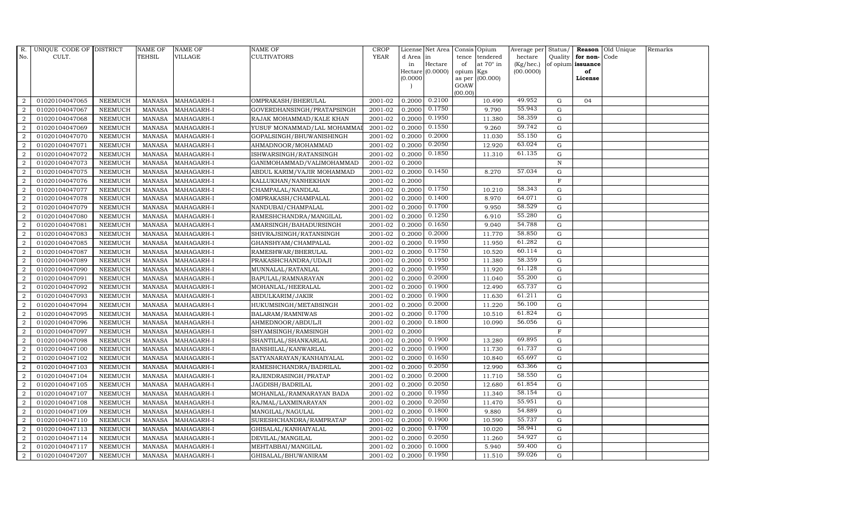| R.             | UNIQUE CODE OF DISTRICT |                | <b>NAME OF</b> | <b>NAME OF</b> | <b>NAME OF</b>             | <b>CROP</b> |           | License Net Area |         | Consis Opium     | Average per | Status/      |                   | Reason Old Unique | Remarks |
|----------------|-------------------------|----------------|----------------|----------------|----------------------------|-------------|-----------|------------------|---------|------------------|-------------|--------------|-------------------|-------------------|---------|
| No.            | CULT.                   |                | TEHSIL         | VILLAGE        | CULTIVATORS                | <b>YEAR</b> | d Area in |                  | tence   | tendered         | hectare     | Quality      | for non-Code      |                   |         |
|                |                         |                |                |                |                            |             | in        | Hectare          | of      | at $70^\circ$ in | (Kg/hec.)   |              | of opium issuance |                   |         |
|                |                         |                |                |                |                            |             |           | Hectare (0.0000) | opium   | Kgs              | (00.0000)   |              | of                |                   |         |
|                |                         |                |                |                |                            |             | (0.0000)  |                  | GOAW    | as per (00.000)  |             |              | License           |                   |         |
|                |                         |                |                |                |                            |             |           |                  | (00.00) |                  |             |              |                   |                   |         |
| $\overline{2}$ | 01020104047065          | <b>NEEMUCH</b> | MANASA         | MAHAGARH-I     | OMPRAKASH/BHERULAL         | 2001-02     | 0.2000    | 0.2100           |         | 10.490           | 49.952      | G            | 04                |                   |         |
| $\overline{2}$ | 01020104047067          | <b>NEEMUCH</b> | MANASA         | MAHAGARH-I     | GOVERDHANSINGH/PRATAPSINGH | 2001-02     | 0.2000    | 0.1750           |         | 9.790            | 55.943      | $\mathbf G$  |                   |                   |         |
| 2              | 01020104047068          | <b>NEEMUCH</b> | <b>MANASA</b>  | MAHAGARH-I     | RAJAK MOHAMMAD/KALE KHAN   | 2001-02     | 0.2000    | 0.1950           |         | 11.380           | 58.359      | G            |                   |                   |         |
| $\sqrt{2}$     | 01020104047069          | <b>NEEMUCH</b> | <b>MANASA</b>  | MAHAGARH-I     | YUSUF MONAMMAD/LAL MOHAMMA | 2001-02     | 0.2000    | 0.1550           |         | 9.260            | 59.742      | ${\rm G}$    |                   |                   |         |
| $\overline{a}$ | 01020104047070          | <b>NEEMUCH</b> | <b>MANASA</b>  | MAHAGARH-I     | GOPALSINGH/BHUWANISHINGH   | 2001-02     | 0.2000    | 0.2000           |         | 11.030           | 55.150      | ${\rm G}$    |                   |                   |         |
| $\overline{2}$ | 01020104047071          | <b>NEEMUCH</b> | <b>MANASA</b>  | MAHAGARH-I     | AHMADNOOR/MOHAMMAD         | 2001-02     | 0.2000    | 0.2050           |         | 12.920           | 63.024      | G            |                   |                   |         |
| 2              | 01020104047072          | <b>NEEMUCH</b> | <b>MANASA</b>  | MAHAGARH-I     | ISHWARSINGH/RATANSINGH     | 2001-02     | 0.2000    | 0.1850           |         | 11.310           | 61.135      | $\mathbf G$  |                   |                   |         |
| 2              | 01020104047073          | <b>NEEMUCH</b> | <b>MANASA</b>  | MAHAGARH-I     | GANIMOHAMMAD/VALIMOHAMMAD  | 2001-02     | 0.2000    |                  |         |                  |             | $\, {\rm N}$ |                   |                   |         |
| $\overline{2}$ | 01020104047075          | <b>NEEMUCH</b> | <b>MANASA</b>  | MAHAGARH-I     | ABDUL KARIM/VAJIR MOHAMMAD | 2001-02     | 0.2000    | 0.1450           |         | 8.270            | 57.034      | G            |                   |                   |         |
| $\overline{a}$ | 01020104047076          | <b>NEEMUCH</b> | <b>MANASA</b>  | MAHAGARH-I     | KALLUKHAN/NANHEKHAN        | 2001-02     | 0.2000    |                  |         |                  |             | $\mathbf F$  |                   |                   |         |
| $\overline{2}$ | 01020104047077          | <b>NEEMUCH</b> | <b>MANASA</b>  | MAHAGARH-I     | CHAMPALAL/NANDLAL          | 2001-02     |           | 0.2000 0.1750    |         | 10.210           | 58.343      | ${\rm G}$    |                   |                   |         |
| 2              | 01020104047078          | <b>NEEMUCH</b> | <b>MANASA</b>  | MAHAGARH-I     | OMPRAKASH/CHAMPALAL        | 2001-02     | 0.2000    | 0.1400           |         | 8.970            | 64.071      | $\mathbf G$  |                   |                   |         |
| $\overline{2}$ | 01020104047079          | <b>NEEMUCH</b> | <b>MANASA</b>  | MAHAGARH-I     | NANDUBAI/CHAMPALAL         | 2001-02     | 0.2000    | 0.1700           |         | 9.950            | 58.529      | $\mathbf G$  |                   |                   |         |
| 2              | 01020104047080          | <b>NEEMUCH</b> | <b>MANASA</b>  | MAHAGARH-I     | RAMESHCHANDRA/MANGILAL     | 2001-02     | 0.2000    | 0.1250           |         | 6.910            | 55.280      | G            |                   |                   |         |
| $\overline{2}$ | 01020104047081          | <b>NEEMUCH</b> | <b>MANASA</b>  | MAHAGARH-I     | AMARSINGH/BAHADURSINGH     | 2001-02     | 0.2000    | 0.1650           |         | 9.040            | 54.788      | ${\rm G}$    |                   |                   |         |
| $\overline{2}$ | 01020104047083          | <b>NEEMUCH</b> | <b>MANASA</b>  | MAHAGARH-I     | SHIVRAJSINGH/RATANSINGH    | 2001-02     | 0.2000    | 0.2000           |         | 11.770           | 58.850      | G            |                   |                   |         |
| $\overline{2}$ | 01020104047085          | <b>NEEMUCH</b> | <b>MANASA</b>  | MAHAGARH-I     | GHANSHYAM/CHAMPALAL        | 2001-02     | 0.2000    | 0.1950           |         | 11.950           | 61.282      | G            |                   |                   |         |
| $\overline{2}$ | 01020104047087          | <b>NEEMUCH</b> | <b>MANASA</b>  | MAHAGARH-I     | RAMESHWAR/BHERULAL         | 2001-02     | 0.2000    | 0.1750           |         | 10.520           | 60.114      | $\mathbf G$  |                   |                   |         |
| $\overline{a}$ | 01020104047089          | <b>NEEMUCH</b> | <b>MANASA</b>  | MAHAGARH-I     | PRAKASHCHANDRA/UDAJI       | 2001-02     | 0.2000    | 0.1950           |         | 11.380           | 58.359      | $\mathbf G$  |                   |                   |         |
| 2              | 01020104047090          | <b>NEEMUCH</b> | <b>MANASA</b>  | MAHAGARH-I     | MUNNALAL/RATANLAL          | 2001-02     | 0.2000    | 0.1950           |         | 11.920           | 61.128      | $\mathbf G$  |                   |                   |         |
| $\overline{a}$ | 01020104047091          | <b>NEEMUCH</b> | <b>MANASA</b>  | MAHAGARH-I     | BAPULAL/RAMNARAYAN         | 2001-02     | 0.2000    | 0.2000           |         | 11.040           | 55.200      | G            |                   |                   |         |
| $\overline{a}$ | 01020104047092          | <b>NEEMUCH</b> | <b>MANASA</b>  | MAHAGARH-I     | MOHANLAL/HEERALAL          | 2001-02     | 0.2000    | 0.1900           |         | 12.490           | 65.737      | G            |                   |                   |         |
| 2              | 01020104047093          | <b>NEEMUCH</b> | MANASA         | MAHAGARH-I     | ABDULKARIM/JAKIR           | 2001-02     | 0.2000    | 0.1900           |         | 11.630           | 61.211      | G            |                   |                   |         |
| $\overline{a}$ | 01020104047094          | <b>NEEMUCH</b> | <b>MANASA</b>  | MAHAGARH-I     | HUKUMSINGH/METABSINGH      | 2001-02     | 0.2000    | 0.2000           |         | 11.220           | 56.100      | $\mathbf G$  |                   |                   |         |
| $\sqrt{2}$     | 01020104047095          | <b>NEEMUCH</b> | <b>MANASA</b>  | MAHAGARH-I     | BALARAM/RAMNIWAS           | 2001-02     | 0.2000    | 0.1700           |         | 10.510           | 61.824      | G            |                   |                   |         |
| $\overline{2}$ | 01020104047096          | <b>NEEMUCH</b> | <b>MANASA</b>  | MAHAGARH-I     | AHMEDNOOR/ABDULJI          | 2001-02     | 0.2000    | 0.1800           |         | 10.090           | 56.056      | G            |                   |                   |         |
| $\overline{a}$ | 01020104047097          | <b>NEEMUCH</b> | <b>MANASA</b>  | MAHAGARH-I     | SHYAMSINGH/RAMSINGH        | 2001-02     | 0.2000    |                  |         |                  |             | $\mathbf F$  |                   |                   |         |
| 2              | 01020104047098          | <b>NEEMUCH</b> | <b>MANASA</b>  | MAHAGARH-I     | SHANTILAL/SHANKARLAL       | 2001-02     | 0.2000    | 0.1900           |         | 13.280           | 69.895      | G            |                   |                   |         |
| 2              | 01020104047100          | <b>NEEMUCH</b> | <b>MANASA</b>  | MAHAGARH-I     | BANSHILAL/KANWARLAL        | 2001-02     | 0.2000    | 0.1900           |         | 11.730           | 61.737      | $\mathbf G$  |                   |                   |         |
| $\sqrt{2}$     | 01020104047102          | <b>NEEMUCH</b> | <b>MANASA</b>  | MAHAGARH-I     | SATYANARAYAN/KANHAIYALAL   | 2001-02     | 0.2000    | 0.1650           |         | 10.840           | 65.697      | $\mathbf G$  |                   |                   |         |
| 2              | 01020104047103          | <b>NEEMUCH</b> | <b>MANASA</b>  | MAHAGARH-I     | RAMESHCHANDRA/BADRILAL     | 2001-02     | 0.2000    | 0.2050           |         | 12.990           | 63.366      | G            |                   |                   |         |
| $\overline{a}$ | 01020104047104          | <b>NEEMUCH</b> | <b>MANASA</b>  | MAHAGARH-I     | RAJENDRASINGH/PRATAP       | 2001-02     | 0.2000    | 0.2000           |         | 11.710           | 58.550      | ${\rm G}$    |                   |                   |         |
| $\overline{a}$ | 01020104047105          | <b>NEEMUCH</b> | <b>MANASA</b>  | MAHAGARH-I     | JAGDISH/BADRILAL           | 2001-02     | 0.2000    | 0.2050           |         | 12.680           | 61.854      | $\mathbf G$  |                   |                   |         |
| $\overline{2}$ | 01020104047107          | <b>NEEMUCH</b> | <b>MANASA</b>  | MAHAGARH-I     | MOHANLAL/RAMNARAYAN BADA   | 2001-02     | 0.2000    | 0.1950           |         | 11.340           | 58.154      | $\mathbf G$  |                   |                   |         |
| $\overline{2}$ | 01020104047108          | <b>NEEMUCH</b> | <b>MANASA</b>  | MAHAGARH-I     | RAJMAL/LAXMINARAYAN        | 2001-02     | 0.2000    | 0.2050           |         | 11.470           | 55.951      | $\mathbf G$  |                   |                   |         |
| $\overline{a}$ | 01020104047109          | <b>NEEMUCH</b> | <b>MANASA</b>  | MAHAGARH-I     | MANGILAL/NAGULAL           | 2001-02     | 0.2000    | 0.1800           |         | 9.880            | 54.889      | G            |                   |                   |         |
| $\overline{2}$ | 01020104047110          | <b>NEEMUCH</b> | <b>MANASA</b>  | MAHAGARH-I     | SURESHCHANDRA/RAMPRATAP    | 2001-02     | 0.2000    | 0.1900           |         | 10.590           | 55.737      | ${\rm G}$    |                   |                   |         |
| $\overline{a}$ | 01020104047113          | <b>NEEMUCH</b> | <b>MANASA</b>  | MAHAGARH-I     | GHISALAL/KANHAIYALAL       | 2001-02     | 0.2000    | 0.1700           |         | 10.020           | 58.941      | ${\rm G}$    |                   |                   |         |
| 2              | 01020104047114          | <b>NEEMUCH</b> | <b>MANASA</b>  | MAHAGARH-I     | DEVILAL/MANGILAL           | 2001-02     | 0.2000    | 0.2050           |         | 11.260           | 54.927      | $\mathbf G$  |                   |                   |         |
| 2              | 01020104047117          | <b>NEEMUCH</b> | <b>MANASA</b>  | MAHAGARH-I     | MEHTABBAI/MANGILAL         | 2001-02     | 0.2000    | 0.1000           |         | 5.940            | 59.400      | $\mathbf G$  |                   |                   |         |
| $\overline{a}$ | 01020104047207          | <b>NEEMUCH</b> | MANASA         | MAHAGARH-I     | GHISALAL/BHUWANIRAM        | 2001-02     | 0.2000    | 0.1950           |         | 11.510           | 59.026      | G            |                   |                   |         |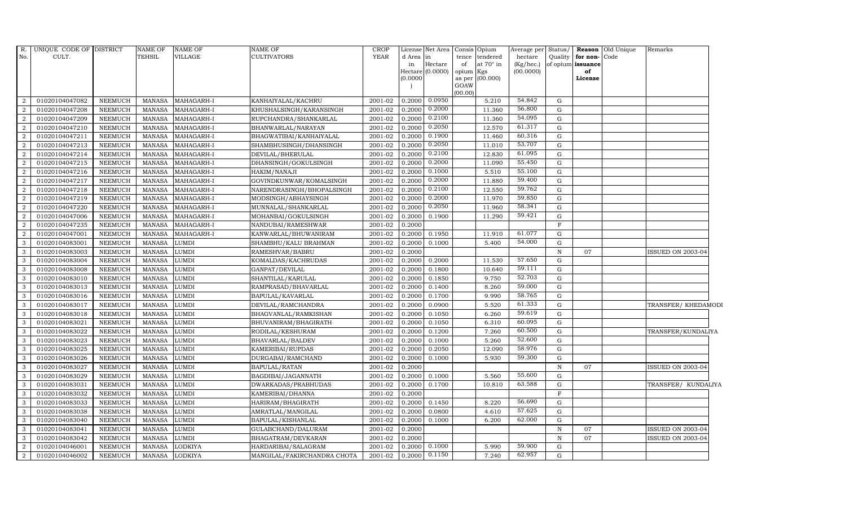| R.<br>No.      | UNIQUE CODE OF DISTRICT<br>CULT. |                | <b>NAME OF</b><br>TEHSIL | <b>NAME OF</b><br>VILLAGE | <b>NAME OF</b><br><b>CULTIVATORS</b>          | <b>CROP</b><br><b>YEAR</b> | d Area in | License Net Area            | tence           | Consis Opium<br>tendered | Average per<br>hectare | Status/      | Quality for non-Code    | <b>Reason</b> Old Unique | Remarks                  |  |
|----------------|----------------------------------|----------------|--------------------------|---------------------------|-----------------------------------------------|----------------------------|-----------|-----------------------------|-----------------|--------------------------|------------------------|--------------|-------------------------|--------------------------|--------------------------|--|
|                |                                  |                |                          |                           |                                               |                            | in        | Hectare<br>Hectare (0.0000) | of<br>opium Kgs | at 70° in                | (Kg/hec.)<br>(00.0000) |              | of opium issuance<br>of |                          |                          |  |
|                |                                  |                |                          |                           |                                               |                            | (0.0000)  |                             |                 | as per (00.000)          |                        |              | License                 |                          |                          |  |
|                |                                  |                |                          |                           |                                               |                            |           |                             | GOAW            |                          |                        |              |                         |                          |                          |  |
| $\overline{2}$ | 01020104047082                   | <b>NEEMUCH</b> |                          | MAHAGARH-I                |                                               | 2001-02                    | 0.2000    | 0.0950                      | (00.00)         | 5.210                    | 54.842                 | G            |                         |                          |                          |  |
| $\overline{2}$ | 01020104047208                   | <b>NEEMUCH</b> | MANASA<br><b>MANASA</b>  | MAHAGARH-I                | KANHAIYALAL/KACHRU<br>KHUSHALSINGH/KARANSINGH | 2001-02                    | 0.2000    | 0.2000                      |                 | 11.360                   | 56.800                 | $\mathbf G$  |                         |                          |                          |  |
| 2              | 01020104047209                   | <b>NEEMUCH</b> | <b>MANASA</b>            | MAHAGARH-I                | RUPCHANDRA/SHANKARLAL                         | 2001-02                    | 0.2000    | 0.2100                      |                 | 11.360                   | 54.095                 | G            |                         |                          |                          |  |
| $\overline{2}$ | 01020104047210                   | <b>NEEMUCH</b> | <b>MANASA</b>            | MAHAGARH-I                | BHANWARLAL/NARAYAN                            | 2001-02                    | 0.2000    | 0.2050                      |                 | 12.570                   | 61.317                 | G            |                         |                          |                          |  |
| $\overline{2}$ | 01020104047211                   | <b>NEEMUCH</b> | <b>MANASA</b>            | MAHAGARH-I                | BHAGWATIBAI/KANHAIYALAL                       | 2001-02                    | 0.2000    | 0.1900                      |                 | 11.460                   | 60.316                 | G            |                         |                          |                          |  |
| $\overline{2}$ | 01020104047213                   | <b>NEEMUCH</b> | <b>MANASA</b>            | MAHAGARH-I                | SHAMBHUSINGH/DHANSINGH                        | 2001-02                    | 0.2000    | 0.2050                      |                 | 11.010                   | 53.707                 | $\mathbf G$  |                         |                          |                          |  |
| $\overline{2}$ | 01020104047214                   | <b>NEEMUCH</b> | <b>MANASA</b>            | MAHAGARH-I                | DEVILAL/BHERULAL                              | 2001-02                    | 0.2000    | 0.2100                      |                 | 12.830                   | 61.095                 | G            |                         |                          |                          |  |
| 2              | 01020104047215                   | <b>NEEMUCH</b> | <b>MANASA</b>            | MAHAGARH-I                | DHANSINGH/GOKULSINGH                          | 2001-02                    | 0.2000    | 0.2000                      |                 | 11.090                   | 55.450                 | $\mathbf G$  |                         |                          |                          |  |
| $\overline{2}$ | 01020104047216                   | <b>NEEMUCH</b> | <b>MANASA</b>            | MAHAGARH-I                | HAKIM/NANAJI                                  | 2001-02                    | 0.2000    | 0.1000                      |                 | 5.510                    | 55.100                 | G            |                         |                          |                          |  |
| $\overline{2}$ | 01020104047217                   | <b>NEEMUCH</b> | <b>MANASA</b>            | MAHAGARH-I                | GOVINDKUNWAR/KOMALSINGH                       | 2001-02                    | 0.2000    | 0.2000                      |                 | 11.880                   | 59.400                 | G            |                         |                          |                          |  |
| $\overline{2}$ | 01020104047218                   | <b>NEEMUCH</b> | <b>MANASA</b>            | MAHAGARH-I                | NARENDRASINGH/BHOPALSINGH                     | 2001-02                    | 0.2000    | 0.2100                      |                 | 12.550                   | 59.762                 | G            |                         |                          |                          |  |
| $\overline{a}$ | 01020104047219                   | <b>NEEMUCH</b> | <b>MANASA</b>            | MAHAGARH-I                | MODSINGH/ABHAYSINGH                           | 2001-02                    | 0.2000    | 0.2000                      |                 | 11.970                   | 59.850                 | G            |                         |                          |                          |  |
| 2              | 01020104047220                   | <b>NEEMUCH</b> | <b>MANASA</b>            | MAHAGARH-I                | MUNNALAL/SHANKARLAL                           | 2001-02                    | 0.2000    | 0.2050                      |                 | 11.960                   | 58.341                 | G            |                         |                          |                          |  |
| $\overline{2}$ | 01020104047006                   | <b>NEEMUCH</b> | <b>MANASA</b>            | MAHAGARH-I                | MOHANBAI/GOKULSINGH                           | 2001-02                    | 0.2000    | 0.1900                      |                 | 11.290                   | 59.421                 | $\mathbf G$  |                         |                          |                          |  |
| $\overline{2}$ | 01020104047235                   | <b>NEEMUCH</b> | <b>MANASA</b>            | MAHAGARH-I                | NANDUBAI/RAMESHWAR                            | 2001-02                    | 0.2000    |                             |                 |                          |                        | $\mathbf F$  |                         |                          |                          |  |
| $\overline{2}$ | 01020104047001                   | <b>NEEMUCH</b> | <b>MANASA</b>            | MAHAGARH-I                | KANWARLAL/BHUWANIRAM                          | 2001-02                    | 0.2000    | 0.1950                      |                 | 11.910                   | 61.077                 | G            |                         |                          |                          |  |
| 3              | 01020104083001                   | <b>NEEMUCH</b> | <b>MANASA</b>            | <b>LUMDI</b>              | SHAMBHU/KALU BRAHMAN                          | 2001-02                    | 0.2000    | 0.1000                      |                 | 5.400                    | 54.000                 | G            |                         |                          |                          |  |
| $\mathbf{3}$   | 01020104083003                   | <b>NEEMUCH</b> | <b>MANASA</b>            | <b>LUMDI</b>              | RAMESHVAR/BABRU                               | 2001-02                    | 0.2000    |                             |                 |                          |                        | N            | 07                      |                          | <b>ISSUED ON 2003-04</b> |  |
| 3              | 01020104083004                   | <b>NEEMUCH</b> | <b>MANASA</b>            | <b>LUMDI</b>              | KOMALDAS/KACHRUDAS                            | 2001-02                    | 0.2000    | 0.2000                      |                 | 11.530                   | 57.650                 | $\mathbf G$  |                         |                          |                          |  |
| 3              | 01020104083008                   | <b>NEEMUCH</b> | <b>MANASA</b>            | <b>LUMDI</b>              | GANPAT/DEVILAL                                | 2001-02                    | 0.2000    | 0.1800                      |                 | 10.640                   | 59.111                 | $\mathbf G$  |                         |                          |                          |  |
| 3              | 01020104083010                   | <b>NEEMUCH</b> | <b>MANASA</b>            | <b>LUMDI</b>              | SHANTILAL/KARULAL                             | 2001-02                    | 0.2000    | 0.1850                      |                 | 9.750                    | 52.703                 | G            |                         |                          |                          |  |
| 3              | 01020104083013                   | <b>NEEMUCH</b> | <b>MANASA</b>            | <b>LUMDI</b>              | RAMPRASAD/BHAVARLAL                           | 2001-02                    | 0.2000    | 0.1400                      |                 | 8.260                    | 59.000                 | G            |                         |                          |                          |  |
| $\mathbf{3}$   | 01020104083016                   | <b>NEEMUCH</b> | <b>MANASA</b>            | <b>LUMDI</b>              | BAPULAL/KAVARLAL                              | 2001-02                    | 0.2000    | 0.1700                      |                 | 9.990                    | 58.765                 | $\mathbf G$  |                         |                          |                          |  |
| 3              | 01020104083017                   | <b>NEEMUCH</b> | <b>MANASA</b>            | <b>LUMDI</b>              | DEVILAL/RAMCHANDRA                            | 2001-02                    | 0.2000    | 0.0900                      |                 | 5.520                    | 61.333                 | G            |                         |                          | TRANSFER/ KHEDAMODI      |  |
| 3              | 01020104083018                   | <b>NEEMUCH</b> | <b>MANASA</b>            | <b>LUMDI</b>              | BHAGVANLAL/RAMKISHAN                          | 2001-02                    | 0.2000    | 0.1050                      |                 | 6.260                    | 59.619                 | $\mathbf G$  |                         |                          |                          |  |
| $\mathbf{3}$   | 01020104083021                   | <b>NEEMUCH</b> | <b>MANASA</b>            | <b>LUMDI</b>              | BHUVANIRAM/BHAGIRATH                          | 2001-02                    | 0.2000    | 0.1050                      |                 | 6.310                    | 60.095                 | G            |                         |                          |                          |  |
| 3              | 01020104083022                   | <b>NEEMUCH</b> | <b>MANASA</b>            | <b>LUMDI</b>              | RODILAL/KESHURAM                              | 2001-02                    | 0.2000    | 0.1200                      |                 | 7.260                    | 60.500                 | G            |                         |                          | TRANSFER/KUNDALIYA       |  |
| $\mathbf{3}$   | 01020104083023                   | <b>NEEMUCH</b> | <b>MANASA</b>            | <b>LUMDI</b>              | BHAVARLAL/BALDEV                              | 2001-02                    | 0.2000    | 0.1000                      |                 | 5.260                    | 52.600                 | $\mathbf G$  |                         |                          |                          |  |
| 3              | 01020104083025                   | <b>NEEMUCH</b> | <b>MANASA</b>            | <b>LUMDI</b>              | KAMERIBAI/RUPDAS                              | 2001-02                    | 0.2000    | 0.2050                      |                 | 12.090                   | 58.976                 | $\mathbf G$  |                         |                          |                          |  |
| 3              | 01020104083026                   | <b>NEEMUCH</b> | <b>MANASA</b>            | <b>LUMDI</b>              | DURGABAI/RAMCHAND                             | 2001-02                    | 0.2000    | 0.1000                      |                 | 5.930                    | 59.300                 | G            |                         |                          |                          |  |
| 3              | 01020104083027                   | <b>NEEMUCH</b> | <b>MANASA</b>            | <b>LUMDI</b>              | BAPULAL/RATAN                                 | 2001-02                    | 0.2000    |                             |                 |                          |                        | $\, {\rm N}$ | 07                      |                          | <b>ISSUED ON 2003-04</b> |  |
| 3              | 01020104083029                   | <b>NEEMUCH</b> | <b>MANASA</b>            | <b>LUMDI</b>              | BAGDIBAI/JAGANNATH                            | 2001-02                    | 0.2000    | 0.1000                      |                 | 5.560                    | 55.600                 | $\mathbf G$  |                         |                          |                          |  |
| 3              | 01020104083031                   | <b>NEEMUCH</b> | <b>MANASA</b>            | <b>LUMDI</b>              | DWARKADAS/PRABHUDAS                           | 2001-02                    | 0.2000    | 0.1700                      |                 | 10.810                   | 63.588                 | G            |                         |                          | TRANSFER/ KUNDALIYA      |  |
| 3              | 01020104083032                   | <b>NEEMUCH</b> | <b>MANASA</b>            | <b>LUMDI</b>              | KAMERIBAI/DHANNA                              | 2001-02                    | 0.2000    |                             |                 |                          |                        | $\mathbf F$  |                         |                          |                          |  |
| 3              | 01020104083033                   | <b>NEEMUCH</b> | <b>MANASA</b>            | <b>LUMDI</b>              | HARIRAM/BHAGIRATH                             | 2001-02                    | 0.2000    | 0.1450                      |                 | 8.220                    | 56.690                 | G            |                         |                          |                          |  |
| 3              | 01020104083038                   | <b>NEEMUCH</b> | <b>MANASA</b>            | <b>LUMDI</b>              | AMRATLAL/MANGILAL                             | 2001-02                    | 0.2000    | 0.0800                      |                 | 4.610                    | 57.625                 | G            |                         |                          |                          |  |
| 3              | 01020104083040                   | <b>NEEMUCH</b> | <b>MANASA</b>            | <b>LUMDI</b>              | BAPULAL/KISHANLAL                             | 2001-02                    | 0.2000    | 0.1000                      |                 | 6.200                    | 62.000                 | G            |                         |                          |                          |  |
| $\mathbf{3}$   | 01020104083041                   | <b>NEEMUCH</b> | <b>MANASA</b>            | <b>LUMDI</b>              | GULABCHAND/DALURAM                            | 2001-02                    | 0.2000    |                             |                 |                          |                        | $\, {\rm N}$ | 07                      |                          | <b>ISSUED ON 2003-04</b> |  |
| 3              | 01020104083042                   | <b>NEEMUCH</b> | <b>MANASA</b>            | <b>LUMDI</b>              | BHAGATRAM/DEVKARAN                            | 2001-02                    | 0.2000    |                             |                 |                          |                        | N            | 07                      |                          | <b>ISSUED ON 2003-04</b> |  |
| 2              | 01020104046001                   | <b>NEEMUCH</b> | <b>MANASA</b>            | <b>LODKIYA</b>            | HARDARIBAI/SALAGRAM                           | 2001-02                    | 0.2000    | 0.1000                      |                 | 5.990                    | 59.900                 | $\mathbf G$  |                         |                          |                          |  |
| $\overline{2}$ | 01020104046002                   | <b>NEEMUCH</b> | MANASA                   | <b>LODKIYA</b>            | MANGILAL/FAKIRCHANDRA CHOTA                   | 2001-02                    | 0.2000    | 0.1150                      |                 | 7.240                    | 62.957                 | G            |                         |                          |                          |  |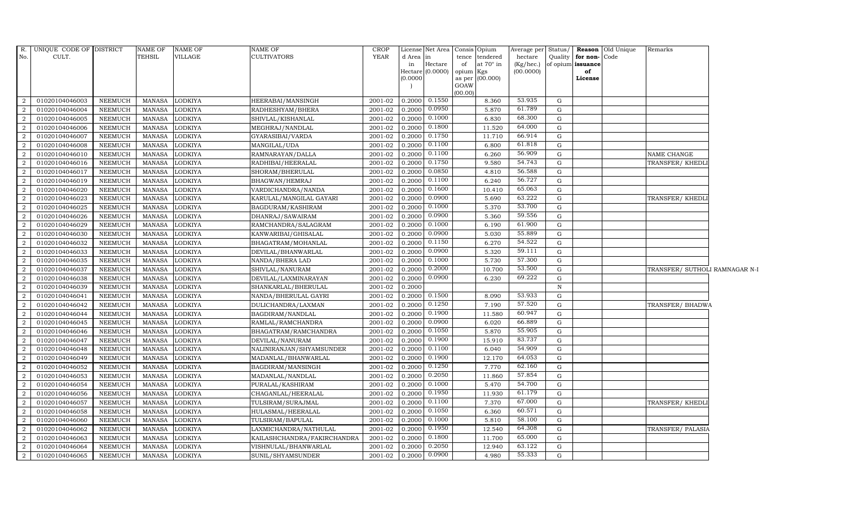| No.<br>CULT.<br>TEHSIL<br>VILLAGE<br><b>CULTIVATORS</b><br>d Area in<br>hectare<br>Quality<br>for non-Code<br>tence<br>tendered<br>Hectare<br>of<br>at $70^\circ$ in<br>$(Kg/$ hec. $)$<br>of opium<br>issuance<br>in<br>Hectare $(0.0000)$<br>(00.0000)<br>opium Kgs<br>of<br>as per (00.000)<br>(0.0000)<br>License<br>GOAW<br>(00.00)<br>0.1550<br>53.935<br>01020104046003<br>0.2000<br>G<br>NEEMUCH<br><b>MANASA</b><br><b>LODKIYA</b><br>HEERABAI/MANSINGH<br>2001-02<br>8.360<br>2<br>61.789<br>0.0950<br>01020104046004<br><b>NEEMUCH</b><br>LODKIYA<br>0.2000<br>5.870<br>G<br><b>MANASA</b><br>RADHESHYAM/BHERA<br>2001-02<br>2<br>0.1000<br>68.300<br>0.2000<br>2<br>01020104046005<br>NEEMUCH<br>LODKIYA<br>2001-02<br>6.830<br>G<br><b>MANASA</b><br>SHIVLAL/KISHANLAL<br>64.000<br>0.1800<br>01020104046006<br>NEEMUCH<br><b>MANASA</b><br>LODKIYA<br>MEGHRAJ/NANDLAL<br>2001-02<br>0.2000<br>11.520<br>G<br>2<br>0.1750<br>66.914<br>01020104046007<br><b>NEEMUCH</b><br>LODKIYA<br>2001-02<br>0.2000<br>11.710<br>${\rm G}$<br>$\overline{2}$<br><b>MANASA</b><br>GYARASIBAI/VARDA<br>0.1100<br>61.818<br>G<br>01020104046008<br>NEEMUCH<br><b>MANASA</b><br>LODKIYA<br>2001-02<br>0.2000<br>6.800<br>2<br>MANGILAL/UDA<br>56.909<br>0.1100<br>01020104046010<br>0.2000<br>G<br>2<br>NEEMUCH<br><b>MANASA</b><br>LODKIYA<br>RAMNARAYAN/DALLA<br>2001-02<br>6.260<br>NAME CHANGE<br>0.1750<br>54.743<br>01020104046016<br>NEEMUCH<br><b>MANASA</b><br>LODKIYA<br>0.2000<br>9.580<br>G<br>2<br>RADHIBAI/HEERALAL<br>2001-02<br>TRANSFER/KHEDL<br>0.0850<br>56.588<br>LODKIYA<br>4.810<br>${\rm G}$<br>2<br>01020104046017<br><b>NEEMUCH</b><br><b>MANASA</b><br>SHORAM/BHERULAL<br>2001-02<br>0.2000<br>0.1100<br>56.727<br>01020104046019<br>NEEMUCH<br><b>MANASA</b><br>LODKIYA<br>BHAGWAN/HEMRAJ<br>2001-02<br>0.2000<br>6.240<br>G<br>$\mathcal{D}$<br>0.1600<br>65.063<br>NEEMUCH<br><b>MANASA</b><br>LODKIYA<br>0.2000<br>10.410<br>G<br>2<br>01020104046020<br>VARDICHANDRA/NANDA<br>2001-02<br>0.0900<br>63.222<br>01020104046023<br><b>NEEMUCH</b><br><b>MANASA</b><br>LODKIYA<br>2001-02<br>0.2000<br>5.690<br>G<br>2<br>KARULAL/MANGILAL GAYARI<br>TRANSFER/KHEDL<br>0.1000<br>53.700<br>01020104046025<br>G<br>2<br>NEEMUCH<br><b>MANASA</b><br>LODKIYA<br>BAGDURAM/KASHIRAM<br>2001-02<br>0.2000<br>5.370<br>0.0900<br>59.556<br>01020104046026<br>NEEMUCH<br><b>MANASA</b><br>LODKIYA<br>2001-02<br>0.2000<br>5.360<br>G<br>2<br>DHANRAJ/SAWAIRAM<br>0.1000<br>61.900<br>0.2000<br>2<br>01020104046029<br><b>NEEMUCH</b><br><b>MANASA</b><br>LODKIYA<br>RAMCHANDRA/SALAGRAM<br>2001-02<br>6.190<br>G<br>0.0900<br>55.889<br>LODKIYA<br>0.2000<br>5.030<br>${\rm G}$<br>$\overline{2}$<br>01020104046030<br><b>NEEMUCH</b><br><b>MANASA</b><br>KANWARIBAI/GHISALAL<br>2001-02<br>0.1150<br>54.522<br>01020104046032<br>LODKIYA<br>2001-02<br>0.2000<br>6.270<br>G<br>2<br><b>NEEMUCH</b><br><b>MANASA</b><br>BHAGATRAM/MOHANLAL<br>0.0900<br>59.111<br>01020104046033<br>NEEMUCH<br><b>MANASA</b><br>LODKIYA<br>DEVILAL/BHANWARLAL<br>0.2000<br>5.320<br>G<br>2<br>2001-02<br>0.1000<br>57.300<br>01020104046035<br><b>NEEMUCH</b><br>2001-02<br>0.2000<br>5.730<br>G<br><b>MANASA</b><br>LODKIYA<br>NANDA/BHERA LAD<br>2<br>0.2000<br>53.500<br>2<br>01020104046037<br>NEEMUCH<br><b>MANASA</b><br>LODKIYA<br>2001-02<br>0.2000<br>10.700<br>G<br>TRANSFER/ SUTHOLI RAMNAGAR N-I<br>SHIVLAL/NANURAM<br>0.0900<br>69.222<br>01020104046038<br><b>NEEMUCH</b><br><b>MANASA</b><br>LODKIYA<br>2001-02<br>0.2000<br>6.230<br>G<br>DEVILAL/LAXMINARAYAN<br>01020104046039<br>NEEMUCH<br><b>MANASA</b><br>LODKIYA<br>SHANKARLAL/BHERULAL<br>2001-02<br>0.2000<br>$\mathbb N$<br>2<br>0.2000<br>0.1500<br>53.933<br>2<br>01020104046041<br>NEEMUCH<br><b>MANASA</b><br>LODKIYA<br>NANDA/BHERULAL GAYRI<br>2001-02<br>8.090<br>G<br>0.1250<br>57.520<br>0.2000<br>01020104046042<br>NEEMUCH<br><b>MANASA</b><br>LODKIYA<br>DULICHANDRA/LAXMAN<br>2001-02<br>7.190<br>G<br>2<br>TRANSFER/BHADWA<br>60.947<br>0.1900<br>01020104046044<br>0.2000<br>11.580<br>2<br><b>NEEMUCH</b><br><b>MANASA</b><br>LODKIYA<br>BAGDIRAM/NANDLAL<br>2001-02<br>G<br>0.0900<br>66.889<br><b>NEEMUCH</b><br>LODKIYA<br>0.2000<br>6.020<br>${\rm G}$<br>01020104046045<br><b>MANASA</b><br>RAMLAL/RAMCHANDRA<br>2001-02<br>$\overline{2}$<br>0.1050<br>55.905<br>2<br>01020104046046<br>LODKIYA<br>2001-02<br>0.2000<br>5.870<br>${\rm G}$<br><b>NEEMUCH</b><br><b>MANASA</b><br>BHAGATRAM/RAMCHANDRA<br>0.1900<br>83.737<br>NEEMUCH<br>MANASA<br>0.2000<br>15.910<br>G<br>2<br>01020104046047<br>LODKIYA<br>DEVILAL/NANURAM<br>2001-02<br>0.1100<br>54.909<br>01020104046048<br><b>NEEMUCH</b><br>2001-02<br>0.2000<br>6.040<br><b>MANASA</b><br>LODKIYA<br>NALINIRANJAN/SHYAMSUNDER<br>G<br>2<br>0.1900<br>64.053<br>0.2000<br>01020104046049<br>NEEMUCH<br><b>MANASA</b><br>LODKIYA<br>2001-02<br>12.170<br>G<br>$\overline{2}$<br>MADANLAL/BHANWARLAL<br>0.1250<br>62.160<br>01020104046052<br><b>NEEMUCH</b><br><b>MANASA</b><br>LODKIYA<br>BAGDIRAM/MANSINGH<br>2001-02<br>0.2000<br>7.770<br>G<br>2<br>0.2050<br>57.854<br>01020104046053<br>2001-02<br>0.2000<br>${\rm G}$<br>$\overline{2}$<br><b>NEEMUCH</b><br><b>MANASA</b><br>LODKIYA<br>MADANLAL/NANDLAL<br>11.860<br>0.1000<br>54.700<br>${\rm G}$<br>NEEMUCH<br><b>MANASA</b><br>LODKIYA<br>0.2000<br>5.470<br>2<br>01020104046054<br>PURALAL/KASHIRAM<br>2001-02<br>61.179<br>0.1950<br>01020104046056<br>NEEMUCH<br><b>MANASA</b><br>LODKIYA<br>2001-02<br>0.2000<br>11.930<br>G<br>2<br>CHAGANLAL/HEERALAL<br>01020104046057<br>0.2000<br>0.1100<br>7.370<br>67.000<br>G<br>2<br>NEEMUCH<br><b>MANASA</b><br>LODKIYA<br>2001-02<br>TULSIRAM/SURAJMAL<br>TRANSFER/KHEDL | R. | UNIQUE CODE OF DISTRICT |                | <b>NAME OF</b> | NAME OF | <b>NAME OF</b>    | <b>CROP</b> |        | License Net Area | Consis Opium |       | Average per Status/ |   | <b>Reason</b> Old Unique | Remarks |  |
|-------------------------------------------------------------------------------------------------------------------------------------------------------------------------------------------------------------------------------------------------------------------------------------------------------------------------------------------------------------------------------------------------------------------------------------------------------------------------------------------------------------------------------------------------------------------------------------------------------------------------------------------------------------------------------------------------------------------------------------------------------------------------------------------------------------------------------------------------------------------------------------------------------------------------------------------------------------------------------------------------------------------------------------------------------------------------------------------------------------------------------------------------------------------------------------------------------------------------------------------------------------------------------------------------------------------------------------------------------------------------------------------------------------------------------------------------------------------------------------------------------------------------------------------------------------------------------------------------------------------------------------------------------------------------------------------------------------------------------------------------------------------------------------------------------------------------------------------------------------------------------------------------------------------------------------------------------------------------------------------------------------------------------------------------------------------------------------------------------------------------------------------------------------------------------------------------------------------------------------------------------------------------------------------------------------------------------------------------------------------------------------------------------------------------------------------------------------------------------------------------------------------------------------------------------------------------------------------------------------------------------------------------------------------------------------------------------------------------------------------------------------------------------------------------------------------------------------------------------------------------------------------------------------------------------------------------------------------------------------------------------------------------------------------------------------------------------------------------------------------------------------------------------------------------------------------------------------------------------------------------------------------------------------------------------------------------------------------------------------------------------------------------------------------------------------------------------------------------------------------------------------------------------------------------------------------------------------------------------------------------------------------------------------------------------------------------------------------------------------------------------------------------------------------------------------------------------------------------------------------------------------------------------------------------------------------------------------------------------------------------------------------------------------------------------------------------------------------------------------------------------------------------------------------------------------------------------------------------------------------------------------------------------------------------------------------------------------------------------------------------------------------------------------------------------------------------------------------------------------------------------------------------------------------------------------------------------------------------------------------------------------------------------------------------------------------------------------------------------------------------------------------------------------------------------------------------------------------------------------------------------------------------------------------------------------------------------------------------------------------------------------------------------------------------------------------------------------------------------------------------------------------------------------------------------------------------------------------------------------------------------------------------------------------------------------------------------------------------------------------------------------------------------------------------------------------------------------------------------------------------------------------------------------------------------------------------------------------------------------------------------------------------------------------------------------------------------------------------------------------|----|-------------------------|----------------|----------------|---------|-------------------|-------------|--------|------------------|--------------|-------|---------------------|---|--------------------------|---------|--|
|                                                                                                                                                                                                                                                                                                                                                                                                                                                                                                                                                                                                                                                                                                                                                                                                                                                                                                                                                                                                                                                                                                                                                                                                                                                                                                                                                                                                                                                                                                                                                                                                                                                                                                                                                                                                                                                                                                                                                                                                                                                                                                                                                                                                                                                                                                                                                                                                                                                                                                                                                                                                                                                                                                                                                                                                                                                                                                                                                                                                                                                                                                                                                                                                                                                                                                                                                                                                                                                                                                                                                                                                                                                                                                                                                                                                                                                                                                                                                                                                                                                                                                                                                                                                                                                                                                                                                                                                                                                                                                                                                                                                                                                                                                                                                                                                                                                                                                                                                                                                                                                                                                                                                                                                                                                                                                                                                                                                                                                                                                                                                                                                                                                                                                                                           |    |                         |                |                |         |                   | <b>YEAR</b> |        |                  |              |       |                     |   |                          |         |  |
|                                                                                                                                                                                                                                                                                                                                                                                                                                                                                                                                                                                                                                                                                                                                                                                                                                                                                                                                                                                                                                                                                                                                                                                                                                                                                                                                                                                                                                                                                                                                                                                                                                                                                                                                                                                                                                                                                                                                                                                                                                                                                                                                                                                                                                                                                                                                                                                                                                                                                                                                                                                                                                                                                                                                                                                                                                                                                                                                                                                                                                                                                                                                                                                                                                                                                                                                                                                                                                                                                                                                                                                                                                                                                                                                                                                                                                                                                                                                                                                                                                                                                                                                                                                                                                                                                                                                                                                                                                                                                                                                                                                                                                                                                                                                                                                                                                                                                                                                                                                                                                                                                                                                                                                                                                                                                                                                                                                                                                                                                                                                                                                                                                                                                                                                           |    |                         |                |                |         |                   |             |        |                  |              |       |                     |   |                          |         |  |
|                                                                                                                                                                                                                                                                                                                                                                                                                                                                                                                                                                                                                                                                                                                                                                                                                                                                                                                                                                                                                                                                                                                                                                                                                                                                                                                                                                                                                                                                                                                                                                                                                                                                                                                                                                                                                                                                                                                                                                                                                                                                                                                                                                                                                                                                                                                                                                                                                                                                                                                                                                                                                                                                                                                                                                                                                                                                                                                                                                                                                                                                                                                                                                                                                                                                                                                                                                                                                                                                                                                                                                                                                                                                                                                                                                                                                                                                                                                                                                                                                                                                                                                                                                                                                                                                                                                                                                                                                                                                                                                                                                                                                                                                                                                                                                                                                                                                                                                                                                                                                                                                                                                                                                                                                                                                                                                                                                                                                                                                                                                                                                                                                                                                                                                                           |    |                         |                |                |         |                   |             |        |                  |              |       |                     |   |                          |         |  |
|                                                                                                                                                                                                                                                                                                                                                                                                                                                                                                                                                                                                                                                                                                                                                                                                                                                                                                                                                                                                                                                                                                                                                                                                                                                                                                                                                                                                                                                                                                                                                                                                                                                                                                                                                                                                                                                                                                                                                                                                                                                                                                                                                                                                                                                                                                                                                                                                                                                                                                                                                                                                                                                                                                                                                                                                                                                                                                                                                                                                                                                                                                                                                                                                                                                                                                                                                                                                                                                                                                                                                                                                                                                                                                                                                                                                                                                                                                                                                                                                                                                                                                                                                                                                                                                                                                                                                                                                                                                                                                                                                                                                                                                                                                                                                                                                                                                                                                                                                                                                                                                                                                                                                                                                                                                                                                                                                                                                                                                                                                                                                                                                                                                                                                                                           |    |                         |                |                |         |                   |             |        |                  |              |       |                     |   |                          |         |  |
|                                                                                                                                                                                                                                                                                                                                                                                                                                                                                                                                                                                                                                                                                                                                                                                                                                                                                                                                                                                                                                                                                                                                                                                                                                                                                                                                                                                                                                                                                                                                                                                                                                                                                                                                                                                                                                                                                                                                                                                                                                                                                                                                                                                                                                                                                                                                                                                                                                                                                                                                                                                                                                                                                                                                                                                                                                                                                                                                                                                                                                                                                                                                                                                                                                                                                                                                                                                                                                                                                                                                                                                                                                                                                                                                                                                                                                                                                                                                                                                                                                                                                                                                                                                                                                                                                                                                                                                                                                                                                                                                                                                                                                                                                                                                                                                                                                                                                                                                                                                                                                                                                                                                                                                                                                                                                                                                                                                                                                                                                                                                                                                                                                                                                                                                           |    |                         |                |                |         |                   |             |        |                  |              |       |                     |   |                          |         |  |
|                                                                                                                                                                                                                                                                                                                                                                                                                                                                                                                                                                                                                                                                                                                                                                                                                                                                                                                                                                                                                                                                                                                                                                                                                                                                                                                                                                                                                                                                                                                                                                                                                                                                                                                                                                                                                                                                                                                                                                                                                                                                                                                                                                                                                                                                                                                                                                                                                                                                                                                                                                                                                                                                                                                                                                                                                                                                                                                                                                                                                                                                                                                                                                                                                                                                                                                                                                                                                                                                                                                                                                                                                                                                                                                                                                                                                                                                                                                                                                                                                                                                                                                                                                                                                                                                                                                                                                                                                                                                                                                                                                                                                                                                                                                                                                                                                                                                                                                                                                                                                                                                                                                                                                                                                                                                                                                                                                                                                                                                                                                                                                                                                                                                                                                                           |    |                         |                |                |         |                   |             |        |                  |              |       |                     |   |                          |         |  |
|                                                                                                                                                                                                                                                                                                                                                                                                                                                                                                                                                                                                                                                                                                                                                                                                                                                                                                                                                                                                                                                                                                                                                                                                                                                                                                                                                                                                                                                                                                                                                                                                                                                                                                                                                                                                                                                                                                                                                                                                                                                                                                                                                                                                                                                                                                                                                                                                                                                                                                                                                                                                                                                                                                                                                                                                                                                                                                                                                                                                                                                                                                                                                                                                                                                                                                                                                                                                                                                                                                                                                                                                                                                                                                                                                                                                                                                                                                                                                                                                                                                                                                                                                                                                                                                                                                                                                                                                                                                                                                                                                                                                                                                                                                                                                                                                                                                                                                                                                                                                                                                                                                                                                                                                                                                                                                                                                                                                                                                                                                                                                                                                                                                                                                                                           |    |                         |                |                |         |                   |             |        |                  |              |       |                     |   |                          |         |  |
|                                                                                                                                                                                                                                                                                                                                                                                                                                                                                                                                                                                                                                                                                                                                                                                                                                                                                                                                                                                                                                                                                                                                                                                                                                                                                                                                                                                                                                                                                                                                                                                                                                                                                                                                                                                                                                                                                                                                                                                                                                                                                                                                                                                                                                                                                                                                                                                                                                                                                                                                                                                                                                                                                                                                                                                                                                                                                                                                                                                                                                                                                                                                                                                                                                                                                                                                                                                                                                                                                                                                                                                                                                                                                                                                                                                                                                                                                                                                                                                                                                                                                                                                                                                                                                                                                                                                                                                                                                                                                                                                                                                                                                                                                                                                                                                                                                                                                                                                                                                                                                                                                                                                                                                                                                                                                                                                                                                                                                                                                                                                                                                                                                                                                                                                           |    |                         |                |                |         |                   |             |        |                  |              |       |                     |   |                          |         |  |
|                                                                                                                                                                                                                                                                                                                                                                                                                                                                                                                                                                                                                                                                                                                                                                                                                                                                                                                                                                                                                                                                                                                                                                                                                                                                                                                                                                                                                                                                                                                                                                                                                                                                                                                                                                                                                                                                                                                                                                                                                                                                                                                                                                                                                                                                                                                                                                                                                                                                                                                                                                                                                                                                                                                                                                                                                                                                                                                                                                                                                                                                                                                                                                                                                                                                                                                                                                                                                                                                                                                                                                                                                                                                                                                                                                                                                                                                                                                                                                                                                                                                                                                                                                                                                                                                                                                                                                                                                                                                                                                                                                                                                                                                                                                                                                                                                                                                                                                                                                                                                                                                                                                                                                                                                                                                                                                                                                                                                                                                                                                                                                                                                                                                                                                                           |    |                         |                |                |         |                   |             |        |                  |              |       |                     |   |                          |         |  |
|                                                                                                                                                                                                                                                                                                                                                                                                                                                                                                                                                                                                                                                                                                                                                                                                                                                                                                                                                                                                                                                                                                                                                                                                                                                                                                                                                                                                                                                                                                                                                                                                                                                                                                                                                                                                                                                                                                                                                                                                                                                                                                                                                                                                                                                                                                                                                                                                                                                                                                                                                                                                                                                                                                                                                                                                                                                                                                                                                                                                                                                                                                                                                                                                                                                                                                                                                                                                                                                                                                                                                                                                                                                                                                                                                                                                                                                                                                                                                                                                                                                                                                                                                                                                                                                                                                                                                                                                                                                                                                                                                                                                                                                                                                                                                                                                                                                                                                                                                                                                                                                                                                                                                                                                                                                                                                                                                                                                                                                                                                                                                                                                                                                                                                                                           |    |                         |                |                |         |                   |             |        |                  |              |       |                     |   |                          |         |  |
|                                                                                                                                                                                                                                                                                                                                                                                                                                                                                                                                                                                                                                                                                                                                                                                                                                                                                                                                                                                                                                                                                                                                                                                                                                                                                                                                                                                                                                                                                                                                                                                                                                                                                                                                                                                                                                                                                                                                                                                                                                                                                                                                                                                                                                                                                                                                                                                                                                                                                                                                                                                                                                                                                                                                                                                                                                                                                                                                                                                                                                                                                                                                                                                                                                                                                                                                                                                                                                                                                                                                                                                                                                                                                                                                                                                                                                                                                                                                                                                                                                                                                                                                                                                                                                                                                                                                                                                                                                                                                                                                                                                                                                                                                                                                                                                                                                                                                                                                                                                                                                                                                                                                                                                                                                                                                                                                                                                                                                                                                                                                                                                                                                                                                                                                           |    |                         |                |                |         |                   |             |        |                  |              |       |                     |   |                          |         |  |
|                                                                                                                                                                                                                                                                                                                                                                                                                                                                                                                                                                                                                                                                                                                                                                                                                                                                                                                                                                                                                                                                                                                                                                                                                                                                                                                                                                                                                                                                                                                                                                                                                                                                                                                                                                                                                                                                                                                                                                                                                                                                                                                                                                                                                                                                                                                                                                                                                                                                                                                                                                                                                                                                                                                                                                                                                                                                                                                                                                                                                                                                                                                                                                                                                                                                                                                                                                                                                                                                                                                                                                                                                                                                                                                                                                                                                                                                                                                                                                                                                                                                                                                                                                                                                                                                                                                                                                                                                                                                                                                                                                                                                                                                                                                                                                                                                                                                                                                                                                                                                                                                                                                                                                                                                                                                                                                                                                                                                                                                                                                                                                                                                                                                                                                                           |    |                         |                |                |         |                   |             |        |                  |              |       |                     |   |                          |         |  |
|                                                                                                                                                                                                                                                                                                                                                                                                                                                                                                                                                                                                                                                                                                                                                                                                                                                                                                                                                                                                                                                                                                                                                                                                                                                                                                                                                                                                                                                                                                                                                                                                                                                                                                                                                                                                                                                                                                                                                                                                                                                                                                                                                                                                                                                                                                                                                                                                                                                                                                                                                                                                                                                                                                                                                                                                                                                                                                                                                                                                                                                                                                                                                                                                                                                                                                                                                                                                                                                                                                                                                                                                                                                                                                                                                                                                                                                                                                                                                                                                                                                                                                                                                                                                                                                                                                                                                                                                                                                                                                                                                                                                                                                                                                                                                                                                                                                                                                                                                                                                                                                                                                                                                                                                                                                                                                                                                                                                                                                                                                                                                                                                                                                                                                                                           |    |                         |                |                |         |                   |             |        |                  |              |       |                     |   |                          |         |  |
|                                                                                                                                                                                                                                                                                                                                                                                                                                                                                                                                                                                                                                                                                                                                                                                                                                                                                                                                                                                                                                                                                                                                                                                                                                                                                                                                                                                                                                                                                                                                                                                                                                                                                                                                                                                                                                                                                                                                                                                                                                                                                                                                                                                                                                                                                                                                                                                                                                                                                                                                                                                                                                                                                                                                                                                                                                                                                                                                                                                                                                                                                                                                                                                                                                                                                                                                                                                                                                                                                                                                                                                                                                                                                                                                                                                                                                                                                                                                                                                                                                                                                                                                                                                                                                                                                                                                                                                                                                                                                                                                                                                                                                                                                                                                                                                                                                                                                                                                                                                                                                                                                                                                                                                                                                                                                                                                                                                                                                                                                                                                                                                                                                                                                                                                           |    |                         |                |                |         |                   |             |        |                  |              |       |                     |   |                          |         |  |
|                                                                                                                                                                                                                                                                                                                                                                                                                                                                                                                                                                                                                                                                                                                                                                                                                                                                                                                                                                                                                                                                                                                                                                                                                                                                                                                                                                                                                                                                                                                                                                                                                                                                                                                                                                                                                                                                                                                                                                                                                                                                                                                                                                                                                                                                                                                                                                                                                                                                                                                                                                                                                                                                                                                                                                                                                                                                                                                                                                                                                                                                                                                                                                                                                                                                                                                                                                                                                                                                                                                                                                                                                                                                                                                                                                                                                                                                                                                                                                                                                                                                                                                                                                                                                                                                                                                                                                                                                                                                                                                                                                                                                                                                                                                                                                                                                                                                                                                                                                                                                                                                                                                                                                                                                                                                                                                                                                                                                                                                                                                                                                                                                                                                                                                                           |    |                         |                |                |         |                   |             |        |                  |              |       |                     |   |                          |         |  |
|                                                                                                                                                                                                                                                                                                                                                                                                                                                                                                                                                                                                                                                                                                                                                                                                                                                                                                                                                                                                                                                                                                                                                                                                                                                                                                                                                                                                                                                                                                                                                                                                                                                                                                                                                                                                                                                                                                                                                                                                                                                                                                                                                                                                                                                                                                                                                                                                                                                                                                                                                                                                                                                                                                                                                                                                                                                                                                                                                                                                                                                                                                                                                                                                                                                                                                                                                                                                                                                                                                                                                                                                                                                                                                                                                                                                                                                                                                                                                                                                                                                                                                                                                                                                                                                                                                                                                                                                                                                                                                                                                                                                                                                                                                                                                                                                                                                                                                                                                                                                                                                                                                                                                                                                                                                                                                                                                                                                                                                                                                                                                                                                                                                                                                                                           |    |                         |                |                |         |                   |             |        |                  |              |       |                     |   |                          |         |  |
|                                                                                                                                                                                                                                                                                                                                                                                                                                                                                                                                                                                                                                                                                                                                                                                                                                                                                                                                                                                                                                                                                                                                                                                                                                                                                                                                                                                                                                                                                                                                                                                                                                                                                                                                                                                                                                                                                                                                                                                                                                                                                                                                                                                                                                                                                                                                                                                                                                                                                                                                                                                                                                                                                                                                                                                                                                                                                                                                                                                                                                                                                                                                                                                                                                                                                                                                                                                                                                                                                                                                                                                                                                                                                                                                                                                                                                                                                                                                                                                                                                                                                                                                                                                                                                                                                                                                                                                                                                                                                                                                                                                                                                                                                                                                                                                                                                                                                                                                                                                                                                                                                                                                                                                                                                                                                                                                                                                                                                                                                                                                                                                                                                                                                                                                           |    |                         |                |                |         |                   |             |        |                  |              |       |                     |   |                          |         |  |
|                                                                                                                                                                                                                                                                                                                                                                                                                                                                                                                                                                                                                                                                                                                                                                                                                                                                                                                                                                                                                                                                                                                                                                                                                                                                                                                                                                                                                                                                                                                                                                                                                                                                                                                                                                                                                                                                                                                                                                                                                                                                                                                                                                                                                                                                                                                                                                                                                                                                                                                                                                                                                                                                                                                                                                                                                                                                                                                                                                                                                                                                                                                                                                                                                                                                                                                                                                                                                                                                                                                                                                                                                                                                                                                                                                                                                                                                                                                                                                                                                                                                                                                                                                                                                                                                                                                                                                                                                                                                                                                                                                                                                                                                                                                                                                                                                                                                                                                                                                                                                                                                                                                                                                                                                                                                                                                                                                                                                                                                                                                                                                                                                                                                                                                                           |    |                         |                |                |         |                   |             |        |                  |              |       |                     |   |                          |         |  |
|                                                                                                                                                                                                                                                                                                                                                                                                                                                                                                                                                                                                                                                                                                                                                                                                                                                                                                                                                                                                                                                                                                                                                                                                                                                                                                                                                                                                                                                                                                                                                                                                                                                                                                                                                                                                                                                                                                                                                                                                                                                                                                                                                                                                                                                                                                                                                                                                                                                                                                                                                                                                                                                                                                                                                                                                                                                                                                                                                                                                                                                                                                                                                                                                                                                                                                                                                                                                                                                                                                                                                                                                                                                                                                                                                                                                                                                                                                                                                                                                                                                                                                                                                                                                                                                                                                                                                                                                                                                                                                                                                                                                                                                                                                                                                                                                                                                                                                                                                                                                                                                                                                                                                                                                                                                                                                                                                                                                                                                                                                                                                                                                                                                                                                                                           |    |                         |                |                |         |                   |             |        |                  |              |       |                     |   |                          |         |  |
|                                                                                                                                                                                                                                                                                                                                                                                                                                                                                                                                                                                                                                                                                                                                                                                                                                                                                                                                                                                                                                                                                                                                                                                                                                                                                                                                                                                                                                                                                                                                                                                                                                                                                                                                                                                                                                                                                                                                                                                                                                                                                                                                                                                                                                                                                                                                                                                                                                                                                                                                                                                                                                                                                                                                                                                                                                                                                                                                                                                                                                                                                                                                                                                                                                                                                                                                                                                                                                                                                                                                                                                                                                                                                                                                                                                                                                                                                                                                                                                                                                                                                                                                                                                                                                                                                                                                                                                                                                                                                                                                                                                                                                                                                                                                                                                                                                                                                                                                                                                                                                                                                                                                                                                                                                                                                                                                                                                                                                                                                                                                                                                                                                                                                                                                           |    |                         |                |                |         |                   |             |        |                  |              |       |                     |   |                          |         |  |
|                                                                                                                                                                                                                                                                                                                                                                                                                                                                                                                                                                                                                                                                                                                                                                                                                                                                                                                                                                                                                                                                                                                                                                                                                                                                                                                                                                                                                                                                                                                                                                                                                                                                                                                                                                                                                                                                                                                                                                                                                                                                                                                                                                                                                                                                                                                                                                                                                                                                                                                                                                                                                                                                                                                                                                                                                                                                                                                                                                                                                                                                                                                                                                                                                                                                                                                                                                                                                                                                                                                                                                                                                                                                                                                                                                                                                                                                                                                                                                                                                                                                                                                                                                                                                                                                                                                                                                                                                                                                                                                                                                                                                                                                                                                                                                                                                                                                                                                                                                                                                                                                                                                                                                                                                                                                                                                                                                                                                                                                                                                                                                                                                                                                                                                                           |    |                         |                |                |         |                   |             |        |                  |              |       |                     |   |                          |         |  |
|                                                                                                                                                                                                                                                                                                                                                                                                                                                                                                                                                                                                                                                                                                                                                                                                                                                                                                                                                                                                                                                                                                                                                                                                                                                                                                                                                                                                                                                                                                                                                                                                                                                                                                                                                                                                                                                                                                                                                                                                                                                                                                                                                                                                                                                                                                                                                                                                                                                                                                                                                                                                                                                                                                                                                                                                                                                                                                                                                                                                                                                                                                                                                                                                                                                                                                                                                                                                                                                                                                                                                                                                                                                                                                                                                                                                                                                                                                                                                                                                                                                                                                                                                                                                                                                                                                                                                                                                                                                                                                                                                                                                                                                                                                                                                                                                                                                                                                                                                                                                                                                                                                                                                                                                                                                                                                                                                                                                                                                                                                                                                                                                                                                                                                                                           |    |                         |                |                |         |                   |             |        |                  |              |       |                     |   |                          |         |  |
|                                                                                                                                                                                                                                                                                                                                                                                                                                                                                                                                                                                                                                                                                                                                                                                                                                                                                                                                                                                                                                                                                                                                                                                                                                                                                                                                                                                                                                                                                                                                                                                                                                                                                                                                                                                                                                                                                                                                                                                                                                                                                                                                                                                                                                                                                                                                                                                                                                                                                                                                                                                                                                                                                                                                                                                                                                                                                                                                                                                                                                                                                                                                                                                                                                                                                                                                                                                                                                                                                                                                                                                                                                                                                                                                                                                                                                                                                                                                                                                                                                                                                                                                                                                                                                                                                                                                                                                                                                                                                                                                                                                                                                                                                                                                                                                                                                                                                                                                                                                                                                                                                                                                                                                                                                                                                                                                                                                                                                                                                                                                                                                                                                                                                                                                           |    |                         |                |                |         |                   |             |        |                  |              |       |                     |   |                          |         |  |
|                                                                                                                                                                                                                                                                                                                                                                                                                                                                                                                                                                                                                                                                                                                                                                                                                                                                                                                                                                                                                                                                                                                                                                                                                                                                                                                                                                                                                                                                                                                                                                                                                                                                                                                                                                                                                                                                                                                                                                                                                                                                                                                                                                                                                                                                                                                                                                                                                                                                                                                                                                                                                                                                                                                                                                                                                                                                                                                                                                                                                                                                                                                                                                                                                                                                                                                                                                                                                                                                                                                                                                                                                                                                                                                                                                                                                                                                                                                                                                                                                                                                                                                                                                                                                                                                                                                                                                                                                                                                                                                                                                                                                                                                                                                                                                                                                                                                                                                                                                                                                                                                                                                                                                                                                                                                                                                                                                                                                                                                                                                                                                                                                                                                                                                                           |    |                         |                |                |         |                   |             |        |                  |              |       |                     |   |                          |         |  |
|                                                                                                                                                                                                                                                                                                                                                                                                                                                                                                                                                                                                                                                                                                                                                                                                                                                                                                                                                                                                                                                                                                                                                                                                                                                                                                                                                                                                                                                                                                                                                                                                                                                                                                                                                                                                                                                                                                                                                                                                                                                                                                                                                                                                                                                                                                                                                                                                                                                                                                                                                                                                                                                                                                                                                                                                                                                                                                                                                                                                                                                                                                                                                                                                                                                                                                                                                                                                                                                                                                                                                                                                                                                                                                                                                                                                                                                                                                                                                                                                                                                                                                                                                                                                                                                                                                                                                                                                                                                                                                                                                                                                                                                                                                                                                                                                                                                                                                                                                                                                                                                                                                                                                                                                                                                                                                                                                                                                                                                                                                                                                                                                                                                                                                                                           |    |                         |                |                |         |                   |             |        |                  |              |       |                     |   |                          |         |  |
|                                                                                                                                                                                                                                                                                                                                                                                                                                                                                                                                                                                                                                                                                                                                                                                                                                                                                                                                                                                                                                                                                                                                                                                                                                                                                                                                                                                                                                                                                                                                                                                                                                                                                                                                                                                                                                                                                                                                                                                                                                                                                                                                                                                                                                                                                                                                                                                                                                                                                                                                                                                                                                                                                                                                                                                                                                                                                                                                                                                                                                                                                                                                                                                                                                                                                                                                                                                                                                                                                                                                                                                                                                                                                                                                                                                                                                                                                                                                                                                                                                                                                                                                                                                                                                                                                                                                                                                                                                                                                                                                                                                                                                                                                                                                                                                                                                                                                                                                                                                                                                                                                                                                                                                                                                                                                                                                                                                                                                                                                                                                                                                                                                                                                                                                           |    |                         |                |                |         |                   |             |        |                  |              |       |                     |   |                          |         |  |
|                                                                                                                                                                                                                                                                                                                                                                                                                                                                                                                                                                                                                                                                                                                                                                                                                                                                                                                                                                                                                                                                                                                                                                                                                                                                                                                                                                                                                                                                                                                                                                                                                                                                                                                                                                                                                                                                                                                                                                                                                                                                                                                                                                                                                                                                                                                                                                                                                                                                                                                                                                                                                                                                                                                                                                                                                                                                                                                                                                                                                                                                                                                                                                                                                                                                                                                                                                                                                                                                                                                                                                                                                                                                                                                                                                                                                                                                                                                                                                                                                                                                                                                                                                                                                                                                                                                                                                                                                                                                                                                                                                                                                                                                                                                                                                                                                                                                                                                                                                                                                                                                                                                                                                                                                                                                                                                                                                                                                                                                                                                                                                                                                                                                                                                                           |    |                         |                |                |         |                   |             |        |                  |              |       |                     |   |                          |         |  |
|                                                                                                                                                                                                                                                                                                                                                                                                                                                                                                                                                                                                                                                                                                                                                                                                                                                                                                                                                                                                                                                                                                                                                                                                                                                                                                                                                                                                                                                                                                                                                                                                                                                                                                                                                                                                                                                                                                                                                                                                                                                                                                                                                                                                                                                                                                                                                                                                                                                                                                                                                                                                                                                                                                                                                                                                                                                                                                                                                                                                                                                                                                                                                                                                                                                                                                                                                                                                                                                                                                                                                                                                                                                                                                                                                                                                                                                                                                                                                                                                                                                                                                                                                                                                                                                                                                                                                                                                                                                                                                                                                                                                                                                                                                                                                                                                                                                                                                                                                                                                                                                                                                                                                                                                                                                                                                                                                                                                                                                                                                                                                                                                                                                                                                                                           |    |                         |                |                |         |                   |             |        |                  |              |       |                     |   |                          |         |  |
|                                                                                                                                                                                                                                                                                                                                                                                                                                                                                                                                                                                                                                                                                                                                                                                                                                                                                                                                                                                                                                                                                                                                                                                                                                                                                                                                                                                                                                                                                                                                                                                                                                                                                                                                                                                                                                                                                                                                                                                                                                                                                                                                                                                                                                                                                                                                                                                                                                                                                                                                                                                                                                                                                                                                                                                                                                                                                                                                                                                                                                                                                                                                                                                                                                                                                                                                                                                                                                                                                                                                                                                                                                                                                                                                                                                                                                                                                                                                                                                                                                                                                                                                                                                                                                                                                                                                                                                                                                                                                                                                                                                                                                                                                                                                                                                                                                                                                                                                                                                                                                                                                                                                                                                                                                                                                                                                                                                                                                                                                                                                                                                                                                                                                                                                           |    |                         |                |                |         |                   |             |        |                  |              |       |                     |   |                          |         |  |
|                                                                                                                                                                                                                                                                                                                                                                                                                                                                                                                                                                                                                                                                                                                                                                                                                                                                                                                                                                                                                                                                                                                                                                                                                                                                                                                                                                                                                                                                                                                                                                                                                                                                                                                                                                                                                                                                                                                                                                                                                                                                                                                                                                                                                                                                                                                                                                                                                                                                                                                                                                                                                                                                                                                                                                                                                                                                                                                                                                                                                                                                                                                                                                                                                                                                                                                                                                                                                                                                                                                                                                                                                                                                                                                                                                                                                                                                                                                                                                                                                                                                                                                                                                                                                                                                                                                                                                                                                                                                                                                                                                                                                                                                                                                                                                                                                                                                                                                                                                                                                                                                                                                                                                                                                                                                                                                                                                                                                                                                                                                                                                                                                                                                                                                                           |    |                         |                |                |         |                   |             |        |                  |              |       |                     |   |                          |         |  |
|                                                                                                                                                                                                                                                                                                                                                                                                                                                                                                                                                                                                                                                                                                                                                                                                                                                                                                                                                                                                                                                                                                                                                                                                                                                                                                                                                                                                                                                                                                                                                                                                                                                                                                                                                                                                                                                                                                                                                                                                                                                                                                                                                                                                                                                                                                                                                                                                                                                                                                                                                                                                                                                                                                                                                                                                                                                                                                                                                                                                                                                                                                                                                                                                                                                                                                                                                                                                                                                                                                                                                                                                                                                                                                                                                                                                                                                                                                                                                                                                                                                                                                                                                                                                                                                                                                                                                                                                                                                                                                                                                                                                                                                                                                                                                                                                                                                                                                                                                                                                                                                                                                                                                                                                                                                                                                                                                                                                                                                                                                                                                                                                                                                                                                                                           |    |                         |                |                |         |                   |             |        |                  |              |       |                     |   |                          |         |  |
|                                                                                                                                                                                                                                                                                                                                                                                                                                                                                                                                                                                                                                                                                                                                                                                                                                                                                                                                                                                                                                                                                                                                                                                                                                                                                                                                                                                                                                                                                                                                                                                                                                                                                                                                                                                                                                                                                                                                                                                                                                                                                                                                                                                                                                                                                                                                                                                                                                                                                                                                                                                                                                                                                                                                                                                                                                                                                                                                                                                                                                                                                                                                                                                                                                                                                                                                                                                                                                                                                                                                                                                                                                                                                                                                                                                                                                                                                                                                                                                                                                                                                                                                                                                                                                                                                                                                                                                                                                                                                                                                                                                                                                                                                                                                                                                                                                                                                                                                                                                                                                                                                                                                                                                                                                                                                                                                                                                                                                                                                                                                                                                                                                                                                                                                           |    |                         |                |                |         |                   |             |        |                  |              |       |                     |   |                          |         |  |
|                                                                                                                                                                                                                                                                                                                                                                                                                                                                                                                                                                                                                                                                                                                                                                                                                                                                                                                                                                                                                                                                                                                                                                                                                                                                                                                                                                                                                                                                                                                                                                                                                                                                                                                                                                                                                                                                                                                                                                                                                                                                                                                                                                                                                                                                                                                                                                                                                                                                                                                                                                                                                                                                                                                                                                                                                                                                                                                                                                                                                                                                                                                                                                                                                                                                                                                                                                                                                                                                                                                                                                                                                                                                                                                                                                                                                                                                                                                                                                                                                                                                                                                                                                                                                                                                                                                                                                                                                                                                                                                                                                                                                                                                                                                                                                                                                                                                                                                                                                                                                                                                                                                                                                                                                                                                                                                                                                                                                                                                                                                                                                                                                                                                                                                                           |    |                         |                |                |         |                   |             |        |                  |              |       |                     |   |                          |         |  |
|                                                                                                                                                                                                                                                                                                                                                                                                                                                                                                                                                                                                                                                                                                                                                                                                                                                                                                                                                                                                                                                                                                                                                                                                                                                                                                                                                                                                                                                                                                                                                                                                                                                                                                                                                                                                                                                                                                                                                                                                                                                                                                                                                                                                                                                                                                                                                                                                                                                                                                                                                                                                                                                                                                                                                                                                                                                                                                                                                                                                                                                                                                                                                                                                                                                                                                                                                                                                                                                                                                                                                                                                                                                                                                                                                                                                                                                                                                                                                                                                                                                                                                                                                                                                                                                                                                                                                                                                                                                                                                                                                                                                                                                                                                                                                                                                                                                                                                                                                                                                                                                                                                                                                                                                                                                                                                                                                                                                                                                                                                                                                                                                                                                                                                                                           |    |                         |                |                |         |                   |             |        |                  |              |       |                     |   |                          |         |  |
|                                                                                                                                                                                                                                                                                                                                                                                                                                                                                                                                                                                                                                                                                                                                                                                                                                                                                                                                                                                                                                                                                                                                                                                                                                                                                                                                                                                                                                                                                                                                                                                                                                                                                                                                                                                                                                                                                                                                                                                                                                                                                                                                                                                                                                                                                                                                                                                                                                                                                                                                                                                                                                                                                                                                                                                                                                                                                                                                                                                                                                                                                                                                                                                                                                                                                                                                                                                                                                                                                                                                                                                                                                                                                                                                                                                                                                                                                                                                                                                                                                                                                                                                                                                                                                                                                                                                                                                                                                                                                                                                                                                                                                                                                                                                                                                                                                                                                                                                                                                                                                                                                                                                                                                                                                                                                                                                                                                                                                                                                                                                                                                                                                                                                                                                           |    |                         |                |                |         |                   |             |        |                  |              |       |                     |   |                          |         |  |
|                                                                                                                                                                                                                                                                                                                                                                                                                                                                                                                                                                                                                                                                                                                                                                                                                                                                                                                                                                                                                                                                                                                                                                                                                                                                                                                                                                                                                                                                                                                                                                                                                                                                                                                                                                                                                                                                                                                                                                                                                                                                                                                                                                                                                                                                                                                                                                                                                                                                                                                                                                                                                                                                                                                                                                                                                                                                                                                                                                                                                                                                                                                                                                                                                                                                                                                                                                                                                                                                                                                                                                                                                                                                                                                                                                                                                                                                                                                                                                                                                                                                                                                                                                                                                                                                                                                                                                                                                                                                                                                                                                                                                                                                                                                                                                                                                                                                                                                                                                                                                                                                                                                                                                                                                                                                                                                                                                                                                                                                                                                                                                                                                                                                                                                                           |    |                         |                |                |         |                   |             |        |                  |              |       |                     |   |                          |         |  |
|                                                                                                                                                                                                                                                                                                                                                                                                                                                                                                                                                                                                                                                                                                                                                                                                                                                                                                                                                                                                                                                                                                                                                                                                                                                                                                                                                                                                                                                                                                                                                                                                                                                                                                                                                                                                                                                                                                                                                                                                                                                                                                                                                                                                                                                                                                                                                                                                                                                                                                                                                                                                                                                                                                                                                                                                                                                                                                                                                                                                                                                                                                                                                                                                                                                                                                                                                                                                                                                                                                                                                                                                                                                                                                                                                                                                                                                                                                                                                                                                                                                                                                                                                                                                                                                                                                                                                                                                                                                                                                                                                                                                                                                                                                                                                                                                                                                                                                                                                                                                                                                                                                                                                                                                                                                                                                                                                                                                                                                                                                                                                                                                                                                                                                                                           |    |                         |                |                |         |                   |             |        |                  |              |       |                     |   |                          |         |  |
|                                                                                                                                                                                                                                                                                                                                                                                                                                                                                                                                                                                                                                                                                                                                                                                                                                                                                                                                                                                                                                                                                                                                                                                                                                                                                                                                                                                                                                                                                                                                                                                                                                                                                                                                                                                                                                                                                                                                                                                                                                                                                                                                                                                                                                                                                                                                                                                                                                                                                                                                                                                                                                                                                                                                                                                                                                                                                                                                                                                                                                                                                                                                                                                                                                                                                                                                                                                                                                                                                                                                                                                                                                                                                                                                                                                                                                                                                                                                                                                                                                                                                                                                                                                                                                                                                                                                                                                                                                                                                                                                                                                                                                                                                                                                                                                                                                                                                                                                                                                                                                                                                                                                                                                                                                                                                                                                                                                                                                                                                                                                                                                                                                                                                                                                           |    |                         |                |                |         |                   |             |        |                  |              |       |                     |   |                          |         |  |
|                                                                                                                                                                                                                                                                                                                                                                                                                                                                                                                                                                                                                                                                                                                                                                                                                                                                                                                                                                                                                                                                                                                                                                                                                                                                                                                                                                                                                                                                                                                                                                                                                                                                                                                                                                                                                                                                                                                                                                                                                                                                                                                                                                                                                                                                                                                                                                                                                                                                                                                                                                                                                                                                                                                                                                                                                                                                                                                                                                                                                                                                                                                                                                                                                                                                                                                                                                                                                                                                                                                                                                                                                                                                                                                                                                                                                                                                                                                                                                                                                                                                                                                                                                                                                                                                                                                                                                                                                                                                                                                                                                                                                                                                                                                                                                                                                                                                                                                                                                                                                                                                                                                                                                                                                                                                                                                                                                                                                                                                                                                                                                                                                                                                                                                                           |    |                         |                |                |         |                   |             |        |                  |              |       |                     |   |                          |         |  |
|                                                                                                                                                                                                                                                                                                                                                                                                                                                                                                                                                                                                                                                                                                                                                                                                                                                                                                                                                                                                                                                                                                                                                                                                                                                                                                                                                                                                                                                                                                                                                                                                                                                                                                                                                                                                                                                                                                                                                                                                                                                                                                                                                                                                                                                                                                                                                                                                                                                                                                                                                                                                                                                                                                                                                                                                                                                                                                                                                                                                                                                                                                                                                                                                                                                                                                                                                                                                                                                                                                                                                                                                                                                                                                                                                                                                                                                                                                                                                                                                                                                                                                                                                                                                                                                                                                                                                                                                                                                                                                                                                                                                                                                                                                                                                                                                                                                                                                                                                                                                                                                                                                                                                                                                                                                                                                                                                                                                                                                                                                                                                                                                                                                                                                                                           |    |                         |                |                |         |                   |             |        |                  |              |       |                     |   |                          |         |  |
|                                                                                                                                                                                                                                                                                                                                                                                                                                                                                                                                                                                                                                                                                                                                                                                                                                                                                                                                                                                                                                                                                                                                                                                                                                                                                                                                                                                                                                                                                                                                                                                                                                                                                                                                                                                                                                                                                                                                                                                                                                                                                                                                                                                                                                                                                                                                                                                                                                                                                                                                                                                                                                                                                                                                                                                                                                                                                                                                                                                                                                                                                                                                                                                                                                                                                                                                                                                                                                                                                                                                                                                                                                                                                                                                                                                                                                                                                                                                                                                                                                                                                                                                                                                                                                                                                                                                                                                                                                                                                                                                                                                                                                                                                                                                                                                                                                                                                                                                                                                                                                                                                                                                                                                                                                                                                                                                                                                                                                                                                                                                                                                                                                                                                                                                           | 2  | 01020104046058          | <b>NEEMUCH</b> | <b>MANASA</b>  | LODKIYA | HULASMAL/HEERALAL | 2001-02     | 0.2000 | 0.1050           |              | 6.360 | 60.571              | G |                          |         |  |
| 0.1000<br>58.100<br>01020104046060<br><b>NEEMUCH</b><br>LODKIYA<br>TULSIRAM/BAPULAL<br>2001-02<br>0.2000<br>5.810<br>G<br>$\mathcal{D}$<br><b>MANASA</b>                                                                                                                                                                                                                                                                                                                                                                                                                                                                                                                                                                                                                                                                                                                                                                                                                                                                                                                                                                                                                                                                                                                                                                                                                                                                                                                                                                                                                                                                                                                                                                                                                                                                                                                                                                                                                                                                                                                                                                                                                                                                                                                                                                                                                                                                                                                                                                                                                                                                                                                                                                                                                                                                                                                                                                                                                                                                                                                                                                                                                                                                                                                                                                                                                                                                                                                                                                                                                                                                                                                                                                                                                                                                                                                                                                                                                                                                                                                                                                                                                                                                                                                                                                                                                                                                                                                                                                                                                                                                                                                                                                                                                                                                                                                                                                                                                                                                                                                                                                                                                                                                                                                                                                                                                                                                                                                                                                                                                                                                                                                                                                                  |    |                         |                |                |         |                   |             |        |                  |              |       |                     |   |                          |         |  |
| 0.1950<br>64.308<br>NEEMUCH<br><b>MANASA</b><br>LODKIYA<br>0.2000<br>12.540<br>$\mathbf G$<br>2<br>01020104046062<br>LAXMICHANDRA/NATHULAL<br>2001-02<br>TRANSFER/ PALASIA                                                                                                                                                                                                                                                                                                                                                                                                                                                                                                                                                                                                                                                                                                                                                                                                                                                                                                                                                                                                                                                                                                                                                                                                                                                                                                                                                                                                                                                                                                                                                                                                                                                                                                                                                                                                                                                                                                                                                                                                                                                                                                                                                                                                                                                                                                                                                                                                                                                                                                                                                                                                                                                                                                                                                                                                                                                                                                                                                                                                                                                                                                                                                                                                                                                                                                                                                                                                                                                                                                                                                                                                                                                                                                                                                                                                                                                                                                                                                                                                                                                                                                                                                                                                                                                                                                                                                                                                                                                                                                                                                                                                                                                                                                                                                                                                                                                                                                                                                                                                                                                                                                                                                                                                                                                                                                                                                                                                                                                                                                                                                                |    |                         |                |                |         |                   |             |        |                  |              |       |                     |   |                          |         |  |
| 65.000<br>0.1800<br>2001-02<br>0.2000<br>11.700<br>G<br>2<br>01020104046063<br>NEEMUCH<br><b>MANASA</b><br>LODKIYA<br>KAILASHCHANDRA/FAKIRCHANDRA                                                                                                                                                                                                                                                                                                                                                                                                                                                                                                                                                                                                                                                                                                                                                                                                                                                                                                                                                                                                                                                                                                                                                                                                                                                                                                                                                                                                                                                                                                                                                                                                                                                                                                                                                                                                                                                                                                                                                                                                                                                                                                                                                                                                                                                                                                                                                                                                                                                                                                                                                                                                                                                                                                                                                                                                                                                                                                                                                                                                                                                                                                                                                                                                                                                                                                                                                                                                                                                                                                                                                                                                                                                                                                                                                                                                                                                                                                                                                                                                                                                                                                                                                                                                                                                                                                                                                                                                                                                                                                                                                                                                                                                                                                                                                                                                                                                                                                                                                                                                                                                                                                                                                                                                                                                                                                                                                                                                                                                                                                                                                                                         |    |                         |                |                |         |                   |             |        |                  |              |       |                     |   |                          |         |  |
| 0.2050<br>63.122<br><b>MANASA</b><br>LODKIYA<br>0.2000<br>12.940<br>G<br>2<br>01020104046064<br><b>NEEMUCH</b><br>VISHNULAL/BHANWARLAL<br>2001-02                                                                                                                                                                                                                                                                                                                                                                                                                                                                                                                                                                                                                                                                                                                                                                                                                                                                                                                                                                                                                                                                                                                                                                                                                                                                                                                                                                                                                                                                                                                                                                                                                                                                                                                                                                                                                                                                                                                                                                                                                                                                                                                                                                                                                                                                                                                                                                                                                                                                                                                                                                                                                                                                                                                                                                                                                                                                                                                                                                                                                                                                                                                                                                                                                                                                                                                                                                                                                                                                                                                                                                                                                                                                                                                                                                                                                                                                                                                                                                                                                                                                                                                                                                                                                                                                                                                                                                                                                                                                                                                                                                                                                                                                                                                                                                                                                                                                                                                                                                                                                                                                                                                                                                                                                                                                                                                                                                                                                                                                                                                                                                                         |    |                         |                |                |         |                   |             |        |                  |              |       |                     |   |                          |         |  |
| 0.0900<br>55.333<br>2001-02<br>0.2000<br>4.980<br>G<br>2<br>01020104046065<br>NEEMUCH<br><b>MANASA</b><br>LODKIYA<br>SUNIL/SHYAMSUNDER                                                                                                                                                                                                                                                                                                                                                                                                                                                                                                                                                                                                                                                                                                                                                                                                                                                                                                                                                                                                                                                                                                                                                                                                                                                                                                                                                                                                                                                                                                                                                                                                                                                                                                                                                                                                                                                                                                                                                                                                                                                                                                                                                                                                                                                                                                                                                                                                                                                                                                                                                                                                                                                                                                                                                                                                                                                                                                                                                                                                                                                                                                                                                                                                                                                                                                                                                                                                                                                                                                                                                                                                                                                                                                                                                                                                                                                                                                                                                                                                                                                                                                                                                                                                                                                                                                                                                                                                                                                                                                                                                                                                                                                                                                                                                                                                                                                                                                                                                                                                                                                                                                                                                                                                                                                                                                                                                                                                                                                                                                                                                                                                    |    |                         |                |                |         |                   |             |        |                  |              |       |                     |   |                          |         |  |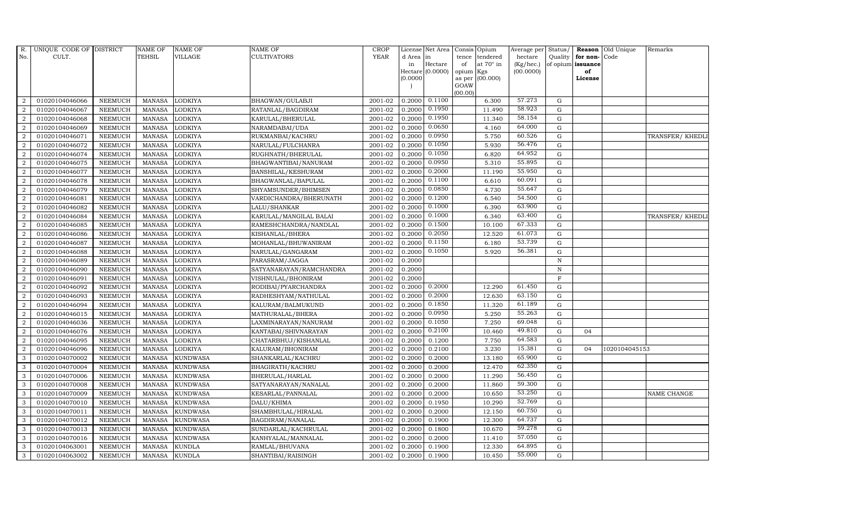| Status/<br><b>YEAR</b><br>No.<br>CULT.<br><b>TEHSIL</b><br>VILLAGE<br>CULTIVATORS<br>hectare<br>Quality<br>for non-Code<br>d Area in<br>tendered<br>tence<br>at $70^\circ$ in<br>$(Kg/$ hec. $)$<br>of opium issuance<br>Hectare<br>in<br>of<br>Hectare (0.0000)<br>(00.0000)<br>opium<br>of<br>Kgs<br>(0.0000)<br>(00.000)<br>as per<br>License<br>GOAW<br>(00.00)<br>57.273<br>0.1100<br>01020104046066<br><b>MANASA</b><br><b>LODKIYA</b><br>BHAGWAN/GULABJI<br>2001-02<br>0.2000<br>6.300<br>G<br>$\overline{2}$<br><b>NEEMUCH</b><br>58.923<br>0.1950<br>11.490<br>$\mathbf G$<br>01020104046067<br><b>NEEMUCH</b><br><b>MANASA</b><br>LODKIYA<br>2001-02<br>0.2000<br>$\overline{2}$<br>RATANLAL/BAGDIRAM<br>0.1950<br>58.154<br>2<br>2001-02<br>0.2000<br>11.340<br>$\mathbf G$<br>01020104046068<br><b>NEEMUCH</b><br><b>MANASA</b><br><b>LODKIYA</b><br>KARULAL/BHERULAL<br>0.0650<br>64.000<br>$\overline{2}$<br>01020104046069<br><b>NEEMUCH</b><br><b>MANASA</b><br><b>LODKIYA</b><br>NARAMDABAI/UDA<br>2001-02<br>0.2000<br>4.160<br>$\mathbf G$<br>0.0950<br>60.526<br>$\overline{2}$<br><b>MANASA</b><br>LODKIYA<br>2001-02<br>0.2000<br>5.750<br>$\mathbf G$<br>01020104046071<br><b>NEEMUCH</b><br>RUKMANBAI/KACHRU<br>0.1050<br>56.476<br>$\overline{2}$<br>2001-02<br>0.2000<br>5.930<br>${\rm G}$<br>01020104046072<br><b>NEEMUCH</b><br><b>MANASA</b><br>LODKIYA<br>NARULAL/FULCHANRA<br>64.952<br>0.1050<br>2001-02<br>0.2000<br>6.820<br>${\rm G}$<br>$\overline{a}$<br>01020104046074<br><b>NEEMUCH</b><br><b>MANASA</b><br>LODKIYA<br>RUGHNATH/BHERULAL<br>0.0950<br>55.895<br>2001-02<br>0.2000<br>5.310<br>$\overline{2}$<br>01020104046075<br><b>NEEMUCH</b><br><b>MANASA</b><br>LODKIYA<br>BHAGWANTIBAI/NANURAM<br>G | <b>Reason</b> Old Unique<br>Remarks |
|---------------------------------------------------------------------------------------------------------------------------------------------------------------------------------------------------------------------------------------------------------------------------------------------------------------------------------------------------------------------------------------------------------------------------------------------------------------------------------------------------------------------------------------------------------------------------------------------------------------------------------------------------------------------------------------------------------------------------------------------------------------------------------------------------------------------------------------------------------------------------------------------------------------------------------------------------------------------------------------------------------------------------------------------------------------------------------------------------------------------------------------------------------------------------------------------------------------------------------------------------------------------------------------------------------------------------------------------------------------------------------------------------------------------------------------------------------------------------------------------------------------------------------------------------------------------------------------------------------------------------------------------------------------------------------------------------------------------------------------------------|-------------------------------------|
|                                                                                                                                                                                                                                                                                                                                                                                                                                                                                                                                                                                                                                                                                                                                                                                                                                                                                                                                                                                                                                                                                                                                                                                                                                                                                                                                                                                                                                                                                                                                                                                                                                                                                                                                                   |                                     |
|                                                                                                                                                                                                                                                                                                                                                                                                                                                                                                                                                                                                                                                                                                                                                                                                                                                                                                                                                                                                                                                                                                                                                                                                                                                                                                                                                                                                                                                                                                                                                                                                                                                                                                                                                   |                                     |
|                                                                                                                                                                                                                                                                                                                                                                                                                                                                                                                                                                                                                                                                                                                                                                                                                                                                                                                                                                                                                                                                                                                                                                                                                                                                                                                                                                                                                                                                                                                                                                                                                                                                                                                                                   |                                     |
|                                                                                                                                                                                                                                                                                                                                                                                                                                                                                                                                                                                                                                                                                                                                                                                                                                                                                                                                                                                                                                                                                                                                                                                                                                                                                                                                                                                                                                                                                                                                                                                                                                                                                                                                                   |                                     |
|                                                                                                                                                                                                                                                                                                                                                                                                                                                                                                                                                                                                                                                                                                                                                                                                                                                                                                                                                                                                                                                                                                                                                                                                                                                                                                                                                                                                                                                                                                                                                                                                                                                                                                                                                   |                                     |
|                                                                                                                                                                                                                                                                                                                                                                                                                                                                                                                                                                                                                                                                                                                                                                                                                                                                                                                                                                                                                                                                                                                                                                                                                                                                                                                                                                                                                                                                                                                                                                                                                                                                                                                                                   |                                     |
|                                                                                                                                                                                                                                                                                                                                                                                                                                                                                                                                                                                                                                                                                                                                                                                                                                                                                                                                                                                                                                                                                                                                                                                                                                                                                                                                                                                                                                                                                                                                                                                                                                                                                                                                                   |                                     |
|                                                                                                                                                                                                                                                                                                                                                                                                                                                                                                                                                                                                                                                                                                                                                                                                                                                                                                                                                                                                                                                                                                                                                                                                                                                                                                                                                                                                                                                                                                                                                                                                                                                                                                                                                   |                                     |
|                                                                                                                                                                                                                                                                                                                                                                                                                                                                                                                                                                                                                                                                                                                                                                                                                                                                                                                                                                                                                                                                                                                                                                                                                                                                                                                                                                                                                                                                                                                                                                                                                                                                                                                                                   |                                     |
|                                                                                                                                                                                                                                                                                                                                                                                                                                                                                                                                                                                                                                                                                                                                                                                                                                                                                                                                                                                                                                                                                                                                                                                                                                                                                                                                                                                                                                                                                                                                                                                                                                                                                                                                                   | TRANSFER/KHEDLI                     |
|                                                                                                                                                                                                                                                                                                                                                                                                                                                                                                                                                                                                                                                                                                                                                                                                                                                                                                                                                                                                                                                                                                                                                                                                                                                                                                                                                                                                                                                                                                                                                                                                                                                                                                                                                   |                                     |
|                                                                                                                                                                                                                                                                                                                                                                                                                                                                                                                                                                                                                                                                                                                                                                                                                                                                                                                                                                                                                                                                                                                                                                                                                                                                                                                                                                                                                                                                                                                                                                                                                                                                                                                                                   |                                     |
|                                                                                                                                                                                                                                                                                                                                                                                                                                                                                                                                                                                                                                                                                                                                                                                                                                                                                                                                                                                                                                                                                                                                                                                                                                                                                                                                                                                                                                                                                                                                                                                                                                                                                                                                                   |                                     |
| 0.2000<br>55.950<br><b>LODKIYA</b><br>2001-02<br>11.190<br>$\overline{2}$<br>01020104046077<br><b>NEEMUCH</b><br><b>MANASA</b><br>BANSHILAL/KESHURAM<br>0.2000<br>$\mathbf G$                                                                                                                                                                                                                                                                                                                                                                                                                                                                                                                                                                                                                                                                                                                                                                                                                                                                                                                                                                                                                                                                                                                                                                                                                                                                                                                                                                                                                                                                                                                                                                     |                                     |
| 0.1100<br>60.091<br>$\overline{2}$<br>01020104046078<br>NEEMUCH<br><b>MANASA</b><br>LODKIYA<br>2001-02<br>0.2000<br>6.610<br>$\mathbf G$<br>BHAGWANLAL/BAPULAL                                                                                                                                                                                                                                                                                                                                                                                                                                                                                                                                                                                                                                                                                                                                                                                                                                                                                                                                                                                                                                                                                                                                                                                                                                                                                                                                                                                                                                                                                                                                                                                    |                                     |
| 0.0850<br>55.647<br>$\overline{2}$<br>2001-02<br>0.2000<br>${\rm G}$<br>01020104046079<br><b>NEEMUCH</b><br><b>MANASA</b><br>LODKIYA<br>4.730<br>SHYAMSUNDER/BHIMSEN                                                                                                                                                                                                                                                                                                                                                                                                                                                                                                                                                                                                                                                                                                                                                                                                                                                                                                                                                                                                                                                                                                                                                                                                                                                                                                                                                                                                                                                                                                                                                                              |                                     |
| 0.1200<br>54.500<br>2001-02<br>0.2000<br>6.540<br>${\rm G}$<br>$\overline{a}$<br>01020104046081<br><b>NEEMUCH</b><br><b>MANASA</b><br>LODKIYA<br>VARDICHANDRA/BHERUNATH                                                                                                                                                                                                                                                                                                                                                                                                                                                                                                                                                                                                                                                                                                                                                                                                                                                                                                                                                                                                                                                                                                                                                                                                                                                                                                                                                                                                                                                                                                                                                                           |                                     |
| 0.1000<br>63.900<br>2<br>2001-02<br>0.2000<br>6.390<br>01020104046082<br><b>NEEMUCH</b><br><b>MANASA</b><br>LODKIYA<br>LALU/SHANKAR<br>G                                                                                                                                                                                                                                                                                                                                                                                                                                                                                                                                                                                                                                                                                                                                                                                                                                                                                                                                                                                                                                                                                                                                                                                                                                                                                                                                                                                                                                                                                                                                                                                                          |                                     |
| 0.1000<br>63.400<br><b>NEEMUCH</b><br><b>MANASA</b><br><b>LODKIYA</b><br>KARULAL/MANGILAL BALAI<br>2001-02<br>0.2000<br>6.340<br>$\mathbf G$<br>$\overline{2}$<br>01020104046084                                                                                                                                                                                                                                                                                                                                                                                                                                                                                                                                                                                                                                                                                                                                                                                                                                                                                                                                                                                                                                                                                                                                                                                                                                                                                                                                                                                                                                                                                                                                                                  | TRANSFER/ KHEDLI                    |
| 67.333<br>0.1500<br>$\overline{2}$<br>01020104046085<br>NEEMUCH<br><b>MANASA</b><br>LODKIYA<br>RAMESHCHANDRA/NANDLAL<br>2001-02<br>0.2000<br>10.100<br>$\mathbf G$                                                                                                                                                                                                                                                                                                                                                                                                                                                                                                                                                                                                                                                                                                                                                                                                                                                                                                                                                                                                                                                                                                                                                                                                                                                                                                                                                                                                                                                                                                                                                                                |                                     |
| 0.2050<br>61.073<br>2<br><b>MANASA</b><br>LODKIYA<br>2001-02<br>0.2000<br>12.520<br>G<br>01020104046086<br><b>NEEMUCH</b><br>KISHANLAL/BHERA                                                                                                                                                                                                                                                                                                                                                                                                                                                                                                                                                                                                                                                                                                                                                                                                                                                                                                                                                                                                                                                                                                                                                                                                                                                                                                                                                                                                                                                                                                                                                                                                      |                                     |
| 53.739<br>0.1150<br>2001-02<br>6.180<br>2<br>01020104046087<br><b>NEEMUCH</b><br><b>MANASA</b><br>LODKIYA<br>MOHANLAL/BHUWANIRAM<br>0.2000<br>G                                                                                                                                                                                                                                                                                                                                                                                                                                                                                                                                                                                                                                                                                                                                                                                                                                                                                                                                                                                                                                                                                                                                                                                                                                                                                                                                                                                                                                                                                                                                                                                                   |                                     |
| 0.1050<br>56.381<br>$\overline{a}$<br>01020104046088<br>2001-02<br>0.2000<br>5.920<br>$\mathbf G$<br><b>NEEMUCH</b><br><b>MANASA</b><br>LODKIYA<br>NARULAL/GANGARAM                                                                                                                                                                                                                                                                                                                                                                                                                                                                                                                                                                                                                                                                                                                                                                                                                                                                                                                                                                                                                                                                                                                                                                                                                                                                                                                                                                                                                                                                                                                                                                               |                                     |
| $\overline{2}$<br>01020104046089<br><b>MANASA</b><br><b>LODKIYA</b><br>2001-02<br>0.2000<br>${\bf N}$<br><b>NEEMUCH</b><br>PARASRAM/JAGGA                                                                                                                                                                                                                                                                                                                                                                                                                                                                                                                                                                                                                                                                                                                                                                                                                                                                                                                                                                                                                                                                                                                                                                                                                                                                                                                                                                                                                                                                                                                                                                                                         |                                     |
| $\overline{2}$<br>01020104046090<br>NEEMUCH<br><b>MANASA</b><br>LODKIYA<br>2001-02<br>0.2000<br>$\, {\rm N}$<br>SATYANARAYAN/RAMCHANDRA                                                                                                                                                                                                                                                                                                                                                                                                                                                                                                                                                                                                                                                                                                                                                                                                                                                                                                                                                                                                                                                                                                                                                                                                                                                                                                                                                                                                                                                                                                                                                                                                           |                                     |
| $\mathbf F$<br>2<br>NEEMUCH<br><b>MANASA</b><br>2001-02<br>0.2000<br>01020104046091<br>LODKIYA<br>VISHNULAL/BHONIRAM                                                                                                                                                                                                                                                                                                                                                                                                                                                                                                                                                                                                                                                                                                                                                                                                                                                                                                                                                                                                                                                                                                                                                                                                                                                                                                                                                                                                                                                                                                                                                                                                                              |                                     |
| 0.2000<br>61.450<br>0.2000<br>12.290<br>2<br>01020104046092<br><b>NEEMUCH</b><br><b>MANASA</b><br>LODKIYA<br>RODIBAI/PYARCHANDRA<br>2001-02<br>G                                                                                                                                                                                                                                                                                                                                                                                                                                                                                                                                                                                                                                                                                                                                                                                                                                                                                                                                                                                                                                                                                                                                                                                                                                                                                                                                                                                                                                                                                                                                                                                                  |                                     |
| 0.2000<br>63.150<br>$\overline{a}$<br>01020104046093<br>NEEMUCH<br>2001-02<br>0.2000<br>12.630<br>$\mathbf G$<br><b>MANASA</b><br>LODKIYA<br>RADHESHYAM/NATHULAL                                                                                                                                                                                                                                                                                                                                                                                                                                                                                                                                                                                                                                                                                                                                                                                                                                                                                                                                                                                                                                                                                                                                                                                                                                                                                                                                                                                                                                                                                                                                                                                  |                                     |
| 0.1850<br>61.189<br>$\mathbf G$<br>2<br>01020104046094<br><b>NEEMUCH</b><br><b>MANASA</b><br>LODKIYA<br>2001-02<br>0.2000<br>11.320<br>KALURAM/BALMUKUND                                                                                                                                                                                                                                                                                                                                                                                                                                                                                                                                                                                                                                                                                                                                                                                                                                                                                                                                                                                                                                                                                                                                                                                                                                                                                                                                                                                                                                                                                                                                                                                          |                                     |
| 0.0950<br>55.263<br>$\overline{2}$<br>01020104046015<br><b>NEEMUCH</b><br><b>MANASA</b><br>LODKIYA<br>MATHURALAL/BHERA<br>2001-02<br>0.2000<br>5.250<br>$\mathbf G$                                                                                                                                                                                                                                                                                                                                                                                                                                                                                                                                                                                                                                                                                                                                                                                                                                                                                                                                                                                                                                                                                                                                                                                                                                                                                                                                                                                                                                                                                                                                                                               |                                     |
| 0.1050<br>69.048<br>2001-02<br>0.2000<br>7.250<br>G<br>$\overline{2}$<br>01020104046036<br><b>NEEMUCH</b><br><b>MANASA</b><br>LODKIYA<br>LAXMINARAYAN/NANURAM                                                                                                                                                                                                                                                                                                                                                                                                                                                                                                                                                                                                                                                                                                                                                                                                                                                                                                                                                                                                                                                                                                                                                                                                                                                                                                                                                                                                                                                                                                                                                                                     |                                     |
| 0.2100<br>49.810<br>$\overline{2}$<br>01020104046076<br><b>MANASA</b><br>LODKIYA<br>2001-02<br>0.2000<br>10.460<br>${\rm G}$<br><b>NEEMUCH</b><br>KANTABAI/SHIVNARAYAN<br>04                                                                                                                                                                                                                                                                                                                                                                                                                                                                                                                                                                                                                                                                                                                                                                                                                                                                                                                                                                                                                                                                                                                                                                                                                                                                                                                                                                                                                                                                                                                                                                      |                                     |
| 64.583<br>7.750<br>$\overline{a}$<br>01020104046095<br>NEEMUCH<br>2001-02<br>0.2000<br>0.1200<br>G<br><b>MANASA</b><br>LODKIYA<br>CHATARBHUJ/KISHANLAL                                                                                                                                                                                                                                                                                                                                                                                                                                                                                                                                                                                                                                                                                                                                                                                                                                                                                                                                                                                                                                                                                                                                                                                                                                                                                                                                                                                                                                                                                                                                                                                            |                                     |
| 15.381<br>$\mathbf G$<br>01020104046096<br><b>MANASA</b><br><b>LODKIYA</b><br>2001-02<br>0.2000<br>0.2100<br>3.230<br>1020104045153<br>$\overline{2}$<br><b>NEEMUCH</b><br>KALURAM/BHONIRAM<br>04                                                                                                                                                                                                                                                                                                                                                                                                                                                                                                                                                                                                                                                                                                                                                                                                                                                                                                                                                                                                                                                                                                                                                                                                                                                                                                                                                                                                                                                                                                                                                 |                                     |
| 65.900<br>3<br><b>KUNDWASA</b><br>13.180<br>$\mathbf G$<br>01020104070002<br><b>NEEMUCH</b><br><b>MANASA</b><br>SHANKARLAL/KACHRU<br>2001-02<br>0.2000<br>0.2000                                                                                                                                                                                                                                                                                                                                                                                                                                                                                                                                                                                                                                                                                                                                                                                                                                                                                                                                                                                                                                                                                                                                                                                                                                                                                                                                                                                                                                                                                                                                                                                  |                                     |
| 62.350<br>3<br><b>KUNDWASA</b><br>2001-02<br>0.2000<br>0.2000<br>12.470<br>G<br>01020104070004<br><b>NEEMUCH</b><br><b>MANASA</b><br>BHAGIRATH/KACHRU                                                                                                                                                                                                                                                                                                                                                                                                                                                                                                                                                                                                                                                                                                                                                                                                                                                                                                                                                                                                                                                                                                                                                                                                                                                                                                                                                                                                                                                                                                                                                                                             |                                     |
| 56.450<br>01020104070006<br><b>NEEMUCH</b><br><b>MANASA</b><br><b>KUNDWASA</b><br>2001-02<br>0.2000<br>0.2000<br>11.290<br>${\rm G}$<br>3<br>BHERULAL/HARLAL                                                                                                                                                                                                                                                                                                                                                                                                                                                                                                                                                                                                                                                                                                                                                                                                                                                                                                                                                                                                                                                                                                                                                                                                                                                                                                                                                                                                                                                                                                                                                                                      |                                     |
| 59.300<br>11.860<br>3<br>01020104070008<br><b>NEEMUCH</b><br><b>MANASA</b><br><b>KUNDWASA</b><br>2001-02<br>0.2000<br>0.2000<br>G<br>SATYANARAYAN/NANALAL                                                                                                                                                                                                                                                                                                                                                                                                                                                                                                                                                                                                                                                                                                                                                                                                                                                                                                                                                                                                                                                                                                                                                                                                                                                                                                                                                                                                                                                                                                                                                                                         |                                     |
| 53.250<br>2001-02<br>10.650<br>$\mathbf G$<br>01020104070009<br><b>MANASA</b><br><b>KUNDWASA</b><br>0.2000<br>0.2000<br>3<br><b>NEEMUCH</b><br>KESARLAL/PANNALAL                                                                                                                                                                                                                                                                                                                                                                                                                                                                                                                                                                                                                                                                                                                                                                                                                                                                                                                                                                                                                                                                                                                                                                                                                                                                                                                                                                                                                                                                                                                                                                                  | <b>NAME CHANGE</b>                  |
| 52.769<br>3<br>01020104070010<br><b>NEEMUCH</b><br><b>MANASA</b><br><b>KUNDWASA</b><br>DALU/KHIMA<br>2001-02<br>0.2000<br>0.1950<br>10.290<br>$\mathbf G$                                                                                                                                                                                                                                                                                                                                                                                                                                                                                                                                                                                                                                                                                                                                                                                                                                                                                                                                                                                                                                                                                                                                                                                                                                                                                                                                                                                                                                                                                                                                                                                         |                                     |
| 60.750<br>${\rm G}$<br>3<br>2001-02<br>0.2000<br>0.2000<br>12.150<br>01020104070011<br><b>NEEMUCH</b><br><b>MANASA</b><br><b>KUNDWASA</b><br>SHAMBHULAL/HIRALAL                                                                                                                                                                                                                                                                                                                                                                                                                                                                                                                                                                                                                                                                                                                                                                                                                                                                                                                                                                                                                                                                                                                                                                                                                                                                                                                                                                                                                                                                                                                                                                                   |                                     |
| 64.737<br>01020104070012<br><b>MANASA</b><br><b>KUNDWASA</b><br>BAGDIRAM/NANALAL<br>2001-02<br>0.2000<br>0.1900<br>12.300<br>G<br>3<br><b>NEEMUCH</b>                                                                                                                                                                                                                                                                                                                                                                                                                                                                                                                                                                                                                                                                                                                                                                                                                                                                                                                                                                                                                                                                                                                                                                                                                                                                                                                                                                                                                                                                                                                                                                                             |                                     |
| 59.278<br>${\rm G}$<br>3<br>01020104070013<br><b>NEEMUCH</b><br><b>MANASA</b><br><b>KUNDWASA</b><br>2001-02<br>0.2000<br>0.1800<br>10.670<br>SUNDARLAL/KACHRULAL                                                                                                                                                                                                                                                                                                                                                                                                                                                                                                                                                                                                                                                                                                                                                                                                                                                                                                                                                                                                                                                                                                                                                                                                                                                                                                                                                                                                                                                                                                                                                                                  |                                     |
| 57.050<br>$\mathbf G$<br>3<br>01020104070016<br><b>MANASA</b><br><b>KUNDWASA</b><br>2001-02<br>0.2000<br>0.2000<br>11.410<br><b>NEEMUCH</b><br>KANHYALAL/MANNALAL                                                                                                                                                                                                                                                                                                                                                                                                                                                                                                                                                                                                                                                                                                                                                                                                                                                                                                                                                                                                                                                                                                                                                                                                                                                                                                                                                                                                                                                                                                                                                                                 |                                     |
| 64.895<br>3<br>01020104063001<br><b>NEEMUCH</b><br><b>MANASA</b><br><b>KUNDLA</b><br>RAMLAL/BHUVANA<br>2001-02<br>0.2000<br>0.1900<br>12.330<br>G                                                                                                                                                                                                                                                                                                                                                                                                                                                                                                                                                                                                                                                                                                                                                                                                                                                                                                                                                                                                                                                                                                                                                                                                                                                                                                                                                                                                                                                                                                                                                                                                 |                                     |
| 55.000<br>2001-02<br>0.2000<br>0.1900<br>10.450<br>3<br>01020104063002<br><b>NEEMUCH</b><br>MANASA<br><b>KUNDLA</b><br>SHANTIBAI/RAISINGH<br>G                                                                                                                                                                                                                                                                                                                                                                                                                                                                                                                                                                                                                                                                                                                                                                                                                                                                                                                                                                                                                                                                                                                                                                                                                                                                                                                                                                                                                                                                                                                                                                                                    |                                     |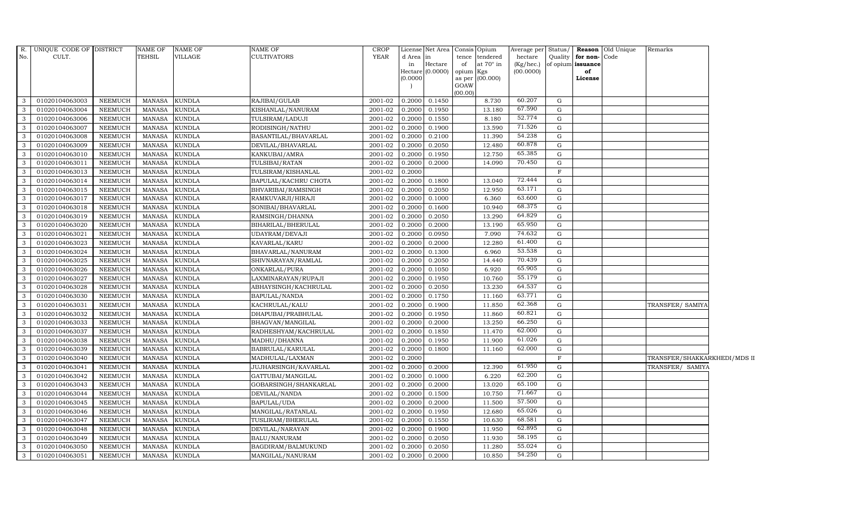|                | R. UNIQUE CODE OF DISTRICT |                | <b>NAME OF</b> | <b>NAME OF</b> | <b>NAME OF</b>        | <b>CROP</b> |           | License Net Area Consis Opium |           |                 | Average per Status/ |             |                      | <b>Reason</b> Old Unique | Remarks                      |  |
|----------------|----------------------------|----------------|----------------|----------------|-----------------------|-------------|-----------|-------------------------------|-----------|-----------------|---------------------|-------------|----------------------|--------------------------|------------------------------|--|
| No.            | CULT.                      |                | TEHSIL         | VILLAGE        | <b>CULTIVATORS</b>    | <b>YEAR</b> | d Area in |                               |           | tence tendered  | hectare             |             | Quality for non-Code |                          |                              |  |
|                |                            |                |                |                |                       |             | in        | Hectare                       | of        | at 70° in       | $(Kg/$ hec.)        |             | of opium issuance    |                          |                              |  |
|                |                            |                |                |                |                       |             | (0.0000)  | Hectare (0.0000)              | opium Kgs | as per (00.000) | (00.0000)           |             | of<br>License        |                          |                              |  |
|                |                            |                |                |                |                       |             |           |                               | GOAW      |                 |                     |             |                      |                          |                              |  |
|                |                            |                |                |                |                       |             |           |                               | (00.00)   |                 |                     |             |                      |                          |                              |  |
| 3              | 01020104063003             | NEEMUCH        | MANASA         | <b>KUNDLA</b>  | RAJIBAI/GULAB         | 2001-02     | 0.2000    | 0.1450                        |           | 8.730           | 60.207              | G           |                      |                          |                              |  |
| 3              | 01020104063004             | <b>NEEMUCH</b> | <b>MANASA</b>  | <b>KUNDLA</b>  | KISHANLAL/NANURAM     | 2001-02     | 0.2000    | 0.1950                        |           | 13.180          | 67.590              | G           |                      |                          |                              |  |
| 3              | 01020104063006             | <b>NEEMUCH</b> | <b>MANASA</b>  | KUNDLA         | TULSIRAM/LADUJI       | 2001-02     | 0.2000    | 0.1550                        |           | 8.180           | 52.774              | G           |                      |                          |                              |  |
| 3              | 01020104063007             | <b>NEEMUCH</b> | <b>MANASA</b>  | <b>KUNDLA</b>  | RODISINGH/NATHU       | 2001-02     | 0.2000    | 0.1900                        |           | 13.590          | 71.526              | G           |                      |                          |                              |  |
| 3              | 01020104063008             | <b>NEEMUCH</b> | <b>MANASA</b>  | <b>KUNDLA</b>  | BASANTILAL/BHAVARLAL  | 2001-02     | 0.2000    | 0.2100                        |           | 11.390          | 54.238              | G           |                      |                          |                              |  |
| $\mathbf{3}$   | 01020104063009             | NEEMUCH        | <b>MANASA</b>  | <b>KUNDLA</b>  | DEVILAL/BHAVARLAL     | 2001-02     | 0.2000    | 0.2050                        |           | 12.480          | 60.878              | G           |                      |                          |                              |  |
| $\mathbf{3}$   | 01020104063010             | <b>NEEMUCH</b> | <b>MANASA</b>  | <b>KUNDLA</b>  | KANKUBAI/AMRA         | 2001-02     | 0.2000    | 0.1950                        |           | 12.750          | 65.385              | $\mathbf G$ |                      |                          |                              |  |
| 3              | 01020104063011             | <b>NEEMUCH</b> | <b>MANASA</b>  | <b>KUNDLA</b>  | TULSIBAI/RATAN        | 2001-02     | 0.2000    | 0.2000                        |           | 14.090          | 70.450              | G           |                      |                          |                              |  |
| 3              | 01020104063013             | <b>NEEMUCH</b> | <b>MANASA</b>  | <b>KUNDLA</b>  | TULSIRAM/KISHANLAL    | 2001-02     | 0.2000    |                               |           |                 |                     | F           |                      |                          |                              |  |
| 3              | 01020104063014             | <b>NEEMUCH</b> | <b>MANASA</b>  | <b>KUNDLA</b>  | BAPULAL/KACHRU CHOTA  | 2001-02     | 0.2000    | 0.1800                        |           | 13.040          | 72.444              | G           |                      |                          |                              |  |
| $\mathbf{3}$   | 01020104063015             | <b>NEEMUCH</b> | <b>MANASA</b>  | <b>KUNDLA</b>  | BHVARIBAI/RAMSINGH    | 2001-02     | 0.2000    | 0.2050                        |           | 12.950          | 63.171              | G           |                      |                          |                              |  |
| 3              | 01020104063017             | <b>NEEMUCH</b> | <b>MANASA</b>  | <b>KUNDLA</b>  | RAMKUVARJI/HIRAJI     | 2001-02     | 0.2000    | 0.1000                        |           | 6.360           | 63.600              | G           |                      |                          |                              |  |
| 3              | 01020104063018             | <b>NEEMUCH</b> | <b>MANASA</b>  | <b>KUNDLA</b>  | SONIBAI/BHAVARLAL     | 2001-02     | 0.2000    | 0.1600                        |           | 10.940          | 68.375              | G           |                      |                          |                              |  |
| 3              | 01020104063019             | <b>NEEMUCH</b> | <b>MANASA</b>  | <b>KUNDLA</b>  | RAMSINGH/DHANNA       | 2001-02     | 0.2000    | 0.2050                        |           | 13.290          | 64.829              | G           |                      |                          |                              |  |
| 3              | 01020104063020             | <b>NEEMUCH</b> | <b>MANASA</b>  | <b>KUNDLA</b>  | BIHARILAL/BHERULAL    | 2001-02     | 0.2000    | 0.2000                        |           | 13.190          | 65.950              | G           |                      |                          |                              |  |
| 3              | 01020104063021             | NEEMUCH        | <b>MANASA</b>  | <b>KUNDLA</b>  | UDAYRAM/DEVAJI        | 2001-02     | 0.2000    | 0.0950                        |           | 7.090           | 74.632              | G           |                      |                          |                              |  |
| 3              | 01020104063023             | <b>NEEMUCH</b> | <b>MANASA</b>  | <b>KUNDLA</b>  | KAVARLAL/KARU         | $2001 - 02$ | 0.2000    | 0.2000                        |           | 12.280          | 61.400              | G           |                      |                          |                              |  |
| $\mathbf{3}$   | 01020104063024             | <b>NEEMUCH</b> | <b>MANASA</b>  | <b>KUNDLA</b>  | BHAVARLAL/NANURAM     | 2001-02     | 0.2000    | 0.1300                        |           | 6.960           | 53.538              | G           |                      |                          |                              |  |
| 3              | 01020104063025             | <b>NEEMUCH</b> | <b>MANASA</b>  | <b>KUNDLA</b>  | SHIVNARAYAN/RAMLAL    | 2001-02     | 0.2000    | 0.2050                        |           | 14.440          | 70.439              | G           |                      |                          |                              |  |
| $\mathcal{E}$  | 01020104063026             | <b>NEEMUCH</b> | <b>MANASA</b>  | <b>KUNDLA</b>  | ONKARLAL/PURA         | 2001-02     | 0.2000    | 0.1050                        |           | 6.920           | 65.905              | G           |                      |                          |                              |  |
| 3              | 01020104063027             | <b>NEEMUCH</b> | <b>MANASA</b>  | <b>KUNDLA</b>  | LAXMINARAYAN/RUPAJI   | 2001-02     | 0.2000    | 0.1950                        |           | 10.760          | 55.179              | G           |                      |                          |                              |  |
| 3              | 01020104063028             | <b>NEEMUCH</b> | <b>MANASA</b>  | <b>KUNDLA</b>  | ABHAYSINGH/KACHRULAL  | 2001-02     | 0.2000    | 0.2050                        |           | 13.230          | 64.537              | G           |                      |                          |                              |  |
| 3              | 01020104063030             | <b>NEEMUCH</b> | <b>MANASA</b>  | <b>KUNDLA</b>  | BAPULAL/NANDA         | 2001-02     | 0.2000    | 0.1750                        |           | 11.160          | 63.771              | G           |                      |                          |                              |  |
| 3              | 01020104063031             | <b>NEEMUCH</b> | <b>MANASA</b>  | <b>KUNDLA</b>  | KACHRULAL/KALU        | 2001-02     | 0.2000    | 0.1900                        |           | 11.850          | 62.368              | G           |                      |                          | TRANSFER/ SAMIYA             |  |
| $\overline{3}$ | 01020104063032             | <b>NEEMUCH</b> | <b>MANASA</b>  | <b>KUNDLA</b>  | DHAPUBAI/PRABHULAL    | 2001-02     | 0.2000    | 0.1950                        |           | 11.860          | 60.821              | G           |                      |                          |                              |  |
| 3              | 01020104063033             | NEEMUCH        | <b>MANASA</b>  | <b>KUNDLA</b>  | BHAGVAN/MANGILAL      | 2001-02     | 0.2000    | 0.2000                        |           | 13.250          | 66.250              | G           |                      |                          |                              |  |
| 3              | 01020104063037             | <b>NEEMUCH</b> | <b>MANASA</b>  | <b>KUNDLA</b>  | RADHESHYAM/KACHRULAL  | 2001-02     | 0.2000    | 0.1850                        |           | 11.470          | 62.000              | G           |                      |                          |                              |  |
| $\mathbf{3}$   | 01020104063038             | <b>NEEMUCH</b> | <b>MANASA</b>  | <b>KUNDLA</b>  | MADHU/DHANNA          | 2001-02     | 0.2000    | 0.1950                        |           | 11.900          | 61.026              | G           |                      |                          |                              |  |
| 3              | 01020104063039             | <b>NEEMUCH</b> | <b>MANASA</b>  | <b>KUNDLA</b>  | BABRULAL/KARULAL      | 2001-02     | 0.2000    | 0.1800                        |           | 11.160          | 62.000              | G           |                      |                          |                              |  |
| $\mathbf{3}$   | 01020104063040             | <b>NEEMUCH</b> | <b>MANASA</b>  | <b>KUNDLA</b>  | MADHULAL/LAXMAN       | 2001-02     | 0.2000    |                               |           |                 |                     | $\mathbf F$ |                      |                          | TRANSFER/SHAKKARKHEDI/MDS II |  |
| 3              | 01020104063041             | <b>NEEMUCH</b> | <b>MANASA</b>  | <b>KUNDLA</b>  | JUJHARSINGH/KAVARLAL  | 2001-02     | 0.2000    | 0.2000                        |           | 12.390          | 61.950              | G           |                      |                          | TRANSFER/ SAMIYA             |  |
| 3              | 01020104063042             | <b>NEEMUCH</b> | <b>MANASA</b>  | <b>KUNDLA</b>  | GATTUBAI/MANGILAL     | 2001-02     | 0.2000    | 0.1000                        |           | 6.220           | 62.200              | G           |                      |                          |                              |  |
| $\mathbf{3}$   | 01020104063043             | <b>NEEMUCH</b> | <b>MANASA</b>  | <b>KUNDLA</b>  | GOBARSINGH/SHANKARLAL | 2001-02     | 0.2000    | 0.2000                        |           | 13.020          | 65.100              | G           |                      |                          |                              |  |
| 3              | 01020104063044             | <b>NEEMUCH</b> | <b>MANASA</b>  | <b>KUNDLA</b>  | DEVILAL/NANDA         | 2001-02     | 0.2000    | 0.1500                        |           | 10.750          | 71.667              | G           |                      |                          |                              |  |
| $\mathbf{3}$   | 01020104063045             | <b>NEEMUCH</b> | <b>MANASA</b>  | <b>KUNDLA</b>  | BAPULAL/UDA           | 2001-02     | 0.2000    | 0.2000                        |           | 11.500          | 57.500              | G           |                      |                          |                              |  |
| 3              | 01020104063046             | <b>NEEMUCH</b> | <b>MANASA</b>  | <b>KUNDLA</b>  | MANGILAL/RATANLAL     | 2001-02     | 0.2000    | 0.1950                        |           | 12.680          | 65.026              | G           |                      |                          |                              |  |
| 3              | 01020104063047             | <b>NEEMUCH</b> | <b>MANASA</b>  | <b>KUNDLA</b>  | TUSLIRAM/BHERULAL     | 2001-02     | 0.2000    | 0.1550                        |           | 10.630          | 68.581              | G           |                      |                          |                              |  |
| $\mathbf{3}$   | 01020104063048             | <b>NEEMUCH</b> | <b>MANASA</b>  | <b>KUNDLA</b>  | DEVILAL/NARAYAN       | 2001-02     | 0.2000    | 0.1900                        |           | 11.950          | 62.895              | G           |                      |                          |                              |  |
| 3              | 01020104063049             | <b>NEEMUCH</b> | <b>MANASA</b>  | <b>KUNDLA</b>  | BALU/NANURAM          | 2001-02     | 0.2000    | 0.2050                        |           | 11.930          | 58.195              | G           |                      |                          |                              |  |
| $\mathbf{3}$   | 01020104063050             | NEEMUCH        | <b>MANASA</b>  | <b>KUNDLA</b>  | BAGDIRAM/BALMUKUND    | 2001-02     | 0.2000    | 0.2050                        |           | 11.280          | 55.024              | G           |                      |                          |                              |  |
| 3              | 01020104063051             | <b>NEEMUCH</b> | <b>MANASA</b>  | <b>KUNDLA</b>  | MANGILAL/NANURAM      | 2001-02     | 0.2000    | 0.2000                        |           | 10.850          | 54.250              | $\mathbf G$ |                      |                          |                              |  |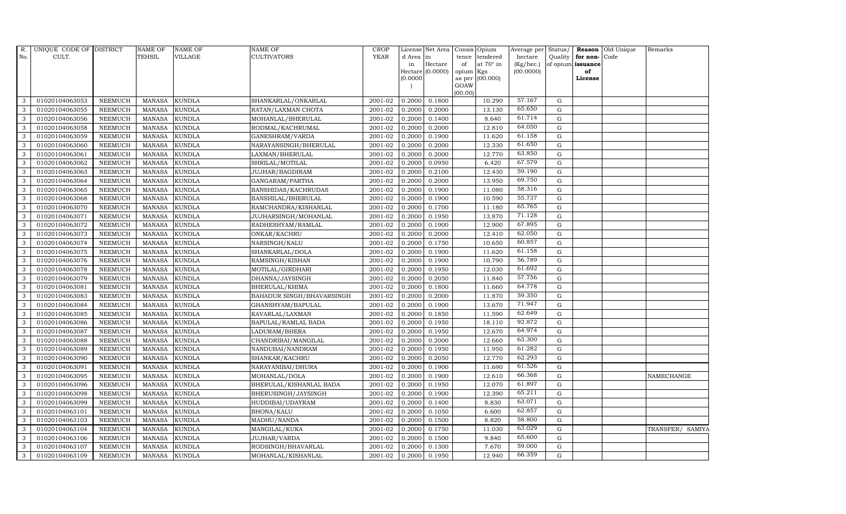| R.            | UNIQUE CODE OF DISTRICT |                | <b>NAME OF</b> | <b>NAME OF</b> | <b>NAME OF</b>              | CROP        |           | License Net Area |                     | Consis Opium     | Average per     | Status/     | Reason            | Old Unique | Remarks          |
|---------------|-------------------------|----------------|----------------|----------------|-----------------------------|-------------|-----------|------------------|---------------------|------------------|-----------------|-------------|-------------------|------------|------------------|
| No.           | CULT.                   |                | <b>TEHSIL</b>  | VILLAGE        | <b>CULTIVATORS</b>          | <b>YEAR</b> | d Area in |                  | tence               | tendered         | hectare         | Quality     | for non-          | Code       |                  |
|               |                         |                |                |                |                             |             | in        | Hectare          | of                  | at $70^\circ$ in | $(Kg/$ hec. $)$ |             | of opium issuance |            |                  |
|               |                         |                |                |                |                             |             | (0.0000)  | Hectare (0.0000) | opium Kgs<br>as per | (00.000)         | (00.0000)       |             | of<br>License     |            |                  |
|               |                         |                |                |                |                             |             |           |                  | GOAW                |                  |                 |             |                   |            |                  |
|               |                         |                |                |                |                             |             |           |                  | (00.00)             |                  |                 |             |                   |            |                  |
| 3             | 01020104063053          | <b>NEEMUCH</b> | <b>MANASA</b>  | <b>KUNDLA</b>  | SHANKARLAL/ONKARLAL         | 2001-02     | 0.2000    | 0.1800           |                     | 10.290           | 57.167          | ${\rm G}$   |                   |            |                  |
| 3             | 01020104063055          | <b>NEEMUCH</b> | <b>MANASA</b>  | <b>KUNDLA</b>  | RATAN/LAXMAN CHOTA          | 2001-02     | 0.2000    | 0.2000           |                     | 13.130           | 65.650          | ${\rm G}$   |                   |            |                  |
| 3             | 01020104063056          | <b>NEEMUCH</b> | <b>MANASA</b>  | <b>KUNDLA</b>  | MOHANLAL/BHERULAL           | 2001-02     | 0.2000    | 0.1400           |                     | 8.640            | 61.714          | $\mathbf G$ |                   |            |                  |
| 3             | 01020104063058          | <b>NEEMUCH</b> | <b>MANASA</b>  | <b>KUNDLA</b>  | RODMAL/KACHRUMAL            | 2001-02     | 0.2000    | 0.2000           |                     | 12.810           | 64.050          | $\mathbf G$ |                   |            |                  |
| 3             | 01020104063059          | <b>NEEMUCH</b> | <b>MANASA</b>  | <b>KUNDLA</b>  | GANESHRAM/VARDA             | 2001-02     | 0.2000    | 0.1900           |                     | 11.620           | 61.158          | G           |                   |            |                  |
| 3             | 01020104063060          | <b>NEEMUCH</b> | <b>MANASA</b>  | <b>KUNDLA</b>  | NARAYANSINGH/BHERULAL       | 2001-02     | 0.2000    | 0.2000           |                     | 12.330           | 61.650          | ${\rm G}$   |                   |            |                  |
| 3             | 01020104063061          | <b>NEEMUCH</b> | <b>MANASA</b>  | <b>KUNDLA</b>  | LAXMAN/BHERULAL             | 2001-02     | 0.2000    | 0.2000           |                     | 12.770           | 63.850          | ${\rm G}$   |                   |            |                  |
| 3             | 01020104063062          | <b>NEEMUCH</b> | <b>MANASA</b>  | <b>KUNDLA</b>  | SHRILAL/MOTILAL             | 2001-02     | 0.2000    | 0.0950           |                     | 6.420            | 67.579          | G           |                   |            |                  |
| 3             | 01020104063063          | <b>NEEMUCH</b> | <b>MANASA</b>  | <b>KUNDLA</b>  | <b>JUJHAR/BAGDIRAM</b>      | 2001-02     | 0.2000    | 0.2100           |                     | 12.430           | 59.190          | $\mathbf G$ |                   |            |                  |
| 3             | 01020104063064          | NEEMUCH        | <b>MANASA</b>  | <b>KUNDLA</b>  | GANGARAM/PARTHA             | 2001-02     | 0.2000    | 0.2000           |                     | 13.950           | 69.750          | $\mathbf G$ |                   |            |                  |
| 3             | 01020104063065          | <b>NEEMUCH</b> | <b>MANASA</b>  | <b>KUNDLA</b>  | BANSHIDAS/KACHRUDAS         | 2001-02     | 0.2000    | 0.1900           |                     | 11.080           | 58.316          | ${\rm G}$   |                   |            |                  |
| 3             | 01020104063068          | NEEMUCH        | <b>MANASA</b>  | <b>KUNDLA</b>  | BANSHILAL/BHERULAL          | 2001-02     | 0.2000    | 0.1900           |                     | 10.590           | 55.737          | ${\bf G}$   |                   |            |                  |
| 3             | 01020104063070          | <b>NEEMUCH</b> | <b>MANASA</b>  | <b>KUNDLA</b>  | RAMCHANDRA/KISHANLAL        | 2001-02     | 0.2000    | 0.1700           |                     | 11.180           | 65.765          | $\mathbf G$ |                   |            |                  |
| 3             | 01020104063071          | <b>NEEMUCH</b> | <b>MANASA</b>  | <b>KUNDLA</b>  | <b>JUJHARSINGH/MOHANLAL</b> | 2001-02     | 0.2000    | 0.1950           |                     | 13.870           | 71.128          | $\mathbf G$ |                   |            |                  |
| 3             | 01020104063072          | NEEMUCH        | <b>MANASA</b>  | <b>KUNDLA</b>  | RADHESHYAM/RAMLAL           | 2001-02     | 0.2000    | 0.1900           |                     | 12.900           | 67.895          | $\mathbf G$ |                   |            |                  |
| 3             | 01020104063073          | <b>NEEMUCH</b> | <b>MANASA</b>  | <b>KUNDLA</b>  | ONKAR/KACHRU                | 2001-02     | 0.2000    | 0.2000           |                     | 12.410           | 62.050          | ${\rm G}$   |                   |            |                  |
| 3             | 01020104063074          | <b>NEEMUCH</b> | <b>MANASA</b>  | <b>KUNDLA</b>  | NARSINGH/KALU               | 2001-02     | 0.2000    | 0.1750           |                     | 10.650           | 60.857          | ${\rm G}$   |                   |            |                  |
| 3             | 01020104063075          | <b>NEEMUCH</b> | <b>MANASA</b>  | <b>KUNDLA</b>  | SHANKARLAL/DOLA             | $2001 - 02$ | 0.2000    | 0.1900           |                     | 11.620           | 61.158          | ${\rm G}$   |                   |            |                  |
| 3             | 01020104063076          | <b>NEEMUCH</b> | <b>MANASA</b>  | <b>KUNDLA</b>  | RAMSINGH/KISHAN             | 2001-02     | 0.2000    | 0.1900           |                     | 10.790           | 56.789          | $\mathbf G$ |                   |            |                  |
| $\mathcal{E}$ | 01020104063078          | <b>NEEMUCH</b> | <b>MANASA</b>  | <b>KUNDLA</b>  | MOTILAL/GIRDHARI            | 2001-02     | 0.2000    | 0.1950           |                     | 12.030           | 61.692          | $\mathbf G$ |                   |            |                  |
| 3             | 01020104063079          | <b>NEEMUCH</b> | <b>MANASA</b>  | <b>KUNDLA</b>  | DHANNA/JAYSINGH             | 2001-02     | 0.2000    | 0.2050           |                     | 11.840           | 57.756          | $\mathbf G$ |                   |            |                  |
| 3             | 01020104063081          | <b>NEEMUCH</b> | <b>MANASA</b>  | <b>KUNDLA</b>  | BHERULAL/KHIMA              | 2001-02     | 0.2000    | 0.1800           |                     | 11.660           | 64.778          | ${\rm G}$   |                   |            |                  |
| 3             | 01020104063083          | NEEMUCH        | <b>MANASA</b>  | <b>KUNDLA</b>  | BAHADUR SINGH/BHAVARSINGH   | 2001-02     | 0.2000    | 0.2000           |                     | 11.870           | 59.350          | ${\rm G}$   |                   |            |                  |
| 3             | 01020104063084          | <b>NEEMUCH</b> | <b>MANASA</b>  | <b>KUNDLA</b>  | GHANSHYAM/BAPULAL           | 2001-02     | 0.2000    | 0.1900           |                     | 13.670           | 71.947          | $\mathbf G$ |                   |            |                  |
| 3             | 01020104063085          | <b>NEEMUCH</b> | <b>MANASA</b>  | <b>KUNDLA</b>  | KAVARLAL/LAXMAN             | 2001-02     | 0.2000    | 0.1850           |                     | 11.590           | 62.649          | $\mathbf G$ |                   |            |                  |
| 3             | 01020104063086          | <b>NEEMUCH</b> | <b>MANASA</b>  | <b>KUNDLA</b>  | BAPULAL/RAMLAL BADA         | 2001-02     | 0.2000    | 0.1950           |                     | 18.110           | 92.872          | ${\rm G}$   |                   |            |                  |
| 3             | 01020104063087          | <b>NEEMUCH</b> | <b>MANASA</b>  | <b>KUNDLA</b>  | LADURAM/BHERA               | 2001-02     | 0.2000    | 0.1950           |                     | 12.670           | 64.974          | $\mathbf G$ |                   |            |                  |
| 3             | 01020104063088          | NEEMUCH        | <b>MANASA</b>  | <b>KUNDLA</b>  | CHANDRIBAI/MANGILAL         | 2001-02     | 0.2000    | 0.2000           |                     | 12.660           | 63.300          | ${\rm G}$   |                   |            |                  |
| 3             | 01020104063089          | <b>NEEMUCH</b> | <b>MANASA</b>  | <b>KUNDLA</b>  | NANDUBAI/NANDRAM            | 2001-02     | 0.2000    | 0.1950           |                     | 11.950           | 61.282          | $\mathbf G$ |                   |            |                  |
| 3             | 01020104063090          | <b>NEEMUCH</b> | <b>MANASA</b>  | <b>KUNDLA</b>  | SHANKAR/KACHRU              | 2001-02     | 0.2000    | 0.2050           |                     | 12.770           | 62.293          | $\mathbf G$ |                   |            |                  |
| 3             | 01020104063091          | <b>NEEMUCH</b> | <b>MANASA</b>  | <b>KUNDLA</b>  | NARAYANIBAI/DHURA           | 2001-02     | 0.2000    | 0.1900           |                     | 11.690           | 61.526          | G           |                   |            |                  |
| 3             | 01020104063095          | <b>NEEMUCH</b> | <b>MANASA</b>  | <b>KUNDLA</b>  | MOHANLAL/DOLA               | 2001-02     | 0.2000    | 0.1900           |                     | 12.610           | 66.368          | ${\rm G}$   |                   |            | NAMECHANGE       |
| 3             | 01020104063096          | NEEMUCH        | <b>MANASA</b>  | <b>KUNDLA</b>  | BHERULAL/KISHANLAL BADA     | 2001-02     | 0.2000    | 0.1950           |                     | 12.070           | 61.897          | ${\rm G}$   |                   |            |                  |
| 3             | 01020104063098          | <b>NEEMUCH</b> | <b>MANASA</b>  | <b>KUNDLA</b>  | BHERUSINGH/JAYSINGH         | 2001-02     | 0.2000    | 0.1900           |                     | 12.390           | 65.211          | $\mathbf G$ |                   |            |                  |
| 3             | 01020104063099          | <b>NEEMUCH</b> | <b>MANASA</b>  | <b>KUNDLA</b>  | HUDDIBAI/UDAYRAM            | 2001-02     | 0.2000    | 0.1400           |                     | 8.830            | 63.071          | $\mathbf G$ |                   |            |                  |
| 3             | 01020104063101          | <b>NEEMUCH</b> | <b>MANASA</b>  | <b>KUNDLA</b>  | BHONA/KALU                  | 2001-02     | 0.2000    | 0.1050           |                     | 6.600            | 62.857          | ${\rm G}$   |                   |            |                  |
| 3             | 01020104063103          | <b>NEEMUCH</b> | <b>MANASA</b>  | <b>KUNDLA</b>  | MADHU/NANDA                 | 2001-02     | 0.2000    | 0.1500           |                     | 8.820            | 58.800          | G           |                   |            |                  |
| 3             | 01020104063104          | NEEMUCH        | <b>MANASA</b>  | <b>KUNDLA</b>  | MANGILAL/KUKA               | 2001-02     | 0.2000    | 0.1750           |                     | 11.030           | 63.029          | ${\rm G}$   |                   |            | TRANSFER/ SAMIYA |
| 3             | 01020104063106          | <b>NEEMUCH</b> | <b>MANASA</b>  | <b>KUNDLA</b>  | <b>JUJHAR/VARDA</b>         | 2001-02     | 0.2000    | 0.1500           |                     | 9.840            | 65.600          | $\mathbf G$ |                   |            |                  |
| 3             | 01020104063107          | <b>NEEMUCH</b> | <b>MANASA</b>  | <b>KUNDLA</b>  | RODSINGH/BHAVARLAL          | 2001-02     | 0.2000    | 0.1300           |                     | 7.670            | 59.000          | $\mathbf G$ |                   |            |                  |
| 3             | 01020104063109          | <b>NEEMUCH</b> | MANASA         | <b>KUNDLA</b>  | MOHANLAL/KISHANLAL          | 2001-02     | 0.2000    | 0.1950           |                     | 12.940           | 66.359          | G           |                   |            |                  |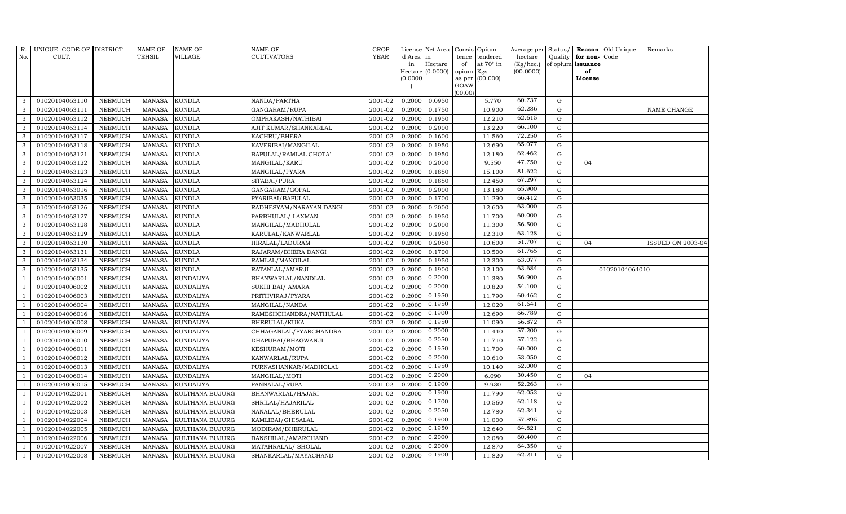| R.             | UNIQUE CODE OF DISTRICT |                | NAME OF         | <b>NAME OF</b>         | <b>NAME OF</b>          | CROP        |           | License Net Area Consis Opium |                     |                  | Average per     | Status/     | Reason            | Old Unique     | Remarks                  |
|----------------|-------------------------|----------------|-----------------|------------------------|-------------------------|-------------|-----------|-------------------------------|---------------------|------------------|-----------------|-------------|-------------------|----------------|--------------------------|
| No.            | CULT.                   |                | <b>TEHSIL</b>   | <b>VILLAGE</b>         | <b>CULTIVATORS</b>      | <b>YEAR</b> | d Area in |                               | tence               | tendered         | hectare         | Quality     | for non-          | Code           |                          |
|                |                         |                |                 |                        |                         |             | in        | Hectare                       | of                  | at $70^\circ$ in | $(Kg/$ hec. $)$ |             | of opium issuance |                |                          |
|                |                         |                |                 |                        |                         |             | (0.0000)  | Hectare (0.0000)              | opium Kgs<br>as per | (00.000)         | (00.0000)       |             | of<br>License     |                |                          |
|                |                         |                |                 |                        |                         |             |           |                               | GOAW                |                  |                 |             |                   |                |                          |
|                |                         |                |                 |                        |                         |             |           |                               | (00.00)             |                  |                 |             |                   |                |                          |
| 3              | 01020104063110          | <b>NEEMUCH</b> | <b>MANASA</b>   | <b>KUNDLA</b>          | NANDA/PARTHA            | 2001-02     | 0.2000    | 0.0950                        |                     | 5.770            | 60.737          | $\mathbf G$ |                   |                |                          |
| 3              | 01020104063111          | <b>NEEMUCH</b> | <b>MANASA</b>   | <b>KUNDLA</b>          | GANGARAM/RUPA           | 2001-02     | 0.2000    | 0.1750                        |                     | 10.900           | 62.286          | ${\rm G}$   |                   |                | <b>NAME CHANGE</b>       |
| 3              | 01020104063112          | <b>NEEMUCH</b> | <b>MANASA</b>   | <b>KUNDLA</b>          | OMPRAKASH/NATHIBAI      | 2001-02     | 0.2000    | 0.1950                        |                     | 12.210           | 62.615          | $\mathbf G$ |                   |                |                          |
| 3              | 01020104063114          | <b>NEEMUCH</b> | <b>MANASA</b>   | <b>KUNDLA</b>          | AJIT KUMAR/SHANKARLAL   | 2001-02     | 0.2000    | 0.2000                        |                     | 13.220           | 66.100          | $\mathbf G$ |                   |                |                          |
| 3              | 01020104063117          | <b>NEEMUCH</b> | $\mbox{MANASA}$ | <b>KUNDLA</b>          | KACHRU/BHERA            | 2001-02     | 0.2000    | 0.1600                        |                     | 11.560           | 72.250          | $\mathbf G$ |                   |                |                          |
| $\mathbf{3}$   | 01020104063118          | <b>NEEMUCH</b> | <b>MANASA</b>   | <b>KUNDLA</b>          | KAVERIBAI/MANGILAL      | 2001-02     | 0.2000    | 0.1950                        |                     | 12.690           | 65.077          | ${\rm G}$   |                   |                |                          |
| 3              | 01020104063121          | <b>NEEMUCH</b> | MANASA          | <b>KUNDLA</b>          | BAPULAL/RAMLAL CHOTA'   | 2001-02     | 0.2000    | 0.1950                        |                     | 12.180           | 62.462          | $\mathbf G$ |                   |                |                          |
| 3              | 01020104063122          | <b>NEEMUCH</b> | MANASA          | <b>KUNDLA</b>          | MANGILAL/KARU           | 2001-02     | 0.2000    | 0.2000                        |                     | 9.550            | 47.750          | G           | 04                |                |                          |
| 3              | 01020104063123          | <b>NEEMUCH</b> | <b>MANASA</b>   | <b>KUNDLA</b>          | MANGILAL/PYARA          | 2001-02     | 0.2000    | 0.1850                        |                     | 15.100           | 81.622          | $\mathbf G$ |                   |                |                          |
| 3              | 01020104063124          | NEEMUCH        | <b>MANASA</b>   | <b>KUNDLA</b>          | SITABAI/PURA            | 2001-02     | 0.2000    | 0.1850                        |                     | 12.450           | 67.297          | $\mathbf G$ |                   |                |                          |
| 3              | 01020104063016          | <b>NEEMUCH</b> | <b>MANASA</b>   | <b>KUNDLA</b>          | GANGARAM/GOPAL          | 2001-02     | 0.2000    | 0.2000                        |                     | 13.180           | 65.900          | ${\rm G}$   |                   |                |                          |
| 3              | 01020104063035          | <b>NEEMUCH</b> | <b>MANASA</b>   | <b>KUNDLA</b>          | PYARIBAI/BAPULAL        | 2001-02     | 0.2000    | 0.1700                        |                     | 11.290           | 66.412          | ${\rm G}$   |                   |                |                          |
| $\mathbf{3}$   | 01020104063126          | <b>NEEMUCH</b> | MANASA          | <b>KUNDLA</b>          | RADHESYAM/NARAYAN DANGI | 2001-02     | 0.2000    | 0.2000                        |                     | 12.600           | 63.000          | G           |                   |                |                          |
| 3              | 01020104063127          | <b>NEEMUCH</b> | <b>MANASA</b>   | <b>KUNDLA</b>          | PARBHULAL/ LAXMAN       | 2001-02     | 0.2000    | 0.1950                        |                     | 11.700           | 60.000          | $\mathbf G$ |                   |                |                          |
| 3              | 01020104063128          | NEEMUCH        | <b>MANASA</b>   | <b>KUNDLA</b>          | MANGILAL/MADHULAL       | 2001-02     | 0.2000    | 0.2000                        |                     | 11.300           | 56.500          | $\mathbf G$ |                   |                |                          |
| 3              | 01020104063129          | <b>NEEMUCH</b> | <b>MANASA</b>   | <b>KUNDLA</b>          | KARULAL/KANWARLAL       | 2001-02     | 0.2000    | 0.1950                        |                     | 12.310           | 63.128          | $\mathbf G$ |                   |                |                          |
| 3              | 01020104063130          | <b>NEEMUCH</b> | <b>MANASA</b>   | <b>KUNDLA</b>          | HIRALAL/LADURAM         | 2001-02     | 0.2000    | 0.2050                        |                     | 10.600           | 51.707          | ${\rm G}$   | 04                |                | <b>ISSUED ON 2003-04</b> |
| 3              | 01020104063131          | <b>NEEMUCH</b> | MANASA          | <b>KUNDLA</b>          | RAJARAM/BHERA DANGI     | 2001-02     | 0.2000    | 0.1700                        |                     | 10.500           | 61.765          | $\mathbf G$ |                   |                |                          |
| 3              | 01020104063134          | <b>NEEMUCH</b> | <b>MANASA</b>   | <b>KUNDLA</b>          | RAMLAL/MANGILAL         | 2001-02     | 0.2000    | 0.1950                        |                     | 12.300           | 63.077          | $\mathbf G$ |                   |                |                          |
| 3              | 01020104063135          | NEEMUCH        | <b>MANASA</b>   | <b>KUNDLA</b>          | RATANLAL/AMARJI         | 2001-02     | 0.2000    | 0.1900                        |                     | 12.100           | 63.684          | $\mathbf G$ |                   | 01020104064010 |                          |
| -1             | 01020104006001          | <b>NEEMUCH</b> | <b>MANASA</b>   | <b>KUNDALIYA</b>       | BHANWARLAL/NANDLAL      | 2001-02     | 0.2000    | 0.2000                        |                     | 11.380           | 56.900          | $\mathbf G$ |                   |                |                          |
| $\overline{1}$ | 01020104006002          | <b>NEEMUCH</b> | <b>MANASA</b>   | <b>KUNDALIYA</b>       | SUKHI BAI/ AMARA        | 2001-02     | 0.2000    | 0.2000                        |                     | 10.820           | 54.100          | ${\rm G}$   |                   |                |                          |
| $\overline{1}$ | 01020104006003          | <b>NEEMUCH</b> | MANASA          | <b>KUNDALIYA</b>       | PRITHVIRAJ/PYARA        | 2001-02     | 0.2000    | 0.1950                        |                     | 11.790           | 60.462          | $\mathbf G$ |                   |                |                          |
|                | 01020104006004          | <b>NEEMUCH</b> | <b>MANASA</b>   | <b>KUNDALIYA</b>       | MANGILAL/NANDA          | 2001-02     | 0.2000    | 0.1950                        |                     | 12.020           | 61.641          | $\mathbf G$ |                   |                |                          |
|                | 01020104006016          | <b>NEEMUCH</b> | <b>MANASA</b>   | <b>KUNDALIYA</b>       | RAMESHCHANDRA/NATHULAL  | 2001-02     | 0.2000    | 0.1900                        |                     | 12.690           | 66.789          | $\mathbf G$ |                   |                |                          |
| -1             | 01020104006008          | <b>NEEMUCH</b> | <b>MANASA</b>   | <b>KUNDALIYA</b>       | BHERULAL/KUKA           | 2001-02     | 0.2000    | 0.1950                        |                     | 11.090           | 56.872          | ${\rm G}$   |                   |                |                          |
| -1             | 01020104006009          | <b>NEEMUCH</b> | <b>MANASA</b>   | <b>KUNDALIYA</b>       | CHHAGANLAL/PYARCHANDRA  | 2001-02     | 0.2000    | 0.2000                        |                     | 11.440           | 57.200          | $\mathbf G$ |                   |                |                          |
| $\overline{1}$ | 01020104006010          | <b>NEEMUCH</b> | <b>MANASA</b>   | <b>KUNDALIYA</b>       | DHAPUBAI/BHAGWANJI      | 2001-02     | 0.2000    | 0.2050                        |                     | 11.710           | 57.122          | $\mathbf G$ |                   |                |                          |
| $\overline{1}$ | 01020104006011          | <b>NEEMUCH</b> | <b>MANASA</b>   | <b>KUNDALIYA</b>       | KESHURAM/MOTI           | 2001-02     | 0.2000    | 0.1950                        |                     | 11.700           | 60.000          | $\mathbf G$ |                   |                |                          |
|                | 01020104006012          | <b>NEEMUCH</b> | <b>MANASA</b>   | <b>KUNDALIYA</b>       | KANWARLAL/RUPA          | 2001-02     | 0.2000    | 0.2000                        |                     | 10.610           | 53.050          | $\mathbf G$ |                   |                |                          |
| $\overline{1}$ | 01020104006013          | <b>NEEMUCH</b> | MANASA          | <b>KUNDALIYA</b>       | PURNASHANKAR/MADHOLAL   | 2001-02     | 0.2000    | 0.1950                        |                     | 10.140           | 52.000          | ${\rm G}$   |                   |                |                          |
|                | 01020104006014          | <b>NEEMUCH</b> | <b>MANASA</b>   | <b>KUNDALIYA</b>       | MANGILAL/MOTI           | 2001-02     | 0.2000    | 0.2000                        |                     | 6.090            | 30.450          | ${\rm G}$   | 04                |                |                          |
| $\overline{1}$ | 01020104006015          | <b>NEEMUCH</b> | <b>MANASA</b>   | <b>KUNDALIYA</b>       | PANNALAL/RUPA           | 2001-02     | 0.2000    | 0.1900                        |                     | 9.930            | 52.263          | ${\rm G}$   |                   |                |                          |
| $\overline{1}$ | 01020104022001          | <b>NEEMUCH</b> | <b>MANASA</b>   | <b>KULTHANA BUJURG</b> | BHANWARLAL/HAJARI       | 2001-02     | 0.2000    | 0.1900                        |                     | 11.790           | 62.053          | $\mathbf G$ |                   |                |                          |
|                | 01020104022002          | <b>NEEMUCH</b> | <b>MANASA</b>   | KULTHANA BUJURG        | SHRILAL/HAJARILAL       | 2001-02     | 0.2000    | 0.1700                        |                     | 10.560           | 62.118          | $\mathbf G$ |                   |                |                          |
| $\overline{1}$ | 01020104022003          | <b>NEEMUCH</b> | <b>MANASA</b>   | KULTHANA BUJURG        | NANALAL/BHERULAL        | 2001-02     | 0.2000    | 0.2050                        |                     | 12.780           | 62.341          | $\mathbf G$ |                   |                |                          |
| $\overline{1}$ | 01020104022004          | <b>NEEMUCH</b> | <b>MANASA</b>   | <b>KULTHANA BUJURG</b> | KAMLIBAI/GHISALAL       | 2001-02     | 0.2000    | 0.1900                        |                     | 11.000           | 57.895          | $\mathbf G$ |                   |                |                          |
| $\overline{1}$ | 01020104022005          | <b>NEEMUCH</b> | <b>MANASA</b>   | KULTHANA BUJURG        | MODIRAM/BHERULAL        | 2001-02     | 0.2000    | 0.1950                        |                     | 12.640           | 64.821          | ${\rm G}$   |                   |                |                          |
| $\overline{1}$ | 01020104022006          | <b>NEEMUCH</b> | <b>MANASA</b>   | KULTHANA BUJURG        | BANSHILAL/AMARCHAND     | 2001-02     | 0.2000    | 0.2000                        |                     | 12.080           | 60.400          | $\mathbf G$ |                   |                |                          |
|                | 01020104022007          | <b>NEEMUCH</b> | <b>MANASA</b>   | <b>KULTHANA BUJURG</b> | MATAHRALAL/ SHOLAL      | 2001-02     | 0.2000    | 0.2000                        |                     | 12.870           | 64.350          | $\mathbf G$ |                   |                |                          |
| $\mathbf{1}$   | 01020104022008          | <b>NEEMUCH</b> |                 | MANASA KULTHANA BUJURG | SHANKARLAL/MAYACHAND    | 2001-02     | 0.2000    | 0.1900                        |                     | 11.820           | 62.211          | G           |                   |                |                          |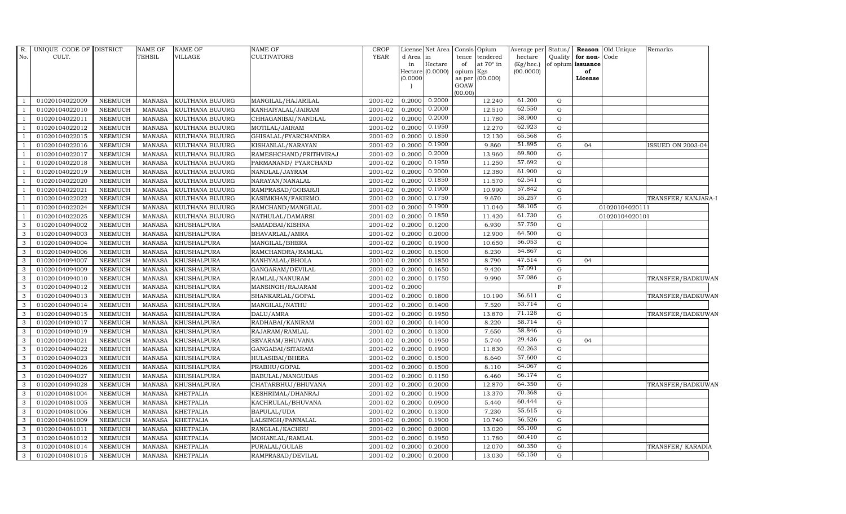| R.             | UNIQUE CODE OF DISTRICT |                | NAME OF       | <b>NAME OF</b>         | <b>NAME OF</b>         | <b>CROP</b> |           |                             | License Net Area Consis Opium | Average per     |             |                         | Status/ <b>Reason</b> Old Unique<br>Remarks |  |
|----------------|-------------------------|----------------|---------------|------------------------|------------------------|-------------|-----------|-----------------------------|-------------------------------|-----------------|-------------|-------------------------|---------------------------------------------|--|
| No.            | CULT.                   |                | TEHSIL        | VILLAGE                | <b>CULTIVATORS</b>     | <b>YEAR</b> | d Area in |                             | tence tendered                | hectare         |             | Quality   for non- Code |                                             |  |
|                |                         |                |               |                        |                        |             | in        | Hectare<br>Hectare (0.0000) | of<br>at 70° in               | $(Kg/$ hec. $)$ |             | of opium issuance<br>of |                                             |  |
|                |                         |                |               |                        |                        |             | (0.0000)  |                             | opium Kgs<br>as per (00.000)  | (00.0000)       |             | License                 |                                             |  |
|                |                         |                |               |                        |                        |             |           |                             | GOAW                          |                 |             |                         |                                             |  |
|                |                         |                |               |                        |                        |             |           |                             | (00.00)                       |                 |             |                         |                                             |  |
| - 1            | 01020104022009          | <b>NEEMUCH</b> | MANASA        | KULTHANA BUJURG        | MANGILAL/HAJARILAL     | 2001-02     |           | 0.2000 0.2000               | 12.240                        | 61.200          | $\mathbf G$ |                         |                                             |  |
| $\overline{1}$ | 01020104022010          | <b>NEEMUCH</b> | MANASA        | KULTHANA BUJURG        | KANHAIYALAL/JAIRAM     | 2001-02     | 0.2000    | 0.2000                      | 12.510                        | 62.550          | $\mathbf G$ |                         |                                             |  |
| $\overline{1}$ | 01020104022011          | <b>NEEMUCH</b> | MANASA        | <b>KULTHANA BUJURG</b> | CHHAGANIBAI/NANDLAL    | 2001-02     | 0.2000    | 0.2000                      | 11.780                        | 58.900          | $\mathbf G$ |                         |                                             |  |
| $\overline{1}$ | 01020104022012          | <b>NEEMUCH</b> | MANASA        | <b>KULTHANA BUJURG</b> | MOTILAL/JAIRAM         | 2001-02     | 0.2000    | 0.1950                      | 12.270                        | 62.923          | G           |                         |                                             |  |
| $\overline{1}$ | 01020104022015          | <b>NEEMUCH</b> | <b>MANASA</b> | KULTHANA BUJURG        | GHISALAL/PYARCHANDRA   | 2001-02     | 0.2000    | 0.1850                      | 12.130                        | 65.568          | G           |                         |                                             |  |
| $\overline{1}$ | 01020104022016          | <b>NEEMUCH</b> | <b>MANASA</b> | KULTHANA BUJURG        | KISHANLAL/NARAYAN      | 2001-02     | 0.2000    | 0.1900                      | 9.860                         | 51.895          | G           | 04                      | <b>ISSUED ON 2003-04</b>                    |  |
| $\overline{1}$ | 01020104022017          | <b>NEEMUCH</b> | MANASA        | KULTHANA BUJURG        | RAMESHCHAND/PRITHVIRAJ | 2001-02     | 0.2000    | 0.2000                      | 13.960                        | 69.800          | G           |                         |                                             |  |
| $\overline{1}$ | 01020104022018          | <b>NEEMUCH</b> | MANASA        | <b>KULTHANA BUJURG</b> | PARMANAND/ PYARCHAND   | 2001-02     | 0.2000    | 0.1950                      | 11.250                        | 57.692          | G           |                         |                                             |  |
| $\overline{1}$ | 01020104022019          | <b>NEEMUCH</b> | <b>MANASA</b> | <b>KULTHANA BUJURG</b> | NANDLAL/JAYRAM         | 2001-02     | 0.2000    | 0.2000                      | 12.380                        | 61.900          | G           |                         |                                             |  |
| $\overline{1}$ | 01020104022020          | <b>NEEMUCH</b> | <b>MANASA</b> | KULTHANA BUJURG        | NARAYAN/NANALAL        | 2001-02     | 0.2000    | 0.1850                      | 11.570                        | 62.541          | G           |                         |                                             |  |
| $\overline{1}$ | 01020104022021          | <b>NEEMUCH</b> | MANASA        | <b>KULTHANA BUJURG</b> | RAMPRASAD/GOBARJI      | 2001-02     | 0.2000    | 0.1900                      | 10.990                        | 57.842          | ${\rm G}$   |                         |                                             |  |
| -1             | 01020104022022          | <b>NEEMUCH</b> | MANASA        | KULTHANA BUJURG        | KASIMKHAN/FAKIRMO      | 2001-02     | 0.2000    | 0.1750                      | 9.670                         | 55.257          | ${\rm G}$   |                         | TRANSFER/ KANJARA-I                         |  |
| $\overline{1}$ | 01020104022024          | <b>NEEMUCH</b> | <b>MANASA</b> | <b>KULTHANA BUJURG</b> | RAMCHAND/MANGILAL      | 2001-02     | 0.2000    | 0.1900                      | 11.040                        | 58.105          | G           |                         | 01020104020111                              |  |
| $\overline{1}$ | 01020104022025          | <b>NEEMUCH</b> | <b>MANASA</b> | KULTHANA BUJURG        | NATHULAL/DAMARSI       | 2001-02     | 0.2000    | 0.1850                      | 11.420                        | 61.730          | G           |                         | 01020104020101                              |  |
| $\mathbf{3}$   | 01020104094002          | <b>NEEMUCH</b> | <b>MANASA</b> | KHUSHALPURA            | SAMADBAI/KISHNA        | 2001-02     | 0.2000    | 0.1200                      | 6.930                         | 57.750          | G           |                         |                                             |  |
| $\mathbf{3}$   | 01020104094003          | <b>NEEMUCH</b> | <b>MANASA</b> | <b>KHUSHALPURA</b>     | BHAVARLAL/AMRA         | 2001-02     | 0.2000    | 0.2000                      | 12.900                        | 64.500          | $\mathbf G$ |                         |                                             |  |
| $\mathbf{3}$   | 01020104094004          | <b>NEEMUCH</b> | MANASA        | KHUSHALPURA            | MANGILAL/BHERA         | 2001-02     | 0.2000    | 0.1900                      | 10.650                        | 56.053          | G           |                         |                                             |  |
| $\mathbf{3}$   | 01020104094006          | <b>NEEMUCH</b> | MANASA        | <b>KHUSHALPURA</b>     | RAMCHANDRA/RAMLAL      | 2001-02     | 0.2000    | 0.1500                      | 8.230                         | 54.867          | G           |                         |                                             |  |
| $\mathbf{3}$   | 01020104094007          | <b>NEEMUCH</b> | <b>MANASA</b> | <b>KHUSHALPURA</b>     | KANHYALAL/BHOLA        | 2001-02     | 0.2000    | 0.1850                      | 8.790                         | 47.514          | G           | 04                      |                                             |  |
| $\mathbf{3}$   | 01020104094009          | <b>NEEMUCH</b> | <b>MANASA</b> | KHUSHALPURA            | GANGARAM/DEVILAL       | 2001-02     | 0.2000    | 0.1650                      | 9.420                         | 57.091          | G           |                         |                                             |  |
| $\mathbf{3}$   | 01020104094010          | <b>NEEMUCH</b> | <b>MANASA</b> | <b>KHUSHALPURA</b>     | RAMLAL/NANURAM         | 2001-02     | 0.2000    | 0.1750                      | 9.990                         | 57.086          | $\mathbf G$ |                         | TRANSFER/BADKUWAN                           |  |
| $\mathbf{3}$   | 01020104094012          | <b>NEEMUCH</b> | <b>MANASA</b> | KHUSHALPURA            | MANSINGH/RAJARAM       | 2001-02     | 0.2000    |                             |                               |                 | F           |                         |                                             |  |
| $\mathbf{3}$   | 01020104094013          | <b>NEEMUCH</b> | <b>MANASA</b> | KHUSHALPURA            | SHANKARLAL/GOPAL       | 2001-02     | 0.2000    | 0.1800                      | 10.190                        | 56.611          | G           |                         | TRANSFER/BADKUWAN                           |  |
| 3              | 01020104094014          | <b>NEEMUCH</b> | <b>MANASA</b> | <b>KHUSHALPURA</b>     | MANGILAL/NATHU         | 2001-02     | 0.2000    | 0.1400                      | 7.520                         | 53.714          | G           |                         |                                             |  |
| $\mathbf{3}$   | 01020104094015          | <b>NEEMUCH</b> | <b>MANASA</b> | KHUSHALPURA            | DALU/AMRA              | 2001-02     | 0.2000    | 0.1950                      | 13.870                        | 71.128          | ${\rm G}$   |                         | TRANSFER/BADKUWAN                           |  |
| $\mathbf{3}$   | 01020104094017          | <b>NEEMUCH</b> | <b>MANASA</b> | KHUSHALPURA            | RADHABAI/KANIRAM       | 2001-02     | 0.2000    | 0.1400                      | 8.220                         | 58.714          | G           |                         |                                             |  |
| $\mathbf{3}$   | 01020104094019          | <b>NEEMUCH</b> | <b>MANASA</b> | <b>KHUSHALPURA</b>     | RAJARAM / RAMLAL       | 2001-02     | 0.2000    | 0.1300                      | 7.650                         | 58.846          | G           |                         |                                             |  |
| $\mathbf{3}$   | 01020104094021          | <b>NEEMUCH</b> | <b>MANASA</b> | KHUSHALPURA            | SEVARAM/BHUVANA        | 2001-02     | 0.2000    | 0.1950                      | 5.740                         | 29.436          | G           | 04                      |                                             |  |
| 3              | 01020104094022          | <b>NEEMUCH</b> | <b>MANASA</b> | <b>KHUSHALPURA</b>     | GANGABAI/SITARAM       | 2001-02     | 0.2000    | 0.1900                      | 11.830                        | 62.263          | G           |                         |                                             |  |
| $\mathbf{3}$   | 01020104094023          | <b>NEEMUCH</b> | <b>MANASA</b> | <b>KHUSHALPURA</b>     | HULASIBAI/BHERA        | 2001-02     | 0.2000    | 0.1500                      | 8.640                         | 57.600          | G           |                         |                                             |  |
| $\mathbf{3}$   | 01020104094026          | <b>NEEMUCH</b> | MANASA        | KHUSHALPURA            | PRABHU/GOPAL           | 2001-02     | 0.2000    | 0.1500                      | 8.110                         | 54.067          | G           |                         |                                             |  |
| $\mathbf{3}$   | 01020104094027          | <b>NEEMUCH</b> | <b>MANASA</b> | <b>KHUSHALPURA</b>     | BABULAL/MANGUDAS       | 2001-02     | 0.2000    | 0.1150                      | 6.460                         | 56.174          | $\mathbf G$ |                         |                                             |  |
| $\mathbf{3}$   | 01020104094028          | <b>NEEMUCH</b> | <b>MANASA</b> | KHUSHALPURA            | CHATARBHUJ/BHUVANA     | 2001-02     | 0.2000    | 0.2000                      | 12.870                        | 64.350          | G           |                         | TRANSFER/BADKUWAN                           |  |
| 3              | 01020104081004          | <b>NEEMUCH</b> | <b>MANASA</b> | <b>KHETPALIA</b>       | KESHRIMAL/DHANRAJ      | 2001-02     | 0.2000    | 0.1900                      | 13.370                        | 70.368          | G           |                         |                                             |  |
| $\mathbf{3}$   | 01020104081005          | <b>NEEMUCH</b> | <b>MANASA</b> | <b>KHETPALIA</b>       | KACHRULAL/BHUVANA      | 2001-02     | 0.2000    | 0.0900                      | 5.440                         | 60.444          | G           |                         |                                             |  |
| $\mathbf{3}$   | 01020104081006          | <b>NEEMUCH</b> | <b>MANASA</b> | KHETPALIA              | BAPULAL/UDA            | 2001-02     | 0.2000    | 0.1300                      | 7.230                         | 55.615          | G           |                         |                                             |  |
| $\mathbf{3}$   | 01020104081009          | <b>NEEMUCH</b> | <b>MANASA</b> | <b>KHETPALIA</b>       | LALSINGH/PANNALAL      | 2001-02     | 0.2000    | 0.1900                      | 10.740                        | 56.526          | G           |                         |                                             |  |
| $\mathbf{3}$   | 01020104081011          | <b>NEEMUCH</b> | <b>MANASA</b> | KHETPALIA              | RANGLAL/KACHRU         | 2001-02     | 0.2000    | 0.2000                      | 13.020                        | 65.100          | $\mathbf G$ |                         |                                             |  |
| 3              | 01020104081012          | <b>NEEMUCH</b> | <b>MANASA</b> | <b>KHETPALIA</b>       | MOHANLAL/RAMLAL        | 2001-02     | 0.2000    | 0.1950                      | 11.780                        | 60.410          | G           |                         |                                             |  |
| 3              | 01020104081014          | <b>NEEMUCH</b> | <b>MANASA</b> | <b>KHETPALIA</b>       | PURALAL/GULAB          | 2001-02     | 0.2000    | 0.2000                      | 12.070                        | 60.350          | G           |                         | TRANSFER/KARADIA                            |  |
| $\mathbf{3}$   | 01020104081015          | <b>NEEMUCH</b> | MANASA        | <b>KHETPALIA</b>       | RAMPRASAD/DEVILAL      | 2001-02     | 0.2000    | 0.2000                      | 13.030                        | 65.150          | G           |                         |                                             |  |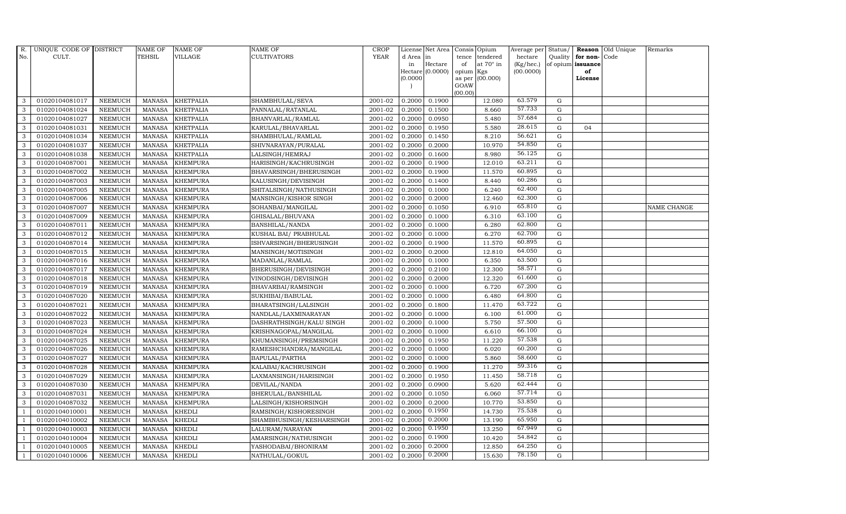| R.             | UNIQUE CODE OF DISTRICT |                | <b>NAME OF</b> | <b>NAME OF</b>   | NAME OF                  | <b>CROP</b> |           | License Net Area |                 | Consis Opium     | Average per | Status/     |                   | Reason Old Unique | Remarks     |
|----------------|-------------------------|----------------|----------------|------------------|--------------------------|-------------|-----------|------------------|-----------------|------------------|-------------|-------------|-------------------|-------------------|-------------|
| No.            | CULT.                   |                | <b>TEHSIL</b>  | VILLAGE          | CULTIVATORS              | <b>YEAR</b> | d Area in |                  | tence           | tendered         | hectare     | Quality     | for non-Code      |                   |             |
|                |                         |                |                |                  |                          |             | in        | Hectare          | of              | at $70^\circ$ in | (Kg/hec.)   |             | of opium issuance |                   |             |
|                |                         |                |                |                  |                          |             | (0.0000)  | Hectare (0.0000) | opium<br>as per | Kgs<br>(00.000)  | (00.0000)   |             | of<br>License     |                   |             |
|                |                         |                |                |                  |                          |             |           |                  | GOAW            |                  |             |             |                   |                   |             |
|                |                         |                |                |                  |                          |             |           |                  | (00.00)         |                  |             |             |                   |                   |             |
| 3              | 01020104081017          | <b>NEEMUCH</b> | MANASA         | <b>KHETPALIA</b> | SHAMBHULAL/SEVA          | 2001-02     | 0.2000    | 0.1900           |                 | 12.080           | 63.579      | G           |                   |                   |             |
| 3              | 01020104081024          | <b>NEEMUCH</b> | <b>MANASA</b>  | <b>KHETPALIA</b> | PANNALAL/RATANLAL        | 2001-02     | 0.2000    | 0.1500           |                 | 8.660            | 57.733      | $\mathbf G$ |                   |                   |             |
| 3              | 01020104081027          | <b>NEEMUCH</b> | <b>MANASA</b>  | <b>KHETPALIA</b> | BHANVARLAL/RAMLAL        | 2001-02     | 0.2000    | 0.0950           |                 | 5.480            | 57.684      | G           |                   |                   |             |
| 3              | 01020104081031          | <b>NEEMUCH</b> | <b>MANASA</b>  | <b>KHETPALIA</b> | KARULAL/BHAVARLAL        | 2001-02     | 0.2000    | 0.1950           |                 | 5.580            | 28.615      | $\mathbf G$ | 04                |                   |             |
| 3              | 01020104081034          | <b>NEEMUCH</b> | <b>MANASA</b>  | <b>KHETPALIA</b> | SHAMBHULAL/RAMLAL        | 2001-02     | 0.2000    | 0.1450           |                 | 8.210            | 56.621      | ${\rm G}$   |                   |                   |             |
| $\mathbf{3}$   | 01020104081037          | <b>NEEMUCH</b> | <b>MANASA</b>  | KHETPALIA        | SHIVNARAYAN/PURALAL      | 2001-02     | 0.2000    | 0.2000           |                 | 10.970           | 54.850      | G           |                   |                   |             |
| 3              | 01020104081038          | <b>NEEMUCH</b> | <b>MANASA</b>  | <b>KHETPALIA</b> | LALSINGH/HEMRAJ          | 2001-02     | 0.2000    | 0.1600           |                 | 8.980            | 56.125      | $\mathbf G$ |                   |                   |             |
| 3              | 01020104087001          | <b>NEEMUCH</b> | <b>MANASA</b>  | <b>KHEMPURA</b>  | HARISINGH/KACHRUSINGH    | 2001-02     | 0.2000    | 0.1900           |                 | 12.010           | 63.211      | $\mathbf G$ |                   |                   |             |
| 3              | 01020104087002          | <b>NEEMUCH</b> | <b>MANASA</b>  | <b>KHEMPURA</b>  | BHAVARSINGH/BHERUSINGH   | 2001-02     | 0.2000    | 0.1900           |                 | 11.570           | 60.895      | G           |                   |                   |             |
| 3              | 01020104087003          | <b>NEEMUCH</b> | <b>MANASA</b>  | <b>KHEMPURA</b>  | KALUSINGH/DEVISINGH      | 2001-02     | 0.2000    | 0.1400           |                 | 8.440            | 60.286      | G           |                   |                   |             |
| $\mathbf{3}$   | 01020104087005          | <b>NEEMUCH</b> | <b>MANASA</b>  | <b>KHEMPURA</b>  | SHITALSINGH/NATHUSINGH   | 2001-02     | 0.2000    | 0.1000           |                 | 6.240            | 62.400      | ${\rm G}$   |                   |                   |             |
| 3              | 01020104087006          | <b>NEEMUCH</b> | <b>MANASA</b>  | <b>KHEMPURA</b>  | MANSINGH/KISHOR SINGH    | 2001-02     | 0.2000    | 0.2000           |                 | 12.460           | 62.300      | $\mathbf G$ |                   |                   |             |
| $\mathbf{3}$   | 01020104087007          | <b>NEEMUCH</b> | <b>MANASA</b>  | <b>KHEMPURA</b>  | SOHANBAI/MANGILAL        | 2001-02     | 0.2000    | 0.1050           |                 | 6.910            | 65.810      | $\mathbf G$ |                   |                   | NAME CHANGE |
| 3              | 01020104087009          | <b>NEEMUCH</b> | <b>MANASA</b>  | <b>KHEMPURA</b>  | GHISALAL/BHUVANA         | 2001-02     | 0.2000    | 0.1000           |                 | 6.310            | 63.100      | G           |                   |                   |             |
| 3              | 01020104087011          | <b>NEEMUCH</b> | <b>MANASA</b>  | <b>KHEMPURA</b>  | BANSHILAL/NANDA          | 2001-02     | 0.2000    | 0.1000           |                 | 6.280            | 62.800      | $\mathbf G$ |                   |                   |             |
| $\mathbf{3}$   | 01020104087012          | <b>NEEMUCH</b> | <b>MANASA</b>  | <b>KHEMPURA</b>  | KUSHAL BAI/ PRABHULAL    | 2001-02     | 0.2000    | 0.1000           |                 | 6.270            | 62.700      | ${\rm G}$   |                   |                   |             |
| 3              | 01020104087014          | <b>NEEMUCH</b> | <b>MANASA</b>  | <b>KHEMPURA</b>  | ISHVARSINGH/BHERUSINGH   | 2001-02     | 0.2000    | 0.1900           |                 | 11.570           | 60.895      | G           |                   |                   |             |
| $\mathbf{3}$   | 01020104087015          | <b>NEEMUCH</b> | <b>MANASA</b>  | <b>KHEMPURA</b>  | MANSINGH/MOTISINGH       | 2001-02     | 0.2000    | 0.2000           |                 | 12.810           | 64.050      | $\mathbf G$ |                   |                   |             |
| 3              | 01020104087016          | <b>NEEMUCH</b> | <b>MANASA</b>  | <b>KHEMPURA</b>  | MADANLAL/RAMLAL          | 2001-02     | 0.2000    | 0.1000           |                 | 6.350            | 63.500      | $\mathbf G$ |                   |                   |             |
| 3              | 01020104087017          | <b>NEEMUCH</b> | <b>MANASA</b>  | <b>KHEMPURA</b>  | BHERUSINGH/DEVISINGH     | 2001-02     | 0.2000    | 0.2100           |                 | 12.300           | 58.571      | $\mathbf G$ |                   |                   |             |
| 3              | 01020104087018          | <b>NEEMUCH</b> | <b>MANASA</b>  | <b>KHEMPURA</b>  | VINODSINGH/DEVISINGH     | 2001-02     | 0.2000    | 0.2000           |                 | 12.320           | 61.600      | G           |                   |                   |             |
| 3              | 01020104087019          | <b>NEEMUCH</b> | <b>MANASA</b>  | <b>KHEMPURA</b>  | BHAVARBAI/RAMSINGH       | 2001-02     | 0.2000    | 0.1000           |                 | 6.720            | 67.200      | G           |                   |                   |             |
| 3              | 01020104087020          | <b>NEEMUCH</b> | <b>MANASA</b>  | <b>KHEMPURA</b>  | SUKHIBAI/BABULAL         | 2001-02     | 0.2000    | 0.1000           |                 | 6.480            | 64.800      | G           |                   |                   |             |
| 3              | 01020104087021          | <b>NEEMUCH</b> | <b>MANASA</b>  | <b>KHEMPURA</b>  | BHARATSINGH/LALSINGH     | 2001-02     | 0.2000    | 0.1800           |                 | 11.470           | 63.722      | $\mathbf G$ |                   |                   |             |
| 3              | 01020104087022          | <b>NEEMUCH</b> | <b>MANASA</b>  | <b>KHEMPURA</b>  | NANDLAL/LAXMINARAYAN     | 2001-02     | 0.2000    | 0.1000           |                 | 6.100            | 61.000      | G           |                   |                   |             |
| 3              | 01020104087023          | <b>NEEMUCH</b> | <b>MANASA</b>  | <b>KHEMPURA</b>  | DASHRATHSINGH/KALU SINGH | 2001-02     | 0.2000    | 0.1000           |                 | 5.750            | 57.500      | G           |                   |                   |             |
| 3              | 01020104087024          | <b>NEEMUCH</b> | <b>MANASA</b>  | <b>KHEMPURA</b>  | KRISHNAGOPAL/MANGILAL    | 2001-02     | 0.2000    | 0.1000           |                 | 6.610            | 66.100      | ${\rm G}$   |                   |                   |             |
| 3              | 01020104087025          | <b>NEEMUCH</b> | <b>MANASA</b>  | <b>KHEMPURA</b>  | KHUMANSINGH/PREMSINGH    | 2001-02     | 0.2000    | 0.1950           |                 | 11.220           | 57.538      | G           |                   |                   |             |
| 3              | 01020104087026          | <b>NEEMUCH</b> | <b>MANASA</b>  | <b>KHEMPURA</b>  | RAMESHCHANDRA/MANGILAL   | 2001-02     | 0.2000    | 0.1000           |                 | 6.020            | 60.200      | $\mathbf G$ |                   |                   |             |
| 3              | 01020104087027          | <b>NEEMUCH</b> | <b>MANASA</b>  | <b>KHEMPURA</b>  | BAPULAL/PARTHA           | 2001-02     | 0.2000    | 0.1000           |                 | 5.860            | 58.600      | $\mathbf G$ |                   |                   |             |
| 3              | 01020104087028          | <b>NEEMUCH</b> | <b>MANASA</b>  | <b>KHEMPURA</b>  | KALABAI/KACHRUSINGH      | 2001-02     | 0.2000    | 0.1900           |                 | 11.270           | 59.316      | G           |                   |                   |             |
| 3              | 01020104087029          | <b>NEEMUCH</b> | <b>MANASA</b>  | <b>KHEMPURA</b>  | LAXMANSINGH/HARISINGH    | 2001-02     | 0.2000    | 0.1950           |                 | 11.450           | 58.718      | ${\rm G}$   |                   |                   |             |
| 3              | 01020104087030          | <b>NEEMUCH</b> | <b>MANASA</b>  | <b>KHEMPURA</b>  | DEVILAL/NANDA            | 2001-02     | 0.2000    | 0.0900           |                 | 5.620            | 62.444      | $\mathbf G$ |                   |                   |             |
| 3              | 01020104087031          | <b>NEEMUCH</b> | <b>MANASA</b>  | <b>KHEMPURA</b>  | BHERULAL/BANSHILAL       | 2001-02     | 0.2000    | 0.1050           |                 | 6.060            | 57.714      | $\mathbf G$ |                   |                   |             |
| 3              | 01020104087032          | <b>NEEMUCH</b> | <b>MANASA</b>  | <b>KHEMPURA</b>  | LALSINGH/KISHORSINGH     | 2001-02     | 0.2000    | 0.2000           |                 | 10.770           | 53.850      | $\mathbf G$ |                   |                   |             |
| $\overline{1}$ | 01020104010001          | <b>NEEMUCH</b> | <b>MANASA</b>  | KHEDLI           | RAMSINGH/KISHORESINGH    | 2001-02     | 0.2000    | 0.1950           |                 | 14.730           | 75.538      | G           |                   |                   |             |
| $\overline{1}$ | 01020104010002          | <b>NEEMUCH</b> | <b>MANASA</b>  | <b>KHEDLI</b>    | SHAMBHUSINGH/KESHARSINGH | 2001-02     | 0.2000    | 0.2000           |                 | 13.190           | 65.950      | ${\rm G}$   |                   |                   |             |
| $\mathbf{1}$   | 01020104010003          | <b>NEEMUCH</b> | <b>MANASA</b>  | <b>KHEDLI</b>    | LALURAM/NARAYAN          | 2001-02     | 0.2000    | 0.1950           |                 | 13.250           | 67.949      | G           |                   |                   |             |
| $\overline{1}$ | 01020104010004          | <b>NEEMUCH</b> | <b>MANASA</b>  | <b>KHEDLI</b>    | AMARSINGH/NATHUSINGH     | 2001-02     | 0.2000    | 0.1900           |                 | 10.420           | 54.842      | $\mathbf G$ |                   |                   |             |
|                | 01020104010005          | <b>NEEMUCH</b> | <b>MANASA</b>  | <b>KHEDLI</b>    | YASHODABAI/BHONIRAM      | 2001-02     | 0.2000    | 0.2000           |                 | 12.850           | 64.250      | $\mathbf G$ |                   |                   |             |
| $\mathbf{1}$   | 01020104010006          | <b>NEEMUCH</b> | MANASA         | <b>KHEDLI</b>    | NATHULAL/GOKUL           | 2001-02     | 0.2000    | 0.2000           |                 | 15.630           | 78.150      | G           |                   |                   |             |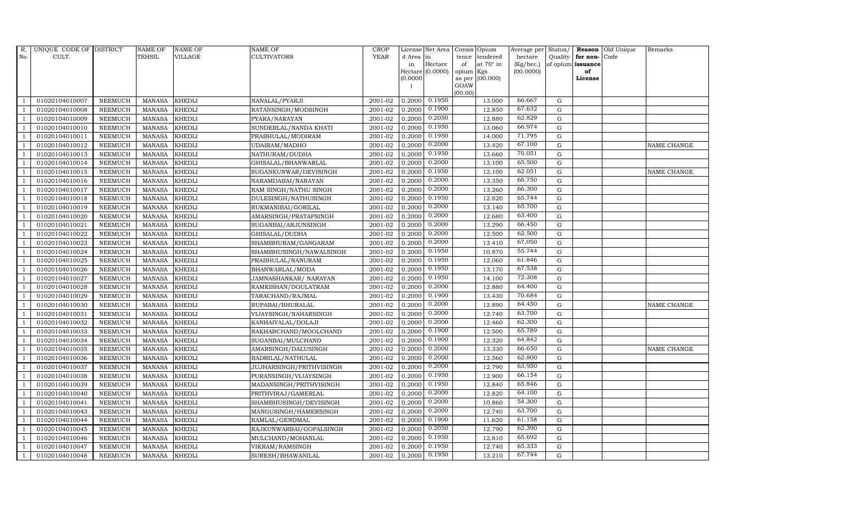| R.             | UNIQUE CODE OF DISTRICT |                | <b>NAME OF</b> | <b>NAME OF</b> | <b>NAME OF</b>           | CROP        |          | License Net Area |                 | Consis Opium     | Average per | Status/     |                   | Reason Old Unique | Remarks     |
|----------------|-------------------------|----------------|----------------|----------------|--------------------------|-------------|----------|------------------|-----------------|------------------|-------------|-------------|-------------------|-------------------|-------------|
| No.            | CULT.                   |                | TEHSIL         | VILLAGE        | <b>CULTIVATORS</b>       | <b>YEAR</b> | d Area   | in               | tence           | tendered         | hectare     | Quality     | for non-          | Code              |             |
|                |                         |                |                |                |                          |             | in       | Hectare          | of              | at $70^\circ$ in | (Kg/hec.)   |             | of opium issuance |                   |             |
|                |                         |                |                |                |                          |             | (0.0000) | Hectare (0.0000) | opium<br>as per | Kgs<br>(00.000)  | (00.0000)   |             | of<br>License     |                   |             |
|                |                         |                |                |                |                          |             |          |                  | GOAW            |                  |             |             |                   |                   |             |
|                |                         |                |                |                |                          |             |          |                  | (00.00)         |                  |             |             |                   |                   |             |
|                | 01020104010007          | <b>NEEMUCH</b> | <b>MANASA</b>  | <b>KHEDLI</b>  | NANALAL/PYARJI           | 2001-02     | 0.2000   | 0.1950           |                 | 13.000           | 66.667      | G           |                   |                   |             |
|                | 01020104010008          | <b>NEEMUCH</b> | <b>MANASA</b>  | <b>KHEDLI</b>  | RATANSINGH/MODSINGH      | 2001-02     | 0.2000   | 0.1900           |                 | 12.850           | 67.632      | ${\rm G}$   |                   |                   |             |
| $\overline{1}$ | 01020104010009          | <b>NEEMUCH</b> | <b>MANASA</b>  | <b>KHEDLI</b>  | PYARA/NARAYAN            | 2001-02     | 0.2000   | 0.2050           |                 | 12.880           | 62.829      | G           |                   |                   |             |
|                | 01020104010010          | <b>NEEMUCH</b> | <b>MANASA</b>  | <b>KHEDLI</b>  | SUNDERLAL/NANDA KHATI    | 2001-02     | 0.2000   | 0.1950           |                 | 13.060           | 66.974      | $\mathbf G$ |                   |                   |             |
| $\overline{1}$ | 01020104010011          | <b>NEEMUCH</b> | MANASA         | <b>KHEDLI</b>  | PRABHULAL/MODIRAM        | 2001-02     | 0.2000   | 0.1950           |                 | 14.000           | 71.795      | G           |                   |                   |             |
| $\overline{1}$ | 01020104010012          | <b>NEEMUCH</b> | <b>MANASA</b>  | <b>KHEDLI</b>  | UDAIRAM/MADHO            | 2001-02     | 0.2000   | 0.2000           |                 | 13.420           | 67.100      | G           |                   |                   | NAME CHANGE |
| $\overline{1}$ | 01020104010013          | <b>NEEMUCH</b> | MANASA         | <b>KHEDLI</b>  | NATHURAM/DUDHA           | 2001-02     | 0.2000   | 0.1950           |                 | 13.660           | 70.051      | $\mathbf G$ |                   |                   |             |
| $\overline{1}$ | 01020104010014          | <b>NEEMUCH</b> | MANASA         | <b>KHEDLI</b>  | GHISALAL/BHANWARLAL      | 2001-02     | 0.2000   | 0.2000           |                 | 13.100           | 65.500      | G           |                   |                   |             |
|                | 01020104010015          | <b>NEEMUCH</b> | <b>MANASA</b>  | <b>KHEDLI</b>  | SUGANKUNWAR/DEVISINGH    | 2001-02     | 0.2000   | 0.1950           |                 | 12.100           | 62.051      | $\mathbf G$ |                   |                   | NAME CHANGE |
|                | 01020104010016          | <b>NEEMUCH</b> | MANASA         | <b>KHEDLI</b>  | NARAMDABAI/NARAYAN       | 2001-02     | 0.2000   | 0.2000           |                 | 13.350           | 66.750      | ${\rm G}$   |                   |                   |             |
| -1             | 01020104010017          | <b>NEEMUCH</b> | <b>MANASA</b>  | <b>KHEDLI</b>  | RAM SINGH/NATHU SINGH    | 2001-02     | 0.2000   | 0.2000           |                 | 13.260           | 66.300      | G           |                   |                   |             |
| $\overline{1}$ | 01020104010018          | <b>NEEMUCH</b> | <b>MANASA</b>  | <b>KHEDLI</b>  | DULESINGH/NATHUSINGH     | 2001-02     | 0.2000   | 0.1950           |                 | 12.820           | 65.744      | ${\rm G}$   |                   |                   |             |
| $\overline{1}$ | 01020104010019          | <b>NEEMUCH</b> | MANASA         | <b>KHEDLI</b>  | RUKMANIBAI/GORILAL       | 2001-02     | 0.2000   | 0.2000           |                 | 13.140           | 65.700      | G           |                   |                   |             |
|                | 01020104010020          | <b>NEEMUCH</b> | <b>MANASA</b>  | <b>KHEDLI</b>  | AMARSINGH/PRATAPSINGH    | 2001-02     | 0.2000   | 0.2000           |                 | 12.680           | 63.400      | $\mathbf G$ |                   |                   |             |
|                | 01020104010021          | <b>NEEMUCH</b> | <b>MANASA</b>  | <b>KHEDLI</b>  | SUGANBAI/ARJUNSINGH      | 2001-02     | 0.2000   | 0.2000           |                 | 13.290           | 66.450      | ${\rm G}$   |                   |                   |             |
| $\overline{1}$ | 01020104010022          | <b>NEEMUCH</b> | <b>MANASA</b>  | <b>KHEDLI</b>  | GHISALAL/DUDHA           | 2001-02     | 0.2000   | 0.2000           |                 | 12.500           | 62.500      | G           |                   |                   |             |
| -1             | 01020104010023          | <b>NEEMUCH</b> | <b>MANASA</b>  | <b>KHEDLI</b>  | SHAMBHURAM/GANGARAM      | 2001-02     | 0.2000   | 0.2000           |                 | 13.410           | 67.050      | G           |                   |                   |             |
| $\overline{1}$ | 01020104010024          | <b>NEEMUCH</b> | <b>MANASA</b>  | <b>KHEDLI</b>  | SHAMBHUSINGH/NAWALSINGH  | $2001 - 02$ | 0.2000   | 0.1950           |                 | 10.870           | 55.744      | G           |                   |                   |             |
|                | 01020104010025          | <b>NEEMUCH</b> | <b>MANASA</b>  | <b>KHEDLI</b>  | PRABHULAL/NANURAM        | 2001-02     | 0.2000   | 0.1950           |                 | 12.060           | 61.846      | $\mathbf G$ |                   |                   |             |
|                | 01020104010026          | <b>NEEMUCH</b> | <b>MANASA</b>  | <b>KHEDLI</b>  | BHANWARLAL/MODA          | 2001-02     | 0.2000   | 0.1950           |                 | 13.170           | 67.538      | ${\bf G}$   |                   |                   |             |
| $\overline{1}$ | 01020104010027          | <b>NEEMUCH</b> | <b>MANASA</b>  | <b>KHEDLI</b>  | JAMNASHANKAR / NARAYAN   | 2001-02     | 0.2000   | 0.1950           |                 | 14.100           | 72.308      | G           |                   |                   |             |
|                | 01020104010028          | <b>NEEMUCH</b> | <b>MANASA</b>  | <b>KHEDLI</b>  | RAMKISHAN/DOULATRAM      | 2001-02     | 0.2000   | 0.2000           |                 | 12.880           | 64.400      | G           |                   |                   |             |
| $\overline{1}$ | 01020104010029          | <b>NEEMUCH</b> | MANASA         | <b>KHEDLI</b>  | TARACHAND/RAJMAL         | 2001-02     | 0.2000   | 0.1900           |                 | 13.430           | 70.684      | ${\rm G}$   |                   |                   |             |
|                | 01020104010030          | <b>NEEMUCH</b> | <b>MANASA</b>  | <b>KHEDLI</b>  | RUPABAI/BHURALAL         | 2001-02     | 0.2000   | 0.2000           |                 | 12.890           | 64.450      | $\mathbf G$ |                   |                   | NAME CHANGE |
|                | 01020104010031          | <b>NEEMUCH</b> | <b>MANASA</b>  | <b>KHEDLI</b>  | VIJAYSINGH/NAHARSINGH    | 2001-02     | 0.2000   | 0.2000           |                 | 12.740           | 63.700      | $\mathbf G$ |                   |                   |             |
| $\overline{1}$ | 01020104010032          | <b>NEEMUCH</b> | <b>MANASA</b>  | <b>KHEDLI</b>  | KANHAIYALAL/DOLAJI       | 2001-02     | 0.2000   | 0.2000           |                 | 12.460           | 62.300      | G           |                   |                   |             |
| -1             | 01020104010033          | <b>NEEMUCH</b> | <b>MANASA</b>  | <b>KHEDLI</b>  | RAKHABCHAND/MOOLCHAND    | 2001-02     | 0.2000   | 0.1900           |                 | 12.500           | 65.789      | G           |                   |                   |             |
| $\overline{1}$ | 01020104010034          | <b>NEEMUCH</b> | <b>MANASA</b>  | <b>KHEDLI</b>  | SUGANBAI/MULCHAND        | 2001-02     | 0.2000   | 0.1900           |                 | 12.320           | 64.842      | ${\rm G}$   |                   |                   |             |
|                | 01020104010035          | <b>NEEMUCH</b> | <b>MANASA</b>  | <b>KHEDLI</b>  | AMARSINGH/DALUSINGH      | 2001-02     | 0.2000   | 0.2000           |                 | 13.330           | 66.650      | ${\rm G}$   |                   |                   | NAME CHANGE |
|                | 01020104010036          | <b>NEEMUCH</b> | <b>MANASA</b>  | <b>KHEDLI</b>  | BADRILAL/NATHULAL        | 2001-02     | 0.2000   | 0.2000           |                 | 12.560           | 62.800      | $\mathbf G$ |                   |                   |             |
|                | 01020104010037          | <b>NEEMUCH</b> | MANASA         | <b>KHEDLI</b>  | JUJHARSINGH/PRITHVISINGH | 2001-02     | 0.2000   | 0.2000           |                 | 12.790           | 63.950      | G           |                   |                   |             |
|                | 01020104010038          | <b>NEEMUCH</b> | <b>MANASA</b>  | <b>KHEDLI</b>  | PURANSINGH/VIJAYSINGH    | 2001-02     | 0.2000   | 0.1950           |                 | 12.900           | 66.154      | G           |                   |                   |             |
| $\overline{1}$ | 01020104010039          | <b>NEEMUCH</b> | <b>MANASA</b>  | <b>KHEDLI</b>  | MADANSINGH/PRITHVISINGH  | 2001-02     | 0.2000   | 0.1950           |                 | 12.840           | 65.846      | G           |                   |                   |             |
| $\overline{1}$ | 01020104010040          | <b>NEEMUCH</b> | <b>MANASA</b>  | <b>KHEDLI</b>  | PRITHVIRAJ/GAMERLAL      | 2001-02     | 0.2000   | 0.2000           |                 | 12.820           | 64.100      | $\mathbf G$ |                   |                   |             |
|                | 01020104010041          | <b>NEEMUCH</b> | <b>MANASA</b>  | <b>KHEDLI</b>  | SHAMBHUSINGH/DEVISINGH   | 2001-02     | 0.2000   | 0.2000           |                 | 10.860           | 54.300      | $\mathbf G$ |                   |                   |             |
| $\overline{1}$ | 01020104010043          | <b>NEEMUCH</b> | <b>MANASA</b>  | <b>KHEDLI</b>  | MANGUSINGH/HAMERSINGH    | 2001-02     | 0.2000   | 0.2000           |                 | 12.740           | 63.700      | G           |                   |                   |             |
|                | 01020104010044          | <b>NEEMUCH</b> | <b>MANASA</b>  | <b>KHEDLI</b>  | RAMLAL/GENDMAL           | 2001-02     | 0.2000   | 0.1900           |                 | 11.620           | 61.158      | G           |                   |                   |             |
| $\overline{1}$ | 01020104010045          | <b>NEEMUCH</b> | <b>MANASA</b>  | <b>KHEDLI</b>  | RAJKUNWARBAI/GOPALSINGH  | 2001-02     | 0.2000   | 0.2050           |                 | 12.790           | 62.390      | G           |                   |                   |             |
| $\overline{1}$ | 01020104010046          | <b>NEEMUCH</b> | <b>MANASA</b>  | <b>KHEDLI</b>  | MULCHAND/MOHANLAL        | 2001-02     | 0.2000   | 0.1950           |                 | 12.810           | 65.692      | $\mathbf G$ |                   |                   |             |
|                | 01020104010047          | <b>NEEMUCH</b> | <b>MANASA</b>  | <b>KHEDLI</b>  | VIKRAM/RAMSINGH          | 2001-02     | 0.2000   | 0.1950           |                 | 12.740           | 65.333      | $\mathbf G$ |                   |                   |             |
| $\mathbf{1}$   | 01020104010048          | <b>NEEMUCH</b> | MANASA KHEDLI  |                | SURESH/BHAWANILAL        | 2001-02     | 0.2000   | 0.1950           |                 | 13.210           | 67.744      | G           |                   |                   |             |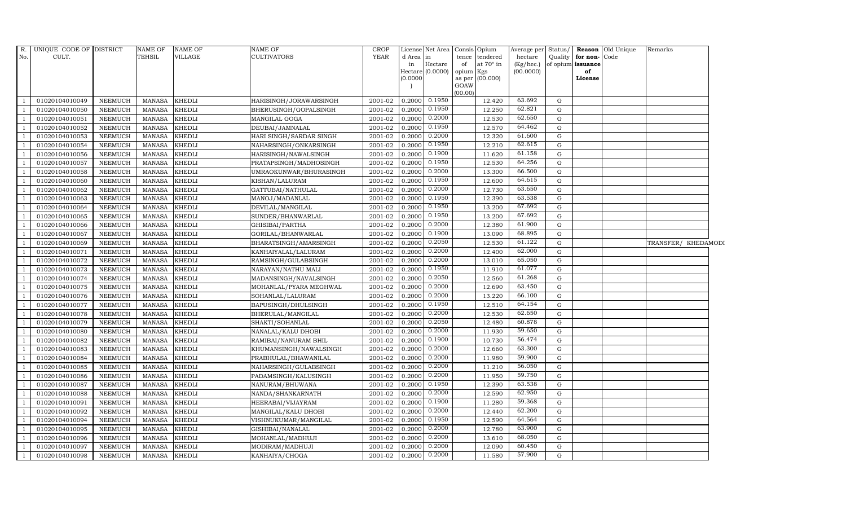| R.<br>No.                | UNIQUE CODE OF DISTRICT<br>CULT. |                | NAME OF<br><b>TEHSIL</b> | NAME OF<br>VILLAGE | <b>NAME OF</b><br><b>CULTIVATORS</b> | <b>CROP</b><br><b>YEAR</b> | d Area in | License Net Area Consis | tence           | Opium<br>tendered | Average per Status/<br>hectare | Quality     | for non-Code      | Reason Old Unique | Remarks             |  |
|--------------------------|----------------------------------|----------------|--------------------------|--------------------|--------------------------------------|----------------------------|-----------|-------------------------|-----------------|-------------------|--------------------------------|-------------|-------------------|-------------------|---------------------|--|
|                          |                                  |                |                          |                    |                                      |                            | in        | Hectare                 | of              | at $70^\circ$ in  | (Kg/hec.)                      |             | of opium issuance |                   |                     |  |
|                          |                                  |                |                          |                    |                                      |                            | (0.0000)  | Hectare (0.0000)        | opium<br>as per | Kgs<br>(00.000)   | (00.0000)                      |             | of<br>License     |                   |                     |  |
|                          |                                  |                |                          |                    |                                      |                            |           |                         | GOAW            |                   |                                |             |                   |                   |                     |  |
|                          |                                  |                |                          |                    |                                      |                            |           |                         | (00.00)         |                   |                                |             |                   |                   |                     |  |
| $\overline{1}$           | 01020104010049                   | <b>NEEMUCH</b> | MANASA                   | <b>KHEDLI</b>      | HARISINGH/JORAWARSINGH               | 2001-02                    | 0.2000    | 0.1950                  |                 | 12.420            | 63.692                         | G           |                   |                   |                     |  |
| $\overline{\phantom{0}}$ | 01020104010050                   | <b>NEEMUCH</b> | <b>MANASA</b>            | KHEDLI             | BHERUSINGH/GOPALSINGH                | 2001-02                    | 0.2000    | 0.1950                  |                 | 12.250            | 62.821                         | G           |                   |                   |                     |  |
| $\overline{1}$           | 01020104010051                   | <b>NEEMUCH</b> | <b>MANASA</b>            | KHEDLI             | MANGILAL GOGA                        | 2001-02                    | 0.2000    | 0.2000                  |                 | 12.530            | 62.650                         | G           |                   |                   |                     |  |
|                          | 01020104010052                   | <b>NEEMUCH</b> | <b>MANASA</b>            | <b>KHEDLI</b>      | DEUBAI/JAMNALAL                      | 2001-02                    | 0.2000    | 0.1950                  |                 | 12.570            | 64.462                         | G           |                   |                   |                     |  |
| $\overline{1}$           | 01020104010053                   | <b>NEEMUCH</b> | <b>MANASA</b>            | <b>KHEDLI</b>      | HARI SINGH/SARDAR SINGH              | 2001-02                    | 0.2000    | 0.2000                  |                 | 12.320            | 61.600                         | $\mathbf G$ |                   |                   |                     |  |
| $\overline{1}$           | 01020104010054                   | <b>NEEMUCH</b> | <b>MANASA</b>            | KHEDLI             | NAHARSINGH/ONKARSINGH                | 2001-02                    | 0.2000    | 0.1950                  |                 | 12.210            | 62.615                         | G           |                   |                   |                     |  |
| $\overline{\phantom{0}}$ | 01020104010056                   | <b>NEEMUCH</b> | <b>MANASA</b>            | KHEDLI             | HARISINGH/NAWALSINGH                 | 2001-02                    | 0.2000    | 0.1900                  |                 | 11.620            | 61.158                         | G           |                   |                   |                     |  |
| $\overline{1}$           | 01020104010057                   | <b>NEEMUCH</b> | <b>MANASA</b>            | KHEDLI             | PRATAPSINGH/MADHOSINGH               | 2001-02                    | 0.2000    | 0.1950                  |                 | 12.530            | 64.256                         | $\mathbf G$ |                   |                   |                     |  |
|                          | 01020104010058                   | <b>NEEMUCH</b> | <b>MANASA</b>            | KHEDLI             | UMRAOKUNWAR/BHURASINGH               | 2001-02                    | 0.2000    | 0.2000                  |                 | 13.300            | 66.500                         | G           |                   |                   |                     |  |
| $\overline{1}$           | 01020104010060                   | <b>NEEMUCH</b> | <b>MANASA</b>            | <b>KHEDLI</b>      | KISHAN/LALURAM                       | 2001-02                    | 0.2000    | 0.1950                  |                 | 12.600            | 64.615                         | ${\rm G}$   |                   |                   |                     |  |
| $\overline{1}$           | 01020104010062                   | NEEMUCH        | <b>MANASA</b>            | <b>KHEDLI</b>      | GATTUBAI/NATHULAL                    | 2001-02                    | 0.2000    | 0.2000                  |                 | 12.730            | 63.650                         | G           |                   |                   |                     |  |
| $\overline{\phantom{0}}$ | 01020104010063                   | <b>NEEMUCH</b> | <b>MANASA</b>            | KHEDLI             | MANOJ/MADANLAL                       | 2001-02                    | 0.2000    | 0.1950                  |                 | 12.390            | 63.538                         | G           |                   |                   |                     |  |
| $\overline{1}$           | 01020104010064                   | <b>NEEMUCH</b> | <b>MANASA</b>            | <b>KHEDLI</b>      | DEVILAL/MANGILAL                     | 2001-02                    | 0.2000    | 0.1950                  |                 | 13.200            | 67.692                         | $\mathbf G$ |                   |                   |                     |  |
| $\overline{1}$           | 01020104010065                   | <b>NEEMUCH</b> | <b>MANASA</b>            | <b>KHEDLI</b>      | SUNDER/BHANWARLAL                    | 2001-02                    | 0.2000    | 0.1950                  |                 | 13.200            | 67.692                         | G           |                   |                   |                     |  |
| $\overline{1}$           | 01020104010066                   | <b>NEEMUCH</b> | <b>MANASA</b>            | <b>KHEDLI</b>      | GHISIBAI/PARTHA                      | 2001-02                    | 0.2000    | 0.2000                  |                 | 12.380            | 61.900                         | ${\rm G}$   |                   |                   |                     |  |
| $\overline{1}$           | 01020104010067                   | <b>NEEMUCH</b> | <b>MANASA</b>            | <b>KHEDLI</b>      | GORILAL/BHANWARLAL                   | 2001-02                    | 0.2000    | 0.1900                  |                 | 13.090            | 68.895                         | G           |                   |                   |                     |  |
| $\overline{1}$           | 01020104010069                   | <b>NEEMUCH</b> | <b>MANASA</b>            | <b>KHEDLI</b>      | BHARATSINGH/AMARSINGH                | 2001-02                    | 0.2000    | 0.2050                  |                 | 12.530            | 61.122                         | G           |                   |                   | TRANSFER/ KHEDAMODI |  |
| $\overline{1}$           | 01020104010071                   | <b>NEEMUCH</b> | <b>MANASA</b>            | <b>KHEDLI</b>      | KANHAIYALAL/LALURAM                  | 2001-02                    | 0.2000    | 0.2000                  |                 | 12.400            | 62.000                         | $\mathbf G$ |                   |                   |                     |  |
| $\overline{1}$           | 01020104010072                   | <b>NEEMUCH</b> | <b>MANASA</b>            | <b>KHEDLI</b>      | RAMSINGH/GULABSINGH                  | 2001-02                    | 0.2000    | 0.2000                  |                 | 13.010            | 65.050                         | G           |                   |                   |                     |  |
| $\overline{1}$           | 01020104010073                   | <b>NEEMUCH</b> | <b>MANASA</b>            | <b>KHEDLI</b>      | NARAYAN/NATHU MALI                   | 2001-02                    | 0.2000    | 0.1950                  |                 | 11.910            | 61.077                         | $\mathbf G$ |                   |                   |                     |  |
| $\overline{1}$           | 01020104010074                   | <b>NEEMUCH</b> | <b>MANASA</b>            | <b>KHEDLI</b>      | MADANSINGH/NAVALSINGH                | 2001-02                    | 0.2000    | 0.2050                  |                 | 12.560            | 61.268                         | G           |                   |                   |                     |  |
| $\overline{1}$           | 01020104010075                   | <b>NEEMUCH</b> | <b>MANASA</b>            | <b>KHEDLI</b>      | MOHANLAL/PYARA MEGHWAL               | 2001-02                    | 0.2000    | 0.2000                  |                 | 12.690            | 63.450                         | G           |                   |                   |                     |  |
| $\overline{1}$           | 01020104010076                   | <b>NEEMUCH</b> | <b>MANASA</b>            | KHEDLI             | SOHANLAL/LALURAM                     | 2001-02                    | 0.2000    | 0.2000                  |                 | 13.220            | 66.100                         | G           |                   |                   |                     |  |
| $\overline{1}$           | 01020104010077                   | <b>NEEMUCH</b> | <b>MANASA</b>            | KHEDLI             | BAPUSINGH/DHULSINGH                  | 2001-02                    | 0.2000    | 0.1950                  |                 | 12.510            | 64.154                         | G           |                   |                   |                     |  |
| $\overline{1}$           | 01020104010078                   | <b>NEEMUCH</b> | <b>MANASA</b>            | <b>KHEDLI</b>      | BHERULAL/MANGILAL                    | 2001-02                    | 0.2000    | 0.2000                  |                 | 12.530            | 62.650                         | G           |                   |                   |                     |  |
| $\overline{1}$           | 01020104010079                   | <b>NEEMUCH</b> | <b>MANASA</b>            | <b>KHEDLI</b>      | SHAKTI/SOHANLAL                      | 2001-02                    | 0.2000    | 0.2050                  |                 | 12.480            | 60.878                         | G           |                   |                   |                     |  |
| $\overline{1}$           | 01020104010080                   | <b>NEEMUCH</b> | <b>MANASA</b>            | <b>KHEDLI</b>      | NANALAL/KALU DHOBI                   | 2001-02                    | 0.2000    | 0.2000                  |                 | 11.930            | 59.650                         | G           |                   |                   |                     |  |
| $\overline{1}$           | 01020104010082                   | <b>NEEMUCH</b> | <b>MANASA</b>            | KHEDLI             | RAMIBAI/NANURAM BHIL                 | 2001-02                    | 0.2000    | 0.1900                  |                 | 10.730            | 56.474                         | G           |                   |                   |                     |  |
| $\overline{\phantom{0}}$ | 01020104010083                   | <b>NEEMUCH</b> | <b>MANASA</b>            | KHEDLI             | KHUMANSINGH/NAWALSINGH               | 2001-02                    | 0.2000    | 0.2000                  |                 | 12.660            | 63.300                         | ${\rm G}$   |                   |                   |                     |  |
| $\overline{1}$           | 01020104010084                   | <b>NEEMUCH</b> | <b>MANASA</b>            | <b>KHEDLI</b>      | PRABHULAL/BHAWANILAL                 | 2001-02                    | 0.2000    | 0.2000                  |                 | 11.980            | 59.900                         | $\mathbf G$ |                   |                   |                     |  |
| $\overline{1}$           | 01020104010085                   | <b>NEEMUCH</b> | <b>MANASA</b>            | <b>KHEDLI</b>      | NAHARSINGH/GULABSINGH                | 2001-02                    | 0.2000    | 0.2000                  |                 | 11.210            | 56.050                         | G           |                   |                   |                     |  |
| $\overline{1}$           | 01020104010086                   | <b>NEEMUCH</b> | <b>MANASA</b>            | <b>KHEDLI</b>      | PADAMSINGH/KALUSINGH                 | 2001-02                    | 0.2000    | 0.2000                  |                 | 11.950            | 59.750                         | G           |                   |                   |                     |  |
| $\overline{1}$           | 01020104010087                   | NEEMUCH        | <b>MANASA</b>            | KHEDLI             | NANURAM/BHUWANA                      | 2001-02                    | 0.2000    | 0.1950                  |                 | 12.390            | 63.538                         | G           |                   |                   |                     |  |
| $\overline{\phantom{0}}$ | 01020104010088                   | <b>NEEMUCH</b> | <b>MANASA</b>            | KHEDLI             | NANDA/SHANKARNATH                    | 2001-02                    | 0.2000    | 0.2000                  |                 | 12.590            | 62.950                         | G           |                   |                   |                     |  |
|                          | 01020104010091                   | <b>NEEMUCH</b> | <b>MANASA</b>            | KHEDLI             | HEERABAI/VIJAYRAM                    | 2001-02                    | 0.2000    | 0.1900                  |                 | 11.280            | 59.368                         | $\mathbf G$ |                   |                   |                     |  |
| $\overline{1}$           | 01020104010092                   | <b>NEEMUCH</b> | <b>MANASA</b>            | <b>KHEDLI</b>      | MANGILAL/KALU DHOBI                  | 2001-02                    | 0.2000    | 0.2000                  |                 | 12.440            | 62.200                         | G           |                   |                   |                     |  |
| $\overline{\phantom{0}}$ | 01020104010094                   | <b>NEEMUCH</b> | <b>MANASA</b>            | <b>KHEDLI</b>      | VISHNUKUMAR/MANGILAL                 | 2001-02                    | 0.2000    | 0.1950                  |                 | 12.590            | 64.564                         | G           |                   |                   |                     |  |
| $\overline{1}$           | 01020104010095                   | <b>NEEMUCH</b> | <b>MANASA</b>            | KHEDLI             | GISHIBAI/NANALAL                     | 2001-02                    | 0.2000    | 0.2000                  |                 | 12.780            | 63.900                         | G           |                   |                   |                     |  |
| $\overline{1}$           | 01020104010096                   | <b>NEEMUCH</b> | <b>MANASA</b>            | KHEDLI             | MOHANLAL/MADHUJI                     | 2001-02                    | 0.2000    | 0.2000                  |                 | 13.610            | 68.050                         | G           |                   |                   |                     |  |
|                          | 01020104010097                   | <b>NEEMUCH</b> | <b>MANASA</b>            | KHEDLI             | MODIRAM/MADHUJI                      | 2001-02                    | 0.2000    | 0.2000                  |                 | 12.090            | 60.450                         | $\mathbf G$ |                   |                   |                     |  |
| $\mathbf{1}$             | 01020104010098                   | <b>NEEMUCH</b> | <b>MANASA</b>            | <b>KHEDLI</b>      | KANHAIYA/CHOGA                       | 2001-02                    | 0.2000    | 0.2000                  |                 | 11.580            | 57.900                         | G           |                   |                   |                     |  |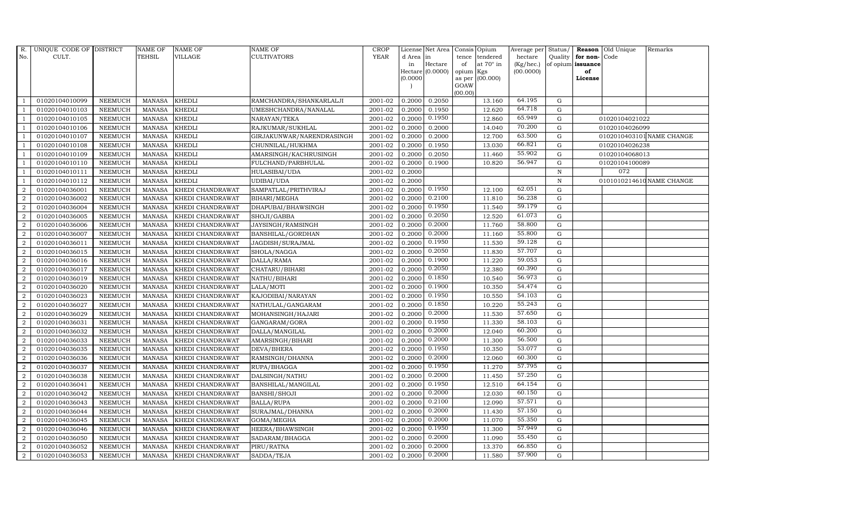| R.               | UNIQUE CODE OF DISTRICT |                | <b>NAME OF</b> | <b>NAME OF</b>   | <b>NAME OF</b>            | CROP        |           | License Net Area |           | Consis Opium     | Average per | Status/      |                   | <b>Reason</b> Old Unique | Remarks                   |
|------------------|-------------------------|----------------|----------------|------------------|---------------------------|-------------|-----------|------------------|-----------|------------------|-------------|--------------|-------------------|--------------------------|---------------------------|
| No.              | CULT.                   |                | <b>TEHSIL</b>  | VILLAGE          | <b>CULTIVATORS</b>        | <b>YEAR</b> | d Area in |                  | tence     | tendered         | hectare     | Quality      | for non-          | Code                     |                           |
|                  |                         |                |                |                  |                           |             | in        | Hectare          | of        | at $70^\circ$ in | (Kg/hec.)   |              | of opium issuance |                          |                           |
|                  |                         |                |                |                  |                           |             | (0.0000)  | Hectare (0.0000) | opium Kgs | as per (00.000)  | (00.0000)   |              | of<br>License     |                          |                           |
|                  |                         |                |                |                  |                           |             |           |                  | GOAW      |                  |             |              |                   |                          |                           |
|                  |                         |                |                |                  |                           |             |           |                  | (00.00)   |                  |             |              |                   |                          |                           |
| -1               | 01020104010099          | <b>NEEMUCH</b> | <b>MANASA</b>  | <b>KHEDLI</b>    | RAMCHANDRA/SHANKARLALJI   | 2001-02     | 0.2000    | 0.2050           |           | 13.160           | 64.195      | G            |                   |                          |                           |
| - 1              | 01020104010103          | NEEMUCH        | <b>MANASA</b>  | <b>KHEDLI</b>    | UMESHCHANDRA/NANALAL      | 2001-02     | 0.2000    | 0.1950           |           | 12.620           | 64.718      | G            |                   |                          |                           |
| $\overline{1}$   | 01020104010105          | <b>NEEMUCH</b> | <b>MANASA</b>  | <b>KHEDLI</b>    | NARAYAN/TEKA              | 2001-02     | 0.2000    | 0.1950           |           | 12.860           | 65.949      | $\mathbf G$  |                   | 01020104021022           |                           |
|                  | 01020104010106          | <b>NEEMUCH</b> | <b>MANASA</b>  | <b>KHEDLI</b>    | RAJKUMAR/SUKHLAL          | 2001-02     | 0.2000    | 0.2000           |           | 14.040           | 70.200      | $\mathbf G$  |                   | 01020104026099           |                           |
| $\overline{1}$   | 01020104010107          | <b>NEEMUCH</b> | <b>MANASA</b>  | <b>KHEDLI</b>    | GIRJAKUNWAR/NARENDRASINGH | 2001-02     | 0.2000    | 0.2000           |           | 12.700           | 63.500      | G            |                   |                          | 0102010403101 NAME CHANGE |
| $\mathbf{1}$     | 01020104010108          | <b>NEEMUCH</b> | <b>MANASA</b>  | <b>KHEDLI</b>    | CHUNNILAL/HUKHMA          | 2001-02     | 0.2000    | 0.1950           |           | 13.030           | 66.821      | G            |                   | 01020104026238           |                           |
| $\overline{1}$   | 01020104010109          | NEEMUCH        | <b>MANASA</b>  | KHEDLI           | AMARSINGH/KACHRUSINGH     | 2001-02     | 0.2000    | 0.2050           |           | 11.460           | 55.902      | ${\rm G}$    |                   | 01020104068013           |                           |
| $\overline{1}$   | 01020104010110          | <b>NEEMUCH</b> | <b>MANASA</b>  | <b>KHEDLI</b>    | FULCHAND/PARBHULAL        | 2001-02     | 0.2000    | 0.1900           |           | 10.820           | 56.947      | $\mathbf G$  |                   | 01020104100089           |                           |
|                  | 01020104010111          | <b>NEEMUCH</b> | <b>MANASA</b>  | <b>KHEDLI</b>    | HULASIBAI/UDA             | 2001-02     | 0.2000    |                  |           |                  |             | $\, {\rm N}$ |                   | 072                      |                           |
|                  | 01020104010112          | <b>NEEMUCH</b> | <b>MANASA</b>  | <b>KHEDLI</b>    | UDIBAI/UDA                | 2001-02     | 0.2000    |                  |           |                  |             | $\, {\rm N}$ |                   |                          | 0101010214610 NAME CHANGE |
| $\overline{2}$   | 01020104036001          | <b>NEEMUCH</b> | <b>MANASA</b>  | KHEDI CHANDRAWAT | SAMPATLAL/PRITHVIRAJ      | 2001-02     | 0.2000    | 0.1950           |           | 12.100           | 62.051      | ${\rm G}$    |                   |                          |                           |
| $\overline{2}$   | 01020104036002          | <b>NEEMUCH</b> | <b>MANASA</b>  | KHEDI CHANDRAWAT | BIHARI/MEGHA              | $2001 - 02$ | 0.2000    | 0.2100           |           | 11.810           | 56.238      | ${\rm G}$    |                   |                          |                           |
| $\overline{2}$   | 01020104036004          | <b>NEEMUCH</b> | <b>MANASA</b>  | KHEDI CHANDRAWAT | DHAPUBAI/BHAWSINGH        | 2001-02     | 0.2000    | 0.1950           |           | 11.540           | 59.179      | $\mathbf G$  |                   |                          |                           |
| $\overline{2}$   | 01020104036005          | <b>NEEMUCH</b> | <b>MANASA</b>  | KHEDI CHANDRAWAT | SHOJI/GABBA               | 2001-02     | 0.2000    | 0.2050           |           | 12.520           | 61.073      | $\mathbf G$  |                   |                          |                           |
| $\overline{2}$   | 01020104036006          | <b>NEEMUCH</b> | <b>MANASA</b>  | KHEDI CHANDRAWAT | JAYSINGH/RAMSINGH         | 2001-02     | 0.2000    | 0.2000           |           | 11.760           | 58.800      | G            |                   |                          |                           |
| $\overline{2}$   | 01020104036007          | <b>NEEMUCH</b> | <b>MANASA</b>  | KHEDI CHANDRAWAT | BANSHILAL/GORDHAN         | 2001-02     | 0.2000    | 0.2000           |           | 11.160           | 55.800      | $\mathbf G$  |                   |                          |                           |
| $\overline{2}$   | 01020104036011          | <b>NEEMUCH</b> | <b>MANASA</b>  | KHEDI CHANDRAWAT | JAGDISH/SURAJMAL          | 2001-02     | 0.2000    | 0.1950           |           | 11.530           | 59.128      | G            |                   |                          |                           |
| $\overline{2}$   | 01020104036015          | <b>NEEMUCH</b> | <b>MANASA</b>  | KHEDI CHANDRAWAT | SHOLA/NAGGA               | 2001-02     | 0.2000    | 0.2050           |           | 11.830           | 57.707      | G            |                   |                          |                           |
| $\overline{2}$   | 01020104036016          | <b>NEEMUCH</b> | <b>MANASA</b>  | KHEDI CHANDRAWAT | DALLA/RAMA                | 2001-02     | 0.2000    | 0.1900           |           | 11.220           | 59.053      | $\mathbf G$  |                   |                          |                           |
| $\overline{2}$   | 01020104036017          | <b>NEEMUCH</b> | <b>MANASA</b>  | KHEDI CHANDRAWAT | CHATARU/BIHARI            | 2001-02     | 0.2000    | 0.2050           |           | 12.380           | 60.390      | G            |                   |                          |                           |
| $\overline{2}$   | 01020104036019          | <b>NEEMUCH</b> | <b>MANASA</b>  | KHEDI CHANDRAWAT | NATHU/BIHARI              | 2001-02     | 0.2000    | 0.1850           |           | 10.540           | 56.973      | G            |                   |                          |                           |
| $\overline{2}$   | 01020104036020          | <b>NEEMUCH</b> | <b>MANASA</b>  | KHEDI CHANDRAWAT | LALA/MOTI                 | 2001-02     | 0.2000    | 0.1900           |           | 10.350           | 54.474      | G            |                   |                          |                           |
| $\overline{2}$   | 01020104036023          | <b>NEEMUCH</b> | <b>MANASA</b>  | KHEDI CHANDRAWAT | KAJODIBAI/NARAYAN         | 2001-02     | 0.2000    | 0.1950           |           | 10.550           | 54.103      | $\mathbf G$  |                   |                          |                           |
| $\overline{2}$   | 01020104036027          | <b>NEEMUCH</b> | <b>MANASA</b>  | KHEDI CHANDRAWAT | NATHULAL/GANGARAM         | 2001-02     | 0.2000    | 0.1850           |           | 10.220           | 55.243      | $\mathbf G$  |                   |                          |                           |
| $\overline{2}$   | 01020104036029          | <b>NEEMUCH</b> | <b>MANASA</b>  | KHEDI CHANDRAWAT | MOHANSINGH/HAJARI         | 2001-02     | 0.2000    | 0.2000           |           | 11.530           | 57.650      | G            |                   |                          |                           |
| $\overline{2}$   | 01020104036031          | <b>NEEMUCH</b> | <b>MANASA</b>  | KHEDI CHANDRAWAT | GANGARAM/GORA             | 2001-02     | 0.2000    | 0.1950           |           | 11.330           | 58.103      | G            |                   |                          |                           |
| $\overline{2}$   | 01020104036032          | <b>NEEMUCH</b> | <b>MANASA</b>  | KHEDI CHANDRAWAT | DALLA/MANGILAL            | 2001-02     | 0.2000    | 0.2000           |           | 12.040           | 60.200      | G            |                   |                          |                           |
| $\overline{2}$   | 01020104036033          | <b>NEEMUCH</b> | <b>MANASA</b>  | KHEDI CHANDRAWAT | AMARSINGH/BIHARI          | 2001-02     | 0.2000    | 0.2000           |           | 11.300           | 56.500      | G            |                   |                          |                           |
| $\overline{2}$   | 01020104036035          | <b>NEEMUCH</b> | <b>MANASA</b>  | KHEDI CHANDRAWAT | DEVA/BHERA                | 2001-02     | 0.2000    | 0.1950           |           | 10.350           | 53.077      | G            |                   |                          |                           |
| $\overline{2}$   | 01020104036036          | <b>NEEMUCH</b> | <b>MANASA</b>  | KHEDI CHANDRAWAT | RAMSINGH/DHANNA           | 2001-02     | 0.2000    | 0.2000           |           | 12.060           | 60.300      | $\mathbf G$  |                   |                          |                           |
| $\overline{2}$   | 01020104036037          | <b>NEEMUCH</b> | <b>MANASA</b>  | KHEDI CHANDRAWAT | RUPA/BHAGGA               | 2001-02     | 0.2000    | 0.1950           |           | 11.270           | 57.795      | G            |                   |                          |                           |
| $\overline{2}$   | 01020104036038          | <b>NEEMUCH</b> | <b>MANASA</b>  | KHEDI CHANDRAWAT | DALSINGH/NATHU            | 2001-02     | 0.2000    | 0.2000           |           | 11.450           | 57.250      | G            |                   |                          |                           |
| $\boldsymbol{2}$ | 01020104036041          | <b>NEEMUCH</b> | <b>MANASA</b>  | KHEDI CHANDRAWAT | BANSHILAL/MANGILAL        | 2001-02     | 0.2000    | 0.1950           |           | 12.510           | 64.154      | $\mathbf G$  |                   |                          |                           |
| 2                | 01020104036042          | <b>NEEMUCH</b> | <b>MANASA</b>  | KHEDI CHANDRAWAT | BANSHI/SHOJI              | 2001-02     | 0.2000    | 0.2000           |           | 12.030           | 60.150      | $\mathbf G$  |                   |                          |                           |
| $\overline{2}$   | 01020104036043          | <b>NEEMUCH</b> | <b>MANASA</b>  | KHEDI CHANDRAWAT | BALLA/RUPA                | 2001-02     | 0.2000    | 0.2100           |           | 12.090           | 57.571      | $\mathbf G$  |                   |                          |                           |
| $\overline{2}$   | 01020104036044          | <b>NEEMUCH</b> | <b>MANASA</b>  | KHEDI CHANDRAWAT | SURAJMAL/DHANNA           | 2001-02     | 0.2000    | 0.2000           |           | 11.430           | 57.150      | G            |                   |                          |                           |
| $\overline{2}$   | 01020104036045          | <b>NEEMUCH</b> | <b>MANASA</b>  | KHEDI CHANDRAWAT | GOMA/MEGHA                | 2001-02     | 0.2000    | 0.2000           |           | 11.070           | 55.350      | G            |                   |                          |                           |
| $\overline{2}$   | 01020104036046          | <b>NEEMUCH</b> | <b>MANASA</b>  | KHEDI CHANDRAWAT | HEERA/BHAWSINGH           | 2001-02     | 0.2000    | 0.1950           |           | 11.300           | 57.949      | $\mathbf G$  |                   |                          |                           |
| $\overline{2}$   | 01020104036050          | <b>NEEMUCH</b> | <b>MANASA</b>  | KHEDI CHANDRAWAT | SADARAM/BHAGGA            | 2001-02     | 0.2000    | 0.2000           |           | 11.090           | 55.450      | $\mathbf G$  |                   |                          |                           |
| $\overline{2}$   | 01020104036052          | <b>NEEMUCH</b> | <b>MANASA</b>  | KHEDI CHANDRAWAT | PIRU/RATNA                | 2001-02     | 0.2000    | 0.2000           |           | 13.370           | 66.850      | G            |                   |                          |                           |
| $\overline{2}$   | 01020104036053          | <b>NEEMUCH</b> | MANASA         | KHEDI CHANDRAWAT | SADDA/TEJA                | 2001-02     | 0.2000    | 0.2000           |           | 11.580           | 57.900      | G            |                   |                          |                           |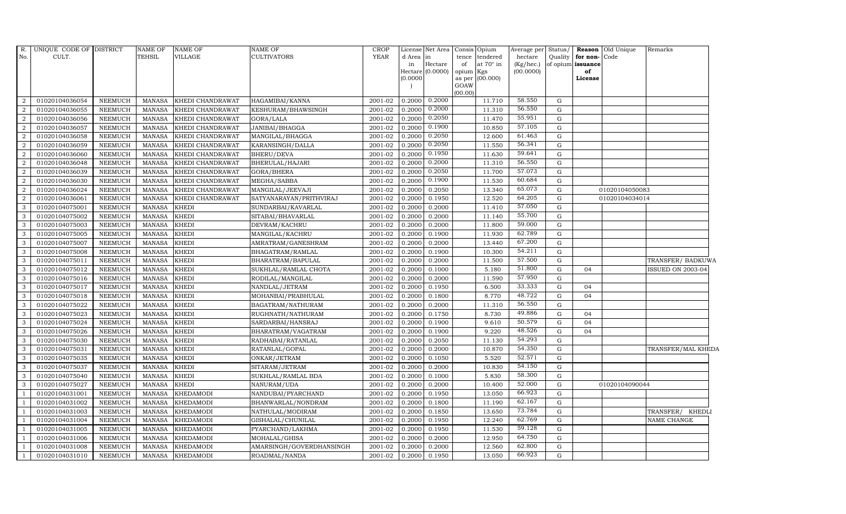| $R_{\cdot}$    | UNIQUE CODE OF DISTRICT |                | NAME OF       | NAME OF          | <b>NAME OF</b>           | CROP        |                     | License Net Area |           | Consis Opium     | Average per | Status/     |                   | <b>Reason</b> Old Unique | Remarks            |
|----------------|-------------------------|----------------|---------------|------------------|--------------------------|-------------|---------------------|------------------|-----------|------------------|-------------|-------------|-------------------|--------------------------|--------------------|
| No.            | CULT.                   |                | TEHSIL        | VILLAGE          | CULTIVATORS              | <b>YEAR</b> | d Area in           |                  | tence     | tendered         | hectare     | Quality     | for non-Code      |                          |                    |
|                |                         |                |               |                  |                          |             | in                  | Hectare          | of        | at $70^\circ$ in | (Kg/hec.)   |             | of opium issuance |                          |                    |
|                |                         |                |               |                  |                          |             | Hectare<br>(0.0000) | (0.0000)         | opium Kgs | as per (00.000)  | (00.0000)   |             | of<br>License     |                          |                    |
|                |                         |                |               |                  |                          |             |                     |                  | GOAW      |                  |             |             |                   |                          |                    |
|                |                         |                |               |                  |                          |             |                     |                  | (00.00)   |                  |             |             |                   |                          |                    |
| 2              | 01020104036054          | <b>NEEMUCH</b> | MANASA        | KHEDI CHANDRAWAT | HAGAMIBAI/KANNA          | 2001-02     | 0.2000              | 0.2000           |           | 11.710           | 58.550      | G           |                   |                          |                    |
| 2              | 01020104036055          | <b>NEEMUCH</b> | MANASA        | KHEDI CHANDRAWAT | KESHURAM/BHAWSINGH       | 2001-02     | 0.2000              | 0.2000           |           | 11.310           | 56.550      | $\mathbf G$ |                   |                          |                    |
| 2              | 01020104036056          | <b>NEEMUCH</b> | <b>MANASA</b> | KHEDI CHANDRAWAT | GORA/LALA                | 2001-02     | 0.2000              | 0.2050           |           | 11.470           | 55.951      | G           |                   |                          |                    |
| 2              | 01020104036057          | <b>NEEMUCH</b> | <b>MANASA</b> | KHEDI CHANDRAWAT | JANIBAI/BHAGGA           | 2001-02     | 0.2000              | 0.1900           |           | 10.850           | 57.105      | G           |                   |                          |                    |
| 2              | 01020104036058          | <b>NEEMUCH</b> | <b>MANASA</b> | KHEDI CHANDRAWAT | MANGILAL/BHAGGA          | 2001-02     | 0.2000              | 0.2050           |           | 12.600           | 61.463      | G           |                   |                          |                    |
| 2              | 01020104036059          | <b>NEEMUCH</b> | <b>MANASA</b> | KHEDI CHANDRAWAT | KARANSINGH/DALLA         | 2001-02     | 0.2000              | 0.2050           |           | 11.550           | 56.341      | G           |                   |                          |                    |
| 2              | 01020104036060          | <b>NEEMUCH</b> | <b>MANASA</b> | KHEDI CHANDRAWAT | BHERU/DEVA               | 2001-02     | 0.2000              | 0.1950           |           | 11.630           | 59.641      | G           |                   |                          |                    |
| 2              | 01020104036048          | <b>NEEMUCH</b> | <b>MANASA</b> | KHEDI CHANDRAWAT | BHERULAL/HAJARI          | 2001-02     | 0.2000              | 0.2000           |           | 11.310           | 56.550      | G           |                   |                          |                    |
| 2              | 01020104036039          | <b>NEEMUCH</b> | <b>MANASA</b> | KHEDI CHANDRAWAT | GORA/BHERA               | 2001-02     | 0.2000              | 0.2050           |           | 11.700           | 57.073      | G           |                   |                          |                    |
| $\overline{2}$ | 01020104036030          | <b>NEEMUCH</b> | <b>MANASA</b> | KHEDI CHANDRAWAT | MEGHA/SABBA              | 2001-02     | 0.2000              | 0.1900           |           | 11.530           | 60.684      | G           |                   |                          |                    |
| 2              | 01020104036024          | <b>NEEMUCH</b> | <b>MANASA</b> | KHEDI CHANDRAWAT | MANGILAL/JEEVAJI         | 2001-02     | 0.2000              | 0.2050           |           | 13.340           | 65.073      | G           |                   | 01020104050083           |                    |
| 2              | 01020104036061          | <b>NEEMUCH</b> | <b>MANASA</b> | KHEDI CHANDRAWAT | SATYANARAYAN/PRITHVIRAJ  | 2001-02     | 0.2000              | 0.1950           |           | 12.520           | 64.205      | G           |                   | 01020104034014           |                    |
| $\mathbf{3}$   | 01020104075001          | <b>NEEMUCH</b> | <b>MANASA</b> | <b>KHEDI</b>     | SUNDARBAI/KAVARLAL       | 2001-02     | 0.2000              | 0.2000           |           | 11.410           | 57.050      | G           |                   |                          |                    |
| 3              | 01020104075002          | <b>NEEMUCH</b> | <b>MANASA</b> | <b>KHEDI</b>     | SITABAI/BHAVARLAL        | 2001-02     | 0.2000              | 0.2000           |           | 11.140           | 55.700      | G           |                   |                          |                    |
| 3              | 01020104075003          | <b>NEEMUCH</b> | <b>MANASA</b> | <b>KHEDI</b>     | DEVRAM/KACHRU            | 2001-02     | 0.2000              | 0.2000           |           | 11.800           | 59.000      | G           |                   |                          |                    |
| 3              | 01020104075005          | <b>NEEMUCH</b> | <b>MANASA</b> | <b>KHEDI</b>     | MANGILAL/KACHRU          | 2001-02     | 0.2000              | 0.1900           |           | 11.930           | 62.789      | G           |                   |                          |                    |
| 3              | 01020104075007          | <b>NEEMUCH</b> | <b>MANASA</b> | <b>KHEDI</b>     | AMRATRAM/GANESHRAM       | 2001-02     | 0.2000              | 0.2000           |           | 13.440           | 67.200      | G           |                   |                          |                    |
| 3              | 01020104075008          | <b>NEEMUCH</b> | <b>MANASA</b> | <b>KHEDI</b>     | BHAGATRAM/RAMLAL         | 2001-02     | 0.2000              | 0.1900           |           | 10.300           | 54.211      | G           |                   |                          |                    |
| 3              | 01020104075011          | <b>NEEMUCH</b> | <b>MANASA</b> | <b>KHEDI</b>     | BHARATRAM/BAPULAL        | 2001-02     | 0.2000              | 0.2000           |           | 11.500           | 57.500      | G           |                   |                          | TRANSFER/ BADKUWA  |
| 3              | 01020104075012          | <b>NEEMUCH</b> | <b>MANASA</b> | <b>KHEDI</b>     | SUKHLAL/RAMLAL CHOTA     | 2001-02     | 0.2000              | 0.1000           |           | 5.180            | 51.800      | G           | 04                |                          | ISSUED ON 2003-04  |
| 3              | 01020104075016          | <b>NEEMUCH</b> | <b>MANASA</b> | <b>KHEDI</b>     | RODILAL/MANGILAL         | 2001-02     | 0.2000              | 0.2000           |           | 11.590           | 57.950      | G           |                   |                          |                    |
| 3              | 01020104075017          | <b>NEEMUCH</b> | <b>MANASA</b> | <b>KHEDI</b>     | NANDLAL/JETRAM           | 2001-02     | 0.2000              | 0.1950           |           | 6.500            | 33.333      | G           | 04                |                          |                    |
| $\mathbf{3}$   | 01020104075018          | <b>NEEMUCH</b> | <b>MANASA</b> | <b>KHEDI</b>     | MOHANBAI/PRABHULAL       | 2001-02     | 0.2000              | 0.1800           |           | 8.770            | 48.722      | G           | 04                |                          |                    |
| 3              | 01020104075022          | <b>NEEMUCH</b> | <b>MANASA</b> | <b>KHEDI</b>     | BAGATRAM/NATHURAM        | 2001-02     | 0.2000              | 0.2000           |           | 11.310           | 56.550      | G           |                   |                          |                    |
| 3              | 01020104075023          | <b>NEEMUCH</b> | <b>MANASA</b> | <b>KHEDI</b>     | RUGHNATH/NATHURAM        | 2001-02     | 0.2000              | 0.1750           |           | 8.730            | 49.886      | G           | 04                |                          |                    |
| $\mathbf{3}$   | 01020104075024          | <b>NEEMUCH</b> | <b>MANASA</b> | <b>KHEDI</b>     | SARDARBAI/HANSRAJ        | 2001-02     | 0.2000              | 0.1900           |           | 9.610            | 50.579      | G           | 04                |                          |                    |
| 3              | 01020104075026          | <b>NEEMUCH</b> | MANASA        | <b>KHEDI</b>     | BHARATRAM/VAGATRAM       | 2001-02     | 0.2000              | 0.1900           |           | 9.220            | 48.526      | G           | 04                |                          |                    |
| $\mathbf{3}$   | 01020104075030          | <b>NEEMUCH</b> | <b>MANASA</b> | <b>KHEDI</b>     | RADHABAI/RATANLAL        | 2001-02     | 0.2000              | 0.2050           |           | 11.130           | 54.293      | G           |                   |                          |                    |
| 3              | 01020104075031          | <b>NEEMUCH</b> | <b>MANASA</b> | <b>KHEDI</b>     | RATANLAL/GOPAL           | 2001-02     | 0.2000              | 0.2000           |           | 10.870           | 54.350      | G           |                   |                          | TRANSFER/MAL KHEDA |
| 3              | 01020104075035          | <b>NEEMUCH</b> | <b>MANASA</b> | <b>KHEDI</b>     | ONKAR/JETRAM             | 2001-02     | 0.2000              | 0.1050           |           | 5.520            | 52.571      | G           |                   |                          |                    |
| $\mathbf{3}$   | 01020104075037          | <b>NEEMUCH</b> | <b>MANASA</b> | <b>KHEDI</b>     | SITARAM/JETRAM           | 2001-02     | 0.2000              | 0.2000           |           | 10.830           | 54.150      | G           |                   |                          |                    |
| $\mathbf{3}$   | 01020104075040          | <b>NEEMUCH</b> | <b>MANASA</b> | <b>KHEDI</b>     | SUKHLAL/RAMLAL BDA       | 2001-02     | 0.2000              | 0.1000           |           | 5.830            | 58.300      | G           |                   |                          |                    |
| $\mathbf{3}$   | 01020104075027          | <b>NEEMUCH</b> | <b>MANASA</b> | <b>KHEDI</b>     | NANURAM/UDA              | 2001-02     | 0.2000              | 0.2000           |           | 10.400           | 52.000      | ${\rm G}$   |                   | 01020104090044           |                    |
| -1             | 01020104031001          | <b>NEEMUCH</b> | <b>MANASA</b> | <b>KHEDAMODI</b> | NANDUBAI/PYARCHAND       | 2001-02     | 0.2000              | 0.1950           |           | 13.050           | 66.923      | G           |                   |                          |                    |
|                | 01020104031002          | <b>NEEMUCH</b> | <b>MANASA</b> | <b>KHEDAMODI</b> | BHANWARLAL/NONDRAM       | 2001-02     | 0.2000              | 0.1800           |           | 11.190           | 62.167      | G           |                   |                          |                    |
|                | 01020104031003          | <b>NEEMUCH</b> | <b>MANASA</b> | <b>KHEDAMODI</b> | NATHULAL/MODIRAM         | 2001-02     | 0.2000              | 0.1850           |           | 13.650           | 73.784      | G           |                   |                          | TRANSFER/ KHEDLI   |
| $\overline{1}$ | 01020104031004          | <b>NEEMUCH</b> | <b>MANASA</b> | <b>KHEDAMODI</b> | GISHALAL/CHUNILAL        | 2001-02     | 0.2000              | 0.1950           |           | 12.240           | 62.769      | G           |                   |                          | NAME CHANGE        |
| $\overline{1}$ | 01020104031005          | <b>NEEMUCH</b> | <b>MANASA</b> | <b>KHEDAMODI</b> | PYARCHAND/LAKHMA         | 2001-02     | 0.2000              | 0.1950           |           | 11.530           | 59.128      | G           |                   |                          |                    |
| $\overline{1}$ | 01020104031006          | <b>NEEMUCH</b> | <b>MANASA</b> | KHEDAMODI        | MOHALAL/GHISA            | 2001-02     | 0.2000              | 0.2000           |           | 12.950           | 64.750      | G           |                   |                          |                    |
|                | 01020104031008          | <b>NEEMUCH</b> | <b>MANASA</b> | KHEDAMODI        | AMARSINGH/GOVERDHANSINGH | 2001-02     | 0.2000              | 0.2000           |           | 12.560           | 62.800      | G           |                   |                          |                    |
| $\mathbf{1}$   | 01020104031010          | <b>NEEMUCH</b> | MANASA        | <b>KHEDAMODI</b> | ROADMAL/NANDA            | 2001-02     | 0.2000              | 0.1950           |           | 13.050           | 66.923      | G           |                   |                          |                    |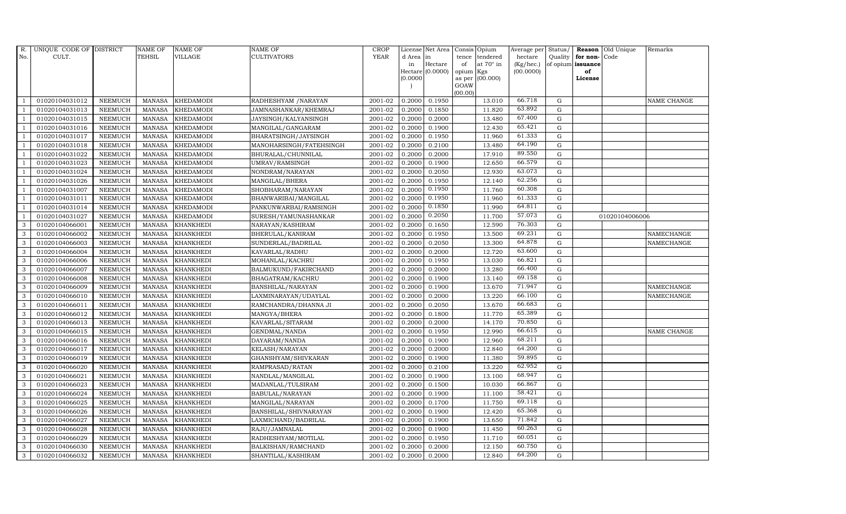| R.             | UNIQUE CODE OF DISTRICT |                | <b>NAME OF</b> | <b>NAME OF</b>   | <b>NAME OF</b>          | CROP        |           | License Net Area   Consis   Opium |           |                  | Average per | Status/     | Reason            | Old Unique     | Remarks     |
|----------------|-------------------------|----------------|----------------|------------------|-------------------------|-------------|-----------|-----------------------------------|-----------|------------------|-------------|-------------|-------------------|----------------|-------------|
| No.            | CULT.                   |                | <b>TEHSIL</b>  | <b>VILLAGE</b>   | <b>CULTIVATORS</b>      | <b>YEAR</b> | d Area in |                                   | tence     | tendered         | hectare     | Quality     | for non-          | Code           |             |
|                |                         |                |                |                  |                         |             | in        | Hectare                           | of        | at $70^\circ$ in | (Kg/hec.)   |             | of opium issuance |                |             |
|                |                         |                |                |                  |                         |             |           | Hectare (0.0000)                  | opium Kgs |                  | (00.0000)   |             | of                |                |             |
|                |                         |                |                |                  |                         |             | (0.0000)  |                                   | GOAW      | as per (00.000)  |             |             | License           |                |             |
|                |                         |                |                |                  |                         |             |           |                                   | (00.00)   |                  |             |             |                   |                |             |
|                | 01020104031012          | <b>NEEMUCH</b> | MANASA         | <b>KHEDAMODI</b> | RADHESHYAM / NARAYAN    | 2001-02     | 0.2000    | 0.1950                            |           | 13.010           | 66.718      | $\mathbf G$ |                   |                | NAME CHANGE |
| -1             | 01020104031013          | <b>NEEMUCH</b> | <b>MANASA</b>  | <b>KHEDAMODI</b> | JAMNASHANKAR/KHEMRAJ    | 2001-02     | 0.2000    | 0.1850                            |           | 11.820           | 63.892      | $\mathbf G$ |                   |                |             |
|                | 01020104031015          | <b>NEEMUCH</b> | <b>MANASA</b>  | <b>KHEDAMODI</b> | JAYSINGH/KALYANSINGH    | 2001-02     | 0.2000    | 0.2000                            |           | 13.480           | 67.400      | G           |                   |                |             |
|                | 01020104031016          | <b>NEEMUCH</b> | <b>MANASA</b>  | <b>KHEDAMODI</b> | MANGILAL/GANGARAM       | 2001-02     | 0.2000    | 0.1900                            |           | 12.430           | 65.421      | $\mathbf G$ |                   |                |             |
| $\overline{1}$ | 01020104031017          | <b>NEEMUCH</b> | <b>MANASA</b>  | <b>KHEDAMODI</b> | BHARATSINGH/JAYSINGH    | 2001-02     | 0.2000    | 0.1950                            |           | 11.960           | 61.333      | $\mathbf G$ |                   |                |             |
| $\overline{1}$ | 01020104031018          | <b>NEEMUCH</b> | <b>MANASA</b>  | <b>KHEDAMODI</b> | MANOHARSINGH/FATEHSINGH | 2001-02     | 0.2000    | 0.2100                            |           | 13.480           | 64.190      | $\mathbf G$ |                   |                |             |
| $\overline{1}$ | 01020104031022          | <b>NEEMUCH</b> | <b>MANASA</b>  | <b>KHEDAMODI</b> | BHURALAL/CHUNNILAL      | 2001-02     | 0.2000    | 0.2000                            |           | 17.910           | 89.550      | $\mathbf G$ |                   |                |             |
| $\overline{1}$ | 01020104031023          | <b>NEEMUCH</b> | <b>MANASA</b>  | <b>KHEDAMODI</b> | UMRAV/RAMSINGH          | 2001-02     | 0.2000    | 0.1900                            |           | 12.650           | 66.579      | $\mathbf G$ |                   |                |             |
|                | 01020104031024          | <b>NEEMUCH</b> | <b>MANASA</b>  | <b>KHEDAMODI</b> | NONDRAM/NARAYAN         | 2001-02     | 0.2000    | 0.2050                            |           | 12.930           | 63.073      | $\mathbf G$ |                   |                |             |
|                | 01020104031026          | <b>NEEMUCH</b> | <b>MANASA</b>  | <b>KHEDAMODI</b> | MANGILAL/BHERA          | 2001-02     | 0.2000    | 0.1950                            |           | 12.140           | 62.256      | $\mathbf G$ |                   |                |             |
| $\overline{1}$ | 01020104031007          | <b>NEEMUCH</b> | <b>MANASA</b>  | <b>KHEDAMODI</b> | SHOBHARAM/NARAYAN       | 2001-02     | 0.2000    | 0.1950                            |           | 11.760           | 60.308      | ${\rm G}$   |                   |                |             |
| $\overline{1}$ | 01020104031011          | <b>NEEMUCH</b> | <b>MANASA</b>  | <b>KHEDAMODI</b> | BHANWARIBAI/MANGILAL    | 2001-02     | 0.2000    | 0.1950                            |           | 11.960           | 61.333      | G           |                   |                |             |
| $\overline{1}$ | 01020104031014          | <b>NEEMUCH</b> | <b>MANASA</b>  | <b>KHEDAMODI</b> | PANKUNWARBAI/RAMSINGH   | 2001-02     | 0.2000    | 0.1850                            |           | 11.990           | 64.811      | $\mathbf G$ |                   |                |             |
|                | 01020104031027          | <b>NEEMUCH</b> | <b>MANASA</b>  | <b>KHEDAMODI</b> | SURESH/YAMUNASHANKAR    | 2001-02     | 0.2000    | 0.2050                            |           | 11.700           | 57.073      | G           |                   | 01020104006006 |             |
| 3              | 01020104066001          | <b>NEEMUCH</b> | <b>MANASA</b>  | <b>KHANKHEDI</b> | NARAYAN/KASHIRAM        | 2001-02     | 0.2000    | 0.1650                            |           | 12.590           | 76.303      | ${\rm G}$   |                   |                |             |
| 3              | 01020104066002          | <b>NEEMUCH</b> | <b>MANASA</b>  | <b>KHANKHEDI</b> | BHERULAL/KANIRAM        | 2001-02     | 0.2000    | 0.1950                            |           | 13.500           | 69.231      | ${\rm G}$   |                   |                | NAMECHANGE  |
| 3              | 01020104066003          | <b>NEEMUCH</b> | <b>MANASA</b>  | <b>KHANKHEDI</b> | SUNDERLAL/BADRILAL      | 2001-02     | 0.2000    | 0.2050                            |           | 13.300           | 64.878      | G           |                   |                | NAMECHANGE  |
| 3              | 01020104066004          | <b>NEEMUCH</b> | MANASA         | <b>KHANKHEDI</b> | KAVARLAL/RADHU          | 2001-02     | 0.2000    | 0.2000                            |           | 12.720           | 63.600      | $\mathbf G$ |                   |                |             |
| 3              | 01020104066006          | <b>NEEMUCH</b> | <b>MANASA</b>  | <b>KHANKHEDI</b> | MOHANLAL/KACHRU         | 2001-02     | 0.2000    | 0.1950                            |           | 13.030           | 66.821      | $\mathbf G$ |                   |                |             |
| 3              | 01020104066007          | <b>NEEMUCH</b> | <b>MANASA</b>  | <b>KHANKHEDI</b> | BALMUKUND/FAKIRCHAND    | 2001-02     | 0.2000    | 0.2000                            |           | 13.280           | 66.400      | $\mathbf G$ |                   |                |             |
| $\mathbf{3}$   | 01020104066008          | <b>NEEMUCH</b> | <b>MANASA</b>  | <b>KHANKHEDI</b> | BHAGATRAM/KACHRU        | 2001-02     | 0.2000    | 0.1900                            |           | 13.140           | 69.158      | ${\rm G}$   |                   |                |             |
| 3              | 01020104066009          | <b>NEEMUCH</b> | <b>MANASA</b>  | <b>KHANKHEDI</b> | BANSHILAL/NARAYAN       | 2001-02     | 0.2000    | 0.1900                            |           | 13.670           | 71.947      | $\mathbf G$ |                   |                | NAMECHANGE  |
| $\mathbf{3}$   | 01020104066010          | <b>NEEMUCH</b> | MANASA         | <b>KHANKHEDI</b> | LAXMINARAYAN/UDAYLAL    | 2001-02     | 0.2000    | 0.2000                            |           | 13.220           | 66.100      | G           |                   |                | NAMECHANGE  |
| 3              | 01020104066011          | <b>NEEMUCH</b> | <b>MANASA</b>  | <b>KHANKHEDI</b> | RAMCHANDRA/DHANNA JI    | 2001-02     | 0.2000    | 0.2050                            |           | 13.670           | 66.683      | $\mathbf G$ |                   |                |             |
| 3              | 01020104066012          | <b>NEEMUCH</b> | <b>MANASA</b>  | <b>KHANKHEDI</b> | MANGYA/BHERA            | 2001-02     | 0.2000    | 0.1800                            |           | 11.770           | 65.389      | $\mathbf G$ |                   |                |             |
| 3              | 01020104066013          | <b>NEEMUCH</b> | <b>MANASA</b>  | <b>KHANKHEDI</b> | KAVARLAL/SITARAM        | 2001-02     | 0.2000    | 0.2000                            |           | 14.170           | 70.850      | ${\rm G}$   |                   |                |             |
| 3              | 01020104066015          | <b>NEEMUCH</b> | <b>MANASA</b>  | <b>KHANKHEDI</b> | GENDMAL/NANDA           | 2001-02     | 0.2000    | 0.1950                            |           | 12.990           | 66.615      | ${\rm G}$   |                   |                | NAME CHANGE |
| 3              | 01020104066016          | <b>NEEMUCH</b> | <b>MANASA</b>  | <b>KHANKHEDI</b> | DAYARAM/NANDA           | 2001-02     | 0.2000    | 0.1900                            |           | 12.960           | 68.211      | $\mathbf G$ |                   |                |             |
| 3              | 01020104066017          | <b>NEEMUCH</b> | <b>MANASA</b>  | <b>KHANKHEDI</b> | KELASH/NARAYAN          | 2001-02     | 0.2000    | 0.2000                            |           | 12.840           | 64.200      | $\mathbf G$ |                   |                |             |
| 3              | 01020104066019          | <b>NEEMUCH</b> | <b>MANASA</b>  | <b>KHANKHEDI</b> | GHANSHYAM/SHIVKARAN     | 2001-02     | 0.2000    | 0.1900                            |           | 11.380           | 59.895      | $\mathbf G$ |                   |                |             |
| 3              | 01020104066020          | <b>NEEMUCH</b> | <b>MANASA</b>  | <b>KHANKHEDI</b> | RAMPRASAD/RATAN         | 2001-02     | 0.2000    | 0.2100                            |           | 13.220           | 62.952      | $\mathbf G$ |                   |                |             |
| 3              | 01020104066021          | <b>NEEMUCH</b> | <b>MANASA</b>  | <b>KHANKHEDI</b> | NANDLAL/MANGILAL        | 2001-02     | 0.2000    | 0.1900                            |           | 13.100           | 68.947      | ${\rm G}$   |                   |                |             |
| 3              | 01020104066023          | <b>NEEMUCH</b> | MANASA         | <b>KHANKHEDI</b> | MADANLAL/TULSIRAM       | 2001-02     | 0.2000    | 0.1500                            |           | 10.030           | 66.867      | $\mathbf G$ |                   |                |             |
| 3              | 01020104066024          | <b>NEEMUCH</b> | <b>MANASA</b>  | <b>KHANKHEDI</b> | BABULAL/NARAYAN         | 2001-02     | 0.2000    | 0.1900                            |           | 11.100           | 58.421      | $\mathbf G$ |                   |                |             |
| 3              | 01020104066025          | <b>NEEMUCH</b> | <b>MANASA</b>  | KHANKHEDI        | MANGILAL/NARAYAN        | 2001-02     | 0.2000    | 0.1700                            |           | 11.750           | 69.118      | $\mathbf G$ |                   |                |             |
| 3              | 01020104066026          | <b>NEEMUCH</b> | <b>MANASA</b>  | <b>KHANKHEDI</b> | BANSHILAL/SHIVNARAYAN   | 2001-02     | 0.2000    | 0.1900                            |           | 12.420           | 65.368      | $\mathbf G$ |                   |                |             |
| 3              | 01020104066027          | <b>NEEMUCH</b> | <b>MANASA</b>  | <b>KHANKHEDI</b> | LAXMICHAND/BADRILAL     | 2001-02     | 0.2000    | 0.1900                            |           | 13.650           | 71.842      | ${\bf G}$   |                   |                |             |
| 3              | 01020104066028          | <b>NEEMUCH</b> | <b>MANASA</b>  | <b>KHANKHEDI</b> | RAJU/JAMNALAL           | 2001-02     | 0.2000    | 0.1900                            |           | 11.450           | 60.263      | $\mathbf G$ |                   |                |             |
| 3              | 01020104066029          | <b>NEEMUCH</b> | <b>MANASA</b>  | <b>KHANKHEDI</b> | RADHESHYAM/MOTILAL      | 2001-02     | 0.2000    | 0.1950                            |           | 11.710           | 60.051      | $\mathbf G$ |                   |                |             |
| 3              | 01020104066030          | <b>NEEMUCH</b> | <b>MANASA</b>  | <b>KHANKHEDI</b> | BALKISHAN/RAMCHAND      | 2001-02     | 0.2000    | 0.2000                            |           | 12.150           | 60.750      | $\mathbf G$ |                   |                |             |
| 3              | 01020104066032          | <b>NEEMUCH</b> |                | MANASA KHANKHEDI | SHANTILAL/KASHIRAM      | 2001-02     | 0.2000    | 0.2000                            |           | 12.840           | 64.200      | G           |                   |                |             |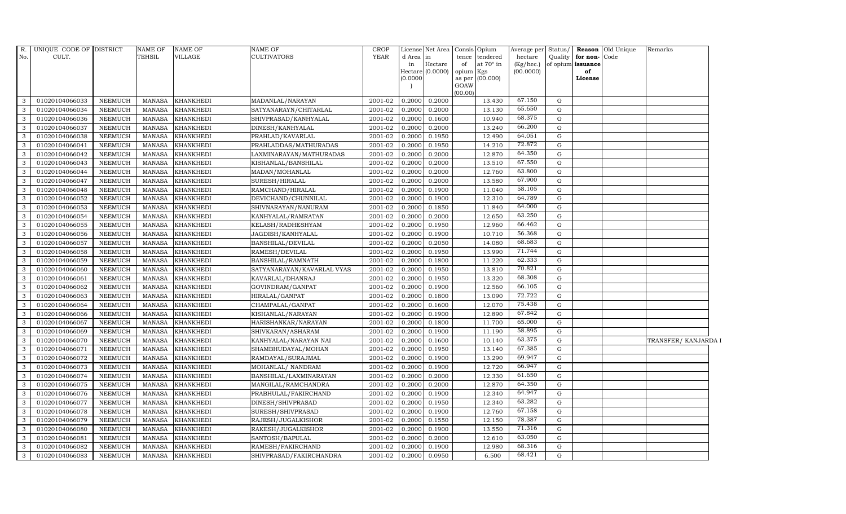| R.           | UNIQUE CODE OF DISTRICT |                | <b>NAME OF</b> | <b>NAME OF</b>   | <b>NAME OF</b>             | <b>CROP</b> |                 | License Net Area | Consis Opium    |                       | Average per          | Status/     |                                   | <b>Reason</b> Old Unique | Remarks             |  |
|--------------|-------------------------|----------------|----------------|------------------|----------------------------|-------------|-----------------|------------------|-----------------|-----------------------|----------------------|-------------|-----------------------------------|--------------------------|---------------------|--|
| No.          | CULT.                   |                | TEHSIL         | <b>VILLAGE</b>   | <b>CULTIVATORS</b>         | <b>YEAR</b> | d Area in<br>in | Hectare          | tence<br>of     | tendered<br>at 70° in | hectare<br>(Kg/hec.) | Quality     | for non-Code<br>of opium issuance |                          |                     |  |
|              |                         |                |                |                  |                            |             |                 | Hectare (0.0000) | opium Kgs       |                       | (00.0000)            |             | of                                |                          |                     |  |
|              |                         |                |                |                  |                            |             | (0.0000)        |                  | as per (00.000) |                       |                      |             | License                           |                          |                     |  |
|              |                         |                |                |                  |                            |             |                 |                  | GOAW            |                       |                      |             |                                   |                          |                     |  |
| 3            | 01020104066033          | <b>NEEMUCH</b> | MANASA         | <b>KHANKHEDI</b> | MADANLAL/NARAYAN           | 2001-02     | 0.2000          | 0.2000           | (00.00)         | 13.430                | 67.150               | G           |                                   |                          |                     |  |
| 3            | 01020104066034          | <b>NEEMUCH</b> | <b>MANASA</b>  | <b>KHANKHEDI</b> | SATYANARAYN/CHITARLAL      | 2001-02     | 0.2000          | 0.2000           |                 | 13.130                | 65.650               | G           |                                   |                          |                     |  |
| 3            | 01020104066036          | <b>NEEMUCH</b> | <b>MANASA</b>  | <b>KHANKHEDI</b> | SHIVPRASAD/KANHYALAL       | 2001-02     | 0.2000          | 0.1600           |                 | 10.940                | 68.375               | G           |                                   |                          |                     |  |
| 3            | 01020104066037          | <b>NEEMUCH</b> | <b>MANASA</b>  | <b>KHANKHEDI</b> | DINESH/KANHYALAL           | 2001-02     | 0.2000          | 0.2000           |                 | 13.240                | 66.200               | G           |                                   |                          |                     |  |
| $\mathbf{3}$ | 01020104066038          | <b>NEEMUCH</b> | <b>MANASA</b>  | <b>KHANKHEDI</b> | PRAHLAD/KAVARLAL           | 2001-02     | 0.2000          | 0.1950           |                 | 12.490                | 64.051               | G           |                                   |                          |                     |  |
| $\mathbf{3}$ | 01020104066041          | <b>NEEMUCH</b> | <b>MANASA</b>  | <b>KHANKHEDI</b> | PRAHLADDAS/MATHURADAS      | 2001-02     | 0.2000          | 0.1950           |                 | 14.210                | 72.872               | G           |                                   |                          |                     |  |
| 3            | 01020104066042          | <b>NEEMUCH</b> | <b>MANASA</b>  | <b>KHANKHEDI</b> | LAXMINARAYAN/MATHURADAS    | 2001-02     | 0.2000          | 0.2000           |                 | 12.870                | 64.350               | G           |                                   |                          |                     |  |
| 3            | 01020104066043          | <b>NEEMUCH</b> | <b>MANASA</b>  | <b>KHANKHEDI</b> | KISHANLAL/BANSHILAL        | 2001-02     | 0.2000          | 0.2000           |                 | 13.510                | 67.550               | G           |                                   |                          |                     |  |
| 3            | 01020104066044          | <b>NEEMUCH</b> | <b>MANASA</b>  | <b>KHANKHEDI</b> | MADAN/MOHANLAL             | 2001-02     | 0.2000          | 0.2000           |                 | 12.760                | 63.800               | G           |                                   |                          |                     |  |
| 3            | 01020104066047          | <b>NEEMUCH</b> | <b>MANASA</b>  | <b>KHANKHEDI</b> | SURESH/HIRALAL             | 2001-02     | 0.2000          | 0.2000           |                 | 13.580                | 67.900               | G           |                                   |                          |                     |  |
| $\mathbf{3}$ | 01020104066048          | <b>NEEMUCH</b> | <b>MANASA</b>  | <b>KHANKHEDI</b> | RAMCHAND/HIRALAL           | 2001-02     | 0.2000          | 0.1900           |                 | 11.040                | 58.105               | G           |                                   |                          |                     |  |
| 3            | 01020104066052          | <b>NEEMUCH</b> | <b>MANASA</b>  | <b>KHANKHEDI</b> | DEVICHAND/CHUNNILAL        | 2001-02     | 0.2000          | 0.1900           |                 | 12.310                | 64.789               | G           |                                   |                          |                     |  |
| $\mathbf{3}$ | 01020104066053          | <b>NEEMUCH</b> | <b>MANASA</b>  | <b>KHANKHEDI</b> | SHIVNARAYAN/NANURAM        | 2001-02     | 0.2000          | 0.1850           |                 | 11.840                | 64.000               | $\mathbf G$ |                                   |                          |                     |  |
| 3            | 01020104066054          | <b>NEEMUCH</b> | <b>MANASA</b>  | <b>KHANKHEDI</b> | KANHYALAL/RAMRATAN         | 2001-02     | 0.2000          | 0.2000           |                 | 12.650                | 63.250               | G           |                                   |                          |                     |  |
| 3            | 01020104066055          | <b>NEEMUCH</b> | <b>MANASA</b>  | <b>KHANKHEDI</b> | KELASH/RADHESHYAM          | 2001-02     | 0.2000          | 0.1950           |                 | 12.960                | 66.462               | G           |                                   |                          |                     |  |
| 3            | 01020104066056          | <b>NEEMUCH</b> | <b>MANASA</b>  | <b>KHANKHEDI</b> | JAGDISH/KANHYALAL          | 2001-02     | 0.2000          | 0.1900           |                 | 10.710                | 56.368               | G           |                                   |                          |                     |  |
| $\mathbf{3}$ | 01020104066057          | <b>NEEMUCH</b> | <b>MANASA</b>  | <b>KHANKHEDI</b> | <b>BANSHILAL/DEVILAL</b>   | 2001-02     | 0.2000          | 0.2050           |                 | 14.080                | 68.683               | G           |                                   |                          |                     |  |
| $\mathbf{3}$ | 01020104066058          | <b>NEEMUCH</b> | <b>MANASA</b>  | <b>KHANKHEDI</b> | RAMESH/DEVILAL             | 2001-02     | 0.2000          | 0.1950           |                 | 13.990                | 71.744               | $\mathbf G$ |                                   |                          |                     |  |
| 3            | 01020104066059          | <b>NEEMUCH</b> | <b>MANASA</b>  | <b>KHANKHEDI</b> | <b>BANSHILAL/RAMNATH</b>   | 2001-02     | 0.2000          | 0.1800           |                 | 11.220                | 62.333               | $\mathbf G$ |                                   |                          |                     |  |
| 3            | 01020104066060          | <b>NEEMUCH</b> | <b>MANASA</b>  | <b>KHANKHEDI</b> | SATYANARAYAN/KAVARLAL VYAS | 2001-02     | 0.2000          | 0.1950           |                 | 13.810                | 70.821               | G           |                                   |                          |                     |  |
| $\mathbf{3}$ | 01020104066061          | <b>NEEMUCH</b> | <b>MANASA</b>  | <b>KHANKHEDI</b> | KAVARLAL/DHANRAJ           | 2001-02     | 0.2000          | 0.1950           |                 | 13.320                | 68.308               | G           |                                   |                          |                     |  |
| $\mathbf{3}$ | 01020104066062          | <b>NEEMUCH</b> | <b>MANASA</b>  | <b>KHANKHEDI</b> | GOVINDRAM/GANPAT           | 2001-02     | 0.2000          | 0.1900           |                 | 12.560                | 66.105               | G           |                                   |                          |                     |  |
| $\mathbf{3}$ | 01020104066063          | <b>NEEMUCH</b> | <b>MANASA</b>  | <b>KHANKHEDI</b> | HIRALAL/GANPAT             | 2001-02     | 0.2000          | 0.1800           |                 | 13.090                | 72.722               | G           |                                   |                          |                     |  |
| $\mathbf{3}$ | 01020104066064          | <b>NEEMUCH</b> | <b>MANASA</b>  | <b>KHANKHEDI</b> | CHAMPALAL/GANPAT           | 2001-02     | 0.2000          | 0.1600           |                 | 12.070                | 75.438               | $\mathbf G$ |                                   |                          |                     |  |
| 3            | 01020104066066          | <b>NEEMUCH</b> | <b>MANASA</b>  | <b>KHANKHEDI</b> | KISHANLAL/NARAYAN          | 2001-02     | 0.2000          | 0.1900           |                 | 12.890                | 67.842               | G           |                                   |                          |                     |  |
| $\mathbf{3}$ | 01020104066067          | <b>NEEMUCH</b> | <b>MANASA</b>  | <b>KHANKHEDI</b> | HARISHANKAR/NARAYAN        | 2001-02     | 0.2000          | 0.1800           |                 | 11.700                | 65.000               | G           |                                   |                          |                     |  |
| 3            | 01020104066069          | <b>NEEMUCH</b> | <b>MANASA</b>  | <b>KHANKHEDI</b> | SHIVKARAN/ASHARAM          | 2001-02     | 0.2000          | 0.1900           |                 | 11.190                | 58.895               | G           |                                   |                          |                     |  |
| $\mathbf{3}$ | 01020104066070          | <b>NEEMUCH</b> | <b>MANASA</b>  | <b>KHANKHEDI</b> | KANHYALAL/NARAYAN NAI      | 2001-02     | 0.2000          | 0.1600           |                 | 10.140                | 63.375               | G           |                                   |                          | TRANSFER/KANJARDA I |  |
| 3            | 01020104066071          | <b>NEEMUCH</b> | <b>MANASA</b>  | <b>KHANKHEDI</b> | SHAMBHUDAYAL/MOHAN         | 2001-02     | 0.2000          | 0.1950           |                 | 13.140                | 67.385               | G           |                                   |                          |                     |  |
| 3            | 01020104066072          | <b>NEEMUCH</b> | <b>MANASA</b>  | <b>KHANKHEDI</b> | RAMDAYAL/SURAJMAL          | 2001-02     | 0.2000          | 0.1900           |                 | 13.290                | 69.947               | G           |                                   |                          |                     |  |
| 3            | 01020104066073          | <b>NEEMUCH</b> | <b>MANASA</b>  | <b>KHANKHEDI</b> | MOHANLAL/ NANDRAM          | 2001-02     | 0.2000          | 0.1900           |                 | 12.720                | 66.947               | G           |                                   |                          |                     |  |
| $\mathbf{3}$ | 01020104066074          | <b>NEEMUCH</b> | <b>MANASA</b>  | <b>KHANKHEDI</b> | BANSHILAL/LAXMINARAYAN     | 2001-02     | 0.2000          | 0.2000           |                 | 12.330                | 61.650               | G           |                                   |                          |                     |  |
| $\mathbf{3}$ | 01020104066075          | <b>NEEMUCH</b> | <b>MANASA</b>  | <b>KHANKHEDI</b> | MANGILAL/RAMCHANDRA        | 2001-02     | 0.2000          | 0.2000           |                 | 12.870                | 64.350               | G           |                                   |                          |                     |  |
| 3            | 01020104066076          | <b>NEEMUCH</b> | <b>MANASA</b>  | <b>KHANKHEDI</b> | PRABHULAL/FAKIRCHAND       | 2001-02     | 0.2000          | 0.1900           |                 | 12.340                | 64.947               | $\mathbf G$ |                                   |                          |                     |  |
| 3            | 01020104066077          | <b>NEEMUCH</b> | <b>MANASA</b>  | <b>KHANKHEDI</b> | DINESH/SHIVPRASAD          | 2001-02     | 0.2000          | 0.1950           |                 | 12.340                | 63.282               | $\mathbf G$ |                                   |                          |                     |  |
| $\mathbf{3}$ | 01020104066078          | <b>NEEMUCH</b> | <b>MANASA</b>  | <b>KHANKHEDI</b> | SURESH/SHIVPRASAD          | 2001-02     | 0.2000          | 0.1900           |                 | 12.760                | 67.158               | G           |                                   |                          |                     |  |
| $\mathbf{3}$ | 01020104066079          | <b>NEEMUCH</b> | <b>MANASA</b>  | <b>KHANKHEDI</b> | RAJESH/JUGALKISHOR         | 2001-02     | 0.2000          | 0.1550           |                 | 12.150                | 78.387               | G           |                                   |                          |                     |  |
| $\mathbf{3}$ | 01020104066080          | <b>NEEMUCH</b> | <b>MANASA</b>  | <b>KHANKHEDI</b> | RAKESH/JUGALKISHOR         | 2001-02     | 0.2000          | 0.1900           |                 | 13.550                | 71.316               | G           |                                   |                          |                     |  |
| 3            | 01020104066081          | <b>NEEMUCH</b> | <b>MANASA</b>  | <b>KHANKHEDI</b> | SANTOSH/BAPULAL            | 2001-02     | 0.2000          | 0.2000           |                 | 12.610                | 63.050               | $\mathbf G$ |                                   |                          |                     |  |
| 3            | 01020104066082          | <b>NEEMUCH</b> | <b>MANASA</b>  | <b>KHANKHEDI</b> | RAMESH/FAKIRCHAND          | 2001-02     | 0.2000          | 0.1900           |                 | 12.980                | 68.316               | G           |                                   |                          |                     |  |
| $\mathbf{3}$ | 01020104066083          | <b>NEEMUCH</b> | MANASA         | <b>KHANKHEDI</b> | SHIVPRASAD/FAKIRCHANDRA    | 2001-02     | 0.2000          | 0.0950           |                 | 6.500                 | 68.421               | G           |                                   |                          |                     |  |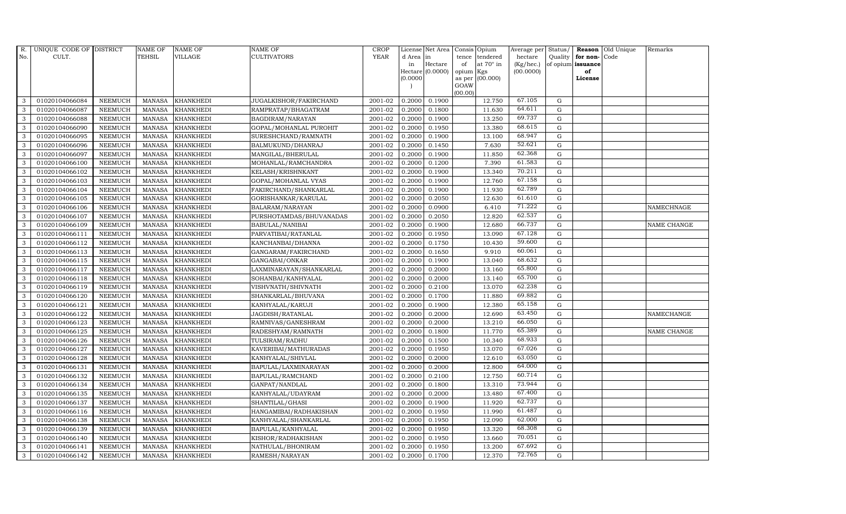| R.<br>No.    | UNIQUE CODE OF DISTRICT<br>CULT. |                | <b>NAME OF</b><br><b>TEHSIL</b> | <b>NAME OF</b><br>VILLAGE | <b>NAME OF</b><br>CULTIVATORS | <b>CROP</b><br><b>YEAR</b> | d Area in | License Net Area | tence     | Consis Opium<br>tendered | Average per<br>hectare | Status/<br>Quality | for non-          | Reason Old Unique<br>Code | Remarks     |
|--------------|----------------------------------|----------------|---------------------------------|---------------------------|-------------------------------|----------------------------|-----------|------------------|-----------|--------------------------|------------------------|--------------------|-------------------|---------------------------|-------------|
|              |                                  |                |                                 |                           |                               |                            | in        | Hectare          | of        | at $70^\circ$ in         | (Kg/hec.)              |                    | of opium issuance |                           |             |
|              |                                  |                |                                 |                           |                               |                            |           | Hectare (0.0000) | opium Kgs |                          | (00.0000)              |                    | of                |                           |             |
|              |                                  |                |                                 |                           |                               |                            | (0.0000)  |                  | GOAW      | as per (00.000)          |                        |                    | License           |                           |             |
|              |                                  |                |                                 |                           |                               |                            |           |                  | (00.00)   |                          |                        |                    |                   |                           |             |
| 3            | 01020104066084                   | NEEMUCH        | MANASA                          | <b>KHANKHEDI</b>          | JUGALKISHOR/FAKIRCHAND        | 2001-02                    | 0.2000    | 0.1900           |           | 12.750                   | 67.105                 | G                  |                   |                           |             |
| 3            | 01020104066087                   | <b>NEEMUCH</b> | <b>MANASA</b>                   | <b>KHANKHEDI</b>          | RAMPRATAP/BHAGATRAM           | 2001-02                    | 0.2000    | 0.1800           |           | 11.630                   | 64.611                 | G                  |                   |                           |             |
| 3            | 01020104066088                   | <b>NEEMUCH</b> | <b>MANASA</b>                   | <b>KHANKHEDI</b>          | BAGDIRAM/NARAYAN              | 2001-02                    | 0.2000    | 0.1900           |           | 13.250                   | 69.737                 | G                  |                   |                           |             |
| 3            | 01020104066090                   | <b>NEEMUCH</b> | <b>MANASA</b>                   | <b>KHANKHEDI</b>          | GOPAL/MOHANLAL PUROHIT        | 2001-02                    | 0.2000    | 0.1950           |           | 13.380                   | 68.615                 | G                  |                   |                           |             |
| 3            | 01020104066095                   | <b>NEEMUCH</b> | <b>MANASA</b>                   | <b>KHANKHEDI</b>          | SURESHCHAND/RAMNATH           | 2001-02                    | 0.2000    | 0.1900           |           | 13.100                   | 68.947                 | G                  |                   |                           |             |
| 3            | 01020104066096                   | <b>NEEMUCH</b> | <b>MANASA</b>                   | KHANKHEDI                 | BALMUKUND/DHANRAJ             | 2001-02                    | 0.2000    | 0.1450           |           | 7.630                    | 52.621                 | G                  |                   |                           |             |
| $\mathbf{3}$ | 01020104066097                   | <b>NEEMUCH</b> | <b>MANASA</b>                   | <b>KHANKHEDI</b>          | MANGILAL/BHERULAL             | 2001-02                    | 0.2000    | 0.1900           |           | 11.850                   | 62.368                 | G                  |                   |                           |             |
| 3            | 01020104066100                   | <b>NEEMUCH</b> | <b>MANASA</b>                   | <b>KHANKHEDI</b>          | MOHANLAL/RAMCHANDRA           | 2001-02                    | 0.2000    | 0.1200           |           | 7.390                    | 61.583                 | G                  |                   |                           |             |
| 3            | 01020104066102                   | <b>NEEMUCH</b> | <b>MANASA</b>                   | <b>KHANKHEDI</b>          | KELASH/KRISHNKANT             | 2001-02                    | 0.2000    | 0.1900           |           | 13.340                   | 70.211                 | G                  |                   |                           |             |
| 3            | 01020104066103                   | <b>NEEMUCH</b> | <b>MANASA</b>                   | <b>KHANKHEDI</b>          | GOPAL/MOHANLAL VYAS           | 2001-02                    | 0.2000    | 0.1900           |           | 12.760                   | 67.158                 | G                  |                   |                           |             |
| 3            | 01020104066104                   | <b>NEEMUCH</b> | <b>MANASA</b>                   | <b>KHANKHEDI</b>          | FAKIRCHAND/SHANKARLAL         | 2001-02                    | 0.2000    | 0.1900           |           | 11.930                   | 62.789                 | G                  |                   |                           |             |
| 3            | 01020104066105                   | <b>NEEMUCH</b> | <b>MANASA</b>                   | <b>KHANKHEDI</b>          | GORISHANKAR/KARULAL           | 2001-02                    | 0.2000    | 0.2050           |           | 12.630                   | 61.610                 | G                  |                   |                           |             |
| 3            | 01020104066106                   | <b>NEEMUCH</b> | <b>MANASA</b>                   | <b>KHANKHEDI</b>          | BALARAM/NARAYAN               | 2001-02                    | 0.2000    | 0.0900           |           | 6.410                    | 71.222                 | G                  |                   |                           | NAMECHNAGE  |
| 3            | 01020104066107                   | <b>NEEMUCH</b> | <b>MANASA</b>                   | <b>KHANKHEDI</b>          | PURSHOTAMDAS/BHUVANADAS       | 2001-02                    | 0.2000    | 0.2050           |           | 12.820                   | 62.537                 | G                  |                   |                           |             |
| 3            | 01020104066109                   | <b>NEEMUCH</b> | <b>MANASA</b>                   | <b>KHANKHEDI</b>          | BABULAL/NANIBAI               | 2001-02                    | 0.2000    | 0.1900           |           | 12.680                   | 66.737                 | G                  |                   |                           | NAME CHANGE |
| 3            | 01020104066111                   | <b>NEEMUCH</b> | <b>MANASA</b>                   | <b>KHANKHEDI</b>          | PARVATIBAI/RATANLAL           | 2001-02                    | 0.2000    | 0.1950           |           | 13.090                   | 67.128                 | G                  |                   |                           |             |
| 3            | 01020104066112                   | <b>NEEMUCH</b> | <b>MANASA</b>                   | <b>KHANKHEDI</b>          | KANCHANBAI/DHANNA             | 2001-02                    | 0.2000    | 0.1750           |           | 10.430                   | 59.600                 | G                  |                   |                           |             |
| 3            | 01020104066113                   | <b>NEEMUCH</b> | <b>MANASA</b>                   | <b>KHANKHEDI</b>          | GANGARAM/FAKIRCHAND           | 2001-02                    | 0.2000    | 0.1650           |           | 9.910                    | 60.061                 | G                  |                   |                           |             |
| 3            | 01020104066115                   | <b>NEEMUCH</b> | <b>MANASA</b>                   | <b>KHANKHEDI</b>          | GANGABAI/ONKAR                | 2001-02                    | 0.2000    | 0.1900           |           | 13.040                   | 68.632                 | G                  |                   |                           |             |
| 3            | 01020104066117                   | <b>NEEMUCH</b> | <b>MANASA</b>                   | <b>KHANKHEDI</b>          | LAXMINARAYAN/SHANKARLAL       | 2001-02                    | 0.2000    | 0.2000           |           | 13.160                   | 65.800                 | G                  |                   |                           |             |
| 3            | 01020104066118                   | <b>NEEMUCH</b> | <b>MANASA</b>                   | <b>KHANKHEDI</b>          | SOHANBAI/KANHYALAL            | 2001-02                    | 0.2000    | 0.2000           |           | 13.140                   | 65.700                 | G                  |                   |                           |             |
| 3            | 01020104066119                   | <b>NEEMUCH</b> | <b>MANASA</b>                   | KHANKHEDI                 | VISHVNATH/SHIVNATH            | 2001-02                    | 0.2000    | 0.2100           |           | 13.070                   | 62.238                 | G                  |                   |                           |             |
| $\mathbf{3}$ | 01020104066120                   | <b>NEEMUCH</b> | <b>MANASA</b>                   | <b>KHANKHEDI</b>          | SHANKARLAL/BHUVANA            | 2001-02                    | 0.2000    | 0.1700           |           | 11.880                   | 69.882                 | G                  |                   |                           |             |
| 3            | 01020104066121                   | <b>NEEMUCH</b> | <b>MANASA</b>                   | <b>KHANKHEDI</b>          | KANHYALAL/KARUJI              | 2001-02                    | 0.2000    | 0.1900           |           | 12.380                   | 65.158                 | $\mathbf G$        |                   |                           |             |
| 3            | 01020104066122                   | <b>NEEMUCH</b> | <b>MANASA</b>                   | <b>KHANKHEDI</b>          | JAGDISH/RATANLAL              | 2001-02                    | 0.2000    | 0.2000           |           | 12.690                   | 63.450                 | G                  |                   |                           | NAMECHANGE  |
| 3            | 01020104066123                   | <b>NEEMUCH</b> | <b>MANASA</b>                   | <b>KHANKHEDI</b>          | RAMNIVAS/GANESHRAM            | 2001-02                    | 0.2000    | 0.2000           |           | 13.210                   | 66.050                 | G                  |                   |                           |             |
| 3            | 01020104066125                   | <b>NEEMUCH</b> | <b>MANASA</b>                   | <b>KHANKHEDI</b>          | RADESHYAM/RAMNATH             | 2001-02                    | 0.2000    | 0.1800           |           | 11.770                   | 65.389                 | G                  |                   |                           | NAME CHANGE |
| 3            | 01020104066126                   | <b>NEEMUCH</b> | <b>MANASA</b>                   | <b>KHANKHEDI</b>          | TULSIRAM/RADHU                | 2001-02                    | 0.2000    | 0.1500           |           | 10.340                   | 68.933                 | G                  |                   |                           |             |
| 3            | 01020104066127                   | <b>NEEMUCH</b> | <b>MANASA</b>                   | <b>KHANKHEDI</b>          | KAVERIBAI/MATHURADAS          | 2001-02                    | 0.2000    | 0.1950           |           | 13.070                   | 67.026                 | G                  |                   |                           |             |
| 3            | 01020104066128                   | <b>NEEMUCH</b> | <b>MANASA</b>                   | <b>KHANKHEDI</b>          | KANHYALAL/SHIVLAL             | 2001-02                    | 0.2000    | 0.2000           |           | 12.610                   | 63.050                 | G                  |                   |                           |             |
| 3            | 01020104066131                   | <b>NEEMUCH</b> | <b>MANASA</b>                   | <b>KHANKHEDI</b>          | BAPULAL/LAXMINARAYAN          | 2001-02                    | 0.2000    | 0.2000           |           | 12.800                   | 64.000                 | G                  |                   |                           |             |
| 3            | 01020104066132                   | <b>NEEMUCH</b> | <b>MANASA</b>                   | <b>KHANKHEDI</b>          | BAPULAL/RAMCHAND              | 2001-02                    | 0.2000    | 0.2100           |           | 12.750                   | 60.714                 | G                  |                   |                           |             |
| 3            | 01020104066134                   | <b>NEEMUCH</b> | MANASA                          | <b>KHANKHEDI</b>          | GANPAT/NANDLAL                | 2001-02                    | 0.2000    | 0.1800           |           | 13.310                   | 73.944                 | G                  |                   |                           |             |
| 3            | 01020104066135                   | <b>NEEMUCH</b> | <b>MANASA</b>                   | <b>KHANKHEDI</b>          | KANHYALAL/UDAYRAM             | 2001-02                    | 0.2000    | 0.2000           |           | 13.480                   | 67.400                 | G                  |                   |                           |             |
| 3            | 01020104066137                   | <b>NEEMUCH</b> | <b>MANASA</b>                   | <b>KHANKHEDI</b>          | SHANTILAL/GHASI               | 2001-02                    | 0.2000    | 0.1900           |           | 11.920                   | 62.737                 | G                  |                   |                           |             |
| 3            | 01020104066116                   | <b>NEEMUCH</b> | <b>MANASA</b>                   | <b>KHANKHEDI</b>          | HANGAMIBAI/RADHAKISHAN        | 2001-02                    | 0.2000    | 0.1950           |           | 11.990                   | 61.487                 | G                  |                   |                           |             |
| 3            | 01020104066138                   | <b>NEEMUCH</b> | <b>MANASA</b>                   | <b>KHANKHEDI</b>          | KANHYALAL/SHANKARLAL          | 2001-02                    | 0.2000    | 0.1950           |           | 12.090                   | 62.000                 | G                  |                   |                           |             |
| 3            | 01020104066139                   | <b>NEEMUCH</b> | <b>MANASA</b>                   | <b>KHANKHEDI</b>          | BAPULAL/KANHYALAL             | 2001-02                    | 0.2000    | 0.1950           |           | 13.320                   | 68.308                 | G                  |                   |                           |             |
| 3            | 01020104066140                   | <b>NEEMUCH</b> | <b>MANASA</b>                   | <b>KHANKHEDI</b>          | KISHOR/RADHAKISHAN            | 2001-02                    | 0.2000    | 0.1950           |           | 13.660                   | 70.051                 | G                  |                   |                           |             |
| 3            | 01020104066141                   | <b>NEEMUCH</b> | <b>MANASA</b>                   | <b>KHANKHEDI</b>          | NATHULAL/BHONIRAM             | 2001-02                    | 0.2000    | 0.1950           |           | 13.200                   | 67.692                 | G                  |                   |                           |             |
| 3            | 01020104066142                   | <b>NEEMUCH</b> | MANASA                          | <b>KHANKHEDI</b>          | RAMESH/NARAYAN                | 2001-02                    | 0.2000    | 0.1700           |           | 12.370                   | 72.765                 | G                  |                   |                           |             |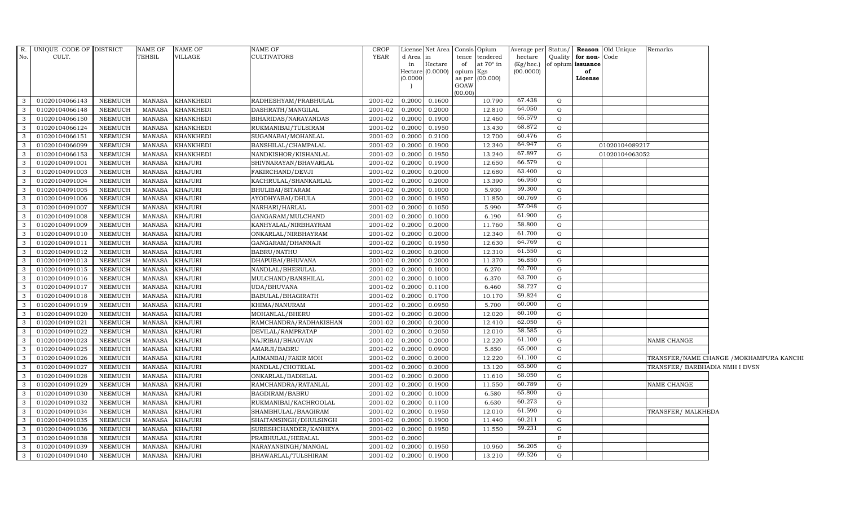|                | R. UNIQUE CODE OF DISTRICT |                | NAME OF       | NAME OF          | NAME OF                | CROP    |           | License Net Area Consis Opium |           |                   |           |              |                      | Average per Status/ Reason Old Unique | Remarks                        |                                          |
|----------------|----------------------------|----------------|---------------|------------------|------------------------|---------|-----------|-------------------------------|-----------|-------------------|-----------|--------------|----------------------|---------------------------------------|--------------------------------|------------------------------------------|
| No.            | CULT.                      |                | TEHSIL        | VILLAGE          | <b>CULTIVATORS</b>     | YEAR    | d Area in |                               | tence     | tendered          | hectare   |              | Quality for non-Code |                                       |                                |                                          |
|                |                            |                |               |                  |                        |         | in        | Hectare                       | of        | at 70° in         | (Kg/hec.) |              | of opium issuance    |                                       |                                |                                          |
|                |                            |                |               |                  |                        |         | (0.0000)  | Hectare $(0.0000)$            | opium Kgs | as per $(00.000)$ | (00.0000) |              | of<br>License        |                                       |                                |                                          |
|                |                            |                |               |                  |                        |         |           |                               | GOAW      |                   |           |              |                      |                                       |                                |                                          |
|                |                            |                |               |                  |                        |         |           |                               | (00.00)   |                   |           |              |                      |                                       |                                |                                          |
| 3              | 01020104066143             | NEEMUCH        | MANASA        | <b>KHANKHEDI</b> | RADHESHYAM/PRABHULAL   | 2001-02 | 0.2000    | 0.1600                        |           | 10.790            | 67.438    | G            |                      |                                       |                                |                                          |
| 3              | 01020104066148             | <b>NEEMUCH</b> | <b>MANASA</b> | KHANKHEDI        | DASHRATH/MANGILAL      | 2001-02 | 0.2000    | 0.2000                        |           | 12.810            | 64.050    | $\mathbf G$  |                      |                                       |                                |                                          |
| -3             | 01020104066150             | <b>NEEMUCH</b> | <b>MANASA</b> | <b>KHANKHEDI</b> | BIHARIDAS/NARAYANDAS   | 2001-02 | 0.2000    | 0.1900                        |           | 12.460            | 65.579    | G            |                      |                                       |                                |                                          |
| 3              | 01020104066124             | <b>NEEMUCH</b> | <b>MANASA</b> | KHANKHEDI        | RUKMANIBAI/TULSIRAM    | 2001-02 | 0.2000    | 0.1950                        |           | 13.430            | 68.872    | G            |                      |                                       |                                |                                          |
| $\mathbf{3}$   | 01020104066151             | <b>NEEMUCH</b> | <b>MANASA</b> | <b>KHANKHEDI</b> | SUGANABAI/MOHANLAL     | 2001-02 | 0.2000    | 0.2100                        |           | 12.700            | 60.476    | G            |                      |                                       |                                |                                          |
| $\mathbf{3}$   | 01020104066099             | <b>NEEMUCH</b> | <b>MANASA</b> | KHANKHEDI        | BANSHILAL/CHAMPALAL    | 2001-02 | 0.2000    | 0.1900                        |           | 12.340            | 64.947    | $\mathbf G$  |                      | 01020104089217                        |                                |                                          |
| $\mathbf{3}$   | 01020104066153             | <b>NEEMUCH</b> | <b>MANASA</b> | KHANKHEDI        | NANDKISHOR/KISHANLAL   | 2001-02 | 0.2000    | 0.1950                        |           | 13.240            | 67.897    | G            |                      | 01020104063052                        |                                |                                          |
| $\mathbf{3}$   | 01020104091001             | NEEMUCH        | <b>MANASA</b> | <b>KHAJURI</b>   | SHIVNARAYAN/BHAVARLAL  | 2001-02 | 0.2000    | 0.1900                        |           | 12.650            | 66.579    | G            |                      |                                       |                                |                                          |
| 3              | 01020104091003             | <b>NEEMUCH</b> | <b>MANASA</b> | <b>KHAJURI</b>   | FAKIRCHAND/DEVJI       | 2001-02 | 0.2000    | 0.2000                        |           | 12.680            | 63.400    | ${\rm G}$    |                      |                                       |                                |                                          |
| $\mathbf{3}$   | 01020104091004             | <b>NEEMUCH</b> | <b>MANASA</b> | <b>KHAJURI</b>   | KACHRULAL/SHANKARLAL   | 2001-02 | 0.2000    | 0.2000                        |           | 13.390            | 66.950    | $\mathbf G$  |                      |                                       |                                |                                          |
| $\mathbf{3}$   | 01020104091005             | NEEMUCH        | <b>MANASA</b> | KHAJURI          | BHULIBAI/SITARAM       | 2001-02 | 0.2000    | 0.1000                        |           | 5.930             | 59.300    | G            |                      |                                       |                                |                                          |
| 3              | 01020104091006             | NEEMUCH        | <b>MANASA</b> | <b>KHAJURI</b>   | AYODHYABAI/DHULA       | 2001-02 | 0.2000    | 0.1950                        |           | 11.850            | 60.769    | G            |                      |                                       |                                |                                          |
| $\mathbf{3}$   | 01020104091007             | <b>NEEMUCH</b> | <b>MANASA</b> | <b>KHAJURI</b>   | NARHARI/HARLAL         | 2001-02 | 0.2000    | 0.1050                        |           | 5.990             | 57.048    | G            |                      |                                       |                                |                                          |
| 3              | 01020104091008             | <b>NEEMUCH</b> | <b>MANASA</b> | <b>KHAJURI</b>   | GANGARAM/MULCHAND      | 2001-02 | 0.2000    | 0.1000                        |           | 6.190             | 61.900    | G            |                      |                                       |                                |                                          |
| $\overline{3}$ | 01020104091009             | NEEMUCH        | <b>MANASA</b> | <b>KHAJURI</b>   | KANHYALAL/NIRBHAYRAM   | 2001-02 | 0.2000    | 0.2000                        |           | 11.760            | 58.800    | ${\rm G}$    |                      |                                       |                                |                                          |
| 3              | 01020104091010             | NEEMUCH        | <b>MANASA</b> | <b>KHAJURI</b>   | ONKARLAL/NIRBHAYRAM    | 2001-02 | 0.2000    | 0.2000                        |           | 12.340            | 61.700    | G            |                      |                                       |                                |                                          |
| $\mathbf{3}$   | 01020104091011             | <b>NEEMUCH</b> | <b>MANASA</b> | <b>KHAJURI</b>   | GANGARAM/DHANNAJI      | 2001-02 | 0.2000    | 0.1950                        |           | 12.630            | 64.769    | G            |                      |                                       |                                |                                          |
| $\mathbf{3}$   | 01020104091012             | NEEMUCH        | <b>MANASA</b> | <b>KHAJURI</b>   | BABRU/NATHU            | 2001-02 | 0.2000    | 0.2000                        |           | 12.310            | 61.550    | G            |                      |                                       |                                |                                          |
| 3              | 01020104091013             | <b>NEEMUCH</b> | <b>MANASA</b> | <b>KHAJURI</b>   | DHAPUBAI/BHUVANA       | 2001-02 | 0.2000    | 0.2000                        |           | 11.370            | 56.850    | G            |                      |                                       |                                |                                          |
| $\mathbf{3}$   | 01020104091015             | NEEMUCH        | <b>MANASA</b> | <b>KHAJURI</b>   | NANDLAL/BHERULAL       | 2001-02 | 0.2000    | 0.1000                        |           | 6.270             | 62.700    | G            |                      |                                       |                                |                                          |
| $\mathbf{3}$   | 01020104091016             | <b>NEEMUCH</b> | <b>MANASA</b> | KHAJURI          | MULCHAND/BANSHILAL     | 2001-02 | 0.2000    | 0.1000                        |           | 6.370             | 63.700    | ${\rm G}$    |                      |                                       |                                |                                          |
| $\mathbf{3}$   | 01020104091017             | <b>NEEMUCH</b> | <b>MANASA</b> | <b>KHAJURI</b>   | UDA/BHUVANA            | 2001-02 | 0.2000    | 0.1100                        |           | 6.460             | 58.727    | G            |                      |                                       |                                |                                          |
| $\mathbf{3}$   | 01020104091018             | <b>NEEMUCH</b> | <b>MANASA</b> | <b>KHAJURI</b>   | BABULAL/BHAGIRATH      | 2001-02 | 0.2000    | 0.1700                        |           | 10.170            | 59.824    | $\mathbf G$  |                      |                                       |                                |                                          |
| 3              | 01020104091019             | NEEMUCH        | <b>MANASA</b> | <b>KHAJURI</b>   | KHIMA/NANURAM          | 2001-02 | 0.2000    | 0.0950                        |           | 5.700             | 60.000    | G            |                      |                                       |                                |                                          |
| 3              | 01020104091020             | <b>NEEMUCH</b> | <b>MANASA</b> | <b>KHAJURI</b>   | MOHANLAL/BHERU         | 2001-02 | 0.2000    | 0.2000                        |           | 12.020            | 60.100    | G            |                      |                                       |                                |                                          |
| 3              | 01020104091021             | <b>NEEMUCH</b> | <b>MANASA</b> | <b>KHAJURI</b>   | RAMCHANDRA/RADHAKISHAN | 2001-02 | 0.2000    | 0.2000                        |           | 12.410            | 62.050    | $\mathbf G$  |                      |                                       |                                |                                          |
| $\mathbf{3}$   | 01020104091022             | NEEMUCH        | <b>MANASA</b> | <b>KHAJURI</b>   | DEVILAL/RAMPRATAP      | 2001-02 | 0.2000    | 0.2050                        |           | 12.010            | 58.585    | $\mathbf G$  |                      |                                       |                                |                                          |
| 3              | 01020104091023             | NEEMUCH        | <b>MANASA</b> | <b>KHAJURI</b>   | NAJRIBAI/BHAGVAN       | 2001-02 | 0.2000    | 0.2000                        |           | 12.220            | 61.100    | G            |                      |                                       | <b>NAME CHANGE</b>             |                                          |
| 3              | 01020104091025             | <b>NEEMUCH</b> | <b>MANASA</b> | <b>KHAJURI</b>   | AMARJI/BABRU           | 2001-02 | 0.2000    | 0.0900                        |           | 5.850             | 65.000    | G            |                      |                                       |                                |                                          |
| 3              | 01020104091026             | <b>NEEMUCH</b> | <b>MANASA</b> | <b>KHAJURI</b>   | AJIMANBAI/FAKIR MOH    | 2001-02 | 0.2000    | 0.2000                        |           | 12.220            | 61.100    | G            |                      |                                       |                                | TRANSFER/NAME CHANGE / MOKHAMPURA KANCHI |
| 3              | 01020104091027             | <b>NEEMUCH</b> | <b>MANASA</b> | <b>KHAJURI</b>   | NANDLAL/CHOTELAL       | 2001-02 | 0.2000    | 0.2000                        |           | 13.120            | 65.600    | G            |                      |                                       | TRANSFER/ BARBHADIA NMH I DVSN |                                          |
| $\mathbf{3}$   | 01020104091028             | NEEMUCH        | <b>MANASA</b> | <b>KHAJURI</b>   | ONKARLAL/BADRILAL      | 2001-02 | 0.2000    | 0.2000                        |           | 11.610            | 58.050    | G            |                      |                                       |                                |                                          |
| 3              | 01020104091029             | <b>NEEMUCH</b> | <b>MANASA</b> | <b>KHAJURI</b>   | RAMCHANDRA/RATANLAL    | 2001-02 | 0.2000    | 0.1900                        |           | 11.550            | 60.789    | G            |                      |                                       | NAME CHANGE                    |                                          |
| 3              | 01020104091030             | <b>NEEMUCH</b> | <b>MANASA</b> | <b>KHAJURI</b>   | BAGDIRAM/BABRU         | 2001-02 | 0.2000    | 0.1000                        |           | 6.580             | 65.800    | $\mathbf G$  |                      |                                       |                                |                                          |
| $\mathbf{3}$   | 01020104091032             | NEEMUCH        | <b>MANASA</b> | <b>KHAJURI</b>   | RUKMANIBAI/KACHROOLAL  | 2001-02 | 0.2000    | 0.1100                        |           | 6.630             | 60.273    | G            |                      |                                       |                                |                                          |
| 3              | 01020104091034             | <b>NEEMUCH</b> | <b>MANASA</b> | <b>KHAJURI</b>   | SHAMBHULAL/BAAGIRAM    | 2001-02 | 0.2000    | 0.1950                        |           | 12.010            | 61.590    | G            |                      |                                       | TRANSFER/ MALKHEDA             |                                          |
| 3              | 01020104091035             | <b>NEEMUCH</b> | <b>MANASA</b> | <b>KHAJURI</b>   | SHAITANSINGH/DHULSINGH | 2001-02 | 0.2000    | 0.1900                        |           | 11.440            | 60.211    | G            |                      |                                       |                                |                                          |
| $\mathbf{3}$   | 01020104091036             | <b>NEEMUCH</b> | <b>MANASA</b> | <b>KHAJURI</b>   | SURESHCHANDER/KANHEYA  | 2001-02 | 0.2000    | 0.1950                        |           | 11.550            | 59.231    | ${\rm G}$    |                      |                                       |                                |                                          |
| 3              | 01020104091038             | <b>NEEMUCH</b> | <b>MANASA</b> | <b>KHAJURI</b>   | PRABHULAL/HERALAL      | 2001-02 | 0.2000    |                               |           |                   |           | $\mathbf{F}$ |                      |                                       |                                |                                          |
| 3              | 01020104091039             | NEEMUCH        | MANASA        | <b>KHAJURI</b>   | NARAYANSINGH/MANGAL    | 2001-02 | 0.2000    | 0.1950                        |           | 10.960            | 56.205    | G            |                      |                                       |                                |                                          |
| $\mathbf{3}$   | 01020104091040             | NEEMUCH        | MANASA        | <b>KHAJURI</b>   | BHAWARLAL/TULSHIRAM    | 2001-02 | 0.2000    | 0.1900                        |           | 13.210            | 69.526    | G            |                      |                                       |                                |                                          |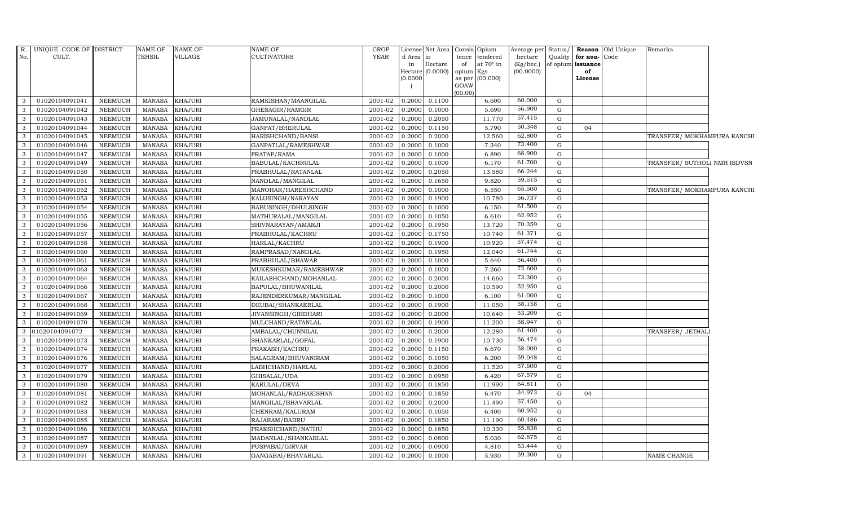| R.           | UNIQUE CODE OF DISTRICT |                | NAME OF       | <b>NAME OF</b> | NAME OF                | <b>CROP</b> |           | License Net Area   Consis   Opium |                     |                  | Average per | Status/ |                   | Reason Old Unique | Remarks                      |  |
|--------------|-------------------------|----------------|---------------|----------------|------------------------|-------------|-----------|-----------------------------------|---------------------|------------------|-------------|---------|-------------------|-------------------|------------------------------|--|
| No.          | CULT.                   |                | TEHSIL        | VILLAGE        | <b>CULTIVATORS</b>     | YEAR        | d Area in |                                   | tence               | tendered         | hectare     | Quality | for non-          | Code              |                              |  |
|              |                         |                |               |                |                        |             | in        | Hectare                           | of                  | at $70^\circ$ in | (Kg/hec.)   |         | of opium issuance |                   |                              |  |
|              |                         |                |               |                |                        |             | (0.0000)  | Hectare (0.0000)                  | opium Kgs<br>as per | (00.000)         | (00.0000)   |         | of<br>License     |                   |                              |  |
|              |                         |                |               |                |                        |             |           |                                   | GOAW                |                  |             |         |                   |                   |                              |  |
|              |                         |                |               |                |                        |             |           |                                   | (00.00)             |                  |             |         |                   |                   |                              |  |
| 3            | 01020104091041          | <b>NEEMUCH</b> | <b>MANASA</b> | <b>KHAJURI</b> | RAMKISHAN/MAANGILAL    | 2001-02     | 0.2000    | 0.1100                            |                     | 6.600            | 60.000      | G       |                   |                   |                              |  |
| 3            | 01020104091042          | <b>NEEMUCH</b> | <b>MANASA</b> | <b>KHAJURI</b> | GHESAGIR/RAMGIR        | 2001-02     | 0.2000    | 0.1000                            |                     | 5.690            | 56.900      | G       |                   |                   |                              |  |
| 3            | 01020104091043          | <b>NEEMUCH</b> | <b>MANASA</b> | <b>KHAJURI</b> | JAMUNALAL/NANDLAL      | 2001-02     | 0.2000    | 0.2050                            |                     | 11.770           | 57.415      | G       |                   |                   |                              |  |
| 3            | 01020104091044          | <b>NEEMUCH</b> | <b>MANASA</b> | <b>KHAJURI</b> | GANPAT/BHERULAL        | 2001-02     | 0.2000    | 0.1150                            |                     | 5.790            | 50.348      | G       | 04                |                   |                              |  |
| 3            | 01020104091045          | <b>NEEMUCH</b> | <b>MANASA</b> | <b>KHAJURI</b> | HARISHCHAND/BANSI      | 2001-02     | 0.2000    | 0.2000                            |                     | 12.560           | 62.800      | G       |                   |                   | TRANSFER/ MOKHAMPURA KANCHI  |  |
| $\mathbf{3}$ | 01020104091046          | NEEMUCH        | <b>MANASA</b> | KHAJURI        | GANPATLAL/RAMESHWAR    | 2001-02     | 0.2000    | 0.1000                            |                     | 7.340            | 73.400      | G       |                   |                   |                              |  |
| 3            | 01020104091047          | NEEMUCH        | <b>MANASA</b> | <b>KHAJURI</b> | PRATAP/RAMA            | 2001-02     | 0.2000    | 0.1000                            |                     | 6.890            | 68.900      | G       |                   |                   |                              |  |
| 3            | 01020104091049          | <b>NEEMUCH</b> | <b>MANASA</b> | <b>KHAJURI</b> | BABULAL/KACHRULAL      | 2001-02     | 0.2000    | 0.1000                            |                     | 6.170            | 61.700      | G       |                   |                   | TRANSFER/ SUTHOLI NMH ISDVSN |  |
| 3            | 01020104091050          | <b>NEEMUCH</b> | <b>MANASA</b> | <b>KHAJURI</b> | PRABHULAL/RATANLAL     | 2001-02     | 0.2000    | 0.2050                            |                     | 13.580           | 66.244      | G       |                   |                   |                              |  |
| 3            | 01020104091051          | <b>NEEMUCH</b> | <b>MANASA</b> | <b>KHAJURI</b> | NANDLAL/MANGILAL       | 2001-02     | 0.2000    | 0.1650                            |                     | 9.820            | 59.515      | G       |                   |                   |                              |  |
| 3            | 01020104091052          | <b>NEEMUCH</b> | <b>MANASA</b> | KHAJURI        | MANOHAR/HARESHCHAND    | 2001-02     | 0.2000    | 0.1000                            |                     | 6.550            | 65.500      | G       |                   |                   | TRANSFER/ MOKHAMPURA KANCHI  |  |
| 3            | 01020104091053          | NEEMUCH        | <b>MANASA</b> | KHAJURI        | KALUSINGH/NARAYAN      | 2001-02     | 0.2000    | 0.1900                            |                     | 10.780           | 56.737      | G       |                   |                   |                              |  |
| 3            | 01020104091054          | <b>NEEMUCH</b> | <b>MANASA</b> | <b>KHAJURI</b> | BABUSINGH/DHULSINGH    | 2001-02     | 0.2000    | 0.1000                            |                     | 6.150            | 61.500      | G       |                   |                   |                              |  |
| 3            | 01020104091055          | <b>NEEMUCH</b> | <b>MANASA</b> | <b>KHAJURI</b> | MATHURALAL/MANGILAL    | 2001-02     | 0.2000    | 0.1050                            |                     | 6.610            | 62.952      | G       |                   |                   |                              |  |
| 3            | 01020104091056          | <b>NEEMUCH</b> | <b>MANASA</b> | <b>KHAJURI</b> | SHIVNARAYAN/AMARJI     | 2001-02     | 0.2000    | 0.1950                            |                     | 13.720           | 70.359      | G       |                   |                   |                              |  |
| 3            | 01020104091057          | <b>NEEMUCH</b> | <b>MANASA</b> | <b>KHAJURI</b> | PRABHULAL/KACHRU       | 2001-02     | 0.2000    | 0.1750                            |                     | 10.740           | 61.371      | G       |                   |                   |                              |  |
| 3            | 01020104091058          | NEEMUCH        | <b>MANASA</b> | <b>KHAJURI</b> | HARLAL/KACHRU          | 2001-02     | 0.2000    | 0.1900                            |                     | 10.920           | 57.474      | G       |                   |                   |                              |  |
| 3            | 01020104091060          | NEEMUCH        | <b>MANASA</b> | <b>KHAJURI</b> | RAMPRASAD/NANDLAL      | 2001-02     | 0.2000    | 0.1950                            |                     | 12.040           | 61.744      | G       |                   |                   |                              |  |
| 3            | 01020104091061          | <b>NEEMUCH</b> | <b>MANASA</b> | <b>KHAJURI</b> | PRABHULAL/BHAWAR       | 2001-02     | 0.2000    | 0.1000                            |                     | 5.640            | 56.400      | G       |                   |                   |                              |  |
| 3            | 01020104091063          | NEEMUCH        | <b>MANASA</b> | KHAJURI        | MUKESHKUMAR/RAMESHWAR  | 2001-02     | 0.2000    | 0.1000                            |                     | 7.260            | 72.600      | G       |                   |                   |                              |  |
| 3            | 01020104091064          | <b>NEEMUCH</b> | <b>MANASA</b> | <b>KHAJURI</b> | KAILASHCHAND/MOHANLAL  | 2001-02     | 0.2000    | 0.2000                            |                     | 14.660           | 73.300      | G       |                   |                   |                              |  |
| 3            | 01020104091066          | <b>NEEMUCH</b> | <b>MANASA</b> | <b>KHAJURI</b> | BAPULAL/BHUWANILAL     | 2001-02     | 0.2000    | 0.2000                            |                     | 10.590           | 52.950      | G       |                   |                   |                              |  |
| 3            | 01020104091067          | NEEMUCH        | <b>MANASA</b> | KHAJURI        | RAJENDERKUMAR/MANGILAL | 2001-02     | 0.2000    | 0.1000                            |                     | 6.100            | 61.000      | G       |                   |                   |                              |  |
| 3            | 01020104091068          | <b>NEEMUCH</b> | <b>MANASA</b> | <b>KHAJURI</b> | DEUBAI/SHANKAERLAL     | 2001-02     | 0.2000    | 0.1900                            |                     | 11.050           | 58.158      | G       |                   |                   |                              |  |
| 3            | 01020104091069          | <b>NEEMUCH</b> | <b>MANASA</b> | <b>KHAJURI</b> | JIVANSINGH/GIRDHARI    | 2001-02     | 0.2000    | 0.2000                            |                     | 10.640           | 53.200      | G       |                   |                   |                              |  |
| 3            | 01020104091070          | <b>NEEMUCH</b> | <b>MANASA</b> | KHAJURI        | MULCHAND/RATANLAL      | 2001-02     | 0.2000    | 0.1900                            |                     | 11.200           | 58.947      | G       |                   |                   |                              |  |
| 3            | 01020104091072          | <b>NEEMUCH</b> | <b>MANASA</b> | <b>KHAJURI</b> | AMBALAL/CHUNNILAL      | 2001-02     | 0.2000    | 0.2000                            |                     | 12.280           | 61.400      | G       |                   |                   | TRANSFER/ JETHALI            |  |
| $\mathbf{3}$ | 01020104091073          | NEEMUCH        | <b>MANASA</b> | KHAJURI        | SHANKARLAL/GOPAL       | 2001-02     | 0.2000    | 0.1900                            |                     | 10.730           | 56.474      | G       |                   |                   |                              |  |
| 3            | 01020104091074          | <b>NEEMUCH</b> | <b>MANASA</b> | <b>KHAJURI</b> | PRAKASH/KACHRU         | 2001-02     | 0.2000    | 0.1150                            |                     | 6.670            | 58.000      | G       |                   |                   |                              |  |
| 3            | 01020104091076          | <b>NEEMUCH</b> | <b>MANASA</b> | <b>KHAJURI</b> | SALAGRAM/BHUVANIRAM    | 2001-02     | 0.2000    | 0.1050                            |                     | 6.200            | 59.048      | G       |                   |                   |                              |  |
| 3            | 01020104091077          | <b>NEEMUCH</b> | <b>MANASA</b> | KHAJURI        | LABHCHAND/HARLAL       | 2001-02     | 0.2000    | 0.2000                            |                     | 11.520           | 57.600      | G       |                   |                   |                              |  |
| 3            | 01020104091079          | <b>NEEMUCH</b> | <b>MANASA</b> | <b>KHAJURI</b> | GHISALAL/UDA           | 2001-02     | 0.2000    | 0.0950                            |                     | 6.420            | 67.579      | G       |                   |                   |                              |  |
| 3            | 01020104091080          | NEEMUCH        | <b>MANASA</b> | <b>KHAJURI</b> | KARULAL/DEVA           | 2001-02     | 0.2000    | 0.1850                            |                     | 11.990           | 64.811      | G       |                   |                   |                              |  |
| 3            | 01020104091081          | <b>NEEMUCH</b> | <b>MANASA</b> | <b>KHAJURI</b> | MOHANLAL/RADHAKISHAN   | 2001-02     | 0.2000    | 0.1850                            |                     | 6.470            | 34.973      | G       | 04                |                   |                              |  |
| 3            | 01020104091082          | <b>NEEMUCH</b> | <b>MANASA</b> | KHAJURI        | MANGILAL/BHAVARLAL     | 2001-02     | 0.2000    | 0.2000                            |                     | 11.490           | 57.450      | G       |                   |                   |                              |  |
| 3            | 01020104091083          | <b>NEEMUCH</b> | <b>MANASA</b> | <b>KHAJURI</b> | CHENRAM/KALURAM        | 2001-02     | 0.2000    | 0.1050                            |                     | 6.400            | 60.952      | G       |                   |                   |                              |  |
| 3            | 01020104091085          | <b>NEEMUCH</b> | <b>MANASA</b> | <b>KHAJURI</b> | RAJARAM/BABRU          | 2001-02     | 0.2000    | 0.1850                            |                     | 11.190           | 60.486      | G       |                   |                   |                              |  |
| 3            | 01020104091086          | NEEMUCH        | <b>MANASA</b> | <b>KHAJURI</b> | PRAKSHCHAND/NATHU      | 2001-02     | 0.2000    | 0.1850                            |                     | 10.330           | 55.838      | G       |                   |                   |                              |  |
| 3            | 01020104091087          | <b>NEEMUCH</b> | <b>MANASA</b> | <b>KHAJURI</b> | MADANLAL/SHANKARLAL    | 2001-02     | 0.2000    | 0.0800                            |                     | 5.030            | 62.875      | G       |                   |                   |                              |  |
| 3            | 01020104091089          | <b>NEEMUCH</b> | <b>MANASA</b> | <b>KHAJURI</b> | PUSPABAI/GIRVAR        | 2001-02     | 0.2000    | 0.0900                            |                     | 4.810            | 53.444      | G       |                   |                   |                              |  |
| 3            | 01020104091091          | <b>NEEMUCH</b> | <b>MANASA</b> | <b>KHAJURI</b> | GANGABAI/BHAVARLAL     | 2001-02     | 0.2000    | 0.1000                            |                     | 5.930            | 59.300      | G       |                   |                   | <b>NAME CHANGE</b>           |  |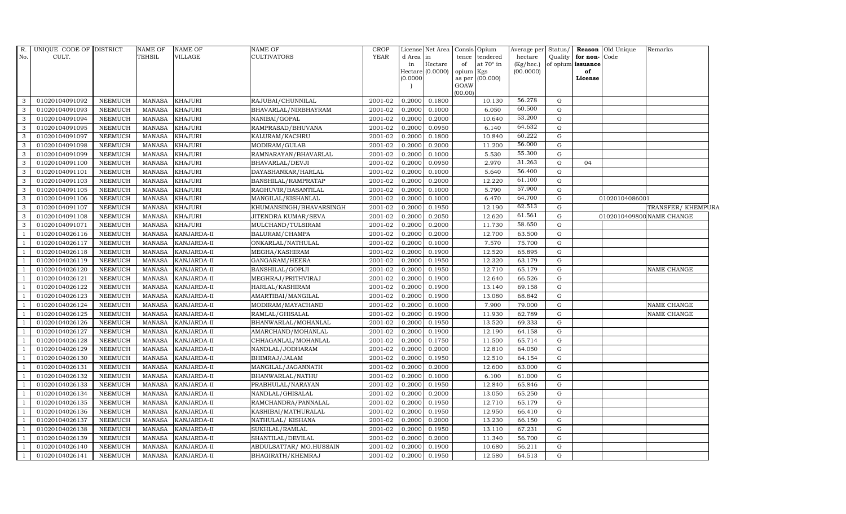| R.             | UNIQUE CODE OF DISTRICT |                | NAME OF       | <b>NAME OF</b> | NAME OF                 | <b>CROP</b> | License  | Net Area                    | Consis Opium    |                  | Average per            | Status/     |                         | Reason Old Unique | Remarks                   |
|----------------|-------------------------|----------------|---------------|----------------|-------------------------|-------------|----------|-----------------------------|-----------------|------------------|------------------------|-------------|-------------------------|-------------------|---------------------------|
| No.            | CULT.                   |                | TEHSIL        | VILLAGE        | CULTIVATORS             | <b>YEAR</b> | d Area   | $\ln$                       | tence           | tendered         | hectare                | Quality     | for non-                | Code              |                           |
|                |                         |                |               |                |                         |             | in       | Hectare<br>Hectare (0.0000) | of<br>opium Kgs | at $70^\circ$ in | (Kg/hec.)<br>(00.0000) |             | of opium issuance<br>of |                   |                           |
|                |                         |                |               |                |                         |             | (0.0000) |                             |                 | as per (00.000)  |                        |             | License                 |                   |                           |
|                |                         |                |               |                |                         |             |          |                             | GOAW            |                  |                        |             |                         |                   |                           |
|                |                         |                |               |                |                         |             |          |                             | (00.00)         |                  |                        |             |                         |                   |                           |
| 3              | 01020104091092          | <b>NEEMUCH</b> | <b>MANASA</b> | <b>KHAJURI</b> | RAJUBAI/CHUNNILAL       | 2001-02     | 0.2000   | 0.1800                      |                 | 10.130           | 56.278                 | G           |                         |                   |                           |
| $\mathbf{3}$   | 01020104091093          | <b>NEEMUCH</b> | <b>MANASA</b> | <b>KHAJURI</b> | BHAVARLAL/NIRBHAYRAM    | 2001-02     | 0.2000   | 0.1000                      |                 | 6.050            | 60.500                 | G           |                         |                   |                           |
| 3              | 01020104091094          | <b>NEEMUCH</b> | <b>MANASA</b> | <b>KHAJURI</b> | NANIBAI/GOPAL           | 2001-02     | 0.2000   | 0.2000                      |                 | 10.640           | 53.200                 | $\mathbf G$ |                         |                   |                           |
| 3              | 01020104091095          | <b>NEEMUCH</b> | <b>MANASA</b> | <b>KHAJURI</b> | RAMPRASAD/BHUVANA       | 2001-02     | 0.2000   | 0.0950                      |                 | 6.140            | 64.632                 | $\mathbf G$ |                         |                   |                           |
| 3              | 01020104091097          | <b>NEEMUCH</b> | <b>MANASA</b> | <b>KHAJURI</b> | KALURAM/KACHRU          | 2001-02     | 0.2000   | 0.1800                      |                 | 10.840           | 60.222                 | G           |                         |                   |                           |
| 3              | 01020104091098          | <b>NEEMUCH</b> | <b>MANASA</b> | KHAJURI        | MODIRAM/GULAB           | 2001-02     | 0.2000   | 0.2000                      |                 | 11.200           | 56.000                 | G           |                         |                   |                           |
| 3              | 01020104091099          | <b>NEEMUCH</b> | <b>MANASA</b> | <b>KHAJURI</b> | RAMNARAYAN/BHAVARLAL    | 2001-02     | 0.2000   | 0.1000                      |                 | 5.530            | 55.300                 | G           |                         |                   |                           |
| 3              | 01020104091100          | <b>NEEMUCH</b> | <b>MANASA</b> | <b>KHAJURI</b> | BHAVARLAL/DEVJI         | 2001-02     | 0.2000   | 0.0950                      |                 | 2.970            | 31.263                 | G           | 04                      |                   |                           |
| 3              | 01020104091101          | <b>NEEMUCH</b> | <b>MANASA</b> | <b>KHAJURI</b> | DAYASHANKAR/HARLAL      | 2001-02     | 0.2000   | 0.1000                      |                 | 5.640            | 56.400                 | G           |                         |                   |                           |
| 3              | 01020104091103          | <b>NEEMUCH</b> | <b>MANASA</b> | <b>KHAJURI</b> | BANSHILAL/RAMPRATAP     | 2001-02     | 0.2000   | 0.2000                      |                 | 12.220           | 61.100                 | ${\rm G}$   |                         |                   |                           |
| 3              | 01020104091105          | <b>NEEMUCH</b> | <b>MANASA</b> | <b>KHAJURI</b> | RAGHUVIR/BASANTILAL     | 2001-02     | 0.2000   | 0.1000                      |                 | 5.790            | 57.900                 | ${\rm G}$   |                         |                   |                           |
| 3              | 01020104091106          | <b>NEEMUCH</b> | <b>MANASA</b> | <b>KHAJURI</b> | MANGILAL/KISHANLAL      | 2001-02     | 0.2000   | 0.1000                      |                 | 6.470            | 64.700                 | G           |                         | 01020104086001    |                           |
| 3              | 01020104091107          | <b>NEEMUCH</b> | <b>MANASA</b> | <b>KHAJURI</b> | KHUMANSINGH/BHAVARSINGH | 2001-02     | 0.2000   | 0.1950                      |                 | 12.190           | 62.513                 | G           |                         |                   | TRANSFER/ KHEMPURA        |
| 3              | 01020104091108          | <b>NEEMUCH</b> | <b>MANASA</b> | <b>KHAJURI</b> | JITENDRA KUMAR/SEVA     | 2001-02     | 0.2000   | 0.2050                      |                 | 12.620           | 61.561                 | $\mathbf G$ |                         |                   | 0102010409800 NAME CHANGE |
| 3              | 01020104091071          | <b>NEEMUCH</b> | <b>MANASA</b> | <b>KHAJURI</b> | MULCHAND/TULSIRAM       | 2001-02     | 0.2000   | 0.2000                      |                 | 11.730           | 58.650                 | ${\rm G}$   |                         |                   |                           |
| $\overline{1}$ | 01020104026116          | <b>NEEMUCH</b> | <b>MANASA</b> | KANJARDA-II    | BALURAM/CHAMPA          | 2001-02     | 0.2000   | 0.2000                      |                 | 12.700           | 63.500                 | G           |                         |                   |                           |
|                | 01020104026117          | <b>NEEMUCH</b> | <b>MANASA</b> | KANJARDA-II    | ONKARLAL/NATHULAL       | 2001-02     | 0.2000   | 0.1000                      |                 | 7.570            | 75.700                 | G           |                         |                   |                           |
|                | 01020104026118          | <b>NEEMUCH</b> | <b>MANASA</b> | KANJARDA-II    | MEGHA/KASHIRAM          | 2001-02     | 0.2000   | 0.1900                      |                 | 12.520           | 65.895                 | ${\rm G}$   |                         |                   |                           |
|                | 01020104026119          | <b>NEEMUCH</b> | <b>MANASA</b> | KANJARDA-II    | GANGARAM/HEERA          | 2001-02     | 0.2000   | 0.1950                      |                 | 12.320           | 63.179                 | ${\rm G}$   |                         |                   |                           |
|                | 01020104026120          | <b>NEEMUCH</b> | <b>MANASA</b> | KANJARDA-II    | BANSHILAL/GOPIJI        | 2001-02     | 0.2000   | 0.1950                      |                 | 12.710           | 65.179                 | ${\rm G}$   |                         |                   | NAME CHANGE               |
|                | 01020104026121          | <b>NEEMUCH</b> | <b>MANASA</b> | KANJARDA-II    | MEGHRAJ/PRITHVIRAJ      | 2001-02     | 0.2000   | 0.1900                      |                 | 12.640           | 66.526                 | G           |                         |                   |                           |
|                | 01020104026122          | <b>NEEMUCH</b> | <b>MANASA</b> | KANJARDA-II    | HARLAL/KASHIRAM         | 2001-02     | 0.2000   | 0.1900                      |                 | 13.140           | 69.158                 | G           |                         |                   |                           |
|                | 01020104026123          | <b>NEEMUCH</b> | <b>MANASA</b> | KANJARDA-II    | AMARTIBAI/MANGILAL      | 2001-02     | 0.2000   | 0.1900                      |                 | 13.080           | 68.842                 | ${\rm G}$   |                         |                   |                           |
|                | 01020104026124          | <b>NEEMUCH</b> | <b>MANASA</b> | KANJARDA-II    | MODIRAM/MAYACHAND       | 2001-02     | 0.2000   | 0.1000                      |                 | 7.900            | 79.000                 | $\mathbf G$ |                         |                   | NAME CHANGE               |
|                | 01020104026125          | <b>NEEMUCH</b> | <b>MANASA</b> | KANJARDA-II    | RAMLAL/GHISALAL         | 2001-02     | 0.2000   | 0.1900                      |                 | 11.930           | 62.789                 | G           |                         |                   | NAME CHANGE               |
|                | 01020104026126          | <b>NEEMUCH</b> | <b>MANASA</b> | KANJARDA-II    | BHANWARLAL/MOHANLAL     | 2001-02     | 0.2000   | 0.1950                      |                 | 13.520           | 69.333                 | $\mathbf G$ |                         |                   |                           |
|                | 01020104026127          | <b>NEEMUCH</b> | <b>MANASA</b> | KANJARDA-II    | AMARCHAND/MOHANLAL      | 2001-02     | 0.2000   | 0.1900                      |                 | 12.190           | 64.158                 | G           |                         |                   |                           |
|                | 01020104026128          | <b>NEEMUCH</b> | <b>MANASA</b> | KANJARDA-II    | CHHAGANLAL/MOHANLAL     | 2001-02     | 0.2000   | 0.1750                      |                 | 11.500           | 65.714                 | ${\rm G}$   |                         |                   |                           |
|                | 01020104026129          | <b>NEEMUCH</b> | <b>MANASA</b> | KANJARDA-II    | NANDLAL/JODHARAM        | 2001-02     | 0.2000   | 0.2000                      |                 | 12.810           | 64.050                 | ${\rm G}$   |                         |                   |                           |
|                | 01020104026130          | <b>NEEMUCH</b> | <b>MANASA</b> | KANJARDA-II    | BHIMRAJ/JALAM           | 2001-02     | 0.2000   | 0.1950                      |                 | 12.510           | 64.154                 | G           |                         |                   |                           |
|                | 01020104026131          | <b>NEEMUCH</b> | <b>MANASA</b> | KANJARDA-II    | MANGILAL/JAGANNATH      | 2001-02     | 0.2000   | 0.2000                      |                 | 12.600           | 63.000                 | G           |                         |                   |                           |
|                | 01020104026132          | <b>NEEMUCH</b> | <b>MANASA</b> | KANJARDA-II    | BHANWARLAL/NATHU        | 2001-02     | 0.2000   | 0.1000                      |                 | 6.100            | 61.000                 | G           |                         |                   |                           |
|                | 01020104026133          | <b>NEEMUCH</b> | <b>MANASA</b> | KANJARDA-II    | PRABHULAL/NARAYAN       | 2001-02     | 0.2000   | 0.1950                      |                 | 12.840           | 65.846                 | G           |                         |                   |                           |
|                | 01020104026134          | <b>NEEMUCH</b> | <b>MANASA</b> | KANJARDA-II    | NANDLAL/GHISALAL        | 2001-02     | 0.2000   | 0.2000                      |                 | 13.050           | 65.250                 | $\mathbf G$ |                         |                   |                           |
|                | 01020104026135          | <b>NEEMUCH</b> | <b>MANASA</b> | KANJARDA-II    | RAMCHANDRA/PANNALAL     | 2001-02     | 0.2000   | 0.1950                      |                 | 12.710           | 65.179                 | $\mathbf G$ |                         |                   |                           |
|                | 01020104026136          | <b>NEEMUCH</b> | <b>MANASA</b> | KANJARDA-II    | KASHIBAI/MATHURALAL     | 2001-02     | 0.2000   | 0.1950                      |                 | 12.950           | 66.410                 | ${\rm G}$   |                         |                   |                           |
|                | 01020104026137          | <b>NEEMUCH</b> | <b>MANASA</b> | KANJARDA-II    | NATHULAL/KISHANA        | 2001-02     | 0.2000   | 0.2000                      |                 | 13.230           | 66.150                 | G           |                         |                   |                           |
|                | 01020104026138          | <b>NEEMUCH</b> | <b>MANASA</b> | KANJARDA-II    | SUKHLAL/RAMLAL          | 2001-02     | 0.2000   | 0.1950                      |                 | 13.110           | 67.231                 | G           |                         |                   |                           |
|                | 01020104026139          | <b>NEEMUCH</b> | <b>MANASA</b> | KANJARDA-II    | SHANTILAL/DEVILAL       | 2001-02     | 0.2000   | 0.2000                      |                 | 11.340           | 56.700                 | $\mathbf G$ |                         |                   |                           |
|                | 01020104026140          | <b>NEEMUCH</b> | <b>MANASA</b> | KANJARDA-II    | ABDULSATTAR/MO.HUSSAIN  | 2001-02     | 0.2000   | 0.1900                      |                 | 10.680           | 56.211                 | $\mathbf G$ |                         |                   |                           |
|                | 01020104026141          | <b>NEEMUCH</b> | MANASA        | KANJARDA-II    | BHAGIRATH/KHEMRAJ       | 2001-02     | 0.2000   | 0.1950                      |                 | 12.580           | 64.513                 | G           |                         |                   |                           |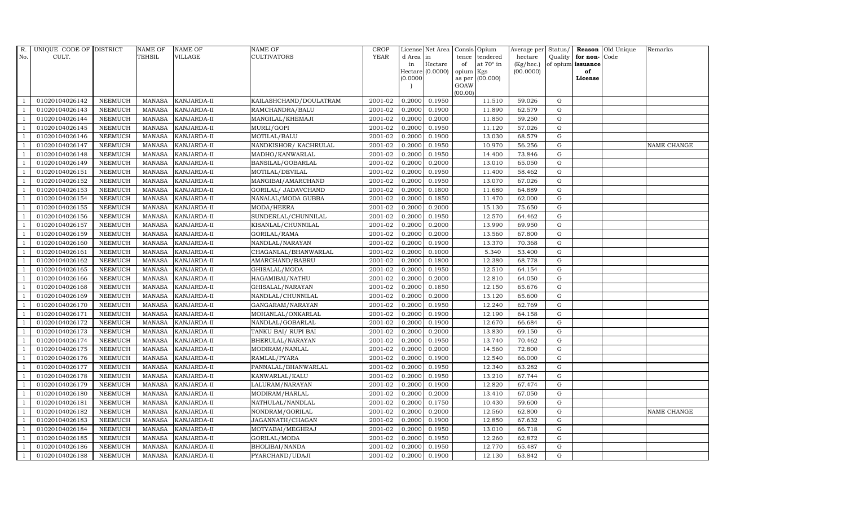| R.             | UNIQUE CODE OF DISTRICT |                | <b>NAME OF</b> | <b>NAME OF</b>     | <b>NAME OF</b>         | CROP        |           | License Net Area |         | Consis Opium           | Average per | Status/     |                   | <b>Reason</b> Old Unique | Remarks     |
|----------------|-------------------------|----------------|----------------|--------------------|------------------------|-------------|-----------|------------------|---------|------------------------|-------------|-------------|-------------------|--------------------------|-------------|
| No.            | CULT.                   |                | TEHSIL         | VILLAGE            | <b>CULTIVATORS</b>     | <b>YEAR</b> | d Area in |                  | tence   | tendered               | hectare     | Quality     | for non-          | Code                     |             |
|                |                         |                |                |                    |                        |             | in        | Hectare          | of      | at $70^\circ$ in       | (Kg/hec.)   |             | of opium issuance |                          |             |
|                |                         |                |                |                    |                        |             | (0.0000)  | Hectare (0.0000) | opium   | Kgs<br>as per (00.000) | (00.0000)   |             | of<br>License     |                          |             |
|                |                         |                |                |                    |                        |             |           |                  | GOAW    |                        |             |             |                   |                          |             |
|                |                         |                |                |                    |                        |             |           |                  | (00.00) |                        |             |             |                   |                          |             |
|                | 01020104026142          | <b>NEEMUCH</b> | MANASA         | <b>KANJARDA-II</b> | KAILASHCHAND/DOULATRAM | 2001-02     | 0.2000    | 0.1950           |         | 11.510                 | 59.026      | G           |                   |                          |             |
|                | 01020104026143          | <b>NEEMUCH</b> | MANASA         | <b>KANJARDA-II</b> | RAMCHANDRA/BALU        | 2001-02     | 0.2000    | 0.1900           |         | 11.890                 | 62.579      | G           |                   |                          |             |
| $\overline{1}$ | 01020104026144          | <b>NEEMUCH</b> | <b>MANASA</b>  | KANJARDA-II        | MANGILAL/KHEMAJI       | 2001-02     | 0.2000    | 0.2000           |         | 11.850                 | 59.250      | G           |                   |                          |             |
|                | 01020104026145          | <b>NEEMUCH</b> | MANASA         | KANJARDA-II        | MURLI/GOPI             | 2001-02     | 0.2000    | 0.1950           |         | 11.120                 | 57.026      | G           |                   |                          |             |
| $\overline{1}$ | 01020104026146          | <b>NEEMUCH</b> | MANASA         | KANJARDA-II        | MOTILAL/BALU           | 2001-02     | 0.2000    | 0.1900           |         | 13.030                 | 68.579      | G           |                   |                          |             |
| $\overline{1}$ | 01020104026147          | <b>NEEMUCH</b> | <b>MANASA</b>  | KANJARDA-II        | NANDKISHOR/KACHRULAL   | 2001-02     | 0.2000    | 0.1950           |         | 10.970                 | 56.256      | G           |                   |                          | NAME CHANGE |
| $\overline{1}$ | 01020104026148          | <b>NEEMUCH</b> | MANASA         | KANJARDA-II        | MADHO/KANWARLAL        | 2001-02     | 0.2000    | 0.1950           |         | 14.400                 | 73.846      | G           |                   |                          |             |
| $\overline{1}$ | 01020104026149          | <b>NEEMUCH</b> | MANASA         | <b>KANJARDA-II</b> | BANSILAL/GOBARLAL      | 2001-02     | 0.2000    | 0.2000           |         | 13.010                 | 65.050      | G           |                   |                          |             |
|                | 01020104026151          | <b>NEEMUCH</b> | MANASA         | KANJARDA-II        | MOTILAL/DEVILAL        | 2001-02     | 0.2000    | 0.1950           |         | 11.400                 | 58.462      | G           |                   |                          |             |
| $\overline{1}$ | 01020104026152          | <b>NEEMUCH</b> | MANASA         | KANJARDA-II        | MANGIBAI/AMARCHAND     | 2001-02     | 0.2000    | 0.1950           |         | 13.070                 | 67.026      | G           |                   |                          |             |
| -1             | 01020104026153          | <b>NEEMUCH</b> | MANASA         | KANJARDA-II        | GORILAL/ JADAVCHAND    | 2001-02     | 0.2000    | 0.1800           |         | 11.680                 | 64.889      | G           |                   |                          |             |
| $\overline{1}$ | 01020104026154          | <b>NEEMUCH</b> | MANASA         | KANJARDA-II        | NANALAL/MODA GUBBA     | 2001-02     | 0.2000    | 0.1850           |         | 11.470                 | 62.000      | G           |                   |                          |             |
| $\overline{1}$ | 01020104026155          | <b>NEEMUCH</b> | MANASA         | KANJARDA-II        | MODA/HEERA             | 2001-02     | 0.2000    | 0.2000           |         | 15.130                 | 75.650      | $\mathbf G$ |                   |                          |             |
|                | 01020104026156          | <b>NEEMUCH</b> | MANASA         | KANJARDA-II        | SUNDERLAL/CHUNNILAL    | 2001-02     | 0.2000    | 0.1950           |         | 12.570                 | 64.462      | $\mathbf G$ |                   |                          |             |
|                | 01020104026157          | <b>NEEMUCH</b> | <b>MANASA</b>  | KANJARDA-II        | KISANLAL/CHUNNILAL     | 2001-02     | 0.2000    | 0.2000           |         | 13.990                 | 69.950      | G           |                   |                          |             |
| $\overline{1}$ | 01020104026159          | <b>NEEMUCH</b> | <b>MANASA</b>  | KANJARDA-II        | GORILAL/RAMA           | 2001-02     | 0.2000    | 0.2000           |         | 13.560                 | 67.800      | G           |                   |                          |             |
| $\overline{1}$ | 01020104026160          | <b>NEEMUCH</b> | MANASA         | KANJARDA-II        | NANDLAL/NARAYAN        | 2001-02     | 0.2000    | 0.1900           |         | 13.370                 | 70.368      | G           |                   |                          |             |
| $\overline{1}$ | 01020104026161          | <b>NEEMUCH</b> | MANASA         | KANJARDA-II        | CHAGANLAL/BHANWARLAL   | 2001-02     | 0.2000    | 0.1000           |         | 5.340                  | 53.400      | $\mathbf G$ |                   |                          |             |
|                | 01020104026162          | <b>NEEMUCH</b> | MANASA         | KANJARDA-II        | AMARCHAND/BABRU        | 2001-02     | 0.2000    | 0.1800           |         | 12.380                 | 68.778      | $\mathbf G$ |                   |                          |             |
| $\overline{1}$ | 01020104026165          | <b>NEEMUCH</b> | MANASA         | KANJARDA-II        | GHISALAL/MODA          | 2001-02     | 0.2000    | 0.1950           |         | 12.510                 | 64.154      | G           |                   |                          |             |
| $\overline{1}$ | 01020104026166          | <b>NEEMUCH</b> | <b>MANASA</b>  | KANJARDA-II        | HAGAMIBAI/NATHU        | 2001-02     | 0.2000    | 0.2000           |         | 12.810                 | 64.050      | G           |                   |                          |             |
| $\overline{1}$ | 01020104026168          | <b>NEEMUCH</b> | MANASA         | KANJARDA-II        | GHISALAL/NARAYAN       | 2001-02     | 0.2000    | 0.1850           |         | 12.150                 | 65.676      | G           |                   |                          |             |
| -1             | 01020104026169          | <b>NEEMUCH</b> | MANASA         | <b>KANJARDA-II</b> | NANDLAL/CHUNNILAL      | 2001-02     | 0.2000    | 0.2000           |         | 13.120                 | 65.600      | G           |                   |                          |             |
|                | 01020104026170          | <b>NEEMUCH</b> | <b>MANASA</b>  | KANJARDA-II        | GANGARAM/NARAYAN       | 2001-02     | 0.2000    | 0.1950           |         | 12.240                 | 62.769      | G           |                   |                          |             |
|                | 01020104026171          | <b>NEEMUCH</b> | <b>MANASA</b>  | KANJARDA-II        | MOHANLAL/ONKARLAL      | 2001-02     | 0.2000    | 0.1900           |         | 12.190                 | 64.158      | G           |                   |                          |             |
| $\overline{1}$ | 01020104026172          | <b>NEEMUCH</b> | <b>MANASA</b>  | KANJARDA-II        | NANDLAL/GOBARLAL       | 2001-02     | 0.2000    | 0.1900           |         | 12.670                 | 66.684      | G           |                   |                          |             |
|                | 01020104026173          | <b>NEEMUCH</b> | MANASA         | KANJARDA-II        | TANKU BAI/ RUPI BAI    | 2001-02     | 0.2000    | 0.2000           |         | 13.830                 | 69.150      | G           |                   |                          |             |
| $\overline{1}$ | 01020104026174          | <b>NEEMUCH</b> | MANASA         | <b>KANJARDA-II</b> | BHERULAL/NARAYAN       | 2001-02     | 0.2000    | 0.1950           |         | 13.740                 | 70.462      | $\mathbf G$ |                   |                          |             |
|                | 01020104026175          | <b>NEEMUCH</b> | <b>MANASA</b>  | KANJARDA-II        | MODIRAM/NANLAL         | 2001-02     | 0.2000    | 0.2000           |         | 14.560                 | 72.800      | G           |                   |                          |             |
|                | 01020104026176          | <b>NEEMUCH</b> | <b>MANASA</b>  | KANJARDA-II        | RAMLAL/PYARA           | 2001-02     | 0.2000    | 0.1900           |         | 12.540                 | 66.000      | G           |                   |                          |             |
| -1             | 01020104026177          | <b>NEEMUCH</b> | <b>MANASA</b>  | KANJARDA-II        | PANNALAL/BHANWARLAL    | 2001-02     | 0.2000    | 0.1950           |         | 12.340                 | 63.282      | G           |                   |                          |             |
| $\overline{1}$ | 01020104026178          | <b>NEEMUCH</b> | MANASA         | KANJARDA-II        | KANWARLAL/KALU         | 2001-02     | 0.2000    | 0.1950           |         | 13.210                 | 67.744      | G           |                   |                          |             |
| $\overline{1}$ | 01020104026179          | <b>NEEMUCH</b> | MANASA         | <b>KANJARDA-II</b> | LALURAM/NARAYAN        | 2001-02     | 0.2000    | 0.1900           |         | 12.820                 | 67.474      | $\mathbf G$ |                   |                          |             |
|                | 01020104026180          | <b>NEEMUCH</b> | <b>MANASA</b>  | KANJARDA-II        | MODIRAM/HARLAL         | 2001-02     | 0.2000    | 0.2000           |         | 13.410                 | 67.050      | ${\rm G}$   |                   |                          |             |
|                | 01020104026181          | <b>NEEMUCH</b> | <b>MANASA</b>  | KANJARDA-II        | NATHULAL/NANDLAL       | 2001-02     | 0.2000    | 0.1750           |         | 10.430                 | 59.600      | G           |                   |                          |             |
| -1             | 01020104026182          | <b>NEEMUCH</b> | <b>MANASA</b>  | KANJARDA-II        | NONDRAM/GORILAL        | 2001-02     | 0.2000    | 0.2000           |         | 12.560                 | 62.800      | G           |                   |                          | NAME CHANGE |
|                | 01020104026183          | <b>NEEMUCH</b> | MANASA         | KANJARDA-II        | JAGANNATH/CHAGAN       | 2001-02     | 0.2000    | 0.1900           |         | 12.850                 | 67.632      | G           |                   |                          |             |
| $\mathbf{1}$   | 01020104026184          | <b>NEEMUCH</b> | MANASA         | <b>KANJARDA-II</b> | MOTYABAI/MEGHRAJ       | 2001-02     | 0.2000    | 0.1950           |         | 13.010                 | 66.718      | $\mathbf G$ |                   |                          |             |
|                | 01020104026185          | <b>NEEMUCH</b> | <b>MANASA</b>  | KANJARDA-II        | GORILAL/MODA           | 2001-02     | 0.2000    | 0.1950           |         | 12.260                 | 62.872      | G           |                   |                          |             |
|                | 01020104026186          | <b>NEEMUCH</b> | MANASA         | KANJARDA-II        | <b>BHOLIBAI/NANDA</b>  | 2001-02     | 0.2000    | 0.1950           |         | 12.770                 | 65.487      | G           |                   |                          |             |
| $\mathbf{1}$   | 01020104026188          | <b>NEEMUCH</b> |                | MANASA KANJARDA-II | PYARCHAND/UDAJI        | 2001-02     | 0.2000    | 0.1900           |         | 12.130                 | 63.842      | G           |                   |                          |             |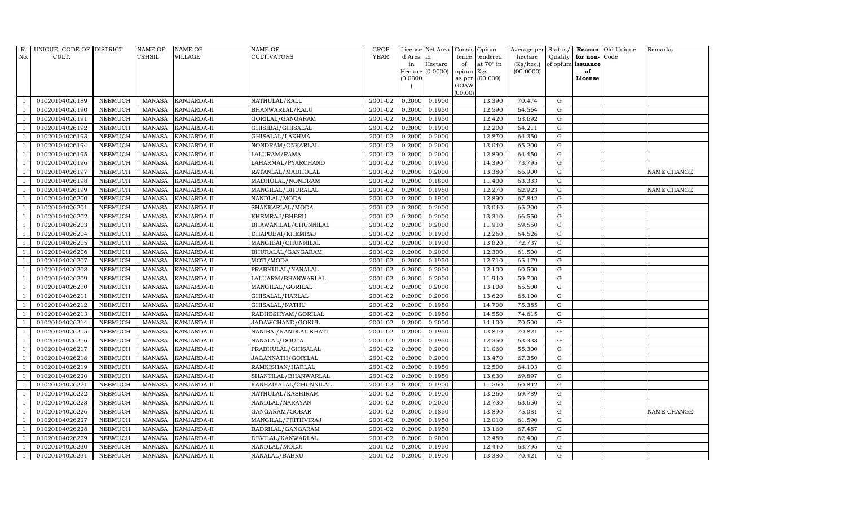| $R_{\cdot}$    | UNIQUE CODE OF DISTRICT |                | <b>NAME OF</b> | <b>NAME OF</b>     | <b>NAME OF</b>        | <b>CROP</b> |           | License Net Area |           | Consis Opium     | Average per | Status/     |                   | <b>Reason</b> Old Unique | Remarks            |
|----------------|-------------------------|----------------|----------------|--------------------|-----------------------|-------------|-----------|------------------|-----------|------------------|-------------|-------------|-------------------|--------------------------|--------------------|
| No.            | CULT.                   |                | TEHSIL         | VILLAGE            | CULTIVATORS           | <b>YEAR</b> | d Area in |                  | tence     | tendered         | hectare     | Quality     | for non-Code      |                          |                    |
|                |                         |                |                |                    |                       |             | in        | Hectare          | of        | at $70^\circ$ in | (Kg/hec.)   |             | of opium issuance |                          |                    |
|                |                         |                |                |                    |                       |             | (0.0000)  | Hectare (0.0000) | opium Kgs | as per (00.000)  | (00.0000)   |             | of<br>License     |                          |                    |
|                |                         |                |                |                    |                       |             |           |                  | GOAW      |                  |             |             |                   |                          |                    |
|                |                         |                |                |                    |                       |             |           |                  | (00.00)   |                  |             |             |                   |                          |                    |
|                | 01020104026189          | <b>NEEMUCH</b> | MANASA         | <b>KANJARDA-II</b> | NATHULAL/KALU         | 2001-02     | 0.2000    | 0.1900           |           | 13.390           | 70.474      | G           |                   |                          |                    |
| -1             | 01020104026190          | <b>NEEMUCH</b> | MANASA         | KANJARDA-II        | BHANWARLAL/KALU       | 2001-02     | 0.2000    | 0.1950           |           | 12.590           | 64.564      | $\mathbf G$ |                   |                          |                    |
|                | 01020104026191          | <b>NEEMUCH</b> | <b>MANASA</b>  | KANJARDA-II        | GORILAL/GANGARAM      | 2001-02     | 0.2000    | 0.1950           |           | 12.420           | 63.692      | G           |                   |                          |                    |
|                | 01020104026192          | <b>NEEMUCH</b> | <b>MANASA</b>  | KANJARDA-II        | GHISIBAI/GHISALAL     | 2001-02     | 0.2000    | 0.1900           |           | 12.200           | 64.211      | ${\rm G}$   |                   |                          |                    |
| $\overline{1}$ | 01020104026193          | <b>NEEMUCH</b> | <b>MANASA</b>  | KANJARDA-II        | GHISALAL/LAKHMA       | 2001-02     | 0.2000    | 0.2000           |           | 12.870           | 64.350      | ${\rm G}$   |                   |                          |                    |
| $\overline{1}$ | 01020104026194          | <b>NEEMUCH</b> | <b>MANASA</b>  | KANJARDA-II        | NONDRAM/ONKARLAL      | 2001-02     | 0.2000    | 0.2000           |           | 13.040           | 65.200      | G           |                   |                          |                    |
| $\overline{1}$ | 01020104026195          | <b>NEEMUCH</b> | <b>MANASA</b>  | <b>KANJARDA-II</b> | LALURAM/RAMA          | 2001-02     | 0.2000    | 0.2000           |           | 12.890           | 64.450      | $\mathbf G$ |                   |                          |                    |
| $\overline{1}$ | 01020104026196          | <b>NEEMUCH</b> | <b>MANASA</b>  | KANJARDA-II        | LAHARMAL/PYARCHAND    | 2001-02     | 0.2000    | 0.1950           |           | 14.390           | 73.795      | $\mathbf G$ |                   |                          |                    |
|                | 01020104026197          | <b>NEEMUCH</b> | <b>MANASA</b>  | KANJARDA-II        | RATANLAL/MADHOLAL     | 2001-02     | 0.2000    | 0.2000           |           | 13.380           | 66.900      | G           |                   |                          | <b>NAME CHANGE</b> |
| $\overline{1}$ | 01020104026198          | <b>NEEMUCH</b> | <b>MANASA</b>  | KANJARDA-II        | MADHOLAL/NONDRAM      | 2001-02     | 0.2000    | 0.1800           |           | 11.400           | 63.333      | G           |                   |                          |                    |
| -1             | 01020104026199          | <b>NEEMUCH</b> | <b>MANASA</b>  | KANJARDA-II        | MANGILAL/BHURALAL     | 2001-02     | 0.2000    | 0.1950           |           | 12.270           | 62.923      | ${\rm G}$   |                   |                          | NAME CHANGE        |
| $\overline{1}$ | 01020104026200          | <b>NEEMUCH</b> | <b>MANASA</b>  | KANJARDA-II        | NANDLAL/MODA          | 2001-02     | 0.2000    | 0.1900           |           | 12.890           | 67.842      | $\mathbf G$ |                   |                          |                    |
| $\overline{1}$ | 01020104026201          | <b>NEEMUCH</b> | <b>MANASA</b>  | KANJARDA-II        | SHANKARLAL/MODA       | 2001-02     | 0.2000    | 0.2000           |           | 13.040           | 65.200      | $\mathbf G$ |                   |                          |                    |
|                | 01020104026202          | <b>NEEMUCH</b> | <b>MANASA</b>  | KANJARDA-II        | KHEMRAJ/BHERU         | 2001-02     | 0.2000    | 0.2000           |           | 13.310           | 66.550      | G           |                   |                          |                    |
|                | 01020104026203          | <b>NEEMUCH</b> | <b>MANASA</b>  | KANJARDA-II        | BHAWANILAL/CHUNNILAL  | 2001-02     | 0.2000    | 0.2000           |           | 11.910           | 59.550      | ${\rm G}$   |                   |                          |                    |
| $\overline{1}$ | 01020104026204          | <b>NEEMUCH</b> | <b>MANASA</b>  | KANJARDA-II        | DHAPUBAI/KHEMRAJ      | 2001-02     | 0.2000    | 0.1900           |           | 12.260           | 64.526      | ${\rm G}$   |                   |                          |                    |
| $\overline{1}$ | 01020104026205          | <b>NEEMUCH</b> | <b>MANASA</b>  | KANJARDA-II        | MANGIBAI/CHUNNILAL    | 2001-02     | 0.2000    | 0.1900           |           | 13.820           | 72.737      | G           |                   |                          |                    |
| $\overline{1}$ | 01020104026206          | <b>NEEMUCH</b> | <b>MANASA</b>  | <b>KANJARDA-II</b> | BHURALAL/GANGARAM     | 2001-02     | 0.2000    | 0.2000           |           | 12.300           | 61.500      | $\mathbf G$ |                   |                          |                    |
|                | 01020104026207          | <b>NEEMUCH</b> | <b>MANASA</b>  | KANJARDA-II        | MOTI/MODA             | 2001-02     | 0.2000    | 0.1950           |           | 12.710           | 65.179      | $\mathbf G$ |                   |                          |                    |
| $\overline{1}$ | 01020104026208          | <b>NEEMUCH</b> | <b>MANASA</b>  | KANJARDA-II        | PRABHULAL/NANALAL     | 2001-02     | 0.2000    | 0.2000           |           | 12.100           | 60.500      | $\mathbf G$ |                   |                          |                    |
| $\overline{1}$ | 01020104026209          | <b>NEEMUCH</b> | <b>MANASA</b>  | KANJARDA-II        | LALUARM/BHANWARLAL    | 2001-02     | 0.2000    | 0.2000           |           | 11.940           | 59.700      | G           |                   |                          |                    |
| $\overline{1}$ | 01020104026210          | <b>NEEMUCH</b> | <b>MANASA</b>  | KANJARDA-II        | MANGILAL/GORILAL      | 2001-02     | 0.2000    | 0.2000           |           | 13.100           | 65.500      | ${\rm G}$   |                   |                          |                    |
| $\overline{1}$ | 01020104026211          | <b>NEEMUCH</b> | MANASA         | KANJARDA-II        | GHISALAL/HARLAL       | 2001-02     | 0.2000    | 0.2000           |           | 13.620           | 68.100      | G           |                   |                          |                    |
|                | 01020104026212          | <b>NEEMUCH</b> | <b>MANASA</b>  | KANJARDA-II        | GHISALAL/NATHU        | 2001-02     | 0.2000    | 0.1950           |           | 14.700           | 75.385      | $\mathbf G$ |                   |                          |                    |
| $\overline{1}$ | 01020104026213          | <b>NEEMUCH</b> | <b>MANASA</b>  | KANJARDA-II        | RADHESHYAM/GORILAL    | 2001-02     | 0.2000    | 0.1950           |           | 14.550           | 74.615      | G           |                   |                          |                    |
| -1             | 01020104026214          | <b>NEEMUCH</b> | <b>MANASA</b>  | KANJARDA-II        | JADAWCHAND/GOKUL      | 2001-02     | 0.2000    | 0.2000           |           | 14.100           | 70.500      | G           |                   |                          |                    |
|                | 01020104026215          | <b>NEEMUCH</b> | <b>MANASA</b>  | KANJARDA-II        | NANIBAI/NANDLAL KHATI | 2001-02     | 0.2000    | 0.1950           |           | 13.810           | 70.821      | G           |                   |                          |                    |
| $\overline{1}$ | 01020104026216          | <b>NEEMUCH</b> | <b>MANASA</b>  | KANJARDA-II        | NANALAL/DOULA         | 2001-02     | 0.2000    | 0.1950           |           | 12.350           | 63.333      | G           |                   |                          |                    |
| $\overline{1}$ | 01020104026217          | <b>NEEMUCH</b> | <b>MANASA</b>  | KANJARDA-II        | PRABHULAL/GHISALAL    | 2001-02     | 0.2000    | 0.2000           |           | 11.060           | 55.300      | G           |                   |                          |                    |
|                | 01020104026218          | <b>NEEMUCH</b> | <b>MANASA</b>  | KANJARDA-II        | JAGANNATH/GORILAL     | 2001-02     | 0.2000    | 0.2000           |           | 13.470           | 67.350      | $\mathbf G$ |                   |                          |                    |
| $\overline{1}$ | 01020104026219          | <b>NEEMUCH</b> | <b>MANASA</b>  | KANJARDA-II        | RAMKISHAN/HARLAL      | 2001-02     | 0.2000    | 0.1950           |           | 12.500           | 64.103      | G           |                   |                          |                    |
| -1             | 01020104026220          | <b>NEEMUCH</b> | <b>MANASA</b>  | KANJARDA-II        | SHANTILAL/BHANWARLAL  | 2001-02     | 0.2000    | 0.1950           |           | 13.630           | 69.897      | ${\rm G}$   |                   |                          |                    |
| $\overline{1}$ | 01020104026221          | <b>NEEMUCH</b> | <b>MANASA</b>  | KANJARDA-II        | KANHAIYALAL/CHUNNILAL | 2001-02     | 0.2000    | 0.1900           |           | 11.560           | 60.842      | $\mathbf G$ |                   |                          |                    |
| $\overline{1}$ | 01020104026222          | <b>NEEMUCH</b> | <b>MANASA</b>  | KANJARDA-II        | NATHULAL/KASHIRAM     | 2001-02     | 0.2000    | 0.1900           |           | 13.260           | 69.789      | $\mathbf G$ |                   |                          |                    |
|                | 01020104026223          | <b>NEEMUCH</b> | <b>MANASA</b>  | KANJARDA-II        | NANDLAL/NARAYAN       | 2001-02     | 0.2000    | 0.2000           |           | 12.730           | 63.650      | $\mathbf G$ |                   |                          |                    |
| $\overline{1}$ | 01020104026226          | <b>NEEMUCH</b> | <b>MANASA</b>  | KANJARDA-II        | GANGARAM/GOBAR        | 2001-02     | 0.2000    | 0.1850           |           | 13.890           | 75.081      | ${\rm G}$   |                   |                          | NAME CHANGE        |
| $\overline{1}$ | 01020104026227          | <b>NEEMUCH</b> | <b>MANASA</b>  | KANJARDA-II        | MANGILAL/PRITHVIRAJ   | 2001-02     | 0.2000    | 0.1950           |           | 12.010           | 61.590      | ${\rm G}$   |                   |                          |                    |
| $\mathbf{1}$   | 01020104026228          | <b>NEEMUCH</b> | <b>MANASA</b>  | KANJARDA-II        | BADRILAL/GANGARAM     | 2001-02     | 0.2000    | 0.1950           |           | 13.160           | 67.487      | ${\rm G}$   |                   |                          |                    |
| $\overline{1}$ | 01020104026229          | <b>NEEMUCH</b> | <b>MANASA</b>  | KANJARDA-II        | DEVILAL/KANWARLAL     | 2001-02     | 0.2000    | 0.2000           |           | 12.480           | 62.400      | $\mathbf G$ |                   |                          |                    |
|                | 01020104026230          | <b>NEEMUCH</b> | <b>MANASA</b>  | KANJARDA-II        | NANDLAL/MODJI         | 2001-02     | 0.2000    | 0.1950           |           | 12.440           | 63.795      | $\mathbf G$ |                   |                          |                    |
| $\mathbf{1}$   | 01020104026231          | <b>NEEMUCH</b> |                | MANASA KANJARDA-II | NANALAL/BABRU         | 2001-02     | 0.2000    | 0.1900           |           | 13.380           | 70.421      | G           |                   |                          |                    |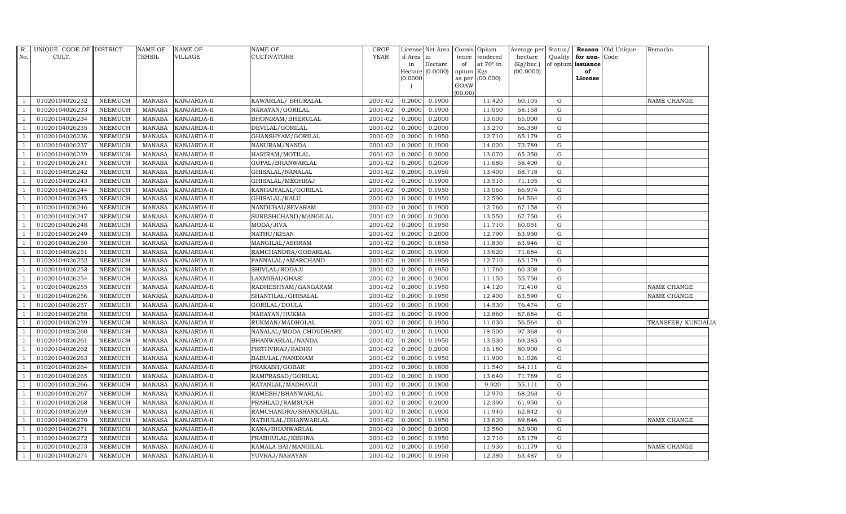| $R_{\cdot}$<br>No. | UNIQUE CODE OF DISTRICT<br>CULT. |                | <b>NAME OF</b><br><b>TEHSIL</b> | <b>NAME OF</b><br>VILLAGE | NAME OF<br><b>CULTIVATORS</b> | <b>CROP</b><br><b>YEAR</b> | d Area in |                  | License Net Area   Consis   Opium<br>tence<br>tendered | Average per Status/<br>hectare | Quality     | for non-Code      | <b>Reason</b> Old Unique | Remarks           |
|--------------------|----------------------------------|----------------|---------------------------------|---------------------------|-------------------------------|----------------------------|-----------|------------------|--------------------------------------------------------|--------------------------------|-------------|-------------------|--------------------------|-------------------|
|                    |                                  |                |                                 |                           |                               |                            | in        | Hectare          | at $70^\circ$ in<br>of                                 | (Kg/hec.)                      |             | of opium issuance |                          |                   |
|                    |                                  |                |                                 |                           |                               |                            |           | Hectare (0.0000) | opium<br>Kgs                                           | (00.0000)                      |             | of                |                          |                   |
|                    |                                  |                |                                 |                           |                               |                            | (0.0000)  |                  | (00.000)<br>as per<br>GOAW                             |                                |             | License           |                          |                   |
|                    |                                  |                |                                 |                           |                               |                            |           |                  | (00.00)                                                |                                |             |                   |                          |                   |
|                    | 01020104026232                   | NEEMUCH        | MANASA                          | <b>KANJARDA-II</b>        | KAWARLAL/ BHURALAL            | 2001-02                    | 0.2000    | 0.1900           | 11.420                                                 | 60.105                         | G           |                   |                          | NAME CHANGE       |
|                    | 01020104026233                   | NEEMUCH        | MANASA                          | KANJARDA-II               | NARAYAN/GORILAL               | 2001-02                    | 0.2000    | 0.1900           | 11.050                                                 | 58.158                         | G           |                   |                          |                   |
|                    | 01020104026234                   | <b>NEEMUCH</b> | <b>MANASA</b>                   | KANJARDA-II               | BHONIRAM/BHERULAL             | 2001-02                    | 0.2000    | 0.2000           | 13.000                                                 | 65.000                         | G           |                   |                          |                   |
|                    | 01020104026235                   | <b>NEEMUCH</b> | <b>MANASA</b>                   | KANJARDA-II               | DEVILAL/GORILAL               | 2001-02                    | 0.2000    | 0.2000           | 13.270                                                 | 66.350                         | G           |                   |                          |                   |
| $\overline{1}$     | 01020104026236                   | <b>NEEMUCH</b> | <b>MANASA</b>                   | KANJARDA-II               | GHANSHYAM/GORILAL             | 2001-02                    | 0.2000    | 0.1950           | 12.710                                                 | 65.179                         | G           |                   |                          |                   |
|                    | 01020104026237                   | NEEMUCH        | <b>MANASA</b>                   | KANJARDA-II               | NANURAM/NANDA                 | 2001-02                    | 0.2000    | 0.1900           | 14.020                                                 | 73.789                         | G           |                   |                          |                   |
|                    | 01020104026239                   | NEEMUCH        | MANASA                          | KANJARDA-II               | HARIRAM/MOTILAL               | 2001-02                    | 0.2000    | 0.2000           | 13.070                                                 | 65.350                         | ${\bf G}$   |                   |                          |                   |
|                    | 01020104026241                   | <b>NEEMUCH</b> | <b>MANASA</b>                   | KANJARDA-II               | GOPAL/BHANWARLAL              | 2001-02                    | 0.2000    | 0.2000           | 11.680                                                 | 58.400                         | G           |                   |                          |                   |
|                    | 01020104026242                   | <b>NEEMUCH</b> | <b>MANASA</b>                   | KANJARDA-II               | GHISALAL/NANALAL              | 2001-02                    | 0.2000    | 0.1950           | 13.400                                                 | 68.718                         | G           |                   |                          |                   |
| $\overline{1}$     | 01020104026243                   | <b>NEEMUCH</b> | <b>MANASA</b>                   | KANJARDA-II               | GHISALAL/MEGHRAJ              | 2001-02                    | 0.2000    | 0.1900           | 13.510                                                 | 71.105                         | G           |                   |                          |                   |
| $\overline{1}$     | 01020104026244                   | NEEMUCH        | <b>MANASA</b>                   | KANJARDA-II               | KANHAIYALAL/GORILAL           | 2001-02                    | 0.2000    | 0.1950           | 13.060                                                 | 66.974                         | G           |                   |                          |                   |
|                    | 01020104026245                   | <b>NEEMUCH</b> | <b>MANASA</b>                   | KANJARDA-II               | GHISALAL/KALU                 | 2001-02                    | 0.2000    | 0.1950           | 12.590                                                 | 64.564                         | ${\rm G}$   |                   |                          |                   |
| $\overline{1}$     | 01020104026246                   | NEEMUCH        | <b>MANASA</b>                   | KANJARDA-II               | NANDUBAI/SEVARAM              | 2001-02                    | 0.2000    | 0.1900           | 12.760                                                 | 67.158                         | ${\rm G}$   |                   |                          |                   |
|                    | 01020104026247                   | <b>NEEMUCH</b> | <b>MANASA</b>                   | KANJARDA-II               | SURESHCHAND/MANGILAL          | 2001-02                    | 0.2000    | 0.2000           | 13.550                                                 | 67.750                         | G           |                   |                          |                   |
| $\overline{1}$     | 01020104026248                   | <b>NEEMUCH</b> | <b>MANASA</b>                   | KANJARDA-II               | MODA/JIVA                     | 2001-02                    | 0.2000    | 0.1950           | 11.710                                                 | 60.051                         | G           |                   |                          |                   |
| 1                  | 01020104026249                   | NEEMUCH        | <b>MANASA</b>                   | KANJARDA-II               | NATHU/KISAN                   | 2001-02                    | 0.2000    | 0.2000           | 12.790                                                 | 63.950                         | G           |                   |                          |                   |
|                    | 01020104026250                   | <b>NEEMUCH</b> | <b>MANASA</b>                   | KANJARDA-II               | MANGILAL/ASHRAM               | 2001-02                    | 0.2000    | 0.1850           | 11.830                                                 | 63.946                         | G           |                   |                          |                   |
| $\overline{1}$     | 01020104026251                   | <b>NEEMUCH</b> | MANASA                          | KANJARDA-II               | RAMCHANDRA/GOBARLAL           | 2001-02                    | 0.2000    | 0.1900           | 13.620                                                 | 71.684                         | G           |                   |                          |                   |
|                    | 01020104026252                   | <b>NEEMUCH</b> | <b>MANASA</b>                   | KANJARDA-II               | PANNALAL/AMARCHAND            | 2001-02                    | 0.2000    | 0.1950           | 12.710                                                 | 65.179                         | $\mathbf G$ |                   |                          |                   |
|                    | 01020104026253                   | <b>NEEMUCH</b> | <b>MANASA</b>                   | KANJARDA-II               | SHIVLAL/RODAJI                | 2001-02                    | 0.2000    | 0.1950           | 11.760                                                 | 60.308                         | G           |                   |                          |                   |
| $\mathbf{1}$       | 01020104026254                   | <b>NEEMUCH</b> | <b>MANASA</b>                   | KANJARDA-II               | LAXMIBAI/GHASI                | 2001-02                    | 0.2000    | 0.2000           | 11.150                                                 | 55.750                         | G           |                   |                          |                   |
| $\overline{1}$     | 01020104026255                   | <b>NEEMUCH</b> | <b>MANASA</b>                   | KANJARDA-II               | RADHESHYAM/GANGARAM           | 2001-02                    | 0.2000    | 0.1950           | 14.120                                                 | 72.410                         | G           |                   |                          | NAME CHANGE       |
| $\overline{1}$     | 01020104026256                   | <b>NEEMUCH</b> | MANASA                          | KANJARDA-II               | SHANTILAL/GHISALAL            | 2001-02                    | 0.2000    | 0.1950           | 12.400                                                 | 63.590                         | ${\bf G}$   |                   |                          | NAME CHANGE       |
| $\overline{1}$     | 01020104026257                   | <b>NEEMUCH</b> | <b>MANASA</b>                   | KANJARDA-II               | GORILAL/DOULA                 | 2001-02                    | 0.2000    | 0.1900           | 14.530                                                 | 76.474                         | $\mathbf G$ |                   |                          |                   |
|                    | 01020104026258                   | NEEMUCH        | <b>MANASA</b>                   | KANJARDA-II               | NARAYAN/HUKMA                 | 2001-02                    | 0.2000    | 0.1900           | 12.860                                                 | 67.684                         | G           |                   |                          |                   |
| $\overline{1}$     | 01020104026259                   | <b>NEEMUCH</b> | <b>MANASA</b>                   | KANJARDA-II               | RUKMAN/MADHOLAL               | 2001-02                    | 0.2000    | 0.1950           | 11.030                                                 | 56.564                         | G           |                   |                          | TRANSFER/KUNDALIA |
| $\overline{1}$     | 01020104026260                   | <b>NEEMUCH</b> | <b>MANASA</b>                   | KANJARDA-II               | NANALAL/MODA CHOUDHARY        | 2001-02                    | 0.2000    | 0.1900           | 18.500                                                 | 97.368                         | G           |                   |                          |                   |
| $\overline{1}$     | 01020104026261                   | <b>NEEMUCH</b> | MANASA                          | KANJARDA-II               | BHANWARLAL/NANDA              | 2001-02                    | 0.2000    | 0.1950           | 13.530                                                 | 69.385                         | G           |                   |                          |                   |
| $\overline{1}$     | 01020104026262                   | <b>NEEMUCH</b> | <b>MANASA</b>                   | KANJARDA-II               | PRITHVIRAJ/RADHU              | 2001-02                    | 0.2000    | 0.2000           | 16.180                                                 | 80.900                         | ${\rm G}$   |                   |                          |                   |
|                    | 01020104026263                   | <b>NEEMUCH</b> | <b>MANASA</b>                   | KANJARDA-II               | BABULAL/NANDRAM               | 2001-02                    | 0.2000    | 0.1950           | 11.900                                                 | 61.026                         | G           |                   |                          |                   |
| $\overline{1}$     | 01020104026264                   | <b>NEEMUCH</b> | <b>MANASA</b>                   | KANJARDA-II               | PRAKASH/GOBAR                 | 2001-02                    | 0.2000    | 0.1800           | 11.540                                                 | 64.111                         | G           |                   |                          |                   |
| -1                 | 01020104026265                   | <b>NEEMUCH</b> | <b>MANASA</b>                   | KANJARDA-II               | RAMPRASAD/GORILAL             | 2001-02                    | 0.2000    | 0.1900           | 13.640                                                 | 71.789                         | G           |                   |                          |                   |
| $\overline{1}$     | 01020104026266                   | NEEMUCH        | MANASA                          | KANJARDA-II               | RATANLAL/MADHAVJI             | 2001-02                    | 0.2000    | 0.1800           | 9.920                                                  | 55.111                         | G           |                   |                          |                   |
| $\overline{1}$     | 01020104026267                   | <b>NEEMUCH</b> | <b>MANASA</b>                   | KANJARDA-II               | RAMESH/BHANWARLAL             | 2001-02                    | 0.2000    | 0.1900           | 12.970                                                 | 68.263                         | ${\rm G}$   |                   |                          |                   |
|                    | 01020104026268                   | <b>NEEMUCH</b> | <b>MANASA</b>                   | KANJARDA-II               | PRAHLAD/RAMSUKH               | 2001-02                    | 0.2000    | 0.2000           | 12.390                                                 | 61.950                         | G           |                   |                          |                   |
| $\overline{1}$     | 01020104026269                   | <b>NEEMUCH</b> | <b>MANASA</b>                   | KANJARDA-II               | RAMCHANDRA/SHANKARLAL         | 2001-02                    | 0.2000    | 0.1900           | 11.940                                                 | 62.842                         | ${\rm G}$   |                   |                          |                   |
|                    | 01020104026270                   | <b>NEEMUCH</b> | <b>MANASA</b>                   | KANJARDA-II               | NATHULAL/BHANWARLAL           | 2001-02                    | 0.2000    | 0.1950           | 13.620                                                 | 69.846                         | G           |                   |                          | NAME CHANGE       |
| $\overline{1}$     | 01020104026271                   | <b>NEEMUCH</b> | <b>MANASA</b>                   | KANJARDA-II               | KANA/BHANWARLAL               | 2001-02                    | 0.2000    | 0.2000           | 12.580                                                 | 62.900                         | ${\rm G}$   |                   |                          |                   |
| $\overline{1}$     | 01020104026272                   | <b>NEEMUCH</b> | <b>MANASA</b>                   | KANJARDA-II               | PRABHULAL/KISHNA              | 2001-02                    | 0.2000    | 0.1950           | 12.710                                                 | 65.179                         | G           |                   |                          |                   |
|                    | 01020104026273                   | <b>NEEMUCH</b> | <b>MANASA</b>                   | KANJARDA-II               | KAMALA BAI/MANGILAL           | 2001-02                    | 0.2000    | 0.1950           | 11.930                                                 | 61.179                         | G           |                   |                          | NAME CHANGE       |
| $\overline{1}$     | 01020104026274                   | NEEMUCH        | MANASA                          | KANJARDA-II               | YUVRAJ/NARAYAN                | 2001-02                    | 0.2000    | 0.1950           | 12.380                                                 | 63.487                         | G           |                   |                          |                   |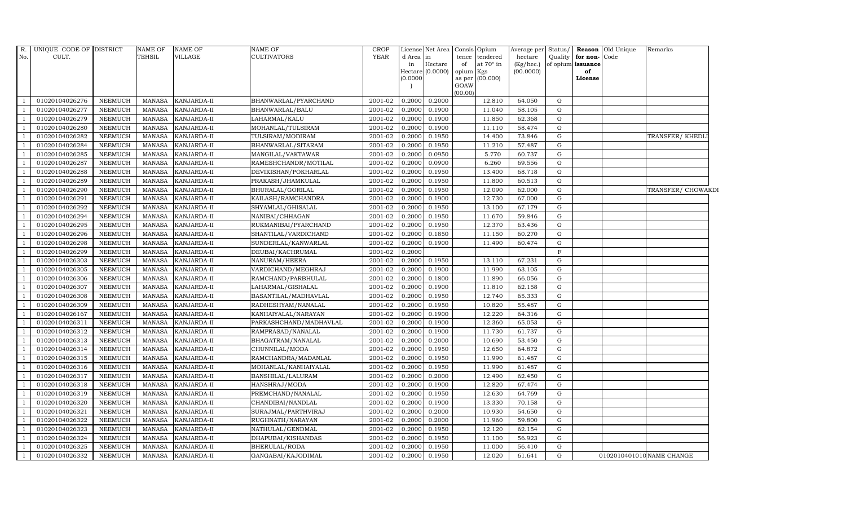| $R$ .<br>No.   | UNIQUE CODE OF DISTRICT<br>CULT. |                | <b>NAME OF</b><br><b>TEHSIL</b> | <b>NAME OF</b><br>VILLAGE | NAME OF<br><b>CULTIVATORS</b> | <b>CROP</b><br><b>YEAR</b> | d Area<br>in | License Net Area<br>in<br>Hectare | of                           | Consis Opium<br>tence tendered<br>at $70^\circ$ in | Average per<br>hectare<br>(Kg/hec.) | Status/<br>Quality | for non-Code<br>of opium issuance | <b>Reason</b> Old Unique | Remarks                   |
|----------------|----------------------------------|----------------|---------------------------------|---------------------------|-------------------------------|----------------------------|--------------|-----------------------------------|------------------------------|----------------------------------------------------|-------------------------------------|--------------------|-----------------------------------|--------------------------|---------------------------|
|                |                                  |                |                                 |                           |                               |                            | (0.0000)     | Hectare (0.0000)                  | opium Kgs<br>GOAW<br>(00.00) | as per (00.000)                                    | (00.0000)                           |                    | of<br>License                     |                          |                           |
|                | 01020104026276                   | <b>NEEMUCH</b> | MANASA                          | KANJARDA-II               | BHANWARLAL/PYARCHAND          | 2001-02                    | 0.2000       | 0.2000                            |                              | 12.810                                             | 64.050                              | G                  |                                   |                          |                           |
|                | 01020104026277                   | <b>NEEMUCH</b> | <b>MANASA</b>                   | KANJARDA-II               | BHANWARLAL/BALU               | 2001-02                    | 0.2000       | 0.1900                            |                              | 11.040                                             | 58.105                              | ${\rm G}$          |                                   |                          |                           |
|                | 01020104026279                   | <b>NEEMUCH</b> | <b>MANASA</b>                   | KANJARDA-II               | LAHARMAL/KALU                 | 2001-02                    | 0.2000       | 0.1900                            |                              | 11.850                                             | 62.368                              | G                  |                                   |                          |                           |
|                | 01020104026280                   | <b>NEEMUCH</b> | <b>MANASA</b>                   | KANJARDA-II               | MOHANLAL/TULSIRAM             | 2001-02                    | 0.2000       | 0.1900                            |                              | 11.110                                             | 58.474                              | G                  |                                   |                          |                           |
|                | 01020104026282                   | <b>NEEMUCH</b> | <b>MANASA</b>                   | KANJARDA-II               | TULSIRAM/MODIRAM              | 2001-02                    | 0.2000       | 0.1950                            |                              | 14.400                                             | 73.846                              | G                  |                                   |                          | TRANSFER/KHEDL            |
|                | 01020104026284                   | <b>NEEMUCH</b> | <b>MANASA</b>                   | KANJARDA-II               | BHANWARLAL/SITARAM            | 2001-02                    | 0.2000       | 0.1950                            |                              | 11.210                                             | 57.487                              | G                  |                                   |                          |                           |
|                | 01020104026285                   | <b>NEEMUCH</b> | MANASA                          | KANJARDA-II               | MANGILAL/VAKTAWAR             | 2001-02                    | 0.2000       | 0.0950                            |                              | 5.770                                              | 60.737                              | G                  |                                   |                          |                           |
|                | 01020104026287                   | <b>NEEMUCH</b> | <b>MANASA</b>                   | KANJARDA-II               | RAMESHCHANDR/MOTILAL          | 2001-02                    | 0.2000       | 0.0900                            |                              | 6.260                                              | 69.556                              | $\mathbf G$        |                                   |                          |                           |
|                | 01020104026288                   | <b>NEEMUCH</b> | <b>MANASA</b>                   | KANJARDA-II               | DEVIKISHAN/POKHARLAL          | 2001-02                    | 0.2000       | 0.1950                            |                              | 13.400                                             | 68.718                              | G                  |                                   |                          |                           |
|                | 01020104026289                   | <b>NEEMUCH</b> | <b>MANASA</b>                   | KANJARDA-II               | PRAKASH/JHAMKULAL             | 2001-02                    | 0.2000       | 0.1950                            |                              | 11.800                                             | 60.513                              | G                  |                                   |                          |                           |
| $\overline{1}$ | 01020104026290                   | <b>NEEMUCH</b> | <b>MANASA</b>                   | KANJARDA-II               | BHURALAL/GORILAL              | 2001-02                    | 0.2000       | 0.1950                            |                              | 12.090                                             | 62.000                              | G                  |                                   |                          | TRANSFER/ CHOWAKDI        |
|                | 01020104026291                   | <b>NEEMUCH</b> | <b>MANASA</b>                   | KANJARDA-II               | KAILASH/RAMCHANDRA            | 2001-02                    | 0.2000       | 0.1900                            |                              | 12.730                                             | 67.000                              | G                  |                                   |                          |                           |
|                | 01020104026292                   | <b>NEEMUCH</b> | <b>MANASA</b>                   | KANJARDA-II               | SHYAMLAL/GHISALAL             | 2001-02                    | 0.2000       | 0.1950                            |                              | 13.100                                             | 67.179                              | G                  |                                   |                          |                           |
|                | 01020104026294                   | <b>NEEMUCH</b> | <b>MANASA</b>                   | KANJARDA-II               | NANIBAI/CHHAGAN               | 2001-02                    | 0.2000       | 0.1950                            |                              | 11.670                                             | 59.846                              | G                  |                                   |                          |                           |
|                | 01020104026295                   | <b>NEEMUCH</b> | <b>MANASA</b>                   | KANJARDA-II               | RUKMANIBAI/PYARCHAND          | 2001-02                    | 0.2000       | 0.1950                            |                              | 12.370                                             | 63.436                              | G                  |                                   |                          |                           |
|                | 01020104026296                   | <b>NEEMUCH</b> | <b>MANASA</b>                   | KANJARDA-II               | SHANTILAL/VARDICHAND          | 2001-02                    | 0.2000       | 0.1850                            |                              | 11.150                                             | 60.270                              | G                  |                                   |                          |                           |
|                | 01020104026298                   | <b>NEEMUCH</b> | <b>MANASA</b>                   | KANJARDA-II               | SUNDERLAL/KANWARLAL           | 2001-02                    | 0.2000       | 0.1900                            |                              | 11.490                                             | 60.474                              | G                  |                                   |                          |                           |
|                | 01020104026299                   | <b>NEEMUCH</b> | <b>MANASA</b>                   | KANJARDA-II               | DEUBAI/KACHRUMAL              | 2001-02                    | 0.2000       |                                   |                              |                                                    |                                     | $\mathbf F$        |                                   |                          |                           |
|                | 01020104026303                   | <b>NEEMUCH</b> | <b>MANASA</b>                   | KANJARDA-II               | NANURAM/HEERA                 | 2001-02                    | 0.2000       | 0.1950                            |                              | 13.110                                             | 67.231                              | G                  |                                   |                          |                           |
|                | 01020104026305                   | <b>NEEMUCH</b> | <b>MANASA</b>                   | KANJARDA-II               | VARDICHAND/MEGHRAJ            | 2001-02                    | 0.2000       | 0.1900                            |                              | 11.990                                             | 63.105                              | $\mathbf G$        |                                   |                          |                           |
|                | 01020104026306                   | <b>NEEMUCH</b> | <b>MANASA</b>                   | KANJARDA-II               | RAMCHAND/PARBHULAL            | 2001-02                    | 0.2000       | 0.1800                            |                              | 11.890                                             | 66.056                              | G                  |                                   |                          |                           |
|                | 01020104026307                   | <b>NEEMUCH</b> | <b>MANASA</b>                   | KANJARDA-II               | LAHARMAL/GISHALAL             | 2001-02                    | 0.2000       | 0.1900                            |                              | 11.810                                             | 62.158                              | G                  |                                   |                          |                           |
|                | 01020104026308                   | <b>NEEMUCH</b> | <b>MANASA</b>                   | KANJARDA-II               | BASANTILAL/MADHAVLAL          | 2001-02                    | 0.2000       | 0.1950                            |                              | 12.740                                             | 65.333                              | ${\rm G}$          |                                   |                          |                           |
|                | 01020104026309                   | <b>NEEMUCH</b> | <b>MANASA</b>                   | KANJARDA-II               | RADHESHYAM/NANALAL            | 2001-02                    | 0.2000       | 0.1950                            |                              | 10.820                                             | 55.487                              | ${\rm G}$          |                                   |                          |                           |
|                | 01020104026167                   | <b>NEEMUCH</b> | <b>MANASA</b>                   | KANJARDA-II               | KANHAIYALAL/NARAYAN           | 2001-02                    | 0.2000       | 0.1900                            |                              | 12.220                                             | 64.316                              | G                  |                                   |                          |                           |
|                | 01020104026311                   | <b>NEEMUCH</b> | <b>MANASA</b>                   | KANJARDA-II               | PARKASHCHAND/MADHAVLAL        | 2001-02                    | 0.2000       | 0.1900                            |                              | 12.360                                             | 65.053                              | G                  |                                   |                          |                           |
|                | 01020104026312                   | <b>NEEMUCH</b> | <b>MANASA</b>                   | KANJARDA-II               | RAMPRASAD/NANALAL             | 2001-02                    | 0.2000       | 0.1900                            |                              | 11.730                                             | 61.737                              | G                  |                                   |                          |                           |
|                | 01020104026313                   | <b>NEEMUCH</b> | <b>MANASA</b>                   | KANJARDA-II               | BHAGATRAM/NANALAL             | 2001-02                    | 0.2000       | 0.2000                            |                              | 10.690                                             | 53.450                              | G                  |                                   |                          |                           |
|                | 01020104026314                   | <b>NEEMUCH</b> | <b>MANASA</b>                   | KANJARDA-II               | CHUNNILAL/MODA                | 2001-02                    | 0.2000       | 0.1950                            |                              | 12.650                                             | 64.872                              | G                  |                                   |                          |                           |
|                | 01020104026315                   | <b>NEEMUCH</b> | <b>MANASA</b>                   | KANJARDA-II               | RAMCHANDRA/MADANLAL           | 2001-02                    | 0.2000       | 0.1950                            |                              | 11.990                                             | 61.487                              | G                  |                                   |                          |                           |
|                | 01020104026316                   | <b>NEEMUCH</b> | <b>MANASA</b>                   | KANJARDA-II               | MOHANLAL/KANHAIYALAL          | 2001-02                    | 0.2000       | 0.1950                            |                              | 11.990                                             | 61.487                              | G                  |                                   |                          |                           |
|                | 01020104026317                   | <b>NEEMUCH</b> | <b>MANASA</b>                   | KANJARDA-II               | BANSHILAL/LALURAM             | 2001-02                    | 0.2000       | 0.2000                            |                              | 12.490                                             | 62.450                              | G                  |                                   |                          |                           |
|                | 01020104026318                   | <b>NEEMUCH</b> | <b>MANASA</b>                   | KANJARDA-II               | HANSHRAJ/MODA                 | 2001-02                    | 0.2000       | 0.1900                            |                              | 12.820                                             | 67.474                              | G                  |                                   |                          |                           |
|                | 01020104026319                   | <b>NEEMUCH</b> | <b>MANASA</b>                   | KANJARDA-II               | PREMCHAND/NANALAL             | 2001-02                    | 0.2000       | 0.1950                            |                              | 12.630                                             | 64.769                              | ${\rm G}$          |                                   |                          |                           |
|                | 01020104026320                   | <b>NEEMUCH</b> | <b>MANASA</b>                   | KANJARDA-II               | CHANDIBAI/NANDLAL             | 2001-02                    | 0.2000       | 0.1900                            |                              | 13.330                                             | 70.158                              | G                  |                                   |                          |                           |
|                | 01020104026321                   | <b>NEEMUCH</b> | <b>MANASA</b>                   | KANJARDA-II               | SURAJMAL/PARTHVIRAJ           | 2001-02                    | 0.2000       | 0.2000                            |                              | 10.930                                             | 54.650                              | G                  |                                   |                          |                           |
|                | 01020104026322                   | <b>NEEMUCH</b> | <b>MANASA</b>                   | KANJARDA-II               | RUGHNATH/NARAYAN              | 2001-02                    | 0.2000       | 0.2000                            |                              | 11.960                                             | 59.800                              | G                  |                                   |                          |                           |
|                | 01020104026323                   | <b>NEEMUCH</b> | <b>MANASA</b>                   | KANJARDA-II               | NATHULAL/GENDMAL              | 2001-02                    | 0.2000       | 0.1950                            |                              | 12.120                                             | 62.154                              | G                  |                                   |                          |                           |
|                | 01020104026324                   | <b>NEEMUCH</b> | <b>MANASA</b>                   | KANJARDA-II               | DHAPUBAI/KISHANDAS            | 2001-02                    | 0.2000       | 0.1950                            |                              | 11.100                                             | 56.923                              | G                  |                                   |                          |                           |
|                | 01020104026325                   | <b>NEEMUCH</b> | <b>MANASA</b>                   | KANJARDA-II               | BHERULAL/RODA                 | 2001-02                    | 0.2000       | 0.1950                            |                              | 11.000                                             | 56.410                              | G                  |                                   |                          |                           |
|                | 01020104026332                   | <b>NEEMUCH</b> | MANASA                          | KANJARDA-II               | GANGABAI/KAJODIMAL            | 2001-02                    | 0.2000       | 0.1950                            |                              | 12.020                                             | 61.641                              | G                  |                                   |                          | 0102010401010 NAME CHANGE |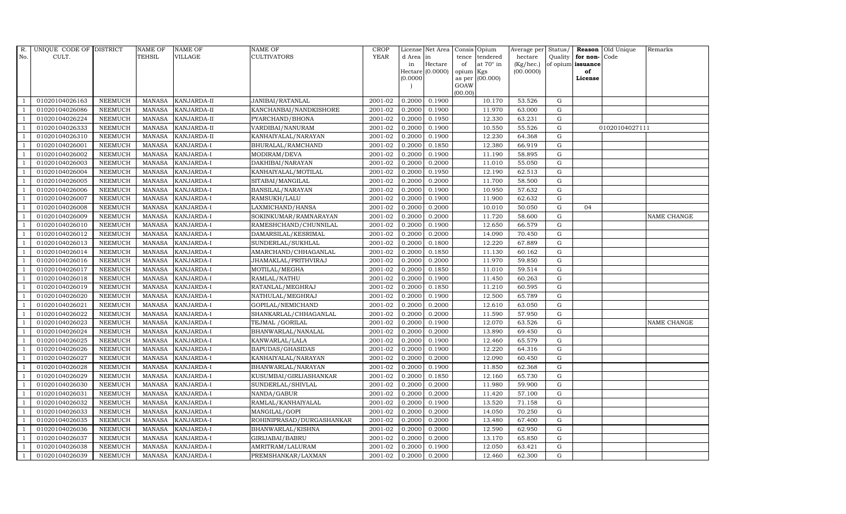| R.             | UNIQUE CODE OF DISTRICT |                | <b>NAME OF</b> | <b>NAME OF</b>     | <b>NAME OF</b>            | CROP        |           | License Net Area Consis Opium |           |                  | Average per | Status/     |                   | <b>Reason</b> Old Unique | Remarks     |
|----------------|-------------------------|----------------|----------------|--------------------|---------------------------|-------------|-----------|-------------------------------|-----------|------------------|-------------|-------------|-------------------|--------------------------|-------------|
| No.            | CULT.                   |                | <b>TEHSIL</b>  | <b>VILLAGE</b>     | <b>CULTIVATORS</b>        | <b>YEAR</b> | d Area in |                               |           | tence tendered   | hectare     | Quality     | for non-          | Code                     |             |
|                |                         |                |                |                    |                           |             | in        | Hectare                       | of        | at $70^\circ$ in | (Kg/hec.)   |             | of opium issuance |                          |             |
|                |                         |                |                |                    |                           |             |           | Hectare (0.0000)              | opium Kgs |                  | (00.0000)   |             | of                |                          |             |
|                |                         |                |                |                    |                           |             | (0.0000)  |                               | GOAW      | as per (00.000)  |             |             | License           |                          |             |
|                |                         |                |                |                    |                           |             |           |                               | (00.00)   |                  |             |             |                   |                          |             |
|                | 01020104026163          | <b>NEEMUCH</b> | MANASA         | <b>KANJARDA-II</b> | JANIBAI/RATANLAL          | 2001-02     | 0.2000    | 0.1900                        |           | 10.170           | 53.526      | ${\rm G}$   |                   |                          |             |
| -1             | 01020104026086          | <b>NEEMUCH</b> | MANASA         | <b>KANJARDA-II</b> | KANCHANBAI/NANDKISHORE    | 2001-02     | 0.2000    | 0.1900                        |           | 11.970           | 63.000      | ${\rm G}$   |                   |                          |             |
|                | 01020104026224          | <b>NEEMUCH</b> | <b>MANASA</b>  | KANJARDA-II        | PYARCHAND/BHONA           | 2001-02     | 0.2000    | 0.1950                        |           | 12.330           | 63.231      | G           |                   |                          |             |
|                | 01020104026333          | <b>NEEMUCH</b> | MANASA         | KANJARDA-II        | VARDIBAI/NANURAM          | 2001-02     | 0.2000    | 0.1900                        |           | 10.550           | 55.526      | $\mathbf G$ |                   | 01020104027111           |             |
| $\overline{1}$ | 01020104026310          | <b>NEEMUCH</b> | <b>MANASA</b>  | KANJARDA-II        | KANHAIYALAL/NARAYAN       | 2001-02     | 0.2000    | 0.1900                        |           | 12.230           | 64.368      | ${\rm G}$   |                   |                          |             |
| $\overline{1}$ | 01020104026001          | <b>NEEMUCH</b> | <b>MANASA</b>  | KANJARDA-I         | BHURALAL/RAMCHAND         | 2001-02     | 0.2000    | 0.1850                        |           | 12.380           | 66.919      | G           |                   |                          |             |
| $\overline{1}$ | 01020104026002          | <b>NEEMUCH</b> | <b>MANASA</b>  | KANJARDA-I         | MODIRAM/DEVA              | 2001-02     | 0.2000    | 0.1900                        |           | 11.190           | 58.895      | $\mathbf G$ |                   |                          |             |
| $\overline{1}$ | 01020104026003          | <b>NEEMUCH</b> | <b>MANASA</b>  | KANJARDA-I         | DAKHIBAI/NARAYAN          | 2001-02     | 0.2000    | 0.2000                        |           | 11.010           | 55.050      | $\mathbf G$ |                   |                          |             |
|                | 01020104026004          | <b>NEEMUCH</b> | <b>MANASA</b>  | KANJARDA-I         | KANHAIYALAL/MOTILAL       | 2001-02     | 0.2000    | 0.1950                        |           | 12.190           | 62.513      | $\mathbf G$ |                   |                          |             |
|                | 01020104026005          | <b>NEEMUCH</b> | <b>MANASA</b>  | KANJARDA-I         | SITABAI/MANGILAL          | 2001-02     | 0.2000    | 0.2000                        |           | 11.700           | 58.500      | ${\rm G}$   |                   |                          |             |
| $\overline{1}$ | 01020104026006          | <b>NEEMUCH</b> | <b>MANASA</b>  | KANJARDA-I         | BANSILAL/NARAYAN          | 2001-02     | 0.2000    | 0.1900                        |           | 10.950           | 57.632      | ${\rm G}$   |                   |                          |             |
| $\overline{1}$ | 01020104026007          | <b>NEEMUCH</b> | <b>MANASA</b>  | KANJARDA-I         | RAMSUKH/LALU              | 2001-02     | 0.2000    | 0.1900                        |           | 11.900           | 62.632      | ${\rm G}$   |                   |                          |             |
| $\overline{1}$ | 01020104026008          | <b>NEEMUCH</b> | <b>MANASA</b>  | KANJARDA-I         | LAXMICHAND/HANSA          | 2001-02     | 0.2000    | 0.2000                        |           | 10.010           | 50.050      | $\mathbf G$ | 04                |                          |             |
|                | 01020104026009          | <b>NEEMUCH</b> | <b>MANASA</b>  | <b>KANJARDA-I</b>  | SOKINKUMAR/RAMNARAYAN     | 2001-02     | 0.2000    | 0.2000                        |           | 11.720           | 58.600      | G           |                   |                          | NAME CHANGE |
| $\overline{1}$ | 01020104026010          | <b>NEEMUCH</b> | <b>MANASA</b>  | KANJARDA-I         | RAMESHCHAND/CHUNNILAL     | 2001-02     | 0.2000    | 0.1900                        |           | 12.650           | 66.579      | G           |                   |                          |             |
| $\overline{1}$ | 01020104026012          | <b>NEEMUCH</b> | <b>MANASA</b>  | KANJARDA-I         | DAMARSILAL/KESRIMAL       | 2001-02     | 0.2000    | 0.2000                        |           | 14.090           | 70.450      | ${\rm G}$   |                   |                          |             |
|                | 01020104026013          | <b>NEEMUCH</b> | <b>MANASA</b>  | KANJARDA-I         | SUNDERLAL/SUKHLAL         | 2001-02     | 0.2000    | 0.1800                        |           | 12.220           | 67.889      | ${\rm G}$   |                   |                          |             |
| $\overline{1}$ | 01020104026014          | <b>NEEMUCH</b> | MANASA         | <b>KANJARDA-I</b>  | AMARCHAND/CHHAGANLAL      | 2001-02     | 0.2000    | 0.1850                        |           | 11.130           | 60.162      | $\mathbf G$ |                   |                          |             |
|                | 01020104026016          | <b>NEEMUCH</b> | <b>MANASA</b>  | KANJARDA-I         | JHAMAKLAL/PRITHVIRAJ      | 2001-02     | 0.2000    | 0.2000                        |           | 11.970           | 59.850      | $\mathbf G$ |                   |                          |             |
|                | 01020104026017          | <b>NEEMUCH</b> | <b>MANASA</b>  | KANJARDA-I         | MOTILAL/MEGHA             | 2001-02     | 0.2000    | 0.1850                        |           | 11.010           | 59.514      | $\mathbf G$ |                   |                          |             |
| -1             | 01020104026018          | <b>NEEMUCH</b> | <b>MANASA</b>  | KANJARDA-I         | RAMLAL/NATHU              | 2001-02     | 0.2000    | 0.1900                        |           | 11.450           | 60.263      | ${\rm G}$   |                   |                          |             |
| $\overline{1}$ | 01020104026019          | <b>NEEMUCH</b> | <b>MANASA</b>  | KANJARDA-I         | RATANLAL/MEGHRAJ          | 2001-02     | 0.2000    | 0.1850                        |           | 11.210           | 60.595      | ${\rm G}$   |                   |                          |             |
| $\overline{1}$ | 01020104026020          | <b>NEEMUCH</b> | MANASA         | <b>KANJARDA-I</b>  | NATHULAL/MEGHRAJ          | 2001-02     | 0.2000    | 0.1900                        |           | 12.500           | 65.789      | G           |                   |                          |             |
|                | 01020104026021          | <b>NEEMUCH</b> | <b>MANASA</b>  | KANJARDA-I         | GOPILAL/NEMICHAND         | 2001-02     | 0.2000    | 0.2000                        |           | 12.610           | 63.050      | $\mathbf G$ |                   |                          |             |
|                | 01020104026022          | <b>NEEMUCH</b> | <b>MANASA</b>  | KANJARDA-I         | SHANKARLAL/CHHAGANLAL     | 2001-02     | 0.2000    | 0.2000                        |           | 11.590           | 57.950      | $\mathbf G$ |                   |                          |             |
| - 1            | 01020104026023          | <b>NEEMUCH</b> | <b>MANASA</b>  | KANJARDA-I         | TEJMAL / GORILAL          | 2001-02     | 0.2000    | 0.1900                        |           | 12.070           | 63.526      | G           |                   |                          | NAME CHANGE |
| $\overline{1}$ | 01020104026024          | <b>NEEMUCH</b> | <b>MANASA</b>  | KANJARDA-I         | BHANWARLAL/NANALAL        | 2001-02     | 0.2000    | 0.2000                        |           | 13.890           | 69.450      | ${\rm G}$   |                   |                          |             |
| $\overline{1}$ | 01020104026025          | <b>NEEMUCH</b> | MANASA         | KANJARDA-I         | KANWARLAL/LALA            | 2001-02     | 0.2000    | 0.1900                        |           | 12.460           | 65.579      | $\mathbf G$ |                   |                          |             |
| $\overline{1}$ | 01020104026026          | <b>NEEMUCH</b> | <b>MANASA</b>  | KANJARDA-I         | BAPUDAS/GHASIDAS          | 2001-02     | 0.2000    | 0.1900                        |           | 12.220           | 64.316      | $\mathbf G$ |                   |                          |             |
|                | 01020104026027          | <b>NEEMUCH</b> | <b>MANASA</b>  | KANJARDA-I         | KANHAIYALAL/NARAYAN       | 2001-02     | 0.2000    | 0.2000                        |           | 12.090           | 60.450      | $\mathbf G$ |                   |                          |             |
| $\overline{1}$ | 01020104026028          | <b>NEEMUCH</b> | <b>MANASA</b>  | KANJARDA-I         | BHANWARLAL/NARAYAN        | 2001-02     | 0.2000    | 0.1900                        |           | 11.850           | 62.368      | G           |                   |                          |             |
|                | 01020104026029          | <b>NEEMUCH</b> | <b>MANASA</b>  | KANJARDA-I         | KUSUMBAI/GIRIJASHANKAR    | 2001-02     | 0.2000    | 0.1850                        |           | 12.160           | 65.730      | ${\rm G}$   |                   |                          |             |
| $\overline{1}$ | 01020104026030          | <b>NEEMUCH</b> | MANASA         | KANJARDA-I         | SUNDERLAL/SHIVLAL         | 2001-02     | 0.2000    | 0.2000                        |           | 11.980           | 59.900      | $\mathbf G$ |                   |                          |             |
| $\overline{1}$ | 01020104026031          | <b>NEEMUCH</b> | <b>MANASA</b>  | KANJARDA-I         | NANDA/GABUR               | 2001-02     | 0.2000    | 0.2000                        |           | 11.420           | 57.100      | $\mathbf G$ |                   |                          |             |
|                | 01020104026032          | <b>NEEMUCH</b> | <b>MANASA</b>  | KANJARDA-I         | RAMLAL/KANHAIYALAL        | 2001-02     | 0.2000    | 0.1900                        |           | 13.520           | 71.158      | $\mathbf G$ |                   |                          |             |
| $\overline{1}$ | 01020104026033          | <b>NEEMUCH</b> | <b>MANASA</b>  | KANJARDA-I         | MANGILAL/GOPI             | 2001-02     | 0.2000    | 0.2000                        |           | 14.050           | 70.250      | ${\rm G}$   |                   |                          |             |
| $\overline{1}$ | 01020104026035          | <b>NEEMUCH</b> | <b>MANASA</b>  | KANJARDA-I         | ROHINIPRASAD/DURGASHANKAR | 2001-02     | 0.2000    | 0.2000                        |           | 13.480           | 67.400      | ${\rm G}$   |                   |                          |             |
| $\overline{1}$ | 01020104026036          | <b>NEEMUCH</b> | <b>MANASA</b>  | KANJARDA-I         | BHANWARLAL/KISHNA         | 2001-02     | 0.2000    | 0.2000                        |           | 12.590           | 62.950      | $\mathbf G$ |                   |                          |             |
| $\overline{1}$ | 01020104026037          | <b>NEEMUCH</b> | <b>MANASA</b>  | KANJARDA-I         | GIRIJABAI/BABRU           | 2001-02     | 0.2000    | 0.2000                        |           | 13.170           | 65.850      | $\mathbf G$ |                   |                          |             |
|                | 01020104026038          | <b>NEEMUCH</b> | <b>MANASA</b>  | KANJARDA-I         | AMRITRAM/LALURAM          | 2001-02     | 0.2000    | 0.1900                        |           | 12.050           | 63.421      | $\mathbf G$ |                   |                          |             |
| $\mathbf{1}$   | 01020104026039          | <b>NEEMUCH</b> |                | MANASA KANJARDA-I  | PREMSHANKAR/LAXMAN        | 2001-02     | 0.2000    | 0.2000                        |           | 12.460           | 62.300      | G           |                   |                          |             |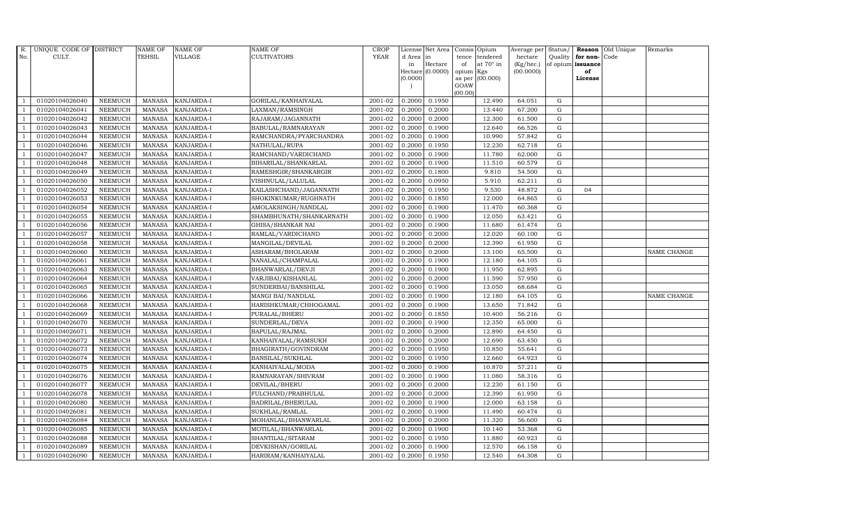| R.             | UNIQUE CODE OF DISTRICT |                | <b>NAME OF</b> | <b>NAME OF</b>    | NAME OF                 | <b>CROP</b> |           | License Net Area |         | Consis Opium     | Average per | Status/     |                   | Reason Old Unique | Remarks            |
|----------------|-------------------------|----------------|----------------|-------------------|-------------------------|-------------|-----------|------------------|---------|------------------|-------------|-------------|-------------------|-------------------|--------------------|
| No.            | CULT.                   |                | TEHSIL         | VILLAGE           | CULTIVATORS             | <b>YEAR</b> | d Area in |                  | tence   | tendered         | hectare     | Quality     | for non-Code      |                   |                    |
|                |                         |                |                |                   |                         |             | in        | Hectare          | of      | at $70^\circ$ in | (Kg/hec.)   |             | of opium issuance |                   |                    |
|                |                         |                |                |                   |                         |             |           | Hectare (0.0000) | opium   | Kgs              | (00.0000)   |             | of                |                   |                    |
|                |                         |                |                |                   |                         |             | (0.0000)  |                  | GOAW    | as per (00.000)  |             |             | License           |                   |                    |
|                |                         |                |                |                   |                         |             |           |                  | (00.00) |                  |             |             |                   |                   |                    |
|                | 01020104026040          | <b>NEEMUCH</b> | MANASA         | <b>KANJARDA-I</b> | GORILAL/KANHAIYALAL     | 2001-02     | 0.2000    | 0.1950           |         | 12.490           | 64.051      | ${\rm G}$   |                   |                   |                    |
| $\overline{1}$ | 01020104026041          | <b>NEEMUCH</b> | <b>MANASA</b>  | KANJARDA-I        | LAXMAN/RAMSINGH         | 2001-02     | 0.2000    | 0.2000           |         | 13.440           | 67.200      | G           |                   |                   |                    |
|                | 01020104026042          | <b>NEEMUCH</b> | <b>MANASA</b>  | KANJARDA-I        | RAJARAM/JAGANNATH       | 2001-02     | 0.2000    | 0.2000           |         | 12.300           | 61.500      | G           |                   |                   |                    |
|                | 01020104026043          | <b>NEEMUCH</b> | <b>MANASA</b>  | <b>KANJARDA-I</b> | BABULAL/RAMNARAYAN      | 2001-02     | 0.2000    | 0.1900           |         | 12.640           | 66.526      | G           |                   |                   |                    |
| $\overline{1}$ | 01020104026044          | <b>NEEMUCH</b> | <b>MANASA</b>  | KANJARDA-I        | RAMCHANDRA/PYARCHANDRA  | 2001-02     | 0.2000    | 0.1900           |         | 10.990           | 57.842      | G           |                   |                   |                    |
| -1             | 01020104026046          | <b>NEEMUCH</b> | <b>MANASA</b>  | KANJARDA-I        | NATHULAL/RUPA           | 2001-02     | 0.2000    | 0.1950           |         | 12.230           | 62.718      | G           |                   |                   |                    |
| $\overline{1}$ | 01020104026047          | <b>NEEMUCH</b> | <b>MANASA</b>  | KANJARDA-I        | RAMCHAND/VARDICHAND     | 2001-02     | 0.2000    | 0.1900           |         | 11.780           | 62.000      | $\mathbf G$ |                   |                   |                    |
|                | 01020104026048          | <b>NEEMUCH</b> | <b>MANASA</b>  | KANJARDA-I        | BIHARILAL/SHANKARLAL    | 2001-02     | 0.2000    | 0.1900           |         | 11.510           | 60.579      | $\mathbf G$ |                   |                   |                    |
|                | 01020104026049          | <b>NEEMUCH</b> | <b>MANASA</b>  | KANJARDA-I        | RAMESHGIR/SHANKARGIR    | 2001-02     | 0.2000    | 0.1800           |         | 9.810            | 54.500      | $\mathbf G$ |                   |                   |                    |
| $\overline{1}$ | 01020104026050          | <b>NEEMUCH</b> | <b>MANASA</b>  | KANJARDA-I        | VISHNULAL/LALULAL       | 2001-02     | 0.2000    | 0.0950           |         | 5.910            | 62.211      | $\mathbf G$ |                   |                   |                    |
| -1             | 01020104026052          | NEEMUCH        | <b>MANASA</b>  | KANJARDA-I        | KAILASHCHAND/JAGANNATH  | 2001-02     | 0.2000    | 0.1950           |         | 9.530            | 48.872      | G           | 04                |                   |                    |
| $\overline{1}$ | 01020104026053          | <b>NEEMUCH</b> | <b>MANASA</b>  | KANJARDA-I        | SHOKINKUMAR/RUGHNATH    | 2001-02     | 0.2000    | 0.1850           |         | 12.000           | 64.865      | $\mathbf G$ |                   |                   |                    |
| $\overline{1}$ | 01020104026054          | <b>NEEMUCH</b> | <b>MANASA</b>  | KANJARDA-I        | AMOLAKSINGH/NANDLAL     | 2001-02     | 0.2000    | 0.1900           |         | 11.470           | 60.368      | $\mathbf G$ |                   |                   |                    |
|                | 01020104026055          | <b>NEEMUCH</b> | <b>MANASA</b>  | KANJARDA-I        | SHAMBHUNATH/SHANKARNATH | 2001-02     | 0.2000    | 0.1900           |         | 12.050           | 63.421      | ${\rm G}$   |                   |                   |                    |
| $\overline{1}$ | 01020104026056          | <b>NEEMUCH</b> | <b>MANASA</b>  | KANJARDA-I        | GHISA/SHANKAR NAI       | 2001-02     | 0.2000    | 0.1900           |         | 11.680           | 61.474      | ${\rm G}$   |                   |                   |                    |
| $\overline{1}$ | 01020104026057          | <b>NEEMUCH</b> | <b>MANASA</b>  | KANJARDA-I        | RAMLAL/VARDICHAND       | 2001-02     | 0.2000    | 0.2000           |         | 12.020           | 60.100      | G           |                   |                   |                    |
| $\overline{1}$ | 01020104026058          | <b>NEEMUCH</b> | <b>MANASA</b>  | KANJARDA-I        | MANGILAL/DEVILAL        | 2001-02     | 0.2000    | 0.2000           |         | 12.390           | 61.950      | ${\rm G}$   |                   |                   |                    |
| $\overline{1}$ | 01020104026060          | <b>NEEMUCH</b> | <b>MANASA</b>  | KANJARDA-I        | ASHARAM/BHOLARAM        | 2001-02     | 0.2000    | 0.2000           |         | 13.100           | 65.500      | $\mathbf G$ |                   |                   | <b>NAME CHANGE</b> |
|                | 01020104026061          | <b>NEEMUCH</b> | <b>MANASA</b>  | <b>KANJARDA-I</b> | NANALAL/CHAMPALAL       | 2001-02     | 0.2000    | 0.1900           |         | 12.180           | 64.105      | $\mathbf G$ |                   |                   |                    |
| $\overline{1}$ | 01020104026063          | <b>NEEMUCH</b> | <b>MANASA</b>  | KANJARDA-I        | BHANWARLAL/DEVJI        | 2001-02     | 0.2000    | 0.1900           |         | 11.950           | 62.895      | $\mathbf G$ |                   |                   |                    |
| $\overline{1}$ | 01020104026064          | <b>NEEMUCH</b> | <b>MANASA</b>  | KANJARDA-I        | VARJIBAI/KISHANLAL      | 2001-02     | 0.2000    | 0.2000           |         | 11.590           | 57.950      | G           |                   |                   |                    |
|                | 01020104026065          | <b>NEEMUCH</b> | <b>MANASA</b>  | KANJARDA-I        | SUNDERBAI/BANSHILAL     | 2001-02     | 0.2000    | 0.1900           |         | 13.050           | 68.684      | ${\rm G}$   |                   |                   |                    |
| $\overline{1}$ | 01020104026066          | <b>NEEMUCH</b> | <b>MANASA</b>  | KANJARDA-I        | MANGI BAI/NANDLAL       | 2001-02     | 0.2000    | 0.1900           |         | 12.180           | 64.105      | $\mathbf G$ |                   |                   | NAME CHANGE        |
|                | 01020104026068          | <b>NEEMUCH</b> | <b>MANASA</b>  | <b>KANJARDA-I</b> | HARISHKUMAR/CHHOGAMAL   | 2001-02     | 0.2000    | 0.1900           |         | 13.650           | 71.842      | $\mathbf G$ |                   |                   |                    |
|                | 01020104026069          | <b>NEEMUCH</b> | <b>MANASA</b>  | KANJARDA-I        | PURALAL/BHERU           | 2001-02     | 0.2000    | 0.1850           |         | 10.400           | 56.216      | $\mathbf G$ |                   |                   |                    |
| $\overline{1}$ | 01020104026070          | <b>NEEMUCH</b> | <b>MANASA</b>  | KANJARDA-I        | SUNDERLAL/DEVA          | 2001-02     | 0.2000    | 0.1900           |         | 12.350           | 65.000      | ${\rm G}$   |                   |                   |                    |
| $\overline{1}$ | 01020104026071          | <b>NEEMUCH</b> | <b>MANASA</b>  | KANJARDA-I        | BAPULAL/RAJMAL          | 2001-02     | 0.2000    | 0.2000           |         | 12.890           | 64.450      | G           |                   |                   |                    |
| $\overline{1}$ | 01020104026072          | <b>NEEMUCH</b> | <b>MANASA</b>  | KANJARDA-I        | KANHAIYALAL/RAMSUKH     | 2001-02     | 0.2000    | 0.2000           |         | 12.690           | 63.450      | $\mathbf G$ |                   |                   |                    |
|                | 01020104026073          | <b>NEEMUCH</b> | <b>MANASA</b>  | <b>KANJARDA-I</b> | BHAGIRATH/GOVINDRAM     | 2001-02     | 0.2000    | 0.1950           |         | 10.850           | 55.641      | $\mathbf G$ |                   |                   |                    |
|                | 01020104026074          | <b>NEEMUCH</b> | <b>MANASA</b>  | KANJARDA-I        | BANSILAL/SUKHLAL        | 2001-02     | 0.2000    | 0.1950           |         | 12.660           | 64.923      | ${\rm G}$   |                   |                   |                    |
| $\overline{1}$ | 01020104026075          | <b>NEEMUCH</b> | <b>MANASA</b>  | KANJARDA-I        | KANHAIYALAL/MODA        | 2001-02     | 0.2000    | 0.1900           |         | 10.870           | 57.211      | ${\rm G}$   |                   |                   |                    |
| $\overline{1}$ | 01020104026076          | <b>NEEMUCH</b> | <b>MANASA</b>  | KANJARDA-I        | RAMNARAYAN/SHIVRAM      | 2001-02     | 0.2000    | 0.1900           |         | 11.080           | 58.316      | G           |                   |                   |                    |
| $\mathbf{1}$   | 01020104026077          | <b>NEEMUCH</b> | <b>MANASA</b>  | KANJARDA-I        | DEVILAL/BHERU           | 2001-02     | 0.2000    | 0.2000           |         | 12.230           | 61.150      | $\mathbf G$ |                   |                   |                    |
|                | 01020104026078          | <b>NEEMUCH</b> | <b>MANASA</b>  | KANJARDA-I        | FULCHAND/PRABHULAL      | 2001-02     | 0.2000    | 0.2000           |         | 12.390           | 61.950      | $\mathbf G$ |                   |                   |                    |
|                | 01020104026080          | <b>NEEMUCH</b> | <b>MANASA</b>  | KANJARDA-I        | BADRILAL/BHERULAL       | 2001-02     | 0.2000    | 0.1900           |         | 12.000           | 63.158      | $\mathbf G$ |                   |                   |                    |
| -1             | 01020104026081          | <b>NEEMUCH</b> | <b>MANASA</b>  | KANJARDA-I        | SUKHLAL/RAMLAL          | 2001-02     | 0.2000    | 0.1900           |         | 11.490           | 60.474      | ${\rm G}$   |                   |                   |                    |
|                | 01020104026084          | <b>NEEMUCH</b> | <b>MANASA</b>  | KANJARDA-I        | MOHANLAL/BHANWARLAL     | 2001-02     | 0.2000    | 0.2000           |         | 11.320           | 56.600      | G           |                   |                   |                    |
| $\mathbf{1}$   | 01020104026085          | <b>NEEMUCH</b> | <b>MANASA</b>  | KANJARDA-I        | MOTILAL/BHANWARLAL      | 2001-02     | 0.2000    | 0.1900           |         | 10.140           | 53.368      | $\mathbf G$ |                   |                   |                    |
|                | 01020104026088          | <b>NEEMUCH</b> | <b>MANASA</b>  | <b>KANJARDA-I</b> | SHANTILAL/SITARAM       | 2001-02     | 0.2000    | 0.1950           |         | 11.880           | 60.923      | G           |                   |                   |                    |
|                | 01020104026089          | <b>NEEMUCH</b> | <b>MANASA</b>  | KANJARDA-I        | DEVKISHAN/GORILAL       | 2001-02     | 0.2000    | 0.1900           |         | 12.570           | 66.158      | G           |                   |                   |                    |
| $\mathbf{1}$   | 01020104026090          | <b>NEEMUCH</b> |                | MANASA KANJARDA-I | HARIRAM/KANHAIYALAL     | 2001-02     | 0.2000    | 0.1950           |         | 12.540           | 64.308      | G           |                   |                   |                    |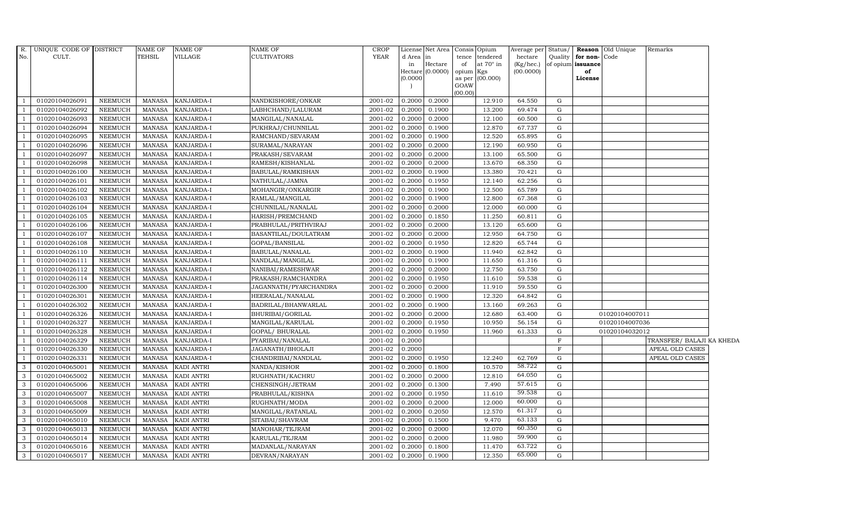| <b>YEAR</b><br>No.<br>CULT.<br>TEHSIL<br>VILLAGE<br><b>CULTIVATORS</b><br>d Area<br>Quality for non-Code<br>tence<br>tendered<br>hectare<br>$\ln$<br>Hectare<br>at $70^\circ$ in<br>(Kg/hec.)<br>of opium issuance<br>of<br>in<br>Hectare (0.0000)<br>(00.0000)<br>opium Kgs<br>of<br>(0.0000)<br>(00.000)<br>as per<br>License<br>GOAW<br>(00.00)<br>01020104026091<br>0.2000<br>12.910<br>64.550<br>G<br>NEEMUCH<br>MANASA<br>KANJARDA-I<br>NANDKISHORE/ONKAR<br>2001-02<br>0.2000<br>$\overline{1}$<br>01020104026092<br><b>NEEMUCH</b><br><b>MANASA</b><br>KANJARDA-I<br>LABHCHAND/LALURAM<br>2001-02<br>0.2000<br>0.1900<br>13.200<br>69.474<br>G<br>$\overline{1}$<br>01020104026093<br><b>NEEMUCH</b><br><b>MANASA</b><br>KANJARDA-I<br>MANGILAL/NANALAL<br>2001-02<br>0.2000<br>0.2000<br>12.100<br>60.500<br>G<br>KANJARDA-I<br>0.1900<br>12.870<br>67.737<br>G<br>01020104026094<br><b>NEEMUCH</b><br><b>MANASA</b><br>PUKHRAJ/CHUNNILAL<br>2001-02<br>0.2000<br>$\overline{1}$<br>01020104026095<br><b>NEEMUCH</b><br>KANJARDA-I<br>RAMCHAND/SEVARAM<br>2001-02<br>12.520<br>65.895<br>G<br><b>MANASA</b><br>0.2000<br>0.1900<br>$\overline{1}$<br>01020104026096<br><b>NEEMUCH</b><br>0.2000<br>12.190<br>G<br><b>MANASA</b><br>KANJARDA-I<br>SURAMAL/NARAYAN<br>2001-02<br>0.2000<br>60.950<br><sup>1</sup><br>01020104026097<br><b>NEEMUCH</b><br>2001-02<br>0.2000<br>13.100<br>MANASA<br>KANJARDA-I<br>PRAKASH/SEVARAM<br>0.2000<br>65.500<br>G<br>$\overline{1}$<br>01020104026098<br><b>NEEMUCH</b><br><b>KANJARDA-I</b><br>RAMESH/KISHANLAL<br>2001-02<br>0.2000<br>13.670<br>G<br>$\overline{1}$<br><b>MANASA</b><br>0.2000<br>68.350<br>13.380<br>01020104026100<br><b>NEEMUCH</b><br><b>MANASA</b><br>KANJARDA-I<br>2001-02<br>0.2000<br>0.1900<br>70.421<br>G<br>BABULAL/RAMKISHAN<br>$\overline{\phantom{0}}$<br>01020104026101<br><b>NEEMUCH</b><br>NATHULAL/JAMNA<br>2001-02<br>0.1950<br>12.140<br>62.256<br>G<br><b>MANASA</b><br>KANJARDA-I<br>0.2000<br>$\overline{1}$<br>01020104026102<br><b>NEEMUCH</b><br>2001-02<br>12.500<br><b>MANASA</b><br>KANJARDA-I<br>MOHANGIR/ONKARGIR<br>0.2000<br>0.1900<br>65.789<br>G<br>- 1<br>2001-02<br>01020104026103<br><b>NEEMUCH</b><br>KANJARDA-I<br>RAMLAL/MANGILAL<br>0.2000<br>0.1900<br>12.800<br>67.368<br>G<br>$\overline{1}$<br><b>MANASA</b><br>01020104026104<br><b>NEEMUCH</b><br>KANJARDA-I<br>CHUNNILAL/NANALAL<br>2001-02<br>0.2000<br>12.000<br>$\overline{1}$<br>MANASA<br>0.2000<br>60.000<br>G<br>KANJARDA-I<br>0.1850<br>11.250<br>G<br>01020104026105<br><b>NEEMUCH</b><br><b>MANASA</b><br>HARISH/PREMCHAND<br>2001-02<br>0.2000<br>60.811<br>2001-02<br>01020104026106<br><b>NEEMUCH</b><br><b>MANASA</b><br>KANJARDA-I<br>PRABHULAL/PRITHVIRAJ<br>0.2000<br>0.2000<br>13.120<br>65.600<br>G<br>$\overline{1}$<br>01020104026107<br><b>NEEMUCH</b><br>2001-02<br>0.2000<br>12.950<br>G<br><b>MANASA</b><br>KANJARDA-I<br>BASANTILAL/DOULATRAM<br>0.2000<br>64.750<br><sup>1</sup><br>01020104026108<br><b>NEEMUCH</b><br>GOPAL/BANSILAL<br>2001-02<br>0.1950<br>12.820<br>65.744<br>G<br><b>MANASA</b><br>KANJARDA-I<br>0.2000<br>1<br>2001-02<br>01020104026110<br><b>NEEMUCH</b><br><b>MANASA</b><br><b>KANJARDA-I</b><br>BABULAL/NANALAL<br>0.2000<br>0.1900<br>11.940<br>62.842<br>G<br>$\overline{1}$<br>01020104026111<br><b>NEEMUCH</b><br>KANJARDA-I<br>NANDLAL/MANGILAL<br>2001-02<br>0.2000<br>0.1900<br>11.650<br>MANASA<br>61.316<br>G<br>2001-02<br>12.750<br>G<br>01020104026112<br><b>NEEMUCH</b><br><b>MANASA</b><br>KANJARDA-I<br>NANIBAI/RAMESHWAR<br>0.2000<br>0.2000<br>63.750<br>$\overline{1}$<br>01020104026114<br><b>NEEMUCH</b><br><b>MANASA</b><br>KANJARDA-I<br>PRAKASH/RAMCHANDRA<br>2001-02<br>0.2000<br>0.1950<br>11.610<br>59.538<br>G<br><sup>1</sup><br>01020104026300<br><b>NEEMUCH</b><br>2001-02<br>0.2000<br>11.910<br>G<br>MANASA<br>KANJARDA-I<br>JAGANNATH/PYARCHANDRA<br>0.2000<br>59.550<br>1<br>01020104026301<br><b>NEEMUCH</b><br>KANJARDA-I<br>2001-02<br>0.2000<br>0.1900<br>12.320<br>G<br><sup>1</sup><br>MANASA<br>HEERALAL/NANALAL<br>64.842<br>01020104026302<br><b>KANJARDA-I</b><br><b>NEEMUCH</b><br><b>MANASA</b><br>BADRILAL/BHANWARLAL<br>2001-02<br>0.2000<br>0.1900<br>13.160<br>69.263<br>G<br>01020104026326<br><b>NEEMUCH</b><br>KANJARDA-I<br>2001-02<br>0.2000<br>12.680<br>G<br><b>MANASA</b><br>BHURIBAI/GORILAL<br>0.2000<br>63.400<br>01020104007011<br>$\overline{1}$<br>01020104026327<br><b>NEEMUCH</b><br><b>MANASA</b><br>KANJARDA-I<br>2001-02<br>0.2000<br>0.1950<br>10.950<br>56.154<br>G<br>$\overline{1}$<br>MANGILAL/KARULAL<br>01020104007036<br>01020104026328<br>GOPAL/ BHURALAL<br>2001-02<br>0.1950<br><b>NEEMUCH</b><br>MANASA<br>KANJARDA-I<br>0.2000<br>11.960<br>61.333<br>G<br>01020104032012<br>-1<br>01020104026329<br><b>NEEMUCH</b><br>$\mathbf F$<br>MANASA<br>KANJARDA-I<br>PYARIBAI/NANALAL<br>2001-02<br>0.2000<br>TRANSFER/ BALAJI KA KHEDA<br><sup>1</sup><br>01020104026330<br><b>NEEMUCH</b><br><b>MANASA</b><br><b>KANJARDA-I</b><br>JAGANATH/BHOLAJI<br>2001-02<br>0.2000<br>F<br>APEAL OLD CASES<br>$\overline{\phantom{0}}$<br>0.1950<br>12.240<br>01020104026331<br><b>NEEMUCH</b><br><b>MANASA</b><br>KANJARDA-I<br>CHANDRIBAI/NANDLAL<br>2001-02<br>0.2000<br>62.769<br>G<br>APEAL OLD CASES<br>58.722<br>0.1800<br>10.570<br>01020104065001<br><b>NEEMUCH</b><br>MANASA<br>KADI ANTRI<br>NANDA/KISHOR<br>2001-02<br>0.2000<br>G<br>$\mathbf{3}$<br>64.050<br>01020104065002<br>RUGHNATH/KACHRU<br>2001-02<br>12.810<br>G<br>3<br><b>NEEMUCH</b><br><b>MANASA</b><br>KADI ANTRI<br>0.2000<br>0.2000<br>57.615<br>$\mathbf{3}$<br>01020104065006<br>NEEMUCH<br>MANASA<br>KADI ANTRI<br>2001-02<br>0.1300<br>7.490<br>G<br>CHENSINGH/JETRAM<br>0.2000<br>59.538<br>01020104065007<br>2001-02<br>0.1950<br>11.610<br>G<br>3<br><b>NEEMUCH</b><br><b>MANASA</b><br><b>KADI ANTRI</b><br>PRABHULAL/KISHNA<br>0.2000<br>60.000<br>3<br>01020104065008<br><b>NEEMUCH</b><br><b>MANASA</b><br>KADI ANTRI<br>RUGHNATH/MODA<br>2001-02<br>0.2000<br>0.2000<br>12.000<br>G<br>61.317<br>12.570<br>G<br>3<br>0.2050<br>01020104065009<br><b>NEEMUCH</b><br><b>MANASA</b><br>KADI ANTRI<br>MANGILAL/RATANLAL<br>2001-02<br>0.2000<br>63.133<br>01020104065010<br><b>NEEMUCH</b><br>SITABAI/SHAVRAM<br>2001-02<br>0.1500<br>9.470<br>G<br>$\mathbf{3}$<br><b>MANASA</b><br><b>KADI ANTRI</b><br>0.2000<br>60.350<br>01020104065013<br>${\rm G}$<br>3<br><b>NEEMUCH</b><br><b>MANASA</b><br>KADI ANTRI<br>2001-02<br>0.2000<br>0.2000<br>12.070<br>MANOHAR/TEJRAM<br>59.900<br>G<br>01020104065014<br><b>NEEMUCH</b><br><b>KADI ANTRI</b><br>KARULAL/TEJRAM<br>2001-02<br>0.2000<br>0.2000<br>11.980<br>-3<br><b>MANASA</b><br>63.722<br>3<br>01020104065016<br><b>NEEMUCH</b><br><b>MANASA</b><br><b>KADI ANTRI</b><br>MADANLAL/NARAYAN<br>2001-02<br>0.2000<br>0.1800<br>11.470<br>G | $R_{\cdot}$ | UNIQUE CODE OF DISTRICT | <b>NAME OF</b> | <b>NAME OF</b> | <b>NAME OF</b> | <b>CROP</b> | License Net Area Consis Opium |  |  | Average per Status/ <b>Reason</b> Old Unique<br>Remarks |  |
|----------------------------------------------------------------------------------------------------------------------------------------------------------------------------------------------------------------------------------------------------------------------------------------------------------------------------------------------------------------------------------------------------------------------------------------------------------------------------------------------------------------------------------------------------------------------------------------------------------------------------------------------------------------------------------------------------------------------------------------------------------------------------------------------------------------------------------------------------------------------------------------------------------------------------------------------------------------------------------------------------------------------------------------------------------------------------------------------------------------------------------------------------------------------------------------------------------------------------------------------------------------------------------------------------------------------------------------------------------------------------------------------------------------------------------------------------------------------------------------------------------------------------------------------------------------------------------------------------------------------------------------------------------------------------------------------------------------------------------------------------------------------------------------------------------------------------------------------------------------------------------------------------------------------------------------------------------------------------------------------------------------------------------------------------------------------------------------------------------------------------------------------------------------------------------------------------------------------------------------------------------------------------------------------------------------------------------------------------------------------------------------------------------------------------------------------------------------------------------------------------------------------------------------------------------------------------------------------------------------------------------------------------------------------------------------------------------------------------------------------------------------------------------------------------------------------------------------------------------------------------------------------------------------------------------------------------------------------------------------------------------------------------------------------------------------------------------------------------------------------------------------------------------------------------------------------------------------------------------------------------------------------------------------------------------------------------------------------------------------------------------------------------------------------------------------------------------------------------------------------------------------------------------------------------------------------------------------------------------------------------------------------------------------------------------------------------------------------------------------------------------------------------------------------------------------------------------------------------------------------------------------------------------------------------------------------------------------------------------------------------------------------------------------------------------------------------------------------------------------------------------------------------------------------------------------------------------------------------------------------------------------------------------------------------------------------------------------------------------------------------------------------------------------------------------------------------------------------------------------------------------------------------------------------------------------------------------------------------------------------------------------------------------------------------------------------------------------------------------------------------------------------------------------------------------------------------------------------------------------------------------------------------------------------------------------------------------------------------------------------------------------------------------------------------------------------------------------------------------------------------------------------------------------------------------------------------------------------------------------------------------------------------------------------------------------------------------------------------------------------------------------------------------------------------------------------------------------------------------------------------------------------------------------------------------------------------------------------------------------------------------------------------------------------------------------------------------------------------------------------------------------------------------------------------------------------------------------------------------------------------------------------------------------------------------------------------------------------------------------------------------------------------------------------------------------------------------------------------------------------------------------------------------------------------------------------------------------------------------------------------------------------------------------------------------------------------------------------------------------------------------------------------------------------------------------------------------------------------------------------------------------------------------------------------------------------------------------------------------------------------------------------------------------------------------------------------------------------------------------------------------------------------------------------------------------------------------------------------------------------------------|-------------|-------------------------|----------------|----------------|----------------|-------------|-------------------------------|--|--|---------------------------------------------------------|--|
|                                                                                                                                                                                                                                                                                                                                                                                                                                                                                                                                                                                                                                                                                                                                                                                                                                                                                                                                                                                                                                                                                                                                                                                                                                                                                                                                                                                                                                                                                                                                                                                                                                                                                                                                                                                                                                                                                                                                                                                                                                                                                                                                                                                                                                                                                                                                                                                                                                                                                                                                                                                                                                                                                                                                                                                                                                                                                                                                                                                                                                                                                                                                                                                                                                                                                                                                                                                                                                                                                                                                                                                                                                                                                                                                                                                                                                                                                                                                                                                                                                                                                                                                                                                                                                                                                                                                                                                                                                                                                                                                                                                                                                                                                                                                                                                                                                                                                                                                                                                                                                                                                                                                                                                                                                                                                                                                                                                                                                                                                                                                                                                                                                                                                                                                                                                                                                                                                                                                                                                                                                                                                                                                                                                                                                                                                                                                                                                                                                                                                                                                                                                                                                                                                                                                                                                                                                                                                  |             |                         |                |                |                |             |                               |  |  |                                                         |  |
|                                                                                                                                                                                                                                                                                                                                                                                                                                                                                                                                                                                                                                                                                                                                                                                                                                                                                                                                                                                                                                                                                                                                                                                                                                                                                                                                                                                                                                                                                                                                                                                                                                                                                                                                                                                                                                                                                                                                                                                                                                                                                                                                                                                                                                                                                                                                                                                                                                                                                                                                                                                                                                                                                                                                                                                                                                                                                                                                                                                                                                                                                                                                                                                                                                                                                                                                                                                                                                                                                                                                                                                                                                                                                                                                                                                                                                                                                                                                                                                                                                                                                                                                                                                                                                                                                                                                                                                                                                                                                                                                                                                                                                                                                                                                                                                                                                                                                                                                                                                                                                                                                                                                                                                                                                                                                                                                                                                                                                                                                                                                                                                                                                                                                                                                                                                                                                                                                                                                                                                                                                                                                                                                                                                                                                                                                                                                                                                                                                                                                                                                                                                                                                                                                                                                                                                                                                                                                  |             |                         |                |                |                |             |                               |  |  |                                                         |  |
|                                                                                                                                                                                                                                                                                                                                                                                                                                                                                                                                                                                                                                                                                                                                                                                                                                                                                                                                                                                                                                                                                                                                                                                                                                                                                                                                                                                                                                                                                                                                                                                                                                                                                                                                                                                                                                                                                                                                                                                                                                                                                                                                                                                                                                                                                                                                                                                                                                                                                                                                                                                                                                                                                                                                                                                                                                                                                                                                                                                                                                                                                                                                                                                                                                                                                                                                                                                                                                                                                                                                                                                                                                                                                                                                                                                                                                                                                                                                                                                                                                                                                                                                                                                                                                                                                                                                                                                                                                                                                                                                                                                                                                                                                                                                                                                                                                                                                                                                                                                                                                                                                                                                                                                                                                                                                                                                                                                                                                                                                                                                                                                                                                                                                                                                                                                                                                                                                                                                                                                                                                                                                                                                                                                                                                                                                                                                                                                                                                                                                                                                                                                                                                                                                                                                                                                                                                                                                  |             |                         |                |                |                |             |                               |  |  |                                                         |  |
|                                                                                                                                                                                                                                                                                                                                                                                                                                                                                                                                                                                                                                                                                                                                                                                                                                                                                                                                                                                                                                                                                                                                                                                                                                                                                                                                                                                                                                                                                                                                                                                                                                                                                                                                                                                                                                                                                                                                                                                                                                                                                                                                                                                                                                                                                                                                                                                                                                                                                                                                                                                                                                                                                                                                                                                                                                                                                                                                                                                                                                                                                                                                                                                                                                                                                                                                                                                                                                                                                                                                                                                                                                                                                                                                                                                                                                                                                                                                                                                                                                                                                                                                                                                                                                                                                                                                                                                                                                                                                                                                                                                                                                                                                                                                                                                                                                                                                                                                                                                                                                                                                                                                                                                                                                                                                                                                                                                                                                                                                                                                                                                                                                                                                                                                                                                                                                                                                                                                                                                                                                                                                                                                                                                                                                                                                                                                                                                                                                                                                                                                                                                                                                                                                                                                                                                                                                                                                  |             |                         |                |                |                |             |                               |  |  |                                                         |  |
|                                                                                                                                                                                                                                                                                                                                                                                                                                                                                                                                                                                                                                                                                                                                                                                                                                                                                                                                                                                                                                                                                                                                                                                                                                                                                                                                                                                                                                                                                                                                                                                                                                                                                                                                                                                                                                                                                                                                                                                                                                                                                                                                                                                                                                                                                                                                                                                                                                                                                                                                                                                                                                                                                                                                                                                                                                                                                                                                                                                                                                                                                                                                                                                                                                                                                                                                                                                                                                                                                                                                                                                                                                                                                                                                                                                                                                                                                                                                                                                                                                                                                                                                                                                                                                                                                                                                                                                                                                                                                                                                                                                                                                                                                                                                                                                                                                                                                                                                                                                                                                                                                                                                                                                                                                                                                                                                                                                                                                                                                                                                                                                                                                                                                                                                                                                                                                                                                                                                                                                                                                                                                                                                                                                                                                                                                                                                                                                                                                                                                                                                                                                                                                                                                                                                                                                                                                                                                  |             |                         |                |                |                |             |                               |  |  |                                                         |  |
|                                                                                                                                                                                                                                                                                                                                                                                                                                                                                                                                                                                                                                                                                                                                                                                                                                                                                                                                                                                                                                                                                                                                                                                                                                                                                                                                                                                                                                                                                                                                                                                                                                                                                                                                                                                                                                                                                                                                                                                                                                                                                                                                                                                                                                                                                                                                                                                                                                                                                                                                                                                                                                                                                                                                                                                                                                                                                                                                                                                                                                                                                                                                                                                                                                                                                                                                                                                                                                                                                                                                                                                                                                                                                                                                                                                                                                                                                                                                                                                                                                                                                                                                                                                                                                                                                                                                                                                                                                                                                                                                                                                                                                                                                                                                                                                                                                                                                                                                                                                                                                                                                                                                                                                                                                                                                                                                                                                                                                                                                                                                                                                                                                                                                                                                                                                                                                                                                                                                                                                                                                                                                                                                                                                                                                                                                                                                                                                                                                                                                                                                                                                                                                                                                                                                                                                                                                                                                  |             |                         |                |                |                |             |                               |  |  |                                                         |  |
|                                                                                                                                                                                                                                                                                                                                                                                                                                                                                                                                                                                                                                                                                                                                                                                                                                                                                                                                                                                                                                                                                                                                                                                                                                                                                                                                                                                                                                                                                                                                                                                                                                                                                                                                                                                                                                                                                                                                                                                                                                                                                                                                                                                                                                                                                                                                                                                                                                                                                                                                                                                                                                                                                                                                                                                                                                                                                                                                                                                                                                                                                                                                                                                                                                                                                                                                                                                                                                                                                                                                                                                                                                                                                                                                                                                                                                                                                                                                                                                                                                                                                                                                                                                                                                                                                                                                                                                                                                                                                                                                                                                                                                                                                                                                                                                                                                                                                                                                                                                                                                                                                                                                                                                                                                                                                                                                                                                                                                                                                                                                                                                                                                                                                                                                                                                                                                                                                                                                                                                                                                                                                                                                                                                                                                                                                                                                                                                                                                                                                                                                                                                                                                                                                                                                                                                                                                                                                  |             |                         |                |                |                |             |                               |  |  |                                                         |  |
|                                                                                                                                                                                                                                                                                                                                                                                                                                                                                                                                                                                                                                                                                                                                                                                                                                                                                                                                                                                                                                                                                                                                                                                                                                                                                                                                                                                                                                                                                                                                                                                                                                                                                                                                                                                                                                                                                                                                                                                                                                                                                                                                                                                                                                                                                                                                                                                                                                                                                                                                                                                                                                                                                                                                                                                                                                                                                                                                                                                                                                                                                                                                                                                                                                                                                                                                                                                                                                                                                                                                                                                                                                                                                                                                                                                                                                                                                                                                                                                                                                                                                                                                                                                                                                                                                                                                                                                                                                                                                                                                                                                                                                                                                                                                                                                                                                                                                                                                                                                                                                                                                                                                                                                                                                                                                                                                                                                                                                                                                                                                                                                                                                                                                                                                                                                                                                                                                                                                                                                                                                                                                                                                                                                                                                                                                                                                                                                                                                                                                                                                                                                                                                                                                                                                                                                                                                                                                  |             |                         |                |                |                |             |                               |  |  |                                                         |  |
|                                                                                                                                                                                                                                                                                                                                                                                                                                                                                                                                                                                                                                                                                                                                                                                                                                                                                                                                                                                                                                                                                                                                                                                                                                                                                                                                                                                                                                                                                                                                                                                                                                                                                                                                                                                                                                                                                                                                                                                                                                                                                                                                                                                                                                                                                                                                                                                                                                                                                                                                                                                                                                                                                                                                                                                                                                                                                                                                                                                                                                                                                                                                                                                                                                                                                                                                                                                                                                                                                                                                                                                                                                                                                                                                                                                                                                                                                                                                                                                                                                                                                                                                                                                                                                                                                                                                                                                                                                                                                                                                                                                                                                                                                                                                                                                                                                                                                                                                                                                                                                                                                                                                                                                                                                                                                                                                                                                                                                                                                                                                                                                                                                                                                                                                                                                                                                                                                                                                                                                                                                                                                                                                                                                                                                                                                                                                                                                                                                                                                                                                                                                                                                                                                                                                                                                                                                                                                  |             |                         |                |                |                |             |                               |  |  |                                                         |  |
|                                                                                                                                                                                                                                                                                                                                                                                                                                                                                                                                                                                                                                                                                                                                                                                                                                                                                                                                                                                                                                                                                                                                                                                                                                                                                                                                                                                                                                                                                                                                                                                                                                                                                                                                                                                                                                                                                                                                                                                                                                                                                                                                                                                                                                                                                                                                                                                                                                                                                                                                                                                                                                                                                                                                                                                                                                                                                                                                                                                                                                                                                                                                                                                                                                                                                                                                                                                                                                                                                                                                                                                                                                                                                                                                                                                                                                                                                                                                                                                                                                                                                                                                                                                                                                                                                                                                                                                                                                                                                                                                                                                                                                                                                                                                                                                                                                                                                                                                                                                                                                                                                                                                                                                                                                                                                                                                                                                                                                                                                                                                                                                                                                                                                                                                                                                                                                                                                                                                                                                                                                                                                                                                                                                                                                                                                                                                                                                                                                                                                                                                                                                                                                                                                                                                                                                                                                                                                  |             |                         |                |                |                |             |                               |  |  |                                                         |  |
|                                                                                                                                                                                                                                                                                                                                                                                                                                                                                                                                                                                                                                                                                                                                                                                                                                                                                                                                                                                                                                                                                                                                                                                                                                                                                                                                                                                                                                                                                                                                                                                                                                                                                                                                                                                                                                                                                                                                                                                                                                                                                                                                                                                                                                                                                                                                                                                                                                                                                                                                                                                                                                                                                                                                                                                                                                                                                                                                                                                                                                                                                                                                                                                                                                                                                                                                                                                                                                                                                                                                                                                                                                                                                                                                                                                                                                                                                                                                                                                                                                                                                                                                                                                                                                                                                                                                                                                                                                                                                                                                                                                                                                                                                                                                                                                                                                                                                                                                                                                                                                                                                                                                                                                                                                                                                                                                                                                                                                                                                                                                                                                                                                                                                                                                                                                                                                                                                                                                                                                                                                                                                                                                                                                                                                                                                                                                                                                                                                                                                                                                                                                                                                                                                                                                                                                                                                                                                  |             |                         |                |                |                |             |                               |  |  |                                                         |  |
|                                                                                                                                                                                                                                                                                                                                                                                                                                                                                                                                                                                                                                                                                                                                                                                                                                                                                                                                                                                                                                                                                                                                                                                                                                                                                                                                                                                                                                                                                                                                                                                                                                                                                                                                                                                                                                                                                                                                                                                                                                                                                                                                                                                                                                                                                                                                                                                                                                                                                                                                                                                                                                                                                                                                                                                                                                                                                                                                                                                                                                                                                                                                                                                                                                                                                                                                                                                                                                                                                                                                                                                                                                                                                                                                                                                                                                                                                                                                                                                                                                                                                                                                                                                                                                                                                                                                                                                                                                                                                                                                                                                                                                                                                                                                                                                                                                                                                                                                                                                                                                                                                                                                                                                                                                                                                                                                                                                                                                                                                                                                                                                                                                                                                                                                                                                                                                                                                                                                                                                                                                                                                                                                                                                                                                                                                                                                                                                                                                                                                                                                                                                                                                                                                                                                                                                                                                                                                  |             |                         |                |                |                |             |                               |  |  |                                                         |  |
|                                                                                                                                                                                                                                                                                                                                                                                                                                                                                                                                                                                                                                                                                                                                                                                                                                                                                                                                                                                                                                                                                                                                                                                                                                                                                                                                                                                                                                                                                                                                                                                                                                                                                                                                                                                                                                                                                                                                                                                                                                                                                                                                                                                                                                                                                                                                                                                                                                                                                                                                                                                                                                                                                                                                                                                                                                                                                                                                                                                                                                                                                                                                                                                                                                                                                                                                                                                                                                                                                                                                                                                                                                                                                                                                                                                                                                                                                                                                                                                                                                                                                                                                                                                                                                                                                                                                                                                                                                                                                                                                                                                                                                                                                                                                                                                                                                                                                                                                                                                                                                                                                                                                                                                                                                                                                                                                                                                                                                                                                                                                                                                                                                                                                                                                                                                                                                                                                                                                                                                                                                                                                                                                                                                                                                                                                                                                                                                                                                                                                                                                                                                                                                                                                                                                                                                                                                                                                  |             |                         |                |                |                |             |                               |  |  |                                                         |  |
|                                                                                                                                                                                                                                                                                                                                                                                                                                                                                                                                                                                                                                                                                                                                                                                                                                                                                                                                                                                                                                                                                                                                                                                                                                                                                                                                                                                                                                                                                                                                                                                                                                                                                                                                                                                                                                                                                                                                                                                                                                                                                                                                                                                                                                                                                                                                                                                                                                                                                                                                                                                                                                                                                                                                                                                                                                                                                                                                                                                                                                                                                                                                                                                                                                                                                                                                                                                                                                                                                                                                                                                                                                                                                                                                                                                                                                                                                                                                                                                                                                                                                                                                                                                                                                                                                                                                                                                                                                                                                                                                                                                                                                                                                                                                                                                                                                                                                                                                                                                                                                                                                                                                                                                                                                                                                                                                                                                                                                                                                                                                                                                                                                                                                                                                                                                                                                                                                                                                                                                                                                                                                                                                                                                                                                                                                                                                                                                                                                                                                                                                                                                                                                                                                                                                                                                                                                                                                  |             |                         |                |                |                |             |                               |  |  |                                                         |  |
|                                                                                                                                                                                                                                                                                                                                                                                                                                                                                                                                                                                                                                                                                                                                                                                                                                                                                                                                                                                                                                                                                                                                                                                                                                                                                                                                                                                                                                                                                                                                                                                                                                                                                                                                                                                                                                                                                                                                                                                                                                                                                                                                                                                                                                                                                                                                                                                                                                                                                                                                                                                                                                                                                                                                                                                                                                                                                                                                                                                                                                                                                                                                                                                                                                                                                                                                                                                                                                                                                                                                                                                                                                                                                                                                                                                                                                                                                                                                                                                                                                                                                                                                                                                                                                                                                                                                                                                                                                                                                                                                                                                                                                                                                                                                                                                                                                                                                                                                                                                                                                                                                                                                                                                                                                                                                                                                                                                                                                                                                                                                                                                                                                                                                                                                                                                                                                                                                                                                                                                                                                                                                                                                                                                                                                                                                                                                                                                                                                                                                                                                                                                                                                                                                                                                                                                                                                                                                  |             |                         |                |                |                |             |                               |  |  |                                                         |  |
|                                                                                                                                                                                                                                                                                                                                                                                                                                                                                                                                                                                                                                                                                                                                                                                                                                                                                                                                                                                                                                                                                                                                                                                                                                                                                                                                                                                                                                                                                                                                                                                                                                                                                                                                                                                                                                                                                                                                                                                                                                                                                                                                                                                                                                                                                                                                                                                                                                                                                                                                                                                                                                                                                                                                                                                                                                                                                                                                                                                                                                                                                                                                                                                                                                                                                                                                                                                                                                                                                                                                                                                                                                                                                                                                                                                                                                                                                                                                                                                                                                                                                                                                                                                                                                                                                                                                                                                                                                                                                                                                                                                                                                                                                                                                                                                                                                                                                                                                                                                                                                                                                                                                                                                                                                                                                                                                                                                                                                                                                                                                                                                                                                                                                                                                                                                                                                                                                                                                                                                                                                                                                                                                                                                                                                                                                                                                                                                                                                                                                                                                                                                                                                                                                                                                                                                                                                                                                  |             |                         |                |                |                |             |                               |  |  |                                                         |  |
|                                                                                                                                                                                                                                                                                                                                                                                                                                                                                                                                                                                                                                                                                                                                                                                                                                                                                                                                                                                                                                                                                                                                                                                                                                                                                                                                                                                                                                                                                                                                                                                                                                                                                                                                                                                                                                                                                                                                                                                                                                                                                                                                                                                                                                                                                                                                                                                                                                                                                                                                                                                                                                                                                                                                                                                                                                                                                                                                                                                                                                                                                                                                                                                                                                                                                                                                                                                                                                                                                                                                                                                                                                                                                                                                                                                                                                                                                                                                                                                                                                                                                                                                                                                                                                                                                                                                                                                                                                                                                                                                                                                                                                                                                                                                                                                                                                                                                                                                                                                                                                                                                                                                                                                                                                                                                                                                                                                                                                                                                                                                                                                                                                                                                                                                                                                                                                                                                                                                                                                                                                                                                                                                                                                                                                                                                                                                                                                                                                                                                                                                                                                                                                                                                                                                                                                                                                                                                  |             |                         |                |                |                |             |                               |  |  |                                                         |  |
|                                                                                                                                                                                                                                                                                                                                                                                                                                                                                                                                                                                                                                                                                                                                                                                                                                                                                                                                                                                                                                                                                                                                                                                                                                                                                                                                                                                                                                                                                                                                                                                                                                                                                                                                                                                                                                                                                                                                                                                                                                                                                                                                                                                                                                                                                                                                                                                                                                                                                                                                                                                                                                                                                                                                                                                                                                                                                                                                                                                                                                                                                                                                                                                                                                                                                                                                                                                                                                                                                                                                                                                                                                                                                                                                                                                                                                                                                                                                                                                                                                                                                                                                                                                                                                                                                                                                                                                                                                                                                                                                                                                                                                                                                                                                                                                                                                                                                                                                                                                                                                                                                                                                                                                                                                                                                                                                                                                                                                                                                                                                                                                                                                                                                                                                                                                                                                                                                                                                                                                                                                                                                                                                                                                                                                                                                                                                                                                                                                                                                                                                                                                                                                                                                                                                                                                                                                                                                  |             |                         |                |                |                |             |                               |  |  |                                                         |  |
|                                                                                                                                                                                                                                                                                                                                                                                                                                                                                                                                                                                                                                                                                                                                                                                                                                                                                                                                                                                                                                                                                                                                                                                                                                                                                                                                                                                                                                                                                                                                                                                                                                                                                                                                                                                                                                                                                                                                                                                                                                                                                                                                                                                                                                                                                                                                                                                                                                                                                                                                                                                                                                                                                                                                                                                                                                                                                                                                                                                                                                                                                                                                                                                                                                                                                                                                                                                                                                                                                                                                                                                                                                                                                                                                                                                                                                                                                                                                                                                                                                                                                                                                                                                                                                                                                                                                                                                                                                                                                                                                                                                                                                                                                                                                                                                                                                                                                                                                                                                                                                                                                                                                                                                                                                                                                                                                                                                                                                                                                                                                                                                                                                                                                                                                                                                                                                                                                                                                                                                                                                                                                                                                                                                                                                                                                                                                                                                                                                                                                                                                                                                                                                                                                                                                                                                                                                                                                  |             |                         |                |                |                |             |                               |  |  |                                                         |  |
|                                                                                                                                                                                                                                                                                                                                                                                                                                                                                                                                                                                                                                                                                                                                                                                                                                                                                                                                                                                                                                                                                                                                                                                                                                                                                                                                                                                                                                                                                                                                                                                                                                                                                                                                                                                                                                                                                                                                                                                                                                                                                                                                                                                                                                                                                                                                                                                                                                                                                                                                                                                                                                                                                                                                                                                                                                                                                                                                                                                                                                                                                                                                                                                                                                                                                                                                                                                                                                                                                                                                                                                                                                                                                                                                                                                                                                                                                                                                                                                                                                                                                                                                                                                                                                                                                                                                                                                                                                                                                                                                                                                                                                                                                                                                                                                                                                                                                                                                                                                                                                                                                                                                                                                                                                                                                                                                                                                                                                                                                                                                                                                                                                                                                                                                                                                                                                                                                                                                                                                                                                                                                                                                                                                                                                                                                                                                                                                                                                                                                                                                                                                                                                                                                                                                                                                                                                                                                  |             |                         |                |                |                |             |                               |  |  |                                                         |  |
|                                                                                                                                                                                                                                                                                                                                                                                                                                                                                                                                                                                                                                                                                                                                                                                                                                                                                                                                                                                                                                                                                                                                                                                                                                                                                                                                                                                                                                                                                                                                                                                                                                                                                                                                                                                                                                                                                                                                                                                                                                                                                                                                                                                                                                                                                                                                                                                                                                                                                                                                                                                                                                                                                                                                                                                                                                                                                                                                                                                                                                                                                                                                                                                                                                                                                                                                                                                                                                                                                                                                                                                                                                                                                                                                                                                                                                                                                                                                                                                                                                                                                                                                                                                                                                                                                                                                                                                                                                                                                                                                                                                                                                                                                                                                                                                                                                                                                                                                                                                                                                                                                                                                                                                                                                                                                                                                                                                                                                                                                                                                                                                                                                                                                                                                                                                                                                                                                                                                                                                                                                                                                                                                                                                                                                                                                                                                                                                                                                                                                                                                                                                                                                                                                                                                                                                                                                                                                  |             |                         |                |                |                |             |                               |  |  |                                                         |  |
|                                                                                                                                                                                                                                                                                                                                                                                                                                                                                                                                                                                                                                                                                                                                                                                                                                                                                                                                                                                                                                                                                                                                                                                                                                                                                                                                                                                                                                                                                                                                                                                                                                                                                                                                                                                                                                                                                                                                                                                                                                                                                                                                                                                                                                                                                                                                                                                                                                                                                                                                                                                                                                                                                                                                                                                                                                                                                                                                                                                                                                                                                                                                                                                                                                                                                                                                                                                                                                                                                                                                                                                                                                                                                                                                                                                                                                                                                                                                                                                                                                                                                                                                                                                                                                                                                                                                                                                                                                                                                                                                                                                                                                                                                                                                                                                                                                                                                                                                                                                                                                                                                                                                                                                                                                                                                                                                                                                                                                                                                                                                                                                                                                                                                                                                                                                                                                                                                                                                                                                                                                                                                                                                                                                                                                                                                                                                                                                                                                                                                                                                                                                                                                                                                                                                                                                                                                                                                  |             |                         |                |                |                |             |                               |  |  |                                                         |  |
|                                                                                                                                                                                                                                                                                                                                                                                                                                                                                                                                                                                                                                                                                                                                                                                                                                                                                                                                                                                                                                                                                                                                                                                                                                                                                                                                                                                                                                                                                                                                                                                                                                                                                                                                                                                                                                                                                                                                                                                                                                                                                                                                                                                                                                                                                                                                                                                                                                                                                                                                                                                                                                                                                                                                                                                                                                                                                                                                                                                                                                                                                                                                                                                                                                                                                                                                                                                                                                                                                                                                                                                                                                                                                                                                                                                                                                                                                                                                                                                                                                                                                                                                                                                                                                                                                                                                                                                                                                                                                                                                                                                                                                                                                                                                                                                                                                                                                                                                                                                                                                                                                                                                                                                                                                                                                                                                                                                                                                                                                                                                                                                                                                                                                                                                                                                                                                                                                                                                                                                                                                                                                                                                                                                                                                                                                                                                                                                                                                                                                                                                                                                                                                                                                                                                                                                                                                                                                  |             |                         |                |                |                |             |                               |  |  |                                                         |  |
|                                                                                                                                                                                                                                                                                                                                                                                                                                                                                                                                                                                                                                                                                                                                                                                                                                                                                                                                                                                                                                                                                                                                                                                                                                                                                                                                                                                                                                                                                                                                                                                                                                                                                                                                                                                                                                                                                                                                                                                                                                                                                                                                                                                                                                                                                                                                                                                                                                                                                                                                                                                                                                                                                                                                                                                                                                                                                                                                                                                                                                                                                                                                                                                                                                                                                                                                                                                                                                                                                                                                                                                                                                                                                                                                                                                                                                                                                                                                                                                                                                                                                                                                                                                                                                                                                                                                                                                                                                                                                                                                                                                                                                                                                                                                                                                                                                                                                                                                                                                                                                                                                                                                                                                                                                                                                                                                                                                                                                                                                                                                                                                                                                                                                                                                                                                                                                                                                                                                                                                                                                                                                                                                                                                                                                                                                                                                                                                                                                                                                                                                                                                                                                                                                                                                                                                                                                                                                  |             |                         |                |                |                |             |                               |  |  |                                                         |  |
|                                                                                                                                                                                                                                                                                                                                                                                                                                                                                                                                                                                                                                                                                                                                                                                                                                                                                                                                                                                                                                                                                                                                                                                                                                                                                                                                                                                                                                                                                                                                                                                                                                                                                                                                                                                                                                                                                                                                                                                                                                                                                                                                                                                                                                                                                                                                                                                                                                                                                                                                                                                                                                                                                                                                                                                                                                                                                                                                                                                                                                                                                                                                                                                                                                                                                                                                                                                                                                                                                                                                                                                                                                                                                                                                                                                                                                                                                                                                                                                                                                                                                                                                                                                                                                                                                                                                                                                                                                                                                                                                                                                                                                                                                                                                                                                                                                                                                                                                                                                                                                                                                                                                                                                                                                                                                                                                                                                                                                                                                                                                                                                                                                                                                                                                                                                                                                                                                                                                                                                                                                                                                                                                                                                                                                                                                                                                                                                                                                                                                                                                                                                                                                                                                                                                                                                                                                                                                  |             |                         |                |                |                |             |                               |  |  |                                                         |  |
|                                                                                                                                                                                                                                                                                                                                                                                                                                                                                                                                                                                                                                                                                                                                                                                                                                                                                                                                                                                                                                                                                                                                                                                                                                                                                                                                                                                                                                                                                                                                                                                                                                                                                                                                                                                                                                                                                                                                                                                                                                                                                                                                                                                                                                                                                                                                                                                                                                                                                                                                                                                                                                                                                                                                                                                                                                                                                                                                                                                                                                                                                                                                                                                                                                                                                                                                                                                                                                                                                                                                                                                                                                                                                                                                                                                                                                                                                                                                                                                                                                                                                                                                                                                                                                                                                                                                                                                                                                                                                                                                                                                                                                                                                                                                                                                                                                                                                                                                                                                                                                                                                                                                                                                                                                                                                                                                                                                                                                                                                                                                                                                                                                                                                                                                                                                                                                                                                                                                                                                                                                                                                                                                                                                                                                                                                                                                                                                                                                                                                                                                                                                                                                                                                                                                                                                                                                                                                  |             |                         |                |                |                |             |                               |  |  |                                                         |  |
|                                                                                                                                                                                                                                                                                                                                                                                                                                                                                                                                                                                                                                                                                                                                                                                                                                                                                                                                                                                                                                                                                                                                                                                                                                                                                                                                                                                                                                                                                                                                                                                                                                                                                                                                                                                                                                                                                                                                                                                                                                                                                                                                                                                                                                                                                                                                                                                                                                                                                                                                                                                                                                                                                                                                                                                                                                                                                                                                                                                                                                                                                                                                                                                                                                                                                                                                                                                                                                                                                                                                                                                                                                                                                                                                                                                                                                                                                                                                                                                                                                                                                                                                                                                                                                                                                                                                                                                                                                                                                                                                                                                                                                                                                                                                                                                                                                                                                                                                                                                                                                                                                                                                                                                                                                                                                                                                                                                                                                                                                                                                                                                                                                                                                                                                                                                                                                                                                                                                                                                                                                                                                                                                                                                                                                                                                                                                                                                                                                                                                                                                                                                                                                                                                                                                                                                                                                                                                  |             |                         |                |                |                |             |                               |  |  |                                                         |  |
|                                                                                                                                                                                                                                                                                                                                                                                                                                                                                                                                                                                                                                                                                                                                                                                                                                                                                                                                                                                                                                                                                                                                                                                                                                                                                                                                                                                                                                                                                                                                                                                                                                                                                                                                                                                                                                                                                                                                                                                                                                                                                                                                                                                                                                                                                                                                                                                                                                                                                                                                                                                                                                                                                                                                                                                                                                                                                                                                                                                                                                                                                                                                                                                                                                                                                                                                                                                                                                                                                                                                                                                                                                                                                                                                                                                                                                                                                                                                                                                                                                                                                                                                                                                                                                                                                                                                                                                                                                                                                                                                                                                                                                                                                                                                                                                                                                                                                                                                                                                                                                                                                                                                                                                                                                                                                                                                                                                                                                                                                                                                                                                                                                                                                                                                                                                                                                                                                                                                                                                                                                                                                                                                                                                                                                                                                                                                                                                                                                                                                                                                                                                                                                                                                                                                                                                                                                                                                  |             |                         |                |                |                |             |                               |  |  |                                                         |  |
|                                                                                                                                                                                                                                                                                                                                                                                                                                                                                                                                                                                                                                                                                                                                                                                                                                                                                                                                                                                                                                                                                                                                                                                                                                                                                                                                                                                                                                                                                                                                                                                                                                                                                                                                                                                                                                                                                                                                                                                                                                                                                                                                                                                                                                                                                                                                                                                                                                                                                                                                                                                                                                                                                                                                                                                                                                                                                                                                                                                                                                                                                                                                                                                                                                                                                                                                                                                                                                                                                                                                                                                                                                                                                                                                                                                                                                                                                                                                                                                                                                                                                                                                                                                                                                                                                                                                                                                                                                                                                                                                                                                                                                                                                                                                                                                                                                                                                                                                                                                                                                                                                                                                                                                                                                                                                                                                                                                                                                                                                                                                                                                                                                                                                                                                                                                                                                                                                                                                                                                                                                                                                                                                                                                                                                                                                                                                                                                                                                                                                                                                                                                                                                                                                                                                                                                                                                                                                  |             |                         |                |                |                |             |                               |  |  |                                                         |  |
|                                                                                                                                                                                                                                                                                                                                                                                                                                                                                                                                                                                                                                                                                                                                                                                                                                                                                                                                                                                                                                                                                                                                                                                                                                                                                                                                                                                                                                                                                                                                                                                                                                                                                                                                                                                                                                                                                                                                                                                                                                                                                                                                                                                                                                                                                                                                                                                                                                                                                                                                                                                                                                                                                                                                                                                                                                                                                                                                                                                                                                                                                                                                                                                                                                                                                                                                                                                                                                                                                                                                                                                                                                                                                                                                                                                                                                                                                                                                                                                                                                                                                                                                                                                                                                                                                                                                                                                                                                                                                                                                                                                                                                                                                                                                                                                                                                                                                                                                                                                                                                                                                                                                                                                                                                                                                                                                                                                                                                                                                                                                                                                                                                                                                                                                                                                                                                                                                                                                                                                                                                                                                                                                                                                                                                                                                                                                                                                                                                                                                                                                                                                                                                                                                                                                                                                                                                                                                  |             |                         |                |                |                |             |                               |  |  |                                                         |  |
|                                                                                                                                                                                                                                                                                                                                                                                                                                                                                                                                                                                                                                                                                                                                                                                                                                                                                                                                                                                                                                                                                                                                                                                                                                                                                                                                                                                                                                                                                                                                                                                                                                                                                                                                                                                                                                                                                                                                                                                                                                                                                                                                                                                                                                                                                                                                                                                                                                                                                                                                                                                                                                                                                                                                                                                                                                                                                                                                                                                                                                                                                                                                                                                                                                                                                                                                                                                                                                                                                                                                                                                                                                                                                                                                                                                                                                                                                                                                                                                                                                                                                                                                                                                                                                                                                                                                                                                                                                                                                                                                                                                                                                                                                                                                                                                                                                                                                                                                                                                                                                                                                                                                                                                                                                                                                                                                                                                                                                                                                                                                                                                                                                                                                                                                                                                                                                                                                                                                                                                                                                                                                                                                                                                                                                                                                                                                                                                                                                                                                                                                                                                                                                                                                                                                                                                                                                                                                  |             |                         |                |                |                |             |                               |  |  |                                                         |  |
|                                                                                                                                                                                                                                                                                                                                                                                                                                                                                                                                                                                                                                                                                                                                                                                                                                                                                                                                                                                                                                                                                                                                                                                                                                                                                                                                                                                                                                                                                                                                                                                                                                                                                                                                                                                                                                                                                                                                                                                                                                                                                                                                                                                                                                                                                                                                                                                                                                                                                                                                                                                                                                                                                                                                                                                                                                                                                                                                                                                                                                                                                                                                                                                                                                                                                                                                                                                                                                                                                                                                                                                                                                                                                                                                                                                                                                                                                                                                                                                                                                                                                                                                                                                                                                                                                                                                                                                                                                                                                                                                                                                                                                                                                                                                                                                                                                                                                                                                                                                                                                                                                                                                                                                                                                                                                                                                                                                                                                                                                                                                                                                                                                                                                                                                                                                                                                                                                                                                                                                                                                                                                                                                                                                                                                                                                                                                                                                                                                                                                                                                                                                                                                                                                                                                                                                                                                                                                  |             |                         |                |                |                |             |                               |  |  |                                                         |  |
|                                                                                                                                                                                                                                                                                                                                                                                                                                                                                                                                                                                                                                                                                                                                                                                                                                                                                                                                                                                                                                                                                                                                                                                                                                                                                                                                                                                                                                                                                                                                                                                                                                                                                                                                                                                                                                                                                                                                                                                                                                                                                                                                                                                                                                                                                                                                                                                                                                                                                                                                                                                                                                                                                                                                                                                                                                                                                                                                                                                                                                                                                                                                                                                                                                                                                                                                                                                                                                                                                                                                                                                                                                                                                                                                                                                                                                                                                                                                                                                                                                                                                                                                                                                                                                                                                                                                                                                                                                                                                                                                                                                                                                                                                                                                                                                                                                                                                                                                                                                                                                                                                                                                                                                                                                                                                                                                                                                                                                                                                                                                                                                                                                                                                                                                                                                                                                                                                                                                                                                                                                                                                                                                                                                                                                                                                                                                                                                                                                                                                                                                                                                                                                                                                                                                                                                                                                                                                  |             |                         |                |                |                |             |                               |  |  |                                                         |  |
|                                                                                                                                                                                                                                                                                                                                                                                                                                                                                                                                                                                                                                                                                                                                                                                                                                                                                                                                                                                                                                                                                                                                                                                                                                                                                                                                                                                                                                                                                                                                                                                                                                                                                                                                                                                                                                                                                                                                                                                                                                                                                                                                                                                                                                                                                                                                                                                                                                                                                                                                                                                                                                                                                                                                                                                                                                                                                                                                                                                                                                                                                                                                                                                                                                                                                                                                                                                                                                                                                                                                                                                                                                                                                                                                                                                                                                                                                                                                                                                                                                                                                                                                                                                                                                                                                                                                                                                                                                                                                                                                                                                                                                                                                                                                                                                                                                                                                                                                                                                                                                                                                                                                                                                                                                                                                                                                                                                                                                                                                                                                                                                                                                                                                                                                                                                                                                                                                                                                                                                                                                                                                                                                                                                                                                                                                                                                                                                                                                                                                                                                                                                                                                                                                                                                                                                                                                                                                  |             |                         |                |                |                |             |                               |  |  |                                                         |  |
|                                                                                                                                                                                                                                                                                                                                                                                                                                                                                                                                                                                                                                                                                                                                                                                                                                                                                                                                                                                                                                                                                                                                                                                                                                                                                                                                                                                                                                                                                                                                                                                                                                                                                                                                                                                                                                                                                                                                                                                                                                                                                                                                                                                                                                                                                                                                                                                                                                                                                                                                                                                                                                                                                                                                                                                                                                                                                                                                                                                                                                                                                                                                                                                                                                                                                                                                                                                                                                                                                                                                                                                                                                                                                                                                                                                                                                                                                                                                                                                                                                                                                                                                                                                                                                                                                                                                                                                                                                                                                                                                                                                                                                                                                                                                                                                                                                                                                                                                                                                                                                                                                                                                                                                                                                                                                                                                                                                                                                                                                                                                                                                                                                                                                                                                                                                                                                                                                                                                                                                                                                                                                                                                                                                                                                                                                                                                                                                                                                                                                                                                                                                                                                                                                                                                                                                                                                                                                  |             |                         |                |                |                |             |                               |  |  |                                                         |  |
|                                                                                                                                                                                                                                                                                                                                                                                                                                                                                                                                                                                                                                                                                                                                                                                                                                                                                                                                                                                                                                                                                                                                                                                                                                                                                                                                                                                                                                                                                                                                                                                                                                                                                                                                                                                                                                                                                                                                                                                                                                                                                                                                                                                                                                                                                                                                                                                                                                                                                                                                                                                                                                                                                                                                                                                                                                                                                                                                                                                                                                                                                                                                                                                                                                                                                                                                                                                                                                                                                                                                                                                                                                                                                                                                                                                                                                                                                                                                                                                                                                                                                                                                                                                                                                                                                                                                                                                                                                                                                                                                                                                                                                                                                                                                                                                                                                                                                                                                                                                                                                                                                                                                                                                                                                                                                                                                                                                                                                                                                                                                                                                                                                                                                                                                                                                                                                                                                                                                                                                                                                                                                                                                                                                                                                                                                                                                                                                                                                                                                                                                                                                                                                                                                                                                                                                                                                                                                  |             |                         |                |                |                |             |                               |  |  |                                                         |  |
|                                                                                                                                                                                                                                                                                                                                                                                                                                                                                                                                                                                                                                                                                                                                                                                                                                                                                                                                                                                                                                                                                                                                                                                                                                                                                                                                                                                                                                                                                                                                                                                                                                                                                                                                                                                                                                                                                                                                                                                                                                                                                                                                                                                                                                                                                                                                                                                                                                                                                                                                                                                                                                                                                                                                                                                                                                                                                                                                                                                                                                                                                                                                                                                                                                                                                                                                                                                                                                                                                                                                                                                                                                                                                                                                                                                                                                                                                                                                                                                                                                                                                                                                                                                                                                                                                                                                                                                                                                                                                                                                                                                                                                                                                                                                                                                                                                                                                                                                                                                                                                                                                                                                                                                                                                                                                                                                                                                                                                                                                                                                                                                                                                                                                                                                                                                                                                                                                                                                                                                                                                                                                                                                                                                                                                                                                                                                                                                                                                                                                                                                                                                                                                                                                                                                                                                                                                                                                  |             |                         |                |                |                |             |                               |  |  |                                                         |  |
|                                                                                                                                                                                                                                                                                                                                                                                                                                                                                                                                                                                                                                                                                                                                                                                                                                                                                                                                                                                                                                                                                                                                                                                                                                                                                                                                                                                                                                                                                                                                                                                                                                                                                                                                                                                                                                                                                                                                                                                                                                                                                                                                                                                                                                                                                                                                                                                                                                                                                                                                                                                                                                                                                                                                                                                                                                                                                                                                                                                                                                                                                                                                                                                                                                                                                                                                                                                                                                                                                                                                                                                                                                                                                                                                                                                                                                                                                                                                                                                                                                                                                                                                                                                                                                                                                                                                                                                                                                                                                                                                                                                                                                                                                                                                                                                                                                                                                                                                                                                                                                                                                                                                                                                                                                                                                                                                                                                                                                                                                                                                                                                                                                                                                                                                                                                                                                                                                                                                                                                                                                                                                                                                                                                                                                                                                                                                                                                                                                                                                                                                                                                                                                                                                                                                                                                                                                                                                  |             |                         |                |                |                |             |                               |  |  |                                                         |  |
|                                                                                                                                                                                                                                                                                                                                                                                                                                                                                                                                                                                                                                                                                                                                                                                                                                                                                                                                                                                                                                                                                                                                                                                                                                                                                                                                                                                                                                                                                                                                                                                                                                                                                                                                                                                                                                                                                                                                                                                                                                                                                                                                                                                                                                                                                                                                                                                                                                                                                                                                                                                                                                                                                                                                                                                                                                                                                                                                                                                                                                                                                                                                                                                                                                                                                                                                                                                                                                                                                                                                                                                                                                                                                                                                                                                                                                                                                                                                                                                                                                                                                                                                                                                                                                                                                                                                                                                                                                                                                                                                                                                                                                                                                                                                                                                                                                                                                                                                                                                                                                                                                                                                                                                                                                                                                                                                                                                                                                                                                                                                                                                                                                                                                                                                                                                                                                                                                                                                                                                                                                                                                                                                                                                                                                                                                                                                                                                                                                                                                                                                                                                                                                                                                                                                                                                                                                                                                  |             |                         |                |                |                |             |                               |  |  |                                                         |  |
|                                                                                                                                                                                                                                                                                                                                                                                                                                                                                                                                                                                                                                                                                                                                                                                                                                                                                                                                                                                                                                                                                                                                                                                                                                                                                                                                                                                                                                                                                                                                                                                                                                                                                                                                                                                                                                                                                                                                                                                                                                                                                                                                                                                                                                                                                                                                                                                                                                                                                                                                                                                                                                                                                                                                                                                                                                                                                                                                                                                                                                                                                                                                                                                                                                                                                                                                                                                                                                                                                                                                                                                                                                                                                                                                                                                                                                                                                                                                                                                                                                                                                                                                                                                                                                                                                                                                                                                                                                                                                                                                                                                                                                                                                                                                                                                                                                                                                                                                                                                                                                                                                                                                                                                                                                                                                                                                                                                                                                                                                                                                                                                                                                                                                                                                                                                                                                                                                                                                                                                                                                                                                                                                                                                                                                                                                                                                                                                                                                                                                                                                                                                                                                                                                                                                                                                                                                                                                  |             |                         |                |                |                |             |                               |  |  |                                                         |  |
|                                                                                                                                                                                                                                                                                                                                                                                                                                                                                                                                                                                                                                                                                                                                                                                                                                                                                                                                                                                                                                                                                                                                                                                                                                                                                                                                                                                                                                                                                                                                                                                                                                                                                                                                                                                                                                                                                                                                                                                                                                                                                                                                                                                                                                                                                                                                                                                                                                                                                                                                                                                                                                                                                                                                                                                                                                                                                                                                                                                                                                                                                                                                                                                                                                                                                                                                                                                                                                                                                                                                                                                                                                                                                                                                                                                                                                                                                                                                                                                                                                                                                                                                                                                                                                                                                                                                                                                                                                                                                                                                                                                                                                                                                                                                                                                                                                                                                                                                                                                                                                                                                                                                                                                                                                                                                                                                                                                                                                                                                                                                                                                                                                                                                                                                                                                                                                                                                                                                                                                                                                                                                                                                                                                                                                                                                                                                                                                                                                                                                                                                                                                                                                                                                                                                                                                                                                                                                  |             |                         |                |                |                |             |                               |  |  |                                                         |  |
|                                                                                                                                                                                                                                                                                                                                                                                                                                                                                                                                                                                                                                                                                                                                                                                                                                                                                                                                                                                                                                                                                                                                                                                                                                                                                                                                                                                                                                                                                                                                                                                                                                                                                                                                                                                                                                                                                                                                                                                                                                                                                                                                                                                                                                                                                                                                                                                                                                                                                                                                                                                                                                                                                                                                                                                                                                                                                                                                                                                                                                                                                                                                                                                                                                                                                                                                                                                                                                                                                                                                                                                                                                                                                                                                                                                                                                                                                                                                                                                                                                                                                                                                                                                                                                                                                                                                                                                                                                                                                                                                                                                                                                                                                                                                                                                                                                                                                                                                                                                                                                                                                                                                                                                                                                                                                                                                                                                                                                                                                                                                                                                                                                                                                                                                                                                                                                                                                                                                                                                                                                                                                                                                                                                                                                                                                                                                                                                                                                                                                                                                                                                                                                                                                                                                                                                                                                                                                  |             |                         |                |                |                |             |                               |  |  |                                                         |  |
|                                                                                                                                                                                                                                                                                                                                                                                                                                                                                                                                                                                                                                                                                                                                                                                                                                                                                                                                                                                                                                                                                                                                                                                                                                                                                                                                                                                                                                                                                                                                                                                                                                                                                                                                                                                                                                                                                                                                                                                                                                                                                                                                                                                                                                                                                                                                                                                                                                                                                                                                                                                                                                                                                                                                                                                                                                                                                                                                                                                                                                                                                                                                                                                                                                                                                                                                                                                                                                                                                                                                                                                                                                                                                                                                                                                                                                                                                                                                                                                                                                                                                                                                                                                                                                                                                                                                                                                                                                                                                                                                                                                                                                                                                                                                                                                                                                                                                                                                                                                                                                                                                                                                                                                                                                                                                                                                                                                                                                                                                                                                                                                                                                                                                                                                                                                                                                                                                                                                                                                                                                                                                                                                                                                                                                                                                                                                                                                                                                                                                                                                                                                                                                                                                                                                                                                                                                                                                  |             |                         |                |                |                |             |                               |  |  |                                                         |  |
|                                                                                                                                                                                                                                                                                                                                                                                                                                                                                                                                                                                                                                                                                                                                                                                                                                                                                                                                                                                                                                                                                                                                                                                                                                                                                                                                                                                                                                                                                                                                                                                                                                                                                                                                                                                                                                                                                                                                                                                                                                                                                                                                                                                                                                                                                                                                                                                                                                                                                                                                                                                                                                                                                                                                                                                                                                                                                                                                                                                                                                                                                                                                                                                                                                                                                                                                                                                                                                                                                                                                                                                                                                                                                                                                                                                                                                                                                                                                                                                                                                                                                                                                                                                                                                                                                                                                                                                                                                                                                                                                                                                                                                                                                                                                                                                                                                                                                                                                                                                                                                                                                                                                                                                                                                                                                                                                                                                                                                                                                                                                                                                                                                                                                                                                                                                                                                                                                                                                                                                                                                                                                                                                                                                                                                                                                                                                                                                                                                                                                                                                                                                                                                                                                                                                                                                                                                                                                  |             |                         |                |                |                |             |                               |  |  |                                                         |  |
|                                                                                                                                                                                                                                                                                                                                                                                                                                                                                                                                                                                                                                                                                                                                                                                                                                                                                                                                                                                                                                                                                                                                                                                                                                                                                                                                                                                                                                                                                                                                                                                                                                                                                                                                                                                                                                                                                                                                                                                                                                                                                                                                                                                                                                                                                                                                                                                                                                                                                                                                                                                                                                                                                                                                                                                                                                                                                                                                                                                                                                                                                                                                                                                                                                                                                                                                                                                                                                                                                                                                                                                                                                                                                                                                                                                                                                                                                                                                                                                                                                                                                                                                                                                                                                                                                                                                                                                                                                                                                                                                                                                                                                                                                                                                                                                                                                                                                                                                                                                                                                                                                                                                                                                                                                                                                                                                                                                                                                                                                                                                                                                                                                                                                                                                                                                                                                                                                                                                                                                                                                                                                                                                                                                                                                                                                                                                                                                                                                                                                                                                                                                                                                                                                                                                                                                                                                                                                  |             |                         |                |                |                |             |                               |  |  |                                                         |  |
| 65.000<br>0.1900<br>12.350<br>01020104065017<br><b>NEEMUCH</b><br>MANASA<br><b>KADI ANTRI</b><br>2001-02<br>0.2000<br>G<br>3<br>DEVRAN/NARAYAN                                                                                                                                                                                                                                                                                                                                                                                                                                                                                                                                                                                                                                                                                                                                                                                                                                                                                                                                                                                                                                                                                                                                                                                                                                                                                                                                                                                                                                                                                                                                                                                                                                                                                                                                                                                                                                                                                                                                                                                                                                                                                                                                                                                                                                                                                                                                                                                                                                                                                                                                                                                                                                                                                                                                                                                                                                                                                                                                                                                                                                                                                                                                                                                                                                                                                                                                                                                                                                                                                                                                                                                                                                                                                                                                                                                                                                                                                                                                                                                                                                                                                                                                                                                                                                                                                                                                                                                                                                                                                                                                                                                                                                                                                                                                                                                                                                                                                                                                                                                                                                                                                                                                                                                                                                                                                                                                                                                                                                                                                                                                                                                                                                                                                                                                                                                                                                                                                                                                                                                                                                                                                                                                                                                                                                                                                                                                                                                                                                                                                                                                                                                                                                                                                                                                   |             |                         |                |                |                |             |                               |  |  |                                                         |  |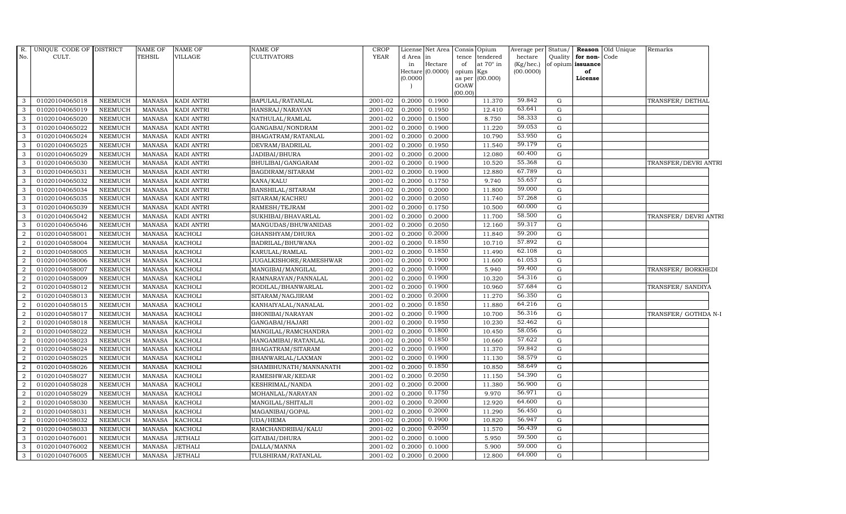| R.<br>No.      | UNIQUE CODE OF DISTRICT<br>CULT. |                | <b>NAME OF</b><br>TEHSIL | NAME OF<br>VILLAGE | NAME OF<br><b>CULTIVATORS</b> | <b>CROP</b><br><b>YEAR</b> | d Area   | License Net Area<br>in      | Consis Opium<br>tence | tendered  | Average per Status/<br>hectare | Quality     | for non-                | <b>Reason</b> Old Unique<br>Code | Remarks               |  |
|----------------|----------------------------------|----------------|--------------------------|--------------------|-------------------------------|----------------------------|----------|-----------------------------|-----------------------|-----------|--------------------------------|-------------|-------------------------|----------------------------------|-----------------------|--|
|                |                                  |                |                          |                    |                               |                            | in       | Hectare<br>Hectare (0.0000) | of                    | at 70° in | $(Kg/$ hec.)<br>(00.0000)      |             | of opium issuance<br>of |                                  |                       |  |
|                |                                  |                |                          |                    |                               |                            | (0.0000) |                             | opium Kgs<br>as per   | (00.000)  |                                |             | License                 |                                  |                       |  |
|                |                                  |                |                          |                    |                               |                            |          |                             | GOAW                  |           |                                |             |                         |                                  |                       |  |
|                |                                  |                |                          |                    |                               |                            |          |                             | (00.00)               |           |                                |             |                         |                                  |                       |  |
| 3              | 01020104065018                   | <b>NEEMUCH</b> | MANASA                   | <b>KADI ANTRI</b>  | BAPULAL/RATANLAL              | 2001-02                    | 0.2000   | 0.1900                      |                       | 11.370    | 59.842                         | $\mathbf G$ |                         |                                  | TRANSFER/DETHAL       |  |
| 3              | 01020104065019                   | <b>NEEMUCH</b> | <b>MANASA</b>            | <b>KADI ANTRI</b>  | HANSRAJ/NARAYAN               | 2001-02                    | 0.2000   | 0.1950                      |                       | 12.410    | 63.641                         | G           |                         |                                  |                       |  |
| $\mathcal{A}$  | 01020104065020                   | <b>NEEMUCH</b> | <b>MANASA</b>            | <b>KADI ANTRI</b>  | NATHULAL/RAMLAL               | 2001-02                    | 0.2000   | 0.1500                      |                       | 8.750     | 58.333                         | G           |                         |                                  |                       |  |
| 3              | 01020104065022                   | <b>NEEMUCH</b> | <b>MANASA</b>            | <b>KADI ANTRI</b>  | GANGABAI/NONDRAM              | 2001-02                    | 0.2000   | 0.1900                      |                       | 11.220    | 59.053                         | G           |                         |                                  |                       |  |
| 3              | 01020104065024                   | <b>NEEMUCH</b> | <b>MANASA</b>            | KADI ANTRI         | BHAGATRAM/RATANLAL            | 2001-02                    | 0.2000   | 0.2000                      |                       | 10.790    | 53.950                         | G           |                         |                                  |                       |  |
| $\mathbf{3}$   | 01020104065025                   | NEEMUCH        | <b>MANASA</b>            | KADI ANTRI         | DEVRAM/BADRILAL               | 2001-02                    | 0.2000   | 0.1950                      |                       | 11.540    | 59.179                         | $\mathbf G$ |                         |                                  |                       |  |
| 3              | 01020104065029                   | <b>NEEMUCH</b> | <b>MANASA</b>            | <b>KADI ANTRI</b>  | JADIBAI/BHURA                 | 2001-02                    | 0.2000   | 0.2000                      |                       | 12.080    | 60.400                         | G           |                         |                                  |                       |  |
| 3              | 01020104065030                   | <b>NEEMUCH</b> | <b>MANASA</b>            | KADI ANTRI         | BHULIBAI/GANGARAM             | 2001-02                    | 0.2000   | 0.1900                      |                       | 10.520    | 55.368                         | G           |                         |                                  | TRANSFER/DEVRI ANTRI  |  |
| 3              | 01020104065031                   | <b>NEEMUCH</b> | <b>MANASA</b>            | KADI ANTRI         | BAGDIRAM/SITARAM              | 2001-02                    | 0.2000   | 0.1900                      |                       | 12.880    | 67.789                         | G           |                         |                                  |                       |  |
| 3              | 01020104065032                   | <b>NEEMUCH</b> | <b>MANASA</b>            | KADI ANTRI         | KANA/KALU                     | 2001-02                    | 0.2000   | 0.1750                      |                       | 9.740     | 55.657                         | G           |                         |                                  |                       |  |
| 3              | 01020104065034                   | NEEMUCH        | <b>MANASA</b>            | KADI ANTRI         | BANSHILAL/SITARAM             | 2001-02                    | 0.2000   | 0.2000                      |                       | 11.800    | 59.000                         | G           |                         |                                  |                       |  |
| 3              | 01020104065035                   | <b>NEEMUCH</b> | <b>MANASA</b>            | <b>KADI ANTRI</b>  | SITARAM/KACHRU                | 2001-02                    | 0.2000   | 0.2050                      |                       | 11.740    | 57.268                         | $\mathbf G$ |                         |                                  |                       |  |
| 3              | 01020104065039                   | <b>NEEMUCH</b> | <b>MANASA</b>            | KADI ANTRI         | RAMESH/TEJRAM                 | 2001-02                    | 0.2000   | 0.1750                      |                       | 10.500    | 60.000                         | G           |                         |                                  |                       |  |
| 3              | 01020104065042                   | <b>NEEMUCH</b> | <b>MANASA</b>            | KADI ANTRI         | SUKHIBAI/BHAVARLAL            | 2001-02                    | 0.2000   | 0.2000                      |                       | 11.700    | 58.500                         | G           |                         |                                  | TRANSFER/ DEVRI ANTRI |  |
| 3              | 01020104065046                   | <b>NEEMUCH</b> | <b>MANASA</b>            | KADI ANTRI         | MANGUDAS/BHUWANIDAS           | 2001-02                    | 0.2000   | 0.2050                      |                       | 12.160    | 59.317                         | G           |                         |                                  |                       |  |
| 2              | 01020104058001                   | <b>NEEMUCH</b> | <b>MANASA</b>            | <b>KACHOLI</b>     | GHANSHYAM/DHURA               | 2001-02                    | 0.2000   | 0.2000                      |                       | 11.840    | 59.200                         | G           |                         |                                  |                       |  |
| 2              | 01020104058004                   | <b>NEEMUCH</b> | <b>MANASA</b>            | <b>KACHOLI</b>     | BADRILAL/BHUWANA              | 2001-02                    | 0.2000   | 0.1850                      |                       | 10.710    | 57.892                         | $\mathbf G$ |                         |                                  |                       |  |
| 2              | 01020104058005                   | <b>NEEMUCH</b> | <b>MANASA</b>            | <b>KACHOLI</b>     | KARULAL/RAMLAL                | 2001-02                    | 0.2000   | 0.1850                      |                       | 11.490    | 62.108                         | G           |                         |                                  |                       |  |
| $\mathcal{D}$  | 01020104058006                   | <b>NEEMUCH</b> | <b>MANASA</b>            | <b>KACHOLI</b>     | <b>JUGALKISHORE/RAMESHWAR</b> | 2001-02                    | 0.2000   | 0.1900                      |                       | 11.600    | 61.053                         | G           |                         |                                  |                       |  |
| 2              | 01020104058007                   | <b>NEEMUCH</b> | <b>MANASA</b>            | <b>KACHOLI</b>     | MANGIBAI/MANGILAL             | 2001-02                    | 0.2000   | 0.1000                      |                       | 5.940     | 59.400                         | G           |                         |                                  | TRANSFER/BORKHEDI     |  |
| 2              | 01020104058009                   | <b>NEEMUCH</b> | <b>MANASA</b>            | <b>KACHOLI</b>     | RAMNARAYAN/PANNALAL           | 2001-02                    | 0.2000   | 0.1900                      |                       | 10.320    | 54.316                         | G           |                         |                                  |                       |  |
| 2              | 01020104058012                   | <b>NEEMUCH</b> | <b>MANASA</b>            | <b>KACHOLI</b>     | RODILAL/BHANWARLAL            | 2001-02                    | 0.2000   | 0.1900                      |                       | 10.960    | 57.684                         | $\mathbf G$ |                         |                                  | TRANSFER/ SANDIYA     |  |
| 2              | 01020104058013                   | <b>NEEMUCH</b> | <b>MANASA</b>            | <b>KACHOLI</b>     | SITARAM/NAGJIRAM              | 2001-02                    | 0.2000   | 0.2000                      |                       | 11.270    | 56.350                         | G           |                         |                                  |                       |  |
| 2              | 01020104058015                   | <b>NEEMUCH</b> | <b>MANASA</b>            | <b>KACHOLI</b>     | KANHAIYALAL/NANALAL           | 2001-02                    | 0.2000   | 0.1850                      |                       | 11.880    | 64.216                         | G           |                         |                                  |                       |  |
| $\overline{2}$ | 01020104058017                   | NEEMUCH        | <b>MANASA</b>            | <b>KACHOLI</b>     | BHONIBAI/NARAYAN              | 2001-02                    | 0.2000   | 0.1900                      |                       | 10.700    | 56.316                         | G           |                         |                                  | TRANSFER/ GOTHDA N-I  |  |
| 2              | 01020104058018                   | <b>NEEMUCH</b> | <b>MANASA</b>            | <b>KACHOLI</b>     | GANGABAI/HAJARI               | 2001-02                    | 0.2000   | 0.1950                      |                       | 10.230    | 52.462                         | G           |                         |                                  |                       |  |
| 2              | 01020104058022                   | <b>NEEMUCH</b> | <b>MANASA</b>            | <b>KACHOLI</b>     | MANGILAL/RAMCHANDRA           | 2001-02                    | 0.2000   | 0.1800                      |                       | 10.450    | 58.056                         | G           |                         |                                  |                       |  |
| 2              | 01020104058023                   | <b>NEEMUCH</b> | <b>MANASA</b>            | <b>KACHOLI</b>     | HANGAMIBAI/RATANLAL           | 2001-02                    | 0.2000   | 0.1850                      |                       | 10.660    | 57.622                         | G           |                         |                                  |                       |  |
| 2              | 01020104058024                   | <b>NEEMUCH</b> | <b>MANASA</b>            | <b>KACHOLI</b>     | BHAGATRAM/SITARAM             | 2001-02                    | 0.2000   | 0.1900                      |                       | 11.370    | 59.842                         | G           |                         |                                  |                       |  |
| $\mathcal{D}$  | 01020104058025                   | <b>NEEMUCH</b> | <b>MANASA</b>            | <b>KACHOLI</b>     | BHANWARLAL/LAXMAN             | 2001-02                    | 0.2000   | 0.1900                      |                       | 11.130    | 58.579                         | G           |                         |                                  |                       |  |
| 2              | 01020104058026                   | <b>NEEMUCH</b> | <b>MANASA</b>            | KACHOLI            | SHAMBHUNATH/MANNANATH         | 2001-02                    | 0.2000   | 0.1850                      |                       | 10.850    | 58.649                         | G           |                         |                                  |                       |  |
| 2              | 01020104058027                   | <b>NEEMUCH</b> | <b>MANASA</b>            | <b>KACHOLI</b>     | RAMESHWAR/KEDAR               | 2001-02                    | 0.2000   | 0.2050                      |                       | 11.150    | 54.390                         | G           |                         |                                  |                       |  |
| 2              | 01020104058028                   | NEEMUCH        | <b>MANASA</b>            | <b>KACHOLI</b>     | KESHRIMAL/NANDA               | 2001-02                    | 0.2000   | 0.2000                      |                       | 11.380    | 56.900                         | $\mathbf G$ |                         |                                  |                       |  |
| 2              | 01020104058029                   | <b>NEEMUCH</b> | <b>MANASA</b>            | <b>KACHOLI</b>     | MOHANLAL/NARAYAN              | 2001-02                    | 0.2000   | 0.1750                      |                       | 9.970     | 56.971                         | G           |                         |                                  |                       |  |
|                | 01020104058030                   | <b>NEEMUCH</b> | <b>MANASA</b>            | <b>KACHOLI</b>     | MANGILAL/SHITALJI             | 2001-02                    | 0.2000   | 0.2000                      |                       | 12.920    | 64.600                         | G           |                         |                                  |                       |  |
| 2              | 01020104058031                   | <b>NEEMUCH</b> | <b>MANASA</b>            | KACHOLI            | MAGANIBAI/GOPAL               | 2001-02                    | 0.2000   | 0.2000                      |                       | 11.290    | 56.450                         | $\mathbf G$ |                         |                                  |                       |  |
| 2              | 01020104058032                   | <b>NEEMUCH</b> | <b>MANASA</b>            | <b>KACHOLI</b>     | <b>UDA/HEMA</b>               | 2001-02                    | 0.2000   | 0.1900                      |                       | 10.820    | 56.947                         | G           |                         |                                  |                       |  |
| 2              | 01020104058033                   | NEEMUCH        | <b>MANASA</b>            | KACHOLI            | RAMCHANDRIBAI/KALU            | 2001-02                    | 0.2000   | 0.2050                      |                       | 11.570    | 56.439                         | G           |                         |                                  |                       |  |
| 3              | 01020104076001                   | <b>NEEMUCH</b> | <b>MANASA</b>            | <b>JETHALI</b>     | GITABAI/DHURA                 | 2001-02                    | 0.2000   | 0.1000                      |                       | 5.950     | 59.500                         | G           |                         |                                  |                       |  |
| 3              | 01020104076002                   | <b>NEEMUCH</b> | <b>MANASA</b>            | <b>JETHALI</b>     | DALLA/MANNA                   | 2001-02                    | 0.2000   | 0.1000                      |                       | 5.900     | 59.000                         | G           |                         |                                  |                       |  |
| 3              | 01020104076005                   | <b>NEEMUCH</b> | <b>MANASA</b>            | <b>JETHALI</b>     | TULSHIRAM/RATANLAL            | 2001-02                    | 0.2000   | 0.2000                      |                       | 12.800    | 64.000                         | G           |                         |                                  |                       |  |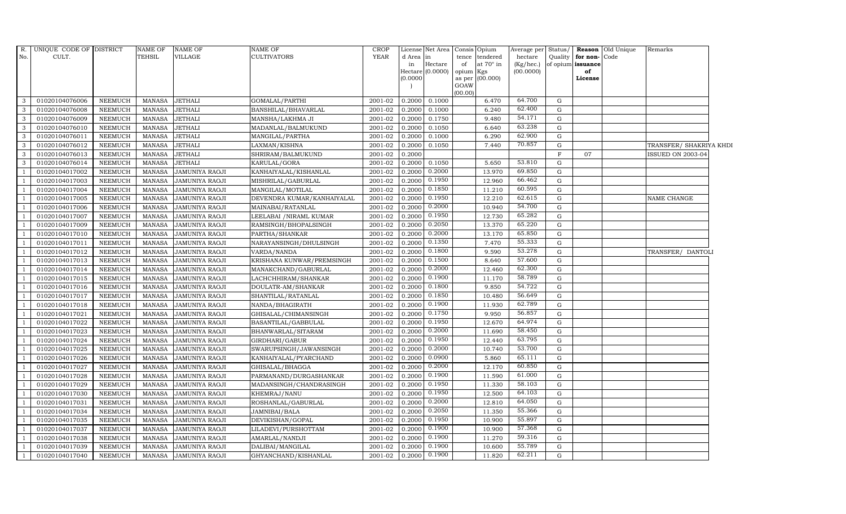|                | R. UNIQUE CODE OF DISTRICT |                | <b>NAME OF</b> | <b>NAME OF</b>        | <b>NAME OF</b>             | <b>CROP</b> |           | License Net Area   | Consis Opium |                 | Average per Status/ |              |                   | <b>Reason</b> Old Unique | Remarks                  |
|----------------|----------------------------|----------------|----------------|-----------------------|----------------------------|-------------|-----------|--------------------|--------------|-----------------|---------------------|--------------|-------------------|--------------------------|--------------------------|
| No.            | CULT.                      |                | <b>TEHSIL</b>  | VILLAGE               | <b>CULTIVATORS</b>         | <b>YEAR</b> | d Area in |                    | tence        | tendered        | hectare             | Quality      | for non-Code      |                          |                          |
|                |                            |                |                |                       |                            |             | in        | Hectare            | of           | at 70° in       | (Kg/hec.)           |              | of opium issuance |                          |                          |
|                |                            |                |                |                       |                            |             | (0.0000)  | Hectare $(0.0000)$ | opium Kgs    | as per (00.000) | (00.0000)           |              | of<br>License     |                          |                          |
|                |                            |                |                |                       |                            |             |           |                    | GOAW         |                 |                     |              |                   |                          |                          |
|                |                            |                |                |                       |                            |             |           |                    | (00.00)      |                 |                     |              |                   |                          |                          |
| 3              | 01020104076006             | <b>NEEMUCH</b> | MANASA         | <b>JETHALI</b>        | GOMALAL/PARTHI             | 2001-02     | 0.2000    | 0.1000             |              | 6.470           | 64.700              | G            |                   |                          |                          |
| 3              | 01020104076008             | <b>NEEMUCH</b> | <b>MANASA</b>  | <b>JETHALI</b>        | BANSHILAL/BHAVARLAL        | 2001-02     | 0.2000    | 0.1000             |              | 6.240           | 62.400              | G            |                   |                          |                          |
| 3              | 01020104076009             | <b>NEEMUCH</b> | MANASA         | <b>JETHALI</b>        | MANSHA/LAKHMA JI           | 2001-02     | 0.2000    | 0.1750             |              | 9.480           | 54.171              | G            |                   |                          |                          |
| 3              | 01020104076010             | <b>NEEMUCH</b> | <b>MANASA</b>  | <b>JETHALI</b>        | MADANLAL/BALMUKUND         | 2001-02     | 0.2000    | 0.1050             |              | 6.640           | 63.238              | G            |                   |                          |                          |
| 3              | 01020104076011             | <b>NEEMUCH</b> | <b>MANASA</b>  | <b>JETHALI</b>        | MANGILAL/PARTHA            | 2001-02     | 0.2000    | 0.1000             |              | 6.290           | 62.900              | G            |                   |                          |                          |
| 3              | 01020104076012             | <b>NEEMUCH</b> | <b>MANASA</b>  | <b>JETHALI</b>        | LAXMAN/KISHNA              | 2001-02     | 0.2000    | 0.1050             |              | 7.440           | 70.857              | G            |                   |                          | TRANSFER/ SHAKRIYA KHDI  |
| 3              | 01020104076013             | <b>NEEMUCH</b> | <b>MANASA</b>  | <b>JETHALI</b>        | SHRIRAM/BALMUKUND          | 2001-02     | 0.2000    |                    |              |                 |                     | $\mathbf{F}$ | 07                |                          | <b>ISSUED ON 2003-04</b> |
| 3              | 01020104076014             | <b>NEEMUCH</b> | MANASA         | JETHALI               | KARULAL/GORA               | 2001-02     | 0.2000    | 0.1050             |              | 5.650           | 53.810              | G            |                   |                          |                          |
|                | 01020104017002             | <b>NEEMUCH</b> | <b>MANASA</b>  | <b>JAMUNIYA RAOJI</b> | KANHAIYALAL/KISHANLAL      | 2001-02     | 0.2000    | 0.2000             |              | 13.970          | 69.850              | G            |                   |                          |                          |
|                | 01020104017003             | <b>NEEMUCH</b> | <b>MANASA</b>  | <b>JAMUNIYA RAOJI</b> | MISHRILAL/GABURLAL         | 2001-02     | 0.2000    | 0.1950             |              | 12.960          | 66.462              | ${\rm G}$    |                   |                          |                          |
|                | 01020104017004             | <b>NEEMUCH</b> | MANASA         | <b>JAMUNIYA RAOJI</b> | MANGILAL/MOTILAL           | 2001-02     | 0.2000    | 0.1850             |              | 11.210          | 60.595              | G            |                   |                          |                          |
|                | 01020104017005             | <b>NEEMUCH</b> | <b>MANASA</b>  | <b>JAMUNIYA RAOJI</b> | DEVENDRA KUMAR/KANHAIYALAL | 2001-02     | 0.2000    | 0.1950             |              | 12.210          | 62.615              | G            |                   |                          | NAME CHANGE              |
|                | 01020104017006             | <b>NEEMUCH</b> | MANASA         | <b>JAMUNIYA RAOJI</b> | MAINABAI/RATANLAL          | 2001-02     | 0.2000    | 0.2000             |              | 10.940          | 54.700              | G            |                   |                          |                          |
|                | 01020104017007             | <b>NEEMUCH</b> | <b>MANASA</b>  | <b>JAMUNIYA RAOJI</b> | LEELABAI / NIRAML KUMAR    | 2001-02     | 0.2000    | 0.1950             |              | 12.730          | 65.282              | G            |                   |                          |                          |
|                | 01020104017009             | <b>NEEMUCH</b> | <b>MANASA</b>  | <b>JAMUNIYA RAOJI</b> | RAMSINGH/BHOPALSINGH       | 2001-02     | 0.2000    | 0.2050             |              | 13.370          | 65.220              | ${\rm G}$    |                   |                          |                          |
|                | 01020104017010             | <b>NEEMUCH</b> | <b>MANASA</b>  | <b>JAMUNIYA RAOJI</b> | PARTHA/SHANKAR             | 2001-02     | 0.2000    | 0.2000             |              | 13.170          | 65.850              | G            |                   |                          |                          |
|                | 01020104017011             | <b>NEEMUCH</b> | <b>MANASA</b>  | <b>JAMUNIYA RAOJI</b> | NARAYANSINGH/DHULSINGH     | 2001-02     | 0.2000    | 0.1350             |              | 7.470           | 55.333              | G            |                   |                          |                          |
|                | 01020104017012             | <b>NEEMUCH</b> | MANASA         | <b>JAMUNIYA RAOJI</b> | VARDA/NANDA                | 2001-02     | 0.2000    | 0.1800             |              | 9.590           | 53.278              | G            |                   |                          | TRANSFER/ DANTOLI        |
|                | 01020104017013             | <b>NEEMUCH</b> | <b>MANASA</b>  | <b>JAMUNIYA RAOJI</b> | KRISHANA KUNWAR/PREMSINGH  | 2001-02     | 0.2000    | 0.1500             |              | 8.640           | 57.600              | G            |                   |                          |                          |
|                | 01020104017014             | <b>NEEMUCH</b> | <b>MANASA</b>  | JAMUNIYA RAOJI        | MANAKCHAND/GABURLAL        | 2001-02     | 0.2000    | 0.2000             |              | 12.460          | 62.300              | G            |                   |                          |                          |
|                | 01020104017015             | <b>NEEMUCH</b> | <b>MANASA</b>  | <b>JAMUNIYA RAOJI</b> | LACHCHHIRAM/SHANKAR        | 2001-02     | 0.2000    | 0.1900             |              | 11.170          | 58.789              | G            |                   |                          |                          |
|                | 01020104017016             | <b>NEEMUCH</b> | <b>MANASA</b>  | <b>JAMUNIYA RAOJI</b> | DOULATR-AM/SHANKAR         | 2001-02     | 0.2000    | 0.1800             |              | 9.850           | 54.722              | G            |                   |                          |                          |
|                | 01020104017017             | <b>NEEMUCH</b> | MANASA         | JAMUNIYA RAOJI        | SHANTILAL/RATANLAL         | 2001-02     | 0.2000    | 0.1850             |              | 10.480          | 56.649              | G            |                   |                          |                          |
|                | 01020104017018             | <b>NEEMUCH</b> | <b>MANASA</b>  | <b>JAMUNIYA RAOJI</b> | NANDA/BHAGIRATH            | 2001-02     | 0.2000    | 0.1900             |              | 11.930          | 62.789              | G            |                   |                          |                          |
|                | 01020104017021             | <b>NEEMUCH</b> | <b>MANASA</b>  | <b>JAMUNIYA RAOJI</b> | GHISALAL/CHIMANSINGH       | 2001-02     | 0.2000    | 0.1750             |              | 9.950           | 56.857              | ${\rm G}$    |                   |                          |                          |
|                | 01020104017022             | <b>NEEMUCH</b> | <b>MANASA</b>  | <b>JAMUNIYA RAOJI</b> | BASANTILAL/GABBULAL        | 2001-02     | 0.2000    | 0.1950             |              | 12.670          | 64.974              | G            |                   |                          |                          |
| $\mathbf{1}$   | 01020104017023             | <b>NEEMUCH</b> | <b>MANASA</b>  | <b>JAMUNIYA RAOJI</b> | BHANWARLAL/SITARAM         | 2001-02     | 0.2000    | 0.2000             |              | 11.690          | 58.450              | G            |                   |                          |                          |
|                | 01020104017024             | <b>NEEMUCH</b> | <b>MANASA</b>  | JAMUNIYA RAOJI        | GIRDHARI/GABUR             | 2001-02     | 0.2000    | 0.1950             |              | 12.440          | 63.795              | G            |                   |                          |                          |
|                | 01020104017025             | <b>NEEMUCH</b> | <b>MANASA</b>  | <b>JAMUNIYA RAOJI</b> | SWARUPSINGH/JAWANSINGH     | 2001-02     | 0.2000    | 0.2000             |              | 10.740          | 53.700              | G            |                   |                          |                          |
|                | 01020104017026             | <b>NEEMUCH</b> | <b>MANASA</b>  | <b>JAMUNIYA RAOJI</b> | KANHAIYALAL/PYARCHAND      | 2001-02     | 0.2000    | 0.0900             |              | 5.860           | 65.111              | G            |                   |                          |                          |
|                | 01020104017027             | <b>NEEMUCH</b> | <b>MANASA</b>  | <b>JAMUNIYA RAOJI</b> | GHISALAL/BHAGGA            | 2001-02     | 0.2000    | 0.2000             |              | 12.170          | 60.850              | G            |                   |                          |                          |
|                | 01020104017028             | <b>NEEMUCH</b> | <b>MANASA</b>  | <b>JAMUNIYA RAOJI</b> | PARMANAND/DURGASHANKAR     | 2001-02     | 0.2000    | 0.1900             |              | 11.590          | 61.000              | G            |                   |                          |                          |
|                | 01020104017029             | <b>NEEMUCH</b> | <b>MANASA</b>  | JAMUNIYA RAOJI        | MADANSINGH/CHANDRASINGH    | 2001-02     | 0.2000    | 0.1950             |              | 11.330          | 58.103              | G            |                   |                          |                          |
|                | 01020104017030             | <b>NEEMUCH</b> | <b>MANASA</b>  | <b>JAMUNIYA RAOJI</b> | KHEMRAJ/NANU               | 2001-02     | 0.2000    | 0.1950             |              | 12.500          | 64.103              | G            |                   |                          |                          |
|                | 01020104017031             | <b>NEEMUCH</b> | <b>MANASA</b>  | <b>JAMUNIYA RAOJI</b> | ROSHANLAL/GABURLAL         | 2001-02     | 0.2000    | 0.2000             |              | 12.810          | 64.050              | G            |                   |                          |                          |
|                | 01020104017034             | <b>NEEMUCH</b> | <b>MANASA</b>  | <b>JAMUNIYA RAOJI</b> | JAMNIBAI/BALA              | 2001-02     | 0.2000    | 0.2050             |              | 11.350          | 55.366              | G            |                   |                          |                          |
|                | 01020104017035             | <b>NEEMUCH</b> | <b>MANASA</b>  | <b>JAMUNIYA RAOJI</b> | DEVIKISHAN/GOPAL           | 2001-02     | 0.2000    | 0.1950             |              | 10.900          | 55.897              | G            |                   |                          |                          |
|                | 01020104017037             | <b>NEEMUCH</b> | <b>MANASA</b>  | <b>JAMUNIYA RAOJI</b> | LILADEVI/PURSHOTTAM        | 2001-02     | 0.2000    | 0.1900             |              | 10.900          | 57.368              | G            |                   |                          |                          |
| $\overline{1}$ | 01020104017038             | <b>NEEMUCH</b> | <b>MANASA</b>  | JAMUNIYA RAOJI        | AMARLAL/NANDJI             | 2001-02     | 0.2000    | 0.1900             |              | 11.270          | 59.316              | G            |                   |                          |                          |
|                | 01020104017039             | <b>NEEMUCH</b> | <b>MANASA</b>  | <b>JAMUNIYA RAOJI</b> | DALIBAI/MANGILAL           | 2001-02     | 0.2000    | 0.1900             |              | 10.600          | 55.789              | G            |                   |                          |                          |
|                | 01020104017040             | NEEMUCH        | MANASA         | <b>JAMUNIYA RAOJI</b> | GHYANCHAND/KISHANLAL       | 2001-02     | 0.2000    | 0.1900             |              | 11.820          | 62.211              | G            |                   |                          |                          |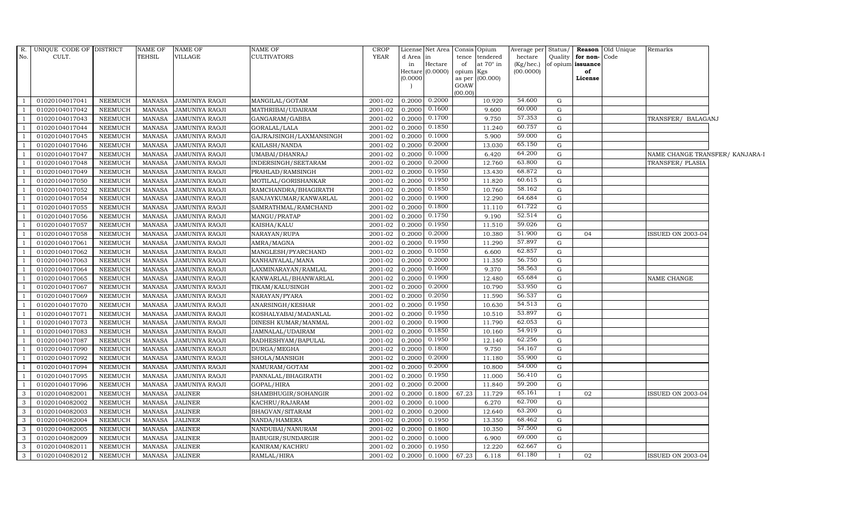| R.                       | UNIQUE CODE OF DISTRICT |                | <b>NAME OF</b> | <b>NAME OF</b>        | <b>NAME OF</b>          | <b>CROP</b> |                        | License Net Area   Consis   Opium |                 |                  | Nverage per Status/    |              |                         | <b>Reason</b> Old Unique | Remarks                         |  |
|--------------------------|-------------------------|----------------|----------------|-----------------------|-------------------------|-------------|------------------------|-----------------------------------|-----------------|------------------|------------------------|--------------|-------------------------|--------------------------|---------------------------------|--|
| No.                      | CULT.                   |                | TEHSIL         | <b>VILLAGE</b>        | <b>CULTIVATORS</b>      | <b>YEAR</b> | d Area in              |                                   |                 | tence tendered   | hectare                | Quality      | for non-Code            |                          |                                 |  |
|                          |                         |                |                |                       |                         |             | in<br>Hectare (0.0000) | Hectare                           | of<br>opium Kgs | at $70^\circ$ in | (Kg/hec.)<br>(00.0000) |              | of opium issuance<br>of |                          |                                 |  |
|                          |                         |                |                |                       |                         |             | (0.0000)               |                                   |                 | as per (00.000)  |                        |              | License                 |                          |                                 |  |
|                          |                         |                |                |                       |                         |             |                        |                                   | GOAW            |                  |                        |              |                         |                          |                                 |  |
|                          |                         |                |                |                       |                         |             |                        |                                   | (00.00)         |                  | 54.600                 |              |                         |                          |                                 |  |
| $\overline{1}$           | 01020104017041          | NEEMUCH        | MANASA         | <b>JAMUNIYA RAOJI</b> | MANGILAL/GOTAM          | 2001-02     | 0.2000                 | 0.2000                            |                 | 10.920           | 60.000                 | G            |                         |                          |                                 |  |
|                          | 01020104017042          | <b>NEEMUCH</b> | MANASA         | <b>JAMUNIYA RAOJI</b> | MATHRIBAI/UDAIRAM       | 2001-02     | 0.2000                 | 0.1600                            |                 | 9.600            | 57.353                 | G            |                         |                          |                                 |  |
|                          | 01020104017043          | <b>NEEMUCH</b> | <b>MANASA</b>  | <b>JAMUNIYA RAOJI</b> | GANGARAM/GABBA          | 2001-02     | 0.2000                 | 0.1700                            |                 | 9.750            | 60.757                 | G            |                         |                          | TRANSFER/ BALAGANJ              |  |
|                          | 01020104017044          | <b>NEEMUCH</b> | <b>MANASA</b>  | JAMUNIYA RAOJI        | GORALAL/LALA            | 2001-02     | 0.2000                 | 0.1850                            |                 | 11.240           |                        | G            |                         |                          |                                 |  |
|                          | 01020104017045          | <b>NEEMUCH</b> | <b>MANASA</b>  | <b>JAMUNIYA RAOJI</b> | GAJRAJSINGH/LAXMANSINGH | 2001-02     | 0.2000                 | 0.1000                            |                 | 5.900            | 59.000                 | G            |                         |                          |                                 |  |
| $\overline{1}$           | 01020104017046          | <b>NEEMUCH</b> | <b>MANASA</b>  | JAMUNIYA RAOJI        | KAILASH/NANDA           | 2001-02     | 0.2000                 | 0.2000                            |                 | 13.030           | 65.150                 | G            |                         |                          |                                 |  |
|                          | 01020104017047          | <b>NEEMUCH</b> | <b>MANASA</b>  | <b>JAMUNIYA RAOJI</b> | UMABAI/DHANRAJ          | 2001-02     | 0.2000                 | 0.1000                            |                 | 6.420            | 64.200                 | G            |                         |                          | NAME CHANGE TRANSFER/ KANJARA-I |  |
|                          | 01020104017048          | <b>NEEMUCH</b> | <b>MANASA</b>  | <b>JAMUNIYA RAOJI</b> | INDERSINGH/SEETARAM     | 2001-02     | 0.2000                 | 0.2000                            |                 | 12.760           | 63.800                 | G            |                         |                          | TRANSFER/PLASIA                 |  |
|                          | 01020104017049          | <b>NEEMUCH</b> | <b>MANASA</b>  | <b>JAMUNIYA RAOJI</b> | PRAHLAD/RAMSINGH        | 2001-02     | 0.2000                 | 0.1950                            |                 | 13.430           | 68.872                 | G            |                         |                          |                                 |  |
|                          | 01020104017050          | <b>NEEMUCH</b> | <b>MANASA</b>  | JAMUNIYA RAOJI        | MOTILAL/GORISHANKAR     | 2001-02     | 0.2000                 | 0.1950                            |                 | 11.820           | 60.615                 | G            |                         |                          |                                 |  |
| - 1                      | 01020104017052          | <b>NEEMUCH</b> | <b>MANASA</b>  | <b>JAMUNIYA RAOJI</b> | RAMCHANDRA/BHAGIRATH    | 2001-02     | 0.2000                 | 0.1850                            |                 | 10.760           | 58.162                 | G            |                         |                          |                                 |  |
|                          | 01020104017054          | <b>NEEMUCH</b> | <b>MANASA</b>  | <b>JAMUNIYA RAOJI</b> | SANJAYKUMAR/KANWARLAL   | 2001-02     | 0.2000                 | 0.1900                            |                 | 12.290           | 64.684                 | G            |                         |                          |                                 |  |
|                          | 01020104017055          | NEEMUCH        | <b>MANASA</b>  | <b>JAMUNIYA RAOJI</b> | SAMRATHMAL/RAMCHAND     | 2001-02     | 0.2000                 | 0.1800                            |                 | 11.110           | 61.722                 | G            |                         |                          |                                 |  |
|                          | 01020104017056          | <b>NEEMUCH</b> | <b>MANASA</b>  | <b>JAMUNIYA RAOJI</b> | MANGU/PRATAP            | 2001-02     | 0.2000                 | 0.1750                            |                 | 9.190            | 52.514                 | G            |                         |                          |                                 |  |
|                          | 01020104017057          | <b>NEEMUCH</b> | <b>MANASA</b>  | <b>JAMUNIYA RAOJI</b> | KAISHA/KALU             | 2001-02     | 0.2000                 | 0.1950                            |                 | 11.510           | 59.026                 | G            |                         |                          |                                 |  |
| $\overline{\phantom{0}}$ | 01020104017058          | <b>NEEMUCH</b> | <b>MANASA</b>  | JAMUNIYA RAOJI        | NARAYAN/RUPA            | 2001-02     | 0.2000                 | 0.2000                            |                 | 10.380           | 51.900                 | G            | 04                      |                          | <b>ISSUED ON 2003-04</b>        |  |
| $\overline{1}$           | 01020104017061          | <b>NEEMUCH</b> | <b>MANASA</b>  | <b>JAMUNIYA RAOJI</b> | AMRA/MAGNA              | 2001-02     | 0.2000                 | 0.1950                            |                 | 11.290           | 57.897                 | G            |                         |                          |                                 |  |
|                          | 01020104017062          | <b>NEEMUCH</b> | <b>MANASA</b>  | <b>JAMUNIYA RAOJI</b> | MANGLESH/PYARCHAND      | 2001-02     | 0.2000                 | 0.1050                            |                 | 6.600            | 62.857                 | G            |                         |                          |                                 |  |
| $\overline{1}$           | 01020104017063          | <b>NEEMUCH</b> | <b>MANASA</b>  | <b>JAMUNIYA RAOJI</b> | KANHAIYALAL/MANA        | 2001-02     | 0.2000                 | 0.2000                            |                 | 11.350           | 56.750                 | G            |                         |                          |                                 |  |
|                          | 01020104017064          | <b>NEEMUCH</b> | <b>MANASA</b>  | <b>JAMUNIYA RAOJI</b> | LAXMINARAYAN/RAMLAL     | 2001-02     | 0.2000                 | 0.1600                            |                 | 9.370            | 58.563                 | G            |                         |                          |                                 |  |
| - 1                      | 01020104017065          | <b>NEEMUCH</b> | <b>MANASA</b>  | <b>JAMUNIYA RAOJI</b> | KANWARLAL/BHANWARLAL    | 2001-02     | 0.2000                 | 0.1900                            |                 | 12.480           | 65.684                 | G            |                         |                          | NAME CHANGE                     |  |
| - 1                      | 01020104017067          | <b>NEEMUCH</b> | <b>MANASA</b>  | <b>JAMUNIYA RAOJI</b> | TIKAM/KALUSINGH         | 2001-02     | 0.2000                 | 0.2000                            |                 | 10.790           | 53.950                 | G            |                         |                          |                                 |  |
| $\overline{1}$           | 01020104017069          | <b>NEEMUCH</b> | <b>MANASA</b>  | <b>JAMUNIYA RAOJI</b> | NARAYAN/PYARA           | 2001-02     | 0.2000                 | 0.2050                            |                 | 11.590           | 56.537                 | G            |                         |                          |                                 |  |
| $\overline{1}$           | 01020104017070          | <b>NEEMUCH</b> | <b>MANASA</b>  | <b>JAMUNIYA RAOJI</b> | ANARSINGH/KESHAR        | 2001-02     | 0.2000                 | 0.1950                            |                 | 10.630           | 54.513                 | G            |                         |                          |                                 |  |
|                          | 01020104017071          | <b>NEEMUCH</b> | <b>MANASA</b>  | <b>JAMUNIYA RAOJI</b> | KOSHALYABAI/MADANLAL    | 2001-02     | 0.2000                 | 0.1950                            |                 | 10.510           | 53.897                 | G            |                         |                          |                                 |  |
| $\overline{1}$           | 01020104017073          | <b>NEEMUCH</b> | <b>MANASA</b>  | <b>JAMUNIYA RAOJI</b> | DINESH KUMAR/MANMAL     | 2001-02     | 0.2000                 | 0.1900                            |                 | 11.790           | 62.053                 | G            |                         |                          |                                 |  |
| - 1                      | 01020104017083          | <b>NEEMUCH</b> | <b>MANASA</b>  | <b>JAMUNIYA RAOJI</b> | JAMNALAL/UDAIRAM        | 2001-02     | 0.2000                 | 0.1850                            |                 | 10.160           | 54.919                 | G            |                         |                          |                                 |  |
| $\overline{1}$           | 01020104017087          | <b>NEEMUCH</b> | <b>MANASA</b>  | <b>JAMUNIYA RAOJI</b> | RADHESHYAM/BAPULAL      | 2001-02     | 0.2000                 | 0.1950                            |                 | 12.140           | 62.256                 | G            |                         |                          |                                 |  |
| $\overline{1}$           | 01020104017090          | <b>NEEMUCH</b> | <b>MANASA</b>  | <b>JAMUNIYA RAOJI</b> | DURGA/MEGHA             | 2001-02     | 0.2000                 | 0.1800                            |                 | 9.750            | 54.167                 | G            |                         |                          |                                 |  |
| $\overline{1}$           | 01020104017092          | <b>NEEMUCH</b> | <b>MANASA</b>  | <b>JAMUNIYA RAOJI</b> | SHOLA/MANSIGH           | 2001-02     | 0.2000                 | 0.2000                            |                 | 11.180           | 55.900                 | G            |                         |                          |                                 |  |
|                          | 01020104017094          | <b>NEEMUCH</b> | <b>MANASA</b>  | <b>JAMUNIYA RAOJI</b> | NAMURAM/GOTAM           | 2001-02     | 0.2000                 | 0.2000                            |                 | 10.800           | 54.000                 | G            |                         |                          |                                 |  |
| $\overline{1}$           | 01020104017095          | <b>NEEMUCH</b> | <b>MANASA</b>  | JAMUNIYA RAOJI        | PANNALAL/BHAGIRATH      | 2001-02     | 0.2000                 | 0.1950                            |                 | 11.000           | 56.410                 | G            |                         |                          |                                 |  |
| -1                       | 01020104017096          | <b>NEEMUCH</b> | <b>MANASA</b>  | <b>JAMUNIYA RAOJI</b> | GOPAL/HIRA              | 2001-02     | 0.2000                 | 0.2000                            |                 | 11.840           | 59.200                 | G            |                         |                          |                                 |  |
| 3                        | 01020104082001          | <b>NEEMUCH</b> | <b>MANASA</b>  | <b>JALINER</b>        | SHAMBHUGIR/SOHANGIR     | 2001-02     | 0.2000                 | 0.1800                            | 67.23           | 11.729           | 65.161                 | $\mathbf{I}$ | 02                      |                          | <b>ISSUED ON 2003-04</b>        |  |
| $\mathbf{3}$             | 01020104082002          | <b>NEEMUCH</b> | <b>MANASA</b>  | <b>JALINER</b>        | KACHRU/RAJARAM          | 2001-02     | 0.2000                 | 0.1000                            |                 | 6.270            | 62.700                 | G            |                         |                          |                                 |  |
| $\mathbf{3}$             | 01020104082003          | <b>NEEMUCH</b> | <b>MANASA</b>  | <b>JALINER</b>        | BHAGVAN/SITARAM         | 2001-02     | 0.2000                 | 0.2000                            |                 | 12.640           | 63.200                 | $\mathbf G$  |                         |                          |                                 |  |
| $\mathbf{3}$             | 01020104082004          | <b>NEEMUCH</b> | <b>MANASA</b>  | <b>JALINER</b>        | NANDA/HAMERA            | 2001-02     | 0.2000                 | 0.1950                            |                 | 13.350           | 68.462                 | G            |                         |                          |                                 |  |
| $\mathbf{3}$             | 01020104082005          | <b>NEEMUCH</b> | <b>MANASA</b>  | <b>JALINER</b>        | NANDUBAI/NANURAM        | 2001-02     | 0.2000                 | 0.1800                            |                 | 10.350           | 57.500                 | G            |                         |                          |                                 |  |
| 3                        | 01020104082009          | <b>NEEMUCH</b> | <b>MANASA</b>  | <b>JALINER</b>        | BABUGIR/SUNDARGIR       | 2001-02     | 0.2000                 | 0.1000                            |                 | 6.900            | 69.000                 | $\mathbf G$  |                         |                          |                                 |  |
| $\mathbf{3}$             | 01020104082011          | <b>NEEMUCH</b> | <b>MANASA</b>  | <b>JALINER</b>        | KANIRAM/KACHRU          | 2001-02     | 0.2000                 | 0.1950                            |                 | 12.220           | 62.667                 | G            |                         |                          |                                 |  |
| 3                        | 01020104082012          | <b>NEEMUCH</b> | <b>MANASA</b>  | <b>JALINER</b>        | RAMLAL/HIRA             | 2001-02     | 0.2000                 | 0.1000                            | 67.23           | 6.118            | 61.180                 | $\mathbf{I}$ | 02                      |                          | <b>ISSUED ON 2003-04</b>        |  |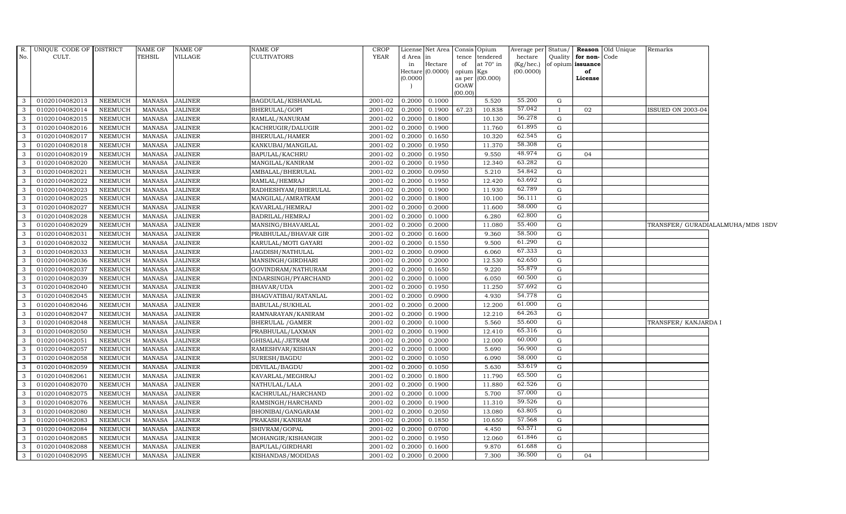| 55.200<br>$0.2000$ 0.1000<br>01020104082013<br><b>NEEMUCH</b><br><b>JALINER</b><br>2001-02<br>5.520<br>G<br>3<br>MANASA<br>BAGDULAL/KISHANLAL<br>57.042<br>67.23<br>01020104082014<br><b>NEEMUCH</b><br>MANASA<br><b>JALINER</b><br>BHERULAL/GOPI<br>2001-02<br>0.2000<br>0.1900<br>10.838<br>02<br><b>ISSUED ON 2003-04</b><br>3<br>$\mathbf{I}$<br>56.278<br>3<br>01020104082015<br><b>NEEMUCH</b><br><b>MANASA</b><br><b>JALINER</b><br>RAMLAL/NANURAM<br>2001-02<br>0.2000<br>0.1800<br>10.130<br>G<br>61.895<br>01020104082016<br><b>NEEMUCH</b><br><b>MANASA</b><br><b>JALINER</b><br>KACHRUGIR/DALUGIR<br>2001-02<br>$0.2000$ 0.1900<br>11.760<br>G<br>-3<br>62.545<br>3<br>01020104082017<br><b>MANASA</b><br><b>JALINER</b><br>BHERULAL/HAMER<br>2001-02<br>0.2000<br>0.1650<br>10.320<br>NEEMUCH<br>G<br>58.308<br>$\mathbf{3}$<br>01020104082018<br><b>NEEMUCH</b><br><b>MANASA</b><br><b>JALINER</b><br>2001-02<br>0.2000<br>0.1950<br>11.370<br>G<br>KANKUBAI/MANGILAL<br>48.974<br>$\mathbf{3}$<br>01020104082019<br><b>NEEMUCH</b><br><b>MANASA</b><br>BAPULAL/KACHRU<br>2001-02<br>0.1950<br>9.550<br><b>JALINER</b><br>0.2000<br>G<br>04<br>63.282<br>$\mathbf{3}$<br>01020104082020<br><b>NEEMUCH</b><br>MANASA<br><b>JALINER</b><br>2001-02<br>0.2000<br>0.1950<br>12.340<br>MANGILAL/KANIRAM<br>G<br>54.842<br>3<br>01020104082021<br><b>NEEMUCH</b><br><b>MANASA</b><br><b>JALINER</b><br>AMBALAL/BHERULAL<br>2001-02<br>0.2000<br>0.0950<br>5.210<br>G<br>63.692<br>3<br>12.420<br>G<br>01020104082022<br><b>NEEMUCH</b><br><b>MANASA</b><br><b>JALINER</b><br>RAMLAL/HEMRAJ<br>2001-02<br>0.2000<br>0.1950<br>62.789<br>01020104082023<br><b>NEEMUCH</b><br>MANASA<br><b>JALINER</b><br>2001-02<br>0.2000<br>0.1900<br>11.930<br>G<br>3<br>RADHESHYAM/BHERULAL<br>56.111<br>$\mathbf{3}$<br>01020104082025<br><b>NEEMUCH</b><br><b>MANASA</b><br><b>JALINER</b><br>MANGILAL/AMRATRAM<br>2001-02<br>0.1800<br>10.100<br>G<br>0.2000 |  |
|-----------------------------------------------------------------------------------------------------------------------------------------------------------------------------------------------------------------------------------------------------------------------------------------------------------------------------------------------------------------------------------------------------------------------------------------------------------------------------------------------------------------------------------------------------------------------------------------------------------------------------------------------------------------------------------------------------------------------------------------------------------------------------------------------------------------------------------------------------------------------------------------------------------------------------------------------------------------------------------------------------------------------------------------------------------------------------------------------------------------------------------------------------------------------------------------------------------------------------------------------------------------------------------------------------------------------------------------------------------------------------------------------------------------------------------------------------------------------------------------------------------------------------------------------------------------------------------------------------------------------------------------------------------------------------------------------------------------------------------------------------------------------------------------------------------------------------------------------------------------------------------------------------------------------------------------------------------|--|
|                                                                                                                                                                                                                                                                                                                                                                                                                                                                                                                                                                                                                                                                                                                                                                                                                                                                                                                                                                                                                                                                                                                                                                                                                                                                                                                                                                                                                                                                                                                                                                                                                                                                                                                                                                                                                                                                                                                                                           |  |
|                                                                                                                                                                                                                                                                                                                                                                                                                                                                                                                                                                                                                                                                                                                                                                                                                                                                                                                                                                                                                                                                                                                                                                                                                                                                                                                                                                                                                                                                                                                                                                                                                                                                                                                                                                                                                                                                                                                                                           |  |
|                                                                                                                                                                                                                                                                                                                                                                                                                                                                                                                                                                                                                                                                                                                                                                                                                                                                                                                                                                                                                                                                                                                                                                                                                                                                                                                                                                                                                                                                                                                                                                                                                                                                                                                                                                                                                                                                                                                                                           |  |
|                                                                                                                                                                                                                                                                                                                                                                                                                                                                                                                                                                                                                                                                                                                                                                                                                                                                                                                                                                                                                                                                                                                                                                                                                                                                                                                                                                                                                                                                                                                                                                                                                                                                                                                                                                                                                                                                                                                                                           |  |
|                                                                                                                                                                                                                                                                                                                                                                                                                                                                                                                                                                                                                                                                                                                                                                                                                                                                                                                                                                                                                                                                                                                                                                                                                                                                                                                                                                                                                                                                                                                                                                                                                                                                                                                                                                                                                                                                                                                                                           |  |
|                                                                                                                                                                                                                                                                                                                                                                                                                                                                                                                                                                                                                                                                                                                                                                                                                                                                                                                                                                                                                                                                                                                                                                                                                                                                                                                                                                                                                                                                                                                                                                                                                                                                                                                                                                                                                                                                                                                                                           |  |
|                                                                                                                                                                                                                                                                                                                                                                                                                                                                                                                                                                                                                                                                                                                                                                                                                                                                                                                                                                                                                                                                                                                                                                                                                                                                                                                                                                                                                                                                                                                                                                                                                                                                                                                                                                                                                                                                                                                                                           |  |
|                                                                                                                                                                                                                                                                                                                                                                                                                                                                                                                                                                                                                                                                                                                                                                                                                                                                                                                                                                                                                                                                                                                                                                                                                                                                                                                                                                                                                                                                                                                                                                                                                                                                                                                                                                                                                                                                                                                                                           |  |
|                                                                                                                                                                                                                                                                                                                                                                                                                                                                                                                                                                                                                                                                                                                                                                                                                                                                                                                                                                                                                                                                                                                                                                                                                                                                                                                                                                                                                                                                                                                                                                                                                                                                                                                                                                                                                                                                                                                                                           |  |
|                                                                                                                                                                                                                                                                                                                                                                                                                                                                                                                                                                                                                                                                                                                                                                                                                                                                                                                                                                                                                                                                                                                                                                                                                                                                                                                                                                                                                                                                                                                                                                                                                                                                                                                                                                                                                                                                                                                                                           |  |
|                                                                                                                                                                                                                                                                                                                                                                                                                                                                                                                                                                                                                                                                                                                                                                                                                                                                                                                                                                                                                                                                                                                                                                                                                                                                                                                                                                                                                                                                                                                                                                                                                                                                                                                                                                                                                                                                                                                                                           |  |
|                                                                                                                                                                                                                                                                                                                                                                                                                                                                                                                                                                                                                                                                                                                                                                                                                                                                                                                                                                                                                                                                                                                                                                                                                                                                                                                                                                                                                                                                                                                                                                                                                                                                                                                                                                                                                                                                                                                                                           |  |
| 58.000<br>$\mathbf{3}$<br>01020104082027<br><b>NEEMUCH</b><br>MANASA<br><b>JALINER</b><br>KAVARLAL/HEMRAJ<br>2001-02<br>0.2000<br>0.2000<br>11.600<br>G                                                                                                                                                                                                                                                                                                                                                                                                                                                                                                                                                                                                                                                                                                                                                                                                                                                                                                                                                                                                                                                                                                                                                                                                                                                                                                                                                                                                                                                                                                                                                                                                                                                                                                                                                                                                   |  |
| 62.800<br><b>MANASA</b><br><b>JALINER</b><br>2001-02<br>0.1000<br>6.280<br>3<br>01020104082028<br><b>NEEMUCH</b><br>BADRILAL/HEMRAJ<br>0.2000<br>G                                                                                                                                                                                                                                                                                                                                                                                                                                                                                                                                                                                                                                                                                                                                                                                                                                                                                                                                                                                                                                                                                                                                                                                                                                                                                                                                                                                                                                                                                                                                                                                                                                                                                                                                                                                                        |  |
| 55.400<br>3<br>01020104082029<br><b>NEEMUCH</b><br><b>MANASA</b><br><b>JALINER</b><br>MANSING/BHAVARLAL<br>2001-02<br>0.2000<br>0.2000<br>11.080<br>G<br>TRANSFER/ GURADIALALMUHA/MDS 1SDV                                                                                                                                                                                                                                                                                                                                                                                                                                                                                                                                                                                                                                                                                                                                                                                                                                                                                                                                                                                                                                                                                                                                                                                                                                                                                                                                                                                                                                                                                                                                                                                                                                                                                                                                                                |  |
| 58.500<br><b>JALINER</b><br>2001-02<br>$0.2000$ 0.1600<br>9.360<br>3<br>01020104082031<br><b>NEEMUCH</b><br>MANASA<br>PRABHULAL/BHAVAR GIR<br>G<br>61.290                                                                                                                                                                                                                                                                                                                                                                                                                                                                                                                                                                                                                                                                                                                                                                                                                                                                                                                                                                                                                                                                                                                                                                                                                                                                                                                                                                                                                                                                                                                                                                                                                                                                                                                                                                                                 |  |
| 01020104082032<br><b>JALINER</b><br>2001-02<br>9.500<br>3<br><b>NEEMUCH</b><br>MANASA<br>KARULAL/MOTI GAYARI<br>0.2000<br>0.1550<br>G<br>67.333                                                                                                                                                                                                                                                                                                                                                                                                                                                                                                                                                                                                                                                                                                                                                                                                                                                                                                                                                                                                                                                                                                                                                                                                                                                                                                                                                                                                                                                                                                                                                                                                                                                                                                                                                                                                           |  |
| $\mathbf{3}$<br>01020104082033<br><b>NEEMUCH</b><br><b>MANASA</b><br><b>JALINER</b><br>JAGDISH/NATHULAL<br>2001-02<br>0.2000<br>0.0900<br>6.060<br>G<br>62.650                                                                                                                                                                                                                                                                                                                                                                                                                                                                                                                                                                                                                                                                                                                                                                                                                                                                                                                                                                                                                                                                                                                                                                                                                                                                                                                                                                                                                                                                                                                                                                                                                                                                                                                                                                                            |  |
| $\mathbf{3}$<br>01020104082036<br><b>NEEMUCH</b><br><b>MANASA</b><br><b>JALINER</b><br>MANSINGH/GIRDHARI<br>2001-02<br>0.2000<br>0.2000<br>12.530<br>G<br>55.879                                                                                                                                                                                                                                                                                                                                                                                                                                                                                                                                                                                                                                                                                                                                                                                                                                                                                                                                                                                                                                                                                                                                                                                                                                                                                                                                                                                                                                                                                                                                                                                                                                                                                                                                                                                          |  |
| 3<br>01020104082037<br><b>NEEMUCH</b><br><b>MANASA</b><br>JALINER<br>GOVINDRAM/NATHURAM<br>2001-02<br>0.2000<br>0.1650<br>9.220<br>G<br>60.500                                                                                                                                                                                                                                                                                                                                                                                                                                                                                                                                                                                                                                                                                                                                                                                                                                                                                                                                                                                                                                                                                                                                                                                                                                                                                                                                                                                                                                                                                                                                                                                                                                                                                                                                                                                                            |  |
| 0.2000<br>6.050<br>G<br>3<br>01020104082039<br><b>NEEMUCH</b><br><b>MANASA</b><br><b>JALINER</b><br>INDARSINGH/PYARCHAND<br>2001-02<br>0.1000<br>57.692                                                                                                                                                                                                                                                                                                                                                                                                                                                                                                                                                                                                                                                                                                                                                                                                                                                                                                                                                                                                                                                                                                                                                                                                                                                                                                                                                                                                                                                                                                                                                                                                                                                                                                                                                                                                   |  |
| 01020104082040<br><b>MANASA</b><br><b>JALINER</b><br>2001-02<br>0.1950<br>11.250<br>3<br>NEEMUCH<br>BHAVAR/UDA<br>0.2000<br>G<br>54.778<br>4.930<br>3<br>G                                                                                                                                                                                                                                                                                                                                                                                                                                                                                                                                                                                                                                                                                                                                                                                                                                                                                                                                                                                                                                                                                                                                                                                                                                                                                                                                                                                                                                                                                                                                                                                                                                                                                                                                                                                                |  |
| 01020104082045<br><b>NEEMUCH</b><br><b>MANASA</b><br><b>JALINER</b><br>BHAGVATIBAI/RATANLAL<br>2001-02<br>0.2000<br>0.0900<br>61.000                                                                                                                                                                                                                                                                                                                                                                                                                                                                                                                                                                                                                                                                                                                                                                                                                                                                                                                                                                                                                                                                                                                                                                                                                                                                                                                                                                                                                                                                                                                                                                                                                                                                                                                                                                                                                      |  |
| $\mathbf{3}$<br>01020104082046<br><b>NEEMUCH</b><br><b>MANASA</b><br><b>JALINER</b><br>BABULAL/SUKHLAL<br>2001-02<br>0.2000<br>0.2000<br>12.200<br>G<br>64.263<br>3                                                                                                                                                                                                                                                                                                                                                                                                                                                                                                                                                                                                                                                                                                                                                                                                                                                                                                                                                                                                                                                                                                                                                                                                                                                                                                                                                                                                                                                                                                                                                                                                                                                                                                                                                                                       |  |
| 01020104082047<br><b>MANASA</b><br><b>JALINER</b><br>RAMNARAYAN/KANIRAM<br>2001-02<br>0.1900<br>12.210<br>NEEMUCH<br>0.2000<br>G<br>55.600<br><b>JALINER</b><br>0.2000<br>0.1000<br>5.560<br>3<br>G                                                                                                                                                                                                                                                                                                                                                                                                                                                                                                                                                                                                                                                                                                                                                                                                                                                                                                                                                                                                                                                                                                                                                                                                                                                                                                                                                                                                                                                                                                                                                                                                                                                                                                                                                       |  |
| 01020104082048<br><b>NEEMUCH</b><br><b>MANASA</b><br>BHERULAL / GAMER<br>2001-02<br>TRANSFER/ KANJARDA I<br>65.316<br>MANASA<br><b>JALINER</b><br>2001-02<br>$\mathbf{3}$<br>01020104082050<br><b>NEEMUCH</b><br>PRABHULAL/LAXMAN<br>$0.2000$ 0.1900<br>12.410<br>G                                                                                                                                                                                                                                                                                                                                                                                                                                                                                                                                                                                                                                                                                                                                                                                                                                                                                                                                                                                                                                                                                                                                                                                                                                                                                                                                                                                                                                                                                                                                                                                                                                                                                       |  |
| 60.000<br>01020104082051<br><b>NEEMUCH</b><br><b>MANASA</b><br><b>JALINER</b><br>2001-02<br>0.2000 0.2000<br>12.000<br>3<br>GHISALAL/JETRAM<br>G                                                                                                                                                                                                                                                                                                                                                                                                                                                                                                                                                                                                                                                                                                                                                                                                                                                                                                                                                                                                                                                                                                                                                                                                                                                                                                                                                                                                                                                                                                                                                                                                                                                                                                                                                                                                          |  |
| 56.900<br>01020104082057<br>2001-02<br>0.1000<br>3<br><b>NEEMUCH</b><br>MANASA<br><b>JALINER</b><br>RAMESHVAR/KISHAN<br>0.2000<br>5.690<br>G                                                                                                                                                                                                                                                                                                                                                                                                                                                                                                                                                                                                                                                                                                                                                                                                                                                                                                                                                                                                                                                                                                                                                                                                                                                                                                                                                                                                                                                                                                                                                                                                                                                                                                                                                                                                              |  |
| 58.000<br>$\mathbf{3}$<br>2001-02<br>01020104082058<br><b>NEEMUCH</b><br><b>MANASA</b><br><b>JALINER</b><br>SURESH/BAGDU<br>0.2000<br>0.1050<br>6.090<br>G                                                                                                                                                                                                                                                                                                                                                                                                                                                                                                                                                                                                                                                                                                                                                                                                                                                                                                                                                                                                                                                                                                                                                                                                                                                                                                                                                                                                                                                                                                                                                                                                                                                                                                                                                                                                |  |
| 53.619<br>3<br><b>MANASA</b><br><b>JALINER</b><br>2001-02<br>0.2000<br>0.1050<br>5.630<br>G<br>01020104082059<br><b>NEEMUCH</b><br>DEVILAL/BAGDU                                                                                                                                                                                                                                                                                                                                                                                                                                                                                                                                                                                                                                                                                                                                                                                                                                                                                                                                                                                                                                                                                                                                                                                                                                                                                                                                                                                                                                                                                                                                                                                                                                                                                                                                                                                                          |  |
| 65.500<br>3<br>01020104082061<br>NEEMUCH<br><b>MANASA</b><br><b>JALINER</b><br>2001-02<br>0.2000<br>0.1800<br>11.790<br>G<br>KAVARLAL/MEGHRAJ                                                                                                                                                                                                                                                                                                                                                                                                                                                                                                                                                                                                                                                                                                                                                                                                                                                                                                                                                                                                                                                                                                                                                                                                                                                                                                                                                                                                                                                                                                                                                                                                                                                                                                                                                                                                             |  |
| 62.526<br>$\mathbf{3}$<br>01020104082070<br><b>NEEMUCH</b><br><b>MANASA</b><br><b>JALINER</b><br>2001-02<br>0.2000<br>0.1900<br>11.880<br>G<br>NATHULAL/LALA                                                                                                                                                                                                                                                                                                                                                                                                                                                                                                                                                                                                                                                                                                                                                                                                                                                                                                                                                                                                                                                                                                                                                                                                                                                                                                                                                                                                                                                                                                                                                                                                                                                                                                                                                                                              |  |
| 57.000<br>$\mathbf{3}$<br>01020104082075<br><b>MANASA</b><br>2001-02<br>0.1000<br>5.700<br>G<br><b>NEEMUCH</b><br><b>JALINER</b><br>KACHRULAL/HARCHAND<br>0.2000                                                                                                                                                                                                                                                                                                                                                                                                                                                                                                                                                                                                                                                                                                                                                                                                                                                                                                                                                                                                                                                                                                                                                                                                                                                                                                                                                                                                                                                                                                                                                                                                                                                                                                                                                                                          |  |
| 59.526<br>$\mathbf{3}$<br>0.1900<br>01020104082076<br><b>NEEMUCH</b><br><b>MANASA</b><br><b>JALINER</b><br>RAMSINGH/HARCHAND<br>2001-02<br>0.2000<br>11.310<br>G                                                                                                                                                                                                                                                                                                                                                                                                                                                                                                                                                                                                                                                                                                                                                                                                                                                                                                                                                                                                                                                                                                                                                                                                                                                                                                                                                                                                                                                                                                                                                                                                                                                                                                                                                                                          |  |
| 63.805<br>3<br>01020104082080<br><b>NEEMUCH</b><br><b>MANASA</b><br><b>JALINER</b><br>BHONIBAI/GANGARAM<br>2001-02<br>0.2000<br>0.2050<br>13.080<br>G                                                                                                                                                                                                                                                                                                                                                                                                                                                                                                                                                                                                                                                                                                                                                                                                                                                                                                                                                                                                                                                                                                                                                                                                                                                                                                                                                                                                                                                                                                                                                                                                                                                                                                                                                                                                     |  |
| 57.568<br>$\mathbf{3}$<br>01020104082083<br><b>JALINER</b><br>2001-02<br>0.2000<br>10.650<br><b>NEEMUCH</b><br><b>MANASA</b><br>PRAKASH/KANIRAM<br>0.1850<br>G                                                                                                                                                                                                                                                                                                                                                                                                                                                                                                                                                                                                                                                                                                                                                                                                                                                                                                                                                                                                                                                                                                                                                                                                                                                                                                                                                                                                                                                                                                                                                                                                                                                                                                                                                                                            |  |
| 63.571<br>3<br>01020104082084<br><b>NEEMUCH</b><br><b>MANASA</b><br><b>JALINER</b><br>SHIVRAM/GOPAL<br>2001-02<br>0.2000<br>0.0700<br>4.450<br>G                                                                                                                                                                                                                                                                                                                                                                                                                                                                                                                                                                                                                                                                                                                                                                                                                                                                                                                                                                                                                                                                                                                                                                                                                                                                                                                                                                                                                                                                                                                                                                                                                                                                                                                                                                                                          |  |
| 61.846<br>01020104082085<br>2001-02<br>12.060<br>$\mathbf{3}$<br><b>NEEMUCH</b><br><b>MANASA</b><br><b>JALINER</b><br>MOHANGIR/KISHANGIR<br>0.2000<br>0.1950<br>G                                                                                                                                                                                                                                                                                                                                                                                                                                                                                                                                                                                                                                                                                                                                                                                                                                                                                                                                                                                                                                                                                                                                                                                                                                                                                                                                                                                                                                                                                                                                                                                                                                                                                                                                                                                         |  |
| 61.688<br>$\mathbf{3}$<br>01020104082088<br><b>JALINER</b><br>2001-02<br>0.1600<br>9.870<br><b>NEEMUCH</b><br>MANASA<br>BAPULAL/GIRDHARI<br>0.2000<br>G                                                                                                                                                                                                                                                                                                                                                                                                                                                                                                                                                                                                                                                                                                                                                                                                                                                                                                                                                                                                                                                                                                                                                                                                                                                                                                                                                                                                                                                                                                                                                                                                                                                                                                                                                                                                   |  |
| 36.500<br><b>MANASA</b><br><b>JALINER</b><br>2001-02<br>0.2000<br>0.2000<br>7.300<br>3<br>01020104082095<br><b>NEEMUCH</b><br>KISHANDAS/MODIDAS<br>G<br>04                                                                                                                                                                                                                                                                                                                                                                                                                                                                                                                                                                                                                                                                                                                                                                                                                                                                                                                                                                                                                                                                                                                                                                                                                                                                                                                                                                                                                                                                                                                                                                                                                                                                                                                                                                                                |  |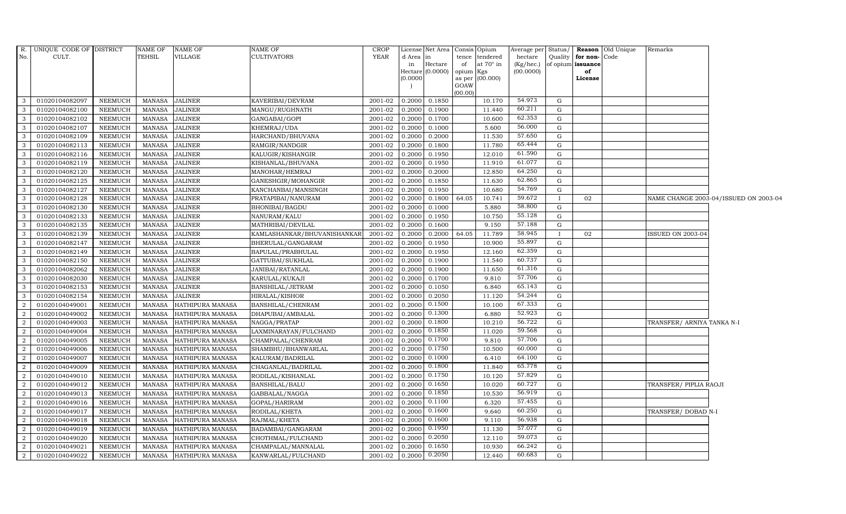| R.             | UNIQUE CODE OF DISTRICT |                | NAME OF       | <b>NAME OF</b>          | <b>NAME OF</b>              | <b>CROP</b>    |           | License Net Area   Consis   Opium |                 |                   | Average per            | Status/      |                         | <b>Reason</b> Old Unique | Remarks                    |                                       |
|----------------|-------------------------|----------------|---------------|-------------------------|-----------------------------|----------------|-----------|-----------------------------------|-----------------|-------------------|------------------------|--------------|-------------------------|--------------------------|----------------------------|---------------------------------------|
| No.            | CULT.                   |                | TEHSIL        | VILLAGE                 | <b>CULTIVATORS</b>          | <b>YEAR</b>    | d Area in |                                   | tence           | tendered          | hectare                | Quality      | for non-                | Code                     |                            |                                       |
|                |                         |                |               |                         |                             |                | in        | Hectare<br>Hectare (0.0000)       | of<br>opium Kgs | at $70^\circ$ in  | (Kg/hec.)<br>(00.0000) |              | of opium issuance<br>of |                          |                            |                                       |
|                |                         |                |               |                         |                             |                | (0.0000)  |                                   |                 | as per $(00.000)$ |                        |              | License                 |                          |                            |                                       |
|                |                         |                |               |                         |                             |                |           |                                   | GOAW            |                   |                        |              |                         |                          |                            |                                       |
| 3              | 01020104082097          | <b>NEEMUCH</b> | MANASA        | <b>JALINER</b>          | KAVERIBAI/DEVRAM            | 2001-02 0.2000 |           | 0.1850                            | (00.00)         | 10.170            | 54.973                 | G            |                         |                          |                            |                                       |
| $\mathbf{3}$   | 01020104082100          | <b>NEEMUCH</b> | <b>MANASA</b> | <b>JALINER</b>          | MANGU/RUGHNATH              | 2001-02        | 0.2000    | 0.1900                            |                 | 11.440            | 60.211                 | $\mathbf G$  |                         |                          |                            |                                       |
| 3              | 01020104082102          | <b>NEEMUCH</b> | <b>MANASA</b> | <b>JALINER</b>          | GANGABAI/GOPI               | 2001-02        | 0.2000    | 0.1700                            |                 | 10.600            | 62.353                 | G            |                         |                          |                            |                                       |
| -3             | 01020104082107          | <b>NEEMUCH</b> | <b>MANASA</b> | <b>JALINER</b>          | KHEMRAJ/UDA                 | 2001-02        | 0.2000    | 0.1000                            |                 | 5.600             | 56.000                 | G            |                         |                          |                            |                                       |
| $\mathbf{3}$   | 01020104082109          | <b>NEEMUCH</b> | <b>MANASA</b> | <b>JALINER</b>          | HARCHAND/BHUVANA            | $2001 - 02$    | 0.2000    | 0.2000                            |                 | 11.530            | 57.650                 | G            |                         |                          |                            |                                       |
| 3              | 01020104082113          | <b>NEEMUCH</b> | MANASA        | <b>JALINER</b>          | RAMGIR/NANDGIR              | 2001-02        | 0.2000    | 0.1800                            |                 | 11.780            | 65.444                 | G            |                         |                          |                            |                                       |
| $\mathbf{3}$   | 01020104082116          | <b>NEEMUCH</b> | <b>MANASA</b> | <b>JALINER</b>          | KALUGIR/KISHANGIR           | 2001-02        | 0.2000    | 0.1950                            |                 | 12.010            | 61.590                 | G            |                         |                          |                            |                                       |
| 3              | 01020104082119          | <b>NEEMUCH</b> | <b>MANASA</b> | <b>JALINER</b>          | KISHANLAL/BHUVANA           | 2001-02        | 0.2000    | 0.1950                            |                 | 11.910            | 61.077                 | G            |                         |                          |                            |                                       |
| -3             | 01020104082120          | <b>NEEMUCH</b> | <b>MANASA</b> | <b>JALINER</b>          | MANOHAR/HEMRAJ              | 2001-02        | 0.2000    | 0.2000                            |                 | 12.850            | 64.250                 | G            |                         |                          |                            |                                       |
| 3              | 01020104082125          | <b>NEEMUCH</b> | <b>MANASA</b> | <b>JALINER</b>          | GANESHGIR/MOHANGIR          | 2001-02        | 0.2000    | 0.1850                            |                 | 11.630            | 62.865                 | G            |                         |                          |                            |                                       |
| 3              | 01020104082127          | <b>NEEMUCH</b> | <b>MANASA</b> | <b>JALINER</b>          | KANCHANBAI/MANSINGH         | 2001-02        | 0.2000    | 0.1950                            |                 | 10.680            | 54.769                 | G            |                         |                          |                            |                                       |
| $\mathbf{3}$   | 01020104082128          | <b>NEEMUCH</b> | MANASA        | <b>JALINER</b>          | PRATAPIBAI/NANURAM          | $2001 - 02$    | 0.2000    | 0.1800                            | 64.05           | 10.741            | 59.672                 | $\mathbf{I}$ | 02                      |                          |                            | NAME CHANGE 2003-04/ISSUED ON 2003-04 |
| 3              | 01020104082130          | <b>NEEMUCH</b> | <b>MANASA</b> | <b>JALINER</b>          | <b>BHONIBAI/BAGDU</b>       | 2001-02        | 0.2000    | 0.1000                            |                 | 5.880             | 58.800                 | G            |                         |                          |                            |                                       |
| 3              | 01020104082133          | <b>NEEMUCH</b> | <b>MANASA</b> | <b>JALINER</b>          | NANURAM/KALU                | 2001-02        | 0.2000    | 0.1950                            |                 | 10.750            | 55.128                 | G            |                         |                          |                            |                                       |
| 3              | 01020104082135          | <b>NEEMUCH</b> | <b>MANASA</b> | <b>JALINER</b>          | MATHRIBAI/DEVILAL           | 2001-02        | 0.2000    | 0.1600                            |                 | 9.150             | 57.188                 | G            |                         |                          |                            |                                       |
| 3              | 01020104082139          | <b>NEEMUCH</b> | <b>MANASA</b> | <b>JALINER</b>          | KAMLASHANKAR/BHUVANISHANKAR | 2001-02        | 0.2000    | 0.2000                            | 64.05           | 11.789            | 58.945                 | $\mathbf{I}$ | 02                      |                          | <b>ISSUED ON 2003-04</b>   |                                       |
| $\mathbf{3}$   | 01020104082147          | <b>NEEMUCH</b> | <b>MANASA</b> | <b>JALINER</b>          | BHERULAL/GANGARAM           | 2001-02        | 0.2000    | 0.1950                            |                 | 10.900            | 55.897                 | G            |                         |                          |                            |                                       |
| $\mathbf{3}$   | 01020104082149          | <b>NEEMUCH</b> | <b>MANASA</b> | <b>JALINER</b>          | BAPULAL/PRABHULAL           | 2001-02        | 0.2000    | 0.1950                            |                 | 12.160            | 62.359                 | G            |                         |                          |                            |                                       |
| 3              | 01020104082150          | <b>NEEMUCH</b> | <b>MANASA</b> | <b>JALINER</b>          | GATTUBAI/SUKHLAL            | 2001-02        | 0.2000    | 0.1900                            |                 | 11.540            | 60.737                 | G            |                         |                          |                            |                                       |
| $\mathbf{3}$   | 01020104082062          | <b>NEEMUCH</b> | <b>MANASA</b> | <b>JALINER</b>          | JANIBAI/RATANLAL            | $2001-02$      | 0.2000    | 0.1900                            |                 | 11.650            | 61.316                 | G            |                         |                          |                            |                                       |
| 3              | 01020104082030          | <b>NEEMUCH</b> | MANASA        | <b>JALINER</b>          | KARULAL/KUKAJI              | 2001-02        | 0.2000    | 0.1700                            |                 | 9.810             | 57.706                 | G            |                         |                          |                            |                                       |
| $\mathbf{3}$   | 01020104082153          | <b>NEEMUCH</b> | MANASA        | <b>JALINER</b>          | <b>BANSHILAL/JETRAM</b>     | 2001-02 0.2000 |           | 0.1050                            |                 | 6.840             | 65.143                 | G            |                         |                          |                            |                                       |
| $\mathbf{3}$   | 01020104082154          | <b>NEEMUCH</b> | <b>MANASA</b> | <b>JALINER</b>          | <b>HIRALAL/KISHOR</b>       | 2001-02        | 0.2000    | 0.2050                            |                 | 11.120            | 54.244                 | G            |                         |                          |                            |                                       |
| $\overline{2}$ | 01020104049001          | <b>NEEMUCH</b> | <b>MANASA</b> | HATHIPURA MANASA        | BANSHILAL/CHENRAM           | 2001-02        | 0.2000    | 0.1500                            |                 | 10.100            | 67.333                 | $\mathbf G$  |                         |                          |                            |                                       |
| $\overline{2}$ | 01020104049002          | <b>NEEMUCH</b> | <b>MANASA</b> | HATHIPURA MANASA        | DHAPUBAI/AMBALAL            | 2001-02        | 0.2000    | 0.1300                            |                 | 6.880             | 52.923                 | $\mathbf G$  |                         |                          |                            |                                       |
| $\overline{a}$ | 01020104049003          | NEEMUCH        | MANASA        | HATHIPURA MANASA        | NAGGA/PRATAP                | 2001-02        | 0.2000    | 0.1800                            |                 | 10.210            | 56.722                 | G            |                         |                          | TRANSFER/ ARNIYA TANKA N-I |                                       |
| 2              | 01020104049004          | <b>NEEMUCH</b> | MANASA        | HATHIPURA MANASA        | LAXMINARAYAN/FULCHAND       | 2001-02        | 0.2000    | 0.1850                            |                 | 11.020            | 59.568                 | G            |                         |                          |                            |                                       |
| 2              | 01020104049005          | <b>NEEMUCH</b> | MANASA        | HATHIPURA MANASA        | CHAMPALAL/CHENRAM           | 2001-02        | 0.2000    | 0.1700                            |                 | 9.810             | 57.706                 | G            |                         |                          |                            |                                       |
| 2              | 01020104049006          | <b>NEEMUCH</b> | MANASA        | HATHIPURA MANASA        | SHAMBHU/BHANWARLAL          | 2001-02        | 0.2000    | 0.1750                            |                 | 10.500            | 60.000                 | G            |                         |                          |                            |                                       |
| $\overline{2}$ | 01020104049007          | <b>NEEMUCH</b> | <b>MANASA</b> | <b>HATHIPURA MANASA</b> | KALURAM/BADRILAL            | 2001-02        | 0.2000    | 0.1000                            |                 | 6.410             | 64.100                 | G            |                         |                          |                            |                                       |
| $\overline{2}$ | 01020104049009          | NEEMUCH        | <b>MANASA</b> | HATHIPURA MANASA        | CHAGANLAL/BADRILAL          | 2001-02        | 0.2000    | 0.1800                            |                 | 11.840            | 65.778                 | G            |                         |                          |                            |                                       |
| 2              | 01020104049010          | <b>NEEMUCH</b> | <b>MANASA</b> | HATHIPURA MANASA        | RODILAL/KISHANLAL           | 2001-02        | 0.2000    | 0.1750                            |                 | 10.120            | 57.829                 | G            |                         |                          |                            |                                       |
| 2              | 01020104049012          | <b>NEEMUCH</b> | <b>MANASA</b> | HATHIPURA MANASA        | <b>BANSHILAL/BALU</b>       | 2001-02        | 0.2000    | 0.1650                            |                 | 10.020            | 60.727                 | G            |                         |                          | TRANSFER/ PIPLIA RAOJI     |                                       |
| 2              | 01020104049013          | <b>NEEMUCH</b> | <b>MANASA</b> | HATHIPURA MANASA        | GABBALAL/NAGGA              | 2001-02        | 0.2000    | 0.1850                            |                 | 10.530            | 56.919                 | G            |                         |                          |                            |                                       |
| $\overline{2}$ | 01020104049016          | <b>NEEMUCH</b> | <b>MANASA</b> | HATHIPURA MANASA        | GOPAL/HARIRAM               | 2001-02        | 0.2000    | 0.1100                            |                 | 6.320             | 57.455                 | G            |                         |                          |                            |                                       |
| 2              | 01020104049017          | NEEMUCH        | <b>MANASA</b> | <b>HATHIPURA MANASA</b> | RODILAL/KHETA               | 2001-02        | 0.2000    | 0.1600                            |                 | 9.640             | 60.250                 | G            |                         |                          | TRANSFER/ DOBAD N-I        |                                       |
| 2              | 01020104049018          | <b>NEEMUCH</b> | MANASA        | HATHIPURA MANASA        | RAJMAL/KHETA                | 2001-02        | 0.2000    | 0.1600                            |                 | 9.110             | 56.938                 | G            |                         |                          |                            |                                       |
| 2              | 01020104049019          | <b>NEEMUCH</b> | MANASA        | HATHIPURA MANASA        | BADAMBAI/GANGARAM           | 2001-02        | 0.2000    | 0.1950                            |                 | 11.130            | 57.077                 | G            |                         |                          |                            |                                       |
| 2              | 01020104049020          | <b>NEEMUCH</b> | <b>MANASA</b> | HATHIPURA MANASA        | CHOTHMAL/FULCHAND           | 2001-02        | 0.2000    | 0.2050                            |                 | 12.110            | 59.073                 | G            |                         |                          |                            |                                       |
| 2              | 01020104049021          | <b>NEEMUCH</b> | <b>MANASA</b> | HATHIPURA MANASA        | CHAMPALAL/MANNALAL          | 2001-02        | 0.2000    | 0.1650                            |                 | 10.930            | 66.242<br>60.683       | G            |                         |                          |                            |                                       |
| $\overline{2}$ | 01020104049022          | <b>NEEMUCH</b> | MANASA        | HATHIPURA MANASA        | KANWARLAL/FULCHAND          | 2001-02        | 0.2000    | 0.2050                            |                 | 12.440            |                        | G            |                         |                          |                            |                                       |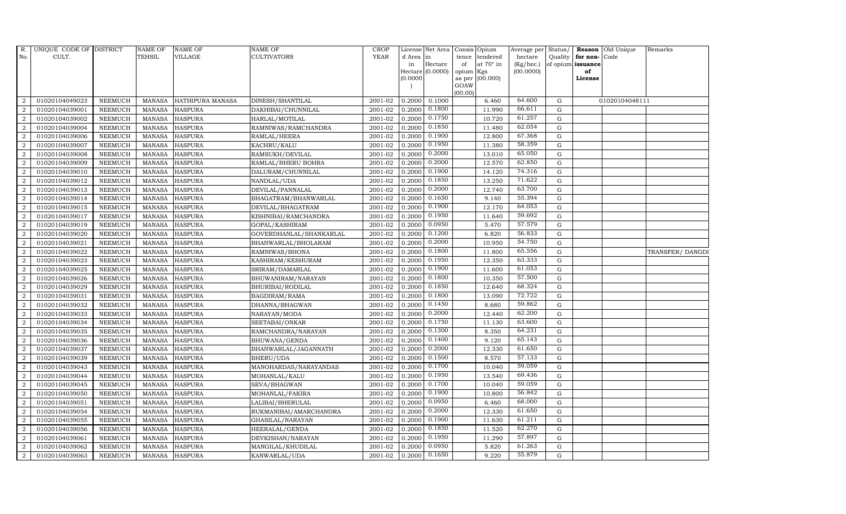| R.               | UNIQUE CODE OF DISTRICT |                | <b>NAME OF</b> | <b>NAME OF</b>   | <b>NAME OF</b>          | CROP        |           | License Net Area Consis Opium |           |                 | Average per | Status/     | Reason            | Old Unique     | Remarks         |
|------------------|-------------------------|----------------|----------------|------------------|-------------------------|-------------|-----------|-------------------------------|-----------|-----------------|-------------|-------------|-------------------|----------------|-----------------|
| No.              | CULT.                   |                | <b>TEHSIL</b>  | <b>VILLAGE</b>   | <b>CULTIVATORS</b>      | <b>YEAR</b> | d Area in |                               | tence     | tendered        | hectare     | Quality     | for non-          | Code           |                 |
|                  |                         |                |                |                  |                         |             | in        | Hectare                       | of        | at 70° in       | (Kg/hec.)   |             | of opium issuance |                |                 |
|                  |                         |                |                |                  |                         |             |           | Hectare (0.0000)              | opium Kgs |                 | (00.0000)   |             | of                |                |                 |
|                  |                         |                |                |                  |                         |             | (0.0000)  |                               | GOAW      | as per (00.000) |             |             | License           |                |                 |
|                  |                         |                |                |                  |                         |             |           |                               | (00.00)   |                 |             |             |                   |                |                 |
| $\overline{2}$   | 01020104049023          | <b>NEEMUCH</b> | MANASA         | HATHIPURA MANASA | DINESH/SHANTILAL        | 2001-02     | 0.2000    | 0.1000                        |           | 6.460           | 64.600      | ${\rm G}$   |                   | 01020104048111 |                 |
| $\overline{2}$   | 01020104039001          | <b>NEEMUCH</b> | MANASA         | <b>HASPURA</b>   | DAKHIBAI/CHUNNILAL      | 2001-02     | 0.2000    | 0.1800                        |           | 11.990          | 66.611      | G           |                   |                |                 |
| $\overline{2}$   | 01020104039002          | <b>NEEMUCH</b> | <b>MANASA</b>  | <b>HASPURA</b>   | HARLAL/MOTILAL          | 2001-02     | 0.2000    | 0.1750                        |           | 10.720          | 61.257      | G           |                   |                |                 |
| $\overline{a}$   | 01020104039004          | <b>NEEMUCH</b> | MANASA         | <b>HASPURA</b>   | RAMNIWAS/RAMCHANDRA     | 2001-02     | 0.2000    | 0.1850                        |           | 11.480          | 62.054      | $\mathbf G$ |                   |                |                 |
| 2                | 01020104039006          | <b>NEEMUCH</b> | <b>MANASA</b>  | <b>HASPURA</b>   | RAMLAL/HEERA            | 2001-02     | 0.2000    | 0.1900                        |           | 12.800          | 67.368      | $\mathbf G$ |                   |                |                 |
| $\overline{a}$   | 01020104039007          | <b>NEEMUCH</b> | MANASA         | <b>HASPURA</b>   | KACHRU/KALU             | 2001-02     | 0.2000    | 0.1950                        |           | 11.380          | 58.359      | ${\rm G}$   |                   |                |                 |
| $\overline{2}$   | 01020104039008          | <b>NEEMUCH</b> | MANASA         | <b>HASPURA</b>   | RAMSUKH/DEVILAL         | 2001-02     | 0.2000    | 0.2000                        |           | 13.010          | 65.050      | ${\rm G}$   |                   |                |                 |
| $\overline{2}$   | 01020104039009          | <b>NEEMUCH</b> | <b>MANASA</b>  | <b>HASPURA</b>   | RAMLAL/BHERU BOHRA      | 2001-02     | 0.2000    | 0.2000                        |           | 12.570          | 62.850      | $\mathbf G$ |                   |                |                 |
| $\overline{a}$   | 01020104039010          | <b>NEEMUCH</b> | MANASA         | <b>HASPURA</b>   | DALURAM/CHUNNILAL       | 2001-02     | 0.2000    | 0.1900                        |           | 14.120          | 74.316      | $\mathbf G$ |                   |                |                 |
| 2                | 01020104039012          | <b>NEEMUCH</b> | <b>MANASA</b>  | <b>HASPURA</b>   | NANDLAL/UDA             | 2001-02     | 0.2000    | 0.1850                        |           | 13.250          | 71.622      | $\mathbf G$ |                   |                |                 |
| $\overline{a}$   | 01020104039013          | <b>NEEMUCH</b> | <b>MANASA</b>  | <b>HASPURA</b>   | DEVILAL/PANNALAL        | 2001-02     | 0.2000    | 0.2000                        |           | 12.740          | 63.700      | $\mathbf G$ |                   |                |                 |
| $\overline{2}$   | 01020104039014          | <b>NEEMUCH</b> | MANASA         | <b>HASPURA</b>   | BHAGATRAM/BHANWARLAL    | 2001-02     | 0.2000    | 0.1650                        |           | 9.140           | 55.394      | $\mathbf G$ |                   |                |                 |
| $\overline{2}$   | 01020104039015          | <b>NEEMUCH</b> | <b>MANASA</b>  | <b>HASPURA</b>   | DEVILAL/BHAGATRAM       | 2001-02     | 0.2000    | 0.1900                        |           | 12.170          | 64.053      | $\mathbf G$ |                   |                |                 |
| $\overline{a}$   | 01020104039017          | <b>NEEMUCH</b> | MANASA         | <b>HASPURA</b>   | KISHNIBAI/RAMCHANDRA    | 2001-02     | 0.2000    | 0.1950                        |           | 11.640          | 59.692      | $\mathbf G$ |                   |                |                 |
| 2                | 01020104039019          | <b>NEEMUCH</b> | <b>MANASA</b>  | <b>HASPURA</b>   | GOPAL/KASHIRAM          | 2001-02     | 0.2000    | 0.0950                        |           | 5.470           | 57.579      | ${\rm G}$   |                   |                |                 |
| $\overline{a}$   | 01020104039020          | <b>NEEMUCH</b> | <b>MANASA</b>  | <b>HASPURA</b>   | GOVERDHANLAL/SHANKARLAL | 2001-02     | 0.2000    | 0.1200                        |           | 6.820           | 56.833      | ${\rm G}$   |                   |                |                 |
| 2                | 01020104039021          | <b>NEEMUCH</b> | MANASA         | <b>HASPURA</b>   | BHANWARLAL/BHOLARAM     | 2001-02     | 0.2000    | 0.2000                        |           | 10.950          | 54.750      | ${\rm G}$   |                   |                |                 |
| $\overline{2}$   | 01020104039022          | <b>NEEMUCH</b> | <b>MANASA</b>  | <b>HASPURA</b>   | RAMNIWAS/BHONA          | 2001-02     | 0.2000    | 0.1800                        |           | 11.800          | 65.556      | $\mathbf G$ |                   |                | TRANSFER/DANGDI |
| $\overline{a}$   | 01020104039023          | <b>NEEMUCH</b> | MANASA         | <b>HASPURA</b>   | KASHIRAM/KESHURAM       | 2001-02     | 0.2000    | 0.1950                        |           | 12.350          | 63.333      | $\mathbf G$ |                   |                |                 |
| 2                | 01020104039025          | <b>NEEMUCH</b> | <b>MANASA</b>  | <b>HASPURA</b>   | SRIRAM/DAMARLAL         | 2001-02     | 0.2000    | 0.1900                        |           | 11.600          | 61.053      | $\mathbf G$ |                   |                |                 |
| $\overline{a}$   | 01020104039026          | <b>NEEMUCH</b> | <b>MANASA</b>  | <b>HASPURA</b>   | BHUWANIRAM/NARAYAN      | 2001-02     | 0.2000    | 0.1800                        |           | 10.350          | 57.500      | ${\rm G}$   |                   |                |                 |
| 2                | 01020104039029          | <b>NEEMUCH</b> | MANASA         | <b>HASPURA</b>   | BHURIBAI/RODILAL        | 2001-02     | 0.2000    | 0.1850                        |           | 12.640          | 68.324      | ${\rm G}$   |                   |                |                 |
| $\overline{2}$   | 01020104039031          | <b>NEEMUCH</b> | <b>MANASA</b>  | <b>HASPURA</b>   | BAGDIRAM/RAMA           | 2001-02     | 0.2000    | 0.1800                        |           | 13.090          | 72.722      | $\mathbf G$ |                   |                |                 |
| $\boldsymbol{2}$ | 01020104039032          | <b>NEEMUCH</b> | <b>MANASA</b>  | <b>HASPURA</b>   | DHANNA/BHAGWAN          | 2001-02     | 0.2000    | 0.1450                        |           | 8.680           | 59.862      | $\mathbf G$ |                   |                |                 |
| $\overline{2}$   | 01020104039033          | <b>NEEMUCH</b> | <b>MANASA</b>  | <b>HASPURA</b>   | NARAYAN/MODA            | 2001-02     | 0.2000    | 0.2000                        |           | 12.440          | 62.200      | G           |                   |                |                 |
| $\overline{a}$   | 01020104039034          | <b>NEEMUCH</b> | <b>MANASA</b>  | <b>HASPURA</b>   | SEETABAI/ONKAR          | 2001-02     | 0.2000    | 0.1750                        |           | 11.130          | 63.600      | $\mathbf G$ |                   |                |                 |
| 2                | 01020104039035          | <b>NEEMUCH</b> | MANASA         | <b>HASPURA</b>   | RAMCHANDRA/NARAYAN      | 2001-02     | 0.2000    | 0.1300                        |           | 8.350           | 64.231      | $\mathbf G$ |                   |                |                 |
| $\overline{2}$   | 01020104039036          | <b>NEEMUCH</b> | <b>MANASA</b>  | <b>HASPURA</b>   | BHUWANA/GENDA           | 2001-02     | 0.2000    | 0.1400                        |           | 9.120           | 65.143      | $\mathbf G$ |                   |                |                 |
| $\boldsymbol{2}$ | 01020104039037          | <b>NEEMUCH</b> | <b>MANASA</b>  | <b>HASPURA</b>   | BHANWARLAL/JAGANNATH    | 2001-02     | 0.2000    | 0.2000                        |           | 12.330          | 61.650      | $\mathbf G$ |                   |                |                 |
| $\overline{2}$   | 01020104039039          | <b>NEEMUCH</b> | <b>MANASA</b>  | <b>HASPURA</b>   | BHERU/UDA               | 2001-02     | 0.2000    | 0.1500                        |           | 8.570           | 57.133      | $\mathbf G$ |                   |                |                 |
| $\overline{a}$   | 01020104039043          | <b>NEEMUCH</b> | <b>MANASA</b>  | <b>HASPURA</b>   | MANOHARDAS/NARAYANDAS   | 2001-02     | 0.2000    | 0.1700                        |           | 10.040          | 59.059      | ${\rm G}$   |                   |                |                 |
| $\overline{a}$   | 01020104039044          | <b>NEEMUCH</b> | <b>MANASA</b>  | <b>HASPURA</b>   | MOHANLAL/KALU           | 2001-02     | 0.2000    | 0.1950                        |           | 13.540          | 69.436      | ${\bf G}$   |                   |                |                 |
| $\overline{2}$   | 01020104039045          | <b>NEEMUCH</b> | <b>MANASA</b>  | <b>HASPURA</b>   | SEVA/BHAGWAN            | 2001-02     | 0.2000    | 0.1700                        |           | 10.040          | 59.059      | $\mathbf G$ |                   |                |                 |
| $\overline{2}$   | 01020104039050          | <b>NEEMUCH</b> | <b>MANASA</b>  | <b>HASPURA</b>   | MOHANLAL/FAKIRA         | 2001-02     | 0.2000    | 0.1900                        |           | 10.800          | 56.842      | $\mathbf G$ |                   |                |                 |
| 2                | 01020104039051          | <b>NEEMUCH</b> | <b>MANASA</b>  | <b>HASPURA</b>   | LALIBAI/BHERULAL        | 2001-02     | 0.2000    | 0.0950                        |           | 6.460           | 68.000      | $\mathbf G$ |                   |                |                 |
| $\overline{a}$   | 01020104039054          | <b>NEEMUCH</b> | <b>MANASA</b>  | <b>HASPURA</b>   | RUKMANIBAI/AMARCHANDRA  | 2001-02     | 0.2000    | 0.2000                        |           | 12.330          | 61.650      | ${\rm G}$   |                   |                |                 |
| $\overline{a}$   | 01020104039055          | <b>NEEMUCH</b> | MANASA         | <b>HASPURA</b>   | GHASILAL/NARAYAN        | 2001-02     | 0.2000    | 0.1900                        |           | 11.630          | 61.211      | ${\bf G}$   |                   |                |                 |
| $\overline{2}$   | 01020104039056          | <b>NEEMUCH</b> | <b>MANASA</b>  | <b>HASPURA</b>   | HEERALAL/GENDA          | 2001-02     | 0.2000    | 0.1850                        |           | 11.520          | 62.270      | G           |                   |                |                 |
| $\overline{a}$   | 01020104039061          | <b>NEEMUCH</b> | <b>MANASA</b>  | <b>HASPURA</b>   | DEVKISHAN/NARAYAN       | 2001-02     | 0.2000    | 0.1950                        |           | 11.290          | 57.897      | $\mathbf G$ |                   |                |                 |
| 2                | 01020104039062          | <b>NEEMUCH</b> | MANASA         | <b>HASPURA</b>   | MANGILAL/KHUDILAL       | 2001-02     | 0.2000    | 0.0950                        |           | 5.820           | 61.263      | G           |                   |                |                 |
| $\overline{a}$   | 01020104039063          | <b>NEEMUCH</b> |                | MANASA HASPURA   | KANWARLAL/UDA           | 2001-02     |           | $0.2000$ $0.1650$             |           | 9.220           | 55.879      | $\mathbf G$ |                   |                |                 |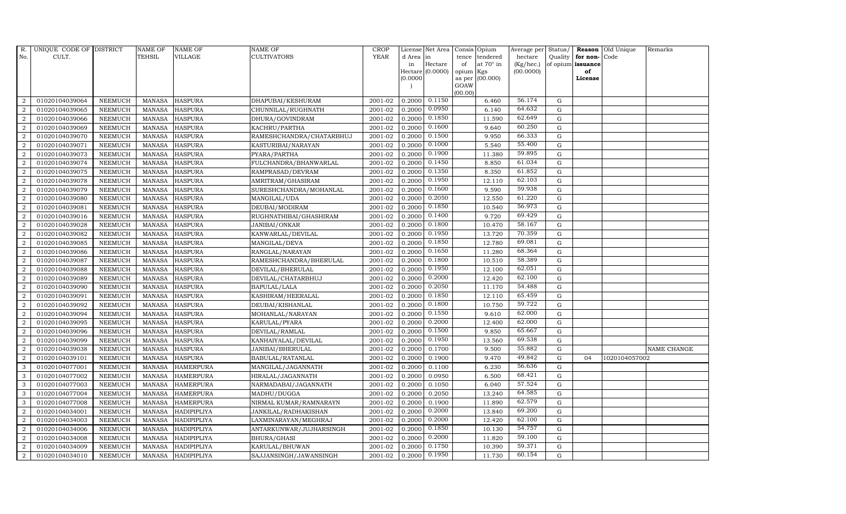| R.               | UNIQUE CODE OF DISTRICT |                | <b>NAME OF</b> | <b>NAME OF</b>     | <b>NAME OF</b>           | CROP        |           | License Net Area Consis Opium    |           |                  | Average per | Status/     | Reason            | Old Unique    | Remarks     |
|------------------|-------------------------|----------------|----------------|--------------------|--------------------------|-------------|-----------|----------------------------------|-----------|------------------|-------------|-------------|-------------------|---------------|-------------|
| No.              | CULT.                   |                | <b>TEHSIL</b>  | <b>VILLAGE</b>     | <b>CULTIVATORS</b>       | <b>YEAR</b> | d Area in |                                  | tence     | tendered         | hectare     | Quality     | for non-          | Code          |             |
|                  |                         |                |                |                    |                          |             | in        | Hectare                          | of        | at $70^\circ$ in | (Kg/hec.)   |             | of opium issuance |               |             |
|                  |                         |                |                |                    |                          |             |           | Hectare (0.0000)                 | opium Kgs |                  | (00.0000)   |             | of                |               |             |
|                  |                         |                |                |                    |                          |             | (0.0000)  |                                  | GOAW      | as per (00.000)  |             |             | License           |               |             |
|                  |                         |                |                |                    |                          |             |           |                                  | (00.00)   |                  |             |             |                   |               |             |
| $\overline{2}$   | 01020104039064          | <b>NEEMUCH</b> | MANASA         | <b>HASPURA</b>     | DHAPUBAI/KESHURAM        | 2001-02     |           | $0.2000 \quad 0.11\overline{50}$ |           | 6.460            | 56.174      | $\mathbf G$ |                   |               |             |
| $\overline{2}$   | 01020104039065          | <b>NEEMUCH</b> | MANASA         | <b>HASPURA</b>     | CHUNNILAL/RUGHNATH       | 2001-02     | 0.2000    | 0.0950                           |           | 6.140            | 64.632      | $\mathbf G$ |                   |               |             |
| 2                | 01020104039066          | <b>NEEMUCH</b> | <b>MANASA</b>  | <b>HASPURA</b>     | DHURA/GOVINDRAM          | 2001-02     | 0.2000    | 0.1850                           |           | 11.590           | 62.649      | G           |                   |               |             |
| $\overline{2}$   | 01020104039069          | <b>NEEMUCH</b> | MANASA         | <b>HASPURA</b>     | KACHRU/PARTHA            | 2001-02     | 0.2000    | 0.1600                           |           | 9.640            | 60.250      | $\mathbf G$ |                   |               |             |
| $\overline{a}$   | 01020104039070          | <b>NEEMUCH</b> | <b>MANASA</b>  | <b>HASPURA</b>     | RAMESHCHANDRA/CHATARBHUJ | 2001-02     | 0.2000    | 0.1500                           |           | 9.950            | 66.333      | $\mathbf G$ |                   |               |             |
| $\overline{2}$   | 01020104039071          | <b>NEEMUCH</b> | MANASA         | <b>HASPURA</b>     | KASTURIBAI/NARAYAN       | 2001-02     | 0.2000    | 0.1000                           |           | 5.540            | 55.400      | $\mathbf G$ |                   |               |             |
| $\overline{a}$   | 01020104039073          | <b>NEEMUCH</b> | <b>MANASA</b>  | <b>HASPURA</b>     | PYARA/PARTHA             | 2001-02     | 0.2000    | 0.1900                           |           | 11.380           | 59.895      | $\mathbf G$ |                   |               |             |
| $\overline{2}$   | 01020104039074          | <b>NEEMUCH</b> | <b>MANASA</b>  | <b>HASPURA</b>     | FULCHANDRA/BHANWARLAL    | 2001-02     | 0.2000    | 0.1450                           |           | 8.850            | 61.034      | $\mathbf G$ |                   |               |             |
| $\overline{2}$   | 01020104039075          | <b>NEEMUCH</b> | <b>MANASA</b>  | <b>HASPURA</b>     | RAMPRASAD/DEVRAM         | 2001-02     | 0.2000    | 0.1350                           |           | 8.350            | 61.852      | $\mathbf G$ |                   |               |             |
| $\overline{2}$   | 01020104039078          | <b>NEEMUCH</b> | <b>MANASA</b>  | <b>HASPURA</b>     | AMRITRAM/GHASIRAM        | 2001-02     | 0.2000    | 0.1950                           |           | 12.110           | 62.103      | $\mathbf G$ |                   |               |             |
| $\overline{a}$   | 01020104039079          | <b>NEEMUCH</b> | <b>MANASA</b>  | <b>HASPURA</b>     | SURESHCHANDRA/MOHANLAL   | 2001-02     | 0.2000    | 0.1600                           |           | 9.590            | 59.938      | ${\rm G}$   |                   |               |             |
| $\overline{2}$   | 01020104039080          | <b>NEEMUCH</b> | <b>MANASA</b>  | <b>HASPURA</b>     | MANGILAL/UDA             | 2001-02     | 0.2000    | 0.2050                           |           | 12.550           | 61.220      | G           |                   |               |             |
| 2                | 01020104039081          | <b>NEEMUCH</b> | <b>MANASA</b>  | <b>HASPURA</b>     | DEUBAI/MODIRAM           | 2001-02     | 0.2000    | 0.1850                           |           | 10.540           | 56.973      | $\mathbf G$ |                   |               |             |
| $\overline{2}$   | 01020104039016          | <b>NEEMUCH</b> | <b>MANASA</b>  | <b>HASPURA</b>     | RUGHNATHIBAI/GHASHIRAM   | 2001-02     | 0.2000    | 0.1400                           |           | 9.720            | 69.429      | G           |                   |               |             |
| $\overline{2}$   | 01020104039028          | <b>NEEMUCH</b> | <b>MANASA</b>  | <b>HASPURA</b>     | JANIBAI/ONKAR            | 2001-02     | 0.2000    | 0.1800                           |           | 10.470           | 58.167      | ${\rm G}$   |                   |               |             |
| $\overline{2}$   | 01020104039082          | <b>NEEMUCH</b> | <b>MANASA</b>  | <b>HASPURA</b>     | KANWARLAL/DEVILAL        | 2001-02     | 0.2000    | 0.1950                           |           | 13.720           | 70.359      | ${\rm G}$   |                   |               |             |
| 2                | 01020104039085          | <b>NEEMUCH</b> | <b>MANASA</b>  | <b>HASPURA</b>     | MANGILAL/DEVA            | 2001-02     | 0.2000    | 0.1850                           |           | 12.780           | 69.081      | ${\rm G}$   |                   |               |             |
| 2                | 01020104039086          | <b>NEEMUCH</b> | MANASA         | <b>HASPURA</b>     | RANGLAL/NARAYAN          | 2001-02     | 0.2000    | 0.1650                           |           | 11.280           | 68.364      | $\mathbf G$ |                   |               |             |
| $\overline{2}$   | 01020104039087          | <b>NEEMUCH</b> | <b>MANASA</b>  | <b>HASPURA</b>     | RAMESHCHANDRA/BHERULAL   | 2001-02     | 0.2000    | 0.1800                           |           | 10.510           | 58.389      | $\mathbf G$ |                   |               |             |
| $\overline{2}$   | 01020104039088          | <b>NEEMUCH</b> | <b>MANASA</b>  | <b>HASPURA</b>     | DEVILAL/BHERULAL         | 2001-02     | 0.2000    | 0.1950                           |           | 12.100           | 62.051      | $\mathbf G$ |                   |               |             |
| $\overline{2}$   | 01020104039089          | <b>NEEMUCH</b> | <b>MANASA</b>  | <b>HASPURA</b>     | DEVILAL/CHATARBHUJ       | 2001-02     | 0.2000    | 0.2000                           |           | 12.420           | 62.100      | ${\rm G}$   |                   |               |             |
| $\overline{a}$   | 01020104039090          | <b>NEEMUCH</b> | <b>MANASA</b>  | <b>HASPURA</b>     | BAPULAL/LALA             | 2001-02     | 0.2000    | 0.2050                           |           | 11.170           | 54.488      | ${\rm G}$   |                   |               |             |
| $\overline{a}$   | 01020104039091          | <b>NEEMUCH</b> | MANASA         | <b>HASPURA</b>     | KASHIRAM/HEERALAL        | 2001-02     | 0.2000    | 0.1850                           |           | 12.110           | 65.459      | $\mathbf G$ |                   |               |             |
| $\overline{2}$   | 01020104039092          | <b>NEEMUCH</b> | <b>MANASA</b>  | <b>HASPURA</b>     | DEUBAI/KISHANLAL         | 2001-02     | 0.2000    | 0.1800                           |           | 10.750           | 59.722      | $\mathbf G$ |                   |               |             |
| $\boldsymbol{2}$ | 01020104039094          | NEEMUCH        | <b>MANASA</b>  | <b>HASPURA</b>     | MOHANLAL/NARAYAN         | 2001-02     | 0.2000    | 0.1550                           |           | 9.610            | 62.000      | $\mathbf G$ |                   |               |             |
| $\overline{2}$   | 01020104039095          | <b>NEEMUCH</b> | <b>MANASA</b>  | <b>HASPURA</b>     | KARULAL/PYARA            | 2001-02     | 0.2000    | 0.2000                           |           | 12.400           | 62.000      | ${\rm G}$   |                   |               |             |
| $\overline{a}$   | 01020104039096          | <b>NEEMUCH</b> | <b>MANASA</b>  | <b>HASPURA</b>     | DEVILAL/RAMLAL           | 2001-02     | 0.2000    | 0.1500                           |           | 9.850            | 65.667      | ${\rm G}$   |                   |               |             |
| 2                | 01020104039099          | <b>NEEMUCH</b> | MANASA         | <b>HASPURA</b>     | KANHAIYALAL/DEVILAL      | 2001-02     | 0.2000    | 0.1950                           |           | 13.560           | 69.538      | $\mathbf G$ |                   |               |             |
| 2                | 01020104039038          | <b>NEEMUCH</b> | <b>MANASA</b>  | <b>HASPURA</b>     | JANIBAI/BHERULAL         | 2001-02     | 0.2000    | 0.1700                           |           | 9.500            | 55.882      | $\mathbf G$ |                   |               | NAME CHANGE |
| $\overline{2}$   | 01020104039101          | <b>NEEMUCH</b> | <b>MANASA</b>  | <b>HASPURA</b>     | BABULAL/RATANLAL         | 2001-02     | 0.2000    | 0.1900                           |           | 9.470            | 49.842      | $\mathbf G$ | 04                | 1020104057002 |             |
| 3                | 01020104077001          | <b>NEEMUCH</b> | <b>MANASA</b>  | <b>HAMERPURA</b>   | MANGILAL/JAGANNATH       | 2001-02     | 0.2000    | 0.1100                           |           | 6.230            | 56.636      | G           |                   |               |             |
| $\mathbf{3}$     | 01020104077002          | <b>NEEMUCH</b> | <b>MANASA</b>  | <b>HAMERPURA</b>   | HIRALAL/JAGANNATH        | 2001-02     | 0.2000    | 0.0950                           |           | 6.500            | 68.421      | ${\rm G}$   |                   |               |             |
| 3                | 01020104077003          | <b>NEEMUCH</b> | <b>MANASA</b>  | <b>HAMERPURA</b>   | NARMADABAI/JAGANNATH     | 2001-02     | 0.2000    | 0.1050                           |           | 6.040            | 57.524      | ${\rm G}$   |                   |               |             |
| 3                | 01020104077004          | <b>NEEMUCH</b> | <b>MANASA</b>  | <b>HAMERPURA</b>   | MADHU/DUGGA              | 2001-02     | 0.2000    | 0.2050                           |           | 13.240           | 64.585      | $\mathbf G$ |                   |               |             |
| 3                | 01020104077008          | <b>NEEMUCH</b> | <b>MANASA</b>  | <b>HAMERPURA</b>   | NIRMAL KUMAR/RAMNARAYN   | 2001-02     | 0.2000    | 0.1900                           |           | 11.890           | 62.579      | $\mathbf G$ |                   |               |             |
| $\overline{a}$   | 01020104034001          | <b>NEEMUCH</b> | <b>MANASA</b>  | <b>HADIPIPLIYA</b> | JANKILAL/RADHAKISHAN     | 2001-02     | 0.2000    | 0.2000                           |           | 13.840           | 69.200      | ${\bf G}$   |                   |               |             |
| $\overline{2}$   | 01020104034003          | <b>NEEMUCH</b> | <b>MANASA</b>  | HADIPIPLIYA        | LAXMINARAYAN/MEGHRAJ     | 2001-02     | 0.2000    | 0.2000                           |           | 12.420           | 62.100      | ${\rm G}$   |                   |               |             |
| $\overline{a}$   | 01020104034006          | <b>NEEMUCH</b> | <b>MANASA</b>  | <b>HADIPIPLIYA</b> | ANTARKUNWAR/JUJHARSINGH  | 2001-02     | 0.2000    | 0.1850                           |           | 10.130           | 54.757      | $\mathbf G$ |                   |               |             |
| $\overline{2}$   | 01020104034008          | <b>NEEMUCH</b> | <b>MANASA</b>  | HADIPIPLIYA        | BHURA/GHASI              | 2001-02     | 0.2000    | 0.2000                           |           | 11.820           | 59.100      | $\mathbf G$ |                   |               |             |
| 2                |                         |                |                |                    |                          |             |           |                                  |           |                  |             |             |                   |               |             |
|                  | 01020104034009          | <b>NEEMUCH</b> | <b>MANASA</b>  | <b>HADIPIPLIYA</b> | KARULAL/BHUWAN           | 2001-02     | 0.2000    | 0.1750                           |           | 10.390           | 59.371      | $\mathbf G$ |                   |               |             |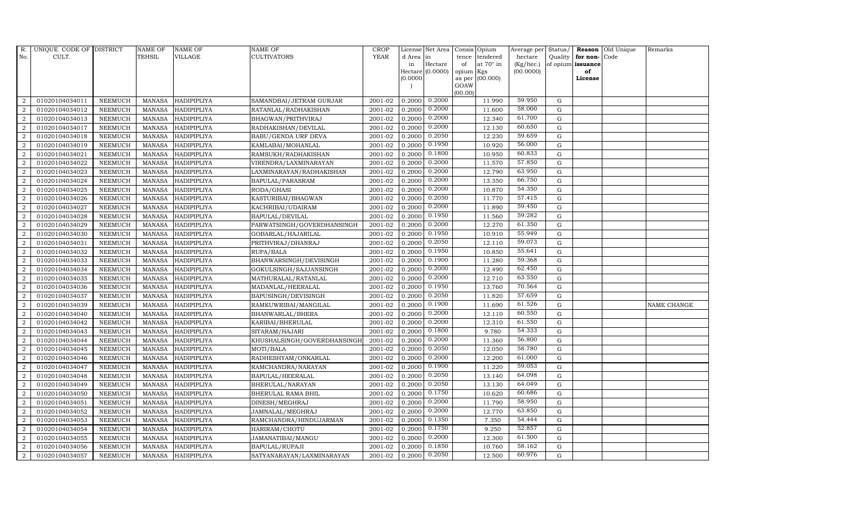| R.               | UNIQUE CODE OF DISTRICT |                | <b>NAME OF</b> | <b>NAME OF</b>     | NAME OF                     | <b>CROP</b> |           | License Net Area      |                | Consis Opium     | Average per Status/ |             |                   | Reason Old Unique | Remarks     |
|------------------|-------------------------|----------------|----------------|--------------------|-----------------------------|-------------|-----------|-----------------------|----------------|------------------|---------------------|-------------|-------------------|-------------------|-------------|
| No.              | CULT.                   |                | <b>TEHSIL</b>  | <b>VILLAGE</b>     | CULTIVATORS                 | <b>YEAR</b> | d Area in |                       | tence          | tendered         | hectare             |             | Quality for non-  | Code              |             |
|                  |                         |                |                |                    |                             |             | in        | Hectare               | of             | at $70^\circ$ in | (Kg/hec.)           |             | of opium issuance |                   |             |
|                  |                         |                |                |                    |                             |             | (0.0000)  | Hectare $(0.0000)$    | opium          | Kgs<br>(00.000)  | (00.0000)           |             | of<br>License     |                   |             |
|                  |                         |                |                |                    |                             |             |           |                       | as per<br>GOAW |                  |                     |             |                   |                   |             |
|                  |                         |                |                |                    |                             |             |           |                       | (00.00)        |                  |                     |             |                   |                   |             |
| 2                | 01020104034011          | <b>NEEMUCH</b> | <b>MANASA</b>  | HADIPIPLIYA        | SAMANDBAI/JETRAM GURJAR     | 2001-02     |           | $0.2000 \quad 0.2000$ |                | 11.990           | 59.950              | G           |                   |                   |             |
| 2                | 01020104034012          | <b>NEEMUCH</b> | <b>MANASA</b>  | HADIPIPLIYA        | RATANLAL/RADHAKISHAN        | 2001-02     | 0.2000    | 0.2000                |                | 11.600           | 58.000              | $\mathbf G$ |                   |                   |             |
| 2                | 01020104034013          | <b>NEEMUCH</b> | <b>MANASA</b>  | HADIPIPLIYA        | BHAGWAN/PRITHVIRAJ          | 2001-02     | 0.2000    | 0.2000                |                | 12.340           | 61.700              | G           |                   |                   |             |
| $\overline{2}$   | 01020104034017          | <b>NEEMUCH</b> | <b>MANASA</b>  | HADIPIPLIYA        | RADHAKISHAN/DEVILAL         | 2001-02     | 0.2000    | 0.2000                |                | 12.130           | 60.650              | G           |                   |                   |             |
| 2                | 01020104034018          | <b>NEEMUCH</b> | <b>MANASA</b>  | HADIPIPLIYA        | BABU/GENDA URF DEVA         | 2001-02     | 0.2000    | 0.2050                |                | 12.230           | 59.659              | G           |                   |                   |             |
| $\overline{2}$   | 01020104034019          | <b>NEEMUCH</b> | <b>MANASA</b>  | HADIPIPLIYA        | KAMLABAI/MOHANLAL           | 2001-02     | 0.2000    | 0.1950                |                | 10.920           | 56.000              | G           |                   |                   |             |
| $\overline{2}$   | 01020104034021          | <b>NEEMUCH</b> | <b>MANASA</b>  | HADIPIPLIYA        | RAMSUKH/RADHAKISHAN         | 2001-02     | 0.2000    | 0.1800                |                | 10.950           | 60.833              | G           |                   |                   |             |
| $\overline{2}$   | 01020104034022          | <b>NEEMUCH</b> | <b>MANASA</b>  | HADIPIPLIYA        | VIRENDRA/LAXMINARAYAN       | 2001-02     | 0.2000    | 0.2000                |                | 11.570           | 57.850              | $\mathbf G$ |                   |                   |             |
| $\overline{2}$   | 01020104034023          | <b>NEEMUCH</b> | <b>MANASA</b>  | HADIPIPLIYA        | LAXMINARAYAN/RADHAKISHAN    | 2001-02     | 0.2000    | 0.2000                |                | 12.790           | 63.950              | G           |                   |                   |             |
| $\overline{a}$   | 01020104034024          | <b>NEEMUCH</b> | <b>MANASA</b>  | HADIPIPLIYA        | BAPULAL/PARASRAM            | 2001-02     | 0.2000    | 0.2000                |                | 13.350           | 66.750              | G           |                   |                   |             |
| $\overline{2}$   | 01020104034025          | <b>NEEMUCH</b> | <b>MANASA</b>  | HADIPIPLIYA        | RODA/GHASI                  | 2001-02     | 0.2000    | 0.2000                |                | 10.870           | 54.350              | G           |                   |                   |             |
| 2                | 01020104034026          | <b>NEEMUCH</b> | <b>MANASA</b>  | HADIPIPLIYA        | KASTURIBAI/BHAGWAN          | 2001-02     | 0.2000    | 0.2050                |                | 11.770           | 57.415              | G           |                   |                   |             |
| $\overline{2}$   | 01020104034027          | <b>NEEMUCH</b> | <b>MANASA</b>  | HADIPIPLIYA        | KACHRIBAI/UDAIRAM           | 2001-02     | 0.2000    | 0.2000                |                | 11.890           | 59.450              | $\mathbf G$ |                   |                   |             |
| $\overline{2}$   | 01020104034028          | <b>NEEMUCH</b> | <b>MANASA</b>  | <b>HADIPIPLIYA</b> | BAPULAL/DEVILAL             | 2001-02     | 0.2000    | 0.1950                |                | 11.560           | 59.282              | G           |                   |                   |             |
| 2                | 01020104034029          | <b>NEEMUCH</b> | <b>MANASA</b>  | HADIPIPLIYA        | PARWATSINGH/GOVERDHANSINGH  | 2001-02     | 0.2000    | 0.2000                |                | 12.270           | 61.350              | G           |                   |                   |             |
| $\overline{2}$   | 01020104034030          | <b>NEEMUCH</b> | <b>MANASA</b>  | <b>HADIPIPLIYA</b> | GOBARLAL/HAJARILAL          | 2001-02     | 0.2000    | 0.1950                |                | 10.910           | 55.949              | G           |                   |                   |             |
| $\overline{2}$   | 01020104034031          | <b>NEEMUCH</b> | <b>MANASA</b>  | <b>HADIPIPLIYA</b> | PRITHVIRAJ/DHANRAJ          | 2001-02     | 0.2000    | 0.2050                |                | 12.110           | 59.073              | G           |                   |                   |             |
| $\overline{2}$   | 01020104034032          | <b>NEEMUCH</b> | <b>MANASA</b>  | <b>HADIPIPLIYA</b> | RUPA/BALA                   | 2001-02     | 0.2000    | 0.1950                |                | 10.850           | 55.641              | G           |                   |                   |             |
| $\overline{2}$   | 01020104034033          | <b>NEEMUCH</b> | <b>MANASA</b>  | HADIPIPLIYA        | BHANWARSINGH/DEVISINGH      | 2001-02     | 0.2000    | 0.1900                |                | 11.280           | 59.368              | G           |                   |                   |             |
| $\overline{2}$   | 01020104034034          | <b>NEEMUCH</b> | <b>MANASA</b>  | HADIPIPLIYA        | GOKULSINGH/SAJJANSINGH      | 2001-02     | 0.2000    | 0.2000                |                | 12.490           | 62.450              | G           |                   |                   |             |
| $\overline{2}$   | 01020104034035          | <b>NEEMUCH</b> | <b>MANASA</b>  | <b>HADIPIPLIYA</b> | MATHURALAL/RATANLAL         | 2001-02     | 0.2000    | 0.2000                |                | 12.710           | 63.550              | G           |                   |                   |             |
| $\boldsymbol{2}$ | 01020104034036          | <b>NEEMUCH</b> | <b>MANASA</b>  | HADIPIPLIYA        | MADANLAL/HEERALAL           | 2001-02     | 0.2000    | 0.1950                |                | 13.760           | 70.564              | G           |                   |                   |             |
| $\overline{2}$   | 01020104034037          | <b>NEEMUCH</b> | <b>MANASA</b>  | HADIPIPLIYA        | BAPUSINGH/DEVISINGH         | 2001-02     | 0.2000    | 0.2050                |                | 11.820           | 57.659              | G           |                   |                   |             |
| $\overline{2}$   | 01020104034039          | <b>NEEMUCH</b> | <b>MANASA</b>  | HADIPIPLIYA        | RAMKUWRIBAI/MANGILAL        | 2001-02     | 0.2000    | 0.1900                |                | 11.690           | 61.526              | $\mathbf G$ |                   |                   | NAME CHANGE |
| $\overline{2}$   | 01020104034040          | <b>NEEMUCH</b> | <b>MANASA</b>  | HADIPIPLIYA        | BHANWARLAL/BHERA            | 2001-02     | 0.2000    | 0.2000                |                | 12.110           | 60.550              | G           |                   |                   |             |
| 2                | 01020104034042          | <b>NEEMUCH</b> | <b>MANASA</b>  | <b>HADIPIPLIYA</b> | KARIBAI/BHERULAL            | 2001-02     | 0.2000    | 0.2000                |                | 12.310           | 61.550              | G           |                   |                   |             |
| $\overline{2}$   | 01020104034043          | <b>NEEMUCH</b> | <b>MANASA</b>  | HADIPIPLIYA        | SITARAM/HAJARI              | 2001-02     | 0.2000    | 0.1800                |                | 9.780            | 54.333              | G           |                   |                   |             |
| $\overline{2}$   | 01020104034044          | <b>NEEMUCH</b> | <b>MANASA</b>  | HADIPIPLIYA        | KHUSHALSINGH/GOVERDHANSINGH | 2001-02     | 0.2000    | 0.2000                |                | 11.360           | 56.800              | G           |                   |                   |             |
| $\overline{2}$   | 01020104034045          | <b>NEEMUCH</b> | <b>MANASA</b>  | HADIPIPLIYA        | MOTI/BALA                   | 2001-02     | 0.2000    | 0.2050                |                | 12.050           | 58.780              | $\mathbf G$ |                   |                   |             |
| $\overline{2}$   | 01020104034046          | <b>NEEMUCH</b> | <b>MANASA</b>  | HADIPIPLIYA        | RADHESHYAM/ONKARLAL         | 2001-02     | 0.2000    | 0.2000                |                | 12.200           | 61.000              | G           |                   |                   |             |
| 2                | 01020104034047          | <b>NEEMUCH</b> | <b>MANASA</b>  | <b>HADIPIPLIYA</b> | RAMCHANDRA/NARAYAN          | 2001-02     | 0.2000    | 0.1900                |                | 11.220           | 59.053              | G           |                   |                   |             |
| $\overline{2}$   | 01020104034048          | <b>NEEMUCH</b> | <b>MANASA</b>  | <b>HADIPIPLIYA</b> | BAPULAL/HEERALAL            | 2001-02     | 0.2000    | 0.2050                |                | 13.140           | 64.098              | G           |                   |                   |             |
| $\overline{2}$   | 01020104034049          | <b>NEEMUCH</b> | <b>MANASA</b>  | HADIPIPLIYA        | BHERULAL/NARAYAN            | 2001-02     | 0.2000    | 0.2050                |                | 13.130           | 64.049              | G           |                   |                   |             |
| 2                | 01020104034050          | <b>NEEMUCH</b> | <b>MANASA</b>  | HADIPIPLIYA        | BHERULAL RAMA BHIL          | 2001-02     | 0.2000    | 0.1750                |                | 10.620           | 60.686              | $\mathbf G$ |                   |                   |             |
| $\overline{2}$   | 01020104034051          | <b>NEEMUCH</b> | <b>MANASA</b>  | HADIPIPLIYA        | DINESH/MEGHRAJ              | 2001-02     | 0.2000    | 0.2000                |                | 11.790           | 58.950              | $\mathbf G$ |                   |                   |             |
| $\overline{2}$   | 01020104034052          | <b>NEEMUCH</b> | <b>MANASA</b>  | <b>HADIPIPLIYA</b> | JAMNALAL/MEGHRAJ            | 2001-02     | 0.2000    | 0.2000                |                | 12.770           | 63.850              | G           |                   |                   |             |
| $\overline{2}$   | 01020104034053          | <b>NEEMUCH</b> | <b>MANASA</b>  | <b>HADIPIPLIYA</b> | RAMCHANDRA/HINDUJARMAN      | 2001-02     | 0.2000    | 0.1350                |                | 7.350            | 54.444              | G           |                   |                   |             |
| $\overline{2}$   | 01020104034054          | <b>NEEMUCH</b> | <b>MANASA</b>  | HADIPIPLIYA        | HARIRAM/CHOTU               | 2001-02     | 0.2000    | 0.1750                |                | 9.250            | 52.857              | G           |                   |                   |             |
| 2                | 01020104034055          | <b>NEEMUCH</b> | <b>MANASA</b>  | <b>HADIPIPLIYA</b> | JAMANATIBAI/MANGU           | 2001-02     | 0.2000    | 0.2000                |                | 12.300           | 61.500              | G           |                   |                   |             |
| $\overline{2}$   | 01020104034056          | <b>NEEMUCH</b> | <b>MANASA</b>  | <b>HADIPIPLIYA</b> | BAPULAL/RUPAJI              | 2001-02     | 0.2000    | 0.1850                |                | 10.760           | 58.162              | $\mathbf G$ |                   |                   |             |
| $\overline{2}$   | 01020104034057          | <b>NEEMUCH</b> | MANASA         | HADIPIPLIYA        | SATYANARAYAN/LAXMINARAYAN   | 2001-02     | 0.2000    | 0.2050                |                | 12.500           | 60.976              | G           |                   |                   |             |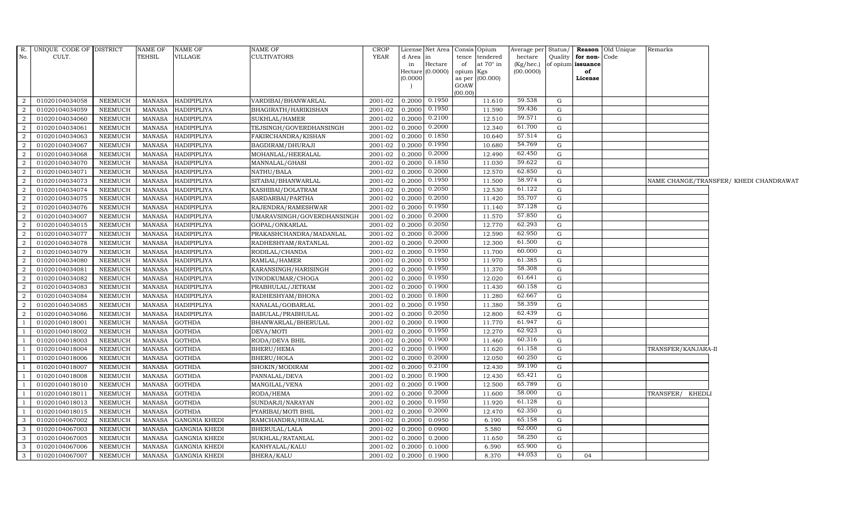|                | R. UNIQUE CODE OF DISTRICT |                | NAME OF       | <b>NAME OF</b>       | <b>NAME OF</b>             | <b>CROP</b> |           | License Net Area   Consis   Opium |           |                  | Average per Status/ |              |                      | <b>Reason</b> Old Unique | Remarks             |                                        |
|----------------|----------------------------|----------------|---------------|----------------------|----------------------------|-------------|-----------|-----------------------------------|-----------|------------------|---------------------|--------------|----------------------|--------------------------|---------------------|----------------------------------------|
| No.            | CULT.                      |                | TEHSIL        | VILLAGE              | <b>CULTIVATORS</b>         | YEAR        | d Area in |                                   |           | tence tendered   | hectare             |              | Quality for non-Code |                          |                     |                                        |
|                |                            |                |               |                      |                            |             | in        | Hectare                           | of        | at $70^\circ$ in | (Kg/hec.)           |              | of opium issuance    |                          |                     |                                        |
|                |                            |                |               |                      |                            |             |           | Hectare (0.0000)                  | opium Kgs |                  | (00.0000)           |              | of                   |                          |                     |                                        |
|                |                            |                |               |                      |                            |             | (0.0000)  |                                   | GOAW      | as per (00.000)  |                     |              | License              |                          |                     |                                        |
|                |                            |                |               |                      |                            |             |           |                                   | (00.00)   |                  |                     |              |                      |                          |                     |                                        |
| 2              | 01020104034058             | <b>NEEMUCH</b> |               | MANASA HADIPIPLIYA   | VARDIBAI/BHANWARLAL        | 2001-02     |           | $0.2000$ $0.1950$                 |           | 11.610           | 59.538              | G            |                      |                          |                     |                                        |
| 2              | 01020104034059             | <b>NEEMUCH</b> | MANASA        | <b>HADIPIPLIYA</b>   | BHAGIRATH/HARIKISHAN       | 2001-02     | 0.2000    | 0.1950                            |           | 11.590           | 59.436              | G            |                      |                          |                     |                                        |
| $\overline{2}$ | 01020104034060             | <b>NEEMUCH</b> | <b>MANASA</b> | <b>HADIPIPLIYA</b>   | SUKHLAL/HAMER              | 2001-02     | 0.2000    | 0.2100                            |           | 12.510           | 59.571              | G            |                      |                          |                     |                                        |
| $\overline{2}$ | 01020104034061             | <b>NEEMUCH</b> | <b>MANASA</b> | <b>HADIPIPLIYA</b>   | TEJSINGH/GOVERDHANSINGH    | 2001-02     | 0.2000    | 0.2000                            |           | 12.340           | 61.700              | G            |                      |                          |                     |                                        |
| 2              | 01020104034063             | <b>NEEMUCH</b> | MANASA        | HADIPIPLIYA          | FAKIRCHANDRA/KISHAN        | 2001-02     | 0.2000    | 0.1850                            |           | 10.640           | 57.514              | G            |                      |                          |                     |                                        |
| $\overline{a}$ | 01020104034067             | NEEMUCH        | MANASA        | <b>HADIPIPLIYA</b>   | BAGDIRAM/DHURAJI           | 2001-02     | 0.2000    | 0.1950                            |           | 10.680           | 54.769              | G            |                      |                          |                     |                                        |
| $\overline{a}$ | 01020104034068             | <b>NEEMUCH</b> | MANASA        | <b>HADIPIPLIYA</b>   | MOHANLAL/HEERALAL          | 2001-02     | 0.2000    | 0.2000                            |           | 12.490           | 62.450              | G            |                      |                          |                     |                                        |
| $\overline{a}$ | 01020104034070             | <b>NEEMUCH</b> | <b>MANASA</b> | <b>HADIPIPLIYA</b>   | MANNALAL/GHASI             | 2001-02     | 0.2000    | 0.1850                            |           | 11.030           | 59.622              | G            |                      |                          |                     |                                        |
| $\overline{2}$ | 01020104034071             | <b>NEEMUCH</b> | <b>MANASA</b> | <b>HADIPIPLIYA</b>   | NATHU/BALA                 | 2001-02     | 0.2000    | 0.2000                            |           | 12.570           | 62.850              | G            |                      |                          |                     |                                        |
| $\overline{2}$ | 01020104034073             | <b>NEEMUCH</b> | <b>MANASA</b> | HADIPIPLIYA          | SITABAI/BHANWARLAL         | 2001-02     | 0.2000    | 0.1950                            |           | 11.500           | 58.974              | G            |                      |                          |                     | NAME CHANGE/TRANSFER/ KHEDI CHANDRAWAT |
| $\overline{a}$ | 01020104034074             | <b>NEEMUCH</b> | MANASA        | <b>HADIPIPLIYA</b>   | KASHIBAI/DOLATRAM          | 2001-02     | 0.2000    | 0.2050                            |           | 12.530           | 61.122              | G            |                      |                          |                     |                                        |
| 2              | 01020104034075             | <b>NEEMUCH</b> | MANASA        | HADIPIPLIYA          | SARDARBAI/PARTHA           | 2001-02     | 0.2000    | 0.2050                            |           | 11.420           | 55.707              | $\mathbf{G}$ |                      |                          |                     |                                        |
| 2              | 01020104034076             | <b>NEEMUCH</b> | MANASA        | <b>HADIPIPLIYA</b>   | RAJENDRA/RAMESHWAR         | 2001-02     | 0.2000    | 0.1950                            |           | 11.140           | 57.128              | G            |                      |                          |                     |                                        |
| $\overline{a}$ | 01020104034007             | <b>NEEMUCH</b> | <b>MANASA</b> | <b>HADIPIPLIYA</b>   | UMARAVSINGH/GOVERDHANSINGH | 2001-02     | 0.2000    | 0.2000                            |           | 11.570           | 57.850              | G            |                      |                          |                     |                                        |
| $\overline{2}$ | 01020104034015             | <b>NEEMUCH</b> | <b>MANASA</b> | HADIPIPLIYA          | GOPAL/ONKARLAL             | 2001-02     | 0.2000    | 0.2050                            |           | 12.770           | 62.293              | G            |                      |                          |                     |                                        |
| $\overline{a}$ | 01020104034077             | <b>NEEMUCH</b> | MANASA        | <b>HADIPIPLIYA</b>   | PRAKASHCHANDRA/MADANLAL    | 2001-02     | 0.2000    | 0.2000                            |           | 12.590           | 62.950              | G            |                      |                          |                     |                                        |
| $\overline{a}$ | 01020104034078             | <b>NEEMUCH</b> | MANASA        | <b>HADIPIPLIYA</b>   | RADHESHYAM/RATANLAL        | 2001-02     | 0.2000    | 0.2000                            |           | 12.300           | 61.500              | G            |                      |                          |                     |                                        |
| $\overline{a}$ | 01020104034079             | NEEMUCH        | MANASA        | <b>HADIPIPLIYA</b>   | RODILAL/CHANDA             | 2001-02     | 0.2000    | 0.1950                            |           | 11.700           | 60.000              | G            |                      |                          |                     |                                        |
| $\overline{a}$ | 01020104034080             | <b>NEEMUCH</b> | MANASA        | <b>HADIPIPLIYA</b>   | RAMLAL/HAMER               | 2001-02     | 0.2000    | 0.1950                            |           | 11.970           | 61.385              | G            |                      |                          |                     |                                        |
| $\overline{a}$ | 01020104034081             | <b>NEEMUCH</b> | <b>MANASA</b> | HADIPIPLIYA          | KARANSINGH/HARISINGH       | 2001-02     | 0.2000    | 0.1950                            |           | 11.370           | 58.308              | G            |                      |                          |                     |                                        |
| $\overline{a}$ | 01020104034082             | <b>NEEMUCH</b> | MANASA        | <b>HADIPIPLIYA</b>   | VINODKUMAR/CHOGA           | 2001-02     | 0.2000    | 0.1950                            |           | 12.020           | 61.641              | G            |                      |                          |                     |                                        |
| $\overline{a}$ | 01020104034083             | <b>NEEMUCH</b> | MANASA        | <b>HADIPIPLIYA</b>   | PRABHULAL/JETRAM           | 2001-02     | 0.2000    | 0.1900                            |           | 11.430           | 60.158              | G            |                      |                          |                     |                                        |
| 2              | 01020104034084             | NEEMUCH        | MANASA        | HADIPIPLIYA          | RADHESHYAM/BHONA           | 2001-02     | 0.2000    | 0.1800                            |           | 11.280           | 62.667              | G            |                      |                          |                     |                                        |
| 2              | 01020104034085             | <b>NEEMUCH</b> | <b>MANASA</b> | <b>HADIPIPLIYA</b>   | NANALAL/GOBARLAL           | 2001-02     | 0.2000    | 0.1950                            |           | 11.380           | 58.359              | G            |                      |                          |                     |                                        |
| $\overline{2}$ | 01020104034086             | <b>NEEMUCH</b> | <b>MANASA</b> | HADIPIPLIYA          | BABULAL/PRABHULAL          | 2001-02     | 0.2000    | 0.2050                            |           | 12.800           | 62.439              | G            |                      |                          |                     |                                        |
| -1             | 01020104018001             | <b>NEEMUCH</b> | <b>MANASA</b> | <b>GOTHDA</b>        | BHANWARLAL/BHERULAL        | 2001-02     | 0.2000    | 0.1900                            |           | 11.770           | 61.947              | G            |                      |                          |                     |                                        |
| -1             | 01020104018002             | <b>NEEMUCH</b> | MANASA        | <b>GOTHDA</b>        | DEVA/MOTI                  | 2001-02     | 0.2000    | 0.1950                            |           | 12.270           | 62.923              | G            |                      |                          |                     |                                        |
| -1             | 01020104018003             | <b>NEEMUCH</b> | <b>MANASA</b> | <b>GOTHDA</b>        | RODA/DEVA BHIL             | 2001-02     | 0.2000    | 0.1900                            |           | 11.460           | 60.316              | G            |                      |                          |                     |                                        |
| $\overline{1}$ | 01020104018004             | <b>NEEMUCH</b> | MANASA        | <b>GOTHDA</b>        | BHERU/HEMA                 | 2001-02     | 0.2000    | 0.1900                            |           | 11.620           | 61.158              | ${\rm G}$    |                      |                          | TRANSFER/KANJARA-II |                                        |
|                | 01020104018006             | <b>NEEMUCH</b> | <b>MANASA</b> | <b>GOTHDA</b>        | BHERU/HOLA                 | 2001-02     | 0.2000    | 0.2000                            |           | 12.050           | 60.250              | G            |                      |                          |                     |                                        |
|                | 01020104018007             | <b>NEEMUCH</b> | <b>MANASA</b> | <b>GOTHDA</b>        | SHOKIN/MODIRAM             | 2001-02     | 0.2000    | 0.2100                            |           | 12.430           | 59.190              | G            |                      |                          |                     |                                        |
| -1             | 01020104018008             | <b>NEEMUCH</b> | <b>MANASA</b> | <b>GOTHDA</b>        | PANNALAL/DEVA              | 2001-02     | 0.2000    | 0.1900                            |           | 12.430           | 65.421              | G            |                      |                          |                     |                                        |
| -1             | 01020104018010             | <b>NEEMUCH</b> | MANASA        | <b>GOTHDA</b>        | MANGILAL/VENA              | 2001-02     | 0.2000    | 0.1900                            |           | 12.500           | 65.789              | G            |                      |                          |                     |                                        |
| $\overline{1}$ | 01020104018011             | <b>NEEMUCH</b> | MANASA        | <b>GOTHDA</b>        | RODA/HEMA                  | 2001-02     | 0.2000    | 0.2000                            |           | 11.600           | 58.000              | ${\rm G}$    |                      |                          | TRANSFER/ KHEDL     |                                        |
|                | 01020104018013             | <b>NEEMUCH</b> | <b>MANASA</b> | <b>GOTHDA</b>        | SUNDARJI/NARAYAN           | 2001-02     | 0.2000    | 0.1950                            |           | 11.920           | 61.128              | G            |                      |                          |                     |                                        |
|                | 01020104018015             | <b>NEEMUCH</b> | <b>MANASA</b> | <b>GOTHDA</b>        | PYARIBAI/MOTI BHIL         | 2001-02     | 0.2000    | 0.2000                            |           | 12.470           | 62.350              | $\mathbf G$  |                      |                          |                     |                                        |
| $\mathbf{3}$   | 01020104067002             | <b>NEEMUCH</b> | <b>MANASA</b> | <b>GANGNIA KHEDI</b> | RAMCHANDRA/HIRALAL         | 2001-02     | 0.2000    | 0.0950                            |           | 6.190            | 65.158              | G            |                      |                          |                     |                                        |
| $\mathbf{3}$   | 01020104067003             | <b>NEEMUCH</b> | MANASA        | <b>GANGNIA KHEDI</b> | BHERULAL/LALA              | 2001-02     | 0.2000    | 0.0900                            |           | 5.580            | 62.000              | G            |                      |                          |                     |                                        |
| $\mathbf{3}$   | 01020104067005             | <b>NEEMUCH</b> | MANASA        | <b>GANGNIA KHEDI</b> | SUKHLAL/RATANLAL           | 2001-02     | 0.2000    | 0.2000                            |           | 11.650           | 58.250              | G            |                      |                          |                     |                                        |
| 3              | 01020104067006             | <b>NEEMUCH</b> | <b>MANASA</b> | <b>GANGNIA KHEDI</b> | KANHYALAL/KALU             | 2001-02     | 0.2000    | 0.1000                            |           | 6.590            | 65.900              | G            |                      |                          |                     |                                        |
| 3              | 01020104067007             | <b>NEEMUCH</b> | MANASA        | <b>GANGNIA KHEDI</b> | BHERA/KALU                 | 2001-02     | 0.2000    | 0.1900                            |           | 8.370            | 44.053              | G            | 04                   |                          |                     |                                        |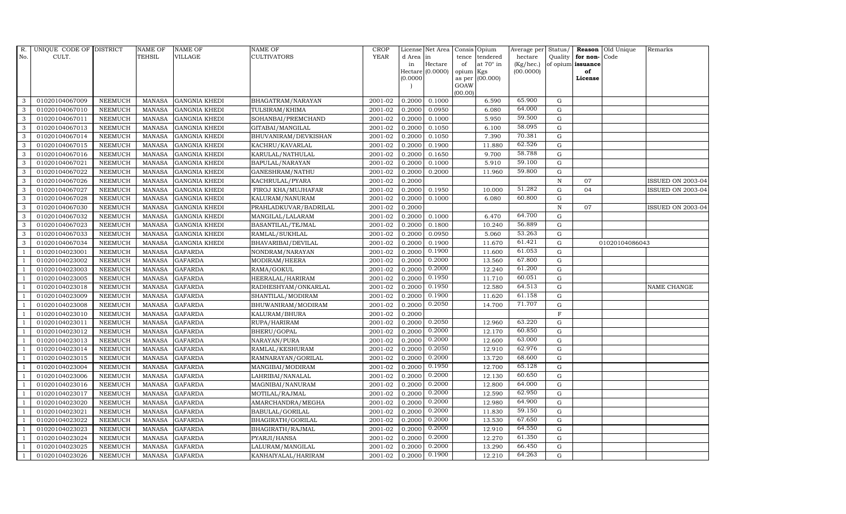| R.             | UNIQUE CODE OF DISTRICT |                | <b>NAME OF</b> | <b>NAME OF</b>       | <b>NAME OF</b>        | <b>CROP</b> |           | License Net Area            |                 | Consis Opium     | Average per            | Status/     |                         | Reason Old Unique | Remarks                  |
|----------------|-------------------------|----------------|----------------|----------------------|-----------------------|-------------|-----------|-----------------------------|-----------------|------------------|------------------------|-------------|-------------------------|-------------------|--------------------------|
| No.            | CULT.                   |                | <b>TEHSIL</b>  | VILLAGE              | CULTIVATORS           | <b>YEAR</b> | d Area in |                             | tence           | tendered         | hectare                | Quality     | for non-                | Code              |                          |
|                |                         |                |                |                      |                       |             | in        | Hectare<br>Hectare (0.0000) | of<br>opium Kgs | at $70^\circ$ in | (Kg/hec.)<br>(00.0000) |             | of opium issuance<br>of |                   |                          |
|                |                         |                |                |                      |                       |             | (0.0000)  |                             |                 | as per (00.000)  |                        |             | License                 |                   |                          |
|                |                         |                |                |                      |                       |             |           |                             | GOAW            |                  |                        |             |                         |                   |                          |
| 3              | 01020104067009          | <b>NEEMUCH</b> | MANASA         | <b>GANGNIA KHEDI</b> | BHAGATRAM/NARAYAN     | 2001-02     | 0.2000    | 0.1000                      | (00.00)         | 6.590            | 65.900                 | G           |                         |                   |                          |
| 3              | 01020104067010          | <b>NEEMUCH</b> | <b>MANASA</b>  | <b>GANGNIA KHEDI</b> | TULSIRAM/KHIMA        | 2001-02     | 0.2000    | 0.0950                      |                 | 6.080            | 64.000                 | G           |                         |                   |                          |
| 3              | 01020104067011          | <b>NEEMUCH</b> | <b>MANASA</b>  | <b>GANGNIA KHEDI</b> | SOHANBAI/PREMCHAND    | 2001-02     | 0.2000    | 0.1000                      |                 | 5.950            | 59.500                 | G           |                         |                   |                          |
| 3              | 01020104067013          | <b>NEEMUCH</b> | <b>MANASA</b>  | <b>GANGNIA KHEDI</b> | GITABAI/MANGILAL      | 2001-02     | 0.2000    | 0.1050                      |                 | 6.100            | 58.095                 | G           |                         |                   |                          |
| 3              | 01020104067014          | <b>NEEMUCH</b> | <b>MANASA</b>  | <b>GANGNIA KHEDI</b> | BHUVANIRAM/DEVKISHAN  | 2001-02     | 0.2000    | 0.1050                      |                 | 7.390            | 70.381                 | G           |                         |                   |                          |
| 3              | 01020104067015          | <b>NEEMUCH</b> | MANASA         | <b>GANGNIA KHEDI</b> | KACHRU/KAVARLAL       | 2001-02     | 0.2000    | 0.1900                      |                 | 11.880           | 62.526                 | G           |                         |                   |                          |
| $\mathbf{3}$   | 01020104067016          | <b>NEEMUCH</b> | <b>MANASA</b>  | <b>GANGNIA KHEDI</b> | KARULAL/NATHULAL      | 2001-02     | 0.2000    | 0.1650                      |                 | 9.700            | 58.788                 | G           |                         |                   |                          |
| $\mathbf{3}$   | 01020104067021          | <b>NEEMUCH</b> | <b>MANASA</b>  | <b>GANGNIA KHEDI</b> | BAPULAL/NARAYAN       | 2001-02     | 0.2000    | 0.1000                      |                 | 5.910            | 59.100                 | G           |                         |                   |                          |
| 3              | 01020104067022          | <b>NEEMUCH</b> | <b>MANASA</b>  | <b>GANGNIA KHEDI</b> | GANESHRAM/NATHU       | 2001-02     | 0.2000    | 0.2000                      |                 | 11.960           | 59.800                 | G           |                         |                   |                          |
| 3              | 01020104067026          | <b>NEEMUCH</b> | <b>MANASA</b>  | <b>GANGNIA KHEDI</b> | KACHRULAL/PYARA       | 2001-02     | 0.2000    |                             |                 |                  |                        | ${\bf N}$   | 07                      |                   | <b>ISSUED ON 2003-04</b> |
| 3              | 01020104067027          | <b>NEEMUCH</b> | <b>MANASA</b>  | <b>GANGNIA KHEDI</b> | FIROJ KHA/MUJHAFAR    | 2001-02     | 0.2000    | 0.1950                      |                 | 10.000           | 51.282                 | G           | 04                      |                   | <b>ISSUED ON 2003-04</b> |
| 3              | 01020104067028          | <b>NEEMUCH</b> | <b>MANASA</b>  | <b>GANGNIA KHEDI</b> | KALURAM/NANURAM       | 2001-02     | 0.2000    | 0.1000                      |                 | 6.080            | 60.800                 | G           |                         |                   |                          |
| 3              | 01020104067030          | <b>NEEMUCH</b> | <b>MANASA</b>  | <b>GANGNIA KHEDI</b> | PRAHLADKUVAR/BADRILAL | 2001-02     | 0.2000    |                             |                 |                  |                        | $\,$ N      | 07                      |                   | <b>ISSUED ON 2003-04</b> |
| 3              | 01020104067032          | <b>NEEMUCH</b> | <b>MANASA</b>  | <b>GANGNIA KHEDI</b> | MANGILAL/LALARAM      | 2001-02     | 0.2000    | 0.1000                      |                 | 6.470            | 64.700                 | G           |                         |                   |                          |
| 3              | 01020104067023          | <b>NEEMUCH</b> | <b>MANASA</b>  | <b>GANGNIA KHEDI</b> | BASANTILAL/TEJMAL     | 2001-02     | 0.2000    | 0.1800                      |                 | 10.240           | 56.889                 | G           |                         |                   |                          |
| 3              | 01020104067033          | <b>NEEMUCH</b> | <b>MANASA</b>  | <b>GANGNIA KHEDI</b> | RAMLAL/SUKHLAL        | 2001-02     | 0.2000    | 0.0950                      |                 | 5.060            | 53.263                 | G           |                         |                   |                          |
| 3              | 01020104067034          | <b>NEEMUCH</b> | <b>MANASA</b>  | <b>GANGNIA KHEDI</b> | BHAVARIBAI/DEVILAL    | 2001-02     | 0.2000    | 0.1900                      |                 | 11.670           | 61.421                 | G           |                         | 01020104086043    |                          |
| $\overline{1}$ | 01020104023001          | <b>NEEMUCH</b> | <b>MANASA</b>  | <b>GAFARDA</b>       | NONDRAM/NARAYAN       | 2001-02     | 0.2000    | 0.1900                      |                 | 11.600           | 61.053                 | G           |                         |                   |                          |
|                | 01020104023002          | <b>NEEMUCH</b> | <b>MANASA</b>  | <b>GAFARDA</b>       | MODIRAM/HEERA         | 2001-02     | 0.2000    | 0.2000                      |                 | 13.560           | 67.800                 | G           |                         |                   |                          |
|                | 01020104023003          | <b>NEEMUCH</b> | <b>MANASA</b>  | <b>GAFARDA</b>       | RAMA/GOKUL            | 2001-02     | 0.2000    | 0.2000                      |                 | 12.240           | 61.200                 | G           |                         |                   |                          |
| 1              | 01020104023005          | <b>NEEMUCH</b> | <b>MANASA</b>  | <b>GAFARDA</b>       | HEERALAL/HARIRAM      | 2001-02     | 0.2000    | 0.1950                      |                 | 11.710           | 60.051                 | G           |                         |                   |                          |
| $\overline{1}$ | 01020104023018          | <b>NEEMUCH</b> | <b>MANASA</b>  | <b>GAFARDA</b>       | RADHESHYAM/ONKARLAL   | 2001-02     | 0.2000    | 0.1950                      |                 | 12.580           | 64.513                 | G           |                         |                   | <b>NAME CHANGE</b>       |
| $\overline{1}$ | 01020104023009          | <b>NEEMUCH</b> | <b>MANASA</b>  | <b>GAFARDA</b>       | SHANTILAL/MODIRAM     | 2001-02     | 0.2000    | 0.1900                      |                 | 11.620           | 61.158                 | G           |                         |                   |                          |
| $\overline{1}$ | 01020104023008          | <b>NEEMUCH</b> | <b>MANASA</b>  | <b>GAFARDA</b>       | BHUWANIRAM/MODIRAM    | 2001-02     | 0.2000    | 0.2050                      |                 | 14.700           | 71.707                 | $\mathbf G$ |                         |                   |                          |
|                | 01020104023010          | <b>NEEMUCH</b> | <b>MANASA</b>  | <b>GAFARDA</b>       | KALURAM/BHURA         | 2001-02     | 0.2000    |                             |                 |                  |                        | F           |                         |                   |                          |
| -1             | 01020104023011          | <b>NEEMUCH</b> | <b>MANASA</b>  | <b>GAFARDA</b>       | RUPA/HARIRAM          | 2001-02     | 0.2000    | 0.2050                      |                 | 12.960           | 63.220                 | G           |                         |                   |                          |
| -1             | 01020104023012          | <b>NEEMUCH</b> | <b>MANASA</b>  | <b>GAFARDA</b>       | BHERU/GOPAL           | 2001-02     | 0.2000    | 0.2000                      |                 | 12.170           | 60.850                 | G           |                         |                   |                          |
| $\overline{1}$ | 01020104023013          | <b>NEEMUCH</b> | <b>MANASA</b>  | <b>GAFARDA</b>       | NARAYAN/PURA          | 2001-02     | 0.2000    | 0.2000                      |                 | 12.600           | 63.000                 | G           |                         |                   |                          |
| $\overline{1}$ | 01020104023014          | <b>NEEMUCH</b> | <b>MANASA</b>  | <b>GAFARDA</b>       | RAMLAL/KESHURAM       | 2001-02     | 0.2000    | 0.2050                      |                 | 12.910           | 62.976                 | G           |                         |                   |                          |
|                | 01020104023015          | <b>NEEMUCH</b> | <b>MANASA</b>  | <b>GAFARDA</b>       | RAMNARAYAN/GORILAL    | 2001-02     | 0.2000    | 0.2000                      |                 | 13.720           | 68.600                 | G           |                         |                   |                          |
| $\overline{1}$ | 01020104023004          | <b>NEEMUCH</b> | <b>MANASA</b>  | <b>GAFARDA</b>       | MANGIBAI/MODIRAM      | 2001-02     | 0.2000    | 0.1950                      |                 | 12.700           | 65.128                 | G           |                         |                   |                          |
| -1             | 01020104023006          | <b>NEEMUCH</b> | <b>MANASA</b>  | <b>GAFARDA</b>       | LAHRIBAI/NANALAL      | 2001-02     | 0.2000    | 0.2000                      |                 | 12.130           | 60.650                 | G           |                         |                   |                          |
| $\overline{1}$ | 01020104023016          | <b>NEEMUCH</b> | MANASA         | <b>GAFARDA</b>       | MAGNIBAI/NANURAM      | 2001-02     | 0.2000    | 0.2000                      |                 | 12.800           | 64.000                 | G           |                         |                   |                          |
| $\overline{1}$ | 01020104023017          | <b>NEEMUCH</b> | <b>MANASA</b>  | <b>GAFARDA</b>       | MOTILAL/RAJMAL        | 2001-02     | 0.2000    | 0.2000                      |                 | 12.590           | 62.950                 | G           |                         |                   |                          |
|                | 01020104023020          | <b>NEEMUCH</b> | <b>MANASA</b>  | <b>GAFARDA</b>       | AMARCHANDRA/MEGHA     | 2001-02     | 0.2000    | 0.2000                      |                 | 12.980           | 64.900                 | G           |                         |                   |                          |
| $\overline{1}$ | 01020104023021          | <b>NEEMUCH</b> | <b>MANASA</b>  | <b>GAFARDA</b>       | BABULAL/GORILAL       | 2001-02     | 0.2000    | 0.2000                      |                 | 11.830           | 59.150                 | G           |                         |                   |                          |
| $\overline{1}$ | 01020104023022          | <b>NEEMUCH</b> | <b>MANASA</b>  | <b>GAFARDA</b>       | BHAGIRATH/GORILAL     | 2001-02     | 0.2000    | 0.2000                      |                 | 13.530           | 67.650                 | G           |                         |                   |                          |
| $\overline{1}$ | 01020104023023          | <b>NEEMUCH</b> | MANASA         | <b>GAFARDA</b>       | BHAGIRATH / RAJMAL    | 2001-02     | 0.2000    | 0.2000                      |                 | 12.910           | 64.550                 | G           |                         |                   |                          |
| $\overline{1}$ | 01020104023024          | <b>NEEMUCH</b> | <b>MANASA</b>  | <b>GAFARDA</b>       | PYARJI/HANSA          | 2001-02     | 0.2000    | 0.2000                      |                 | 12.270           | 61.350                 | G           |                         |                   |                          |
|                | 01020104023025          | <b>NEEMUCH</b> | <b>MANASA</b>  | <b>GAFARDA</b>       | LALURAM/MANGILAL      | 2001-02     | 0.2000    | 0.2000                      |                 | 13.290           | 66.450                 | G           |                         |                   |                          |
| $\mathbf{1}$   | 01020104023026          | <b>NEEMUCH</b> | MANASA         | <b>GAFARDA</b>       | KANHAIYALAL/HARIRAM   | 2001-02     | 0.2000    | 0.1900                      |                 | 12.210           | 64.263                 | G           |                         |                   |                          |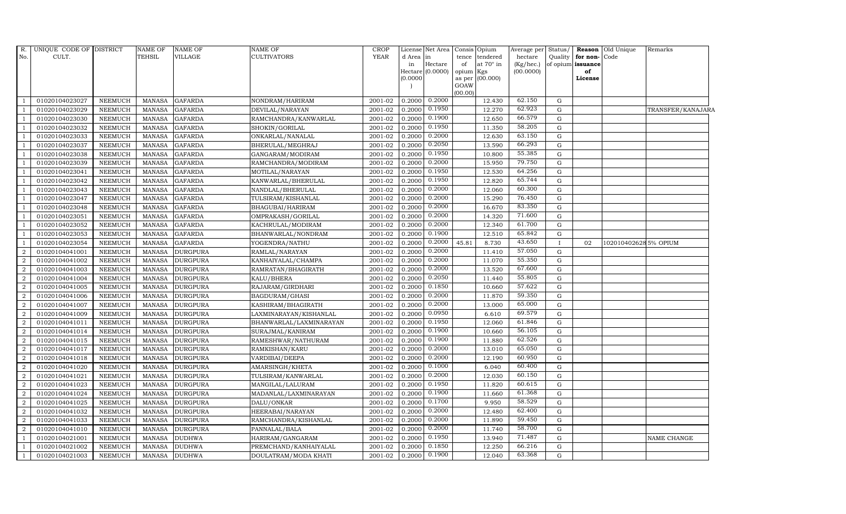| R.               | UNIQUE CODE OF DISTRICT |                | NAME OF       | <b>NAME OF</b>  | <b>NAME OF</b>           | <b>CROP</b> |          | License Net Area Consis Opium |                 |                  | Average per               | Status/      |                         | <b>Reason</b> Old Unique | Remarks           |
|------------------|-------------------------|----------------|---------------|-----------------|--------------------------|-------------|----------|-------------------------------|-----------------|------------------|---------------------------|--------------|-------------------------|--------------------------|-------------------|
| No.              | CULT.                   |                | <b>TEHSIL</b> | <b>VILLAGE</b>  | <b>CULTIVATORS</b>       | <b>YEAR</b> | d Area   | $\mathop{\mathrm{in}}$        | tence           | tendered         | hectare                   | Quality      | for non-Code            |                          |                   |
|                  |                         |                |               |                 |                          |             | in       | Hectare<br>Hectare (0.0000)   | of<br>opium Kgs | at $70^\circ$ in | $(Kg/$ hec.)<br>(00.0000) |              | of opium issuance<br>of |                          |                   |
|                  |                         |                |               |                 |                          |             | (0.0000) |                               | as per          | (00.000)         |                           |              | License                 |                          |                   |
|                  |                         |                |               |                 |                          |             |          |                               | GOAW            |                  |                           |              |                         |                          |                   |
|                  |                         |                |               |                 |                          |             |          |                               | (00.00)         |                  |                           |              |                         |                          |                   |
|                  | 01020104023027          | NEEMUCH        | <b>MANASA</b> | <b>GAFARDA</b>  | NONDRAM/HARIRAM          | 2001-02     | 0.2000   | 0.2000                        |                 | 12.430           | 62.150                    | G            |                         |                          |                   |
|                  | 01020104023029          | <b>NEEMUCH</b> | <b>MANASA</b> | <b>GAFARDA</b>  | DEVILAL/NARAYAN          | 2001-02     | 0.2000   | 0.1950                        |                 | 12.270           | 62.923                    | G            |                         |                          | TRANSFER/KANAJARA |
|                  | 01020104023030          | <b>NEEMUCH</b> | <b>MANASA</b> | <b>GAFARDA</b>  | RAMCHANDRA/KANWARLAL     | 2001-02     | 0.2000   | 0.1900                        |                 | 12.650           | 66.579                    | G            |                         |                          |                   |
|                  | 01020104023032          | <b>NEEMUCH</b> | <b>MANASA</b> | <b>GAFARDA</b>  | SHOKIN/GORILAL           | 2001-02     | 0.2000   | 0.1950                        |                 | 11.350           | 58.205                    | $\mathbf G$  |                         |                          |                   |
|                  | 01020104023033          | <b>NEEMUCH</b> | <b>MANASA</b> | <b>GAFARDA</b>  | ONKARLAL/NANALAL         | 2001-02     | 0.2000   | 0.2000                        |                 | 12.630           | 63.150                    | G            |                         |                          |                   |
|                  | 01020104023037          | <b>NEEMUCH</b> | <b>MANASA</b> | <b>GAFARDA</b>  | BHERULAL/MEGHRAJ         | 2001-02     | 0.2000   | 0.2050                        |                 | 13.590           | 66.293                    | G            |                         |                          |                   |
|                  | 01020104023038          | <b>NEEMUCH</b> | <b>MANASA</b> | <b>GAFARDA</b>  | GANGARAM/MODIRAM         | 2001-02     | 0.2000   | 0.1950                        |                 | 10.800           | 55.385                    | G            |                         |                          |                   |
|                  | 01020104023039          | <b>NEEMUCH</b> | <b>MANASA</b> | <b>GAFARDA</b>  | RAMCHANDRA/MODIRAM       | 2001-02     | 0.2000   | 0.2000                        |                 | 15.950           | 79.750                    | $\mathbf G$  |                         |                          |                   |
|                  | 01020104023041          | <b>NEEMUCH</b> | <b>MANASA</b> | <b>GAFARDA</b>  | MOTILAL/NARAYAN          | 2001-02     | 0.2000   | 0.1950                        |                 | 12.530           | 64.256                    | $\mathbf G$  |                         |                          |                   |
|                  | 01020104023042          | <b>NEEMUCH</b> | <b>MANASA</b> | <b>GAFARDA</b>  | KANWARLAL/BHERULAL       | 2001-02     | 0.2000   | 0.1950                        |                 | 12.820           | 65.744                    | G            |                         |                          |                   |
|                  | 01020104023043          | <b>NEEMUCH</b> | <b>MANASA</b> | <b>GAFARDA</b>  | NANDLAL/BHERULAL         | 2001-02     | 0.2000   | 0.2000                        |                 | 12.060           | 60.300                    | G            |                         |                          |                   |
|                  | 01020104023047          | <b>NEEMUCH</b> | <b>MANASA</b> | <b>GAFARDA</b>  | TULSIRAM/KISHANLAL       | 2001-02     | 0.2000   | 0.2000                        |                 | 15.290           | 76.450                    | G            |                         |                          |                   |
|                  | 01020104023048          | <b>NEEMUCH</b> | <b>MANASA</b> | <b>GAFARDA</b>  | BHAGUBAI/HARIRAM         | 2001-02     | 0.2000   | 0.2000                        |                 | 16.670           | 83.350                    | $\mathbf G$  |                         |                          |                   |
|                  | 01020104023051          | <b>NEEMUCH</b> | <b>MANASA</b> | <b>GAFARDA</b>  | OMPRAKASH/GORILAL        | 2001-02     | 0.2000   | 0.2000                        |                 | 14.320           | 71.600                    | ${\rm G}$    |                         |                          |                   |
|                  | 01020104023052          | <b>NEEMUCH</b> | <b>MANASA</b> | <b>GAFARDA</b>  | KACHRULAL/MODIRAM        | 2001-02     | 0.2000   | 0.2000                        |                 | 12.340           | 61.700                    | G            |                         |                          |                   |
|                  | 01020104023053          | <b>NEEMUCH</b> | <b>MANASA</b> | <b>GAFARDA</b>  | BHANWARLAL/NONDRAM       | 2001-02     | 0.2000   | 0.1900                        |                 | 12.510           | 65.842                    | ${\rm G}$    |                         |                          |                   |
|                  | 01020104023054          | <b>NEEMUCH</b> | <b>MANASA</b> | <b>GAFARDA</b>  | YOGENDRA/NATHU           | 2001-02     | 0.2000   | 0.2000                        | 45.81           | 8.730            | 43.650                    | $\mathbf{I}$ | 02                      | 102010402628 5% OPIUM    |                   |
| $\overline{2}$   | 01020104041001          | <b>NEEMUCH</b> | <b>MANASA</b> | <b>DURGPURA</b> | RAMLAL/NARAYAN           | 2001-02     | 0.2000   | 0.2000                        |                 | 11.410           | 57.050                    | G            |                         |                          |                   |
| $\overline{2}$   | 01020104041002          | <b>NEEMUCH</b> | <b>MANASA</b> | <b>DURGPURA</b> | KANHAIYALAL/CHAMPA       | 2001-02     | 0.2000   | 0.2000                        |                 | 11.070           | 55.350                    | ${\rm G}$    |                         |                          |                   |
| $\overline{2}$   | 01020104041003          | <b>NEEMUCH</b> | <b>MANASA</b> | <b>DURGPURA</b> | RAMRATAN/BHAGIRATH       | 2001-02     | 0.2000   | 0.2000                        |                 | 13.520           | 67.600                    | ${\rm G}$    |                         |                          |                   |
| $\overline{2}$   | 01020104041004          | <b>NEEMUCH</b> | <b>MANASA</b> | <b>DURGPURA</b> | KALU/BHERA               | 2001-02     | 0.2000   | 0.2050                        |                 | 11.440           | 55.805                    | G            |                         |                          |                   |
| 2                | 01020104041005          | <b>NEEMUCH</b> | <b>MANASA</b> | <b>DURGPURA</b> | RAJARAM/GIRDHARI         | 2001-02     | 0.2000   | 0.1850                        |                 | 10.660           | 57.622                    | G            |                         |                          |                   |
| $\overline{a}$   | 01020104041006          | <b>NEEMUCH</b> | <b>MANASA</b> | <b>DURGPURA</b> | BAGDURAM/GHASI           | 2001-02     | 0.2000   | 0.2000                        |                 | 11.870           | 59.350                    | ${\rm G}$    |                         |                          |                   |
| $\overline{2}$   | 01020104041007          | <b>NEEMUCH</b> | <b>MANASA</b> | <b>DURGPURA</b> | KASHIRAM/BHAGIRATH       | 2001-02     | 0.2000   | 0.2000                        |                 | 13.000           | 65.000                    | ${\rm G}$    |                         |                          |                   |
| 2                | 01020104041009          | <b>NEEMUCH</b> | <b>MANASA</b> | <b>DURGPURA</b> | LAXMINARAYAN / KISHANLAL | 2001-02     | 0.2000   | 0.0950                        |                 | 6.610            | 69.579                    | G            |                         |                          |                   |
| $\overline{2}$   | 01020104041011          | <b>NEEMUCH</b> | <b>MANASA</b> | <b>DURGPURA</b> | BHANWARLAL/LAXMINARAYAN  | 2001-02     | 0.2000   | 0.1950                        |                 | 12.060           | 61.846                    | G            |                         |                          |                   |
| 2                | 01020104041014          | <b>NEEMUCH</b> | <b>MANASA</b> | <b>DURGPURA</b> | SURAJMAL/KANIRAM         | 2001-02     | 0.2000   | 0.1900                        |                 | 10.660           | 56.105                    | G            |                         |                          |                   |
| 2                | 01020104041015          | <b>NEEMUCH</b> | <b>MANASA</b> | <b>DURGPURA</b> | RAMESHWAR/NATHURAM       | 2001-02     | 0.2000   | 0.1900                        |                 | 11.880           | 62.526                    | $\mathbf G$  |                         |                          |                   |
| 2                | 01020104041017          | <b>NEEMUCH</b> | <b>MANASA</b> | <b>DURGPURA</b> | RAMKISHAN/KARU           | 2001-02     | 0.2000   | 0.2000                        |                 | 13.010           | 65.050                    | ${\rm G}$    |                         |                          |                   |
| 2                | 01020104041018          | <b>NEEMUCH</b> | <b>MANASA</b> | <b>DURGPURA</b> | VARDIBAI/DEEPA           | 2001-02     | 0.2000   | 0.2000                        |                 | 12.190           | 60.950                    | G            |                         |                          |                   |
| $\overline{2}$   | 01020104041020          | <b>NEEMUCH</b> | <b>MANASA</b> | <b>DURGPURA</b> | AMARSINGH/KHETA          | 2001-02     | 0.2000   | 0.1000                        |                 | 6.040            | 60.400                    | ${\rm G}$    |                         |                          |                   |
| 2                | 01020104041021          | <b>NEEMUCH</b> | <b>MANASA</b> | <b>DURGPURA</b> | TULSIRAM/KANWARLAL       | 2001-02     | 0.2000   | 0.2000                        |                 | 12.030           | 60.150                    | G            |                         |                          |                   |
| 2                | 01020104041023          | <b>NEEMUCH</b> | <b>MANASA</b> | <b>DURGPURA</b> | MANGILAL/LALURAM         | 2001-02     | 0.2000   | 0.1950                        |                 | 11.820           | 60.615                    | G            |                         |                          |                   |
| 2                | 01020104041024          | <b>NEEMUCH</b> | <b>MANASA</b> | <b>DURGPURA</b> | MADANLAL/LAXMINARAYAN    | 2001-02     | 0.2000   | 0.1900                        |                 | 11.660           | 61.368                    | ${\rm G}$    |                         |                          |                   |
| $\overline{2}$   | 01020104041025          | <b>NEEMUCH</b> | <b>MANASA</b> | <b>DURGPURA</b> | DALU/ONKAR               | 2001-02     | 0.2000   | 0.1700                        |                 | 9.950            | 58.529                    | G            |                         |                          |                   |
| $\boldsymbol{2}$ | 01020104041032          | <b>NEEMUCH</b> | <b>MANASA</b> | <b>DURGPURA</b> | HEERABAI/NARAYAN         | 2001-02     | 0.2000   | 0.2000                        |                 | 12.480           | 62.400                    | ${\rm G}$    |                         |                          |                   |
| 2                | 01020104041033          | <b>NEEMUCH</b> | <b>MANASA</b> | <b>DURGPURA</b> | RAMCHANDRA/KISHANLAL     | 2001-02     | 0.2000   | 0.2000                        |                 | 11.890           | 59.450                    | G            |                         |                          |                   |
| $\overline{2}$   | 01020104041010          | <b>NEEMUCH</b> | <b>MANASA</b> | <b>DURGPURA</b> | PANNALAL/BALA            | 2001-02     | 0.2000   | 0.2000                        |                 | 11.740           | 58.700                    | G            |                         |                          |                   |
| $\mathbf{1}$     | 01020104021001          | <b>NEEMUCH</b> | <b>MANASA</b> | <b>DUDHWA</b>   | HARIRAM/GANGARAM         | 2001-02     | 0.2000   | 0.1950                        |                 | 13.940           | 71.487                    | $\mathbf G$  |                         |                          | NAME CHANGE       |
|                  | 01020104021002          | <b>NEEMUCH</b> | <b>MANASA</b> | <b>DUDHWA</b>   | PREMCHAND/KANHAIYALAL    | 2001-02     | 0.2000   | 0.1850                        |                 | 12.250           | 66.216                    | $\mathbf G$  |                         |                          |                   |
| $\mathbf{1}$     | 01020104021003          | NEEMUCH        | MANASA        | <b>DUDHWA</b>   | DOULATRAM/MODA KHATI     | 2001-02     | 0.2000   | 0.1900                        |                 | 12.040           | 63.368                    | G            |                         |                          |                   |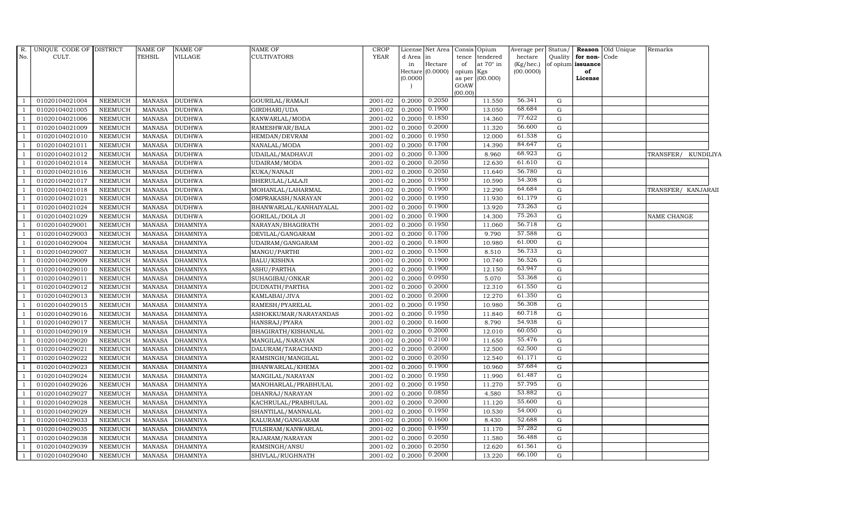| R.             | UNIQUE CODE OF DISTRICT |                | <b>NAME OF</b> | NAME OF         | <b>NAME OF</b>         | <b>CROP</b> |          | License Net Area            | Consis Opium                           | Average per               | Status/     |                         | <b>Reason</b> Old Unique | Remarks             |  |
|----------------|-------------------------|----------------|----------------|-----------------|------------------------|-------------|----------|-----------------------------|----------------------------------------|---------------------------|-------------|-------------------------|--------------------------|---------------------|--|
| No.            | CULT.                   |                | <b>TEHSIL</b>  | VILLAGE         | CULTIVATORS            | <b>YEAR</b> | d Area   | in                          | tendered<br>tence                      | hectare                   | Quality     | for non-Code            |                          |                     |  |
|                |                         |                |                |                 |                        |             | in       | Hectare<br>Hectare (0.0000) | at $70^\circ$ in<br>of<br>opium<br>Kgs | $(Kg/$ hec.)<br>(00.0000) |             | of opium issuance<br>of |                          |                     |  |
|                |                         |                |                |                 |                        |             | (0.0000) |                             | as per (00.000)                        |                           |             | License                 |                          |                     |  |
|                |                         |                |                |                 |                        |             |          |                             | GOAW                                   |                           |             |                         |                          |                     |  |
|                |                         |                |                |                 |                        |             |          |                             | (00.00)                                |                           |             |                         |                          |                     |  |
|                | 01020104021004          | <b>NEEMUCH</b> | <b>MANASA</b>  | <b>DUDHWA</b>   | GOURILAL/RAMAJI        | 2001-02     | 0.2000   | 0.2050                      | 11.550                                 | 56.341                    | $\mathbf G$ |                         |                          |                     |  |
|                | 01020104021005          | <b>NEEMUCH</b> | <b>MANASA</b>  | <b>DUDHWA</b>   | GIRDHARI/UDA           | 2001-02     | 0.2000   | 0.1900                      | 13.050                                 | 68.684                    | G           |                         |                          |                     |  |
|                | 01020104021006          | <b>NEEMUCH</b> | <b>MANASA</b>  | <b>DUDHWA</b>   | KANWARLAL/MODA         | 2001-02     | 0.2000   | 0.1850                      | 14.360                                 | 77.622                    | $\mathbf G$ |                         |                          |                     |  |
|                | 01020104021009          | <b>NEEMUCH</b> | <b>MANASA</b>  | <b>DUDHWA</b>   | RAMESHWAR/BALA         | 2001-02     | 0.2000   | 0.2000                      | 11.320                                 | 56.600                    | $\mathbf G$ |                         |                          |                     |  |
|                | 01020104021010          | <b>NEEMUCH</b> | <b>MANASA</b>  | <b>DUDHWA</b>   | HEMDAN/DEVRAM          | 2001-02     | 0.2000   | 0.1950                      | 12.000                                 | 61.538                    | $\mathbf G$ |                         |                          |                     |  |
|                | 01020104021011          | <b>NEEMUCH</b> | <b>MANASA</b>  | <b>DUDHWA</b>   | NANALAL/MODA           | 2001-02     | 0.2000   | 0.1700                      | 14.390                                 | 84.647                    | $\mathbf G$ |                         |                          |                     |  |
|                | 01020104021012          | <b>NEEMUCH</b> | <b>MANASA</b>  | <b>DUDHWA</b>   | UDAILAL/MADHAVJI       | 2001-02     | 0.2000   | 0.1300                      | 8.960                                  | 68.923                    | $\mathbf G$ |                         |                          | TRANSFER/ KUNDILIYA |  |
|                | 01020104021014          | <b>NEEMUCH</b> | <b>MANASA</b>  | <b>DUDHWA</b>   | UDAIRAM/MODA           | 2001-02     | 0.2000   | 0.2050                      | 12.630                                 | 61.610                    | G           |                         |                          |                     |  |
|                | 01020104021016          | <b>NEEMUCH</b> | <b>MANASA</b>  | <b>DUDHWA</b>   | KUKA/NANAJI            | 2001-02     | 0.2000   | 0.2050                      | 11.640                                 | 56.780                    | G           |                         |                          |                     |  |
|                | 01020104021017          | <b>NEEMUCH</b> | <b>MANASA</b>  | <b>DUDHWA</b>   | BHERULAL/LALAJI        | 2001-02     | 0.2000   | 0.1950                      | 10.590                                 | 54.308                    | G           |                         |                          |                     |  |
|                | 01020104021018          | <b>NEEMUCH</b> | <b>MANASA</b>  | <b>DUDHWA</b>   | MOHANLAL/LAHARMAL      | 2001-02     | 0.2000   | 0.1900                      | 12.290                                 | 64.684                    | ${\rm G}$   |                         |                          | TRANSFER/ KANJARAII |  |
|                | 01020104021021          | <b>NEEMUCH</b> | <b>MANASA</b>  | <b>DUDHWA</b>   | OMPRAKASH/NARAYAN      | 2001-02     | 0.2000   | 0.1950                      | 11.930                                 | 61.179                    | $\mathbf G$ |                         |                          |                     |  |
|                | 01020104021024          | <b>NEEMUCH</b> | <b>MANASA</b>  | <b>DUDHWA</b>   | BHANWARLAL/KANHAIYALAL | 2001-02     | 0.2000   | 0.1900                      | 13.920                                 | 73.263                    | G           |                         |                          |                     |  |
|                | 01020104021029          | <b>NEEMUCH</b> | <b>MANASA</b>  | <b>DUDHWA</b>   | <b>GORILAL/DOLA JI</b> | 2001-02     | 0.2000   | 0.1900                      | 14.300                                 | 75.263                    | $\mathbf G$ |                         |                          | <b>NAME CHANGE</b>  |  |
|                | 01020104029001          | <b>NEEMUCH</b> | <b>MANASA</b>  | <b>DHAMNIYA</b> | NARAYAN/BHAGIRATH      | 2001-02     | 0.2000   | 0.1950                      | 11.060                                 | 56.718                    | $\mathbf G$ |                         |                          |                     |  |
| $\overline{1}$ | 01020104029003          | <b>NEEMUCH</b> | <b>MANASA</b>  | <b>DHAMNIYA</b> | DEVILAL/GANGARAM       | 2001-02     | 0.2000   | 0.1700                      | 9.790                                  | 57.588                    | $\mathbf G$ |                         |                          |                     |  |
|                | 01020104029004          | <b>NEEMUCH</b> | <b>MANASA</b>  | <b>DHAMNIYA</b> | UDAIRAM/GANGARAM       | 2001-02     | 0.2000   | 0.1800                      | 10.980                                 | 61.000                    | G           |                         |                          |                     |  |
|                | 01020104029007          | <b>NEEMUCH</b> | <b>MANASA</b>  | <b>DHAMNIYA</b> | MANGU/PARTHI           | 2001-02     | 0.2000   | 0.1500                      | 8.510                                  | 56.733                    | G           |                         |                          |                     |  |
|                | 01020104029009          | <b>NEEMUCH</b> | <b>MANASA</b>  | <b>DHAMNIYA</b> | <b>BALU/KISHNA</b>     | 2001-02     | 0.2000   | 0.1900                      | 10.740                                 | 56.526                    | $\mathbf G$ |                         |                          |                     |  |
|                | 01020104029010          | <b>NEEMUCH</b> | <b>MANASA</b>  | <b>DHAMNIYA</b> | ASHU/PARTHA            | 2001-02     | 0.2000   | 0.1900                      | 12.150                                 | 63.947                    | $\mathbf G$ |                         |                          |                     |  |
|                | 01020104029011          | <b>NEEMUCH</b> | <b>MANASA</b>  | <b>DHAMNIYA</b> | SUHAGIBAI/ONKAR        | 2001-02     | 0.2000   | 0.0950                      | 5.070                                  | 53.368                    | $\mathbf G$ |                         |                          |                     |  |
|                | 01020104029012          | <b>NEEMUCH</b> | <b>MANASA</b>  | <b>DHAMNIYA</b> | DUDNATH/PARTHA         | 2001-02     | 0.2000   | 0.2000                      | 12.310                                 | 61.550                    | ${\rm G}$   |                         |                          |                     |  |
|                | 01020104029013          | <b>NEEMUCH</b> | <b>MANASA</b>  | <b>DHAMNIYA</b> | KAMLABAI/JIVA          | 2001-02     | 0.2000   | 0.2000                      | 12.270                                 | 61.350                    | G           |                         |                          |                     |  |
|                | 01020104029015          | <b>NEEMUCH</b> | <b>MANASA</b>  | <b>DHAMNIYA</b> | RAMESH/PYARELAL        | 2001-02     | 0.2000   | 0.1950                      | 10.980                                 | 56.308                    | $\mathbf G$ |                         |                          |                     |  |
|                | 01020104029016          | <b>NEEMUCH</b> | <b>MANASA</b>  | <b>DHAMNIYA</b> | ASHOKKUMAR/NARAYANDAS  | 2001-02     | 0.2000   | 0.1950                      | 11.840                                 | 60.718                    | $\mathbf G$ |                         |                          |                     |  |
|                | 01020104029017          | <b>NEEMUCH</b> | <b>MANASA</b>  | <b>DHAMNIYA</b> | HANSRAJ/PYARA          | 2001-02     | 0.2000   | 0.1600                      | 8.790                                  | 54.938                    | ${\rm G}$   |                         |                          |                     |  |
|                | 01020104029019          | <b>NEEMUCH</b> | <b>MANASA</b>  | <b>DHAMNIYA</b> | BHAGIRATH/KISHANLAL    | 2001-02     | 0.2000   | 0.2000                      | 12.010                                 | 60.050                    | G           |                         |                          |                     |  |
|                | 01020104029020          | <b>NEEMUCH</b> | <b>MANASA</b>  | <b>DHAMNIYA</b> | MANGILAL/NARAYAN       | 2001-02     | 0.2000   | 0.2100                      | 11.650                                 | 55.476                    | $\mathbf G$ |                         |                          |                     |  |
|                | 01020104029021          | <b>NEEMUCH</b> | <b>MANASA</b>  | <b>DHAMNIYA</b> | DALURAM/TARACHAND      | 2001-02     | 0.2000   | 0.2000                      | 12.500                                 | 62.500                    | $\mathbf G$ |                         |                          |                     |  |
|                | 01020104029022          | <b>NEEMUCH</b> | <b>MANASA</b>  | <b>DHAMNIYA</b> | RAMSINGH/MANGILAL      | 2001-02     | 0.2000   | 0.2050                      | 12.540                                 | 61.171                    | $\mathbf G$ |                         |                          |                     |  |
|                | 01020104029023          | <b>NEEMUCH</b> | <b>MANASA</b>  | <b>DHAMNIYA</b> | BHANWARLAL/KHEMA       | 2001-02     | 0.2000   | 0.1900                      | 10.960                                 | 57.684                    | $\mathbf G$ |                         |                          |                     |  |
|                | 01020104029024          | <b>NEEMUCH</b> | <b>MANASA</b>  | <b>DHAMNIYA</b> | MANGILAL/NARAYAN       | 2001-02     | 0.2000   | 0.1950                      | 11.990                                 | 61.487                    | $\mathbf G$ |                         |                          |                     |  |
|                | 01020104029026          | <b>NEEMUCH</b> | <b>MANASA</b>  | <b>DHAMNIYA</b> | MANOHARLAL/PRABHULAL   | 2001-02     | 0.2000   | 0.1950                      | 11.270                                 | 57.795                    | $\mathbf G$ |                         |                          |                     |  |
|                | 01020104029027          | <b>NEEMUCH</b> | <b>MANASA</b>  | <b>DHAMNIYA</b> | DHANRAJ/NARAYAN        | 2001-02     | 0.2000   | 0.0850                      | 4.580                                  | 53.882                    | $\mathbf G$ |                         |                          |                     |  |
|                | 01020104029028          | <b>NEEMUCH</b> | <b>MANASA</b>  | <b>DHAMNIYA</b> | KACHRULAL/PRABHULAL    | 2001-02     | 0.2000   | 0.2000                      | 11.120                                 | 55.600                    | $\mathbf G$ |                         |                          |                     |  |
|                | 01020104029029          | <b>NEEMUCH</b> | <b>MANASA</b>  | <b>DHAMNIYA</b> | SHANTILAL/MANNALAL     | 2001-02     | 0.2000   | 0.1950                      | 10.530                                 | 54.000                    | ${\rm G}$   |                         |                          |                     |  |
|                | 01020104029033          | <b>NEEMUCH</b> | <b>MANASA</b>  | <b>DHAMNIYA</b> | KALURAM/GANGARAM       | 2001-02     | 0.2000   | 0.1600                      | 8.430                                  | 52.688                    | G           |                         |                          |                     |  |
|                | 01020104029035          | <b>NEEMUCH</b> | <b>MANASA</b>  | <b>DHAMNIYA</b> | TULSIRAM/KANWARLAL     | 2001-02     | 0.2000   | 0.1950                      | 11.170                                 | 57.282                    | $\mathbf G$ |                         |                          |                     |  |
|                | 01020104029038          | <b>NEEMUCH</b> | <b>MANASA</b>  | <b>DHAMNIYA</b> | RAJARAM / NARAYAN      | 2001-02     | 0.2000   | 0.2050                      | 11.580                                 | 56.488                    | $\mathbf G$ |                         |                          |                     |  |
|                | 01020104029039          | <b>NEEMUCH</b> | <b>MANASA</b>  | <b>DHAMNIYA</b> | RAMSINGH/ANSU          | 2001-02     | 0.2000   | 0.2050                      | 12.620                                 | 61.561                    | G           |                         |                          |                     |  |
|                | 01020104029040          | <b>NEEMUCH</b> | MANASA         | <b>DHAMNIYA</b> | SHIVLAL/RUGHNATH       | 2001-02     | 0.2000   | 0.2000                      | 13.220                                 | 66.100                    | G           |                         |                          |                     |  |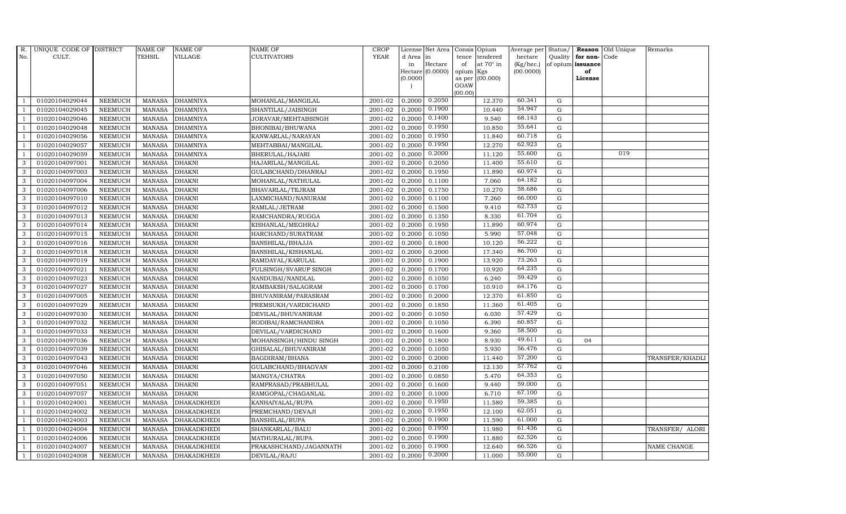| R.  | UNIQUE CODE OF DISTRICT |                | NAME OF       | <b>NAME OF</b>     | <b>NAME OF</b>         | <b>CROP</b> |           | License Net Area Consis Opium |           |                  | Average per        | Status/     | Reason            | Old Unique | Remarks         |
|-----|-------------------------|----------------|---------------|--------------------|------------------------|-------------|-----------|-------------------------------|-----------|------------------|--------------------|-------------|-------------------|------------|-----------------|
| No. | CULT.                   |                | TEHSIL        | <b>VILLAGE</b>     | <b>CULTIVATORS</b>     | <b>YEAR</b> | d Area in |                               |           | tence tendered   | hectare            | Quality     | for non-          | Code       |                 |
|     |                         |                |               |                    |                        |             | in        | Hectare                       | of        | at $70^\circ$ in | $(Kg/ {\rm hec.})$ |             | of opium issuance |            |                 |
|     |                         |                |               |                    |                        |             | (0.0000)  | Hectare (0.0000)              | opium Kgs | as per (00.000)  | (00.0000)          |             | of<br>License     |            |                 |
|     |                         |                |               |                    |                        |             |           |                               | GOAW      |                  |                    |             |                   |            |                 |
|     |                         |                |               |                    |                        |             |           |                               | (00.00)   |                  |                    |             |                   |            |                 |
|     | 01020104029044          | <b>NEEMUCH</b> | <b>MANASA</b> | <b>DHAMNIYA</b>    | MOHANLAL/MANGILAL      | 2001-02     |           | $0.2000$ $0.2050$             |           | 12.370           | 60.341             | $\mathbf G$ |                   |            |                 |
|     | 01020104029045          | <b>NEEMUCH</b> | <b>MANASA</b> | <b>DHAMNIYA</b>    | SHANTILAL/JAISINGH     | 2001-02     | 0.2000    | 0.1900                        |           | 10.440           | 54.947             | ${\rm G}$   |                   |            |                 |
|     | 01020104029046          | <b>NEEMUCH</b> | <b>MANASA</b> | <b>DHAMNIYA</b>    | JORAVAR/MEHTABSINGH    | 2001-02     | 0.2000    | 0.1400                        |           | 9.540            | 68.143             | $\mathbf G$ |                   |            |                 |
|     | 01020104029048          | <b>NEEMUCH</b> | <b>MANASA</b> | <b>DHAMNIYA</b>    | BHONIBAI/BHUWANA       | 2001-02     | 0.2000    | 0.1950                        |           | 10.850           | 55.641             | $\mathbf G$ |                   |            |                 |
|     | 01020104029056          | <b>NEEMUCH</b> | <b>MANASA</b> | <b>DHAMNIYA</b>    | KANWARLAL/NARAYAN      | 2001-02     | 0.2000    | 0.1950                        |           | 11.840           | 60.718             | $\mathbf G$ |                   |            |                 |
|     | 01020104029057          | <b>NEEMUCH</b> | <b>MANASA</b> | <b>DHAMNIYA</b>    | MEHTABBAI/MANGILAL     | 2001-02     | 0.2000    | 0.1950                        |           | 12.270           | 62.923             | $\mathbf G$ |                   |            |                 |
|     | 01020104029059          | <b>NEEMUCH</b> | <b>MANASA</b> | <b>DHAMNIYA</b>    | BHERULAL/HAJARI        | 2001-02     | 0.2000    | 0.2000                        |           | 11.120           | 55.600             | $\mathbf G$ |                   | 019        |                 |
| 3   | 01020104097001          | <b>NEEMUCH</b> | <b>MANASA</b> | <b>DHAKNI</b>      | HAJARILAL/MANGILAL     | 2001-02     | 0.2000    | 0.2050                        |           | 11.400           | 55.610             | G           |                   |            |                 |
| 3   | 01020104097003          | <b>NEEMUCH</b> | <b>MANASA</b> | <b>DHAKNI</b>      | GULABCHAND/DHANRAJ     | 2001-02     | 0.2000    | 0.1950                        |           | 11.890           | 60.974             | $\mathbf G$ |                   |            |                 |
| 3   | 01020104097004          | NEEMUCH        | <b>MANASA</b> | <b>DHAKNI</b>      | MOHANLAL/NATHULAL      | 2001-02     | 0.2000    | 0.1100                        |           | 7.060            | 64.182             | $\mathbf G$ |                   |            |                 |
| 3   | 01020104097006          | <b>NEEMUCH</b> | <b>MANASA</b> | <b>DHAKNI</b>      | BHAVARLAL/TEJRAM       | 2001-02     | 0.2000    | 0.1750                        |           | 10.270           | 58.686             | ${\rm G}$   |                   |            |                 |
| 3   | 01020104097010          | <b>NEEMUCH</b> | <b>MANASA</b> | <b>DHAKNI</b>      | LAXMICHAND/NANURAM     | 2001-02     | 0.2000    | 0.1100                        |           | 7.260            | 66.000             | $\mathbf G$ |                   |            |                 |
| 3   | 01020104097012          | <b>NEEMUCH</b> | <b>MANASA</b> | <b>DHAKNI</b>      | RAMLAL/JETRAM          | 2001-02     | 0.2000    | 0.1500                        |           | 9.410            | 62.733             | $\mathbf G$ |                   |            |                 |
| 3   | 01020104097013          | <b>NEEMUCH</b> | <b>MANASA</b> | <b>DHAKNI</b>      | RAMCHANDRA/RUGGA       | 2001-02     | 0.2000    | 0.1350                        |           | 8.330            | 61.704             | $\mathbf G$ |                   |            |                 |
| 3   | 01020104097014          | NEEMUCH        | <b>MANASA</b> | <b>DHAKNI</b>      | KISHANLAL/MEGHRAJ      | 2001-02     | 0.2000    | 0.1950                        |           | 11.890           | 60.974             | $\mathbf G$ |                   |            |                 |
| 3   | 01020104097015          | <b>NEEMUCH</b> | <b>MANASA</b> | <b>DHAKNI</b>      | HARCHAND/SURATRAM      | 2001-02     | 0.2000    | 0.1050                        |           | 5.990            | 57.048             | $\mathbf G$ |                   |            |                 |
| 3   | 01020104097016          | <b>NEEMUCH</b> | <b>MANASA</b> | <b>DHAKNI</b>      | BANSHILAL/BHAJJA       | 2001-02     | 0.2000    | 0.1800                        |           | 10.120           | 56.222             | ${\rm G}$   |                   |            |                 |
| 3   | 01020104097018          | <b>NEEMUCH</b> | <b>MANASA</b> | <b>DHAKNI</b>      | BANSHILAL/KISHANLAL    | 2001-02     | 0.2000    | 0.2000                        |           | 17.340           | 86.700             | $\mathbf G$ |                   |            |                 |
| 3   | 01020104097019          | <b>NEEMUCH</b> | <b>MANASA</b> | <b>DHAKNI</b>      | RAMDAYAL/KARULAL       | 2001-02     | 0.2000    | 0.1900                        |           | 13.920           | 73.263             | $\mathbf G$ |                   |            |                 |
| 3   | 01020104097021          | <b>NEEMUCH</b> | <b>MANASA</b> | <b>DHAKNI</b>      | FULSINGH/SVARUP SINGH  | 2001-02     | 0.2000    | 0.1700                        |           | 10.920           | 64.235             | $\mathbf G$ |                   |            |                 |
| 3   | 01020104097023          | <b>NEEMUCH</b> | <b>MANASA</b> | <b>DHAKNI</b>      | NANDUBAI/NANDLAL       | 2001-02     | 0.2000    | 0.1050                        |           | 6.240            | 59.429             | $\mathbf G$ |                   |            |                 |
| 3   | 01020104097027          | <b>NEEMUCH</b> | <b>MANASA</b> | <b>DHAKNI</b>      | RAMBAKSH/SALAGRAM      | 2001-02     | 0.2000    | 0.1700                        |           | 10.910           | 64.176             | ${\rm G}$   |                   |            |                 |
| 3   | 01020104097005          | NEEMUCH        | <b>MANASA</b> | <b>DHAKNI</b>      | BHUVANIRAM/PARASRAM    | 2001-02     | 0.2000    | 0.2000                        |           | 12.370           | 61.850             | $\mathbf G$ |                   |            |                 |
| 3   | 01020104097029          | <b>NEEMUCH</b> | <b>MANASA</b> | <b>DHAKNI</b>      | PREMSUKH/VARDICHAND    | 2001-02     | 0.2000    | 0.1850                        |           | 11.360           | 61.405             | $\mathbf G$ |                   |            |                 |
| 3   | 01020104097030          | <b>NEEMUCH</b> | <b>MANASA</b> | <b>DHAKNI</b>      | DEVILAL/BHUVANIRAM     | 2001-02     | 0.2000    | 0.1050                        |           | 6.030            | 57.429             | $\mathbf G$ |                   |            |                 |
| 3   | 01020104097032          | <b>NEEMUCH</b> | <b>MANASA</b> | <b>DHAKNI</b>      | RODIBAI/RAMCHANDRA     | 2001-02     | 0.2000    | 0.1050                        |           | 6.390            | 60.857             | ${\rm G}$   |                   |            |                 |
| 3   | 01020104097033          | <b>NEEMUCH</b> | <b>MANASA</b> | <b>DHAKNI</b>      | DEVILAL/VARDICHAND     | 2001-02     | 0.2000    | 0.1600                        |           | 9.360            | 58.500             | $\mathbf G$ |                   |            |                 |
| 3   | 01020104097036          | <b>NEEMUCH</b> | <b>MANASA</b> | <b>DHAKNI</b>      | MOHANSINGH/HINDU SINGH | 2001-02     | 0.2000    | 0.1800                        |           | 8.930            | 49.611             | $\mathbf G$ | 04                |            |                 |
| 3   | 01020104097039          | <b>NEEMUCH</b> | <b>MANASA</b> | <b>DHAKNI</b>      | GHISALAL/BHUVANIRAM    | 2001-02     | 0.2000    | 0.1050                        |           | 5.930            | 56.476             | $\mathbf G$ |                   |            |                 |
| 3   | 01020104097043          | <b>NEEMUCH</b> | <b>MANASA</b> | <b>DHAKNI</b>      | BAGDIRAM/BHANA         | 2001-02     | 0.2000    | 0.2000                        |           | 11.440           | 57.200             | $\mathbf G$ |                   |            | TRANSFER/KHADLI |
| 3   | 01020104097046          | <b>NEEMUCH</b> | <b>MANASA</b> | <b>DHAKNI</b>      | GULABCHAND/BHAGVAN     | 2001-02     | 0.2000    | 0.2100                        |           | 12.130           | 57.762             | ${\rm G}$   |                   |            |                 |
| 3   | 01020104097050          | <b>NEEMUCH</b> | <b>MANASA</b> | <b>DHAKNI</b>      | MANGYA/CHATRA          | 2001-02     | 0.2000    | 0.0850                        |           | 5.470            | 64.353             | $\mathbf G$ |                   |            |                 |
| 3   | 01020104097051          | NEEMUCH        | <b>MANASA</b> | <b>DHAKNI</b>      | RAMPRASAD/PRABHULAL    | 2001-02     | 0.2000    | 0.1600                        |           | 9.440            | 59.000             | $\mathbf G$ |                   |            |                 |
| 3   | 01020104097057          | <b>NEEMUCH</b> | <b>MANASA</b> | <b>DHAKNI</b>      | RAMGOPAL/CHAGANLAL     | 2001-02     | 0.2000    | 0.1000                        |           | 6.710            | 67.100             | $\mathbf G$ |                   |            |                 |
|     | 01020104024001          | <b>NEEMUCH</b> | <b>MANASA</b> | DHAKADKHEDI        | KANHAIYALAL/RUPA       | 2001-02     | 0.2000    | 0.1950                        |           | 11.580           | 59.385             | $\mathbf G$ |                   |            |                 |
|     | 01020104024002          | <b>NEEMUCH</b> | <b>MANASA</b> | <b>DHAKADKHEDI</b> | PREMCHAND/DEVAJI       | 2001-02     | 0.2000    | 0.1950                        |           | 12.100           | 62.051             | $\mathbf G$ |                   |            |                 |
|     | 01020104024003          | <b>NEEMUCH</b> | <b>MANASA</b> | <b>DHAKADKHEDI</b> | <b>BANSHILAL/RUPA</b>  | 2001-02     | 0.2000    | 0.1900                        |           | 11.590           | 61.000             | $\mathbf G$ |                   |            |                 |
|     | 01020104024004          | <b>NEEMUCH</b> | <b>MANASA</b> | <b>DHAKADKHEDI</b> | SHANKARLAL/BALU        | 2001-02     | 0.2000    | 0.1950                        |           | 11.980           | 61.436             | $\mathbf G$ |                   |            | TRANSFER/ ALORI |
|     | 01020104024006          | <b>NEEMUCH</b> | <b>MANASA</b> | <b>DHAKADKHEDI</b> | MATHURALAL/RUPA        | 2001-02     | 0.2000    | 0.1900                        |           | 11.880           | 62.526             | $\mathbf G$ |                   |            |                 |
|     | 01020104024007          | <b>NEEMUCH</b> | <b>MANASA</b> | <b>DHAKADKHEDI</b> | PRAKASHCHAND/JAGANNATH | 2001-02     | 0.2000    | 0.1900                        |           | 12.640           | 66.526             | $\mathbf G$ |                   |            | NAME CHANGE     |
|     | 01020104024008          | <b>NEEMUCH</b> | <b>MANASA</b> | <b>DHAKADKHEDI</b> | DEVILAL/RAJU           | 2001-02     | 0.2000    | 0.2000                        |           | 11.000           | 55.000             | G           |                   |            |                 |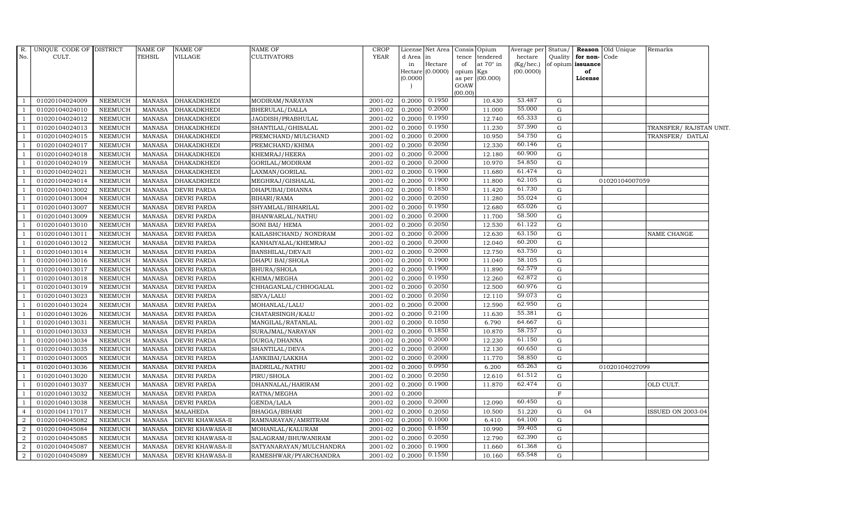| R.             | UNIQUE CODE OF DISTRICT |                | NAME OF       | <b>NAME OF</b>          | <b>NAME OF</b>          | <b>CROP</b> |                       | License Net Area Consis |                | Opium            | Average per | Status/     |                   | Reason Old Unique | Remarks                 |
|----------------|-------------------------|----------------|---------------|-------------------------|-------------------------|-------------|-----------------------|-------------------------|----------------|------------------|-------------|-------------|-------------------|-------------------|-------------------------|
| No.            | CULT.                   |                | TEHSIL        | <b>VILLAGE</b>          | <b>CULTIVATORS</b>      | <b>YEAR</b> | d Area in             |                         | tence          | tendered         | hectare     | Quality     | for non-Code      |                   |                         |
|                |                         |                |               |                         |                         |             | in                    | Hectare                 | of             | at $70^\circ$ in | (Kg/hec.)   |             | of opium issuance |                   |                         |
|                |                         |                |               |                         |                         |             | (0.0000)              | Hectare (0.0000)        | opium Kgs      | (00.000)         | (00.0000)   |             | of<br>License     |                   |                         |
|                |                         |                |               |                         |                         |             |                       |                         | as per<br>GOAW |                  |             |             |                   |                   |                         |
|                |                         |                |               |                         |                         |             |                       |                         | (00.00)        |                  |             |             |                   |                   |                         |
|                | 01020104024009          | NEEMUCH        | MANASA        | <b>DHAKADKHEDI</b>      | MODIRAM/NARAYAN         | 2001-02     | $0.2000$ $0.1950$     |                         |                | 10.430           | 53.487      | $\mathbf G$ |                   |                   |                         |
|                | 01020104024010          | <b>NEEMUCH</b> | MANASA        | <b>DHAKADKHEDI</b>      | BHERULAL/DALLA          | 2001-02     | $0.2000 \quad 0.2000$ |                         |                | 11.000           | 55.000      | G           |                   |                   |                         |
| $\overline{1}$ | 01020104024012          | NEEMUCH        | MANASA        | <b>DHAKADKHEDI</b>      | JAGDISH/PRABHULAL       | 2001-02     | 0.2000                | 0.1950                  |                | 12.740           | 65.333      | G           |                   |                   |                         |
|                | 01020104024013          | <b>NEEMUCH</b> | <b>MANASA</b> | <b>DHAKADKHEDI</b>      | SHANTILAL/GHISALAL      | 2001-02     | $0.2000 \quad 0.1950$ |                         |                | 11.230           | 57.590      | ${\rm G}$   |                   |                   | TRANSFER/ RAJSTAN UNIT. |
|                | 01020104024015          | <b>NEEMUCH</b> | <b>MANASA</b> | <b>DHAKADKHEDI</b>      | PREMCHAND/MULCHAND      | 2001-02     | 0.2000                | 0.2000                  |                | 10.950           | 54.750      | G           |                   |                   | TRANSFER/ DATLAI        |
|                | 01020104024017          | <b>NEEMUCH</b> | <b>MANASA</b> | <b>DHAKADKHEDI</b>      | PREMCHAND/KHIMA         | 2001-02     | 0.2000                | 0.2050                  |                | 12.330           | 60.146      | G           |                   |                   |                         |
|                | 01020104024018          | NEEMUCH        | <b>MANASA</b> | <b>DHAKADKHEDI</b>      | KHEMRAJ/HEERA           | 2001-02     | 0.2000                | 0.2000                  |                | 12.180           | 60.900      | G           |                   |                   |                         |
| -1             | 01020104024019          | <b>NEEMUCH</b> | MANASA        | <b>DHAKADKHEDI</b>      | GORILAL/MODIRAM         | 2001-02     | 0.2000                | 0.2000                  |                | 10.970           | 54.850      | G           |                   |                   |                         |
|                | 01020104024021          | <b>NEEMUCH</b> | <b>MANASA</b> | <b>DHAKADKHEDI</b>      | LAXMAN/GORILAL          | 2001-02     | 0.2000                | 0.1900                  |                | 11.680           | 61.474      | $\mathbf G$ |                   |                   |                         |
|                | 01020104024014          | <b>NEEMUCH</b> | <b>MANASA</b> | DHAKADKHEDI             | MEGHRAJ/GISHALAL        | 2001-02     | 0.2000                | 0.1900                  |                | 11.800           | 62.105      | ${\rm G}$   |                   | 01020104007059    |                         |
|                | 01020104013002          | <b>NEEMUCH</b> | <b>MANASA</b> | <b>DEVRI PARDA</b>      | DHAPUBAI/DHANNA         | 2001-02     | $0.2000 \mid 0.1850$  |                         |                | 11.420           | 61.730      | G           |                   |                   |                         |
|                | 01020104013004          | NEEMUCH        | <b>MANASA</b> | <b>DEVRI PARDA</b>      | BIHARI/RAMA             | 2001-02     | 0.2000                | 0.2050                  |                | 11.280           | 55.024      | G           |                   |                   |                         |
|                | 01020104013007          | <b>NEEMUCH</b> | <b>MANASA</b> | <b>DEVRI PARDA</b>      | SHYAMLAL/BIHARILAL      | 2001-02     | 0.2000                | 0.1950                  |                | 12.680           | 65.026      | G           |                   |                   |                         |
|                | 01020104013009          | <b>NEEMUCH</b> | <b>MANASA</b> | <b>DEVRI PARDA</b>      | BHANWARLAL/NATHU        | 2001-02     | 0.2000                | 0.2000                  |                | 11.700           | 58.500      | ${\rm G}$   |                   |                   |                         |
|                | 01020104013010          | NEEMUCH        | <b>MANASA</b> | <b>DEVRI PARDA</b>      | SONI BAI/ HEMA          | 2001-02     | 0.2000                | 0.2050                  |                | 12.530           | 61.122      | ${\rm G}$   |                   |                   |                         |
|                | 01020104013011          | <b>NEEMUCH</b> | <b>MANASA</b> | <b>DEVRI PARDA</b>      | KAILASHCHAND/ NONDRAM   | 2001-02     | 0.2000                | 0.2000                  |                | 12.630           | 63.150      | G           |                   |                   | NAME CHANGE             |
|                | 01020104013012          | <b>NEEMUCH</b> | MANASA        | <b>DEVRI PARDA</b>      | KANHAIYALAL/KHEMRAJ     | 2001-02     | 0.2000 0.2000         |                         |                | 12.040           | 60.200      | G           |                   |                   |                         |
|                | 01020104013014          | NEEMUCH        | <b>MANASA</b> | <b>DEVRI PARDA</b>      | BANSHILAL/DEVAJI        | 2001-02     | 0.2000                | 0.2000                  |                | 12.750           | 63.750      | ${\rm G}$   |                   |                   |                         |
|                | 01020104013016          | <b>NEEMUCH</b> | <b>MANASA</b> | <b>DEVRI PARDA</b>      | DHAPU BAI/SHOLA         | 2001-02     | 0.2000                | 0.1900                  |                | 11.040           | 58.105      | ${\rm G}$   |                   |                   |                         |
|                | 01020104013017          | NEEMUCH        | <b>MANASA</b> | DEVRI PARDA             | <b>BHURA/SHOLA</b>      | 2001-02     | 0.2000                | 0.1900                  |                | 11.890           | 62.579      | ${\rm G}$   |                   |                   |                         |
|                | 01020104013018          | <b>NEEMUCH</b> | <b>MANASA</b> | <b>DEVRI PARDA</b>      | KHIMA/MEGHA             | 2001-02     | 0.2000                | 0.1950                  |                | 12.260           | 62.872      | ${\rm G}$   |                   |                   |                         |
|                | 01020104013019          | <b>NEEMUCH</b> | MANASA        | <b>DEVRI PARDA</b>      | CHHAGANLAL/CHHOGALAL    | 2001-02     | $0.2000$ $0.2050$     |                         |                | 12.500           | 60.976      | $\mathbf G$ |                   |                   |                         |
|                | 01020104013023          | <b>NEEMUCH</b> | <b>MANASA</b> | <b>DEVRI PARDA</b>      | SEVA/LALU               | 2001-02     | 0.2000                | 0.2050                  |                | 12.110           | 59.073      | ${\rm G}$   |                   |                   |                         |
|                | 01020104013024          | <b>NEEMUCH</b> | <b>MANASA</b> | <b>DEVRI PARDA</b>      | MOHANLAL/LALU           | 2001-02     | 0.2000                | 0.2000                  |                | 12.590           | 62.950      | ${\rm G}$   |                   |                   |                         |
|                | 01020104013026          | <b>NEEMUCH</b> | <b>MANASA</b> | <b>DEVRI PARDA</b>      | CHATARSINGH/KALU        | 2001-02     | 0.2000                | 0.2100                  |                | 11.630           | 55.381      | $\mathbf G$ |                   |                   |                         |
|                | 01020104013031          | NEEMUCH        | <b>MANASA</b> | <b>DEVRI PARDA</b>      | MANGILAL/RATANLAL       | 2001-02     | 0.2000                | 0.1050                  |                | 6.790            | 64.667      | G           |                   |                   |                         |
|                | 01020104013033          | <b>NEEMUCH</b> | MANASA        | <b>DEVRI PARDA</b>      | SURAJMAL/NARAYAN        | 2001-02     | 0.2000                | 0.1850                  |                | 10.870           | 58.757      | ${\rm G}$   |                   |                   |                         |
|                | 01020104013034          | <b>NEEMUCH</b> | MANASA        | <b>DEVRI PARDA</b>      | DURGA/DHANNA            | 2001-02     | 0.2000                | 0.2000                  |                | 12.230           | 61.150      | ${\rm G}$   |                   |                   |                         |
| $\mathbf{1}$   | 01020104013035          | NEEMUCH        | <b>MANASA</b> | <b>DEVRI PARDA</b>      | SHANTILAL/DEVA          | 2001-02     | 0.2000                | 0.2000                  |                | 12.130           | 60.650      | ${\rm G}$   |                   |                   |                         |
|                | 01020104013005          | <b>NEEMUCH</b> | <b>MANASA</b> | <b>DEVRI PARDA</b>      | JANKIBAI/LAKKHA         | 2001-02     | 0.2000                | 0.2000                  |                | 11.770           | 58.850      | G           |                   |                   |                         |
|                | 01020104013036          | NEEMUCH        | <b>MANASA</b> | <b>DEVRI PARDA</b>      | BADRILAL/NATHU          | 2001-02     | 0.2000                | 0.0950                  |                | 6.200            | 65.263      | ${\rm G}$   |                   | 01020104027099    |                         |
|                | 01020104013020          | <b>NEEMUCH</b> | MANASA        | <b>DEVRI PARDA</b>      | PIRU/SHOLA              | 2001-02     | 0.2000                | 0.2050                  |                | 12.610           | 61.512      | ${\rm G}$   |                   |                   |                         |
|                | 01020104013037          | NEEMUCH        | <b>MANASA</b> | <b>DEVRI PARDA</b>      | DHANNALAL/HARIRAM       | $2001 - 02$ | 0.2000                | 0.1900                  |                | 11.870           | 62.474      | ${\rm G}$   |                   |                   | OLD CULT.               |
| - 1            | 01020104013032          | <b>NEEMUCH</b> | <b>MANASA</b> | <b>DEVRI PARDA</b>      | RATNA/MEGHA             | 2001-02     | 0.2000                |                         |                |                  |             | $\mathbf F$ |                   |                   |                         |
|                | 01020104013038          | <b>NEEMUCH</b> | <b>MANASA</b> | <b>DEVRI PARDA</b>      | GENDA/LALA              | 2001-02     | 0.2000                | 0.2000                  |                | 12.090           | 60.450      | $\mathbf G$ |                   |                   |                         |
| $\overline{4}$ | 01020104117017          | NEEMUCH        | <b>MANASA</b> | <b>MALAHEDA</b>         | BHAGGA/BIHARI           | 2001-02     | 0.2000                | 0.2050                  |                | 10.500           | 51.220      | ${\rm G}$   | 04                |                   | ISSUED ON 2003-04       |
| 2              | 01020104045082          | <b>NEEMUCH</b> | MANASA        | <b>DEVRI KHAWASA-II</b> | RAMNARAYAN/AMRITRAM     | $2001 - 02$ | 0.2000                | 0.1000                  |                | 6.410            | 64.100      | G           |                   |                   |                         |
| $\overline{2}$ | 01020104045084          | <b>NEEMUCH</b> | <b>MANASA</b> | <b>DEVRI KHAWASA-II</b> | MOHANLAL/KALURAM        | 2001-02     | 0.2000                | 0.1850                  |                | 10.990           | 59.405      | ${\rm G}$   |                   |                   |                         |
| 2              | 01020104045085          | <b>NEEMUCH</b> | <b>MANASA</b> | <b>DEVRI KHAWASA-II</b> | SALAGRAM/BHUWANIRAM     | 2001-02     | 0.2000                | 0.2050                  |                | 12.790           | 62.390      | ${\rm G}$   |                   |                   |                         |
| 2              | 01020104045087          | <b>NEEMUCH</b> | <b>MANASA</b> | DEVRI KHAWASA-II        | SATYANARAYAN/MULCHANDRA | 2001-02     | 0.2000                | 0.1900                  |                | 11.660           | 61.368      | ${\rm G}$   |                   |                   |                         |
| $\overline{a}$ | 01020104045089          | <b>NEEMUCH</b> | MANASA        | <b>DEVRI KHAWASA-II</b> | RAMESHWAR/PYARCHANDRA   | 2001-02     | $0.2000$ $0.1550$     |                         |                | 10.160           | 65.548      | ${\rm G}$   |                   |                   |                         |
|                |                         |                |               |                         |                         |             |                       |                         |                |                  |             |             |                   |                   |                         |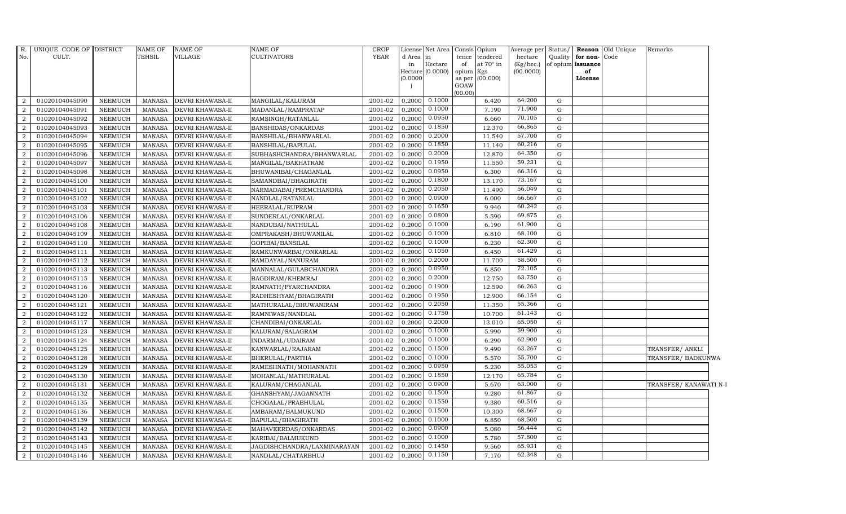|                | R. UNIQUE CODE OF DISTRICT |                | NAME OF       | <b>NAME OF</b>          | NAME OF                     | CROP    |           | License Net Area Consis Opium |                     |           | Average per  | Status/   |                   | <b>Reason</b> Old Unique | Remarks                |  |
|----------------|----------------------------|----------------|---------------|-------------------------|-----------------------------|---------|-----------|-------------------------------|---------------------|-----------|--------------|-----------|-------------------|--------------------------|------------------------|--|
| No.            | CULT.                      |                | TEHSIL        | <b>VILLAGE</b>          | CULTIVATORS                 | YEAR    | d Area in |                               | tence               | tendered  | hectare      | Quality   | for non-Code      |                          |                        |  |
|                |                            |                |               |                         |                             |         | in        | Hectare                       | of                  | at 70° in | $(Kg/$ hec.) |           | of opium issuance |                          |                        |  |
|                |                            |                |               |                         |                             |         | (0.0000)  | Hectare (0.0000)              | opium Kgs<br>as per | (00.000)  | (00.0000)    |           | of<br>License     |                          |                        |  |
|                |                            |                |               |                         |                             |         |           |                               | GOAW                |           |              |           |                   |                          |                        |  |
|                |                            |                |               |                         |                             |         |           |                               | (00.00)             |           |              |           |                   |                          |                        |  |
| 2              | 01020104045090             | <b>NEEMUCH</b> | MANASA        | <b>DEVRI KHAWASA-II</b> | MANGILAL/KALURAM            | 2001-02 | 0.2000    | 0.1000                        |                     | 6.420     | 64.200       | G         |                   |                          |                        |  |
| $\overline{2}$ | 01020104045091             | <b>NEEMUCH</b> | MANASA        | <b>DEVRI KHAWASA-II</b> | MADANLAL/RAMPRATAP          | 2001-02 | 0.2000    | 0.1000                        |                     | 7.190     | 71.900       | G         |                   |                          |                        |  |
| 2              | 01020104045092             | <b>NEEMUCH</b> | MANASA        | <b>DEVRI KHAWASA-II</b> | RAMSINGH/RATANLAL           | 2001-02 | 0.2000    | 0.0950                        |                     | 6.660     | 70.105       | G         |                   |                          |                        |  |
| $\overline{2}$ | 01020104045093             | <b>NEEMUCH</b> | <b>MANASA</b> | <b>DEVRI KHAWASA-II</b> | BANSHIDAS/ONKARDAS          | 2001-02 | 0.2000    | 0.1850                        |                     | 12.370    | 66.865       | G         |                   |                          |                        |  |
| 2              | 01020104045094             | <b>NEEMUCH</b> | MANASA        | <b>DEVRI KHAWASA-II</b> | BANSHILAL/BHANWARLAL        | 2001-02 | 0.2000    | 0.2000                        |                     | 11.540    | 57.700       | G         |                   |                          |                        |  |
| $\overline{2}$ | 01020104045095             | <b>NEEMUCH</b> | MANASA        | <b>DEVRI KHAWASA-II</b> | BANSHILAL/BAPULAL           | 2001-02 | 0.2000    | 0.1850                        |                     | 11.140    | 60.216       | G         |                   |                          |                        |  |
| 2              | 01020104045096             | <b>NEEMUCH</b> | <b>MANASA</b> | <b>DEVRI KHAWASA-II</b> | SUBHASHCHANDRA/BHANWARLAL   | 2001-02 | 0.2000    | 0.2000                        |                     | 12.870    | 64.350       | G         |                   |                          |                        |  |
| 2              | 01020104045097             | <b>NEEMUCH</b> | MANASA        | <b>DEVRI KHAWASA-II</b> | MANGILAL/BAKHATRAM          | 2001-02 | 0.2000    | 0.1950                        |                     | 11.550    | 59.231       | G         |                   |                          |                        |  |
| $\overline{2}$ | 01020104045098             | <b>NEEMUCH</b> | <b>MANASA</b> | <b>DEVRI KHAWASA-II</b> | BHUWANIBAI/CHAGANLAL        | 2001-02 | 0.2000    | 0.0950                        |                     | 6.300     | 66.316       | G         |                   |                          |                        |  |
| $\overline{2}$ | 01020104045100             | <b>NEEMUCH</b> | MANASA        | DEVRI KHAWASA-II        | SAMANDBAI/BHAGIRATH         | 2001-02 | 0.2000    | 0.1800                        |                     | 13.170    | 73.167       | G         |                   |                          |                        |  |
| $\overline{2}$ | 01020104045101             | <b>NEEMUCH</b> | MANASA        | <b>DEVRI KHAWASA-II</b> | NARMADABAI/PREMCHANDRA      | 2001-02 | 0.2000    | 0.2050                        |                     | 11.490    | 56.049       | G         |                   |                          |                        |  |
| $\overline{2}$ | 01020104045102             | <b>NEEMUCH</b> | <b>MANASA</b> | <b>DEVRI KHAWASA-II</b> | NANDLAL/RATANLAL            | 2001-02 | 0.2000    | 0.0900                        |                     | 6.000     | 66.667       | G         |                   |                          |                        |  |
| 2              | 01020104045103             | <b>NEEMUCH</b> | <b>MANASA</b> | DEVRI KHAWASA-II        | HEERALAL/RUPRAM             | 2001-02 | 0.2000    | 0.1650                        |                     | 9.940     | 60.242       | G         |                   |                          |                        |  |
| 2              | 01020104045106             | <b>NEEMUCH</b> | <b>MANASA</b> | <b>DEVRI KHAWASA-II</b> | SUNDERLAL/ONKARLAL          | 2001-02 | 0.2000    | 0.0800                        |                     | 5.590     | 69.875       | G         |                   |                          |                        |  |
| $\overline{a}$ | 01020104045108             | NEEMUCH        | <b>MANASA</b> | DEVRI KHAWASA-II        | NANDUBAI/NATHULAL           | 2001-02 | 0.2000    | 0.1000                        |                     | 6.190     | 61.900       | G         |                   |                          |                        |  |
| 2              | 01020104045109             | <b>NEEMUCH</b> | <b>MANASA</b> | <b>DEVRI KHAWASA-II</b> | OMPRAKASH/BHUWANILAL        | 2001-02 | 0.2000    | 0.1000                        |                     | 6.810     | 68.100       | G         |                   |                          |                        |  |
| 2              | 01020104045110             | <b>NEEMUCH</b> | <b>MANASA</b> | <b>DEVRI KHAWASA-II</b> | GOPIBAI/BANSILAL            | 2001-02 | 0.2000    | 0.1000                        |                     | 6.230     | 62.300       | G         |                   |                          |                        |  |
| $\overline{2}$ | 01020104045111             | NEEMUCH        | MANASA        | DEVRI KHAWASA-II        | RAMKUNWARBAI/ONKARLAL       | 2001-02 | 0.2000    | 0.1050                        |                     | 6.450     | 61.429       | G         |                   |                          |                        |  |
| 2              | 01020104045112             | <b>NEEMUCH</b> | <b>MANASA</b> | <b>DEVRI KHAWASA-II</b> | RAMDAYAL/NANURAM            | 2001-02 | 0.2000    | 0.2000                        |                     | 11.700    | 58.500       | G         |                   |                          |                        |  |
| 2              | 01020104045113             | <b>NEEMUCH</b> | <b>MANASA</b> | <b>DEVRI KHAWASA-II</b> | MANNALAL/GULABCHANDRA       | 2001-02 | 0.2000    | 0.0950                        |                     | 6.850     | 72.105       | G         |                   |                          |                        |  |
| 2              | 01020104045115             | <b>NEEMUCH</b> | MANASA        | <b>DEVRI KHAWASA-II</b> | BAGDIRAM/KHEMRAJ            | 2001-02 | 0.2000    | 0.2000                        |                     | 12.750    | 63.750       | G         |                   |                          |                        |  |
| 2              | 01020104045116             | <b>NEEMUCH</b> | <b>MANASA</b> | DEVRI KHAWASA-II        | RAMNATH/PYARCHANDRA         | 2001-02 | 0.2000    | 0.1900                        |                     | 12.590    | 66.263       | G         |                   |                          |                        |  |
| $\overline{2}$ | 01020104045120             | NEEMUCH        | MANASA        | <b>DEVRI KHAWASA-II</b> | RADHESHYAM/BHAGIRATH        | 2001-02 | 0.2000    | 0.1950                        |                     | 12.900    | 66.154       | G         |                   |                          |                        |  |
| 2              | 01020104045121             | <b>NEEMUCH</b> | <b>MANASA</b> | <b>DEVRI KHAWASA-II</b> | MATHURALAL/BHUWANIRAM       | 2001-02 | 0.2000    | 0.2050                        |                     | 11.350    | 55.366       | G         |                   |                          |                        |  |
| 2              | 01020104045122             | <b>NEEMUCH</b> | <b>MANASA</b> | DEVRI KHAWASA-II        | RAMNIWAS/NANDLAL            | 2001-02 | 0.2000    | 0.1750                        |                     | 10.700    | 61.143       | G         |                   |                          |                        |  |
| 2              | 01020104045117             | <b>NEEMUCH</b> | MANASA        | <b>DEVRI KHAWASA-II</b> | CHANDIBAI/ONKARLAL          | 2001-02 | 0.2000    | 0.2000                        |                     | 13.010    | 65.050       | G         |                   |                          |                        |  |
| 2              | 01020104045123             | <b>NEEMUCH</b> | <b>MANASA</b> | <b>DEVRI KHAWASA-II</b> | KALURAM/SALAGRAM            | 2001-02 | 0.2000    | 0.1000                        |                     | 5.990     | 59.900       | G         |                   |                          |                        |  |
| $\overline{2}$ | 01020104045124             | <b>NEEMUCH</b> | MANASA        | <b>DEVRI KHAWASA-II</b> | INDARMAL/UDAIRAM            | 2001-02 | 0.2000    | 0.1000                        |                     | 6.290     | 62.900       | ${\rm G}$ |                   |                          |                        |  |
| 2              | 01020104045125             | <b>NEEMUCH</b> | <b>MANASA</b> | <b>DEVRI KHAWASA-II</b> | KANWARLAL/RAJARAM           | 2001-02 | 0.2000    | 0.1500                        |                     | 9.490     | 63.267       | G         |                   |                          | TRANSFER/ ANKLI        |  |
| 2              | 01020104045128             | <b>NEEMUCH</b> | <b>MANASA</b> | DEVRI KHAWASA-II        | BHERULAL/PARTHA             | 2001-02 | 0.2000    | 0.1000                        |                     | 5.570     | 55.700       | G         |                   |                          | TRANSFER/ BADKUNWA     |  |
| $\overline{2}$ | 01020104045129             | <b>NEEMUCH</b> | MANASA        | <b>DEVRI KHAWASA-II</b> | RAMESHNATH/MOHANNATH        | 2001-02 | 0.2000    | 0.0950                        |                     | 5.230     | 55.053       | G         |                   |                          |                        |  |
| 2              | 01020104045130             | <b>NEEMUCH</b> | MANASA        | <b>DEVRI KHAWASA-II</b> | MOHANLAL/MATHURALAL         | 2001-02 | 0.2000    | 0.1850                        |                     | 12.170    | 65.784       | G         |                   |                          |                        |  |
| $\overline{2}$ | 01020104045131             | <b>NEEMUCH</b> | MANASA        | DEVRI KHAWASA-II        | KALURAM/CHAGANLAL           | 2001-02 | 0.2000    | 0.0900                        |                     | 5.670     | 63.000       | G         |                   |                          | TRANSFER/ KANAWATI N-I |  |
| 2              | 01020104045132             | <b>NEEMUCH</b> | MANASA        | <b>DEVRI KHAWASA-II</b> | GHANSHYAM/JAGANNATH         | 2001-02 | 0.2000    | 0.1500                        |                     | 9.280     | 61.867       | G         |                   |                          |                        |  |
| 2              | 01020104045135             | <b>NEEMUCH</b> | <b>MANASA</b> | DEVRI KHAWASA-II        | CHOGALAL/PRABHULAL          | 2001-02 | 0.2000    | 0.1550                        |                     | 9.380     | 60.516       | G         |                   |                          |                        |  |
| $\overline{2}$ | 01020104045136             | <b>NEEMUCH</b> | MANASA        | <b>DEVRI KHAWASA-II</b> | AMBARAM/BALMUKUND           | 2001-02 | 0.2000    | 0.1500                        |                     | 10.300    | 68.667       | G         |                   |                          |                        |  |
| 2              | 01020104045139             | <b>NEEMUCH</b> | <b>MANASA</b> | <b>DEVRI KHAWASA-II</b> | BAPULAL/BHAGIRATH           | 2001-02 | 0.2000    | 0.1000                        |                     | 6.850     | 68.500       | G         |                   |                          |                        |  |
| $\overline{2}$ | 01020104045142             | <b>NEEMUCH</b> | <b>MANASA</b> | DEVRI KHAWASA-II        | MAHAVEERDAS/ONKARDAS        | 2001-02 | 0.2000    | 0.0900                        |                     | 5.080     | 56.444       | G         |                   |                          |                        |  |
| 2              | 01020104045143             | <b>NEEMUCH</b> | <b>MANASA</b> | <b>DEVRI KHAWASA-II</b> | KARIBAI/BALMUKUND           | 2001-02 | 0.2000    | 0.1000                        |                     | 5.780     | 57.800       | G         |                   |                          |                        |  |
| 2              | 01020104045145             | <b>NEEMUCH</b> | <b>MANASA</b> | DEVRI KHAWASA-II        | JAGDISHCHANDRA/LAXMINARAYAN | 2001-02 | 0.2000    | 0.1450                        |                     | 9.560     | 65.931       | G         |                   |                          |                        |  |
| $\overline{2}$ | 01020104045146             | <b>NEEMUCH</b> | MANASA        | <b>DEVRI KHAWASA-II</b> | NANDLAL/CHATARBHUJ          | 2001-02 | 0.2000    | 0.1150                        |                     | 7.170     | 62.348       | G         |                   |                          |                        |  |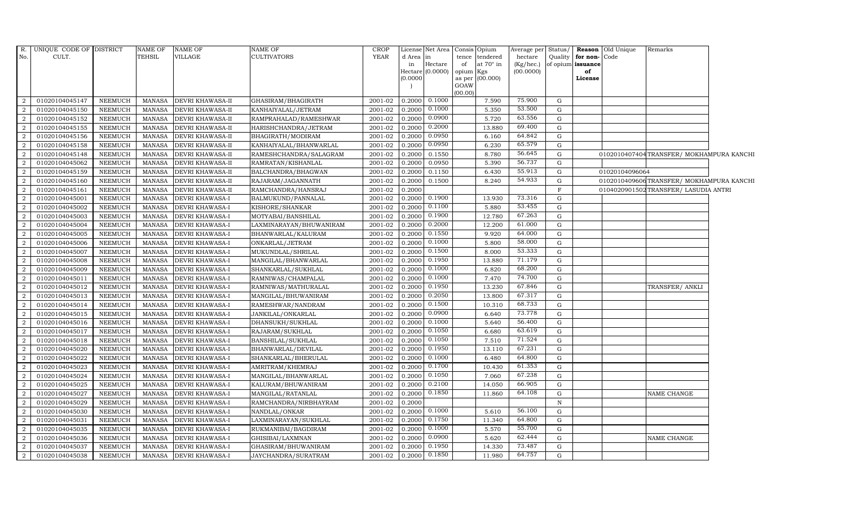| R.             | UNIQUE CODE OF DISTRICT |                | <b>NAME OF</b> | NAME OF                 | <b>NAME OF</b>           | <b>CROP</b> |                 | License Net Area Consis Opium |                 |                                    | Average per Status/  |             |                                           | Reason Old Unique | Remarks                                 |  |
|----------------|-------------------------|----------------|----------------|-------------------------|--------------------------|-------------|-----------------|-------------------------------|-----------------|------------------------------------|----------------------|-------------|-------------------------------------------|-------------------|-----------------------------------------|--|
| No.            | CULT.                   |                | TEHSIL         | VILLAGE                 | <b>CULTIVATORS</b>       | YEAR        | d Area in<br>in | Hectare                       | of              | tence tendered<br>at $70^\circ$ in | hectare<br>(Kg/hec.) |             | Quality for non-Code<br>of opium issuance |                   |                                         |  |
|                |                         |                |                |                         |                          |             |                 | Hectare $(0.0000)$            | opium Kgs       |                                    | (00.0000)            |             | of                                        |                   |                                         |  |
|                |                         |                |                |                         |                          |             | (0.0000)        |                               |                 | as per (00.000)                    |                      |             | License                                   |                   |                                         |  |
|                |                         |                |                |                         |                          |             |                 |                               | GOAW<br>(00.00) |                                    |                      |             |                                           |                   |                                         |  |
| 2              | 01020104045147          | NEEMUCH        | MANASA         | <b>DEVRI KHAWASA-II</b> | GHASIRAM/BHAGIRATH       | 2001-02     | 0.2000          | 0.1000                        |                 | 7.590                              | 75.900               | G           |                                           |                   |                                         |  |
| 2              | 01020104045150          | <b>NEEMUCH</b> | MANASA         | <b>DEVRI KHAWASA-II</b> | KANHAIYALAL/JETRAM       | 2001-02     | 0.2000          | 0.1000                        |                 | 5.350                              | 53.500               | G           |                                           |                   |                                         |  |
| <sup>2</sup>   | 01020104045152          | <b>NEEMUCH</b> | <b>MANASA</b>  | <b>DEVRI KHAWASA-II</b> | RAMPRAHALAD/RAMESHWAR    | 2001-02     | 0.2000          | 0.0900                        |                 | 5.720                              | 63.556               | G           |                                           |                   |                                         |  |
| 2              | 01020104045155          | NEEMUCH        | <b>MANASA</b>  | DEVRI KHAWASA-II        | HARISHCHANDRA/JETRAM     | 2001-02     | 0.2000          | 0.2000                        |                 | 13.880                             | 69.400               | G           |                                           |                   |                                         |  |
| 2              | 01020104045156          | <b>NEEMUCH</b> | <b>MANASA</b>  | <b>DEVRI KHAWASA-II</b> | BHAGIRATH/MODIRAM        | 2001-02     | 0.2000          | 0.0950                        |                 | 6.160                              | 64.842               | G           |                                           |                   |                                         |  |
| 2              | 01020104045158          | <b>NEEMUCH</b> | <b>MANASA</b>  | DEVRI KHAWASA-II        | KANHAIYALAL/BHANWARLAL   | 2001-02     | 0.2000          | 0.0950                        |                 | 6.230                              | 65.579               | G           |                                           |                   |                                         |  |
| 2              | 01020104045148          | NEEMUCH        | <b>MANASA</b>  | <b>DEVRI KHAWASA-II</b> | RAMESHCHANDRA/SALAGRAM   | 2001-02     | 0.2000          | 0.1550                        |                 | 8.780                              | 56.645               | G           |                                           |                   | 0102010407404TRANSFER/MOKHAMPURA KANCHI |  |
| 2              | 01020104045062          | <b>NEEMUCH</b> | <b>MANASA</b>  | DEVRI KHAWASA-II        | RAMRATAN/KISHANLAL       | 2001-02     | 0.2000          | 0.0950                        |                 | 5.390                              | 56.737               | G           |                                           |                   |                                         |  |
| 2              | 01020104045159          | <b>NEEMUCH</b> | <b>MANASA</b>  | DEVRI KHAWASA-II        | BALCHANDRA/BHAGWAN       | 2001-02     | 0.2000          | 0.1150                        |                 | 6.430                              | 55.913               | G           |                                           | 01020104096064    |                                         |  |
| $\overline{a}$ | 01020104045160          | <b>NEEMUCH</b> | <b>MANASA</b>  | <b>DEVRI KHAWASA-II</b> | RAJARAM/JAGANNATH        | 2001-02     | 0.2000          | 0.1500                        |                 | 8.240                              | 54.933               | G           |                                           |                   | 0102010409606TRANSFER/MOKHAMPURA KANCHI |  |
| 2              | 01020104045161          | NEEMUCH        | <b>MANASA</b>  | <b>DEVRI KHAWASA-II</b> | RAMCHANDRA/HANSRAJ       | 2001-02     | 0.2000          |                               |                 |                                    |                      | $\mathbf F$ |                                           |                   | 0104020901502 TRANSFER/ LASUDIA ANTRI   |  |
| 2              | 01020104045001          | <b>NEEMUCH</b> | <b>MANASA</b>  | <b>DEVRI KHAWASA-I</b>  | BALMUKUND/PANNALAL       | 2001-02     | 0.2000          | 0.1900                        |                 | 13.930                             | 73.316               | G           |                                           |                   |                                         |  |
| 2              | 01020104045002          | <b>NEEMUCH</b> | <b>MANASA</b>  | <b>DEVRI KHAWASA-I</b>  | KISHORE/SHANKAR          | 2001-02     | 0.2000          | 0.1100                        |                 | 5.880                              | 53.455               | G           |                                           |                   |                                         |  |
| 2              | 01020104045003          | <b>NEEMUCH</b> | <b>MANASA</b>  | <b>DEVRI KHAWASA-I</b>  | MOTYABAI/BANSHILAL       | 2001-02     | 0.2000          | 0.1900                        |                 | 12.780                             | 67.263               | G           |                                           |                   |                                         |  |
| 2              | 01020104045004          | <b>NEEMUCH</b> | <b>MANASA</b>  | <b>DEVRI KHAWASA-I</b>  | LAXMINARAYAN/BHUWANIRAM  | 2001-02     | 0.2000          | 0.2000                        |                 | 12.200                             | 61.000               | G           |                                           |                   |                                         |  |
| 2              | 01020104045005          | <b>NEEMUCH</b> | <b>MANASA</b>  | DEVRI KHAWASA-I         | BHANWARLAL/KALURAM       | 2001-02     | 0.2000          | 0.1550                        |                 | 9.920                              | 64.000               | G           |                                           |                   |                                         |  |
| 2              | 01020104045006          | <b>NEEMUCH</b> | <b>MANASA</b>  | DEVRI KHAWASA-I         | ONKARLAL/JETRAM          | 2001-02     | 0.2000          | 0.1000                        |                 | 5.800                              | 58.000               | G           |                                           |                   |                                         |  |
| 2              | 01020104045007          | NEEMUCH        | <b>MANASA</b>  | <b>DEVRI KHAWASA-I</b>  | MUKUNDLAL/SHRILAL        | 2001-02     | 0.2000          | 0.1500                        |                 | 8.000                              | 53.333               | G           |                                           |                   |                                         |  |
| 2              | 01020104045008          | <b>NEEMUCH</b> | <b>MANASA</b>  | <b>DEVRI KHAWASA-I</b>  | MANGILAL/BHANWARLAL      | 2001-02     | 0.2000          | 0.1950                        |                 | 13.880                             | 71.179               | G           |                                           |                   |                                         |  |
| 2              | 01020104045009          | <b>NEEMUCH</b> | <b>MANASA</b>  | <b>DEVRI KHAWASA-I</b>  | SHANKARLAL/SUKHLAL       | 2001-02     | 0.2000          | 0.1000                        |                 | 6.820                              | 68.200               | G           |                                           |                   |                                         |  |
| 2              | 01020104045011          | <b>NEEMUCH</b> | MANASA         | <b>DEVRI KHAWASA-I</b>  | RAMNIWAS/CHAMPALAL       | 2001-02     | 0.2000          | 0.1000                        |                 | 7.470                              | 74.700               | G           |                                           |                   |                                         |  |
| <sup>2</sup>   | 01020104045012          | <b>NEEMUCH</b> | MANASA         | <b>DEVRI KHAWASA-I</b>  | RAMNIWAS/MATHURALAL      | 2001-02     | 0.2000          | 0.1950                        |                 | 13.230                             | 67.846               | G           |                                           |                   | TRANSFER/ ANKLI                         |  |
| 2              | 01020104045013          | <b>NEEMUCH</b> | <b>MANASA</b>  | DEVRI KHAWASA-I         | MANGILAL/BHUWANIRAM      | 2001-02     | 0.2000          | 0.2050                        |                 | 13.800                             | 67.317               | G           |                                           |                   |                                         |  |
| 2              | 01020104045014          | <b>NEEMUCH</b> | <b>MANASA</b>  | DEVRI KHAWASA-I         | RAMESHWAR/NANDRAM        | 2001-02     | 0.2000          | 0.1500                        |                 | 10.310                             | 68.733               | G           |                                           |                   |                                         |  |
| 2              | 01020104045015          | <b>NEEMUCH</b> | <b>MANASA</b>  | <b>DEVRI KHAWASA-I</b>  | JANKILAL/ONKARLAL        | 2001-02     | 0.2000          | 0.0900                        |                 | 6.640                              | 73.778               | G           |                                           |                   |                                         |  |
| 2              | 01020104045016          | <b>NEEMUCH</b> | <b>MANASA</b>  | DEVRI KHAWASA-I         | DHANSUKH/SUKHLAL         | 2001-02     | 0.2000          | 0.1000                        |                 | 5.640                              | 56.400               | $\mathbf G$ |                                           |                   |                                         |  |
| 2              | 01020104045017          | <b>NEEMUCH</b> | <b>MANASA</b>  | <b>DEVRI KHAWASA-I</b>  | RAJARAM/SUKHLAL          | 2001-02     | 0.2000          | 0.1050                        |                 | 6.680                              | 63.619               | G           |                                           |                   |                                         |  |
| 2              | 01020104045018          | <b>NEEMUCH</b> | <b>MANASA</b>  | <b>DEVRI KHAWASA-I</b>  | <b>BANSHILAL/SUKHLAL</b> | 2001-02     | 0.2000          | 0.1050                        |                 | 7.510                              | 71.524               | G           |                                           |                   |                                         |  |
| 2              | 01020104045020          | <b>NEEMUCH</b> | <b>MANASA</b>  | <b>DEVRI KHAWASA-I</b>  | BHANWARLAL/DEVILAL       | 2001-02     | 0.2000          | 0.1950                        |                 | 13.110                             | 67.231               | G           |                                           |                   |                                         |  |
| 2              | 01020104045022          | <b>NEEMUCH</b> | <b>MANASA</b>  | <b>DEVRI KHAWASA-I</b>  | SHANKARLAL/BHERULAL      | 2001-02     | 0.2000          | 0.1000                        |                 | 6.480                              | 64.800               | G           |                                           |                   |                                         |  |
| $\overline{2}$ | 01020104045023          | <b>NEEMUCH</b> | <b>MANASA</b>  | <b>DEVRI KHAWASA-I</b>  | AMRITRAM/KHEMRAJ         | 2001-02     | 0.2000          | 0.1700                        |                 | 10.430                             | 61.353               | G           |                                           |                   |                                         |  |
| 2              | 01020104045024          | <b>NEEMUCH</b> | <b>MANASA</b>  | <b>DEVRI KHAWASA-I</b>  | MANGILAL/BHANWARLAL      | 2001-02     | 0.2000          | 0.1050                        |                 | 7.060                              | 67.238               | G           |                                           |                   |                                         |  |
| 2              | 01020104045025          | <b>NEEMUCH</b> | <b>MANASA</b>  | <b>DEVRI KHAWASA-I</b>  | KALURAM/BHUWANIRAM       | 2001-02     | 0.2000          | 0.2100                        |                 | 14.050                             | 66.905               | G           |                                           |                   |                                         |  |
| 2              | 01020104045027          | NEEMUCH        | <b>MANASA</b>  | <b>DEVRI KHAWASA-I</b>  | MANGILAL/RATANLAL        | 2001-02     | 0.2000          | 0.1850                        |                 | 11.860                             | 64.108               | G           |                                           |                   | NAME CHANGE                             |  |
| 2              | 01020104045029          | <b>NEEMUCH</b> | MANASA         | <b>DEVRI KHAWASA-I</b>  | RAMCHANDRA/NIRBHAYRAM    | 2001-02     | 0.2000          |                               |                 |                                    |                      | N           |                                           |                   |                                         |  |
| 2              | 01020104045030          | <b>NEEMUCH</b> | <b>MANASA</b>  | <b>DEVRI KHAWASA-I</b>  | NANDLAL/ONKAR            | 2001-02     | 0.2000          | 0.1000                        |                 | 5.610                              | 56.100               | G           |                                           |                   |                                         |  |
| 2              | 01020104045031          | <b>NEEMUCH</b> | <b>MANASA</b>  | <b>DEVRI KHAWASA-I</b>  | LAXMINARAYAN/SUKHLAL     | 2001-02     | 0.2000          | 0.1750                        |                 | 11.340                             | 64.800               | G           |                                           |                   |                                         |  |
| 2              | 01020104045035          | <b>NEEMUCH</b> | <b>MANASA</b>  | <b>DEVRI KHAWASA-I</b>  | RUKMANIBAI/BAGDIRAM      | 2001-02     | 0.2000          | 0.1000                        |                 | 5.570                              | 55.700               | G           |                                           |                   |                                         |  |
| 2              | 01020104045036          | <b>NEEMUCH</b> | <b>MANASA</b>  | DEVRI KHAWASA-I         | GHISIBAI/LAXMNAN         | 2001-02     | 0.2000          | 0.0900                        |                 | 5.620                              | 62.444               | G           |                                           |                   | NAME CHANGE                             |  |
| $\overline{a}$ | 01020104045037          | NEEMUCH        | MANASA         | <b>DEVRI KHAWASA-I</b>  | GHASIRAM/BHUWANIRAM      | 2001-02     | 0.2000          | 0.1950                        |                 | 14.330                             | 73.487               | G           |                                           |                   |                                         |  |
| 2              | 01020104045038          | NEEMUCH        | MANASA         | <b>DEVRI KHAWASA-I</b>  | JAYCHANDRA/SURATRAM      | 2001-02     | 0.2000          | 0.1850                        |                 | 11.980                             | 64.757               | $\mathbf G$ |                                           |                   |                                         |  |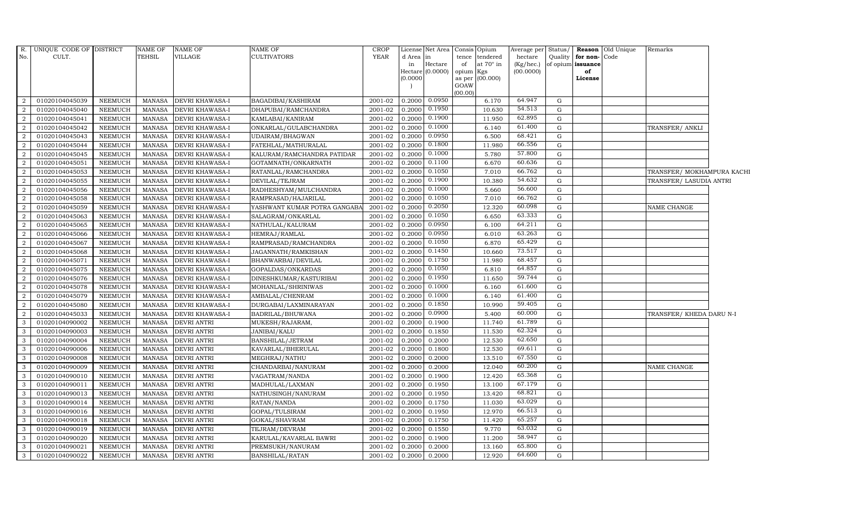|                | R. UNIQUE CODE OF DISTRICT |                | NAME OF       | <b>NAME OF</b>         | <b>NAME OF</b>               | CROP        |           | License Net Area   |           | Consis Opium    | Average per Status/ |             |                         | <b>Reason</b> Old Unique | Remarks                    |  |
|----------------|----------------------------|----------------|---------------|------------------------|------------------------------|-------------|-----------|--------------------|-----------|-----------------|---------------------|-------------|-------------------------|--------------------------|----------------------------|--|
| No.            | CULT.                      |                | <b>TEHSIL</b> | VILLAGE                | <b>CULTIVATORS</b>           | <b>YEAR</b> | d Area in |                    |           | tence tendered  | hectare             |             | Quality   for non- Code |                          |                            |  |
|                |                            |                |               |                        |                              |             | in        | Hectare            | of        | at 70° in       | (Kg/hec.)           |             | of opium issuance       |                          |                            |  |
|                |                            |                |               |                        |                              |             | (0.0000)  | Hectare $(0.0000)$ | opium Kgs | as per (00.000) | (00.0000)           |             | of<br>License           |                          |                            |  |
|                |                            |                |               |                        |                              |             |           |                    | GOAW      |                 |                     |             |                         |                          |                            |  |
|                |                            |                |               |                        |                              |             |           |                    | (00.00)   |                 |                     |             |                         |                          |                            |  |
| 2              | 01020104045039             | NEEMUCH        | MANASA        | <b>DEVRI KHAWASA-I</b> | <b>BAGADIBAI/KASHIRAM</b>    | 2001-02     | 0.2000    | 0.0950             |           | 6.170           | 64.947              | G           |                         |                          |                            |  |
| $\overline{2}$ | 01020104045040             | NEEMUCH        | <b>MANASA</b> | <b>DEVRI KHAWASA-I</b> | DHAPUBAI/RAMCHANDRA          | 2001-02     | 0.2000    | 0.1950             |           | 10.630          | 54.513              | G           |                         |                          |                            |  |
| <sup>2</sup>   | 01020104045041             | NEEMUCH        | MANASA        | <b>DEVRI KHAWASA-I</b> | KAMLABAI/KANIRAM             | 2001-02     | 0.2000    | 0.1900             |           | 11.950          | 62.895              | G           |                         |                          |                            |  |
| 2              | 01020104045042             | NEEMUCH        | <b>MANASA</b> | <b>DEVRI KHAWASA-I</b> | ONKARLAL/GULABCHANDRA        | 2001-02     | 0.2000    | 0.1000             |           | 6.140           | 61.400              | G           |                         |                          | TRANSFER/ ANKLI            |  |
| $\overline{2}$ | 01020104045043             | NEEMUCH        | <b>MANASA</b> | DEVRI KHAWASA-I        | UDAIRAM/BHAGWAN              | 2001-02     | 0.2000    | 0.0950             |           | 6.500           | 68.421              | ${\rm G}$   |                         |                          |                            |  |
| 2              | 01020104045044             | NEEMUCH        | <b>MANASA</b> | <b>DEVRI KHAWASA-I</b> | FATEHLAL/MATHURALAL          | 2001-02     | 0.2000    | 0.1800             |           | 11.980          | 66.556              | G           |                         |                          |                            |  |
| 2              | 01020104045045             | NEEMUCH        | MANASA        | DEVRI KHAWASA-I        | KALURAM/RAMCHANDRA PATIDAR   | 2001-02     | 0.2000    | 0.1000             |           | 5.780           | 57.800              | $\mathbf G$ |                         |                          |                            |  |
| 2              | 01020104045051             | NEEMUCH        | MANASA        | <b>DEVRI KHAWASA-I</b> | GOTAMNATH/ONKARNATH          | 2001-02     | 0.2000    | 0.1100             |           | 6.670           | 60.636              | G           |                         |                          |                            |  |
| 2              | 01020104045053             | <b>NEEMUCH</b> | <b>MANASA</b> | <b>DEVRI KHAWASA-I</b> | RATANLAL/RAMCHANDRA          | 2001-02     | 0.2000    | 0.1050             |           | 7.010           | 66.762              | G           |                         |                          | TRANSFER/ MOKHAMPURA KACHI |  |
| $\overline{2}$ | 01020104045055             | <b>NEEMUCH</b> | <b>MANASA</b> | DEVRI KHAWASA-I        | DEVILAL/TEJRAM               | 2001-02     | 0.2000    | 0.1900             |           | 10.380          | 54.632              | $\mathbf G$ |                         |                          | TRANSFER/ LASUDIA ANTRI    |  |
| 2              | 01020104045056             | <b>NEEMUCH</b> | <b>MANASA</b> | <b>DEVRI KHAWASA-I</b> | RADHESHYAM/MULCHANDRA        | 2001-02     | 0.2000    | 0.1000             |           | 5.660           | 56.600              | G           |                         |                          |                            |  |
| 2              | 01020104045058             | NEEMUCH        | <b>MANASA</b> | <b>DEVRI KHAWASA-I</b> | RAMPRASAD/HAJARILAL          | 2001-02     | 0.2000    | 0.1050             |           | 7.010           | 66.762              | G           |                         |                          |                            |  |
| 2              | 01020104045059             | NEEMUCH        | <b>MANASA</b> | DEVRI KHAWASA-I        | YASHWANT KUMAR POTRA GANGABA | 2001-02     | 0.2000    | 0.2050             |           | 12.320          | 60.098              | G           |                         |                          | NAME CHANGE                |  |
| 2              | 01020104045063             | NEEMUCH        | <b>MANASA</b> | <b>DEVRI KHAWASA-I</b> | SALAGRAM/ONKARLAL            | 2001-02     | 0.2000    | 0.1050             |           | 6.650           | 63.333              | G           |                         |                          |                            |  |
| $\overline{2}$ | 01020104045065             | <b>NEEMUCH</b> | <b>MANASA</b> | <b>DEVRI KHAWASA-I</b> | NATHULAL/KALURAM             | 2001-02     | 0.2000    | 0.0950             |           | 6.100           | 64.211              | G           |                         |                          |                            |  |
| $\overline{2}$ | 01020104045066             | NEEMUCH        | <b>MANASA</b> | <b>DEVRI KHAWASA-I</b> | HEMRAJ/RAMLAL                | 2001-02     | 0.2000    | 0.0950             |           | 6.010           | 63.263              | $\mathbf G$ |                         |                          |                            |  |
| 2              | 01020104045067             | NEEMUCH        | <b>MANASA</b> | DEVRI KHAWASA-I        | RAMPRASAD/RAMCHANDRA         | 2001-02     | 0.2000    | 0.1050             |           | 6.870           | 65.429              | G           |                         |                          |                            |  |
| 2              | 01020104045068             | <b>NEEMUCH</b> | <b>MANASA</b> | DEVRI KHAWASA-I        | JAGANNATH/RAMKISHAN          | 2001-02     | 0.2000    | 0.1450             |           | 10.660          | 73.517              | $\mathbf G$ |                         |                          |                            |  |
| 2              | 01020104045071             | NEEMUCH        | <b>MANASA</b> | <b>DEVRI KHAWASA-I</b> | BHANWARBAI/DEVILAL           | 2001-02     | 0.2000    | 0.1750             |           | 11.980          | 68.457              | G           |                         |                          |                            |  |
| $\overline{2}$ | 01020104045075             | <b>NEEMUCH</b> | <b>MANASA</b> | DEVRI KHAWASA-I        | GOPALDAS/ONKARDAS            | 2001-02     | 0.2000    | 0.1050             |           | 6.810           | 64.857              | G           |                         |                          |                            |  |
| 2              | 01020104045076             | <b>NEEMUCH</b> | <b>MANASA</b> | DEVRI KHAWASA-I        | DINESHKUMAR/KASTURIBAI       | 2001-02     | 0.2000    | 0.1950             |           | 11.650          | 59.744              | $\mathbf G$ |                         |                          |                            |  |
| 2              | 01020104045078             | NEEMUCH        | <b>MANASA</b> | <b>DEVRI KHAWASA-I</b> | MOHANLAL/SHRINIWAS           | 2001-02     | 0.2000    | 0.1000             |           | 6.160           | 61.600              | G           |                         |                          |                            |  |
| 2              | 01020104045079             | NEEMUCH        | <b>MANASA</b> | DEVRI KHAWASA-I        | AMBALAL/CHENRAM              | 2001-02     | 0.2000    | 0.1000             |           | 6.140           | 61.400              | G           |                         |                          |                            |  |
| 2              | 01020104045080             | NEEMUCH        | <b>MANASA</b> | <b>DEVRI KHAWASA-I</b> | DURGABAI/LAXMINARAYAN        | 2001-02     | 0.2000    | 0.1850             |           | 10.990          | 59.405              | $\mathbf G$ |                         |                          |                            |  |
| $\overline{2}$ | 01020104045033             | NEEMUCH        | <b>MANASA</b> | DEVRI KHAWASA-I        | BADRILAL/BHUWANA             | 2001-02     | 0.2000    | 0.0900             |           | 5.400           | 60.000              | G           |                         |                          | TRANSFER/KHEDA DARUN-I     |  |
| $\mathbf{3}$   | 01020104090002             | <b>NEEMUCH</b> | <b>MANASA</b> | <b>DEVRI ANTRI</b>     | MUKESH/RAJARAM,              | 2001-02     | 0.2000    | 0.1900             |           | 11.740          | 61.789              | G           |                         |                          |                            |  |
| $\mathbf{3}$   | 01020104090003             | NEEMUCH        | <b>MANASA</b> | <b>DEVRI ANTRI</b>     | JANIBAI/KALU                 | 2001-02     | 0.2000    | 0.1850             |           | 11.530          | 62.324              | G           |                         |                          |                            |  |
| $\mathbf{3}$   | 01020104090004             | NEEMUCH        | <b>MANASA</b> | <b>DEVRI ANTRI</b>     | BANSHILAL/JETRAM             | 2001-02     | 0.2000    | 0.2000             |           | 12.530          | 62.650              | G           |                         |                          |                            |  |
| -3             | 01020104090006             | NEEMUCH        | MANASA        | <b>DEVRI ANTRI</b>     | KAVARLAL/BHERULAL            | 2001-02     | 0.2000    | 0.1800             |           | 12.530          | 69.611              | $\mathbf G$ |                         |                          |                            |  |
| 3              | 01020104090008             | <b>NEEMUCH</b> | <b>MANASA</b> | DEVRI ANTRI            | MEGHRAJ/NATHU                | 2001-02     | 0.2000    | 0.2000             |           | 13.510          | 67.550              | $\mathbf G$ |                         |                          |                            |  |
| 3              | 01020104090009             | <b>NEEMUCH</b> | <b>MANASA</b> | <b>DEVRI ANTRI</b>     | CHANDARBAI/NANURAM           | 2001-02     | 0.2000    | 0.2000             |           | 12.040          | 60.200              | G           |                         |                          | NAME CHANGE                |  |
| 3              | 01020104090010             | <b>NEEMUCH</b> | <b>MANASA</b> | <b>DEVRI ANTRI</b>     | VAGATRAM/NANDA               | 2001-02     | 0.2000    | 0.1900             |           | 12.420          | 65.368              | $\mathbf G$ |                         |                          |                            |  |
| $\mathbf{3}$   | 01020104090011             | NEEMUCH        | MANASA        | DEVRI ANTRI            | MADHULAL/LAXMAN              | 2001-02     | 0.2000    | 0.1950             |           | 13.100          | 67.179              | G           |                         |                          |                            |  |
| 3              | 01020104090013             | <b>NEEMUCH</b> | <b>MANASA</b> | <b>DEVRI ANTRI</b>     | NATHUSINGH/NANURAM           | 2001-02     | 0.2000    | 0.1950             |           | 13.420          | 68.821              | G           |                         |                          |                            |  |
| 3              | 01020104090014             | NEEMUCH        | <b>MANASA</b> | <b>DEVRI ANTRI</b>     | RATAN/NANDA                  | 2001-02     | 0.2000    | 0.1750             |           | 11.030          | 63.029              | G           |                         |                          |                            |  |
| 3              | 01020104090016             | <b>NEEMUCH</b> | <b>MANASA</b> | <b>DEVRI ANTRI</b>     | GOPAL/TULSIRAM               | 2001-02     | 0.2000    | 0.1950             |           | 12.970          | 66.513              | G           |                         |                          |                            |  |
| $\mathbf{3}$   | 01020104090018             | <b>NEEMUCH</b> | <b>MANASA</b> | <b>DEVRI ANTRI</b>     | GOKAL/SHAVRAM                | 2001-02     | 0.2000    | 0.1750             |           | 11.420          | 65.257              | $\mathbf G$ |                         |                          |                            |  |
| $\mathbf{3}$   | 01020104090019             | NEEMUCH        | <b>MANASA</b> | DEVRI ANTRI            | TEJRAM/DEVRAM                | 2001-02     | 0.2000    | 0.1550             |           | 9.770           | 63.032              | G           |                         |                          |                            |  |
| -3             | 01020104090020             | <b>NEEMUCH</b> | <b>MANASA</b> | <b>DEVRI ANTRI</b>     | KARULAL/KAVARLAL BAWRI       | 2001-02     | 0.2000    | 0.1900             |           | 11.200          | 58.947              | G           |                         |                          |                            |  |
| 3              | 01020104090021             | NEEMUCH        | <b>MANASA</b> | <b>DEVRI ANTRI</b>     | PREMSUKH/NANURAM             | 2001-02     | 0.2000    | 0.2000             |           | 13.160          | 65.800              | $\mathbf G$ |                         |                          |                            |  |
| 3              | 01020104090022             | NEEMUCH        | MANASA        | <b>DEVRI ANTRI</b>     | <b>BANSHILAL/RATAN</b>       | 2001-02     | 0.2000    | 0.2000             |           | 12.920          | 64.600              | G           |                         |                          |                            |  |
|                |                            |                |               |                        |                              |             |           |                    |           |                 |                     |             |                         |                          |                            |  |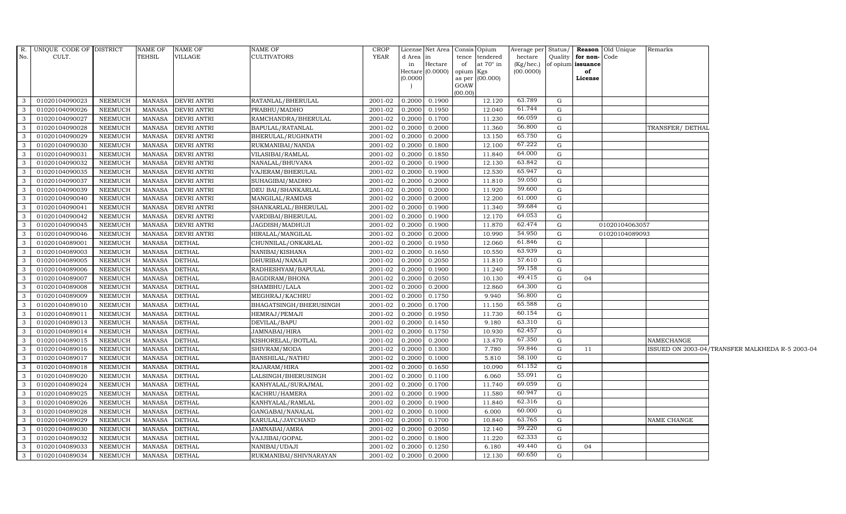|                | R. UNIQUE CODE OF DISTRICT |                | NAME OF       | <b>NAME OF</b>     | NAME OF                | CROP                   | License Net Area Consis Opium            |         |                 |           |              |                      | Average per Status/ <b>Reason</b> Old Unique | Remarks         |                                                 |
|----------------|----------------------------|----------------|---------------|--------------------|------------------------|------------------------|------------------------------------------|---------|-----------------|-----------|--------------|----------------------|----------------------------------------------|-----------------|-------------------------------------------------|
| No.            | CULT.                      |                | TEHSIL        | VILLAGE            | <b>CULTIVATORS</b>     | <b>YEAR</b>            | d Area in                                |         | tence tendered  | hectare   |              | Quality for non-Code |                                              |                 |                                                 |
|                |                            |                |               |                    |                        |                        | Hectare<br>in                            | of      | at 70° in       | (Kg/hec.) |              | of opium issuance    |                                              |                 |                                                 |
|                |                            |                |               |                    |                        |                        | Hectare $(0.0000)$ opium Kgs<br>(0.0000) |         | as per (00.000) | (00.0000) |              | of<br>License        |                                              |                 |                                                 |
|                |                            |                |               |                    |                        |                        |                                          | GOAW    |                 |           |              |                      |                                              |                 |                                                 |
|                |                            |                |               |                    |                        |                        |                                          | (00.00) |                 |           |              |                      |                                              |                 |                                                 |
| $\mathbf{3}$   | 01020104090023             | NEEMUCH        | MANASA        | <b>DEVRI ANTRI</b> | RATANLAL/BHERULAL      | 2001-02                | 0.1900<br>0.2000                         |         | 12.120          | 63.789    | G            |                      |                                              |                 |                                                 |
| -3             | 01020104090026             | <b>NEEMUCH</b> | <b>MANASA</b> | <b>DEVRI ANTRI</b> | PRABHU/MADHO           | 2001-02                | 0.2000<br>0.1950                         |         | 12.040          | 61.744    | G            |                      |                                              |                 |                                                 |
| -3             | 01020104090027             | NEEMUCH        | <b>MANASA</b> | <b>DEVRI ANTRI</b> | RAMCHANDRA/BHERULAL    | 2001-02                | 0.2000<br>0.1700                         |         | 11.230          | 66.059    | G            |                      |                                              |                 |                                                 |
| 3              | 01020104090028             | NEEMUCH        | MANASA        | <b>DEVRI ANTRI</b> | BAPULAL/RATANLAL       | 2001-02                | 0.2000<br>0.2000                         |         | 11.360          | 56.800    | G            |                      |                                              | TRANSFER/DETHAL |                                                 |
| $\mathbf{3}$   | 01020104090029             | NEEMUCH        | <b>MANASA</b> | <b>DEVRI ANTRI</b> | BHERULAL/RUGHNATH      | 2001-02                | 0.2000<br>0.2000                         |         | 13.150          | 65.750    | G            |                      |                                              |                 |                                                 |
| $\mathbf{3}$   | 01020104090030             | NEEMUCH        | <b>MANASA</b> | <b>DEVRI ANTRI</b> | RUKMANIBAI/NANDA       | 2001-02                | 0.2000<br>0.1800                         |         | 12.100          | 67.222    | G            |                      |                                              |                 |                                                 |
| $\mathbf{3}$   | 01020104090031             | NEEMUCH        | <b>MANASA</b> | <b>DEVRI ANTRI</b> | VILASIBAI/RAMLAL       | 2001-02                | 0.2000<br>0.1850                         |         | 11.840          | 64.000    | G            |                      |                                              |                 |                                                 |
| $\mathbf{3}$   | 01020104090032             | NEEMUCH        | <b>MANASA</b> | <b>DEVRI ANTRI</b> | NANALAL/BHUVANA        | 2001-02                | 0.1900<br>0.2000                         |         | 12.130          | 63.842    | G            |                      |                                              |                 |                                                 |
| $\mathcal{E}$  | 01020104090035             | <b>NEEMUCH</b> | <b>MANASA</b> | <b>DEVRI ANTRI</b> | VAJERAM/BHERULAL       | 2001-02                | 0.1900<br>0.2000                         |         | 12.530          | 65.947    | G            |                      |                                              |                 |                                                 |
| $\mathbf{3}$   | 01020104090037             | NEEMUCH        | <b>MANASA</b> | <b>DEVRI ANTRI</b> | SUHAGIBAI/MADHO        | 2001-02                | 0.2000<br>0.2000                         |         | 11.810          | 59.050    | G            |                      |                                              |                 |                                                 |
| $\mathbf{3}$   | 01020104090039             | NEEMUCH        | <b>MANASA</b> | <b>DEVRI ANTRI</b> | DEU BAI/SHANKARLAL     | 2001-02                | 0.2000<br>0.2000                         |         | 11.920          | 59.600    | G            |                      |                                              |                 |                                                 |
| $\mathbf{3}$   | 01020104090040             | <b>NEEMUCH</b> | <b>MANASA</b> | <b>DEVRI ANTRI</b> | MANGILAL/RAMDAS        | 2001-02                | 0.2000<br>0.2000                         |         | 12.200          | 61.000    | G            |                      |                                              |                 |                                                 |
| $\mathbf{3}$   | 01020104090041             | NEEMUCH        | MANASA        | <b>DEVRI ANTRI</b> | SHANKARLAL/BHERULAL    | 2001-02                | 0.2000<br>0.1900                         |         | 11.340          | 59.684    | G            |                      |                                              |                 |                                                 |
| -3             | 01020104090042             | <b>NEEMUCH</b> | <b>MANASA</b> | <b>DEVRI ANTRI</b> | VARDIBAI/BHERULAL      | 2001-02                | 0.1900<br>0.2000                         |         | 12.170          | 64.053    | G            |                      |                                              |                 |                                                 |
| -3             | 01020104090045             | NEEMUCH        | <b>MANASA</b> | <b>DEVRI ANTRI</b> | JAGDISH/MADHUJI        | 2001-02                | 0.2000<br>0.1900                         |         | 11.870          | 62.474    | G            |                      | 01020104063057                               |                 |                                                 |
| $\mathbf{3}$   | 01020104090046             | NEEMUCH        | MANASA        | <b>DEVRI ANTRI</b> | HIRALAL/MANGILAL       | 2001-02                | 0.2000<br>0.2000                         |         | 10.990          | 54.950    | G            |                      | 01020104089093                               |                 |                                                 |
| $\mathbf{3}$   | 01020104089001             | NEEMUCH        | <b>MANASA</b> | <b>DETHAL</b>      | CHUNNILAL/ONKARLAL     | 2001-02                | 0.1950<br>0.2000                         |         | 12.060          | 61.846    | G            |                      |                                              |                 |                                                 |
| $\mathbf{3}$   | 01020104089003             | NEEMUCH        | <b>MANASA</b> | <b>DETHAL</b>      | NANIBAI/KISHANA        | 2001-02                | 0.1650<br>0.2000                         |         | 10.550          | 63.939    | $\mathbf{G}$ |                      |                                              |                 |                                                 |
| $\mathbf{3}$   | 01020104089005             | NEEMUCH        | <b>MANASA</b> | <b>DETHAL</b>      | DHURIBAI/NANAJI        | 2001-02                | 0.2000<br>0.2050                         |         | 11.810          | 57.610    | G            |                      |                                              |                 |                                                 |
| - 3            | 01020104089006             | <b>NEEMUCH</b> | <b>MANASA</b> | <b>DETHAL</b>      | RADHESHYAM/BAPULAL     | 2001-02                | 0.2000<br>0.1900                         |         | 11.240          | 59.158    | G            |                      |                                              |                 |                                                 |
| 3              | 01020104089007             | NEEMUCH        | <b>MANASA</b> | <b>DETHAL</b>      | BAGDIRAM/BHONA         | 2001-02                | 0.2000<br>0.2050                         |         | 10.130          | 49.415    | G            | 04                   |                                              |                 |                                                 |
| $\mathbf{3}$   | 01020104089008             | NEEMUCH        | MANASA        | <b>DETHAL</b>      | SHAMBHU/LALA           | 2001-02                | 0.2000<br>0.2000                         |         | 12.860          | 64.300    | G            |                      |                                              |                 |                                                 |
| $\mathbf{3}$   | 01020104089009             | NEEMUCH        | <b>MANASA</b> | <b>DETHAL</b>      | MEGHRAJ/KACHRU         | 2001-02                | 0.2000<br>0.1750                         |         | 9.940           | 56.800    | G            |                      |                                              |                 |                                                 |
| $\mathbf{3}$   | 01020104089010             | <b>NEEMUCH</b> | <b>MANASA</b> | <b>DETHAL</b>      | BHAGATSINGH/BHERUSINGH | 2001-02                | 0.1700<br>0.2000                         |         | 11.150          | 65.588    | G            |                      |                                              |                 |                                                 |
| $\mathbf{3}$   | 01020104089011             | NEEMUCH        | <b>MANASA</b> | <b>DETHAL</b>      | HEMRAJ/PEMAJI          | 2001-02                | 0.2000<br>0.1950                         |         | 11.730          | 60.154    | G            |                      |                                              |                 |                                                 |
| -3             | 01020104089013             | NEEMUCH        | <b>MANASA</b> | <b>DETHAL</b>      | DEVILAL/BAPU           | 2001-02                | 0.2000<br>0.1450                         |         | 9.180           | 63.310    | G            |                      |                                              |                 |                                                 |
| 3              | 01020104089014             | NEEMUCH        | <b>MANASA</b> | <b>DETHAL</b>      | JAMNABAI/HIRA          | 2001-02                | 0.2000<br>0.1750                         |         | 10.930          | 62.457    | G            |                      |                                              |                 |                                                 |
| $\mathbf{3}$   | 01020104089015             | NEEMUCH        | <b>MANASA</b> | <b>DETHAL</b>      | KISHORELAL/BOTLAL      | 2001-02                | 0.2000<br>0.2000                         |         | 13.470          | 67.350    | G            |                      |                                              | NAMECHANGE      |                                                 |
| $\mathbf{3}$   | 01020104089016             | NEEMUCH        | <b>MANASA</b> | <b>DETHAL</b>      | SHIVRAM/MODA           | 2001-02                | 0.2000<br>0.1300                         |         | 7.780           | 59.846    | G            | 11                   |                                              |                 | ISSUED ON 2003-04/TRANSFER MALKHEDA R-5 2003-04 |
| $\mathbf{3}$   | 01020104089017             | NEEMUCH        | <b>MANASA</b> | <b>DETHAL</b>      | BANSHILAL/NATHU        | 2001-02                | 0.2000<br>0.1000                         |         | 5.810           | 58.100    | G            |                      |                                              |                 |                                                 |
| $\mathbf{3}$   | 01020104089018             | <b>NEEMUCH</b> | <b>MANASA</b> | <b>DETHAL</b>      | RAJARAM/HIRA           | 2001-02                | 0.1650<br>0.2000                         |         | 10.090          | 61.152    | G            |                      |                                              |                 |                                                 |
| $\mathcal{E}$  | 01020104089020             | <b>NEEMUCH</b> | <b>MANASA</b> | <b>DETHAL</b>      | LALSINGH/BHERUSINGH    | 2001-02                | 0.2000<br>0.1100                         |         | 6.060           | 55.091    | G            |                      |                                              |                 |                                                 |
| $\mathbf{3}$   | 01020104089024             | NEEMUCH        | <b>MANASA</b> | <b>DETHAL</b>      | KANHYALAL/SURAJMAL     | 2001-02                | 0.2000<br>0.1700                         |         | 11.740          | 69.059    | G            |                      |                                              |                 |                                                 |
| $\mathbf{3}$   | 01020104089025             | NEEMUCH        | <b>MANASA</b> | <b>DETHAL</b>      | KACHRU/HAMERA          | 2001-02                | 0.2000<br>0.1900                         |         | 11.580          | 60.947    | G            |                      |                                              |                 |                                                 |
| $\mathbf{3}$   | 01020104089026             | NEEMUCH        | <b>MANASA</b> | <b>DETHAL</b>      | KANHYALAL/RAMLAL       | $2001 - 02$            | 0.1900<br>0.2000                         |         | 11.840          | 62.316    | G            |                      |                                              |                 |                                                 |
| $\mathbf{3}$   | 01020104089028             | NEEMUCH        | MANASA        | <b>DETHAL</b>      | GANGABAI/NANALAL       | 2001-02                | 0.1000<br>0.2000                         |         | 6.000           | 60.000    | G            |                      |                                              |                 |                                                 |
| $\overline{3}$ | 01020104089029             | NEEMUCH        | <b>MANASA</b> | <b>DETHAL</b>      | KARULAL/JAYCHAND       | 2001-02                | 0.2000<br>0.1700                         |         | 10.840          | 63.765    | G            |                      |                                              | NAME CHANGE     |                                                 |
| 3              | 01020104089030             | <b>NEEMUCH</b> | <b>MANASA</b> | <b>DETHAL</b>      | JAMNABAI/AMRA          | 2001-02                | 0.2000<br>0.2050                         |         | 12.140          | 59.220    | G            |                      |                                              |                 |                                                 |
| $\mathbf{3}$   | 01020104089032             | NEEMUCH        | <b>MANASA</b> | <b>DETHAL</b>      | VAJJIBAI/GOPAL         | 2001-02                | 0.2000<br>0.1800                         |         | 11.220          | 62.333    | G            |                      |                                              |                 |                                                 |
| $\mathbf{3}$   | 01020104089033             | NEEMUCH        | MANASA        | <b>DETHAL</b>      | NANIBAI/UDAJI          | 2001-02                | 0.2000<br>0.1250                         |         | 6.180           | 49.440    | G            | 04                   |                                              |                 |                                                 |
| $\mathbf{3}$   | 01020104089034             | NEEMUCH        | MANASA        | <b>DETHAL</b>      | RUKMANIBAI/SHIVNARAYAN | $\overline{2001} - 02$ | 0.2000<br>0.2000                         |         | 12.130          | 60.650    | $\mathbf{G}$ |                      |                                              |                 |                                                 |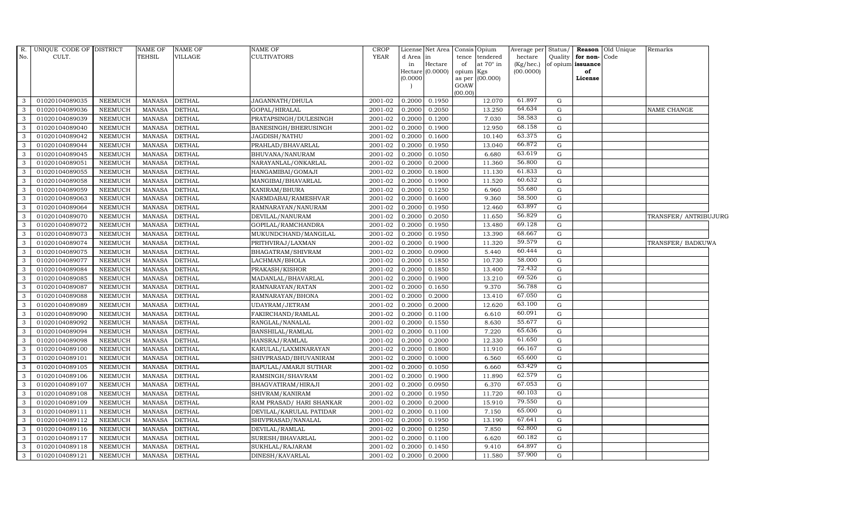| R.<br>No.    | UNIQUE CODE OF DISTRICT<br>CULT. |                | NAME OF<br><b>TEHSIL</b> | <b>NAME OF</b><br>VILLAGE | <b>NAME OF</b><br><b>CULTIVATORS</b> | <b>CROP</b><br><b>YEAR</b> | d Area  in<br>in<br>(0.0000) | License Net Area Consis<br>$\rm{Hectare}$<br>Hectare (0.0000) | Opium<br>tence<br>tendered<br>at $70^\circ$ in<br>of<br>Kgs<br>opium<br>(00.000)<br>as per<br>GOAW | Average per Status/<br>hectare<br>(Kg/hec.)<br>(00.0000) | Quality     | for non-<br>of opium issuance<br>of<br>License | Reason Old Unique<br>Code | Remarks               |  |
|--------------|----------------------------------|----------------|--------------------------|---------------------------|--------------------------------------|----------------------------|------------------------------|---------------------------------------------------------------|----------------------------------------------------------------------------------------------------|----------------------------------------------------------|-------------|------------------------------------------------|---------------------------|-----------------------|--|
|              |                                  |                |                          |                           |                                      |                            |                              |                                                               | (00.00)                                                                                            |                                                          |             |                                                |                           |                       |  |
| 3            | 01020104089035                   | NEEMUCH        | MANASA                   | <b>DETHAL</b>             | JAGANNATH/DHULA                      | 2001-02                    | 0.2000                       | 0.1950                                                        | 12.070                                                                                             | 61.897                                                   | G           |                                                |                           |                       |  |
| 3            | 01020104089036                   | <b>NEEMUCH</b> | <b>MANASA</b>            | <b>DETHAL</b>             | GOPAL/HIRALAL                        | 2001-02                    | 0.2000                       | 0.2050                                                        | 13.250                                                                                             | 64.634                                                   | ${\rm G}$   |                                                |                           | NAME CHANGE           |  |
| 3            | 01020104089039                   | <b>NEEMUCH</b> | <b>MANASA</b>            | <b>DETHAL</b>             | PRATAPSINGH/DULESINGH                | 2001-02                    | 0.2000                       | 0.1200                                                        | 7.030                                                                                              | 58.583                                                   | G           |                                                |                           |                       |  |
| 3            | 01020104089040                   | <b>NEEMUCH</b> | <b>MANASA</b>            | <b>DETHAL</b>             | BANESINGH/BHERUSINGH                 | 2001-02                    | 0.2000                       | 0.1900                                                        | 12.950                                                                                             | 68.158                                                   | ${\rm G}$   |                                                |                           |                       |  |
| 3            | 01020104089042                   | <b>NEEMUCH</b> | <b>MANASA</b>            | <b>DETHAL</b>             | JAGDISH/NATHU                        | 2001-02                    | 0.2000                       | 0.1600                                                        | 10.140                                                                                             | 63.375                                                   | ${\rm G}$   |                                                |                           |                       |  |
| 3            | 01020104089044                   | NEEMUCH        | <b>MANASA</b>            | <b>DETHAL</b>             | PRAHLAD/BHAVARLAL                    | 2001-02                    | 0.2000                       | 0.1950                                                        | 13.040                                                                                             | 66.872                                                   | G           |                                                |                           |                       |  |
| 3            | 01020104089045                   | <b>NEEMUCH</b> | <b>MANASA</b>            | <b>DETHAL</b>             | BHUVANA/NANURAM                      | 2001-02                    | 0.2000                       | 0.1050                                                        | 6.680                                                                                              | 63.619                                                   | ${\rm G}$   |                                                |                           |                       |  |
| 3            | 01020104089051                   | <b>NEEMUCH</b> | <b>MANASA</b>            | <b>DETHAL</b>             | NARAYANLAL/ONKARLAL                  | 2001-02                    | 0.2000                       | 0.2000                                                        | 11.360                                                                                             | 56.800                                                   | G           |                                                |                           |                       |  |
| 3            | 01020104089055                   | <b>NEEMUCH</b> | <b>MANASA</b>            | <b>DETHAL</b>             | HANGAMIBAI/GOMAJI                    | 2001-02                    | 0.2000                       | 0.1800                                                        | 11.130                                                                                             | 61.833                                                   | G           |                                                |                           |                       |  |
| 3            | 01020104089058                   | <b>NEEMUCH</b> | <b>MANASA</b>            | <b>DETHAL</b>             | MANGIBAI/BHAVARLAL                   | 2001-02                    | 0.2000                       | 0.1900                                                        | 11.520                                                                                             | 60.632                                                   | G           |                                                |                           |                       |  |
| 3            | 01020104089059                   | NEEMUCH        | <b>MANASA</b>            | <b>DETHAL</b>             | KANIRAM/BHURA                        | 2001-02                    | 0.2000                       | 0.1250                                                        | 6.960                                                                                              | 55.680                                                   | G           |                                                |                           |                       |  |
| 3            | 01020104089063                   | <b>NEEMUCH</b> | <b>MANASA</b>            | <b>DETHAL</b>             | NARMDABAI/RAMESHVAR                  | 2001-02                    | 0.2000                       | 0.1600                                                        | 9.360                                                                                              | 58.500                                                   | G           |                                                |                           |                       |  |
| $\mathbf{3}$ | 01020104089064                   | <b>NEEMUCH</b> | <b>MANASA</b>            | <b>DETHAL</b>             | RAMNARAYAN/NANURAM                   | 2001-02                    | 0.2000                       | 0.1950                                                        | 12.460                                                                                             | 63.897                                                   | G           |                                                |                           |                       |  |
| 3            | 01020104089070                   | <b>NEEMUCH</b> | <b>MANASA</b>            | <b>DETHAL</b>             | DEVILAL/NANURAM                      | 2001-02                    | 0.2000                       | 0.2050                                                        | 11.650                                                                                             | 56.829                                                   | G           |                                                |                           | TRANSFER/ ANTRIBUJURG |  |
| 3            | 01020104089072                   | <b>NEEMUCH</b> | <b>MANASA</b>            | <b>DETHAL</b>             | GOPILAL/RAMCHANDRA                   | 2001-02                    | 0.2000                       | 0.1950                                                        | 13.480                                                                                             | 69.128                                                   | ${\rm G}$   |                                                |                           |                       |  |
| 3            | 01020104089073                   | <b>NEEMUCH</b> | <b>MANASA</b>            | <b>DETHAL</b>             | MUKUNDCHAND/MANGILAL                 | 2001-02                    | 0.2000                       | 0.1950                                                        | 13.390                                                                                             | 68.667                                                   | ${\rm G}$   |                                                |                           |                       |  |
| 3            | 01020104089074                   | <b>NEEMUCH</b> | <b>MANASA</b>            | <b>DETHAL</b>             | PRITHVIRAJ/LAXMAN                    | 2001-02                    | 0.2000                       | 0.1900                                                        | 11.320                                                                                             | 59.579                                                   | G           |                                                |                           | TRANSFER/ BADKUWA     |  |
| $\mathbf{3}$ | 01020104089075                   | <b>NEEMUCH</b> | <b>MANASA</b>            | <b>DETHAL</b>             | BHAGATRAM/SHIVRAM                    | 2001-02                    | 0.2000                       | 0.0900                                                        | 5.440                                                                                              | 60.444                                                   | G           |                                                |                           |                       |  |
| 3            | 01020104089077                   | <b>NEEMUCH</b> | <b>MANASA</b>            | <b>DETHAL</b>             | LACHMAN/BHOLA                        | 2001-02                    | 0.2000                       | 0.1850                                                        | 10.730                                                                                             | 58.000                                                   | G           |                                                |                           |                       |  |
| 3            | 01020104089084                   | <b>NEEMUCH</b> | <b>MANASA</b>            | <b>DETHAL</b>             | PRAKASH/KISHOR                       | 2001-02                    | 0.2000                       | 0.1850                                                        | 13.400                                                                                             | 72.432                                                   | G           |                                                |                           |                       |  |
| 3            | 01020104089085                   | <b>NEEMUCH</b> | <b>MANASA</b>            | <b>DETHAL</b>             | MADANLAL/BHAVARLAL                   | 2001-02                    | 0.2000                       | 0.1900                                                        | 13.210                                                                                             | 69.526                                                   | G           |                                                |                           |                       |  |
| 3            | 01020104089087                   | <b>NEEMUCH</b> | <b>MANASA</b>            | <b>DETHAL</b>             | RAMNARAYAN/RATAN                     | 2001-02                    | 0.2000                       | 0.1650                                                        | 9.370                                                                                              | 56.788                                                   | G           |                                                |                           |                       |  |
| $\mathbf{3}$ | 01020104089088                   | <b>NEEMUCH</b> | <b>MANASA</b>            | <b>DETHAL</b>             | RAMNARAYAN/BHONA                     | 2001-02                    | 0.2000                       | 0.2000                                                        | 13.410                                                                                             | 67.050                                                   | G           |                                                |                           |                       |  |
| 3            | 01020104089089                   | <b>NEEMUCH</b> | <b>MANASA</b>            | <b>DETHAL</b>             | UDAYRAM/JETRAM                       | 2001-02                    | 0.2000                       | 0.2000                                                        | 12.620                                                                                             | 63.100                                                   | $\mathbf G$ |                                                |                           |                       |  |
| $\mathbf{3}$ | 01020104089090                   | <b>NEEMUCH</b> | <b>MANASA</b>            | <b>DETHAL</b>             | FAKIRCHAND/RAMLAL                    | 2001-02                    | 0.2000                       | 0.1100                                                        | 6.610                                                                                              | 60.091                                                   | G           |                                                |                           |                       |  |
| 3            | 01020104089092                   | <b>NEEMUCH</b> | <b>MANASA</b>            | <b>DETHAL</b>             | RANGLAL/NANALAL                      | 2001-02                    | 0.2000                       | 0.1550                                                        | 8.630                                                                                              | 55.677                                                   | G           |                                                |                           |                       |  |
| 3            | 01020104089094                   | <b>NEEMUCH</b> | <b>MANASA</b>            | <b>DETHAL</b>             | <b>BANSHILAL/RAMLAL</b>              | 2001-02                    | 0.2000                       | 0.1100                                                        | 7.220                                                                                              | 65.636                                                   | G           |                                                |                           |                       |  |
| $\mathbf{3}$ | 01020104089098                   | <b>NEEMUCH</b> | <b>MANASA</b>            | <b>DETHAL</b>             | HANSRAJ/RAMLAL                       | 2001-02                    | 0.2000                       | 0.2000                                                        | 12.330                                                                                             | 61.650                                                   | G           |                                                |                           |                       |  |
| 3            | 01020104089100                   | <b>NEEMUCH</b> | <b>MANASA</b>            | <b>DETHAL</b>             | KARULAL/LAXMINARAYAN                 | 2001-02                    | 0.2000                       | 0.1800                                                        | 11.910                                                                                             | 66.167                                                   | ${\rm G}$   |                                                |                           |                       |  |
| 3            | 01020104089101                   | <b>NEEMUCH</b> | <b>MANASA</b>            | <b>DETHAL</b>             | SHIVPRASAD/BHUVANIRAM                | 2001-02                    | 0.2000                       | 0.1000                                                        | 6.560                                                                                              | 65.600                                                   | G           |                                                |                           |                       |  |
| 3            | 01020104089105                   | <b>NEEMUCH</b> | <b>MANASA</b>            | <b>DETHAL</b>             | BAPULAL/AMARJI SUTHAR                | 2001-02                    | 0.2000                       | 0.1050                                                        | 6.660                                                                                              | 63.429                                                   | ${\rm G}$   |                                                |                           |                       |  |
| 3            | 01020104089106                   | <b>NEEMUCH</b> | <b>MANASA</b>            | <b>DETHAL</b>             | RAMSINGH/SHAVRAM                     | 2001-02                    | 0.2000                       | 0.1900                                                        | 11.890                                                                                             | 62.579                                                   | ${\rm G}$   |                                                |                           |                       |  |
| $\mathbf{3}$ | 01020104089107                   | <b>NEEMUCH</b> | <b>MANASA</b>            | <b>DETHAL</b>             | BHAGVATIRAM/HIRAJI                   | 2001-02                    | 0.2000                       | 0.0950                                                        | 6.370                                                                                              | 67.053                                                   | ${\rm G}$   |                                                |                           |                       |  |
| 3            | 01020104089108                   | <b>NEEMUCH</b> | <b>MANASA</b>            | <b>DETHAL</b>             | SHIVRAM/KANIRAM                      | 2001-02                    | 0.2000                       | 0.1950                                                        | 11.720                                                                                             | 60.103                                                   | $\mathbf G$ |                                                |                           |                       |  |
| 3            | 01020104089109                   | <b>NEEMUCH</b> | <b>MANASA</b>            | <b>DETHAL</b>             | RAM PRASAD/ HARI SHANKAR             | 2001-02                    | 0.2000                       | 0.2000                                                        | 15.910                                                                                             | 79.550                                                   | G           |                                                |                           |                       |  |
| $\mathbf{3}$ | 01020104089111                   | <b>NEEMUCH</b> | <b>MANASA</b>            | <b>DETHAL</b>             | DEVILAL/KARULAL PATIDAR              | 2001-02                    | 0.2000                       | 0.1100                                                        | 7.150                                                                                              | 65.000                                                   | $\mathbf G$ |                                                |                           |                       |  |
| 3            | 01020104089112                   | <b>NEEMUCH</b> | <b>MANASA</b>            | <b>DETHAL</b>             | SHIVPRASAD/NANALAL                   | 2001-02                    | 0.2000                       | 0.1950                                                        | 13.190                                                                                             | 67.641                                                   | G           |                                                |                           |                       |  |
| $\mathbf{3}$ | 01020104089116                   | <b>NEEMUCH</b> | <b>MANASA</b>            | <b>DETHAL</b>             | DEVILAL/RAMLAL                       | 2001-02                    | 0.2000                       | 0.1250                                                        | 7.850                                                                                              | 62.800                                                   | ${\rm G}$   |                                                |                           |                       |  |
| 3            | 01020104089117                   | <b>NEEMUCH</b> | <b>MANASA</b>            | <b>DETHAL</b>             | SURESH/BHAVARLAL                     | 2001-02                    | 0.2000                       | 0.1100                                                        | 6.620                                                                                              | 60.182                                                   | $\mathbf G$ |                                                |                           |                       |  |
| 3            | 01020104089118                   | <b>NEEMUCH</b> | <b>MANASA</b>            | <b>DETHAL</b>             | SUKHLAL/RAJARAM                      | 2001-02                    | 0.2000                       | 0.1450                                                        | 9.410                                                                                              | 64.897                                                   | G           |                                                |                           |                       |  |
| $\mathbf{3}$ | 01020104089121                   | NEEMUCH        | <b>MANASA</b>            | <b>DETHAL</b>             | DINESH/KAVARLAL                      | 2001-02                    | 0.2000                       | 0.2000                                                        | 11.580                                                                                             | 57.900                                                   | G           |                                                |                           |                       |  |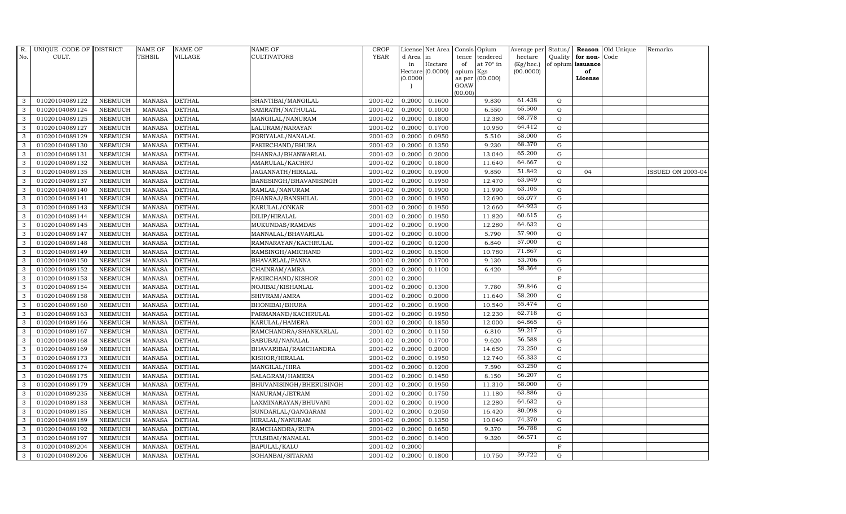| R.           | UNIQUE CODE OF DISTRICT |                | <b>NAME OF</b> | <b>NAME OF</b> | NAME OF                 | <b>CROP</b> |           | License Net Area |         | Consis Opium     | Average per |              | Status/ Reason    | Old Unique | Remarks                  |
|--------------|-------------------------|----------------|----------------|----------------|-------------------------|-------------|-----------|------------------|---------|------------------|-------------|--------------|-------------------|------------|--------------------------|
| No.          | CULT.                   |                | TEHSIL         | <b>VILLAGE</b> | CULTIVATORS             | <b>YEAR</b> | d Area in |                  | tence   | tendered         | hectare     |              | Quality for non-  | Code       |                          |
|              |                         |                |                |                |                         |             | in        | Hectare          | of      | at $70^\circ$ in | (Kg/hec.)   |              | of opium issuance |            |                          |
|              |                         |                |                |                |                         |             |           | Hectare (0.0000) | opium   | Kgs              | (00.0000)   |              | of                |            |                          |
|              |                         |                |                |                |                         |             | (0.0000)  |                  | GOAW    | as per (00.000)  |             |              | License           |            |                          |
|              |                         |                |                |                |                         |             |           |                  | (00.00) |                  |             |              |                   |            |                          |
| 3            | 01020104089122          | <b>NEEMUCH</b> | MANASA         | <b>DETHAL</b>  | SHANTIBAI/MANGILAL      | 2001-02     | 0.2000    | 0.1600           |         | 9.830            | 61.438      | G            |                   |            |                          |
| 3            | 01020104089124          | <b>NEEMUCH</b> | <b>MANASA</b>  | <b>DETHAL</b>  | SAMRATH/NATHULAL        | 2001-02     | 0.2000    | 0.1000           |         | 6.550            | 65.500      | $\mathbf G$  |                   |            |                          |
| 3            | 01020104089125          | <b>NEEMUCH</b> | <b>MANASA</b>  | <b>DETHAL</b>  | MANGILAL/NANURAM        | 2001-02     | 0.2000    | 0.1800           |         | 12.380           | 68.778      | G            |                   |            |                          |
| 3            | 01020104089127          | <b>NEEMUCH</b> | <b>MANASA</b>  | <b>DETHAL</b>  | LALURAM/NARAYAN         | 2001-02     | 0.2000    | 0.1700           |         | 10.950           | 64.412      | $\mathbf G$  |                   |            |                          |
| 3            | 01020104089129          | <b>NEEMUCH</b> | <b>MANASA</b>  | DETHAL         | FORIYALAL/NANALAL       | 2001-02     | 0.2000    | 0.0950           |         | 5.510            | 58.000      | $\mathbf G$  |                   |            |                          |
| 3            | 01020104089130          | <b>NEEMUCH</b> | <b>MANASA</b>  | DETHAL         | FAKIRCHAND/BHURA        | 2001-02     | 0.2000    | 0.1350           |         | 9.230            | 68.370      | $\mathbf G$  |                   |            |                          |
| 3            | 01020104089131          | NEEMUCH        | <b>MANASA</b>  | <b>DETHAL</b>  | DHANRAJ/BHANWARLAL      | 2001-02     | 0.2000    | 0.2000           |         | 13.040           | 65.200      | ${\rm G}$    |                   |            |                          |
| 3            | 01020104089132          | <b>NEEMUCH</b> | <b>MANASA</b>  | <b>DETHAL</b>  | AMARULAL/KACHRU         | 2001-02     | 0.2000    | 0.1800           |         | 11.640           | 64.667      | $\mathbf G$  |                   |            |                          |
| 3            | 01020104089135          | <b>NEEMUCH</b> | <b>MANASA</b>  | <b>DETHAL</b>  | JAGANNATH/HIRALAL       | 2001-02     | 0.2000    | 0.1900           |         | 9.850            | 51.842      | ${\rm G}$    | 04                |            | <b>ISSUED ON 2003-04</b> |
| 3            | 01020104089137          | <b>NEEMUCH</b> | <b>MANASA</b>  | <b>DETHAL</b>  | BANESINGH/BHAVANISINGH  | 2001-02     | 0.2000    | 0.1950           |         | 12.470           | 63.949      | ${\rm G}$    |                   |            |                          |
| 3            | 01020104089140          | <b>NEEMUCH</b> | <b>MANASA</b>  | <b>DETHAL</b>  | RAMLAL/NANURAM          | 2001-02     | 0.2000    | 0.1900           |         | 11.990           | 63.105      | G            |                   |            |                          |
| 3            | 01020104089141          | <b>NEEMUCH</b> | <b>MANASA</b>  | <b>DETHAL</b>  | DHANRAJ/BANSHILAL       | 2001-02     | 0.2000    | 0.1950           |         | 12.690           | 65.077      | ${\rm G}$    |                   |            |                          |
| $\mathbf{3}$ | 01020104089143          | <b>NEEMUCH</b> | <b>MANASA</b>  | <b>DETHAL</b>  | KARULAL/ONKAR           | 2001-02     | 0.2000    | 0.1950           |         | 12.660           | 64.923      | $\mathbf G$  |                   |            |                          |
| 3            | 01020104089144          | <b>NEEMUCH</b> | <b>MANASA</b>  | <b>DETHAL</b>  | DILIP/HIRALAL           | 2001-02     | 0.2000    | 0.1950           |         | 11.820           | 60.615      | G            |                   |            |                          |
| 3            | 01020104089145          | <b>NEEMUCH</b> | <b>MANASA</b>  | DETHAL         | MUKUNDAS/RAMDAS         | 2001-02     | 0.2000    | 0.1900           |         | 12.280           | 64.632      | ${\rm G}$    |                   |            |                          |
| 3            | 01020104089147          | <b>NEEMUCH</b> | <b>MANASA</b>  | <b>DETHAL</b>  | MANNALAL/BHAVARLAL      | 2001-02     | 0.2000    | 0.1000           |         | 5.790            | 57.900      | G            |                   |            |                          |
| 3            | 01020104089148          | NEEMUCH        | <b>MANASA</b>  | <b>DETHAL</b>  | RAMNARAYAN/KACHRULAL    | 2001-02     | 0.2000    | 0.1200           |         | 6.840            | 57.000      | ${\rm G}$    |                   |            |                          |
| $\mathbf{3}$ | 01020104089149          | NEEMUCH        | <b>MANASA</b>  | <b>DETHAL</b>  | RAMSINGH/AMICHAND       | 2001-02     | 0.2000    | 0.1500           |         | 10.780           | 71.867      | ${\rm G}$    |                   |            |                          |
| 3            | 01020104089150          | <b>NEEMUCH</b> | <b>MANASA</b>  | <b>DETHAL</b>  | BHAVARLAL/PANNA         | 2001-02     | 0.2000    | 0.1700           |         | 9.130            | 53.706      | $\mathbf G$  |                   |            |                          |
| 3            | 01020104089152          | <b>NEEMUCH</b> | <b>MANASA</b>  | <b>DETHAL</b>  | CHAINRAM/AMRA           | 2001-02     | 0.2000    | 0.1100           |         | 6.420            | 58.364      | ${\rm G}$    |                   |            |                          |
| 3            | 01020104089153          | <b>NEEMUCH</b> | <b>MANASA</b>  | <b>DETHAL</b>  | FAKIRCHAND/KISHOR       | 2001-02     | 0.2000    |                  |         |                  |             | $\mathbf{F}$ |                   |            |                          |
| 3            | 01020104089154          | <b>NEEMUCH</b> | <b>MANASA</b>  | <b>DETHAL</b>  | NOJIBAI/KISHANLAL       | 2001-02     | 0.2000    | 0.1300           |         | 7.780            | 59.846      | ${\rm G}$    |                   |            |                          |
| 3            | 01020104089158          | <b>NEEMUCH</b> | <b>MANASA</b>  | <b>DETHAL</b>  | SHIVRAM/AMRA            | 2001-02     | 0.2000    | 0.2000           |         | 11.640           | 58.200      | $\mathbf G$  |                   |            |                          |
| 3            | 01020104089160          | <b>NEEMUCH</b> | <b>MANASA</b>  | <b>DETHAL</b>  | <b>BHONIBAI/BHURA</b>   | 2001-02     | 0.2000    | 0.1900           |         | 10.540           | 55.474      | $\mathbf G$  |                   |            |                          |
| 3            | 01020104089163          | <b>NEEMUCH</b> | <b>MANASA</b>  | DETHAL         | PARMANAND/KACHRULAL     | 2001-02     | 0.2000    | 0.1950           |         | 12.230           | 62.718      | ${\rm G}$    |                   |            |                          |
| 3            | 01020104089166          | NEEMUCH        | <b>MANASA</b>  | <b>DETHAL</b>  | KARULAL/HAMERA          | 2001-02     | 0.2000    | 0.1850           |         | 12.000           | 64.865      | ${\rm G}$    |                   |            |                          |
| 3            | 01020104089167          | <b>NEEMUCH</b> | <b>MANASA</b>  | <b>DETHAL</b>  | RAMCHANDRA/SHANKARLAL   | 2001-02     | 0.2000    | 0.1150           |         | 6.810            | 59.217      | G            |                   |            |                          |
| $\mathbf{3}$ | 01020104089168          | <b>NEEMUCH</b> | <b>MANASA</b>  | <b>DETHAL</b>  | SABUBAI/NANALAL         | 2001-02     | 0.2000    | 0.1700           |         | 9.620            | 56.588      | ${\rm G}$    |                   |            |                          |
| 3            | 01020104089169          | <b>NEEMUCH</b> | <b>MANASA</b>  | <b>DETHAL</b>  | BHAVARIBAI/RAMCHANDRA   | 2001-02     | 0.2000    | 0.2000           |         | 14.650           | 73.250      | $\mathbf G$  |                   |            |                          |
| 3            | 01020104089173          | <b>NEEMUCH</b> | <b>MANASA</b>  | <b>DETHAL</b>  | KISHOR/HIRALAL          | 2001-02     | 0.2000    | 0.1950           |         | 12.740           | 65.333      | ${\rm G}$    |                   |            |                          |
| 3            | 01020104089174          | <b>NEEMUCH</b> | <b>MANASA</b>  | <b>DETHAL</b>  | MANGILAL/HIRA           | 2001-02     | 0.2000    | 0.1200           |         | 7.590            | 63.250      | G            |                   |            |                          |
| 3            | 01020104089175          | <b>NEEMUCH</b> | <b>MANASA</b>  | <b>DETHAL</b>  | SALAGRAM/HAMERA         | 2001-02     | 0.2000    | 0.1450           |         | 8.150            | 56.207      | G            |                   |            |                          |
| 3            | 01020104089179          | <b>NEEMUCH</b> | <b>MANASA</b>  | <b>DETHAL</b>  | BHUVANISINGH/BHERUSINGH | 2001-02     | 0.2000    | 0.1950           |         | 11.310           | 58.000      | $\mathbf G$  |                   |            |                          |
| 3            | 01020104089235          | NEEMUCH        | <b>MANASA</b>  | <b>DETHAL</b>  | NANURAM/JETRAM          | 2001-02     | 0.2000    | 0.1750           |         | 11.180           | 63.886      | G            |                   |            |                          |
| 3            | 01020104089183          | <b>NEEMUCH</b> | <b>MANASA</b>  | <b>DETHAL</b>  | LAXMINARAYAN/BHUVANI    | 2001-02     | 0.2000    | 0.1900           |         | 12.280           | 64.632      | $\mathbf G$  |                   |            |                          |
| 3            | 01020104089185          | <b>NEEMUCH</b> | <b>MANASA</b>  | DETHAL         | SUNDARLAL/GANGARAM      | 2001-02     | 0.2000    | 0.2050           |         | 16.420           | 80.098      | ${\rm G}$    |                   |            |                          |
| 3            | 01020104089189          | <b>NEEMUCH</b> | <b>MANASA</b>  | <b>DETHAL</b>  | HIRALAL/NANURAM         | 2001-02     | 0.2000    | 0.1350           |         | 10.040           | 74.370      | G            |                   |            |                          |
| $\mathbf{3}$ | 01020104089192          | <b>NEEMUCH</b> | <b>MANASA</b>  | DETHAL         | RAMCHANDRA/RUPA         | 2001-02     | 0.2000    | 0.1650           |         | 9.370            | 56.788      | $\mathbf G$  |                   |            |                          |
| 3            | 01020104089197          | <b>NEEMUCH</b> | <b>MANASA</b>  | <b>DETHAL</b>  | TULSIBAI/NANALAL        | 2001-02     | 0.2000    | 0.1400           |         | 9.320            | 66.571      | G            |                   |            |                          |
| 3            | 01020104089204          | <b>NEEMUCH</b> | <b>MANASA</b>  | <b>DETHAL</b>  | BAPULAL/KALU            | 2001-02     | 0.2000    |                  |         |                  |             | F            |                   |            |                          |
| 3            | 01020104089206          | NEEMUCH        | MANASA         | <b>DETHAL</b>  | SOHANBAI/SITARAM        | 2001-02     |           | 0.2000 0.1800    |         | 10.750           | 59.722      | $\mathbf G$  |                   |            |                          |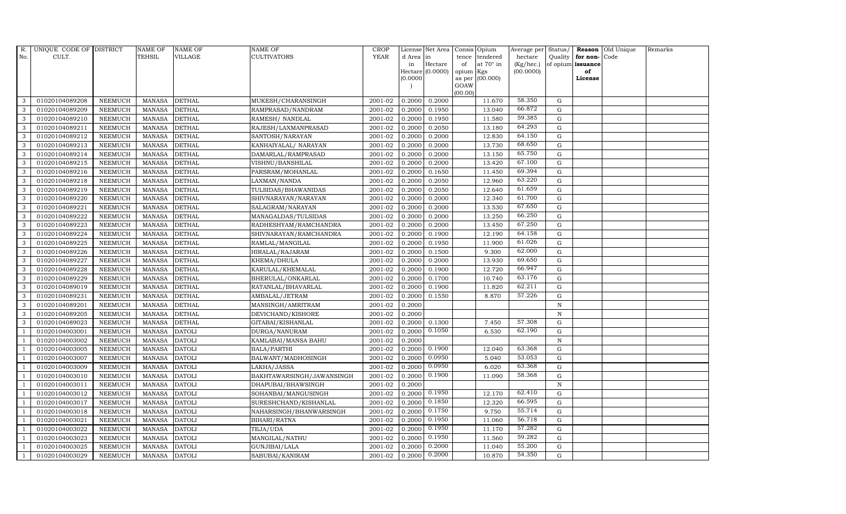| R.             | UNIQUE CODE OF DISTRICT |                | <b>NAME OF</b> | <b>NAME OF</b> | <b>NAME OF</b>            | <b>CROP</b> |           | License Net Area   |                | Consis Opium     | Average per Status/ |                   |                  | Reason Old Unique | Remarks |
|----------------|-------------------------|----------------|----------------|----------------|---------------------------|-------------|-----------|--------------------|----------------|------------------|---------------------|-------------------|------------------|-------------------|---------|
| No.            | CULT.                   |                | <b>TEHSIL</b>  | VILLAGE        | <b>CULTIVATORS</b>        | <b>YEAR</b> | d Area in |                    | tence          | tendered         | hectare             |                   | Quality for non- | Code              |         |
|                |                         |                |                |                |                           |             | in        | Hectare            | of             | at $70^\circ$ in | (Kg/hec.)           | of opium issuance |                  |                   |         |
|                |                         |                |                |                |                           |             | (0.0000)  | Hectare $(0.0000)$ | opium          | Kgs<br>(00.000)  | (00.0000)           |                   | of<br>License    |                   |         |
|                |                         |                |                |                |                           |             |           |                    | as per<br>GOAW |                  |                     |                   |                  |                   |         |
|                |                         |                |                |                |                           |             |           |                    | (00.00)        |                  |                     |                   |                  |                   |         |
| 3              | 01020104089208          | <b>NEEMUCH</b> | <b>MANASA</b>  | <b>DETHAL</b>  | MUKESH/CHARANSINGH        | 2001-02     | 0.2000    | 0.2000             |                | 11.670           | 58.350              | G                 |                  |                   |         |
| 3              | 01020104089209          | <b>NEEMUCH</b> | <b>MANASA</b>  | <b>DETHAL</b>  | RAMPRASAD/NANDRAM         | 2001-02     | 0.2000    | 0.1950             |                | 13.040           | 66.872              | G                 |                  |                   |         |
| 3              | 01020104089210          | <b>NEEMUCH</b> | <b>MANASA</b>  | <b>DETHAL</b>  | RAMESH / NANDLAL          | 2001-02     | 0.2000    | 0.1950             |                | 11.580           | 59.385              | G                 |                  |                   |         |
| 3              | 01020104089211          | <b>NEEMUCH</b> | <b>MANASA</b>  | <b>DETHAL</b>  | RAJESH/LAXMANPRASAD       | 2001-02     | 0.2000    | 0.2050             |                | 13.180           | 64.293              | G                 |                  |                   |         |
| 3              | 01020104089212          | <b>NEEMUCH</b> | <b>MANASA</b>  | <b>DETHAL</b>  | SANTOSH/NARAYAN           | 2001-02     | 0.2000    | 0.2000             |                | 12.830           | 64.150              | G                 |                  |                   |         |
| 3              | 01020104089213          | <b>NEEMUCH</b> | <b>MANASA</b>  | <b>DETHAL</b>  | KANHAIYALAL/ NARAYAN      | 2001-02     | 0.2000    | 0.2000             |                | 13.730           | 68.650              | G                 |                  |                   |         |
| 3              | 01020104089214          | <b>NEEMUCH</b> | <b>MANASA</b>  | <b>DETHAL</b>  | DAMARLAL/RAMPRASAD        | 2001-02     | 0.2000    | 0.2000             |                | 13.150           | 65.750              | G                 |                  |                   |         |
| 3              | 01020104089215          | <b>NEEMUCH</b> | <b>MANASA</b>  | <b>DETHAL</b>  | VISHNU/BANSHILAL          | 2001-02     | 0.2000    | 0.2000             |                | 13.420           | 67.100              | $\mathbf G$       |                  |                   |         |
| 3              | 01020104089216          | <b>NEEMUCH</b> | <b>MANASA</b>  | <b>DETHAL</b>  | PARSRAM/MOHANLAL          | 2001-02     | 0.2000    | 0.1650             |                | 11.450           | 69.394              | G                 |                  |                   |         |
| 3              | 01020104089218          | <b>NEEMUCH</b> | <b>MANASA</b>  | <b>DETHAL</b>  | LAXMAN/NANDA              | 2001-02     | 0.2000    | 0.2050             |                | 12.960           | 63.220              | G                 |                  |                   |         |
| 3              | 01020104089219          | <b>NEEMUCH</b> | <b>MANASA</b>  | <b>DETHAL</b>  | TULSIDAS/BHAWANIDAS       | 2001-02     | 0.2000    | 0.2050             |                | 12.640           | 61.659              | G                 |                  |                   |         |
| 3              | 01020104089220          | <b>NEEMUCH</b> | <b>MANASA</b>  | <b>DETHAL</b>  | SHIVNARAYAN/NARAYAN       | 2001-02     | 0.2000    | 0.2000             |                | 12.340           | 61.700              | G                 |                  |                   |         |
| 3              | 01020104089221          | <b>NEEMUCH</b> | <b>MANASA</b>  | <b>DETHAL</b>  | SALAGRAM/NARAYAN          | 2001-02     | 0.2000    | 0.2000             |                | 13.530           | 67.650              | $\mathbf G$       |                  |                   |         |
| 3              | 01020104089222          | <b>NEEMUCH</b> | <b>MANASA</b>  | <b>DETHAL</b>  | MANAGALDAS/TULSIDAS       | 2001-02     | 0.2000    | 0.2000             |                | 13.250           | 66.250              | G                 |                  |                   |         |
| 3              | 01020104089223          | <b>NEEMUCH</b> | <b>MANASA</b>  | <b>DETHAL</b>  | RADHESHYAM/RAMCHANDRA     | 2001-02     | 0.2000    | 0.2000             |                | 13.450           | 67.250              | G                 |                  |                   |         |
| 3              | 01020104089224          | <b>NEEMUCH</b> | <b>MANASA</b>  | <b>DETHAL</b>  | SHIVNARAYAN/RAMCHANDRA    | 2001-02     | 0.2000    | 0.1900             |                | 12.190           | 64.158              | G                 |                  |                   |         |
| 3              | 01020104089225          | <b>NEEMUCH</b> | <b>MANASA</b>  | <b>DETHAL</b>  | RAMLAL/MANGILAL           | 2001-02     | 0.2000    | 0.1950             |                | 11.900           | 61.026              | G                 |                  |                   |         |
| 3              | 01020104089226          | <b>NEEMUCH</b> | <b>MANASA</b>  | <b>DETHAL</b>  | HIRALAL/RAJARAM           | 2001-02     | 0.2000    | 0.1500             |                | 9.300            | 62.000              | G                 |                  |                   |         |
| 3              | 01020104089227          | <b>NEEMUCH</b> | <b>MANASA</b>  | <b>DETHAL</b>  | KHEMA/DHULA               | 2001-02     | 0.2000    | 0.2000             |                | 13.930           | 69.650              | G                 |                  |                   |         |
| 3              | 01020104089228          | <b>NEEMUCH</b> | <b>MANASA</b>  | <b>DETHAL</b>  | KARULAL/KHEMALAL          | 2001-02     | 0.2000    | 0.1900             |                | 12.720           | 66.947              | G                 |                  |                   |         |
| 3              | 01020104089229          | <b>NEEMUCH</b> | <b>MANASA</b>  | <b>DETHAL</b>  | BHERULAL/ONKARLAL         | 2001-02     | 0.2000    | 0.1700             |                | 10.740           | 63.176              | G                 |                  |                   |         |
| 3              | 01020104089019          | <b>NEEMUCH</b> | <b>MANASA</b>  | <b>DETHAL</b>  | RATANLAL/BHAVARLAL        | 2001-02     | 0.2000    | 0.1900             |                | 11.820           | 62.211              | G                 |                  |                   |         |
| 3              | 01020104089231          | <b>NEEMUCH</b> | <b>MANASA</b>  | <b>DETHAL</b>  | AMBALAL/JETRAM            | 2001-02     | 0.2000    | 0.1550             |                | 8.870            | 57.226              | G                 |                  |                   |         |
| 3              | 01020104089201          | <b>NEEMUCH</b> | <b>MANASA</b>  | <b>DETHAL</b>  | MANSINGH/AMRITRAM         | 2001-02     | 0.2000    |                    |                |                  |                     | $\mathbf N$       |                  |                   |         |
| 3              | 01020104089205          | <b>NEEMUCH</b> | <b>MANASA</b>  | <b>DETHAL</b>  | DEVICHAND/KISHORE         | 2001-02     | 0.2000    |                    |                |                  |                     | $\, {\bf N}$      |                  |                   |         |
| 3              | 01020104089023          | <b>NEEMUCH</b> | <b>MANASA</b>  | <b>DETHAL</b>  | GITABAI/KISHANLAL         | 2001-02     | 0.2000    | 0.1300             |                | 7.450            | 57.308              | G                 |                  |                   |         |
| -1             | 01020104003001          | <b>NEEMUCH</b> | <b>MANASA</b>  | <b>DATOLI</b>  | DURGA/NANURAM             | 2001-02     | 0.2000    | 0.1050             |                | 6.530            | 62.190              | G                 |                  |                   |         |
| $\overline{1}$ | 01020104003002          | <b>NEEMUCH</b> | <b>MANASA</b>  | <b>DATOLI</b>  | KAMLABAI/MANSA BAHU       | 2001-02     | 0.2000    |                    |                |                  |                     | N                 |                  |                   |         |
| $\overline{1}$ | 01020104003005          | <b>NEEMUCH</b> | <b>MANASA</b>  | <b>DATOLI</b>  | <b>BALA/PARTHI</b>        | 2001-02     | 0.2000    | 0.1900             |                | 12.040           | 63.368              | $\mathbf G$       |                  |                   |         |
|                | 01020104003007          | <b>NEEMUCH</b> | <b>MANASA</b>  | <b>DATOLI</b>  | BALWANT/MADHOSINGH        | 2001-02     | 0.2000    | 0.0950             |                | 5.040            | 53.053              | G                 |                  |                   |         |
| -1             | 01020104003009          | <b>NEEMUCH</b> | <b>MANASA</b>  | <b>DATOLI</b>  | LAKHA/JASSA               | 2001-02     | 0.2000    | 0.0950             |                | 6.020            | 63.368              | G                 |                  |                   |         |
|                | 01020104003010          | <b>NEEMUCH</b> | <b>MANASA</b>  | <b>DATOLI</b>  | BAKHTAWARSINGH/JAWANSINGH | 2001-02     | 0.2000    | 0.1900             |                | 11.090           | 58.368              | G                 |                  |                   |         |
| $\overline{1}$ | 01020104003011          | <b>NEEMUCH</b> | <b>MANASA</b>  | <b>DATOLI</b>  | DHAPUBAI/BHAWSINGH        | 2001-02     | 0.2000    |                    |                |                  |                     | N                 |                  |                   |         |
| $\overline{1}$ | 01020104003012          | <b>NEEMUCH</b> | <b>MANASA</b>  | <b>DATOLI</b>  | SOHANBAI/MANGUSINGH       | 2001-02     | 0.2000    | 0.1950             |                | 12.170           | 62.410              | $\mathbf G$       |                  |                   |         |
|                | 01020104003017          | <b>NEEMUCH</b> | <b>MANASA</b>  | <b>DATOLI</b>  | SURESHCHAND/KISHANLAL     | 2001-02     | 0.2000    | 0.1850             |                | 12.320           | 66.595              | $\mathbf G$       |                  |                   |         |
| $\overline{1}$ | 01020104003018          | <b>NEEMUCH</b> | <b>MANASA</b>  | <b>DATOLI</b>  | NAHARSINGH/BHANWARSINGH   | 2001-02     | 0.2000    | 0.1750             |                | 9.750            | 55.714              | G                 |                  |                   |         |
|                | 01020104003021          | <b>NEEMUCH</b> | <b>MANASA</b>  | <b>DATOLI</b>  | BIHARI/RATNA              | 2001-02     | 0.2000    | 0.1950             |                | 11.060           | 56.718              | G                 |                  |                   |         |
| - 1            | 01020104003022          | <b>NEEMUCH</b> | <b>MANASA</b>  | <b>DATOLI</b>  | TEJA/UDA                  | 2001-02     | 0.2000    | 0.1950             |                | 11.170           | 57.282              | G                 |                  |                   |         |
| - 1            | 01020104003023          | <b>NEEMUCH</b> | <b>MANASA</b>  | <b>DATOLI</b>  | MANGILAL/NATHU            | 2001-02     | 0.2000    | 0.1950             |                | 11.560           | 59.282              | $\mathbf G$       |                  |                   |         |
|                | 01020104003025          | <b>NEEMUCH</b> | <b>MANASA</b>  | <b>DATOLI</b>  | GUNJIBAI/LALA             | 2001-02     | 0.2000    | 0.2000             |                | 11.040           | 55.200              | $\mathbf G$       |                  |                   |         |
| $\mathbf{1}$   | 01020104003029          | <b>NEEMUCH</b> | MANASA         | <b>DATOLI</b>  | SABUBAI/KANIRAM           | 2001-02     | 0.2000    | 0.2000             |                | 10.870           | 54.350              | G                 |                  |                   |         |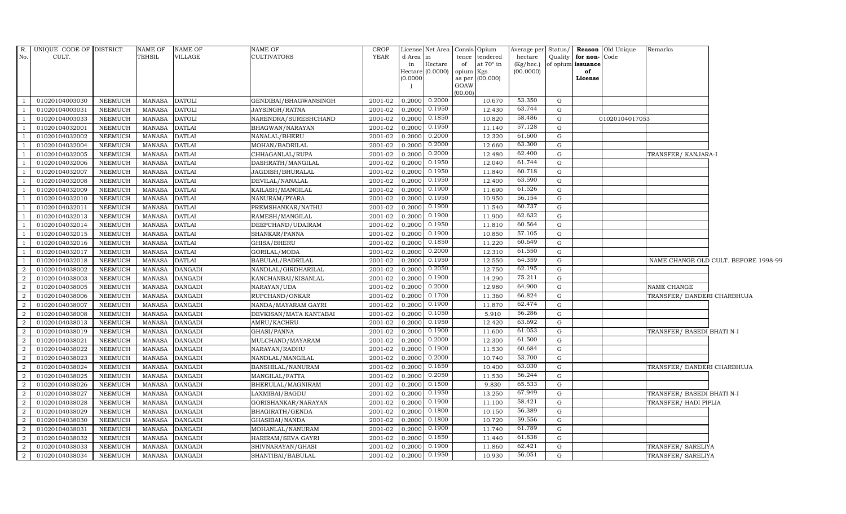|                                  | R. UNIQUE CODE OF DISTRICT       |                                  | NAME OF                 | <b>NAME OF</b>                   | <b>NAME OF</b>                      | <b>CROP</b>        |                  | License Net Area Consis Opium |           |                  | Average per Status/ |        |                      | Reason Old Unique | Remarks                     |                                      |
|----------------------------------|----------------------------------|----------------------------------|-------------------------|----------------------------------|-------------------------------------|--------------------|------------------|-------------------------------|-----------|------------------|---------------------|--------|----------------------|-------------------|-----------------------------|--------------------------------------|
| No.                              | CULT.                            |                                  | TEHSIL                  | VILLAGE                          | <b>CULTIVATORS</b>                  | <b>YEAR</b>        | d Area in        |                               |           | tence tendered   | hectare             |        | Quality for non-Code |                   |                             |                                      |
|                                  |                                  |                                  |                         |                                  |                                     |                    | in               | Hectare                       | of        | at $70^\circ$ in | $(Kg/$ hec.)        |        | of opium issuance    |                   |                             |                                      |
|                                  |                                  |                                  |                         |                                  |                                     |                    |                  | Hectare (0.0000)              | opium Kgs |                  | (00.0000)           |        | of                   |                   |                             |                                      |
|                                  |                                  |                                  |                         |                                  |                                     |                    | (0.0000)         |                               | GOAW      | as per (00.000)  |                     |        | License              |                   |                             |                                      |
|                                  |                                  |                                  |                         |                                  |                                     |                    |                  |                               | (00.00)   |                  |                     |        |                      |                   |                             |                                      |
|                                  | 01020104003030                   | <b>NEEMUCH</b>                   | MANASA                  | <b>DATOLI</b>                    | GENDIBAI/BHAGWANSINGH               | 2001-02            | 0.2000           | 0.2000                        |           | 10.670           | 53.350              | G      |                      |                   |                             |                                      |
|                                  | 01020104003031                   | <b>NEEMUCH</b>                   | MANASA                  | <b>DATOLI</b>                    | JAYSINGH/RATNA                      | 2001-02            | 0.2000           | 0.1950                        |           | 12.430           | 63.744              | G      |                      |                   |                             |                                      |
|                                  | 01020104003033                   | <b>NEEMUCH</b>                   | <b>MANASA</b>           | <b>DATOLI</b>                    | NARENDRA/SURESHCHAND                | 2001-02            | 0.2000           | 0.1850                        |           | 10.820           | 58.486              | G      |                      | 01020104017053    |                             |                                      |
|                                  | 01020104032001                   | <b>NEEMUCH</b>                   | <b>MANASA</b>           | <b>DATLAI</b>                    | BHAGWAN/NARAYAN                     | 2001-02            | 0.2000           | 0.1950                        |           | 11.140           | 57.128              | G      |                      |                   |                             |                                      |
|                                  | 01020104032002                   | <b>NEEMUCH</b>                   | <b>MANASA</b>           | <b>DATLAI</b>                    | NANALAL/BHERU                       | 2001-02            | 0.2000           | 0.2000                        |           | 12.320           | 61.600              | G      |                      |                   |                             |                                      |
|                                  | 01020104032004                   | <b>NEEMUCH</b>                   | MANASA                  | DATLAI                           | MOHAN/BADRILAL                      | 2001-02            | 0.2000           | 0.2000                        |           | 12.660           | 63.300              | G      |                      |                   |                             |                                      |
|                                  | 01020104032005                   | <b>NEEMUCH</b>                   | <b>MANASA</b>           | <b>DATLAI</b>                    | CHHAGANLAL/RUPA                     | 2001-02            | 0.2000           | 0.2000                        |           | 12.480           | 62.400              | G      |                      |                   | TRANSFER/KANJARA-I          |                                      |
|                                  | 01020104032006                   | <b>NEEMUCH</b>                   | <b>MANASA</b>           | DATLAI                           | DASHRATH/MANGILAL                   | 2001-02            | 0.2000           | 0.1950                        |           | 12.040           | 61.744              | G      |                      |                   |                             |                                      |
|                                  | 01020104032007                   | <b>NEEMUCH</b>                   | <b>MANASA</b>           | <b>DATLAI</b>                    | JAGDISH/BHURALAL                    | 2001-02            | 0.2000           | 0.1950                        |           | 11.840           | 60.718              | G      |                      |                   |                             |                                      |
|                                  | 01020104032008                   | <b>NEEMUCH</b>                   | <b>MANASA</b>           | <b>DATLAI</b>                    | DEVILAL/NANALAL                     | 2001-02            | 0.2000           | 0.1950                        |           | 12.400           | 63.590              | G      |                      |                   |                             |                                      |
|                                  | 01020104032009                   | NEEMUCH                          | <b>MANASA</b>           | <b>DATLAI</b>                    | KAILASH/MANGILAL                    | 2001-02            | 0.2000           | 0.1900                        |           | 11.690           | 61.526              | G      |                      |                   |                             |                                      |
|                                  | 01020104032010                   | <b>NEEMUCH</b>                   | MANASA                  | <b>DATLAI</b>                    | NANURAM/PYARA                       | 2001-02            | 0.2000           | 0.1950                        |           | 10.950           | 56.154              | G      |                      |                   |                             |                                      |
|                                  | 01020104032011                   | <b>NEEMUCH</b>                   | <b>MANASA</b>           | <b>DATLAI</b>                    | PREMSHANKAR/NATHU                   | 2001-02            | 0.2000           | 0.1900                        |           | 11.540           | 60.737              | G      |                      |                   |                             |                                      |
|                                  | 01020104032013                   | <b>NEEMUCH</b>                   | <b>MANASA</b>           | <b>DATLAI</b>                    | RAMESH/MANGILAL                     | 2001-02            | 0.2000           | 0.1900                        |           | 11.900           | 62.632              | G      |                      |                   |                             |                                      |
|                                  | 01020104032014                   | <b>NEEMUCH</b>                   | <b>MANASA</b>           | DATLAI                           | DEEPCHAND/UDAIRAM                   | 2001-02            | 0.2000           | 0.1950                        |           | 11.810           | 60.564              | G      |                      |                   |                             |                                      |
| -1                               | 01020104032015                   | <b>NEEMUCH</b>                   | <b>MANASA</b>           | <b>DATLAI</b>                    | SHANKAR/PANNA                       | 2001-02            | 0.2000           | 0.1900                        |           | 10.850           | 57.105              | G      |                      |                   |                             |                                      |
|                                  | 01020104032016                   | <b>NEEMUCH</b>                   | <b>MANASA</b>           | <b>DATLAI</b>                    | GHISA/BHERU                         | 2001-02            | 0.2000           | 0.1850                        |           | 11.220           | 60.649              | G      |                      |                   |                             |                                      |
|                                  | 01020104032017                   | NEEMUCH                          | MANASA                  | DATLAI                           | GORILAL/MODA                        | 2001-02            | 0.2000           | 0.2000                        |           | 12.310           | 61.550              | G      |                      |                   |                             |                                      |
|                                  | 01020104032018                   | <b>NEEMUCH</b>                   | <b>MANASA</b>           | <b>DATLAI</b>                    | BABULAL/BADRILAL                    | 2001-02            | 0.2000           | 0.1950                        |           | 12.550           | 64.359              | G      |                      |                   |                             | NAME CHANGE OLD CULT. BEFORE 1998-99 |
| $\overline{a}$                   | 01020104038002                   | <b>NEEMUCH</b>                   | <b>MANASA</b>           | <b>DANGADI</b>                   | NANDLAL/GIRDHARILAL                 | 2001-02            | 0.2000           | 0.2050                        |           | 12.750           | 62.195              | G      |                      |                   |                             |                                      |
| $\overline{a}$                   | 01020104038003                   | <b>NEEMUCH</b>                   | MANASA                  | <b>DANGADI</b>                   | KANCHANBAI/KISANLAL                 | 2001-02            | 0.2000           | 0.1900                        |           | 14.290           | 75.211              | G      |                      |                   |                             |                                      |
| 2                                | 01020104038005                   | <b>NEEMUCH</b>                   | <b>MANASA</b>           | <b>DANGADI</b>                   | NARAYAN/UDA                         | 2001-02            | 0.2000           | 0.2000                        |           | 12.980           | 64.900              | G      |                      |                   | NAME CHANGE                 |                                      |
| 2                                | 01020104038006                   | <b>NEEMUCH</b>                   | <b>MANASA</b>           | <b>DANGADI</b>                   | RUPCHAND/ONKAR                      | 2001-02            | 0.2000           | 0.1700                        |           | 11.360           | 66.824              | G      |                      |                   | TRANSFER/ DANDERI CHARBHUJA |                                      |
| 2                                | 01020104038007                   | <b>NEEMUCH</b>                   | <b>MANASA</b>           | <b>DANGADI</b>                   | NANDA/MAYARAM GAYRI                 | 2001-02            | 0.2000           | 0.1900                        |           | 11.870           | 62.474              | G      |                      |                   |                             |                                      |
| 2                                | 01020104038008                   | <b>NEEMUCH</b>                   | <b>MANASA</b>           | DANGADI                          | DEVKISAN/MATA KANTABAI              | 2001-02            | 0.2000           | 0.1050                        |           | 5.910            | 56.286<br>63.692    | G      |                      |                   |                             |                                      |
| $\overline{a}$                   | 01020104038013                   | <b>NEEMUCH</b>                   | <b>MANASA</b>           | <b>DANGADI</b>                   | AMRU/KACHRU                         | 2001-02            | 0.2000           | 0.1950                        |           | 12.420           |                     | G      |                      |                   |                             |                                      |
| $\overline{a}$                   | 01020104038019                   | <b>NEEMUCH</b>                   | <b>MANASA</b>           | <b>DANGADI</b>                   | GHASI/PANNA                         | 2001-02            | 0.2000           | 0.1900                        |           | 11.600           | 61.053<br>61.500    | G      |                      |                   | TRANSFER/ BASEDI BHATI N-I  |                                      |
| $\overline{a}$                   | 01020104038021                   | NEEMUCH                          | <b>MANASA</b>           | DANGADI                          | MULCHAND/MAYARAM                    | 2001-02            | 0.2000           | 0.2000<br>0.1900              |           | 12.300           | 60.684              | G<br>G |                      |                   |                             |                                      |
| 2                                | 01020104038022                   | <b>NEEMUCH</b>                   | <b>MANASA</b>           | <b>DANGADI</b>                   | NARAYAN/RADHU                       | 2001-02            | 0.2000           | 0.2000                        |           | 11.530           | 53.700              |        |                      |                   |                             |                                      |
| $\overline{2}$                   | 01020104038023                   | NEEMUCH                          | <b>MANASA</b>           | DANGADI                          | NANDLAL/MANGILAL                    | 2001-02            | 0.2000           | 0.1650                        |           | 10.740           | 63.030              | G<br>G |                      |                   |                             |                                      |
| $\overline{a}$<br>$\overline{2}$ | 01020104038024<br>01020104038025 | <b>NEEMUCH</b>                   | <b>MANASA</b>           | <b>DANGADI</b>                   | BANSHILAL/NANURAM                   | 2001-02<br>2001-02 | 0.2000           | 0.2050                        |           | 10.400           | 56.244              | G      |                      |                   | TRANSFER/ DANDERI CHARBHUJA |                                      |
| 2                                | 01020104038026                   | <b>NEEMUCH</b><br><b>NEEMUCH</b> | MANASA<br><b>MANASA</b> | <b>DANGADI</b><br><b>DANGADI</b> | MANGILAL/FATTA<br>BHERULAL/MAGNIRAM | 2001-02            | 0.2000<br>0.2000 | 0.1500                        |           | 11.530<br>9.830  | 65.533              | G      |                      |                   |                             |                                      |
| 2                                | 01020104038027                   | NEEMUCH                          | MANASA                  | DANGADI                          | LAXMIBAI/BAGDU                      | 2001-02            | 0.2000           | 0.1950                        |           | 13.250           | 67.949              | G      |                      |                   | TRANSFER/ BASEDI BHATI N-I  |                                      |
| 2                                | 01020104038028                   | <b>NEEMUCH</b>                   | <b>MANASA</b>           | <b>DANGADI</b>                   | GORISHANKAR/NARAYAN                 | 2001-02            | 0.2000           | 0.1900                        |           | 11.100           | 58.421              | G      |                      |                   | TRANSFER/HADI PIPLIA        |                                      |
| $\overline{2}$                   | 01020104038029                   | <b>NEEMUCH</b>                   | <b>MANASA</b>           | <b>DANGADI</b>                   | BHAGIRATH/GENDA                     | 2001-02            | 0.2000           | 0.1800                        |           | 10.150           | 56.389              | G      |                      |                   |                             |                                      |
| $\overline{2}$                   | 01020104038030                   | <b>NEEMUCH</b>                   | <b>MANASA</b>           | <b>DANGADI</b>                   | GHASIBAI/NANDA                      | 2001-02            | 0.2000           | 0.1800                        |           | 10.720           | 59.556              | G      |                      |                   |                             |                                      |
| $\overline{a}$                   | 01020104038031                   | <b>NEEMUCH</b>                   | <b>MANASA</b>           | <b>DANGADI</b>                   | MOHANLAL/NANURAM                    | 2001-02            | 0.2000           | 0.1900                        |           | 11.740           | 61.789              | G      |                      |                   |                             |                                      |
| 2                                | 01020104038032                   | <b>NEEMUCH</b>                   | <b>MANASA</b>           | <b>DANGADI</b>                   | HARIRAM/SEVA GAYRI                  | 2001-02            | 0.2000           | 0.1850                        |           | 11.440           | 61.838              | G      |                      |                   |                             |                                      |
| 2                                | 01020104038033                   | <b>NEEMUCH</b>                   | <b>MANASA</b>           | <b>DANGADI</b>                   | SHIVNARAYAN/GHASI                   | 2001-02            | 0.2000           | 0.1900                        |           | 11.860           | 62.421              | G      |                      |                   | TRANSFER/ SARELIYA          |                                      |
| $\overline{a}$                   | 01020104038034                   | NEEMUCH                          | MANASA                  | <b>DANGADI</b>                   | SHANTIBAI/BABULAL                   | 2001-02            | 0.2000           | 0.1950                        |           | 10.930           | 56.051              | G      |                      |                   | TRANSFER/ SARELIYA          |                                      |
|                                  |                                  |                                  |                         |                                  |                                     |                    |                  |                               |           |                  |                     |        |                      |                   |                             |                                      |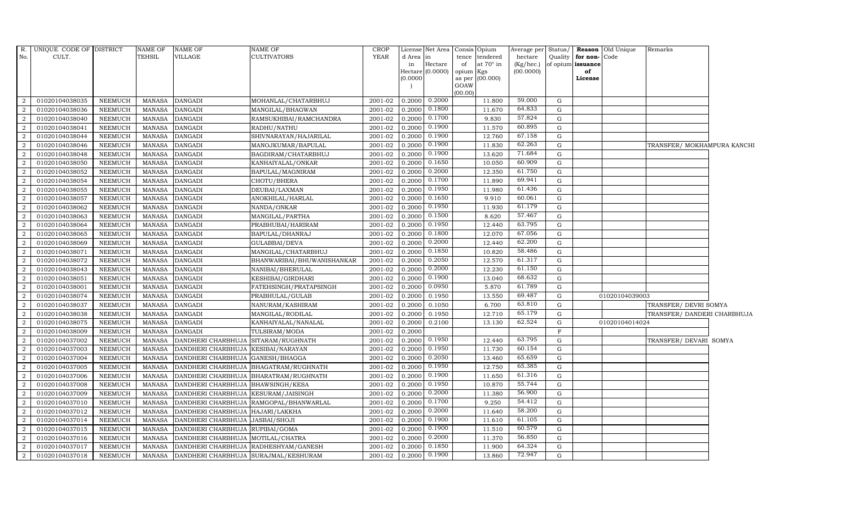| $R$ .          | UNIQUE CODE OF DISTRICT |                | <b>NAME OF</b> | NAME OF                              | NAME OF                                 | <b>CROP</b> |          | License Net Area   Consis   Opium |                     |           | Average per | Status/      |                   | <b>Reason</b> Old Unique | Remarks                     |  |
|----------------|-------------------------|----------------|----------------|--------------------------------------|-----------------------------------------|-------------|----------|-----------------------------------|---------------------|-----------|-------------|--------------|-------------------|--------------------------|-----------------------------|--|
| No.            | CULT.                   |                | TEHSIL         | <b>VILLAGE</b>                       | CULTIVATORS                             | <b>YEAR</b> | d Area   | in                                | tence               | tendered  | hectare     | Quality      | for non-Code      |                          |                             |  |
|                |                         |                |                |                                      |                                         |             | in       | Hectare                           | of                  | at 70° in | (Kg/hec.)   |              | of opium issuance |                          |                             |  |
|                |                         |                |                |                                      |                                         |             | (0.0000) | Hectare (0.0000)                  | opium Kgs<br>as per | (00.000)  | (00.0000)   |              | of<br>License     |                          |                             |  |
|                |                         |                |                |                                      |                                         |             |          |                                   | GOAW                |           |             |              |                   |                          |                             |  |
|                |                         |                |                |                                      |                                         |             |          |                                   | (00.00)             |           |             |              |                   |                          |                             |  |
| 2              | 01020104038035          | NEEMUCH        | MANASA         | <b>DANGADI</b>                       | MOHANLAL/CHATARBHUJ                     | 2001-02     | 0.2000   | 0.2000                            |                     | 11.800    | 59.000      | G            |                   |                          |                             |  |
| 2              | 01020104038036          | NEEMUCH        | <b>MANASA</b>  | <b>DANGADI</b>                       | MANGILAL/BHAGWAN                        | 2001-02     | 0.2000   | 0.1800                            |                     | 11.670    | 64.833      | G            |                   |                          |                             |  |
| 2              | 01020104038040          | NEEMUCH        | <b>MANASA</b>  | <b>DANGADI</b>                       | RAMSUKHIBAI/RAMCHANDRA                  | 2001-02     | 0.2000   | 0.1700                            |                     | 9.830     | 57.824      | G            |                   |                          |                             |  |
| 2              | 01020104038041          | <b>NEEMUCH</b> | <b>MANASA</b>  | <b>DANGADI</b>                       | RADHU/NATHU                             | 2001-02     | 0.2000   | 0.1900                            |                     | 11.570    | 60.895      | G            |                   |                          |                             |  |
| 2              | 01020104038044          | NEEMUCH        | <b>MANASA</b>  | <b>DANGADI</b>                       | SHIVNARAYAN/HAJARILAL                   | 2001-02     | 0.2000   | 0.1900                            |                     | 12.760    | 67.158      | G            |                   |                          |                             |  |
| 2              | 01020104038046          | NEEMUCH        | <b>MANASA</b>  | <b>DANGADI</b>                       | MANOJKUMAR/BAPULAL                      | 2001-02     | 0.2000   | 0.1900                            |                     | 11.830    | 62.263      | G            |                   |                          | TRANSFER/ MOKHAMPURA KANCHI |  |
| 2              | 01020104038048          | <b>NEEMUCH</b> | <b>MANASA</b>  | <b>DANGADI</b>                       | BAGDIRAM/CHATARBHUJ                     | 2001-02     | 0.2000   | 0.1900                            |                     | 13.620    | 71.684      | G            |                   |                          |                             |  |
| 2              | 01020104038050          | NEEMUCH        | <b>MANASA</b>  | <b>DANGADI</b>                       | KANHAIYALAL/ONKAR                       | 2001-02     | 0.2000   | 0.1650                            |                     | 10.050    | 60.909      | G            |                   |                          |                             |  |
| $\overline{2}$ | 01020104038052          | <b>NEEMUCH</b> | <b>MANASA</b>  | <b>DANGADI</b>                       | BAPULAL/MAGNIRAM                        | 2001-02     | 0.2000   | 0.2000                            |                     | 12.350    | 61.750      | G            |                   |                          |                             |  |
| 2              | 01020104038054          | NEEMUCH        | <b>MANASA</b>  | <b>DANGADI</b>                       | CHOTU/BHERA                             | 2001-02     | 0.2000   | 0.1700                            |                     | 11.890    | 69.941      | G            |                   |                          |                             |  |
| 2              | 01020104038055          | NEEMUCH        | <b>MANASA</b>  | <b>DANGADI</b>                       | DEUBAI/LAXMAN                           | 2001-02     | 0.2000   | 0.1950                            |                     | 11.980    | 61.436      | $\mathbf{G}$ |                   |                          |                             |  |
| 2              | 01020104038057          | NEEMUCH        | <b>MANASA</b>  | <b>DANGADI</b>                       | ANOKHILAL/HARLAL                        | 2001-02     | 0.2000   | 0.1650                            |                     | 9.910     | 60.061      | G            |                   |                          |                             |  |
| 2              | 01020104038062          | NEEMUCH        | <b>MANASA</b>  | <b>DANGADI</b>                       | NANDA/ONKAR                             | 2001-02     | 0.2000   | 0.1950                            |                     | 11.930    | 61.179      | G            |                   |                          |                             |  |
| $\overline{2}$ | 01020104038063          | <b>NEEMUCH</b> | <b>MANASA</b>  | <b>DANGADI</b>                       | MANGILAL/PARTHA                         | 2001-02     | 0.2000   | 0.1500                            |                     | 8.620     | 57.467      | G            |                   |                          |                             |  |
| 2              | 01020104038064          | <b>NEEMUCH</b> | MANASA         | <b>DANGADI</b>                       | PRABHUBAI/HARIRAM                       | 2001-02     | 0.2000   | 0.1950                            |                     | 12.440    | 63.795      | G            |                   |                          |                             |  |
| 2              | 01020104038065          | NEEMUCH        | <b>MANASA</b>  | <b>DANGADI</b>                       | BAPULAL/DHANRAJ                         | 2001-02     | 0.2000   | 0.1800                            |                     | 12.070    | 67.056      | G            |                   |                          |                             |  |
| 2              | 01020104038069          | NEEMUCH        | <b>MANASA</b>  | <b>DANGADI</b>                       | GULABBAI/DEVA                           | 2001-02     | 0.2000   | 0.2000                            |                     | 12.440    | 62.200      | $\mathbf{G}$ |                   |                          |                             |  |
| 2              | 01020104038071          | NEEMUCH        | <b>MANASA</b>  | <b>DANGADI</b>                       | MANGILAL/CHATARBHUJ                     | 2001-02     | 0.2000   | 0.1850                            |                     | 10.820    | 58.486      | G            |                   |                          |                             |  |
| 2              | 01020104038072          | NEEMUCH        | <b>MANASA</b>  | <b>DANGADI</b>                       | BHANWARIBAI/BHUWANISHANKAR              | 2001-02     | 0.2000   | 0.2050                            |                     | 12.570    | 61.317      | G            |                   |                          |                             |  |
| 2              | 01020104038043          | NEEMUCH        | <b>MANASA</b>  | <b>DANGADI</b>                       | NANIBAI/BHERULAL                        | 2001-02     | 0.2000   | 0.2000                            |                     | 12.230    | 61.150      | G            |                   |                          |                             |  |
| 2              | 01020104038051          | NEEMUCH        | <b>MANASA</b>  | <b>DANGADI</b>                       | KESHIBAI/GIRDHARI                       | 2001-02     | 0.2000   | 0.1900                            |                     | 13.040    | 68.632      | G            |                   |                          |                             |  |
| 2              | 01020104038001          | NEEMUCH        | <b>MANASA</b>  | <b>DANGADI</b>                       | FATEHSINGH/PRATAPSINGH                  | 2001-02     | 0.2000   | 0.0950                            |                     | 5.870     | 61.789      | G            |                   |                          |                             |  |
| 2              | 01020104038074          | <b>NEEMUCH</b> | <b>MANASA</b>  | <b>DANGADI</b>                       | PRABHULAL/GULAB                         | 2001-02     | 0.2000   | 0.1950                            |                     | 13.550    | 69.487      | ${\rm G}$    |                   | 01020104039003           |                             |  |
| 2              | 01020104038037          | <b>NEEMUCH</b> | <b>MANASA</b>  | <b>DANGADI</b>                       | NANURAM/KASHIRAM                        | 2001-02     | 0.2000   | 0.1050                            |                     | 6.700     | 63.810      | G            |                   |                          | TRANSFER/ DEVRI SOMYA       |  |
| $\overline{2}$ | 01020104038038          | NEEMUCH        | <b>MANASA</b>  | <b>DANGADI</b>                       | MANGILAL/RODILAL                        | 2001-02     | 0.2000   | 0.1950                            |                     | 12.710    | 65.179      | G            |                   |                          | TRANSFER/ DANDERI CHARBHUJA |  |
| -2             | 01020104038075          | <b>NEEMUCH</b> | <b>MANASA</b>  | <b>DANGADI</b>                       | KANHAIYALAL/NANALAL                     | 2001-02     | 0.2000   | 0.2100                            |                     | 13.130    | 62.524      | G            |                   | 01020104014024           |                             |  |
| 2              | 01020104038009          | NEEMUCH        | <b>MANASA</b>  | <b>DANGADI</b>                       | TULSIRAM/MODA                           | 2001-02     | 0.2000   |                                   |                     |           |             | $\mathbf{F}$ |                   |                          |                             |  |
| 2              | 01020104037002          | <b>NEEMUCH</b> | <b>MANASA</b>  | DANDHERI CHARBHUJA SITARAM/RUGHNATH  |                                         | 2001-02     | 0.2000   | 0.1950                            |                     | 12.440    | 63.795      | G            |                   |                          | TRANSFER/DEVARI SOMYA       |  |
| 2              | 01020104037003          | <b>NEEMUCH</b> | <b>MANASA</b>  | DANDHERI CHARBHUJA                   | <b>KESIBAI/NARAYAN</b>                  | 2001-02     | 0.2000   | 0.1950                            |                     | 11.730    | 60.154      | G            |                   |                          |                             |  |
| 2              | 01020104037004          | <b>NEEMUCH</b> | <b>MANASA</b>  | DANDHERI CHARBHUJA                   | GANESH/BHAGGA                           | 2001-02     | 0.2000   | 0.2050                            |                     | 13.460    | 65.659      | G            |                   |                          |                             |  |
| 2              | 01020104037005          | <b>NEEMUCH</b> | <b>MANASA</b>  |                                      | DANDHERI CHARBHUJA   BHAGATRAM/RUGHNATH | 2001-02     | 0.2000   | 0.1950                            |                     | 12.750    | 65.385      | G            |                   |                          |                             |  |
| 2              | 01020104037006          | <b>NEEMUCH</b> | <b>MANASA</b>  |                                      | DANDHERI CHARBHUJA BHARATRAM/RUGHNATH   | 2001-02     | 0.2000   | 0.1900                            |                     | 11.650    | 61.316      | G            |                   |                          |                             |  |
| 2              | 01020104037008          | NEEMUCH        | <b>MANASA</b>  | DANDHERI CHARBHUJA BHAWSINGH/KESA    |                                         | 2001-02     | 0.2000   | 0.1950                            |                     | 10.870    | 55.744      | G            |                   |                          |                             |  |
| 2              | 01020104037009          | <b>NEEMUCH</b> | <b>MANASA</b>  | DANDHERI CHARBHUJA KESURAM/JAISINGH  |                                         | 2001-02     | 0.2000   | 0.2000                            |                     | 11.380    | 56.900      | G            |                   |                          |                             |  |
| 2              | 01020104037010          | <b>NEEMUCH</b> | <b>MANASA</b>  |                                      | DANDHERI CHARBHUJA RAMGOPAL/BHANWARLAL  | 2001-02     | 0.2000   | 0.1700                            |                     | 9.250     | 54.412      | G            |                   |                          |                             |  |
| $\overline{2}$ | 01020104037012          | NEEMUCH        | <b>MANASA</b>  | DANDHERI CHARBHUJA HAJARI/LAKKHA     |                                         | 2001-02     | 0.2000   | 0.2000                            |                     | 11.640    | 58.200      | G            |                   |                          |                             |  |
| 2              | 01020104037014          | <b>NEEMUCH</b> | <b>MANASA</b>  | DANDHERI CHARBHUJA JASBAI/SHOJI      |                                         | 2001-02     | 0.2000   | 0.1900                            |                     | 11.610    | 61.105      | G            |                   |                          |                             |  |
| 2              | 01020104037015          | NEEMUCH        | <b>MANASA</b>  | DANDHERI CHARBHUJA RUPIBAI/GOMA      |                                         | 2001-02     | 0.2000   | 0.1900                            |                     | 11.510    | 60.579      | G            |                   |                          |                             |  |
| 2              | 01020104037016          | <b>NEEMUCH</b> | <b>MANASA</b>  | DANDHERI CHARBHUJA MOTILAL/CHATRA    |                                         | 2001-02     | 0.2000   | 0.2000                            |                     | 11.370    | 56.850      | G            |                   |                          |                             |  |
| 2              | 01020104037017          | <b>NEEMUCH</b> | <b>MANASA</b>  |                                      | DANDHERI CHARBHUJA RADHESHYAM/GANESH    | 2001-02     | 0.2000   | 0.1850                            |                     | 11.900    | 64.324      | G            |                   |                          |                             |  |
| $\overline{2}$ | 01020104037018          | NEEMUCH        | <b>MANASA</b>  | DANDHERI CHARBHUJA SURAJMAL/KESHURAM |                                         | 2001-02     | 0.2000   | 0.1900                            |                     | 13.860    | 72.947      | G            |                   |                          |                             |  |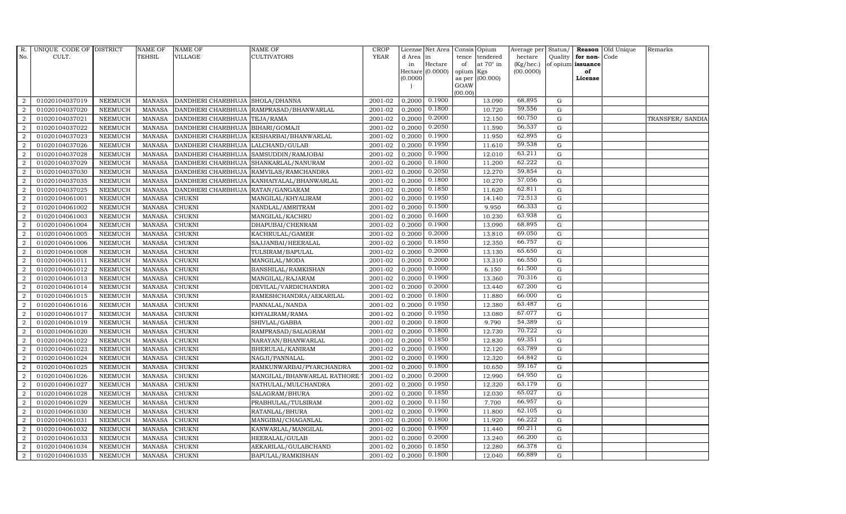| R.               | UNIQUE CODE OF DISTRICT |                | NAME OF       | <b>NAME OF</b>                  | <b>NAME OF</b>              | CROP        |           | License Net Area  |                | Consis Opium     | Average per |             |                   | Status/ Reason Old Unique | Remarks          |
|------------------|-------------------------|----------------|---------------|---------------------------------|-----------------------------|-------------|-----------|-------------------|----------------|------------------|-------------|-------------|-------------------|---------------------------|------------------|
| No.              | CULT.                   |                | <b>TEHSIL</b> | <b>VILLAGE</b>                  | <b>CULTIVATORS</b>          | <b>YEAR</b> | d Area in |                   | tence          | tendered         | hectare     | Quality     | for non-          | Code                      |                  |
|                  |                         |                |               |                                 |                             |             | in        | Hectare           | of             | at $70^\circ$ in | (Kg/hec.)   |             | of opium issuance |                           |                  |
|                  |                         |                |               |                                 |                             |             | (0.0000)  | Hectare (0.0000)  | opium          | Kgs<br>(00.000)  | (00.0000)   |             | of<br>License     |                           |                  |
|                  |                         |                |               |                                 |                             |             |           |                   | as per<br>GOAW |                  |             |             |                   |                           |                  |
|                  |                         |                |               |                                 |                             |             |           |                   | (00.00)        |                  |             |             |                   |                           |                  |
| $\overline{2}$   | 01020104037019          | <b>NEEMUCH</b> | <b>MANASA</b> | DANDHERI CHARBHUJA SHOLA/DHANNA |                             | 2001-02     |           | $0.2000$ $0.1900$ |                | 13.090           | 68.895      | G           |                   |                           |                  |
| $\overline{a}$   | 01020104037020          | <b>NEEMUCH</b> | <b>MANASA</b> | DANDHERI CHARBHUJA              | RAMPRASAD/BHANWARLAL        | 2001-02     |           | 0.2000 0.1800     |                | 10.720           | 59.556      | ${\rm G}$   |                   |                           |                  |
| 2                | 01020104037021          | <b>NEEMUCH</b> | <b>MANASA</b> | DANDHERI CHARBHUJA              | TEJA/RAMA                   | 2001-02     | 0.2000    | 0.2000            |                | 12.150           | 60.750      | $\mathbf G$ |                   |                           | TRANSFER/ SANDIA |
| $\overline{2}$   | 01020104037022          | <b>NEEMUCH</b> | <b>MANASA</b> | DANDHERI CHARBHUJA              | BIHARI/GOMAJI               | 2001-02     | 0.2000    | 0.2050            |                | 11.590           | 56.537      | $\mathbf G$ |                   |                           |                  |
| $\overline{2}$   | 01020104037023          | <b>NEEMUCH</b> | <b>MANASA</b> | DANDHERI CHARBHUJA              | KESHARBAI/BHANWARLAL        | 2001-02     | 0.2000    | 0.1900            |                | 11.950           | 62.895      | $\mathbf G$ |                   |                           |                  |
| $\overline{2}$   | 01020104037026          | <b>NEEMUCH</b> | <b>MANASA</b> | DANDHERI CHARBHUJA              | LALCHAND/GULAB              | 2001-02     | 0.2000    | 0.1950            |                | 11.610           | 59.538      | ${\rm G}$   |                   |                           |                  |
| $\overline{a}$   | 01020104037028          | NEEMUCH        | <b>MANASA</b> | DANDHERI CHARBHUJA              | SAMSUDDIN/RAMJOBAI          | 2001-02     | 0.2000    | 0.1900            |                | 12.010           | 63.211      | ${\rm G}$   |                   |                           |                  |
| $\overline{2}$   | 01020104037029          | <b>NEEMUCH</b> | <b>MANASA</b> | DANDHERI CHARBHUJA              | SHANKARLAL/NANURAM          | 2001-02     | 0.2000    | 0.1800            |                | 11.200           | 62.222      | G           |                   |                           |                  |
| $\overline{2}$   | 01020104037030          | <b>NEEMUCH</b> | <b>MANASA</b> | DANDHERI CHARBHUJA              | RAMVILAS/RAMCHANDRA         | 2001-02     | 0.2000    | 0.2050            |                | 12.270           | 59.854      | $\mathbf G$ |                   |                           |                  |
| $\boldsymbol{2}$ | 01020104037035          | NEEMUCH        | <b>MANASA</b> | DANDHERI CHARBHUJA              | KANHAIYALAL/BHANWARLAL      | 2001-02     | 0.2000    | 0.1800            |                | 10.270           | 57.056      | ${\rm G}$   |                   |                           |                  |
| $\overline{2}$   | 01020104037025          | <b>NEEMUCH</b> | <b>MANASA</b> | DANDHERI CHARBHUJA              | RATAN/GANGARAM              | 2001-02     | 0.2000    | 0.1850            |                | 11.620           | 62.811      | ${\rm G}$   |                   |                           |                  |
| 2                | 01020104061001          | <b>NEEMUCH</b> | <b>MANASA</b> | CHUKNI                          | MANGILAL/KHYALIRAM          | 2001-02     | 0.2000    | 0.1950            |                | 14.140           | 72.513      | G           |                   |                           |                  |
| $\overline{2}$   | 01020104061002          | <b>NEEMUCH</b> | <b>MANASA</b> | CHUKNI                          | NANDLAL/AMRITRAM            | 2001-02     | 0.2000    | 0.1500            |                | 9.950            | 66.333      | G           |                   |                           |                  |
| $\overline{2}$   | 01020104061003          | <b>NEEMUCH</b> | <b>MANASA</b> | <b>CHUKNI</b>                   | MANGILAL/KACHRU             | 2001-02     | 0.2000    | 0.1600            |                | 10.230           | 63.938      | ${\rm G}$   |                   |                           |                  |
| $\overline{2}$   | 01020104061004          | NEEMUCH        | <b>MANASA</b> | CHUKNI                          | DHAPUBAI/CHENRAM            | 2001-02     | 0.2000    | 0.1900            |                | 13.090           | 68.895      | ${\rm G}$   |                   |                           |                  |
| $\overline{2}$   | 01020104061005          | <b>NEEMUCH</b> | <b>MANASA</b> | <b>CHUKNI</b>                   | KACHRULAL/GAMER             | 2001-02     | 0.2000    | 0.2000            |                | 13.810           | 69.050      | G           |                   |                           |                  |
| 2                | 01020104061006          | <b>NEEMUCH</b> | <b>MANASA</b> | <b>CHUKNI</b>                   | SAJJANBAI/HEERALAL          | 2001-02     | 0.2000    | 0.1850            |                | 12.350           | 66.757      | G           |                   |                           |                  |
| $\overline{2}$   | 01020104061008          | <b>NEEMUCH</b> | <b>MANASA</b> | <b>CHUKNI</b>                   | TULSIRAM/BAPULAL            | 2001-02     | 0.2000    | 0.2000            |                | 13.130           | 65.650      | G           |                   |                           |                  |
| $\overline{2}$   | 01020104061011          | <b>NEEMUCH</b> | <b>MANASA</b> | <b>CHUKNI</b>                   | MANGILAL/MODA               | 2001-02     | 0.2000    | 0.2000            |                | 13.310           | 66.550      | ${\rm G}$   |                   |                           |                  |
| $\overline{2}$   | 01020104061012          | NEEMUCH        | <b>MANASA</b> | CHUKNI                          | BANSHILAL/RAMKISHAN         | 2001-02     | 0.2000    | 0.1000            |                | 6.150            | 61.500      | ${\rm G}$   |                   |                           |                  |
| $\overline{2}$   | 01020104061013          | <b>NEEMUCH</b> | <b>MANASA</b> | <b>CHUKNI</b>                   | MANGILAL/RAJARAM            | 2001-02     | 0.2000    | 0.1900            |                | 13.360           | 70.316      | G           |                   |                           |                  |
| 2                | 01020104061014          | <b>NEEMUCH</b> | <b>MANASA</b> | <b>CHUKNI</b>                   | DEVILAL/VARDICHANDRA        | 2001-02     | 0.2000    | 0.2000            |                | 13.440           | 67.200      | G           |                   |                           |                  |
| $\overline{2}$   | 01020104061015          | NEEMUCH        | <b>MANASA</b> | <b>CHUKNI</b>                   | RAMESHCHANDRA/AEKARILAL     | 2001-02     | 0.2000    | 0.1800            |                | 11.880           | 66.000      | ${\rm G}$   |                   |                           |                  |
| $\overline{2}$   | 01020104061016          | <b>NEEMUCH</b> | <b>MANASA</b> | <b>CHUKNI</b>                   | PANNALAL/NANDA              | 2001-02     | 0.2000    | 0.1950            |                | 12.380           | 63.487      | ${\rm G}$   |                   |                           |                  |
| $\overline{2}$   | 01020104061017          | <b>NEEMUCH</b> | <b>MANASA</b> | <b>CHUKNI</b>                   | KHYALIRAM/RAMA              | 2001-02     | 0.2000    | 0.1950            |                | 13.080           | 67.077      | ${\rm G}$   |                   |                           |                  |
| $\overline{2}$   | 01020104061019          | <b>NEEMUCH</b> | <b>MANASA</b> | CHUKNI                          | SHIVLAL/GABBA               | 2001-02     | 0.2000    | 0.1800            |                | 9.790            | 54.389      | G           |                   |                           |                  |
| 2                | 01020104061020          | <b>NEEMUCH</b> | <b>MANASA</b> | <b>CHUKNI</b>                   | RAMPRASAD/SALAGRAM          | 2001-02     | 0.2000    | 0.1800            |                | 12.730           | 70.722      | ${\rm G}$   |                   |                           |                  |
| $\overline{2}$   | 01020104061022          | NEEMUCH        | <b>MANASA</b> | <b>CHUKNI</b>                   | NARAYAN/BHANWARLAL          | 2001-02     | 0.2000    | 0.1850            |                | 12.830           | 69.351      | ${\rm G}$   |                   |                           |                  |
| $\overline{2}$   | 01020104061023          | <b>NEEMUCH</b> | <b>MANASA</b> | <b>CHUKNI</b>                   | BHERULAL/KANIRAM            | 2001-02     | 0.2000    | 0.1900            |                | 12.120           | 63.789      | ${\rm G}$   |                   |                           |                  |
| $\overline{2}$   | 01020104061024          | <b>NEEMUCH</b> | <b>MANASA</b> | <b>CHUKNI</b>                   | NAGJI/PANNALAL              | 2001-02     | 0.2000    | 0.1900            |                | 12.320           | 64.842      | ${\rm G}$   |                   |                           |                  |
| $\overline{2}$   | 01020104061025          | <b>NEEMUCH</b> | <b>MANASA</b> | <b>CHUKNI</b>                   | RAMKUNWARBAI/PYARCHANDRA    | 2001-02     | 0.2000    | 0.1800            |                | 10.650           | 59.167      | ${\rm G}$   |                   |                           |                  |
| $\overline{2}$   | 01020104061026          | <b>NEEMUCH</b> | <b>MANASA</b> | <b>CHUKNI</b>                   | MANGILAL/BHANWARLAL RATHORE | 2001-02     | 0.2000    | 0.2000            |                | 12.990           | 64.950      | ${\rm G}$   |                   |                           |                  |
| $\overline{2}$   | 01020104061027          | <b>NEEMUCH</b> | <b>MANASA</b> | <b>CHUKNI</b>                   | NATHULAL/MULCHANDRA         | 2001-02     | 0.2000    | 0.1950            |                | 12.320           | 63.179      | ${\rm G}$   |                   |                           |                  |
| 2                | 01020104061028          | <b>NEEMUCH</b> | <b>MANASA</b> | <b>CHUKNI</b>                   | SALAGRAM/BHURA              | 2001-02     | 0.2000    | 0.1850            |                | 12.030           | 65.027      | ${\rm G}$   |                   |                           |                  |
| $\overline{2}$   | 01020104061029          | <b>NEEMUCH</b> | <b>MANASA</b> | <b>CHUKNI</b>                   | PRABHULAL/TULSIRAM          | 2001-02     | 0.2000    | 0.1150            |                | 7.700            | 66.957      | $\mathbf G$ |                   |                           |                  |
| $\overline{2}$   | 01020104061030          | <b>NEEMUCH</b> | <b>MANASA</b> | CHUKNI                          | RATANLAL/BHURA              | 2001-02     | 0.2000    | 0.1900            |                | 11.800           | 62.105      | ${\rm G}$   |                   |                           |                  |
| 2                | 01020104061031          | <b>NEEMUCH</b> | <b>MANASA</b> | <b>CHUKNI</b>                   | MANGIBAI/CHAGANLAL          | 2001-02     | 0.2000    | 0.1800            |                | 11.920           | 66.222      | G           |                   |                           |                  |
| $\overline{a}$   | 01020104061032          | <b>NEEMUCH</b> | <b>MANASA</b> | CHUKNI                          | KANWARLAL/MANGILAL          | 2001-02     | 0.2000    | 0.1900            |                | 11.440           | 60.211      | ${\rm G}$   |                   |                           |                  |
| $\overline{2}$   | 01020104061033          | <b>NEEMUCH</b> | <b>MANASA</b> | <b>CHUKNI</b>                   | HEERALAL/GULAB              | 2001-02     | 0.2000    | 0.2000            |                | 13.240           | 66.200      | ${\rm G}$   |                   |                           |                  |
| $\overline{2}$   | 01020104061034          | <b>NEEMUCH</b> | <b>MANASA</b> | <b>CHUKNI</b>                   | AEKARILAL/GULABCHAND        | 2001-02     | 0.2000    | 0.1850            |                | 12.280           | 66.378      | $\mathbf G$ |                   |                           |                  |
| $\overline{a}$   | 01020104061035          | <b>NEEMUCH</b> | MANASA        | <b>CHUKNI</b>                   | BAPULAL/RAMKISHAN           | 2001-02     | 0.2000    | 0.1800            |                | 12.040           | 66.889      | G           |                   |                           |                  |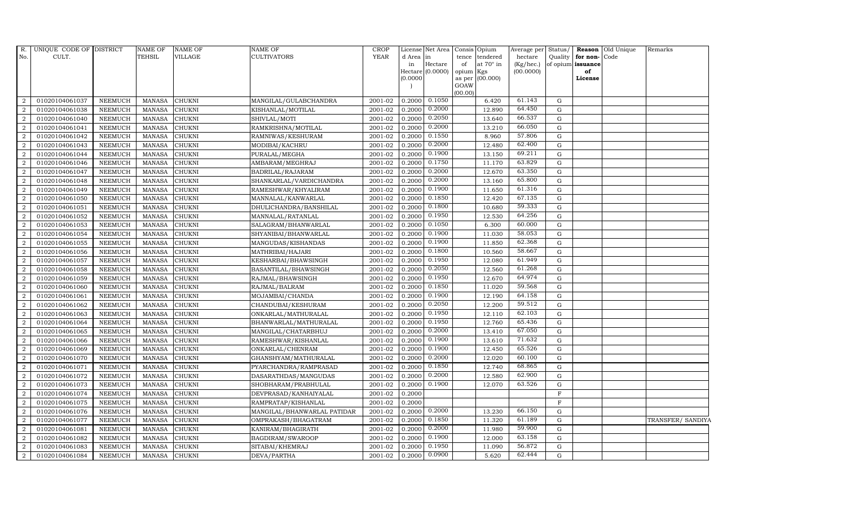| R.             | UNIQUE CODE OF DISTRICT |                | NAME OF       | <b>NAME OF</b> | <b>NAME OF</b>              | <b>CROP</b> |           | License Net Area Consis Opium |                |                  | Average per Status/ |             |                      | Reason Old Unique | Remarks           |
|----------------|-------------------------|----------------|---------------|----------------|-----------------------------|-------------|-----------|-------------------------------|----------------|------------------|---------------------|-------------|----------------------|-------------------|-------------------|
| No.            | CULT.                   |                | TEHSIL        | VILLAGE        | <b>CULTIVATORS</b>          | <b>YEAR</b> | d Area in |                               | tence          | tendered         | hectare             |             | Quality for non-Code |                   |                   |
|                |                         |                |               |                |                             |             | in        | Hectare                       | of             | at $70^\circ$ in | (Kg/hec.)           |             | of opium issuance    |                   |                   |
|                |                         |                |               |                |                             |             |           | $Hectare (0.0000)$            | opium          | Kgs              | (00.0000)           |             | of<br>License        |                   |                   |
|                |                         |                |               |                |                             |             | (0.0000)  |                               | as per<br>GOAW | (00.000)         |                     |             |                      |                   |                   |
|                |                         |                |               |                |                             |             |           |                               | (00.00)        |                  |                     |             |                      |                   |                   |
| 2              | 01020104061037          | <b>NEEMUCH</b> | <b>MANASA</b> | <b>CHUKNI</b>  | MANGILAL/GULABCHANDRA       | 2001-02     |           | $0.2000$ $0.1050$             |                | 6.420            | 61.143              | G           |                      |                   |                   |
| $\overline{2}$ | 01020104061038          | <b>NEEMUCH</b> | <b>MANASA</b> | <b>CHUKNI</b>  | KISHANLAL/MOTILAL           | 2001-02     | 0.2000    | 0.2000                        |                | 12.890           | 64.450              | ${\rm G}$   |                      |                   |                   |
| $\overline{2}$ | 01020104061040          | <b>NEEMUCH</b> | <b>MANASA</b> | <b>CHUKNI</b>  | SHIVLAL/MOTI                | 2001-02     | 0.2000    | 0.2050                        |                | 13.640           | 66.537              | G           |                      |                   |                   |
| $\overline{2}$ | 01020104061041          | <b>NEEMUCH</b> | <b>MANASA</b> | <b>CHUKNI</b>  | RAMKRISHNA/MOTILAL          | 2001-02     | 0.200     | 0.2000                        |                | 13.210           | 66.050              | ${\rm G}$   |                      |                   |                   |
| 2              | 01020104061042          | <b>NEEMUCH</b> | <b>MANASA</b> | CHUKNI         | RAMNIWAS/KESHURAM           | 2001-02     | 0.2000    | 0.1550                        |                | 8.960            | 57.806              | ${\rm G}$   |                      |                   |                   |
| 2              | 01020104061043          | <b>NEEMUCH</b> | <b>MANASA</b> | CHUKNI         | MODIBAI/KACHRU              | 2001-02     | 0.2000    | 0.2000                        |                | 12.480           | 62.400              | G           |                      |                   |                   |
| 2              | 01020104061044          | <b>NEEMUCH</b> | <b>MANASA</b> | CHUKNI         | PURALAL/MEGHA               | 2001-02     | 0.2000    | 0.1900                        |                | 13.150           | 69.211              | ${\rm G}$   |                      |                   |                   |
| 2              | 01020104061046          | <b>NEEMUCH</b> | <b>MANASA</b> | CHUKNI         | AMBARAM/MEGHRAJ             | 2001-02     | 0.2000    | 0.1750                        |                | 11.170           | 63.829              | ${\rm G}$   |                      |                   |                   |
| $\overline{2}$ | 01020104061047          | <b>NEEMUCH</b> | <b>MANASA</b> | <b>CHUKNI</b>  | BADRILAL/RAJARAM            | 2001-02     | 0.200     | 0.2000                        |                | 12.670           | 63.350              | G           |                      |                   |                   |
| $\overline{2}$ | 01020104061048          | <b>NEEMUCH</b> | <b>MANASA</b> | CHUKNI         | SHANKARLAL/VARDICHANDRA     | 2001-02     | 0.2000    | 0.2000                        |                | 13.160           | 65.800              | ${\rm G}$   |                      |                   |                   |
| $\overline{2}$ | 01020104061049          | <b>NEEMUCH</b> | <b>MANASA</b> | CHUKNI         | RAMESHWAR/KHYALIRAM         | 2001-02     | 0.2000    | 0.1900                        |                | 11.650           | 61.316              | G           |                      |                   |                   |
| $\overline{2}$ | 01020104061050          | <b>NEEMUCH</b> | <b>MANASA</b> | <b>CHUKNI</b>  | MANNALAL/KANWARLAL          | 2001-02     | 0.2000    | 0.1850                        |                | 12.420           | 67.135              | $\mathbf G$ |                      |                   |                   |
| 2              | 01020104061051          | <b>NEEMUCH</b> | <b>MANASA</b> | CHUKNI         | DHULICHANDRA/BANSHILAL      | 2001-02     | 0.2000    | 0.1800                        |                | 10.680           | 59.333              | $\mathbf G$ |                      |                   |                   |
| 2              | 01020104061052          | <b>NEEMUCH</b> | <b>MANASA</b> | <b>CHUKNI</b>  | MANNALAL/RATANLAL           | 2001-02     | 0.2000    | 0.1950                        |                | 12.530           | 64.256              | G           |                      |                   |                   |
| $\overline{2}$ | 01020104061053          | <b>NEEMUCH</b> | <b>MANASA</b> | <b>CHUKNI</b>  | SALAGRAM/BHANWARLAL         | 2001-02     | 0.2000    | 0.1050                        |                | 6.300            | 60.000              | ${\rm G}$   |                      |                   |                   |
| $\overline{a}$ | 01020104061054          | <b>NEEMUCH</b> | <b>MANASA</b> | CHUKNI         | SHYANIBAI/BHANWARLAL        | 2001-02     | 0.2000    | 0.1900                        |                | 11.030           | 58.053              | $\mathbf G$ |                      |                   |                   |
| $\overline{2}$ | 01020104061055          | <b>NEEMUCH</b> | <b>MANASA</b> | CHUKNI         | MANGUDAS/KISHANDAS          | 2001-02     | 0.2000    | 0.1900                        |                | 11.850           | 62.368              | G           |                      |                   |                   |
| 2              | 01020104061056          | <b>NEEMUCH</b> | <b>MANASA</b> | CHUKNI         | MATHRIBAI/HAJARI            | 2001-02     | 0.2000    | 0.1800                        |                | 10.560           | 58.667              | $\mathbf G$ |                      |                   |                   |
| $\overline{2}$ | 01020104061057          | <b>NEEMUCH</b> | <b>MANASA</b> | CHUKNI         | KESHARBAI/BHAWSINGH         | 2001-02     | 0.2000    | 0.1950                        |                | 12.080           | 61.949              | $\mathbf G$ |                      |                   |                   |
| $\overline{2}$ | 01020104061058          | <b>NEEMUCH</b> | <b>MANASA</b> | CHUKNI         | BASANTILAL/BHAWSINGH        | 2001-02     | 0.2000    | 0.2050                        |                | 12.560           | 61.268              | $\mathbf G$ |                      |                   |                   |
| $\overline{2}$ | 01020104061059          | <b>NEEMUCH</b> | <b>MANASA</b> | CHUKNI         | RAJMAL/BHAWSINGH            | 2001-02     | 0.2000    | 0.1950                        |                | 12.670           | 64.974              | G           |                      |                   |                   |
| 2              | 01020104061060          | <b>NEEMUCH</b> | <b>MANASA</b> | CHUKNI         | RAJMAL/BALRAM               | 2001-02     | 0.2000    | 0.1850                        |                | 11.020           | 59.568              | G           |                      |                   |                   |
| $\overline{2}$ | 01020104061061          | <b>NEEMUCH</b> | <b>MANASA</b> | CHUKNI         | MOJAMBAI/CHANDA             | 2001-02     | 0.2000    | 0.1900                        |                | 12.190           | 64.158              | G           |                      |                   |                   |
| $\overline{2}$ | 01020104061062          | <b>NEEMUCH</b> | <b>MANASA</b> | CHUKNI         | CHANDUBAI/KESHURAM          | 2001-02     | 0.2000    | 0.2050                        |                | 12.200           | 59.512              | ${\rm G}$   |                      |                   |                   |
| 2              | 01020104061063          | <b>NEEMUCH</b> | <b>MANASA</b> | CHUKNI         | ONKARLAL/MATHURALAL         | 2001-02     | 0.2000    | 0.1950                        |                | 12.110           | 62.103              | G           |                      |                   |                   |
| 2              | 01020104061064          | <b>NEEMUCH</b> | <b>MANASA</b> | CHUKNI         | BHANWARLAL/MATHURALAL       | 2001-02     | 0.2000    | 0.1950                        |                | 12.760           | 65.436              | G           |                      |                   |                   |
| $\overline{a}$ | 01020104061065          | <b>NEEMUCH</b> | <b>MANASA</b> | CHUKNI         | MANGILAL/CHATARBHUJ         | 2001-02     | 0.2000    | 0.2000                        |                | 13.410           | 67.050              | ${\rm G}$   |                      |                   |                   |
| 2              | 01020104061066          | <b>NEEMUCH</b> | <b>MANASA</b> | CHUKNI         | RAMESHWAR/KISHANLAL         | 2001-02     | 0.2000    | 0.1900                        |                | 13.610           | 71.632              | $\mathbf G$ |                      |                   |                   |
| 2              | 01020104061069          | <b>NEEMUCH</b> | <b>MANASA</b> | <b>CHUKNI</b>  | ONKARLAL/CHENRAM            | 2001-02     | 0.2000    | 0.1900                        |                | 12.450           | 65.526              | ${\rm G}$   |                      |                   |                   |
| $\overline{2}$ | 01020104061070          | <b>NEEMUCH</b> | <b>MANASA</b> | CHUKNI         | GHANSHYAM/MATHURALAL        | 2001-02     | 0.200     | 0.2000                        |                | 12.020           | 60.100              | ${\rm G}$   |                      |                   |                   |
| 2              | 01020104061071          | <b>NEEMUCH</b> | <b>MANASA</b> | CHUKNI         | PYARCHANDRA/RAMPRASAD       | 2001-02     | 0.2000    | 0.1850                        |                | 12.740           | 68.865              | $\mathbf G$ |                      |                   |                   |
| $\overline{2}$ | 01020104061072          | <b>NEEMUCH</b> | <b>MANASA</b> | CHUKNI         | DASARATHDAS/MANGUDAS        | 2001-02     | 0.2000    | 0.2000                        |                | 12.580           | 62.900              | ${\rm G}$   |                      |                   |                   |
| $\overline{a}$ | 01020104061073          | <b>NEEMUCH</b> | <b>MANASA</b> | CHUKNI         | SHOBHARAM/PRABHULAL         | 2001-02     | 0.2000    | 0.1900                        |                | 12.070           | 63.526              | ${\rm G}$   |                      |                   |                   |
| $\overline{2}$ | 01020104061074          | <b>NEEMUCH</b> | <b>MANASA</b> | <b>CHUKNI</b>  | DEVPRASAD/KANHAIYALAL       | 2001-02     | 0.2000    |                               |                |                  |                     | $\rm F$     |                      |                   |                   |
| 2              | 01020104061075          | <b>NEEMUCH</b> | <b>MANASA</b> | CHUKNI         | RAMPRATAP/KISHANLAL         | $2001 - 02$ | 0.2000    |                               |                |                  |                     | $\mathbf F$ |                      |                   |                   |
| $\overline{2}$ | 01020104061076          | <b>NEEMUCH</b> | <b>MANASA</b> | CHUKNI         | MANGILAL/BHANWARLAL PATIDAR | 2001-02     | 0.2000    | 0.2000                        |                | 13.230           | 66.150              | G           |                      |                   |                   |
| $\overline{2}$ | 01020104061077          | <b>NEEMUCH</b> | <b>MANASA</b> | CHUKNI         | OMPRAKASH/BHAGATRAM         | 2001-02     | 0.2000    | 0.1850                        |                | 11.320           | 61.189              | ${\rm G}$   |                      |                   | TRANSFER/ SANDIYA |
| $\overline{a}$ | 01020104061081          | <b>NEEMUCH</b> | <b>MANASA</b> | CHUKNI         | KANIRAM/BHAGIRATH           | 2001-02     | 0.2000    | 0.2000                        |                | 11.980           | 59.900              | G           |                      |                   |                   |
| 2              | 01020104061082          | <b>NEEMUCH</b> | <b>MANASA</b> | <b>CHUKNI</b>  | BAGDIRAM/SWAROOP            | 2001-02     | 0.2000    | 0.1900                        |                | 12.000           | 63.158              | $\mathbf G$ |                      |                   |                   |
| 2              | 01020104061083          | <b>NEEMUCH</b> | <b>MANASA</b> | CHUKNI         | SITABAI/KHEMRAJ             | 2001-02     | 0.2000    | 0.1950                        |                | 11.090           | 56.872              | $\mathbf G$ |                      |                   |                   |
| $\overline{a}$ | 01020104061084          | NEEMUCH        | <b>MANASA</b> | CHUKNI         | DEVA/PARTHA                 | 2001-02     | 0.2000    | 0.0900                        |                | 5.620            | 62.444              | G           |                      |                   |                   |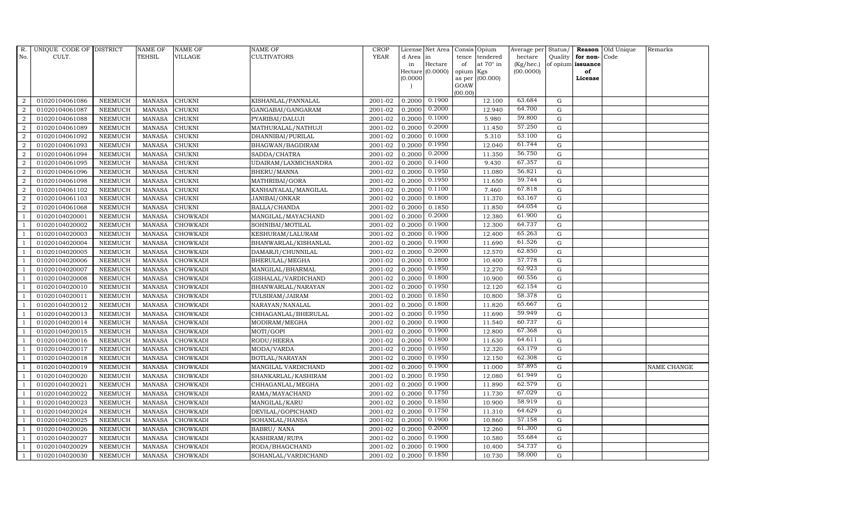| R.             | UNIQUE CODE OF DISTRICT |                | <b>NAME OF</b> | <b>NAME OF</b>  | <b>NAME OF</b>       | CROP        |           | License Net Area Consis Opium |           |                  | Average per Status/ |             |                   | <b>Reason</b> Old Unique | Remarks     |
|----------------|-------------------------|----------------|----------------|-----------------|----------------------|-------------|-----------|-------------------------------|-----------|------------------|---------------------|-------------|-------------------|--------------------------|-------------|
| No.            | CULT.                   |                | <b>TEHSIL</b>  | <b>VILLAGE</b>  | <b>CULTIVATORS</b>   | <b>YEAR</b> | d Area in |                               |           | tence tendered   | hectare             | Quality     | for non-          | Code                     |             |
|                |                         |                |                |                 |                      |             | in        | Hectare                       | of        | at $70^\circ$ in | (Kg/hec.)           |             | of opium issuance |                          |             |
|                |                         |                |                |                 |                      |             |           | Hectare (0.0000)              | opium Kgs |                  | (00.0000)           |             | of                |                          |             |
|                |                         |                |                |                 |                      |             | (0.0000)  |                               | GOAW      | as per (00.000)  |                     |             | License           |                          |             |
|                |                         |                |                |                 |                      |             |           |                               | (00.00)   |                  |                     |             |                   |                          |             |
| $\overline{2}$ | 01020104061086          | <b>NEEMUCH</b> | MANASA         | <b>CHUKNI</b>   | KISHANLAL/PANNALAL   | 2001-02     |           | $0.2000 \quad 0.1900$         |           | 12.100           | 63.684              | G           |                   |                          |             |
| $\overline{2}$ | 01020104061087          | <b>NEEMUCH</b> | <b>MANASA</b>  | <b>CHUKNI</b>   | GANGABAI/GANGARAM    | 2001-02     | 0.2000    | 0.2000                        |           | 12.940           | 64.700              | $\mathbf G$ |                   |                          |             |
| 2              | 01020104061088          | <b>NEEMUCH</b> | <b>MANASA</b>  | <b>CHUKNI</b>   | PYARIBAI/DALUJI      | 2001-02     | 0.2000    | 0.1000                        |           | 5.980            | 59.800              | G           |                   |                          |             |
| $\overline{2}$ | 01020104061089          | <b>NEEMUCH</b> | <b>MANASA</b>  | <b>CHUKNI</b>   | MATHURALAL/NATHUJI   | 2001-02     | 0.2000    | 0.2000                        |           | 11.450           | 57.250              | $\mathbf G$ |                   |                          |             |
| $\overline{a}$ | 01020104061092          | <b>NEEMUCH</b> | <b>MANASA</b>  | <b>CHUKNI</b>   | DHANNIBAI/PURILAL    | 2001-02     | 0.2000    | 0.1000                        |           | 5.310            | 53.100              | ${\bf G}$   |                   |                          |             |
| $\overline{2}$ | 01020104061093          | <b>NEEMUCH</b> | MANASA         | <b>CHUKNI</b>   | BHAGWAN/BAGDIRAM     | 2001-02     | 0.2000    | 0.1950                        |           | 12.040           | 61.744              | $\mathbf G$ |                   |                          |             |
| $\overline{a}$ | 01020104061094          | <b>NEEMUCH</b> | <b>MANASA</b>  | <b>CHUKNI</b>   | SADDA/CHATRA         | 2001-02     | 0.2000    | 0.2000                        |           | 11.350           | 56.750              | $\mathbf G$ |                   |                          |             |
| $\overline{2}$ | 01020104061095          | <b>NEEMUCH</b> | <b>MANASA</b>  | <b>CHUKNI</b>   | UDAIRAM/LAXMICHANDRA | 2001-02     | 0.2000    | 0.1400                        |           | 9.430            | 67.357              | $\mathbf G$ |                   |                          |             |
| $\overline{2}$ | 01020104061096          | <b>NEEMUCH</b> | <b>MANASA</b>  | <b>CHUKNI</b>   | BHERU/MANNA          | 2001-02     | 0.2000    | 0.1950                        |           | 11.080           | 56.821              | $\mathbf G$ |                   |                          |             |
| $\overline{2}$ | 01020104061098          | <b>NEEMUCH</b> | <b>MANASA</b>  | CHUKNI          | MATHRIBAI/GORA       | 2001-02     | 0.2000    | 0.1950                        |           | 11.650           | 59.744              | $\mathbf G$ |                   |                          |             |
| $\overline{a}$ | 01020104061102          | <b>NEEMUCH</b> | <b>MANASA</b>  | <b>CHUKNI</b>   | KANHAIYALAL/MANGILAL | 2001-02     | 0.2000    | 0.1100                        |           | 7.460            | 67.818              | ${\rm G}$   |                   |                          |             |
| $\overline{2}$ | 01020104061103          | <b>NEEMUCH</b> | <b>MANASA</b>  | <b>CHUKNI</b>   | JANIBAI/ONKAR        | 2001-02     | 0.2000    | 0.1800                        |           | 11.370           | 63.167              | G           |                   |                          |             |
| 2              | 01020104061068          | <b>NEEMUCH</b> | <b>MANASA</b>  | <b>CHUKNI</b>   | BALLA/CHANDA         | 2001-02     | 0.2000    | 0.1850                        |           | 11.850           | 64.054              | $\mathbf G$ |                   |                          |             |
|                | 01020104020001          | <b>NEEMUCH</b> | <b>MANASA</b>  | <b>CHOWKADI</b> | MANGILAL/MAYACHAND   | 2001-02     | 0.2000    | 0.2000                        |           | 12.380           | 61.900              | G           |                   |                          |             |
| $\overline{1}$ | 01020104020002          | <b>NEEMUCH</b> | <b>MANASA</b>  | <b>CHOWKADI</b> | SOHNIBAI/MOTILAL     | 2001-02     | 0.2000    | 0.1900                        |           | 12.300           | 64.737              | G           |                   |                          |             |
| -1             | 01020104020003          | <b>NEEMUCH</b> | <b>MANASA</b>  | <b>CHOWKADI</b> | KESHURAM/LALURAM     | 2001-02     | 0.2000    | 0.1900                        |           | 12.400           | 65.263              | ${\rm G}$   |                   |                          |             |
|                | 01020104020004          | <b>NEEMUCH</b> | <b>MANASA</b>  | <b>CHOWKADI</b> | BHANWARLAL/KISHANLAL | 2001-02     | 0.2000    | 0.1900                        |           | 11.690           | 61.526              | G           |                   |                          |             |
| $\overline{1}$ | 01020104020005          | <b>NEEMUCH</b> | <b>MANASA</b>  | <b>CHOWKADI</b> | DAMARJI/CHUNNILAL    | 2001-02     | 0.2000    | 0.2000                        |           | 12.570           | 62.850              | $\mathbf G$ |                   |                          |             |
|                | 01020104020006          | <b>NEEMUCH</b> | <b>MANASA</b>  | <b>CHOWKADI</b> | BHERULAL/MEGHA       | 2001-02     | 0.2000    | 0.1800                        |           | 10.400           | 57.778              | $\mathbf G$ |                   |                          |             |
|                | 01020104020007          | <b>NEEMUCH</b> | <b>MANASA</b>  | <b>CHOWKADI</b> | MANGILAL/BHARMAL     | 2001-02     | 0.2000    | 0.1950                        |           | 12.270           | 62.923              | $\mathbf G$ |                   |                          |             |
| -1             | 01020104020008          | <b>NEEMUCH</b> | <b>MANASA</b>  | <b>CHOWKADI</b> | GISHALAL/VARDICHAND  | 2001-02     | 0.2000    | 0.1800                        |           | 10.900           | 60.556              | ${\rm G}$   |                   |                          |             |
|                | 01020104020010          | <b>NEEMUCH</b> | <b>MANASA</b>  | <b>CHOWKADI</b> | BHANWARLAL/NARAYAN   | 2001-02     | 0.2000    | 0.1950                        |           | 12.120           | 62.154              | ${\rm G}$   |                   |                          |             |
| $\overline{1}$ | 01020104020011          | <b>NEEMUCH</b> | MANASA         | <b>CHOWKADI</b> | TULSIRAM/JAIRAM      | 2001-02     | 0.2000    | 0.1850                        |           | 10.800           | 58.378              | G           |                   |                          |             |
|                | 01020104020012          | <b>NEEMUCH</b> | <b>MANASA</b>  | <b>CHOWKADI</b> | NARAYAN/NANALAL      | 2001-02     | 0.2000    | 0.1800                        |           | 11.820           | 65.667              | $\mathbf G$ |                   |                          |             |
|                | 01020104020013          | <b>NEEMUCH</b> | <b>MANASA</b>  | <b>CHOWKADI</b> | CHHAGANLAL/BHERULAL  | 2001-02     | 0.2000    | 0.1950                        |           | 11.690           | 59.949              | $\mathbf G$ |                   |                          |             |
| -1             | 01020104020014          | <b>NEEMUCH</b> | <b>MANASA</b>  | <b>CHOWKADI</b> | MODIRAM/MEGHA        | 2001-02     | 0.2000    | 0.1900                        |           | 11.540           | 60.737              | ${\rm G}$   |                   |                          |             |
| $\overline{1}$ | 01020104020015          | <b>NEEMUCH</b> | <b>MANASA</b>  | <b>CHOWKADI</b> | MOTI/GOPI            | 2001-02     | 0.2000    | 0.1900                        |           | 12.800           | 67.368              | ${\rm G}$   |                   |                          |             |
| $\overline{1}$ | 01020104020016          | <b>NEEMUCH</b> | <b>MANASA</b>  | <b>CHOWKADI</b> | RODU/HEERA           | 2001-02     | 0.2000    | 0.1800                        |           | 11.630           | 64.611              | $\mathbf G$ |                   |                          |             |
| $\overline{1}$ | 01020104020017          | <b>NEEMUCH</b> | <b>MANASA</b>  | <b>CHOWKADI</b> | MODA/VARDA           | 2001-02     | 0.2000    | 0.1950                        |           | 12.320           | 63.179              | $\mathbf G$ |                   |                          |             |
|                | 01020104020018          | <b>NEEMUCH</b> | <b>MANASA</b>  | <b>CHOWKADI</b> | BOTLAL/NARAYAN       | 2001-02     | 0.2000    | 0.1950                        |           | 12.150           | 62.308              | $\mathbf G$ |                   |                          |             |
| -1             | 01020104020019          | <b>NEEMUCH</b> | <b>MANASA</b>  | <b>CHOWKADI</b> | MANGILAL VARDICHAND  | 2001-02     | 0.2000    | 0.1900                        |           | 11.000           | 57.895              | $\mathbf G$ |                   |                          | NAME CHANGE |
|                | 01020104020020          | <b>NEEMUCH</b> | <b>MANASA</b>  | <b>CHOWKADI</b> | SHANKARLAL/KASHIRAM  | 2001-02     | 0.2000    | 0.1950                        |           | 12.080           | 61.949              | ${\rm G}$   |                   |                          |             |
| $\overline{1}$ | 01020104020021          | <b>NEEMUCH</b> | MANASA         | <b>CHOWKADI</b> | CHHAGANLAL/MEGHA     | 2001-02     | 0.2000    | 0.1900                        |           | 11.890           | 62.579              | ${\rm G}$   |                   |                          |             |
| $\mathbf{1}$   | 01020104020022          | <b>NEEMUCH</b> | <b>MANASA</b>  | <b>CHOWKADI</b> | RAMA/MAYACHAND       | 2001-02     | 0.2000    | 0.1750                        |           | 11.730           | 67.029              | $\mathbf G$ |                   |                          |             |
|                | 01020104020023          | <b>NEEMUCH</b> | <b>MANASA</b>  | <b>CHOWKADI</b> | MANGILAL/KARU        | 2001-02     | 0.2000    | 0.1850                        |           | 10.900           | 58.919              | $\mathbf G$ |                   |                          |             |
| $\overline{1}$ | 01020104020024          | <b>NEEMUCH</b> | <b>MANASA</b>  | <b>CHOWKADI</b> | DEVILAL/GOPICHAND    | 2001-02     | 0.2000    | 0.1750                        |           | 11.310           | 64.629              | ${\rm G}$   |                   |                          |             |
|                | 01020104020025          | <b>NEEMUCH</b> | <b>MANASA</b>  | <b>CHOWKADI</b> | SOHANLAL/HANSA       | 2001-02     | 0.2000    | 0.1900                        |           | 10.860           | 57.158              | ${\rm G}$   |                   |                          |             |
| $\overline{1}$ | 01020104020026          | <b>NEEMUCH</b> | <b>MANASA</b>  | <b>CHOWKADI</b> | <b>BABRU/ NANA</b>   | 2001-02     | 0.2000    | 0.2000                        |           | 12.260           | 61.300              | $\mathbf G$ |                   |                          |             |
| $\overline{1}$ | 01020104020027          | <b>NEEMUCH</b> | <b>MANASA</b>  | <b>CHOWKADI</b> | KASHIRAM/RUPA        | 2001-02     | 0.2000    | 0.1900                        |           | 10.580           | 55.684              | $\mathbf G$ |                   |                          |             |
|                | 01020104020029          | <b>NEEMUCH</b> | <b>MANASA</b>  | <b>CHOWKADI</b> | RODA/BHAGCHAND       | 2001-02     | 0.2000    | 0.1900                        |           | 10.400           | 54.737              | $\mathbf G$ |                   |                          |             |
| $\mathbf{1}$   | 01020104020030          | <b>NEEMUCH</b> |                | MANASA CHOWKADI | SOHANLAL/VARDICHAND  | 2001-02     | 0.2000    | 0.1850                        |           | 10.730           | 58.000              | G           |                   |                          |             |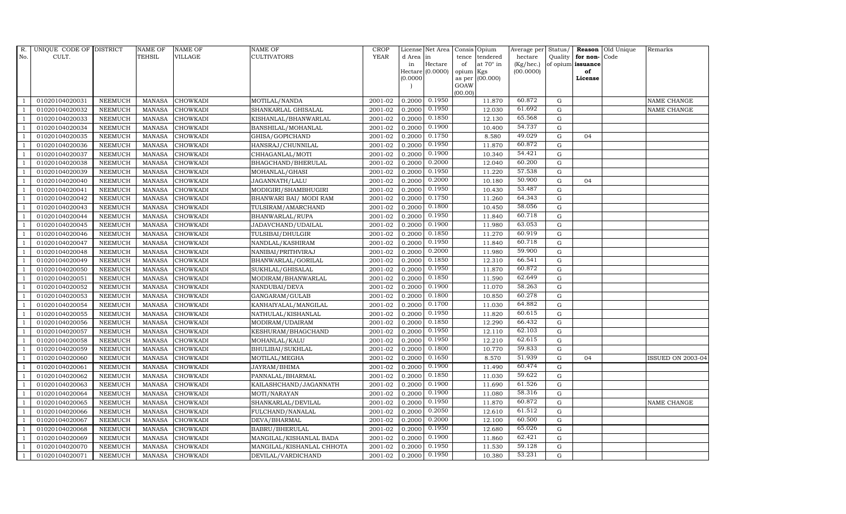| R.             | UNIQUE CODE OF DISTRICT |                | <b>NAME OF</b>  | <b>NAME OF</b>  | <b>NAME OF</b>            | CROP        |           | License Net Area Consis Opium |                |                  | Average per     | Status/     | Reason            | Old Unique | Remarks                  |
|----------------|-------------------------|----------------|-----------------|-----------------|---------------------------|-------------|-----------|-------------------------------|----------------|------------------|-----------------|-------------|-------------------|------------|--------------------------|
| No.            | CULT.                   |                | TEHSIL          | <b>VILLAGE</b>  | <b>CULTIVATORS</b>        | <b>YEAR</b> | d Area in |                               | tence          | tendered         | hectare         | Quality     | for non-          | Code       |                          |
|                |                         |                |                 |                 |                           |             | in        | Hectare                       | of             | at $70^\circ$ in | $(Kg/$ hec. $)$ |             | of opium issuance |            |                          |
|                |                         |                |                 |                 |                           |             |           | Hectare (0.0000)              | opium Kgs      |                  | (00.0000)       |             | of                |            |                          |
|                |                         |                |                 |                 |                           |             | (0.0000)  |                               | as per<br>GOAW | (00.000)         |                 |             | License           |            |                          |
|                |                         |                |                 |                 |                           |             |           |                               | (00.00)        |                  |                 |             |                   |            |                          |
|                | 01020104020031          | <b>NEEMUCH</b> | <b>MANASA</b>   | <b>CHOWKADI</b> | MOTILAL/NANDA             | 2001-02     | 0.2000    | 0.1950                        |                | 11.870           | 60.872          | ${\rm G}$   |                   |            | NAME CHANGE              |
|                | 01020104020032          | <b>NEEMUCH</b> | <b>MANASA</b>   | <b>CHOWKADI</b> | SHANKARLAL GHISALAL       | 2001-02     | 0.2000    | 0.1950                        |                | 12.030           | 61.692          | ${\rm G}$   |                   |            | NAME CHANGE              |
| $\overline{1}$ | 01020104020033          | <b>NEEMUCH</b> | <b>MANASA</b>   | <b>CHOWKADI</b> | KISHANLAL/BHANWARLAL      | 2001-02     | 0.2000    | 0.1850                        |                | 12.130           | 65.568          | $\mathbf G$ |                   |            |                          |
|                | 01020104020034          | <b>NEEMUCH</b> | <b>MANASA</b>   | <b>CHOWKADI</b> | BANSHILAL/MOHANLAL        | 2001-02     | 0.2000    | 0.1900                        |                | 10.400           | 54.737          | $\mathbf G$ |                   |            |                          |
| $\overline{1}$ | 01020104020035          | <b>NEEMUCH</b> | $\mbox{MANASA}$ | <b>CHOWKADI</b> | GHISA/GOPICHAND           | 2001-02     | 0.2000    | 0.1750                        |                | 8.580            | 49.029          | $\mathbf G$ | 04                |            |                          |
| $\overline{1}$ | 01020104020036          | <b>NEEMUCH</b> | <b>MANASA</b>   | <b>CHOWKADI</b> | HANSRAJ/CHUNNILAL         | 2001-02     | 0.2000    | 0.1950                        |                | 11.870           | 60.872          | $\mathbf G$ |                   |            |                          |
| $\overline{1}$ | 01020104020037          | <b>NEEMUCH</b> | MANASA          | <b>CHOWKADI</b> | CHHAGANLAL/MOTI           | 2001-02     | 0.2000    | 0.1900                        |                | 10.340           | 54.421          | ${\rm G}$   |                   |            |                          |
| $\overline{1}$ | 01020104020038          | <b>NEEMUCH</b> | <b>MANASA</b>   | <b>CHOWKADI</b> | BHAGCHAND/BHERULAL        | 2001-02     | 0.2000    | 0.2000                        |                | 12.040           | 60.200          | G           |                   |            |                          |
|                | 01020104020039          | <b>NEEMUCH</b> | <b>MANASA</b>   | <b>CHOWKADI</b> | MOHANLAL/GHASI            | 2001-02     | 0.2000    | 0.1950                        |                | 11.220           | 57.538          | $\mathbf G$ |                   |            |                          |
|                | 01020104020040          | <b>NEEMUCH</b> | <b>MANASA</b>   | <b>CHOWKADI</b> | JAGANNATH/LALU            | 2001-02     | 0.2000    | 0.2000                        |                | 10.180           | 50.900          | $\mathbf G$ | 04                |            |                          |
| -1             | 01020104020041          | <b>NEEMUCH</b> | <b>MANASA</b>   | <b>CHOWKADI</b> | MODIGIRI/SHAMBHUGIRI      | 2001-02     | 0.2000    | 0.1950                        |                | 10.430           | 53.487          | ${\rm G}$   |                   |            |                          |
| $\overline{1}$ | 01020104020042          | <b>NEEMUCH</b> | <b>MANASA</b>   | <b>CHOWKADI</b> | BHANWARI BAI/ MODI RAM    | 2001-02     | 0.2000    | 0.1750                        |                | 11.260           | 64.343          | ${\rm G}$   |                   |            |                          |
| $\overline{1}$ | 01020104020043          | <b>NEEMUCH</b> | <b>MANASA</b>   | <b>CHOWKADI</b> | TULSIRAM/AMARCHAND        | 2001-02     | 0.2000    | 0.1800                        |                | 10.450           | 58.056          | $\mathbf G$ |                   |            |                          |
|                | 01020104020044          | <b>NEEMUCH</b> | <b>MANASA</b>   | <b>CHOWKADI</b> | BHANWARLAL/RUPA           | 2001-02     | 0.2000    | 0.1950                        |                | 11.840           | 60.718          | $\mathbf G$ |                   |            |                          |
|                | 01020104020045          | <b>NEEMUCH</b> | <b>MANASA</b>   | <b>CHOWKADI</b> | JADAVCHAND/UDAILAL        | 2001-02     | 0.2000    | 0.1900                        |                | 11.980           | 63.053          | $\mathbf G$ |                   |            |                          |
| $\overline{1}$ | 01020104020046          | <b>NEEMUCH</b> | <b>MANASA</b>   | <b>CHOWKADI</b> | TULSIBAI/DHULGIR          | 2001-02     | 0.2000    | 0.1850                        |                | 11.270           | 60.919          | $\mathbf G$ |                   |            |                          |
| -1             | 01020104020047          | <b>NEEMUCH</b> | <b>MANASA</b>   | <b>CHOWKADI</b> | NANDLAL/KASHIRAM          | 2001-02     | 0.2000    | 0.1950                        |                | 11.840           | 60.718          | ${\rm G}$   |                   |            |                          |
| $\overline{1}$ | 01020104020048          | <b>NEEMUCH</b> | MANASA          | <b>CHOWKADI</b> | NANIBAI/PRITHVIRAJ        | 2001-02     | 0.2000    | 0.2000                        |                | 11.980           | 59.900          | $\mathbf G$ |                   |            |                          |
|                | 01020104020049          | <b>NEEMUCH</b> | <b>MANASA</b>   | <b>CHOWKADI</b> | BHANWARLAL/GORILAL        | 2001-02     | 0.2000    | 0.1850                        |                | 12.310           | 66.541          | $\mathbf G$ |                   |            |                          |
|                | 01020104020050          | <b>NEEMUCH</b> | <b>MANASA</b>   | <b>CHOWKADI</b> | SUKHLAL/GHISALAL          | 2001-02     | 0.2000    | 0.1950                        |                | 11.870           | 60.872          | $\mathbf G$ |                   |            |                          |
| $\overline{1}$ | 01020104020051          | <b>NEEMUCH</b> | <b>MANASA</b>   | <b>CHOWKADI</b> | MODIRAM/BHANWARLAL        | 2001-02     | 0.2000    | 0.1850                        |                | 11.590           | 62.649          | $\mathbf G$ |                   |            |                          |
|                | 01020104020052          | <b>NEEMUCH</b> | <b>MANASA</b>   | <b>CHOWKADI</b> | NANDUBAI/DEVA             | 2001-02     | 0.2000    | 0.1900                        |                | 11.070           | 58.263          | ${\rm G}$   |                   |            |                          |
| $\overline{1}$ | 01020104020053          | <b>NEEMUCH</b> | MANASA          | CHOWKADI        | GANGARAM/GULAB            | 2001-02     | 0.2000    | 0.1800                        |                | 10.850           | 60.278          | $\mathbf G$ |                   |            |                          |
|                | 01020104020054          | <b>NEEMUCH</b> | <b>MANASA</b>   | <b>CHOWKADI</b> | KANHAIYALAL/MANGILAL      | 2001-02     | 0.2000    | 0.1700                        |                | 11.030           | 64.882          | $\mathbf G$ |                   |            |                          |
|                | 01020104020055          | <b>NEEMUCH</b> | <b>MANASA</b>   | <b>CHOWKADI</b> | NATHULAL/KISHANLAL        | 2001-02     | 0.2000    | 0.1950                        |                | 11.820           | 60.615          | $\mathbf G$ |                   |            |                          |
| $\overline{1}$ | 01020104020056          | <b>NEEMUCH</b> | <b>MANASA</b>   | <b>CHOWKADI</b> | MODIRAM/UDAIRAM           | 2001-02     | 0.2000    | 0.1850                        |                | 12.290           | 66.432          | ${\rm G}$   |                   |            |                          |
| -1             | 01020104020057          | <b>NEEMUCH</b> | <b>MANASA</b>   | <b>CHOWKADI</b> | KESHURAM/BHAGCHAND        | 2001-02     | 0.2000    | 0.1950                        |                | 12.110           | 62.103          | $\mathbf G$ |                   |            |                          |
| $\overline{1}$ | 01020104020058          | <b>NEEMUCH</b> | <b>MANASA</b>   | <b>CHOWKADI</b> | MOHANLAL/KALU             | 2001-02     | 0.2000    | 0.1950                        |                | 12.210           | 62.615          | $\mathbf G$ |                   |            |                          |
|                | 01020104020059          | <b>NEEMUCH</b> | <b>MANASA</b>   | <b>CHOWKADI</b> | BHULIBAI/SUKHLAL          | 2001-02     | 0.2000    | 0.1800                        |                | 10.770           | 59.833          | $\mathbf G$ |                   |            |                          |
|                | 01020104020060          | <b>NEEMUCH</b> | <b>MANASA</b>   | <b>CHOWKADI</b> | MOTILAL/MEGHA             | 2001-02     | 0.2000    | 0.1650                        |                | 8.570            | 51.939          | $\mathbf G$ | 04                |            | <b>ISSUED ON 2003-04</b> |
|                | 01020104020061          | <b>NEEMUCH</b> | MANASA          | <b>CHOWKADI</b> | JAYRAM/BHIMA              | 2001-02     | 0.2000    | 0.1900                        |                | 11.490           | 60.474          | ${\rm G}$   |                   |            |                          |
|                | 01020104020062          | <b>NEEMUCH</b> | <b>MANASA</b>   | <b>CHOWKADI</b> | PANNALAL/BHARMAL          | 2001-02     | 0.2000    | 0.1850                        |                | 11.030           | 59.622          | ${\rm G}$   |                   |            |                          |
| $\overline{1}$ | 01020104020063          | <b>NEEMUCH</b> | <b>MANASA</b>   | <b>CHOWKADI</b> | KAILASHCHAND/JAGANNATH    | 2001-02     | 0.2000    | 0.1900                        |                | 11.690           | 61.526          | ${\bf G}$   |                   |            |                          |
| $\overline{1}$ | 01020104020064          | <b>NEEMUCH</b> | <b>MANASA</b>   | <b>CHOWKADI</b> | MOTI/NARAYAN              | 2001-02     | 0.2000    | 0.1900                        |                | 11.080           | 58.316          | $\mathbf G$ |                   |            |                          |
|                | 01020104020065          | <b>NEEMUCH</b> | <b>MANASA</b>   | <b>CHOWKADI</b> | SHANKARLAL/DEVILAL        | 2001-02     | 0.2000    | 0.1950                        |                | 11.870           | 60.872          | $\mathbf G$ |                   |            | NAME CHANGE              |
| $\overline{1}$ | 01020104020066          | <b>NEEMUCH</b> | <b>MANASA</b>   | <b>CHOWKADI</b> | FULCHAND/NANALAL          | 2001-02     | 0.2000    | 0.2050                        |                | 12.610           | 61.512          | $\mathbf G$ |                   |            |                          |
| $\overline{1}$ | 01020104020067          | <b>NEEMUCH</b> | <b>MANASA</b>   | <b>CHOWKADI</b> | DEVA/BHARMAL              | 2001-02     | 0.2000    | 0.2000                        |                | 12.100           | 60.500          | $\mathbf G$ |                   |            |                          |
| $\overline{1}$ | 01020104020068          | <b>NEEMUCH</b> | <b>MANASA</b>   | <b>CHOWKADI</b> | BABRU/BHERULAL            | 2001-02     | 0.2000    | 0.1950                        |                | 12.680           | 65.026          | ${\bf G}$   |                   |            |                          |
| $\overline{1}$ | 01020104020069          | <b>NEEMUCH</b> | <b>MANASA</b>   | <b>CHOWKADI</b> | MANGILAL/KISHANLAL BADA   | 2001-02     | 0.2000    | 0.1900                        |                | 11.860           | 62.421          | $\mathbf G$ |                   |            |                          |
|                | 01020104020070          | <b>NEEMUCH</b> | <b>MANASA</b>   | <b>CHOWKADI</b> | MANGILAL/KISHANLAL CHHOTA | 2001-02     | 0.2000    | 0.1950                        |                | 11.530           | 59.128          | $\mathbf G$ |                   |            |                          |
| $\mathbf{1}$   | 01020104020071          | <b>NEEMUCH</b> |                 | MANASA CHOWKADI | DEVILAL/VARDICHAND        | 2001-02     | 0.2000    | 0.1950                        |                | 10.380           | 53.231          | G           |                   |            |                          |
|                |                         |                |                 |                 |                           |             |           |                               |                |                  |                 |             |                   |            |                          |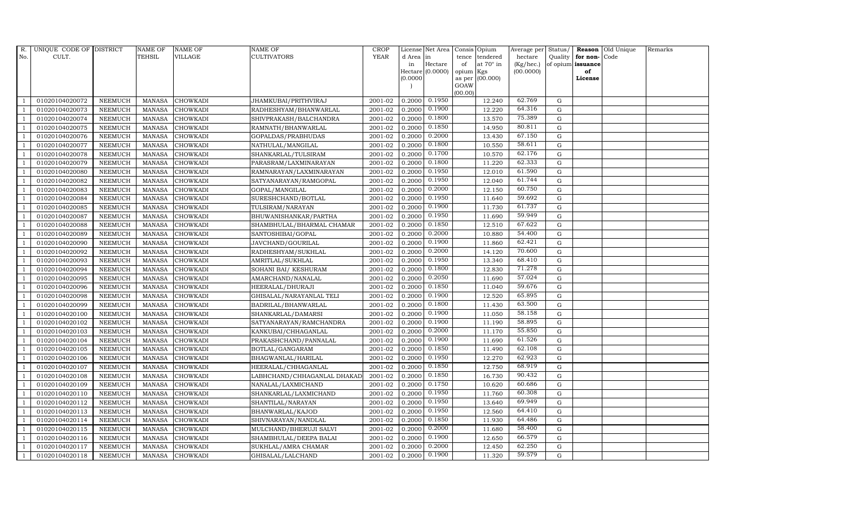| R.             | UNIQUE CODE OF DISTRICT |                | <b>NAME OF</b> | <b>NAME OF</b>  | <b>NAME OF</b>              | CROP        |           | License Net Area  |         | Consis Opium     | Average per | Status/     |                   | <b>Reason</b> Old Unique | Remarks |
|----------------|-------------------------|----------------|----------------|-----------------|-----------------------------|-------------|-----------|-------------------|---------|------------------|-------------|-------------|-------------------|--------------------------|---------|
| No.            | CULT.                   |                | TEHSIL         | VILLAGE         | <b>CULTIVATORS</b>          | <b>YEAR</b> | d Area in |                   | tence   | tendered         | hectare     | Quality     | for non-          | Code                     |         |
|                |                         |                |                |                 |                             |             | in        | Hectare           | of      | at $70^\circ$ in | (Kg/hec.)   |             | of opium issuance |                          |         |
|                |                         |                |                |                 |                             |             |           | Hectare (0.0000)  | opium   | Kgs              | (00.0000)   |             | of                |                          |         |
|                |                         |                |                |                 |                             |             | (0.0000)  |                   | GOAW    | as per (00.000)  |             |             | License           |                          |         |
|                |                         |                |                |                 |                             |             |           |                   | (00.00) |                  |             |             |                   |                          |         |
|                | 01020104020072          | <b>NEEMUCH</b> | <b>MANASA</b>  | <b>CHOWKADI</b> | JHAMKUBAI/PRITHVIRAJ        | 2001-02     |           | $0.2000$ $0.1950$ |         | 12.240           | 62.769      | G           |                   |                          |         |
|                | 01020104020073          | <b>NEEMUCH</b> | MANASA         | <b>CHOWKADI</b> | RADHESHYAM/BHANWARLAL       | 2001-02     | 0.2000    | 0.1900            |         | 12.220           | 64.316      | G           |                   |                          |         |
| $\overline{1}$ | 01020104020074          | <b>NEEMUCH</b> | <b>MANASA</b>  | <b>CHOWKADI</b> | SHIVPRAKASH/BALCHANDRA      | 2001-02     | 0.2000    | 0.1800            |         | 13.570           | 75.389      | G           |                   |                          |         |
|                | 01020104020075          | <b>NEEMUCH</b> | <b>MANASA</b>  | <b>CHOWKADI</b> | RAMNATH/BHANWARLAL          | 2001-02     | 0.2000    | 0.1850            |         | 14.950           | 80.811      | $\mathbf G$ |                   |                          |         |
| $\overline{1}$ | 01020104020076          | <b>NEEMUCH</b> | MANASA         | <b>CHOWKADI</b> | GOPALDAS/PRABHUDAS          | 2001-02     | 0.2000    | 0.2000            |         | 13.430           | 67.150      | G           |                   |                          |         |
| $\overline{1}$ | 01020104020077          | <b>NEEMUCH</b> | <b>MANASA</b>  | <b>CHOWKADI</b> | NATHULAL/MANGILAL           | 2001-02     | 0.2000    | 0.1800            |         | 10.550           | 58.611      | G           |                   |                          |         |
| $\overline{1}$ | 01020104020078          | <b>NEEMUCH</b> | MANASA         | <b>CHOWKADI</b> | SHANKARLAL/TULSIRAM         | 2001-02     | 0.2000    | 0.1700            |         | 10.570           | 62.176      | G           |                   |                          |         |
| $\overline{1}$ | 01020104020079          | <b>NEEMUCH</b> | <b>MANASA</b>  | <b>CHOWKADI</b> | PARASRAM/LAXMINARAYAN       | 2001-02     | 0.2000    | 0.1800            |         | 11.220           | 62.333      | G           |                   |                          |         |
|                | 01020104020080          | <b>NEEMUCH</b> | <b>MANASA</b>  | <b>CHOWKADI</b> | RAMNARAYAN/LAXMINARAYAN     | 2001-02     | 0.2000    | 0.1950            |         | 12.010           | 61.590      | $\mathbf G$ |                   |                          |         |
|                | 01020104020082          | <b>NEEMUCH</b> | MANASA         | <b>CHOWKADI</b> | SATYANARAYAN/RAMGOPAL       | 2001-02     | 0.2000    | 0.1950            |         | 12.040           | 61.744      | ${\rm G}$   |                   |                          |         |
| -1             | 01020104020083          | <b>NEEMUCH</b> | <b>MANASA</b>  | <b>CHOWKADI</b> | GOPAL/MANGILAL              | 2001-02     | 0.2000    | 0.2000            |         | 12.150           | 60.750      | G           |                   |                          |         |
|                | 01020104020084          | <b>NEEMUCH</b> | <b>MANASA</b>  | <b>CHOWKADI</b> | SURESHCHAND/BOTLAL          | 2001-02     | 0.2000    | 0.1950            |         | 11.640           | 59.692      | G           |                   |                          |         |
| $\overline{1}$ | 01020104020085          | <b>NEEMUCH</b> | MANASA         | <b>CHOWKADI</b> | TULSIRAM/NARAYAN            | 2001-02     | 0.2000    | 0.1900            |         | 11.730           | 61.737      | G           |                   |                          |         |
|                | 01020104020087          | <b>NEEMUCH</b> | <b>MANASA</b>  | <b>CHOWKADI</b> | BHUWANISHANKAR/PARTHA       | 2001-02     | 0.2000    | 0.1950            |         | 11.690           | 59.949      | $\mathbf G$ |                   |                          |         |
|                | 01020104020088          | <b>NEEMUCH</b> | <b>MANASA</b>  | <b>CHOWKADI</b> | SHAMBHULAL/BHARMAL CHAMAR   | 2001-02     | 0.2000    | 0.1850            |         | 12.510           | 67.622      | $\mathbf G$ |                   |                          |         |
| $\overline{1}$ | 01020104020089          | <b>NEEMUCH</b> | <b>MANASA</b>  | <b>CHOWKADI</b> | SANTOSHIBAI/GOPAL           | 2001-02     | 0.2000    | 0.2000            |         | 10.880           | 54.400      | G           |                   |                          |         |
| -1             | 01020104020090          | <b>NEEMUCH</b> | <b>MANASA</b>  | <b>CHOWKADI</b> | JAVCHAND/GOURILAL           | 2001-02     | 0.2000    | 0.1900            |         | 11.860           | 62.421      | G           |                   |                          |         |
| $\overline{1}$ | 01020104020092          | <b>NEEMUCH</b> | <b>MANASA</b>  | <b>CHOWKADI</b> | RADHESHYAM/SUKHLAL          | 2001-02     | 0.2000    | 0.2000            |         | 14.120           | 70.600      | G           |                   |                          |         |
|                | 01020104020093          | <b>NEEMUCH</b> | <b>MANASA</b>  | <b>CHOWKADI</b> | AMRITLAL/SUKHLAL            | 2001-02     | 0.2000    | 0.1950            |         | 13.340           | 68.410      | $\mathbf G$ |                   |                          |         |
|                | 01020104020094          | <b>NEEMUCH</b> | <b>MANASA</b>  | <b>CHOWKADI</b> | SOHANI BAI/ KESHURAM        | 2001-02     | 0.2000    | 0.1800            |         | 12.830           | 71.278      | ${\bf G}$   |                   |                          |         |
| $\overline{1}$ | 01020104020095          | <b>NEEMUCH</b> | <b>MANASA</b>  | <b>CHOWKADI</b> | AMARCHAND/NANALAL           | 2001-02     | 0.2000    | 0.2050            |         | 11.690           | 57.024      | G           |                   |                          |         |
|                | 01020104020096          | <b>NEEMUCH</b> | <b>MANASA</b>  | <b>CHOWKADI</b> | HEERALAL/DHURAJI            | 2001-02     | 0.2000    | 0.1850            |         | 11.040           | 59.676      | G           |                   |                          |         |
| $\overline{1}$ | 01020104020098          | <b>NEEMUCH</b> | <b>MANASA</b>  | <b>CHOWKADI</b> | GHISALAL/NARAYANLAL TELI    | 2001-02     | 0.2000    | 0.1900            |         | 12.520           | 65.895      | ${\rm G}$   |                   |                          |         |
|                | 01020104020099          | <b>NEEMUCH</b> | <b>MANASA</b>  | <b>CHOWKADI</b> | BADRILAL/BHANWARLAL         | 2001-02     | 0.2000    | 0.1800            |         | 11.430           | 63.500      | G           |                   |                          |         |
|                | 01020104020100          | <b>NEEMUCH</b> | <b>MANASA</b>  | <b>CHOWKADI</b> | SHANKARLAL/DAMARSI          | 2001-02     | 0.2000    | 0.1900            |         | 11.050           | 58.158      | $\mathbf G$ |                   |                          |         |
| $\overline{1}$ | 01020104020102          | <b>NEEMUCH</b> | <b>MANASA</b>  | <b>CHOWKADI</b> | SATYANARAYAN/RAMCHANDRA     | 2001-02     | 0.2000    | 0.1900            |         | 11.190           | 58.895      | G           |                   |                          |         |
| -1             | 01020104020103          | <b>NEEMUCH</b> | <b>MANASA</b>  | <b>CHOWKADI</b> | KANKUBAI/CHHAGANLAL         | 2001-02     | 0.2000    | 0.2000            |         | 11.170           | 55.850      | G           |                   |                          |         |
| $\overline{1}$ | 01020104020104          | <b>NEEMUCH</b> | <b>MANASA</b>  | <b>CHOWKADI</b> | PRAKASHCHAND/PANNALAL       | 2001-02     | 0.2000    | 0.1900            |         | 11.690           | 61.526      | ${\rm G}$   |                   |                          |         |
|                | 01020104020105          | <b>NEEMUCH</b> | <b>MANASA</b>  | <b>CHOWKADI</b> | BOTLAL/GANGARAM             | 2001-02     | 0.2000    | 0.1850            |         | 11.490           | 62.108      | ${\rm G}$   |                   |                          |         |
|                | 01020104020106          | <b>NEEMUCH</b> | <b>MANASA</b>  | <b>CHOWKADI</b> | BHAGWANLAL/HARILAL          | 2001-02     | 0.2000    | 0.1950            |         | 12.270           | 62.923      | $\mathbf G$ |                   |                          |         |
|                | 01020104020107          | <b>NEEMUCH</b> | <b>MANASA</b>  | <b>CHOWKADI</b> | HEERALAL/CHHAGANLAL         | 2001-02     | 0.2000    | 0.1850            |         | 12.750           | 68.919      | G           |                   |                          |         |
|                | 01020104020108          | <b>NEEMUCH</b> | <b>MANASA</b>  | <b>CHOWKADI</b> | LABHCHAND/CHHAGANLAL DHAKAD | 2001-02     | 0.2000    | 0.1850            |         | 16.730           | 90.432      | G           |                   |                          |         |
| $\overline{1}$ | 01020104020109          | <b>NEEMUCH</b> | <b>MANASA</b>  | <b>CHOWKADI</b> | NANALAL/LAXMICHAND          | 2001-02     | 0.2000    | 0.1750            |         | 10.620           | 60.686      | G           |                   |                          |         |
| $\overline{1}$ | 01020104020110          | <b>NEEMUCH</b> | <b>MANASA</b>  | <b>CHOWKADI</b> | SHANKARLAL/LAXMICHAND       | 2001-02     | 0.2000    | 0.1950            |         | 11.760           | 60.308      | $\mathbf G$ |                   |                          |         |
|                | 01020104020112          | <b>NEEMUCH</b> | <b>MANASA</b>  | <b>CHOWKADI</b> | SHANTILAL/NARAYAN           | 2001-02     | 0.2000    | 0.1950            |         | 13.640           | 69.949      | $\mathbf G$ |                   |                          |         |
| $\overline{1}$ | 01020104020113          | <b>NEEMUCH</b> | <b>MANASA</b>  | <b>CHOWKADI</b> | BHANWARLAL/KAJOD            | 2001-02     | 0.2000    | 0.1950            |         | 12.560           | 64.410      | G           |                   |                          |         |
|                | 01020104020114          | <b>NEEMUCH</b> | <b>MANASA</b>  | <b>CHOWKADI</b> | SHIVNARAYAN/NANDLAL         | 2001-02     | 0.2000    | 0.1850            |         | 11.930           | 64.486      | G           |                   |                          |         |
| $\overline{1}$ | 01020104020115          | <b>NEEMUCH</b> | <b>MANASA</b>  | CHOWKADI        | MULCHAND/BHERUJI SALVI      | 2001-02     | 0.2000    | 0.2000            |         | 11.680           | 58.400      | G           |                   |                          |         |
| $\overline{1}$ | 01020104020116          | <b>NEEMUCH</b> | <b>MANASA</b>  | <b>CHOWKADI</b> | SHAMBHULAL/DEEPA BALAI      | 2001-02     | 0.2000    | 0.1900            |         | 12.650           | 66.579      | G           |                   |                          |         |
|                | 01020104020117          | <b>NEEMUCH</b> | <b>MANASA</b>  | <b>CHOWKADI</b> | SUKHLAL/AMRA CHAMAR         | 2001-02     | 0.2000    | 0.2000            |         | 12.450           | 62.250      | G           |                   |                          |         |
| $\overline{1}$ | 01020104020118          | <b>NEEMUCH</b> |                | MANASA CHOWKADI | GHISALAL/LALCHAND           | 2001-02     | 0.2000    | 0.1900            |         | 11.320           | 59.579      | G           |                   |                          |         |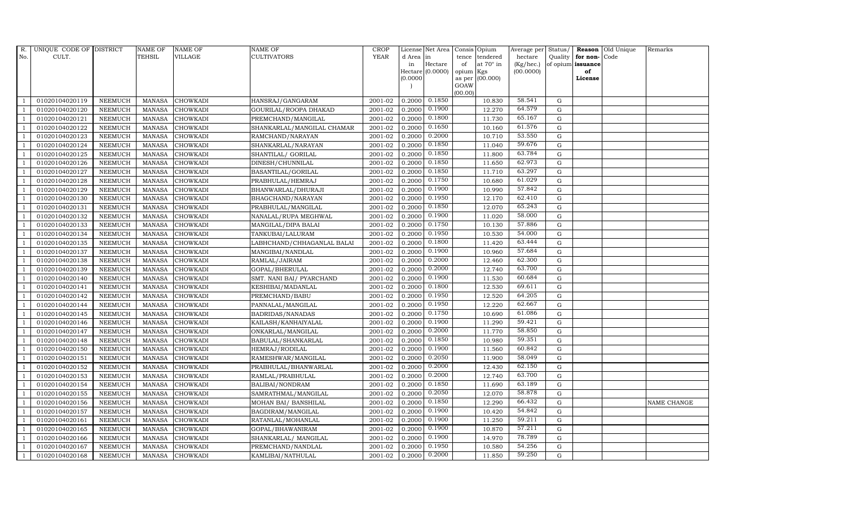| R.             | UNIQUE CODE OF DISTRICT |                | <b>NAME OF</b> | <b>NAME OF</b>  | <b>NAME OF</b>             | <b>CROP</b> |           | License Net Area      |           | Consis Opium     | Average per Status/ |             |                      | Reason Old Unique | Remarks     |
|----------------|-------------------------|----------------|----------------|-----------------|----------------------------|-------------|-----------|-----------------------|-----------|------------------|---------------------|-------------|----------------------|-------------------|-------------|
| No.            | CULT.                   |                | <b>TEHSIL</b>  | <b>VILLAGE</b>  | <b>CULTIVATORS</b>         | <b>YEAR</b> | d Area in |                       | tence     | tendered         | hectare             |             | Quality $ $ for non- | Code              |             |
|                |                         |                |                |                 |                            |             | in        | Hectare               | of        | at $70^\circ$ in | (Kg/hec.)           |             | of opium issuance    |                   |             |
|                |                         |                |                |                 |                            |             |           | Hectare $(0.0000)$    | opium Kgs |                  | (00.0000)           |             | of<br>License        |                   |             |
|                |                         |                |                |                 |                            |             | (0.0000)  |                       | GOAW      | as per (00.000)  |                     |             |                      |                   |             |
|                |                         |                |                |                 |                            |             |           |                       | (00.00)   |                  |                     |             |                      |                   |             |
|                | 01020104020119          | <b>NEEMUCH</b> | MANASA         | <b>CHOWKADI</b> | HANSRAJ/GANGARAM           | 2001-02     |           | $0.2000 \quad 0.1850$ |           | 10.830           | 58.541              | G           |                      |                   |             |
| -1             | 01020104020120          | <b>NEEMUCH</b> | MANASA         | <b>CHOWKADI</b> | GOURILAL/ROOPA DHAKAD      | 2001-02     | 0.2000    | 0.1900                |           | 12.270           | 64.579              | $\mathbf G$ |                      |                   |             |
|                | 01020104020121          | <b>NEEMUCH</b> | <b>MANASA</b>  | <b>CHOWKADI</b> | PREMCHAND/MANGILAL         | 2001-02     | 0.2000    | 0.1800                |           | 11.730           | 65.167              | G           |                      |                   |             |
|                | 01020104020122          | <b>NEEMUCH</b> | <b>MANASA</b>  | <b>CHOWKADI</b> | SHANKARLAL/MANGILAL CHAMAR | 2001-02     | 0.2000    | 0.1650                |           | 10.160           | 61.576              | $\mathbf G$ |                      |                   |             |
| $\overline{1}$ | 01020104020123          | <b>NEEMUCH</b> | <b>MANASA</b>  | <b>CHOWKADI</b> | RAMCHAND/NARAYAN           | 2001-02     | 0.2000    | 0.2000                |           | 10.710           | 53.550              | G           |                      |                   |             |
| $\overline{1}$ | 01020104020124          | <b>NEEMUCH</b> | <b>MANASA</b>  | <b>CHOWKADI</b> | SHANKARLAL/NARAYAN         | 2001-02     | 0.2000    | 0.1850                |           | 11.040           | 59.676              | G           |                      |                   |             |
| $\overline{1}$ | 01020104020125          | <b>NEEMUCH</b> | <b>MANASA</b>  | <b>CHOWKADI</b> | SHANTILAL/ GORILAL         | 2001-02     | 0.2000    | 0.1850                |           | 11.800           | 63.784              | G           |                      |                   |             |
| $\overline{1}$ | 01020104020126          | <b>NEEMUCH</b> | <b>MANASA</b>  | <b>CHOWKADI</b> | DINESH/CHUNNILAL           | 2001-02     | 0.2000    | 0.1850                |           | 11.650           | 62.973              | $\mathbf G$ |                      |                   |             |
|                | 01020104020127          | <b>NEEMUCH</b> | <b>MANASA</b>  | <b>CHOWKADI</b> | BASANTILAL/GORILAL         | 2001-02     | 0.2000    | 0.1850                |           | 11.710           | 63.297              | G           |                      |                   |             |
|                | 01020104020128          | <b>NEEMUCH</b> | <b>MANASA</b>  | <b>CHOWKADI</b> | PRABHULAL/HEMRAJ           | 2001-02     | 0.2000    | 0.1750                |           | 10.680           | 61.029              | $\mathbf G$ |                      |                   |             |
| $\overline{1}$ | 01020104020129          | <b>NEEMUCH</b> | <b>MANASA</b>  | <b>CHOWKADI</b> | BHANWARLAL/DHURAJI         | 2001-02     | 0.2000    | 0.1900                |           | 10.990           | 57.842              | G           |                      |                   |             |
| $\overline{1}$ | 01020104020130          | <b>NEEMUCH</b> | <b>MANASA</b>  | <b>CHOWKADI</b> | BHAGCHAND/NARAYAN          | 2001-02     | 0.2000    | 0.1950                |           | 12.170           | 62.410              | G           |                      |                   |             |
| $\overline{1}$ | 01020104020131          | <b>NEEMUCH</b> | <b>MANASA</b>  | <b>CHOWKADI</b> | PRABHULAL/MANGILAL         | 2001-02     | 0.2000    | 0.1850                |           | 12.070           | 65.243              | G           |                      |                   |             |
|                | 01020104020132          | <b>NEEMUCH</b> | <b>MANASA</b>  | <b>CHOWKADI</b> | NANALAL/RUPA MEGHWAL       | 2001-02     | 0.2000    | 0.1900                |           | 11.020           | 58.000              | G           |                      |                   |             |
| $\overline{1}$ | 01020104020133          | <b>NEEMUCH</b> | <b>MANASA</b>  | <b>CHOWKADI</b> | MANGILAL/DIPA BALAI        | 2001-02     | 0.2000    | 0.1750                |           | 10.130           | 57.886              | G           |                      |                   |             |
| $\overline{1}$ | 01020104020134          | <b>NEEMUCH</b> | <b>MANASA</b>  | <b>CHOWKADI</b> | TANKUBAI/LALURAM           | 2001-02     | 0.2000    | 0.1950                |           | 10.530           | 54.000              | G           |                      |                   |             |
|                | 01020104020135          | <b>NEEMUCH</b> | <b>MANASA</b>  | <b>CHOWKADI</b> | LABHCHAND/CHHAGANLAL BALAI | 2001-02     | 0.2000    | 0.1800                |           | 11.420           | 63.444              | G           |                      |                   |             |
| $\overline{1}$ | 01020104020137          | <b>NEEMUCH</b> | MANASA         | <b>CHOWKADI</b> | MANGIBAI/NANDLAL           | 2001-02     | 0.2000    | 0.1900                |           | 10.960           | 57.684              | G           |                      |                   |             |
|                | 01020104020138          | <b>NEEMUCH</b> | <b>MANASA</b>  | <b>CHOWKADI</b> | RAMLAL/JAIRAM              | 2001-02     | 0.2000    | 0.2000                |           | 12.460           | 62.300              | $\mathbf G$ |                      |                   |             |
|                | 01020104020139          | <b>NEEMUCH</b> | <b>MANASA</b>  | <b>CHOWKADI</b> | GOPAL/BHERULAL             | 2001-02     | 0.2000    | 0.2000                |           | 12.740           | 63.700              | $\mathbf G$ |                      |                   |             |
| -1             | 01020104020140          | <b>NEEMUCH</b> | <b>MANASA</b>  | <b>CHOWKADI</b> | SMT. NANI BAI/ PYARCHAND   | 2001-02     | 0.2000    | 0.1900                |           | 11.530           | 60.684              | G           |                      |                   |             |
|                | 01020104020141          | <b>NEEMUCH</b> | <b>MANASA</b>  | <b>CHOWKADI</b> | KESHIBAI/MADANLAL          | 2001-02     | 0.2000    | 0.1800                |           | 12.530           | 69.611              | G           |                      |                   |             |
| $\overline{1}$ | 01020104020142          | <b>NEEMUCH</b> | <b>MANASA</b>  | <b>CHOWKADI</b> | PREMCHAND/BABU             | 2001-02     | 0.2000    | 0.1950                |           | 12.520           | 64.205              | G           |                      |                   |             |
|                | 01020104020144          | <b>NEEMUCH</b> | <b>MANASA</b>  | <b>CHOWKADI</b> | PANNALAL/MANGILAL          | 2001-02     | 0.2000    | 0.1950                |           | 12.220           | 62.667              | $\mathbf G$ |                      |                   |             |
|                | 01020104020145          | <b>NEEMUCH</b> | <b>MANASA</b>  | <b>CHOWKADI</b> | BADRIDAS/NANADAS           | 2001-02     | 0.2000    | 0.1750                |           | 10.690           | 61.086              | ${\rm G}$   |                      |                   |             |
| -1             | 01020104020146          | <b>NEEMUCH</b> | <b>MANASA</b>  | <b>CHOWKADI</b> | KAILASH/KANHAIYALAL        | 2001-02     | 0.2000    | 0.1900                |           | 11.290           | 59.421              | G           |                      |                   |             |
|                | 01020104020147          | <b>NEEMUCH</b> | <b>MANASA</b>  | <b>CHOWKADI</b> | ONKARLAL/MANGILAL          | 2001-02     | 0.2000    | 0.2000                |           | 11.770           | 58.850              | G           |                      |                   |             |
| $\overline{1}$ | 01020104020148          | <b>NEEMUCH</b> | MANASA         | <b>CHOWKADI</b> | BABULAL/SHANKARLAL         | 2001-02     | 0.2000    | 0.1850                |           | 10.980           | 59.351              | $\mathbf G$ |                      |                   |             |
| $\mathbf{1}$   | 01020104020150          | <b>NEEMUCH</b> | <b>MANASA</b>  | <b>CHOWKADI</b> | HEMRAJ/RODILAL             | 2001-02     | 0.2000    | 0.1900                |           | 11.560           | 60.842              | $\mathbf G$ |                      |                   |             |
|                | 01020104020151          | <b>NEEMUCH</b> | <b>MANASA</b>  | <b>CHOWKADI</b> | RAMESHWAR/MANGILAL         | 2001-02     | 0.2000    | 0.2050                |           | 11.900           | 58.049              | $\mathbf G$ |                      |                   |             |
| -1             | 01020104020152          | <b>NEEMUCH</b> | <b>MANASA</b>  | <b>CHOWKADI</b> | PRABHULAL/BHANWARLAL       | 2001-02     | 0.2000    | 0.2000                |           | 12.430           | 62.150              | G           |                      |                   |             |
|                | 01020104020153          | <b>NEEMUCH</b> | <b>MANASA</b>  | <b>CHOWKADI</b> | RAMLAL/PRABHULAL           | 2001-02     | 0.2000    | 0.2000                |           | 12.740           | 63.700              | G           |                      |                   |             |
| $\overline{1}$ | 01020104020154          | <b>NEEMUCH</b> | <b>MANASA</b>  | <b>CHOWKADI</b> | BALIBAI/NONDRAM            | 2001-02     | 0.2000    | 0.1850                |           | 11.690           | 63.189              | G           |                      |                   |             |
| $\overline{1}$ | 01020104020155          | <b>NEEMUCH</b> | <b>MANASA</b>  | <b>CHOWKADI</b> | SAMRATHMAL/MANGILAL        | 2001-02     | 0.2000    | 0.2050                |           | 12.070           | 58.878              | $\mathbf G$ |                      |                   |             |
|                | 01020104020156          | <b>NEEMUCH</b> | <b>MANASA</b>  | CHOWKADI        | MOHAN BAI/ BANSHILAL       | 2001-02     | 0.2000    | 0.1850                |           | 12.290           | 66.432              | $\mathbf G$ |                      |                   | NAME CHANGE |
| $\overline{1}$ | 01020104020157          | <b>NEEMUCH</b> | <b>MANASA</b>  | <b>CHOWKADI</b> | BAGDIRAM/MANGILAL          | 2001-02     | 0.2000    | 0.1900                |           | 10.420           | 54.842              | G           |                      |                   |             |
|                | 01020104020161          | <b>NEEMUCH</b> | <b>MANASA</b>  | <b>CHOWKADI</b> | RATANLAL/MOHANLAL          | 2001-02     | 0.2000    | 0.1900                |           | 11.250           | 59.211              | G           |                      |                   |             |
| $\overline{1}$ | 01020104020165          | <b>NEEMUCH</b> | <b>MANASA</b>  | CHOWKADI        | GOPAL/BHAWANIRAM           | 2001-02     | 0.2000    | 0.1900                |           | 10.870           | 57.211              | G           |                      |                   |             |
| $\overline{1}$ | 01020104020166          | <b>NEEMUCH</b> | <b>MANASA</b>  | <b>CHOWKADI</b> | SHANKARLAL/ MANGILAL       | 2001-02     | 0.2000    | 0.1900                |           | 14.970           | 78.789              | G           |                      |                   |             |
|                | 01020104020167          | <b>NEEMUCH</b> | <b>MANASA</b>  | <b>CHOWKADI</b> | PREMCHAND/NANDLAL          | 2001-02     | 0.2000    | 0.1950                |           | 10.580           | 54.256              | $\mathbf G$ |                      |                   |             |
| $\overline{1}$ | 01020104020168          | <b>NEEMUCH</b> |                | MANASA CHOWKADI | KAMLIBAI/NATHULAL          | 2001-02     | 0.2000    | 0.2000                |           | 11.850           | 59.250              | G           |                      |                   |             |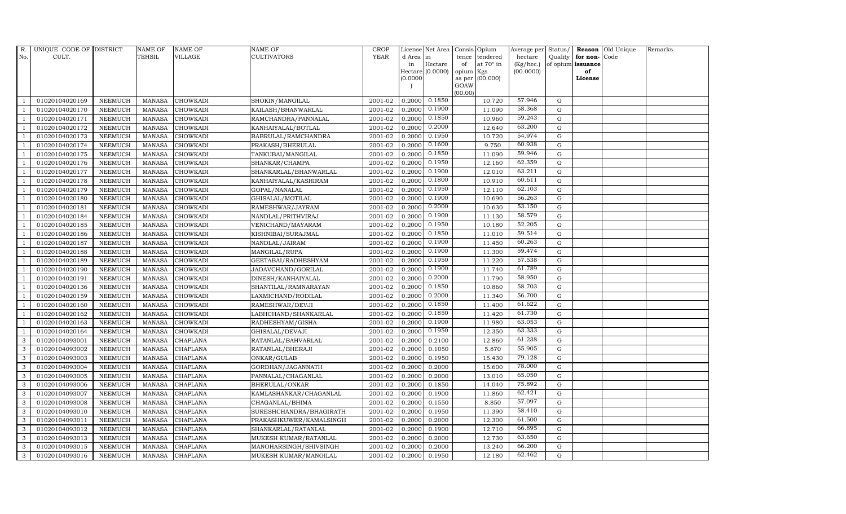| R.             | UNIQUE CODE OF DISTRICT |                | <b>NAME OF</b> | <b>NAME OF</b>  | <b>NAME OF</b>          | CROP        |           | License Net Area  |         | Consis Opium           | Average per | Status/     |                   | <b>Reason</b> Old Unique | Remarks |
|----------------|-------------------------|----------------|----------------|-----------------|-------------------------|-------------|-----------|-------------------|---------|------------------------|-------------|-------------|-------------------|--------------------------|---------|
| No.            | CULT.                   |                | TEHSIL         | <b>VILLAGE</b>  | <b>CULTIVATORS</b>      | <b>YEAR</b> | d Area in |                   | tence   | tendered               | hectare     | Quality     | for non-          | Code                     |         |
|                |                         |                |                |                 |                         |             | in        | Hectare           | of      | at $70^\circ$ in       | (Kg/hec.)   |             | of opium issuance |                          |         |
|                |                         |                |                |                 |                         |             | (0.0000)  | Hectare (0.0000)  | opium   | Kgs<br>as per (00.000) | (00.0000)   |             | of<br>License     |                          |         |
|                |                         |                |                |                 |                         |             |           |                   | GOAW    |                        |             |             |                   |                          |         |
|                |                         |                |                |                 |                         |             |           |                   | (00.00) |                        |             |             |                   |                          |         |
|                | 01020104020169          | <b>NEEMUCH</b> | <b>MANASA</b>  | <b>CHOWKADI</b> | SHOKIN/MANGILAL         | 2001-02     |           | $0.2000$ $0.1850$ |         | 10.720                 | 57.946      | G           |                   |                          |         |
|                | 01020104020170          | <b>NEEMUCH</b> | <b>MANASA</b>  | <b>CHOWKADI</b> | KAILASH/BHANWARLAL      | 2001-02     | 0.2000    | 0.1900            |         | 11.090                 | 58.368      | G           |                   |                          |         |
|                | 01020104020171          | <b>NEEMUCH</b> | <b>MANASA</b>  | <b>CHOWKADI</b> | RAMCHANDRA/PANNALAL     | 2001-02     | 0.2000    | 0.1850            |         | 10.960                 | 59.243      | $\mathbf G$ |                   |                          |         |
|                | 01020104020172          | <b>NEEMUCH</b> | <b>MANASA</b>  | <b>CHOWKADI</b> | KANHAIYALAL/BOTLAL      | 2001-02     | 0.2000    | 0.2000            |         | 12.640                 | 63.200      | $\mathbf G$ |                   |                          |         |
| $\mathbf{1}$   | 01020104020173          | <b>NEEMUCH</b> | <b>MANASA</b>  | <b>CHOWKADI</b> | BABRULAL/RAMCHANDRA     | 2001-02     | 0.2000    | 0.1950            |         | 10.720                 | 54.974      | G           |                   |                          |         |
| $\overline{1}$ | 01020104020174          | <b>NEEMUCH</b> | <b>MANASA</b>  | <b>CHOWKADI</b> | PRAKASH/BHERULAL        | 2001-02     | 0.2000    | 0.1600            |         | 9.750                  | 60.938      | G           |                   |                          |         |
| $\overline{1}$ | 01020104020175          | <b>NEEMUCH</b> | MANASA         | <b>CHOWKADI</b> | TANKUBAI/MANGILAL       | 2001-02     | 0.2000    | 0.1850            |         | 11.090                 | 59.946      | G           |                   |                          |         |
| $\overline{1}$ | 01020104020176          | <b>NEEMUCH</b> | MANASA         | <b>CHOWKADI</b> | SHANKAR/CHAMPA          | 2001-02     | 0.2000    | 0.1950            |         | 12.160                 | 62.359      | G           |                   |                          |         |
|                | 01020104020177          | <b>NEEMUCH</b> | <b>MANASA</b>  | <b>CHOWKADI</b> | SHANKARLAL/BHANWARLAL   | 2001-02     | 0.2000    | 0.1900            |         | 12.010                 | 63.211      | G           |                   |                          |         |
| $\overline{1}$ | 01020104020178          | <b>NEEMUCH</b> | <b>MANASA</b>  | <b>CHOWKADI</b> | KANHAIYALAL/KASHIRAM    | 2001-02     | 0.2000    | 0.1800            |         | 10.910                 | 60.611      | G           |                   |                          |         |
| $\overline{1}$ | 01020104020179          | <b>NEEMUCH</b> | <b>MANASA</b>  | <b>CHOWKADI</b> | GOPAL/NANALAL           | 2001-02     | 0.2000    | 0.1950            |         | 12.110                 | 62.103      | G           |                   |                          |         |
| $\overline{1}$ | 01020104020180          | <b>NEEMUCH</b> | MANASA         | <b>CHOWKADI</b> | GHISALAL/MOTILAL        | 2001-02     | 0.2000    | 0.1900            |         | 10.690                 | 56.263      | G           |                   |                          |         |
| $\overline{1}$ | 01020104020181          | <b>NEEMUCH</b> | <b>MANASA</b>  | <b>CHOWKADI</b> | RAMESHWAR/JAYRAM        | 2001-02     | 0.2000    | 0.2000            |         | 10.630                 | 53.150      | $\mathbf G$ |                   |                          |         |
|                | 01020104020184          | <b>NEEMUCH</b> | <b>MANASA</b>  | <b>CHOWKADI</b> | NANDLAL/PRITHVIRAJ      | 2001-02     | 0.2000    | 0.1900            |         | 11.130                 | 58.579      | $\mathbf G$ |                   |                          |         |
|                | 01020104020185          | <b>NEEMUCH</b> | <b>MANASA</b>  | <b>CHOWKADI</b> | VENICHAND/MAYARAM       | 2001-02     | 0.2000    | 0.1950            |         | 10.180                 | 52.205      | G           |                   |                          |         |
| $\overline{1}$ | 01020104020186          | <b>NEEMUCH</b> | <b>MANASA</b>  | <b>CHOWKADI</b> | KISHNIBAI/SURAJMAL      | 2001-02     | 0.2000    | 0.1850            |         | 11.010                 | 59.514      | G           |                   |                          |         |
| $\overline{1}$ | 01020104020187          | <b>NEEMUCH</b> | <b>MANASA</b>  | <b>CHOWKADI</b> | NANDLAL/JAIRAM          | 2001-02     | 0.2000    | 0.1900            |         | 11.450                 | 60.263      | G           |                   |                          |         |
| $\overline{1}$ | 01020104020188          | <b>NEEMUCH</b> | <b>MANASA</b>  | <b>CHOWKADI</b> | MANGILAL/RUPA           | 2001-02     | 0.2000    | 0.1900            |         | 11.300                 | 59.474      | G           |                   |                          |         |
|                | 01020104020189          | <b>NEEMUCH</b> | <b>MANASA</b>  | <b>CHOWKADI</b> | GEETABAI/RADHESHYAM     | 2001-02     | 0.2000    | 0.1950            |         | 11.220                 | 57.538      | $\mathbf G$ |                   |                          |         |
|                | 01020104020190          | <b>NEEMUCH</b> | <b>MANASA</b>  | <b>CHOWKADI</b> | JADAVCHAND/GORILAL      | 2001-02     | 0.2000    | 0.1900            |         | 11.740                 | 61.789      | $\mathbf G$ |                   |                          |         |
| $\overline{1}$ | 01020104020191          | <b>NEEMUCH</b> | <b>MANASA</b>  | <b>CHOWKADI</b> | DINESH/KANHAIYALAL      | 2001-02     | 0.2000    | 0.2000            |         | 11.790                 | 58.950      | G           |                   |                          |         |
| $\overline{1}$ | 01020104020136          | <b>NEEMUCH</b> | <b>MANASA</b>  | <b>CHOWKADI</b> | SHANTILAL/RAMNARAYAN    | 2001-02     | 0.2000    | 0.1850            |         | 10.860                 | 58.703      | G           |                   |                          |         |
| -1             | 01020104020159          | <b>NEEMUCH</b> | <b>MANASA</b>  | <b>CHOWKADI</b> | LAXMICHAND/RODILAL      | 2001-02     | 0.2000    | 0.2000            |         | 11.340                 | 56.700      | G           |                   |                          |         |
|                | 01020104020160          | <b>NEEMUCH</b> | <b>MANASA</b>  | <b>CHOWKADI</b> | RAMESHWAR/DEVJI         | 2001-02     | 0.2000    | 0.1850            |         | 11.400                 | 61.622      | G           |                   |                          |         |
|                | 01020104020162          | <b>NEEMUCH</b> | <b>MANASA</b>  | <b>CHOWKADI</b> | LABHCHAND/SHANKARLAL    | 2001-02     | 0.2000    | 0.1850            |         | 11.420                 | 61.730      | $\mathbf G$ |                   |                          |         |
| $\overline{1}$ | 01020104020163          | <b>NEEMUCH</b> | <b>MANASA</b>  | <b>CHOWKADI</b> | RADHESHYAM/GISHA        | 2001-02     | 0.2000    | 0.1900            |         | 11.980                 | 63.053      | G           |                   |                          |         |
|                | 01020104020164          | <b>NEEMUCH</b> | <b>MANASA</b>  | <b>CHOWKADI</b> | GHISALAL/DEVAJI         | 2001-02     | 0.2000    | 0.1950            |         | 12.350                 | 63.333      | G           |                   |                          |         |
| 3              | 01020104093001          | <b>NEEMUCH</b> | MANASA         | <b>CHAPLANA</b> | RATANLAL/BAHVARLAL      | 2001-02     | 0.2000    | 0.2100            |         | 12.860                 | 61.238      | $\mathbf G$ |                   |                          |         |
| 3              | 01020104093002          | <b>NEEMUCH</b> | <b>MANASA</b>  | <b>CHAPLANA</b> | RATANLAL/BHERAJI        | 2001-02     | 0.2000    | 0.1050            |         | 5.870                  | 55.905      | G           |                   |                          |         |
| 3              | 01020104093003          | <b>NEEMUCH</b> | <b>MANASA</b>  | CHAPLANA        | ONKAR/GULAB             | 2001-02     | 0.2000    | 0.1950            |         | 15.430                 | 79.128      | $\mathbf G$ |                   |                          |         |
| 3              | 01020104093004          | <b>NEEMUCH</b> | <b>MANASA</b>  | <b>CHAPLANA</b> | GORDHAN/JAGANNATH       | 2001-02     | 0.2000    | 0.2000            |         | 15.600                 | 78.000      | G           |                   |                          |         |
| 3              | 01020104093005          | <b>NEEMUCH</b> | <b>MANASA</b>  | CHAPLANA        | PANNALAL/CHAGANLAL      | 2001-02     | 0.2000    | 0.2000            |         | 13.010                 | 65.050      | G           |                   |                          |         |
| $\mathbf{3}$   | 01020104093006          | <b>NEEMUCH</b> | <b>MANASA</b>  | <b>CHAPLANA</b> | BHERULAL/ONKAR          | 2001-02     | 0.2000    | 0.1850            |         | 14.040                 | 75.892      | $\mathbf G$ |                   |                          |         |
| 3              | 01020104093007          | <b>NEEMUCH</b> | <b>MANASA</b>  | <b>CHAPLANA</b> | KAMLASHANKAR/CHAGANLAL  | 2001-02     | 0.2000    | 0.1900            |         | 11.860                 | 62.421      | G           |                   |                          |         |
| 3              | 01020104093008          | <b>NEEMUCH</b> | <b>MANASA</b>  | CHAPLANA        | CHAGANLAL/BHIMA         | 2001-02     | 0.2000    | 0.1550            |         | 8.850                  | 57.097      | $\mathbf G$ |                   |                          |         |
| $\mathbf{3}$   | 01020104093010          | <b>NEEMUCH</b> | <b>MANASA</b>  | <b>CHAPLANA</b> | SURESHCHANDRA/BHAGIRATH | 2001-02     | 0.2000    | 0.1950            |         | 11.390                 | 58.410      | G           |                   |                          |         |
| 3              | 01020104093011          | <b>NEEMUCH</b> | <b>MANASA</b>  | <b>CHAPLANA</b> | PRAKASHKUWER/KAMALSINGH | 2001-02     | 0.2000    | 0.2000            |         | 12.300                 | 61.500      | G           |                   |                          |         |
| $\mathbf{3}$   | 01020104093012          | <b>NEEMUCH</b> | MANASA         | <b>CHAPLANA</b> | SHANKARLAL/RATANLAL     | 2001-02     | 0.2000    | 0.1900            |         | 12.710                 | 66.895      | $\mathbf G$ |                   |                          |         |
| 3              | 01020104093013          | <b>NEEMUCH</b> | <b>MANASA</b>  | <b>CHAPLANA</b> | MUKESH KUMAR/RATANLAL   | 2001-02     | 0.2000    | 0.2000            |         | 12.730                 | 63.650      | $\mathbf G$ |                   |                          |         |
| 3              | 01020104093015          | <b>NEEMUCH</b> | <b>MANASA</b>  | <b>CHAPLANA</b> | MANOHARSINGH/SHIVSINGH  | 2001-02     | 0.2000    | 0.2000            |         | 13.240                 | 66.200      | G           |                   |                          |         |
| 3              | 01020104093016          | <b>NEEMUCH</b> |                | MANASA CHAPLANA | MUKESH KUMAR/MANGILAL   | 2001-02     | 0.2000    | 0.1950            |         | 12.180                 | 62.462      | G           |                   |                          |         |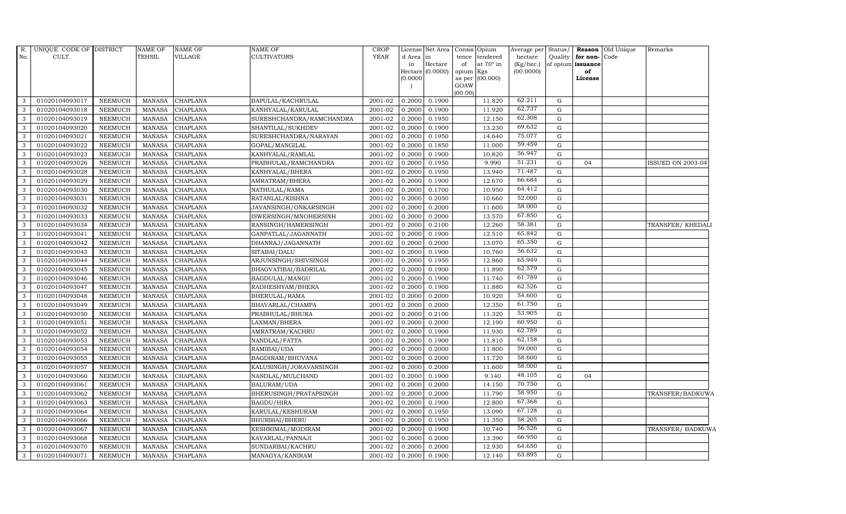| R.<br>No. | UNIQUE CODE OF DISTRICT<br>CULT. |                | <b>NAME OF</b><br><b>TEHSIL</b> | <b>NAME OF</b><br>VILLAGE | NAME OF<br><b>CULTIVATORS</b> | <b>CROP</b><br><b>YEAR</b> | d Area in<br>in | License Net Area<br>Hectare | tence<br>of     | Consis Opium<br>tendered<br>at $70^\circ$ in | Average per Status/<br>hectare<br>(Kg/hec.) | Quality     | for non-Code<br>of opium issuance | <b>Reason</b> Old Unique | Remarks                  |
|-----------|----------------------------------|----------------|---------------------------------|---------------------------|-------------------------------|----------------------------|-----------------|-----------------------------|-----------------|----------------------------------------------|---------------------------------------------|-------------|-----------------------------------|--------------------------|--------------------------|
|           |                                  |                |                                 |                           |                               |                            | (0.0000)        | Hectare (0.0000)            | opium<br>as per | Kgs<br>(00.000)                              | (00.0000)                                   |             | of<br>License                     |                          |                          |
|           |                                  |                |                                 |                           |                               |                            |                 |                             | GOAW<br>(00.00) |                                              |                                             |             |                                   |                          |                          |
| 3         | 01020104093017                   | <b>NEEMUCH</b> | MANASA                          | CHAPLANA                  | BAPULAL/KACHRULAL             | 2001-02                    | 0.2000          | 0.1900                      |                 | 11.820                                       | 62.211                                      | $\mathbf G$ |                                   |                          |                          |
| 3         | 01020104093018                   | <b>NEEMUCH</b> | <b>MANASA</b>                   | CHAPLANA                  | KANHYALAL/KARULAL             | 2001-02                    | 0.2000          | 0.1900                      |                 | 11.920                                       | 62.737                                      | ${\rm G}$   |                                   |                          |                          |
| 3         | 01020104093019                   | <b>NEEMUCH</b> | <b>MANASA</b>                   | CHAPLANA                  | SURESHCHANDRA/RAMCHANDRA      | 2001-02                    | 0.2000          | 0.1950                      |                 | 12.150                                       | 62.308                                      | G           |                                   |                          |                          |
| 3         | 01020104093020                   | <b>NEEMUCH</b> | <b>MANASA</b>                   | <b>CHAPLANA</b>           | SHANTILAL/SUKHDEV             | 2001-02                    | 0.2000          | 0.1900                      |                 | 13.230                                       | 69.632                                      | $\mathbf G$ |                                   |                          |                          |
| 3         | 01020104093021                   | <b>NEEMUCH</b> | <b>MANASA</b>                   | CHAPLANA                  | SURESHCHANDRA/NARAYAN         | 2001-02                    | 0.2000          | 0.1950                      |                 | 14.640                                       | 75.077                                      | ${\rm G}$   |                                   |                          |                          |
| 3         | 01020104093022                   | <b>NEEMUCH</b> | <b>MANASA</b>                   | CHAPLANA                  | GOPAL/MANGILAL                | 2001-02                    | 0.2000          | 0.1850                      |                 | 11.000                                       | 59.459                                      | G           |                                   |                          |                          |
| 3         | 01020104093023                   | <b>NEEMUCH</b> | <b>MANASA</b>                   | CHAPLANA                  | KANHYALAL/RAMLAL              | 2001-02                    | 0.2000          | 0.1900                      |                 | 10.820                                       | 56.947                                      | ${\rm G}$   |                                   |                          |                          |
| 3         | 01020104093026                   | <b>NEEMUCH</b> | <b>MANASA</b>                   | <b>CHAPLANA</b>           | PRABHULAL/RAMCHANDRA          | 2001-02                    | 0.2000          | 0.1950                      |                 | 9.990                                        | 51.231                                      | ${\rm G}$   | 04                                |                          | <b>ISSUED ON 2003-04</b> |
| 3         | 01020104093028                   | <b>NEEMUCH</b> | <b>MANASA</b>                   | <b>CHAPLANA</b>           | KANHYALAL/BHERA               | 2001-02                    | 0.2000          | 0.1950                      |                 | 13.940                                       | 71.487                                      | G           |                                   |                          |                          |
| 3         | 01020104093029                   | <b>NEEMUCH</b> | <b>MANASA</b>                   | CHAPLANA                  | AMRATRAM/BHERA                | 2001-02                    | 0.2000          | 0.1900                      |                 | 12.670                                       | 66.684                                      | G           |                                   |                          |                          |
| 3         | 01020104093030                   | <b>NEEMUCH</b> | <b>MANASA</b>                   | CHAPLANA                  | NATHULAL/RAMA                 | 2001-02                    | 0.2000          | 0.1700                      |                 | 10.950                                       | 64.412                                      | ${\rm G}$   |                                   |                          |                          |
| 3         | 01020104093031                   | <b>NEEMUCH</b> | <b>MANASA</b>                   | CHAPLANA                  | RATANLAL/KISHNA               | 2001-02                    | 0.2000          | 0.2050                      |                 | 10.660                                       | 52.000                                      | G           |                                   |                          |                          |
| 3         | 01020104093032                   | <b>NEEMUCH</b> | <b>MANASA</b>                   | <b>CHAPLANA</b>           | JAVANSINGH/ONKARSINGH         | 2001-02                    | 0.2000          | 0.2000                      |                 | 11.600                                       | 58.000                                      | ${\rm G}$   |                                   |                          |                          |
| 3         | 01020104093033                   | <b>NEEMUCH</b> | <b>MANASA</b>                   | <b>CHAPLANA</b>           | ISWERSINGH/MNOHERSINH         | 2001-02                    | 0.2000          | 0.2000                      |                 | 13.570                                       | 67.850                                      | G           |                                   |                          |                          |
| 3         | 01020104093034                   | <b>NEEMUCH</b> | <b>MANASA</b>                   | CHAPLANA                  | RANSINGH/HAMERSINGH           | 2001-02                    | 0.2000          | 0.2100                      |                 | 12.260                                       | 58.381                                      | G           |                                   |                          | TRANSFER/ KHEDALI        |
| 3         | 01020104093041                   | <b>NEEMUCH</b> | <b>MANASA</b>                   | CHAPLANA                  | GANPATLAL/JAGANNATH           | 2001-02                    | 0.2000          | 0.1900                      |                 | 12.510                                       | 65.842                                      | $\mathbf G$ |                                   |                          |                          |
| 3         | 01020104093042                   | <b>NEEMUCH</b> | <b>MANASA</b>                   | CHAPLANA                  | DHANRAJ/JAGANNATH             | 2001-02                    | 0.2000          | 0.2000                      |                 | 13.070                                       | 65.350                                      | G           |                                   |                          |                          |
| 3         | 01020104093043                   | <b>NEEMUCH</b> | <b>MANASA</b>                   | <b>CHAPLANA</b>           | SITABAI/DALU                  | 2001-02                    | 0.2000          | 0.1900                      |                 | 10.760                                       | 56.632                                      | ${\rm G}$   |                                   |                          |                          |
| 3         | 01020104093044                   | <b>NEEMUCH</b> | <b>MANASA</b>                   | <b>CHAPLANA</b>           | ARJUNSINGH/SHIVSINGH          | 2001-02                    | 0.2000          | 0.1950                      |                 | 12.860                                       | 65.949                                      | ${\rm G}$   |                                   |                          |                          |
| 3         | 01020104093045                   | <b>NEEMUCH</b> | <b>MANASA</b>                   | CHAPLANA                  | BHAGVATIBAI/BADRILAL          | $2001 - 02$                | 0.2000          | 0.1900                      |                 | 11.890                                       | 62.579                                      | G           |                                   |                          |                          |
| 3         | 01020104093046                   | <b>NEEMUCH</b> | <b>MANASA</b>                   | CHAPLANA                  | BAGDULAL/MANGU                | 2001-02                    | 0.2000          | 0.1900                      |                 | 11.740                                       | 61.789                                      | ${\rm G}$   |                                   |                          |                          |
| 3         | 01020104093047                   | <b>NEEMUCH</b> | <b>MANASA</b>                   | CHAPLANA                  | RADHESHYAM/BHERA              | 2001-02                    | 0.2000          | 0.1900                      |                 | 11.880                                       | 62.526                                      | ${\rm G}$   |                                   |                          |                          |
| 3         | 01020104093048                   | <b>NEEMUCH</b> | <b>MANASA</b>                   | CHAPLANA                  | BHERULAL/RAMA                 | 2001-02                    | 0.2000          | 0.2000                      |                 | 10.920                                       | 54.600                                      | ${\bf G}$   |                                   |                          |                          |
| 3         | 01020104093049                   | <b>NEEMUCH</b> | <b>MANASA</b>                   | <b>CHAPLANA</b>           | BHAVARLAL/CHAMPA              | 2001-02                    | 0.2000          | 0.2000                      |                 | 12.350                                       | 61.750                                      | ${\rm G}$   |                                   |                          |                          |
| 3         | 01020104093050                   | <b>NEEMUCH</b> | <b>MANASA</b>                   | CHAPLANA                  | PRABHULAL/BHURA               | 2001-02                    | 0.2000          | 0.2100                      |                 | 11.320                                       | 53.905                                      | ${\rm G}$   |                                   |                          |                          |
| 3         | 01020104093051                   | <b>NEEMUCH</b> | <b>MANASA</b>                   | CHAPLANA                  | LAXMAN/BHERA                  | 2001-02                    | 0.2000          | 0.2000                      |                 | 12.190                                       | 60.950                                      | ${\rm G}$   |                                   |                          |                          |
| 3         | 01020104093052                   | <b>NEEMUCH</b> | <b>MANASA</b>                   | CHAPLANA                  | AMRATRAM/KACHRU               | 2001-02                    | 0.2000          | 0.1900                      |                 | 11.930                                       | 62.789                                      | G           |                                   |                          |                          |
| 3         | 01020104093053                   | <b>NEEMUCH</b> | <b>MANASA</b>                   | CHAPLANA                  | NANDLAL/FATTA                 | 2001-02                    | 0.2000          | 0.1900                      |                 | 11.810                                       | 62.158                                      | G           |                                   |                          |                          |
| 3         | 01020104093054                   | <b>NEEMUCH</b> | <b>MANASA</b>                   | <b>CHAPLANA</b>           | RAMIBAI/UDA                   | 2001-02                    | 0.2000          | 0.2000                      |                 | 11.800                                       | 59.000                                      | ${\rm G}$   |                                   |                          |                          |
| 3         | 01020104093055                   | <b>NEEMUCH</b> | <b>MANASA</b>                   | <b>CHAPLANA</b>           | BAGDIRAM/BHUVANA              | 2001-02                    | 0.2000          | 0.2000                      |                 | 11.720                                       | 58.600                                      | ${\rm G}$   |                                   |                          |                          |
| 3         | 01020104093057                   | <b>NEEMUCH</b> | <b>MANASA</b>                   | <b>CHAPLANA</b>           | KALUSINGH/JORAVARSINGH        | 2001-02                    | 0.2000          | 0.2000                      |                 | 11.600                                       | 58.000                                      | ${\rm G}$   |                                   |                          |                          |
| 3         | 01020104093060                   | <b>NEEMUCH</b> | <b>MANASA</b>                   | CHAPLANA                  | NANDLAL/MULCHAND              | 2001-02                    | 0.2000          | 0.1900                      |                 | 9.140                                        | 48.105                                      | ${\rm G}$   | 04                                |                          |                          |
| 3         | 01020104093061                   | <b>NEEMUCH</b> | <b>MANASA</b>                   | CHAPLANA                  | BALURAM/UDA                   | 2001-02                    | 0.2000          | 0.2000                      |                 | 14.150                                       | 70.750                                      | ${\rm G}$   |                                   |                          |                          |
| 3         | 01020104093062                   | <b>NEEMUCH</b> | <b>MANASA</b>                   | <b>CHAPLANA</b>           | BHERUSINGH/PRATAPSINGH        | 2001-02                    | 0.2000          | 0.2000                      |                 | 11.790                                       | 58.950                                      | ${\rm G}$   |                                   |                          | TRANSFER/BADKUWA         |
| 3         | 01020104093063                   | <b>NEEMUCH</b> | <b>MANASA</b>                   | <b>CHAPLANA</b>           | BAGDU/HIRA                    | 2001-02                    | 0.2000          | 0.1900                      |                 | 12.800                                       | 67.368                                      | G           |                                   |                          |                          |
| 3         | 01020104093064                   | <b>NEEMUCH</b> | <b>MANASA</b>                   | CHAPLANA                  | KARULAL/KESHURAM              | 2001-02                    | 0.2000          | 0.1950                      |                 | 13.090                                       | 67.128                                      | ${\rm G}$   |                                   |                          |                          |
| 3         | 01020104093066                   | <b>NEEMUCH</b> | <b>MANASA</b>                   | CHAPLANA                  | BHURIBAI/BHERU                | 2001-02                    | 0.2000          | 0.1950                      |                 | 11.350                                       | 58.205                                      | ${\rm G}$   |                                   |                          |                          |
| 3         | 01020104093067                   | <b>NEEMUCH</b> | <b>MANASA</b>                   | CHAPLANA                  | KESHRIMAL/MODIRAM             | 2001-02                    | 0.2000          | 0.1900                      |                 | 10.740                                       | 56.526                                      | ${\rm G}$   |                                   |                          | TRANSFER/ BADKUWA        |
| 3         | 01020104093068                   | <b>NEEMUCH</b> | <b>MANASA</b>                   | CHAPLANA                  | KAVARLAL/PANNAJI              | 2001-02                    | 0.2000          | 0.2000                      |                 | 13.390                                       | 66.950                                      | ${\rm G}$   |                                   |                          |                          |
| 3         | 01020104093070                   | <b>NEEMUCH</b> | <b>MANASA</b>                   | CHAPLANA                  | SUNDARBAI/KACHRU              | 2001-02                    | 0.2000          | 0.2000                      |                 | 12.930                                       | 64.650                                      | G           |                                   |                          |                          |
| 3         | 01020104093071                   | <b>NEEMUCH</b> | <b>MANASA</b>                   | <b>CHAPLANA</b>           | MANAGYA/KANIRAM               | 2001-02                    | 0.2000          | 0.1900                      |                 | 12.140                                       | 63.895                                      | ${\rm G}$   |                                   |                          |                          |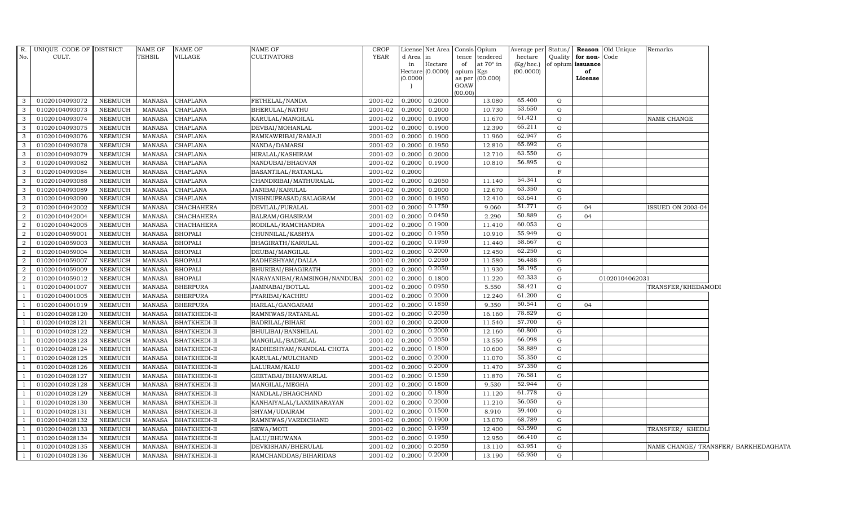|                         | R. UNIQUE CODE OF DISTRICT |                | NAME OF       | NAME OF             | NAME OF                      | <b>CROP</b> |          | License Net Area   Consis   Opium |                |           |                 |             |                      | Average per Status / Reason Old Unique | Remarks                              |  |
|-------------------------|----------------------------|----------------|---------------|---------------------|------------------------------|-------------|----------|-----------------------------------|----------------|-----------|-----------------|-------------|----------------------|----------------------------------------|--------------------------------------|--|
| No.                     | CULT.                      |                | TEHSIL        | VILLAGE             | <b>CULTIVATORS</b>           | YEAR        | d Area   | in                                | tence          | tendered  | hectare         |             | Quality for non-Code |                                        |                                      |  |
|                         |                            |                |               |                     |                              |             | in       | Hectare                           | of             | at 70° in | $(Kg/$ hec. $)$ |             | of opium issuance    |                                        |                                      |  |
|                         |                            |                |               |                     |                              |             |          | Hectare $(0.0000)$                | opium          | Kgs       | (00.0000)       |             | of                   |                                        |                                      |  |
|                         |                            |                |               |                     |                              |             | (0.0000) |                                   | as per<br>GOAW | (00.000)  |                 |             | License              |                                        |                                      |  |
|                         |                            |                |               |                     |                              |             |          |                                   | (00.00)        |           |                 |             |                      |                                        |                                      |  |
| $\mathbf{3}$            | 01020104093072             | NEEMUCH        | MANASA        | <b>CHAPLANA</b>     | FETHELAL/NANDA               | 2001-02     | 0.2000   | 0.2000                            |                | 13.080    | 65.400          | G           |                      |                                        |                                      |  |
| $\overline{3}$          | 01020104093073             | NEEMUCH        | <b>MANASA</b> | <b>CHAPLANA</b>     | BHERULAL/NATHU               | 2001-02     | 0.2000   | 0.2000                            |                | 10.730    | 53.650          | G           |                      |                                        |                                      |  |
| $\overline{\mathbf{3}}$ | 01020104093074             | <b>NEEMUCH</b> | <b>MANASA</b> | <b>CHAPLANA</b>     | KARULAL/MANGILAL             | 2001-02     | 0.2000   | 0.1900                            |                | 11.670    | 61.421          | G           |                      |                                        | NAME CHANGE                          |  |
| 3 <sup>1</sup>          | 01020104093075             | NEEMUCH        | <b>MANASA</b> | CHAPLANA            | DEVBAI/MOHANLAL              | 2001-02     | 0.2000   | 0.1900                            |                | 12.390    | 65.211          | G           |                      |                                        |                                      |  |
| $\overline{\mathbf{3}}$ | 01020104093076             | NEEMUCH        | MANASA        | CHAPLANA            | RAMKAWRIBAI/RAMAJI           | 2001-02     | 0.2000   | 0.1900                            |                | 11.960    | 62.947          | G           |                      |                                        |                                      |  |
| $\overline{\mathbf{3}}$ | 01020104093078             | NEEMUCH        | <b>MANASA</b> | CHAPLANA            | NANDA/DAMARSI                | 2001-02     | 0.2000   | 0.1950                            |                | 12.810    | 65.692          | G           |                      |                                        |                                      |  |
| $\mathbf{3}$            | 01020104093079             | NEEMUCH        | MANASA        | CHAPLANA            | HIRALAL/KASHIRAM             | 2001-02     | 0.2000   | 0.2000                            |                | 12.710    | 63.550          | G           |                      |                                        |                                      |  |
| $\mathbf{3}$            | 01020104093082             | <b>NEEMUCH</b> | <b>MANASA</b> | CHAPLANA            | NANDUBAI/BHAGVAN             | 2001-02     | 0.2000   | 0.1900                            |                | 10.810    | 56.895          | G           |                      |                                        |                                      |  |
| $\overline{\mathbf{3}}$ | 01020104093084             | NEEMUCH        | <b>MANASA</b> | CHAPLANA            | BASANTILAL/RATANLAL          | 2001-02     | 0.2000   |                                   |                |           |                 | $\mathbf F$ |                      |                                        |                                      |  |
| $\overline{\mathbf{3}}$ | 01020104093088             | NEEMUCH        | <b>MANASA</b> | <b>CHAPLANA</b>     | CHANDRIBAI/MATHURALAL        | 2001-02     | 0.2000   | 0.2050                            |                | 11.140    | 54.341          | G           |                      |                                        |                                      |  |
| $\mathbf{3}$            | 01020104093089             | NEEMUCH        | MANASA        | CHAPLANA            | JANIBAI/KARULAL              | 2001-02     | 0.2000   | 0.2000                            |                | 12.670    | 63.350          | G           |                      |                                        |                                      |  |
| $\mathbf{3}$            | 01020104093090             | NEEMUCH        | <b>MANASA</b> | <b>CHAPLANA</b>     | VISHNUPRASAD/SALAGRAM        | 2001-02     | 0.2000   | 0.1950                            |                | 12.410    | 63.641          | G           |                      |                                        |                                      |  |
| $\overline{2}$          | 01020104042002             | NEEMUCH        | MANASA        | CHACHAHERA          | DEVILAL/PURALAL              | 2001-02     | 0.2000   | 0.1750                            |                | 9.060     | 51.771          | G           | 04                   |                                        | <b>ISSUED ON 2003-04</b>             |  |
| 2                       | 01020104042004             | NEEMUCH        | MANASA        | CHACHAHERA          | BALRAM/GHASIRAM              | 2001-02     | 0.2000   | 0.0450                            |                | 2.290     | 50.889          | G           | 04                   |                                        |                                      |  |
| $\overline{2}$          | 01020104042005             | NEEMUCH        | <b>MANASA</b> | CHACHAHERA          | RODILAL/RAMCHANDRA           | 2001-02     | 0.2000   | 0.1900                            |                | 11.410    | 60.053          | G           |                      |                                        |                                      |  |
| $\overline{2}$          | 01020104059001             | NEEMUCH        | <b>MANASA</b> | <b>BHOPALI</b>      | CHUNNILAL/KASHYA             | 2001-02     | 0.2000   | 0.1950                            |                | 10.910    | 55.949          | G           |                      |                                        |                                      |  |
| 2                       | 01020104059003             | NEEMUCH        | MANASA        | <b>BHOPALI</b>      | BHAGIRATH / KARULAL          | 2001-02     | 0.2000   | 0.1950                            |                | 11.440    | 58.667          | G           |                      |                                        |                                      |  |
| $\overline{2}$          | 01020104059004             | NEEMUCH        | MANASA        | <b>BHOPALI</b>      | DEUBAI/MANGILAL              | 2001-02     | 0.2000   | 0.2000                            |                | 12.450    | 62.250          | G           |                      |                                        |                                      |  |
| 2                       | 01020104059007             | NEEMUCH        | <b>MANASA</b> | <b>BHOPALI</b>      | RADHESHYAM/DALLA             | 2001-02     | 0.2000   | 0.2050                            |                | 11.580    | 56.488          | G           |                      |                                        |                                      |  |
| $\overline{a}$          | 01020104059009             | NEEMUCH        | <b>MANASA</b> | <b>BHOPALI</b>      | BHURIBAI/BHAGIRATH           | 2001-02     | 0.2000   | 0.2050                            |                | 11.930    | 58.195          | G           |                      |                                        |                                      |  |
| 2                       | 01020104059012             | NEEMUCH        | <b>MANASA</b> | <b>BHOPALI</b>      | NARAYANIBAI/RAMSINGH/NANDUBA | 2001-02     | 0.2000   | 0.1800                            |                | 11.220    | 62.333          | G           |                      | 01020104062031                         |                                      |  |
| $\overline{1}$          | 01020104001007             | NEEMUCH        | MANASA        | <b>BHERPURA</b>     | JAMNABAI/BOTLAL              | 2001-02     | 0.2000   | 0.0950                            |                | 5.550     | 58.421          | G           |                      |                                        | TRANSFER/KHEDAMODI                   |  |
| $\overline{1}$          | 01020104001005             | NEEMUCH        | MANASA        | <b>BHERPURA</b>     | PYARIBAI/KACHRU              | 2001-02     | 0.2000   | 0.2000                            |                | 12.240    | 61.200          | G           |                      |                                        |                                      |  |
| $\overline{1}$          | 01020104001019             | NEEMUCH        | <b>MANASA</b> | <b>BHERPURA</b>     | HARLAL/GANGARAM              | 2001-02     | 0.2000   | 0.1850                            |                | 9.350     | 50.541          | G           | 04                   |                                        |                                      |  |
|                         | 01020104028120             | <b>NEEMUCH</b> | <b>MANASA</b> | BHATKHEDI-II        | RAMNIWAS/RATANLAL            | 2001-02     | 0.2000   | 0.2050                            |                | 16.160    | 78.829          | G           |                      |                                        |                                      |  |
| $\overline{1}$          | 01020104028121             | NEEMUCH        | MANASA        | <b>BHATKHEDI-II</b> | BADRILAL/BIHARI              | 2001-02     | 0.2000   | 0.2000                            |                | 11.540    | 57.700          | G           |                      |                                        |                                      |  |
| $\overline{1}$          | 01020104028122             | <b>NEEMUCH</b> | MANASA        | <b>BHATKHEDI-II</b> | BHULIBAI/BANSHILAL           | 2001-02     | 0.2000   | 0.2000                            |                | 12.160    | 60.800          | G           |                      |                                        |                                      |  |
| $\overline{1}$          | 01020104028123             | NEEMUCH        | MANASA        | <b>BHATKHEDI-II</b> | MANGILAL/BADRILAL            | 2001-02     | 0.2000   | 0.2050                            |                | 13.550    | 66.098          | G           |                      |                                        |                                      |  |
| $\overline{1}$          | 01020104028124             | NEEMUCH        | <b>MANASA</b> | BHATKHEDI-II        | RADHESHYAM/NANDLAL CHOTA     | 2001-02     | 0.2000   | 0.1800                            |                | 10.600    | 58.889          | G           |                      |                                        |                                      |  |
|                         | 01020104028125             | NEEMUCH        | <b>MANASA</b> | BHATKHEDI-II        | KARULAL/MULCHAND             | 2001-02     | 0.2000   | 0.2000                            |                | 11.070    | 55.350          | G           |                      |                                        |                                      |  |
| $\overline{1}$          | 01020104028126             | NEEMUCH        | MANASA        | <b>BHATKHEDI-II</b> | LALURAM/KALU                 | 2001-02     | 0.2000   | 0.2000                            |                | 11.470    | 57.350          | G           |                      |                                        |                                      |  |
| $\overline{1}$          | 01020104028127             | <b>NEEMUCH</b> | <b>MANASA</b> | <b>BHATKHEDI-II</b> | GEETABAI/BHANWARLAL          | 2001-02     | 0.2000   | 0.1550                            |                | 11.870    | 76.581          | G           |                      |                                        |                                      |  |
| $\overline{1}$          | 01020104028128             | NEEMUCH        | MANASA        | <b>BHATKHEDI-II</b> | MANGILAL/MEGHA               | 2001-02     | 0.2000   | 0.1800                            |                | 9.530     | 52.944          | G           |                      |                                        |                                      |  |
| $\overline{1}$          | 01020104028129             | NEEMUCH        | MANASA        | BHATKHEDI-II        | NANDLAL/BHAGCHAND            | 2001-02     | 0.2000   | 0.1800                            |                | 11.120    | 61.778          | G           |                      |                                        |                                      |  |
| $\overline{1}$          | 01020104028130             | NEEMUCH        | MANASA        | <b>BHATKHEDI-II</b> | KANHAIYALAL/LAXMINARAYAN     | 2001-02     | 0.2000   | 0.2000                            |                | 11.210    | 56.050          | G           |                      |                                        |                                      |  |
|                         | 01020104028131             | <b>NEEMUCH</b> | <b>MANASA</b> | <b>BHATKHEDI-II</b> | SHYAM/UDAIRAM                | 2001-02     | 0.2000   | 0.1500                            |                | 8.910     | 59.400          | G           |                      |                                        |                                      |  |
| $\overline{1}$          | 01020104028132             | NEEMUCH        | MANASA        | <b>BHATKHEDI-II</b> | RAMNIWAS/VARDICHAND          | 2001-02     | 0.2000   | 0.1900                            |                | 13.070    | 68.789          | G           |                      |                                        |                                      |  |
| $\overline{1}$          | 01020104028133             | NEEMUCH        | <b>MANASA</b> | <b>BHATKHEDI-II</b> | SEWA/MOTI                    | 2001-02     | 0.2000   | 0.1950                            |                | 12.400    | 63.590          | G           |                      |                                        | TRANSFER/ KHEDLI                     |  |
| $\overline{1}$          | 01020104028134             | NEEMUCH        | <b>MANASA</b> | <b>BHATKHEDI-II</b> | LALU/BHUWANA                 | 2001-02     | 0.2000   | 0.1950                            |                | 12.950    | 66.410          | G           |                      |                                        |                                      |  |
| $\overline{1}$          | 01020104028135             | NEEMUCH        | MANASA        | <b>BHATKHEDI-II</b> | DEVKISHAN/BHERULAL           | 2001-02     | 0.2000   | 0.2050                            |                | 13.110    | 63.951          | G           |                      |                                        | NAME CHANGE/ TRANSFER/ BARKHEDAGHATA |  |
| $\overline{1}$          | 01020104028136             | NEEMUCH        |               | MANASA BHATKHEDI-II | RAMCHANDDAS/BIHARIDAS        | 2001-02     | 0.2000   | 0.2000                            |                | 13.190    | 65.950          | G           |                      |                                        |                                      |  |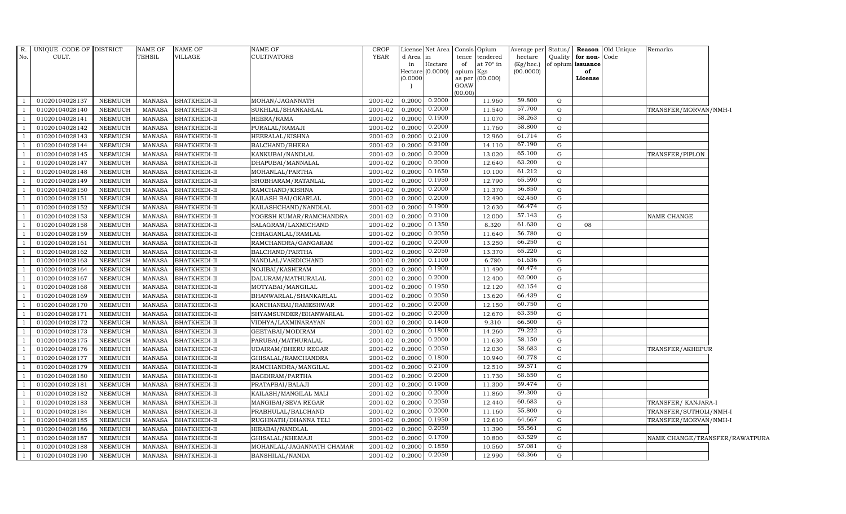| R.             | UNIQUE CODE OF DISTRICT |                | NAME OF       | <b>NAME OF</b>      | NAME OF                    | <b>CROP</b> |           | License Net Area Consis Opium |                 |                  | Average per            | Status/      |                         | Reason Old Unique | Remarks                        |  |
|----------------|-------------------------|----------------|---------------|---------------------|----------------------------|-------------|-----------|-------------------------------|-----------------|------------------|------------------------|--------------|-------------------------|-------------------|--------------------------------|--|
| No.            | CULT.                   |                | <b>TEHSIL</b> | <b>VILLAGE</b>      | <b>CULTIVATORS</b>         | <b>YEAR</b> | d Area in |                               |                 | tence tendered   | hectare                | Quality      | for non-Code            |                   |                                |  |
|                |                         |                |               |                     |                            |             | in        | Hectare<br>Hectare $(0.0000)$ | of<br>opium Kgs | at $70^\circ$ in | (Kg/hec.)<br>(00.0000) |              | of opium issuance<br>of |                   |                                |  |
|                |                         |                |               |                     |                            |             | (0.0000)  |                               |                 | as per (00.000)  |                        |              | License                 |                   |                                |  |
|                |                         |                |               |                     |                            |             |           |                               | GOAW            |                  |                        |              |                         |                   |                                |  |
|                |                         |                |               |                     |                            |             |           |                               | (00.00)         |                  |                        |              |                         |                   |                                |  |
| $\overline{1}$ | 01020104028137          | <b>NEEMUCH</b> | MANASA        | <b>BHATKHEDI-II</b> | MOHAN/JAGANNATH            | 2001-02     |           | $0.2000$ $0.2000$             |                 | 11.960           | 59.800                 | G            |                         |                   |                                |  |
| $\overline{1}$ | 01020104028140          | <b>NEEMUCH</b> | <b>MANASA</b> | <b>BHATKHEDI-II</b> | SUKHLAL/SHANKARLAL         | 2001-02     | 0.2000    | 0.2000                        |                 | 11.540           | 57.700                 | G            |                         |                   | TRANSFER/MORVAN/NMH-I          |  |
|                | 01020104028141          | <b>NEEMUCH</b> | <b>MANASA</b> | <b>BHATKHEDI-II</b> | HEERA/RAMA                 | 2001-02     | 0.2000    | 0.1900                        |                 | 11.070           | 58.263                 | G            |                         |                   |                                |  |
|                | 01020104028142          | <b>NEEMUCH</b> | <b>MANASA</b> | <b>BHATKHEDI-II</b> | PURALAL/RAMAJI             | 2001-02     | 0.2000    | 0.2000                        |                 | 11.760           | 58.800                 | G            |                         |                   |                                |  |
| $\overline{1}$ | 01020104028143          | <b>NEEMUCH</b> | <b>MANASA</b> | <b>BHATKHEDI-II</b> | HEERALAL/KISHNA            | 2001-02     | 0.2000    | 0.2100                        |                 | 12.960           | 61.714                 | G            |                         |                   |                                |  |
| $\overline{1}$ | 01020104028144          | <b>NEEMUCH</b> | MANASA        | <b>BHATKHEDI-II</b> | BALCHAND/BHERA             | 2001-02     | 0.2000    | 0.2100                        |                 | 14.110           | 67.190                 | G            |                         |                   |                                |  |
| $\overline{1}$ | 01020104028145          | <b>NEEMUCH</b> | <b>MANASA</b> | <b>BHATKHEDI-II</b> | KANKUBAI/NANDLAL           | 2001-02     | 0.2000    | 0.2000                        |                 | 13.020           | 65.100                 | G            |                         |                   | TRANSFER/PIPLON                |  |
|                | 01020104028147          | <b>NEEMUCH</b> | <b>MANASA</b> | <b>BHATKHEDI-II</b> | DHAPUBAI/MANNALAL          | 2001-02     | 0.2000    | 0.2000                        |                 | 12.640           | 63.200                 | G            |                         |                   |                                |  |
|                | 01020104028148          | <b>NEEMUCH</b> | <b>MANASA</b> | <b>BHATKHEDI-II</b> | MOHANLAL/PARTHA            | 2001-02     | 0.2000    | 0.1650                        |                 | 10.100           | 61.212                 | $\mathbf{G}$ |                         |                   |                                |  |
| - 1            | 01020104028149          | <b>NEEMUCH</b> | <b>MANASA</b> | <b>BHATKHEDI-II</b> | SHOBHARAM/RATANLAL         | 2001-02     | 0.2000    | 0.1950                        |                 | 12.790           | 65.590                 | G            |                         |                   |                                |  |
| $\overline{1}$ | 01020104028150          | <b>NEEMUCH</b> | MANASA        | <b>BHATKHEDI-II</b> | RAMCHAND/KISHNA            | $2001 - 02$ | 0.2000    | 0.2000                        |                 | 11.370           | 56.850                 | G            |                         |                   |                                |  |
| $\overline{1}$ | 01020104028151          | <b>NEEMUCH</b> | <b>MANASA</b> | <b>BHATKHEDI-II</b> | KAILASH BAI/OKARLAL        | 2001-02     | 0.2000    | 0.2000                        |                 | 12.490           | 62.450                 | G            |                         |                   |                                |  |
| $\overline{1}$ | 01020104028152          | <b>NEEMUCH</b> | <b>MANASA</b> | <b>BHATKHEDI-II</b> | KAILASHCHAND/NANDLAL       | 2001-02     | 0.2000    | 0.1900                        |                 | 12.630           | 66.474                 | G            |                         |                   |                                |  |
|                | 01020104028153          | <b>NEEMUCH</b> | <b>MANASA</b> | <b>BHATKHEDI-II</b> | YOGESH KUMAR/RAMCHANDRA    | 2001-02     | 0.2000    | 0.2100                        |                 | 12.000           | 57.143                 | $\mathbf{G}$ |                         |                   | NAME CHANGE                    |  |
| $\overline{1}$ | 01020104028158          | <b>NEEMUCH</b> | <b>MANASA</b> | <b>BHATKHEDI-II</b> | SALAGRAM/LAXMICHAND        | 2001-02     | 0.2000    | 0.1350                        |                 | 8.320            | 61.630                 | G            | 08                      |                   |                                |  |
| $\overline{1}$ | 01020104028159          | <b>NEEMUCH</b> | <b>MANASA</b> | <b>BHATKHEDI-II</b> | CHHAGANLAL/RAMLAL          | 2001-02     | 0.2000    | 0.2050                        |                 | 11.640           | 56.780                 | G            |                         |                   |                                |  |
| <sup>1</sup>   | 01020104028161          | <b>NEEMUCH</b> | MANASA        | <b>BHATKHEDI-II</b> | RAMCHANDRA/GANGARAM        | 2001-02     | 0.2000    | 0.2000                        |                 | 13.250           | 66.250                 | G            |                         |                   |                                |  |
| $\overline{1}$ | 01020104028162          | <b>NEEMUCH</b> | <b>MANASA</b> | <b>BHATKHEDI-II</b> | BALCHAND/PARTHA            | 2001-02     | 0.2000    | 0.2050                        |                 | 13.370           | 65.220                 | G            |                         |                   |                                |  |
|                | 01020104028163          | <b>NEEMUCH</b> | <b>MANASA</b> | <b>BHATKHEDI-II</b> | NANDLAL/VARDICHAND         | 2001-02     | 0.2000    | 0.1100                        |                 | 6.780            | 61.636                 | G            |                         |                   |                                |  |
| $\overline{1}$ | 01020104028164          | <b>NEEMUCH</b> | <b>MANASA</b> | <b>BHATKHEDI-II</b> | NOJIBAI/KASHIRAM           | 2001-02     | 0.2000    | 0.1900                        |                 | 11.490           | 60.474                 | G            |                         |                   |                                |  |
| - 1            | 01020104028167          | <b>NEEMUCH</b> | <b>MANASA</b> | <b>BHATKHEDI-II</b> | DALURAM/MATHURALAL         | 2001-02     | 0.2000    | 0.2000                        |                 | 12.400           | 62.000                 | G            |                         |                   |                                |  |
| -1             | 01020104028168          | <b>NEEMUCH</b> | <b>MANASA</b> | <b>BHATKHEDI-II</b> | MOTYABAI/MANGILAL          | $2001 - 02$ | 0.2000    | 0.1950                        |                 | 12.120           | 62.154                 | G            |                         |                   |                                |  |
| $\overline{1}$ | 01020104028169          | <b>NEEMUCH</b> | <b>MANASA</b> | <b>BHATKHEDI-II</b> | BHANWARLAL/SHANKARLAL      | 2001-02     | 0.2000    | 0.2050                        |                 | 13.620           | 66.439                 | G            |                         |                   |                                |  |
|                | 01020104028170          | <b>NEEMUCH</b> | <b>MANASA</b> | <b>BHATKHEDI-II</b> | KANCHANBAI/RAMESHWAR       | 2001-02     | 0.2000    | 0.2000                        |                 | 12.150           | 60.750                 | G            |                         |                   |                                |  |
| $\overline{1}$ | 01020104028171          | <b>NEEMUCH</b> | <b>MANASA</b> | <b>BHATKHEDI-II</b> | SHYAMSUNDER/BHANWARLAL     | 2001-02     | 0.2000    | 0.2000                        |                 | 12.670           | 63.350                 | $\mathbf{G}$ |                         |                   |                                |  |
| $\overline{1}$ | 01020104028172          | <b>NEEMUCH</b> | MANASA        | <b>BHATKHEDI-II</b> | VIDHYA/LAXMINARAYAN        | 2001-02     | 0.2000    | 0.1400                        |                 | 9.310            | 66.500                 | G            |                         |                   |                                |  |
| $\overline{1}$ | 01020104028173          | <b>NEEMUCH</b> | <b>MANASA</b> | <b>BHATKHEDI-II</b> | GEETABAI/MODIRAM           | 2001-02     | 0.2000    | 0.1800                        |                 | 14.260           | 79.222                 | G            |                         |                   |                                |  |
| $\overline{1}$ | 01020104028175          | <b>NEEMUCH</b> | <b>MANASA</b> | <b>BHATKHEDI-II</b> | PARUBAI/MATHURALAL         | 2001-02     | 0.2000    | 0.2000                        |                 | 11.630           | 58.150                 | G            |                         |                   |                                |  |
|                | 01020104028176          | <b>NEEMUCH</b> | <b>MANASA</b> | <b>BHATKHEDI-II</b> | <b>UDAIRAM/BHERU REGAR</b> | 2001-02     | 0.2000    | 0.2050                        |                 | 12.030           | 58.683                 | G            |                         |                   | TRANSFER/AKHEPUR               |  |
|                | 01020104028177          | <b>NEEMUCH</b> | <b>MANASA</b> | <b>BHATKHEDI-II</b> | GHISALAL/RAMCHANDRA        | 2001-02     | 0.2000    | 0.1800                        |                 | 10.940           | 60.778                 | G            |                         |                   |                                |  |
| $\overline{1}$ | 01020104028179          | <b>NEEMUCH</b> | <b>MANASA</b> | <b>BHATKHEDI-II</b> | RAMCHANDRA/MANGILAL        | 2001-02     | 0.2000    | 0.2100                        |                 | 12.510           | 59.571                 | G            |                         |                   |                                |  |
| $\overline{1}$ | 01020104028180          | <b>NEEMUCH</b> | <b>MANASA</b> | <b>BHATKHEDI-II</b> | BAGDIRAM/PARTHA            | 2001-02     | 0.2000    | 0.2000                        |                 | 11.730           | 58.650                 | G            |                         |                   |                                |  |
| $\overline{1}$ | 01020104028181          | <b>NEEMUCH</b> | <b>MANASA</b> | <b>BHATKHEDI-II</b> | PRATAPBAI/BALAJI           | 2001-02     | 0.2000    | 0.1900                        |                 | 11.300           | 59.474                 | G            |                         |                   |                                |  |
| $\overline{1}$ | 01020104028182          | <b>NEEMUCH</b> | <b>MANASA</b> | <b>BHATKHEDI-II</b> | KAILASH/MANGILAL MALI      | 2001-02     | 0.2000    | 0.2000                        |                 | 11.860           | 59.300                 | ${\rm G}$    |                         |                   |                                |  |
|                | 01020104028183          | <b>NEEMUCH</b> | <b>MANASA</b> | <b>BHATKHEDI-II</b> | MANGIBAI/SEVA REGAR        | 2001-02     | 0.2000    | 0.2050                        |                 | 12.440           | 60.683                 | G            |                         |                   | TRANSFER/ KANJARA-I            |  |
| $\mathbf{1}$   | 01020104028184          | <b>NEEMUCH</b> | <b>MANASA</b> | <b>BHATKHEDI-II</b> | PRABHULAL/BALCHAND         | 2001-02     | 0.2000    | 0.2000                        |                 | 11.160           | 55.800                 | G            |                         |                   | TRANSFER/SUTHOLI/NMH-I         |  |
| $\overline{1}$ | 01020104028185          | <b>NEEMUCH</b> | <b>MANASA</b> | <b>BHATKHEDI-II</b> | RUGHNATH/DHANNA TELI       | 2001-02     | 0.2000    | 0.1950                        |                 | 12.610           | 64.667                 | G            |                         |                   | TRANSFER/MORVAN/NMH-I          |  |
| $\overline{1}$ | 01020104028186          | <b>NEEMUCH</b> | <b>MANASA</b> | <b>BHATKHEDI-II</b> | HIRABAI/NANDLAL            | 2001-02     | 0.2000    | 0.2050                        |                 | 11.390           | 55.561                 | G            |                         |                   |                                |  |
|                | 01020104028187          | <b>NEEMUCH</b> | <b>MANASA</b> | <b>BHATKHEDI-II</b> | GHISALAL/KHEMAJI           | 2001-02     | 0.2000    | 0.1700                        |                 | 10.800           | 63.529                 | G            |                         |                   | NAME CHANGE/TRANSFER/RAWATPURA |  |
|                | 01020104028188          | <b>NEEMUCH</b> | <b>MANASA</b> | <b>BHATKHEDI-II</b> | MOHANLAL/JAGANNATH CHAMAR  | 2001-02     | 0.2000    | 0.1850                        |                 | 10.560           | 57.081                 | G            |                         |                   |                                |  |
| $\overline{1}$ | 01020104028190          | NEEMUCH        | MANASA        | <b>BHATKHEDI-II</b> | BANSHILAL/NANDA            | 2001-02     | 0.2000    | 0.2050                        |                 | 12.990           | 63.366                 | G            |                         |                   |                                |  |
|                |                         |                |               |                     |                            |             |           |                               |                 |                  |                        |              |                         |                   |                                |  |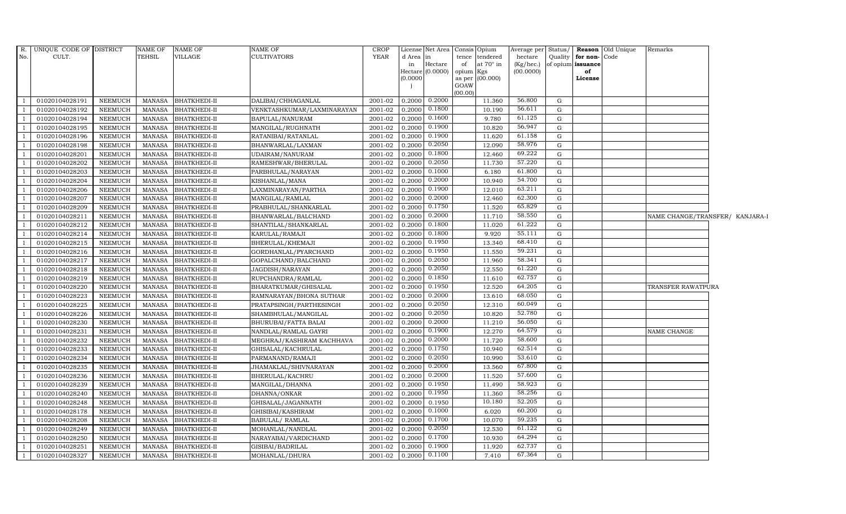| R.             | UNIQUE CODE OF DISTRICT |                | <b>NAME OF</b> | NAME OF             | <b>NAME OF</b>             | <b>CROP</b> | License       | Net Area            | Consis Opium                        | Average per Status/    |             |                         | <b>Reason</b> Old Unique | Remarks                         |  |
|----------------|-------------------------|----------------|----------------|---------------------|----------------------------|-------------|---------------|---------------------|-------------------------------------|------------------------|-------------|-------------------------|--------------------------|---------------------------------|--|
| No.            | CULT.                   |                | <b>TEHSIL</b>  | VILLAGE             | CULTIVATORS                | <b>YEAR</b> | d Area        | lin                 | tence tendered                      | hectare                | Quality     | for non-Code            |                          |                                 |  |
|                |                         |                |                |                     |                            |             | in<br>Hectare | Hectare<br>(0.0000) | at $70^\circ$ in<br>of<br>opium Kgs | (Kg/hec.)<br>(00.0000) |             | of opium issuance<br>of |                          |                                 |  |
|                |                         |                |                |                     |                            |             | (0.0000)      |                     | as per (00.000)                     |                        |             | License                 |                          |                                 |  |
|                |                         |                |                |                     |                            |             |               |                     | GOAW                                |                        |             |                         |                          |                                 |  |
|                |                         |                |                |                     |                            |             |               |                     | (00.00)                             |                        |             |                         |                          |                                 |  |
|                | 01020104028191          | NEEMUCH        | MANASA         | <b>BHATKHEDI-II</b> | DALIBAI/CHHAGANLAL         | 2001-02     | 0.2000        | 0.2000              | 11.360                              | 56.800                 | G           |                         |                          |                                 |  |
| - 1            | 01020104028192          | <b>NEEMUCH</b> | <b>MANASA</b>  | <b>BHATKHEDI-II</b> | VENKTASHKUMAR/LAXMINARAYAN | 2001-02     | 0.2000        | 0.1800              | 10.190                              | 56.611                 | $\mathbf G$ |                         |                          |                                 |  |
|                | 01020104028194          | <b>NEEMUCH</b> | <b>MANASA</b>  | <b>BHATKHEDI-II</b> | BAPULAL/NANURAM            | 2001-02     | 0.2000        | 0.1600              | 9.780                               | 61.125                 | G           |                         |                          |                                 |  |
|                | 01020104028195          | <b>NEEMUCH</b> | <b>MANASA</b>  | <b>BHATKHEDI-II</b> | MANGILAL/RUGHNATH          | 2001-02     | 0.2000        | 0.1900              | 10.820                              | 56.947                 | G           |                         |                          |                                 |  |
|                | 01020104028196          | <b>NEEMUCH</b> | <b>MANASA</b>  | <b>BHATKHEDI-II</b> | RATANIBAI/RATANLAL         | 2001-02     | 0.2000        | 0.1900              | 11.620                              | 61.158                 | G           |                         |                          |                                 |  |
| $\overline{1}$ | 01020104028198          | <b>NEEMUCH</b> | MANASA         | <b>BHATKHEDI-II</b> | BHANWARLAL/LAXMAN          | $2001 - 02$ | 0.2000        | 0.2050              | 12.090                              | 58.976                 | G           |                         |                          |                                 |  |
|                | 01020104028201          | <b>NEEMUCH</b> | <b>MANASA</b>  | <b>BHATKHEDI-II</b> | UDAIRAM/NANURAM            | 2001-02     | 0.2000        | 0.1800              | 12.460                              | 69.222                 | G           |                         |                          |                                 |  |
|                | 01020104028202          | <b>NEEMUCH</b> | <b>MANASA</b>  | <b>BHATKHEDI-II</b> | RAMESHWAR/BHERULAL         | 2001-02     | 0.2000        | 0.2050              | 11.730                              | 57.220                 | G           |                         |                          |                                 |  |
|                | 01020104028203          | <b>NEEMUCH</b> | <b>MANASA</b>  | BHATKHEDI-II        | PARBHULAL/NARAYAN          | 2001-02     | 0.2000        | 0.1000              | 6.180                               | 61.800                 | G           |                         |                          |                                 |  |
|                | 01020104028204          | <b>NEEMUCH</b> | <b>MANASA</b>  | BHATKHEDI-II        | KISHANLAL/MANA             | 2001-02     | 0.2000        | 0.2000              | 10.940                              | 54.700                 | G           |                         |                          |                                 |  |
|                | 01020104028206          | <b>NEEMUCH</b> | <b>MANASA</b>  | <b>BHATKHEDI-II</b> | LAXMINARAYAN/PARTHA        | 2001-02     | 0.2000        | 0.1900              | 12.010                              | 63.211                 | G           |                         |                          |                                 |  |
| $\overline{1}$ | 01020104028207          | <b>NEEMUCH</b> | <b>MANASA</b>  | <b>BHATKHEDI-II</b> | MANGILAL/RAMLAL            | 2001-02     | 0.2000        | 0.2000              | 12.460                              | 62.300                 | $\mathbf G$ |                         |                          |                                 |  |
| $\overline{1}$ | 01020104028209          | NEEMUCH        | <b>MANASA</b>  | <b>BHATKHEDI-II</b> | PRABHULAL/SHANKARLAL       | 2001-02     | 0.2000        | 0.1750              | 11.520                              | 65.829                 | $\mathbf G$ |                         |                          |                                 |  |
|                | 01020104028211          | <b>NEEMUCH</b> | <b>MANASA</b>  | <b>BHATKHEDI-II</b> | BHANWARLAL/BALCHAND        | 2001-02     | 0.2000        | 0.2000              | 11.710                              | 58.550                 | $\mathbf G$ |                         |                          | NAME CHANGE/TRANSFER/ KANJARA-I |  |
|                | 01020104028212          | <b>NEEMUCH</b> | <b>MANASA</b>  | <b>BHATKHEDI-II</b> | SHANTILAL/SHANKARLAL       | 2001-02     | 0.2000        | 0.1800              | 11.020                              | 61.222                 | G           |                         |                          |                                 |  |
| -1             | 01020104028214          | <b>NEEMUCH</b> | <b>MANASA</b>  | <b>BHATKHEDI-II</b> | KARULAL/RAMAJI             | 2001-02     | 0.2000        | 0.1800              | 9.920                               | 55.111                 | ${\rm G}$   |                         |                          |                                 |  |
| $\overline{1}$ | 01020104028215          | <b>NEEMUCH</b> | <b>MANASA</b>  | <b>BHATKHEDI-II</b> | BHERULAL/KHEMAJI           | 2001-02     | 0.2000        | 0.1950              | 13.340                              | 68.410                 | G           |                         |                          |                                 |  |
| $\overline{1}$ | 01020104028216          | NEEMUCH        | <b>MANASA</b>  | <b>BHATKHEDI-II</b> | GORDHANLAL/PYARCHAND       | 2001-02     | 0.2000        | 0.1950              | 11.550                              | 59.231                 | G           |                         |                          |                                 |  |
|                | 01020104028217          | <b>NEEMUCH</b> | <b>MANASA</b>  | <b>BHATKHEDI-II</b> | GOPALCHAND/BALCHAND        | 2001-02     | 0.2000        | 0.2050              | 11.960                              | 58.341                 | $\mathbf G$ |                         |                          |                                 |  |
|                | 01020104028218          | <b>NEEMUCH</b> | <b>MANASA</b>  | <b>BHATKHEDI-II</b> | JAGDISH/NARAYAN            | 2001-02     | 0.2000        | 0.2050              | 12.550                              | 61.220                 | G           |                         |                          |                                 |  |
| - 1            | 01020104028219          | <b>NEEMUCH</b> | <b>MANASA</b>  | <b>BHATKHEDI-II</b> | RUPCHANDRA/RAMLAL          | 2001-02     | 0.2000        | 0.1850              | 11.610                              | 62.757                 | $\mathbf G$ |                         |                          |                                 |  |
|                | 01020104028220          | <b>NEEMUCH</b> | <b>MANASA</b>  | <b>BHATKHEDI-II</b> | BHARATKUMAR/GHISALAL       | 2001-02     | 0.2000        | 0.1950              | 12.520                              | 64.205                 | G           |                         |                          | TRANSFER RAWATPURA              |  |
| $\overline{1}$ | 01020104028223          | <b>NEEMUCH</b> | <b>MANASA</b>  | <b>BHATKHEDI-II</b> | RAMNARAYAN/BHONA SUTHAR    | 2001-02     | 0.2000        | 0.2000              | 13.610                              | 68.050                 | G           |                         |                          |                                 |  |
|                | 01020104028225          | <b>NEEMUCH</b> | MANASA         | <b>BHATKHEDI-II</b> | PRATAPSINGH/PARTHESINGH    | 2001-02     | 0.2000        | 0.2050              | 12.310                              | 60.049                 | $\mathbf G$ |                         |                          |                                 |  |
|                | 01020104028226          | <b>NEEMUCH</b> | <b>MANASA</b>  | <b>BHATKHEDI-II</b> | SHAMBHULAL/MANGILAL        | 2001-02     | 0.2000        | 0.2050              | 10.820                              | 52.780                 | G           |                         |                          |                                 |  |
|                | 01020104028230          | <b>NEEMUCH</b> | <b>MANASA</b>  | <b>BHATKHEDI-II</b> | BHURUBAI/FATTA BALAI       | 2001-02     | 0.2000        | 0.2000              | 11.210                              | 56.050                 | G           |                         |                          |                                 |  |
|                | 01020104028231          | <b>NEEMUCH</b> | <b>MANASA</b>  | <b>BHATKHEDI-II</b> | NANDLAL/RAMLAL GAYRI       | 2001-02     | 0.2000        | 0.1900              | 12.270                              | 64.579                 | G           |                         |                          | NAME CHANGE                     |  |
|                | 01020104028232          | <b>NEEMUCH</b> | <b>MANASA</b>  | <b>BHATKHEDI-II</b> | MEGHRAJ/KASHIRAM KACHHAVA  | 2001-02     | 0.2000        | 0.2000              | 11.720                              | 58.600                 | G           |                         |                          |                                 |  |
| - 1            | 01020104028233          | <b>NEEMUCH</b> | <b>MANASA</b>  | <b>BHATKHEDI-II</b> | GHISALAL/KACHRULAL         | 2001-02     | 0.2000        | 0.1750              | 10.940                              | 62.514                 | $\mathbf G$ |                         |                          |                                 |  |
|                | 01020104028234          | <b>NEEMUCH</b> | <b>MANASA</b>  | <b>BHATKHEDI-II</b> | PARMANAND/RAMAJI           | 2001-02     | 0.2000        | 0.2050              | 10.990                              | 53.610                 | G           |                         |                          |                                 |  |
|                | 01020104028235          | <b>NEEMUCH</b> | <b>MANASA</b>  | <b>BHATKHEDI-II</b> | JHAMAKLAL/SHIVNARAYAN      | 2001-02     | 0.2000        | 0.2000              | 13.560                              | 67.800                 | G           |                         |                          |                                 |  |
|                | 01020104028236          | <b>NEEMUCH</b> | <b>MANASA</b>  | <b>BHATKHEDI-II</b> | BHERULAL/KACHRU            | 2001-02     | 0.2000        | 0.2000              | 11.520                              | 57.600                 | G           |                         |                          |                                 |  |
| $\overline{1}$ | 01020104028239          | <b>NEEMUCH</b> | <b>MANASA</b>  | <b>BHATKHEDI-II</b> | MANGILAL/DHANNA            | 2001-02     | 0.2000        | 0.1950              | 11.490                              | 58.923                 | G           |                         |                          |                                 |  |
| $\overline{1}$ | 01020104028240          | <b>NEEMUCH</b> | <b>MANASA</b>  | <b>BHATKHEDI-II</b> | DHANNA/ONKAR               | 2001-02     | 0.2000        | 0.1950              | 11.360                              | 58.256                 | G           |                         |                          |                                 |  |
|                | 01020104028248          | <b>NEEMUCH</b> | <b>MANASA</b>  | <b>BHATKHEDI-II</b> | GHISALAL/JAGANNATH         | 2001-02     | 0.2000        | 0.1950              | 10.180                              | 52.205                 | G           |                         |                          |                                 |  |
|                | 01020104028178          | <b>NEEMUCH</b> | <b>MANASA</b>  | <b>BHATKHEDI-II</b> | GHISIBAI/KASHIRAM          | 2001-02     | 0.2000        | 0.1000              | 6.020                               | 60.200                 | G           |                         |                          |                                 |  |
|                | 01020104028208          | <b>NEEMUCH</b> | <b>MANASA</b>  | <b>BHATKHEDI-II</b> | BABULAL/RAMLAL             | 2001-02     | 0.2000        | 0.1700              | 10.070                              | 59.235                 | G           |                         |                          |                                 |  |
| $\overline{1}$ | 01020104028249          | <b>NEEMUCH</b> | <b>MANASA</b>  | <b>BHATKHEDI-II</b> | MOHANLAL/NANDLAL           | $2001 - 02$ | 0.2000        | 0.2050              | 12.530                              | 61.122                 | G           |                         |                          |                                 |  |
| $\overline{1}$ | 01020104028250          | NEEMUCH        | <b>MANASA</b>  | <b>BHATKHEDI-II</b> | NARAYABAI/VARDICHAND       | 2001-02     | 0.2000        | 0.1700              | 10.930                              | 64.294                 | G           |                         |                          |                                 |  |
|                | 01020104028251          | <b>NEEMUCH</b> | <b>MANASA</b>  | <b>BHATKHEDI-II</b> | GISIBAI/BADRILAL           | 2001-02     | 0.2000        | 0.1900              | 11.920                              | 62.737                 | G           |                         |                          |                                 |  |
| $\mathbf{1}$   | 01020104028327          | <b>NEEMUCH</b> | <b>MANASA</b>  | <b>BHATKHEDI-II</b> | MOHANLAL/DHURA             | 2001-02     | 0.2000        | 0.1100              | 7.410                               | 67.364                 | G           |                         |                          |                                 |  |
|                |                         |                |                |                     |                            |             |               |                     |                                     |                        |             |                         |                          |                                 |  |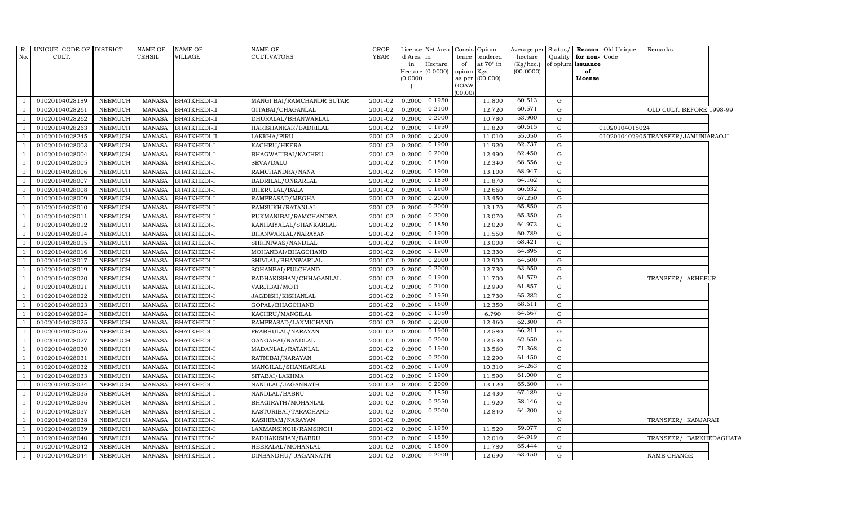| $R_{\cdot}$    | UNIQUE CODE OF DISTRICT |                 | NAME OF       | <b>NAME OF</b>      | <b>NAME OF</b>            | CROP        |                   | License Net Area |                | Consis Opium | Average per Status/ |             |                   | Reason Old Unique | Remarks                            |  |
|----------------|-------------------------|-----------------|---------------|---------------------|---------------------------|-------------|-------------------|------------------|----------------|--------------|---------------------|-------------|-------------------|-------------------|------------------------------------|--|
| No.            | CULT.                   |                 | <b>TEHSIL</b> | VILLAGE             | <b>CULTIVATORS</b>        | <b>YEAR</b> | d Area in         |                  | tence          | tendered     | hectare             | Quality     | for non-Code      |                   |                                    |  |
|                |                         |                 |               |                     |                           |             | in                | Hectare          | of             | at 70° in    | $(Kg/$ hec. $)$     |             | of opium issuance |                   |                                    |  |
|                |                         |                 |               |                     |                           |             |                   | Hectare (0.0000) | opium Kgs      |              | (00.0000)           |             | of                |                   |                                    |  |
|                |                         |                 |               |                     |                           |             | (0.0000)          |                  | as per<br>GOAW | (00.000)     |                     |             | License           |                   |                                    |  |
|                |                         |                 |               |                     |                           |             |                   |                  | (00.00)        |              |                     |             |                   |                   |                                    |  |
| -1             | 01020104028189          | NEEMUCH         | MANASA        | <b>BHATKHEDI-II</b> | MANGI BAI/RAMCHANDR SUTAR | 2001-02     | $0.2000$ $0.1950$ |                  |                | 11.800       | 60.513              | G           |                   |                   |                                    |  |
| $\overline{1}$ | 01020104028261          | NEEMUCH         | <b>MANASA</b> | <b>BHATKHEDI-II</b> | GITABAI/CHAGANLAL         | 2001-02     | 0.2000            | 0.2100           |                | 12.720       | 60.571              | ${\rm G}$   |                   |                   | OLD CULT. BEFORE 1998-99           |  |
| $\overline{1}$ | 01020104028262          | NEEMUCH         | MANASA        | BHATKHEDI-II        | DHURALAL/BHANWARLAL       | 2001-02     | 0.2000            | 0.2000           |                | 10.780       | 53.900              | G           |                   |                   |                                    |  |
|                | 01020104028263          | NEEMUCH         | <b>MANASA</b> | <b>BHATKHEDI-II</b> | HARISHANKAR/BADRILAL      | 2001-02     | 0.2000            | 0.1950           |                | 11.820       | 60.615              | G           |                   | 01020104015024    |                                    |  |
| $\overline{1}$ | 01020104028245          | <b>NEEMUCH</b>  | <b>MANASA</b> | <b>BHATKHEDI-II</b> | LAKKHA/PIRU               | 2001-02     | 0.2000            | 0.2000           |                | 11.010       | 55.050              | G           |                   |                   | 0102010402905TRANSFER/JAMUNIARAOJI |  |
| $\overline{1}$ | 01020104028003          | <b>NEEMUCH</b>  | <b>MANASA</b> | BHATKHEDI-I         | KACHRU/HEERA              | 2001-02     | 0.2000            | 0.1900           |                | 11.920       | 62.737              | G           |                   |                   |                                    |  |
| <sup>1</sup>   | 01020104028004          | NEEMUCH         | MANASA        | BHATKHEDI-I         | BHAGWATIBAI/KACHRU        | 2001-02     | 0.2000            | 0.2000           |                | 12.490       | 62.450              | G           |                   |                   |                                    |  |
| <sup>1</sup>   | 01020104028005          | NEEMUCH         | <b>MANASA</b> | BHATKHEDI-I         | SEVA/DALU                 | 2001-02     | 0.2000            | 0.1800           |                | 12.340       | 68.556              | $\mathbf G$ |                   |                   |                                    |  |
|                | 01020104028006          | <b>NEEMUCH</b>  | <b>MANASA</b> | <b>BHATKHEDI-I</b>  | RAMCHANDRA/NANA           | 2001-02     | 0.2000            | 0.1900           |                | 13.100       | 68.947              | G           |                   |                   |                                    |  |
| $\overline{1}$ | 01020104028007          | NEEMUCH         | MANASA        | BHATKHEDI-I         | BADRILAL/ONKARLAL         | 2001-02     | 0.2000            | 0.1850           |                | 11.870       | 64.162              | G           |                   |                   |                                    |  |
| - 1            | 01020104028008          | NEEMUCH         | <b>MANASA</b> | BHATKHEDI-I         | BHERULAL/BALA             | 2001-02     | 0.2000            | 0.1900           |                | 12.660       | 66.632              | ${\rm G}$   |                   |                   |                                    |  |
| <sup>1</sup>   | 01020104028009          | <b>NEEMUCH</b>  | <b>MANASA</b> | BHATKHEDI-I         | RAMPRASAD/MEGHA           | 2001-02     | 0.2000            | 0.2000           |                | 13.450       | 67.250              | G           |                   |                   |                                    |  |
| $\overline{1}$ | 01020104028010          | NEEMUCH         | <b>MANASA</b> | BHATKHEDI-I         | RAMSUKH/RATANLAL          | 2001-02     | 0.2000            | 0.2000           |                | 13.170       | 65.850              | G           |                   |                   |                                    |  |
| $\overline{1}$ | 01020104028011          | <b>NEEMUCH</b>  | <b>MANASA</b> | <b>BHATKHEDI-I</b>  | RUKMANIBAI/RAMCHANDRA     | 2001-02     | 0.2000            | 0.2000           |                | 13.070       | 65.350              | ${\rm G}$   |                   |                   |                                    |  |
| $\overline{1}$ | 01020104028012          | <b>NEEMUCH</b>  | MANASA        | BHATKHEDI-I         | KANHAIYALAL/SHANKARLAL    | 2001-02     | 0.2000            | 0.1850           |                | 12.020       | 64.973              | G           |                   |                   |                                    |  |
| $\overline{1}$ | 01020104028014          | NEEMUCH         | <b>MANASA</b> | BHATKHEDI-I         | BHANWARLAL/NARAYAN        | 2001-02     | 0.2000            | 0.1900           |                | 11.550       | 60.789              | ${\rm G}$   |                   |                   |                                    |  |
| <sup>1</sup>   | 01020104028015          | <b>NEEMUCH</b>  | <b>MANASA</b> | BHATKHEDI-I         | SHRINIWAS/NANDLAL         | 2001-02     | 0.2000            | 0.1900           |                | 13.000       | 68.421              | G           |                   |                   |                                    |  |
| $\overline{1}$ | 01020104028016          | NEEMUCH         | <b>MANASA</b> | BHATKHEDI-I         | MOHANBAI/BHAGCHAND        | 2001-02     | 0.2000            | 0.1900           |                | 12.330       | 64.895              | G           |                   |                   |                                    |  |
| $\overline{1}$ | 01020104028017          | <b>NEEMUCH</b>  | <b>MANASA</b> | <b>BHATKHEDI-I</b>  | SHIVLAL/BHANWARLAL        | 2001-02     | 0.2000            | 0.2000           |                | 12.900       | 64.500              | ${\rm G}$   |                   |                   |                                    |  |
| $\overline{1}$ | 01020104028019          | NEEMUCH         | <b>MANASA</b> | BHATKHEDI-I         | SOHANBAI/FULCHAND         | 2001-02     | 0.2000            | 0.2000           |                | 12.730       | 63.650              | G           |                   |                   |                                    |  |
| - 1            | 01020104028020          | NEEMUCH         | <b>MANASA</b> | BHATKHEDI-I         | RADHAKISHAN/CHHAGANLAL    | 2001-02     | 0.2000            | 0.1900           |                | 11.700       | 61.579              | G           |                   |                   | TRANSFER/ AKHEPUR                  |  |
| - 1            | 01020104028021          | <b>NEEMUCH</b>  | <b>MANASA</b> | <b>BHATKHEDI-I</b>  | VARJIBAI/MOTI             | 2001-02     | 0.2000            | 0.2100           |                | 12.990       | 61.857              | G           |                   |                   |                                    |  |
| <sup>1</sup>   | 01020104028022          | NEEMUCH         | MANASA        | BHATKHEDI-I         | JAGDISH/KISHANLAL         | 2001-02     | 0.2000            | 0.1950           |                | 12.730       | 65.282              | ${\rm G}$   |                   |                   |                                    |  |
| $\overline{1}$ | 01020104028023          | NEEMUCH         | <b>MANASA</b> | BHATKHEDI-I         | GOPAL/BHAGCHAND           | 2001-02     | 0.2000            | 0.1800           |                | 12.350       | 68.611              | ${\rm G}$   |                   |                   |                                    |  |
|                | 01020104028024          | NEEMUCH         | <b>MANASA</b> | BHATKHEDI-I         | KACHRU/MANGILAL           | 2001-02     | 0.2000            | 0.1050           |                | 6.790        | 64.667              | G           |                   |                   |                                    |  |
| - 1            | 01020104028025          | ${\tt NEEMUCH}$ | <b>MANASA</b> | BHATKHEDI-I         | RAMPRASAD/LAXMICHAND      | 2001-02     | 0.2000            | 0.2000           |                | 12.460       | 62.300              | G           |                   |                   |                                    |  |
| -1             | 01020104028026          | <b>NEEMUCH</b>  | MANASA        | <b>BHATKHEDI-I</b>  | PRABHULAL/NARAYAN         | 2001-02     | 0.2000            | 0.1900           |                | 12.580       | 66.211              | G           |                   |                   |                                    |  |
| $\overline{1}$ | 01020104028027          | NEEMUCH         | <b>MANASA</b> | BHATKHEDI-I         | GANGABAI/NANDLAL          | 2001-02     | 0.2000            | 0.2000           |                | 12.530       | 62.650              | ${\rm G}$   |                   |                   |                                    |  |
| $\overline{1}$ | 01020104028030          | NEEMUCH         | <b>MANASA</b> | BHATKHEDI-I         | MADANLAL/RATANLAL         | 2001-02     | 0.2000            | 0.1900           |                | 13.560       | 71.368              | ${\rm G}$   |                   |                   |                                    |  |
|                | 01020104028031          | <b>NEEMUCH</b>  | <b>MANASA</b> | <b>BHATKHEDI-I</b>  | RATNIBAI/NARAYAN          | 2001-02     | 0.2000            | 0.2000           |                | 12.290       | 61.450              | G           |                   |                   |                                    |  |
| - 1            | 01020104028032          | NEEMUCH         | <b>MANASA</b> | BHATKHEDI-I         | MANGILAL/SHANKARLAL       | 2001-02     | 0.2000            | 0.1900           |                | 10.310       | 54.263              | $\mathbf G$ |                   |                   |                                    |  |
| -1             | 01020104028033          | <b>NEEMUCH</b>  | <b>MANASA</b> | <b>BHATKHEDI-I</b>  | SITABAI/LAKHMA            | 2001-02     | 0.2000            | 0.1900           |                | 11.590       | 61.000              | G           |                   |                   |                                    |  |
| <sup>1</sup>   | 01020104028034          | NEEMUCH         | <b>MANASA</b> | BHATKHEDI-I         | NANDLAL/JAGANNATH         | 2001-02     | 0.2000            | 0.2000           |                | 13.120       | 65.600              | ${\rm G}$   |                   |                   |                                    |  |
| $\overline{1}$ | 01020104028035          | NEEMUCH         | <b>MANASA</b> | BHATKHEDI-I         | NANDLAL/BABRU             | 2001-02     | 0.2000            | 0.1850           |                | 12.430       | 67.189              | ${\rm G}$   |                   |                   |                                    |  |
|                | 01020104028036          | NEEMUCH         | <b>MANASA</b> | BHATKHEDI-I         | BHAGIRATH/MOHANLAL        | 2001-02     | 0.2000            | 0.2050           |                | 11.920       | 58.146              | G           |                   |                   |                                    |  |
|                | 01020104028037          | NEEMUCH         | MANASA        | BHATKHEDI-I         | KASTURIBAI/TARACHAND      | 2001-02     | 0.2000            | 0.2000           |                | 12.840       | 64.200              | G           |                   |                   |                                    |  |
| $\overline{1}$ | 01020104028038          | NEEMUCH         | MANASA        | BHATKHEDI-I         | KASHIRAM/NARAYAN          | 2001-02     | 0.2000            |                  |                |              |                     | $\mathbb N$ |                   |                   | TRANSFER/ KANJARAII                |  |
| <sup>1</sup>   | 01020104028039          | NEEMUCH         | <b>MANASA</b> | BHATKHEDI-I         | LAXMANSINGH/RAMSINGH      | 2001-02     | 0.2000            | 0.1950           |                | 11.520       | 59.077              | G           |                   |                   |                                    |  |
| $\overline{1}$ | 01020104028040          | NEEMUCH         | <b>MANASA</b> | BHATKHEDI-I         | RADHAKISHAN/BABRU         | 2001-02     | 0.2000            | 0.1850           |                | 12.010       | 64.919              | ${\rm G}$   |                   |                   | TRANSFER/ BARKHEDAGHATA            |  |
|                | 01020104028042          | <b>NEEMUCH</b>  | <b>MANASA</b> | BHATKHEDI-I         | HEERALAL/MOHANLAL         | 2001-02     | 0.2000            | 0.1800           |                | 11.780       | 65.444              | G           |                   |                   |                                    |  |
| $\mathbf{1}$   | 01020104028044          | NEEMUCH         | MANASA        | <b>BHATKHEDI-I</b>  | DINBANDHU/ JAGANNATH      | 2001-02     | 0.2000            | 0.2000           |                | 12.690       | 63.450              | G           |                   |                   | <b>NAME CHANGE</b>                 |  |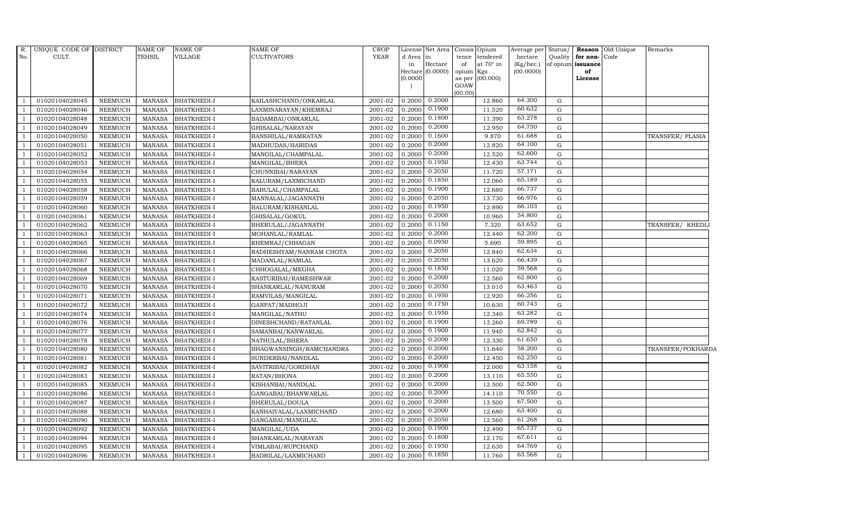| R.           | UNIQUE CODE OF DISTRICT |                | <b>NAME OF</b> | <b>NAME OF</b>     | <b>NAME OF</b>          | <b>CROP</b> |          | License Net Area            | Consis Opium    |                 | Average per            | Status/   |                         | Reason Old Unique | Remarks           |
|--------------|-------------------------|----------------|----------------|--------------------|-------------------------|-------------|----------|-----------------------------|-----------------|-----------------|------------------------|-----------|-------------------------|-------------------|-------------------|
| No.          | CULT.                   |                | <b>TEHSIL</b>  | <b>VILLAGE</b>     | <b>CULTIVATORS</b>      | <b>YEAR</b> | d Area   | in                          |                 | tence tendered  | hectare                | Quality   | for non-Code            |                   |                   |
|              |                         |                |                |                    |                         |             | in       | Hectare<br>Hectare (0.0000) | of<br>opium Kgs | at 70° in       | (Kg/hec.)<br>(00.0000) |           | of opium issuance<br>of |                   |                   |
|              |                         |                |                |                    |                         |             | (0.0000) |                             |                 | as per (00.000) |                        |           | License                 |                   |                   |
|              |                         |                |                |                    |                         |             |          |                             | GOAW            |                 |                        |           |                         |                   |                   |
|              |                         |                |                |                    |                         |             |          |                             | (00.00)         |                 |                        |           |                         |                   |                   |
|              | 01020104028045          | <b>NEEMUCH</b> | <b>MANASA</b>  | <b>BHATKHEDI-I</b> | KAILASHCHAND/ONKARLAL   | 2001-02     | 0.2000   | 0.2000                      |                 | 12.860          | 64.300                 | G         |                         |                   |                   |
|              | 01020104028046          | <b>NEEMUCH</b> | <b>MANASA</b>  | <b>BHATKHEDI-I</b> | LAXMINARAYAN/KHEMRAJ    | 2001-02     | 0.2000   | 0.1900                      |                 | 11.520          | 60.632                 | G         |                         |                   |                   |
|              | 01020104028048          | <b>NEEMUCH</b> | <b>MANASA</b>  | <b>BHATKHEDI-I</b> | BADAMBAI/ONKARLAL       | 2001-02     | 0.2000   | 0.1800                      |                 | 11.390          | 63.278                 | ${\rm G}$ |                         |                   |                   |
|              | 01020104028049          | <b>NEEMUCH</b> | <b>MANASA</b>  | <b>BHATKHEDI-I</b> | GHISALAL/NARAYAN        | 2001-02     | 0.2000   | 0.2000                      |                 | 12.950          | 64.750                 | ${\rm G}$ |                         |                   |                   |
|              | 01020104028050          | <b>NEEMUCH</b> | <b>MANASA</b>  | <b>BHATKHEDI-I</b> | BANSHILAL/RAMRATAN      | 2001-02     | 0.2000   | 0.1600                      |                 | 9.870           | 61.688                 | G         |                         |                   | TRANSFER/PLASIA   |
|              | 01020104028051          | <b>NEEMUCH</b> | <b>MANASA</b>  | <b>BHATKHEDI-I</b> | MADHUDAS/HARIDAS        | 2001-02     | 0.2000   | 0.2000                      |                 | 12.820          | 64.100                 | G         |                         |                   |                   |
|              | 01020104028052          | <b>NEEMUCH</b> | <b>MANASA</b>  | <b>BHATKHEDI-I</b> | MANGILAL/CHAMPALAL      | 2001-02     | 0.2000   | 0.2000                      |                 | 12.520          | 62.600                 | G         |                         |                   |                   |
|              | 01020104028053          | <b>NEEMUCH</b> | <b>MANASA</b>  | <b>BHATKHEDI-I</b> | MANGILAL/BHERA          | 2001-02     | 0.2000   | 0.1950                      |                 | 12.430          | 63.744                 | G         |                         |                   |                   |
|              | 01020104028054          | <b>NEEMUCH</b> | <b>MANASA</b>  | BHATKHEDI-I        | CHUNNIBAI/NARAYAN       | 2001-02     | 0.2000   | 0.2050                      |                 | 11.720          | 57.171                 | ${\rm G}$ |                         |                   |                   |
|              | 01020104028055          | <b>NEEMUCH</b> | <b>MANASA</b>  | BHATKHEDI-I        | KALURAM/LAXMICHAND      | 2001-02     | 0.2000   | 0.1850                      |                 | 12.060          | 65.189                 | G         |                         |                   |                   |
|              | 01020104028058          | <b>NEEMUCH</b> | <b>MANASA</b>  | <b>BHATKHEDI-I</b> | BABULAL/CHAMPALAL       | 2001-02     | 0.2000   | 0.1900                      |                 | 12.680          | 66.737                 | G         |                         |                   |                   |
|              | 01020104028059          | <b>NEEMUCH</b> | <b>MANASA</b>  | <b>BHATKHEDI-I</b> | MANNALAL/JAGANNATH      | 2001-02     | 0.2000   | 0.2050                      |                 | 13.730          | 66.976                 | G         |                         |                   |                   |
|              | 01020104028060          | <b>NEEMUCH</b> | <b>MANASA</b>  | <b>BHATKHEDI-I</b> | BALURAM/KISHANLAL       | 2001-02     | 0.2000   | 0.1950                      |                 | 12.890          | 66.103                 | G         |                         |                   |                   |
|              | 01020104028061          | <b>NEEMUCH</b> | <b>MANASA</b>  | <b>BHATKHEDI-I</b> | GHISALAL/GOKUL          | 2001-02     | 0.2000   | 0.2000                      |                 | 10.960          | 54.800                 | ${\rm G}$ |                         |                   |                   |
|              | 01020104028062          | <b>NEEMUCH</b> | <b>MANASA</b>  | <b>BHATKHEDI-I</b> | BHERULAL/JAGANNATH      | 2001-02     | 0.2000   | 0.1150                      |                 | 7.320           | 63.652                 | G         |                         |                   | TRANSFER/ KHEDLI  |
|              | 01020104028063          | <b>NEEMUCH</b> | <b>MANASA</b>  | <b>BHATKHEDI-I</b> | MOHANLAL/RAMLAL         | 2001-02     | 0.2000   | 0.2000                      |                 | 12.440          | 62.200                 | G         |                         |                   |                   |
|              | 01020104028065          | <b>NEEMUCH</b> | <b>MANASA</b>  | <b>BHATKHEDI-I</b> | KHEMRAJ/CHHAGAN         | 2001-02     | 0.2000   | 0.0950                      |                 | 5.690           | 59.895                 | ${\rm G}$ |                         |                   |                   |
|              | 01020104028066          | <b>NEEMUCH</b> | <b>MANASA</b>  | <b>BHATKHEDI-I</b> | RADHESHYAM/NANRAM CHOTA | 2001-02     | 0.2000   | 0.2050                      |                 | 12.840          | 62.634                 | ${\rm G}$ |                         |                   |                   |
|              | 01020104028067          | <b>NEEMUCH</b> | <b>MANASA</b>  | <b>BHATKHEDI-I</b> | MADANLAL/RAMLAL         | 2001-02     | 0.2000   | 0.2050                      |                 | 13.620          | 66.439                 | ${\rm G}$ |                         |                   |                   |
|              | 01020104028068          | <b>NEEMUCH</b> | <b>MANASA</b>  | <b>BHATKHEDI-I</b> | CHHOGALAL/MEGHA         | 2001-02     | 0.2000   | 0.1850                      |                 | 11.020          | 59.568                 | G         |                         |                   |                   |
|              | 01020104028069          | <b>NEEMUCH</b> | <b>MANASA</b>  | <b>BHATKHEDI-I</b> | KASTURIBAI/RAMESHWAR    | 2001-02     | 0.2000   | 0.2000                      |                 | 12.560          | 62.800                 | G         |                         |                   |                   |
|              | 01020104028070          | <b>NEEMUCH</b> | <b>MANASA</b>  | <b>BHATKHEDI-I</b> | SHANKARLAL/NANURAM      | 2001-02     | 0.2000   | 0.2050                      |                 | 13.010          | 63.463                 | ${\rm G}$ |                         |                   |                   |
|              | 01020104028071          | <b>NEEMUCH</b> | <b>MANASA</b>  | BHATKHEDI-I        | RAMVILAS/MANGILAL       | 2001-02     | 0.2000   | 0.1950                      |                 | 12.920          | 66.256                 | ${\rm G}$ |                         |                   |                   |
|              | 01020104028072          | <b>NEEMUCH</b> | <b>MANASA</b>  | <b>BHATKHEDI-I</b> | GANPAT/MADHOJI          | 2001-02     | 0.2000   | 0.1750                      |                 | 10.630          | 60.743                 | ${\rm G}$ |                         |                   |                   |
|              | 01020104028074          | <b>NEEMUCH</b> | <b>MANASA</b>  | <b>BHATKHEDI-I</b> | MANGILAL/NATHU          | 2001-02     | 0.2000   | 0.1950                      |                 | 12.340          | 63.282                 | G         |                         |                   |                   |
|              | 01020104028076          | <b>NEEMUCH</b> | <b>MANASA</b>  | <b>BHATKHEDI-I</b> | DINESHCHAND/RATANLAL    | 2001-02     | 0.2000   | 0.1900                      |                 | 13.260          | 69.789                 | G         |                         |                   |                   |
|              | 01020104028077          | <b>NEEMUCH</b> | <b>MANASA</b>  | <b>BHATKHEDI-I</b> | SAMANBAI/KANWARLAL      | 2001-02     | 0.2000   | 0.1900                      |                 | 11.940          | 62.842                 | G         |                         |                   |                   |
|              | 01020104028078          | <b>NEEMUCH</b> | <b>MANASA</b>  | BHATKHEDI-I        | NATHULAL/BHERA          | 2001-02     | 0.2000   | 0.2000                      |                 | 12.330          | 61.650                 | ${\rm G}$ |                         |                   |                   |
|              | 01020104028080          | <b>NEEMUCH</b> | <b>MANASA</b>  | <b>BHATKHEDI-I</b> | BHAGWANSINGH/RAMCHANDRA | 2001-02     | 0.2000   | 0.2000                      |                 | 11.640          | 58.200                 | ${\rm G}$ |                         |                   | TRANSFER/POKHARDA |
|              | 01020104028081          | <b>NEEMUCH</b> | <b>MANASA</b>  | BHATKHEDI-I        | SUNDERBAI/NANDLAL       | 2001-02     | 0.2000   | 0.2000                      |                 | 12.450          | 62.250                 | G         |                         |                   |                   |
|              | 01020104028082          | <b>NEEMUCH</b> | <b>MANASA</b>  | <b>BHATKHEDI-I</b> | SAVITRIBAI/GORDHAN      | 2001-02     | 0.2000   | 0.1900                      |                 | 12.000          | 63.158                 | ${\rm G}$ |                         |                   |                   |
|              | 01020104028083          | <b>NEEMUCH</b> | <b>MANASA</b>  | <b>BHATKHEDI-I</b> | RATAN/BHONA             | 2001-02     | 0.2000   | 0.2000                      |                 | 13.110          | 65.550                 | G         |                         |                   |                   |
|              | 01020104028085          | <b>NEEMUCH</b> | <b>MANASA</b>  | <b>BHATKHEDI-I</b> | KISHANBAI/NANDLAL       | 2001-02     | 0.2000   | 0.2000                      |                 | 12.500          | 62.500                 | G         |                         |                   |                   |
|              | 01020104028086          | <b>NEEMUCH</b> | <b>MANASA</b>  | <b>BHATKHEDI-I</b> | GANGABAI/BHANWARLAL     | 2001-02     | 0.2000   | 0.2000                      |                 | 14.110          | 70.550                 | ${\rm G}$ |                         |                   |                   |
|              | 01020104028087          | <b>NEEMUCH</b> | <b>MANASA</b>  | BHATKHEDI-I        | BHERULAL/DOULA          | 2001-02     | 0.2000   | 0.2000                      |                 | 13.500          | 67.500                 | G         |                         |                   |                   |
|              | 01020104028088          | <b>NEEMUCH</b> | <b>MANASA</b>  | <b>BHATKHEDI-I</b> | KANHAIYALAL/LAXMICHAND  | 2001-02     | 0.2000   | 0.2000                      |                 | 12.680          | 63.400                 | ${\rm G}$ |                         |                   |                   |
|              | 01020104028090          | <b>NEEMUCH</b> | <b>MANASA</b>  | <b>BHATKHEDI-I</b> | GANGABAI/MANGILAL       | 2001-02     | 0.2000   | 0.2050                      |                 | 12.560          | 61.268                 | G         |                         |                   |                   |
|              | 01020104028092          | <b>NEEMUCH</b> | <b>MANASA</b>  | BHATKHEDI-I        | MANGILAL/UDA            | 2001-02     | 0.2000   | 0.1900                      |                 | 12.490          | 65.737                 | ${\rm G}$ |                         |                   |                   |
| $\mathbf{1}$ | 01020104028094          | <b>NEEMUCH</b> | <b>MANASA</b>  | <b>BHATKHEDI-I</b> | SHANKARLAL/NARAYAN      | 2001-02     | 0.2000   | 0.1800                      |                 | 12.170          | 67.611                 | ${\rm G}$ |                         |                   |                   |
|              | 01020104028095          | <b>NEEMUCH</b> | <b>MANASA</b>  | BHATKHEDI-I        | VIMLABAI/RUPCHAND       | 2001-02     | 0.2000   | 0.1950                      |                 | 12.630          | 64.769                 | G         |                         |                   |                   |
| $\mathbf{1}$ | 01020104028096          | <b>NEEMUCH</b> | <b>MANASA</b>  | <b>BHATKHEDI-I</b> | BADRILAL/LAXMICHAND     | 2001-02     | 0.2000   | 0.1850                      |                 | 11.760          | 63.568                 | ${\rm G}$ |                         |                   |                   |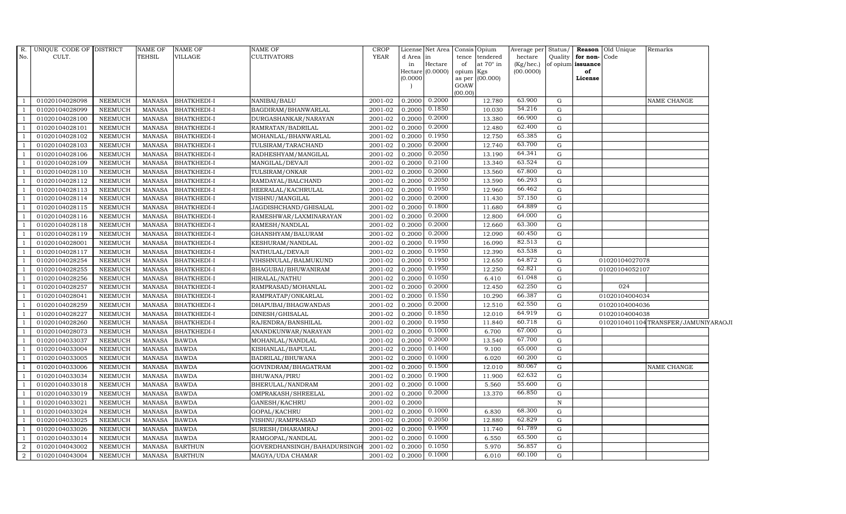| R.             | UNIQUE CODE OF DISTRICT |                | <b>NAME OF</b> | <b>NAME OF</b>     | <b>NAME OF</b>              | <b>CROP</b> |          | License Net Area   Consis   Opium |           |                  | Average per | Status/   |                   | <b>Reason</b> Old Unique | Remarks                             |  |
|----------------|-------------------------|----------------|----------------|--------------------|-----------------------------|-------------|----------|-----------------------------------|-----------|------------------|-------------|-----------|-------------------|--------------------------|-------------------------------------|--|
| No.            | CULT.                   |                | TEHSIL         | VILLAGE            | <b>CULTIVATORS</b>          | YEAR        | d Area   | in                                |           | tence tendered   | hectare     | Quality   | for non-          | Code                     |                                     |  |
|                |                         |                |                |                    |                             |             | in       | Hectare                           | of        | at $70^\circ$ in | (Kg/hec.)   |           | of opium issuance |                          |                                     |  |
|                |                         |                |                |                    |                             |             | (0.0000) | Hectare (0.0000)                  | opium Kgs | as per (00.000)  | (00.0000)   |           | of<br>License     |                          |                                     |  |
|                |                         |                |                |                    |                             |             |          |                                   | GOAW      |                  |             |           |                   |                          |                                     |  |
|                |                         |                |                |                    |                             |             |          |                                   | (00.00)   |                  |             |           |                   |                          |                                     |  |
| $\overline{1}$ | 01020104028098          | <b>NEEMUCH</b> | MANASA         | <b>BHATKHEDI-I</b> | NANIBAI/BALU                | 2001-02     | 0.2000   | 0.2000                            |           | 12.780           | 63.900      | G         |                   |                          | <b>NAME CHANGE</b>                  |  |
| $\overline{1}$ | 01020104028099          | <b>NEEMUCH</b> | MANASA         | <b>BHATKHEDI-I</b> | BAGDIRAM/BHANWARLAL         | 2001-02     | 0.2000   | 0.1850                            |           | 10.030           | 54.216      | G         |                   |                          |                                     |  |
| $\overline{1}$ | 01020104028100          | <b>NEEMUCH</b> | <b>MANASA</b>  | <b>BHATKHEDI-I</b> | DURGASHANKAR/NARAYAN        | 2001-02     | 0.2000   | 0.2000                            |           | 13.380           | 66.900      | G         |                   |                          |                                     |  |
|                | 01020104028101          | <b>NEEMUCH</b> | <b>MANASA</b>  | <b>BHATKHEDI-I</b> | RAMRATAN/BADRILAL           | 2001-02     | 0.2000   | 0.2000                            |           | 12.480           | 62.400      | G         |                   |                          |                                     |  |
| $\mathbf{1}$   | 01020104028102          | <b>NEEMUCH</b> | <b>MANASA</b>  | <b>BHATKHEDI-I</b> | MOHANLAL/BHANWARLAL         | 2001-02     | 0.2000   | 0.1950                            |           | 12.750           | 65.385      | G         |                   |                          |                                     |  |
| $\overline{1}$ | 01020104028103          | NEEMUCH        | <b>MANASA</b>  | BHATKHEDI-I        | TULSIRAM/TARACHAND          | 2001-02     | 0.2000   | 0.2000                            |           | 12.740           | 63.700      | G         |                   |                          |                                     |  |
| $\overline{1}$ | 01020104028106          | <b>NEEMUCH</b> | MANASA         | <b>BHATKHEDI-I</b> | RADHESHYAM/MANGILAL         | 2001-02     | 0.2000   | 0.2050                            |           | 13.190           | 64.341      | G         |                   |                          |                                     |  |
| $\overline{1}$ | 01020104028109          | <b>NEEMUCH</b> | <b>MANASA</b>  | <b>BHATKHEDI-I</b> | MANGILAL/DEVAJI             | 2001-02     | 0.2000   | 0.2100                            |           | 13.340           | 63.524      | G         |                   |                          |                                     |  |
|                | 01020104028110          | <b>NEEMUCH</b> | <b>MANASA</b>  | <b>BHATKHEDI-I</b> | TULSIRAM/ONKAR              | 2001-02     | 0.2000   | 0.2000                            |           | 13.560           | 67.800      | G         |                   |                          |                                     |  |
| $\overline{1}$ | 01020104028112          | <b>NEEMUCH</b> | <b>MANASA</b>  | <b>BHATKHEDI-I</b> | RAMDAYAL/BALCHAND           | 2001-02     | 0.2000   | 0.2050                            |           | 13.590           | 66.293      | G         |                   |                          |                                     |  |
| $\overline{1}$ | 01020104028113          | <b>NEEMUCH</b> | <b>MANASA</b>  | BHATKHEDI-I        | HEERALAL/KACHRULAL          | 2001-02     | 0.2000   | 0.1950                            |           | 12.960           | 66.462      | G         |                   |                          |                                     |  |
| $\overline{1}$ | 01020104028114          | NEEMUCH        | MANASA         | <b>BHATKHEDI-I</b> | VISHNU/MANGILAL             | 2001-02     | 0.2000   | 0.2000                            |           | 11.430           | 57.150      | G         |                   |                          |                                     |  |
| $\overline{1}$ | 01020104028115          | <b>NEEMUCH</b> | <b>MANASA</b>  | <b>BHATKHEDI-I</b> | JAGDISHCHAND/GHISALAL       | 2001-02     | 0.2000   | 0.1800                            |           | 11.680           | 64.889      | G         |                   |                          |                                     |  |
| $\overline{1}$ | 01020104028116          | <b>NEEMUCH</b> | <b>MANASA</b>  | <b>BHATKHEDI-I</b> | RAMESHWAR/LAXMINARAYAN      | 2001-02     | 0.2000   | 0.2000                            |           | 12.800           | 64.000      | G         |                   |                          |                                     |  |
|                | 01020104028118          | <b>NEEMUCH</b> | <b>MANASA</b>  | BHATKHEDI-I        | RAMESH/NANDLAL              | 2001-02     | 0.2000   | 0.2000                            |           | 12.660           | 63.300      | ${\rm G}$ |                   |                          |                                     |  |
| $\mathbf{1}$   | 01020104028119          | <b>NEEMUCH</b> | <b>MANASA</b>  | <b>BHATKHEDI-I</b> | GHANSHYAM/BALURAM           | 2001-02     | 0.2000   | 0.2000                            |           | 12.090           | 60.450      | G         |                   |                          |                                     |  |
| $\mathbf{1}$   | 01020104028001          | <b>NEEMUCH</b> | MANASA         | <b>BHATKHEDI-I</b> | KESHURAM/NANDLAL            | 2001-02     | 0.2000   | 0.1950                            |           | 16.090           | 82.513      | G         |                   |                          |                                     |  |
| $\overline{1}$ | 01020104028117          | <b>NEEMUCH</b> | MANASA         | <b>BHATKHEDI-I</b> | NATHULAL/DEVAJI             | 2001-02     | 0.2000   | 0.1950                            |           | 12.390           | 63.538      | G         |                   |                          |                                     |  |
| $\mathbf{1}$   | 01020104028254          | <b>NEEMUCH</b> | <b>MANASA</b>  | <b>BHATKHEDI-I</b> | VIHSHNULAL/BALMUKUND        | 2001-02     | 0.2000   | 0.1950                            |           | 12.650           | 64.872      | ${\rm G}$ |                   | 01020104027078           |                                     |  |
|                | 01020104028255          | <b>NEEMUCH</b> | <b>MANASA</b>  | BHATKHEDI-I        | BHAGUBAI/BHUWANIRAM         | 2001-02     | 0.2000   | 0.1950                            |           | 12.250           | 62.821      | ${\rm G}$ |                   | 01020104052107           |                                     |  |
| $\overline{1}$ | 01020104028256          | <b>NEEMUCH</b> | <b>MANASA</b>  | <b>BHATKHEDI-I</b> | HIRALAL/NATHU               | 2001-02     | 0.2000   | 0.1050                            |           | 6.410            | 61.048      | G         |                   |                          |                                     |  |
| -1             | 01020104028257          | <b>NEEMUCH</b> | <b>MANASA</b>  | <b>BHATKHEDI-I</b> | RAMPRASAD/MOHANLAL          | 2001-02     | 0.2000   | 0.2000                            |           | 12.450           | 62.250      | G         |                   | 024                      |                                     |  |
| $\overline{1}$ | 01020104028041          | <b>NEEMUCH</b> | <b>MANASA</b>  | <b>BHATKHEDI-I</b> | RAMPRATAP/ONKARLAL          | 2001-02     | 0.2000   | 0.1550                            |           | 10.290           | 66.387      | G         |                   | 01020104004034           |                                     |  |
| $\overline{1}$ | 01020104028259          | <b>NEEMUCH</b> | <b>MANASA</b>  | <b>BHATKHEDI-I</b> | DHAPUBAI/BHAGWANDAS         | 2001-02     | 0.2000   | 0.2000                            |           | 12.510           | 62.550      | G         |                   | 01020104004036           |                                     |  |
|                | 01020104028227          | <b>NEEMUCH</b> | <b>MANASA</b>  | BHATKHEDI-I        | DINESH/GHISALAL             | 2001-02     | 0.2000   | 0.1850                            |           | 12.010           | 64.919      | ${\rm G}$ |                   | 01020104004038           |                                     |  |
| $\mathbf{1}$   | 01020104028260          | <b>NEEMUCH</b> | <b>MANASA</b>  | <b>BHATKHEDI-I</b> | RAJENDRA/BANSHILAL          | 2001-02     | 0.2000   | 0.1950                            |           | 11.840           | 60.718      | G         |                   |                          | 0102010401104TRANSFER/JAMUNIYARAOJI |  |
| -1             | 01020104028073          | <b>NEEMUCH</b> | <b>MANASA</b>  | <b>BHATKHEDI-I</b> | ANANDKUNWAR/NARAYAN         | 2001-02     | 0.2000   | 0.1000                            |           | 6.700            | 67.000      | G         |                   |                          |                                     |  |
| $\overline{1}$ | 01020104033037          | <b>NEEMUCH</b> | <b>MANASA</b>  | <b>BAWDA</b>       | MOHANLAL/NANDLAL            | 2001-02     | 0.2000   | 0.2000                            |           | 13.540           | 67.700      | G         |                   |                          |                                     |  |
| $\overline{1}$ | 01020104033004          | <b>NEEMUCH</b> | <b>MANASA</b>  | <b>BAWDA</b>       | KISHANLAL/BAPULAL           | 2001-02     | 0.2000   | 0.1400                            |           | 9.100            | 65.000      | G         |                   |                          |                                     |  |
|                | 01020104033005          | <b>NEEMUCH</b> | <b>MANASA</b>  | <b>BAWDA</b>       | BADRILAL/BHUWANA            | 2001-02     | 0.2000   | 0.1000                            |           | 6.020            | 60.200      | G         |                   |                          |                                     |  |
|                | 01020104033006          | <b>NEEMUCH</b> | MANASA         | <b>BAWDA</b>       | GOVINDRAM/BHAGATRAM         | 2001-02     | 0.2000   | 0.1500                            |           | 12.010           | 80.067      | ${\rm G}$ |                   |                          | NAME CHANGE                         |  |
| $\mathbf{1}$   | 01020104033034          | <b>NEEMUCH</b> | <b>MANASA</b>  | <b>BAWDA</b>       | BHUWANA/PIRU                | 2001-02     | 0.2000   | 0.1900                            |           | 11.900           | 62.632      | G         |                   |                          |                                     |  |
| $\overline{1}$ | 01020104033018          | <b>NEEMUCH</b> | <b>MANASA</b>  | <b>BAWDA</b>       | BHERULAL/NANDRAM            | 2001-02     | 0.2000   | 0.1000                            |           | 5.560            | 55.600      | G         |                   |                          |                                     |  |
| $\overline{1}$ | 01020104033019          | <b>NEEMUCH</b> | <b>MANASA</b>  | <b>BAWDA</b>       | OMPRAKASH/SHREELAL          | 2001-02     | 0.2000   | 0.2000                            |           | 13.370           | 66.850      | G         |                   |                          |                                     |  |
| $\overline{1}$ | 01020104033021          | <b>NEEMUCH</b> | <b>MANASA</b>  | <b>BAWDA</b>       | GANESH/KACHRU               | 2001-02     | 0.2000   |                                   |           |                  |             | N         |                   |                          |                                     |  |
|                | 01020104033024          | <b>NEEMUCH</b> | <b>MANASA</b>  | <b>BAWDA</b>       | GOPAL/KACHRU                | 2001-02     | 0.2000   | 0.1000                            |           | 6.830            | 68.300      | G         |                   |                          |                                     |  |
| -1             | 01020104033025          | <b>NEEMUCH</b> | <b>MANASA</b>  | <b>BAWDA</b>       | VISHNU/RAMPRASAD            | 2001-02     | 0.2000   | 0.2050                            |           | 12.880           | 62.829      | G         |                   |                          |                                     |  |
| $\overline{1}$ | 01020104033026          | NEEMUCH        | <b>MANASA</b>  | <b>BAWDA</b>       | SURESH/DHARAMRAJ            | 2001-02     | 0.2000   | 0.1900                            |           | 11.740           | 61.789      | G         |                   |                          |                                     |  |
| $\overline{1}$ | 01020104033014          | <b>NEEMUCH</b> | <b>MANASA</b>  | <b>BAWDA</b>       | RAMGOPAL/NANDLAL            | 2001-02     | 0.2000   | 0.1000                            |           | 6.550            | 65.500      | G         |                   |                          |                                     |  |
| $\overline{2}$ | 01020104043002          | <b>NEEMUCH</b> | <b>MANASA</b>  | <b>BARTHUN</b>     | GOVERDHANSINGH/BAHADURSINGH | 2001-02     | 0.2000   | 0.1050                            |           | 5.970            | 56.857      | G         |                   |                          |                                     |  |
| $\overline{2}$ | 01020104043004          | <b>NEEMUCH</b> | MANASA         | <b>BARTHUN</b>     | MAGYA/UDA CHAMAR            | 2001-02     | 0.2000   | 0.1000                            |           | 6.010            | 60.100      | G         |                   |                          |                                     |  |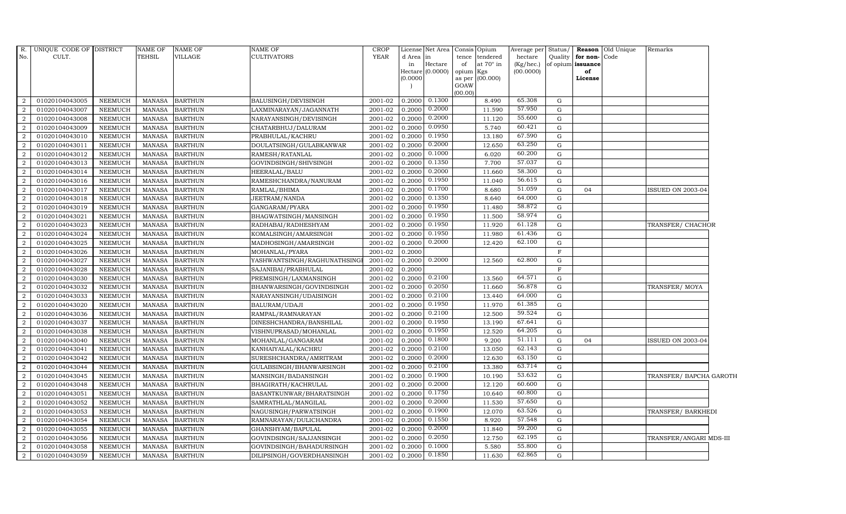| R.             | UNIQUE CODE OF DISTRICT |                | NAME OF       | <b>NAME OF</b> | NAME OF                      | CROP        |                     | License Net Area | Consis Opium |                        | Average per | Status/      |                   | <b>Reason</b> Old Unique | Remarks                 |  |
|----------------|-------------------------|----------------|---------------|----------------|------------------------------|-------------|---------------------|------------------|--------------|------------------------|-------------|--------------|-------------------|--------------------------|-------------------------|--|
| No.            | CULT.                   |                | <b>TEHSIL</b> | VILLAGE        | CULTIVATORS                  | <b>YEAR</b> | d Area              | in               | tence        | tendered               | hectare     | Quality      | for non-Code      |                          |                         |  |
|                |                         |                |               |                |                              |             | in                  | Hectare          | of           | at 70° in              | (Kg/hec.)   |              | of opium issuance |                          |                         |  |
|                |                         |                |               |                |                              |             | Hectare<br>(0.0000) | (0.0000)         | opium        | Kgs<br>as per (00.000) | (00.0000)   |              | of<br>License     |                          |                         |  |
|                |                         |                |               |                |                              |             |                     |                  | GOAW         |                        |             |              |                   |                          |                         |  |
|                |                         |                |               |                |                              |             |                     |                  | (00.00)      |                        |             |              |                   |                          |                         |  |
| 2              | 01020104043005          | <b>NEEMUCH</b> | MANASA        | <b>BARTHUN</b> | BALUSINGH/DEVISINGH          | 2001-02     | 0.2000              | 0.1300           |              | 8.490                  | 65.308      | G            |                   |                          |                         |  |
| 2              | 01020104043007          | <b>NEEMUCH</b> | MANASA        | <b>BARTHUN</b> | LAXMINARAYAN/JAGANNATH       | 2001-02     | 0.2000              | 0.2000           |              | 11.590                 | 57.950      | G            |                   |                          |                         |  |
| $\overline{2}$ | 01020104043008          | <b>NEEMUCH</b> | <b>MANASA</b> | <b>BARTHUN</b> | NARAYANSINGH/DEVISINGH       | 2001-02     | 0.2000              | 0.2000           |              | 11.120                 | 55.600      | G            |                   |                          |                         |  |
| $\overline{2}$ | 01020104043009          | <b>NEEMUCH</b> | <b>MANASA</b> | <b>BARTHUN</b> | CHATARBHUJ/DALURAM           | 2001-02     | 0.2000              | 0.0950           |              | 5.740                  | 60.421      | G            |                   |                          |                         |  |
| $\overline{2}$ | 01020104043010          | <b>NEEMUCH</b> | <b>MANASA</b> | <b>BARTHUN</b> | PRABHULAL/KACHRU             | 2001-02     | 0.2000              | 0.1950           |              | 13.180                 | 67.590      | ${\bf G}$    |                   |                          |                         |  |
| 2              | 01020104043011          | <b>NEEMUCH</b> | <b>MANASA</b> | <b>BARTHUN</b> | DOULATSINGH/GULABKANWAR      | 2001-02     | 0.2000              | 0.2000           |              | 12.650                 | 63.250      | G            |                   |                          |                         |  |
| 2              | 01020104043012          | NEEMUCH        | MANASA        | <b>BARTHUN</b> | RAMESH/RATANLAL              | 2001-02     | 0.2000              | 0.1000           |              | 6.020                  | 60.200      | G            |                   |                          |                         |  |
| 2              | 01020104043013          | <b>NEEMUCH</b> | <b>MANASA</b> | <b>BARTHUN</b> | GOVINDSINGH/SHIVSINGH        | 2001-02     | 0.2000              | 0.1350           |              | 7.700                  | 57.037      | G            |                   |                          |                         |  |
| $\overline{2}$ | 01020104043014          | <b>NEEMUCH</b> | <b>MANASA</b> | <b>BARTHUN</b> | HEERALAL/BALU                | 2001-02     | 0.2000              | 0.2000           |              | 11.660                 | 58.300      | G            |                   |                          |                         |  |
| $\overline{2}$ | 01020104043016          | <b>NEEMUCH</b> | <b>MANASA</b> | <b>BARTHUN</b> | RAMESHCHANDRA/NANURAM        | 2001-02     | 0.2000              | 0.1950           |              | 11.040                 | 56.615      | G            |                   |                          |                         |  |
| 2              | 01020104043017          | <b>NEEMUCH</b> | <b>MANASA</b> | <b>BARTHUN</b> | RAMLAL/BHIMA                 | 2001-02     | 0.2000              | 0.1700           |              | 8.680                  | 51.059      | G            | 04                |                          | ISSUED ON 2003-04       |  |
| 2              | 01020104043018          | <b>NEEMUCH</b> | <b>MANASA</b> | <b>BARTHUN</b> | JEETRAM/NANDA                | 2001-02     | 0.2000              | 0.1350           |              | 8.640                  | 64.000      | G            |                   |                          |                         |  |
| 2              | 01020104043019          | <b>NEEMUCH</b> | MANASA        | <b>BARTHUN</b> | GANGARAM/PYARA               | 2001-02     | 0.2000              | 0.1950           |              | 11.480                 | 58.872      | G            |                   |                          |                         |  |
| $\overline{2}$ | 01020104043021          | <b>NEEMUCH</b> | <b>MANASA</b> | <b>BARTHUN</b> | BHAGWATSINGH/MANSINGH        | 2001-02     | 0.2000              | 0.1950           |              | 11.500                 | 58.974      | G            |                   |                          |                         |  |
| $\overline{2}$ | 01020104043023          | <b>NEEMUCH</b> | <b>MANASA</b> | <b>BARTHUN</b> | RADHABAI/RADHESHYAM          | 2001-02     | 0.2000              | 0.1950           |              | 11.920                 | 61.128      | G            |                   |                          | TRANSFER/ CHACHOR       |  |
| 2              | 01020104043024          | <b>NEEMUCH</b> | <b>MANASA</b> | <b>BARTHUN</b> | KOMALSINGH/AMARSINGH         | 2001-02     | 0.2000              | 0.1950           |              | 11.980                 | 61.436      | G            |                   |                          |                         |  |
| 2              | 01020104043025          | <b>NEEMUCH</b> | <b>MANASA</b> | <b>BARTHUN</b> | MADHOSINGH/AMARSINGH         | 2001-02     | 0.2000              | 0.2000           |              | 12.420                 | 62.100      | G            |                   |                          |                         |  |
| 2              | 01020104043026          | <b>NEEMUCH</b> | <b>MANASA</b> | <b>BARTHUN</b> | MOHANLAL/PYARA               | 2001-02     | 0.2000              |                  |              |                        |             | $\mathbf{F}$ |                   |                          |                         |  |
| 2              | 01020104043027          | <b>NEEMUCH</b> | <b>MANASA</b> | <b>BARTHUN</b> | YASHWANTSINGH/RAGHUNATHSINGI | 2001-02     | 0.2000              | 0.2000           |              | 12.560                 | 62.800      | G            |                   |                          |                         |  |
| $\overline{2}$ | 01020104043028          | <b>NEEMUCH</b> | <b>MANASA</b> | <b>BARTHUN</b> | SAJANIBAI/PRABHULAL          | 2001-02     | 0.2000              |                  |              |                        |             | $\, {\rm F}$ |                   |                          |                         |  |
| $\overline{2}$ | 01020104043030          | <b>NEEMUCH</b> | <b>MANASA</b> | <b>BARTHUN</b> | PREMSINGH/LAXMANSINGH        | 2001-02     | 0.2000              | 0.2100           |              | 13.560                 | 64.571      | G            |                   |                          |                         |  |
| 2              | 01020104043032          | <b>NEEMUCH</b> | <b>MANASA</b> | <b>BARTHUN</b> | BHANWARSINGH/GOVINDSINGH     | 2001-02     | 0.2000              | 0.2050           |              | 11.660                 | 56.878      | ${\rm G}$    |                   |                          | TRANSFER/MOYA           |  |
| 2              | 01020104043033          | <b>NEEMUCH</b> | MANASA        | <b>BARTHUN</b> | NARAYANSINGH/UDAISINGH       | 2001-02     | 0.2000              | 0.2100           |              | 13.440                 | 64.000      | G            |                   |                          |                         |  |
| 2              | 01020104043020          | <b>NEEMUCH</b> | <b>MANASA</b> | <b>BARTHUN</b> | BALURAM/UDAJI                | 2001-02     | 0.2000              | 0.1950           |              | 11.970                 | 61.385      | G            |                   |                          |                         |  |
| 2              | 01020104043036          | <b>NEEMUCH</b> | <b>MANASA</b> | <b>BARTHUN</b> | RAMPAL/RAMNARAYAN            | 2001-02     | 0.2000              | 0.2100           |              | 12.500                 | 59.524      | G            |                   |                          |                         |  |
| $\overline{2}$ | 01020104043037          | <b>NEEMUCH</b> | <b>MANASA</b> | <b>BARTHUN</b> | DINESHCHANDRA/BANSHILAL      | 2001-02     | 0.2000              | 0.1950           |              | 13.190                 | 67.641      | G            |                   |                          |                         |  |
| 2              | 01020104043038          | <b>NEEMUCH</b> | <b>MANASA</b> | <b>BARTHUN</b> | VISHNUPRASAD/MOHANLAL        | 2001-02     | 0.2000              | 0.1950           |              | 12.520                 | 64.205      | ${\bf G}$    |                   |                          |                         |  |
| 2              | 01020104043040          | <b>NEEMUCH</b> | <b>MANASA</b> | <b>BARTHUN</b> | MOHANLAL/GANGARAM            | 2001-02     | 0.2000              | 0.1800           |              | 9.200                  | 51.111      | G            | 04                |                          | ISSUED ON 2003-04       |  |
| 2              | 01020104043041          | <b>NEEMUCH</b> | <b>MANASA</b> | <b>BARTHUN</b> | KANHAIYALAL/KACHRU           | 2001-02     | 0.2000              | 0.2100           |              | 13.050                 | 62.143      | G            |                   |                          |                         |  |
| 2              | 01020104043042          | <b>NEEMUCH</b> | <b>MANASA</b> | <b>BARTHUN</b> | SURESHCHANDRA/AMRITRAM       | 2001-02     | 0.2000              | 0.2000           |              | 12.630                 | 63.150      | G            |                   |                          |                         |  |
| $\overline{2}$ | 01020104043044          | <b>NEEMUCH</b> | <b>MANASA</b> | <b>BARTHUN</b> | GULABSINGH/BHANWARSINGH      | 2001-02     | 0.2000              | 0.2100           |              | 13.380                 | 63.714      | G            |                   |                          |                         |  |
| 2              | 01020104043045          | <b>NEEMUCH</b> | <b>MANASA</b> | <b>BARTHUN</b> | MANSINGH/BADANSINGH          | 2001-02     | 0.2000              | 0.1900           |              | 10.190                 | 53.632      | G            |                   |                          | TRANSFER/ BAPCHA GAROTH |  |
| 2              | 01020104043048          | <b>NEEMUCH</b> | <b>MANASA</b> | <b>BARTHUN</b> | BHAGIRATH / KACHRULAL        | 2001-02     | 0.2000              | 0.2000           |              | 12.120                 | 60.600      | G            |                   |                          |                         |  |
| 2              | 01020104043051          | <b>NEEMUCH</b> | <b>MANASA</b> | <b>BARTHUN</b> | BASANTKUNWAR/BHARATSINGH     | 2001-02     | 0.2000              | 0.1750           |              | 10.640                 | 60.800      | G            |                   |                          |                         |  |
| 2              | 01020104043052          | <b>NEEMUCH</b> | <b>MANASA</b> | <b>BARTHUN</b> | SAMRATHLAL/MANGILAL          | 2001-02     | 0.2000              | 0.2000           |              | 11.530                 | 57.650      | G            |                   |                          |                         |  |
| 2              | 01020104043053          | <b>NEEMUCH</b> | <b>MANASA</b> | <b>BARTHUN</b> | NAGUSINGH/PARWATSINGH        | 2001-02     | 0.2000              | 0.1900           |              | 12.070                 | 63.526      | $\mathbf G$  |                   |                          | TRANSFER/BARKHEDI       |  |
| $\mathcal{D}$  | 01020104043054          | <b>NEEMUCH</b> | <b>MANASA</b> | <b>BARTHUN</b> | RAMNARAYAN/DULICHANDRA       | 2001-02     | 0.2000              | 0.1550           |              | 8.920                  | 57.548      | ${\bf G}$    |                   |                          |                         |  |
| 2              | 01020104043055          | <b>NEEMUCH</b> | <b>MANASA</b> | <b>BARTHUN</b> | GHANSHYAM/BAPULAL            | 2001-02     | 0.2000              | 0.2000           |              | 11.840                 | 59.200      | G            |                   |                          |                         |  |
| 2              | 01020104043056          | <b>NEEMUCH</b> | <b>MANASA</b> | <b>BARTHUN</b> | GOVINDSINGH/SAJJANSINGH      | 2001-02     | 0.2000              | 0.2050           |              | 12.750                 | 62.195      | G            |                   |                          | TRANSFER/ANGARI MDS-III |  |
| 2              | 01020104043058          | <b>NEEMUCH</b> | MANASA        | <b>BARTHUN</b> | GOVINDSINGH/BAHADURSINGH     | 2001-02     | 0.2000              | 0.1000           |              | 5.580                  | 55.800      | G            |                   |                          |                         |  |
| 2              | 01020104043059          | <b>NEEMUCH</b> | MANASA        | <b>BARTHUN</b> | DILIPSINGH/GOVERDHANSINGH    | 2001-02     | 0.2000              | 0.1850           |              | 11.630                 | 62.865      | G            |                   |                          |                         |  |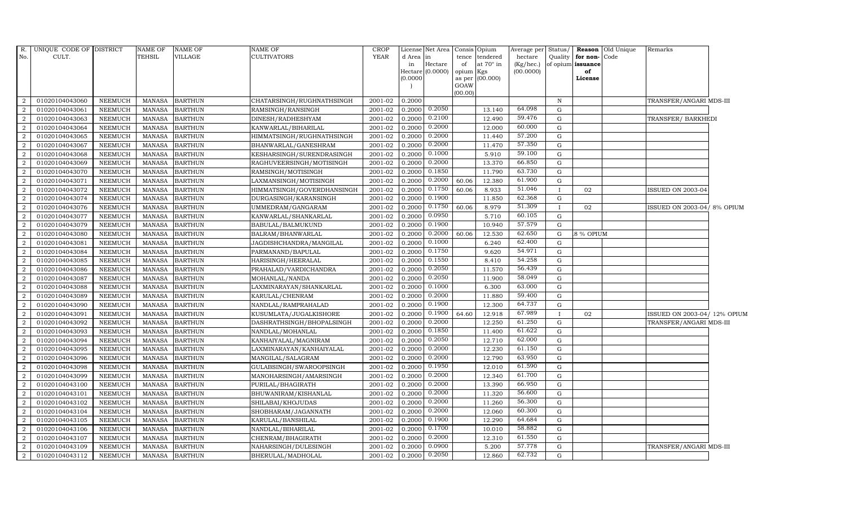| $R_{\cdot}$    | UNIQUE CODE OF DISTRICT |                | <b>NAME OF</b> | <b>NAME OF</b> | NAME OF                    | <b>CROP</b> |           | License Net Area            |             | Consis Opium           | Average per            | Status/      |                         | <b>Reason</b> Old Unique | Remarks                     |  |
|----------------|-------------------------|----------------|----------------|----------------|----------------------------|-------------|-----------|-----------------------------|-------------|------------------------|------------------------|--------------|-------------------------|--------------------------|-----------------------------|--|
| No.            | CULT.                   |                | TEHSIL         | <b>VILLAGE</b> | CULTIVATORS                | <b>YEAR</b> | d Area in |                             | tence       | tendered               | hectare                | Quality      | for non-Code            |                          |                             |  |
|                |                         |                |                |                |                            |             | in        | Hectare<br>Hectare (0.0000) | of<br>opium | at $70^\circ$ in       | (Kg/hec.)<br>(00.0000) |              | of opium issuance<br>of |                          |                             |  |
|                |                         |                |                |                |                            |             | (0.0000)  |                             |             | Kgs<br>as per (00.000) |                        |              | License                 |                          |                             |  |
|                |                         |                |                |                |                            |             |           |                             | GOAW        |                        |                        |              |                         |                          |                             |  |
|                |                         |                |                |                |                            |             |           |                             | (00.00)     |                        |                        |              |                         |                          |                             |  |
| 2              | 01020104043060          | NEEMUCH        | MANASA         | <b>BARTHUN</b> | CHATARSINGH/RUGHNATHSINGH  | 2001-02     | 0.2000    |                             |             |                        |                        | $\mathbf N$  |                         |                          | TRANSFER/ANGARI MDS-III     |  |
| 2              | 01020104043061          | NEEMUCH        | <b>MANASA</b>  | <b>BARTHUN</b> | RAMSINGH/RANSINGH          | 2001-02     | 0.2000    | 0.2050                      |             | 13.140                 | 64.098                 | G            |                         |                          |                             |  |
| 2              | 01020104043063          | NEEMUCH        | <b>MANASA</b>  | <b>BARTHUN</b> | DINESH/RADHESHYAM          | 2001-02     | 0.2000    | 0.2100                      |             | 12.490                 | 59.476                 | G            |                         |                          | TRANSFER/BARKHEDI           |  |
| $\overline{2}$ | 01020104043064          | <b>NEEMUCH</b> | <b>MANASA</b>  | <b>BARTHUN</b> | KANWARLAL/BIHARILAL        | 2001-02     | 0.2000    | 0.2000                      |             | 12.000                 | 60.000                 | G            |                         |                          |                             |  |
| 2              | 01020104043065          | <b>NEEMUCH</b> | MANASA         | <b>BARTHUN</b> | HIMMATSINGH/RUGHNATHSINGH  | 2001-02     | 0.2000    | 0.2000                      |             | 11.440                 | 57.200                 | G            |                         |                          |                             |  |
| 2              | 01020104043067          | <b>NEEMUCH</b> | <b>MANASA</b>  | <b>BARTHUN</b> | BHANWARLAL/GANESHRAM       | $2001 - 02$ | 0.2000    | 0.2000                      |             | 11.470                 | 57.350                 | G            |                         |                          |                             |  |
| 2              | 01020104043068          | NEEMUCH        | <b>MANASA</b>  | <b>BARTHUN</b> | KESHARSINGH/SURENDRASINGH  | 2001-02     | 0.2000    | 0.1000                      |             | 5.910                  | 59.100                 | G            |                         |                          |                             |  |
| 2              | 01020104043069          | NEEMUCH        | <b>MANASA</b>  | <b>BARTHUN</b> | RAGHUVEERSINGH/MOTISINGH   | 2001-02     | 0.2000    | 0.2000                      |             | 13.370                 | 66.850                 | $\mathbf G$  |                         |                          |                             |  |
| $\overline{2}$ | 01020104043070          | <b>NEEMUCH</b> | <b>MANASA</b>  | <b>BARTHUN</b> | RAMSINGH/MOTISINGH         | 2001-02     | 0.2000    | 0.1850                      |             | 11.790                 | 63.730                 | G            |                         |                          |                             |  |
| 2              | 01020104043071          | <b>NEEMUCH</b> | <b>MANASA</b>  | <b>BARTHUN</b> | LAXMANSINGH/MOTISINGH      | 2001-02     | 0.2000    | 0.2000                      | 60.06       | 12.380                 | 61.900                 | $\mathbf G$  |                         |                          |                             |  |
| 2              | 01020104043072          | <b>NEEMUCH</b> | <b>MANASA</b>  | <b>BARTHUN</b> | HIMMATSINGH/GOVERDHANSINGH | 2001-02     | 0.2000    | 0.1750                      | 60.06       | 8.933                  | 51.046                 | $\mathbf I$  | 02                      |                          | ISSUED ON 2003-04           |  |
| 2              | 01020104043074          | <b>NEEMUCH</b> | <b>MANASA</b>  | <b>BARTHUN</b> | DURGASINGH/KARANSINGH      | 2001-02     | 0.2000    | 0.1900                      |             | 11.850                 | 62.368                 | G            |                         |                          |                             |  |
| 2              | 01020104043076          | NEEMUCH        | <b>MANASA</b>  | <b>BARTHUN</b> | UMMEDRAM/GANGARAM          | 2001-02     | 0.2000    | 0.1750                      | 60.06       | 8.979                  | 51.309                 | $\mathbf{I}$ | 02                      |                          | ISSUED ON 2003-04/8% OPIUM  |  |
| $\overline{2}$ | 01020104043077          | <b>NEEMUCH</b> | <b>MANASA</b>  | <b>BARTHUN</b> | KANWARLAL/SHANKARLAL       | 2001-02     | 0.2000    | 0.0950                      |             | 5.710                  | 60.105                 | G            |                         |                          |                             |  |
| $\overline{2}$ | 01020104043079          | <b>NEEMUCH</b> | MANASA         | <b>BARTHUN</b> | BABULAL/BALMUKUND          | 2001-02     | 0.2000    | 0.1900                      |             | 10.940                 | 57.579                 | G            |                         |                          |                             |  |
| 2              | 01020104043080          | <b>NEEMUCH</b> | <b>MANASA</b>  | <b>BARTHUN</b> | BALRAM/BHANWARLAL          | 2001-02     | 0.2000    | 0.2000                      | 60.06       | 12.530                 | 62.650                 | G            | .8 % OPIUM              |                          |                             |  |
| 2              | 01020104043081          | <b>NEEMUCH</b> | <b>MANASA</b>  | <b>BARTHUN</b> | JAGDISHCHANDRA/MANGILAL    | 2001-02     | 0.2000    | 0.1000                      |             | 6.240                  | 62.400                 | G            |                         |                          |                             |  |
| 2              | 01020104043084          | NEEMUCH        | MANASA         | <b>BARTHUN</b> | PARMANAND/BAPULAL          | 2001-02     | 0.2000    | 0.1750                      |             | 9.620                  | 54.971                 | G            |                         |                          |                             |  |
| $\overline{2}$ | 01020104043085          | <b>NEEMUCH</b> | <b>MANASA</b>  | <b>BARTHUN</b> | HARISINGH/HEERALAL         | 2001-02     | 0.2000    | 0.1550                      |             | 8.410                  | 54.258                 | G            |                         |                          |                             |  |
| $\overline{2}$ | 01020104043086          | <b>NEEMUCH</b> | <b>MANASA</b>  | <b>BARTHUN</b> | PRAHALAD/VARDICHANDRA      | 2001-02     | 0.2000    | 0.2050                      |             | 11.570                 | 56.439                 | $\mathbf G$  |                         |                          |                             |  |
| 2              | 01020104043087          | <b>NEEMUCH</b> | <b>MANASA</b>  | <b>BARTHUN</b> | MOHANLAL/NANDA             | 2001-02     | 0.2000    | 0.2050                      |             | 11.900                 | 58.049                 | G            |                         |                          |                             |  |
| 2              | 01020104043088          | <b>NEEMUCH</b> | <b>MANASA</b>  | <b>BARTHUN</b> | LAXMINARAYAN/SHANKARLAL    | 2001-02     | 0.2000    | 0.1000                      |             | 6.300                  | 63.000                 | G            |                         |                          |                             |  |
| $\overline{2}$ | 01020104043089          | NEEMUCH        | MANASA         | <b>BARTHUN</b> | KARULAL/CHENRAM            | 2001-02     | 0.2000    | 0.2000                      |             | 11.880                 | 59.400                 | $\mathbf G$  |                         |                          |                             |  |
| $\overline{2}$ | 01020104043090          | <b>NEEMUCH</b> | <b>MANASA</b>  | <b>BARTHUN</b> | NANDLAL/RAMPRAHALAD        | 2001-02     | 0.2000    | 0.1900                      |             | 12.300                 | 64.737                 | $\mathbf G$  |                         |                          |                             |  |
| $\overline{2}$ | 01020104043091          | <b>NEEMUCH</b> | <b>MANASA</b>  | <b>BARTHUN</b> | KUSUMLATA/JUGALKISHORE     | 2001-02     | 0.2000    | 0.1900                      | 64.60       | 12.918                 | 67.989                 |              | 02                      |                          | ISSUED ON 2003-04/12% OPIUM |  |
| $\overline{2}$ | 01020104043092          | <b>NEEMUCH</b> | <b>MANASA</b>  | <b>BARTHUN</b> | DASHRATHSINGH/BHOPALSINGH  | 2001-02     | 0.2000    | 0.2000                      |             | 12.250                 | 61.250                 | G            |                         |                          | TRANSFER/ANGARI MDS-III     |  |
| 2              | 01020104043093          | <b>NEEMUCH</b> | <b>MANASA</b>  | <b>BARTHUN</b> | NANDLAL/MOHANLAL           | 2001-02     | 0.2000    | 0.1850                      |             | 11.400                 | 61.622                 | G            |                         |                          |                             |  |
| 2              | 01020104043094          | <b>NEEMUCH</b> | MANASA         | <b>BARTHUN</b> | KANHAIYALAL/MAGNIRAM       | 2001-02     | 0.2000    | 0.2050                      |             | 12.710                 | 62.000                 | $\mathbf G$  |                         |                          |                             |  |
| 2              | 01020104043095          | <b>NEEMUCH</b> | <b>MANASA</b>  | <b>BARTHUN</b> | LAXMINARAYAN/KANHAIYALAL   | 2001-02     | 0.2000    | 0.2000                      |             | 12.230                 | 61.150                 | $\mathbf G$  |                         |                          |                             |  |
| $\overline{2}$ | 01020104043096          | <b>NEEMUCH</b> | <b>MANASA</b>  | <b>BARTHUN</b> | MANGILAL/SALAGRAM          | 2001-02     | 0.2000    | 0.2000                      |             | 12.790                 | 63.950                 | G            |                         |                          |                             |  |
| 2              | 01020104043098          | <b>NEEMUCH</b> | <b>MANASA</b>  | <b>BARTHUN</b> | GULABSINGH/SWAROOPSINGH    | 2001-02     | 0.2000    | 0.1950                      |             | 12.010                 | 61.590                 | ${\rm G}$    |                         |                          |                             |  |
| 2              | 01020104043099          | <b>NEEMUCH</b> | <b>MANASA</b>  | <b>BARTHUN</b> | MANOHARSINGH/AMARSINGH     | 2001-02     | 0.2000    | 0.2000                      |             | 12.340                 | 61.700                 | $\mathbf G$  |                         |                          |                             |  |
| 2              | 01020104043100          | <b>NEEMUCH</b> | <b>MANASA</b>  | <b>BARTHUN</b> | PURILAL/BHAGIRATH          | 2001-02     | 0.2000    | 0.2000                      |             | 13.390                 | 66.950                 | G            |                         |                          |                             |  |
| 2              | 01020104043101          | <b>NEEMUCH</b> | <b>MANASA</b>  | <b>BARTHUN</b> | BHUWANIRAM/KISHANLAL       | 2001-02     | 0.2000    | 0.2000                      |             | 11.320                 | 56.600                 | G            |                         |                          |                             |  |
| $\overline{2}$ | 01020104043102          | <b>NEEMUCH</b> | <b>MANASA</b>  | <b>BARTHUN</b> | SHILABAI/KHOJUDAS          | 2001-02     | 0.2000    | 0.2000                      |             | 11.260                 | 56.300                 | G            |                         |                          |                             |  |
| 2              | 01020104043104          | <b>NEEMUCH</b> | <b>MANASA</b>  | <b>BARTHUN</b> | SHOBHARAM/JAGANNATH        | 2001-02     | 0.2000    | 0.2000                      |             | 12.060                 | 60.300                 | $\mathbf G$  |                         |                          |                             |  |
| 2              | 01020104043105          | <b>NEEMUCH</b> | <b>MANASA</b>  | <b>BARTHUN</b> | KARULAL/BANSHILAL          | 2001-02     | 0.2000    | 0.1900                      |             | 12.290                 | 64.684                 | $\mathbf G$  |                         |                          |                             |  |
| 2              | 01020104043106          | NEEMUCH        | <b>MANASA</b>  | <b>BARTHUN</b> | NANDLAL/BIHARILAL          | 2001-02     | 0.2000    | 0.1700                      |             | 10.010                 | 58.882                 | G            |                         |                          |                             |  |
| 2              | 01020104043107          | NEEMUCH        | <b>MANASA</b>  | <b>BARTHUN</b> | CHENRAM/BHAGIRATH          | 2001-02     | 0.2000    | 0.2000                      |             | 12.310                 | 61.550                 | G            |                         |                          |                             |  |
| 2              | 01020104043109          | <b>NEEMUCH</b> | <b>MANASA</b>  | <b>BARTHUN</b> | NAHARSINGH/DULESINGH       | 2001-02     | 0.2000    | 0.0900                      |             | 5.200                  | 57.778                 | $\mathbf G$  |                         |                          | TRANSFER/ANGARI MDS-III     |  |
| $\overline{2}$ | 01020104043112          | <b>NEEMUCH</b> | <b>MANASA</b>  | <b>BARTHUN</b> | BHERULAL/MADHOLAL          | 2001-02     | 0.2000    | 0.2050                      |             | 12.860                 | 62.732                 | G            |                         |                          |                             |  |
|                |                         |                |                |                |                            |             |           |                             |             |                        |                        |              |                         |                          |                             |  |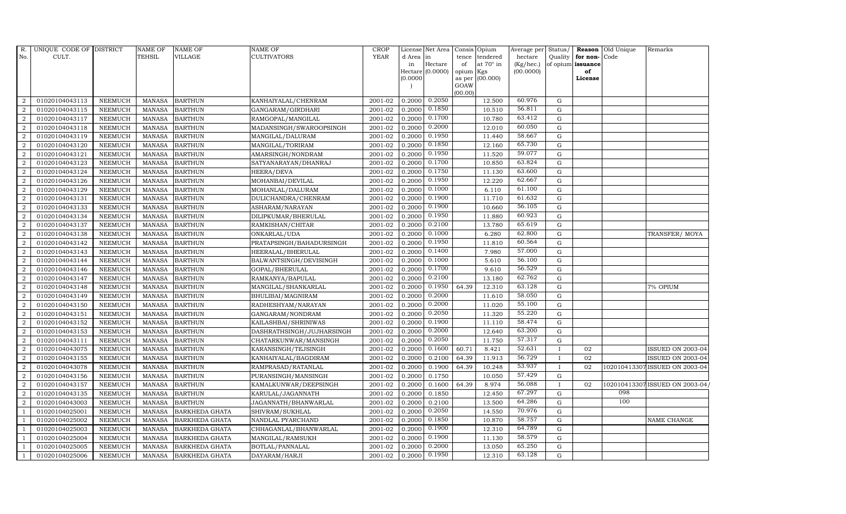| R.             | UNIQUE CODE OF DISTRICT |                | <b>NAME OF</b> | <b>NAME OF</b>        | <b>NAME OF</b>            | CROP        |           | License Net Area | Consis         | Opium            | Average per Status/ |              |                   | <b>Reason</b> Old Unique | Remarks                        |
|----------------|-------------------------|----------------|----------------|-----------------------|---------------------------|-------------|-----------|------------------|----------------|------------------|---------------------|--------------|-------------------|--------------------------|--------------------------------|
| No.            | CULT.                   |                | <b>TEHSIL</b>  | <b>VILLAGE</b>        | <b>CULTIVATORS</b>        | <b>YEAR</b> | d Area in |                  | tence          | tendered         | hectare             | Quality      | for non-Code      |                          |                                |
|                |                         |                |                |                       |                           |             | in        | Hectare          | of             | at $70^\circ$ in | (Kg/hec.)           |              | of opium issuance |                          |                                |
|                |                         |                |                |                       |                           |             |           | Hectare (0.0000) | opium          | Kgs              | (00.0000)           |              | of                |                          |                                |
|                |                         |                |                |                       |                           |             | 0.0000    |                  | as per<br>GOAW | (00.000)         |                     |              | License           |                          |                                |
|                |                         |                |                |                       |                           |             |           |                  | (00.00)        |                  |                     |              |                   |                          |                                |
| $\overline{2}$ | 01020104043113          | <b>NEEMUCH</b> | <b>MANASA</b>  | <b>BARTHUN</b>        | KANHAIYALAL/CHENRAM       | 2001-02     | 0.2000    | 0.2050           |                | 12.500           | 60.976              | G            |                   |                          |                                |
| $\overline{2}$ | 01020104043115          | <b>NEEMUCH</b> | <b>MANASA</b>  | <b>BARTHUN</b>        | GANGARAM/GIRDHARI         | 2001-02     | 0.2000    | 0.1850           |                | 10.510           | 56.811              | G            |                   |                          |                                |
| 2              | 01020104043117          | <b>NEEMUCH</b> | <b>MANASA</b>  | <b>BARTHUN</b>        | RAMGOPAL/MANGILAL         | 2001-02     | 0.2000    | 0.1700           |                | 10.780           | 63.412              | G            |                   |                          |                                |
| $\overline{2}$ | 01020104043118          | <b>NEEMUCH</b> | <b>MANASA</b>  | <b>BARTHUN</b>        | MADANSINGH/SWAROOPSINGH   | 2001-02     | 0.2000    | 0.2000           |                | 12.010           | 60.050              | G            |                   |                          |                                |
| $\overline{2}$ | 01020104043119          | <b>NEEMUCH</b> | <b>MANASA</b>  | <b>BARTHUN</b>        | MANGILAL/DALURAM          | 2001-02     | 0.2000    | 0.1950           |                | 11.440           | 58.667              | G            |                   |                          |                                |
| $\overline{a}$ | 01020104043120          | <b>NEEMUCH</b> | <b>MANASA</b>  | <b>BARTHUN</b>        | MANGILAL/TORIRAM          | 2001-02     | 0.2000    | 0.1850           |                | 12.160           | 65.730              | G            |                   |                          |                                |
| $\overline{a}$ | 01020104043121          | <b>NEEMUCH</b> | <b>MANASA</b>  | <b>BARTHUN</b>        | AMARSINGH/NONDRAM         | 2001-02     | 0.2000    | 0.1950           |                | 11.520           | 59.077              | G            |                   |                          |                                |
| 2              | 01020104043123          | <b>NEEMUCH</b> | <b>MANASA</b>  | <b>BARTHUN</b>        | SATYANARAYAN/DHANRAJ      | 2001-02     | 0.2000    | 0.1700           |                | 10.850           | 63.824              | G            |                   |                          |                                |
| $\overline{2}$ | 01020104043124          | <b>NEEMUCH</b> | <b>MANASA</b>  | <b>BARTHUN</b>        | HEERA/DEVA                | 2001-02     | 0.2000    | 0.1750           |                | 11.130           | 63.600              | G            |                   |                          |                                |
| 2              | 01020104043126          | NEEMUCH        | <b>MANASA</b>  | <b>BARTHUN</b>        | MOHANBAI/DEVILAL          | 2001-02     | 0.2000    | 0.1950           |                | 12.220           | 62.667              | ${\bf G}$    |                   |                          |                                |
| $\overline{2}$ | 01020104043129          | <b>NEEMUCH</b> | <b>MANASA</b>  | <b>BARTHUN</b>        | MOHANLAL/DALURAM          | 2001-02     | 0.2000    | 0.1000           |                | 6.110            | 61.100              | G            |                   |                          |                                |
| $\overline{a}$ | 01020104043131          | <b>NEEMUCH</b> | <b>MANASA</b>  | <b>BARTHUN</b>        | DULICHANDRA/CHENRAM       | 2001-02     | 0.2000    | 0.1900           |                | 11.710           | 61.632              | G            |                   |                          |                                |
| $\overline{2}$ | 01020104043133          | <b>NEEMUCH</b> | <b>MANASA</b>  | <b>BARTHUN</b>        | ASHARAM/NARAYAN           | 2001-02     | 0.2000    | 0.1900           |                | 10.660           | 56.105              | G            |                   |                          |                                |
| $\overline{2}$ | 01020104043134          | <b>NEEMUCH</b> | <b>MANASA</b>  | <b>BARTHUN</b>        | DILIPKUMAR/BHERULAL       | 2001-02     | 0.2000    | 0.1950           |                | 11.880           | 60.923              | $\mathbf G$  |                   |                          |                                |
| $\overline{2}$ | 01020104043137          | <b>NEEMUCH</b> | <b>MANASA</b>  | <b>BARTHUN</b>        | RAMKISHAN/CHITAR          | 2001-02     | 0.2000    | 0.2100           |                | 13.780           | 65.619              | ${\rm G}$    |                   |                          |                                |
| 2              | 01020104043138          | <b>NEEMUCH</b> | <b>MANASA</b>  | <b>BARTHUN</b>        | ONKARLAL/UDA              | 2001-02     | 0.2000    | 0.1000           |                | 6.280            | 62.800              | G            |                   |                          | TRANSFER/MOYA                  |
| 2              | 01020104043142          | <b>NEEMUCH</b> | <b>MANASA</b>  | <b>BARTHUN</b>        | PRATAPSINGH/BAHADURSINGH  | 2001-02     | 0.2000    | 0.1950           |                | 11.810           | 60.564              | G            |                   |                          |                                |
| $\overline{a}$ | 01020104043143          | <b>NEEMUCH</b> | <b>MANASA</b>  | <b>BARTHUN</b>        | HEERALAL/BHERULAL         | 2001-02     | 0.2000    | 0.1400           |                | 7.980            | 57.000              | G            |                   |                          |                                |
| $\overline{2}$ | 01020104043144          | <b>NEEMUCH</b> | <b>MANASA</b>  | <b>BARTHUN</b>        | BALWANTSINGH/DEVISINGH    | 2001-02     | 0.2000    | 0.1000           |                | 5.610            | $56.\overline{100}$ | $\mathbf G$  |                   |                          |                                |
| $\overline{2}$ | 01020104043146          | NEEMUCH        | <b>MANASA</b>  | <b>BARTHUN</b>        | GOPAL/BHERULAL            | 2001-02     | 0.2000    | 0.1700           |                | 9.610            | 56.529              | ${\bf G}$    |                   |                          |                                |
| 2              | 01020104043147          | <b>NEEMUCH</b> | <b>MANASA</b>  | <b>BARTHUN</b>        | RAMKANYA/BAPULAL          | 2001-02     | 0.2000    | 0.2100           |                | 13.180           | 62.762              | G            |                   |                          |                                |
| 2              | 01020104043148          | <b>NEEMUCH</b> | <b>MANASA</b>  | <b>BARTHUN</b>        | MANGILAL/SHANKARLAL       | 2001-02     | 0.2000    | 0.1950           | 64.39          | 12.310           | 63.128              | G            |                   |                          | 7% OPIUM                       |
| $\overline{2}$ | 01020104043149          | <b>NEEMUCH</b> | <b>MANASA</b>  | <b>BARTHUN</b>        | BHULIBAI/MAGNIRAM         | 2001-02     | 0.2000    | 0.2000           |                | 11.610           | 58.050              | G            |                   |                          |                                |
| 2              | 01020104043150          | <b>NEEMUCH</b> | <b>MANASA</b>  | <b>BARTHUN</b>        | RADHESHYAM/NARAYAN        | 2001-02     | 0.2000    | 0.2000           |                | 11.020           | 55.100              | $\mathbf G$  |                   |                          |                                |
| $\overline{2}$ | 01020104043151          | <b>NEEMUCH</b> | <b>MANASA</b>  | <b>BARTHUN</b>        | GANGARAM/NONDRAM          | 2001-02     | 0.2000    | 0.2050           |                | 11.320           | 55.220              | ${\bf G}$    |                   |                          |                                |
| 2              | 01020104043152          | <b>NEEMUCH</b> | <b>MANASA</b>  | <b>BARTHUN</b>        | KAILASHBAI/SHRINIWAS      | 2001-02     | 0.2000    | 0.1900           |                | 11.110           | 58.474              | G            |                   |                          |                                |
| 2              | 01020104043153          | <b>NEEMUCH</b> | <b>MANASA</b>  | <b>BARTHUN</b>        | DASHRATHSINGH/JUJHARSINGH | 2001-02     | 0.2000    | 0.2000           |                | 12.640           | 63.200              | G            |                   |                          |                                |
| $\overline{a}$ | 01020104043111          | <b>NEEMUCH</b> | <b>MANASA</b>  | <b>BARTHUN</b>        | CHATARKUNWAR/MANSINGH     | 2001-02     | 0.2000    | 0.2050           |                | 11.750           | 57.317              | G            |                   |                          |                                |
| 2              | 01020104043075          | <b>NEEMUCH</b> | <b>MANASA</b>  | <b>BARTHUN</b>        | KARANSINGH/TEJSINGH       | 2001-02     | 0.2000    | 0.1600           | 60.71          | 8.421            | 52.631              | $\mathbf I$  | 02                |                          | ISSUED ON 2003-04              |
| $\overline{2}$ | 01020104043155          | <b>NEEMUCH</b> | <b>MANASA</b>  | <b>BARTHUN</b>        | KANHAIYALAL/BAGDIRAM      | 2001-02     | 0.2000    | 0.2100           | 64.39          | 11.913           | 56.729              | $\mathbf{I}$ | 02                |                          | ISSUED ON 2003-04              |
| $\overline{a}$ | 01020104043078          | <b>NEEMUCH</b> | <b>MANASA</b>  | <b>BARTHUN</b>        | RAMPRASAD/RATANLAL        | 2001-02     | 0.2000    | 0.1900           | 64.39          | 10.248           | 53.937              | $\mathbf I$  | 02                |                          | 102010413307 ISSUED ON 2003-04 |
| $\overline{2}$ | 01020104043156          | <b>NEEMUCH</b> | <b>MANASA</b>  | <b>BARTHUN</b>        | PURANSINGH/MANSINGH       | 2001-02     | 0.2000    | 0.1750           |                | 10.050           | 57.429              | $\mathbf G$  |                   |                          |                                |
| $\overline{a}$ | 01020104043157          | <b>NEEMUCH</b> | <b>MANASA</b>  | <b>BARTHUN</b>        | KAMALKUNWAR/DEEPSINGH     | 2001-02     | 0.2000    | 0.1600           | 64.39          | 8.974            | 56.088              | $\mathbf{I}$ | 02                |                          | 102010413307 ISSUED ON 2003-04 |
| 2              | 01020104043135          | <b>NEEMUCH</b> | <b>MANASA</b>  | <b>BARTHUN</b>        | KARULAL/JAGANNATH         | 2001-02     | 0.2000    | 0.1850           |                | 12.450           | 67.297              | G            |                   | 098                      |                                |
| 2              | 01020104043003          | <b>NEEMUCH</b> | <b>MANASA</b>  | <b>BARTHUN</b>        | JAGANNATH/BHANWARLAL      | 2001-02     | 0.2000    | 0.2100           |                | 13.500           | 64.286              | G            |                   | 100                      |                                |
| $\overline{1}$ | 01020104025001          | <b>NEEMUCH</b> | <b>MANASA</b>  | <b>BARKHEDA GHATA</b> | SHIVRAM/SUKHLAL           | 2001-02     | 0.2000    | 0.2050           |                | 14.550           | 70.976              | G            |                   |                          |                                |
| -1             | 01020104025002          | <b>NEEMUCH</b> | <b>MANASA</b>  | <b>BARKHEDA GHATA</b> | NANDLAL PYARCHAND         | 2001-02     | 0.2000    | 0.1850           |                | 10.870           | 58.757              | G            |                   |                          | NAME CHANGE                    |
| $\overline{1}$ | 01020104025003          | <b>NEEMUCH</b> | <b>MANASA</b>  | <b>BARKHEDA GHATA</b> | CHHAGANLAL/BHANWARLAL     | 2001-02     | 0.2000    | 0.1900           |                | 12.310           | 64.789              | G            |                   |                          |                                |
| $\overline{1}$ | 01020104025004          | <b>NEEMUCH</b> | <b>MANASA</b>  | <b>BARKHEDA GHATA</b> | MANGILAL/RAMSUKH          | 2001-02     | 0.2000    | 0.1900           |                | 11.130           | 58.579              | G            |                   |                          |                                |
|                | 01020104025005          | <b>NEEMUCH</b> | <b>MANASA</b>  | <b>BARKHEDA GHATA</b> | BOTLAL/PANNALAL           | 2001-02     | 0.2000    | 0.2000           |                | 13.050           | 65.250              | G            |                   |                          |                                |
| $\mathbf{1}$   | 01020104025006          | <b>NEEMUCH</b> | MANASA         | <b>BARKHEDA GHATA</b> | DAYARAM/HARJI             | 2001-02     | 0.2000    | 0.1950           |                | 12.310           | 63.128              | G            |                   |                          |                                |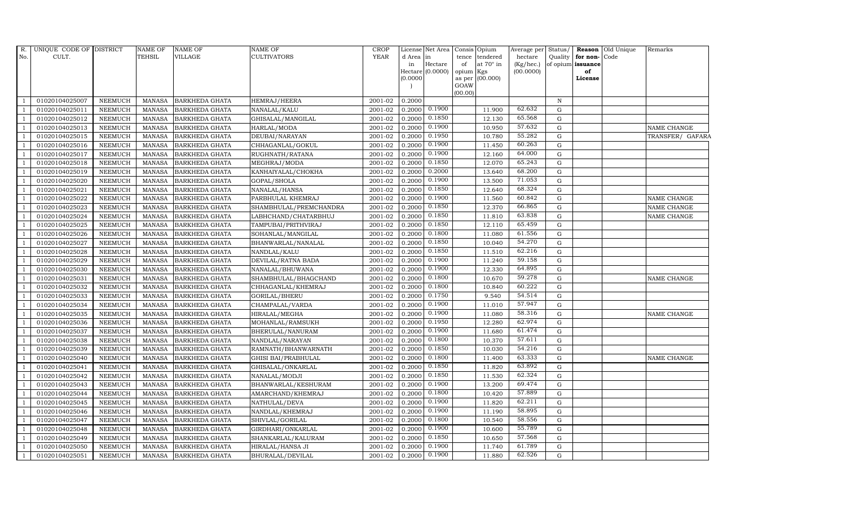| R.             | UNIQUE CODE OF DISTRICT |                | <b>NAME OF</b> | <b>NAME OF</b>        | <b>NAME OF</b>         | <b>CROP</b> |           | License Net Area Consis Opium |             |                         |                        |             |                              | Average per Status/   Reason Old Unique | Remarks            |
|----------------|-------------------------|----------------|----------------|-----------------------|------------------------|-------------|-----------|-------------------------------|-------------|-------------------------|------------------------|-------------|------------------------------|-----------------------------------------|--------------------|
| No.            | CULT.                   |                | <b>TEHSIL</b>  | <b>VILLAGE</b>        | <b>CULTIVATORS</b>     | <b>YEAR</b> | d Area in |                               | tence       | tendered                | hectare                |             | Quality <b>for non-</b> Code |                                         |                    |
|                |                         |                |                |                       |                        |             | in        | Hectare<br>Hectare (0.0000)   | of<br>opium | at $70^\circ$ in<br>Kgs | (Kg/hec.)<br>(00.0000) |             | of opium issuance<br>of      |                                         |                    |
|                |                         |                |                |                       |                        |             | (0.0000)  |                               |             | as per (00.000)         |                        |             | License                      |                                         |                    |
|                |                         |                |                |                       |                        |             |           |                               | GOAW        |                         |                        |             |                              |                                         |                    |
|                |                         |                |                |                       |                        |             |           |                               | (00.00)     |                         |                        |             |                              |                                         |                    |
| $\overline{1}$ | 01020104025007          | <b>NEEMUCH</b> | MANASA         | <b>BARKHEDA GHATA</b> | HEMRAJ/HEERA           | 2001-02     | 0.2000    |                               |             |                         |                        | $\mathbf N$ |                              |                                         |                    |
| $\overline{1}$ | 01020104025011          | <b>NEEMUCH</b> | <b>MANASA</b>  | <b>BARKHEDA GHATA</b> | NANALAL/KALU           | 2001-02     | 0.2000    | 0.1900                        |             | 11.900                  | 62.632                 | $\mathbf G$ |                              |                                         |                    |
|                | 01020104025012          | <b>NEEMUCH</b> | <b>MANASA</b>  | <b>BARKHEDA GHATA</b> | GHISALAL/MANGILAL      | 2001-02     | 0.2000    | 0.1850                        |             | 12.130                  | 65.568                 | G           |                              |                                         |                    |
|                | 01020104025013          | <b>NEEMUCH</b> | <b>MANASA</b>  | <b>BARKHEDA GHATA</b> | HARLAL/MODA            | 2001-02     | 0.2000    | 0.1900                        |             | 10.950                  | 57.632                 | ${\rm G}$   |                              |                                         | <b>NAME CHANGE</b> |
|                | 01020104025015          | <b>NEEMUCH</b> | <b>MANASA</b>  | <b>BARKHEDA GHATA</b> | DEUBAI/NARAYAN         | 2001-02     | 0.2000    | 0.1950                        |             | 10.780                  | 55.282                 | ${\rm G}$   |                              |                                         | TRANSFER/ GAFARA   |
| $\overline{1}$ | 01020104025016          | <b>NEEMUCH</b> | <b>MANASA</b>  | <b>BARKHEDA GHATA</b> | CHHAGANLAL/GOKUL       | 2001-02     | 0.2000    | 0.1900                        |             | 11.450                  | 60.263                 | G           |                              |                                         |                    |
|                | 01020104025017          | <b>NEEMUCH</b> | <b>MANASA</b>  | <b>BARKHEDA GHATA</b> | RUGHNATH/RATANA        | 2001-02     | 0.2000    | 0.1900                        |             | 12.160                  | 64.000                 | ${\rm G}$   |                              |                                         |                    |
|                | 01020104025018          | <b>NEEMUCH</b> | <b>MANASA</b>  | <b>BARKHEDA GHATA</b> | MEGHRAJ/MODA           | 2001-02     | 0.2000    | 0.1850                        |             | 12.070                  | 65.243                 | ${\rm G}$   |                              |                                         |                    |
|                | 01020104025019          | <b>NEEMUCH</b> | <b>MANASA</b>  | <b>BARKHEDA GHATA</b> | KANHAIYALAL/CHOKHA     | 2001-02     | 0.2000    | 0.2000                        |             | 13.640                  | 68.200                 | G           |                              |                                         |                    |
|                | 01020104025020          | <b>NEEMUCH</b> | <b>MANASA</b>  | <b>BARKHEDA GHATA</b> | GOPAL/SHOLA            | 2001-02     | 0.2000    | 0.1900                        |             | 13.500                  | 71.053                 | ${\rm G}$   |                              |                                         |                    |
| -1             | 01020104025021          | <b>NEEMUCH</b> | <b>MANASA</b>  | <b>BARKHEDA GHATA</b> | NANALAL/HANSA          | 2001-02     | 0.2000    | 0.1850                        |             | 12.640                  | 68.324                 | ${\rm G}$   |                              |                                         |                    |
|                | 01020104025022          | <b>NEEMUCH</b> | <b>MANASA</b>  | <b>BARKHEDA GHATA</b> | PARBHULAL KHEMRAJ      | 2001-02     | 0.2000    | 0.1900                        |             | 11.560                  | 60.842                 | $\mathbf G$ |                              |                                         | <b>NAME CHANGE</b> |
| $\overline{1}$ | 01020104025023          | <b>NEEMUCH</b> | <b>MANASA</b>  | <b>BARKHEDA GHATA</b> | SHAMBHULAL/PREMCHANDRA | 2001-02     | 0.2000    | 0.1850                        |             | 12.370                  | 66.865                 | $\mathbf G$ |                              |                                         | <b>NAME CHANGE</b> |
|                | 01020104025024          | <b>NEEMUCH</b> | <b>MANASA</b>  | <b>BARKHEDA GHATA</b> | LABHCHAND/CHATARBHUJ   | 2001-02     | 0.2000    | 0.1850                        |             | 11.810                  | 63.838                 | G           |                              |                                         | <b>NAME CHANGE</b> |
|                | 01020104025025          | <b>NEEMUCH</b> | <b>MANASA</b>  | <b>BARKHEDA GHATA</b> | TAMPUBAI/PRITHVIRAJ    | 2001-02     | 0.2000    | 0.1850                        |             | 12.110                  | 65.459                 | ${\rm G}$   |                              |                                         |                    |
|                | 01020104025026          | <b>NEEMUCH</b> | <b>MANASA</b>  | <b>BARKHEDA GHATA</b> | SOHANLAL/MANGILAL      | 2001-02     | 0.2000    | 0.1800                        |             | 11.080                  | 61.556                 | $\mathbf G$ |                              |                                         |                    |
|                | 01020104025027          | <b>NEEMUCH</b> | <b>MANASA</b>  | <b>BARKHEDA GHATA</b> | BHANWARLAL/NANALAL     | 2001-02     | 0.2000    | 0.1850                        |             | 10.040                  | 54.270                 | $\mathbf G$ |                              |                                         |                    |
| $\overline{1}$ | 01020104025028          | <b>NEEMUCH</b> | MANASA         | <b>BARKHEDA GHATA</b> | NANDLAL/KALU           | 2001-02     | 0.2000    | 0.1850                        |             | 11.510                  | 62.216                 | $\mathbf G$ |                              |                                         |                    |
|                | 01020104025029          | <b>NEEMUCH</b> | <b>MANASA</b>  | <b>BARKHEDA GHATA</b> | DEVILAL/RATNA BADA     | 2001-02     | 0.2000    | 0.1900                        |             | 11.240                  | 59.158                 | G           |                              |                                         |                    |
|                | 01020104025030          | <b>NEEMUCH</b> | <b>MANASA</b>  | <b>BARKHEDA GHATA</b> | NANALAL/BHUWANA        | 2001-02     | 0.2000    | 0.1900                        |             | 12.330                  | 64.895                 | $\mathbf G$ |                              |                                         |                    |
| -1             | 01020104025031          | <b>NEEMUCH</b> | <b>MANASA</b>  | <b>BARKHEDA GHATA</b> | SHAMBHULAL/BHAGCHAND   | 2001-02     | 0.2000    | 0.1800                        |             | 10.670                  | 59.278                 | $\mathbf G$ |                              |                                         | <b>NAME CHANGE</b> |
|                | 01020104025032          | <b>NEEMUCH</b> | <b>MANASA</b>  | <b>BARKHEDA GHATA</b> | CHHAGANLAL/KHEMRAJ     | 2001-02     | 0.2000    | 0.1800                        |             | 10.840                  | 60.222                 | G           |                              |                                         |                    |
| $\overline{1}$ | 01020104025033          | <b>NEEMUCH</b> | MANASA         | <b>BARKHEDA GHATA</b> | GORILAL/BHERU          | 2001-02     | 0.2000    | 0.1750                        |             | 9.540                   | 54.514                 | G           |                              |                                         |                    |
| $\overline{1}$ | 01020104025034          | <b>NEEMUCH</b> | <b>MANASA</b>  | <b>BARKHEDA GHATA</b> | CHAMPALAL/VARDA        | 2001-02     | 0.2000    | 0.1900                        |             | 11.010                  | 57.947                 | ${\rm G}$   |                              |                                         |                    |
|                | 01020104025035          | <b>NEEMUCH</b> | <b>MANASA</b>  | <b>BARKHEDA GHATA</b> | HIRALAL/MEGHA          | 2001-02     | 0.2000    | 0.1900                        |             | 11.080                  | 58.316                 | G           |                              |                                         | NAME CHANGE        |
| $\overline{1}$ | 01020104025036          | <b>NEEMUCH</b> | <b>MANASA</b>  | <b>BARKHEDA GHATA</b> | MOHANLAL/RAMSUKH       | 2001-02     | 0.2000    | 0.1950                        |             | 12.280                  | 62.974                 | G           |                              |                                         |                    |
|                | 01020104025037          | <b>NEEMUCH</b> | <b>MANASA</b>  | <b>BARKHEDA GHATA</b> | BHERULAL/NANURAM       | 2001-02     | 0.2000    | 0.1900                        |             | 11.680                  | 61.474                 | ${\rm G}$   |                              |                                         |                    |
| $\overline{1}$ | 01020104025038          | <b>NEEMUCH</b> | <b>MANASA</b>  | <b>BARKHEDA GHATA</b> | NANDLAL/NARAYAN        | 2001-02     | 0.2000    | 0.1800                        |             | 10.370                  | 57.611                 | $\mathbf G$ |                              |                                         |                    |
| $\overline{1}$ | 01020104025039          | <b>NEEMUCH</b> | <b>MANASA</b>  | <b>BARKHEDA GHATA</b> | RAMNATH/BHANWARNATH    | 2001-02     | 0.2000    | 0.1850                        |             | 10.030                  | 54.216                 | ${\rm G}$   |                              |                                         |                    |
|                | 01020104025040          | <b>NEEMUCH</b> | <b>MANASA</b>  | <b>BARKHEDA GHATA</b> | GHISI BAI/PRABHULAL    | 2001-02     | 0.2000    | 0.1800                        |             | 11.400                  | 63.333                 | ${\rm G}$   |                              |                                         | <b>NAME CHANGE</b> |
|                | 01020104025041          | <b>NEEMUCH</b> | <b>MANASA</b>  | <b>BARKHEDA GHATA</b> | GHISALAL/ONKARLAL      | 2001-02     | 0.2000    | 0.1850                        |             | 11.820                  | 63.892                 | $\mathbf G$ |                              |                                         |                    |
| $\overline{1}$ | 01020104025042          | <b>NEEMUCH</b> | <b>MANASA</b>  | <b>BARKHEDA GHATA</b> | NANALAL/MODJI          | 2001-02     | 0.2000    | 0.1850                        |             | 11.530                  | 62.324                 | ${\rm G}$   |                              |                                         |                    |
| $\overline{1}$ | 01020104025043          | <b>NEEMUCH</b> | <b>MANASA</b>  | <b>BARKHEDA GHATA</b> | BHANWARLAL/KESHURAM    | 2001-02     | 0.2000    | 0.1900                        |             | 13.200                  | 69.474                 | ${\rm G}$   |                              |                                         |                    |
| $\overline{1}$ | 01020104025044          | <b>NEEMUCH</b> | <b>MANASA</b>  | <b>BARKHEDA GHATA</b> | AMARCHAND/KHEMRAJ      | 2001-02     | 0.2000    | 0.1800                        |             | 10.420                  | 57.889                 | $\mathbf G$ |                              |                                         |                    |
|                | 01020104025045          | <b>NEEMUCH</b> | <b>MANASA</b>  | <b>BARKHEDA GHATA</b> | NATHULAL/DEVA          | 2001-02     | 0.2000    | 0.1900                        |             | 11.820                  | 62.211                 | G           |                              |                                         |                    |
| $\overline{1}$ | 01020104025046          | <b>NEEMUCH</b> | <b>MANASA</b>  | BARKHEDA GHATA        | NANDLAL/KHEMRAJ        | 2001-02     | 0.2000    | 0.1900                        |             | 11.190                  | 58.895                 | ${\rm G}$   |                              |                                         |                    |
| -1             | 01020104025047          | <b>NEEMUCH</b> | <b>MANASA</b>  | <b>BARKHEDA GHATA</b> | SHIVLAL/GORILAL        | 2001-02     | 0.2000    | 0.1800                        |             | 10.540                  | 58.556                 | ${\rm G}$   |                              |                                         |                    |
| $\overline{1}$ | 01020104025048          | <b>NEEMUCH</b> | <b>MANASA</b>  | <b>BARKHEDA GHATA</b> | GIRDHARI/ONKARLAL      | 2001-02     | 0.2000    | 0.1900                        |             | 10.600                  | 55.789                 | $\mathbf G$ |                              |                                         |                    |
| $\overline{1}$ | 01020104025049          | <b>NEEMUCH</b> | <b>MANASA</b>  | <b>BARKHEDA GHATA</b> | SHANKARLAL/KALURAM     | 2001-02     | 0.2000    | 0.1850                        |             | 10.650                  | 57.568                 | $\mathbf G$ |                              |                                         |                    |
|                | 01020104025050          | <b>NEEMUCH</b> | <b>MANASA</b>  | <b>BARKHEDA GHATA</b> | HIRALAL/HANSA JI       | 2001-02     | 0.2000    | 0.1900                        |             | 11.740                  | 61.789                 | G           |                              |                                         |                    |
| $\mathbf{1}$   | 01020104025051          | <b>NEEMUCH</b> | MANASA         | <b>BARKHEDA GHATA</b> | BHURALAL/DEVILAL       | 2001-02     | 0.2000    | 0.1900                        |             | 11.880                  | 62.526                 | G           |                              |                                         |                    |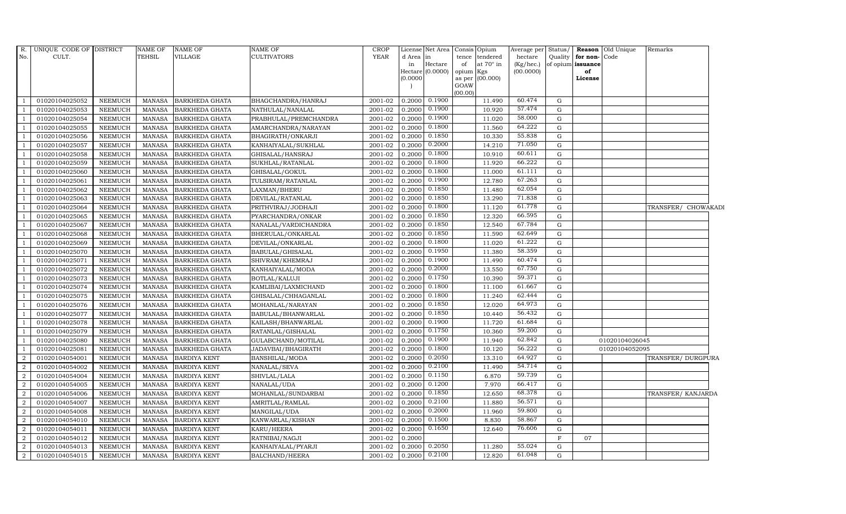| R.             | UNIQUE CODE OF DISTRICT |                | <b>NAME OF</b> | NAME OF               | <b>NAME OF</b>        | <b>CROP</b> |           | License Net Area            | Opium<br>Consis              | Average per               | Status/     |                         | Reason Old Unique | Remarks             |  |
|----------------|-------------------------|----------------|----------------|-----------------------|-----------------------|-------------|-----------|-----------------------------|------------------------------|---------------------------|-------------|-------------------------|-------------------|---------------------|--|
| No.            | CULT.                   |                | <b>TEHSIL</b>  | VILLAGE               | <b>CULTIVATORS</b>    | <b>YEAR</b> | d Area in |                             | tendered<br>tence            | hectare                   |             | Quality for non-Code    |                   |                     |  |
|                |                         |                |                |                       |                       |             | in        | Hectare<br>Hectare (0.0000) | at 70° in<br>of<br>opium Kgs | $(Kg/$ hec.)<br>(00.0000) |             | of opium issuance<br>of |                   |                     |  |
|                |                         |                |                |                       |                       |             | (0.0000)  |                             | (00.000)<br>as per           |                           |             | License                 |                   |                     |  |
|                |                         |                |                |                       |                       |             |           |                             | GOAW                         |                           |             |                         |                   |                     |  |
|                |                         |                |                |                       |                       |             |           |                             | (00.00)                      |                           |             |                         |                   |                     |  |
| -1             | 01020104025052          | <b>NEEMUCH</b> | <b>MANASA</b>  | <b>BARKHEDA GHATA</b> | BHAGCHANDRA/HANRAJ    | 2001-02     | 0.2000    | 0.1900                      | 11.490                       | 60.474                    | G           |                         |                   |                     |  |
| $\overline{1}$ | 01020104025053          | <b>NEEMUCH</b> | <b>MANASA</b>  | <b>BARKHEDA GHATA</b> | NATHULAL/NANALAL      | 2001-02     | 0.2000    | 0.1900                      | 10.920                       | 57.474                    | G           |                         |                   |                     |  |
| $\overline{1}$ | 01020104025054          | <b>NEEMUCH</b> | <b>MANASA</b>  | <b>BARKHEDA GHATA</b> | PRABHULAL/PREMCHANDRA | 2001-02     | 0.2000    | 0.1900                      | 11.020                       | 58.000                    | G           |                         |                   |                     |  |
| $\mathbf{1}$   | 01020104025055          | <b>NEEMUCH</b> | <b>MANASA</b>  | <b>BARKHEDA GHATA</b> | AMARCHANDRA/NARAYAN   | 2001-02     | 0.2000    | 0.1800                      | 11.560                       | 64.222                    | G           |                         |                   |                     |  |
| $\overline{1}$ | 01020104025056          | <b>NEEMUCH</b> | <b>MANASA</b>  | <b>BARKHEDA GHATA</b> | BHAGIRATH/ONKARJI     | 2001-02     | 0.2000    | 0.1850                      | 10.330                       | 55.838                    | $\mathbf G$ |                         |                   |                     |  |
| <sup>1</sup>   | 01020104025057          | <b>NEEMUCH</b> | <b>MANASA</b>  | <b>BARKHEDA GHATA</b> | KANHAIYALAL/SUKHLAL   | 2001-02     | 0.2000    | 0.2000                      | 14.210                       | 71.050                    | G           |                         |                   |                     |  |
| $\mathbf{1}$   | 01020104025058          | <b>NEEMUCH</b> | <b>MANASA</b>  | <b>BARKHEDA GHATA</b> | GHISALAL/HANSRAJ      | 2001-02     | 0.2000    | 0.1800                      | 10.910                       | 60.611                    | G           |                         |                   |                     |  |
| $\overline{1}$ | 01020104025059          | <b>NEEMUCH</b> | <b>MANASA</b>  | <b>BARKHEDA GHATA</b> | SUKHLAL/RATANLAL      | 2001-02     | 0.2000    | 0.1800                      | 11.920                       | 66.222                    | G           |                         |                   |                     |  |
| $\overline{1}$ | 01020104025060          | <b>NEEMUCH</b> | <b>MANASA</b>  | <b>BARKHEDA GHATA</b> | GHISALAL/GOKUL        | 2001-02     | 0.2000    | 0.1800                      | 11.000                       | 61.111                    | G           |                         |                   |                     |  |
| $\overline{1}$ | 01020104025061          | NEEMUCH        | MANASA         | BARKHEDA GHATA        | TULSIRAM/RATANLAL     | $2001 - 02$ | 0.2000    | 0.1900                      | 12.780                       | 67.263                    | ${\rm G}$   |                         |                   |                     |  |
| <sup>1</sup>   | 01020104025062          | <b>NEEMUCH</b> | <b>MANASA</b>  | <b>BARKHEDA GHATA</b> | LAXMAN/BHERU          | 2001-02     | 0.2000    | 0.1850                      | 11.480                       | 62.054                    | G           |                         |                   |                     |  |
| $\mathbf{1}$   | 01020104025063          | <b>NEEMUCH</b> | <b>MANASA</b>  | <b>BARKHEDA GHATA</b> | DEVILAL/RATANLAL      | 2001-02     | 0.2000    | 0.1850                      | 13.290                       | 71.838                    | G           |                         |                   |                     |  |
| $\overline{1}$ | 01020104025064          | <b>NEEMUCH</b> | <b>MANASA</b>  | <b>BARKHEDA GHATA</b> | PRITHVIRAJ/JODHAJI    | 2001-02     | 0.2000    | 0.1800                      | 11.120                       | 61.778                    | G           |                         |                   | TRANSFER/ CHOWAKADI |  |
| $\overline{1}$ | 01020104025065          | <b>NEEMUCH</b> | <b>MANASA</b>  | <b>BARKHEDA GHATA</b> | PYARCHANDRA/ONKAR     | 2001-02     | 0.2000    | 0.1850                      | 12.320                       | 66.595                    | G           |                         |                   |                     |  |
| $\overline{1}$ | 01020104025067          | <b>NEEMUCH</b> | <b>MANASA</b>  | BARKHEDA GHATA        | NANALAL/VARDICHANDRA  | 2001-02     | 0.2000    | 0.1850                      | 12.540                       | 67.784                    | $\mathbf G$ |                         |                   |                     |  |
| <sup>1</sup>   | 01020104025068          | <b>NEEMUCH</b> | <b>MANASA</b>  | <b>BARKHEDA GHATA</b> | BHERULAL/ONKARLAL     | 2001-02     | 0.2000    | 0.1850                      | 11.590                       | 62.649                    | G           |                         |                   |                     |  |
| $\mathbf{1}$   | 01020104025069          | <b>NEEMUCH</b> | <b>MANASA</b>  | <b>BARKHEDA GHATA</b> | DEVILAL/ONKARLAL      | 2001-02     | 0.2000    | 0.1800                      | 11.020                       | 61.222                    | G           |                         |                   |                     |  |
| $\overline{1}$ | 01020104025070          | <b>NEEMUCH</b> | MANASA         | <b>BARKHEDA GHATA</b> | BABULAL/GHISALAL      | 2001-02     | 0.2000    | 0.1950                      | 11.380                       | 58.359                    | G           |                         |                   |                     |  |
| $\overline{1}$ | 01020104025071          | <b>NEEMUCH</b> | <b>MANASA</b>  | <b>BARKHEDA GHATA</b> | SHIVRAM/KHEMRAJ       | 2001-02     | 0.2000    | 0.1900                      | 11.490                       | 60.474                    | $\mathbf G$ |                         |                   |                     |  |
| $\overline{1}$ | 01020104025072          | <b>NEEMUCH</b> | <b>MANASA</b>  | <b>BARKHEDA GHATA</b> | KANHAIYALAL/MODA      | 2001-02     | 0.2000    | 0.2000                      | 13.550                       | 67.750                    | $\mathbf G$ |                         |                   |                     |  |
| $\mathbf{1}$   | 01020104025073          | <b>NEEMUCH</b> | <b>MANASA</b>  | <b>BARKHEDA GHATA</b> | BOTLAL/KALUJI         | 2001-02     | 0.2000    | 0.1750                      | 10.390                       | 59.371                    | G           |                         |                   |                     |  |
| $\mathbf{1}$   | 01020104025074          | <b>NEEMUCH</b> | <b>MANASA</b>  | <b>BARKHEDA GHATA</b> | KAMLIBAI/LAXMICHAND   | 2001-02     | 0.2000    | 0.1800                      | 11.100                       | 61.667                    | G           |                         |                   |                     |  |
| $\overline{1}$ | 01020104025075          | <b>NEEMUCH</b> | MANASA         | <b>BARKHEDA GHATA</b> | GHISALAL/CHHAGANLAL   | $2001 - 02$ | 0.2000    | 0.1800                      | 11.240                       | 62.444                    | G           |                         |                   |                     |  |
| $\overline{1}$ | 01020104025076          | <b>NEEMUCH</b> | <b>MANASA</b>  | <b>BARKHEDA GHATA</b> | MOHANLAL/NARAYAN      | 2001-02     | 0.2000    | 0.1850                      | 12.020                       | 64.973                    | G           |                         |                   |                     |  |
| $\overline{1}$ | 01020104025077          | <b>NEEMUCH</b> | <b>MANASA</b>  | <b>BARKHEDA GHATA</b> | BABULAL/BHANWARLAL    | 2001-02     | 0.2000    | 0.1850                      | 10.440                       | 56.432                    | G           |                         |                   |                     |  |
| <sup>1</sup>   | 01020104025078          | <b>NEEMUCH</b> | <b>MANASA</b>  | <b>BARKHEDA GHATA</b> | KAILASH/BHANWARLAL    | 2001-02     | 0.2000    | 0.1900                      | 11.720                       | 61.684                    | G           |                         |                   |                     |  |
| $\mathbf{1}$   | 01020104025079          | <b>NEEMUCH</b> | <b>MANASA</b>  | <b>BARKHEDA GHATA</b> | RATANLAL/GISHALAL     | 2001-02     | 0.2000    | 0.1750                      | 10.360                       | 59.200                    | G           |                         |                   |                     |  |
| $\overline{1}$ | 01020104025080          | <b>NEEMUCH</b> | <b>MANASA</b>  | <b>BARKHEDA GHATA</b> | GULABCHAND/MOTILAL    | 2001-02     | 0.2000    | 0.1900                      | 11.940                       | 62.842                    | G           |                         | 01020104026045    |                     |  |
| $\overline{1}$ | 01020104025081          | <b>NEEMUCH</b> | <b>MANASA</b>  | <b>BARKHEDA GHATA</b> | JADAVBAI/BHAGIRATH    | 2001-02     | 0.2000    | 0.1800                      | 10.120                       | 56.222                    | G           |                         | 01020104052095    |                     |  |
| $\overline{2}$ | 01020104054001          | <b>NEEMUCH</b> | <b>MANASA</b>  | <b>BARDIYA KENT</b>   | BANSHILAL/MODA        | 2001-02     | 0.2000    | 0.2050                      | 13.310                       | 64.927                    | G           |                         |                   | TRANSFER/ DURGPURA  |  |
| $\overline{2}$ | 01020104054002          | <b>NEEMUCH</b> | <b>MANASA</b>  | <b>BARDIYA KENT</b>   | NANALAL/SEVA          | 2001-02     | 0.2000    | 0.2100                      | 11.490                       | 54.714                    | G           |                         |                   |                     |  |
| $\overline{2}$ | 01020104054004          | <b>NEEMUCH</b> | <b>MANASA</b>  | <b>BARDIYA KENT</b>   | SHIVLAL/LALA          | 2001-02     | 0.2000    | 0.1150                      | 6.870                        | 59.739                    | $\mathbf G$ |                         |                   |                     |  |
| $\overline{2}$ | 01020104054005          | <b>NEEMUCH</b> | <b>MANASA</b>  | <b>BARDIYA KENT</b>   | NANALAL/UDA           | 2001-02     | 0.2000    | 0.1200                      | 7.970                        | 66.417                    | G           |                         |                   |                     |  |
| $\overline{2}$ | 01020104054006          | <b>NEEMUCH</b> | <b>MANASA</b>  | <b>BARDIYA KENT</b>   | MOHANLAL/SUNDARBAI    | 2001-02     | 0.2000    | 0.1850                      | 12.650                       | 68.378                    | G           |                         |                   | TRANSFER/ KANJARDA  |  |
| $\overline{2}$ | 01020104054007          | <b>NEEMUCH</b> | <b>MANASA</b>  | <b>BARDIYA KENT</b>   | AMRITLAL/RAMLAL       | 2001-02     | 0.2000    | 0.2100                      | 11.880                       | 56.571                    | $\mathbf G$ |                         |                   |                     |  |
| $\overline{2}$ | 01020104054008          | <b>NEEMUCH</b> | <b>MANASA</b>  | <b>BARDIYA KENT</b>   | MANGILAL/UDA          | 2001-02     | 0.2000    | 0.2000                      | 11.960                       | 59.800                    | $\mathbf G$ |                         |                   |                     |  |
| 2              | 01020104054010          | <b>NEEMUCH</b> | <b>MANASA</b>  | <b>BARDIYA KENT</b>   | KANWARLAL/KISHAN      | 2001-02     | 0.2000    | 0.1500                      | 8.830                        | 58.867                    | G           |                         |                   |                     |  |
| $\overline{a}$ | 01020104054011          | <b>NEEMUCH</b> | <b>MANASA</b>  | <b>BARDIYA KENT</b>   | KARU/HEERA            | 2001-02     | 0.2000    | 0.1650                      | 12.640                       | 76.606                    | G           |                         |                   |                     |  |
| $\overline{2}$ | 01020104054012          | <b>NEEMUCH</b> | <b>MANASA</b>  | <b>BARDIYA KENT</b>   | RATNIBAI/NAGJI        | 2001-02     | 0.2000    |                             |                              |                           | F           | 07                      |                   |                     |  |
| $\overline{2}$ | 01020104054013          | <b>NEEMUCH</b> | <b>MANASA</b>  | <b>BARDIYA KENT</b>   | KANHAIYALAL/PYARJI    | 2001-02     | 0.2000    | 0.2050                      | 11.280                       | 55.024                    | G           |                         |                   |                     |  |
| $\overline{a}$ | 01020104054015          | <b>NEEMUCH</b> | <b>MANASA</b>  | <b>BARDIYA KENT</b>   | BALCHAND/HEERA        | 2001-02     | 0.2000    | 0.2100                      | 12.820                       | 61.048                    | G           |                         |                   |                     |  |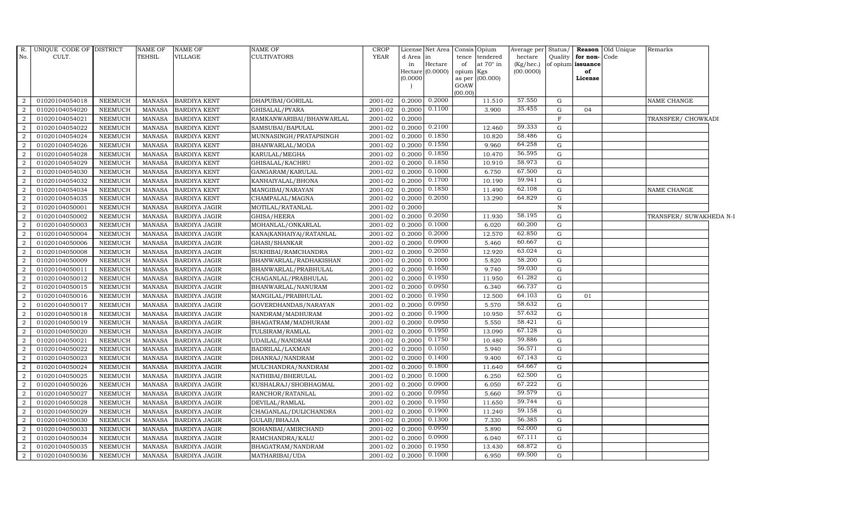| R.<br>No.      | UNIQUE CODE OF DISTRICT<br>CULT. |                                  | <b>NAME OF</b><br>TEHSIL       | NAME OF<br>VILLAGE   | NAME OF<br>CULTIVATORS    | <b>CROP</b><br>YEAR | d Area in<br>in<br>(0.0000) | License Net Area Consis Opium<br>Hectare<br>Hectare (0.0000) | of<br>opium Kgs<br>GOAW<br>(00.00) | tence tendered<br>at $70^\circ$ in<br>as per (00.000) | Average per<br>hectare<br>(Kg/hec.)<br>(00.0000) |              | Quality <b>for non-</b> Code<br>of opium issuance<br>of<br>License | Status/ <b>Reason</b> Old Unique | Remarks                 |  |
|----------------|----------------------------------|----------------------------------|--------------------------------|----------------------|---------------------------|---------------------|-----------------------------|--------------------------------------------------------------|------------------------------------|-------------------------------------------------------|--------------------------------------------------|--------------|--------------------------------------------------------------------|----------------------------------|-------------------------|--|
| 2              | 01020104054018                   | NEEMUCH                          | MANASA                         | <b>BARDIYA KENT</b>  | DHAPUBAI/GORILAL          | 2001-02             | $0.2000$ 0.2000             |                                                              |                                    | 11.510                                                | 57.550                                           | G            |                                                                    |                                  | NAME CHANGE             |  |
| 2              | 01020104054020                   | <b>NEEMUCH</b>                   | <b>MANASA</b>                  | <b>BARDIYA KENT</b>  | GHISALAL/PYARA            | 2001-02             | 0.2000                      | 0.1100                                                       |                                    | 3.900                                                 | 35.455                                           | ${\rm G}$    | 04                                                                 |                                  |                         |  |
| 2              | 01020104054021                   | <b>NEEMUCH</b>                   | <b>MANASA</b>                  | <b>BARDIYA KENT</b>  | RAMKANWARIBAI/BHANWARLAL  | 2001-02             | 0.2000                      |                                                              |                                    |                                                       |                                                  | $\mathbf{F}$ |                                                                    |                                  | TRANSFER/ CHOWKADI      |  |
| $\overline{2}$ | 01020104054022                   | <b>NEEMUCH</b>                   | <b>MANASA</b>                  | <b>BARDIYA KENT</b>  | SAMSUBAI/BAPULAL          | 2001-02             | 0.2000                      | 0.2100                                                       |                                    | 12.460                                                | 59.333                                           | G            |                                                                    |                                  |                         |  |
| $\overline{2}$ | 01020104054024                   | <b>NEEMUCH</b>                   | <b>MANASA</b>                  | <b>BARDIYA KENT</b>  | MUNNASINGH/PRATAPSINGH    | 2001-02             | 0.2000                      | 0.1850                                                       |                                    | 10.820                                                | 58.486                                           | ${\rm G}$    |                                                                    |                                  |                         |  |
| 2              | 01020104054026                   | <b>NEEMUCH</b>                   | <b>MANASA</b>                  | <b>BARDIYA KENT</b>  | BHANWARLAL/MODA           | 2001-02             | 0.2000                      | 0.1550                                                       |                                    | 9.960                                                 | 64.258                                           | G            |                                                                    |                                  |                         |  |
| 2              | 01020104054028                   | <b>NEEMUCH</b>                   | <b>MANASA</b>                  | <b>BARDIYA KENT</b>  | KARULAL/MEGHA             | 2001-02             | 0.2000                      | 0.1850                                                       |                                    | 10.470                                                | 56.595                                           | G            |                                                                    |                                  |                         |  |
| 2              | 01020104054029                   | <b>NEEMUCH</b>                   | <b>MANASA</b>                  | <b>BARDIYA KENT</b>  | GHISALAL/KACHRU           | 2001-02             | 0.2000                      | 0.1850                                                       |                                    | 10.910                                                | 58.973                                           | $\mathbf G$  |                                                                    |                                  |                         |  |
| 2              | 01020104054030                   | <b>NEEMUCH</b>                   | <b>MANASA</b>                  | <b>BARDIYA KENT</b>  | GANGARAM/KARULAL          | 2001-02             | 0.2000                      | 0.1000                                                       |                                    | 6.750                                                 | 67.500                                           | G            |                                                                    |                                  |                         |  |
| $\overline{2}$ | 01020104054032                   | <b>NEEMUCH</b>                   | <b>MANASA</b>                  | <b>BARDIYA KENT</b>  | KANHAIYALAL/BHONA         | 2001-02             | 0.2000                      | 0.1700                                                       |                                    | 10.190                                                | 59.941                                           | $\mathbf G$  |                                                                    |                                  |                         |  |
| 2              | 01020104054034                   | <b>NEEMUCH</b>                   | <b>MANASA</b>                  | <b>BARDIYA KENT</b>  | MANGIBAI/NARAYAN          | 2001-02             | 0.2000                      | 0.1850                                                       |                                    | 11.490                                                | 62.108                                           | G            |                                                                    |                                  | NAME CHANGE             |  |
| $\overline{2}$ | 01020104054035                   | <b>NEEMUCH</b>                   | MANASA                         | <b>BARDIYA KENT</b>  | CHAMPALAL/MAGNA           | 2001-02             | 0.2000                      | 0.2050                                                       |                                    | 13.290                                                | 64.829                                           | ${\rm G}$    |                                                                    |                                  |                         |  |
| 2              | 01020104050001                   | <b>NEEMUCH</b>                   | <b>MANASA</b>                  | <b>BARDIYA JAGIR</b> | MOTILAL/RATANLAL          | 2001-02             | 0.2000                      |                                                              |                                    |                                                       |                                                  | $\, {\rm N}$ |                                                                    |                                  |                         |  |
| $\overline{2}$ | 01020104050002                   | <b>NEEMUCH</b>                   | <b>MANASA</b>                  | <b>BARDIYA JAGIR</b> | GHISA/HEERA               | 2001-02             | 0.2000                      | 0.2050                                                       |                                    | 11.930                                                | 58.195                                           | $\mathbf G$  |                                                                    |                                  | TRANSFER/ SUWAKHEDA N-I |  |
| $\overline{2}$ | 01020104050003                   | <b>NEEMUCH</b>                   | MANASA                         | BARDIYA JAGIR        | MOHANLAL/ONKARLAL         | 2001-02             | 0.2000                      | 0.1000                                                       |                                    | 6.020                                                 | 60.200                                           | ${\rm G}$    |                                                                    |                                  |                         |  |
| 2              | 01020104050004                   | <b>NEEMUCH</b>                   | <b>MANASA</b>                  | <b>BARDIYA JAGIR</b> | KANA(KANHAIYA) / RATANLAL | 2001-02             | 0.2000                      | 0.2000                                                       |                                    | 12.570                                                | 62.850                                           | $\mathbf G$  |                                                                    |                                  |                         |  |
| 2              | 01020104050006                   | <b>NEEMUCH</b>                   | <b>MANASA</b>                  | <b>BARDIYA JAGIR</b> | GHASI/SHANKAR             | 2001-02             | 0.2000                      | 0.0900                                                       |                                    | 5.460                                                 | 60.667                                           | G            |                                                                    |                                  |                         |  |
| $\overline{2}$ | 01020104050008                   | <b>NEEMUCH</b>                   | MANASA                         | <b>BARDIYA JAGIR</b> | SUKHIBAI/RAMCHANDRA       | 2001-02             | 0.2000                      | 0.2050                                                       |                                    | 12.920                                                | 63.024                                           | G            |                                                                    |                                  |                         |  |
| $\overline{2}$ | 01020104050009                   | <b>NEEMUCH</b>                   | <b>MANASA</b>                  | <b>BARDIYA JAGIR</b> | BHANWARLAL/RADHAKISHAN    | 2001-02             | 0.2000                      | 0.1000                                                       |                                    | 5.820                                                 | 58.200                                           | ${\rm G}$    |                                                                    |                                  |                         |  |
| $\overline{2}$ | 01020104050011                   | <b>NEEMUCH</b>                   | <b>MANASA</b>                  | <b>BARDIYA JAGIR</b> | BHANWARLAL/PRABHULAL      | 2001-02             | 0.2000                      | 0.1650                                                       |                                    | 9.740                                                 | 59.030                                           | $\mathbf G$  |                                                                    |                                  |                         |  |
| 2              | 01020104050012                   | <b>NEEMUCH</b>                   | <b>MANASA</b>                  | <b>BARDIYA JAGIR</b> | CHAGANLAL/PRABHULAL       | 2001-02             | 0.2000                      | 0.1950                                                       |                                    | 11.950                                                | 61.282                                           | G            |                                                                    |                                  |                         |  |
| 2              | 01020104050015                   | <b>NEEMUCH</b>                   | <b>MANASA</b>                  | <b>BARDIYA JAGIR</b> | BHANWARLAL/NANURAM        | $\frac{2001-02}{ }$ | 0.2000                      | 0.0950                                                       |                                    | 6.340                                                 | 66.737                                           | G            |                                                                    |                                  |                         |  |
| $\overline{2}$ | 01020104050016                   | <b>NEEMUCH</b>                   | <b>MANASA</b>                  | <b>BARDIYA JAGIR</b> | MANGILAL/PRABHULAL        | 2001-02             | 0.2000                      | 0.1950                                                       |                                    | 12.500                                                | 64.103                                           | ${\rm G}$    | 01                                                                 |                                  |                         |  |
| 2              | 01020104050017                   | <b>NEEMUCH</b>                   | <b>MANASA</b>                  | <b>BARDIYA JAGIR</b> | GOVERDHANDAS/NARAYAN      | 2001-02             | 0.2000                      | 0.0950                                                       |                                    | 5.570                                                 | 58.632                                           | G            |                                                                    |                                  |                         |  |
| $\overline{2}$ | 01020104050018                   | <b>NEEMUCH</b>                   | <b>MANASA</b>                  | <b>BARDIYA JAGIR</b> | NANDRAM/MADHURAM          | 2001-02             | 0.2000                      | 0.1900                                                       |                                    | 10.950                                                | 57.632                                           | ${\rm G}$    |                                                                    |                                  |                         |  |
| $\overline{2}$ | 01020104050019                   | <b>NEEMUCH</b>                   | <b>MANASA</b>                  | <b>BARDIYA JAGIR</b> | BHAGATRAM/MADHURAM        | 2001-02             | 0.2000                      | 0.0950                                                       |                                    | 5.550                                                 | 58.421                                           | G            |                                                                    |                                  |                         |  |
| 2              | 01020104050020                   | <b>NEEMUCH</b>                   | <b>MANASA</b>                  | <b>BARDIYA JAGIR</b> | TULSIRAM/RAMLAL           | 2001-02             | 0.2000                      | 0.1950                                                       |                                    | 13.090                                                | 67.128                                           | G            |                                                                    |                                  |                         |  |
| 2              | 01020104050021                   | <b>NEEMUCH</b>                   | <b>MANASA</b>                  | <b>BARDIYA JAGIR</b> | UDAILAL/NANDRAM           | 2001-02             | 0.2000                      | 0.1750                                                       |                                    | 10.480                                                | 59.886                                           | G            |                                                                    |                                  |                         |  |
| 2              | 01020104050022                   | <b>NEEMUCH</b>                   | <b>MANASA</b>                  | <b>BARDIYA JAGIR</b> | BADRILAL/LAXMAN           | 2001-02             | 0.2000                      | 0.1050                                                       |                                    | 5.940                                                 | 56.571                                           | ${\rm G}$    |                                                                    |                                  |                         |  |
| 2              | 01020104050023                   | <b>NEEMUCH</b>                   | MANASA                         | <b>BARDIYA JAGIR</b> | DHANRAJ/NANDRAM           | 2001-02             | 0.2000                      | 0.1400                                                       |                                    | 9.400                                                 | 67.143                                           | $\mathbf G$  |                                                                    |                                  |                         |  |
| $\overline{2}$ | 01020104050024                   | <b>NEEMUCH</b>                   | <b>MANASA</b>                  | <b>BARDIYA JAGIR</b> | MULCHANDRA/NANDRAM        | 2001-02             | 0.2000                      | 0.1800                                                       |                                    | 11.640                                                | 64.667                                           | ${\rm G}$    |                                                                    |                                  |                         |  |
| 2              | 01020104050025                   | <b>NEEMUCH</b>                   | <b>MANASA</b>                  | <b>BARDIYA JAGIR</b> | NATHIBAI/BHERULAL         | 2001-02             | 0.2000                      | 0.1000                                                       |                                    | 6.250                                                 | 62.500<br>67.222                                 | G            |                                                                    |                                  |                         |  |
| 2              | 01020104050026                   | <b>NEEMUCH</b>                   | <b>MANASA</b>                  | <b>BARDIYA JAGIR</b> | KUSHALRAJ/SHOBHAGMAL      | 2001-02             | 0.2000                      | 0.0900                                                       |                                    | 6.050                                                 | 59.579                                           | G            |                                                                    |                                  |                         |  |
| 2              | 01020104050027                   | <b>NEEMUCH</b>                   | <b>MANASA</b>                  | <b>BARDIYA JAGIR</b> | RANCHOR/RATANLAL          | 2001-02             | 0.2000                      | 0.0950                                                       |                                    | 5.660                                                 |                                                  | $\mathbf G$  |                                                                    |                                  |                         |  |
| 2              | 01020104050028                   | <b>NEEMUCH</b>                   | <b>MANASA</b>                  | <b>BARDIYA JAGIR</b> | DEVILAL/RAMLAL            | 2001-02             | 0.2000                      | 0.1950<br>0.1900                                             |                                    | 11.650                                                | 59.744<br>59.158                                 | G            |                                                                    |                                  |                         |  |
| $\overline{2}$ | 01020104050029                   | <b>NEEMUCH</b>                   | <b>MANASA</b>                  | <b>BARDIYA JAGIR</b> | CHAGANLAL/DULICHANDRA     | 2001-02             | 0.2000                      | 0.1300                                                       |                                    | 11.240                                                | 56.385                                           | $\mathbf G$  |                                                                    |                                  |                         |  |
| 2              | 01020104050030                   | <b>NEEMUCH</b>                   | <b>MANASA</b>                  | <b>BARDIYA JAGIR</b> | GULAB/BHAJJA              | 2001-02             | 0.2000                      | 0.0950                                                       |                                    | 7.330                                                 | 62.000                                           | G            |                                                                    |                                  |                         |  |
| 2              | 01020104050033                   | <b>NEEMUCH</b>                   | <b>MANASA</b>                  | BARDIYA JAGIR        | SOHANBAI/AMIRCHAND        | 2001-02             | 0.2000                      | 0.0900                                                       |                                    | 5.890                                                 | 67.111                                           | G            |                                                                    |                                  |                         |  |
| 2              | 01020104050034                   | <b>NEEMUCH</b>                   | <b>MANASA</b>                  | <b>BARDIYA JAGIR</b> | RAMCHANDRA/KALU           | 2001-02             | 0.2000                      | 0.1950                                                       |                                    | 6.040                                                 | 68.872                                           | G            |                                                                    |                                  |                         |  |
| 2              | 01020104050035<br>01020104050036 | <b>NEEMUCH</b><br><b>NEEMUCH</b> | <b>MANASA</b><br><b>MANASA</b> | <b>BARDIYA JAGIR</b> | BHAGATRAM/NANDRAM         | 2001-02             | 0.2000                      | $0.2000 \quad 0.1000$                                        |                                    | 13.430<br>6.950                                       | 69.500                                           | G<br>G       |                                                                    |                                  |                         |  |
| $\overline{a}$ |                                  |                                  |                                | <b>BARDIYA JAGIR</b> | MATHARIBAI/UDA            | 2001-02             |                             |                                                              |                                    |                                                       |                                                  |              |                                                                    |                                  |                         |  |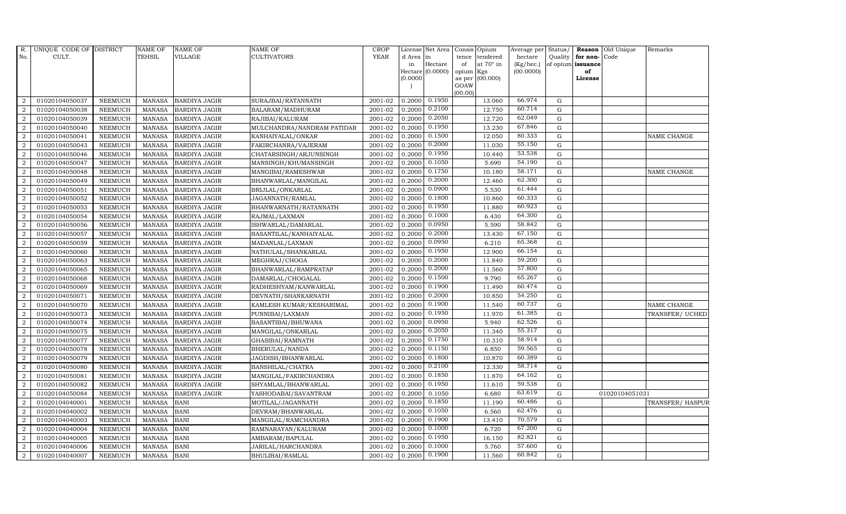| R.               | UNIQUE CODE OF DISTRICT |                | <b>NAME OF</b> | <b>NAME OF</b>       | <b>NAME OF</b>             | <b>CROP</b> |          | License Net Area   |           | Consis Opium    | Average per | Status/     | <b>Reason</b>     | Old Unique     | Remarks         |
|------------------|-------------------------|----------------|----------------|----------------------|----------------------------|-------------|----------|--------------------|-----------|-----------------|-------------|-------------|-------------------|----------------|-----------------|
| No.              | CULT.                   |                | <b>TEHSIL</b>  | VILLAGE              | CULTIVATORS                | <b>YEAR</b> | d Area   | in                 | tence     | tendered        | hectare     | Quality     | for non-          | Code           |                 |
|                  |                         |                |                |                      |                            |             | in       | Hectare            | of        | at 70° in       | (Kg/hec.)   |             | of opium issuance |                |                 |
|                  |                         |                |                |                      |                            |             |          | Hectare $(0.0000)$ | opium Kgs |                 | (00.0000)   |             | of<br>License     |                |                 |
|                  |                         |                |                |                      |                            |             | (0.0000) |                    | GOAW      | as per (00.000) |             |             |                   |                |                 |
|                  |                         |                |                |                      |                            |             |          |                    | (00.00)   |                 |             |             |                   |                |                 |
| 2                | 01020104050037          | <b>NEEMUCH</b> | MANASA         | <b>BARDIYA JAGIR</b> | SURAJBAI/RATANNATH         | 2001-02     |          | $0.2000$ $0.1950$  |           | 13.060          | 66.974      | G           |                   |                |                 |
| 2                | 01020104050038          | <b>NEEMUCH</b> | <b>MANASA</b>  | <b>BARDIYA JAGIR</b> | BALARAM/MADHURAM           | 2001-02     | 0.2000   | 0.2100             |           | 12.750          | 60.714      | $\mathbf G$ |                   |                |                 |
| 2                | 01020104050039          | <b>NEEMUCH</b> | <b>MANASA</b>  | <b>BARDIYA JAGIR</b> | RAJIBAI/KALURAM            | 2001-02     | 0.2000   | 0.2050             |           | 12.720          | 62.049      | G           |                   |                |                 |
| $\overline{2}$   | 01020104050040          | <b>NEEMUCH</b> | <b>MANASA</b>  | <b>BARDIYA JAGIR</b> | MULCHANDRA/NANDRAM PATIDAR | 2001-02     | 0.2000   | 0.1950             |           | 13.230          | 67.846      | $\mathbf G$ |                   |                |                 |
| 2                | 01020104050041          | <b>NEEMUCH</b> | <b>MANASA</b>  | <b>BARDIYA JAGIR</b> | KANHAIYALAL/ONKAR          | 2001-02     | 0.2000   | 0.1500             |           | 12.050          | 80.333      | ${\rm G}$   |                   |                | NAME CHANGE     |
| 2                | 01020104050043          | <b>NEEMUCH</b> | <b>MANASA</b>  | <b>BARDIYA JAGIR</b> | FAKIRCHANRA/VAJERAM        | 2001-02     | 0.2000   | 0.2000             |           | 11.030          | 55.150      | ${\rm G}$   |                   |                |                 |
| 2                | 01020104050046          | <b>NEEMUCH</b> | <b>MANASA</b>  | <b>BARDIYA JAGIR</b> | CHATARSINGH/ARJUNSINGH     | 2001-02     | 0.2000   | 0.1950             |           | 10.440          | 53.538      | ${\rm G}$   |                   |                |                 |
| 2                | 01020104050047          | <b>NEEMUCH</b> | <b>MANASA</b>  | <b>BARDIYA JAGIR</b> | MANSINGH/KHUMANSINGH       | 2001-02     | 0.2000   | 0.1050             |           | 5.690           | 54.190      | $\mathbf G$ |                   |                |                 |
| $\overline{2}$   | 01020104050048          | <b>NEEMUCH</b> | <b>MANASA</b>  | <b>BARDIYA JAGIR</b> | MANGIBAI/RAMESHWAR         | 2001-02     | 0.2000   | 0.1750             |           | 10.180          | 58.171      | $\mathbf G$ |                   |                | NAME CHANGE     |
| 2                | 01020104050049          | <b>NEEMUCH</b> | <b>MANASA</b>  | <b>BARDIYA JAGIR</b> | BHANWARLAL/MANGILAL        | 2001-02     | 0.2000   | 0.2000             |           | 12.460          | 62.300      | ${\rm G}$   |                   |                |                 |
| $\overline{2}$   | 01020104050051          | <b>NEEMUCH</b> | <b>MANASA</b>  | <b>BARDIYA JAGIR</b> | BRIJLAL/ONKARLAL           | 2001-02     | 0.2000   | 0.0900             |           | 5.530           | 61.444      | ${\rm G}$   |                   |                |                 |
| 2                | 01020104050052          | <b>NEEMUCH</b> | <b>MANASA</b>  | <b>BARDIYA JAGIR</b> | JAGANNATH/RAMLAL           | 2001-02     | 0.2000   | 0.1800             |           | 10.860          | 60.333      | $\mathbf G$ |                   |                |                 |
| 2                | 01020104050053          | <b>NEEMUCH</b> | <b>MANASA</b>  | <b>BARDIYA JAGIR</b> | BHANWARNATH/RATANNATH      | 2001-02     | 0.2000   | 0.1950             |           | 11.880          | 60.923      | $\mathbf G$ |                   |                |                 |
| $\overline{2}$   | 01020104050054          | <b>NEEMUCH</b> | <b>MANASA</b>  | <b>BARDIYA JAGIR</b> | RAJMAL/LAXMAN              | 2001-02     | 0.2000   | 0.1000             |           | 6.430           | 64.300      | $\mathbf G$ |                   |                |                 |
| 2                | 01020104050056          | <b>NEEMUCH</b> | <b>MANASA</b>  | <b>BARDIYA JAGIR</b> | ISHWARLAL/DAMARLAL         | 2001-02     | 0.2000   | 0.0950             |           | 5.590           | 58.842      | ${\rm G}$   |                   |                |                 |
| $\overline{2}$   | 01020104050057          | <b>NEEMUCH</b> | <b>MANASA</b>  | <b>BARDIYA JAGIR</b> | BASANTILAL/KANHAIYALAL     | 2001-02     | 0.2000   | 0.2000             |           | 13.430          | 67.150      | ${\rm G}$   |                   |                |                 |
| 2                | 01020104050059          | <b>NEEMUCH</b> | <b>MANASA</b>  | <b>BARDIYA JAGIR</b> | MADANLAL/LAXMAN            | 2001-02     | 0.2000   | 0.0950             |           | 6.210           | 65.368      | G           |                   |                |                 |
| 2                | 01020104050060          | <b>NEEMUCH</b> | <b>MANASA</b>  | <b>BARDIYA JAGIR</b> | NATHULAL/SHANKARLAL        | 2001-02     | 0.2000   | 0.1950             |           | 12.900          | 66.154      | $\mathbf G$ |                   |                |                 |
| $\overline{2}$   | 01020104050063          | <b>NEEMUCH</b> | <b>MANASA</b>  | <b>BARDIYA JAGIR</b> | MEGHRAJ/CHOGA              | 2001-02     | 0.2000   | 0.2000             |           | 11.840          | 59.200      | $\mathbf G$ |                   |                |                 |
| 2                | 01020104050065          | <b>NEEMUCH</b> | <b>MANASA</b>  | <b>BARDIYA JAGIR</b> | BHANWARLAL/RAMPRATAP       | 2001-02     | 0.2000   | 0.2000             |           | 11.560          | 57.800      | $\mathbf G$ |                   |                |                 |
| 2                | 01020104050068          | <b>NEEMUCH</b> | <b>MANASA</b>  | <b>BARDIYA JAGIR</b> | DAMARLAL/CHOGALAL          | 2001-02     | 0.2000   | 0.1500             |           | 9.790           | 65.267      | $\mathbf G$ |                   |                |                 |
| $\boldsymbol{2}$ | 01020104050069          | <b>NEEMUCH</b> | <b>MANASA</b>  | <b>BARDIYA JAGIR</b> | RADHESHYAM/KANWARLAL       | 2001-02     | 0.2000   | 0.1900             |           | 11.490          | 60.474      | ${\rm G}$   |                   |                |                 |
| 2                | 01020104050071          | <b>NEEMUCH</b> | <b>MANASA</b>  | <b>BARDIYA JAGIR</b> | DEVNATH/SHANKARNATH        | 2001-02     | 0.2000   | 0.2000             |           | 10.850          | 54.250      | G           |                   |                |                 |
| 2                | 01020104050070          | <b>NEEMUCH</b> | <b>MANASA</b>  | <b>BARDIYA JAGIR</b> | KAMLESH KUMAR/KESHARIMAL   | 2001-02     | 0.2000   | 0.1900             |           | 11.540          | 60.737      | $\mathbf G$ |                   |                | NAME CHANGE     |
| $\overline{2}$   | 01020104050073          | <b>NEEMUCH</b> | <b>MANASA</b>  | <b>BARDIYA JAGIR</b> | PUNNIBAI/LAXMAN            | 2001-02     | 0.2000   | 0.1950             |           | 11.970          | 61.385      | $\mathbf G$ |                   |                | TRANSFER/ UCHED |
| 2                | 01020104050074          | <b>NEEMUCH</b> | <b>MANASA</b>  | <b>BARDIYA JAGIR</b> | BASANTIBAI/BHUWANA         | 2001-02     | 0.2000   | 0.0950             |           | 5.940           | 62.526      | ${\rm G}$   |                   |                |                 |
| $\overline{2}$   | 01020104050075          | <b>NEEMUCH</b> | <b>MANASA</b>  | <b>BARDIYA JAGIR</b> | MANGILAL/ONKARLAL          | 2001-02     | 0.2000   | 0.2050             |           | 11.340          | 55.317      | G           |                   |                |                 |
| 2                | 01020104050077          | <b>NEEMUCH</b> | <b>MANASA</b>  | <b>BARDIYA JAGIR</b> | GHASIBAI/RAMNATH           | 2001-02     | 0.2000   | 0.1750             |           | 10.310          | 58.914      | $\mathbf G$ |                   |                |                 |
| 2                | 01020104050078          | <b>NEEMUCH</b> | <b>MANASA</b>  | <b>BARDIYA JAGIR</b> | BHERULAL/NANDA             | 2001-02     | 0.2000   | 0.1150             |           | 6.850           | 59.565      | $\mathbf G$ |                   |                |                 |
| $\overline{2}$   | 01020104050079          | <b>NEEMUCH</b> | <b>MANASA</b>  | <b>BARDIYA JAGIR</b> | JAGDISH/BHANWARLAL         | 2001-02     | 0.2000   | 0.1800             |           | 10.870          | 60.389      | $\mathbf G$ |                   |                |                 |
| $\overline{2}$   | 01020104050080          | <b>NEEMUCH</b> | <b>MANASA</b>  | BARDIYA JAGIR        | BANSHILAL/CHATRA           | 2001-02     | 0.2000   | 0.2100             |           | 12.330          | 58.714      | G           |                   |                |                 |
| $\overline{2}$   | 01020104050081          | <b>NEEMUCH</b> | <b>MANASA</b>  | <b>BARDIYA JAGIR</b> | MANGILAL/FAKIRCHANDRA      | 2001-02     | 0.2000   | 0.1850             |           | 11.870          | 64.162      | ${\rm G}$   |                   |                |                 |
| $\overline{2}$   | 01020104050082          | <b>NEEMUCH</b> | <b>MANASA</b>  | <b>BARDIYA JAGIR</b> | SHYAMLAL/BHANWARLAL        | 2001-02     | 0.2000   | 0.1950             |           | 11.610          | 59.538      | ${\rm G}$   |                   |                |                 |
| 2                | 01020104050084          | <b>NEEMUCH</b> | <b>MANASA</b>  | <b>BARDIYA JAGIR</b> | YASHODABAI/SAVANTRAM       | 2001-02     | 0.2000   | 0.1050             |           | 6.680           | 63.619      | $\mathbf G$ |                   | 01020104051031 |                 |
| 2                | 01020104040001          | <b>NEEMUCH</b> | <b>MANASA</b>  | <b>BANI</b>          | MOTILAL/JAGANNATH          | 2001-02     | 0.2000   | 0.1850             |           | 11.190          | 60.486      | $\mathbf G$ |                   |                | TRANSFER/HASPUR |
| $\overline{2}$   | 01020104040002          | <b>NEEMUCH</b> | <b>MANASA</b>  | <b>BANI</b>          | DEVRAM/BHANWARLAL          | 2001-02     | 0.2000   | 0.1050             |           | 6.560           | 62.476      | ${\rm G}$   |                   |                |                 |
| $\overline{2}$   | 01020104040003          | <b>NEEMUCH</b> | <b>MANASA</b>  | <b>BANI</b>          | MANGILAL/RAMCHANDRA        | 2001-02     | 0.2000   | 0.1900             |           | 13.410          | 70.579      | ${\rm G}$   |                   |                |                 |
| $\overline{2}$   | 01020104040004          | <b>NEEMUCH</b> | <b>MANASA</b>  | <b>BANI</b>          | RAMNARAYAN/KALURAM         | 2001-02     | 0.2000   | 0.1000             |           | 6.720           | 67.200      | ${\rm G}$   |                   |                |                 |
| 2                | 01020104040005          | <b>NEEMUCH</b> | <b>MANASA</b>  | <b>BANI</b>          | AMBARAM/BAPULAL            | 2001-02     | 0.2000   | 0.1950             |           | 16.150          | 82.821      | $\mathbf G$ |                   |                |                 |
| 2                | 01020104040006          | <b>NEEMUCH</b> | <b>MANASA</b>  | <b>BANI</b>          | JARILAL/HARCHANDRA         | 2001-02     | 0.2000   | 0.1000             |           | 5.760           | 57.600      | $\mathbf G$ |                   |                |                 |
| $\overline{2}$   | 01020104040007          | <b>NEEMUCH</b> | MANASA         | <b>BANI</b>          | BHULIBAI/RAMLAL            | 2001-02     | 0.2000   | 0.1900             |           | 11.560          | 60.842      | G           |                   |                |                 |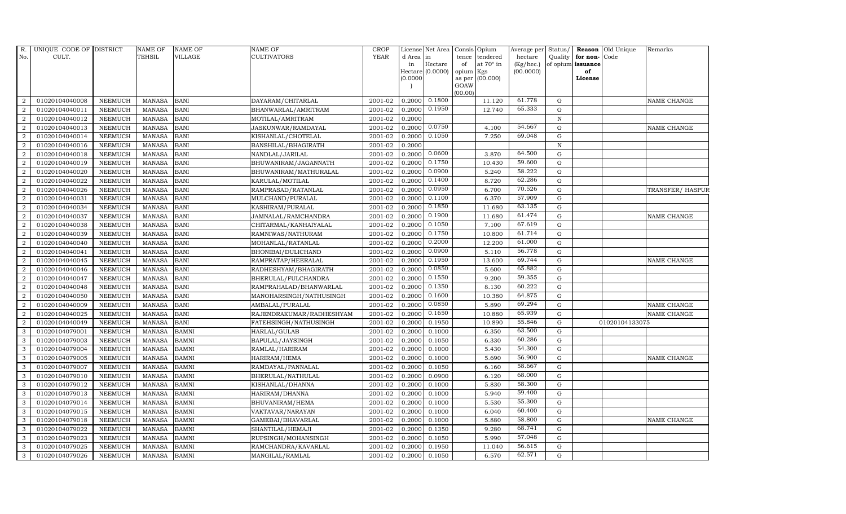| d Area in<br>tendered<br>hectare<br>Quality<br>for non-<br>Code<br>tence<br>Hectare<br>at $70^\circ$ in<br>(Kg/hec.)<br>of opium issuance<br>in<br>of<br>Hectare (0.0000)<br>(00.0000)<br>opium<br>Kgs<br>of<br>(0.0000)<br>(00.000)<br>as per<br>License<br>GOAW<br>(00.00)<br>0.1800<br>61.778<br><b>BANI</b><br>2001-02<br>0.2000<br>11.120<br>$\mathbf G$<br>$\overline{2}$<br>01020104040008<br><b>NEEMUCH</b><br><b>MANASA</b><br>DAYARAM/CHITARLAL<br>NAME CHANGE<br>0.1950<br>65.333<br>2001-02<br>12.740<br>${\rm G}$<br>$\overline{a}$<br>01020104040011<br><b>NEEMUCH</b><br><b>MANASA</b><br><b>BANI</b><br>0.2000<br>BHANWARLAL/AMRITRAM<br>2<br>2001-02<br>0.2000<br>$\, {\rm N}$<br>01020104040012<br><b>NEEMUCH</b><br><b>MANASA</b><br><b>BANI</b><br>MOTILAL/AMRITRAM<br>0.0750<br>54.667<br>$\boldsymbol{2}$<br>01020104040013<br><b>NEEMUCH</b><br><b>MANASA</b><br><b>BANI</b><br>JASKUNWAR/RAMDAYAL<br>2001-02<br>0.2000<br>4.100<br>$\mathbf G$<br>NAME CHANGE<br>0.1050<br>69.048<br>01020104040014<br><b>NEEMUCH</b><br>2001-02<br>7.250<br>$\mathbf G$<br>$\overline{2}$<br><b>MANASA</b><br><b>BANI</b><br>KISHANLAL/CHOTELAL<br>0.2000<br><b>NEEMUCH</b><br><b>BANI</b><br>2001-02<br>$\, {\bf N}$<br>$\overline{2}$<br>01020104040016<br><b>MANASA</b><br>0.2000<br>BANSHILAL/BHAGIRATH<br>0.0600<br>64.500<br>2001-02<br>${\rm G}$<br>$\overline{a}$<br>01020104040018<br>NEEMUCH<br><b>MANASA</b><br><b>BANI</b><br>0.2000<br>3.870<br>NANDLAL/JARILAL<br>0.1750<br>59.600<br>$\overline{2}$<br>2001-02<br>01020104040019<br><b>NEEMUCH</b><br><b>MANASA</b><br><b>BANI</b><br>BHUWANIRAM/JAGANNATH<br>0.2000<br>10.430<br>G<br>0.0900<br>58.222<br>$\boldsymbol{2}$<br>01020104040020<br><b>NEEMUCH</b><br><b>MANASA</b><br><b>BANI</b><br>BHUWANIRAM/MATHURALAL<br>2001-02<br>0.2000<br>5.240<br>$\mathbf G$<br>0.1400<br>62.286<br>8.720<br>$\boldsymbol{2}$<br>01020104040022<br><b>NEEMUCH</b><br><b>BANI</b><br>2001-02<br>${\rm G}$<br><b>MANASA</b><br>KARULAL/MOTILAL<br>0.2000<br>0.0950<br>70.526<br>6.700<br>${\rm G}$<br>$\overline{2}$<br>01020104040026<br><b>NEEMUCH</b><br><b>MANASA</b><br><b>BANI</b><br>2001-02<br>0.2000<br>RAMPRASAD/RATANLAL<br>TRANSFER/ HASPUR<br>57.909<br>0.1100<br>01020104040031<br>2001-02<br>6.370<br>${\rm G}$<br>2<br><b>NEEMUCH</b><br><b>MANASA</b><br><b>BANI</b><br>MULCHAND/PURALAL<br>0.2000<br>0.1850<br>63.135<br>$\overline{2}$<br>2001-02<br>11.680<br>01020104040034<br><b>NEEMUCH</b><br><b>MANASA</b><br><b>BANI</b><br>KASHIRAM/PURALAL<br>0.2000<br>G<br>0.1900<br>61.474<br>$\overline{2}$<br>01020104040037<br><b>MANASA</b><br><b>BANI</b><br>2001-02<br>11.680<br>${\rm G}$<br><b>NEEMUCH</b><br>JAMNALAL/RAMCHANDRA<br>0.2000<br>NAME CHANGE<br>0.1050<br>67.619<br>$\overline{2}$<br>01020104040038<br>NEEMUCH<br><b>BANI</b><br>2001-02<br>7.100<br>${\rm G}$<br><b>MANASA</b><br>CHITARMAL/KANHAIYALAL<br>0.2000<br>0.1750<br>61.714<br><b>BANI</b><br>10.800<br>G<br>$\overline{2}$<br>01020104040039<br><b>NEEMUCH</b><br><b>MANASA</b><br>RAMNIWAS/NATHURAM<br>2001-02<br>0.2000<br>0.2000<br>61.000<br>2001-02<br>12.200<br>2<br>01020104040040<br><b>NEEMUCH</b><br><b>MANASA</b><br><b>BANI</b><br>MOHANLAL/RATANLAL<br>0.2000<br>$\mathbf G$<br>0.0900<br>56.778<br>$\overline{2}$<br>01020104040041<br>2001-02<br>5.110<br>$\mathbf G$<br><b>NEEMUCH</b><br><b>MANASA</b><br><b>BANI</b><br>BHONIBAI/DULICHAND<br>0.2000<br>0.1950<br>69.744<br>$\overline{2}$<br>01020104040045<br><b>BANI</b><br>2001-02<br>$\mathbf G$<br><b>NEEMUCH</b><br><b>MANASA</b><br>RAMPRATAP/HEERALAL<br>0.2000<br>13.600<br>NAME CHANGE<br>0.0850<br>65.882<br>${\bf G}$<br>$\overline{2}$<br>01020104040046<br><b>NEEMUCH</b><br><b>MANASA</b><br><b>BANI</b><br>2001-02<br>5.600<br>RADHESHYAM/BHAGIRATH<br>0.2000<br>0.1550<br>59.355<br>${\rm G}$<br><b>BANI</b><br>2001-02<br>9.200<br>$\overline{2}$<br>01020104040047<br><b>NEEMUCH</b><br><b>MANASA</b><br>BHERULAL/FULCHANDRA<br>0.2000<br>0.1350<br>60.222<br>2001-02<br>${\rm G}$<br>2<br>01020104040048<br><b>NEEMUCH</b><br><b>MANASA</b><br><b>BANI</b><br>RAMPRAHALAD/BHANWARLAL<br>0.2000<br>8.130<br>64.875<br>0.1600<br>$\overline{2}$<br>01020104040050<br>NEEMUCH<br>2001-02<br>0.2000<br>10.380<br>${\rm G}$<br><b>MANASA</b><br><b>BANI</b><br>MANOHARSINGH/NATHUSINGH<br>0.0850<br>69.294<br>$\mathbf G$<br>$\overline{2}$<br>01020104040009<br><b>NEEMUCH</b><br><b>MANASA</b><br><b>BANI</b><br>2001-02<br>0.2000<br>5.890<br>NAME CHANGE<br>AMBALAL/PURALAL<br>0.1650<br>65.939<br>$\overline{2}$<br>$\mathbf G$<br>01020104040025<br><b>NEEMUCH</b><br><b>MANASA</b><br><b>BANI</b><br>RAJENDRAKUMAR/RADHESHYAM<br>2001-02<br>0.2000<br>10.880<br>NAME CHANGE<br>55.846<br><b>BANI</b><br>$\mathbf G$<br>$\overline{2}$<br>01020104040049<br><b>NEEMUCH</b><br><b>MANASA</b><br>FATEHSINGH/NATHUSINGH<br>2001-02<br>0.2000<br>0.1950<br>10.890<br>01020104133075<br>63.500<br><b>BAMNI</b><br>2001-02<br>0.1000<br>6.350<br>${\rm G}$<br>3<br>01020104079001<br><b>NEEMUCH</b><br><b>MANASA</b><br>HARLAL/GULAB<br>0.2000<br>60.286<br>3<br>01020104079003<br>NEEMUCH<br><b>BAMNI</b><br>2001-02<br>0.1050<br>6.330<br>${\rm G}$<br><b>MANASA</b><br>BAPULAL/JAYSINGH<br>0.2000<br>54.300<br>${\rm G}$<br>01020104079004<br><b>BAMNI</b><br>2001-02<br>0.1000<br>5.430<br>3<br><b>NEEMUCH</b><br><b>MANASA</b><br>RAMLAL/HARIRAM<br>0.2000<br>56.900<br>01020104079005<br>3<br><b>NEEMUCH</b><br><b>MANASA</b><br><b>BAMNI</b><br>HARIRAM/HEMA<br>2001-02<br>0.2000<br>0.1000<br>5.690<br>$\mathbf G$<br>NAME CHANGE<br>58.667<br><b>BAMNI</b><br>2001-02<br>0.2000<br>0.1050<br>${\rm G}$<br>3<br>01020104079007<br><b>NEEMUCH</b><br><b>MANASA</b><br>RAMDAYAL/PANNALAL<br>6.160<br>68.000<br>3<br><b>MANASA</b><br><b>BAMNI</b><br>2001-02<br>0.0900<br>6.120<br>${\rm G}$<br>01020104079010<br><b>NEEMUCH</b><br>BHERULAL/NATHULAL<br>0.2000<br>58.300<br>2001-02<br>3<br>01020104079012<br><b>NEEMUCH</b><br><b>MANASA</b><br><b>BAMNI</b><br>0.2000<br>0.1000<br>5.830<br>${\rm G}$<br>KISHANLAL/DHANNA<br>59.400<br>$\mathbf G$<br><b>BAMNI</b><br>2001-02<br>0.1000<br>5.940<br>3<br>01020104079013<br><b>NEEMUCH</b><br><b>MANASA</b><br>HARIRAM/DHANNA<br>0.2000<br>3<br>5.530<br>55.300<br>01020104079014<br><b>NEEMUCH</b><br><b>MANASA</b><br><b>BAMNI</b><br>BHUVANIRAM/HEMA<br>2001-02<br>0.2000<br>0.1000<br>$\mathbf G$<br>60.400<br><b>NEEMUCH</b><br><b>BAMNI</b><br>0.1000<br>6.040<br>${\rm G}$<br>3<br>01020104079015<br><b>MANASA</b><br>VAKTAVAR/NARAYAN<br>2001-02<br>0.2000<br>58.800<br>01020104079018<br><b>NEEMUCH</b><br><b>MANASA</b><br><b>BAMNI</b><br>2001-02<br>0.2000<br>0.1000<br>5.880<br>G<br>3<br>GAMEBAI/BHAVARLAL<br>NAME CHANGE<br>68.741<br>3<br>9.280<br>${\rm G}$<br>01020104079022<br><b>NEEMUCH</b><br><b>MANASA</b><br>BAMNI<br>2001-02<br>0.2000<br>0.1350<br>SHANTILAL/HEMAJI<br>57.048<br>${\rm G}$<br>01020104079023<br>2001-02<br>0.1050<br>5.990<br>3<br><b>NEEMUCH</b><br><b>MANASA</b><br><b>BAMNI</b><br>RUPSINGH/MOHANSINGH<br>0.2000<br>56.615<br>3<br>01020104079025<br><b>NEEMUCH</b><br><b>MANASA</b><br><b>BAMNI</b><br>RAMCHANDRA/KAVARLAL<br>2001-02<br>0.2000<br>0.1950<br>11.040<br>$\mathbf G$<br>62.571<br>6.570<br>3<br>01020104079026<br><b>NEEMUCH</b><br><b>MANASA</b><br><b>BAMNI</b><br>2001-02<br>0.2000<br>0.1050<br>G | R.  | UNIQUE CODE OF DISTRICT | <b>NAME OF</b> | <b>NAME OF</b> | NAME OF         | CROP        | License Net Area | Consis Opium | Average per | Status/ | <b>Reason</b> | Old Unique | Remarks |
|------------------------------------------------------------------------------------------------------------------------------------------------------------------------------------------------------------------------------------------------------------------------------------------------------------------------------------------------------------------------------------------------------------------------------------------------------------------------------------------------------------------------------------------------------------------------------------------------------------------------------------------------------------------------------------------------------------------------------------------------------------------------------------------------------------------------------------------------------------------------------------------------------------------------------------------------------------------------------------------------------------------------------------------------------------------------------------------------------------------------------------------------------------------------------------------------------------------------------------------------------------------------------------------------------------------------------------------------------------------------------------------------------------------------------------------------------------------------------------------------------------------------------------------------------------------------------------------------------------------------------------------------------------------------------------------------------------------------------------------------------------------------------------------------------------------------------------------------------------------------------------------------------------------------------------------------------------------------------------------------------------------------------------------------------------------------------------------------------------------------------------------------------------------------------------------------------------------------------------------------------------------------------------------------------------------------------------------------------------------------------------------------------------------------------------------------------------------------------------------------------------------------------------------------------------------------------------------------------------------------------------------------------------------------------------------------------------------------------------------------------------------------------------------------------------------------------------------------------------------------------------------------------------------------------------------------------------------------------------------------------------------------------------------------------------------------------------------------------------------------------------------------------------------------------------------------------------------------------------------------------------------------------------------------------------------------------------------------------------------------------------------------------------------------------------------------------------------------------------------------------------------------------------------------------------------------------------------------------------------------------------------------------------------------------------------------------------------------------------------------------------------------------------------------------------------------------------------------------------------------------------------------------------------------------------------------------------------------------------------------------------------------------------------------------------------------------------------------------------------------------------------------------------------------------------------------------------------------------------------------------------------------------------------------------------------------------------------------------------------------------------------------------------------------------------------------------------------------------------------------------------------------------------------------------------------------------------------------------------------------------------------------------------------------------------------------------------------------------------------------------------------------------------------------------------------------------------------------------------------------------------------------------------------------------------------------------------------------------------------------------------------------------------------------------------------------------------------------------------------------------------------------------------------------------------------------------------------------------------------------------------------------------------------------------------------------------------------------------------------------------------------------------------------------------------------------------------------------------------------------------------------------------------------------------------------------------------------------------------------------------------------------------------------------------------------------------------------------------------------------------------------------------------------------------------------------------------------------------------------------------------------------------------------------------------------------------------------------------------------------------------------------------------------------------------------------------------------------------------------------------------------------------------------------------------------------------------------------------------------------------------------------------------------------------------------------------------------------------------------------------------------------------------------------------------------------------------------------------------------------------------------------------------------------------------------------------------------------------------------------------------------------------------------------------------------------------------------------------------------------------------------------------------------------------------------------------------------------------------------------------------------------------------------------------------------------------------------------------------------------------------------------------------------------------------------------------------------------------------------------------------------------------------------------------------------------------------------------------------------------------------------------------------------------------------------------------------------------------------------------------|-----|-------------------------|----------------|----------------|-----------------|-------------|------------------|--------------|-------------|---------|---------------|------------|---------|
|                                                                                                                                                                                                                                                                                                                                                                                                                                                                                                                                                                                                                                                                                                                                                                                                                                                                                                                                                                                                                                                                                                                                                                                                                                                                                                                                                                                                                                                                                                                                                                                                                                                                                                                                                                                                                                                                                                                                                                                                                                                                                                                                                                                                                                                                                                                                                                                                                                                                                                                                                                                                                                                                                                                                                                                                                                                                                                                                                                                                                                                                                                                                                                                                                                                                                                                                                                                                                                                                                                                                                                                                                                                                                                                                                                                                                                                                                                                                                                                                                                                                                                                                                                                                                                                                                                                                                                                                                                                                                                                                                                                                                                                                                                                                                                                                                                                                                                                                                                                                                                                                                                                                                                                                                                                                                                                                                                                                                                                                                                                                                                                                                                                                                                                                                                                                                                                                                                                                                                                                                                                                                                                                                                                                                                                                                                                                                                                                                                                                                                                                                                                                                                                                                                                                                                                                                                                                                                                                                                                                                                                                                                                                                                                                                                                                                                                                                                              | No. | CULT.                   | TEHSIL         | <b>VILLAGE</b> | CULTIVATORS     | <b>YEAR</b> |                  |              |             |         |               |            |         |
|                                                                                                                                                                                                                                                                                                                                                                                                                                                                                                                                                                                                                                                                                                                                                                                                                                                                                                                                                                                                                                                                                                                                                                                                                                                                                                                                                                                                                                                                                                                                                                                                                                                                                                                                                                                                                                                                                                                                                                                                                                                                                                                                                                                                                                                                                                                                                                                                                                                                                                                                                                                                                                                                                                                                                                                                                                                                                                                                                                                                                                                                                                                                                                                                                                                                                                                                                                                                                                                                                                                                                                                                                                                                                                                                                                                                                                                                                                                                                                                                                                                                                                                                                                                                                                                                                                                                                                                                                                                                                                                                                                                                                                                                                                                                                                                                                                                                                                                                                                                                                                                                                                                                                                                                                                                                                                                                                                                                                                                                                                                                                                                                                                                                                                                                                                                                                                                                                                                                                                                                                                                                                                                                                                                                                                                                                                                                                                                                                                                                                                                                                                                                                                                                                                                                                                                                                                                                                                                                                                                                                                                                                                                                                                                                                                                                                                                                                                              |     |                         |                |                |                 |             |                  |              |             |         |               |            |         |
|                                                                                                                                                                                                                                                                                                                                                                                                                                                                                                                                                                                                                                                                                                                                                                                                                                                                                                                                                                                                                                                                                                                                                                                                                                                                                                                                                                                                                                                                                                                                                                                                                                                                                                                                                                                                                                                                                                                                                                                                                                                                                                                                                                                                                                                                                                                                                                                                                                                                                                                                                                                                                                                                                                                                                                                                                                                                                                                                                                                                                                                                                                                                                                                                                                                                                                                                                                                                                                                                                                                                                                                                                                                                                                                                                                                                                                                                                                                                                                                                                                                                                                                                                                                                                                                                                                                                                                                                                                                                                                                                                                                                                                                                                                                                                                                                                                                                                                                                                                                                                                                                                                                                                                                                                                                                                                                                                                                                                                                                                                                                                                                                                                                                                                                                                                                                                                                                                                                                                                                                                                                                                                                                                                                                                                                                                                                                                                                                                                                                                                                                                                                                                                                                                                                                                                                                                                                                                                                                                                                                                                                                                                                                                                                                                                                                                                                                                                              |     |                         |                |                |                 |             |                  |              |             |         |               |            |         |
|                                                                                                                                                                                                                                                                                                                                                                                                                                                                                                                                                                                                                                                                                                                                                                                                                                                                                                                                                                                                                                                                                                                                                                                                                                                                                                                                                                                                                                                                                                                                                                                                                                                                                                                                                                                                                                                                                                                                                                                                                                                                                                                                                                                                                                                                                                                                                                                                                                                                                                                                                                                                                                                                                                                                                                                                                                                                                                                                                                                                                                                                                                                                                                                                                                                                                                                                                                                                                                                                                                                                                                                                                                                                                                                                                                                                                                                                                                                                                                                                                                                                                                                                                                                                                                                                                                                                                                                                                                                                                                                                                                                                                                                                                                                                                                                                                                                                                                                                                                                                                                                                                                                                                                                                                                                                                                                                                                                                                                                                                                                                                                                                                                                                                                                                                                                                                                                                                                                                                                                                                                                                                                                                                                                                                                                                                                                                                                                                                                                                                                                                                                                                                                                                                                                                                                                                                                                                                                                                                                                                                                                                                                                                                                                                                                                                                                                                                                              |     |                         |                |                |                 |             |                  |              |             |         |               |            |         |
|                                                                                                                                                                                                                                                                                                                                                                                                                                                                                                                                                                                                                                                                                                                                                                                                                                                                                                                                                                                                                                                                                                                                                                                                                                                                                                                                                                                                                                                                                                                                                                                                                                                                                                                                                                                                                                                                                                                                                                                                                                                                                                                                                                                                                                                                                                                                                                                                                                                                                                                                                                                                                                                                                                                                                                                                                                                                                                                                                                                                                                                                                                                                                                                                                                                                                                                                                                                                                                                                                                                                                                                                                                                                                                                                                                                                                                                                                                                                                                                                                                                                                                                                                                                                                                                                                                                                                                                                                                                                                                                                                                                                                                                                                                                                                                                                                                                                                                                                                                                                                                                                                                                                                                                                                                                                                                                                                                                                                                                                                                                                                                                                                                                                                                                                                                                                                                                                                                                                                                                                                                                                                                                                                                                                                                                                                                                                                                                                                                                                                                                                                                                                                                                                                                                                                                                                                                                                                                                                                                                                                                                                                                                                                                                                                                                                                                                                                                              |     |                         |                |                |                 |             |                  |              |             |         |               |            |         |
|                                                                                                                                                                                                                                                                                                                                                                                                                                                                                                                                                                                                                                                                                                                                                                                                                                                                                                                                                                                                                                                                                                                                                                                                                                                                                                                                                                                                                                                                                                                                                                                                                                                                                                                                                                                                                                                                                                                                                                                                                                                                                                                                                                                                                                                                                                                                                                                                                                                                                                                                                                                                                                                                                                                                                                                                                                                                                                                                                                                                                                                                                                                                                                                                                                                                                                                                                                                                                                                                                                                                                                                                                                                                                                                                                                                                                                                                                                                                                                                                                                                                                                                                                                                                                                                                                                                                                                                                                                                                                                                                                                                                                                                                                                                                                                                                                                                                                                                                                                                                                                                                                                                                                                                                                                                                                                                                                                                                                                                                                                                                                                                                                                                                                                                                                                                                                                                                                                                                                                                                                                                                                                                                                                                                                                                                                                                                                                                                                                                                                                                                                                                                                                                                                                                                                                                                                                                                                                                                                                                                                                                                                                                                                                                                                                                                                                                                                                              |     |                         |                |                |                 |             |                  |              |             |         |               |            |         |
|                                                                                                                                                                                                                                                                                                                                                                                                                                                                                                                                                                                                                                                                                                                                                                                                                                                                                                                                                                                                                                                                                                                                                                                                                                                                                                                                                                                                                                                                                                                                                                                                                                                                                                                                                                                                                                                                                                                                                                                                                                                                                                                                                                                                                                                                                                                                                                                                                                                                                                                                                                                                                                                                                                                                                                                                                                                                                                                                                                                                                                                                                                                                                                                                                                                                                                                                                                                                                                                                                                                                                                                                                                                                                                                                                                                                                                                                                                                                                                                                                                                                                                                                                                                                                                                                                                                                                                                                                                                                                                                                                                                                                                                                                                                                                                                                                                                                                                                                                                                                                                                                                                                                                                                                                                                                                                                                                                                                                                                                                                                                                                                                                                                                                                                                                                                                                                                                                                                                                                                                                                                                                                                                                                                                                                                                                                                                                                                                                                                                                                                                                                                                                                                                                                                                                                                                                                                                                                                                                                                                                                                                                                                                                                                                                                                                                                                                                                              |     |                         |                |                |                 |             |                  |              |             |         |               |            |         |
|                                                                                                                                                                                                                                                                                                                                                                                                                                                                                                                                                                                                                                                                                                                                                                                                                                                                                                                                                                                                                                                                                                                                                                                                                                                                                                                                                                                                                                                                                                                                                                                                                                                                                                                                                                                                                                                                                                                                                                                                                                                                                                                                                                                                                                                                                                                                                                                                                                                                                                                                                                                                                                                                                                                                                                                                                                                                                                                                                                                                                                                                                                                                                                                                                                                                                                                                                                                                                                                                                                                                                                                                                                                                                                                                                                                                                                                                                                                                                                                                                                                                                                                                                                                                                                                                                                                                                                                                                                                                                                                                                                                                                                                                                                                                                                                                                                                                                                                                                                                                                                                                                                                                                                                                                                                                                                                                                                                                                                                                                                                                                                                                                                                                                                                                                                                                                                                                                                                                                                                                                                                                                                                                                                                                                                                                                                                                                                                                                                                                                                                                                                                                                                                                                                                                                                                                                                                                                                                                                                                                                                                                                                                                                                                                                                                                                                                                                                              |     |                         |                |                |                 |             |                  |              |             |         |               |            |         |
|                                                                                                                                                                                                                                                                                                                                                                                                                                                                                                                                                                                                                                                                                                                                                                                                                                                                                                                                                                                                                                                                                                                                                                                                                                                                                                                                                                                                                                                                                                                                                                                                                                                                                                                                                                                                                                                                                                                                                                                                                                                                                                                                                                                                                                                                                                                                                                                                                                                                                                                                                                                                                                                                                                                                                                                                                                                                                                                                                                                                                                                                                                                                                                                                                                                                                                                                                                                                                                                                                                                                                                                                                                                                                                                                                                                                                                                                                                                                                                                                                                                                                                                                                                                                                                                                                                                                                                                                                                                                                                                                                                                                                                                                                                                                                                                                                                                                                                                                                                                                                                                                                                                                                                                                                                                                                                                                                                                                                                                                                                                                                                                                                                                                                                                                                                                                                                                                                                                                                                                                                                                                                                                                                                                                                                                                                                                                                                                                                                                                                                                                                                                                                                                                                                                                                                                                                                                                                                                                                                                                                                                                                                                                                                                                                                                                                                                                                                              |     |                         |                |                |                 |             |                  |              |             |         |               |            |         |
|                                                                                                                                                                                                                                                                                                                                                                                                                                                                                                                                                                                                                                                                                                                                                                                                                                                                                                                                                                                                                                                                                                                                                                                                                                                                                                                                                                                                                                                                                                                                                                                                                                                                                                                                                                                                                                                                                                                                                                                                                                                                                                                                                                                                                                                                                                                                                                                                                                                                                                                                                                                                                                                                                                                                                                                                                                                                                                                                                                                                                                                                                                                                                                                                                                                                                                                                                                                                                                                                                                                                                                                                                                                                                                                                                                                                                                                                                                                                                                                                                                                                                                                                                                                                                                                                                                                                                                                                                                                                                                                                                                                                                                                                                                                                                                                                                                                                                                                                                                                                                                                                                                                                                                                                                                                                                                                                                                                                                                                                                                                                                                                                                                                                                                                                                                                                                                                                                                                                                                                                                                                                                                                                                                                                                                                                                                                                                                                                                                                                                                                                                                                                                                                                                                                                                                                                                                                                                                                                                                                                                                                                                                                                                                                                                                                                                                                                                                              |     |                         |                |                |                 |             |                  |              |             |         |               |            |         |
|                                                                                                                                                                                                                                                                                                                                                                                                                                                                                                                                                                                                                                                                                                                                                                                                                                                                                                                                                                                                                                                                                                                                                                                                                                                                                                                                                                                                                                                                                                                                                                                                                                                                                                                                                                                                                                                                                                                                                                                                                                                                                                                                                                                                                                                                                                                                                                                                                                                                                                                                                                                                                                                                                                                                                                                                                                                                                                                                                                                                                                                                                                                                                                                                                                                                                                                                                                                                                                                                                                                                                                                                                                                                                                                                                                                                                                                                                                                                                                                                                                                                                                                                                                                                                                                                                                                                                                                                                                                                                                                                                                                                                                                                                                                                                                                                                                                                                                                                                                                                                                                                                                                                                                                                                                                                                                                                                                                                                                                                                                                                                                                                                                                                                                                                                                                                                                                                                                                                                                                                                                                                                                                                                                                                                                                                                                                                                                                                                                                                                                                                                                                                                                                                                                                                                                                                                                                                                                                                                                                                                                                                                                                                                                                                                                                                                                                                                                              |     |                         |                |                |                 |             |                  |              |             |         |               |            |         |
|                                                                                                                                                                                                                                                                                                                                                                                                                                                                                                                                                                                                                                                                                                                                                                                                                                                                                                                                                                                                                                                                                                                                                                                                                                                                                                                                                                                                                                                                                                                                                                                                                                                                                                                                                                                                                                                                                                                                                                                                                                                                                                                                                                                                                                                                                                                                                                                                                                                                                                                                                                                                                                                                                                                                                                                                                                                                                                                                                                                                                                                                                                                                                                                                                                                                                                                                                                                                                                                                                                                                                                                                                                                                                                                                                                                                                                                                                                                                                                                                                                                                                                                                                                                                                                                                                                                                                                                                                                                                                                                                                                                                                                                                                                                                                                                                                                                                                                                                                                                                                                                                                                                                                                                                                                                                                                                                                                                                                                                                                                                                                                                                                                                                                                                                                                                                                                                                                                                                                                                                                                                                                                                                                                                                                                                                                                                                                                                                                                                                                                                                                                                                                                                                                                                                                                                                                                                                                                                                                                                                                                                                                                                                                                                                                                                                                                                                                                              |     |                         |                |                |                 |             |                  |              |             |         |               |            |         |
|                                                                                                                                                                                                                                                                                                                                                                                                                                                                                                                                                                                                                                                                                                                                                                                                                                                                                                                                                                                                                                                                                                                                                                                                                                                                                                                                                                                                                                                                                                                                                                                                                                                                                                                                                                                                                                                                                                                                                                                                                                                                                                                                                                                                                                                                                                                                                                                                                                                                                                                                                                                                                                                                                                                                                                                                                                                                                                                                                                                                                                                                                                                                                                                                                                                                                                                                                                                                                                                                                                                                                                                                                                                                                                                                                                                                                                                                                                                                                                                                                                                                                                                                                                                                                                                                                                                                                                                                                                                                                                                                                                                                                                                                                                                                                                                                                                                                                                                                                                                                                                                                                                                                                                                                                                                                                                                                                                                                                                                                                                                                                                                                                                                                                                                                                                                                                                                                                                                                                                                                                                                                                                                                                                                                                                                                                                                                                                                                                                                                                                                                                                                                                                                                                                                                                                                                                                                                                                                                                                                                                                                                                                                                                                                                                                                                                                                                                                              |     |                         |                |                |                 |             |                  |              |             |         |               |            |         |
|                                                                                                                                                                                                                                                                                                                                                                                                                                                                                                                                                                                                                                                                                                                                                                                                                                                                                                                                                                                                                                                                                                                                                                                                                                                                                                                                                                                                                                                                                                                                                                                                                                                                                                                                                                                                                                                                                                                                                                                                                                                                                                                                                                                                                                                                                                                                                                                                                                                                                                                                                                                                                                                                                                                                                                                                                                                                                                                                                                                                                                                                                                                                                                                                                                                                                                                                                                                                                                                                                                                                                                                                                                                                                                                                                                                                                                                                                                                                                                                                                                                                                                                                                                                                                                                                                                                                                                                                                                                                                                                                                                                                                                                                                                                                                                                                                                                                                                                                                                                                                                                                                                                                                                                                                                                                                                                                                                                                                                                                                                                                                                                                                                                                                                                                                                                                                                                                                                                                                                                                                                                                                                                                                                                                                                                                                                                                                                                                                                                                                                                                                                                                                                                                                                                                                                                                                                                                                                                                                                                                                                                                                                                                                                                                                                                                                                                                                                              |     |                         |                |                |                 |             |                  |              |             |         |               |            |         |
|                                                                                                                                                                                                                                                                                                                                                                                                                                                                                                                                                                                                                                                                                                                                                                                                                                                                                                                                                                                                                                                                                                                                                                                                                                                                                                                                                                                                                                                                                                                                                                                                                                                                                                                                                                                                                                                                                                                                                                                                                                                                                                                                                                                                                                                                                                                                                                                                                                                                                                                                                                                                                                                                                                                                                                                                                                                                                                                                                                                                                                                                                                                                                                                                                                                                                                                                                                                                                                                                                                                                                                                                                                                                                                                                                                                                                                                                                                                                                                                                                                                                                                                                                                                                                                                                                                                                                                                                                                                                                                                                                                                                                                                                                                                                                                                                                                                                                                                                                                                                                                                                                                                                                                                                                                                                                                                                                                                                                                                                                                                                                                                                                                                                                                                                                                                                                                                                                                                                                                                                                                                                                                                                                                                                                                                                                                                                                                                                                                                                                                                                                                                                                                                                                                                                                                                                                                                                                                                                                                                                                                                                                                                                                                                                                                                                                                                                                                              |     |                         |                |                |                 |             |                  |              |             |         |               |            |         |
|                                                                                                                                                                                                                                                                                                                                                                                                                                                                                                                                                                                                                                                                                                                                                                                                                                                                                                                                                                                                                                                                                                                                                                                                                                                                                                                                                                                                                                                                                                                                                                                                                                                                                                                                                                                                                                                                                                                                                                                                                                                                                                                                                                                                                                                                                                                                                                                                                                                                                                                                                                                                                                                                                                                                                                                                                                                                                                                                                                                                                                                                                                                                                                                                                                                                                                                                                                                                                                                                                                                                                                                                                                                                                                                                                                                                                                                                                                                                                                                                                                                                                                                                                                                                                                                                                                                                                                                                                                                                                                                                                                                                                                                                                                                                                                                                                                                                                                                                                                                                                                                                                                                                                                                                                                                                                                                                                                                                                                                                                                                                                                                                                                                                                                                                                                                                                                                                                                                                                                                                                                                                                                                                                                                                                                                                                                                                                                                                                                                                                                                                                                                                                                                                                                                                                                                                                                                                                                                                                                                                                                                                                                                                                                                                                                                                                                                                                                              |     |                         |                |                |                 |             |                  |              |             |         |               |            |         |
|                                                                                                                                                                                                                                                                                                                                                                                                                                                                                                                                                                                                                                                                                                                                                                                                                                                                                                                                                                                                                                                                                                                                                                                                                                                                                                                                                                                                                                                                                                                                                                                                                                                                                                                                                                                                                                                                                                                                                                                                                                                                                                                                                                                                                                                                                                                                                                                                                                                                                                                                                                                                                                                                                                                                                                                                                                                                                                                                                                                                                                                                                                                                                                                                                                                                                                                                                                                                                                                                                                                                                                                                                                                                                                                                                                                                                                                                                                                                                                                                                                                                                                                                                                                                                                                                                                                                                                                                                                                                                                                                                                                                                                                                                                                                                                                                                                                                                                                                                                                                                                                                                                                                                                                                                                                                                                                                                                                                                                                                                                                                                                                                                                                                                                                                                                                                                                                                                                                                                                                                                                                                                                                                                                                                                                                                                                                                                                                                                                                                                                                                                                                                                                                                                                                                                                                                                                                                                                                                                                                                                                                                                                                                                                                                                                                                                                                                                                              |     |                         |                |                |                 |             |                  |              |             |         |               |            |         |
|                                                                                                                                                                                                                                                                                                                                                                                                                                                                                                                                                                                                                                                                                                                                                                                                                                                                                                                                                                                                                                                                                                                                                                                                                                                                                                                                                                                                                                                                                                                                                                                                                                                                                                                                                                                                                                                                                                                                                                                                                                                                                                                                                                                                                                                                                                                                                                                                                                                                                                                                                                                                                                                                                                                                                                                                                                                                                                                                                                                                                                                                                                                                                                                                                                                                                                                                                                                                                                                                                                                                                                                                                                                                                                                                                                                                                                                                                                                                                                                                                                                                                                                                                                                                                                                                                                                                                                                                                                                                                                                                                                                                                                                                                                                                                                                                                                                                                                                                                                                                                                                                                                                                                                                                                                                                                                                                                                                                                                                                                                                                                                                                                                                                                                                                                                                                                                                                                                                                                                                                                                                                                                                                                                                                                                                                                                                                                                                                                                                                                                                                                                                                                                                                                                                                                                                                                                                                                                                                                                                                                                                                                                                                                                                                                                                                                                                                                                              |     |                         |                |                |                 |             |                  |              |             |         |               |            |         |
|                                                                                                                                                                                                                                                                                                                                                                                                                                                                                                                                                                                                                                                                                                                                                                                                                                                                                                                                                                                                                                                                                                                                                                                                                                                                                                                                                                                                                                                                                                                                                                                                                                                                                                                                                                                                                                                                                                                                                                                                                                                                                                                                                                                                                                                                                                                                                                                                                                                                                                                                                                                                                                                                                                                                                                                                                                                                                                                                                                                                                                                                                                                                                                                                                                                                                                                                                                                                                                                                                                                                                                                                                                                                                                                                                                                                                                                                                                                                                                                                                                                                                                                                                                                                                                                                                                                                                                                                                                                                                                                                                                                                                                                                                                                                                                                                                                                                                                                                                                                                                                                                                                                                                                                                                                                                                                                                                                                                                                                                                                                                                                                                                                                                                                                                                                                                                                                                                                                                                                                                                                                                                                                                                                                                                                                                                                                                                                                                                                                                                                                                                                                                                                                                                                                                                                                                                                                                                                                                                                                                                                                                                                                                                                                                                                                                                                                                                                              |     |                         |                |                |                 |             |                  |              |             |         |               |            |         |
|                                                                                                                                                                                                                                                                                                                                                                                                                                                                                                                                                                                                                                                                                                                                                                                                                                                                                                                                                                                                                                                                                                                                                                                                                                                                                                                                                                                                                                                                                                                                                                                                                                                                                                                                                                                                                                                                                                                                                                                                                                                                                                                                                                                                                                                                                                                                                                                                                                                                                                                                                                                                                                                                                                                                                                                                                                                                                                                                                                                                                                                                                                                                                                                                                                                                                                                                                                                                                                                                                                                                                                                                                                                                                                                                                                                                                                                                                                                                                                                                                                                                                                                                                                                                                                                                                                                                                                                                                                                                                                                                                                                                                                                                                                                                                                                                                                                                                                                                                                                                                                                                                                                                                                                                                                                                                                                                                                                                                                                                                                                                                                                                                                                                                                                                                                                                                                                                                                                                                                                                                                                                                                                                                                                                                                                                                                                                                                                                                                                                                                                                                                                                                                                                                                                                                                                                                                                                                                                                                                                                                                                                                                                                                                                                                                                                                                                                                                              |     |                         |                |                |                 |             |                  |              |             |         |               |            |         |
|                                                                                                                                                                                                                                                                                                                                                                                                                                                                                                                                                                                                                                                                                                                                                                                                                                                                                                                                                                                                                                                                                                                                                                                                                                                                                                                                                                                                                                                                                                                                                                                                                                                                                                                                                                                                                                                                                                                                                                                                                                                                                                                                                                                                                                                                                                                                                                                                                                                                                                                                                                                                                                                                                                                                                                                                                                                                                                                                                                                                                                                                                                                                                                                                                                                                                                                                                                                                                                                                                                                                                                                                                                                                                                                                                                                                                                                                                                                                                                                                                                                                                                                                                                                                                                                                                                                                                                                                                                                                                                                                                                                                                                                                                                                                                                                                                                                                                                                                                                                                                                                                                                                                                                                                                                                                                                                                                                                                                                                                                                                                                                                                                                                                                                                                                                                                                                                                                                                                                                                                                                                                                                                                                                                                                                                                                                                                                                                                                                                                                                                                                                                                                                                                                                                                                                                                                                                                                                                                                                                                                                                                                                                                                                                                                                                                                                                                                                              |     |                         |                |                |                 |             |                  |              |             |         |               |            |         |
|                                                                                                                                                                                                                                                                                                                                                                                                                                                                                                                                                                                                                                                                                                                                                                                                                                                                                                                                                                                                                                                                                                                                                                                                                                                                                                                                                                                                                                                                                                                                                                                                                                                                                                                                                                                                                                                                                                                                                                                                                                                                                                                                                                                                                                                                                                                                                                                                                                                                                                                                                                                                                                                                                                                                                                                                                                                                                                                                                                                                                                                                                                                                                                                                                                                                                                                                                                                                                                                                                                                                                                                                                                                                                                                                                                                                                                                                                                                                                                                                                                                                                                                                                                                                                                                                                                                                                                                                                                                                                                                                                                                                                                                                                                                                                                                                                                                                                                                                                                                                                                                                                                                                                                                                                                                                                                                                                                                                                                                                                                                                                                                                                                                                                                                                                                                                                                                                                                                                                                                                                                                                                                                                                                                                                                                                                                                                                                                                                                                                                                                                                                                                                                                                                                                                                                                                                                                                                                                                                                                                                                                                                                                                                                                                                                                                                                                                                                              |     |                         |                |                |                 |             |                  |              |             |         |               |            |         |
|                                                                                                                                                                                                                                                                                                                                                                                                                                                                                                                                                                                                                                                                                                                                                                                                                                                                                                                                                                                                                                                                                                                                                                                                                                                                                                                                                                                                                                                                                                                                                                                                                                                                                                                                                                                                                                                                                                                                                                                                                                                                                                                                                                                                                                                                                                                                                                                                                                                                                                                                                                                                                                                                                                                                                                                                                                                                                                                                                                                                                                                                                                                                                                                                                                                                                                                                                                                                                                                                                                                                                                                                                                                                                                                                                                                                                                                                                                                                                                                                                                                                                                                                                                                                                                                                                                                                                                                                                                                                                                                                                                                                                                                                                                                                                                                                                                                                                                                                                                                                                                                                                                                                                                                                                                                                                                                                                                                                                                                                                                                                                                                                                                                                                                                                                                                                                                                                                                                                                                                                                                                                                                                                                                                                                                                                                                                                                                                                                                                                                                                                                                                                                                                                                                                                                                                                                                                                                                                                                                                                                                                                                                                                                                                                                                                                                                                                                                              |     |                         |                |                |                 |             |                  |              |             |         |               |            |         |
|                                                                                                                                                                                                                                                                                                                                                                                                                                                                                                                                                                                                                                                                                                                                                                                                                                                                                                                                                                                                                                                                                                                                                                                                                                                                                                                                                                                                                                                                                                                                                                                                                                                                                                                                                                                                                                                                                                                                                                                                                                                                                                                                                                                                                                                                                                                                                                                                                                                                                                                                                                                                                                                                                                                                                                                                                                                                                                                                                                                                                                                                                                                                                                                                                                                                                                                                                                                                                                                                                                                                                                                                                                                                                                                                                                                                                                                                                                                                                                                                                                                                                                                                                                                                                                                                                                                                                                                                                                                                                                                                                                                                                                                                                                                                                                                                                                                                                                                                                                                                                                                                                                                                                                                                                                                                                                                                                                                                                                                                                                                                                                                                                                                                                                                                                                                                                                                                                                                                                                                                                                                                                                                                                                                                                                                                                                                                                                                                                                                                                                                                                                                                                                                                                                                                                                                                                                                                                                                                                                                                                                                                                                                                                                                                                                                                                                                                                                              |     |                         |                |                |                 |             |                  |              |             |         |               |            |         |
|                                                                                                                                                                                                                                                                                                                                                                                                                                                                                                                                                                                                                                                                                                                                                                                                                                                                                                                                                                                                                                                                                                                                                                                                                                                                                                                                                                                                                                                                                                                                                                                                                                                                                                                                                                                                                                                                                                                                                                                                                                                                                                                                                                                                                                                                                                                                                                                                                                                                                                                                                                                                                                                                                                                                                                                                                                                                                                                                                                                                                                                                                                                                                                                                                                                                                                                                                                                                                                                                                                                                                                                                                                                                                                                                                                                                                                                                                                                                                                                                                                                                                                                                                                                                                                                                                                                                                                                                                                                                                                                                                                                                                                                                                                                                                                                                                                                                                                                                                                                                                                                                                                                                                                                                                                                                                                                                                                                                                                                                                                                                                                                                                                                                                                                                                                                                                                                                                                                                                                                                                                                                                                                                                                                                                                                                                                                                                                                                                                                                                                                                                                                                                                                                                                                                                                                                                                                                                                                                                                                                                                                                                                                                                                                                                                                                                                                                                                              |     |                         |                |                |                 |             |                  |              |             |         |               |            |         |
|                                                                                                                                                                                                                                                                                                                                                                                                                                                                                                                                                                                                                                                                                                                                                                                                                                                                                                                                                                                                                                                                                                                                                                                                                                                                                                                                                                                                                                                                                                                                                                                                                                                                                                                                                                                                                                                                                                                                                                                                                                                                                                                                                                                                                                                                                                                                                                                                                                                                                                                                                                                                                                                                                                                                                                                                                                                                                                                                                                                                                                                                                                                                                                                                                                                                                                                                                                                                                                                                                                                                                                                                                                                                                                                                                                                                                                                                                                                                                                                                                                                                                                                                                                                                                                                                                                                                                                                                                                                                                                                                                                                                                                                                                                                                                                                                                                                                                                                                                                                                                                                                                                                                                                                                                                                                                                                                                                                                                                                                                                                                                                                                                                                                                                                                                                                                                                                                                                                                                                                                                                                                                                                                                                                                                                                                                                                                                                                                                                                                                                                                                                                                                                                                                                                                                                                                                                                                                                                                                                                                                                                                                                                                                                                                                                                                                                                                                                              |     |                         |                |                |                 |             |                  |              |             |         |               |            |         |
|                                                                                                                                                                                                                                                                                                                                                                                                                                                                                                                                                                                                                                                                                                                                                                                                                                                                                                                                                                                                                                                                                                                                                                                                                                                                                                                                                                                                                                                                                                                                                                                                                                                                                                                                                                                                                                                                                                                                                                                                                                                                                                                                                                                                                                                                                                                                                                                                                                                                                                                                                                                                                                                                                                                                                                                                                                                                                                                                                                                                                                                                                                                                                                                                                                                                                                                                                                                                                                                                                                                                                                                                                                                                                                                                                                                                                                                                                                                                                                                                                                                                                                                                                                                                                                                                                                                                                                                                                                                                                                                                                                                                                                                                                                                                                                                                                                                                                                                                                                                                                                                                                                                                                                                                                                                                                                                                                                                                                                                                                                                                                                                                                                                                                                                                                                                                                                                                                                                                                                                                                                                                                                                                                                                                                                                                                                                                                                                                                                                                                                                                                                                                                                                                                                                                                                                                                                                                                                                                                                                                                                                                                                                                                                                                                                                                                                                                                                              |     |                         |                |                |                 |             |                  |              |             |         |               |            |         |
|                                                                                                                                                                                                                                                                                                                                                                                                                                                                                                                                                                                                                                                                                                                                                                                                                                                                                                                                                                                                                                                                                                                                                                                                                                                                                                                                                                                                                                                                                                                                                                                                                                                                                                                                                                                                                                                                                                                                                                                                                                                                                                                                                                                                                                                                                                                                                                                                                                                                                                                                                                                                                                                                                                                                                                                                                                                                                                                                                                                                                                                                                                                                                                                                                                                                                                                                                                                                                                                                                                                                                                                                                                                                                                                                                                                                                                                                                                                                                                                                                                                                                                                                                                                                                                                                                                                                                                                                                                                                                                                                                                                                                                                                                                                                                                                                                                                                                                                                                                                                                                                                                                                                                                                                                                                                                                                                                                                                                                                                                                                                                                                                                                                                                                                                                                                                                                                                                                                                                                                                                                                                                                                                                                                                                                                                                                                                                                                                                                                                                                                                                                                                                                                                                                                                                                                                                                                                                                                                                                                                                                                                                                                                                                                                                                                                                                                                                                              |     |                         |                |                |                 |             |                  |              |             |         |               |            |         |
|                                                                                                                                                                                                                                                                                                                                                                                                                                                                                                                                                                                                                                                                                                                                                                                                                                                                                                                                                                                                                                                                                                                                                                                                                                                                                                                                                                                                                                                                                                                                                                                                                                                                                                                                                                                                                                                                                                                                                                                                                                                                                                                                                                                                                                                                                                                                                                                                                                                                                                                                                                                                                                                                                                                                                                                                                                                                                                                                                                                                                                                                                                                                                                                                                                                                                                                                                                                                                                                                                                                                                                                                                                                                                                                                                                                                                                                                                                                                                                                                                                                                                                                                                                                                                                                                                                                                                                                                                                                                                                                                                                                                                                                                                                                                                                                                                                                                                                                                                                                                                                                                                                                                                                                                                                                                                                                                                                                                                                                                                                                                                                                                                                                                                                                                                                                                                                                                                                                                                                                                                                                                                                                                                                                                                                                                                                                                                                                                                                                                                                                                                                                                                                                                                                                                                                                                                                                                                                                                                                                                                                                                                                                                                                                                                                                                                                                                                                              |     |                         |                |                |                 |             |                  |              |             |         |               |            |         |
|                                                                                                                                                                                                                                                                                                                                                                                                                                                                                                                                                                                                                                                                                                                                                                                                                                                                                                                                                                                                                                                                                                                                                                                                                                                                                                                                                                                                                                                                                                                                                                                                                                                                                                                                                                                                                                                                                                                                                                                                                                                                                                                                                                                                                                                                                                                                                                                                                                                                                                                                                                                                                                                                                                                                                                                                                                                                                                                                                                                                                                                                                                                                                                                                                                                                                                                                                                                                                                                                                                                                                                                                                                                                                                                                                                                                                                                                                                                                                                                                                                                                                                                                                                                                                                                                                                                                                                                                                                                                                                                                                                                                                                                                                                                                                                                                                                                                                                                                                                                                                                                                                                                                                                                                                                                                                                                                                                                                                                                                                                                                                                                                                                                                                                                                                                                                                                                                                                                                                                                                                                                                                                                                                                                                                                                                                                                                                                                                                                                                                                                                                                                                                                                                                                                                                                                                                                                                                                                                                                                                                                                                                                                                                                                                                                                                                                                                                                              |     |                         |                |                |                 |             |                  |              |             |         |               |            |         |
|                                                                                                                                                                                                                                                                                                                                                                                                                                                                                                                                                                                                                                                                                                                                                                                                                                                                                                                                                                                                                                                                                                                                                                                                                                                                                                                                                                                                                                                                                                                                                                                                                                                                                                                                                                                                                                                                                                                                                                                                                                                                                                                                                                                                                                                                                                                                                                                                                                                                                                                                                                                                                                                                                                                                                                                                                                                                                                                                                                                                                                                                                                                                                                                                                                                                                                                                                                                                                                                                                                                                                                                                                                                                                                                                                                                                                                                                                                                                                                                                                                                                                                                                                                                                                                                                                                                                                                                                                                                                                                                                                                                                                                                                                                                                                                                                                                                                                                                                                                                                                                                                                                                                                                                                                                                                                                                                                                                                                                                                                                                                                                                                                                                                                                                                                                                                                                                                                                                                                                                                                                                                                                                                                                                                                                                                                                                                                                                                                                                                                                                                                                                                                                                                                                                                                                                                                                                                                                                                                                                                                                                                                                                                                                                                                                                                                                                                                                              |     |                         |                |                |                 |             |                  |              |             |         |               |            |         |
|                                                                                                                                                                                                                                                                                                                                                                                                                                                                                                                                                                                                                                                                                                                                                                                                                                                                                                                                                                                                                                                                                                                                                                                                                                                                                                                                                                                                                                                                                                                                                                                                                                                                                                                                                                                                                                                                                                                                                                                                                                                                                                                                                                                                                                                                                                                                                                                                                                                                                                                                                                                                                                                                                                                                                                                                                                                                                                                                                                                                                                                                                                                                                                                                                                                                                                                                                                                                                                                                                                                                                                                                                                                                                                                                                                                                                                                                                                                                                                                                                                                                                                                                                                                                                                                                                                                                                                                                                                                                                                                                                                                                                                                                                                                                                                                                                                                                                                                                                                                                                                                                                                                                                                                                                                                                                                                                                                                                                                                                                                                                                                                                                                                                                                                                                                                                                                                                                                                                                                                                                                                                                                                                                                                                                                                                                                                                                                                                                                                                                                                                                                                                                                                                                                                                                                                                                                                                                                                                                                                                                                                                                                                                                                                                                                                                                                                                                                              |     |                         |                |                |                 |             |                  |              |             |         |               |            |         |
|                                                                                                                                                                                                                                                                                                                                                                                                                                                                                                                                                                                                                                                                                                                                                                                                                                                                                                                                                                                                                                                                                                                                                                                                                                                                                                                                                                                                                                                                                                                                                                                                                                                                                                                                                                                                                                                                                                                                                                                                                                                                                                                                                                                                                                                                                                                                                                                                                                                                                                                                                                                                                                                                                                                                                                                                                                                                                                                                                                                                                                                                                                                                                                                                                                                                                                                                                                                                                                                                                                                                                                                                                                                                                                                                                                                                                                                                                                                                                                                                                                                                                                                                                                                                                                                                                                                                                                                                                                                                                                                                                                                                                                                                                                                                                                                                                                                                                                                                                                                                                                                                                                                                                                                                                                                                                                                                                                                                                                                                                                                                                                                                                                                                                                                                                                                                                                                                                                                                                                                                                                                                                                                                                                                                                                                                                                                                                                                                                                                                                                                                                                                                                                                                                                                                                                                                                                                                                                                                                                                                                                                                                                                                                                                                                                                                                                                                                                              |     |                         |                |                |                 |             |                  |              |             |         |               |            |         |
|                                                                                                                                                                                                                                                                                                                                                                                                                                                                                                                                                                                                                                                                                                                                                                                                                                                                                                                                                                                                                                                                                                                                                                                                                                                                                                                                                                                                                                                                                                                                                                                                                                                                                                                                                                                                                                                                                                                                                                                                                                                                                                                                                                                                                                                                                                                                                                                                                                                                                                                                                                                                                                                                                                                                                                                                                                                                                                                                                                                                                                                                                                                                                                                                                                                                                                                                                                                                                                                                                                                                                                                                                                                                                                                                                                                                                                                                                                                                                                                                                                                                                                                                                                                                                                                                                                                                                                                                                                                                                                                                                                                                                                                                                                                                                                                                                                                                                                                                                                                                                                                                                                                                                                                                                                                                                                                                                                                                                                                                                                                                                                                                                                                                                                                                                                                                                                                                                                                                                                                                                                                                                                                                                                                                                                                                                                                                                                                                                                                                                                                                                                                                                                                                                                                                                                                                                                                                                                                                                                                                                                                                                                                                                                                                                                                                                                                                                                              |     |                         |                |                |                 |             |                  |              |             |         |               |            |         |
|                                                                                                                                                                                                                                                                                                                                                                                                                                                                                                                                                                                                                                                                                                                                                                                                                                                                                                                                                                                                                                                                                                                                                                                                                                                                                                                                                                                                                                                                                                                                                                                                                                                                                                                                                                                                                                                                                                                                                                                                                                                                                                                                                                                                                                                                                                                                                                                                                                                                                                                                                                                                                                                                                                                                                                                                                                                                                                                                                                                                                                                                                                                                                                                                                                                                                                                                                                                                                                                                                                                                                                                                                                                                                                                                                                                                                                                                                                                                                                                                                                                                                                                                                                                                                                                                                                                                                                                                                                                                                                                                                                                                                                                                                                                                                                                                                                                                                                                                                                                                                                                                                                                                                                                                                                                                                                                                                                                                                                                                                                                                                                                                                                                                                                                                                                                                                                                                                                                                                                                                                                                                                                                                                                                                                                                                                                                                                                                                                                                                                                                                                                                                                                                                                                                                                                                                                                                                                                                                                                                                                                                                                                                                                                                                                                                                                                                                                                              |     |                         |                |                |                 |             |                  |              |             |         |               |            |         |
|                                                                                                                                                                                                                                                                                                                                                                                                                                                                                                                                                                                                                                                                                                                                                                                                                                                                                                                                                                                                                                                                                                                                                                                                                                                                                                                                                                                                                                                                                                                                                                                                                                                                                                                                                                                                                                                                                                                                                                                                                                                                                                                                                                                                                                                                                                                                                                                                                                                                                                                                                                                                                                                                                                                                                                                                                                                                                                                                                                                                                                                                                                                                                                                                                                                                                                                                                                                                                                                                                                                                                                                                                                                                                                                                                                                                                                                                                                                                                                                                                                                                                                                                                                                                                                                                                                                                                                                                                                                                                                                                                                                                                                                                                                                                                                                                                                                                                                                                                                                                                                                                                                                                                                                                                                                                                                                                                                                                                                                                                                                                                                                                                                                                                                                                                                                                                                                                                                                                                                                                                                                                                                                                                                                                                                                                                                                                                                                                                                                                                                                                                                                                                                                                                                                                                                                                                                                                                                                                                                                                                                                                                                                                                                                                                                                                                                                                                                              |     |                         |                |                |                 |             |                  |              |             |         |               |            |         |
|                                                                                                                                                                                                                                                                                                                                                                                                                                                                                                                                                                                                                                                                                                                                                                                                                                                                                                                                                                                                                                                                                                                                                                                                                                                                                                                                                                                                                                                                                                                                                                                                                                                                                                                                                                                                                                                                                                                                                                                                                                                                                                                                                                                                                                                                                                                                                                                                                                                                                                                                                                                                                                                                                                                                                                                                                                                                                                                                                                                                                                                                                                                                                                                                                                                                                                                                                                                                                                                                                                                                                                                                                                                                                                                                                                                                                                                                                                                                                                                                                                                                                                                                                                                                                                                                                                                                                                                                                                                                                                                                                                                                                                                                                                                                                                                                                                                                                                                                                                                                                                                                                                                                                                                                                                                                                                                                                                                                                                                                                                                                                                                                                                                                                                                                                                                                                                                                                                                                                                                                                                                                                                                                                                                                                                                                                                                                                                                                                                                                                                                                                                                                                                                                                                                                                                                                                                                                                                                                                                                                                                                                                                                                                                                                                                                                                                                                                                              |     |                         |                |                |                 |             |                  |              |             |         |               |            |         |
|                                                                                                                                                                                                                                                                                                                                                                                                                                                                                                                                                                                                                                                                                                                                                                                                                                                                                                                                                                                                                                                                                                                                                                                                                                                                                                                                                                                                                                                                                                                                                                                                                                                                                                                                                                                                                                                                                                                                                                                                                                                                                                                                                                                                                                                                                                                                                                                                                                                                                                                                                                                                                                                                                                                                                                                                                                                                                                                                                                                                                                                                                                                                                                                                                                                                                                                                                                                                                                                                                                                                                                                                                                                                                                                                                                                                                                                                                                                                                                                                                                                                                                                                                                                                                                                                                                                                                                                                                                                                                                                                                                                                                                                                                                                                                                                                                                                                                                                                                                                                                                                                                                                                                                                                                                                                                                                                                                                                                                                                                                                                                                                                                                                                                                                                                                                                                                                                                                                                                                                                                                                                                                                                                                                                                                                                                                                                                                                                                                                                                                                                                                                                                                                                                                                                                                                                                                                                                                                                                                                                                                                                                                                                                                                                                                                                                                                                                                              |     |                         |                |                |                 |             |                  |              |             |         |               |            |         |
|                                                                                                                                                                                                                                                                                                                                                                                                                                                                                                                                                                                                                                                                                                                                                                                                                                                                                                                                                                                                                                                                                                                                                                                                                                                                                                                                                                                                                                                                                                                                                                                                                                                                                                                                                                                                                                                                                                                                                                                                                                                                                                                                                                                                                                                                                                                                                                                                                                                                                                                                                                                                                                                                                                                                                                                                                                                                                                                                                                                                                                                                                                                                                                                                                                                                                                                                                                                                                                                                                                                                                                                                                                                                                                                                                                                                                                                                                                                                                                                                                                                                                                                                                                                                                                                                                                                                                                                                                                                                                                                                                                                                                                                                                                                                                                                                                                                                                                                                                                                                                                                                                                                                                                                                                                                                                                                                                                                                                                                                                                                                                                                                                                                                                                                                                                                                                                                                                                                                                                                                                                                                                                                                                                                                                                                                                                                                                                                                                                                                                                                                                                                                                                                                                                                                                                                                                                                                                                                                                                                                                                                                                                                                                                                                                                                                                                                                                                              |     |                         |                |                |                 |             |                  |              |             |         |               |            |         |
|                                                                                                                                                                                                                                                                                                                                                                                                                                                                                                                                                                                                                                                                                                                                                                                                                                                                                                                                                                                                                                                                                                                                                                                                                                                                                                                                                                                                                                                                                                                                                                                                                                                                                                                                                                                                                                                                                                                                                                                                                                                                                                                                                                                                                                                                                                                                                                                                                                                                                                                                                                                                                                                                                                                                                                                                                                                                                                                                                                                                                                                                                                                                                                                                                                                                                                                                                                                                                                                                                                                                                                                                                                                                                                                                                                                                                                                                                                                                                                                                                                                                                                                                                                                                                                                                                                                                                                                                                                                                                                                                                                                                                                                                                                                                                                                                                                                                                                                                                                                                                                                                                                                                                                                                                                                                                                                                                                                                                                                                                                                                                                                                                                                                                                                                                                                                                                                                                                                                                                                                                                                                                                                                                                                                                                                                                                                                                                                                                                                                                                                                                                                                                                                                                                                                                                                                                                                                                                                                                                                                                                                                                                                                                                                                                                                                                                                                                                              |     |                         |                |                |                 |             |                  |              |             |         |               |            |         |
|                                                                                                                                                                                                                                                                                                                                                                                                                                                                                                                                                                                                                                                                                                                                                                                                                                                                                                                                                                                                                                                                                                                                                                                                                                                                                                                                                                                                                                                                                                                                                                                                                                                                                                                                                                                                                                                                                                                                                                                                                                                                                                                                                                                                                                                                                                                                                                                                                                                                                                                                                                                                                                                                                                                                                                                                                                                                                                                                                                                                                                                                                                                                                                                                                                                                                                                                                                                                                                                                                                                                                                                                                                                                                                                                                                                                                                                                                                                                                                                                                                                                                                                                                                                                                                                                                                                                                                                                                                                                                                                                                                                                                                                                                                                                                                                                                                                                                                                                                                                                                                                                                                                                                                                                                                                                                                                                                                                                                                                                                                                                                                                                                                                                                                                                                                                                                                                                                                                                                                                                                                                                                                                                                                                                                                                                                                                                                                                                                                                                                                                                                                                                                                                                                                                                                                                                                                                                                                                                                                                                                                                                                                                                                                                                                                                                                                                                                                              |     |                         |                |                |                 |             |                  |              |             |         |               |            |         |
|                                                                                                                                                                                                                                                                                                                                                                                                                                                                                                                                                                                                                                                                                                                                                                                                                                                                                                                                                                                                                                                                                                                                                                                                                                                                                                                                                                                                                                                                                                                                                                                                                                                                                                                                                                                                                                                                                                                                                                                                                                                                                                                                                                                                                                                                                                                                                                                                                                                                                                                                                                                                                                                                                                                                                                                                                                                                                                                                                                                                                                                                                                                                                                                                                                                                                                                                                                                                                                                                                                                                                                                                                                                                                                                                                                                                                                                                                                                                                                                                                                                                                                                                                                                                                                                                                                                                                                                                                                                                                                                                                                                                                                                                                                                                                                                                                                                                                                                                                                                                                                                                                                                                                                                                                                                                                                                                                                                                                                                                                                                                                                                                                                                                                                                                                                                                                                                                                                                                                                                                                                                                                                                                                                                                                                                                                                                                                                                                                                                                                                                                                                                                                                                                                                                                                                                                                                                                                                                                                                                                                                                                                                                                                                                                                                                                                                                                                                              |     |                         |                |                |                 |             |                  |              |             |         |               |            |         |
|                                                                                                                                                                                                                                                                                                                                                                                                                                                                                                                                                                                                                                                                                                                                                                                                                                                                                                                                                                                                                                                                                                                                                                                                                                                                                                                                                                                                                                                                                                                                                                                                                                                                                                                                                                                                                                                                                                                                                                                                                                                                                                                                                                                                                                                                                                                                                                                                                                                                                                                                                                                                                                                                                                                                                                                                                                                                                                                                                                                                                                                                                                                                                                                                                                                                                                                                                                                                                                                                                                                                                                                                                                                                                                                                                                                                                                                                                                                                                                                                                                                                                                                                                                                                                                                                                                                                                                                                                                                                                                                                                                                                                                                                                                                                                                                                                                                                                                                                                                                                                                                                                                                                                                                                                                                                                                                                                                                                                                                                                                                                                                                                                                                                                                                                                                                                                                                                                                                                                                                                                                                                                                                                                                                                                                                                                                                                                                                                                                                                                                                                                                                                                                                                                                                                                                                                                                                                                                                                                                                                                                                                                                                                                                                                                                                                                                                                                                              |     |                         |                |                |                 |             |                  |              |             |         |               |            |         |
|                                                                                                                                                                                                                                                                                                                                                                                                                                                                                                                                                                                                                                                                                                                                                                                                                                                                                                                                                                                                                                                                                                                                                                                                                                                                                                                                                                                                                                                                                                                                                                                                                                                                                                                                                                                                                                                                                                                                                                                                                                                                                                                                                                                                                                                                                                                                                                                                                                                                                                                                                                                                                                                                                                                                                                                                                                                                                                                                                                                                                                                                                                                                                                                                                                                                                                                                                                                                                                                                                                                                                                                                                                                                                                                                                                                                                                                                                                                                                                                                                                                                                                                                                                                                                                                                                                                                                                                                                                                                                                                                                                                                                                                                                                                                                                                                                                                                                                                                                                                                                                                                                                                                                                                                                                                                                                                                                                                                                                                                                                                                                                                                                                                                                                                                                                                                                                                                                                                                                                                                                                                                                                                                                                                                                                                                                                                                                                                                                                                                                                                                                                                                                                                                                                                                                                                                                                                                                                                                                                                                                                                                                                                                                                                                                                                                                                                                                                              |     |                         |                |                |                 |             |                  |              |             |         |               |            |         |
|                                                                                                                                                                                                                                                                                                                                                                                                                                                                                                                                                                                                                                                                                                                                                                                                                                                                                                                                                                                                                                                                                                                                                                                                                                                                                                                                                                                                                                                                                                                                                                                                                                                                                                                                                                                                                                                                                                                                                                                                                                                                                                                                                                                                                                                                                                                                                                                                                                                                                                                                                                                                                                                                                                                                                                                                                                                                                                                                                                                                                                                                                                                                                                                                                                                                                                                                                                                                                                                                                                                                                                                                                                                                                                                                                                                                                                                                                                                                                                                                                                                                                                                                                                                                                                                                                                                                                                                                                                                                                                                                                                                                                                                                                                                                                                                                                                                                                                                                                                                                                                                                                                                                                                                                                                                                                                                                                                                                                                                                                                                                                                                                                                                                                                                                                                                                                                                                                                                                                                                                                                                                                                                                                                                                                                                                                                                                                                                                                                                                                                                                                                                                                                                                                                                                                                                                                                                                                                                                                                                                                                                                                                                                                                                                                                                                                                                                                                              |     |                         |                |                |                 |             |                  |              |             |         |               |            |         |
|                                                                                                                                                                                                                                                                                                                                                                                                                                                                                                                                                                                                                                                                                                                                                                                                                                                                                                                                                                                                                                                                                                                                                                                                                                                                                                                                                                                                                                                                                                                                                                                                                                                                                                                                                                                                                                                                                                                                                                                                                                                                                                                                                                                                                                                                                                                                                                                                                                                                                                                                                                                                                                                                                                                                                                                                                                                                                                                                                                                                                                                                                                                                                                                                                                                                                                                                                                                                                                                                                                                                                                                                                                                                                                                                                                                                                                                                                                                                                                                                                                                                                                                                                                                                                                                                                                                                                                                                                                                                                                                                                                                                                                                                                                                                                                                                                                                                                                                                                                                                                                                                                                                                                                                                                                                                                                                                                                                                                                                                                                                                                                                                                                                                                                                                                                                                                                                                                                                                                                                                                                                                                                                                                                                                                                                                                                                                                                                                                                                                                                                                                                                                                                                                                                                                                                                                                                                                                                                                                                                                                                                                                                                                                                                                                                                                                                                                                                              |     |                         |                |                | MANGILAL/RAMLAL |             |                  |              |             |         |               |            |         |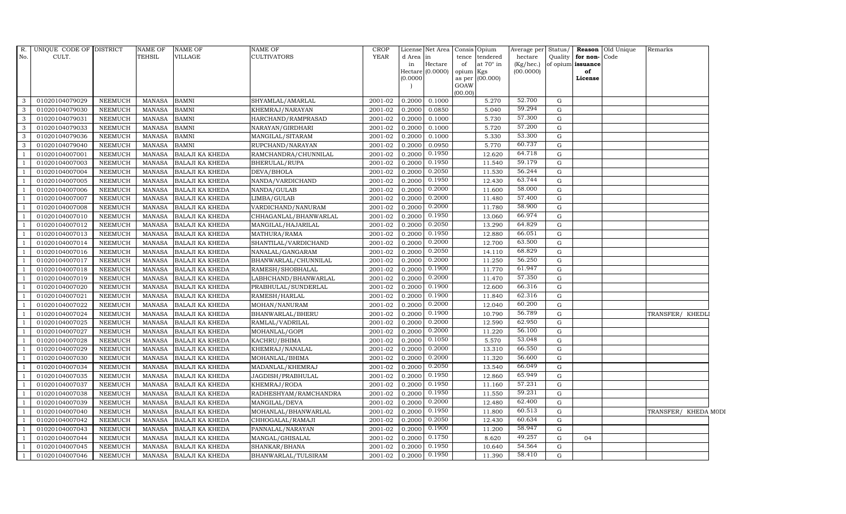| $R$ .<br>No.   | UNIQUE CODE OF DISTRICT<br>CULT. |                | NAME OF<br>TEHSIL | <b>NAME OF</b><br><b>VILLAGE</b> | NAME OF<br><b>CULTIVATORS</b> | <b>CROP</b><br><b>YEAR</b> | d Area in<br>in<br>(0.0000) | License Net Area Consis Opium<br>Hectare<br>$Hectare$ (0.0000) | tence<br>of<br>opium Kgs<br>GOAW<br>(00.00) | tendered<br>at $70^\circ$ in<br>as per (00.000) | Average per Status/<br>hectare<br>(Kg/hec.)<br>(00.0000) | Quality | for non-Code<br>of opium issuance<br>of<br>License | <b>Reason</b> Old Unique | Remarks              |  |
|----------------|----------------------------------|----------------|-------------------|----------------------------------|-------------------------------|----------------------------|-----------------------------|----------------------------------------------------------------|---------------------------------------------|-------------------------------------------------|----------------------------------------------------------|---------|----------------------------------------------------|--------------------------|----------------------|--|
| 3              | 01020104079029                   | NEEMUCH        | MANASA            | <b>BAMNI</b>                     | SHYAMLAL/AMARLAL              | 2001-02                    | 0.2000                      | 0.1000                                                         |                                             | 5.270                                           | 52.700                                                   | G       |                                                    |                          |                      |  |
| 3              | 01020104079030                   | <b>NEEMUCH</b> | MANASA            | <b>BAMNI</b>                     | KHEMRAJ/NARAYAN               | 2001-02                    | 0.2000                      | 0.0850                                                         |                                             | 5.040                                           | 59.294                                                   | G       |                                                    |                          |                      |  |
| 3              | 01020104079031                   | <b>NEEMUCH</b> | <b>MANASA</b>     | <b>BAMNI</b>                     | HARCHAND/RAMPRASAD            | 2001-02                    | 0.2000                      | 0.1000                                                         |                                             | 5.730                                           | 57.300                                                   | G       |                                                    |                          |                      |  |
| 3              | 01020104079033                   | <b>NEEMUCH</b> | <b>MANASA</b>     | <b>BAMNI</b>                     | NARAYAN/GIRDHARI              | 2001-02                    | 0.2000                      | 0.1000                                                         |                                             | 5.720                                           | 57.200                                                   | G       |                                                    |                          |                      |  |
| 3              | 01020104079036                   | <b>NEEMUCH</b> | MANASA            | <b>BAMNI</b>                     | MANGILAL/SITARAM              | 2001-02                    | 0.2000                      | 0.1000                                                         |                                             | 5.330                                           | 53.300                                                   | G       |                                                    |                          |                      |  |
| 3              | 01020104079040                   | NEEMUCH        | MANASA            | <b>BAMNI</b>                     | RUPCHAND/NARAYAN              | 2001-02                    | 0.2000                      | 0.0950                                                         |                                             | 5.770                                           | 60.737                                                   | G       |                                                    |                          |                      |  |
|                | 01020104007001                   | <b>NEEMUCH</b> | MANASA            | <b>BALAJI KA KHEDA</b>           | RAMCHANDRA/CHUNNILAL          | 2001-02                    | 0.2000                      | 0.1950                                                         |                                             | 12.620                                          | 64.718                                                   | G       |                                                    |                          |                      |  |
|                | 01020104007003                   | <b>NEEMUCH</b> | <b>MANASA</b>     | <b>BALAJI KA KHEDA</b>           | BHERULAL/RUPA                 | 2001-02                    | 0.2000                      | 0.1950                                                         |                                             | 11.540                                          | 59.179                                                   | G       |                                                    |                          |                      |  |
|                | 01020104007004                   | <b>NEEMUCH</b> | <b>MANASA</b>     | <b>BALAJI KA KHEDA</b>           | DEVA/BHOLA                    | 2001-02                    | 0.2000                      | 0.2050                                                         |                                             | 11.530                                          | 56.244                                                   | G       |                                                    |                          |                      |  |
|                | 01020104007005                   | <b>NEEMUCH</b> | <b>MANASA</b>     | <b>BALAJI KA KHEDA</b>           | NANDA/VARDICHAND              | 2001-02                    | 0.2000                      | 0.1950                                                         |                                             | 12.430                                          | 63.744                                                   | G       |                                                    |                          |                      |  |
| $\overline{1}$ | 01020104007006                   | NEEMUCH        | MANASA            | <b>BALAJI KA KHEDA</b>           | NANDA/GULAB                   | 2001-02                    | 0.2000                      | 0.2000                                                         |                                             | 11.600                                          | 58.000                                                   | G       |                                                    |                          |                      |  |
|                | 01020104007007                   | <b>NEEMUCH</b> | MANASA            | <b>BALAJI KA KHEDA</b>           | LIMBA/GULAB                   | 2001-02                    | 0.2000                      | 0.2000                                                         |                                             | 11.480                                          | 57.400                                                   | G       |                                                    |                          |                      |  |
|                | 01020104007008                   | <b>NEEMUCH</b> | <b>MANASA</b>     | <b>BALAJI KA KHEDA</b>           | VARDICHAND/NANURAM            | 2001-02                    | 0.2000                      | 0.2000                                                         |                                             | 11.780                                          | 58.900                                                   | G       |                                                    |                          |                      |  |
|                | 01020104007010                   | <b>NEEMUCH</b> | <b>MANASA</b>     | <b>BALAJI KA KHEDA</b>           | CHHAGANLAL/BHANWARLAL         | 2001-02                    | 0.2000                      | 0.1950                                                         |                                             | 13.060                                          | 66.974                                                   | G       |                                                    |                          |                      |  |
|                | 01020104007012                   | <b>NEEMUCH</b> | MANASA            | <b>BALAJI KA KHEDA</b>           | MANGILAL/HAJARILAL            | 2001-02                    | 0.2000                      | 0.2050                                                         |                                             | 13.290                                          | 64.829                                                   | G       |                                                    |                          |                      |  |
|                | 01020104007013                   | <b>NEEMUCH</b> | <b>MANASA</b>     | <b>BALAJI KA KHEDA</b>           | MATHURA/RAMA                  | 2001-02                    | 0.2000                      | 0.1950                                                         |                                             | 12.880                                          | 66.051                                                   | G       |                                                    |                          |                      |  |
|                | 01020104007014                   | <b>NEEMUCH</b> | MANASA            | <b>BALAJI KA KHEDA</b>           | SHANTILAL/VARDICHAND          | 2001-02                    | 0.2000                      | 0.2000                                                         |                                             | 12.700                                          | 63.500                                                   | G       |                                                    |                          |                      |  |
|                | 01020104007016                   | <b>NEEMUCH</b> | <b>MANASA</b>     | <b>BALAJI KA KHEDA</b>           | NANALAL/GANGARAM              | 2001-02                    | 0.2000                      | 0.2050                                                         |                                             | 14.110                                          | 68.829                                                   | G       |                                                    |                          |                      |  |
|                | 01020104007017                   | <b>NEEMUCH</b> | <b>MANASA</b>     | <b>BALAJI KA KHEDA</b>           | BHANWARLAL/CHUNNILAL          | 2001-02                    | 0.2000                      | 0.2000                                                         |                                             | 11.250                                          | 56.250                                                   | G       |                                                    |                          |                      |  |
|                | 01020104007018                   | <b>NEEMUCH</b> | MANASA            | <b>BALAJI KA KHEDA</b>           | RAMESH/SHOBHALAL              | 2001-02                    | 0.2000                      | 0.1900                                                         |                                             | 11.770                                          | 61.947                                                   | G       |                                                    |                          |                      |  |
|                | 01020104007019                   | <b>NEEMUCH</b> | <b>MANASA</b>     | <b>BALAJI KA KHEDA</b>           | LABHCHAND/BHANWARLAL          | 2001-02                    | 0.2000                      | 0.2000                                                         |                                             | 11.470                                          | 57.350                                                   | G       |                                                    |                          |                      |  |
|                | 01020104007020                   | <b>NEEMUCH</b> | MANASA            | <b>BALAJI KA KHEDA</b>           | PRABHULAL/SUNDERLAL           | 2001-02                    | 0.2000                      | 0.1900                                                         |                                             | 12.600                                          | 66.316                                                   | G       |                                                    |                          |                      |  |
|                | 01020104007021                   | <b>NEEMUCH</b> | MANASA            | <b>BALAJI KA KHEDA</b>           | RAMESH/HARLAL                 | 2001-02                    | 0.2000                      | 0.1900                                                         |                                             | 11.840                                          | 62.316                                                   | G       |                                                    |                          |                      |  |
|                | 01020104007022                   | <b>NEEMUCH</b> | <b>MANASA</b>     | <b>BALAJI KA KHEDA</b>           | MOHAN/NANURAM                 | 2001-02                    | 0.2000                      | 0.2000                                                         |                                             | 12.040                                          | 60.200                                                   | G       |                                                    |                          |                      |  |
|                | 01020104007024                   | <b>NEEMUCH</b> | <b>MANASA</b>     | <b>BALAJI KA KHEDA</b>           | BHANWARLAL/BHERU              | 2001-02                    | 0.2000                      | 0.1900                                                         |                                             | 10.790                                          | 56.789                                                   | G       |                                                    |                          | TRANSFER/ KHEDLI     |  |
| -1             | 01020104007025                   | <b>NEEMUCH</b> | MANASA            | <b>BALAJI KA KHEDA</b>           | RAMLAL/VADRILAL               | 2001-02                    | 0.2000                      | 0.2000                                                         |                                             | 12.590                                          | 62.950                                                   | G       |                                                    |                          |                      |  |
|                | 01020104007027                   | <b>NEEMUCH</b> | MANASA            | <b>BALAJI KA KHEDA</b>           | MOHANLAL/GOPI                 | 2001-02                    | 0.2000                      | 0.2000                                                         |                                             | 11.220                                          | 56.100                                                   | G       |                                                    |                          |                      |  |
| $\overline{1}$ | 01020104007028                   | <b>NEEMUCH</b> | MANASA            | <b>BALAJI KA KHEDA</b>           | KACHRU/BHIMA                  | 2001-02                    | 0.2000                      | 0.1050                                                         |                                             | 5.570                                           | 53.048                                                   | G       |                                                    |                          |                      |  |
|                | 01020104007029                   | <b>NEEMUCH</b> | <b>MANASA</b>     | <b>BALAJI KA KHEDA</b>           | KHEMRAJ/NANALAL               | 2001-02                    | 0.2000                      | 0.2000                                                         |                                             | 13.310                                          | 66.550                                                   | G       |                                                    |                          |                      |  |
|                | 01020104007030                   | <b>NEEMUCH</b> | <b>MANASA</b>     | <b>BALAJI KA KHEDA</b>           | MOHANLAL/BHIMA                | 2001-02                    | 0.2000                      | 0.2000                                                         |                                             | 11.320                                          | 56.600                                                   | G       |                                                    |                          |                      |  |
|                | 01020104007034                   | <b>NEEMUCH</b> | MANASA            | <b>BALAJI KA KHEDA</b>           | MADANLAL/KHEMRAJ              | 2001-02                    | 0.2000                      | 0.2050                                                         |                                             | 13.540                                          | 66.049                                                   | G       |                                                    |                          |                      |  |
|                | 01020104007035                   | <b>NEEMUCH</b> | MANASA            | <b>BALAJI KA KHEDA</b>           | JAGDISH/PRABHULAL             | $2001 - 02$                | 0.2000                      | 0.1950                                                         |                                             | 12.860                                          | 65.949                                                   | G       |                                                    |                          |                      |  |
|                | 01020104007037                   | NEEMUCH        | MANASA            | <b>BALAJI KA KHEDA</b>           | KHEMRAJ/RODA                  | 2001-02                    | 0.2000                      | 0.1950                                                         |                                             | 11.160                                          | 57.231                                                   | G       |                                                    |                          |                      |  |
|                | 01020104007038                   | <b>NEEMUCH</b> | MANASA            | <b>BALAJI KA KHEDA</b>           | RADHESHYAM/RAMCHANDRA         | 2001-02                    | 0.2000                      | 0.1950                                                         |                                             | 11.550                                          | 59.231                                                   | G       |                                                    |                          |                      |  |
|                | 01020104007039                   | <b>NEEMUCH</b> | <b>MANASA</b>     | <b>BALAJI KA KHEDA</b>           | MANGILAL/DEVA                 | 2001-02                    | 0.2000                      | 0.2000                                                         |                                             | 12.480                                          | 62.400                                                   | G       |                                                    |                          |                      |  |
|                | 01020104007040                   | <b>NEEMUCH</b> | MANASA            | <b>BALAJI KA KHEDA</b>           | MOHANLAL/BHANWARLAL           | 2001-02                    | 0.2000                      | 0.1950                                                         |                                             | 11.800                                          | 60.513                                                   | G       |                                                    |                          | TRANSFER/ KHEDA MODI |  |
|                | 01020104007042                   | <b>NEEMUCH</b> | <b>MANASA</b>     | <b>BALAJI KA KHEDA</b>           | CHHOGALAL/RAMAJI              | 2001-02                    | 0.2000                      | 0.2050                                                         |                                             | 12.430                                          | 60.634                                                   | G       |                                                    |                          |                      |  |
|                | 01020104007043                   | <b>NEEMUCH</b> | MANASA            | <b>BALAJI KA KHEDA</b>           | PANNALAL/NARAYAN              | 2001-02                    | 0.2000                      | 0.1900                                                         |                                             | 11.200                                          | 58.947                                                   | G       |                                                    |                          |                      |  |
|                | 01020104007044                   | <b>NEEMUCH</b> | <b>MANASA</b>     | <b>BALAJI KA KHEDA</b>           | MANGAL/GHISALAL               | 2001-02                    | 0.2000                      | 0.1750                                                         |                                             | 8.620                                           | 49.257                                                   | G       | 04                                                 |                          |                      |  |
|                | 01020104007045                   | <b>NEEMUCH</b> | <b>MANASA</b>     | <b>BALAJI KA KHEDA</b>           | SHANKAR/BHANA                 | 2001-02                    | 0.2000                      | 0.1950                                                         |                                             | 10.640                                          | 54.564                                                   | G       |                                                    |                          |                      |  |
|                | 01020104007046                   | <b>NEEMUCH</b> | MANASA            | <b>BALAJI KA KHEDA</b>           | BHANWARLAL/TULSIRAM           | 2001-02                    | 0.2000                      | 0.1950                                                         |                                             | 11.390                                          | 58.410                                                   | G       |                                                    |                          |                      |  |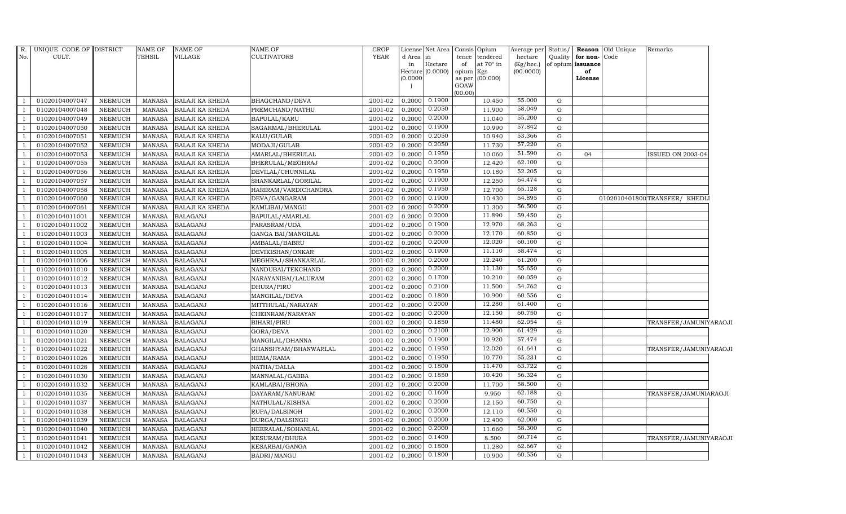| R.  | UNIQUE CODE OF DISTRICT<br>CULT. |                | <b>NAME OF</b><br><b>TEHSIL</b> | <b>NAME OF</b><br>VILLAGE | NAME OF<br><b>CULTIVATORS</b> | <b>CROP</b><br><b>YEAR</b> |                 | License Net Area Consis Opium |                 |                              | Average per Status/           |             |                                   | Reason Old Unique | Remarks                      |  |
|-----|----------------------------------|----------------|---------------------------------|---------------------------|-------------------------------|----------------------------|-----------------|-------------------------------|-----------------|------------------------------|-------------------------------|-------------|-----------------------------------|-------------------|------------------------------|--|
| No. |                                  |                |                                 |                           |                               |                            | d Area in<br>in | Hectare                       | tence<br>of     | tendered<br>at $70^\circ$ in | hectare<br>$(Kg/ {\rm hec.})$ | Quality     | for non-Code<br>of opium issuance |                   |                              |  |
|     |                                  |                |                                 |                           |                               |                            |                 | Hectare (0.0000)              | opium           | Kgs                          | (00.0000)                     |             | of                                |                   |                              |  |
|     |                                  |                |                                 |                           |                               |                            | (0.0000)        |                               |                 | as per (00.000)              |                               |             | License                           |                   |                              |  |
|     |                                  |                |                                 |                           |                               |                            |                 |                               | GOAW<br>(00.00) |                              |                               |             |                                   |                   |                              |  |
|     | 01020104007047                   | <b>NEEMUCH</b> | MANASA                          | <b>BALAJI KA KHEDA</b>    | BHAGCHAND/DEVA                | 2001-02                    | 0.2000          | 0.1900                        |                 | 10.450                       | 55.000                        | G           |                                   |                   |                              |  |
|     | 01020104007048                   | <b>NEEMUCH</b> | <b>MANASA</b>                   | <b>BALAJI KA KHEDA</b>    | PREMCHAND/NATHU               | 2001-02                    | 0.2000          | 0.2050                        |                 | 11.900                       | 58.049                        | ${\rm G}$   |                                   |                   |                              |  |
|     | 01020104007049                   | <b>NEEMUCH</b> | <b>MANASA</b>                   | <b>BALAJI KA KHEDA</b>    | BAPULAL/KARU                  | 2001-02                    | 0.2000          | 0.2000                        |                 | 11.040                       | 55.200                        | G           |                                   |                   |                              |  |
|     | 01020104007050                   | <b>NEEMUCH</b> | <b>MANASA</b>                   | <b>BALAJI KA KHEDA</b>    | SAGARMAL/BHERULAL             | 2001-02                    | 0.2000          | 0.1900                        |                 | 10.990                       | 57.842                        | G           |                                   |                   |                              |  |
|     | 01020104007051                   | <b>NEEMUCH</b> | <b>MANASA</b>                   | BALAJI KA KHEDA           | KALU/GULAB                    | 2001-02                    | 0.2000          | 0.2050                        |                 | 10.940                       | 53.366                        | ${\rm G}$   |                                   |                   |                              |  |
|     | 01020104007052                   | <b>NEEMUCH</b> | <b>MANASA</b>                   | BALAJI KA KHEDA           | MODAJI/GULAB                  | 2001-02                    | 0.2000          | 0.2050                        |                 | 11.730                       | 57.220                        | G           |                                   |                   |                              |  |
|     | 01020104007053                   | <b>NEEMUCH</b> | <b>MANASA</b>                   | BALAJI KA KHEDA           | AMARLAL/BHERULAL              | 2001-02                    | 0.2000          | 0.1950                        |                 | 10.060                       | 51.590                        | G           | 04                                |                   | ISSUED ON 2003-04            |  |
|     | 01020104007055                   | <b>NEEMUCH</b> | <b>MANASA</b>                   | <b>BALAJI KA KHEDA</b>    | BHERULAL/MEGHRAJ              | 2001-02                    | 0.2000          | 0.2000                        |                 | 12.420                       | 62.100                        | G           |                                   |                   |                              |  |
|     | 01020104007056                   | <b>NEEMUCH</b> | <b>MANASA</b>                   | <b>BALAJI KA KHEDA</b>    | DEVILAL/CHUNNILAL             | 2001-02                    | 0.2000          | 0.1950                        |                 | 10.180                       | 52.205                        | G           |                                   |                   |                              |  |
|     | 01020104007057                   | <b>NEEMUCH</b> | <b>MANASA</b>                   | BALAJI KA KHEDA           | SHANKARLAL/GORILAL            | 2001-02                    | 0.2000          | 0.1900                        |                 | 12.250                       | 64.474                        | ${\rm G}$   |                                   |                   |                              |  |
|     | 01020104007058                   | <b>NEEMUCH</b> | <b>MANASA</b>                   | BALAJI KA KHEDA           | HARIRAM/VARDICHANDRA          | 2001-02                    | 0.2000          | 0.1950                        |                 | 12.700                       | 65.128                        | G           |                                   |                   |                              |  |
|     | 01020104007060                   | <b>NEEMUCH</b> | <b>MANASA</b>                   | BALAJI KA KHEDA           | DEVA/GANGARAM                 | 2001-02                    | 0.2000          | 0.1900                        |                 | 10.430                       | 54.895                        | ${\rm G}$   |                                   |                   | 0102010401800TRANSFER/ KHEDL |  |
|     | 01020104007061                   | <b>NEEMUCH</b> | <b>MANASA</b>                   | BALAJI KA KHEDA           | KAMLIBAI/MANGU                | 2001-02                    | 0.2000          | 0.2000                        |                 | 11.300                       | 56.500                        | G           |                                   |                   |                              |  |
|     | 01020104011001                   | <b>NEEMUCH</b> | <b>MANASA</b>                   | <b>BALAGANJ</b>           | BAPULAL/AMARLAL               | 2001-02                    | 0.2000          | 0.2000                        |                 | 11.890                       | 59.450                        | G           |                                   |                   |                              |  |
|     | 01020104011002                   | <b>NEEMUCH</b> | <b>MANASA</b>                   | <b>BALAGANJ</b>           | PARASRAM/UDA                  | 2001-02                    | 0.2000          | 0.1900                        |                 | 12.970                       | 68.263                        | G           |                                   |                   |                              |  |
|     | 01020104011003                   | <b>NEEMUCH</b> | <b>MANASA</b>                   | <b>BALAGANJ</b>           | GANGA BAI/MANGILAL            | 2001-02                    | 0.2000          | 0.2000                        |                 | 12.170                       | 60.850                        | G           |                                   |                   |                              |  |
|     | 01020104011004                   | <b>NEEMUCH</b> | <b>MANASA</b>                   | <b>BALAGANJ</b>           | AMBALAL/BABRU                 | 2001-02                    | 0.2000          | 0.2000                        |                 | 12.020                       | 60.100                        | G           |                                   |                   |                              |  |
|     | 01020104011005                   | <b>NEEMUCH</b> | <b>MANASA</b>                   | <b>BALAGANJ</b>           | DEVIKISHAN/ONKAR              | 2001-02                    | 0.2000          | 0.1900                        |                 | 11.110                       | 58.474                        | G           |                                   |                   |                              |  |
|     | 01020104011006                   | <b>NEEMUCH</b> | <b>MANASA</b>                   | <b>BALAGANJ</b>           | MEGHRAJ/SHANKARLAL            | 2001-02                    | 0.2000          | 0.2000                        |                 | 12.240                       | 61.200                        | G           |                                   |                   |                              |  |
|     | 01020104011010                   | <b>NEEMUCH</b> | <b>MANASA</b>                   | <b>BALAGANJ</b>           | NANDUBAI/TEKCHAND             | 2001-02                    | 0.2000          | 0.2000                        |                 | 11.130                       | 55.650                        | G           |                                   |                   |                              |  |
|     | 01020104011012                   | <b>NEEMUCH</b> | <b>MANASA</b>                   | <b>BALAGANJ</b>           | NARAYANIBAI/LALURAM           | 2001-02                    | 0.2000          | 0.1700                        |                 | 10.210                       | 60.059                        | G           |                                   |                   |                              |  |
|     | 01020104011013                   | <b>NEEMUCH</b> | <b>MANASA</b>                   | <b>BALAGANJ</b>           | DHURA/PIRU                    | 2001-02                    | 0.2000          | 0.2100                        |                 | 11.500                       | 54.762                        | G           |                                   |                   |                              |  |
|     | 01020104011014                   | <b>NEEMUCH</b> | <b>MANASA</b>                   | <b>BALAGANJ</b>           | MANGILAL/DEVA                 | 2001-02                    | 0.2000          | 0.1800                        |                 | 10.900                       | 60.556                        | G           |                                   |                   |                              |  |
|     | 01020104011016                   | <b>NEEMUCH</b> | <b>MANASA</b>                   | <b>BALAGANJ</b>           | MITTHULAL/NARAYAN             | 2001-02                    | 0.2000          | 0.2000                        |                 | 12.280                       | 61.400                        | ${\rm G}$   |                                   |                   |                              |  |
|     | 01020104011017                   | <b>NEEMUCH</b> | <b>MANASA</b>                   | <b>BALAGANJ</b>           | CHEINRAM/NARAYAN              | 2001-02                    | 0.2000          | 0.2000                        |                 | 12.150                       | 60.750                        | G           |                                   |                   |                              |  |
|     | 01020104011019                   | <b>NEEMUCH</b> | <b>MANASA</b>                   | <b>BALAGANJ</b>           | <b>BIHARI/PIRU</b>            | 2001-02                    | 0.2000          | 0.1850                        |                 | 11.480                       | 62.054                        | G           |                                   |                   | TRANSFER/JAMUNIYARAOJI       |  |
|     | 01020104011020                   | <b>NEEMUCH</b> | <b>MANASA</b>                   | <b>BALAGANJ</b>           | GORA/DEVA                     | 2001-02                    | 0.2000          | 0.2100                        |                 | 12.900                       | 61.429                        | G           |                                   |                   |                              |  |
|     | 01020104011021                   | <b>NEEMUCH</b> | <b>MANASA</b>                   | <b>BALAGANJ</b>           | MANGILAL/DHANNA               | 2001-02                    | 0.2000          | 0.1900                        |                 | 10.920                       | 57.474                        | G           |                                   |                   |                              |  |
|     | 01020104011022                   | <b>NEEMUCH</b> | <b>MANASA</b>                   | <b>BALAGANJ</b>           | GHANSHYAM/BHANWARLAL          | $2001 - 02$                | 0.2000          | 0.1950                        |                 | 12.020                       | 61.641                        | G           |                                   |                   | TRANSFER/JAMUNIYARAOJI       |  |
|     | 01020104011026                   | <b>NEEMUCH</b> | <b>MANASA</b>                   | <b>BALAGANJ</b>           | HEMA/RAMA                     | 2001-02                    | 0.2000          | 0.1950                        |                 | 10.770                       | 55.231                        | $\mathbf G$ |                                   |                   |                              |  |
|     | 01020104011028                   | <b>NEEMUCH</b> | <b>MANASA</b>                   | <b>BALAGANJ</b>           | NATHA/DALLA                   | 2001-02                    | 0.2000          | 0.1800                        |                 | 11.470                       | 63.722                        | ${\rm G}$   |                                   |                   |                              |  |
|     | 01020104011030                   | <b>NEEMUCH</b> | <b>MANASA</b>                   | <b>BALAGANJ</b>           | MANNALAL/GABBA                | 2001-02                    | 0.2000          | 0.1850                        |                 | 10.420                       | 56.324                        | G           |                                   |                   |                              |  |
|     | 01020104011032                   | <b>NEEMUCH</b> | <b>MANASA</b>                   | <b>BALAGANJ</b>           | KAMLABAI/BHONA                | 2001-02                    | 0.2000          | 0.2000                        |                 | 11.700                       | 58.500                        | G           |                                   |                   |                              |  |
|     | 01020104011035                   | <b>NEEMUCH</b> | <b>MANASA</b>                   | <b>BALAGANJ</b>           | DAYARAM/NANURAM               | 2001-02                    | 0.2000          | 0.1600                        |                 | 9.950                        | 62.188                        | ${\rm G}$   |                                   |                   | TRANSFER/JAMUNIARAOJI        |  |
|     | 01020104011037                   | <b>NEEMUCH</b> | <b>MANASA</b>                   | <b>BALAGANJ</b>           | NATHULAL/KISHNA               | 2001-02                    | 0.2000          | 0.2000                        |                 | 12.150                       | 60.750                        | G           |                                   |                   |                              |  |
|     | 01020104011038                   | <b>NEEMUCH</b> | <b>MANASA</b>                   | <b>BALAGANJ</b>           | RUPA/DALSINGH                 | 2001-02                    | 0.2000          | 0.2000                        |                 | 12.110                       | 60.550                        | $\mathbf G$ |                                   |                   |                              |  |
|     | 01020104011039                   | <b>NEEMUCH</b> | <b>MANASA</b>                   | <b>BALAGANJ</b>           | DURGA/DALSINGH                | 2001-02                    | 0.2000          | 0.2000                        |                 | 12.400                       | 62.000                        | ${\rm G}$   |                                   |                   |                              |  |
|     | 01020104011040                   | <b>NEEMUCH</b> | <b>MANASA</b>                   | <b>BALAGANJ</b>           | HEERALAL/SOHANLAL             | 2001-02                    | 0.2000          | 0.2000                        |                 | 11.660                       | 58.300                        | G           |                                   |                   |                              |  |
|     | 01020104011041                   | <b>NEEMUCH</b> | <b>MANASA</b>                   | <b>BALAGANJ</b>           | KESURAM/DHURA                 | 2001-02                    | 0.2000          | 0.1400                        |                 | 8.500                        | 60.714                        | $\mathbf G$ |                                   |                   | TRANSFER/JAMUNIYARAOJI       |  |
|     | 01020104011042                   | <b>NEEMUCH</b> | <b>MANASA</b>                   | <b>BALAGANJ</b>           | KESARBAI/GANGA                | 2001-02                    | 0.2000          | 0.1800                        |                 | 11.280                       | 62.667                        | G           |                                   |                   |                              |  |
|     | 01020104011043                   | <b>NEEMUCH</b> | <b>MANASA</b>                   | <b>BALAGANJ</b>           | <b>BADRI/MANGU</b>            | 2001-02                    | 0.2000          | 0.1800                        |                 | 10.900                       | 60.556                        | G           |                                   |                   |                              |  |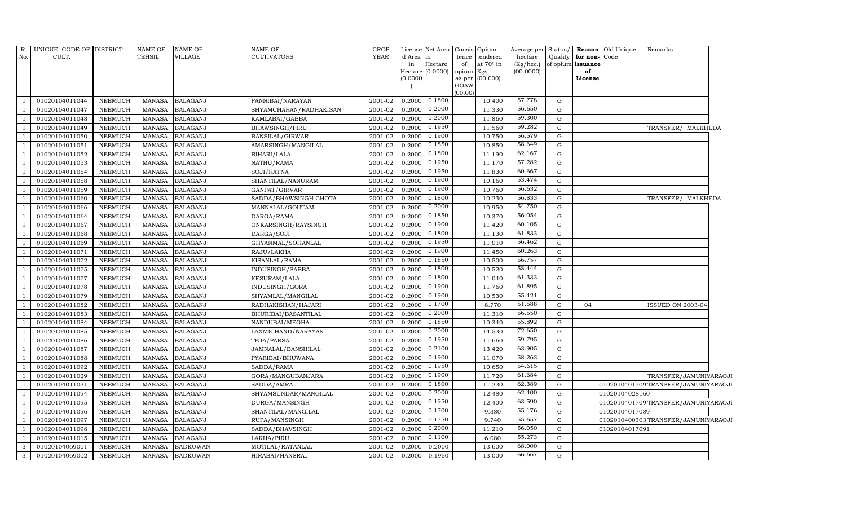| $R$ . | UNIQUE CODE OF DISTRICT |                | <b>NAME OF</b> | <b>NAME OF</b>  | <b>NAME OF</b>         | <b>CROP</b> |           | License Net Area Consis Opium |           |                  | Average per Status/ |           |                   | Reason Old Unique | Remarks                             |
|-------|-------------------------|----------------|----------------|-----------------|------------------------|-------------|-----------|-------------------------------|-----------|------------------|---------------------|-----------|-------------------|-------------------|-------------------------------------|
| No.   | CULT.                   |                | <b>TEHSIL</b>  | VILLAGE         | <b>CULTIVATORS</b>     | <b>YEAR</b> | d Area in |                               | tence     | tendered         | hectare             | Quality   | for non-Code      |                   |                                     |
|       |                         |                |                |                 |                        |             | in        | Hectare                       | of        | at $70^\circ$ in | $(Kg/$ hec. $)$     |           | of opium issuance |                   |                                     |
|       |                         |                |                |                 |                        |             |           | Hectare (0.0000)              | opium Kgs |                  | (00.0000)           |           | of                |                   |                                     |
|       |                         |                |                |                 |                        |             | (0.0000)  |                               | GOAW      | as per (00.000)  |                     |           | License           |                   |                                     |
|       |                         |                |                |                 |                        |             |           |                               | (00.00)   |                  |                     |           |                   |                   |                                     |
|       | 01020104011044          | <b>NEEMUCH</b> | <b>MANASA</b>  | <b>BALAGANJ</b> | PANNIBAI/NARAYAN       | 2001-02     | 0.2000    | 0.1800                        |           | 10.400           | 57.778              | G         |                   |                   |                                     |
|       | 01020104011047          | <b>NEEMUCH</b> | <b>MANASA</b>  | <b>BALAGANJ</b> | SHYAMCHARAN/RADHAKISAN | 2001-02     | 0.2000    | 0.2000                        |           | 11.330           | 56.650              | G         |                   |                   |                                     |
|       | 01020104011048          | <b>NEEMUCH</b> | <b>MANASA</b>  | <b>BALAGANJ</b> | KAMLABAI/GABBA         | 2001-02     | 0.2000    | 0.2000                        |           | 11.860           | 59.300              | G         |                   |                   |                                     |
|       | 01020104011049          | <b>NEEMUCH</b> | <b>MANASA</b>  | <b>BALAGANJ</b> | BHAWSINGH/PIRU         | 2001-02     | 0.2000    | 0.1950                        |           | 11.560           | 59.282              | ${\rm G}$ |                   |                   | TRANSFER/ MALKHEDA                  |
|       | 01020104011050          | <b>NEEMUCH</b> | MANASA         | <b>BALAGANJ</b> | <b>BANSILAL/GIRWAR</b> | 2001-02     | 0.2000    | 0.1900                        |           | 10.750           | 56.579              | G         |                   |                   |                                     |
|       | 01020104011051          | <b>NEEMUCH</b> | <b>MANASA</b>  | <b>BALAGANJ</b> | AMARSINGH/MANGILAL     | 2001-02     | 0.2000    | 0.1850                        |           | 10.850           | 58.649              | G         |                   |                   |                                     |
|       | 01020104011052          | <b>NEEMUCH</b> | <b>MANASA</b>  | <b>BALAGANJ</b> | BIHARI/LALA            | 2001-02     | 0.2000    | 0.1800                        |           | 11.190           | 62.167              | G         |                   |                   |                                     |
|       | 01020104011053          | <b>NEEMUCH</b> | <b>MANASA</b>  | <b>BALAGANJ</b> | NATHU/RAMA             | 2001-02     | 0.2000    | 0.1950                        |           | 11.170           | 57.282              | G         |                   |                   |                                     |
|       | 01020104011054          | <b>NEEMUCH</b> | <b>MANASA</b>  | <b>BALAGANJ</b> | SOJI/RATNA             | 2001-02     | 0.2000    | 0.1950                        |           | 11.830           | 60.667              | G         |                   |                   |                                     |
|       | 01020104011058          | <b>NEEMUCH</b> | <b>MANASA</b>  | <b>BALAGANJ</b> | SHANTILAL/NANURAM      | 2001-02     | 0.2000    | 0.1900                        |           | 10.160           | 53.474              | G         |                   |                   |                                     |
|       | 01020104011059          | <b>NEEMUCH</b> | <b>MANASA</b>  | <b>BALAGANJ</b> | GANPAT/GIRVAR          | 2001-02     | 0.2000    | 0.1900                        |           | 10.760           | 56.632              | G         |                   |                   |                                     |
|       | 01020104011060          | <b>NEEMUCH</b> | <b>MANASA</b>  | <b>BALAGANJ</b> | SADDA/BHAWSINGH CHOTA  | 2001-02     | 0.2000    | 0.1800                        |           | 10.230           | 56.833              | G         |                   |                   | TRANSFER/ MALKHEDA                  |
|       | 01020104011066          | <b>NEEMUCH</b> | <b>MANASA</b>  | <b>BALAGANJ</b> | MANNALAL/GOUTAM        | 2001-02     | 0.2000    | 0.2000                        |           | 10.950           | 54.750              | G         |                   |                   |                                     |
|       | 01020104011064          | <b>NEEMUCH</b> | <b>MANASA</b>  | <b>BALAGANJ</b> | DARGA/RAMA             | 2001-02     | 0.2000    | 0.1850                        |           | 10.370           | 56.054              | G         |                   |                   |                                     |
|       | 01020104011067          | <b>NEEMUCH</b> | <b>MANASA</b>  | <b>BALAGANJ</b> | ONKARSINGH/RAYSINGH    | 2001-02     | 0.2000    | 0.1900                        |           | 11.420           | 60.105              | G         |                   |                   |                                     |
|       | 01020104011068          | <b>NEEMUCH</b> | <b>MANASA</b>  | <b>BALAGANJ</b> | DARGA/SOJI             | 2001-02     | 0.2000    | 0.1800                        |           | 11.130           | 61.833              | G         |                   |                   |                                     |
|       | 01020104011069          | <b>NEEMUCH</b> | <b>MANASA</b>  | <b>BALAGANJ</b> | GHYANMAL/SOHANLAL      | 2001-02     | 0.2000    | 0.1950                        |           | 11.010           | 56.462              | G         |                   |                   |                                     |
|       | 01020104011071          | <b>NEEMUCH</b> | <b>MANASA</b>  | <b>BALAGANJ</b> | RAJU/LAKHA             | 2001-02     | 0.2000    | 0.1900                        |           | 11.450           | 60.263              | G         |                   |                   |                                     |
|       | 01020104011072          | <b>NEEMUCH</b> | <b>MANASA</b>  | <b>BALAGANJ</b> | KISANLAL/RAMA          | 2001-02     | 0.2000    | 0.1850                        |           | 10.500           | 56.757              | G         |                   |                   |                                     |
|       | 01020104011075          | <b>NEEMUCH</b> | <b>MANASA</b>  | <b>BALAGANJ</b> | INDUSINGH/SABBA        | 2001-02     | 0.2000    | 0.1800                        |           | 10.520           | 58.444              | G         |                   |                   |                                     |
|       | 01020104011077          | <b>NEEMUCH</b> | MANASA         | <b>BALAGANJ</b> | KESURAM/LALA           | 2001-02     | 0.2000    | 0.1800                        |           | 11.040           | 61.333              | G         |                   |                   |                                     |
|       | 01020104011078          | <b>NEEMUCH</b> | <b>MANASA</b>  | <b>BALAGANJ</b> | INDUSINGH/GORA         | 2001-02     | 0.2000    | 0.1900                        |           | 11.760           | 61.895              | G         |                   |                   |                                     |
|       | 01020104011079          | <b>NEEMUCH</b> | <b>MANASA</b>  | <b>BALAGANJ</b> | SHYAMLAL/MANGILAL      | 2001-02     | 0.2000    | 0.1900                        |           | 10.530           | 55.421              | G         |                   |                   |                                     |
|       | 01020104011082          | <b>NEEMUCH</b> | <b>MANASA</b>  | <b>BALAGANJ</b> | RADHAKISHAN/HAJARI     | 2001-02     | 0.2000    | 0.1700                        |           | 8.770            | 51.588              | G         | 04                |                   | <b>ISSUED ON 2003-04</b>            |
|       | 01020104011083          | <b>NEEMUCH</b> | <b>MANASA</b>  | <b>BALAGANJ</b> | BHURIBAI/BASANTILAL    | 2001-02     | 0.2000    | 0.2000                        |           | 11.310           | 56.550              | G         |                   |                   |                                     |
|       | 01020104011084          | <b>NEEMUCH</b> | <b>MANASA</b>  | <b>BALAGANJ</b> | NANDUBAI/MEGHA         | 2001-02     | 0.2000    | 0.1850                        |           | 10.340           | 55.892              | G         |                   |                   |                                     |
|       | 01020104011085          | <b>NEEMUCH</b> | <b>MANASA</b>  | <b>BALAGANJ</b> | LAXMICHAND/NARAYAN     | 2001-02     | 0.2000    | 0.2000                        |           | 14.530           | 72.650              | G         |                   |                   |                                     |
|       | 01020104011086          | <b>NEEMUCH</b> | <b>MANASA</b>  | <b>BALAGANJ</b> | TEJA/PARSA             | 2001-02     | 0.2000    | 0.1950                        |           | 11.660           | 59.795              | G         |                   |                   |                                     |
|       | 01020104011087          | <b>NEEMUCH</b> | <b>MANASA</b>  | <b>BALAGANJ</b> | JAMNALAL/BANSHILAL     | 2001-02     | 0.2000    | 0.2100                        |           | 13.420           | 63.905              | G         |                   |                   |                                     |
|       | 01020104011088          | <b>NEEMUCH</b> | <b>MANASA</b>  | <b>BALAGANJ</b> | PYARIBAI/BHUWANA       | 2001-02     | 0.2000    | 0.1900                        |           | 11.070           | 58.263              | G         |                   |                   |                                     |
|       | 01020104011092          | <b>NEEMUCH</b> | <b>MANASA</b>  | <b>BALAGANJ</b> | SADDA/RAMA             | 2001-02     | 0.2000    | 0.1950                        |           | 10.650           | 54.615              | G         |                   |                   |                                     |
|       | 01020104011029          | <b>NEEMUCH</b> | <b>MANASA</b>  | <b>BALAGANJ</b> | GORA/MANGUBANJARA      | 2001-02     | 0.2000    | 0.1900                        |           | 11.720           | 61.684              | ${\rm G}$ |                   |                   | TRANSFER/JAMUNIYARAOJI              |
|       | 01020104011031          | <b>NEEMUCH</b> | <b>MANASA</b>  | <b>BALAGANJ</b> | SADDA/AMRA             | 2001-02     | 0.2000    | 0.1800                        |           | 11.230           | 62.389              | G         |                   |                   | 0102010401709TRANSFER/JAMUNIYARAOJI |
|       | 01020104011094          | <b>NEEMUCH</b> | <b>MANASA</b>  | <b>BALAGANJ</b> | SHYAMSUNDAR/MANGILAL   | 2001-02     | 0.2000    | 0.2000                        |           | 12.480           | 62.400              | G         |                   | 01020104028160    |                                     |
|       | 01020104011095          | <b>NEEMUCH</b> | <b>MANASA</b>  | <b>BALAGANJ</b> | DURGA/MANSINGH         | 2001-02     | 0.2000    | 0.1950                        |           | 12.400           | 63.590              | G         |                   |                   | 0102010401709TRANSFER/JAMUNIYARAOJI |
|       | 01020104011096          | <b>NEEMUCH</b> | <b>MANASA</b>  | <b>BALAGANJ</b> | SHANTILAL/MANGILAL     | 2001-02     | 0.2000    | 0.1700                        |           | 9.380            | 55.176              | G         |                   | 01020104017089    |                                     |
|       | 01020104011097          | <b>NEEMUCH</b> | <b>MANASA</b>  | <b>BALAGANJ</b> | RUPA/MANSINGH          | 2001-02     | 0.2000    | 0.1750                        |           | 9.740            | 55.657              | G         |                   |                   | 0102010400303TRANSFER/JAMUNIYARAOJI |
|       | 01020104011098          | <b>NEEMUCH</b> | <b>MANASA</b>  | <b>BALAGANJ</b> | SADDA/BHAVSINGH        | 2001-02     | 0.2000    | 0.2000                        |           | 11.210           | 56.050              | G         |                   | 01020104017091    |                                     |
|       | 01020104011015          | <b>NEEMUCH</b> | <b>MANASA</b>  | <b>BALAGANJ</b> | LAKHA/PIRU             | 2001-02     | 0.2000    | 0.1100                        |           | 6.080            | 55.273              | G         |                   |                   |                                     |
| 3     | 01020104069001          | <b>NEEMUCH</b> | MANASA         | <b>BADKUWAN</b> | MOTILAL/RATANLAL       | 2001-02     | 0.2000    | 0.2000                        |           | 13.600           | 68.000              | G         |                   |                   |                                     |
| 3     | 01020104069002          | NEEMUCH        |                | MANASA BADKUWAN | HIRABAI/HANSRAJ        | 2001-02     | 0.2000    | 0.1950                        |           | 13.000           | 66.667              | G         |                   |                   |                                     |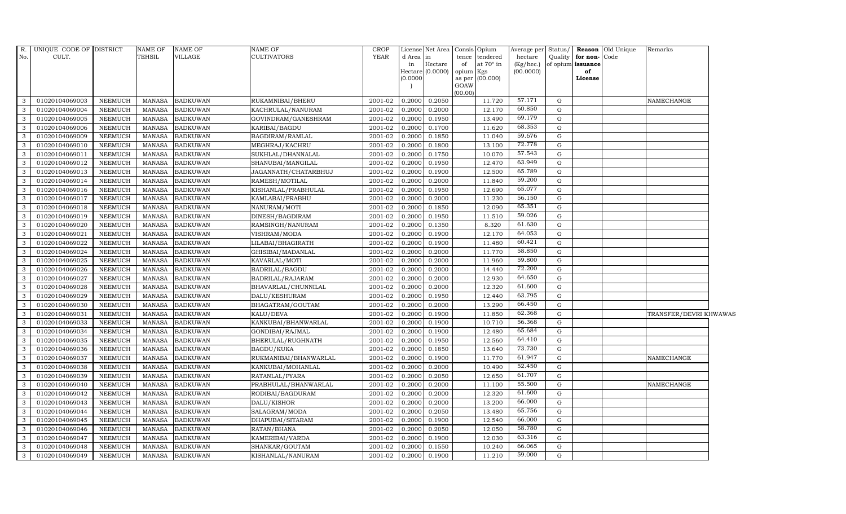| R.           | UNIQUE CODE OF DISTRICT |                | <b>NAME OF</b> | <b>NAME OF</b>  | <b>NAME OF</b>        | <b>CROP</b> | License Net Area |           | Consis Opium     | Average per | Status/     |                         | <b>Reason</b> Old Unique | Remarks                |  |
|--------------|-------------------------|----------------|----------------|-----------------|-----------------------|-------------|------------------|-----------|------------------|-------------|-------------|-------------------------|--------------------------|------------------------|--|
| No.          | CULT.                   |                | <b>TEHSIL</b>  | VILLAGE         | <b>CULTIVATORS</b>    | <b>YEAR</b> | d Area<br>in     |           | tence tendered   | hectare     |             | Quality   for non- Code |                          |                        |  |
|              |                         |                |                |                 |                       |             | Hectare<br>in    | of        | at $70^\circ$ in | (Kg/hec.)   |             | of opium issuance       |                          |                        |  |
|              |                         |                |                |                 |                       |             | Hectare (0.0000) | opium Kgs |                  | (00.0000)   |             | of                      |                          |                        |  |
|              |                         |                |                |                 |                       |             | (0.0000)         | GOAW      | as per (00.000)  |             |             | License                 |                          |                        |  |
|              |                         |                |                |                 |                       |             |                  | (00.00)   |                  |             |             |                         |                          |                        |  |
| 3            | 01020104069003          | NEEMUCH        | MANASA         | <b>BADKUWAN</b> | RUKAMNIBAI/BHERU      | 2001-02     | 0.2050<br>0.2000 |           | 11.720           | 57.171      | G           |                         |                          | NAMECHANGE             |  |
| 3            | 01020104069004          | <b>NEEMUCH</b> | <b>MANASA</b>  | <b>BADKUWAN</b> | KACHRULAL/NANURAM     | 2001-02     | 0.2000<br>0.2000 |           | 12.170           | 60.850      | G           |                         |                          |                        |  |
| 3            | 01020104069005          | <b>NEEMUCH</b> | <b>MANASA</b>  | <b>BADKUWAN</b> | GOVINDRAM/GANESHRAM   | 2001-02     | 0.1950<br>0.2000 |           | 13.490           | 69.179      | G           |                         |                          |                        |  |
| 3            | 01020104069006          | <b>NEEMUCH</b> | <b>MANASA</b>  | <b>BADKUWAN</b> | KARIBAI/BAGDU         | 2001-02     | 0.1700<br>0.2000 |           | 11.620           | 68.353      | G           |                         |                          |                        |  |
| 3            | 01020104069009          | <b>NEEMUCH</b> | <b>MANASA</b>  | <b>BADKUWAN</b> | BAGDIRAM/RAMLAL       | 2001-02     | 0.2000<br>0.1850 |           | 11.040           | 59.676      | G           |                         |                          |                        |  |
| $\mathbf{3}$ | 01020104069010          | <b>NEEMUCH</b> | <b>MANASA</b>  | <b>BADKUWAN</b> | MEGHRAJ/KACHRU        | 2001-02     | 0.2000<br>0.1800 |           | 13.100           | 72.778      | G           |                         |                          |                        |  |
| 3            | 01020104069011          | <b>NEEMUCH</b> | <b>MANASA</b>  | <b>BADKUWAN</b> | SUKHLAL/DHANNALAL     | 2001-02     | 0.1750<br>0.2000 |           | 10.070           | 57.543      | ${\rm G}$   |                         |                          |                        |  |
| 3            | 01020104069012          | <b>NEEMUCH</b> | <b>MANASA</b>  | <b>BADKUWAN</b> | SHANUBAI/MANGILAL     | 2001-02     | 0.2000<br>0.1950 |           | 12.470           | 63.949      | G           |                         |                          |                        |  |
| 3            | 01020104069013          | <b>NEEMUCH</b> | <b>MANASA</b>  | <b>BADKUWAN</b> | JAGANNATH/CHATARBHUJ  | 2001-02     | 0.2000<br>0.1900 |           | 12.500           | 65.789      | G           |                         |                          |                        |  |
| 3            | 01020104069014          | <b>NEEMUCH</b> | <b>MANASA</b>  | <b>BADKUWAN</b> | RAMESH/MOTILAL        | 2001-02     | 0.2000<br>0.2000 |           | 11.840           | 59.200      | ${\rm G}$   |                         |                          |                        |  |
| $\mathbf{3}$ | 01020104069016          | <b>NEEMUCH</b> | <b>MANASA</b>  | <b>BADKUWAN</b> | KISHANLAL/PRABHULAL   | 2001-02     | 0.1950<br>0.2000 |           | 12.690           | 65.077      | G           |                         |                          |                        |  |
| 3            | 01020104069017          | <b>NEEMUCH</b> | <b>MANASA</b>  | <b>BADKUWAN</b> | KAMLABAI/PRABHU       | 2001-02     | 0.2000<br>0.2000 |           | 11.230           | 56.150      | G           |                         |                          |                        |  |
| $\mathbf{3}$ | 01020104069018          | <b>NEEMUCH</b> | <b>MANASA</b>  | <b>BADKUWAN</b> | NANURAM/MOTI          | 2001-02     | 0.2000<br>0.1850 |           | 12.090           | 65.351      | G           |                         |                          |                        |  |
| 3            | 01020104069019          | <b>NEEMUCH</b> | <b>MANASA</b>  | <b>BADKUWAN</b> | DINESH/BAGDIRAM       | 2001-02     | 0.2000<br>0.1950 |           | 11.510           | 59.026      | G           |                         |                          |                        |  |
| 3            | 01020104069020          | <b>NEEMUCH</b> | <b>MANASA</b>  | <b>BADKUWAN</b> | RAMSINGH/NANURAM      | 2001-02     | 0.2000<br>0.1350 |           | 8.320            | 61.630      | ${\rm G}$   |                         |                          |                        |  |
| $\mathbf{3}$ | 01020104069021          | <b>NEEMUCH</b> | <b>MANASA</b>  | <b>BADKUWAN</b> | VISHRAM/MODA          | 2001-02     | 0.2000<br>0.1900 |           | 12.170           | 64.053      | G           |                         |                          |                        |  |
| 3            | 01020104069022          | <b>NEEMUCH</b> | <b>MANASA</b>  | <b>BADKUWAN</b> | LILABAI/BHAGIRATH     | 2001-02     | 0.2000<br>0.1900 |           | 11.480           | 60.421      | G           |                         |                          |                        |  |
| $\mathbf{3}$ | 01020104069024          | <b>NEEMUCH</b> | <b>MANASA</b>  | <b>BADKUWAN</b> | GHISIBAI/MADANLAL     | 2001-02     | 0.2000<br>0.2000 |           | 11.770           | 58.850      | G           |                         |                          |                        |  |
| 3            | 01020104069025          | <b>NEEMUCH</b> | <b>MANASA</b>  | <b>BADKUWAN</b> | KAVARLAL/MOTI         | 2001-02     | 0.2000<br>0.2000 |           | 11.960           | 59.800      | G           |                         |                          |                        |  |
| 3            | 01020104069026          | <b>NEEMUCH</b> | <b>MANASA</b>  | <b>BADKUWAN</b> | <b>BADRILAL/BAGDU</b> | 2001-02     | 0.2000<br>0.2000 |           | 14.440           | 72.200      | G           |                         |                          |                        |  |
| $\mathbf{3}$ | 01020104069027          | <b>NEEMUCH</b> | <b>MANASA</b>  | <b>BADKUWAN</b> | BADRILAL/RAJARAM      | 2001-02     | 0.2000<br>0.2000 |           | 12.930           | 64.650      | G           |                         |                          |                        |  |
| 3            | 01020104069028          | <b>NEEMUCH</b> | <b>MANASA</b>  | <b>BADKUWAN</b> | BHAVARLAL/CHUNNILAL   | 2001-02     | 0.2000<br>0.2000 |           | 12.320           | 61.600      | G           |                         |                          |                        |  |
| $\mathbf{3}$ | 01020104069029          | <b>NEEMUCH</b> | <b>MANASA</b>  | <b>BADKUWAN</b> | DALU/KESHURAM         | 2001-02     | 0.2000<br>0.1950 |           | 12.440           | 63.795      | G           |                         |                          |                        |  |
| 3            | 01020104069030          | <b>NEEMUCH</b> | MANASA         | <b>BADKUWAN</b> | BHAGATRAM/GOUTAM      | 2001-02     | 0.2000<br>0.2000 |           | 13.290           | 66.450      | G           |                         |                          |                        |  |
| $\mathbf{3}$ | 01020104069031          | <b>NEEMUCH</b> | MANASA         | BADKUWAN        | KALU/DEVA             | 2001-02     | 0.2000<br>0.1900 |           | 11.850           | 62.368      | G           |                         |                          | TRANSFER/DEVRI KHWAWAS |  |
| $\mathbf{3}$ | 01020104069033          | <b>NEEMUCH</b> | <b>MANASA</b>  | <b>BADKUWAN</b> | KANKUBAI/BHANWARLAL   | 2001-02     | 0.2000<br>0.1900 |           | 10.710           | 56.368      | ${\rm G}$   |                         |                          |                        |  |
| 3            | 01020104069034          | <b>NEEMUCH</b> | <b>MANASA</b>  | <b>BADKUWAN</b> | GONDIBAI/RAJMAL       | 2001-02     | 0.2000<br>0.1900 |           | 12.480           | 65.684      | G           |                         |                          |                        |  |
| $\mathbf{3}$ | 01020104069035          | <b>NEEMUCH</b> | <b>MANASA</b>  | <b>BADKUWAN</b> | BHERULAL/RUGHNATH     | 2001-02     | 0.1950<br>0.2000 |           | 12.560           | 64.410      | G           |                         |                          |                        |  |
| 3            | 01020104069036          | <b>NEEMUCH</b> | <b>MANASA</b>  | <b>BADKUWAN</b> | <b>BAGDU/KUKA</b>     | 2001-02     | 0.2000<br>0.1850 |           | 13.640           | 73.730      | G           |                         |                          |                        |  |
| 3            | 01020104069037          | <b>NEEMUCH</b> | MANASA         | <b>BADKUWAN</b> | RUKMANIBAI/BHANWARLAL | $2001 - 02$ | 0.2000<br>0.1900 |           | 11.770           | 61.947      | ${\rm G}$   |                         |                          | NAMECHANGE             |  |
| 3            | 01020104069038          | <b>NEEMUCH</b> | <b>MANASA</b>  | <b>BADKUWAN</b> | KANKUBAI/MOHANLAL     | 2001-02     | 0.2000<br>0.2000 |           | 10.490           | 52.450      | G           |                         |                          |                        |  |
| 3            | 01020104069039          | <b>NEEMUCH</b> | <b>MANASA</b>  | <b>BADKUWAN</b> | RATANLAL/PYARA        | 2001-02     | 0.2000<br>0.2050 |           | 12.650           | 61.707      | G           |                         |                          |                        |  |
| $\mathbf{3}$ | 01020104069040          | <b>NEEMUCH</b> | <b>MANASA</b>  | <b>BADKUWAN</b> | PRABHULAL/BHANWARLAL  | 2001-02     | 0.2000<br>0.2000 |           | 11.100           | 55.500      | G           |                         |                          | NAMECHANGE             |  |
| 3            | 01020104069042          | <b>NEEMUCH</b> | <b>MANASA</b>  | <b>BADKUWAN</b> | RODIBAI/BAGDURAM      | 2001-02     | 0.2000<br>0.2000 |           | 12.320           | 61.600      | G           |                         |                          |                        |  |
| 3            | 01020104069043          | <b>NEEMUCH</b> | <b>MANASA</b>  | <b>BADKUWAN</b> | DALU/KISHOR           | 2001-02     | 0.2000<br>0.2000 |           | 13.200           | 66.000      | G           |                         |                          |                        |  |
| 3            | 01020104069044          | <b>NEEMUCH</b> | <b>MANASA</b>  | <b>BADKUWAN</b> | SALAGRAM/MODA         | 2001-02     | 0.2050<br>0.2000 |           | 13.480           | 65.756      | G           |                         |                          |                        |  |
| $\mathbf{3}$ | 01020104069045          | <b>NEEMUCH</b> | <b>MANASA</b>  | <b>BADKUWAN</b> | DHAPUBAI/SITARAM      | 2001-02     | 0.2000<br>0.1900 |           | 12.540           | 66.000      | ${\rm G}$   |                         |                          |                        |  |
| $\mathbf{3}$ | 01020104069046          | <b>NEEMUCH</b> | <b>MANASA</b>  | <b>BADKUWAN</b> | RATAN/BHANA           | 2001-02     | 0.2000<br>0.2050 |           | 12.050           | 58.780      | G           |                         |                          |                        |  |
| 3            | 01020104069047          | <b>NEEMUCH</b> | <b>MANASA</b>  | <b>BADKUWAN</b> | KAMERIBAI/VARDA       | 2001-02     | 0.1900<br>0.2000 |           | 12.030           | 63.316      | G           |                         |                          |                        |  |
| 3            | 01020104069048          | <b>NEEMUCH</b> | <b>MANASA</b>  | <b>BADKUWAN</b> | SHANKAR/GOUTAM        | 2001-02     | 0.2000<br>0.1550 |           | 10.240           | 66.065      | $\mathbf G$ |                         |                          |                        |  |
| $\mathbf{3}$ | 01020104069049          | <b>NEEMUCH</b> | <b>MANASA</b>  | <b>BADKUWAN</b> | KISHANLAL/NANURAM     | 2001-02     | 0.2000<br>0.1900 |           | 11.210           | 59.000      | G           |                         |                          |                        |  |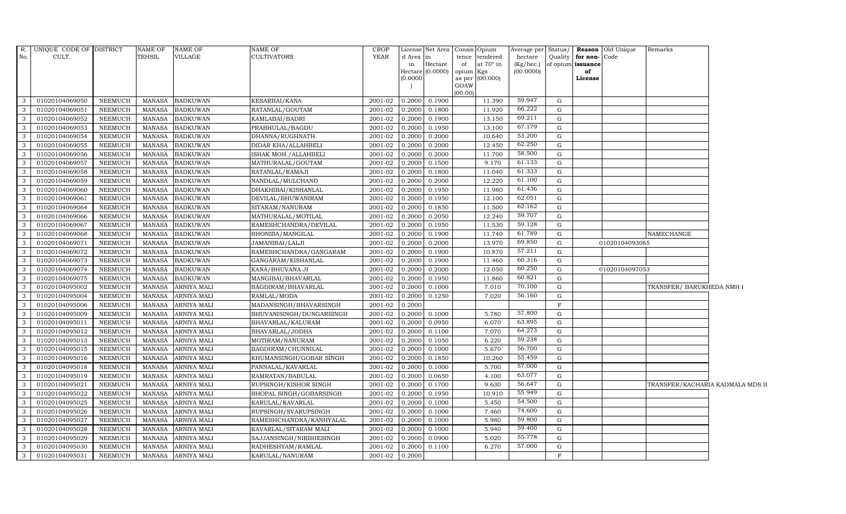| R.             | UNIQUE CODE OF DISTRICT |                | <b>NAME OF</b> | NAME OF            | NAME OF                  | <b>CROP</b> |                     | License Net Area Consis Opium |           |                 | Average per Status/ |              |                   | <b>Reason</b> Old Unique | Remarks                          |  |
|----------------|-------------------------|----------------|----------------|--------------------|--------------------------|-------------|---------------------|-------------------------------|-----------|-----------------|---------------------|--------------|-------------------|--------------------------|----------------------------------|--|
| No.            | CULT.                   |                | TEHSIL         | VILLAGE            | <b>CULTIVATORS</b>       | <b>YEAR</b> | d Area              | lin                           | tence     | tendered        | hectare             | Quality      | for non-Code      |                          |                                  |  |
|                |                         |                |                |                    |                          |             | in                  | Hectare<br>(0.0000)           | of        | at 70° in       | $(Kg/$ hec. $)$     |              | of opium issuance |                          |                                  |  |
|                |                         |                |                |                    |                          |             | Hectare<br>(0.0000) |                               | opium Kgs | as per (00.000) | (00.0000)           |              | of<br>License     |                          |                                  |  |
|                |                         |                |                |                    |                          |             |                     |                               | GOAW      |                 |                     |              |                   |                          |                                  |  |
|                |                         |                |                |                    |                          |             |                     |                               | (00.00)   |                 |                     |              |                   |                          |                                  |  |
| 3              | 01020104069050          | <b>NEEMUCH</b> | <b>MANASA</b>  | <b>BADKUWAN</b>    | KESARBAI/KANA            | 2001-02     | 0.2000              | 0.1900                        |           | 11.390          | 59.947              | G            |                   |                          |                                  |  |
| 3              | 01020104069051          | <b>NEEMUCH</b> | <b>MANASA</b>  | <b>BADKUWAN</b>    | RATANLAL/GOUTAM          | 2001-02     | 0.2000              | 0.1800                        |           | 11.920          | 66.222              | G            |                   |                          |                                  |  |
| 3              | 01020104069052          | <b>NEEMUCH</b> | <b>MANASA</b>  | <b>BADKUWAN</b>    | KAMLABAI/BADRI           | 2001-02     | 0.2000              | 0.1900                        |           | 13.150          | 69.211              | $\mathbf{G}$ |                   |                          |                                  |  |
| $\mathbf{3}$   | 01020104069053          | <b>NEEMUCH</b> | <b>MANASA</b>  | <b>BADKUWAN</b>    | PRABHULAL/BAGDU          | 2001-02     | 0.2000              | 0.1950                        |           | 13.100          | 67.179              | G            |                   |                          |                                  |  |
| $\mathbf{3}$   | 01020104069054          | <b>NEEMUCH</b> | <b>MANASA</b>  | <b>BADKUWAN</b>    | DHANNA/RUGHNATH          | 2001-02     | 0.2000              | 0.2000                        |           | 10.640          | 53.200              | ${\rm G}$    |                   |                          |                                  |  |
| $\mathbf{3}$   | 01020104069055          | <b>NEEMUCH</b> | <b>MANASA</b>  | <b>BADKUWAN</b>    | DIDAR KHA/ALLAHBELI      | 2001-02     | 0.2000              | 0.2000                        |           | 12.450          | 62.250              | ${\rm G}$    |                   |                          |                                  |  |
| 3              | 01020104069056          | NEEMUCH        | <b>MANASA</b>  | <b>BADKUWAN</b>    | ISHAK MOH./ALLAHBELI     | 2001-02     | 0.2000              | 0.2000                        |           | 11.700          | 58.500              | G            |                   |                          |                                  |  |
| 3              | 01020104069057          | <b>NEEMUCH</b> | <b>MANASA</b>  | <b>BADKUWAN</b>    | MATHURALAL/GOUTAM        | 2001-02     | 0.2000              | 0.1500                        |           | 9.170           | 61.133              | G            |                   |                          |                                  |  |
| $\mathbf{3}$   | 01020104069058          | <b>NEEMUCH</b> | <b>MANASA</b>  | <b>BADKUWAN</b>    | RATANLAL/RAMAJI          | 2001-02     | 0.2000              | 0.1800                        |           | 11.040          | 61.333              | ${\rm G}$    |                   |                          |                                  |  |
| 3              | 01020104069059          | <b>NEEMUCH</b> | <b>MANASA</b>  | <b>BADKUWAN</b>    | NANDLAL/MULCHAND         | 2001-02     | 0.2000              | 0.2000                        |           | 12.220          | 61.100              | G            |                   |                          |                                  |  |
| $\mathbf{3}$   | 01020104069060          | <b>NEEMUCH</b> | <b>MANASA</b>  | <b>BADKUWAN</b>    | DHAKHIBAI/KISHANLAL      | $2001 - 02$ | 0.2000              | 0.1950                        |           | 11.980          | 61.436              | G            |                   |                          |                                  |  |
| $\mathbf{3}$   | 01020104069061          | <b>NEEMUCH</b> | <b>MANASA</b>  | <b>BADKUWAN</b>    | DEVILAL/BHUWANIRAM       | 2001-02     | 0.2000              | 0.1950                        |           | 12.100          | 62.051              | G            |                   |                          |                                  |  |
| $\overline{3}$ | 01020104069064          | NEEMUCH        | <b>MANASA</b>  | <b>BADKUWAN</b>    | SITARAM/NANURAM          | 2001-02     | 0.2000              | 0.1850                        |           | 11.500          | 62.162              | G            |                   |                          |                                  |  |
| 3              | 01020104069066          | <b>NEEMUCH</b> | <b>MANASA</b>  | <b>BADKUWAN</b>    | MATHURALAL/MOTILAL       | 2001-02     | 0.2000              | 0.2050                        |           | 12.240          | 59.707              | G            |                   |                          |                                  |  |
| $\mathbf{3}$   | 01020104069067          | <b>NEEMUCH</b> | <b>MANASA</b>  | <b>BADKUWAN</b>    | RAMESHCHANDRA/DEVILAL    | 2001-02     | 0.2000              | 0.1950                        |           | 11.530          | 59.128              | ${\rm G}$    |                   |                          |                                  |  |
| $\mathbf{3}$   | 01020104069068          | <b>NEEMUCH</b> | <b>MANASA</b>  | <b>BADKUWAN</b>    | BHONIBA/MANGILAL         | 2001-02     | 0.2000              | 0.1900                        |           | 11.740          | 61.789              | G            |                   |                          | NAMECHANGE                       |  |
| 3              | 01020104069071          | <b>NEEMUCH</b> | <b>MANASA</b>  | <b>BADKUWAN</b>    | JAMANIBAI/LALJI          | 2001-02     | 0.2000              | 0.2000                        |           | 13.970          | 69.850              | G            |                   | 01020104093065           |                                  |  |
| $\mathbf{3}$   | 01020104069072          | <b>NEEMUCH</b> | <b>MANASA</b>  | <b>BADKUWAN</b>    | RAMESHCHANDRA/GANGARAM   | 2001-02     | 0.2000              | 0.1900                        |           | 10.870          | 57.211              | G            |                   |                          |                                  |  |
| 3              | 01020104069073          | <b>NEEMUCH</b> | <b>MANASA</b>  | <b>BADKUWAN</b>    | GANGARAM/KISHANLAL       | 2001-02     | 0.2000              | 0.1900                        |           | 11.460          | 60.316              | G            |                   |                          |                                  |  |
| $\mathbf{3}$   | 01020104069074          | <b>NEEMUCH</b> | <b>MANASA</b>  | <b>BADKUWAN</b>    | KANA/BHUVANA JI          | 2001-02     | 0.2000              | 0.2000                        |           | 12.050          | 60.250              | G            |                   | 01020104097053           |                                  |  |
| $\mathbf{3}$   | 01020104069075          | <b>NEEMUCH</b> | <b>MANASA</b>  | <b>BADKUWAN</b>    | MANGIBAI/BHAVARLAL       | 2001-02     | 0.2000              | 0.1950                        |           | 11.860          | 60.821              | G            |                   |                          |                                  |  |
| $\mathbf{3}$   | 01020104095002          | <b>NEEMUCH</b> | <b>MANASA</b>  | ARNIYA MALI        | BAGDIRAM/BHAVARLAL       | 2001-02     | 0.2000              | 0.1000                        |           | 7.010           | 70.100              | G            |                   |                          | TRANSFER/ BARUKHEDA NMH I        |  |
| $\mathbf{3}$   | 01020104095004          | <b>NEEMUCH</b> | <b>MANASA</b>  | ARNIYA MALI        | RAMLAL/MODA              | 2001-02     | 0.2000              | 0.1250                        |           | 7.020           | 56.160              | G            |                   |                          |                                  |  |
| $\mathbf{3}$   | 01020104095006          | <b>NEEMUCH</b> | <b>MANASA</b>  | <b>ARNIYA MALI</b> | MADANSINGH/BHAVARSINGH   | 2001-02     | 0.2000              |                               |           |                 |                     | $\mathbf F$  |                   |                          |                                  |  |
| 3              | 01020104095009          | <b>NEEMUCH</b> | <b>MANASA</b>  | <b>ARNIYA MALI</b> | BHUVANISINGH/DUNGARSINGH | 2001-02     | 0.2000              | 0.1000                        |           | 5.780           | 57.800              | G            |                   |                          |                                  |  |
| $\mathbf{3}$   | 01020104095011          | <b>NEEMUCH</b> | <b>MANASA</b>  | <b>ARNIYA MALI</b> | BHAVARLAL/KALURAM        | 2001-02     | 0.2000              | 0.0950                        |           | 6.070           | 63.895              | G            |                   |                          |                                  |  |
| 3              | 01020104095012          | <b>NEEMUCH</b> | <b>MANASA</b>  | ARNIYA MALI        | BHAVARLAL/JODHA          | 2001-02     | 0.2000              | 0.1100                        |           | 7.070           | 64.273              | G            |                   |                          |                                  |  |
| $\mathbf{3}$   | 01020104095013          | <b>NEEMUCH</b> | <b>MANASA</b>  | <b>ARNIYA MALI</b> | MOTIRAM/NANURAM          | 2001-02     | 0.2000              | 0.1050                        |           | 6.220           | 59.238              | G            |                   |                          |                                  |  |
| 3              | 01020104095015          | <b>NEEMUCH</b> | <b>MANASA</b>  | <b>ARNIYA MALI</b> | BAGDIRAM/CHUNNILAL       | 2001-02     | 0.2000              | 0.1000                        |           | 5.670           | 56.700              | G            |                   |                          |                                  |  |
| 3              | 01020104095016          | <b>NEEMUCH</b> | <b>MANASA</b>  | ARNIYA MALI        | KHUMANSINGH/GOBAR SINGH  | 2001-02     | 0.2000              | 0.1850                        |           | 10.260          | 55.459              | G            |                   |                          |                                  |  |
| $\mathbf{3}$   | 01020104095018          | <b>NEEMUCH</b> | <b>MANASA</b>  | <b>ARNIYA MALI</b> | PANNALAL/KAVARLAL        | 2001-02     | 0.2000              | 0.1000                        |           | 5.700           | 57.000              | G            |                   |                          |                                  |  |
| 3              | 01020104095019          | <b>NEEMUCH</b> | <b>MANASA</b>  | ARNIYA MALI        | RAMRATAN/BABULAL         | 2001-02     | 0.2000              | 0.0650                        |           | 4.100           | 63.077              | G            |                   |                          |                                  |  |
| $\mathbf{3}$   | 01020104095021          | <b>NEEMUCH</b> | <b>MANASA</b>  | ARNIYA MALI        | RUPSINGH/KISHOR SINGH    | 2001-02     | 0.2000              | 0.1700                        |           | 9.630           | 56.647              | ${\rm G}$    |                   |                          | TRANSFER/KACHARIA KADMALA MDS II |  |
| 3              | 01020104095022          | <b>NEEMUCH</b> | <b>MANASA</b>  | ARNIYA MALI        | BHOPAL SINGH/GOBARSINGH  | 2001-02     | 0.2000              | 0.1950                        |           | 10.910          | 55.949              | G            |                   |                          |                                  |  |
| $\mathbf{3}$   | 01020104095025          | <b>NEEMUCH</b> | <b>MANASA</b>  | ARNIYA MALI        | KARULAL/KAVARLAL         | 2001-02     | 0.2000              | 0.1000                        |           | 5.450           | 54.500              | G            |                   |                          |                                  |  |
| 3              | 01020104095026          | <b>NEEMUCH</b> | <b>MANASA</b>  | <b>ARNIYA MALI</b> | RUPSINGH/SVARUPSINGH     | 2001-02     | 0.2000              | 0.1000                        |           | 7.460           | 74.600              | G            |                   |                          |                                  |  |
| $\mathbf{3}$   | 01020104095027          | <b>NEEMUCH</b> | <b>MANASA</b>  | ARNIYA MALI        | RAMESHCHANDRA/KANHYALAL  | 2001-02     | 0.2000              | 0.1000                        |           | 5.980           | 59.800              | G            |                   |                          |                                  |  |
| $\mathbf{3}$   | 01020104095028          | <b>NEEMUCH</b> | <b>MANASA</b>  | ARNIYA MALI        | KAVARLAL/SITARAM MALI    | $2001 - 02$ | 0.2000              | 0.1000                        |           | 5.940           | 59.400              | G            |                   |                          |                                  |  |
| $\mathbf{3}$   | 01020104095029          | <b>NEEMUCH</b> | <b>MANASA</b>  | ARNIYA MALI        | SAJJANSINGH/NIRBHESINGH  | $2001 - 02$ | 0.2000              | 0.0900                        |           | 5.020           | 55.778              | G            |                   |                          |                                  |  |
| $\mathbf{3}$   | 01020104095030          | <b>NEEMUCH</b> | <b>MANASA</b>  | ARNIYA MALI        | RADHESHYAM/RAMLAL        | 2001-02     | 0.2000              | 0.1100                        |           | 6.270           | 57.000              | ${\rm G}$    |                   |                          |                                  |  |
| 3              | 01020104095031          | <b>NEEMUCH</b> | <b>MANASA</b>  | <b>ARNIYA MALI</b> | KARULAL/NANURAM          | 2001-02     | 0.2000              |                               |           |                 |                     | $\mathbf{F}$ |                   |                          |                                  |  |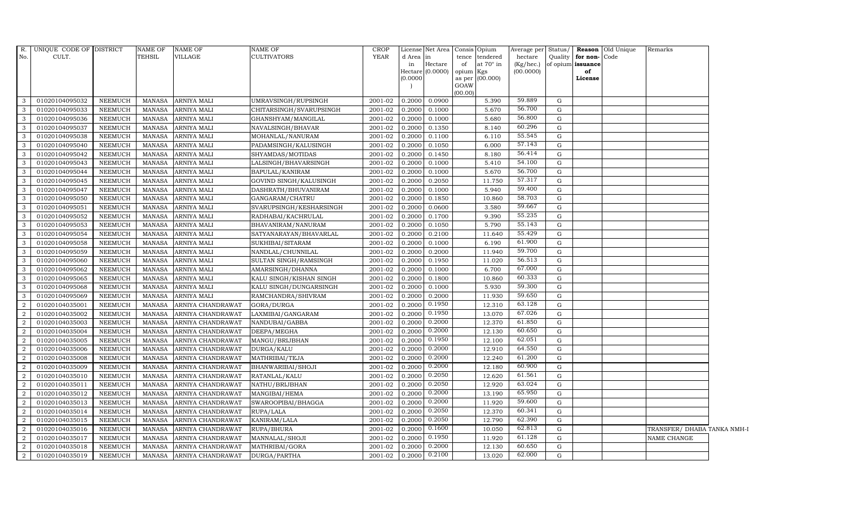| R.             | UNIQUE CODE OF DISTRICT |                | NAME OF       | <b>NAME OF</b>     | NAME OF                 | <b>CROP</b> |           | License Net Area Consis Opium |           |                  |           |             |                              | Average per Status/ <b>Reason</b> Old Unique | Remarks                     |  |
|----------------|-------------------------|----------------|---------------|--------------------|-------------------------|-------------|-----------|-------------------------------|-----------|------------------|-----------|-------------|------------------------------|----------------------------------------------|-----------------------------|--|
| No.            | CULT.                   |                | TEHSIL        | VILLAGE            | CULTIVATORS             | YEAR        | d Area in |                               |           | tence tendered   | hectare   |             | Quality <b>for non-</b> Code |                                              |                             |  |
|                |                         |                |               |                    |                         |             | in        | $\rm{Hectare}$                | of        | at $70^\circ$ in | (Kg/hec.) |             | of opium issuance            |                                              |                             |  |
|                |                         |                |               |                    |                         |             | (0.0000)  | Hectare $(0.0000)$            | opium Kgs |                  | (00.0000) |             | of                           |                                              |                             |  |
|                |                         |                |               |                    |                         |             |           |                               | GOAW      | as per (00.000)  |           |             | License                      |                                              |                             |  |
|                |                         |                |               |                    |                         |             |           |                               | (00.00)   |                  |           |             |                              |                                              |                             |  |
| 3              | 01020104095032          | NEEMUCH        | MANASA        | <b>ARNIYA MALI</b> | UMRAVSINGH/RUPSINGH     | 2001-02     | 0.2000    | 0.0900                        |           | 5.390            | 59.889    | G           |                              |                                              |                             |  |
| 3              | 01020104095033          | NEEMUCH        | MANASA        | <b>ARNIYA MALI</b> | CHITARSINGH/SVARUPSINGH | 2001-02     | 0.2000    | 0.1000                        |           | 5.670            | 56.700    | G           |                              |                                              |                             |  |
| 3              | 01020104095036          | NEEMUCH        | <b>MANASA</b> | <b>ARNIYA MALI</b> | GHANSHYAM/MANGILAL      | 2001-02     | 0.2000    | 0.1000                        |           | 5.680            | 56.800    | G           |                              |                                              |                             |  |
| 3              | 01020104095037          | <b>NEEMUCH</b> | <b>MANASA</b> | <b>ARNIYA MALI</b> | NAVALSINGH/BHAVAR       | 2001-02     | 0.2000    | 0.1350                        |           | 8.140            | 60.296    | G           |                              |                                              |                             |  |
| 3              | 01020104095038          | <b>NEEMUCH</b> | <b>MANASA</b> | ARNIYA MALI        | MOHANLAL/NANURAM        | 2001-02     | 0.2000    | 0.1100                        |           | 6.110            | 55.545    | G           |                              |                                              |                             |  |
| 3              | 01020104095040          | NEEMUCH        | <b>MANASA</b> | ARNIYA MALI        | PADAMSINGH/KALUSINGH    | 2001-02     | 0.2000    | 0.1050                        |           | 6.000            | 57.143    | G           |                              |                                              |                             |  |
| 3              | 01020104095042          | <b>NEEMUCH</b> | MANASA        | ARNIYA MALI        | SHYAMDAS/MOTIDAS        | 2001-02     | 0.2000    | 0.1450                        |           | 8.180            | 56.414    | G           |                              |                                              |                             |  |
| 3              | 01020104095043          | NEEMUCH        | <b>MANASA</b> | ARNIYA MALI        | LALSINGH/BHAVARSINGH    | 2001-02     | 0.2000    | 0.1000                        |           | 5.410            | 54.100    | G           |                              |                                              |                             |  |
| 3              | 01020104095044          | NEEMUCH        | MANASA        | <b>ARNIYA MALI</b> | BAPULAL/KANIRAM         | 2001-02     | 0.2000    | 0.1000                        |           | 5.670            | 56.700    | G           |                              |                                              |                             |  |
| 3              | 01020104095045          | <b>NEEMUCH</b> | MANASA        | ARNIYA MALI        | GOVIND SINGH/KALUSINGH  | 2001-02     | 0.2000    | 0.2050                        |           | 11.750           | 57.317    | G           |                              |                                              |                             |  |
| 3              | 01020104095047          | NEEMUCH        | <b>MANASA</b> | ARNIYA MALI        | DASHRATH/BHUVANIRAM     | 2001-02     | 0.2000    | 0.1000                        |           | 5.940            | 59.400    | G           |                              |                                              |                             |  |
| 3              | 01020104095050          | NEEMUCH        | <b>MANASA</b> | ARNIYA MALI        | GANGARAM/CHATRU         | 2001-02     | 0.2000    | 0.1850                        |           | 10.860           | 58.703    | G           |                              |                                              |                             |  |
| 3              | 01020104095051          | NEEMUCH        | <b>MANASA</b> | ARNIYA MALI        | SVARUPSINGH/KESHARSINGH | 2001-02     | 0.2000    | 0.0600                        |           | 3.580            | 59.667    | G           |                              |                                              |                             |  |
| 3              | 01020104095052          | NEEMUCH        | <b>MANASA</b> | <b>ARNIYA MALI</b> | RADHABAI/KACHRULAL      | 2001-02     | 0.2000    | 0.1700                        |           | 9.390            | 55.235    | G           |                              |                                              |                             |  |
| 3              | 01020104095053          | <b>NEEMUCH</b> | <b>MANASA</b> | ARNIYA MALI        | BHAVANIRAM/NANURAM      | 2001-02     | 0.2000    | 0.1050                        |           | 5.790            | 55.143    | G           |                              |                                              |                             |  |
| 3              | 01020104095054          | NEEMUCH        | <b>MANASA</b> | ARNIYA MALI        | SATYANARAYAN/BHAVARLAL  | 2001-02     | 0.2000    | 0.2100                        |           | 11.640           | 55.429    | G           |                              |                                              |                             |  |
| 3              | 01020104095058          | NEEMUCH        | MANASA        | ARNIYA MALI        | SUKHIBAI/SITARAM        | 2001-02     | 0.2000    | 0.1000                        |           | 6.190            | 61.900    | G           |                              |                                              |                             |  |
| 3              | 01020104095059          | NEEMUCH        | <b>MANASA</b> | ARNIYA MALI        | NANDLAL/CHUNNILAL       | 2001-02     | 0.2000    | 0.2000                        |           | 11.940           | 59.700    | G           |                              |                                              |                             |  |
| 3              | 01020104095060          | NEEMUCH        | <b>MANASA</b> | <b>ARNIYA MALI</b> | SULTAN SINGH/RAMSINGH   | 2001-02     | 0.2000    | 0.1950                        |           | 11.020           | 56.513    | G           |                              |                                              |                             |  |
| 3              | 01020104095062          | <b>NEEMUCH</b> | <b>MANASA</b> | ARNIYA MALI        | AMARSINGH/DHANNA        | 2001-02     | 0.2000    | 0.1000                        |           | 6.700            | 67.000    | G           |                              |                                              |                             |  |
| 3              | 01020104095065          | NEEMUCH        | <b>MANASA</b> | ARNIYA MALI        | KALU SINGH/KISHAN SINGH | 2001-02     | 0.2000    | 0.1800                        |           | 10.860           | 60.333    | G           |                              |                                              |                             |  |
| 3              | 01020104095068          | NEEMUCH        | <b>MANASA</b> | ARNIYA MALI        | KALU SINGH/DUNGARSINGH  | 2001-02     | 0.2000    | 0.1000                        |           | 5.930            | 59.300    | G           |                              |                                              |                             |  |
| 3              | 01020104095069          | <b>NEEMUCH</b> | <b>MANASA</b> | ARNIYA MALI        | RAMCHANDRA/SHIVRAM      | 2001-02     | 0.2000    | 0.2000                        |           | 11.930           | 59.650    | G           |                              |                                              |                             |  |
| 2              | 01020104035001          | NEEMUCH        | <b>MANASA</b> | ARNIYA CHANDRAWAT  | GORA/DURGA              | 2001-02     | 0.2000    | 0.1950                        |           | 12.310           | 63.128    | G           |                              |                                              |                             |  |
| $\overline{2}$ | 01020104035002          | <b>NEEMUCH</b> | <b>MANASA</b> | ARNIYA CHANDRAWAT  | LAXMIBAI/GANGARAM       | 2001-02     | 0.2000    | 0.1950                        |           | 13.070           | 67.026    | $\mathbf G$ |                              |                                              |                             |  |
| $\overline{2}$ | 01020104035003          | NEEMUCH        | <b>MANASA</b> | ARNIYA CHANDRAWAT  | NANDUBAI/GABBA          | 2001-02     | 0.2000    | 0.2000                        |           | 12.370           | 61.850    | G           |                              |                                              |                             |  |
| 2              | 01020104035004          | NEEMUCH        | <b>MANASA</b> | ARNIYA CHANDRAWAT  | DEEPA/MEGHA             | 2001-02     | 0.2000    | 0.2000                        |           | 12.130           | 60.650    | G           |                              |                                              |                             |  |
| 2              | 01020104035005          | <b>NEEMUCH</b> | <b>MANASA</b> | ARNIYA CHANDRAWAT  | MANGU/BRIJBHAN          | 2001-02     | 0.2000    | 0.1950                        |           | 12.100           | 62.051    | G           |                              |                                              |                             |  |
| 2              | 01020104035006          | <b>NEEMUCH</b> | <b>MANASA</b> | ARNIYA CHANDRAWAT  | DURGA/KALU              | 2001-02     | 0.2000    | 0.2000                        |           | 12.910           | 64.550    | G           |                              |                                              |                             |  |
| 2              | 01020104035008          | NEEMUCH        | <b>MANASA</b> | ARNIYA CHANDRAWAT  | MATHRIBAI/TEJA          | 2001-02     | 0.2000    | 0.2000                        |           | 12.240           | 61.200    | G           |                              |                                              |                             |  |
| 2              | 01020104035009          | <b>NEEMUCH</b> | <b>MANASA</b> | ARNIYA CHANDRAWAT  | BHANWARIBAI/SHOJI       | 2001-02     | 0.2000    | 0.2000                        |           | 12.180           | 60.900    | G           |                              |                                              |                             |  |
| 2              | 01020104035010          | <b>NEEMUCH</b> | <b>MANASA</b> | ARNIYA CHANDRAWAT  | RATANLAL/KALU           | 2001-02     | 0.2000    | 0.2050                        |           | 12.620           | 61.561    | G           |                              |                                              |                             |  |
| 2              | 01020104035011          | NEEMUCH        | <b>MANASA</b> | ARNIYA CHANDRAWAT  | NATHU/BRIJBHAN          | 2001-02     | 0.2000    | 0.2050                        |           | 12.920           | 63.024    | G           |                              |                                              |                             |  |
| $\overline{2}$ | 01020104035012          | <b>NEEMUCH</b> | <b>MANASA</b> | ARNIYA CHANDRAWAT  | MANGIBAI/HEMA           | 2001-02     | 0.2000    | 0.2000                        |           | 13.190           | 65.950    | G           |                              |                                              |                             |  |
| 2              | 01020104035013          | <b>NEEMUCH</b> | <b>MANASA</b> | ARNIYA CHANDRAWAT  | SWAROOPIBAI/BHAGGA      | 2001-02     | 0.2000    | 0.2000                        |           | 11.920           | 59.600    | G           |                              |                                              |                             |  |
| 2              | 01020104035014          | <b>NEEMUCH</b> | <b>MANASA</b> | ARNIYA CHANDRAWAT  | RUPA/LALA               | 2001-02     | 0.2000    | 0.2050                        |           | 12.370           | 60.341    | G           |                              |                                              |                             |  |
| 2              | 01020104035015          | <b>NEEMUCH</b> | <b>MANASA</b> | ARNIYA CHANDRAWAT  | KANIRAM/LALA            | 2001-02     | 0.2000    | 0.2050                        |           | 12.790           | 62.390    | G           |                              |                                              |                             |  |
| 2              | 01020104035016          | NEEMUCH        | <b>MANASA</b> | ARNIYA CHANDRAWAT  | RUPA/BHURA              | 2001-02     | 0.2000    | 0.1600                        |           | 10.050           | 62.813    | G           |                              |                                              | TRANSFER/ DHABA TANKA NMH-I |  |
| 2              | 01020104035017          | <b>NEEMUCH</b> | <b>MANASA</b> | ARNIYA CHANDRAWAT  | MANNALAL/SHOJI          | 2001-02     | 0.2000    | 0.1950                        |           | 11.920           | 61.128    | G           |                              |                                              | NAME CHANGE                 |  |
| $\overline{2}$ | 01020104035018          | NEEMUCH        | <b>MANASA</b> | ARNIYA CHANDRAWAT  | MATHRIBAI/GORA          | 2001-02     | 0.2000    | 0.2000                        |           | 12.130           | 60.650    | G           |                              |                                              |                             |  |
| $\overline{2}$ | 01020104035019          | NEEMUCH        | MANASA        | ARNIYA CHANDRAWAT  | DURGA/PARTHA            | 2001-02     | 0.2000    | 0.2100                        |           | 13.020           | 62.000    | G           |                              |                                              |                             |  |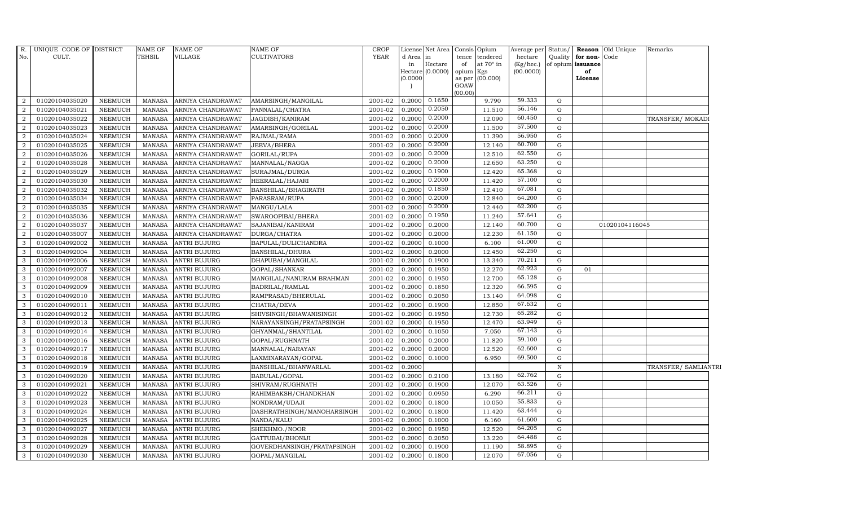| No.<br>d Area in<br>tence tendered<br>hectare<br>Quality<br>for non-Code<br>Hectare<br>at 70° in<br>(Kg/hec.)<br>of opium issuance<br>in<br>of<br>Hectare (0.0000)<br>(00.0000)<br>of<br>opium Kgs<br>as per (00.000)<br>(0.0000)<br>License<br>GOAW<br>(00.00)<br>59.333<br>0.1650<br>0.2000<br>$\overline{2}$<br>01020104035020<br><b>NEEMUCH</b><br><b>MANASA</b><br>ARNIYA CHANDRAWAT<br>AMARSINGH/MANGILAL<br>2001-02<br>9.790<br>G<br>0.2050<br>56.146<br>0.2000<br>$\overline{2}$<br>01020104035021<br><b>NEEMUCH</b><br>2001-02<br>11.510<br>G<br><b>MANASA</b><br>ARNIYA CHANDRAWAT<br>PANNALAL/CHATRA<br>60.450<br>0.2000<br>2<br>$\frac{1}{2}001 - 02$<br>0.2000<br>12.090<br>01020104035022<br><b>NEEMUCH</b><br><b>MANASA</b><br>ARNIYA CHANDRAWAT<br>JAGDISH/KANIRAM<br>G<br>TRANSFER/ MOKADI<br>0.2000<br>57.500<br>$\overline{2}$<br>01020104035023<br><b>NEEMUCH</b><br><b>MANASA</b><br>ARNIYA CHANDRAWAT<br>AMARSINGH/GORILAL<br>2001-02<br>0.2000<br>11.500<br>$\mathbf G$<br>0.2000<br>56.950<br>$\overline{2}$<br>01020104035024<br><b>MANASA</b><br>2001-02<br>0.2000<br>11.390<br>$\mathbf G$<br><b>NEEMUCH</b><br>ARNIYA CHANDRAWAT<br>RAJMAL/RAMA<br>0.2000<br>60.700<br>$\overline{2}$<br>0.2000<br>${\rm G}$<br>01020104035025<br><b>NEEMUCH</b><br><b>MANASA</b><br>ARNIYA CHANDRAWAT<br><b>JEEVA/BHERA</b><br>2001-02<br>12.140<br>0.2000<br>62.550<br>$\overline{a}$<br>2001-02<br>0.2000<br>12.510<br>${\rm G}$<br>01020104035026<br><b>NEEMUCH</b><br><b>MANASA</b><br>ARNIYA CHANDRAWAT<br>GORILAL/RUPA<br>0.2000<br>63.250<br>2<br>01020104035028<br>2001-02<br>0.2000<br>12.650<br><b>NEEMUCH</b><br><b>MANASA</b><br>ARNIYA CHANDRAWAT<br>MANNALAL/NAGGA<br>G<br>0.1900<br>65.368<br>01020104035029<br>12.420<br>$\overline{2}$<br><b>NEEMUCH</b><br><b>MANASA</b><br>ARNIYA CHANDRAWAT<br>SURAJMAL/DURGA<br>2001-02<br>0.2000<br>$\mathbf G$<br>0.2000<br>57.100<br>$\overline{2}$<br>01020104035030<br>NEEMUCH<br><b>MANASA</b><br>ARNIYA CHANDRAWAT<br>2001-02<br>0.2000<br>11.420<br>G<br>HEERALAL/HAJARI<br>0.1850<br>67.081<br>$\overline{2}$<br>01020104035032<br><b>NEEMUCH</b><br><b>MANASA</b><br>ARNIYA CHANDRAWAT<br>BANSHILAL/BHAGIRATH<br>2001-02<br>0.2000<br>12.410<br>G<br>0.2000<br>64.200<br>$\overline{a}$<br>2001-02<br>0.2000<br>${\rm G}$<br>01020104035034<br><b>NEEMUCH</b><br><b>MANASA</b><br>ARNIYA CHANDRAWAT<br>12.840<br>PARASRAM/RUPA<br>0.2000<br>62.200<br>2<br>2001-02<br>0.2000<br>01020104035035<br><b>NEEMUCH</b><br><b>MANASA</b><br>ARNIYA CHANDRAWAT<br>MANGU/LALA<br>12.440<br>G<br>0.1950<br>57.641<br>$\overline{a}$<br>01020104035036<br><b>NEEMUCH</b><br>ARNIYA CHANDRAWAT<br>SWAROOPIBAI/BHERA<br>2001-02<br>0.2000<br>11.240<br>$\mathbf G$<br><b>MANASA</b><br>60.700<br>$\overline{a}$<br>01020104035037<br><b>NEEMUCH</b><br><b>MANASA</b><br>ARNIYA CHANDRAWAT<br>2001-02<br>0.2000<br>0.2000<br>12.140<br>$\mathbf G$<br>01020104116045<br>SAJANIBAI/KANIRAM<br>61.150<br>$\overline{2}$<br>0.2000<br>0.2000<br>12.230<br>G<br>01020104035007<br><b>NEEMUCH</b><br><b>MANASA</b><br>ARNIYA CHANDRAWAT<br>DURGA/CHATRA<br>2001-02<br>61.000<br>01020104092002<br>2001-02<br>3<br><b>NEEMUCH</b><br><b>MANASA</b><br><b>ANTRI BUJURG</b><br>BAPULAL/DULICHANDRA<br>0.2000<br>0.1000<br>6.100<br>G<br>62.250<br>$\mathbf{3}$<br>01020104092004<br>2001-02<br>0.2000<br>0.2000<br><b>NEEMUCH</b><br><b>MANASA</b><br><b>ANTRI BUJURG</b><br><b>BANSHILAL/DHURA</b><br>12.450<br>G<br>70.211<br>3<br>01020104092006<br>DHAPUBAI/MANGILAL<br>$2001 - 02$<br>0.1900<br>13.340<br>$\mathbf G$<br><b>NEEMUCH</b><br><b>MANASA</b><br><b>ANTRI BUJURG</b><br>0.2000<br>62.923<br>3<br>$\mathbf G$<br>01020104092007<br><b>NEEMUCH</b><br><b>MANASA</b><br><b>ANTRI BUJURG</b><br>2001-02<br>0.2000<br>0.1950<br>12.270<br>GOPAL/SHANKAR<br>01<br>65.128<br>0.2000<br>0.1950<br>12.700<br>G<br>3<br>01020104092008<br><b>NEEMUCH</b><br><b>MANASA</b><br><b>ANTRI BUJURG</b><br>MANGILAL/NANURAM BRAHMAN<br>2001-02<br>66.595<br>01020104092009<br>2001-02<br>3<br><b>NEEMUCH</b><br><b>MANASA</b><br><b>ANTRI BUJURG</b><br>BADRILAL/RAMLAL<br>0.2000<br>0.1850<br>12.320<br>$\mathbf G$<br>$\mathbf{3}$<br>64.098<br>01020104092010<br><b>NEEMUCH</b><br><b>ANTRI BUJURG</b><br>2001-02<br>0.2000<br>0.2050<br>${\rm G}$<br><b>MANASA</b><br>RAMPRASAD/BHERULAL<br>13.140<br>67.632<br>3<br>01020104092011<br><b>NEEMUCH</b><br><b>MANASA</b><br><b>ANTRI BUJURG</b><br>2001-02<br>0.2000<br>0.1900<br>12.850<br>G<br>CHATRA/DEVA<br>65.282<br>3<br>01020104092012<br><b>NEEMUCH</b><br><b>MANASA</b><br><b>ANTRI BUJURG</b><br>SHIVSINGH/BHAWANISINGH<br>2001-02<br>0.2000<br>0.1950<br>12.730<br>$\mathbf G$<br>63.949<br>0.2000<br>0.1950<br>G<br>3<br>01020104092013<br><b>NEEMUCH</b><br><b>MANASA</b><br><b>ANTRI BUJURG</b><br>NARAYANSINGH/PRATAPSINGH<br>2001-02<br>12.470<br>67.143<br>01020104092014<br>2001-02<br>7.050<br>3<br><b>NEEMUCH</b><br><b>MANASA</b><br><b>ANTRI BUJURG</b><br>GHYANMAL/SHANTILAL<br>0.2000<br>0.1050<br>$\mathbf G$<br>59.100<br>$\mathbf{3}$<br>01020104092016<br><b>NEEMUCH</b><br><b>ANTRI BUJURG</b><br>2001-02<br>0.2000<br>0.2000<br>11.820<br>$\mathbf G$<br><b>MANASA</b><br>GOPAL/RUGHNATH<br>62.600<br>3<br>01020104092017<br>2001-02<br>0.2000<br>0.2000<br>12.520<br>$\mathbf G$<br><b>NEEMUCH</b><br><b>MANASA</b><br><b>ANTRI BUJURG</b><br>MANNALAL/NARAYAN<br>69.500<br>3<br>01020104092018<br><b>NEEMUCH</b><br><b>MANASA</b><br><b>ANTRI BUJURG</b><br>LAXMINARAYAN/GOPAL<br>2001-02<br>0.2000<br>0.1000<br>6.950<br>$\mathbf G$<br>0.2000<br>$\, {\bf N}$<br>3<br>01020104092019<br><b>NEEMUCH</b><br><b>MANASA</b><br><b>ANTRI BUJURG</b><br>BANSHILAL/BHANWARLAL<br>2001-02<br>62.762<br>3<br>01020104092020<br><b>NEEMUCH</b><br><b>MANASA</b><br>2001-02<br>0.2000<br>0.2100<br>13.180<br><b>ANTRI BUJURG</b><br>BABULAL/GOPAL<br>G<br>63.526<br>$\mathbf{3}$<br>01020104092021<br><b>NEEMUCH</b><br><b>ANTRI BUJURG</b><br>2001-02<br>0.2000<br>0.1900<br>12.070<br>$\mathbf G$<br><b>MANASA</b><br>SHIVRAM/RUGHNATH<br>66.211<br>3<br>01020104092022<br><b>MANASA</b><br>2001-02<br>0.2000<br>0.0950<br>6.290<br>G<br><b>NEEMUCH</b><br><b>ANTRI BUJURG</b><br>RAHIMBAKSH/CHANDKHAN<br>55.833<br>3<br>01020104092023<br><b>NEEMUCH</b><br><b>MANASA</b><br><b>ANTRI BUJURG</b><br>NONDRAM/UDAJI<br>2001-02<br>0.2000<br>0.1800<br>10.050<br>$\mathbf G$<br>63.444<br>0.2000<br>3<br>2001-02<br>0.1800<br>G<br>01020104092024<br><b>NEEMUCH</b><br><b>MANASA</b><br><b>ANTRI BUJURG</b><br>DASHRATHSINGH/MANOHARSINGH<br>11.420<br>61.600<br>3<br>01020104092025<br><b>NEEMUCH</b><br><b>MANASA</b><br>2001-02<br>0.2000<br>0.1000<br>6.160<br>$\mathbf G$<br><b>ANTRI BUJURG</b><br>NANDA/KALU<br>64.205<br>$\mathbf{3}$<br>0.2000<br>01020104092027<br><b>NEEMUCH</b><br><b>MANASA</b><br><b>ANTRI BUJURG</b><br>SHEKHMO./NOOR<br>2001-02<br>0.1950<br>12.520<br>$\mathbf G$<br>64.488<br>3<br>01020104092028<br>2001-02<br>0.2000<br>0.2050<br>13.220<br>G<br><b>NEEMUCH</b><br><b>MANASA</b><br><b>ANTRI BUJURG</b><br>GATTUBAI/BHONIJI<br>58.895<br>3<br>01020104092029<br><b>NEEMUCH</b><br><b>MANASA</b><br><b>ANTRI BUJURG</b><br>GOVERDHANSINGH/PRATAPSINGH<br>2001-02<br>0.2000<br>0.1900<br>11.190<br>G<br>67.056<br>$\mathbf{3}$<br>01020104092030<br><b>NEEMUCH</b><br>MANASA<br><b>ANTRI BUJURG</b><br>2001-02<br>0.2000<br>0.1800<br>12.070<br>G<br>GOPAL/MANGILAL | R. | UNIQUE CODE OF DISTRICT | NAME OF       | <b>NAME OF</b> | <b>NAME OF</b>     | CROP        | License Net Area | Consis Opium | Average per | Status/ | <b>Reason</b> Old Unique | Remarks              |
|-------------------------------------------------------------------------------------------------------------------------------------------------------------------------------------------------------------------------------------------------------------------------------------------------------------------------------------------------------------------------------------------------------------------------------------------------------------------------------------------------------------------------------------------------------------------------------------------------------------------------------------------------------------------------------------------------------------------------------------------------------------------------------------------------------------------------------------------------------------------------------------------------------------------------------------------------------------------------------------------------------------------------------------------------------------------------------------------------------------------------------------------------------------------------------------------------------------------------------------------------------------------------------------------------------------------------------------------------------------------------------------------------------------------------------------------------------------------------------------------------------------------------------------------------------------------------------------------------------------------------------------------------------------------------------------------------------------------------------------------------------------------------------------------------------------------------------------------------------------------------------------------------------------------------------------------------------------------------------------------------------------------------------------------------------------------------------------------------------------------------------------------------------------------------------------------------------------------------------------------------------------------------------------------------------------------------------------------------------------------------------------------------------------------------------------------------------------------------------------------------------------------------------------------------------------------------------------------------------------------------------------------------------------------------------------------------------------------------------------------------------------------------------------------------------------------------------------------------------------------------------------------------------------------------------------------------------------------------------------------------------------------------------------------------------------------------------------------------------------------------------------------------------------------------------------------------------------------------------------------------------------------------------------------------------------------------------------------------------------------------------------------------------------------------------------------------------------------------------------------------------------------------------------------------------------------------------------------------------------------------------------------------------------------------------------------------------------------------------------------------------------------------------------------------------------------------------------------------------------------------------------------------------------------------------------------------------------------------------------------------------------------------------------------------------------------------------------------------------------------------------------------------------------------------------------------------------------------------------------------------------------------------------------------------------------------------------------------------------------------------------------------------------------------------------------------------------------------------------------------------------------------------------------------------------------------------------------------------------------------------------------------------------------------------------------------------------------------------------------------------------------------------------------------------------------------------------------------------------------------------------------------------------------------------------------------------------------------------------------------------------------------------------------------------------------------------------------------------------------------------------------------------------------------------------------------------------------------------------------------------------------------------------------------------------------------------------------------------------------------------------------------------------------------------------------------------------------------------------------------------------------------------------------------------------------------------------------------------------------------------------------------------------------------------------------------------------------------------------------------------------------------------------------------------------------------------------------------------------------------------------------------------------------------------------------------------------------------------------------------------------------------------------------------------------------------------------------------------------------------------------------------------------------------------------------------------------------------------------------------------------------------------------------------------------------------------------------------------------------------------------------------------------------------------------------------------------------------------------------------------------------------------------------------------------------------------------------------------------------------------------------------------------------------------------------------------------------------------------------------------------------------------------------------------------------------------------------------------------------------------------------------------------------------------------------------------------------------------------------------------------------------------------------------------------------------------------------------------------------------------------------------------------------------------------------------------------------------------------------------------------------------------------------------------------------------------------------------------------------------------------------------------------------------------------------|----|-------------------------|---------------|----------------|--------------------|-------------|------------------|--------------|-------------|---------|--------------------------|----------------------|
|                                                                                                                                                                                                                                                                                                                                                                                                                                                                                                                                                                                                                                                                                                                                                                                                                                                                                                                                                                                                                                                                                                                                                                                                                                                                                                                                                                                                                                                                                                                                                                                                                                                                                                                                                                                                                                                                                                                                                                                                                                                                                                                                                                                                                                                                                                                                                                                                                                                                                                                                                                                                                                                                                                                                                                                                                                                                                                                                                                                                                                                                                                                                                                                                                                                                                                                                                                                                                                                                                                                                                                                                                                                                                                                                                                                                                                                                                                                                                                                                                                                                                                                                                                                                                                                                                                                                                                                                                                                                                                                                                                                                                                                                                                                                                                                                                                                                                                                                                                                                                                                                                                                                                                                                                                                                                                                                                                                                                                                                                                                                                                                                                                                                                                                                                                                                                                                                                                                                                                                                                                                                                                                                                                                                                                                                                                                                                                                                                                                                                                                                                                                                                                                                                                                                                                                                                                                                                                                                                                                                                                                                                                                                                                                                                                                                                                                                                                                                                                     |    | CULT.                   | <b>TEHSIL</b> | VILLAGE        | <b>CULTIVATORS</b> | <b>YEAR</b> |                  |              |             |         |                          |                      |
|                                                                                                                                                                                                                                                                                                                                                                                                                                                                                                                                                                                                                                                                                                                                                                                                                                                                                                                                                                                                                                                                                                                                                                                                                                                                                                                                                                                                                                                                                                                                                                                                                                                                                                                                                                                                                                                                                                                                                                                                                                                                                                                                                                                                                                                                                                                                                                                                                                                                                                                                                                                                                                                                                                                                                                                                                                                                                                                                                                                                                                                                                                                                                                                                                                                                                                                                                                                                                                                                                                                                                                                                                                                                                                                                                                                                                                                                                                                                                                                                                                                                                                                                                                                                                                                                                                                                                                                                                                                                                                                                                                                                                                                                                                                                                                                                                                                                                                                                                                                                                                                                                                                                                                                                                                                                                                                                                                                                                                                                                                                                                                                                                                                                                                                                                                                                                                                                                                                                                                                                                                                                                                                                                                                                                                                                                                                                                                                                                                                                                                                                                                                                                                                                                                                                                                                                                                                                                                                                                                                                                                                                                                                                                                                                                                                                                                                                                                                                                                     |    |                         |               |                |                    |             |                  |              |             |         |                          |                      |
|                                                                                                                                                                                                                                                                                                                                                                                                                                                                                                                                                                                                                                                                                                                                                                                                                                                                                                                                                                                                                                                                                                                                                                                                                                                                                                                                                                                                                                                                                                                                                                                                                                                                                                                                                                                                                                                                                                                                                                                                                                                                                                                                                                                                                                                                                                                                                                                                                                                                                                                                                                                                                                                                                                                                                                                                                                                                                                                                                                                                                                                                                                                                                                                                                                                                                                                                                                                                                                                                                                                                                                                                                                                                                                                                                                                                                                                                                                                                                                                                                                                                                                                                                                                                                                                                                                                                                                                                                                                                                                                                                                                                                                                                                                                                                                                                                                                                                                                                                                                                                                                                                                                                                                                                                                                                                                                                                                                                                                                                                                                                                                                                                                                                                                                                                                                                                                                                                                                                                                                                                                                                                                                                                                                                                                                                                                                                                                                                                                                                                                                                                                                                                                                                                                                                                                                                                                                                                                                                                                                                                                                                                                                                                                                                                                                                                                                                                                                                                                     |    |                         |               |                |                    |             |                  |              |             |         |                          |                      |
|                                                                                                                                                                                                                                                                                                                                                                                                                                                                                                                                                                                                                                                                                                                                                                                                                                                                                                                                                                                                                                                                                                                                                                                                                                                                                                                                                                                                                                                                                                                                                                                                                                                                                                                                                                                                                                                                                                                                                                                                                                                                                                                                                                                                                                                                                                                                                                                                                                                                                                                                                                                                                                                                                                                                                                                                                                                                                                                                                                                                                                                                                                                                                                                                                                                                                                                                                                                                                                                                                                                                                                                                                                                                                                                                                                                                                                                                                                                                                                                                                                                                                                                                                                                                                                                                                                                                                                                                                                                                                                                                                                                                                                                                                                                                                                                                                                                                                                                                                                                                                                                                                                                                                                                                                                                                                                                                                                                                                                                                                                                                                                                                                                                                                                                                                                                                                                                                                                                                                                                                                                                                                                                                                                                                                                                                                                                                                                                                                                                                                                                                                                                                                                                                                                                                                                                                                                                                                                                                                                                                                                                                                                                                                                                                                                                                                                                                                                                                                                     |    |                         |               |                |                    |             |                  |              |             |         |                          |                      |
|                                                                                                                                                                                                                                                                                                                                                                                                                                                                                                                                                                                                                                                                                                                                                                                                                                                                                                                                                                                                                                                                                                                                                                                                                                                                                                                                                                                                                                                                                                                                                                                                                                                                                                                                                                                                                                                                                                                                                                                                                                                                                                                                                                                                                                                                                                                                                                                                                                                                                                                                                                                                                                                                                                                                                                                                                                                                                                                                                                                                                                                                                                                                                                                                                                                                                                                                                                                                                                                                                                                                                                                                                                                                                                                                                                                                                                                                                                                                                                                                                                                                                                                                                                                                                                                                                                                                                                                                                                                                                                                                                                                                                                                                                                                                                                                                                                                                                                                                                                                                                                                                                                                                                                                                                                                                                                                                                                                                                                                                                                                                                                                                                                                                                                                                                                                                                                                                                                                                                                                                                                                                                                                                                                                                                                                                                                                                                                                                                                                                                                                                                                                                                                                                                                                                                                                                                                                                                                                                                                                                                                                                                                                                                                                                                                                                                                                                                                                                                                     |    |                         |               |                |                    |             |                  |              |             |         |                          |                      |
|                                                                                                                                                                                                                                                                                                                                                                                                                                                                                                                                                                                                                                                                                                                                                                                                                                                                                                                                                                                                                                                                                                                                                                                                                                                                                                                                                                                                                                                                                                                                                                                                                                                                                                                                                                                                                                                                                                                                                                                                                                                                                                                                                                                                                                                                                                                                                                                                                                                                                                                                                                                                                                                                                                                                                                                                                                                                                                                                                                                                                                                                                                                                                                                                                                                                                                                                                                                                                                                                                                                                                                                                                                                                                                                                                                                                                                                                                                                                                                                                                                                                                                                                                                                                                                                                                                                                                                                                                                                                                                                                                                                                                                                                                                                                                                                                                                                                                                                                                                                                                                                                                                                                                                                                                                                                                                                                                                                                                                                                                                                                                                                                                                                                                                                                                                                                                                                                                                                                                                                                                                                                                                                                                                                                                                                                                                                                                                                                                                                                                                                                                                                                                                                                                                                                                                                                                                                                                                                                                                                                                                                                                                                                                                                                                                                                                                                                                                                                                                     |    |                         |               |                |                    |             |                  |              |             |         |                          |                      |
|                                                                                                                                                                                                                                                                                                                                                                                                                                                                                                                                                                                                                                                                                                                                                                                                                                                                                                                                                                                                                                                                                                                                                                                                                                                                                                                                                                                                                                                                                                                                                                                                                                                                                                                                                                                                                                                                                                                                                                                                                                                                                                                                                                                                                                                                                                                                                                                                                                                                                                                                                                                                                                                                                                                                                                                                                                                                                                                                                                                                                                                                                                                                                                                                                                                                                                                                                                                                                                                                                                                                                                                                                                                                                                                                                                                                                                                                                                                                                                                                                                                                                                                                                                                                                                                                                                                                                                                                                                                                                                                                                                                                                                                                                                                                                                                                                                                                                                                                                                                                                                                                                                                                                                                                                                                                                                                                                                                                                                                                                                                                                                                                                                                                                                                                                                                                                                                                                                                                                                                                                                                                                                                                                                                                                                                                                                                                                                                                                                                                                                                                                                                                                                                                                                                                                                                                                                                                                                                                                                                                                                                                                                                                                                                                                                                                                                                                                                                                                                     |    |                         |               |                |                    |             |                  |              |             |         |                          |                      |
|                                                                                                                                                                                                                                                                                                                                                                                                                                                                                                                                                                                                                                                                                                                                                                                                                                                                                                                                                                                                                                                                                                                                                                                                                                                                                                                                                                                                                                                                                                                                                                                                                                                                                                                                                                                                                                                                                                                                                                                                                                                                                                                                                                                                                                                                                                                                                                                                                                                                                                                                                                                                                                                                                                                                                                                                                                                                                                                                                                                                                                                                                                                                                                                                                                                                                                                                                                                                                                                                                                                                                                                                                                                                                                                                                                                                                                                                                                                                                                                                                                                                                                                                                                                                                                                                                                                                                                                                                                                                                                                                                                                                                                                                                                                                                                                                                                                                                                                                                                                                                                                                                                                                                                                                                                                                                                                                                                                                                                                                                                                                                                                                                                                                                                                                                                                                                                                                                                                                                                                                                                                                                                                                                                                                                                                                                                                                                                                                                                                                                                                                                                                                                                                                                                                                                                                                                                                                                                                                                                                                                                                                                                                                                                                                                                                                                                                                                                                                                                     |    |                         |               |                |                    |             |                  |              |             |         |                          |                      |
|                                                                                                                                                                                                                                                                                                                                                                                                                                                                                                                                                                                                                                                                                                                                                                                                                                                                                                                                                                                                                                                                                                                                                                                                                                                                                                                                                                                                                                                                                                                                                                                                                                                                                                                                                                                                                                                                                                                                                                                                                                                                                                                                                                                                                                                                                                                                                                                                                                                                                                                                                                                                                                                                                                                                                                                                                                                                                                                                                                                                                                                                                                                                                                                                                                                                                                                                                                                                                                                                                                                                                                                                                                                                                                                                                                                                                                                                                                                                                                                                                                                                                                                                                                                                                                                                                                                                                                                                                                                                                                                                                                                                                                                                                                                                                                                                                                                                                                                                                                                                                                                                                                                                                                                                                                                                                                                                                                                                                                                                                                                                                                                                                                                                                                                                                                                                                                                                                                                                                                                                                                                                                                                                                                                                                                                                                                                                                                                                                                                                                                                                                                                                                                                                                                                                                                                                                                                                                                                                                                                                                                                                                                                                                                                                                                                                                                                                                                                                                                     |    |                         |               |                |                    |             |                  |              |             |         |                          |                      |
|                                                                                                                                                                                                                                                                                                                                                                                                                                                                                                                                                                                                                                                                                                                                                                                                                                                                                                                                                                                                                                                                                                                                                                                                                                                                                                                                                                                                                                                                                                                                                                                                                                                                                                                                                                                                                                                                                                                                                                                                                                                                                                                                                                                                                                                                                                                                                                                                                                                                                                                                                                                                                                                                                                                                                                                                                                                                                                                                                                                                                                                                                                                                                                                                                                                                                                                                                                                                                                                                                                                                                                                                                                                                                                                                                                                                                                                                                                                                                                                                                                                                                                                                                                                                                                                                                                                                                                                                                                                                                                                                                                                                                                                                                                                                                                                                                                                                                                                                                                                                                                                                                                                                                                                                                                                                                                                                                                                                                                                                                                                                                                                                                                                                                                                                                                                                                                                                                                                                                                                                                                                                                                                                                                                                                                                                                                                                                                                                                                                                                                                                                                                                                                                                                                                                                                                                                                                                                                                                                                                                                                                                                                                                                                                                                                                                                                                                                                                                                                     |    |                         |               |                |                    |             |                  |              |             |         |                          |                      |
|                                                                                                                                                                                                                                                                                                                                                                                                                                                                                                                                                                                                                                                                                                                                                                                                                                                                                                                                                                                                                                                                                                                                                                                                                                                                                                                                                                                                                                                                                                                                                                                                                                                                                                                                                                                                                                                                                                                                                                                                                                                                                                                                                                                                                                                                                                                                                                                                                                                                                                                                                                                                                                                                                                                                                                                                                                                                                                                                                                                                                                                                                                                                                                                                                                                                                                                                                                                                                                                                                                                                                                                                                                                                                                                                                                                                                                                                                                                                                                                                                                                                                                                                                                                                                                                                                                                                                                                                                                                                                                                                                                                                                                                                                                                                                                                                                                                                                                                                                                                                                                                                                                                                                                                                                                                                                                                                                                                                                                                                                                                                                                                                                                                                                                                                                                                                                                                                                                                                                                                                                                                                                                                                                                                                                                                                                                                                                                                                                                                                                                                                                                                                                                                                                                                                                                                                                                                                                                                                                                                                                                                                                                                                                                                                                                                                                                                                                                                                                                     |    |                         |               |                |                    |             |                  |              |             |         |                          |                      |
|                                                                                                                                                                                                                                                                                                                                                                                                                                                                                                                                                                                                                                                                                                                                                                                                                                                                                                                                                                                                                                                                                                                                                                                                                                                                                                                                                                                                                                                                                                                                                                                                                                                                                                                                                                                                                                                                                                                                                                                                                                                                                                                                                                                                                                                                                                                                                                                                                                                                                                                                                                                                                                                                                                                                                                                                                                                                                                                                                                                                                                                                                                                                                                                                                                                                                                                                                                                                                                                                                                                                                                                                                                                                                                                                                                                                                                                                                                                                                                                                                                                                                                                                                                                                                                                                                                                                                                                                                                                                                                                                                                                                                                                                                                                                                                                                                                                                                                                                                                                                                                                                                                                                                                                                                                                                                                                                                                                                                                                                                                                                                                                                                                                                                                                                                                                                                                                                                                                                                                                                                                                                                                                                                                                                                                                                                                                                                                                                                                                                                                                                                                                                                                                                                                                                                                                                                                                                                                                                                                                                                                                                                                                                                                                                                                                                                                                                                                                                                                     |    |                         |               |                |                    |             |                  |              |             |         |                          |                      |
|                                                                                                                                                                                                                                                                                                                                                                                                                                                                                                                                                                                                                                                                                                                                                                                                                                                                                                                                                                                                                                                                                                                                                                                                                                                                                                                                                                                                                                                                                                                                                                                                                                                                                                                                                                                                                                                                                                                                                                                                                                                                                                                                                                                                                                                                                                                                                                                                                                                                                                                                                                                                                                                                                                                                                                                                                                                                                                                                                                                                                                                                                                                                                                                                                                                                                                                                                                                                                                                                                                                                                                                                                                                                                                                                                                                                                                                                                                                                                                                                                                                                                                                                                                                                                                                                                                                                                                                                                                                                                                                                                                                                                                                                                                                                                                                                                                                                                                                                                                                                                                                                                                                                                                                                                                                                                                                                                                                                                                                                                                                                                                                                                                                                                                                                                                                                                                                                                                                                                                                                                                                                                                                                                                                                                                                                                                                                                                                                                                                                                                                                                                                                                                                                                                                                                                                                                                                                                                                                                                                                                                                                                                                                                                                                                                                                                                                                                                                                                                     |    |                         |               |                |                    |             |                  |              |             |         |                          |                      |
|                                                                                                                                                                                                                                                                                                                                                                                                                                                                                                                                                                                                                                                                                                                                                                                                                                                                                                                                                                                                                                                                                                                                                                                                                                                                                                                                                                                                                                                                                                                                                                                                                                                                                                                                                                                                                                                                                                                                                                                                                                                                                                                                                                                                                                                                                                                                                                                                                                                                                                                                                                                                                                                                                                                                                                                                                                                                                                                                                                                                                                                                                                                                                                                                                                                                                                                                                                                                                                                                                                                                                                                                                                                                                                                                                                                                                                                                                                                                                                                                                                                                                                                                                                                                                                                                                                                                                                                                                                                                                                                                                                                                                                                                                                                                                                                                                                                                                                                                                                                                                                                                                                                                                                                                                                                                                                                                                                                                                                                                                                                                                                                                                                                                                                                                                                                                                                                                                                                                                                                                                                                                                                                                                                                                                                                                                                                                                                                                                                                                                                                                                                                                                                                                                                                                                                                                                                                                                                                                                                                                                                                                                                                                                                                                                                                                                                                                                                                                                                     |    |                         |               |                |                    |             |                  |              |             |         |                          |                      |
|                                                                                                                                                                                                                                                                                                                                                                                                                                                                                                                                                                                                                                                                                                                                                                                                                                                                                                                                                                                                                                                                                                                                                                                                                                                                                                                                                                                                                                                                                                                                                                                                                                                                                                                                                                                                                                                                                                                                                                                                                                                                                                                                                                                                                                                                                                                                                                                                                                                                                                                                                                                                                                                                                                                                                                                                                                                                                                                                                                                                                                                                                                                                                                                                                                                                                                                                                                                                                                                                                                                                                                                                                                                                                                                                                                                                                                                                                                                                                                                                                                                                                                                                                                                                                                                                                                                                                                                                                                                                                                                                                                                                                                                                                                                                                                                                                                                                                                                                                                                                                                                                                                                                                                                                                                                                                                                                                                                                                                                                                                                                                                                                                                                                                                                                                                                                                                                                                                                                                                                                                                                                                                                                                                                                                                                                                                                                                                                                                                                                                                                                                                                                                                                                                                                                                                                                                                                                                                                                                                                                                                                                                                                                                                                                                                                                                                                                                                                                                                     |    |                         |               |                |                    |             |                  |              |             |         |                          |                      |
|                                                                                                                                                                                                                                                                                                                                                                                                                                                                                                                                                                                                                                                                                                                                                                                                                                                                                                                                                                                                                                                                                                                                                                                                                                                                                                                                                                                                                                                                                                                                                                                                                                                                                                                                                                                                                                                                                                                                                                                                                                                                                                                                                                                                                                                                                                                                                                                                                                                                                                                                                                                                                                                                                                                                                                                                                                                                                                                                                                                                                                                                                                                                                                                                                                                                                                                                                                                                                                                                                                                                                                                                                                                                                                                                                                                                                                                                                                                                                                                                                                                                                                                                                                                                                                                                                                                                                                                                                                                                                                                                                                                                                                                                                                                                                                                                                                                                                                                                                                                                                                                                                                                                                                                                                                                                                                                                                                                                                                                                                                                                                                                                                                                                                                                                                                                                                                                                                                                                                                                                                                                                                                                                                                                                                                                                                                                                                                                                                                                                                                                                                                                                                                                                                                                                                                                                                                                                                                                                                                                                                                                                                                                                                                                                                                                                                                                                                                                                                                     |    |                         |               |                |                    |             |                  |              |             |         |                          |                      |
|                                                                                                                                                                                                                                                                                                                                                                                                                                                                                                                                                                                                                                                                                                                                                                                                                                                                                                                                                                                                                                                                                                                                                                                                                                                                                                                                                                                                                                                                                                                                                                                                                                                                                                                                                                                                                                                                                                                                                                                                                                                                                                                                                                                                                                                                                                                                                                                                                                                                                                                                                                                                                                                                                                                                                                                                                                                                                                                                                                                                                                                                                                                                                                                                                                                                                                                                                                                                                                                                                                                                                                                                                                                                                                                                                                                                                                                                                                                                                                                                                                                                                                                                                                                                                                                                                                                                                                                                                                                                                                                                                                                                                                                                                                                                                                                                                                                                                                                                                                                                                                                                                                                                                                                                                                                                                                                                                                                                                                                                                                                                                                                                                                                                                                                                                                                                                                                                                                                                                                                                                                                                                                                                                                                                                                                                                                                                                                                                                                                                                                                                                                                                                                                                                                                                                                                                                                                                                                                                                                                                                                                                                                                                                                                                                                                                                                                                                                                                                                     |    |                         |               |                |                    |             |                  |              |             |         |                          |                      |
|                                                                                                                                                                                                                                                                                                                                                                                                                                                                                                                                                                                                                                                                                                                                                                                                                                                                                                                                                                                                                                                                                                                                                                                                                                                                                                                                                                                                                                                                                                                                                                                                                                                                                                                                                                                                                                                                                                                                                                                                                                                                                                                                                                                                                                                                                                                                                                                                                                                                                                                                                                                                                                                                                                                                                                                                                                                                                                                                                                                                                                                                                                                                                                                                                                                                                                                                                                                                                                                                                                                                                                                                                                                                                                                                                                                                                                                                                                                                                                                                                                                                                                                                                                                                                                                                                                                                                                                                                                                                                                                                                                                                                                                                                                                                                                                                                                                                                                                                                                                                                                                                                                                                                                                                                                                                                                                                                                                                                                                                                                                                                                                                                                                                                                                                                                                                                                                                                                                                                                                                                                                                                                                                                                                                                                                                                                                                                                                                                                                                                                                                                                                                                                                                                                                                                                                                                                                                                                                                                                                                                                                                                                                                                                                                                                                                                                                                                                                                                                     |    |                         |               |                |                    |             |                  |              |             |         |                          |                      |
|                                                                                                                                                                                                                                                                                                                                                                                                                                                                                                                                                                                                                                                                                                                                                                                                                                                                                                                                                                                                                                                                                                                                                                                                                                                                                                                                                                                                                                                                                                                                                                                                                                                                                                                                                                                                                                                                                                                                                                                                                                                                                                                                                                                                                                                                                                                                                                                                                                                                                                                                                                                                                                                                                                                                                                                                                                                                                                                                                                                                                                                                                                                                                                                                                                                                                                                                                                                                                                                                                                                                                                                                                                                                                                                                                                                                                                                                                                                                                                                                                                                                                                                                                                                                                                                                                                                                                                                                                                                                                                                                                                                                                                                                                                                                                                                                                                                                                                                                                                                                                                                                                                                                                                                                                                                                                                                                                                                                                                                                                                                                                                                                                                                                                                                                                                                                                                                                                                                                                                                                                                                                                                                                                                                                                                                                                                                                                                                                                                                                                                                                                                                                                                                                                                                                                                                                                                                                                                                                                                                                                                                                                                                                                                                                                                                                                                                                                                                                                                     |    |                         |               |                |                    |             |                  |              |             |         |                          |                      |
|                                                                                                                                                                                                                                                                                                                                                                                                                                                                                                                                                                                                                                                                                                                                                                                                                                                                                                                                                                                                                                                                                                                                                                                                                                                                                                                                                                                                                                                                                                                                                                                                                                                                                                                                                                                                                                                                                                                                                                                                                                                                                                                                                                                                                                                                                                                                                                                                                                                                                                                                                                                                                                                                                                                                                                                                                                                                                                                                                                                                                                                                                                                                                                                                                                                                                                                                                                                                                                                                                                                                                                                                                                                                                                                                                                                                                                                                                                                                                                                                                                                                                                                                                                                                                                                                                                                                                                                                                                                                                                                                                                                                                                                                                                                                                                                                                                                                                                                                                                                                                                                                                                                                                                                                                                                                                                                                                                                                                                                                                                                                                                                                                                                                                                                                                                                                                                                                                                                                                                                                                                                                                                                                                                                                                                                                                                                                                                                                                                                                                                                                                                                                                                                                                                                                                                                                                                                                                                                                                                                                                                                                                                                                                                                                                                                                                                                                                                                                                                     |    |                         |               |                |                    |             |                  |              |             |         |                          |                      |
|                                                                                                                                                                                                                                                                                                                                                                                                                                                                                                                                                                                                                                                                                                                                                                                                                                                                                                                                                                                                                                                                                                                                                                                                                                                                                                                                                                                                                                                                                                                                                                                                                                                                                                                                                                                                                                                                                                                                                                                                                                                                                                                                                                                                                                                                                                                                                                                                                                                                                                                                                                                                                                                                                                                                                                                                                                                                                                                                                                                                                                                                                                                                                                                                                                                                                                                                                                                                                                                                                                                                                                                                                                                                                                                                                                                                                                                                                                                                                                                                                                                                                                                                                                                                                                                                                                                                                                                                                                                                                                                                                                                                                                                                                                                                                                                                                                                                                                                                                                                                                                                                                                                                                                                                                                                                                                                                                                                                                                                                                                                                                                                                                                                                                                                                                                                                                                                                                                                                                                                                                                                                                                                                                                                                                                                                                                                                                                                                                                                                                                                                                                                                                                                                                                                                                                                                                                                                                                                                                                                                                                                                                                                                                                                                                                                                                                                                                                                                                                     |    |                         |               |                |                    |             |                  |              |             |         |                          |                      |
|                                                                                                                                                                                                                                                                                                                                                                                                                                                                                                                                                                                                                                                                                                                                                                                                                                                                                                                                                                                                                                                                                                                                                                                                                                                                                                                                                                                                                                                                                                                                                                                                                                                                                                                                                                                                                                                                                                                                                                                                                                                                                                                                                                                                                                                                                                                                                                                                                                                                                                                                                                                                                                                                                                                                                                                                                                                                                                                                                                                                                                                                                                                                                                                                                                                                                                                                                                                                                                                                                                                                                                                                                                                                                                                                                                                                                                                                                                                                                                                                                                                                                                                                                                                                                                                                                                                                                                                                                                                                                                                                                                                                                                                                                                                                                                                                                                                                                                                                                                                                                                                                                                                                                                                                                                                                                                                                                                                                                                                                                                                                                                                                                                                                                                                                                                                                                                                                                                                                                                                                                                                                                                                                                                                                                                                                                                                                                                                                                                                                                                                                                                                                                                                                                                                                                                                                                                                                                                                                                                                                                                                                                                                                                                                                                                                                                                                                                                                                                                     |    |                         |               |                |                    |             |                  |              |             |         |                          |                      |
|                                                                                                                                                                                                                                                                                                                                                                                                                                                                                                                                                                                                                                                                                                                                                                                                                                                                                                                                                                                                                                                                                                                                                                                                                                                                                                                                                                                                                                                                                                                                                                                                                                                                                                                                                                                                                                                                                                                                                                                                                                                                                                                                                                                                                                                                                                                                                                                                                                                                                                                                                                                                                                                                                                                                                                                                                                                                                                                                                                                                                                                                                                                                                                                                                                                                                                                                                                                                                                                                                                                                                                                                                                                                                                                                                                                                                                                                                                                                                                                                                                                                                                                                                                                                                                                                                                                                                                                                                                                                                                                                                                                                                                                                                                                                                                                                                                                                                                                                                                                                                                                                                                                                                                                                                                                                                                                                                                                                                                                                                                                                                                                                                                                                                                                                                                                                                                                                                                                                                                                                                                                                                                                                                                                                                                                                                                                                                                                                                                                                                                                                                                                                                                                                                                                                                                                                                                                                                                                                                                                                                                                                                                                                                                                                                                                                                                                                                                                                                                     |    |                         |               |                |                    |             |                  |              |             |         |                          |                      |
|                                                                                                                                                                                                                                                                                                                                                                                                                                                                                                                                                                                                                                                                                                                                                                                                                                                                                                                                                                                                                                                                                                                                                                                                                                                                                                                                                                                                                                                                                                                                                                                                                                                                                                                                                                                                                                                                                                                                                                                                                                                                                                                                                                                                                                                                                                                                                                                                                                                                                                                                                                                                                                                                                                                                                                                                                                                                                                                                                                                                                                                                                                                                                                                                                                                                                                                                                                                                                                                                                                                                                                                                                                                                                                                                                                                                                                                                                                                                                                                                                                                                                                                                                                                                                                                                                                                                                                                                                                                                                                                                                                                                                                                                                                                                                                                                                                                                                                                                                                                                                                                                                                                                                                                                                                                                                                                                                                                                                                                                                                                                                                                                                                                                                                                                                                                                                                                                                                                                                                                                                                                                                                                                                                                                                                                                                                                                                                                                                                                                                                                                                                                                                                                                                                                                                                                                                                                                                                                                                                                                                                                                                                                                                                                                                                                                                                                                                                                                                                     |    |                         |               |                |                    |             |                  |              |             |         |                          |                      |
|                                                                                                                                                                                                                                                                                                                                                                                                                                                                                                                                                                                                                                                                                                                                                                                                                                                                                                                                                                                                                                                                                                                                                                                                                                                                                                                                                                                                                                                                                                                                                                                                                                                                                                                                                                                                                                                                                                                                                                                                                                                                                                                                                                                                                                                                                                                                                                                                                                                                                                                                                                                                                                                                                                                                                                                                                                                                                                                                                                                                                                                                                                                                                                                                                                                                                                                                                                                                                                                                                                                                                                                                                                                                                                                                                                                                                                                                                                                                                                                                                                                                                                                                                                                                                                                                                                                                                                                                                                                                                                                                                                                                                                                                                                                                                                                                                                                                                                                                                                                                                                                                                                                                                                                                                                                                                                                                                                                                                                                                                                                                                                                                                                                                                                                                                                                                                                                                                                                                                                                                                                                                                                                                                                                                                                                                                                                                                                                                                                                                                                                                                                                                                                                                                                                                                                                                                                                                                                                                                                                                                                                                                                                                                                                                                                                                                                                                                                                                                                     |    |                         |               |                |                    |             |                  |              |             |         |                          |                      |
|                                                                                                                                                                                                                                                                                                                                                                                                                                                                                                                                                                                                                                                                                                                                                                                                                                                                                                                                                                                                                                                                                                                                                                                                                                                                                                                                                                                                                                                                                                                                                                                                                                                                                                                                                                                                                                                                                                                                                                                                                                                                                                                                                                                                                                                                                                                                                                                                                                                                                                                                                                                                                                                                                                                                                                                                                                                                                                                                                                                                                                                                                                                                                                                                                                                                                                                                                                                                                                                                                                                                                                                                                                                                                                                                                                                                                                                                                                                                                                                                                                                                                                                                                                                                                                                                                                                                                                                                                                                                                                                                                                                                                                                                                                                                                                                                                                                                                                                                                                                                                                                                                                                                                                                                                                                                                                                                                                                                                                                                                                                                                                                                                                                                                                                                                                                                                                                                                                                                                                                                                                                                                                                                                                                                                                                                                                                                                                                                                                                                                                                                                                                                                                                                                                                                                                                                                                                                                                                                                                                                                                                                                                                                                                                                                                                                                                                                                                                                                                     |    |                         |               |                |                    |             |                  |              |             |         |                          |                      |
|                                                                                                                                                                                                                                                                                                                                                                                                                                                                                                                                                                                                                                                                                                                                                                                                                                                                                                                                                                                                                                                                                                                                                                                                                                                                                                                                                                                                                                                                                                                                                                                                                                                                                                                                                                                                                                                                                                                                                                                                                                                                                                                                                                                                                                                                                                                                                                                                                                                                                                                                                                                                                                                                                                                                                                                                                                                                                                                                                                                                                                                                                                                                                                                                                                                                                                                                                                                                                                                                                                                                                                                                                                                                                                                                                                                                                                                                                                                                                                                                                                                                                                                                                                                                                                                                                                                                                                                                                                                                                                                                                                                                                                                                                                                                                                                                                                                                                                                                                                                                                                                                                                                                                                                                                                                                                                                                                                                                                                                                                                                                                                                                                                                                                                                                                                                                                                                                                                                                                                                                                                                                                                                                                                                                                                                                                                                                                                                                                                                                                                                                                                                                                                                                                                                                                                                                                                                                                                                                                                                                                                                                                                                                                                                                                                                                                                                                                                                                                                     |    |                         |               |                |                    |             |                  |              |             |         |                          |                      |
|                                                                                                                                                                                                                                                                                                                                                                                                                                                                                                                                                                                                                                                                                                                                                                                                                                                                                                                                                                                                                                                                                                                                                                                                                                                                                                                                                                                                                                                                                                                                                                                                                                                                                                                                                                                                                                                                                                                                                                                                                                                                                                                                                                                                                                                                                                                                                                                                                                                                                                                                                                                                                                                                                                                                                                                                                                                                                                                                                                                                                                                                                                                                                                                                                                                                                                                                                                                                                                                                                                                                                                                                                                                                                                                                                                                                                                                                                                                                                                                                                                                                                                                                                                                                                                                                                                                                                                                                                                                                                                                                                                                                                                                                                                                                                                                                                                                                                                                                                                                                                                                                                                                                                                                                                                                                                                                                                                                                                                                                                                                                                                                                                                                                                                                                                                                                                                                                                                                                                                                                                                                                                                                                                                                                                                                                                                                                                                                                                                                                                                                                                                                                                                                                                                                                                                                                                                                                                                                                                                                                                                                                                                                                                                                                                                                                                                                                                                                                                                     |    |                         |               |                |                    |             |                  |              |             |         |                          |                      |
|                                                                                                                                                                                                                                                                                                                                                                                                                                                                                                                                                                                                                                                                                                                                                                                                                                                                                                                                                                                                                                                                                                                                                                                                                                                                                                                                                                                                                                                                                                                                                                                                                                                                                                                                                                                                                                                                                                                                                                                                                                                                                                                                                                                                                                                                                                                                                                                                                                                                                                                                                                                                                                                                                                                                                                                                                                                                                                                                                                                                                                                                                                                                                                                                                                                                                                                                                                                                                                                                                                                                                                                                                                                                                                                                                                                                                                                                                                                                                                                                                                                                                                                                                                                                                                                                                                                                                                                                                                                                                                                                                                                                                                                                                                                                                                                                                                                                                                                                                                                                                                                                                                                                                                                                                                                                                                                                                                                                                                                                                                                                                                                                                                                                                                                                                                                                                                                                                                                                                                                                                                                                                                                                                                                                                                                                                                                                                                                                                                                                                                                                                                                                                                                                                                                                                                                                                                                                                                                                                                                                                                                                                                                                                                                                                                                                                                                                                                                                                                     |    |                         |               |                |                    |             |                  |              |             |         |                          |                      |
|                                                                                                                                                                                                                                                                                                                                                                                                                                                                                                                                                                                                                                                                                                                                                                                                                                                                                                                                                                                                                                                                                                                                                                                                                                                                                                                                                                                                                                                                                                                                                                                                                                                                                                                                                                                                                                                                                                                                                                                                                                                                                                                                                                                                                                                                                                                                                                                                                                                                                                                                                                                                                                                                                                                                                                                                                                                                                                                                                                                                                                                                                                                                                                                                                                                                                                                                                                                                                                                                                                                                                                                                                                                                                                                                                                                                                                                                                                                                                                                                                                                                                                                                                                                                                                                                                                                                                                                                                                                                                                                                                                                                                                                                                                                                                                                                                                                                                                                                                                                                                                                                                                                                                                                                                                                                                                                                                                                                                                                                                                                                                                                                                                                                                                                                                                                                                                                                                                                                                                                                                                                                                                                                                                                                                                                                                                                                                                                                                                                                                                                                                                                                                                                                                                                                                                                                                                                                                                                                                                                                                                                                                                                                                                                                                                                                                                                                                                                                                                     |    |                         |               |                |                    |             |                  |              |             |         |                          |                      |
|                                                                                                                                                                                                                                                                                                                                                                                                                                                                                                                                                                                                                                                                                                                                                                                                                                                                                                                                                                                                                                                                                                                                                                                                                                                                                                                                                                                                                                                                                                                                                                                                                                                                                                                                                                                                                                                                                                                                                                                                                                                                                                                                                                                                                                                                                                                                                                                                                                                                                                                                                                                                                                                                                                                                                                                                                                                                                                                                                                                                                                                                                                                                                                                                                                                                                                                                                                                                                                                                                                                                                                                                                                                                                                                                                                                                                                                                                                                                                                                                                                                                                                                                                                                                                                                                                                                                                                                                                                                                                                                                                                                                                                                                                                                                                                                                                                                                                                                                                                                                                                                                                                                                                                                                                                                                                                                                                                                                                                                                                                                                                                                                                                                                                                                                                                                                                                                                                                                                                                                                                                                                                                                                                                                                                                                                                                                                                                                                                                                                                                                                                                                                                                                                                                                                                                                                                                                                                                                                                                                                                                                                                                                                                                                                                                                                                                                                                                                                                                     |    |                         |               |                |                    |             |                  |              |             |         |                          |                      |
|                                                                                                                                                                                                                                                                                                                                                                                                                                                                                                                                                                                                                                                                                                                                                                                                                                                                                                                                                                                                                                                                                                                                                                                                                                                                                                                                                                                                                                                                                                                                                                                                                                                                                                                                                                                                                                                                                                                                                                                                                                                                                                                                                                                                                                                                                                                                                                                                                                                                                                                                                                                                                                                                                                                                                                                                                                                                                                                                                                                                                                                                                                                                                                                                                                                                                                                                                                                                                                                                                                                                                                                                                                                                                                                                                                                                                                                                                                                                                                                                                                                                                                                                                                                                                                                                                                                                                                                                                                                                                                                                                                                                                                                                                                                                                                                                                                                                                                                                                                                                                                                                                                                                                                                                                                                                                                                                                                                                                                                                                                                                                                                                                                                                                                                                                                                                                                                                                                                                                                                                                                                                                                                                                                                                                                                                                                                                                                                                                                                                                                                                                                                                                                                                                                                                                                                                                                                                                                                                                                                                                                                                                                                                                                                                                                                                                                                                                                                                                                     |    |                         |               |                |                    |             |                  |              |             |         |                          |                      |
|                                                                                                                                                                                                                                                                                                                                                                                                                                                                                                                                                                                                                                                                                                                                                                                                                                                                                                                                                                                                                                                                                                                                                                                                                                                                                                                                                                                                                                                                                                                                                                                                                                                                                                                                                                                                                                                                                                                                                                                                                                                                                                                                                                                                                                                                                                                                                                                                                                                                                                                                                                                                                                                                                                                                                                                                                                                                                                                                                                                                                                                                                                                                                                                                                                                                                                                                                                                                                                                                                                                                                                                                                                                                                                                                                                                                                                                                                                                                                                                                                                                                                                                                                                                                                                                                                                                                                                                                                                                                                                                                                                                                                                                                                                                                                                                                                                                                                                                                                                                                                                                                                                                                                                                                                                                                                                                                                                                                                                                                                                                                                                                                                                                                                                                                                                                                                                                                                                                                                                                                                                                                                                                                                                                                                                                                                                                                                                                                                                                                                                                                                                                                                                                                                                                                                                                                                                                                                                                                                                                                                                                                                                                                                                                                                                                                                                                                                                                                                                     |    |                         |               |                |                    |             |                  |              |             |         |                          |                      |
|                                                                                                                                                                                                                                                                                                                                                                                                                                                                                                                                                                                                                                                                                                                                                                                                                                                                                                                                                                                                                                                                                                                                                                                                                                                                                                                                                                                                                                                                                                                                                                                                                                                                                                                                                                                                                                                                                                                                                                                                                                                                                                                                                                                                                                                                                                                                                                                                                                                                                                                                                                                                                                                                                                                                                                                                                                                                                                                                                                                                                                                                                                                                                                                                                                                                                                                                                                                                                                                                                                                                                                                                                                                                                                                                                                                                                                                                                                                                                                                                                                                                                                                                                                                                                                                                                                                                                                                                                                                                                                                                                                                                                                                                                                                                                                                                                                                                                                                                                                                                                                                                                                                                                                                                                                                                                                                                                                                                                                                                                                                                                                                                                                                                                                                                                                                                                                                                                                                                                                                                                                                                                                                                                                                                                                                                                                                                                                                                                                                                                                                                                                                                                                                                                                                                                                                                                                                                                                                                                                                                                                                                                                                                                                                                                                                                                                                                                                                                                                     |    |                         |               |                |                    |             |                  |              |             |         |                          |                      |
|                                                                                                                                                                                                                                                                                                                                                                                                                                                                                                                                                                                                                                                                                                                                                                                                                                                                                                                                                                                                                                                                                                                                                                                                                                                                                                                                                                                                                                                                                                                                                                                                                                                                                                                                                                                                                                                                                                                                                                                                                                                                                                                                                                                                                                                                                                                                                                                                                                                                                                                                                                                                                                                                                                                                                                                                                                                                                                                                                                                                                                                                                                                                                                                                                                                                                                                                                                                                                                                                                                                                                                                                                                                                                                                                                                                                                                                                                                                                                                                                                                                                                                                                                                                                                                                                                                                                                                                                                                                                                                                                                                                                                                                                                                                                                                                                                                                                                                                                                                                                                                                                                                                                                                                                                                                                                                                                                                                                                                                                                                                                                                                                                                                                                                                                                                                                                                                                                                                                                                                                                                                                                                                                                                                                                                                                                                                                                                                                                                                                                                                                                                                                                                                                                                                                                                                                                                                                                                                                                                                                                                                                                                                                                                                                                                                                                                                                                                                                                                     |    |                         |               |                |                    |             |                  |              |             |         |                          |                      |
|                                                                                                                                                                                                                                                                                                                                                                                                                                                                                                                                                                                                                                                                                                                                                                                                                                                                                                                                                                                                                                                                                                                                                                                                                                                                                                                                                                                                                                                                                                                                                                                                                                                                                                                                                                                                                                                                                                                                                                                                                                                                                                                                                                                                                                                                                                                                                                                                                                                                                                                                                                                                                                                                                                                                                                                                                                                                                                                                                                                                                                                                                                                                                                                                                                                                                                                                                                                                                                                                                                                                                                                                                                                                                                                                                                                                                                                                                                                                                                                                                                                                                                                                                                                                                                                                                                                                                                                                                                                                                                                                                                                                                                                                                                                                                                                                                                                                                                                                                                                                                                                                                                                                                                                                                                                                                                                                                                                                                                                                                                                                                                                                                                                                                                                                                                                                                                                                                                                                                                                                                                                                                                                                                                                                                                                                                                                                                                                                                                                                                                                                                                                                                                                                                                                                                                                                                                                                                                                                                                                                                                                                                                                                                                                                                                                                                                                                                                                                                                     |    |                         |               |                |                    |             |                  |              |             |         |                          | TRANSFER/ SAMLIANTRI |
|                                                                                                                                                                                                                                                                                                                                                                                                                                                                                                                                                                                                                                                                                                                                                                                                                                                                                                                                                                                                                                                                                                                                                                                                                                                                                                                                                                                                                                                                                                                                                                                                                                                                                                                                                                                                                                                                                                                                                                                                                                                                                                                                                                                                                                                                                                                                                                                                                                                                                                                                                                                                                                                                                                                                                                                                                                                                                                                                                                                                                                                                                                                                                                                                                                                                                                                                                                                                                                                                                                                                                                                                                                                                                                                                                                                                                                                                                                                                                                                                                                                                                                                                                                                                                                                                                                                                                                                                                                                                                                                                                                                                                                                                                                                                                                                                                                                                                                                                                                                                                                                                                                                                                                                                                                                                                                                                                                                                                                                                                                                                                                                                                                                                                                                                                                                                                                                                                                                                                                                                                                                                                                                                                                                                                                                                                                                                                                                                                                                                                                                                                                                                                                                                                                                                                                                                                                                                                                                                                                                                                                                                                                                                                                                                                                                                                                                                                                                                                                     |    |                         |               |                |                    |             |                  |              |             |         |                          |                      |
|                                                                                                                                                                                                                                                                                                                                                                                                                                                                                                                                                                                                                                                                                                                                                                                                                                                                                                                                                                                                                                                                                                                                                                                                                                                                                                                                                                                                                                                                                                                                                                                                                                                                                                                                                                                                                                                                                                                                                                                                                                                                                                                                                                                                                                                                                                                                                                                                                                                                                                                                                                                                                                                                                                                                                                                                                                                                                                                                                                                                                                                                                                                                                                                                                                                                                                                                                                                                                                                                                                                                                                                                                                                                                                                                                                                                                                                                                                                                                                                                                                                                                                                                                                                                                                                                                                                                                                                                                                                                                                                                                                                                                                                                                                                                                                                                                                                                                                                                                                                                                                                                                                                                                                                                                                                                                                                                                                                                                                                                                                                                                                                                                                                                                                                                                                                                                                                                                                                                                                                                                                                                                                                                                                                                                                                                                                                                                                                                                                                                                                                                                                                                                                                                                                                                                                                                                                                                                                                                                                                                                                                                                                                                                                                                                                                                                                                                                                                                                                     |    |                         |               |                |                    |             |                  |              |             |         |                          |                      |
|                                                                                                                                                                                                                                                                                                                                                                                                                                                                                                                                                                                                                                                                                                                                                                                                                                                                                                                                                                                                                                                                                                                                                                                                                                                                                                                                                                                                                                                                                                                                                                                                                                                                                                                                                                                                                                                                                                                                                                                                                                                                                                                                                                                                                                                                                                                                                                                                                                                                                                                                                                                                                                                                                                                                                                                                                                                                                                                                                                                                                                                                                                                                                                                                                                                                                                                                                                                                                                                                                                                                                                                                                                                                                                                                                                                                                                                                                                                                                                                                                                                                                                                                                                                                                                                                                                                                                                                                                                                                                                                                                                                                                                                                                                                                                                                                                                                                                                                                                                                                                                                                                                                                                                                                                                                                                                                                                                                                                                                                                                                                                                                                                                                                                                                                                                                                                                                                                                                                                                                                                                                                                                                                                                                                                                                                                                                                                                                                                                                                                                                                                                                                                                                                                                                                                                                                                                                                                                                                                                                                                                                                                                                                                                                                                                                                                                                                                                                                                                     |    |                         |               |                |                    |             |                  |              |             |         |                          |                      |
|                                                                                                                                                                                                                                                                                                                                                                                                                                                                                                                                                                                                                                                                                                                                                                                                                                                                                                                                                                                                                                                                                                                                                                                                                                                                                                                                                                                                                                                                                                                                                                                                                                                                                                                                                                                                                                                                                                                                                                                                                                                                                                                                                                                                                                                                                                                                                                                                                                                                                                                                                                                                                                                                                                                                                                                                                                                                                                                                                                                                                                                                                                                                                                                                                                                                                                                                                                                                                                                                                                                                                                                                                                                                                                                                                                                                                                                                                                                                                                                                                                                                                                                                                                                                                                                                                                                                                                                                                                                                                                                                                                                                                                                                                                                                                                                                                                                                                                                                                                                                                                                                                                                                                                                                                                                                                                                                                                                                                                                                                                                                                                                                                                                                                                                                                                                                                                                                                                                                                                                                                                                                                                                                                                                                                                                                                                                                                                                                                                                                                                                                                                                                                                                                                                                                                                                                                                                                                                                                                                                                                                                                                                                                                                                                                                                                                                                                                                                                                                     |    |                         |               |                |                    |             |                  |              |             |         |                          |                      |
|                                                                                                                                                                                                                                                                                                                                                                                                                                                                                                                                                                                                                                                                                                                                                                                                                                                                                                                                                                                                                                                                                                                                                                                                                                                                                                                                                                                                                                                                                                                                                                                                                                                                                                                                                                                                                                                                                                                                                                                                                                                                                                                                                                                                                                                                                                                                                                                                                                                                                                                                                                                                                                                                                                                                                                                                                                                                                                                                                                                                                                                                                                                                                                                                                                                                                                                                                                                                                                                                                                                                                                                                                                                                                                                                                                                                                                                                                                                                                                                                                                                                                                                                                                                                                                                                                                                                                                                                                                                                                                                                                                                                                                                                                                                                                                                                                                                                                                                                                                                                                                                                                                                                                                                                                                                                                                                                                                                                                                                                                                                                                                                                                                                                                                                                                                                                                                                                                                                                                                                                                                                                                                                                                                                                                                                                                                                                                                                                                                                                                                                                                                                                                                                                                                                                                                                                                                                                                                                                                                                                                                                                                                                                                                                                                                                                                                                                                                                                                                     |    |                         |               |                |                    |             |                  |              |             |         |                          |                      |
|                                                                                                                                                                                                                                                                                                                                                                                                                                                                                                                                                                                                                                                                                                                                                                                                                                                                                                                                                                                                                                                                                                                                                                                                                                                                                                                                                                                                                                                                                                                                                                                                                                                                                                                                                                                                                                                                                                                                                                                                                                                                                                                                                                                                                                                                                                                                                                                                                                                                                                                                                                                                                                                                                                                                                                                                                                                                                                                                                                                                                                                                                                                                                                                                                                                                                                                                                                                                                                                                                                                                                                                                                                                                                                                                                                                                                                                                                                                                                                                                                                                                                                                                                                                                                                                                                                                                                                                                                                                                                                                                                                                                                                                                                                                                                                                                                                                                                                                                                                                                                                                                                                                                                                                                                                                                                                                                                                                                                                                                                                                                                                                                                                                                                                                                                                                                                                                                                                                                                                                                                                                                                                                                                                                                                                                                                                                                                                                                                                                                                                                                                                                                                                                                                                                                                                                                                                                                                                                                                                                                                                                                                                                                                                                                                                                                                                                                                                                                                                     |    |                         |               |                |                    |             |                  |              |             |         |                          |                      |
|                                                                                                                                                                                                                                                                                                                                                                                                                                                                                                                                                                                                                                                                                                                                                                                                                                                                                                                                                                                                                                                                                                                                                                                                                                                                                                                                                                                                                                                                                                                                                                                                                                                                                                                                                                                                                                                                                                                                                                                                                                                                                                                                                                                                                                                                                                                                                                                                                                                                                                                                                                                                                                                                                                                                                                                                                                                                                                                                                                                                                                                                                                                                                                                                                                                                                                                                                                                                                                                                                                                                                                                                                                                                                                                                                                                                                                                                                                                                                                                                                                                                                                                                                                                                                                                                                                                                                                                                                                                                                                                                                                                                                                                                                                                                                                                                                                                                                                                                                                                                                                                                                                                                                                                                                                                                                                                                                                                                                                                                                                                                                                                                                                                                                                                                                                                                                                                                                                                                                                                                                                                                                                                                                                                                                                                                                                                                                                                                                                                                                                                                                                                                                                                                                                                                                                                                                                                                                                                                                                                                                                                                                                                                                                                                                                                                                                                                                                                                                                     |    |                         |               |                |                    |             |                  |              |             |         |                          |                      |
|                                                                                                                                                                                                                                                                                                                                                                                                                                                                                                                                                                                                                                                                                                                                                                                                                                                                                                                                                                                                                                                                                                                                                                                                                                                                                                                                                                                                                                                                                                                                                                                                                                                                                                                                                                                                                                                                                                                                                                                                                                                                                                                                                                                                                                                                                                                                                                                                                                                                                                                                                                                                                                                                                                                                                                                                                                                                                                                                                                                                                                                                                                                                                                                                                                                                                                                                                                                                                                                                                                                                                                                                                                                                                                                                                                                                                                                                                                                                                                                                                                                                                                                                                                                                                                                                                                                                                                                                                                                                                                                                                                                                                                                                                                                                                                                                                                                                                                                                                                                                                                                                                                                                                                                                                                                                                                                                                                                                                                                                                                                                                                                                                                                                                                                                                                                                                                                                                                                                                                                                                                                                                                                                                                                                                                                                                                                                                                                                                                                                                                                                                                                                                                                                                                                                                                                                                                                                                                                                                                                                                                                                                                                                                                                                                                                                                                                                                                                                                                     |    |                         |               |                |                    |             |                  |              |             |         |                          |                      |
|                                                                                                                                                                                                                                                                                                                                                                                                                                                                                                                                                                                                                                                                                                                                                                                                                                                                                                                                                                                                                                                                                                                                                                                                                                                                                                                                                                                                                                                                                                                                                                                                                                                                                                                                                                                                                                                                                                                                                                                                                                                                                                                                                                                                                                                                                                                                                                                                                                                                                                                                                                                                                                                                                                                                                                                                                                                                                                                                                                                                                                                                                                                                                                                                                                                                                                                                                                                                                                                                                                                                                                                                                                                                                                                                                                                                                                                                                                                                                                                                                                                                                                                                                                                                                                                                                                                                                                                                                                                                                                                                                                                                                                                                                                                                                                                                                                                                                                                                                                                                                                                                                                                                                                                                                                                                                                                                                                                                                                                                                                                                                                                                                                                                                                                                                                                                                                                                                                                                                                                                                                                                                                                                                                                                                                                                                                                                                                                                                                                                                                                                                                                                                                                                                                                                                                                                                                                                                                                                                                                                                                                                                                                                                                                                                                                                                                                                                                                                                                     |    |                         |               |                |                    |             |                  |              |             |         |                          |                      |
|                                                                                                                                                                                                                                                                                                                                                                                                                                                                                                                                                                                                                                                                                                                                                                                                                                                                                                                                                                                                                                                                                                                                                                                                                                                                                                                                                                                                                                                                                                                                                                                                                                                                                                                                                                                                                                                                                                                                                                                                                                                                                                                                                                                                                                                                                                                                                                                                                                                                                                                                                                                                                                                                                                                                                                                                                                                                                                                                                                                                                                                                                                                                                                                                                                                                                                                                                                                                                                                                                                                                                                                                                                                                                                                                                                                                                                                                                                                                                                                                                                                                                                                                                                                                                                                                                                                                                                                                                                                                                                                                                                                                                                                                                                                                                                                                                                                                                                                                                                                                                                                                                                                                                                                                                                                                                                                                                                                                                                                                                                                                                                                                                                                                                                                                                                                                                                                                                                                                                                                                                                                                                                                                                                                                                                                                                                                                                                                                                                                                                                                                                                                                                                                                                                                                                                                                                                                                                                                                                                                                                                                                                                                                                                                                                                                                                                                                                                                                                                     |    |                         |               |                |                    |             |                  |              |             |         |                          |                      |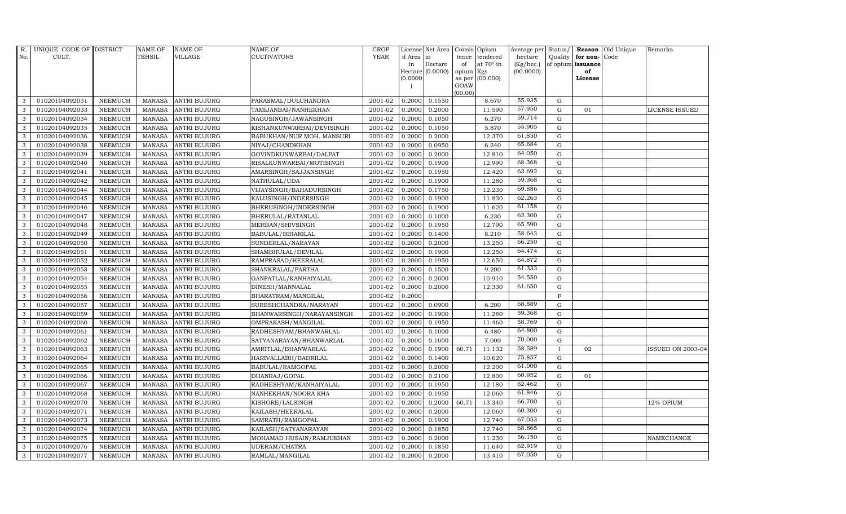| R.           | UNIQUE CODE OF DISTRICT |                | <b>NAME OF</b> | <b>NAME OF</b>      | <b>NAME OF</b>            | CROP        |           | License Net Area | Consis Opium        |                  | Average per     | Status/      | Reason            | Old Unique | Remarks                  |
|--------------|-------------------------|----------------|----------------|---------------------|---------------------------|-------------|-----------|------------------|---------------------|------------------|-----------------|--------------|-------------------|------------|--------------------------|
| No.          | CULT.                   |                | TEHSIL         | <b>VILLAGE</b>      | <b>CULTIVATORS</b>        | <b>YEAR</b> | d Area in |                  | tence               | tendered         | hectare         | Quality      | for non-          | Code       |                          |
|              |                         |                |                |                     |                           |             | in        | Hectare          | of                  | at $70^\circ$ in | $(Kg/$ hec. $)$ |              | of opium issuance |            |                          |
|              |                         |                |                |                     |                           |             | (0.0000)  | Hectare (0.0000) | opium Kgs<br>as per | (00.000)         | (00.0000)       |              | of<br>License     |            |                          |
|              |                         |                |                |                     |                           |             |           |                  | GOAW                |                  |                 |              |                   |            |                          |
|              |                         |                |                |                     |                           |             |           |                  | (00.00)             |                  |                 |              |                   |            |                          |
| 3            | 01020104092031          | <b>NEEMUCH</b> | <b>MANASA</b>  | <b>ANTRI BUJURG</b> | PARASMAL/DULCHANDRA       | 2001-02     | 0.2000    | 0.1550           |                     | 8.670            | 55.935          | ${\rm G}$    |                   |            |                          |
| 3            | 01020104092033          | <b>NEEMUCH</b> | MANASA         | <b>ANTRI BUJURG</b> | TAMIJANBAI/NANHEKHAN      | 2001-02     | 0.2000    | 0.2000           |                     | 11.590           | 57.950          | ${\rm G}$    | 01                |            | <b>LICENSE ISSUED</b>    |
| 3            | 01020104092034          | <b>NEEMUCH</b> | <b>MANASA</b>  | <b>ANTRI BUJURG</b> | NAGUSINGH/JAWANSINGH      | 2001-02     | 0.2000    | 0.1050           |                     | 6.270            | 59.714          | $\mathbf G$  |                   |            |                          |
| 3            | 01020104092035          | <b>NEEMUCH</b> | MANASA         | <b>ANTRI BUJURG</b> | KISHANKUNWARBAI/DEVISINGH | 2001-02     | 0.2000    | 0.1050           |                     | 5.870            | 55.905          | $\mathbf G$  |                   |            |                          |
| 3            | 01020104092036          | <b>NEEMUCH</b> | MANASA         | <b>ANTRI BUJURG</b> | BABUKHAN/NUR MOH. MANSURI | 2001-02     | 0.2000    | 0.2000           |                     | 12.370           | 61.850          | $\mathbf G$  |                   |            |                          |
| $\mathbf{3}$ | 01020104092038          | <b>NEEMUCH</b> | <b>MANASA</b>  | <b>ANTRI BUJURG</b> | NIYAJ/CHANDKHAN           | 2001-02     | 0.2000    | 0.0950           |                     | 6.240            | 65.684          | ${\rm G}$    |                   |            |                          |
| 3            | 01020104092039          | <b>NEEMUCH</b> | MANASA         | <b>ANTRI BUJURG</b> | GOVINDKUNWARBAI/DALPAT    | 2001-02     | 0.2000    | 0.2000           |                     | 12.810           | 64.050          | ${\rm G}$    |                   |            |                          |
| 3            | 01020104092040          | <b>NEEMUCH</b> | MANASA         | <b>ANTRI BUJURG</b> | RISALKUNWARBAI/MOTISINGH  | 2001-02     | 0.2000    | 0.1900           |                     | 12.990           | 68.368          | G            |                   |            |                          |
| 3            | 01020104092041          | <b>NEEMUCH</b> | <b>MANASA</b>  | <b>ANTRI BUJURG</b> | AMARSINGH/SAJJANSINGH     | 2001-02     | 0.2000    | 0.1950           |                     | 12.420           | 63.692          | $\mathbf G$  |                   |            |                          |
| 3            | 01020104092042          | <b>NEEMUCH</b> | MANASA         | <b>ANTRI BUJURG</b> | NATHULAL/UDA              | 2001-02     | 0.2000    | 0.1900           |                     | 11.280           | 59.368          | $\mathbf G$  |                   |            |                          |
| 3            | 01020104092044          | <b>NEEMUCH</b> | <b>MANASA</b>  | <b>ANTRI BUJURG</b> | VIJAYSINGH/BAHADURSINGH   | 2001-02     | 0.2000    | 0.1750           |                     | 12.230           | 69.886          | ${\rm G}$    |                   |            |                          |
| 3            | 01020104092045          | <b>NEEMUCH</b> | <b>MANASA</b>  | <b>ANTRI BUJURG</b> | KALUSINGH/INDERSINGH      | 2001-02     | 0.2000    | 0.1900           |                     | 11.830           | 62.263          | ${\rm G}$    |                   |            |                          |
| $\mathbf{3}$ | 01020104092046          | <b>NEEMUCH</b> | MANASA         | <b>ANTRI BUJURG</b> | BHERUSINGH/INDERSINGH     | 2001-02     | 0.2000    | 0.1900           |                     | 11.620           | 61.158          | $\mathbf G$  |                   |            |                          |
| 3            | 01020104092047          | <b>NEEMUCH</b> | <b>MANASA</b>  | <b>ANTRI BUJURG</b> | BHERULAL/RATANLAL         | 2001-02     | 0.2000    | 0.1000           |                     | 6.230            | 62.300          | $\mathbf G$  |                   |            |                          |
| 3            | 01020104092048          | <b>NEEMUCH</b> | <b>MANASA</b>  | <b>ANTRI BUJURG</b> | MERBAN/SHIVSINGH          | 2001-02     | 0.2000    | 0.1950           |                     | 12.790           | 65.590          | $\mathbf G$  |                   |            |                          |
| 3            | 01020104092049          | <b>NEEMUCH</b> | <b>MANASA</b>  | <b>ANTRI BUJURG</b> | BABULAL/BIHARILAL         | 2001-02     | 0.2000    | 0.1400           |                     | 8.210            | 58.643          | $\mathbf G$  |                   |            |                          |
| 3            | 01020104092050          | <b>NEEMUCH</b> | <b>MANASA</b>  | <b>ANTRI BUJURG</b> | SUNDERLAL/NARAYAN         | 2001-02     | 0.2000    | 0.2000           |                     | 13.250           | 66.250          | ${\rm G}$    |                   |            |                          |
| 3            | 01020104092051          | <b>NEEMUCH</b> | MANASA         | <b>ANTRI BUJURG</b> | SHAMBHULAL/DEVILAL        | 2001-02     | 0.2000    | 0.1900           |                     | 12.250           | 64.474          | $\mathbf G$  |                   |            |                          |
| 3            | 01020104092052          | <b>NEEMUCH</b> | <b>MANASA</b>  | <b>ANTRI BUJURG</b> | RAMPRASAD/HEERALAL        | 2001-02     | 0.2000    | 0.1950           |                     | 12.650           | 64.872          | $\mathbf G$  |                   |            |                          |
| 3            | 01020104092053          | <b>NEEMUCH</b> | <b>MANASA</b>  | <b>ANTRI BUJURG</b> | SHANKRALAL/PARTHA         | 2001-02     | 0.2000    | 0.1500           |                     | 9.200            | 61.333          | $\mathbf G$  |                   |            |                          |
| 3            | 01020104092054          | <b>NEEMUCH</b> | MANASA         | <b>ANTRI BUJURG</b> | GANPATLAL/KANHAIYALAL     | 2001-02     | 0.2000    | 0.2000           |                     | 10.910           | 54.550          | $\mathbf G$  |                   |            |                          |
| 3            | 01020104092055          | <b>NEEMUCH</b> | <b>MANASA</b>  | <b>ANTRI BUJURG</b> | DINESH/MANNALAL           | 2001-02     | 0.2000    | 0.2000           |                     | 12.330           | 61.650          | ${\rm G}$    |                   |            |                          |
| 3            | 01020104092056          | <b>NEEMUCH</b> | MANASA         | <b>ANTRI BUJURG</b> | BHARATRAM/MANGILAL        | 2001-02     | 0.2000    |                  |                     |                  |                 | F            |                   |            |                          |
| 3            | 01020104092057          | <b>NEEMUCH</b> | <b>MANASA</b>  | <b>ANTRI BUJURG</b> | SURESHCHANDRA/NARAYAN     | 2001-02     | 0.2000    | 0.0900           |                     | 6.200            | 68.889          | $\mathbf G$  |                   |            |                          |
| 3            | 01020104092059          | <b>NEEMUCH</b> | <b>MANASA</b>  | <b>ANTRI BUJURG</b> | BHANWARSINGH/NARAYANSINGH | 2001-02     | 0.2000    | 0.1900           |                     | 11.280           | 59.368          | $\mathbf G$  |                   |            |                          |
| $\mathbf{3}$ | 01020104092060          | <b>NEEMUCH</b> | <b>MANASA</b>  | <b>ANTRI BUJURG</b> | OMPRAKASH/MANGILAL        | 2001-02     | 0.2000    | 0.1950           |                     | 11.460           | 58.769          | ${\rm G}$    |                   |            |                          |
| 3            | 01020104092061          | <b>NEEMUCH</b> | <b>MANASA</b>  | <b>ANTRI BUJURG</b> | RADHESHYAM/BHANWARLAL     | 2001-02     | 0.2000    | 0.1000           |                     | 6.480            | 64.800          | $\mathbf G$  |                   |            |                          |
| 3            | 01020104092062          | <b>NEEMUCH</b> | MANASA         | <b>ANTRI BUJURG</b> | SATYANARAYAN/BHANWARLAL   | 2001-02     | 0.2000    | 0.1000           |                     | 7.000            | 70.000          | $\mathbf G$  |                   |            |                          |
| 3            | 01020104092063          | <b>NEEMUCH</b> | <b>MANASA</b>  | <b>ANTRI BUJURG</b> | AMRITLAL/BHANWARLAL       | 2001-02     | 0.2000    | 0.1900           | 60.71               | 11.132           | 58.589          | $\mathbf{I}$ | 02                |            | <b>ISSUED ON 2003-04</b> |
| 3            | 01020104092064          | <b>NEEMUCH</b> | <b>MANASA</b>  | <b>ANTRI BUJURG</b> | HARIVALLABH/BADRILAL      | 2001-02     | 0.2000    | 0.1400           |                     | 10.620           | 75.857          | $\mathbf G$  |                   |            |                          |
| 3            | 01020104092065          | <b>NEEMUCH</b> | <b>MANASA</b>  | <b>ANTRI BUJURG</b> | BABULAL/RAMGOPAL          | 2001-02     | 0.2000    | 0.2000           |                     | 12.200           | 61.000          | ${\rm G}$    |                   |            |                          |
| $\mathbf{3}$ | 01020104092066          | <b>NEEMUCH</b> | <b>MANASA</b>  | <b>ANTRI BUJURG</b> | DHANRAJ/GOPAL             | 2001-02     | 0.2000    | 0.2100           |                     | 12.800           | 60.952          | ${\rm G}$    | 01                |            |                          |
| 3            | 01020104092067          | <b>NEEMUCH</b> | <b>MANASA</b>  | <b>ANTRI BUJURG</b> | RADHESHYAM/KANHAIYALAL    | 2001-02     | 0.2000    | 0.1950           |                     | 12.180           | 62.462          | ${\rm G}$    |                   |            |                          |
| 3            | 01020104092068          | <b>NEEMUCH</b> | <b>MANASA</b>  | <b>ANTRI BUJURG</b> | NANHEKHAN/NOORA KHA       | 2001-02     | 0.2000    | 0.1950           |                     | 12.060           | 61.846          | $\mathbf G$  |                   |            |                          |
| 3            | 01020104092070          | <b>NEEMUCH</b> | <b>MANASA</b>  | <b>ANTRI BUJURG</b> | KISHORE/LALSINGH          | 2001-02     | 0.2000    | 0.2000           | 60.71               | 13.340           | 66.700          | $\mathbf G$  |                   |            | 12% OPIUM                |
| 3            | 01020104092071          | <b>NEEMUCH</b> | <b>MANASA</b>  | <b>ANTRI BUJURG</b> | KAILASH/HEERALAL          | 2001-02     | 0.2000    | 0.2000           |                     | 12.060           | 60.300          | $\mathbf G$  |                   |            |                          |
| 3            | 01020104092073          | <b>NEEMUCH</b> | <b>MANASA</b>  | <b>ANTRI BUJURG</b> | SAMRATH/RAMGOPAL          | 2001-02     | 0.2000    | 0.1900           |                     | 12.740           | 67.053          | $\mathbf G$  |                   |            |                          |
| 3            | 01020104092074          | <b>NEEMUCH</b> | <b>MANASA</b>  | <b>ANTRI BUJURG</b> | KAILASH/SATYANARAYAN      | 2001-02     | 0.2000    | 0.1850           |                     | 12.740           | 68.865          | ${\rm G}$    |                   |            |                          |
| 3            | 01020104092075          | <b>NEEMUCH</b> | <b>MANASA</b>  | <b>ANTRI BUJURG</b> | MOHAMAD HUSAIN/RAMJUKHAN  | 2001-02     | 0.2000    | 0.2000           |                     | 11.230           | 56.150          | $\mathbf G$  |                   |            | NAMECHANGE               |
| 3            | 01020104092076          | <b>NEEMUCH</b> | <b>MANASA</b>  | <b>ANTRI BUJURG</b> | UDERAM/CHATRA             | 2001-02     | 0.2000    | 0.1850           |                     | 11.640           | 62.919          | G            |                   |            |                          |
|              |                         |                |                |                     |                           |             |           |                  |                     |                  |                 |              |                   |            |                          |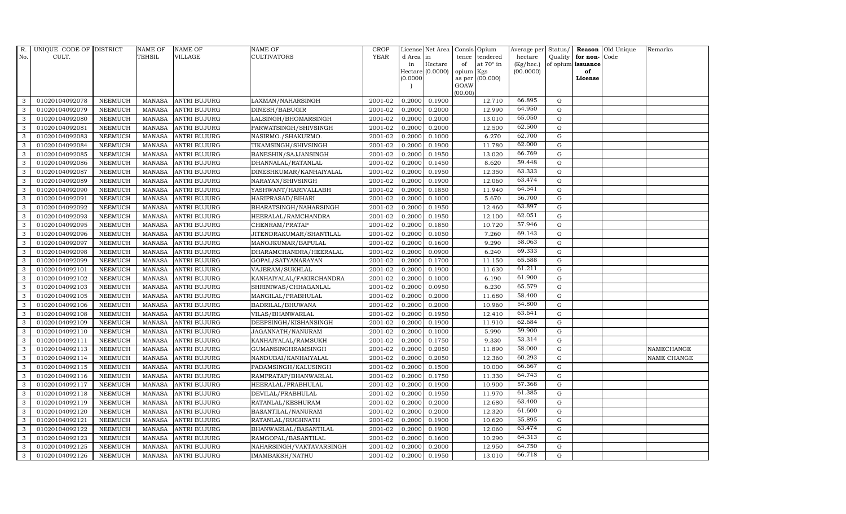| R.           | UNIQUE CODE OF DISTRICT |                | NAME OF       | <b>NAME OF</b>      | <b>NAME OF</b>           | CROP        |           | License Net Area |         | Consis Opium           | Average per | Status/     |                   | Reason Old Unique | Remarks     |
|--------------|-------------------------|----------------|---------------|---------------------|--------------------------|-------------|-----------|------------------|---------|------------------------|-------------|-------------|-------------------|-------------------|-------------|
| No.          | CULT.                   |                | TEHSIL        | <b>VILLAGE</b>      | <b>CULTIVATORS</b>       | <b>YEAR</b> | d Area in |                  | tence   | tendered               | hectare     | Quality     | for non-          | Code              |             |
|              |                         |                |               |                     |                          |             | in        | Hectare          | of      | at $70^\circ$ in       | (Kg/hec.)   |             | of opium issuance |                   |             |
|              |                         |                |               |                     |                          |             | (0.0000)  | Hectare (0.0000) | opium   | Kgs<br>as per (00.000) | (00.0000)   |             | of<br>License     |                   |             |
|              |                         |                |               |                     |                          |             |           |                  | GOAW    |                        |             |             |                   |                   |             |
|              |                         |                |               |                     |                          |             |           |                  | (00.00) |                        |             |             |                   |                   |             |
| 3            | 01020104092078          | <b>NEEMUCH</b> | MANASA        | <b>ANTRI BUJURG</b> | LAXMAN/NAHARSINGH        | 2001-02     | 0.2000    | 0.1900           |         | 12.710                 | 66.895      | G           |                   |                   |             |
| 3            | 01020104092079          | <b>NEEMUCH</b> | MANASA        | <b>ANTRI BUJURG</b> | DINESH/BABUGIR           | 2001-02     | 0.2000    | 0.2000           |         | 12.990                 | 64.950      | G           |                   |                   |             |
| 3            | 01020104092080          | <b>NEEMUCH</b> | MANASA        | <b>ANTRI BUJURG</b> | LALSINGH/BHOMARSINGH     | 2001-02     | 0.2000    | 0.2000           |         | 13.010                 | 65.050      | G           |                   |                   |             |
| 3            | 01020104092081          | <b>NEEMUCH</b> | MANASA        | <b>ANTRI BUJURG</b> | PARWATSINGH/SHIVSINGH    | 2001-02     | 0.2000    | 0.2000           |         | 12.500                 | 62.500      | $\mathbf G$ |                   |                   |             |
| 3            | 01020104092083          | <b>NEEMUCH</b> | MANASA        | <b>ANTRI BUJURG</b> | NASIRMO./SHAKURMO.       | 2001-02     | 0.2000    | 0.1000           |         | 6.270                  | 62.700      | G           |                   |                   |             |
| 3            | 01020104092084          | <b>NEEMUCH</b> | <b>MANASA</b> | <b>ANTRI BUJURG</b> | TIKAMSINGH/SHIVSINGH     | 2001-02     | 0.2000    | 0.1900           |         | 11.780                 | 62.000      | G           |                   |                   |             |
| 3            | 01020104092085          | <b>NEEMUCH</b> | MANASA        | <b>ANTRI BUJURG</b> | BANESHIN/SAJJANSINGH     | 2001-02     | 0.2000    | 0.1950           |         | 13.020                 | 66.769      | G           |                   |                   |             |
| 3            | 01020104092086          | <b>NEEMUCH</b> | MANASA        | <b>ANTRI BUJURG</b> | DHANNALAL/RATANLAL       | 2001-02     | 0.2000    | 0.1450           |         | 8.620                  | 59.448      | G           |                   |                   |             |
| 3            | 01020104092087          | <b>NEEMUCH</b> | MANASA        | <b>ANTRI BUJURG</b> | DINESHKUMAR/KANHAIYALAL  | 2001-02     | 0.2000    | 0.1950           |         | 12.350                 | 63.333      | $\mathbf G$ |                   |                   |             |
| 3            | 01020104092089          | <b>NEEMUCH</b> | MANASA        | <b>ANTRI BUJURG</b> | NARAYAN/SHIVSINGH        | 2001-02     | 0.2000    | 0.1900           |         | 12.060                 | 63.474      | ${\rm G}$   |                   |                   |             |
| 3            | 01020104092090          | <b>NEEMUCH</b> | MANASA        | <b>ANTRI BUJURG</b> | YASHWANT/HARIVALLABH     | 2001-02     | 0.2000    | 0.1850           |         | 11.940                 | 64.541      | G           |                   |                   |             |
| 3            | 01020104092091          | <b>NEEMUCH</b> | MANASA        | <b>ANTRI BUJURG</b> | HARIPRASAD/BIHARI        | 2001-02     | 0.2000    | 0.1000           |         | 5.670                  | 56.700      | ${\rm G}$   |                   |                   |             |
| $\mathbf{3}$ | 01020104092092          | <b>NEEMUCH</b> | MANASA        | <b>ANTRI BUJURG</b> | BHARATSINGH/NAHARSINGH   | 2001-02     | 0.2000    | 0.1950           |         | 12.460                 | 63.897      | G           |                   |                   |             |
| 3            | 01020104092093          | <b>NEEMUCH</b> | MANASA        | <b>ANTRI BUJURG</b> | HEERALAL/RAMCHANDRA      | 2001-02     | 0.2000    | 0.1950           |         | 12.100                 | 62.051      | $\mathbf G$ |                   |                   |             |
| 3            | 01020104092095          | <b>NEEMUCH</b> | <b>MANASA</b> | <b>ANTRI BUJURG</b> | CHENRAM/PRATAP           | 2001-02     | 0.2000    | 0.1850           |         | 10.720                 | 57.946      | ${\rm G}$   |                   |                   |             |
| 3            | 01020104092096          | <b>NEEMUCH</b> | MANASA        | <b>ANTRI BUJURG</b> | JITENDRAKUMAR/SHANTILAL  | 2001-02     | 0.2000    | 0.1050           |         | 7.260                  | 69.143      | G           |                   |                   |             |
| 3            | 01020104092097          | <b>NEEMUCH</b> | MANASA        | <b>ANTRI BUJURG</b> | MANOJKUMAR/BAPULAL       | 2001-02     | 0.2000    | 0.1600           |         | 9.290                  | 58.063      | G           |                   |                   |             |
| 3            | 01020104092098          | <b>NEEMUCH</b> | MANASA        | <b>ANTRI BUJURG</b> | DHARAMCHANDRA/HEERALAL   | 2001-02     | 0.2000    | 0.0900           |         | 6.240                  | 69.333      | G           |                   |                   |             |
| 3            | 01020104092099          | <b>NEEMUCH</b> | <b>MANASA</b> | <b>ANTRI BUJURG</b> | GOPAL/SATYANARAYAN       | 2001-02     | 0.2000    | 0.1700           |         | 11.150                 | 65.588      | $\mathbf G$ |                   |                   |             |
| 3            | 01020104092101          | <b>NEEMUCH</b> | MANASA        | <b>ANTRI BUJURG</b> | VAJERAM/SUKHLAL          | 2001-02     | 0.2000    | 0.1900           |         | 11.630                 | 61.211      | ${\rm G}$   |                   |                   |             |
| 3            | 01020104092102          | <b>NEEMUCH</b> | MANASA        | <b>ANTRI BUJURG</b> | KANHAIYALAL/FAKIRCHANDRA | 2001-02     | 0.2000    | 0.1000           |         | 6.190                  | 61.900      | G           |                   |                   |             |
| 3            | 01020104092103          | <b>NEEMUCH</b> | MANASA        | <b>ANTRI BUJURG</b> | SHRINIWAS/CHHAGANLAL     | 2001-02     | 0.2000    | 0.0950           |         | 6.230                  | 65.579      | G           |                   |                   |             |
| 3            | 01020104092105          | <b>NEEMUCH</b> | MANASA        | <b>ANTRI BUJURG</b> | MANGILAL/PRABHULAL       | 2001-02     | 0.2000    | 0.2000           |         | 11.680                 | 58.400      | ${\rm G}$   |                   |                   |             |
| 3            | 01020104092106          | <b>NEEMUCH</b> | <b>MANASA</b> | <b>ANTRI BUJURG</b> | BADRILAL/BHUWANA         | 2001-02     | 0.2000    | 0.2000           |         | 10.960                 | 54.800      | G           |                   |                   |             |
| 3            | 01020104092108          | <b>NEEMUCH</b> | <b>MANASA</b> | <b>ANTRI BUJURG</b> | VILAS/BHANWARLAL         | 2001-02     | 0.2000    | 0.1950           |         | 12.410                 | 63.641      | $\mathbf G$ |                   |                   |             |
| $\mathbf{3}$ | 01020104092109          | <b>NEEMUCH</b> | MANASA        | <b>ANTRI BUJURG</b> | DEEPSINGH/KISHANSINGH    | 2001-02     | 0.2000    | 0.1900           |         | 11.910                 | 62.684      | G           |                   |                   |             |
| 3            | 01020104092110          | <b>NEEMUCH</b> | MANASA        | <b>ANTRI BUJURG</b> | JAGANNATH/NANURAM        | 2001-02     | 0.2000    | 0.1000           |         | 5.990                  | 59.900      | G           |                   |                   |             |
| 3            | 01020104092111          | <b>NEEMUCH</b> | MANASA        | <b>ANTRI BUJURG</b> | KANHAIYALAL/RAMSUKH      | 2001-02     | 0.2000    | 0.1750           |         | 9.330                  | 53.314      | ${\rm G}$   |                   |                   |             |
| 3            | 01020104092113          | <b>NEEMUCH</b> | MANASA        | <b>ANTRI BUJURG</b> | GUMANSINGHRAMSINGH       | 2001-02     | 0.2000    | 0.2050           |         | 11.890                 | 58.000      | $\mathbf G$ |                   |                   | NAMECHANGE  |
| 3            | 01020104092114          | <b>NEEMUCH</b> | MANASA        | <b>ANTRI BUJURG</b> | NANDUBAI/KANHAIYALAL     | 2001-02     | 0.2000    | 0.2050           |         | 12.360                 | 60.293      | $\mathbf G$ |                   |                   | NAME CHANGE |
| 3            | 01020104092115          | <b>NEEMUCH</b> | MANASA        | <b>ANTRI BUJURG</b> | PADAMSINGH/KALUSINGH     | 2001-02     | 0.2000    | 0.1500           |         | 10.000                 | 66.667      | G           |                   |                   |             |
| 3            | 01020104092116          | <b>NEEMUCH</b> | <b>MANASA</b> | <b>ANTRI BUJURG</b> | RAMPRATAP/BHANWARLAL     | 2001-02     | 0.2000    | 0.1750           |         | 11.330                 | 64.743      | G           |                   |                   |             |
| 3            | 01020104092117          | <b>NEEMUCH</b> | MANASA        | <b>ANTRI BUJURG</b> | HEERALAL/PRABHULAL       | 2001-02     | 0.2000    | 0.1900           |         | 10.900                 | 57.368      | G           |                   |                   |             |
| 3            | 01020104092118          | <b>NEEMUCH</b> | MANASA        | <b>ANTRI BUJURG</b> | DEVILAL/PRABHULAL        | 2001-02     | 0.2000    | 0.1950           |         | 11.970                 | 61.385      | $\mathbf G$ |                   |                   |             |
| 3            | 01020104092119          | <b>NEEMUCH</b> | <b>MANASA</b> | <b>ANTRI BUJURG</b> | RATANLAL/KESHURAM        | 2001-02     | 0.2000    | 0.2000           |         | 12.680                 | 63.400      | $\mathbf G$ |                   |                   |             |
| 3            | 01020104092120          | <b>NEEMUCH</b> | MANASA        | <b>ANTRI BUJURG</b> | BASANTILAL/NANURAM       | 2001-02     | 0.2000    | 0.2000           |         | 12.320                 | 61.600      | G           |                   |                   |             |
| 3            | 01020104092121          | <b>NEEMUCH</b> | <b>MANASA</b> | <b>ANTRI BUJURG</b> | RATANLAL/RUGHNATH        | 2001-02     | 0.2000    | 0.1900           |         | 10.620                 | 55.895      | G           |                   |                   |             |
| 3            | 01020104092122          | <b>NEEMUCH</b> | <b>MANASA</b> | <b>ANTRI BUJURG</b> | BHANWARLAL/BASANTILAL    | 2001-02     | 0.2000    | 0.1900           |         | 12.060                 | 63.474      | G           |                   |                   |             |
| 3            | 01020104092123          | <b>NEEMUCH</b> | <b>MANASA</b> | <b>ANTRI BUJURG</b> | RAMGOPAL/BASANTILAL      | 2001-02     | 0.2000    | 0.1600           |         | 10.290                 | 64.313      | G           |                   |                   |             |
| 3            | 01020104092125          | <b>NEEMUCH</b> | <b>MANASA</b> | <b>ANTRI BUJURG</b> | NAHARSINGH/VAKTAVARSINGH | 2001-02     | 0.2000    | 0.2000           |         | 12.950                 | 64.750      | $\mathbf G$ |                   |                   |             |
| 3            | 01020104092126          | <b>NEEMUCH</b> |               | MANASA ANTRI BUJURG | IMAMBAKSH/NATHU          | 2001-02     | 0.2000    | 0.1950           |         | 13.010                 | 66.718      | G           |                   |                   |             |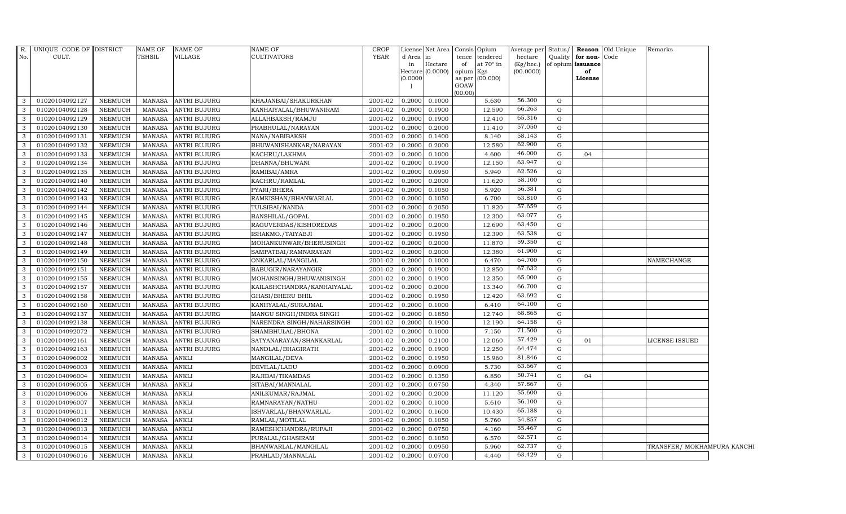| $R$ .        | UNIQUE CODE OF DISTRICT |                | <b>NAME OF</b> | <b>NAME OF</b>      | NAME OF                    | <b>CROP</b> |           | License Net Area Consis Opium |           |                  | Average per Status/ |         |                   | <b>Reason</b> Old Unique | Remarks                     |  |
|--------------|-------------------------|----------------|----------------|---------------------|----------------------------|-------------|-----------|-------------------------------|-----------|------------------|---------------------|---------|-------------------|--------------------------|-----------------------------|--|
| No.          | CULT.                   |                | TEHSIL         | VILLAGE             | <b>CULTIVATORS</b>         | <b>YEAR</b> | d Area in |                               |           | tence tendered   | hectare             | Quality | for non-Code      |                          |                             |  |
|              |                         |                |                |                     |                            |             | in        | Hectare                       | of        | at $70^\circ$ in | $(Kg/$ hec.)        |         | of opium issuance |                          |                             |  |
|              |                         |                |                |                     |                            |             | (0.0000)  | Hectare $(0.0000)$            | opium Kgs | as per (00.000)  | (00.0000)           |         | of<br>License     |                          |                             |  |
|              |                         |                |                |                     |                            |             |           |                               | GOAW      |                  |                     |         |                   |                          |                             |  |
|              |                         |                |                |                     |                            |             |           |                               | (00.00)   |                  |                     |         |                   |                          |                             |  |
| 3            | 01020104092127          | NEEMUCH        | MANASA         | <b>ANTRI BUJURG</b> | KHAJANBAI/SHAKURKHAN       | 2001-02     | 0.2000    | 0.1000                        |           | 5.630            | 56.300              | G       |                   |                          |                             |  |
| 3            | 01020104092128          | <b>NEEMUCH</b> | <b>MANASA</b>  | <b>ANTRI BUJURG</b> | KANHAIYALAL/BHUWANIRAM     | 2001-02     | 0.2000    | 0.1900                        |           | 12.590           | 66.263              | G       |                   |                          |                             |  |
| 3            | 01020104092129          | NEEMUCH        | <b>MANASA</b>  | <b>ANTRI BUJURG</b> | ALLAHBAKSH/RAMJU           | 2001-02     | 0.2000    | 0.1900                        |           | 12.410           | 65.316              | G       |                   |                          |                             |  |
| 3            | 01020104092130          | NEEMUCH        | <b>MANASA</b>  | <b>ANTRI BUJURG</b> | PRABHULAL/NARAYAN          | 2001-02     | 0.2000    | 0.2000                        |           | 11.410           | 57.050              | G       |                   |                          |                             |  |
| 3            | 01020104092131          | <b>NEEMUCH</b> | <b>MANASA</b>  | <b>ANTRI BUJURG</b> | NANA/NABIBAKSH             | 2001-02     | 0.2000    | 0.1400                        |           | 8.140            | 58.143              | G       |                   |                          |                             |  |
| 3            | 01020104092132          | NEEMUCH        | <b>MANASA</b>  | <b>ANTRI BUJURG</b> | BHUWANISHANKAR/NARAYAN     | 2001-02     | 0.2000    | 0.2000                        |           | 12.580           | 62.900              | G       |                   |                          |                             |  |
| 3            | 01020104092133          | NEEMUCH        | <b>MANASA</b>  | <b>ANTRI BUJURG</b> | KACHRU/LAKHMA              | 2001-02     | 0.2000    | 0.1000                        |           | 4.600            | 46.000              | G       | 04                |                          |                             |  |
| 3            | 01020104092134          | <b>NEEMUCH</b> | <b>MANASA</b>  | <b>ANTRI BUJURG</b> | DHANNA/BHUWANI             | 2001-02     | 0.2000    | 0.1900                        |           | 12.150           | 63.947              | G       |                   |                          |                             |  |
| 3            | 01020104092135          | <b>NEEMUCH</b> | <b>MANASA</b>  | <b>ANTRI BUJURG</b> | RAMIBAI/AMRA               | 2001-02     | 0.2000    | 0.0950                        |           | 5.940            | 62.526              | G       |                   |                          |                             |  |
| 3            | 01020104092140          | NEEMUCH        | <b>MANASA</b>  | <b>ANTRI BUJURG</b> | KACHRU/RAMLAL              | 2001-02     | 0.2000    | 0.2000                        |           | 11.620           | 58.100              | G       |                   |                          |                             |  |
| 3            | 01020104092142          | NEEMUCH        | <b>MANASA</b>  | <b>ANTRI BUJURG</b> | PYARI/BHERA                | 2001-02     | 0.2000    | 0.1050                        |           | 5.920            | 56.381              | G       |                   |                          |                             |  |
| 3            | 01020104092143          | <b>NEEMUCH</b> | <b>MANASA</b>  | <b>ANTRI BUJURG</b> | RAMKISHAN/BHANWARLAL       | 2001-02     | 0.2000    | 0.1050                        |           | 6.700            | 63.810              | G       |                   |                          |                             |  |
| 3            | 01020104092144          | <b>NEEMUCH</b> | <b>MANASA</b>  | ANTRI BUJURG        | TULSIBAI/NANDA             | 2001-02     | 0.2000    | 0.2050                        |           | 11.820           | 57.659              | G       |                   |                          |                             |  |
| 3            | 01020104092145          | <b>NEEMUCH</b> | <b>MANASA</b>  | <b>ANTRI BUJURG</b> | BANSHILAL/GOPAL            | 2001-02     | 0.2000    | 0.1950                        |           | 12.300           | 63.077              | G       |                   |                          |                             |  |
| 3            | 01020104092146          | <b>NEEMUCH</b> | <b>MANASA</b>  | <b>ANTRI BUJURG</b> | RAGUVERDAS/KISHOREDAS      | 2001-02     | 0.2000    | 0.2000                        |           | 12.690           | 63.450              | G       |                   |                          |                             |  |
| 3            | 01020104092147          | NEEMUCH        | <b>MANASA</b>  | <b>ANTRI BUJURG</b> | ISHAKMO./TAIYABJI          | 2001-02     | 0.2000    | 0.1950                        |           | 12.390           | 63.538              | G       |                   |                          |                             |  |
| 3            | 01020104092148          | NEEMUCH        | MANASA         | <b>ANTRI BUJURG</b> | MOHANKUNWAR/BHERUSINGH     | 2001-02     | 0.2000    | 0.2000                        |           | 11.870           | 59.350              | G       |                   |                          |                             |  |
| 3            | 01020104092149          | NEEMUCH        | <b>MANASA</b>  | <b>ANTRI BUJURG</b> | SAMPATBAI/RAMNARAYAN       | 2001-02     | 0.2000    | 0.2000                        |           | 12.380           | 61.900              | G       |                   |                          |                             |  |
| 3            | 01020104092150          | NEEMUCH        | <b>MANASA</b>  | <b>ANTRI BUJURG</b> | ONKARLAL/MANGILAL          | 2001-02     | 0.2000    | 0.1000                        |           | 6.470            | 64.700              | G       |                   |                          | <b>NAMECHANGE</b>           |  |
| 3            | 01020104092151          | <b>NEEMUCH</b> | <b>MANASA</b>  | <b>ANTRI BUJURG</b> | BABUGIR/NARAYANGIR         | 2001-02     | 0.2000    | 0.1900                        |           | 12.850           | 67.632              | G       |                   |                          |                             |  |
| 3            | 01020104092155          | NEEMUCH        | <b>MANASA</b>  | <b>ANTRI BUJURG</b> | MOHANSINGH/BHUWANISINGH    | 2001-02     | 0.2000    | 0.1900                        |           | 12.350           | 65.000              | G       |                   |                          |                             |  |
| 3            | 01020104092157          | NEEMUCH        | <b>MANASA</b>  | <b>ANTRI BUJURG</b> | KAILASHCHANDRA/KANHAIYALAL | 2001-02     | 0.2000    | 0.2000                        |           | 13.340           | 66.700              | G       |                   |                          |                             |  |
| 3            | 01020104092158          | NEEMUCH        | <b>MANASA</b>  | <b>ANTRI BUJURG</b> | <b>GHASI/BHERU BHIL</b>    | 2001-02     | 0.2000    | 0.1950                        |           | 12.420           | 63.692              | G       |                   |                          |                             |  |
| 3            | 01020104092160          | <b>NEEMUCH</b> | <b>MANASA</b>  | <b>ANTRI BUJURG</b> | KANHYALAL/SURAJMAL         | 2001-02     | 0.2000    | 0.1000                        |           | 6.410            | 64.100              | G       |                   |                          |                             |  |
| 3            | 01020104092137          | <b>NEEMUCH</b> | <b>MANASA</b>  | <b>ANTRI BUJURG</b> | MANGU SINGH/INDRA SINGH    | 2001-02     | 0.2000    | 0.1850                        |           | 12.740           | 68.865              | G       |                   |                          |                             |  |
| 3            | 01020104092138          | <b>NEEMUCH</b> | <b>MANASA</b>  | ANTRI BUJURG        | NARENDRA SINGH/NAHARSINGH  | 2001-02     | 0.2000    | 0.1900                        |           | 12.190           | 64.158              | G       |                   |                          |                             |  |
| 3            | 01020104092072          | <b>NEEMUCH</b> | <b>MANASA</b>  | <b>ANTRI BUJURG</b> | SHAMBHULAL/BHONA           | 2001-02     | 0.2000    | 0.1000                        |           | 7.150            | 71.500              | G       |                   |                          |                             |  |
| 3            | 01020104092161          | NEEMUCH        | <b>MANASA</b>  | <b>ANTRI BUJURG</b> | SATYANARAYAN/SHANKARLAL    | 2001-02     | 0.2000    | 0.2100                        |           | 12.060           | 57.429              | G       | 01                |                          | <b>LICENSE ISSUED</b>       |  |
| 3            | 01020104092163          | <b>NEEMUCH</b> | <b>MANASA</b>  | <b>ANTRI BUJURG</b> | NANDLAL/BHAGIRATH          | 2001-02     | 0.2000    | 0.1900                        |           | 12.250           | 64.474              | G       |                   |                          |                             |  |
| 3            | 01020104096002          | <b>NEEMUCH</b> | <b>MANASA</b>  | ANKLI               | MANGILAL/DEVA              | 2001-02     | 0.2000    | 0.1950                        |           | 15.960           | 81.846              | G       |                   |                          |                             |  |
| 3            | 01020104096003          | NEEMUCH        | <b>MANASA</b>  | ANKLI               | DEVILAL/LADU               | 2001-02     | 0.2000    | 0.0900                        |           | 5.730            | 63.667              | G       |                   |                          |                             |  |
| 3            | 01020104096004          | <b>NEEMUCH</b> | <b>MANASA</b>  | ANKLI               | RAJIBAI/TIKAMDAS           | 2001-02     | 0.2000    | 0.1350                        |           | 6.850            | 50.741              | G       | 04                |                          |                             |  |
| 3            | 01020104096005          | <b>NEEMUCH</b> | <b>MANASA</b>  | ANKLI               | SITABAI/MANNALAL           | 2001-02     | 0.2000    | 0.0750                        |           | 4.340            | 57.867              | G       |                   |                          |                             |  |
| 3            | 01020104096006          | NEEMUCH        | <b>MANASA</b>  | ANKLI               | ANILKUMAR/RAJMAL           | 2001-02     | 0.2000    | 0.2000                        |           | 11.120           | 55.600              | G       |                   |                          |                             |  |
| 3            | 01020104096007          | <b>NEEMUCH</b> | <b>MANASA</b>  | ANKLI               | RAMNARAYAN/NATHU           | 2001-02     | 0.2000    | 0.1000                        |           | 5.610            | 56.100              | G       |                   |                          |                             |  |
| 3            | 01020104096011          | <b>NEEMUCH</b> | <b>MANASA</b>  | ANKLI               | ISHVARLAL/BHANWARLAL       | 2001-02     | 0.2000    | 0.1600                        |           | 10.430           | 65.188              | G       |                   |                          |                             |  |
| 3            | 01020104096012          | NEEMUCH        | <b>MANASA</b>  | ANKLI               | RAMLAL/MOTILAL             | 2001-02     | 0.2000    | 0.1050                        |           | 5.760            | 54.857              | G       |                   |                          |                             |  |
| $\mathbf{3}$ | 01020104096013          | NEEMUCH        | <b>MANASA</b>  | ANKLI               | RAMESHCHANDRA/RUPAJI       | 2001-02     | 0.2000    | 0.0750                        |           | 4.160            | 55.467              | G       |                   |                          |                             |  |
| 3            | 01020104096014          | <b>NEEMUCH</b> | <b>MANASA</b>  | ANKLI               | PURALAL/GHASIRAM           | 2001-02     | 0.2000    | 0.1050                        |           | 6.570            | 62.571              | G       |                   |                          |                             |  |
| 3            | 01020104096015          | <b>NEEMUCH</b> | <b>MANASA</b>  | ANKLI               | BHANWARLAL/MANGILAL        | 2001-02     | 0.2000    | 0.0950                        |           | 5.960            | 62.737              | G       |                   |                          | TRANSFER/ MOKHAMPURA KANCHI |  |
| 3            | 01020104096016          | <b>NEEMUCH</b> | <b>MANASA</b>  | <b>ANKLI</b>        | PRAHLAD/MANNALAL           | 2001-02     | 0.2000    | 0.0700                        |           | 4.440            | 63.429              | G       |                   |                          |                             |  |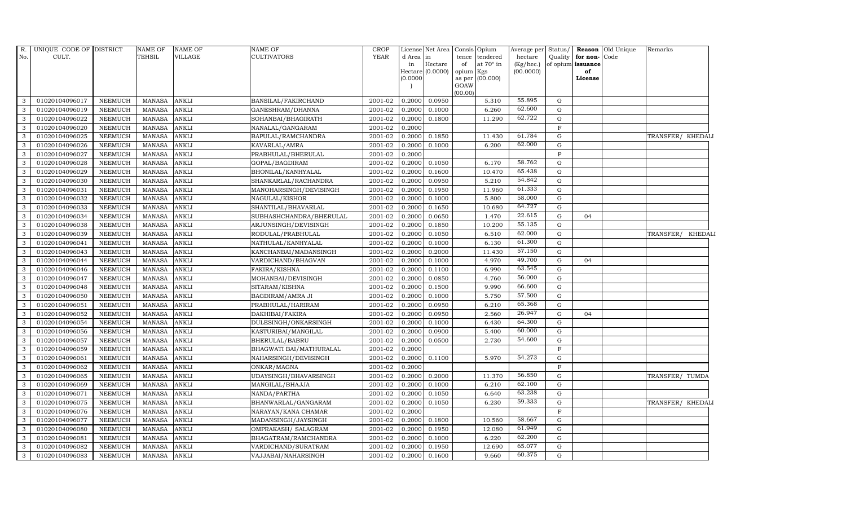| <b>YEAR</b><br>No.<br>CULT.<br>TEHSIL<br><b>VILLAGE</b><br>CULTIVATORS<br>d Area<br>tendered<br>hectare<br>Quality<br>for non-Code<br>tence<br> in<br>at $70^\circ$ in<br>Hectare<br>$(Kg/$ hec.)<br>of opium issuance<br>of<br>in<br>(0.0000)<br>(00.0000)<br>opium Kgs<br>of<br>Hectare<br>(00.000)<br>(0.0000)<br>as per<br>License<br>GOAW<br>(00.00)<br>55.895<br>01020104096017<br>NEEMUCH<br><b>MANASA</b><br><b>ANKLI</b><br>BANSILAL/FAKIRCHAND<br>2001-02<br>0.2000<br>0.0950<br>5.310<br>G<br>3<br>62.600<br>01020104096019<br>NEEMUCH<br><b>MANASA</b><br><b>ANKLI</b><br>2001-02<br>0.2000<br>0.1000<br>6.260<br>G<br>GANESHRAM/DHANNA<br>3<br>62.722<br>01020104096022<br><b>NEEMUCH</b><br><b>MANASA</b><br><b>ANKLI</b><br>0.2000<br>0.1800<br>11.290<br>G<br>3<br>SOHANBAI/BHAGIRATH<br>2001-02<br><b>ANKLI</b><br>01020104096020<br>NEEMUCH<br><b>MANASA</b><br>NANALAL/GANGARAM<br>2001-02<br>0.2000<br>$\mathbf{F}$<br>3<br>61.784<br>01020104096025<br><b>MANASA</b><br><b>ANKLI</b><br>2001-02<br>0.1850<br>11.430<br>$\mathbf G$<br>3<br><b>NEEMUCH</b><br>BAPULAL/RAMCHANDRA<br>0.2000<br>TRANSFER/ KHEDALI<br>62.000<br><b>NEEMUCH</b><br><b>MANASA</b><br>0.2000<br>0.1000<br>6.200<br>G<br>3<br>01020104096026<br><b>ANKLI</b><br>KAVARLAL/AMRA<br>2001-02<br>01020104096027<br><b>NEEMUCH</b><br><b>MANASA</b><br>2001-02<br>$\mathbf{F}$<br><b>ANKLI</b><br>PRABHULAL/BHERULAL<br>0.2000<br>3<br>58.762<br>01020104096028<br>0.1050<br>3<br>NEEMUCH<br><b>MANASA</b><br><b>ANKLI</b><br>GOPAL/BAGDIRAM<br>2001-02<br>0.2000<br>6.170<br>G<br>65.438<br><b>NEEMUCH</b><br><b>MANASA</b><br><b>ANKLI</b><br>01020104096029<br>BHONILAL/KANHYALAL<br>2001-02<br>0.2000<br>0.1600<br>10.470<br>G<br>3<br>54.842<br>01020104096030<br><b>NEEMUCH</b><br><b>MANASA</b><br><b>ANKLI</b><br>SHANKARLAL/RACHANDRA<br>2001-02<br>0.2000<br>0.0950<br>5.210<br>G<br>3<br>61.333<br><b>NEEMUCH</b><br><b>MANASA</b><br><b>ANKLI</b><br>2001-02<br>0.2000<br>0.1950<br>11.960<br>G<br>3<br>01020104096031<br>MANOHARSINGH/DEVISINGH<br>58.000<br>01020104096032<br><b>NEEMUCH</b><br><b>MANASA</b><br>2001-02<br>5.800<br><b>ANKLI</b><br>NAGULAL/KISHOR<br>0.2000<br>0.1000<br>G<br>3<br>64.727<br>3<br>01020104096033<br>NEEMUCH<br><b>MANASA</b><br><b>ANKLI</b><br>$2001 - 02$<br>0.2000<br>0.1650<br>10.680<br>G<br>SHANTILAL/BHAVARLAL<br>22.615<br><b>NEEMUCH</b><br><b>MANASA</b><br><b>ANKLI</b><br>SUBHASHCHANDRA/BHERULAL<br>0.2000<br>0.0650<br>1.470<br>01020104096034<br>2001-02<br>G<br>04<br>3<br>55.135<br>3<br>01020104096038<br><b>NEEMUCH</b><br><b>MANASA</b><br>ANKLI<br>ARJUNSINGH/DEVISINGH<br>2001-02<br>0.2000<br>0.1850<br>10.200<br>$\mathbf G$<br>62.000<br>NEEMUCH<br><b>MANASA</b><br><b>ANKLI</b><br>2001-02<br>0.2000<br>0.1050<br>6.510<br>G<br>3<br>01020104096039<br>RODULAL/PRABHULAL<br>61.300<br>01020104096041<br><b>NEEMUCH</b><br><b>MANASA</b><br>2001-02<br><b>ANKLI</b><br>NATHULAL/KANHYALAL<br>0.2000<br>0.1000<br>6.130<br>G<br>3<br>57.150<br>$\mathcal{E}$<br>01020104096043<br>NEEMUCH<br><b>MANASA</b><br><b>ANKLI</b><br>2001-02<br>0.2000<br>0.2000<br>11.430<br>G<br>KANCHANBAI/MADANSINGH<br>49.700<br>01020104096044<br><b>NEEMUCH</b><br><b>MANASA</b><br><b>ANKLI</b><br>VARDICHAND/BHAGVAN<br>2001-02<br>0.2000<br>0.1000<br>4.970<br>$\mathbf G$<br>3<br>04<br>63.545<br>01020104096046<br><b>NEEMUCH</b><br><b>MANASA</b><br><b>ANKLI</b><br>2001-02<br>0.2000<br>0.1100<br>6.990<br>$\mathbf G$<br>3<br>FAKIRA/KISHNA<br>56.000<br><b>NEEMUCH</b><br><b>MANASA</b><br><b>ANKLI</b><br>0.2000<br>0.0850<br>4.760<br>G<br>3<br>01020104096047<br>MOHANBAI/DEVISINGH<br>2001-02 | Remarks           |
|-------------------------------------------------------------------------------------------------------------------------------------------------------------------------------------------------------------------------------------------------------------------------------------------------------------------------------------------------------------------------------------------------------------------------------------------------------------------------------------------------------------------------------------------------------------------------------------------------------------------------------------------------------------------------------------------------------------------------------------------------------------------------------------------------------------------------------------------------------------------------------------------------------------------------------------------------------------------------------------------------------------------------------------------------------------------------------------------------------------------------------------------------------------------------------------------------------------------------------------------------------------------------------------------------------------------------------------------------------------------------------------------------------------------------------------------------------------------------------------------------------------------------------------------------------------------------------------------------------------------------------------------------------------------------------------------------------------------------------------------------------------------------------------------------------------------------------------------------------------------------------------------------------------------------------------------------------------------------------------------------------------------------------------------------------------------------------------------------------------------------------------------------------------------------------------------------------------------------------------------------------------------------------------------------------------------------------------------------------------------------------------------------------------------------------------------------------------------------------------------------------------------------------------------------------------------------------------------------------------------------------------------------------------------------------------------------------------------------------------------------------------------------------------------------------------------------------------------------------------------------------------------------------------------------------------------------------------------------------------------------------------------------------------------------------------------------------------------------------------------------------------------------------------------------------------------------------------------------------------------------------------------------------------------------------------------------------------------------------------------------------------------------------------------------------------------------------------------------------------------------------------------------------------------------------------------------------------------------------------------------------------------------------------|-------------------|
|                                                                                                                                                                                                                                                                                                                                                                                                                                                                                                                                                                                                                                                                                                                                                                                                                                                                                                                                                                                                                                                                                                                                                                                                                                                                                                                                                                                                                                                                                                                                                                                                                                                                                                                                                                                                                                                                                                                                                                                                                                                                                                                                                                                                                                                                                                                                                                                                                                                                                                                                                                                                                                                                                                                                                                                                                                                                                                                                                                                                                                                                                                                                                                                                                                                                                                                                                                                                                                                                                                                                                                                                                                                             |                   |
|                                                                                                                                                                                                                                                                                                                                                                                                                                                                                                                                                                                                                                                                                                                                                                                                                                                                                                                                                                                                                                                                                                                                                                                                                                                                                                                                                                                                                                                                                                                                                                                                                                                                                                                                                                                                                                                                                                                                                                                                                                                                                                                                                                                                                                                                                                                                                                                                                                                                                                                                                                                                                                                                                                                                                                                                                                                                                                                                                                                                                                                                                                                                                                                                                                                                                                                                                                                                                                                                                                                                                                                                                                                             |                   |
|                                                                                                                                                                                                                                                                                                                                                                                                                                                                                                                                                                                                                                                                                                                                                                                                                                                                                                                                                                                                                                                                                                                                                                                                                                                                                                                                                                                                                                                                                                                                                                                                                                                                                                                                                                                                                                                                                                                                                                                                                                                                                                                                                                                                                                                                                                                                                                                                                                                                                                                                                                                                                                                                                                                                                                                                                                                                                                                                                                                                                                                                                                                                                                                                                                                                                                                                                                                                                                                                                                                                                                                                                                                             |                   |
|                                                                                                                                                                                                                                                                                                                                                                                                                                                                                                                                                                                                                                                                                                                                                                                                                                                                                                                                                                                                                                                                                                                                                                                                                                                                                                                                                                                                                                                                                                                                                                                                                                                                                                                                                                                                                                                                                                                                                                                                                                                                                                                                                                                                                                                                                                                                                                                                                                                                                                                                                                                                                                                                                                                                                                                                                                                                                                                                                                                                                                                                                                                                                                                                                                                                                                                                                                                                                                                                                                                                                                                                                                                             |                   |
|                                                                                                                                                                                                                                                                                                                                                                                                                                                                                                                                                                                                                                                                                                                                                                                                                                                                                                                                                                                                                                                                                                                                                                                                                                                                                                                                                                                                                                                                                                                                                                                                                                                                                                                                                                                                                                                                                                                                                                                                                                                                                                                                                                                                                                                                                                                                                                                                                                                                                                                                                                                                                                                                                                                                                                                                                                                                                                                                                                                                                                                                                                                                                                                                                                                                                                                                                                                                                                                                                                                                                                                                                                                             |                   |
|                                                                                                                                                                                                                                                                                                                                                                                                                                                                                                                                                                                                                                                                                                                                                                                                                                                                                                                                                                                                                                                                                                                                                                                                                                                                                                                                                                                                                                                                                                                                                                                                                                                                                                                                                                                                                                                                                                                                                                                                                                                                                                                                                                                                                                                                                                                                                                                                                                                                                                                                                                                                                                                                                                                                                                                                                                                                                                                                                                                                                                                                                                                                                                                                                                                                                                                                                                                                                                                                                                                                                                                                                                                             |                   |
|                                                                                                                                                                                                                                                                                                                                                                                                                                                                                                                                                                                                                                                                                                                                                                                                                                                                                                                                                                                                                                                                                                                                                                                                                                                                                                                                                                                                                                                                                                                                                                                                                                                                                                                                                                                                                                                                                                                                                                                                                                                                                                                                                                                                                                                                                                                                                                                                                                                                                                                                                                                                                                                                                                                                                                                                                                                                                                                                                                                                                                                                                                                                                                                                                                                                                                                                                                                                                                                                                                                                                                                                                                                             |                   |
|                                                                                                                                                                                                                                                                                                                                                                                                                                                                                                                                                                                                                                                                                                                                                                                                                                                                                                                                                                                                                                                                                                                                                                                                                                                                                                                                                                                                                                                                                                                                                                                                                                                                                                                                                                                                                                                                                                                                                                                                                                                                                                                                                                                                                                                                                                                                                                                                                                                                                                                                                                                                                                                                                                                                                                                                                                                                                                                                                                                                                                                                                                                                                                                                                                                                                                                                                                                                                                                                                                                                                                                                                                                             |                   |
|                                                                                                                                                                                                                                                                                                                                                                                                                                                                                                                                                                                                                                                                                                                                                                                                                                                                                                                                                                                                                                                                                                                                                                                                                                                                                                                                                                                                                                                                                                                                                                                                                                                                                                                                                                                                                                                                                                                                                                                                                                                                                                                                                                                                                                                                                                                                                                                                                                                                                                                                                                                                                                                                                                                                                                                                                                                                                                                                                                                                                                                                                                                                                                                                                                                                                                                                                                                                                                                                                                                                                                                                                                                             |                   |
|                                                                                                                                                                                                                                                                                                                                                                                                                                                                                                                                                                                                                                                                                                                                                                                                                                                                                                                                                                                                                                                                                                                                                                                                                                                                                                                                                                                                                                                                                                                                                                                                                                                                                                                                                                                                                                                                                                                                                                                                                                                                                                                                                                                                                                                                                                                                                                                                                                                                                                                                                                                                                                                                                                                                                                                                                                                                                                                                                                                                                                                                                                                                                                                                                                                                                                                                                                                                                                                                                                                                                                                                                                                             |                   |
|                                                                                                                                                                                                                                                                                                                                                                                                                                                                                                                                                                                                                                                                                                                                                                                                                                                                                                                                                                                                                                                                                                                                                                                                                                                                                                                                                                                                                                                                                                                                                                                                                                                                                                                                                                                                                                                                                                                                                                                                                                                                                                                                                                                                                                                                                                                                                                                                                                                                                                                                                                                                                                                                                                                                                                                                                                                                                                                                                                                                                                                                                                                                                                                                                                                                                                                                                                                                                                                                                                                                                                                                                                                             |                   |
|                                                                                                                                                                                                                                                                                                                                                                                                                                                                                                                                                                                                                                                                                                                                                                                                                                                                                                                                                                                                                                                                                                                                                                                                                                                                                                                                                                                                                                                                                                                                                                                                                                                                                                                                                                                                                                                                                                                                                                                                                                                                                                                                                                                                                                                                                                                                                                                                                                                                                                                                                                                                                                                                                                                                                                                                                                                                                                                                                                                                                                                                                                                                                                                                                                                                                                                                                                                                                                                                                                                                                                                                                                                             |                   |
|                                                                                                                                                                                                                                                                                                                                                                                                                                                                                                                                                                                                                                                                                                                                                                                                                                                                                                                                                                                                                                                                                                                                                                                                                                                                                                                                                                                                                                                                                                                                                                                                                                                                                                                                                                                                                                                                                                                                                                                                                                                                                                                                                                                                                                                                                                                                                                                                                                                                                                                                                                                                                                                                                                                                                                                                                                                                                                                                                                                                                                                                                                                                                                                                                                                                                                                                                                                                                                                                                                                                                                                                                                                             |                   |
|                                                                                                                                                                                                                                                                                                                                                                                                                                                                                                                                                                                                                                                                                                                                                                                                                                                                                                                                                                                                                                                                                                                                                                                                                                                                                                                                                                                                                                                                                                                                                                                                                                                                                                                                                                                                                                                                                                                                                                                                                                                                                                                                                                                                                                                                                                                                                                                                                                                                                                                                                                                                                                                                                                                                                                                                                                                                                                                                                                                                                                                                                                                                                                                                                                                                                                                                                                                                                                                                                                                                                                                                                                                             |                   |
|                                                                                                                                                                                                                                                                                                                                                                                                                                                                                                                                                                                                                                                                                                                                                                                                                                                                                                                                                                                                                                                                                                                                                                                                                                                                                                                                                                                                                                                                                                                                                                                                                                                                                                                                                                                                                                                                                                                                                                                                                                                                                                                                                                                                                                                                                                                                                                                                                                                                                                                                                                                                                                                                                                                                                                                                                                                                                                                                                                                                                                                                                                                                                                                                                                                                                                                                                                                                                                                                                                                                                                                                                                                             |                   |
|                                                                                                                                                                                                                                                                                                                                                                                                                                                                                                                                                                                                                                                                                                                                                                                                                                                                                                                                                                                                                                                                                                                                                                                                                                                                                                                                                                                                                                                                                                                                                                                                                                                                                                                                                                                                                                                                                                                                                                                                                                                                                                                                                                                                                                                                                                                                                                                                                                                                                                                                                                                                                                                                                                                                                                                                                                                                                                                                                                                                                                                                                                                                                                                                                                                                                                                                                                                                                                                                                                                                                                                                                                                             |                   |
|                                                                                                                                                                                                                                                                                                                                                                                                                                                                                                                                                                                                                                                                                                                                                                                                                                                                                                                                                                                                                                                                                                                                                                                                                                                                                                                                                                                                                                                                                                                                                                                                                                                                                                                                                                                                                                                                                                                                                                                                                                                                                                                                                                                                                                                                                                                                                                                                                                                                                                                                                                                                                                                                                                                                                                                                                                                                                                                                                                                                                                                                                                                                                                                                                                                                                                                                                                                                                                                                                                                                                                                                                                                             |                   |
|                                                                                                                                                                                                                                                                                                                                                                                                                                                                                                                                                                                                                                                                                                                                                                                                                                                                                                                                                                                                                                                                                                                                                                                                                                                                                                                                                                                                                                                                                                                                                                                                                                                                                                                                                                                                                                                                                                                                                                                                                                                                                                                                                                                                                                                                                                                                                                                                                                                                                                                                                                                                                                                                                                                                                                                                                                                                                                                                                                                                                                                                                                                                                                                                                                                                                                                                                                                                                                                                                                                                                                                                                                                             |                   |
|                                                                                                                                                                                                                                                                                                                                                                                                                                                                                                                                                                                                                                                                                                                                                                                                                                                                                                                                                                                                                                                                                                                                                                                                                                                                                                                                                                                                                                                                                                                                                                                                                                                                                                                                                                                                                                                                                                                                                                                                                                                                                                                                                                                                                                                                                                                                                                                                                                                                                                                                                                                                                                                                                                                                                                                                                                                                                                                                                                                                                                                                                                                                                                                                                                                                                                                                                                                                                                                                                                                                                                                                                                                             |                   |
|                                                                                                                                                                                                                                                                                                                                                                                                                                                                                                                                                                                                                                                                                                                                                                                                                                                                                                                                                                                                                                                                                                                                                                                                                                                                                                                                                                                                                                                                                                                                                                                                                                                                                                                                                                                                                                                                                                                                                                                                                                                                                                                                                                                                                                                                                                                                                                                                                                                                                                                                                                                                                                                                                                                                                                                                                                                                                                                                                                                                                                                                                                                                                                                                                                                                                                                                                                                                                                                                                                                                                                                                                                                             | TRANSFER/ KHEDALI |
|                                                                                                                                                                                                                                                                                                                                                                                                                                                                                                                                                                                                                                                                                                                                                                                                                                                                                                                                                                                                                                                                                                                                                                                                                                                                                                                                                                                                                                                                                                                                                                                                                                                                                                                                                                                                                                                                                                                                                                                                                                                                                                                                                                                                                                                                                                                                                                                                                                                                                                                                                                                                                                                                                                                                                                                                                                                                                                                                                                                                                                                                                                                                                                                                                                                                                                                                                                                                                                                                                                                                                                                                                                                             |                   |
|                                                                                                                                                                                                                                                                                                                                                                                                                                                                                                                                                                                                                                                                                                                                                                                                                                                                                                                                                                                                                                                                                                                                                                                                                                                                                                                                                                                                                                                                                                                                                                                                                                                                                                                                                                                                                                                                                                                                                                                                                                                                                                                                                                                                                                                                                                                                                                                                                                                                                                                                                                                                                                                                                                                                                                                                                                                                                                                                                                                                                                                                                                                                                                                                                                                                                                                                                                                                                                                                                                                                                                                                                                                             |                   |
|                                                                                                                                                                                                                                                                                                                                                                                                                                                                                                                                                                                                                                                                                                                                                                                                                                                                                                                                                                                                                                                                                                                                                                                                                                                                                                                                                                                                                                                                                                                                                                                                                                                                                                                                                                                                                                                                                                                                                                                                                                                                                                                                                                                                                                                                                                                                                                                                                                                                                                                                                                                                                                                                                                                                                                                                                                                                                                                                                                                                                                                                                                                                                                                                                                                                                                                                                                                                                                                                                                                                                                                                                                                             |                   |
|                                                                                                                                                                                                                                                                                                                                                                                                                                                                                                                                                                                                                                                                                                                                                                                                                                                                                                                                                                                                                                                                                                                                                                                                                                                                                                                                                                                                                                                                                                                                                                                                                                                                                                                                                                                                                                                                                                                                                                                                                                                                                                                                                                                                                                                                                                                                                                                                                                                                                                                                                                                                                                                                                                                                                                                                                                                                                                                                                                                                                                                                                                                                                                                                                                                                                                                                                                                                                                                                                                                                                                                                                                                             |                   |
|                                                                                                                                                                                                                                                                                                                                                                                                                                                                                                                                                                                                                                                                                                                                                                                                                                                                                                                                                                                                                                                                                                                                                                                                                                                                                                                                                                                                                                                                                                                                                                                                                                                                                                                                                                                                                                                                                                                                                                                                                                                                                                                                                                                                                                                                                                                                                                                                                                                                                                                                                                                                                                                                                                                                                                                                                                                                                                                                                                                                                                                                                                                                                                                                                                                                                                                                                                                                                                                                                                                                                                                                                                                             |                   |
| 66.600<br>01020104096048<br><b>MANASA</b><br>2001-02<br>3<br>NEEMUCH<br><b>ANKLI</b><br>SITARAM/KISHNA<br>0.2000<br>0.1500<br>9.990<br>G                                                                                                                                                                                                                                                                                                                                                                                                                                                                                                                                                                                                                                                                                                                                                                                                                                                                                                                                                                                                                                                                                                                                                                                                                                                                                                                                                                                                                                                                                                                                                                                                                                                                                                                                                                                                                                                                                                                                                                                                                                                                                                                                                                                                                                                                                                                                                                                                                                                                                                                                                                                                                                                                                                                                                                                                                                                                                                                                                                                                                                                                                                                                                                                                                                                                                                                                                                                                                                                                                                                    |                   |
| 57.500<br>01020104096050<br>NEEMUCH<br><b>MANASA</b><br><b>ANKLI</b><br>2001-02<br>0.2000<br>0.1000<br>5.750<br>G<br>3<br>BAGDIRAM/AMRA JI                                                                                                                                                                                                                                                                                                                                                                                                                                                                                                                                                                                                                                                                                                                                                                                                                                                                                                                                                                                                                                                                                                                                                                                                                                                                                                                                                                                                                                                                                                                                                                                                                                                                                                                                                                                                                                                                                                                                                                                                                                                                                                                                                                                                                                                                                                                                                                                                                                                                                                                                                                                                                                                                                                                                                                                                                                                                                                                                                                                                                                                                                                                                                                                                                                                                                                                                                                                                                                                                                                                  |                   |
| 65.368<br>01020104096051<br><b>NEEMUCH</b><br><b>MANASA</b><br><b>ANKLI</b><br>$2001 - 02$<br>0.2000<br>0.0950<br>6.210<br>G<br>3<br>PRABHULAL/HARIRAM                                                                                                                                                                                                                                                                                                                                                                                                                                                                                                                                                                                                                                                                                                                                                                                                                                                                                                                                                                                                                                                                                                                                                                                                                                                                                                                                                                                                                                                                                                                                                                                                                                                                                                                                                                                                                                                                                                                                                                                                                                                                                                                                                                                                                                                                                                                                                                                                                                                                                                                                                                                                                                                                                                                                                                                                                                                                                                                                                                                                                                                                                                                                                                                                                                                                                                                                                                                                                                                                                                      |                   |
| 26.947<br>3<br>01020104096052<br><b>NEEMUCH</b><br><b>MANASA</b><br><b>ANKLI</b><br>DAKHIBAI/FAKIRA<br>2001-02<br>0.2000<br>0.0950<br>2.560<br>G<br>04                                                                                                                                                                                                                                                                                                                                                                                                                                                                                                                                                                                                                                                                                                                                                                                                                                                                                                                                                                                                                                                                                                                                                                                                                                                                                                                                                                                                                                                                                                                                                                                                                                                                                                                                                                                                                                                                                                                                                                                                                                                                                                                                                                                                                                                                                                                                                                                                                                                                                                                                                                                                                                                                                                                                                                                                                                                                                                                                                                                                                                                                                                                                                                                                                                                                                                                                                                                                                                                                                                      |                   |
| 64.300<br>3<br><b>NEEMUCH</b><br><b>MANASA</b><br><b>ANKLI</b><br>0.2000<br>0.1000<br>6.430<br>G<br>01020104096054<br>DULESINGH/ONKARSINGH<br>2001-02                                                                                                                                                                                                                                                                                                                                                                                                                                                                                                                                                                                                                                                                                                                                                                                                                                                                                                                                                                                                                                                                                                                                                                                                                                                                                                                                                                                                                                                                                                                                                                                                                                                                                                                                                                                                                                                                                                                                                                                                                                                                                                                                                                                                                                                                                                                                                                                                                                                                                                                                                                                                                                                                                                                                                                                                                                                                                                                                                                                                                                                                                                                                                                                                                                                                                                                                                                                                                                                                                                       |                   |
| 60.000<br>01020104096056<br><b>NEEMUCH</b><br><b>MANASA</b><br>2001-02<br>0.0900<br><b>ANKLI</b><br>KASTURIBAI/MANGILAL<br>0.2000<br>5.400<br>G<br>3                                                                                                                                                                                                                                                                                                                                                                                                                                                                                                                                                                                                                                                                                                                                                                                                                                                                                                                                                                                                                                                                                                                                                                                                                                                                                                                                                                                                                                                                                                                                                                                                                                                                                                                                                                                                                                                                                                                                                                                                                                                                                                                                                                                                                                                                                                                                                                                                                                                                                                                                                                                                                                                                                                                                                                                                                                                                                                                                                                                                                                                                                                                                                                                                                                                                                                                                                                                                                                                                                                        |                   |
| 54.600<br>01020104096057<br>3<br>NEEMUCH<br><b>MANASA</b><br><b>ANKLI</b><br>BHERULAL/BABRU<br>2001-02<br>0.2000<br>0.0500<br>2.730<br>$\mathbf G$                                                                                                                                                                                                                                                                                                                                                                                                                                                                                                                                                                                                                                                                                                                                                                                                                                                                                                                                                                                                                                                                                                                                                                                                                                                                                                                                                                                                                                                                                                                                                                                                                                                                                                                                                                                                                                                                                                                                                                                                                                                                                                                                                                                                                                                                                                                                                                                                                                                                                                                                                                                                                                                                                                                                                                                                                                                                                                                                                                                                                                                                                                                                                                                                                                                                                                                                                                                                                                                                                                          |                   |
| F<br>01020104096059<br><b>NEEMUCH</b><br><b>MANASA</b><br><b>ANKLI</b><br>BHAGWATI BAI/MATHURALAL<br>2001-02<br>0.2000<br>3                                                                                                                                                                                                                                                                                                                                                                                                                                                                                                                                                                                                                                                                                                                                                                                                                                                                                                                                                                                                                                                                                                                                                                                                                                                                                                                                                                                                                                                                                                                                                                                                                                                                                                                                                                                                                                                                                                                                                                                                                                                                                                                                                                                                                                                                                                                                                                                                                                                                                                                                                                                                                                                                                                                                                                                                                                                                                                                                                                                                                                                                                                                                                                                                                                                                                                                                                                                                                                                                                                                                 |                   |
| 54.273<br><b>MANASA</b><br><b>ANKLI</b><br>5.970<br>01020104096061<br><b>NEEMUCH</b><br>NAHARSINGH/DEVISINGH<br>2001-02<br>0.2000<br>0.1100<br>G<br>3                                                                                                                                                                                                                                                                                                                                                                                                                                                                                                                                                                                                                                                                                                                                                                                                                                                                                                                                                                                                                                                                                                                                                                                                                                                                                                                                                                                                                                                                                                                                                                                                                                                                                                                                                                                                                                                                                                                                                                                                                                                                                                                                                                                                                                                                                                                                                                                                                                                                                                                                                                                                                                                                                                                                                                                                                                                                                                                                                                                                                                                                                                                                                                                                                                                                                                                                                                                                                                                                                                       |                   |
| 0.2000<br>NEEMUCH<br><b>MANASA</b><br><b>ANKLI</b><br>2001-02<br>$\mathbf{F}$<br>3<br>01020104096062<br>ONKAR/MAGNA                                                                                                                                                                                                                                                                                                                                                                                                                                                                                                                                                                                                                                                                                                                                                                                                                                                                                                                                                                                                                                                                                                                                                                                                                                                                                                                                                                                                                                                                                                                                                                                                                                                                                                                                                                                                                                                                                                                                                                                                                                                                                                                                                                                                                                                                                                                                                                                                                                                                                                                                                                                                                                                                                                                                                                                                                                                                                                                                                                                                                                                                                                                                                                                                                                                                                                                                                                                                                                                                                                                                         |                   |
| 56.850<br>01020104096065<br><b>NEEMUCH</b><br><b>MANASA</b><br><b>ANKLI</b><br>UDAYSINGH/BHAVARSINGH<br>2001-02<br>0.2000<br>0.2000<br>11.370<br>3<br>G                                                                                                                                                                                                                                                                                                                                                                                                                                                                                                                                                                                                                                                                                                                                                                                                                                                                                                                                                                                                                                                                                                                                                                                                                                                                                                                                                                                                                                                                                                                                                                                                                                                                                                                                                                                                                                                                                                                                                                                                                                                                                                                                                                                                                                                                                                                                                                                                                                                                                                                                                                                                                                                                                                                                                                                                                                                                                                                                                                                                                                                                                                                                                                                                                                                                                                                                                                                                                                                                                                     | TRANSFER/ TUMDA   |
| 62.100<br>01020104096069<br><b>ANKLI</b><br>0.2000<br>0.1000<br>G<br>NEEMUCH<br><b>MANASA</b><br>MANGILAL/BHAJJA<br>2001-02<br>6.210<br>3                                                                                                                                                                                                                                                                                                                                                                                                                                                                                                                                                                                                                                                                                                                                                                                                                                                                                                                                                                                                                                                                                                                                                                                                                                                                                                                                                                                                                                                                                                                                                                                                                                                                                                                                                                                                                                                                                                                                                                                                                                                                                                                                                                                                                                                                                                                                                                                                                                                                                                                                                                                                                                                                                                                                                                                                                                                                                                                                                                                                                                                                                                                                                                                                                                                                                                                                                                                                                                                                                                                   |                   |
| 63.238<br>$\mathbf G$<br>01020104096071<br><b>NEEMUCH</b><br><b>MANASA</b><br><b>ANKLI</b><br>2001-02<br>0.2000<br>0.1050<br>6.640<br>3<br>NANDA/PARTHA                                                                                                                                                                                                                                                                                                                                                                                                                                                                                                                                                                                                                                                                                                                                                                                                                                                                                                                                                                                                                                                                                                                                                                                                                                                                                                                                                                                                                                                                                                                                                                                                                                                                                                                                                                                                                                                                                                                                                                                                                                                                                                                                                                                                                                                                                                                                                                                                                                                                                                                                                                                                                                                                                                                                                                                                                                                                                                                                                                                                                                                                                                                                                                                                                                                                                                                                                                                                                                                                                                     |                   |
| 59.333<br>3<br>01020104096075<br><b>NEEMUCH</b><br><b>MANASA</b><br><b>ANKLI</b><br>BHANWARLAL/GANGARAM<br>2001-02<br>0.2000<br>0.1050<br>6.230<br>$\mathbf G$                                                                                                                                                                                                                                                                                                                                                                                                                                                                                                                                                                                                                                                                                                                                                                                                                                                                                                                                                                                                                                                                                                                                                                                                                                                                                                                                                                                                                                                                                                                                                                                                                                                                                                                                                                                                                                                                                                                                                                                                                                                                                                                                                                                                                                                                                                                                                                                                                                                                                                                                                                                                                                                                                                                                                                                                                                                                                                                                                                                                                                                                                                                                                                                                                                                                                                                                                                                                                                                                                              | TRANSFER/ KHEDALI |
| NEEMUCH<br><b>MANASA</b><br>ANKLI<br>0.2000<br>$\mathbf F$<br>3<br>01020104096076<br>NARAYAN/KANA CHAMAR<br>2001-02                                                                                                                                                                                                                                                                                                                                                                                                                                                                                                                                                                                                                                                                                                                                                                                                                                                                                                                                                                                                                                                                                                                                                                                                                                                                                                                                                                                                                                                                                                                                                                                                                                                                                                                                                                                                                                                                                                                                                                                                                                                                                                                                                                                                                                                                                                                                                                                                                                                                                                                                                                                                                                                                                                                                                                                                                                                                                                                                                                                                                                                                                                                                                                                                                                                                                                                                                                                                                                                                                                                                         |                   |
| 58.667<br>01020104096077<br>NEEMUCH<br><b>MANASA</b><br><b>ANKLI</b><br>2001-02<br>0.2000<br>0.1800<br>10.560<br>3<br>MADANSINGH/JAYSINGH<br>G                                                                                                                                                                                                                                                                                                                                                                                                                                                                                                                                                                                                                                                                                                                                                                                                                                                                                                                                                                                                                                                                                                                                                                                                                                                                                                                                                                                                                                                                                                                                                                                                                                                                                                                                                                                                                                                                                                                                                                                                                                                                                                                                                                                                                                                                                                                                                                                                                                                                                                                                                                                                                                                                                                                                                                                                                                                                                                                                                                                                                                                                                                                                                                                                                                                                                                                                                                                                                                                                                                              |                   |
| 61.949<br>01020104096080<br>NEEMUCH<br><b>MANASA</b><br><b>ANKLI</b><br>OMPRAKASH / SALAGRAM<br>2001-02<br>0.2000<br>0.1950<br>12.080<br>G<br>3                                                                                                                                                                                                                                                                                                                                                                                                                                                                                                                                                                                                                                                                                                                                                                                                                                                                                                                                                                                                                                                                                                                                                                                                                                                                                                                                                                                                                                                                                                                                                                                                                                                                                                                                                                                                                                                                                                                                                                                                                                                                                                                                                                                                                                                                                                                                                                                                                                                                                                                                                                                                                                                                                                                                                                                                                                                                                                                                                                                                                                                                                                                                                                                                                                                                                                                                                                                                                                                                                                             |                   |
| 62.200<br>$\mathbf G$<br>01020104096081<br><b>NEEMUCH</b><br><b>MANASA</b><br><b>ANKLI</b><br>2001-02<br>0.2000<br>0.1000<br>6.220<br>3<br>BHAGATRAM/RAMCHANDRA                                                                                                                                                                                                                                                                                                                                                                                                                                                                                                                                                                                                                                                                                                                                                                                                                                                                                                                                                                                                                                                                                                                                                                                                                                                                                                                                                                                                                                                                                                                                                                                                                                                                                                                                                                                                                                                                                                                                                                                                                                                                                                                                                                                                                                                                                                                                                                                                                                                                                                                                                                                                                                                                                                                                                                                                                                                                                                                                                                                                                                                                                                                                                                                                                                                                                                                                                                                                                                                                                             |                   |
| 65.077<br>01020104096082<br><b>NEEMUCH</b><br><b>MANASA</b><br><b>ANKLI</b><br>VARDICHAND/SURATRAM<br>2001-02<br>0.2000<br>0.1950<br>12.690<br>G<br>3                                                                                                                                                                                                                                                                                                                                                                                                                                                                                                                                                                                                                                                                                                                                                                                                                                                                                                                                                                                                                                                                                                                                                                                                                                                                                                                                                                                                                                                                                                                                                                                                                                                                                                                                                                                                                                                                                                                                                                                                                                                                                                                                                                                                                                                                                                                                                                                                                                                                                                                                                                                                                                                                                                                                                                                                                                                                                                                                                                                                                                                                                                                                                                                                                                                                                                                                                                                                                                                                                                       |                   |
| 60.375<br><b>ANKLI</b><br><b>NEEMUCH</b><br><b>MANASA</b><br>VAJJABAI/NAHARSINGH<br>2001-02<br>0.2000<br>0.1600<br>9.660<br>G<br>3<br>01020104096083                                                                                                                                                                                                                                                                                                                                                                                                                                                                                                                                                                                                                                                                                                                                                                                                                                                                                                                                                                                                                                                                                                                                                                                                                                                                                                                                                                                                                                                                                                                                                                                                                                                                                                                                                                                                                                                                                                                                                                                                                                                                                                                                                                                                                                                                                                                                                                                                                                                                                                                                                                                                                                                                                                                                                                                                                                                                                                                                                                                                                                                                                                                                                                                                                                                                                                                                                                                                                                                                                                        |                   |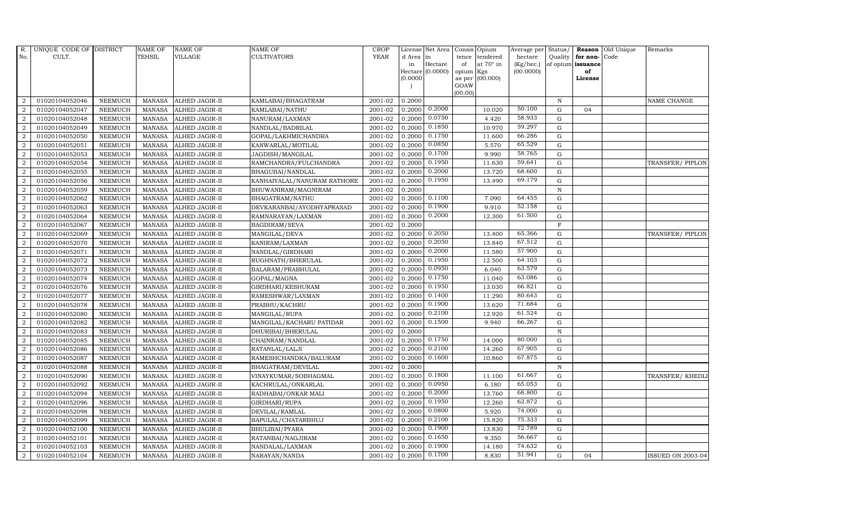| R.             | UNIQUE CODE OF DISTRICT |                | <b>NAME OF</b> | <b>NAME OF</b>        | <b>NAME OF</b>              | <b>CROP</b> |           | License Net Area            | Consis Opium    |                  | Average per Status/ |                |                         | <b>Reason</b> Old Unique | Remarks                  |
|----------------|-------------------------|----------------|----------------|-----------------------|-----------------------------|-------------|-----------|-----------------------------|-----------------|------------------|---------------------|----------------|-------------------------|--------------------------|--------------------------|
| No.            | CULT.                   |                | <b>TEHSIL</b>  | <b>VILLAGE</b>        | <b>CULTIVATORS</b>          | <b>YEAR</b> | d Area in |                             | tence           | tendered         | hectare             |                | Quality for non-        | Code                     |                          |
|                |                         |                |                |                       |                             |             | in        | Hectare<br>Hectare (0.0000) | of              | at $70^\circ$ in | (Kg/hec.)           |                | of opium issuance<br>of |                          |                          |
|                |                         |                |                |                       |                             |             | (0.0000)  |                             | opium<br>as per | Kgs<br>(00.000)  | (00.0000)           |                | License                 |                          |                          |
|                |                         |                |                |                       |                             |             |           |                             | GOAW            |                  |                     |                |                         |                          |                          |
|                |                         |                |                |                       |                             |             |           |                             | (00.00)         |                  |                     |                |                         |                          |                          |
| $\overline{2}$ | 01020104052046          | <b>NEEMUCH</b> | MANASA         | <b>ALHED JAGIR-II</b> | KAMLABAI/BHAGATRAM          | 2001-02     | 0.2000    |                             |                 |                  |                     | $\mathbb N$    |                         |                          | NAME CHANGE              |
| $\overline{2}$ | 01020104052047          | <b>NEEMUCH</b> | <b>MANASA</b>  | ALHED JAGIR-II        | KAMLABAI/NATHU              | 2001-02     | 0.2000    | 0.2000                      |                 | 10.020           | 50.100              | G              | 04                      |                          |                          |
| 2              | 01020104052048          | <b>NEEMUCH</b> | <b>MANASA</b>  | ALHED JAGIR-II        | NANURAM/LAXMAN              | 2001-02     | 0.2000    | 0.0750                      |                 | 4.420            | 58.933              | G              |                         |                          |                          |
| $\overline{2}$ | 01020104052049          | <b>NEEMUCH</b> | <b>MANASA</b>  | ALHED JAGIR-II        | NANDLAL/BADRILAL            | 2001-02     | 0.2000    | 0.1850                      |                 | 10.970           | 59.297              | $\mathbf G$    |                         |                          |                          |
| $\overline{a}$ | 01020104052050          | <b>NEEMUCH</b> | <b>MANASA</b>  | ALHED JAGIR-II        | GOPAL/LAKHMICHANDRA         | 2001-02     | 0.2000    | 0.1750                      |                 | 11.600           | 66.286              | G              |                         |                          |                          |
| 2              | 01020104052051          | <b>NEEMUCH</b> | <b>MANASA</b>  | ALHED JAGIR-II        | KANWARLAL/MOTILAL           | 2001-02     | 0.2000    | 0.0850                      |                 | 5.570            | 65.529              | G              |                         |                          |                          |
| 2              | 01020104052053          | <b>NEEMUCH</b> | <b>MANASA</b>  | ALHED JAGIR-II        | JAGDISH/MANGILAL            | 2001-02     | 0.2000    | 0.1700                      |                 | 9.990            | 58.765              | G              |                         |                          |                          |
| 2              | 01020104052054          | <b>NEEMUCH</b> | <b>MANASA</b>  | ALHED JAGIR-II        | RAMCHANDRA/FULCHANDRA       | 2001-02     | 0.2000    | 0.1950                      |                 | 11.630           | 59.641              | $\mathbf G$    |                         |                          | TRANSFER/PIPLON          |
| $\overline{2}$ | 01020104052055          | <b>NEEMUCH</b> | <b>MANASA</b>  | <b>ALHED JAGIR-II</b> | BHAGUBAI/NANDLAL            | 2001-02     | 0.2000    | 0.2000                      |                 | 13.720           | 68.600              | G              |                         |                          |                          |
| 2              | 01020104052056          | <b>NEEMUCH</b> | <b>MANASA</b>  | ALHED JAGIR-II        | KANHAIYALAL/NANURAM RATHORE | 2001-02     | 0.2000    | 0.1950                      |                 | 13.490           | 69.179              | G              |                         |                          |                          |
| $\overline{2}$ | 01020104052059          | <b>NEEMUCH</b> | <b>MANASA</b>  | ALHED JAGIR-II        | BHUWANIRAM/MAGNIRAM         | 2001-02     | 0.2000    |                             |                 |                  |                     | N              |                         |                          |                          |
| $\overline{2}$ | 01020104052062          | <b>NEEMUCH</b> | <b>MANASA</b>  | ALHED JAGIR-II        | BHAGATRAM/NATHU             | 2001-02     | 0.2000    | 0.1100                      |                 | 7.090            | 64.455              | G              |                         |                          |                          |
| 2              | 01020104052063          | <b>NEEMUCH</b> | <b>MANASA</b>  | ALHED JAGIR-II        | DEVKARANBAI/AYODHYAPRASAD   | 2001-02     | 0.2000    | 0.1900                      |                 | 9.910            | 52.158              | G              |                         |                          |                          |
| $\overline{2}$ | 01020104052064          | <b>NEEMUCH</b> | <b>MANASA</b>  | ALHED JAGIR-II        | RAMNARAYAN/LAXMAN           | 2001-02     | 0.2000    | 0.2000                      |                 | 12.300           | 61.500              | G              |                         |                          |                          |
| $\overline{2}$ | 01020104052067          | <b>NEEMUCH</b> | <b>MANASA</b>  | ALHED JAGIR-II        | BAGDIRAM/SEVA               | 2001-02     | 0.2000    |                             |                 |                  |                     | $\overline{F}$ |                         |                          |                          |
| $\overline{2}$ | 01020104052069          | <b>NEEMUCH</b> | <b>MANASA</b>  | ALHED JAGIR-II        | MANGILAL/DEVA               | 2001-02     | 0.2000    | 0.2050                      |                 | 13.400           | 65.366              | G              |                         |                          | TRANSFER/PIPLON          |
| $\overline{2}$ | 01020104052070          | <b>NEEMUCH</b> | <b>MANASA</b>  | ALHED JAGIR-II        | KANIRAM/LAXMAN              | 2001-02     | 0.2000    | 0.2050                      |                 | 13.840           | 67.512              | G              |                         |                          |                          |
| 2              | 01020104052071          | <b>NEEMUCH</b> | <b>MANASA</b>  | ALHED JAGIR-II        | NANDLAL/GIRDHARI            | 2001-02     | 0.2000    | 0.2000                      |                 | 11.580           | 57.900              | $\mathbf G$    |                         |                          |                          |
| 2              | 01020104052072          | <b>NEEMUCH</b> | <b>MANASA</b>  | ALHED JAGIR-II        | RUGHNATH/BHERULAL           | 2001-02     | 0.2000    | 0.1950                      |                 | 12.500           | 64.103              | G              |                         |                          |                          |
| 2              | 01020104052073          | <b>NEEMUCH</b> | <b>MANASA</b>  | ALHED JAGIR-II        | BALARAM/PRABHULAL           | 2001-02     | 0.2000    | 0.0950                      |                 | 6.040            | 63.579              | G              |                         |                          |                          |
| $\overline{a}$ | 01020104052074          | <b>NEEMUCH</b> | <b>MANASA</b>  | ALHED JAGIR-II        | GOPAL/MAGNA                 | 2001-02     | 0.2000    | 0.1750                      |                 | 11.040           | 63.086              | G              |                         |                          |                          |
| $\overline{a}$ | 01020104052076          | <b>NEEMUCH</b> | <b>MANASA</b>  | ALHED JAGIR-II        | GIRDHARI/KESHURAM           | 2001-02     | 0.2000    | 0.1950                      |                 | 13.030           | 66.821              | G              |                         |                          |                          |
| $\overline{2}$ | 01020104052077          | <b>NEEMUCH</b> | MANASA         | ALHED JAGIR-II        | RAMESHWAR/LAXMAN            | 2001-02     | 0.2000    | 0.1400                      |                 | 11.290           | 80.643              | G              |                         |                          |                          |
| $\overline{2}$ | 01020104052078          | <b>NEEMUCH</b> | <b>MANASA</b>  | ALHED JAGIR-II        | PRABHU/KACHRU               | 2001-02     | 0.2000    | 0.1900                      |                 | 13.620           | 71.684              | G              |                         |                          |                          |
| $\overline{2}$ | 01020104052080          | <b>NEEMUCH</b> | <b>MANASA</b>  | ALHED JAGIR-II        | MANGILAL/RUPA               | 2001-02     | 0.2000    | 0.2100                      |                 | 12.920           | 61.524              | G              |                         |                          |                          |
| $\overline{2}$ | 01020104052082          | <b>NEEMUCH</b> | <b>MANASA</b>  | ALHED JAGIR-II        | MANGILAL/KACHARU PATIDAR    | 2001-02     | 0.2000    | 0.1500                      |                 | 9.940            | 66.267              | G              |                         |                          |                          |
| $\overline{a}$ | 01020104052083          | <b>NEEMUCH</b> | <b>MANASA</b>  | ALHED JAGIR-II        | DHURIBAI/BHERULAL           | 2001-02     | 0.2000    |                             |                 |                  |                     | $\, {\rm N}$   |                         |                          |                          |
| 2              | 01020104052085          | <b>NEEMUCH</b> | <b>MANASA</b>  | ALHED JAGIR-II        | CHAINRAM/NANDLAL            | 2001-02     | 0.2000    | 0.1750                      |                 | 14.000           | 80.000              | G              |                         |                          |                          |
| 2              | 01020104052086          | <b>NEEMUCH</b> | <b>MANASA</b>  | ALHED JAGIR-II        | RATANLAL/LALJI              | 2001-02     | 0.2000    | 0.2100                      |                 | 14.260           | 67.905              | ${\bf G}$      |                         |                          |                          |
| $\overline{2}$ | 01020104052087          | <b>NEEMUCH</b> | <b>MANASA</b>  | ALHED JAGIR-II        | RAMESHCHANDRA/BALURAM       | 2001-02     | 0.2000    | 0.1600                      |                 | 10.860           | 67.875              | G              |                         |                          |                          |
| $\overline{2}$ | 01020104052088          | <b>NEEMUCH</b> | <b>MANASA</b>  | ALHED JAGIR-II        | BHAGATRAM/DEVILAL           | 2001-02     | 0.2000    |                             |                 |                  |                     | N              |                         |                          |                          |
| $\overline{2}$ | 01020104052090          | <b>NEEMUCH</b> | <b>MANASA</b>  | ALHED JAGIR-II        | VINAYKUMAR/SOBHAGMAL        | 2001-02     | 0.2000    | 0.1800                      |                 | 11.100           | 61.667              | G              |                         |                          | TRANSFER/KHEDL           |
| $\overline{2}$ | 01020104052092          | <b>NEEMUCH</b> | <b>MANASA</b>  | ALHED JAGIR-II        | KACHRULAL/ONKARLAL          | 2001-02     | 0.2000    | 0.0950                      |                 | 6.180            | 65.053              | G              |                         |                          |                          |
| $\overline{2}$ | 01020104052094          | <b>NEEMUCH</b> | <b>MANASA</b>  | ALHED JAGIR-II        | RADHABAI/ONKAR MALI         | 2001-02     | 0.2000    | 0.2000                      |                 | 13.760           | 68.800              | $\mathbf G$    |                         |                          |                          |
| $\overline{2}$ | 01020104052096          | <b>NEEMUCH</b> | <b>MANASA</b>  | ALHED JAGIR-II        | GIRDHARI/RUPA               | 2001-02     | 0.2000    | 0.1950                      |                 | 12.260           | 62.872              | G              |                         |                          |                          |
| $\overline{a}$ | 01020104052098          | <b>NEEMUCH</b> | <b>MANASA</b>  | ALHED JAGIR-II        | DEVILAL/RAMLAL              | 2001-02     | 0.2000    | 0.0800                      |                 | 5.920            | 74.000              | G              |                         |                          |                          |
| $\overline{2}$ | 01020104052099          | <b>NEEMUCH</b> | <b>MANASA</b>  | ALHED JAGIR-II        | BAPULAL/CHATARBHUJ          | 2001-02     | 0.2000    | 0.2100                      |                 | 15.820           | 75.333              | G              |                         |                          |                          |
| $\overline{a}$ | 01020104052100          | <b>NEEMUCH</b> | <b>MANASA</b>  | ALHED JAGIR-II        | BHULIBAI/PYARA              | 2001-02     | 0.2000    | 0.1900                      |                 | 13.830           | 72.789              | $\mathbf G$    |                         |                          |                          |
| $\overline{2}$ | 01020104052101          | <b>NEEMUCH</b> | <b>MANASA</b>  | ALHED JAGIR-II        | RATANBAI/NAGJIRAM           | 2001-02     | 0.2000    | 0.1650                      |                 | 9.350            | 56.667              | G              |                         |                          |                          |
| 2              | 01020104052103          | <b>NEEMUCH</b> | <b>MANASA</b>  | ALHED JAGIR-II        | NANDALAL/LAXMAN             | 2001-02     | 0.2000    | 0.1900                      |                 | 14.180           | 74.632              | G              |                         |                          |                          |
| $\overline{a}$ | 01020104052104          | NEEMUCH        | MANASA         | <b>ALHED JAGIR-II</b> | NARAYAN/NANDA               | 2001-02     | 0.2000    | 0.1700                      |                 | 8.830            | 51.941              | G              | 04                      |                          | <b>ISSUED ON 2003-04</b> |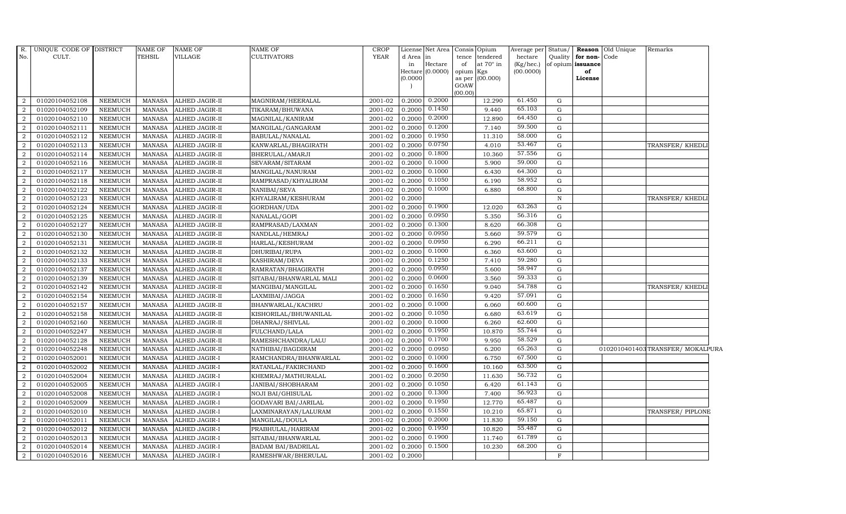| R.             | UNIQUE CODE OF DISTRICT |                | NAME OF       | NAME OF               | <b>NAME OF</b>              | <b>CROP</b> | License  | Net Area           | Opium<br>Consis                    | Average per  | Status/      |                   | <b>Reason</b> Old Unique | Remarks                         |
|----------------|-------------------------|----------------|---------------|-----------------------|-----------------------------|-------------|----------|--------------------|------------------------------------|--------------|--------------|-------------------|--------------------------|---------------------------------|
| No.            | CULT.                   |                | <b>TEHSIL</b> | VILLAGE               | <b>CULTIVATORS</b>          | <b>YEAR</b> | d Area   | in                 | tendered<br>tence                  | hectare      | Quality      | for non-Code      |                          |                                 |
|                |                         |                |               |                       |                             |             | in       | Hectare            | at $70^\circ$ in<br>of             | $(Kg/$ hec.) |              | of opium issuance |                          |                                 |
|                |                         |                |               |                       |                             |             | (0.0000) | Hectare $(0.0000)$ | opium<br>Kgs<br>(00.000)<br>as per | (00.0000)    |              | of<br>License     |                          |                                 |
|                |                         |                |               |                       |                             |             |          |                    | GOAW                               |              |              |                   |                          |                                 |
|                |                         |                |               |                       |                             |             |          |                    | (00.00)                            |              |              |                   |                          |                                 |
| 2              | 01020104052108          | <b>NEEMUCH</b> | <b>MANASA</b> | ALHED JAGIR-II        | MAGNIRAM/HEERALAL           | 2001-02     | 0.2000   | 0.2000             | 12.290                             | 61.450       | G            |                   |                          |                                 |
| 2              | 01020104052109          | <b>NEEMUCH</b> | <b>MANASA</b> | ALHED JAGIR-II        | TIKARAM/BHUWANA             | 2001-02     | 0.2000   | 0.1450             | 9.440                              | 65.103       | G            |                   |                          |                                 |
| $\overline{2}$ | 01020104052110          | <b>NEEMUCH</b> | <b>MANASA</b> | ALHED JAGIR-II        | MAGNILAL/KANIRAM            | 2001-02     | 0.2000   | 0.2000             | 12.890                             | 64.450       | G            |                   |                          |                                 |
| $\overline{2}$ | 01020104052111          | <b>NEEMUCH</b> | <b>MANASA</b> | ALHED JAGIR-II        | MANGILAL/GANGARAM           | 2001-02     | 0.2000   | 0.1200             | 7.140                              | 59.500       | G            |                   |                          |                                 |
| 2              | 01020104052112          | <b>NEEMUCH</b> | <b>MANASA</b> | ALHED JAGIR-II        | BABULAL/NANALAL             | 2001-02     | 0.2000   | 0.1950             | 11.310                             | 58.000       | G            |                   |                          |                                 |
| 2              | 01020104052113          | <b>NEEMUCH</b> | <b>MANASA</b> | ALHED JAGIR-II        | KANWARLAL/BHAGIRATH         | 2001-02     | 0.2000   | 0.0750             | 4.010                              | 53.467       | G            |                   |                          | TRANSFER/KHEDLI                 |
| $\overline{2}$ | 01020104052114          | <b>NEEMUCH</b> | <b>MANASA</b> | ALHED JAGIR-II        | BHERULAL/AMARJI             | 2001-02     | 0.2000   | 0.1800             | 10.360                             | 57.556       | $\mathbf G$  |                   |                          |                                 |
| $\overline{2}$ | 01020104052116          | <b>NEEMUCH</b> | <b>MANASA</b> | ALHED JAGIR-II        | SEVARAM/SITARAM             | 2001-02     | 0.2000   | 0.1000             | 5.900                              | 59.000       | G            |                   |                          |                                 |
| $\overline{2}$ | 01020104052117          | <b>NEEMUCH</b> | <b>MANASA</b> | ALHED JAGIR-II        | MANGILAL/NANURAM            | 2001-02     | 0.2000   | 0.1000             | 6.430                              | 64.300       | G            |                   |                          |                                 |
| $\overline{2}$ | 01020104052118          | <b>NEEMUCH</b> | MANASA        | ALHED JAGIR-II        | RAMPRASAD/KHYALIRAM         | 2001-02     | 0.2000   | 0.1050             | 6.190                              | 58.952       | G            |                   |                          |                                 |
| 2              | 01020104052122          | <b>NEEMUCH</b> | <b>MANASA</b> | ALHED JAGIR-II        | NANIBAI/SEVA                | 2001-02     | 0.2000   | 0.1000             | 6.880                              | 68.800       | G            |                   |                          |                                 |
| $\overline{2}$ | 01020104052123          | <b>NEEMUCH</b> | <b>MANASA</b> | ALHED JAGIR-II        | KHYALIRAM/KESHURAM          | 2001-02     | 0.2000   |                    |                                    |              | ${\bf N}$    |                   |                          | TRANSFER/ KHEDLI                |
| $\overline{2}$ | 01020104052124          | <b>NEEMUCH</b> | <b>MANASA</b> | ALHED JAGIR-II        | GORDHAN/UDA                 | 2001-02     | 0.2000   | 0.1900             | 12.020                             | 63.263       | G            |                   |                          |                                 |
| 2              | 01020104052125          | <b>NEEMUCH</b> | <b>MANASA</b> | <b>ALHED JAGIR-II</b> | NANALAL/GOPI                | 2001-02     | 0.2000   | 0.0950             | 5.350                              | 56.316       | $\mathbf G$  |                   |                          |                                 |
| $\overline{2}$ | 01020104052127          | <b>NEEMUCH</b> | MANASA        | ALHED JAGIR-II        | RAMPRASAD/LAXMAN            | 2001-02     | 0.2000   | 0.1300             | 8.620                              | 66.308       | $\mathbf G$  |                   |                          |                                 |
| $\overline{2}$ | 01020104052130          | <b>NEEMUCH</b> | <b>MANASA</b> | ALHED JAGIR-II        | NANDLAL/HEMRAJ              | 2001-02     | 0.2000   | 0.0950             | 5.660                              | 59.579       | G            |                   |                          |                                 |
| 2              | 01020104052131          | <b>NEEMUCH</b> | <b>MANASA</b> | ALHED JAGIR-II        | HARLAL/KESHURAM             | 2001-02     | 0.2000   | 0.0950             | 6.290                              | 66.211       | G            |                   |                          |                                 |
| $\overline{2}$ | 01020104052132          | NEEMUCH        | <b>MANASA</b> | ALHED JAGIR-II        | DHURIBAI/RUPA               | 2001-02     | 0.2000   | 0.1000             | 6.360                              | 63.600       | G            |                   |                          |                                 |
| $\overline{2}$ | 01020104052133          | <b>NEEMUCH</b> | <b>MANASA</b> | <b>ALHED JAGIR-II</b> | KASHIRAM/DEVA               | 2001-02     | 0.2000   | 0.1250             | 7.410                              | 59.280       | $\mathbf G$  |                   |                          |                                 |
| $\overline{2}$ | 01020104052137          | <b>NEEMUCH</b> | <b>MANASA</b> | ALHED JAGIR-II        | RAMRATAN/BHAGIRATH          | 2001-02     | 0.2000   | 0.0950             | 5.600                              | 58.947       | $\mathbf G$  |                   |                          |                                 |
| $\overline{2}$ | 01020104052139          | <b>NEEMUCH</b> | <b>MANASA</b> | <b>ALHED JAGIR-II</b> | SITABAI/BHANWARLAL MALI     | 2001-02     | 0.2000   | 0.0600             | 3.560                              | 59.333       | G            |                   |                          |                                 |
| 2              | 01020104052142          | <b>NEEMUCH</b> | <b>MANASA</b> | ALHED JAGIR-II        | MANGIBAI/MANGILAL           | 2001-02     | 0.2000   | 0.1650             | 9.040                              | 54.788       | G            |                   |                          | TRANSFER/ KHEDLI                |
| $\overline{2}$ | 01020104052154          | NEEMUCH        | MANASA        | ALHED JAGIR-II        | LAXMIBAI/JAGGA              | 2001-02     | 0.2000   | 0.1650             | 9.420                              | 57.091       | G            |                   |                          |                                 |
| $\overline{2}$ | 01020104052157          | <b>NEEMUCH</b> | <b>MANASA</b> | ALHED JAGIR-II        | BHANWARLAL/KACHRU           | 2001-02     | 0.2000   | 0.1000             | 6.060                              | 60.600       | G            |                   |                          |                                 |
| 2              | 01020104052158          | <b>NEEMUCH</b> | <b>MANASA</b> | ALHED JAGIR-II        | KISHORILAL/BHUWANILAL       | 2001-02     | 0.2000   | 0.1050             | 6.680                              | 63.619       | $\mathbf G$  |                   |                          |                                 |
| 2              | 01020104052160          | <b>NEEMUCH</b> | <b>MANASA</b> | ALHED JAGIR-II        | DHANRAJ/SHIVLAL             | 2001-02     | 0.2000   | 0.1000             | 6.260                              | 62.600       | G            |                   |                          |                                 |
| 2              | 01020104052247          | <b>NEEMUCH</b> | <b>MANASA</b> | ALHED JAGIR-II        | FULCHAND/LALA               | 2001-02     | 0.2000   | 0.1950             | 10.870                             | 55.744       | G            |                   |                          |                                 |
| $\overline{2}$ | 01020104052128          | NEEMUCH        | <b>MANASA</b> | ALHED JAGIR-II        | RAMESHCHANDRA/LALU          | 2001-02     | 0.2000   | 0.1700             | 9.950                              | 58.529       | G            |                   |                          |                                 |
| 2              | 01020104052248          | <b>NEEMUCH</b> | <b>MANASA</b> | ALHED JAGIR-II        | NATHIBAI/BAGDIRAM           | 2001-02     | 0.2000   | 0.0950             | 6.200                              | 65.263       | G            |                   |                          | 0102010401403TRANSFER/MOKALPURA |
| 2              | 01020104052001          | <b>NEEMUCH</b> | <b>MANASA</b> | ALHED JAGIR-I         | RAMCHANDRA/BHANWARLAL       | 2001-02     | 0.2000   | 0.1000             | 6.750                              | 67.500       | $\mathbf G$  |                   |                          |                                 |
| $\overline{2}$ | 01020104052002          | <b>NEEMUCH</b> | <b>MANASA</b> | ALHED JAGIR-I         | RATANLAL/FAKIRCHAND         | 2001-02     | 0.2000   | 0.1600             | 10.160                             | 63.500       | G            |                   |                          |                                 |
| 2              | 01020104052004          | <b>NEEMUCH</b> | <b>MANASA</b> | ALHED JAGIR-I         | KHEMRAJ/MATHURALAL          | 2001-02     | 0.2000   | 0.2050             | 11.630                             | 56.732       | G            |                   |                          |                                 |
| $\overline{2}$ | 01020104052005          | <b>NEEMUCH</b> | <b>MANASA</b> | ALHED JAGIR-I         | JANIBAI/SHOBHARAM           | 2001-02     | 0.2000   | 0.1050             | 6.420                              | 61.143       | G            |                   |                          |                                 |
| $\overline{2}$ | 01020104052008          | <b>NEEMUCH</b> | <b>MANASA</b> | ALHED JAGIR-I         | <b>NOJI BAI/GHISULAL</b>    | 2001-02     | 0.2000   | 0.1300             | 7.400                              | 56.923       | $\mathbf G$  |                   |                          |                                 |
| 2              | 01020104052009          | <b>NEEMUCH</b> | <b>MANASA</b> | ALHED JAGIR-I         | <b>GODAVARI BAI/JARILAL</b> | 2001-02     | 0.2000   | 0.1950             | 12.770                             | 65.487       | G            |                   |                          |                                 |
| $\overline{2}$ | 01020104052010          | <b>NEEMUCH</b> | MANASA        | ALHED JAGIR-I         | LAXMINARAYAN/LALURAM        | 2001-02     | 0.2000   | 0.1550             | 10.210                             | 65.871       | G            |                   |                          | TRANSFER/PIPLONE                |
| 2              | 01020104052011          | <b>NEEMUCH</b> | <b>MANASA</b> | ALHED JAGIR-I         | MANGILAL/DOULA              | 2001-02     | 0.2000   | 0.2000             | 11.830                             | 59.150       | G            |                   |                          |                                 |
| $\overline{2}$ | 01020104052012          | <b>NEEMUCH</b> | <b>MANASA</b> | ALHED JAGIR-I         | PRABHULAL/HARIRAM           | 2001-02     | 0.2000   | 0.1950             | 10.820                             | 55.487       | G            |                   |                          |                                 |
| $\overline{2}$ | 01020104052013          | <b>NEEMUCH</b> | <b>MANASA</b> | ALHED JAGIR-I         | SITABAI/BHANWARLAL          | 2001-02     | 0.2000   | 0.1900             | 11.740                             | 61.789       | $\mathbf G$  |                   |                          |                                 |
| 2              | 01020104052014          | <b>NEEMUCH</b> | <b>MANASA</b> | ALHED JAGIR-I         | <b>BADAM BAI/BADRILAL</b>   | 2001-02     | 0.2000   | 0.1500             | 10.230                             | 68.200       | G            |                   |                          |                                 |
| $\overline{2}$ | 01020104052016          | <b>NEEMUCH</b> | MANASA        | <b>ALHED JAGIR-I</b>  | RAMESHWAR/BHERULAL          | 2001-02     | 0.2000   |                    |                                    |              | $\mathbf{F}$ |                   |                          |                                 |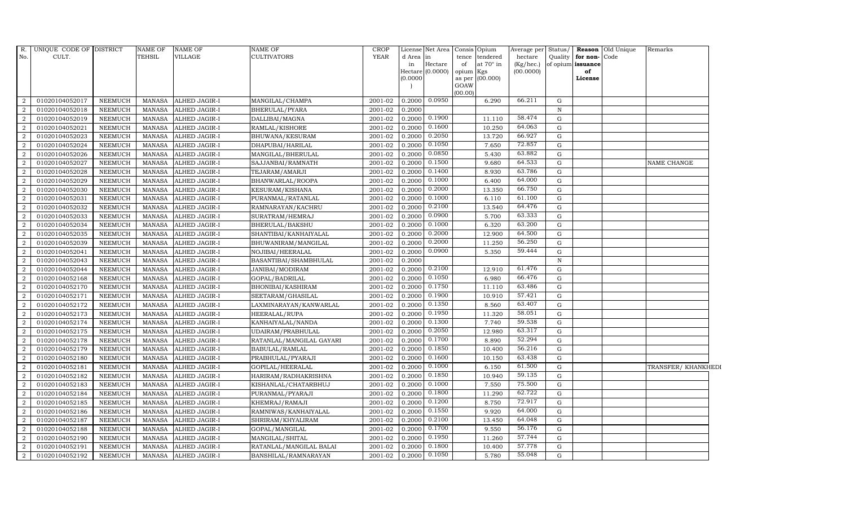| R.             | UNIQUE CODE OF DISTRICT |                | <b>NAME OF</b> | NAME OF       | <b>NAME OF</b>           | <b>CROP</b> | License  | Net Area                    | Consis Opium                           | Average per               | Status/      |                         | <b>Reason</b> Old Unique | Remarks             |
|----------------|-------------------------|----------------|----------------|---------------|--------------------------|-------------|----------|-----------------------------|----------------------------------------|---------------------------|--------------|-------------------------|--------------------------|---------------------|
| No.            | CULT.                   |                | TEHSIL         | VILLAGE       | CULTIVATORS              | <b>YEAR</b> | d Area   | in                          | tence<br>tendered                      | hectare                   | Quality      | for non-Code            |                          |                     |
|                |                         |                |                |               |                          |             | in       | Hectare<br>Hectare (0.0000) | at $70^\circ$ in<br>of<br>opium<br>Kgs | $(Kg/$ hec.)<br>(00.0000) |              | of opium issuance<br>of |                          |                     |
|                |                         |                |                |               |                          |             | (0.0000) |                             | as per (00.000)                        |                           |              | License                 |                          |                     |
|                |                         |                |                |               |                          |             |          |                             | GOAW                                   |                           |              |                         |                          |                     |
|                |                         |                |                |               |                          |             |          |                             | (00.00)                                |                           |              |                         |                          |                     |
| 2              | 01020104052017          | <b>NEEMUCH</b> | <b>MANASA</b>  | ALHED JAGIR-I | MANGILAL/CHAMPA          | 2001-02     | 0.2000   | 0.0950                      | 6.290                                  | 66.211                    | G            |                         |                          |                     |
| 2              | 01020104052018          | <b>NEEMUCH</b> | <b>MANASA</b>  | ALHED JAGIR-I | BHERULAL/PYARA           | 2001-02     | 0.2000   |                             |                                        |                           | $\mathbb N$  |                         |                          |                     |
| $\overline{2}$ | 01020104052019          | <b>NEEMUCH</b> | <b>MANASA</b>  | ALHED JAGIR-I | DALLIBAI/MAGNA           | 2001-02     | 0.2000   | 0.1900                      | 11.110                                 | 58.474                    | G            |                         |                          |                     |
| $\overline{2}$ | 01020104052021          | <b>NEEMUCH</b> | <b>MANASA</b>  | ALHED JAGIR-I | RAMLAL/KISHORE           | 2001-02     | 0.2000   | 0.1600                      | 10.250                                 | 64.063                    | $\mathbf G$  |                         |                          |                     |
| 2              | 01020104052023          | <b>NEEMUCH</b> | <b>MANASA</b>  | ALHED JAGIR-I | BHUWANA/KESURAM          | 2001-02     | 0.2000   | 0.2050                      | 13.720                                 | 66.927                    | $\mathbf G$  |                         |                          |                     |
| 2              | 01020104052024          | <b>NEEMUCH</b> | <b>MANASA</b>  | ALHED JAGIR-I | DHAPUBAI/HARILAL         | 2001-02     | 0.2000   | 0.1050                      | 7.650                                  | 72.857                    | $\mathbf G$  |                         |                          |                     |
| 2              | 01020104052026          | <b>NEEMUCH</b> | <b>MANASA</b>  | ALHED JAGIR-I | MANGILAL/BHERULAL        | 2001-02     | 0.2000   | 0.0850                      | 5.430                                  | 63.882                    | $\mathbf G$  |                         |                          |                     |
| $\overline{2}$ | 01020104052027          | <b>NEEMUCH</b> | <b>MANASA</b>  | ALHED JAGIR-I | SAJJANBAI/RAMNATH        | 2001-02     | 0.2000   | 0.1500                      | 9.680                                  | 64.533                    | G            |                         |                          | <b>NAME CHANGE</b>  |
| $\overline{2}$ | 01020104052028          | <b>NEEMUCH</b> | <b>MANASA</b>  | ALHED JAGIR-I | TEJARAM/AMARJI           | 2001-02     | 0.2000   | 0.1400                      | 8.930                                  | 63.786                    | $\mathbf G$  |                         |                          |                     |
| $\overline{2}$ | 01020104052029          | <b>NEEMUCH</b> | <b>MANASA</b>  | ALHED JAGIR-I | BHANWARLAL/ROOPA         | 2001-02     | 0.2000   | 0.1000                      | 6.400                                  | 64.000                    | $\mathbf G$  |                         |                          |                     |
| $\overline{2}$ | 01020104052030          | <b>NEEMUCH</b> | <b>MANASA</b>  | ALHED JAGIR-I | KESURAM/KISHANA          | 2001-02     | 0.2000   | 0.2000                      | 13.350                                 | 66.750                    | ${\rm G}$    |                         |                          |                     |
| $\overline{2}$ | 01020104052031          | <b>NEEMUCH</b> | <b>MANASA</b>  | ALHED JAGIR-I | PURANMAL/RATANLAL        | 2001-02     | 0.2000   | 0.1000                      | 6.110                                  | 61.100                    | ${\rm G}$    |                         |                          |                     |
| 2              | 01020104052032          | <b>NEEMUCH</b> | <b>MANASA</b>  | ALHED JAGIR-I | RAMNARAYAN/KACHRU        | 2001-02     | 0.2000   | 0.2100                      | 13.540                                 | 64.476                    | G            |                         |                          |                     |
| 2              | 01020104052033          | <b>NEEMUCH</b> | <b>MANASA</b>  | ALHED JAGIR-I | SURATRAM/HEMRAJ          | 2001-02     | 0.2000   | 0.0900                      | 5.700                                  | 63.333                    | $\mathbf G$  |                         |                          |                     |
| $\overline{2}$ | 01020104052034          | <b>NEEMUCH</b> | <b>MANASA</b>  | ALHED JAGIR-I | BHERULAL/BAKSHU          | 2001-02     | 0.2000   | 0.1000                      | 6.320                                  | 63.200                    | $\mathbf G$  |                         |                          |                     |
| 2              | 01020104052035          | <b>NEEMUCH</b> | <b>MANASA</b>  | ALHED JAGIR-I | SHANTIBAI/KANHAIYALAL    | 2001-02     | 0.2000   | 0.2000                      | 12.900                                 | 64.500                    | $\mathbf G$  |                         |                          |                     |
| 2              | 01020104052039          | <b>NEEMUCH</b> | <b>MANASA</b>  | ALHED JAGIR-I | BHUWANIRAM/MANGILAL      | 2001-02     | 0.2000   | 0.2000                      | 11.250                                 | 56.250                    | G            |                         |                          |                     |
| 2              | 01020104052041          | <b>NEEMUCH</b> | <b>MANASA</b>  | ALHED JAGIR-I | NOJIBAI/HEERALAL         | 2001-02     | 0.2000   | 0.0900                      | 5.350                                  | 59.444                    | $\mathbf G$  |                         |                          |                     |
| $\overline{2}$ | 01020104052043          | <b>NEEMUCH</b> | <b>MANASA</b>  | ALHED JAGIR-I | BASANTIBAI/SHAMBHULAL    | 2001-02     | 0.2000   |                             |                                        |                           | $\, {\bf N}$ |                         |                          |                     |
| $\overline{2}$ | 01020104052044          | <b>NEEMUCH</b> | <b>MANASA</b>  | ALHED JAGIR-I | JANIBAI/MODIRAM          | 2001-02     | 0.2000   | 0.2100                      | 12.910                                 | 61.476                    | $\mathbf G$  |                         |                          |                     |
| $\overline{2}$ | 01020104052168          | <b>NEEMUCH</b> | <b>MANASA</b>  | ALHED JAGIR-I | GOPAL/BADRILAL           | 2001-02     | 0.2000   | 0.1050                      | 6.980                                  | 66.476                    | G            |                         |                          |                     |
| 2              | 01020104052170          | <b>NEEMUCH</b> | <b>MANASA</b>  | ALHED JAGIR-I | BHONIBAI/KASHIRAM        | 2001-02     | 0.2000   | 0.1750                      | 11.110                                 | 63.486                    | ${\rm G}$    |                         |                          |                     |
| 2              | 01020104052171          | <b>NEEMUCH</b> | <b>MANASA</b>  | ALHED JAGIR-I | SEETARAM/GHASILAL        | 2001-02     | 0.2000   | 0.1900                      | 10.910                                 | 57.421                    | G            |                         |                          |                     |
| $\overline{2}$ | 01020104052172          | <b>NEEMUCH</b> | <b>MANASA</b>  | ALHED JAGIR-I | LAXMINARAYAN/KANWARLAL   | 2001-02     | 0.2000   | 0.1350                      | 8.560                                  | 63.407                    | G            |                         |                          |                     |
| $\overline{2}$ | 01020104052173          | <b>NEEMUCH</b> | <b>MANASA</b>  | ALHED JAGIR-I | HEERALAL/RUPA            | 2001-02     | 0.2000   | 0.1950                      | 11.320                                 | 58.051                    | $\mathbf G$  |                         |                          |                     |
| $\overline{2}$ | 01020104052174          | <b>NEEMUCH</b> | <b>MANASA</b>  | ALHED JAGIR-I | KANHAIYALAL/NANDA        | 2001-02     | 0.2000   | 0.1300                      | 7.740                                  | 59.538                    | $\mathbf G$  |                         |                          |                     |
| 2              | 01020104052175          | <b>NEEMUCH</b> | <b>MANASA</b>  | ALHED JAGIR-I | UDAIRAM/PRABHULAL        | 2001-02     | 0.2000   | 0.2050                      | 12.980                                 | 63.317                    | G            |                         |                          |                     |
| $\overline{2}$ | 01020104052178          | <b>NEEMUCH</b> | <b>MANASA</b>  | ALHED JAGIR-I | RATANLAL/MANGILAL GAYARI | 2001-02     | 0.2000   | 0.1700                      | 8.890                                  | 52.294                    | $\mathbf G$  |                         |                          |                     |
| $\overline{2}$ | 01020104052179          | <b>NEEMUCH</b> | <b>MANASA</b>  | ALHED JAGIR-I | <b>BABULAL/RAMLAL</b>    | 2001-02     | 0.2000   | 0.1850                      | 10.400                                 | 56.216                    | $\mathbf G$  |                         |                          |                     |
| 2              | 01020104052180          | <b>NEEMUCH</b> | <b>MANASA</b>  | ALHED JAGIR-I | PRABHULAL/PYARAJI        | 2001-02     | 0.2000   | 0.1600                      | 10.150                                 | 63.438                    | G            |                         |                          |                     |
| 2              | 01020104052181          | <b>NEEMUCH</b> | <b>MANASA</b>  | ALHED JAGIR-I | GOPILAL/HEERALAL         | 2001-02     | 0.2000   | 0.1000                      | 6.150                                  | 61.500                    | ${\rm G}$    |                         |                          | TRANSFER/ KHANKHEDI |
| 2              | 01020104052182          | <b>NEEMUCH</b> | <b>MANASA</b>  | ALHED JAGIR-I | HARIRAM/RADHAKRISHNA     | 2001-02     | 0.2000   | 0.1850                      | 10.940                                 | 59.135                    | $\mathbf G$  |                         |                          |                     |
| $\overline{2}$ | 01020104052183          | <b>NEEMUCH</b> | <b>MANASA</b>  | ALHED JAGIR-I | KISHANLAL/CHATARBHUJ     | 2001-02     | 0.2000   | 0.1000                      | 7.550                                  | 75.500                    | $\mathbf G$  |                         |                          |                     |
| $\overline{2}$ | 01020104052184          | <b>NEEMUCH</b> | <b>MANASA</b>  | ALHED JAGIR-I | PURANMAL/PYARAJI         | 2001-02     | 0.2000   | 0.1800                      | 11.290                                 | 62.722                    | $\mathbf G$  |                         |                          |                     |
| $\overline{2}$ | 01020104052185          | <b>NEEMUCH</b> | <b>MANASA</b>  | ALHED JAGIR-I | KHEMRAJ/RAMAJI           | 2001-02     | 0.2000   | 0.1200                      | 8.750                                  | 72.917                    | $\mathbf G$  |                         |                          |                     |
| $\overline{2}$ | 01020104052186          | <b>NEEMUCH</b> | <b>MANASA</b>  | ALHED JAGIR-I | RAMNIWAS/KANHAIYALAL     | 2001-02     | 0.2000   | 0.1550                      | 9.920                                  | 64.000                    | ${\rm G}$    |                         |                          |                     |
| $\overline{2}$ | 01020104052187          | <b>NEEMUCH</b> | <b>MANASA</b>  | ALHED JAGIR-I | SHRIRAM/KHYALIRAM        | 2001-02     | 0.2000   | 0.2100                      | 13.450                                 | 64.048                    | G            |                         |                          |                     |
| 2              | 01020104052188          | <b>NEEMUCH</b> | <b>MANASA</b>  | ALHED JAGIR-I | GOPAL/MANGILAL           | 2001-02     | 0.2000   | 0.1700                      | 9.550                                  | 56.176                    | $\mathbf G$  |                         |                          |                     |
| $\overline{2}$ | 01020104052190          | <b>NEEMUCH</b> | <b>MANASA</b>  | ALHED JAGIR-I | MANGILAL/SHITAL          | 2001-02     | 0.2000   | 0.1950                      | 11.260                                 | 57.744                    | $\mathbf G$  |                         |                          |                     |
| 2              | 01020104052191          | <b>NEEMUCH</b> | <b>MANASA</b>  | ALHED JAGIR-I | RATANLAL/MANGILAL BALAI  | 2001-02     | 0.2000   | 0.1800                      | 10.400                                 | 57.778                    | G            |                         |                          |                     |
| $\overline{2}$ | 01020104052192          | <b>NEEMUCH</b> | <b>MANASA</b>  | ALHED JAGIR-I | BANSHILAL/RAMNARAYAN     | 2001-02     | 0.2000   | 0.1050                      | 5.780                                  | 55.048                    | G            |                         |                          |                     |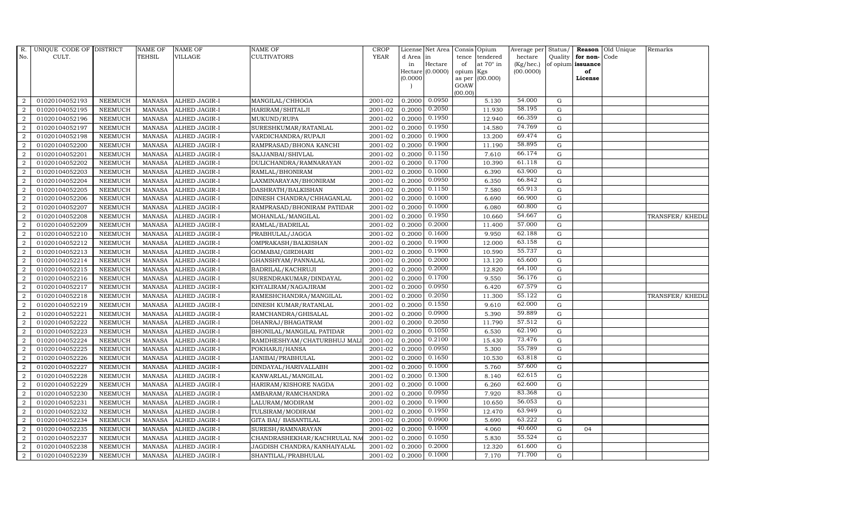| R.               | UNIQUE CODE OF DISTRICT |                | <b>NAME OF</b> | <b>NAME OF</b>       | <b>NAME OF</b>              | <b>CROP</b> |           | License Net Area |                 | Consis Opium     | Average per | Status/     |                   | Reason Old Unique | Remarks          |
|------------------|-------------------------|----------------|----------------|----------------------|-----------------------------|-------------|-----------|------------------|-----------------|------------------|-------------|-------------|-------------------|-------------------|------------------|
| No.              | CULT.                   |                | <b>TEHSIL</b>  | <b>VILLAGE</b>       | CULTIVATORS                 | <b>YEAR</b> | d Area in |                  | tence           | tendered         | hectare     | Quality     | for non-          | Code              |                  |
|                  |                         |                |                |                      |                             |             | in        | Hectare          | of              | at $70^\circ$ in | (Kg/hec.)   |             | of opium issuance |                   |                  |
|                  |                         |                |                |                      |                             |             | (0.0000)  | Hectare (0.0000) | opium<br>as per | Kgs<br>(00.000)  | (00.0000)   |             | of<br>License     |                   |                  |
|                  |                         |                |                |                      |                             |             |           |                  | GOAW            |                  |             |             |                   |                   |                  |
|                  |                         |                |                |                      |                             |             |           |                  | (00.00)         |                  |             |             |                   |                   |                  |
| 2                | 01020104052193          | <b>NEEMUCH</b> | <b>MANASA</b>  | <b>ALHED JAGIR-I</b> | MANGILAL/CHHOGA             | 2001-02     | 0.2000    | 0.0950           |                 | 5.130            | 54.000      | G           |                   |                   |                  |
| $\overline{2}$   | 01020104052195          | <b>NEEMUCH</b> | <b>MANASA</b>  | ALHED JAGIR-I        | HARIRAM/SHITALJI            | 2001-02     | 0.2000    | 0.2050           |                 | 11.930           | 58.195      | G           |                   |                   |                  |
| 2                | 01020104052196          | <b>NEEMUCH</b> | <b>MANASA</b>  | <b>ALHED JAGIR-I</b> | MUKUND/RUPA                 | 2001-02     | 0.2000    | 0.1950           |                 | 12.940           | 66.359      | G           |                   |                   |                  |
| $\overline{2}$   | 01020104052197          | <b>NEEMUCH</b> | <b>MANASA</b>  | <b>ALHED JAGIR-I</b> | SURESHKUMAR/RATANLAL        | 2001-02     | 0.2000    | 0.1950           |                 | 14.580           | 74.769      | $\mathbf G$ |                   |                   |                  |
| 2                | 01020104052198          | <b>NEEMUCH</b> | <b>MANASA</b>  | ALHED JAGIR-I        | VARDICHANDRA/RUPAJI         | 2001-02     | 0.2000    | 0.1900           |                 | 13.200           | 69.474      | G           |                   |                   |                  |
| $\overline{2}$   | 01020104052200          | <b>NEEMUCH</b> | <b>MANASA</b>  | ALHED JAGIR-I        | RAMPRASAD/BHONA KANCHI      | 2001-02     | 0.2000    | 0.1900           |                 | 11.190           | 58.895      | G           |                   |                   |                  |
| 2                | 01020104052201          | <b>NEEMUCH</b> | <b>MANASA</b>  | ALHED JAGIR-I        | SAJJANBAI/SHIVLAL           | 2001-02     | 0.2000    | 0.1150           |                 | 7.610            | 66.174      | G           |                   |                   |                  |
| 2                | 01020104052202          | <b>NEEMUCH</b> | <b>MANASA</b>  | <b>ALHED JAGIR-I</b> | DULICHANDRA/RAMNARAYAN      | 2001-02     | 0.2000    | 0.1700           |                 | 10.390           | 61.118      | G           |                   |                   |                  |
| $\overline{2}$   | 01020104052203          | <b>NEEMUCH</b> | <b>MANASA</b>  | ALHED JAGIR-I        | RAMLAL/BHONIRAM             | 2001-02     | 0.2000    | 0.1000           |                 | 6.390            | 63.900      | $\mathbf G$ |                   |                   |                  |
| $\overline{2}$   | 01020104052204          | <b>NEEMUCH</b> | <b>MANASA</b>  | ALHED JAGIR-I        | LAXMINARAYAN/BHONIRAM       | 2001-02     | 0.2000    | 0.0950           |                 | 6.350            | 66.842      | ${\rm G}$   |                   |                   |                  |
| 2                | 01020104052205          | <b>NEEMUCH</b> | <b>MANASA</b>  | <b>ALHED JAGIR-I</b> | DASHRATH/BALKISHAN          | 2001-02     | 0.2000    | 0.1150           |                 | 7.580            | 65.913      | G           |                   |                   |                  |
| $\boldsymbol{2}$ | 01020104052206          | <b>NEEMUCH</b> | <b>MANASA</b>  | ALHED JAGIR-I        | DINESH CHANDRA/CHHAGANLAL   | 2001-02     | 0.2000    | 0.1000           |                 | 6.690            | 66.900      | G           |                   |                   |                  |
| 2                | 01020104052207          | <b>NEEMUCH</b> | <b>MANASA</b>  | <b>ALHED JAGIR-I</b> | RAMPRASAD/BHONIRAM PATIDAR  | 2001-02     | 0.2000    | 0.1000           |                 | 6.080            | 60.800      | G           |                   |                   |                  |
| 2                | 01020104052208          | <b>NEEMUCH</b> | <b>MANASA</b>  | ALHED JAGIR-I        | MOHANLAL/MANGILAL           | 2001-02     | 0.2000    | 0.1950           |                 | 10.660           | 54.667      | $\mathbf G$ |                   |                   | TRANSFER/ KHEDLI |
| $\boldsymbol{2}$ | 01020104052209          | <b>NEEMUCH</b> | <b>MANASA</b>  | ALHED JAGIR-I        | RAMLAL/BADRILAL             | 2001-02     | 0.2000    | 0.2000           |                 | 11.400           | 57.000      | $\mathbf G$ |                   |                   |                  |
| 2                | 01020104052210          | <b>NEEMUCH</b> | <b>MANASA</b>  | ALHED JAGIR-I        | PRABHULAL/JAGGA             | 2001-02     | 0.2000    | 0.1600           |                 | 9.950            | 62.188      | G           |                   |                   |                  |
| 2                | 01020104052212          | <b>NEEMUCH</b> | <b>MANASA</b>  | ALHED JAGIR-I        | OMPRAKASH/BALKISHAN         | 2001-02     | 0.2000    | 0.1900           |                 | 12.000           | 63.158      | G           |                   |                   |                  |
| $\overline{2}$   | 01020104052213          | <b>NEEMUCH</b> | <b>MANASA</b>  | ALHED JAGIR-I        | GOMABAI/GIRDHARI            | 2001-02     | 0.2000    | 0.1900           |                 | 10.590           | 55.737      | G           |                   |                   |                  |
| 2                | 01020104052214          | <b>NEEMUCH</b> | <b>MANASA</b>  | <b>ALHED JAGIR-I</b> | GHANSHYAM/PANNALAL          | 2001-02     | 0.2000    | 0.2000           |                 | 13.120           | 65.600      | $\mathbf G$ |                   |                   |                  |
| $\overline{2}$   | 01020104052215          | <b>NEEMUCH</b> | <b>MANASA</b>  | ALHED JAGIR-I        | BADRILAL/KACHRUJI           | 2001-02     | 0.2000    | 0.2000           |                 | 12.820           | 64.100      | ${\rm G}$   |                   |                   |                  |
| 2                | 01020104052216          | <b>NEEMUCH</b> | <b>MANASA</b>  | ALHED JAGIR-I        | SURENDRAKUMAR/DINDAYAL      | 2001-02     | 0.2000    | 0.1700           |                 | 9.550            | 56.176      | G           |                   |                   |                  |
| $\overline{2}$   | 01020104052217          | <b>NEEMUCH</b> | <b>MANASA</b>  | ALHED JAGIR-I        | KHYALIRAM/NAGAJIRAM         | 2001-02     | 0.2000    | 0.0950           |                 | 6.420            | 67.579      | G           |                   |                   |                  |
| $\overline{2}$   | 01020104052218          | <b>NEEMUCH</b> | <b>MANASA</b>  | ALHED JAGIR-I        | RAMESHCHANDRA/MANGILAL      | 2001-02     | 0.2000    | 0.2050           |                 | 11.300           | 55.122      | ${\rm G}$   |                   |                   | TRANSFER/ KHEDLI |
| $\overline{2}$   | 01020104052219          | <b>NEEMUCH</b> | <b>MANASA</b>  | <b>ALHED JAGIR-I</b> | DINESH KUMAR/RATANLAL       | 2001-02     | 0.2000    | 0.1550           |                 | 9.610            | 62.000      | $\mathbf G$ |                   |                   |                  |
| $\overline{2}$   | 01020104052221          | <b>NEEMUCH</b> | <b>MANASA</b>  | ALHED JAGIR-I        | RAMCHANDRA/GHISALAL         | 2001-02     | 0.2000    | 0.0900           |                 | 5.390            | 59.889      | $\mathbf G$ |                   |                   |                  |
| $\overline{2}$   | 01020104052222          | <b>NEEMUCH</b> | <b>MANASA</b>  | ALHED JAGIR-I        | DHANRAJ/BHAGATRAM           | 2001-02     | 0.2000    | 0.2050           |                 | 11.790           | 57.512      | G           |                   |                   |                  |
| $\overline{2}$   | 01020104052223          | <b>NEEMUCH</b> | <b>MANASA</b>  | ALHED JAGIR-I        | BHONILAL/MANGILAL PATIDAR   | 2001-02     | 0.2000    | 0.1050           |                 | 6.530            | 62.190      | G           |                   |                   |                  |
| $\overline{2}$   | 01020104052224          | <b>NEEMUCH</b> | <b>MANASA</b>  | ALHED JAGIR-I        | RAMDHESHYAM/CHATURBHUJ MALI | 2001-02     | 0.2000    | 0.2100           |                 | 15.430           | 73.476      | ${\rm G}$   |                   |                   |                  |
| 2                | 01020104052225          | <b>NEEMUCH</b> | <b>MANASA</b>  | ALHED JAGIR-I        | POKHARJI/HANSA              | 2001-02     | 0.2000    | 0.0950           |                 | 5.300            | 55.789      | ${\rm G}$   |                   |                   |                  |
| $\overline{2}$   | 01020104052226          | <b>NEEMUCH</b> | <b>MANASA</b>  | ALHED JAGIR-I        | JANIBAI/PRABHULAL           | 2001-02     | 0.2000    | 0.1650           |                 | 10.530           | 63.818      | $\mathbf G$ |                   |                   |                  |
| $\overline{2}$   | 01020104052227          | <b>NEEMUCH</b> | <b>MANASA</b>  | ALHED JAGIR-I        | DINDAYAL/HARIVALLABH        | 2001-02     | 0.2000    | 0.1000           |                 | 5.760            | 57.600      | G           |                   |                   |                  |
| $\overline{2}$   | 01020104052228          | <b>NEEMUCH</b> | <b>MANASA</b>  | ALHED JAGIR-I        | KANWARLAL/MANGILAL          | 2001-02     | 0.2000    | 0.1300           |                 | 8.140            | 62.615      | G           |                   |                   |                  |
| $\overline{2}$   | 01020104052229          | <b>NEEMUCH</b> | <b>MANASA</b>  | ALHED JAGIR-I        | HARIRAM/KISHORE NAGDA       | 2001-02     | 0.2000    | 0.1000           |                 | 6.260            | 62.600      | G           |                   |                   |                  |
| 2                | 01020104052230          | <b>NEEMUCH</b> | <b>MANASA</b>  | <b>ALHED JAGIR-I</b> | AMBARAM/RAMCHANDRA          | 2001-02     | 0.2000    | 0.0950           |                 | 7.920            | 83.368      | G           |                   |                   |                  |
| $\overline{2}$   | 01020104052231          | <b>NEEMUCH</b> | <b>MANASA</b>  | ALHED JAGIR-I        | LALURAM/MODIRAM             | 2001-02     | 0.2000    | 0.1900           |                 | 10.650           | 56.053      | $\mathbf G$ |                   |                   |                  |
| $\overline{2}$   | 01020104052232          | <b>NEEMUCH</b> | <b>MANASA</b>  | ALHED JAGIR-I        | TULSIRAM/MODIRAM            | 2001-02     | 0.2000    | 0.1950           |                 | 12.470           | 63.949      | G           |                   |                   |                  |
| $\overline{2}$   | 01020104052234          | <b>NEEMUCH</b> | <b>MANASA</b>  | ALHED JAGIR-I        | <b>GITA BAI/ BASANTILAL</b> | 2001-02     | 0.2000    | 0.0900           |                 | 5.690            | 63.222      | G           |                   |                   |                  |
| $\overline{2}$   | 01020104052235          | <b>NEEMUCH</b> | <b>MANASA</b>  | <b>ALHED JAGIR-I</b> | SURESH/RAMNARAYAN           | 2001-02     | 0.2000    | 0.1000           |                 | 4.060            | 40.600      | G           | 04                |                   |                  |
| 2                | 01020104052237          | <b>NEEMUCH</b> | <b>MANASA</b>  | ALHED JAGIR-I        | CHANDRASHEKHAR/KACHRULAL NA | 2001-02     | 0.2000    | 0.1050           |                 | 5.830            | 55.524      | G           |                   |                   |                  |
| 2                | 01020104052238          | <b>NEEMUCH</b> | <b>MANASA</b>  | ALHED JAGIR-I        | JAGDISH CHANDRA/KANHAIYALAL | 2001-02     | 0.2000    | 0.2000           |                 | 12.320           | 61.600      | G           |                   |                   |                  |
| $\overline{2}$   | 01020104052239          | <b>NEEMUCH</b> | MANASA         | <b>ALHED JAGIR-I</b> | SHANTILAL/PRABHULAL         | 2001-02     | 0.2000    | 0.1000           |                 | 7.170            | 71.700      | G           |                   |                   |                  |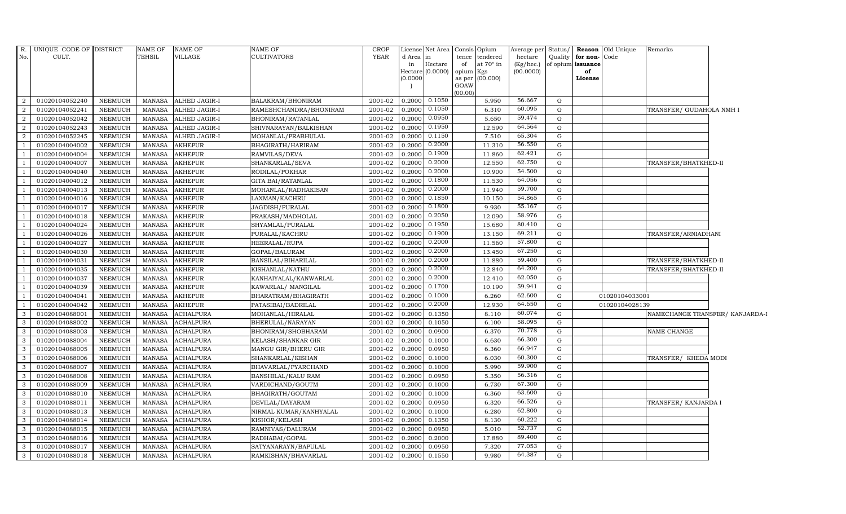|                          | R. UNIQUE CODE OF DISTRICT |                | <b>NAME OF</b> | NAME OF              | <b>NAME OF</b>            | <b>CROP</b>            |                     | License Net Area Consis Opium |           |                 | Average per Status/ |             |                   | <b>Reason</b> Old Unique | Remarks                         |  |
|--------------------------|----------------------------|----------------|----------------|----------------------|---------------------------|------------------------|---------------------|-------------------------------|-----------|-----------------|---------------------|-------------|-------------------|--------------------------|---------------------------------|--|
| No.                      | CULT.                      |                | TEHSIL         | VILLAGE              | <b>CULTIVATORS</b>        | <b>YEAR</b>            | d Area              | in                            | tence     | tendered        | hectare             | Quality     | for non-          | Code                     |                                 |  |
|                          |                            |                |                |                      |                           |                        | in                  | Hectare                       | of        | at 70° in       | (Kg/hec.)           |             | of opium issuance |                          |                                 |  |
|                          |                            |                |                |                      |                           |                        | Hectare<br>(0.0000) | (0.0000)                      | opium Kgs | as per (00.000) | (00.0000)           |             | of<br>License     |                          |                                 |  |
|                          |                            |                |                |                      |                           |                        |                     |                               | GOAW      |                 |                     |             |                   |                          |                                 |  |
|                          |                            |                |                |                      |                           |                        |                     |                               | (00.00)   |                 |                     |             |                   |                          |                                 |  |
| 2                        | 01020104052240             | <b>NEEMUCH</b> | MANASA         | <b>ALHED JAGIR-I</b> | BALAKRAM/BHONIRAM         | 2001-02                | 0.2000              | 0.1050                        |           | 5.950           | 56.667              | $\mathbf G$ |                   |                          |                                 |  |
| $\overline{2}$           | 01020104052241             | <b>NEEMUCH</b> | MANASA         | ALHED JAGIR-I        | RAMESHCHANDRA/BHONIRAM    | 2001-02                | 0.2000              | 0.1050                        |           | 6.310           | 60.095              | G           |                   |                          | TRANSFER/ GUDAHOLA NMH I        |  |
| $\overline{2}$           | 01020104052042             | <b>NEEMUCH</b> | <b>MANASA</b>  | ALHED JAGIR-I        | BHONIRAM/RATANLAL         | 2001-02                | 0.2000              | 0.0950                        |           | 5.650           | 59.474              | G           |                   |                          |                                 |  |
| $\overline{2}$           | 01020104052243             | <b>NEEMUCH</b> | <b>MANASA</b>  | ALHED JAGIR-I        | SHIVNARAYAN/BALKISHAN     | 2001-02                | 0.2000              | 0.1950                        |           | 12.590          | 64.564              | ${\rm G}$   |                   |                          |                                 |  |
| 2                        | 01020104052245             | <b>NEEMUCH</b> | <b>MANASA</b>  | <b>ALHED JAGIR-I</b> | MOHANLAL/PRABHULAL        | 2001-02                | 0.2000              | 0.1150                        |           | 7.510           | 65.304              | G           |                   |                          |                                 |  |
| $\overline{1}$           | 01020104004002             | <b>NEEMUCH</b> | <b>MANASA</b>  | <b>AKHEPUR</b>       | BHAGIRATH/HARIRAM         | 2001-02                | 0.2000              | 0.2000                        |           | 11.310          | 56.550              | ${\rm G}$   |                   |                          |                                 |  |
|                          | 01020104004004             | <b>NEEMUCH</b> | <b>MANASA</b>  | <b>AKHEPUR</b>       | RAMVILAS/DEVA             | 2001-02                | 0.2000              | 0.1900                        |           | 11.860          | 62.421              | G           |                   |                          |                                 |  |
|                          | 01020104004007             | <b>NEEMUCH</b> | <b>MANASA</b>  | <b>AKHEPUR</b>       | SHANKARLAL/SEVA           | 2001-02                | 0.2000              | 0.2000                        |           | 12.550          | 62.750              | ${\rm G}$   |                   |                          | TRANSFER/BHATKHED-II            |  |
|                          | 01020104004040             | <b>NEEMUCH</b> | <b>MANASA</b>  | <b>AKHEPUR</b>       | RODILAL/POKHAR            | 2001-02                | 0.2000              | 0.2000                        |           | 10.900          | 54.500              | ${\rm G}$   |                   |                          |                                 |  |
|                          | 01020104004012             | <b>NEEMUCH</b> | <b>MANASA</b>  | <b>AKHEPUR</b>       | <b>GITA BAI/RATANLAL</b>  | 2001-02                | 0.2000              | 0.1800                        |           | 11.530          | 64.056              | ${\rm G}$   |                   |                          |                                 |  |
|                          | 01020104004013             | <b>NEEMUCH</b> | <b>MANASA</b>  | <b>AKHEPUR</b>       | MOHANLAL/RADHAKISAN       | 2001-02                | 0.2000              | 0.2000                        |           | 11.940          | 59.700              | ${\rm G}$   |                   |                          |                                 |  |
|                          | 01020104004016             | <b>NEEMUCH</b> | <b>MANASA</b>  | <b>AKHEPUR</b>       | LAXMAN/KACHRU             | 2001-02                | 0.2000              | 0.1850                        |           | 10.150          | 54.865              | ${\rm G}$   |                   |                          |                                 |  |
|                          | 01020104004017             | <b>NEEMUCH</b> | <b>MANASA</b>  | <b>AKHEPUR</b>       | JAGDISH/PURALAL           | 2001-02                | 0.2000              | 0.1800                        |           | 9.930           | 55.167              | G           |                   |                          |                                 |  |
|                          | 01020104004018             | <b>NEEMUCH</b> | <b>MANASA</b>  | <b>AKHEPUR</b>       | PRAKASH/MADHOLAL          | 2001-02                | 0.2000              | 0.2050                        |           | 12.090          | 58.976              | $\mathbf G$ |                   |                          |                                 |  |
|                          | 01020104004024             | <b>NEEMUCH</b> | <b>MANASA</b>  | <b>AKHEPUR</b>       | SHYAMLAL/PURALAL          | 2001-02                | 0.2000              | 0.1950                        |           | 15.680          | 80.410              | ${\rm G}$   |                   |                          |                                 |  |
| $\overline{1}$           | 01020104004026             | <b>NEEMUCH</b> | MANASA         | <b>AKHEPUR</b>       | PURALAL/KACHRU            | 2001-02                | 0.2000              | 0.1900                        |           | 13.150          | 69.211              | G           |                   |                          | TRANSFER/ARNIADHANI             |  |
| $\overline{1}$           | 01020104004027             | <b>NEEMUCH</b> | <b>MANASA</b>  | <b>AKHEPUR</b>       | HEERALAL/RUPA             | 2001-02                | 0.2000              | 0.2000                        |           | 11.560          | 57.800              | G           |                   |                          |                                 |  |
| $\overline{1}$           | 01020104004030             | <b>NEEMUCH</b> | <b>MANASA</b>  | <b>AKHEPUR</b>       | GOPAL/BALURAM             | 2001-02                | 0.2000              | 0.2000                        |           | 13.450          | 67.250              | ${\rm G}$   |                   |                          |                                 |  |
|                          | 01020104004031             | <b>NEEMUCH</b> | <b>MANASA</b>  | <b>AKHEPUR</b>       | BANSILAL/BIHARILAL        | 2001-02                | 0.2000              | 0.2000                        |           | 11.880          | 59.400              | G           |                   |                          | TRANSFER/BHATKHED-II            |  |
|                          | 01020104004035             | <b>NEEMUCH</b> | <b>MANASA</b>  | <b>AKHEPUR</b>       | KISHANLAL/NATHU           | 2001-02                | 0.2000              | 0.2000                        |           | 12.840          | 64.200              | ${\rm G}$   |                   |                          | TRANSFER/BHATKHED-II            |  |
| $\overline{\phantom{0}}$ | 01020104004037             | <b>NEEMUCH</b> | <b>MANASA</b>  | <b>AKHEPUR</b>       | KANHAIYALAL/KANWARLAL     | 2001-02                | 0.2000              | 0.2000                        |           | 12.410          | 62.050              | $\mathbf G$ |                   |                          |                                 |  |
| $\overline{1}$           | 01020104004039             | <b>NEEMUCH</b> | <b>MANASA</b>  | <b>AKHEPUR</b>       | KAWARLAL/ MANGILAL        | 2001-02                | 0.2000              | 0.1700                        |           | 10.190          | 59.941              | ${\rm G}$   |                   |                          |                                 |  |
| $\overline{1}$           | 01020104004041             | <b>NEEMUCH</b> | <b>MANASA</b>  | <b>AKHEPUR</b>       | BHARATRAM/BHAGIRATH       | 2001-02                | 0.2000              | 0.1000                        |           | 6.260           | 62.600              | ${\rm G}$   |                   | 01020104033001           |                                 |  |
|                          | 01020104004042             | <b>NEEMUCH</b> | <b>MANASA</b>  | <b>AKHEPUR</b>       | PATASIBAI/BADRILAL        | 2001-02                | 0.2000              | 0.2000                        |           | 12.930          | 64.650              | G           |                   | 01020104028139           |                                 |  |
| 3                        | 01020104088001             | <b>NEEMUCH</b> | <b>MANASA</b>  | <b>ACHALPURA</b>     | MOHANLAL/HIRALAL          | 2001-02                | 0.2000              | 0.1350                        |           | 8.110           | 60.074              | G           |                   |                          | NAMECHANGE TRANSFER/ KANJARDA-I |  |
| $\mathbf{3}$             | 01020104088002             | <b>NEEMUCH</b> | <b>MANASA</b>  | <b>ACHALPURA</b>     | BHERULAL/NARAYAN          | 2001-02                | 0.2000              | 0.1050                        |           | 6.100           | 58.095              | G           |                   |                          |                                 |  |
| 3                        | 01020104088003             | <b>NEEMUCH</b> | <b>MANASA</b>  | <b>ACHALPURA</b>     | BHONIRAM/SHOBHARAM        | 2001-02                | 0.2000              | 0.0900                        |           | 6.370           | 70.778              | G           |                   |                          | NAME CHANGE                     |  |
| $\mathbf{3}$             | 01020104088004             | <b>NEEMUCH</b> | <b>MANASA</b>  | <b>ACHALPURA</b>     | KELASH/SHANKAR GIR        | $\overline{2001} - 02$ | 0.2000              | 0.1000                        |           | 6.630           | 66.300              | G           |                   |                          |                                 |  |
| 3                        | 01020104088005             | <b>NEEMUCH</b> | <b>MANASA</b>  | <b>ACHALPURA</b>     | MANGU GIR/BHERU GIR       | 2001-02                | 0.2000              | 0.0950                        |           | 6.360           | 66.947              | ${\rm G}$   |                   |                          |                                 |  |
| 3                        | 01020104088006             | <b>NEEMUCH</b> | <b>MANASA</b>  | <b>ACHALPURA</b>     | SHANKARLAL/KISHAN         | 2001-02                | 0.2000              | 0.1000                        |           | 6.030           | 60.300              | ${\rm G}$   |                   |                          | TRANSFER/ KHEDA MODI            |  |
| $\mathbf{3}$             | 01020104088007             | <b>NEEMUCH</b> | <b>MANASA</b>  | <b>ACHALPURA</b>     | BHAVARLAL/PYARCHAND       | 2001-02                | 0.2000              | 0.1000                        |           | 5.990           | 59.900              | G           |                   |                          |                                 |  |
| $\mathbf{3}$             | 01020104088008             | <b>NEEMUCH</b> | <b>MANASA</b>  | <b>ACHALPURA</b>     | <b>BANSHILAL/KALU RAM</b> | 2001-02                | 0.2000              | 0.0950                        |           | 5.350           | 56.316              | G           |                   |                          |                                 |  |
| $\mathbf{3}$             | 01020104088009             | <b>NEEMUCH</b> | <b>MANASA</b>  | <b>ACHALPURA</b>     | VARDICHAND/GOUTM          | 2001-02                | 0.2000              | 0.1000                        |           | 6.730           | 67.300              | G           |                   |                          |                                 |  |
| 3                        | 01020104088010             | <b>NEEMUCH</b> | <b>MANASA</b>  | <b>ACHALPURA</b>     | BHAGIRATH/GOUTAM          | 2001-02                | 0.2000              | 0.1000                        |           | 6.360           | 63.600              | ${\rm G}$   |                   |                          |                                 |  |
| 3                        | 01020104088011             | <b>NEEMUCH</b> | <b>MANASA</b>  | <b>ACHALPURA</b>     | DEVILAL/DAYARAM           | 2001-02                | 0.2000              | 0.0950                        |           | 6.320           | 66.526              | G           |                   |                          | TRANSFER/ KANJARDA I            |  |
| $\mathbf{3}$             | 01020104088013             | <b>NEEMUCH</b> | <b>MANASA</b>  | <b>ACHALPURA</b>     | NIRMAL KUMAR/KANHYALAL    | 2001-02                | 0.2000              | 0.1000                        |           | 6.280           | 62.800              | ${\rm G}$   |                   |                          |                                 |  |
| $\mathbf{3}$             | 01020104088014             | <b>NEEMUCH</b> | <b>MANASA</b>  | <b>ACHALPURA</b>     | KISHOR/KELASH             | 2001-02                | 0.2000              | 0.1350                        |           | 8.130           | 60.222              | ${\rm G}$   |                   |                          |                                 |  |
| $\mathbf{3}$             | 01020104088015             | <b>NEEMUCH</b> | <b>MANASA</b>  | <b>ACHALPURA</b>     | RAMNIVAS/DALURAM          | 2001-02                | 0.2000              | 0.0950                        |           | 5.010           | 52.737              | ${\rm G}$   |                   |                          |                                 |  |
| 3                        | 01020104088016             | <b>NEEMUCH</b> | <b>MANASA</b>  | <b>ACHALPURA</b>     | RADHABAI/GOPAL            | 2001-02                | 0.2000              | 0.2000                        |           | 17.880          | 89.400              | ${\rm G}$   |                   |                          |                                 |  |
| 3                        | 01020104088017             | <b>NEEMUCH</b> | <b>MANASA</b>  | <b>ACHALPURA</b>     | SATYANARAYN/BAPULAL       | 2001-02                | 0.2000              | 0.0950                        |           | 7.320           | 77.053              | G           |                   |                          |                                 |  |
| $\mathbf{3}$             | 01020104088018             | <b>NEEMUCH</b> | <b>MANASA</b>  | <b>ACHALPURA</b>     | RAMKISHAN/BHAVARLAL       | 2001-02                | 0.2000              | 0.1550                        |           | 9.980           | 64.387              | G           |                   |                          |                                 |  |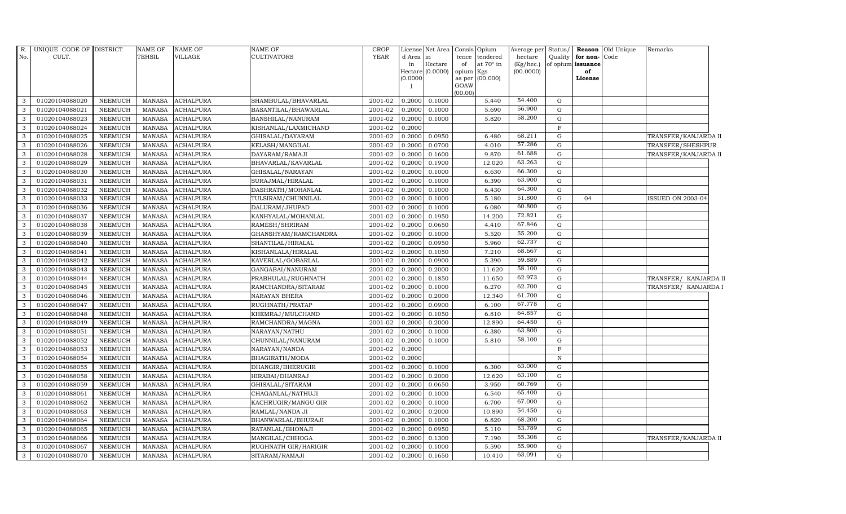| <b>YEAR</b><br>No.<br>CULT.<br>TEHSIL<br>VILLAGE<br>CULTIVATORS<br>Quality<br>for non-<br>Code<br>d Area<br>tence<br>tendered<br>hectare<br>in<br>of opium issuance<br>Hectare<br>at 70° in<br>(Kg/hec.)<br>of<br>in<br>Hectare $(0.0000)$<br>(00.0000)<br>opium Kgs<br>of<br>(0.0000)<br>(00.000)<br>as per<br>License<br>GOAW<br>(00.00)<br>54.400<br>01020104088020<br>0.2000<br>0.1000<br>5.440<br>G<br>-3<br>NEEMUCH<br>MANASA<br><b>ACHALPURA</b><br>SHAMBULAL/BHAVARLAL<br>2001-02<br>56.900<br>01020104088021<br>2001-02<br>5.690<br>G<br><b>NEEMUCH</b><br>MANASA<br><b>ACHALPURA</b><br>BASANTILAL/BHAWARLAL<br>0.2000<br>0.1000<br>-3<br>58.200<br>2001-02<br>3<br>01020104088023<br><b>NEEMUCH</b><br><b>MANASA</b><br><b>ACHALPURA</b><br>BANSHILAL/NANURAM<br>0.2000<br>0.1000<br>5.820<br>${\rm G}$<br>01020104088024<br><b>NEEMUCH</b><br><b>MANASA</b><br><b>ACHALPURA</b><br>2001-02<br>0.2000<br>F<br>3<br>KISHANLAL/LAXMICHAND<br>68.211<br>01020104088025<br>2001-02<br>0.0950<br>NEEMUCH<br><b>MANASA</b><br><b>ACHALPURA</b><br>GHISALAL/DAYARAM<br>0.2000<br>6.480<br>G<br>3<br>TRANSFER/KANJARDA II<br>57.286<br>$2001 - 02$<br>0.0700<br>G<br>3<br>01020104088026<br><b>NEEMUCH</b><br><b>MANASA</b><br><b>ACHALPURA</b><br>KELASH/MANGILAL<br>0.2000<br>4.010<br>TRANSFER/SHESHPUR<br>61.688<br>01020104088028<br>2001-02<br>$\mathbf{3}$<br><b>NEEMUCH</b><br><b>MANASA</b><br><b>ACHALPURA</b><br>0.1600<br>9.870<br>G<br>DAYARAM/RAMAJI<br>0.2000<br>TRANSFER/KANJARDA II<br>63.263<br>$\mathbf{3}$<br>01020104088029<br>2001-02<br>${\rm G}$<br><b>NEEMUCH</b><br><b>MANASA</b><br><b>ACHALPURA</b><br>BHAVARLAL/KAVARLAL<br>0.2000<br>0.1900<br>12.020<br>66.300<br>$\mathbf G$<br>01020104088030<br><b>NEEMUCH</b><br><b>MANASA</b><br><b>ACHALPURA</b><br>GHISALAL/NARAYAN<br>2001-02<br>0.2000<br>0.1000<br>6.630<br>3<br>63.900<br>01020104088031<br>2001-02<br>G<br>3<br><b>NEEMUCH</b><br><b>MANASA</b><br><b>ACHALPURA</b><br>SURAJMAL/HIRALAL<br>0.2000<br>0.1000<br>6.390<br>64.300<br>01020104088032<br><b>NEEMUCH</b><br><b>MANASA</b><br>2001-02<br>G<br>$\mathbf{3}$<br><b>ACHALPURA</b><br>DASHRATH/MOHANLAL<br>0.2000<br>0.1000<br>6.430<br>51.800<br>01020104088033<br><b>NEEMUCH</b><br>2001-02<br>$\mathbf G$<br>$\mathbf{3}$<br><b>MANASA</b><br><b>ACHALPURA</b><br>TULSIRAM/CHUNNILAL<br>0.2000<br>0.1000<br>5.180<br>04<br>ISSUED ON 2003-04<br>60.800<br>$\mathbf{3}$<br>01020104088036<br>2001-02<br><b>NEEMUCH</b><br>MANASA<br><b>ACHALPURA</b><br>DALURAM/JHUPAD<br>0.2000<br>0.1000<br>6.080<br>G<br>72.821<br>01020104088037<br><b>NEEMUCH</b><br><b>MANASA</b><br><b>ACHALPURA</b><br>KANHYALAL/MOHANLAL<br>0.1950<br>14.200<br>${\rm G}$<br>3<br>2001-02<br>0.2000<br>67.846<br>3<br>01020104088038<br><b>NEEMUCH</b><br><b>MANASA</b><br><b>ACHALPURA</b><br>RAMESH/SHRIRAM<br>2001-02<br>0.2000<br>0.0650<br>4.410<br>G<br>55.200<br>${\rm G}$<br>01020104088039<br><b>NEEMUCH</b><br><b>MANASA</b><br><b>ACHALPURA</b><br>2001-02<br>0.1000<br>5.520<br>3<br>GHANSHYAM/RAMCHANDRA<br>0.2000<br>62.737<br>01020104088040<br><b>NEEMUCH</b><br>2001-02<br>0.0950<br>G<br>3<br><b>MANASA</b><br><b>ACHALPURA</b><br>SHANTILAL/HIRALAL<br>0.2000<br>5.960<br>68.667<br>$\mathbf{3}$<br>01020104088041<br>NEEMUCH<br><b>MANASA</b><br><b>ACHALPURA</b><br>2001-02<br>0.2000<br>0.1050<br>7.210<br>${\rm G}$<br>KISHANLALA/HIRALAL<br>59.889<br>${\rm G}$<br>$\mathbf{3}$<br>01020104088042<br><b>NEEMUCH</b><br><b>MANASA</b><br><b>ACHALPURA</b><br>KAVERLAL/GOBARLAL<br>2001-02<br>0.2000<br>0.0900<br>5.390<br>58.100<br>01020104088043<br>${\rm G}$<br>3<br><b>NEEMUCH</b><br><b>MANASA</b><br><b>ACHALPURA</b><br>GANGABAI/NANURAM<br>2001-02<br>0.2000<br>0.2000<br>11.620<br>62.973<br>G<br>01020104088044<br>NEEMUCH<br>MANASA<br><b>ACHALPURA</b><br>2001-02<br>0.2000<br>0.1850<br>11.650<br>3<br>PRABHULAL/RUGHNATH<br>TRANSFER/ KANJARDA II<br>62.700<br>01020104088045<br><b>NEEMUCH</b><br><b>MANASA</b><br><b>ACHALPURA</b><br>RAMCHANDRA/SITARAM<br>2001-02<br>0.1000<br>6.270<br>G<br>$\mathbf{3}$<br>0.2000<br>TRANSFER/ KANJARDA I<br>01020104088046<br>2001-02<br>61.700<br>$\mathbf{3}$<br><b>NEEMUCH</b><br><b>MANASA</b><br><b>ACHALPURA</b><br>NARAYAN BHERA<br>0.2000<br>0.2000<br>12.340<br>${\rm G}$<br>67.778<br>$\mathbf G$<br>2001-02<br>0.0900<br>$\mathbf{3}$<br>01020104088047<br>NEEMUCH<br><b>MANASA</b><br><b>ACHALPURA</b><br>RUGHNATH/PRATAP<br>0.2000<br>6.100<br>64.857<br>3<br>01020104088048<br><b>NEEMUCH</b><br><b>MANASA</b><br><b>ACHALPURA</b><br>2001-02<br>0.1050<br>$\mathbf G$<br>KHEMRAJ/MULCHAND<br>0.2000<br>6.810<br>64.450<br>G<br>3<br>01020104088049<br><b>NEEMUCH</b><br><b>MANASA</b><br><b>ACHALPURA</b><br>2001-02<br>0.2000<br>0.2000<br>12.890<br>RAMCHANDRA/MAGNA<br>63.800<br>01020104088051<br>2001-02<br><b>NEEMUCH</b><br>MANASA<br><b>ACHALPURA</b><br>NARAYAN/NATHU<br>0.2000<br>0.1000<br>6.380<br>G<br>-3<br>58.100<br>$\mathbf{3}$<br>01020104088052<br><b>NEEMUCH</b><br>2001-02<br>${\rm G}$<br><b>MANASA</b><br><b>ACHALPURA</b><br>CHUNNILAL/NANURAM<br>0.2000<br>0.1000<br>5.810<br><b>NEEMUCH</b><br>2001-02<br>$\mathbf F$<br>01020104088053<br><b>MANASA</b><br><b>ACHALPURA</b><br>NARAYAN/NANDA<br>0.2000<br>3<br>-3<br>01020104088054<br><b>NEEMUCH</b><br><b>MANASA</b><br><b>ACHALPURA</b><br>BHAGIRATH/MODA<br>2001-02<br>0.2000<br>$\mathbf N$<br>63.000<br><b>NEEMUCH</b><br><b>MANASA</b><br>2001-02<br>0.2000<br>G<br>3<br>01020104088055<br><b>ACHALPURA</b><br>DHANGIR/BHERUGIR<br>0.1000<br>6.300<br>63.100<br>2001-02<br>0.2000<br>G<br>3<br>01020104088058<br><b>NEEMUCH</b><br><b>MANASA</b><br><b>ACHALPURA</b><br>HIRABAI/DHANRAJ<br>0.2000<br>12.620<br>60.769<br>$\mathbf{3}$<br>01020104088059<br><b>NEEMUCH</b><br><b>MANASA</b><br><b>ACHALPURA</b><br>GHISALAL/SITARAM<br>2001-02<br>0.2000<br>0.0650<br>3.950<br>G<br>65.400<br>01020104088061<br><b>NEEMUCH</b><br>2001-02<br>0.1000<br>${\rm G}$<br><b>MANASA</b><br><b>ACHALPURA</b><br>CHAGANLAL/NATHUJI<br>0.2000<br>6.540<br>-3<br>67.000<br>3<br>01020104088062<br><b>NEEMUCH</b><br><b>MANASA</b><br><b>ACHALPURA</b><br>KACHRUGIR/MANGU GIR<br>2001-02<br>0.2000<br>0.1000<br>6.700<br>$\mathbf G$<br>54.450<br>$\mathbf G$<br>3<br>01020104088063<br><b>NEEMUCH</b><br><b>MANASA</b><br><b>ACHALPURA</b><br>2001-02<br>0.2000<br>0.2000<br>10.890<br>RAMLAL/NANDA JI<br>68.200<br>3<br>01020104088064<br><b>NEEMUCH</b><br><b>MANASA</b><br><b>ACHALPURA</b><br>BHANWARLAL/BHURAJI<br>2001-02<br>0.2000<br>0.1000<br>6.820<br>G<br>53.789<br>G<br>3<br>01020104088065<br>NEEMUCH<br><b>MANASA</b><br><b>ACHALPURA</b><br>RATANLAL/BHONAJI<br>2001-02<br>0.2000<br>0.0950<br>5.110<br>55.308<br>3<br>01020104088066<br><b>NEEMUCH</b><br>MANGILAL/CHHOGA<br>2001-02<br>0.1300<br>7.190<br>G<br><b>MANASA</b><br><b>ACHALPURA</b><br>0.2000<br>TRANSFER/KANJARDA II<br>55.900<br>3<br>01020104088067<br><b>NEEMUCH</b><br><b>MANASA</b><br><b>ACHALPURA</b><br>RUGHNATH GIR/HARIGIR<br>2001-02<br>0.2000<br>0.1000<br>5.590<br>$\mathbf G$<br>63.091<br>$\mathbf G$<br>01020104088070<br><b>NEEMUCH</b><br>MANASA<br>2001-02<br>0.1650<br>10.410<br>3 | R. | UNIQUE CODE OF DISTRICT | NAME OF | <b>NAME OF</b>   | NAME OF        | <b>CROP</b> |        | License Net Area | Consis Opium | Average per Status/ |  | Reason Old Unique | Remarks |  |
|---------------------------------------------------------------------------------------------------------------------------------------------------------------------------------------------------------------------------------------------------------------------------------------------------------------------------------------------------------------------------------------------------------------------------------------------------------------------------------------------------------------------------------------------------------------------------------------------------------------------------------------------------------------------------------------------------------------------------------------------------------------------------------------------------------------------------------------------------------------------------------------------------------------------------------------------------------------------------------------------------------------------------------------------------------------------------------------------------------------------------------------------------------------------------------------------------------------------------------------------------------------------------------------------------------------------------------------------------------------------------------------------------------------------------------------------------------------------------------------------------------------------------------------------------------------------------------------------------------------------------------------------------------------------------------------------------------------------------------------------------------------------------------------------------------------------------------------------------------------------------------------------------------------------------------------------------------------------------------------------------------------------------------------------------------------------------------------------------------------------------------------------------------------------------------------------------------------------------------------------------------------------------------------------------------------------------------------------------------------------------------------------------------------------------------------------------------------------------------------------------------------------------------------------------------------------------------------------------------------------------------------------------------------------------------------------------------------------------------------------------------------------------------------------------------------------------------------------------------------------------------------------------------------------------------------------------------------------------------------------------------------------------------------------------------------------------------------------------------------------------------------------------------------------------------------------------------------------------------------------------------------------------------------------------------------------------------------------------------------------------------------------------------------------------------------------------------------------------------------------------------------------------------------------------------------------------------------------------------------------------------------------------------------------------------------------------------------------------------------------------------------------------------------------------------------------------------------------------------------------------------------------------------------------------------------------------------------------------------------------------------------------------------------------------------------------------------------------------------------------------------------------------------------------------------------------------------------------------------------------------------------------------------------------------------------------------------------------------------------------------------------------------------------------------------------------------------------------------------------------------------------------------------------------------------------------------------------------------------------------------------------------------------------------------------------------------------------------------------------------------------------------------------------------------------------------------------------------------------------------------------------------------------------------------------------------------------------------------------------------------------------------------------------------------------------------------------------------------------------------------------------------------------------------------------------------------------------------------------------------------------------------------------------------------------------------------------------------------------------------------------------------------------------------------------------------------------------------------------------------------------------------------------------------------------------------------------------------------------------------------------------------------------------------------------------------------------------------------------------------------------------------------------------------------------------------------------------------------------------------------------------------------------------------------------------------------------------------------------------------------------------------------------------------------------------------------------------------------------------------------------------------------------------------------------------------------------------------------------------------------------------------------------------------------------------------------------------------------------------------------------------------------------------------------------------------------------------------------------------------------------------------------------------------------------------------------------------------------------------------------------------------------------------------------------------------------------------------------------------------------------------------------------------------------------------------------------------------------------------------------------------------------------------------------------------------------------------------------------------------------------------------------------------------------------------------------------------------------------------------------------------------------------------------------------------|----|-------------------------|---------|------------------|----------------|-------------|--------|------------------|--------------|---------------------|--|-------------------|---------|--|
|                                                                                                                                                                                                                                                                                                                                                                                                                                                                                                                                                                                                                                                                                                                                                                                                                                                                                                                                                                                                                                                                                                                                                                                                                                                                                                                                                                                                                                                                                                                                                                                                                                                                                                                                                                                                                                                                                                                                                                                                                                                                                                                                                                                                                                                                                                                                                                                                                                                                                                                                                                                                                                                                                                                                                                                                                                                                                                                                                                                                                                                                                                                                                                                                                                                                                                                                                                                                                                                                                                                                                                                                                                                                                                                                                                                                                                                                                                                                                                                                                                                                                                                                                                                                                                                                                                                                                                                                                                                                                                                                                                                                                                                                                                                                                                                                                                                                                                                                                                                                                                                                                                                                                                                                                                                                                                                                                                                                                                                                                                                                                                                                                                                                                                                                                                                                                                                                                                                                                                                                                                                                                                                                                                                                                                                                                                                                                                                                                                                                                                                                                                                                                                                                                                                                                                                                                                                                                                                                                                                                                                                                                                                                                                                       |    |                         |         |                  |                |             |        |                  |              |                     |  |                   |         |  |
|                                                                                                                                                                                                                                                                                                                                                                                                                                                                                                                                                                                                                                                                                                                                                                                                                                                                                                                                                                                                                                                                                                                                                                                                                                                                                                                                                                                                                                                                                                                                                                                                                                                                                                                                                                                                                                                                                                                                                                                                                                                                                                                                                                                                                                                                                                                                                                                                                                                                                                                                                                                                                                                                                                                                                                                                                                                                                                                                                                                                                                                                                                                                                                                                                                                                                                                                                                                                                                                                                                                                                                                                                                                                                                                                                                                                                                                                                                                                                                                                                                                                                                                                                                                                                                                                                                                                                                                                                                                                                                                                                                                                                                                                                                                                                                                                                                                                                                                                                                                                                                                                                                                                                                                                                                                                                                                                                                                                                                                                                                                                                                                                                                                                                                                                                                                                                                                                                                                                                                                                                                                                                                                                                                                                                                                                                                                                                                                                                                                                                                                                                                                                                                                                                                                                                                                                                                                                                                                                                                                                                                                                                                                                                                                       |    |                         |         |                  |                |             |        |                  |              |                     |  |                   |         |  |
|                                                                                                                                                                                                                                                                                                                                                                                                                                                                                                                                                                                                                                                                                                                                                                                                                                                                                                                                                                                                                                                                                                                                                                                                                                                                                                                                                                                                                                                                                                                                                                                                                                                                                                                                                                                                                                                                                                                                                                                                                                                                                                                                                                                                                                                                                                                                                                                                                                                                                                                                                                                                                                                                                                                                                                                                                                                                                                                                                                                                                                                                                                                                                                                                                                                                                                                                                                                                                                                                                                                                                                                                                                                                                                                                                                                                                                                                                                                                                                                                                                                                                                                                                                                                                                                                                                                                                                                                                                                                                                                                                                                                                                                                                                                                                                                                                                                                                                                                                                                                                                                                                                                                                                                                                                                                                                                                                                                                                                                                                                                                                                                                                                                                                                                                                                                                                                                                                                                                                                                                                                                                                                                                                                                                                                                                                                                                                                                                                                                                                                                                                                                                                                                                                                                                                                                                                                                                                                                                                                                                                                                                                                                                                                                       |    |                         |         |                  |                |             |        |                  |              |                     |  |                   |         |  |
|                                                                                                                                                                                                                                                                                                                                                                                                                                                                                                                                                                                                                                                                                                                                                                                                                                                                                                                                                                                                                                                                                                                                                                                                                                                                                                                                                                                                                                                                                                                                                                                                                                                                                                                                                                                                                                                                                                                                                                                                                                                                                                                                                                                                                                                                                                                                                                                                                                                                                                                                                                                                                                                                                                                                                                                                                                                                                                                                                                                                                                                                                                                                                                                                                                                                                                                                                                                                                                                                                                                                                                                                                                                                                                                                                                                                                                                                                                                                                                                                                                                                                                                                                                                                                                                                                                                                                                                                                                                                                                                                                                                                                                                                                                                                                                                                                                                                                                                                                                                                                                                                                                                                                                                                                                                                                                                                                                                                                                                                                                                                                                                                                                                                                                                                                                                                                                                                                                                                                                                                                                                                                                                                                                                                                                                                                                                                                                                                                                                                                                                                                                                                                                                                                                                                                                                                                                                                                                                                                                                                                                                                                                                                                                                       |    |                         |         |                  |                |             |        |                  |              |                     |  |                   |         |  |
|                                                                                                                                                                                                                                                                                                                                                                                                                                                                                                                                                                                                                                                                                                                                                                                                                                                                                                                                                                                                                                                                                                                                                                                                                                                                                                                                                                                                                                                                                                                                                                                                                                                                                                                                                                                                                                                                                                                                                                                                                                                                                                                                                                                                                                                                                                                                                                                                                                                                                                                                                                                                                                                                                                                                                                                                                                                                                                                                                                                                                                                                                                                                                                                                                                                                                                                                                                                                                                                                                                                                                                                                                                                                                                                                                                                                                                                                                                                                                                                                                                                                                                                                                                                                                                                                                                                                                                                                                                                                                                                                                                                                                                                                                                                                                                                                                                                                                                                                                                                                                                                                                                                                                                                                                                                                                                                                                                                                                                                                                                                                                                                                                                                                                                                                                                                                                                                                                                                                                                                                                                                                                                                                                                                                                                                                                                                                                                                                                                                                                                                                                                                                                                                                                                                                                                                                                                                                                                                                                                                                                                                                                                                                                                                       |    |                         |         |                  |                |             |        |                  |              |                     |  |                   |         |  |
|                                                                                                                                                                                                                                                                                                                                                                                                                                                                                                                                                                                                                                                                                                                                                                                                                                                                                                                                                                                                                                                                                                                                                                                                                                                                                                                                                                                                                                                                                                                                                                                                                                                                                                                                                                                                                                                                                                                                                                                                                                                                                                                                                                                                                                                                                                                                                                                                                                                                                                                                                                                                                                                                                                                                                                                                                                                                                                                                                                                                                                                                                                                                                                                                                                                                                                                                                                                                                                                                                                                                                                                                                                                                                                                                                                                                                                                                                                                                                                                                                                                                                                                                                                                                                                                                                                                                                                                                                                                                                                                                                                                                                                                                                                                                                                                                                                                                                                                                                                                                                                                                                                                                                                                                                                                                                                                                                                                                                                                                                                                                                                                                                                                                                                                                                                                                                                                                                                                                                                                                                                                                                                                                                                                                                                                                                                                                                                                                                                                                                                                                                                                                                                                                                                                                                                                                                                                                                                                                                                                                                                                                                                                                                                                       |    |                         |         |                  |                |             |        |                  |              |                     |  |                   |         |  |
|                                                                                                                                                                                                                                                                                                                                                                                                                                                                                                                                                                                                                                                                                                                                                                                                                                                                                                                                                                                                                                                                                                                                                                                                                                                                                                                                                                                                                                                                                                                                                                                                                                                                                                                                                                                                                                                                                                                                                                                                                                                                                                                                                                                                                                                                                                                                                                                                                                                                                                                                                                                                                                                                                                                                                                                                                                                                                                                                                                                                                                                                                                                                                                                                                                                                                                                                                                                                                                                                                                                                                                                                                                                                                                                                                                                                                                                                                                                                                                                                                                                                                                                                                                                                                                                                                                                                                                                                                                                                                                                                                                                                                                                                                                                                                                                                                                                                                                                                                                                                                                                                                                                                                                                                                                                                                                                                                                                                                                                                                                                                                                                                                                                                                                                                                                                                                                                                                                                                                                                                                                                                                                                                                                                                                                                                                                                                                                                                                                                                                                                                                                                                                                                                                                                                                                                                                                                                                                                                                                                                                                                                                                                                                                                       |    |                         |         |                  |                |             |        |                  |              |                     |  |                   |         |  |
|                                                                                                                                                                                                                                                                                                                                                                                                                                                                                                                                                                                                                                                                                                                                                                                                                                                                                                                                                                                                                                                                                                                                                                                                                                                                                                                                                                                                                                                                                                                                                                                                                                                                                                                                                                                                                                                                                                                                                                                                                                                                                                                                                                                                                                                                                                                                                                                                                                                                                                                                                                                                                                                                                                                                                                                                                                                                                                                                                                                                                                                                                                                                                                                                                                                                                                                                                                                                                                                                                                                                                                                                                                                                                                                                                                                                                                                                                                                                                                                                                                                                                                                                                                                                                                                                                                                                                                                                                                                                                                                                                                                                                                                                                                                                                                                                                                                                                                                                                                                                                                                                                                                                                                                                                                                                                                                                                                                                                                                                                                                                                                                                                                                                                                                                                                                                                                                                                                                                                                                                                                                                                                                                                                                                                                                                                                                                                                                                                                                                                                                                                                                                                                                                                                                                                                                                                                                                                                                                                                                                                                                                                                                                                                                       |    |                         |         |                  |                |             |        |                  |              |                     |  |                   |         |  |
|                                                                                                                                                                                                                                                                                                                                                                                                                                                                                                                                                                                                                                                                                                                                                                                                                                                                                                                                                                                                                                                                                                                                                                                                                                                                                                                                                                                                                                                                                                                                                                                                                                                                                                                                                                                                                                                                                                                                                                                                                                                                                                                                                                                                                                                                                                                                                                                                                                                                                                                                                                                                                                                                                                                                                                                                                                                                                                                                                                                                                                                                                                                                                                                                                                                                                                                                                                                                                                                                                                                                                                                                                                                                                                                                                                                                                                                                                                                                                                                                                                                                                                                                                                                                                                                                                                                                                                                                                                                                                                                                                                                                                                                                                                                                                                                                                                                                                                                                                                                                                                                                                                                                                                                                                                                                                                                                                                                                                                                                                                                                                                                                                                                                                                                                                                                                                                                                                                                                                                                                                                                                                                                                                                                                                                                                                                                                                                                                                                                                                                                                                                                                                                                                                                                                                                                                                                                                                                                                                                                                                                                                                                                                                                                       |    |                         |         |                  |                |             |        |                  |              |                     |  |                   |         |  |
|                                                                                                                                                                                                                                                                                                                                                                                                                                                                                                                                                                                                                                                                                                                                                                                                                                                                                                                                                                                                                                                                                                                                                                                                                                                                                                                                                                                                                                                                                                                                                                                                                                                                                                                                                                                                                                                                                                                                                                                                                                                                                                                                                                                                                                                                                                                                                                                                                                                                                                                                                                                                                                                                                                                                                                                                                                                                                                                                                                                                                                                                                                                                                                                                                                                                                                                                                                                                                                                                                                                                                                                                                                                                                                                                                                                                                                                                                                                                                                                                                                                                                                                                                                                                                                                                                                                                                                                                                                                                                                                                                                                                                                                                                                                                                                                                                                                                                                                                                                                                                                                                                                                                                                                                                                                                                                                                                                                                                                                                                                                                                                                                                                                                                                                                                                                                                                                                                                                                                                                                                                                                                                                                                                                                                                                                                                                                                                                                                                                                                                                                                                                                                                                                                                                                                                                                                                                                                                                                                                                                                                                                                                                                                                                       |    |                         |         |                  |                |             |        |                  |              |                     |  |                   |         |  |
|                                                                                                                                                                                                                                                                                                                                                                                                                                                                                                                                                                                                                                                                                                                                                                                                                                                                                                                                                                                                                                                                                                                                                                                                                                                                                                                                                                                                                                                                                                                                                                                                                                                                                                                                                                                                                                                                                                                                                                                                                                                                                                                                                                                                                                                                                                                                                                                                                                                                                                                                                                                                                                                                                                                                                                                                                                                                                                                                                                                                                                                                                                                                                                                                                                                                                                                                                                                                                                                                                                                                                                                                                                                                                                                                                                                                                                                                                                                                                                                                                                                                                                                                                                                                                                                                                                                                                                                                                                                                                                                                                                                                                                                                                                                                                                                                                                                                                                                                                                                                                                                                                                                                                                                                                                                                                                                                                                                                                                                                                                                                                                                                                                                                                                                                                                                                                                                                                                                                                                                                                                                                                                                                                                                                                                                                                                                                                                                                                                                                                                                                                                                                                                                                                                                                                                                                                                                                                                                                                                                                                                                                                                                                                                                       |    |                         |         |                  |                |             |        |                  |              |                     |  |                   |         |  |
|                                                                                                                                                                                                                                                                                                                                                                                                                                                                                                                                                                                                                                                                                                                                                                                                                                                                                                                                                                                                                                                                                                                                                                                                                                                                                                                                                                                                                                                                                                                                                                                                                                                                                                                                                                                                                                                                                                                                                                                                                                                                                                                                                                                                                                                                                                                                                                                                                                                                                                                                                                                                                                                                                                                                                                                                                                                                                                                                                                                                                                                                                                                                                                                                                                                                                                                                                                                                                                                                                                                                                                                                                                                                                                                                                                                                                                                                                                                                                                                                                                                                                                                                                                                                                                                                                                                                                                                                                                                                                                                                                                                                                                                                                                                                                                                                                                                                                                                                                                                                                                                                                                                                                                                                                                                                                                                                                                                                                                                                                                                                                                                                                                                                                                                                                                                                                                                                                                                                                                                                                                                                                                                                                                                                                                                                                                                                                                                                                                                                                                                                                                                                                                                                                                                                                                                                                                                                                                                                                                                                                                                                                                                                                                                       |    |                         |         |                  |                |             |        |                  |              |                     |  |                   |         |  |
|                                                                                                                                                                                                                                                                                                                                                                                                                                                                                                                                                                                                                                                                                                                                                                                                                                                                                                                                                                                                                                                                                                                                                                                                                                                                                                                                                                                                                                                                                                                                                                                                                                                                                                                                                                                                                                                                                                                                                                                                                                                                                                                                                                                                                                                                                                                                                                                                                                                                                                                                                                                                                                                                                                                                                                                                                                                                                                                                                                                                                                                                                                                                                                                                                                                                                                                                                                                                                                                                                                                                                                                                                                                                                                                                                                                                                                                                                                                                                                                                                                                                                                                                                                                                                                                                                                                                                                                                                                                                                                                                                                                                                                                                                                                                                                                                                                                                                                                                                                                                                                                                                                                                                                                                                                                                                                                                                                                                                                                                                                                                                                                                                                                                                                                                                                                                                                                                                                                                                                                                                                                                                                                                                                                                                                                                                                                                                                                                                                                                                                                                                                                                                                                                                                                                                                                                                                                                                                                                                                                                                                                                                                                                                                                       |    |                         |         |                  |                |             |        |                  |              |                     |  |                   |         |  |
|                                                                                                                                                                                                                                                                                                                                                                                                                                                                                                                                                                                                                                                                                                                                                                                                                                                                                                                                                                                                                                                                                                                                                                                                                                                                                                                                                                                                                                                                                                                                                                                                                                                                                                                                                                                                                                                                                                                                                                                                                                                                                                                                                                                                                                                                                                                                                                                                                                                                                                                                                                                                                                                                                                                                                                                                                                                                                                                                                                                                                                                                                                                                                                                                                                                                                                                                                                                                                                                                                                                                                                                                                                                                                                                                                                                                                                                                                                                                                                                                                                                                                                                                                                                                                                                                                                                                                                                                                                                                                                                                                                                                                                                                                                                                                                                                                                                                                                                                                                                                                                                                                                                                                                                                                                                                                                                                                                                                                                                                                                                                                                                                                                                                                                                                                                                                                                                                                                                                                                                                                                                                                                                                                                                                                                                                                                                                                                                                                                                                                                                                                                                                                                                                                                                                                                                                                                                                                                                                                                                                                                                                                                                                                                                       |    |                         |         |                  |                |             |        |                  |              |                     |  |                   |         |  |
|                                                                                                                                                                                                                                                                                                                                                                                                                                                                                                                                                                                                                                                                                                                                                                                                                                                                                                                                                                                                                                                                                                                                                                                                                                                                                                                                                                                                                                                                                                                                                                                                                                                                                                                                                                                                                                                                                                                                                                                                                                                                                                                                                                                                                                                                                                                                                                                                                                                                                                                                                                                                                                                                                                                                                                                                                                                                                                                                                                                                                                                                                                                                                                                                                                                                                                                                                                                                                                                                                                                                                                                                                                                                                                                                                                                                                                                                                                                                                                                                                                                                                                                                                                                                                                                                                                                                                                                                                                                                                                                                                                                                                                                                                                                                                                                                                                                                                                                                                                                                                                                                                                                                                                                                                                                                                                                                                                                                                                                                                                                                                                                                                                                                                                                                                                                                                                                                                                                                                                                                                                                                                                                                                                                                                                                                                                                                                                                                                                                                                                                                                                                                                                                                                                                                                                                                                                                                                                                                                                                                                                                                                                                                                                                       |    |                         |         |                  |                |             |        |                  |              |                     |  |                   |         |  |
|                                                                                                                                                                                                                                                                                                                                                                                                                                                                                                                                                                                                                                                                                                                                                                                                                                                                                                                                                                                                                                                                                                                                                                                                                                                                                                                                                                                                                                                                                                                                                                                                                                                                                                                                                                                                                                                                                                                                                                                                                                                                                                                                                                                                                                                                                                                                                                                                                                                                                                                                                                                                                                                                                                                                                                                                                                                                                                                                                                                                                                                                                                                                                                                                                                                                                                                                                                                                                                                                                                                                                                                                                                                                                                                                                                                                                                                                                                                                                                                                                                                                                                                                                                                                                                                                                                                                                                                                                                                                                                                                                                                                                                                                                                                                                                                                                                                                                                                                                                                                                                                                                                                                                                                                                                                                                                                                                                                                                                                                                                                                                                                                                                                                                                                                                                                                                                                                                                                                                                                                                                                                                                                                                                                                                                                                                                                                                                                                                                                                                                                                                                                                                                                                                                                                                                                                                                                                                                                                                                                                                                                                                                                                                                                       |    |                         |         |                  |                |             |        |                  |              |                     |  |                   |         |  |
|                                                                                                                                                                                                                                                                                                                                                                                                                                                                                                                                                                                                                                                                                                                                                                                                                                                                                                                                                                                                                                                                                                                                                                                                                                                                                                                                                                                                                                                                                                                                                                                                                                                                                                                                                                                                                                                                                                                                                                                                                                                                                                                                                                                                                                                                                                                                                                                                                                                                                                                                                                                                                                                                                                                                                                                                                                                                                                                                                                                                                                                                                                                                                                                                                                                                                                                                                                                                                                                                                                                                                                                                                                                                                                                                                                                                                                                                                                                                                                                                                                                                                                                                                                                                                                                                                                                                                                                                                                                                                                                                                                                                                                                                                                                                                                                                                                                                                                                                                                                                                                                                                                                                                                                                                                                                                                                                                                                                                                                                                                                                                                                                                                                                                                                                                                                                                                                                                                                                                                                                                                                                                                                                                                                                                                                                                                                                                                                                                                                                                                                                                                                                                                                                                                                                                                                                                                                                                                                                                                                                                                                                                                                                                                                       |    |                         |         |                  |                |             |        |                  |              |                     |  |                   |         |  |
|                                                                                                                                                                                                                                                                                                                                                                                                                                                                                                                                                                                                                                                                                                                                                                                                                                                                                                                                                                                                                                                                                                                                                                                                                                                                                                                                                                                                                                                                                                                                                                                                                                                                                                                                                                                                                                                                                                                                                                                                                                                                                                                                                                                                                                                                                                                                                                                                                                                                                                                                                                                                                                                                                                                                                                                                                                                                                                                                                                                                                                                                                                                                                                                                                                                                                                                                                                                                                                                                                                                                                                                                                                                                                                                                                                                                                                                                                                                                                                                                                                                                                                                                                                                                                                                                                                                                                                                                                                                                                                                                                                                                                                                                                                                                                                                                                                                                                                                                                                                                                                                                                                                                                                                                                                                                                                                                                                                                                                                                                                                                                                                                                                                                                                                                                                                                                                                                                                                                                                                                                                                                                                                                                                                                                                                                                                                                                                                                                                                                                                                                                                                                                                                                                                                                                                                                                                                                                                                                                                                                                                                                                                                                                                                       |    |                         |         |                  |                |             |        |                  |              |                     |  |                   |         |  |
|                                                                                                                                                                                                                                                                                                                                                                                                                                                                                                                                                                                                                                                                                                                                                                                                                                                                                                                                                                                                                                                                                                                                                                                                                                                                                                                                                                                                                                                                                                                                                                                                                                                                                                                                                                                                                                                                                                                                                                                                                                                                                                                                                                                                                                                                                                                                                                                                                                                                                                                                                                                                                                                                                                                                                                                                                                                                                                                                                                                                                                                                                                                                                                                                                                                                                                                                                                                                                                                                                                                                                                                                                                                                                                                                                                                                                                                                                                                                                                                                                                                                                                                                                                                                                                                                                                                                                                                                                                                                                                                                                                                                                                                                                                                                                                                                                                                                                                                                                                                                                                                                                                                                                                                                                                                                                                                                                                                                                                                                                                                                                                                                                                                                                                                                                                                                                                                                                                                                                                                                                                                                                                                                                                                                                                                                                                                                                                                                                                                                                                                                                                                                                                                                                                                                                                                                                                                                                                                                                                                                                                                                                                                                                                                       |    |                         |         |                  |                |             |        |                  |              |                     |  |                   |         |  |
|                                                                                                                                                                                                                                                                                                                                                                                                                                                                                                                                                                                                                                                                                                                                                                                                                                                                                                                                                                                                                                                                                                                                                                                                                                                                                                                                                                                                                                                                                                                                                                                                                                                                                                                                                                                                                                                                                                                                                                                                                                                                                                                                                                                                                                                                                                                                                                                                                                                                                                                                                                                                                                                                                                                                                                                                                                                                                                                                                                                                                                                                                                                                                                                                                                                                                                                                                                                                                                                                                                                                                                                                                                                                                                                                                                                                                                                                                                                                                                                                                                                                                                                                                                                                                                                                                                                                                                                                                                                                                                                                                                                                                                                                                                                                                                                                                                                                                                                                                                                                                                                                                                                                                                                                                                                                                                                                                                                                                                                                                                                                                                                                                                                                                                                                                                                                                                                                                                                                                                                                                                                                                                                                                                                                                                                                                                                                                                                                                                                                                                                                                                                                                                                                                                                                                                                                                                                                                                                                                                                                                                                                                                                                                                                       |    |                         |         |                  |                |             |        |                  |              |                     |  |                   |         |  |
|                                                                                                                                                                                                                                                                                                                                                                                                                                                                                                                                                                                                                                                                                                                                                                                                                                                                                                                                                                                                                                                                                                                                                                                                                                                                                                                                                                                                                                                                                                                                                                                                                                                                                                                                                                                                                                                                                                                                                                                                                                                                                                                                                                                                                                                                                                                                                                                                                                                                                                                                                                                                                                                                                                                                                                                                                                                                                                                                                                                                                                                                                                                                                                                                                                                                                                                                                                                                                                                                                                                                                                                                                                                                                                                                                                                                                                                                                                                                                                                                                                                                                                                                                                                                                                                                                                                                                                                                                                                                                                                                                                                                                                                                                                                                                                                                                                                                                                                                                                                                                                                                                                                                                                                                                                                                                                                                                                                                                                                                                                                                                                                                                                                                                                                                                                                                                                                                                                                                                                                                                                                                                                                                                                                                                                                                                                                                                                                                                                                                                                                                                                                                                                                                                                                                                                                                                                                                                                                                                                                                                                                                                                                                                                                       |    |                         |         |                  |                |             |        |                  |              |                     |  |                   |         |  |
|                                                                                                                                                                                                                                                                                                                                                                                                                                                                                                                                                                                                                                                                                                                                                                                                                                                                                                                                                                                                                                                                                                                                                                                                                                                                                                                                                                                                                                                                                                                                                                                                                                                                                                                                                                                                                                                                                                                                                                                                                                                                                                                                                                                                                                                                                                                                                                                                                                                                                                                                                                                                                                                                                                                                                                                                                                                                                                                                                                                                                                                                                                                                                                                                                                                                                                                                                                                                                                                                                                                                                                                                                                                                                                                                                                                                                                                                                                                                                                                                                                                                                                                                                                                                                                                                                                                                                                                                                                                                                                                                                                                                                                                                                                                                                                                                                                                                                                                                                                                                                                                                                                                                                                                                                                                                                                                                                                                                                                                                                                                                                                                                                                                                                                                                                                                                                                                                                                                                                                                                                                                                                                                                                                                                                                                                                                                                                                                                                                                                                                                                                                                                                                                                                                                                                                                                                                                                                                                                                                                                                                                                                                                                                                                       |    |                         |         |                  |                |             |        |                  |              |                     |  |                   |         |  |
|                                                                                                                                                                                                                                                                                                                                                                                                                                                                                                                                                                                                                                                                                                                                                                                                                                                                                                                                                                                                                                                                                                                                                                                                                                                                                                                                                                                                                                                                                                                                                                                                                                                                                                                                                                                                                                                                                                                                                                                                                                                                                                                                                                                                                                                                                                                                                                                                                                                                                                                                                                                                                                                                                                                                                                                                                                                                                                                                                                                                                                                                                                                                                                                                                                                                                                                                                                                                                                                                                                                                                                                                                                                                                                                                                                                                                                                                                                                                                                                                                                                                                                                                                                                                                                                                                                                                                                                                                                                                                                                                                                                                                                                                                                                                                                                                                                                                                                                                                                                                                                                                                                                                                                                                                                                                                                                                                                                                                                                                                                                                                                                                                                                                                                                                                                                                                                                                                                                                                                                                                                                                                                                                                                                                                                                                                                                                                                                                                                                                                                                                                                                                                                                                                                                                                                                                                                                                                                                                                                                                                                                                                                                                                                                       |    |                         |         |                  |                |             |        |                  |              |                     |  |                   |         |  |
|                                                                                                                                                                                                                                                                                                                                                                                                                                                                                                                                                                                                                                                                                                                                                                                                                                                                                                                                                                                                                                                                                                                                                                                                                                                                                                                                                                                                                                                                                                                                                                                                                                                                                                                                                                                                                                                                                                                                                                                                                                                                                                                                                                                                                                                                                                                                                                                                                                                                                                                                                                                                                                                                                                                                                                                                                                                                                                                                                                                                                                                                                                                                                                                                                                                                                                                                                                                                                                                                                                                                                                                                                                                                                                                                                                                                                                                                                                                                                                                                                                                                                                                                                                                                                                                                                                                                                                                                                                                                                                                                                                                                                                                                                                                                                                                                                                                                                                                                                                                                                                                                                                                                                                                                                                                                                                                                                                                                                                                                                                                                                                                                                                                                                                                                                                                                                                                                                                                                                                                                                                                                                                                                                                                                                                                                                                                                                                                                                                                                                                                                                                                                                                                                                                                                                                                                                                                                                                                                                                                                                                                                                                                                                                                       |    |                         |         |                  |                |             |        |                  |              |                     |  |                   |         |  |
|                                                                                                                                                                                                                                                                                                                                                                                                                                                                                                                                                                                                                                                                                                                                                                                                                                                                                                                                                                                                                                                                                                                                                                                                                                                                                                                                                                                                                                                                                                                                                                                                                                                                                                                                                                                                                                                                                                                                                                                                                                                                                                                                                                                                                                                                                                                                                                                                                                                                                                                                                                                                                                                                                                                                                                                                                                                                                                                                                                                                                                                                                                                                                                                                                                                                                                                                                                                                                                                                                                                                                                                                                                                                                                                                                                                                                                                                                                                                                                                                                                                                                                                                                                                                                                                                                                                                                                                                                                                                                                                                                                                                                                                                                                                                                                                                                                                                                                                                                                                                                                                                                                                                                                                                                                                                                                                                                                                                                                                                                                                                                                                                                                                                                                                                                                                                                                                                                                                                                                                                                                                                                                                                                                                                                                                                                                                                                                                                                                                                                                                                                                                                                                                                                                                                                                                                                                                                                                                                                                                                                                                                                                                                                                                       |    |                         |         |                  |                |             |        |                  |              |                     |  |                   |         |  |
|                                                                                                                                                                                                                                                                                                                                                                                                                                                                                                                                                                                                                                                                                                                                                                                                                                                                                                                                                                                                                                                                                                                                                                                                                                                                                                                                                                                                                                                                                                                                                                                                                                                                                                                                                                                                                                                                                                                                                                                                                                                                                                                                                                                                                                                                                                                                                                                                                                                                                                                                                                                                                                                                                                                                                                                                                                                                                                                                                                                                                                                                                                                                                                                                                                                                                                                                                                                                                                                                                                                                                                                                                                                                                                                                                                                                                                                                                                                                                                                                                                                                                                                                                                                                                                                                                                                                                                                                                                                                                                                                                                                                                                                                                                                                                                                                                                                                                                                                                                                                                                                                                                                                                                                                                                                                                                                                                                                                                                                                                                                                                                                                                                                                                                                                                                                                                                                                                                                                                                                                                                                                                                                                                                                                                                                                                                                                                                                                                                                                                                                                                                                                                                                                                                                                                                                                                                                                                                                                                                                                                                                                                                                                                                                       |    |                         |         |                  |                |             |        |                  |              |                     |  |                   |         |  |
|                                                                                                                                                                                                                                                                                                                                                                                                                                                                                                                                                                                                                                                                                                                                                                                                                                                                                                                                                                                                                                                                                                                                                                                                                                                                                                                                                                                                                                                                                                                                                                                                                                                                                                                                                                                                                                                                                                                                                                                                                                                                                                                                                                                                                                                                                                                                                                                                                                                                                                                                                                                                                                                                                                                                                                                                                                                                                                                                                                                                                                                                                                                                                                                                                                                                                                                                                                                                                                                                                                                                                                                                                                                                                                                                                                                                                                                                                                                                                                                                                                                                                                                                                                                                                                                                                                                                                                                                                                                                                                                                                                                                                                                                                                                                                                                                                                                                                                                                                                                                                                                                                                                                                                                                                                                                                                                                                                                                                                                                                                                                                                                                                                                                                                                                                                                                                                                                                                                                                                                                                                                                                                                                                                                                                                                                                                                                                                                                                                                                                                                                                                                                                                                                                                                                                                                                                                                                                                                                                                                                                                                                                                                                                                                       |    |                         |         |                  |                |             |        |                  |              |                     |  |                   |         |  |
|                                                                                                                                                                                                                                                                                                                                                                                                                                                                                                                                                                                                                                                                                                                                                                                                                                                                                                                                                                                                                                                                                                                                                                                                                                                                                                                                                                                                                                                                                                                                                                                                                                                                                                                                                                                                                                                                                                                                                                                                                                                                                                                                                                                                                                                                                                                                                                                                                                                                                                                                                                                                                                                                                                                                                                                                                                                                                                                                                                                                                                                                                                                                                                                                                                                                                                                                                                                                                                                                                                                                                                                                                                                                                                                                                                                                                                                                                                                                                                                                                                                                                                                                                                                                                                                                                                                                                                                                                                                                                                                                                                                                                                                                                                                                                                                                                                                                                                                                                                                                                                                                                                                                                                                                                                                                                                                                                                                                                                                                                                                                                                                                                                                                                                                                                                                                                                                                                                                                                                                                                                                                                                                                                                                                                                                                                                                                                                                                                                                                                                                                                                                                                                                                                                                                                                                                                                                                                                                                                                                                                                                                                                                                                                                       |    |                         |         |                  |                |             |        |                  |              |                     |  |                   |         |  |
|                                                                                                                                                                                                                                                                                                                                                                                                                                                                                                                                                                                                                                                                                                                                                                                                                                                                                                                                                                                                                                                                                                                                                                                                                                                                                                                                                                                                                                                                                                                                                                                                                                                                                                                                                                                                                                                                                                                                                                                                                                                                                                                                                                                                                                                                                                                                                                                                                                                                                                                                                                                                                                                                                                                                                                                                                                                                                                                                                                                                                                                                                                                                                                                                                                                                                                                                                                                                                                                                                                                                                                                                                                                                                                                                                                                                                                                                                                                                                                                                                                                                                                                                                                                                                                                                                                                                                                                                                                                                                                                                                                                                                                                                                                                                                                                                                                                                                                                                                                                                                                                                                                                                                                                                                                                                                                                                                                                                                                                                                                                                                                                                                                                                                                                                                                                                                                                                                                                                                                                                                                                                                                                                                                                                                                                                                                                                                                                                                                                                                                                                                                                                                                                                                                                                                                                                                                                                                                                                                                                                                                                                                                                                                                                       |    |                         |         |                  |                |             |        |                  |              |                     |  |                   |         |  |
|                                                                                                                                                                                                                                                                                                                                                                                                                                                                                                                                                                                                                                                                                                                                                                                                                                                                                                                                                                                                                                                                                                                                                                                                                                                                                                                                                                                                                                                                                                                                                                                                                                                                                                                                                                                                                                                                                                                                                                                                                                                                                                                                                                                                                                                                                                                                                                                                                                                                                                                                                                                                                                                                                                                                                                                                                                                                                                                                                                                                                                                                                                                                                                                                                                                                                                                                                                                                                                                                                                                                                                                                                                                                                                                                                                                                                                                                                                                                                                                                                                                                                                                                                                                                                                                                                                                                                                                                                                                                                                                                                                                                                                                                                                                                                                                                                                                                                                                                                                                                                                                                                                                                                                                                                                                                                                                                                                                                                                                                                                                                                                                                                                                                                                                                                                                                                                                                                                                                                                                                                                                                                                                                                                                                                                                                                                                                                                                                                                                                                                                                                                                                                                                                                                                                                                                                                                                                                                                                                                                                                                                                                                                                                                                       |    |                         |         |                  |                |             |        |                  |              |                     |  |                   |         |  |
|                                                                                                                                                                                                                                                                                                                                                                                                                                                                                                                                                                                                                                                                                                                                                                                                                                                                                                                                                                                                                                                                                                                                                                                                                                                                                                                                                                                                                                                                                                                                                                                                                                                                                                                                                                                                                                                                                                                                                                                                                                                                                                                                                                                                                                                                                                                                                                                                                                                                                                                                                                                                                                                                                                                                                                                                                                                                                                                                                                                                                                                                                                                                                                                                                                                                                                                                                                                                                                                                                                                                                                                                                                                                                                                                                                                                                                                                                                                                                                                                                                                                                                                                                                                                                                                                                                                                                                                                                                                                                                                                                                                                                                                                                                                                                                                                                                                                                                                                                                                                                                                                                                                                                                                                                                                                                                                                                                                                                                                                                                                                                                                                                                                                                                                                                                                                                                                                                                                                                                                                                                                                                                                                                                                                                                                                                                                                                                                                                                                                                                                                                                                                                                                                                                                                                                                                                                                                                                                                                                                                                                                                                                                                                                                       |    |                         |         |                  |                |             |        |                  |              |                     |  |                   |         |  |
|                                                                                                                                                                                                                                                                                                                                                                                                                                                                                                                                                                                                                                                                                                                                                                                                                                                                                                                                                                                                                                                                                                                                                                                                                                                                                                                                                                                                                                                                                                                                                                                                                                                                                                                                                                                                                                                                                                                                                                                                                                                                                                                                                                                                                                                                                                                                                                                                                                                                                                                                                                                                                                                                                                                                                                                                                                                                                                                                                                                                                                                                                                                                                                                                                                                                                                                                                                                                                                                                                                                                                                                                                                                                                                                                                                                                                                                                                                                                                                                                                                                                                                                                                                                                                                                                                                                                                                                                                                                                                                                                                                                                                                                                                                                                                                                                                                                                                                                                                                                                                                                                                                                                                                                                                                                                                                                                                                                                                                                                                                                                                                                                                                                                                                                                                                                                                                                                                                                                                                                                                                                                                                                                                                                                                                                                                                                                                                                                                                                                                                                                                                                                                                                                                                                                                                                                                                                                                                                                                                                                                                                                                                                                                                                       |    |                         |         |                  |                |             |        |                  |              |                     |  |                   |         |  |
|                                                                                                                                                                                                                                                                                                                                                                                                                                                                                                                                                                                                                                                                                                                                                                                                                                                                                                                                                                                                                                                                                                                                                                                                                                                                                                                                                                                                                                                                                                                                                                                                                                                                                                                                                                                                                                                                                                                                                                                                                                                                                                                                                                                                                                                                                                                                                                                                                                                                                                                                                                                                                                                                                                                                                                                                                                                                                                                                                                                                                                                                                                                                                                                                                                                                                                                                                                                                                                                                                                                                                                                                                                                                                                                                                                                                                                                                                                                                                                                                                                                                                                                                                                                                                                                                                                                                                                                                                                                                                                                                                                                                                                                                                                                                                                                                                                                                                                                                                                                                                                                                                                                                                                                                                                                                                                                                                                                                                                                                                                                                                                                                                                                                                                                                                                                                                                                                                                                                                                                                                                                                                                                                                                                                                                                                                                                                                                                                                                                                                                                                                                                                                                                                                                                                                                                                                                                                                                                                                                                                                                                                                                                                                                                       |    |                         |         |                  |                |             |        |                  |              |                     |  |                   |         |  |
|                                                                                                                                                                                                                                                                                                                                                                                                                                                                                                                                                                                                                                                                                                                                                                                                                                                                                                                                                                                                                                                                                                                                                                                                                                                                                                                                                                                                                                                                                                                                                                                                                                                                                                                                                                                                                                                                                                                                                                                                                                                                                                                                                                                                                                                                                                                                                                                                                                                                                                                                                                                                                                                                                                                                                                                                                                                                                                                                                                                                                                                                                                                                                                                                                                                                                                                                                                                                                                                                                                                                                                                                                                                                                                                                                                                                                                                                                                                                                                                                                                                                                                                                                                                                                                                                                                                                                                                                                                                                                                                                                                                                                                                                                                                                                                                                                                                                                                                                                                                                                                                                                                                                                                                                                                                                                                                                                                                                                                                                                                                                                                                                                                                                                                                                                                                                                                                                                                                                                                                                                                                                                                                                                                                                                                                                                                                                                                                                                                                                                                                                                                                                                                                                                                                                                                                                                                                                                                                                                                                                                                                                                                                                                                                       |    |                         |         |                  |                |             |        |                  |              |                     |  |                   |         |  |
|                                                                                                                                                                                                                                                                                                                                                                                                                                                                                                                                                                                                                                                                                                                                                                                                                                                                                                                                                                                                                                                                                                                                                                                                                                                                                                                                                                                                                                                                                                                                                                                                                                                                                                                                                                                                                                                                                                                                                                                                                                                                                                                                                                                                                                                                                                                                                                                                                                                                                                                                                                                                                                                                                                                                                                                                                                                                                                                                                                                                                                                                                                                                                                                                                                                                                                                                                                                                                                                                                                                                                                                                                                                                                                                                                                                                                                                                                                                                                                                                                                                                                                                                                                                                                                                                                                                                                                                                                                                                                                                                                                                                                                                                                                                                                                                                                                                                                                                                                                                                                                                                                                                                                                                                                                                                                                                                                                                                                                                                                                                                                                                                                                                                                                                                                                                                                                                                                                                                                                                                                                                                                                                                                                                                                                                                                                                                                                                                                                                                                                                                                                                                                                                                                                                                                                                                                                                                                                                                                                                                                                                                                                                                                                                       |    |                         |         |                  |                |             |        |                  |              |                     |  |                   |         |  |
|                                                                                                                                                                                                                                                                                                                                                                                                                                                                                                                                                                                                                                                                                                                                                                                                                                                                                                                                                                                                                                                                                                                                                                                                                                                                                                                                                                                                                                                                                                                                                                                                                                                                                                                                                                                                                                                                                                                                                                                                                                                                                                                                                                                                                                                                                                                                                                                                                                                                                                                                                                                                                                                                                                                                                                                                                                                                                                                                                                                                                                                                                                                                                                                                                                                                                                                                                                                                                                                                                                                                                                                                                                                                                                                                                                                                                                                                                                                                                                                                                                                                                                                                                                                                                                                                                                                                                                                                                                                                                                                                                                                                                                                                                                                                                                                                                                                                                                                                                                                                                                                                                                                                                                                                                                                                                                                                                                                                                                                                                                                                                                                                                                                                                                                                                                                                                                                                                                                                                                                                                                                                                                                                                                                                                                                                                                                                                                                                                                                                                                                                                                                                                                                                                                                                                                                                                                                                                                                                                                                                                                                                                                                                                                                       |    |                         |         |                  |                |             |        |                  |              |                     |  |                   |         |  |
|                                                                                                                                                                                                                                                                                                                                                                                                                                                                                                                                                                                                                                                                                                                                                                                                                                                                                                                                                                                                                                                                                                                                                                                                                                                                                                                                                                                                                                                                                                                                                                                                                                                                                                                                                                                                                                                                                                                                                                                                                                                                                                                                                                                                                                                                                                                                                                                                                                                                                                                                                                                                                                                                                                                                                                                                                                                                                                                                                                                                                                                                                                                                                                                                                                                                                                                                                                                                                                                                                                                                                                                                                                                                                                                                                                                                                                                                                                                                                                                                                                                                                                                                                                                                                                                                                                                                                                                                                                                                                                                                                                                                                                                                                                                                                                                                                                                                                                                                                                                                                                                                                                                                                                                                                                                                                                                                                                                                                                                                                                                                                                                                                                                                                                                                                                                                                                                                                                                                                                                                                                                                                                                                                                                                                                                                                                                                                                                                                                                                                                                                                                                                                                                                                                                                                                                                                                                                                                                                                                                                                                                                                                                                                                                       |    |                         |         |                  |                |             |        |                  |              |                     |  |                   |         |  |
|                                                                                                                                                                                                                                                                                                                                                                                                                                                                                                                                                                                                                                                                                                                                                                                                                                                                                                                                                                                                                                                                                                                                                                                                                                                                                                                                                                                                                                                                                                                                                                                                                                                                                                                                                                                                                                                                                                                                                                                                                                                                                                                                                                                                                                                                                                                                                                                                                                                                                                                                                                                                                                                                                                                                                                                                                                                                                                                                                                                                                                                                                                                                                                                                                                                                                                                                                                                                                                                                                                                                                                                                                                                                                                                                                                                                                                                                                                                                                                                                                                                                                                                                                                                                                                                                                                                                                                                                                                                                                                                                                                                                                                                                                                                                                                                                                                                                                                                                                                                                                                                                                                                                                                                                                                                                                                                                                                                                                                                                                                                                                                                                                                                                                                                                                                                                                                                                                                                                                                                                                                                                                                                                                                                                                                                                                                                                                                                                                                                                                                                                                                                                                                                                                                                                                                                                                                                                                                                                                                                                                                                                                                                                                                                       |    |                         |         |                  |                |             |        |                  |              |                     |  |                   |         |  |
|                                                                                                                                                                                                                                                                                                                                                                                                                                                                                                                                                                                                                                                                                                                                                                                                                                                                                                                                                                                                                                                                                                                                                                                                                                                                                                                                                                                                                                                                                                                                                                                                                                                                                                                                                                                                                                                                                                                                                                                                                                                                                                                                                                                                                                                                                                                                                                                                                                                                                                                                                                                                                                                                                                                                                                                                                                                                                                                                                                                                                                                                                                                                                                                                                                                                                                                                                                                                                                                                                                                                                                                                                                                                                                                                                                                                                                                                                                                                                                                                                                                                                                                                                                                                                                                                                                                                                                                                                                                                                                                                                                                                                                                                                                                                                                                                                                                                                                                                                                                                                                                                                                                                                                                                                                                                                                                                                                                                                                                                                                                                                                                                                                                                                                                                                                                                                                                                                                                                                                                                                                                                                                                                                                                                                                                                                                                                                                                                                                                                                                                                                                                                                                                                                                                                                                                                                                                                                                                                                                                                                                                                                                                                                                                       |    |                         |         |                  |                |             |        |                  |              |                     |  |                   |         |  |
|                                                                                                                                                                                                                                                                                                                                                                                                                                                                                                                                                                                                                                                                                                                                                                                                                                                                                                                                                                                                                                                                                                                                                                                                                                                                                                                                                                                                                                                                                                                                                                                                                                                                                                                                                                                                                                                                                                                                                                                                                                                                                                                                                                                                                                                                                                                                                                                                                                                                                                                                                                                                                                                                                                                                                                                                                                                                                                                                                                                                                                                                                                                                                                                                                                                                                                                                                                                                                                                                                                                                                                                                                                                                                                                                                                                                                                                                                                                                                                                                                                                                                                                                                                                                                                                                                                                                                                                                                                                                                                                                                                                                                                                                                                                                                                                                                                                                                                                                                                                                                                                                                                                                                                                                                                                                                                                                                                                                                                                                                                                                                                                                                                                                                                                                                                                                                                                                                                                                                                                                                                                                                                                                                                                                                                                                                                                                                                                                                                                                                                                                                                                                                                                                                                                                                                                                                                                                                                                                                                                                                                                                                                                                                                                       |    |                         |         |                  |                |             |        |                  |              |                     |  |                   |         |  |
|                                                                                                                                                                                                                                                                                                                                                                                                                                                                                                                                                                                                                                                                                                                                                                                                                                                                                                                                                                                                                                                                                                                                                                                                                                                                                                                                                                                                                                                                                                                                                                                                                                                                                                                                                                                                                                                                                                                                                                                                                                                                                                                                                                                                                                                                                                                                                                                                                                                                                                                                                                                                                                                                                                                                                                                                                                                                                                                                                                                                                                                                                                                                                                                                                                                                                                                                                                                                                                                                                                                                                                                                                                                                                                                                                                                                                                                                                                                                                                                                                                                                                                                                                                                                                                                                                                                                                                                                                                                                                                                                                                                                                                                                                                                                                                                                                                                                                                                                                                                                                                                                                                                                                                                                                                                                                                                                                                                                                                                                                                                                                                                                                                                                                                                                                                                                                                                                                                                                                                                                                                                                                                                                                                                                                                                                                                                                                                                                                                                                                                                                                                                                                                                                                                                                                                                                                                                                                                                                                                                                                                                                                                                                                                                       |    |                         |         |                  |                |             |        |                  |              |                     |  |                   |         |  |
|                                                                                                                                                                                                                                                                                                                                                                                                                                                                                                                                                                                                                                                                                                                                                                                                                                                                                                                                                                                                                                                                                                                                                                                                                                                                                                                                                                                                                                                                                                                                                                                                                                                                                                                                                                                                                                                                                                                                                                                                                                                                                                                                                                                                                                                                                                                                                                                                                                                                                                                                                                                                                                                                                                                                                                                                                                                                                                                                                                                                                                                                                                                                                                                                                                                                                                                                                                                                                                                                                                                                                                                                                                                                                                                                                                                                                                                                                                                                                                                                                                                                                                                                                                                                                                                                                                                                                                                                                                                                                                                                                                                                                                                                                                                                                                                                                                                                                                                                                                                                                                                                                                                                                                                                                                                                                                                                                                                                                                                                                                                                                                                                                                                                                                                                                                                                                                                                                                                                                                                                                                                                                                                                                                                                                                                                                                                                                                                                                                                                                                                                                                                                                                                                                                                                                                                                                                                                                                                                                                                                                                                                                                                                                                                       |    |                         |         |                  |                |             |        |                  |              |                     |  |                   |         |  |
|                                                                                                                                                                                                                                                                                                                                                                                                                                                                                                                                                                                                                                                                                                                                                                                                                                                                                                                                                                                                                                                                                                                                                                                                                                                                                                                                                                                                                                                                                                                                                                                                                                                                                                                                                                                                                                                                                                                                                                                                                                                                                                                                                                                                                                                                                                                                                                                                                                                                                                                                                                                                                                                                                                                                                                                                                                                                                                                                                                                                                                                                                                                                                                                                                                                                                                                                                                                                                                                                                                                                                                                                                                                                                                                                                                                                                                                                                                                                                                                                                                                                                                                                                                                                                                                                                                                                                                                                                                                                                                                                                                                                                                                                                                                                                                                                                                                                                                                                                                                                                                                                                                                                                                                                                                                                                                                                                                                                                                                                                                                                                                                                                                                                                                                                                                                                                                                                                                                                                                                                                                                                                                                                                                                                                                                                                                                                                                                                                                                                                                                                                                                                                                                                                                                                                                                                                                                                                                                                                                                                                                                                                                                                                                                       |    |                         |         |                  |                |             |        |                  |              |                     |  |                   |         |  |
|                                                                                                                                                                                                                                                                                                                                                                                                                                                                                                                                                                                                                                                                                                                                                                                                                                                                                                                                                                                                                                                                                                                                                                                                                                                                                                                                                                                                                                                                                                                                                                                                                                                                                                                                                                                                                                                                                                                                                                                                                                                                                                                                                                                                                                                                                                                                                                                                                                                                                                                                                                                                                                                                                                                                                                                                                                                                                                                                                                                                                                                                                                                                                                                                                                                                                                                                                                                                                                                                                                                                                                                                                                                                                                                                                                                                                                                                                                                                                                                                                                                                                                                                                                                                                                                                                                                                                                                                                                                                                                                                                                                                                                                                                                                                                                                                                                                                                                                                                                                                                                                                                                                                                                                                                                                                                                                                                                                                                                                                                                                                                                                                                                                                                                                                                                                                                                                                                                                                                                                                                                                                                                                                                                                                                                                                                                                                                                                                                                                                                                                                                                                                                                                                                                                                                                                                                                                                                                                                                                                                                                                                                                                                                                                       |    |                         |         |                  |                |             |        |                  |              |                     |  |                   |         |  |
|                                                                                                                                                                                                                                                                                                                                                                                                                                                                                                                                                                                                                                                                                                                                                                                                                                                                                                                                                                                                                                                                                                                                                                                                                                                                                                                                                                                                                                                                                                                                                                                                                                                                                                                                                                                                                                                                                                                                                                                                                                                                                                                                                                                                                                                                                                                                                                                                                                                                                                                                                                                                                                                                                                                                                                                                                                                                                                                                                                                                                                                                                                                                                                                                                                                                                                                                                                                                                                                                                                                                                                                                                                                                                                                                                                                                                                                                                                                                                                                                                                                                                                                                                                                                                                                                                                                                                                                                                                                                                                                                                                                                                                                                                                                                                                                                                                                                                                                                                                                                                                                                                                                                                                                                                                                                                                                                                                                                                                                                                                                                                                                                                                                                                                                                                                                                                                                                                                                                                                                                                                                                                                                                                                                                                                                                                                                                                                                                                                                                                                                                                                                                                                                                                                                                                                                                                                                                                                                                                                                                                                                                                                                                                                                       |    |                         |         |                  |                |             |        |                  |              |                     |  |                   |         |  |
|                                                                                                                                                                                                                                                                                                                                                                                                                                                                                                                                                                                                                                                                                                                                                                                                                                                                                                                                                                                                                                                                                                                                                                                                                                                                                                                                                                                                                                                                                                                                                                                                                                                                                                                                                                                                                                                                                                                                                                                                                                                                                                                                                                                                                                                                                                                                                                                                                                                                                                                                                                                                                                                                                                                                                                                                                                                                                                                                                                                                                                                                                                                                                                                                                                                                                                                                                                                                                                                                                                                                                                                                                                                                                                                                                                                                                                                                                                                                                                                                                                                                                                                                                                                                                                                                                                                                                                                                                                                                                                                                                                                                                                                                                                                                                                                                                                                                                                                                                                                                                                                                                                                                                                                                                                                                                                                                                                                                                                                                                                                                                                                                                                                                                                                                                                                                                                                                                                                                                                                                                                                                                                                                                                                                                                                                                                                                                                                                                                                                                                                                                                                                                                                                                                                                                                                                                                                                                                                                                                                                                                                                                                                                                                                       |    |                         |         | <b>ACHALPURA</b> | SITARAM/RAMAJI |             | 0.2000 |                  |              |                     |  |                   |         |  |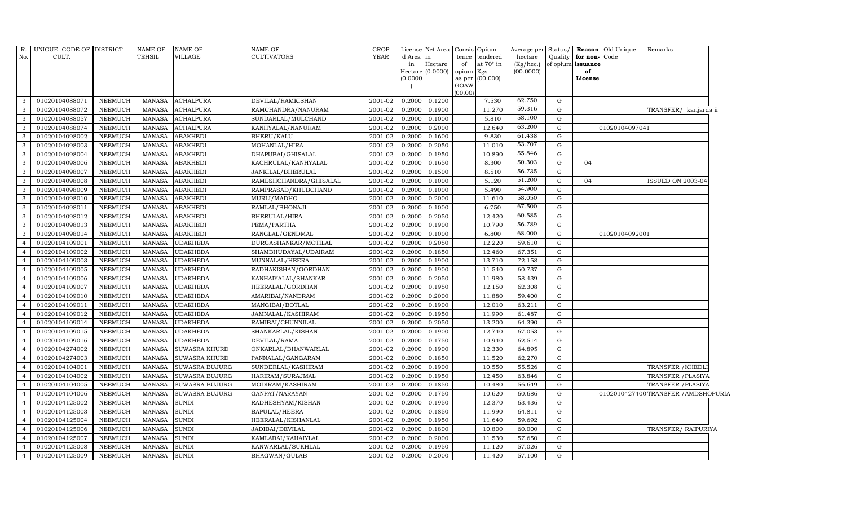| R.             | UNIQUE CODE OF DISTRICT |                | <b>NAME OF</b> | <b>NAME OF</b>        | <b>NAME OF</b>         | <b>CROP</b> |          | License Net Area                   | Consis<br>Opium                    | Average per               | Status/ |                         | Reason Old Unique | Remarks                              |
|----------------|-------------------------|----------------|----------------|-----------------------|------------------------|-------------|----------|------------------------------------|------------------------------------|---------------------------|---------|-------------------------|-------------------|--------------------------------------|
| No.            | CULT.                   |                | <b>TEHSIL</b>  | VILLAGE               | <b>CULTIVATORS</b>     | <b>YEAR</b> | d Area   | in                                 | tence<br>tendered                  | hectare                   | Quality | for non-                | Code              |                                      |
|                |                         |                |                |                       |                        |             | in       | $\rm{Hectare}$<br>Hectare (0.0000) | at 70° in<br>of                    | $(Kg/$ hec.)<br>(00.0000) |         | of opium issuance<br>of |                   |                                      |
|                |                         |                |                |                       |                        |             | (0.0000) |                                    | opium<br>Kgs<br>(00.000)<br>as per |                           |         | License                 |                   |                                      |
|                |                         |                |                |                       |                        |             |          |                                    | GOAW                               |                           |         |                         |                   |                                      |
|                |                         |                |                |                       |                        |             |          |                                    | (00.00)                            |                           |         |                         |                   |                                      |
| 3              | 01020104088071          | NEEMUCH        | MANASA         | <b>ACHALPURA</b>      | DEVILAL/RAMKISHAN      | 2001-02     | 0.2000   | 0.1200                             | 7.530                              | 62.750                    | G       |                         |                   |                                      |
| 3              | 01020104088072          | <b>NEEMUCH</b> | <b>MANASA</b>  | <b>ACHALPURA</b>      | RAMCHANDRA/NANURAM     | 2001-02     | 0.2000   | 0.1900                             | 11.270                             | 59.316                    | G       |                         |                   | TRANSFER/ kanjarda ii                |
| 3              | 01020104088057          | <b>NEEMUCH</b> | <b>MANASA</b>  | <b>ACHALPURA</b>      | SUNDARLAL/MULCHAND     | 2001-02     | 0.2000   | 0.1000                             | 5.810                              | 58.100                    | G       |                         |                   |                                      |
| 3              | 01020104088074          | <b>NEEMUCH</b> | <b>MANASA</b>  | <b>ACHALPURA</b>      | KANHYALAL/NANURAM      | $2001 - 02$ | 0.2000   | 0.2000                             | 12.640                             | 63.200                    | G       |                         | 01020104097041    |                                      |
| 3              | 01020104098002          | <b>NEEMUCH</b> | <b>MANASA</b>  | <b>ABAKHEDI</b>       | BHERU/KALU             | 2001-02     | 0.2000   | 0.1600                             | 9.830                              | 61.438                    | G       |                         |                   |                                      |
| 3              | 01020104098003          | NEEMUCH        | <b>MANASA</b>  | <b>ABAKHEDI</b>       | MOHANLAL/HIRA          | 2001-02     | 0.2000   | 0.2050                             | 11.010                             | 53.707                    | G       |                         |                   |                                      |
| 3              | 01020104098004          | <b>NEEMUCH</b> | <b>MANASA</b>  | <b>ABAKHEDI</b>       | DHAPUBAI/GHISALAL      | 2001-02     | 0.2000   | 0.1950                             | 10.890                             | 55.846                    | G       |                         |                   |                                      |
| 3              | 01020104098006          | <b>NEEMUCH</b> | <b>MANASA</b>  | <b>ABAKHEDI</b>       | KACHRULAL/KANHYALAL    | 2001-02     | 0.2000   | 0.1650                             | 8.300                              | 50.303                    | G       | 04                      |                   |                                      |
| 3              | 01020104098007          | <b>NEEMUCH</b> | <b>MANASA</b>  | <b>ABAKHEDI</b>       | JANKILAL/BHERULAL      | 2001-02     | 0.2000   | 0.1500                             | 8.510                              | 56.735                    | G       |                         |                   |                                      |
| 3              | 01020104098008          | <b>NEEMUCH</b> | <b>MANASA</b>  | <b>ABAKHEDI</b>       | RAMESHCHANDRA/GHISALAL | 2001-02     | 0.2000   | 0.1000                             | 5.120                              | 51.200                    | G       | 04                      |                   | ISSUED ON 2003-04                    |
| 3              | 01020104098009          | NEEMUCH        | <b>MANASA</b>  | <b>ABAKHEDI</b>       | RAMPRASAD/KHUBCHAND    | 2001-02     | 0.2000   | 0.1000                             | 5.490                              | 54.900                    | G       |                         |                   |                                      |
| 3              | 01020104098010          | <b>NEEMUCH</b> | <b>MANASA</b>  | <b>ABAKHEDI</b>       | MURLI/MADHO            | 2001-02     | 0.2000   | 0.2000                             | 11.610                             | 58.050                    | G       |                         |                   |                                      |
| 3              | 01020104098011          | NEEMUCH        | <b>MANASA</b>  | <b>ABAKHEDI</b>       | RAMLAL/BHONAJI         | 2001-02     | 0.2000   | 0.1000                             | 6.750                              | 67.500                    | G       |                         |                   |                                      |
| 3              | 01020104098012          | <b>NEEMUCH</b> | <b>MANASA</b>  | <b>ABAKHEDI</b>       | BHERULAL/HIRA          | 2001-02     | 0.2000   | 0.2050                             | 12.420                             | 60.585                    | G       |                         |                   |                                      |
| 3              | 01020104098013          | <b>NEEMUCH</b> | <b>MANASA</b>  | <b>ABAKHEDI</b>       | PEMA/PARTHA            | 2001-02     | 0.2000   | 0.1900                             | 10.790                             | 56.789                    | G       |                         |                   |                                      |
| 3              | 01020104098014          | <b>NEEMUCH</b> | <b>MANASA</b>  | <b>ABAKHEDI</b>       | RANGLAL/GENDMAL        | 2001-02     | 0.2000   | 0.1000                             | 6.800                              | 68.000                    | G       |                         | 01020104092001    |                                      |
| $\overline{4}$ | 01020104109001          | NEEMUCH        | <b>MANASA</b>  | <b>UDAKHEDA</b>       | DURGASHANKAR/MOTILAL   | 2001-02     | 0.2000   | 0.2050                             | 12.220                             | 59.610                    | G       |                         |                   |                                      |
|                | 01020104109002          | <b>NEEMUCH</b> | <b>MANASA</b>  | <b>UDAKHEDA</b>       | SHAMBHUDAYAL/UDAIRAM   | 2001-02     | 0.2000   | 0.1850                             | 12.460                             | 67.351                    | G       |                         |                   |                                      |
|                | 01020104109003          | <b>NEEMUCH</b> | <b>MANASA</b>  | <b>UDAKHEDA</b>       | MUNNALAL/HEERA         | 2001-02     | 0.2000   | 0.1900                             | 13.710                             | 72.158                    | G       |                         |                   |                                      |
|                | 01020104109005          | NEEMUCH        | <b>MANASA</b>  | <b>UDAKHEDA</b>       | RADHAKISHAN/GORDHAN    | 2001-02     | 0.2000   | 0.1900                             | 11.540                             | 60.737                    | G       |                         |                   |                                      |
| $\overline{4}$ | 01020104109006          | <b>NEEMUCH</b> | <b>MANASA</b>  | <b>UDAKHEDA</b>       | KANHAIYALAL/SHANKAR    | 2001-02     | 0.2000   | 0.2050                             | 11.980                             | 58.439                    | G       |                         |                   |                                      |
| $\overline{4}$ | 01020104109007          | NEEMUCH        | <b>MANASA</b>  | <b>UDAKHEDA</b>       | HEERALAL/GORDHAN       | 2001-02     | 0.2000   | 0.1950                             | 12.150                             | 62.308                    | G       |                         |                   |                                      |
| $\overline{4}$ | 01020104109010          | <b>NEEMUCH</b> | <b>MANASA</b>  | <b>UDAKHEDA</b>       | AMARIBAI/NANDRAM       | 2001-02     | 0.2000   | 0.2000                             | 11.880                             | 59.400                    | G       |                         |                   |                                      |
|                | 01020104109011          | <b>NEEMUCH</b> | <b>MANASA</b>  | <b>UDAKHEDA</b>       | MANGIBAI/BOTLAL        | 2001-02     | 0.2000   | 0.1900                             | 12.010                             | 63.211                    | G       |                         |                   |                                      |
|                | 01020104109012          | <b>NEEMUCH</b> | <b>MANASA</b>  | <b>UDAKHEDA</b>       | JAMNALAL/KASHIRAM      | 2001-02     | 0.2000   | 0.1950                             | 11.990                             | 61.487                    | G       |                         |                   |                                      |
|                | 01020104109014          | <b>NEEMUCH</b> | <b>MANASA</b>  | <b>UDAKHEDA</b>       | RAMIBAI/CHUNNILAL      | 2001-02     | 0.2000   | 0.2050                             | 13.200                             | 64.390                    | G       |                         |                   |                                      |
| $\overline{4}$ | 01020104109015          | <b>NEEMUCH</b> | <b>MANASA</b>  | <b>UDAKHEDA</b>       | SHANKARLAL/KISHAN      | 2001-02     | 0.2000   | 0.1900                             | 12.740                             | 67.053                    | G       |                         |                   |                                      |
| $\overline{4}$ | 01020104109016          | NEEMUCH        | <b>MANASA</b>  | <b>UDAKHEDA</b>       | DEVILAL/RAMA           | 2001-02     | 0.2000   | 0.1750                             | 10.940                             | 62.514                    | G       |                         |                   |                                      |
|                | 01020104274002          | <b>NEEMUCH</b> | <b>MANASA</b>  | <b>SUWASRA KHURD</b>  | ONKARLAL/BHANWARLAL    | 2001-02     | 0.2000   | 0.1900                             | 12.330                             | 64.895                    | G       |                         |                   |                                      |
|                | 01020104274003          | <b>NEEMUCH</b> | <b>MANASA</b>  | <b>SUWASRA KHURD</b>  | PANNALAL/GANGARAM      | 2001-02     | 0.2000   | 0.1850                             | 11.520                             | 62.270                    | G       |                         |                   |                                      |
|                | 01020104104001          | <b>NEEMUCH</b> | MANASA         | <b>SUWASRA BUJURG</b> | SUNDERLAL/KASHIRAM     | 2001-02     | 0.2000   | 0.1900                             | 10.550                             | 55.526                    | G       |                         |                   | TRANSFER / KHEDLI                    |
| $\overline{4}$ | 01020104104002          | <b>NEEMUCH</b> | <b>MANASA</b>  | SUWASRA BUJURG        | HARIRAM/SURAJMAL       | 2001-02     | 0.2000   | 0.1950                             | 12.450                             | 63.846                    | G       |                         |                   | TRANSFER / PLASIYA                   |
| $\overline{4}$ | 01020104104005          | NEEMUCH        | <b>MANASA</b>  | SUWASRA BUJURG        | MODIRAM/KASHIRAM       | 2001-02     | 0.2000   | 0.1850                             | 10.480                             | 56.649                    | G       |                         |                   | TRANSFER / PLASIYA                   |
|                | 01020104104006          | <b>NEEMUCH</b> | <b>MANASA</b>  | <b>SUWASRA BUJURG</b> | GANPAT/NARAYAN         | 2001-02     | 0.2000   | 0.1750                             | 10.620                             | 60.686                    | G       |                         |                   | 0102010427400 TRANSFER / AMDSHOPURIA |
|                | 01020104125002          | <b>NEEMUCH</b> | <b>MANASA</b>  | <b>SUNDI</b>          | RADHESHYAM/KISHAN      | 2001-02     | 0.2000   | 0.1950                             | 12.370                             | 63.436                    | G       |                         |                   |                                      |
|                | 01020104125003          | NEEMUCH        | <b>MANASA</b>  | <b>SUNDI</b>          | BAPULAL/HEERA          | 2001-02     | 0.2000   | 0.1850                             | 11.990                             | 64.811                    | G       |                         |                   |                                      |
| $\overline{a}$ | 01020104125004          | <b>NEEMUCH</b> | <b>MANASA</b>  | <b>SUNDI</b>          | HEERALAL/KISHANLAL     | 2001-02     | 0.2000   | 0.1950                             | 11.640                             | 59.692                    | G       |                         |                   |                                      |
| $\overline{4}$ | 01020104125006          | NEEMUCH        | <b>MANASA</b>  | <b>SUNDI</b>          | JADIBAI/DEVILAL        | 2001-02     | 0.2000   | 0.1800                             | 10.800                             | 60.000                    | G       |                         |                   | TRANSFER/ RAIPURIYA                  |
|                | 01020104125007          | <b>NEEMUCH</b> | <b>MANASA</b>  | <b>SUNDI</b>          | KAMLABAI/KAHAIYLAL     | 2001-02     | 0.2000   | 0.2000                             | 11.530                             | 57.650                    | G       |                         |                   |                                      |
|                | 01020104125008          | <b>NEEMUCH</b> | <b>MANASA</b>  | <b>SUNDI</b>          | KANWARLAL/SUKHLAL      | 2001-02     | 0.2000   | 0.1950                             | 11.120                             | 57.026                    | G       |                         |                   |                                      |
| $\overline{4}$ | 01020104125009          | NEEMUCH        | MANASA         | <b>SUNDI</b>          | BHAGWAN/GULAB          | 2001-02     | 0.2000   | 0.2000                             | 11.420                             | 57.100                    | G       |                         |                   |                                      |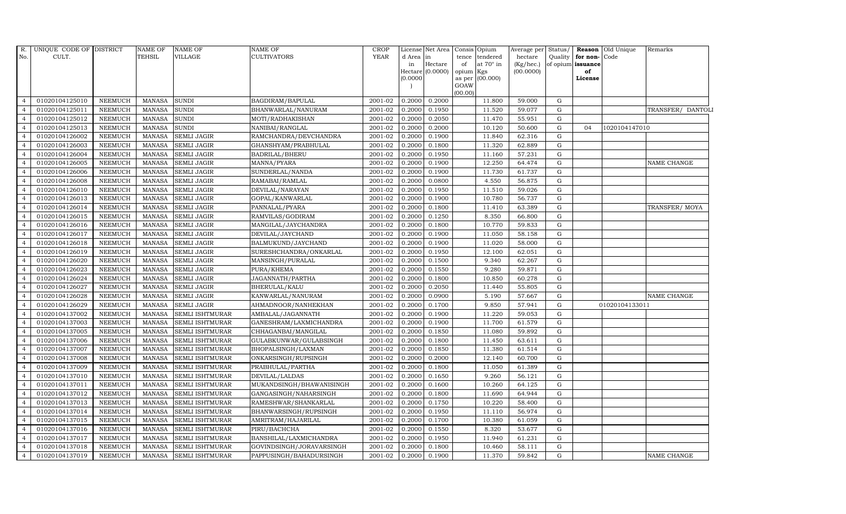| R.             | UNIQUE CODE OF DISTRICT |                | <b>NAME OF</b> | NAME OF                       | <b>NAME OF</b>           | <b>CROP</b> |          | License Net Area Consis Opium |                 |                  | Average per Status/    |             |                         | <b>Reason</b> Old Unique | Remarks           |
|----------------|-------------------------|----------------|----------------|-------------------------------|--------------------------|-------------|----------|-------------------------------|-----------------|------------------|------------------------|-------------|-------------------------|--------------------------|-------------------|
| No.            | CULT.                   |                | <b>TEHSIL</b>  | VILLAGE                       | <b>CULTIVATORS</b>       | <b>YEAR</b> | d Area   | l in<br>Hectare               |                 | tence tendered   | hectare                | Quality     | for non-Code            |                          |                   |
|                |                         |                |                |                               |                          |             | in       | Hectare (0.0000)              | of<br>opium Kgs | at $70^\circ$ in | (Kg/hec.)<br>(00.0000) |             | of opium issuance<br>of |                          |                   |
|                |                         |                |                |                               |                          |             | (0.0000) |                               |                 | as per (00.000)  |                        |             | License                 |                          |                   |
|                |                         |                |                |                               |                          |             |          |                               | GOAW            |                  |                        |             |                         |                          |                   |
| $\overline{4}$ | 01020104125010          | <b>NEEMUCH</b> | <b>MANASA</b>  | <b>SUNDI</b>                  | BAGDIRAM/BAPULAL         | 2001-02     | 0.2000   | 0.2000                        | (00.00)         | 11.800           | 59.000                 | G           |                         |                          |                   |
|                | 01020104125011          | <b>NEEMUCH</b> | <b>MANASA</b>  | SUNDI                         | BHANWARLAL/NANURAM       | 2001-02     | 0.2000   | 0.1950                        |                 | 11.520           | 59.077                 | G           |                         |                          | TRANSFER/ DANTOLI |
| $\overline{4}$ | 01020104125012          | <b>NEEMUCH</b> | <b>MANASA</b>  | $\ensuremath{\mathrm{SUNDI}}$ | MOTI/RADHAKISHAN         | 2001-02     | 0.2000   | 0.2050                        |                 | 11.470           | 55.951                 | G           |                         |                          |                   |
|                | 01020104125013          | <b>NEEMUCH</b> | <b>MANASA</b>  | <b>SUNDI</b>                  | NANIBAI/RANGLAL          | 2001-02     | 0.2000   | 0.2000                        |                 | 10.120           | 50.600                 | $\mathbf G$ | 04                      | 1020104147010            |                   |
| $\overline{4}$ | 01020104126002          | <b>NEEMUCH</b> | <b>MANASA</b>  | <b>SEMLI JAGIR</b>            | RAMCHANDRA/DEVCHANDRA    | 2001-02     | 0.2000   | 0.1900                        |                 | 11.840           | 62.316                 | G           |                         |                          |                   |
| $\overline{4}$ | 01020104126003          | <b>NEEMUCH</b> | <b>MANASA</b>  | SEMLI JAGIR                   | GHANSHYAM/PRABHULAL      | 2001-02     | 0.2000   | 0.1800                        |                 | 11.320           | 62.889                 | G           |                         |                          |                   |
| $\overline{4}$ | 01020104126004          | <b>NEEMUCH</b> | <b>MANASA</b>  | <b>SEMLI JAGIR</b>            | <b>BADRILAL/BHERU</b>    | 2001-02     | 0.2000   | 0.1950                        |                 | 11.160           | 57.231                 | $\mathbf G$ |                         |                          |                   |
| $\overline{4}$ | 01020104126005          | <b>NEEMUCH</b> | <b>MANASA</b>  | SEMLI JAGIR                   | MANNA/PYARA              | 2001-02     | 0.2000   | 0.1900                        |                 | 12.250           | 64.474                 | G           |                         |                          | NAME CHANGE       |
|                | 01020104126006          | <b>NEEMUCH</b> | <b>MANASA</b>  | <b>SEMLI JAGIR</b>            | SUNDERLAL/NANDA          | 2001-02     | 0.2000   | 0.1900                        |                 | 11.730           | 61.737                 | $\mathbf G$ |                         |                          |                   |
|                | 01020104126008          | NEEMUCH        | <b>MANASA</b>  | SEMLI JAGIR                   | RAMABAI/RAMLAL           | 2001-02     | 0.200    | 0.0800                        |                 | 4.550            | 56.875                 | ${\rm G}$   |                         |                          |                   |
| $\overline{4}$ | 01020104126010          | <b>NEEMUCH</b> | <b>MANASA</b>  | <b>SEMLI JAGIR</b>            | DEVILAL/NARAYAN          | 2001-02     | 0.2000   | 0.1950                        |                 | 11.510           | 59.026                 | G           |                         |                          |                   |
| $\overline{4}$ | 01020104126013          | <b>NEEMUCH</b> | <b>MANASA</b>  | <b>SEMLI JAGIR</b>            | GOPAL/KANWARLAL          | 2001-02     | 0.2000   | 0.1900                        |                 | 10.780           | 56.737                 | $\mathbf G$ |                         |                          |                   |
| $\overline{4}$ | 01020104126014          | <b>NEEMUCH</b> | <b>MANASA</b>  | SEMLI JAGIR                   | PANNALAL/PYARA           | 2001-02     | 0.2000   | 0.1800                        |                 | 11.410           | 63.389                 | G           |                         |                          | TRANSFER/MOYA     |
|                | 01020104126015          | <b>NEEMUCH</b> | <b>MANASA</b>  | <b>SEMLI JAGIR</b>            | RAMVILAS/GODIRAM         | 2001-02     | 0.2000   | 0.1250                        |                 | 8.350            | 66.800                 | G           |                         |                          |                   |
|                | 01020104126016          | NEEMUCH        | <b>MANASA</b>  | <b>SEMLI JAGIR</b>            | MANGILAL/JAYCHANDRA      | 2001-02     | 0.200    | 0.1800                        |                 | 10.770           | 59.833                 | ${\rm G}$   |                         |                          |                   |
| $\overline{4}$ | 01020104126017          | <b>NEEMUCH</b> | <b>MANASA</b>  | <b>SEMLI JAGIR</b>            | DEVILAL/JAYCHAND         | 2001-02     | 0.2000   | 0.1900                        |                 | 11.050           | 58.158                 | G           |                         |                          |                   |
| 4              | 01020104126018          | <b>NEEMUCH</b> | <b>MANASA</b>  | SEMLI JAGIR                   | BALMUKUND/JAYCHAND       | 2001-02     | 0.2000   | 0.1900                        |                 | 11.020           | 58.000                 | $\mathbf G$ |                         |                          |                   |
| $\overline{4}$ | 01020104126019          | <b>NEEMUCH</b> | <b>MANASA</b>  | <b>SEMLI JAGIR</b>            | SURESHCHANDRA/ONKARLAL   | 2001-02     | 0.2000   | 0.1950                        |                 | 12.100           | 62.051                 | G           |                         |                          |                   |
| $\overline{4}$ | 01020104126020          | <b>NEEMUCH</b> | <b>MANASA</b>  | <b>SEMLI JAGIR</b>            | MANSINGH/PURALAL         | 2001-02     | 0.2000   | 0.1500                        |                 | 9.340            | 62.267                 | G           |                         |                          |                   |
|                | 01020104126023          | NEEMUCH        | <b>MANASA</b>  | <b>SEMLI JAGIR</b>            | PURA/KHEMA               | 2001-02     | 0.200    | 0.1550                        |                 | 9.280            | 59.871                 | ${\rm G}$   |                         |                          |                   |
| $\overline{4}$ | 01020104126024          | <b>NEEMUCH</b> | <b>MANASA</b>  | <b>SEMLI JAGIR</b>            | JAGANNATH/PARTHA         | 2001-02     | 0.2000   | 0.1800                        |                 | 10.850           | 60.278                 | G           |                         |                          |                   |
| $\overline{4}$ | 01020104126027          | <b>NEEMUCH</b> | <b>MANASA</b>  | SEMLI JAGIR                   | <b>BHERULAL/KALU</b>     | 2001-02     | 0.2000   | 0.2050                        |                 | 11.440           | 55.805                 | G           |                         |                          |                   |
| $\overline{4}$ | 01020104126028          | NEEMUCH        | <b>MANASA</b>  | SEMLI JAGIR                   | KANWARLAL/NANURAM        | 2001-02     | 0.2000   | 0.0900                        |                 | 5.190            | 57.667                 | G           |                         |                          | NAME CHANGE       |
| $\overline{4}$ | 01020104126029          | <b>NEEMUCH</b> | <b>MANASA</b>  | <b>SEMLI JAGIR</b>            | AHMADNOOR/NANHEKHAN      | 2001-02     | 0.2000   | 0.1700                        |                 | 9.850            | 57.941                 | G           |                         | 01020104133011           |                   |
|                | 01020104137002          | <b>NEEMUCH</b> | <b>MANASA</b>  | SEMLI ISHTMURAR               | AMBALAL/JAGANNATH        | 2001-02     | 0.2000   | 0.1900                        |                 | 11.220           | 59.053                 | ${\rm G}$   |                         |                          |                   |
| $\overline{4}$ | 01020104137003          | <b>NEEMUCH</b> | <b>MANASA</b>  | SEMLI ISHTMURAR               | GANESHRAM/LAXMICHANDRA   | 2001-02     | 0.2000   | 0.1900                        |                 | 11.700           | 61.579                 | G           |                         |                          |                   |
| $\overline{4}$ | 01020104137005          | <b>NEEMUCH</b> | <b>MANASA</b>  | SEMLI ISHTMURAR               | CHHAGANBAI/MANGILAL      | 2001-02     | 0.2000   | 0.1850                        |                 | 11.080           | 59.892                 | $\mathbf G$ |                         |                          |                   |
| $\overline{4}$ | 01020104137006          | NEEMUCH        | <b>MANASA</b>  | SEMLI ISHTMURAR               | GULABKUNWAR/GULABSINGH   | 2001-02     | 0.2000   | 0.1800                        |                 | 11.450           | 63.611                 | G           |                         |                          |                   |
| $\overline{4}$ | 01020104137007          | <b>NEEMUCH</b> | <b>MANASA</b>  | SEMLI ISHTMURAR               | BHOPALSINGH/LAXMAN       | 2001-02     | 0.2000   | 0.1850                        |                 | 11.380           | 61.514                 | G           |                         |                          |                   |
|                | 01020104137008          | <b>NEEMUCH</b> | <b>MANASA</b>  | SEMLI ISHTMURAR               | ONKARSINGH/RUPSINGH      | 2001-02     | 0.2000   | 0.2000                        |                 | 12.140           | 60.700                 | $\mathbf G$ |                         |                          |                   |
| $\overline{4}$ | 01020104137009          | NEEMUCH        | <b>MANASA</b>  | SEMLI ISHTMURAR               | PRABHULAL/PARTHA         | 2001-02     | 0.2000   | 0.1800                        |                 | 11.050           | 61.389                 | G           |                         |                          |                   |
| $\overline{4}$ | 01020104137010          | <b>NEEMUCH</b> | <b>MANASA</b>  | SEMLI ISHTMURAR               | DEVILAL/LALDAS           | 2001-02     | 0.2000   | 0.1650                        |                 | 9.260            | 56.121                 | G           |                         |                          |                   |
| $\overline{4}$ | 01020104137011          | NEEMUCH        | <b>MANASA</b>  | SEMLI ISHTMURAR               | MUKANDSINGH/BHAWANISINGH | 2001-02     | 0.2000   | 0.1600                        |                 | 10.260           | 64.125                 | G           |                         |                          |                   |
| $\overline{4}$ | 01020104137012          | <b>NEEMUCH</b> | <b>MANASA</b>  | SEMLI ISHTMURAR               | GANGASINGH/NAHARSINGH    | 2001-02     | 0.2000   | 0.1800                        |                 | 11.690           | 64.944                 | G           |                         |                          |                   |
|                | 01020104137013          | <b>NEEMUCH</b> | <b>MANASA</b>  | SEMLI ISHTMURAR               | RAMESHWAR/SHANKARLAL     | 2001-02     | 0.2000   | 0.1750                        |                 | 10.220           | 58.400                 | $\mathbf G$ |                         |                          |                   |
| $\overline{4}$ | 01020104137014          | NEEMUCH        | <b>MANASA</b>  | SEMLI ISHTMURAR               | BHANWARSINGH/RUPSINGH    | 2001-02     | 0.2000   | 0.1950                        |                 | 11.110           | 56.974                 | G           |                         |                          |                   |
| $\overline{4}$ | 01020104137015          | <b>NEEMUCH</b> | <b>MANASA</b>  | SEMLI ISHTMURAR               | AMRITRAM/HAJARILAL       | 2001-02     | 0.2000   | 0.1700                        |                 | 10.380           | 61.059                 | G           |                         |                          |                   |
| $\overline{4}$ | 01020104137016          | NEEMUCH        | <b>MANASA</b>  | SEMLI ISHTMURAR               | PIRU/BACHCHA             | 2001-02     | 0.2000   | 0.1550                        |                 | 8.320            | 53.677                 | G           |                         |                          |                   |
| $\overline{4}$ | 01020104137017          | <b>NEEMUCH</b> | <b>MANASA</b>  | SEMLI ISHTMURAR               | BANSHILAL/LAXMICHANDRA   | 2001-02     | 0.2000   | 0.1950                        |                 | 11.940           | 61.231                 | G           |                         |                          |                   |
| $\overline{4}$ | 01020104137018          | <b>NEEMUCH</b> | <b>MANASA</b>  | SEMLI ISHTMURAR               | GOVINDSINGH/JORAVARSINGH | 2001-02     | 0.2000   | 0.1800                        |                 | 10.460           | 58.111                 | $\mathbf G$ |                         |                          |                   |
| $\overline{4}$ | 01020104137019          | <b>NEEMUCH</b> | <b>MANASA</b>  | <b>SEMLI ISHTMURAR</b>        | PAPPUSINGH/BAHADURSINGH  | 2001-02     | 0.2000   | 0.1900                        |                 | 11.370           | 59.842                 | G           |                         |                          | NAME CHANGE       |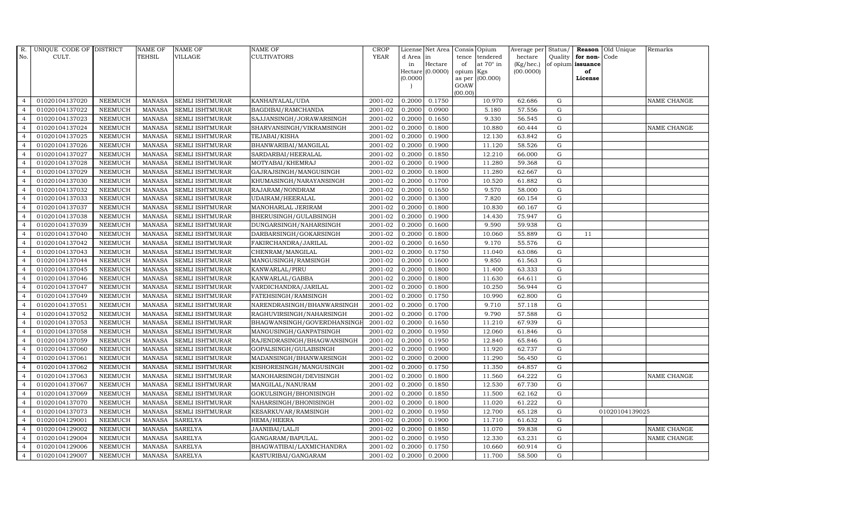| R.             | UNIQUE CODE OF DISTRICT |                | <b>NAME OF</b> | <b>NAME OF</b>         | <b>NAME OF</b>              | CROP        |           | License Net Area Consis Opium |           |                  | Average per Status/ |             |                   | <b>Reason</b> Old Unique | Remarks            |
|----------------|-------------------------|----------------|----------------|------------------------|-----------------------------|-------------|-----------|-------------------------------|-----------|------------------|---------------------|-------------|-------------------|--------------------------|--------------------|
| No.            | CULT.                   |                | <b>TEHSIL</b>  | VILLAGE                | <b>CULTIVATORS</b>          | <b>YEAR</b> | d Area in |                               |           | tence tendered   | hectare             | Quality     | for non-          | Code                     |                    |
|                |                         |                |                |                        |                             |             | in        | Hectare                       | of        | at $70^\circ$ in | $(Kg/$ hec. $)$     |             | of opium issuance |                          |                    |
|                |                         |                |                |                        |                             |             |           | Hectare (0.0000)              | opium Kgs |                  | (00.0000)           |             | of                |                          |                    |
|                |                         |                |                |                        |                             |             | (0.0000)  |                               | GOAW      | as per (00.000)  |                     |             | License           |                          |                    |
|                |                         |                |                |                        |                             |             |           |                               | (00.00)   |                  |                     |             |                   |                          |                    |
| $\overline{4}$ | 01020104137020          | <b>NEEMUCH</b> | <b>MANASA</b>  | <b>SEMLI ISHTMURAR</b> | KANHAIYALAL/UDA             | 2001-02     | 0.2000    | 0.1750                        |           | 10.970           | 62.686              | $\mathbf G$ |                   |                          | NAME CHANGE        |
| $\overline{4}$ | 01020104137022          | <b>NEEMUCH</b> | <b>MANASA</b>  | SEMLI ISHTMURAR        | BAGDIBAI/RAMCHANDA          | 2001-02     | 0.2000    | 0.0900                        |           | 5.180            | 57.556              | ${\rm G}$   |                   |                          |                    |
| $\overline{4}$ | 01020104137023          | <b>NEEMUCH</b> | <b>MANASA</b>  | SEMLI ISHTMURAR        | SAJJANSINGH/JORAWARSINGH    | 2001-02     | 0.2000    | 0.1650                        |           | 9.330            | 56.545              | G           |                   |                          |                    |
| $\overline{4}$ | 01020104137024          | <b>NEEMUCH</b> | <b>MANASA</b>  | <b>SEMLI ISHTMURAR</b> | SHARVANSINGH/VIKRAMSINGH    | 2001-02     | 0.2000    | 0.1800                        |           | 10.880           | 60.444              | $\mathbf G$ |                   |                          | <b>NAME CHANGE</b> |
| $\overline{4}$ | 01020104137025          | <b>NEEMUCH</b> | <b>MANASA</b>  | SEMLI ISHTMURAR        | TEJABAI/KISHA               | 2001-02     | 0.2000    | 0.1900                        |           | 12.130           | 63.842              | ${\rm G}$   |                   |                          |                    |
| $\overline{4}$ | 01020104137026          | <b>NEEMUCH</b> | <b>MANASA</b>  | SEMLI ISHTMURAR        | BHANWARIBAI/MANGILAL        | 2001-02     | 0.2000    | 0.1900                        |           | 11.120           | 58.526              | G           |                   |                          |                    |
| $\overline{4}$ | 01020104137027          | NEEMUCH        | <b>MANASA</b>  | SEMLI ISHTMURAR        | SARDARBAI/HEERALAL          | 2001-02     | 0.2000    | 0.1850                        |           | 12.210           | 66.000              | ${\bf G}$   |                   |                          |                    |
| $\overline{4}$ | 01020104137028          | <b>NEEMUCH</b> | <b>MANASA</b>  | SEMLI ISHTMURAR        | MOTYABAI/KHEMRAJ            | 2001-02     | 0.2000    | 0.1900                        |           | 11.280           | 59.368              | G           |                   |                          |                    |
| $\overline{4}$ | 01020104137029          | <b>NEEMUCH</b> | <b>MANASA</b>  | <b>SEMLI ISHTMURAR</b> | GAJRAJSINGH/MANGUSINGH      | 2001-02     | 0.2000    | 0.1800                        |           | 11.280           | 62.667              | $\mathbf G$ |                   |                          |                    |
| $\overline{4}$ | 01020104137030          | <b>NEEMUCH</b> | <b>MANASA</b>  | SEMLI ISHTMURAR        | KHUMASINGH/NARAYANSINGH     | 2001-02     | 0.2000    | 0.1700                        |           | 10.520           | 61.882              | ${\rm G}$   |                   |                          |                    |
| $\overline{4}$ | 01020104137032          | <b>NEEMUCH</b> | <b>MANASA</b>  | <b>SEMLI ISHTMURAR</b> | RAJARAM/NONDRAM             | 2001-02     | 0.2000    | 0.1650                        |           | 9.570            | 58.000              | G           |                   |                          |                    |
| $\overline{4}$ | 01020104137033          | <b>NEEMUCH</b> | <b>MANASA</b>  | SEMLI ISHTMURAR        | UDAIRAM/HEERALAL            | 2001-02     | 0.2000    | 0.1300                        |           | 7.820            | 60.154              | ${\rm G}$   |                   |                          |                    |
| $\overline{4}$ | 01020104137037          | <b>NEEMUCH</b> | <b>MANASA</b>  | <b>SEMLI ISHTMURAR</b> | MANOHARLAL JERIRAM          | 2001-02     | 0.2000    | 0.1800                        |           | 10.830           | 60.167              | G           |                   |                          |                    |
| $\overline{4}$ | 01020104137038          | <b>NEEMUCH</b> | <b>MANASA</b>  | <b>SEMLI ISHTMURAR</b> | BHERUSINGH/GULABSINGH       | 2001-02     | 0.2000    | 0.1900                        |           | 14.430           | 75.947              | $\mathbf G$ |                   |                          |                    |
| $\overline{4}$ | 01020104137039          | NEEMUCH        | <b>MANASA</b>  | SEMLI ISHTMURAR        | DUNGARSINGH/NAHARSINGH      | 2001-02     | 0.2000    | 0.1600                        |           | 9.590            | 59.938              | ${\rm G}$   |                   |                          |                    |
| $\overline{4}$ | 01020104137040          | <b>NEEMUCH</b> | <b>MANASA</b>  | SEMLI ISHTMURAR        | DARBARSINGH/GOKARSINGH      | 2001-02     | 0.2000    | 0.1800                        |           | 10.060           | 55.889              | G           | 11                |                          |                    |
| $\overline{4}$ | 01020104137042          | <b>NEEMUCH</b> | <b>MANASA</b>  | SEMLI ISHTMURAR        | FAKIRCHANDRA/JARILAL        | 2001-02     | 0.2000    | 0.1650                        |           | 9.170            | 55.576              | ${\rm G}$   |                   |                          |                    |
| $\overline{4}$ | 01020104137043          | <b>NEEMUCH</b> | <b>MANASA</b>  | SEMLI ISHTMURAR        | CHENRAM/MANGILAL            | 2001-02     | 0.2000    | 0.1750                        |           | 11.040           | 63.086              | G           |                   |                          |                    |
| $\overline{4}$ | 01020104137044          | <b>NEEMUCH</b> | <b>MANASA</b>  | <b>SEMLI ISHTMURAR</b> | MANGUSINGH/RAMSINGH         | 2001-02     | 0.2000    | 0.1600                        |           | 9.850            | 61.563              | G           |                   |                          |                    |
| $\overline{4}$ | 01020104137045          | NEEMUCH        | <b>MANASA</b>  | SEMLI ISHTMURAR        | KANWARLAL/PIRU              | 2001-02     | 0.2000    | 0.1800                        |           | 11.400           | 63.333              | ${\rm G}$   |                   |                          |                    |
| $\overline{4}$ | 01020104137046          | <b>NEEMUCH</b> | <b>MANASA</b>  | <b>SEMLI ISHTMURAR</b> | KANWARLAL/GABBA             | 2001-02     | 0.2000    | 0.1800                        |           | 11.630           | 64.611              | $\mathbf G$ |                   |                          |                    |
| $\overline{4}$ | 01020104137047          | <b>NEEMUCH</b> | <b>MANASA</b>  | SEMLI ISHTMURAR        | VARDICHANDRA/JARILAL        | 2001-02     | 0.2000    | 0.1800                        |           | 10.250           | 56.944              | ${\rm G}$   |                   |                          |                    |
| $\overline{4}$ | 01020104137049          | <b>NEEMUCH</b> | <b>MANASA</b>  | SEMLI ISHTMURAR        | FATEHSINGH/RAMSINGH         | 2001-02     | 0.2000    | 0.1750                        |           | 10.990           | 62.800              | ${\rm G}$   |                   |                          |                    |
| $\overline{4}$ | 01020104137051          | <b>NEEMUCH</b> | <b>MANASA</b>  | <b>SEMLI ISHTMURAR</b> | NARENDRASINGH/BHANWARSINGH  | 2001-02     | 0.2000    | 0.1700                        |           | 9.710            | 57.118              | $\mathbf G$ |                   |                          |                    |
| $\overline{4}$ | 01020104137052          | <b>NEEMUCH</b> | <b>MANASA</b>  | SEMLI ISHTMURAR        | RAGHUVIRSINGH/NAHARSINGH    | 2001-02     | 0.2000    | 0.1700                        |           | 9.790            | 57.588              | ${\bf G}$   |                   |                          |                    |
| $\overline{4}$ | 01020104137053          | <b>NEEMUCH</b> | <b>MANASA</b>  | SEMLI ISHTMURAR        | BHAGWANSINGH/GOVERDHANSINGI | 2001-02     | 0.2000    | 0.1650                        |           | 11.210           | 67.939              | $\mathbf G$ |                   |                          |                    |
| $\overline{4}$ | 01020104137058          | <b>NEEMUCH</b> | <b>MANASA</b>  | SEMLI ISHTMURAR        | MANGUSINGH/GANPATSINGH      | 2001-02     | 0.2000    | 0.1950                        |           | 12.060           | 61.846              | ${\rm G}$   |                   |                          |                    |
| $\overline{4}$ | 01020104137059          | <b>NEEMUCH</b> | <b>MANASA</b>  | SEMLI ISHTMURAR        | RAJENDRASINGH/BHAGWANSINGH  | 2001-02     | 0.2000    | 0.1950                        |           | 12.840           | 65.846              | ${\rm G}$   |                   |                          |                    |
| $\overline{4}$ | 01020104137060          | <b>NEEMUCH</b> | <b>MANASA</b>  | <b>SEMLI ISHTMURAR</b> | GOPALSINGH/GULABSINGH       | 2001-02     | 0.2000    | 0.1900                        |           | 11.920           | 62.737              | $\mathbf G$ |                   |                          |                    |
| $\overline{4}$ | 01020104137061          | <b>NEEMUCH</b> | <b>MANASA</b>  | SEMLI ISHTMURAR        | MADANSINGH/BHANWARSINGH     | 2001-02     | 0.2000    | 0.2000                        |           | 11.290           | 56.450              | $\mathbf G$ |                   |                          |                    |
| $\overline{4}$ | 01020104137062          | <b>NEEMUCH</b> | <b>MANASA</b>  | SEMLI ISHTMURAR        | KISHORESINGH/MANGUSINGH     | 2001-02     | 0.2000    | 0.1750                        |           | 11.350           | 64.857              | ${\rm G}$   |                   |                          |                    |
| $\overline{4}$ | 01020104137063          | <b>NEEMUCH</b> | <b>MANASA</b>  | <b>SEMLI ISHTMURAR</b> | MANOHARSINGH/DEVISINGH      | $2001 - 02$ | 0.2000    | 0.1800                        |           | 11.560           | 64.222              | $\mathbf G$ |                   |                          | <b>NAME CHANGE</b> |
| $\overline{4}$ | 01020104137067          | <b>NEEMUCH</b> | <b>MANASA</b>  | <b>SEMLI ISHTMURAR</b> | MANGILAL/NANURAM            | 2001-02     | 0.2000    | 0.1850                        |           | 12.530           | 67.730              | ${\rm G}$   |                   |                          |                    |
| $\overline{4}$ | 01020104137069          | <b>NEEMUCH</b> | <b>MANASA</b>  | <b>SEMLI ISHTMURAR</b> | GOKULSINGH/BHONISINGH       | 2001-02     | 0.2000    | 0.1850                        |           | 11.500           | 62.162              | $\mathbf G$ |                   |                          |                    |
| $\overline{4}$ | 01020104137070          | <b>NEEMUCH</b> | <b>MANASA</b>  | SEMLI ISHTMURAR        | NAHARSINGH/BHONISINGH       | 2001-02     | 0.2000    | 0.1800                        |           | 11.020           | 61.222              | $\mathbf G$ |                   |                          |                    |
| $\overline{4}$ | 01020104137073          | <b>NEEMUCH</b> | <b>MANASA</b>  | SEMLI ISHTMURAR        | KESARKUVAR/RAMSINGH         | 2001-02     | 0.2000    | 0.1950                        |           | 12.700           | 65.128              | ${\rm G}$   |                   | 01020104139025           |                    |
| $\overline{4}$ | 01020104129001          | <b>NEEMUCH</b> | <b>MANASA</b>  | <b>SARELYA</b>         | HEMA/HEERA                  | 2001-02     | 0.2000    | 0.1900                        |           | 11.710           | 61.632              | G           |                   |                          |                    |
| $\overline{4}$ | 01020104129002          | NEEMUCH        | <b>MANASA</b>  | <b>SARELYA</b>         | JAANIBAI/LALJI              | 2001-02     | 0.2000    | 0.1850                        |           | 11.070           | 59.838              | ${\rm G}$   |                   |                          | NAME CHANGE        |
| $\overline{4}$ |                         | <b>NEEMUCH</b> | <b>MANASA</b>  | <b>SARELYA</b>         | GANGARAM/BAPULAL.           | 2001-02     | 0.2000    | 0.1950                        |           | 12.330           | 63.231              | $\mathbf G$ |                   |                          | <b>NAME CHANGE</b> |
|                | 01020104129004          |                |                |                        |                             |             |           |                               |           |                  |                     |             |                   |                          |                    |
| $\overline{4}$ | 01020104129006          | <b>NEEMUCH</b> | <b>MANASA</b>  | <b>SARELYA</b>         | BHAGWATIBAI/LAXMICHANDRA    | 2001-02     | 0.2000    | 0.1750                        |           | 10.660           | 60.914              | $\mathbf G$ |                   |                          |                    |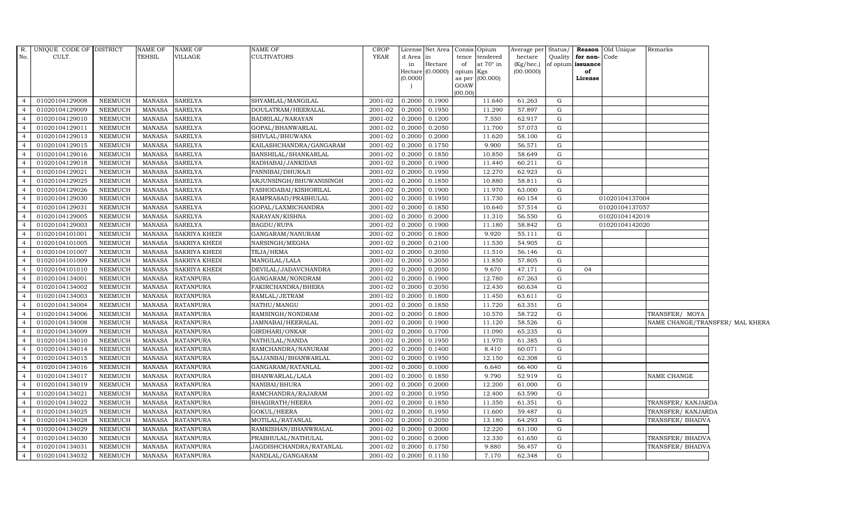|                | R. UNIQUE CODE OF DISTRICT |                | NAME OF       | NAME OF              | <b>NAME OF</b>          | <b>CROP</b> |          | License Net Area Consis Opium |           |                  | Average per Status/ |              |                   | <b>Reason</b> Old Unique | Remarks                         |  |
|----------------|----------------------------|----------------|---------------|----------------------|-------------------------|-------------|----------|-------------------------------|-----------|------------------|---------------------|--------------|-------------------|--------------------------|---------------------------------|--|
| No.            | CULT.                      |                | TEHSIL        | VILLAGE              | <b>CULTIVATORS</b>      | <b>YEAR</b> | d Area   | in                            | tence     | tendered         | hectare             | Quality      | for non-Code      |                          |                                 |  |
|                |                            |                |               |                      |                         |             | in       | Hectare                       | of        | at $70^\circ$ in | (Kg/hec.)           |              | of opium issuance |                          |                                 |  |
|                |                            |                |               |                      |                         |             | (0.0000) | Hectare (0.0000)              | opium Kgs | as per (00.000)  | (00.0000)           |              | of<br>License     |                          |                                 |  |
|                |                            |                |               |                      |                         |             |          |                               | GOAW      |                  |                     |              |                   |                          |                                 |  |
|                |                            |                |               |                      |                         |             |          |                               | (00.00)   |                  |                     |              |                   |                          |                                 |  |
| $\overline{4}$ | 01020104129008             | <b>NEEMUCH</b> | <b>MANASA</b> | <b>SARELYA</b>       | SHYAMLAL/MANGILAL       | 2001-02     | 0.2000   | 0.1900                        |           | 11.640           | 61.263              | G            |                   |                          |                                 |  |
| $\overline{4}$ | 01020104129009             | <b>NEEMUCH</b> | <b>MANASA</b> | <b>SARELYA</b>       | DOULATRAM/HEERALAL      | 2001-02     | 0.2000   | 0.1950                        |           | 11.290           | 57.897              | G            |                   |                          |                                 |  |
| $\overline{4}$ | 01020104129010             | <b>NEEMUCH</b> | <b>MANASA</b> | SARELYA              | BADRILAL/NARAYAN        | 2001-02     | 0.2000   | 0.1200                        |           | 7.550            | 62.917              | G            |                   |                          |                                 |  |
| $\overline{4}$ | 01020104129011             | <b>NEEMUCH</b> | <b>MANASA</b> | SARELYA              | GOPAL/BHANWARLAL        | 2001-02     | 0.2000   | 0.2050                        |           | 11.700           | 57.073              | G            |                   |                          |                                 |  |
| 4              | 01020104129013             | <b>NEEMUCH</b> | <b>MANASA</b> | <b>SARELYA</b>       | SHIVLAL/BHUWANA         | 2001-02     | 0.2000   | 0.2000                        |           | 11.620           | 58.100              | G            |                   |                          |                                 |  |
| $\overline{4}$ | 01020104129015             | NEEMUCH        | <b>MANASA</b> | <b>SARELYA</b>       | KAILASHCHANDRA/GANGARAM | $2001 - 02$ | 0.2000   | 0.1750                        |           | 9.900            | 56.571              | G            |                   |                          |                                 |  |
| $\overline{4}$ | 01020104129016             | NEEMUCH        | <b>MANASA</b> | <b>SARELYA</b>       | BANSHILAL/SHANKARLAL    | 2001-02     | 0.2000   | 0.1850                        |           | 10.850           | 58.649              | G            |                   |                          |                                 |  |
| $\overline{4}$ | 01020104129018             | <b>NEEMUCH</b> | <b>MANASA</b> | SARELYA              | RADHABAI/JANKIDAS       | 2001-02     | 0.2000   | 0.1900                        |           | 11.440           | 60.211              | G            |                   |                          |                                 |  |
| $\overline{4}$ | 01020104129021             | <b>NEEMUCH</b> | <b>MANASA</b> | <b>SARELYA</b>       | PANNIBAI/DHURAJI        | 2001-02     | 0.2000   | 0.1950                        |           | 12.270           | 62.923              | G            |                   |                          |                                 |  |
| $\overline{4}$ | 01020104129025             | <b>NEEMUCH</b> | <b>MANASA</b> | <b>SARELYA</b>       | ARJUNSINGH/BHUWANISINGH | 2001-02     | 0.2000   | 0.1850                        |           | 10.880           | 58.811              | G            |                   |                          |                                 |  |
| $\overline{4}$ | 01020104129026             | <b>NEEMUCH</b> | <b>MANASA</b> | <b>SARELYA</b>       | YASHODABAI/KISHORILAL   | 2001-02     | 0.2000   | 0.1900                        |           | 11.970           | 63.000              | G            |                   |                          |                                 |  |
| $\overline{4}$ | 01020104129030             | <b>NEEMUCH</b> | <b>MANASA</b> | <b>SARELYA</b>       | RAMPRASAD/PRABHULAL     | 2001-02     | 0.2000   | 0.1950                        |           | 11.730           | 60.154              | ${\rm G}$    |                   | 01020104137004           |                                 |  |
| $\overline{4}$ | 01020104129031             | <b>NEEMUCH</b> | <b>MANASA</b> | <b>SARELYA</b>       | GOPAL/LAXMICHANDRA      | 2001-02     | 0.2000   | 0.1850                        |           | 10.640           | 57.514              | G            |                   | 01020104137057           |                                 |  |
| $\overline{4}$ | 01020104129005             | <b>NEEMUCH</b> | <b>MANASA</b> | <b>SARELYA</b>       | NARAYAN/KISHNA          | 2001-02     | 0.2000   | 0.2000                        |           | 11.310           | 56.550              | G            |                   | 01020104142019           |                                 |  |
| $\overline{4}$ | 01020104129003             | <b>NEEMUCH</b> | <b>MANASA</b> | <b>SARELYA</b>       | <b>BAGDU/RUPA</b>       | 2001-02     | 0.2000   | 0.1900                        |           | 11.180           | 58.842              | G            |                   | 01020104142020           |                                 |  |
| $\overline{4}$ | 01020104101001             | <b>NEEMUCH</b> | <b>MANASA</b> | <b>SAKRIYA KHEDI</b> | GANGARAM/NANURAM        | 2001-02     | 0.2000   | 0.1800                        |           | 9.920            | 55.111              | G            |                   |                          |                                 |  |
| $\overline{4}$ | 01020104101005             | <b>NEEMUCH</b> | <b>MANASA</b> | <b>SAKRIYA KHEDI</b> | NARSINGH/MEGHA          | 2001-02     | 0.2000   | 0.2100                        |           | 11.530           | 54.905              | G            |                   |                          |                                 |  |
| $\overline{4}$ | 01020104101007             | <b>NEEMUCH</b> | <b>MANASA</b> | SAKRIYA KHEDI        | TEJA/HEMA               | 2001-02     | 0.2000   | 0.2050                        |           | 11.510           | 56.146              | G            |                   |                          |                                 |  |
| $\overline{4}$ | 01020104101009             | <b>NEEMUCH</b> | <b>MANASA</b> | <b>SAKRIYA KHEDI</b> | MANGILAL/LALA           | 2001-02     | 0.2000   | 0.2050                        |           | 11.850           | 57.805              | G            |                   |                          |                                 |  |
| $\overline{4}$ | 01020104101010             | <b>NEEMUCH</b> | <b>MANASA</b> | SAKRIYA KHEDI        | DEVILAL/JADAVCHANDRA    | 2001-02     | 0.2000   | 0.2050                        |           | 9.670            | 47.171              | G            | 04                |                          |                                 |  |
| $\overline{4}$ | 01020104134001             | <b>NEEMUCH</b> | MANASA        | <b>RATANPURA</b>     | GANGARAM/NONDRAM        | 2001-02     | 0.2000   | 0.1900                        |           | 12.780           | 67.263              | G            |                   |                          |                                 |  |
| $\overline{4}$ | 01020104134002             | <b>NEEMUCH</b> | <b>MANASA</b> | RATANPURA            | FAKIRCHANDRA/BHERA      | 2001-02     | 0.2000   | 0.2050                        |           | 12.430           | 60.634              | G            |                   |                          |                                 |  |
| $\overline{4}$ | 01020104134003             | <b>NEEMUCH</b> | MANASA        | <b>RATANPURA</b>     | RAMLAL/JETRAM           | 2001-02     | 0.2000   | 0.1800                        |           | 11.450           | 63.611              | G            |                   |                          |                                 |  |
| $\overline{4}$ | 01020104134004             | <b>NEEMUCH</b> | <b>MANASA</b> | <b>RATANPURA</b>     | NATHU/MANGU             | 2001-02     | 0.2000   | 0.1850                        |           | 11.720           | 63.351              | G            |                   |                          |                                 |  |
| $\overline{4}$ | 01020104134006             | <b>NEEMUCH</b> | <b>MANASA</b> | <b>RATANPURA</b>     | RAMSINGH/NONDRAM        | 2001-02     | 0.2000   | 0.1800                        |           | 10.570           | 58.722              | G            |                   |                          | TRANSFER/ MOYA                  |  |
| $\overline{4}$ | 01020104134008             | <b>NEEMUCH</b> | <b>MANASA</b> | <b>RATANPURA</b>     | JAMNABAI/HEERALAL       | 2001-02     | 0.2000   | 0.1900                        |           | 11.120           | 58.526              | $\mathbf{G}$ |                   |                          | NAME CHANGE/TRANSFER/ MAL KHERA |  |
| $\overline{4}$ | 01020104134009             | <b>NEEMUCH</b> | <b>MANASA</b> | <b>RATANPURA</b>     | GIRDHARI/ONKAR          | 2001-02     | 0.2000   | 0.1700                        |           | 11.090           | 65.235              | G            |                   |                          |                                 |  |
| $\overline{4}$ | 01020104134010             | <b>NEEMUCH</b> | MANASA        | <b>RATANPURA</b>     | NATHULAL/NANDA          | 2001-02     | 0.2000   | 0.1950                        |           | 11.970           | 61.385              | G            |                   |                          |                                 |  |
| $\overline{4}$ | 01020104134014             | <b>NEEMUCH</b> | <b>MANASA</b> | <b>RATANPURA</b>     | RAMCHANDRA/NANURAM      | $2001 - 02$ | 0.2000   | 0.1400                        |           | 8.410            | 60.071              | G            |                   |                          |                                 |  |
| $\overline{4}$ | 01020104134015             | <b>NEEMUCH</b> | <b>MANASA</b> | <b>RATANPURA</b>     | SAJJANBAI/BHANWARLAL    | 2001-02     | 0.2000   | 0.1950                        |           | 12.150           | 62.308              | G            |                   |                          |                                 |  |
| $\overline{4}$ | 01020104134016             | <b>NEEMUCH</b> | <b>MANASA</b> | <b>RATANPURA</b>     | GANGARAM/RATANLAL       | 2001-02     | 0.2000   | 0.1000                        |           | 6.640            | 66.400              | G            |                   |                          |                                 |  |
| $\overline{4}$ | 01020104134017             | <b>NEEMUCH</b> | <b>MANASA</b> | <b>RATANPURA</b>     | BHANWARLAL/LALA         | 2001-02     | 0.2000   | 0.1850                        |           | 9.790            | 52.919              | G            |                   |                          | NAME CHANGE                     |  |
| $\overline{4}$ | 01020104134019             | NEEMUCH        | MANASA        | <b>RATANPURA</b>     | NANIBAI/BHURA           | 2001-02     | 0.2000   | 0.2000                        |           | 12.200           | 61.000              | G            |                   |                          |                                 |  |
| $\overline{4}$ | 01020104134021             | <b>NEEMUCH</b> | <b>MANASA</b> | <b>RATANPURA</b>     | RAMCHANDRA/RAJARAM      | 2001-02     | 0.2000   | 0.1950                        |           | 12.400           | 63.590              | G            |                   |                          |                                 |  |
| $\overline{4}$ | 01020104134022             | <b>NEEMUCH</b> | <b>MANASA</b> | <b>RATANPURA</b>     | BHAGIRATH/HEERA         | 2001-02     | 0.2000   | 0.1850                        |           | 11.350           | 61.351              | G            |                   |                          | TRANSFER/ KANJARDA              |  |
| $\overline{4}$ | 01020104134025             | <b>NEEMUCH</b> | <b>MANASA</b> | <b>RATANPURA</b>     | GOKUL/HEERA             | 2001-02     | 0.2000   | 0.1950                        |           | 11.600           | 59.487              | G            |                   |                          | TRANSFER/ KANJARDA              |  |
| $\overline{4}$ | 01020104134028             | <b>NEEMUCH</b> | <b>MANASA</b> | RATANPURA            | MOTILAL/RATANLAL        | 2001-02     | 0.2000   | 0.2050                        |           | 13.180           | 64.293              | $\mathbf{G}$ |                   |                          | TRANSFER/BHADVA                 |  |
| $\overline{4}$ | 01020104134029             | <b>NEEMUCH</b> | <b>MANASA</b> | <b>RATANPURA</b>     | RAMKISHAN/BHANWRALAL    | 2001-02     | 0.2000   | 0.2000                        |           | 12.220           | 61.100              | G            |                   |                          |                                 |  |
| $\overline{4}$ | 01020104134030             | <b>NEEMUCH</b> | <b>MANASA</b> | <b>RATANPURA</b>     | PRABHULAL/NATHULAL      | 2001-02     | 0.2000   | 0.2000                        |           | 12.330           | 61.650              | G            |                   |                          | TRANSFER/ BHADVA                |  |
| $\overline{4}$ | 01020104134031             | <b>NEEMUCH</b> | <b>MANASA</b> | <b>RATANPURA</b>     | JAGDISHCHANDRA/RATANLAL | 2001-02     | 0.2000   | 0.1750                        |           | 9.880            | 56.457              | G            |                   |                          | TRANSFER/BHADVA                 |  |
| $\overline{4}$ | 01020104134032             | <b>NEEMUCH</b> | MANASA        | <b>RATANPURA</b>     | NANDLAL/GANGARAM        | 2001-02     | 0.2000   | 0.1150                        |           | 7.170            | 62.348              | G            |                   |                          |                                 |  |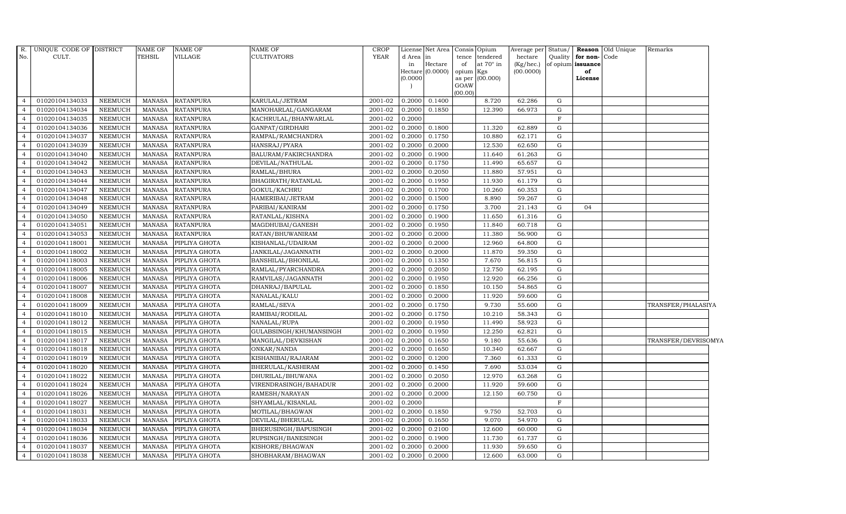| R.<br>No.                        | UNIQUE CODE OF DISTRICT<br>CULT. |                | NAME OF<br><b>TEHSIL</b> | NAME OF<br>VILLAGE | <b>NAME OF</b><br><b>CULTIVATORS</b> | <b>CROP</b><br><b>YEAR</b> | d Area<br>in<br>(0.0000) | License Net Area<br>lin<br>Hectare<br>Hectare (0.0000) | tence<br>of<br>opium<br>GOAW<br>(00.00) | Consis Opium<br>tendered<br>at $70^\circ$ in<br>Kgs<br>as per (00.000) | Average per Status/<br>hectare<br>(Kg/hec.)<br>(00.0000) | Quality           | for non-Code<br>of opium issuance<br>of<br>License | <b>Reason</b> Old Unique | Remarks             |
|----------------------------------|----------------------------------|----------------|--------------------------|--------------------|--------------------------------------|----------------------------|--------------------------|--------------------------------------------------------|-----------------------------------------|------------------------------------------------------------------------|----------------------------------------------------------|-------------------|----------------------------------------------------|--------------------------|---------------------|
| $\overline{4}$                   | 01020104134033                   | <b>NEEMUCH</b> | MANASA                   | <b>RATANPURA</b>   | KARULAL/JETRAM                       | 2001-02                    | 0.2000                   | 0.1400                                                 |                                         | 8.720                                                                  | 62.286                                                   | G                 |                                                    |                          |                     |
|                                  | 01020104134034                   | <b>NEEMUCH</b> | <b>MANASA</b>            | <b>RATANPURA</b>   | MANOHARLAL/GANGARAM                  | 2001-02                    | 0.2000                   | 0.1850                                                 |                                         | 12.390                                                                 | 66.973                                                   | G                 |                                                    |                          |                     |
|                                  | 01020104134035                   | NEEMUCH        | <b>MANASA</b>            | <b>RATANPURA</b>   | KACHRULAL/BHANWARLAL                 | 2001-02                    | 0.2000                   |                                                        |                                         |                                                                        |                                                          | $_{\rm F}$        |                                                    |                          |                     |
|                                  | 01020104134036                   | <b>NEEMUCH</b> | <b>MANASA</b>            | <b>RATANPURA</b>   | GANPAT/GIRDHARI                      | 2001-02                    | 0.2000                   | 0.1800                                                 |                                         | 11.320                                                                 | 62.889                                                   | G                 |                                                    |                          |                     |
| $\overline{4}$                   | 01020104134037                   | <b>NEEMUCH</b> | <b>MANASA</b>            | <b>RATANPURA</b>   | RAMPAL/RAMCHANDRA                    | 2001-02                    | 0.2000                   | 0.1750                                                 |                                         | 10.880                                                                 | 62.171                                                   | G                 |                                                    |                          |                     |
| $\overline{4}$                   | 01020104134039                   | <b>NEEMUCH</b> | <b>MANASA</b>            | <b>RATANPURA</b>   | HANSRAJ/PYARA                        | 2001-02                    | 0.2000                   | 0.2000                                                 |                                         | 12.530                                                                 | 62.650                                                   | G                 |                                                    |                          |                     |
| $\overline{a}$                   | 01020104134040                   | <b>NEEMUCH</b> | <b>MANASA</b>            | <b>RATANPURA</b>   | BALURAM/FAKIRCHANDRA                 | 2001-02                    | 0.2000                   | 0.1900                                                 |                                         | 11.640                                                                 | 61.263                                                   | G                 |                                                    |                          |                     |
|                                  | 01020104134042                   | <b>NEEMUCH</b> | <b>MANASA</b>            | <b>RATANPURA</b>   | DEVILAL/NATHULAL                     | 2001-02                    | 0.2000                   | 0.1750                                                 |                                         | 11.490                                                                 | 65.657                                                   | G                 |                                                    |                          |                     |
|                                  | 01020104134043                   | <b>NEEMUCH</b> | <b>MANASA</b>            | <b>RATANPURA</b>   | RAMLAL/BHURA                         | 2001-02                    | 0.2000                   | 0.2050                                                 |                                         | 11.880                                                                 | 57.951                                                   | G                 |                                                    |                          |                     |
| 4                                | 01020104134044                   | <b>NEEMUCH</b> | <b>MANASA</b>            | <b>RATANPURA</b>   | BHAGIRATH/RATANLAL                   | 2001-02                    | 0.2000                   | 0.1950                                                 |                                         | 11.930                                                                 | 61.179                                                   | G                 |                                                    |                          |                     |
| $\overline{4}$                   | 01020104134047                   | <b>NEEMUCH</b> | <b>MANASA</b>            | <b>RATANPURA</b>   | GOKUL/KACHRU                         | 2001-02                    | 0.2000                   | 0.1700                                                 |                                         | 10.260                                                                 | 60.353                                                   | G                 |                                                    |                          |                     |
| $\overline{4}$                   | 01020104134048                   | <b>NEEMUCH</b> | <b>MANASA</b>            | <b>RATANPURA</b>   | HAMERIBAI/JETRAM                     | 2001-02                    | 0.2000                   | 0.1500                                                 |                                         | 8.890                                                                  | 59.267                                                   | G                 |                                                    |                          |                     |
| $\Delta$                         | 01020104134049                   | <b>NEEMUCH</b> | <b>MANASA</b>            | <b>RATANPURA</b>   | PARIBAI/KANIRAM                      | 2001-02                    | 0.2000                   | 0.1750                                                 |                                         | 3.700                                                                  | 21.143                                                   | G                 | 04                                                 |                          |                     |
|                                  | 01020104134050                   | <b>NEEMUCH</b> | <b>MANASA</b>            | <b>RATANPURA</b>   | RATANLAL/KISHNA                      | 2001-02                    | 0.2000                   | 0.1900                                                 |                                         | 11.650                                                                 | 61.316                                                   | G                 |                                                    |                          |                     |
| $\overline{4}$                   | 01020104134051                   | <b>NEEMUCH</b> | MANASA                   | <b>RATANPURA</b>   | MAGDHUBAI/GANESH                     | 2001-02                    | 0.2000                   | 0.1950                                                 |                                         | 11.840                                                                 | 60.718                                                   | G                 |                                                    |                          |                     |
| $\overline{4}$                   | 01020104134053                   | NEEMUCH        | <b>MANASA</b>            | <b>RATANPURA</b>   | RATAN/BHUWANIRAM                     | 2001-02                    | 0.2000                   | 0.2000                                                 |                                         | 11.380                                                                 | 56.900                                                   | G                 |                                                    |                          |                     |
| $\overline{4}$                   | 01020104118001                   | <b>NEEMUCH</b> | <b>MANASA</b>            | PIPLIYA GHOTA      | KISHANLAL/UDAIRAM                    | 2001-02                    | 0.2000                   | 0.2000                                                 |                                         | 12.960                                                                 | 64.800                                                   | G                 |                                                    |                          |                     |
| $\overline{a}$                   | 01020104118002                   | <b>NEEMUCH</b> | <b>MANASA</b>            | PIPLIYA GHOTA      | JANKILAL/JAGANNATH                   | 2001-02                    | 0.2000                   | 0.2000                                                 |                                         | 11.870                                                                 | 59.350                                                   | G                 |                                                    |                          |                     |
|                                  | 01020104118003                   | <b>NEEMUCH</b> | <b>MANASA</b>            | PIPLIYA GHOTA      | BANSHILAL/BHONILAL                   | 2001-02                    | 0.2000                   | 0.1350                                                 |                                         | 7.670                                                                  | 56.815                                                   | G                 |                                                    |                          |                     |
|                                  | 01020104118005                   | <b>NEEMUCH</b> | <b>MANASA</b>            | PIPLIYA GHOTA      | RAMLAL/PYARCHANDRA                   | 2001-02                    | 0.2000                   | 0.2050                                                 |                                         | 12.750                                                                 | 62.195                                                   | G                 |                                                    |                          |                     |
| 4                                | 01020104118006                   | <b>NEEMUCH</b> | <b>MANASA</b>            | PIPLIYA GHOTA      | RAMVILAS/JAGANNATH                   | 2001-02                    | 0.2000                   | 0.1950                                                 |                                         | 12.920                                                                 | 66.256                                                   | G                 |                                                    |                          |                     |
| $\overline{4}$                   | 01020104118007                   | <b>NEEMUCH</b> | <b>MANASA</b>            | PIPLIYA GHOTA      | DHANRAJ/BAPULAL                      | 2001-02                    | 0.2000                   | 0.1850                                                 |                                         | 10.150                                                                 | 54.865                                                   | G                 |                                                    |                          |                     |
| $\overline{4}$                   | 01020104118008                   | <b>NEEMUCH</b> | <b>MANASA</b>            | PIPLIYA GHOTA      | NANALAL/KALU                         | 2001-02                    | 0.2000                   | 0.2000                                                 |                                         | 11.920                                                                 | 59.600                                                   | G                 |                                                    |                          |                     |
|                                  | 01020104118009                   | <b>NEEMUCH</b> | <b>MANASA</b>            | PIPLIYA GHOTA      | RAMLAL/SEVA                          | 2001-02                    | 0.2000                   | 0.1750                                                 |                                         | 9.730                                                                  | 55.600                                                   | G                 |                                                    |                          | TRANSFER/PHALASIYA  |
|                                  | 01020104118010                   | <b>NEEMUCH</b> | <b>MANASA</b>            | PIPLIYA GHOTA      | RAMIBAI/RODILAL                      | 2001-02                    | 0.2000                   | 0.1750                                                 |                                         | 10.210                                                                 | 58.343                                                   | G                 |                                                    |                          |                     |
| 4                                | 01020104118012                   | <b>NEEMUCH</b> | <b>MANASA</b>            | PIPLIYA GHOTA      | NANALAL/RUPA                         | 2001-02                    | 0.2000                   | 0.1950                                                 |                                         | 11.490                                                                 | 58.923                                                   | G                 |                                                    |                          |                     |
| $\overline{4}$                   | 01020104118015                   | <b>NEEMUCH</b> | <b>MANASA</b>            | PIPLIYA GHOTA      | GULABSINGH/KHUMANSINGH               | 2001-02                    | 0.2000                   | 0.1950                                                 |                                         | 12.250                                                                 | 62.821                                                   | G                 |                                                    |                          |                     |
| $\overline{4}$                   | 01020104118017                   | <b>NEEMUCH</b> | <b>MANASA</b>            | PIPLIYA GHOTA      | MANGILAL/DEVKISHAN                   | 2001-02                    | 0.2000                   | 0.1650                                                 |                                         | 9.180                                                                  | 55.636                                                   | G                 |                                                    |                          | TRANSFER/DEVRISOMYA |
|                                  | 01020104118018                   | <b>NEEMUCH</b> | <b>MANASA</b>            | PIPLIYA GHOTA      | ONKAR/NANDA                          | 2001-02                    | 0.2000                   | 0.1650                                                 |                                         | 10.340                                                                 | 62.667                                                   | G                 |                                                    |                          |                     |
|                                  | 01020104118019                   | <b>NEEMUCH</b> | <b>MANASA</b>            | PIPLIYA GHOTA      | KISHANIBAI/RAJARAM                   | 2001-02                    | 0.2000                   | 0.1200                                                 |                                         | 7.360                                                                  | 61.333                                                   | G                 |                                                    |                          |                     |
| 4                                | 01020104118020                   | <b>NEEMUCH</b> | <b>MANASA</b>            | PIPLIYA GHOTA      | BHERULAL/KASHIRAM                    | 2001-02                    | 0.2000                   | 0.1450                                                 |                                         | 7.690                                                                  | 53.034                                                   | G                 |                                                    |                          |                     |
| 4<br>$\overline{4}$              | 01020104118022                   | <b>NEEMUCH</b> | <b>MANASA</b>            | PIPLIYA GHOTA      | DHURILAL/BHUWANA                     | 2001-02                    | 0.2000                   | 0.2050                                                 |                                         | 12.970                                                                 | 63.268                                                   | G                 |                                                    |                          |                     |
|                                  | 01020104118024                   | NEEMUCH        | <b>MANASA</b>            | PIPLIYA GHOTA      | VIRENDRASINGH/BAHADUR                | 2001-02                    | 0.2000                   | 0.2000                                                 |                                         | 11.920                                                                 | 59.600                                                   | G                 |                                                    |                          |                     |
|                                  | 01020104118026                   | <b>NEEMUCH</b> | <b>MANASA</b>            | PIPLIYA GHOTA      | RAMESH/NARAYAN                       | 2001-02                    | 0.2000                   | 0.2000                                                 |                                         | 12.150                                                                 | 60.750                                                   | G<br>$\mathbf{F}$ |                                                    |                          |                     |
|                                  | 01020104118027                   | <b>NEEMUCH</b> | <b>MANASA</b>            | PIPLIYA GHOTA      | SHYAMLAL/KISANLAL                    | 2001-02                    | 0.2000                   |                                                        |                                         |                                                                        |                                                          |                   |                                                    |                          |                     |
| $\overline{4}$                   | 01020104118031                   | <b>NEEMUCH</b> | MANASA                   | PIPLIYA GHOTA      | MOTILAL/BHAGWAN                      | 2001-02                    | 0.2000                   | 0.1850                                                 |                                         | 9.750                                                                  | 52.703                                                   | G                 |                                                    |                          |                     |
| $\overline{4}$                   | 01020104118033                   | <b>NEEMUCH</b> | <b>MANASA</b>            | PIPLIYA GHOTA      | DEVILAL/BHERULAL                     | 2001-02                    | 0.2000                   | 0.1650                                                 |                                         | 9.070                                                                  | 54.970                                                   | G                 |                                                    |                          |                     |
| $\overline{4}$<br>$\overline{4}$ | 01020104118034                   | <b>NEEMUCH</b> | <b>MANASA</b>            | PIPLIYA GHOTA      | BHERUSINGH/BAPUSINGH                 | 2001-02                    | 0.2000                   | 0.2100                                                 |                                         | 12.600                                                                 | 60.000                                                   | G                 |                                                    |                          |                     |
|                                  | 01020104118036                   | <b>NEEMUCH</b> | <b>MANASA</b>            | PIPLIYA GHOTA      | RUPSINGH/BANESINGH                   | 2001-02                    | 0.2000                   | 0.1900                                                 |                                         | 11.730                                                                 | 61.737                                                   | G                 |                                                    |                          |                     |
|                                  | 01020104118037                   | <b>NEEMUCH</b> | <b>MANASA</b>            | PIPLIYA GHOTA      | KISHORE/BHAGWAN                      | 2001-02                    | 0.2000                   | 0.2000                                                 |                                         | 11.930                                                                 | 59.650                                                   | G                 |                                                    |                          |                     |
| $\overline{4}$                   | 01020104118038                   | <b>NEEMUCH</b> | MANASA                   | PIPLIYA GHOTA      | SHOBHARAM/BHAGWAN                    | 2001-02                    | 0.2000                   | 0.2000                                                 |                                         | 12.600                                                                 | 63.000                                                   | G                 |                                                    |                          |                     |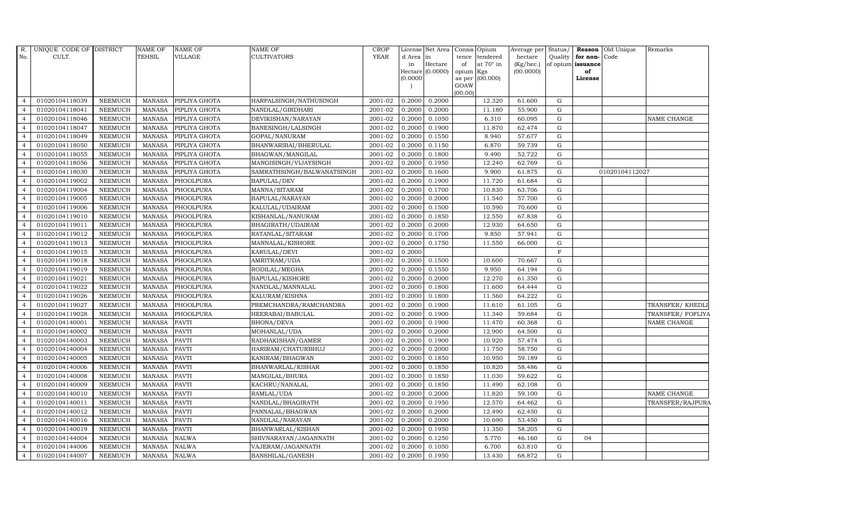| R.             | UNIQUE CODE OF DISTRICT |                | <b>NAME OF</b>  | <b>NAME OF</b> | <b>NAME OF</b>             | CROP        |           | License Net Area | Consis          | Opium            | Average per Status/ Reason Old Unique |             |                         |                | Remarks          |
|----------------|-------------------------|----------------|-----------------|----------------|----------------------------|-------------|-----------|------------------|-----------------|------------------|---------------------------------------|-------------|-------------------------|----------------|------------------|
| No.            | CULT.                   |                | TEHSIL          | <b>VILLAGE</b> | <b>CULTIVATORS</b>         | <b>YEAR</b> | d Area in |                  | tence           | tendered         | hectare                               |             | Quality   for non- Code |                |                  |
|                |                         |                |                 |                |                            |             | in        | Hectare          | of              | at $70^\circ$ in | (Kg/hec.)                             |             | of opium issuance       |                |                  |
|                |                         |                |                 |                |                            |             | 0.0000    | Hectare (0.0000) | opium<br>as per | Kgs<br>(00.000)  | (00.0000)                             |             | of<br>License           |                |                  |
|                |                         |                |                 |                |                            |             |           |                  | GOAW            |                  |                                       |             |                         |                |                  |
|                |                         |                |                 |                |                            |             |           |                  | (00.00)         |                  |                                       |             |                         |                |                  |
| $\overline{4}$ | 01020104118039          | <b>NEEMUCH</b> | <b>MANASA</b>   | PIPLIYA GHOTA  | HARPALSINGH/NATHUSINGH     | 2001-02     | 0.2000    | 0.2000           |                 | 12.320           | 61.600                                | G           |                         |                |                  |
| $\overline{4}$ | 01020104118041          | <b>NEEMUCH</b> | <b>MANASA</b>   | PIPLIYA GHOTA  | NANDLAL/GIRDHARI           | 2001-02     | 0.2000    | 0.2000           |                 | 11.180           | 55.900                                | $\mathbf G$ |                         |                |                  |
| $\overline{4}$ | 01020104118046          | <b>NEEMUCH</b> | <b>MANASA</b>   | PIPLIYA GHOTA  | DEVIKISHAN/NARAYAN         | 2001-02     | 0.2000    | 0.1050           |                 | 6.310            | 60.095                                | G           |                         |                | NAME CHANGE      |
| $\overline{4}$ | 01020104118047          | <b>NEEMUCH</b> | <b>MANASA</b>   | PIPLIYA GHOTA  | BANESINGH/LALSINGH         | 2001-02     | 0.2000    | 0.1900           |                 | 11.870           | 62.474                                | $\mathbf G$ |                         |                |                  |
| $\overline{4}$ | 01020104118049          | <b>NEEMUCH</b> | <b>MANASA</b>   | PIPLIYA GHOTA  | GOPAL/NANURAM              | 2001-02     | 0.2000    | 0.1550           |                 | 8.940            | 57.677                                | G           |                         |                |                  |
| $\overline{4}$ | 01020104118050          | <b>NEEMUCH</b> | <b>MANASA</b>   | PIPLIYA GHOTA  | BHANWARIBAI/BHERULAL       | 2001-02     | 0.2000    | 0.1150           |                 | 6.870            | 59.739                                | G           |                         |                |                  |
| $\overline{4}$ | 01020104118055          | NEEMUCH        | <b>MANASA</b>   | PIPLIYA GHOTA  | BHAGWAN/MANGILAL           | 2001-02     | 0.2000    | 0.1800           |                 | 9.490            | 52.722                                | ${\bf G}$   |                         |                |                  |
| $\overline{4}$ | 01020104118056          | <b>NEEMUCH</b> | <b>MANASA</b>   | PIPLIYA GHOTA  | MANGISINGH/VIJAYSINGH      | 2001-02     | 0.2000    | 0.1950           |                 | 12.240           | 62.769                                | G           |                         |                |                  |
| $\overline{4}$ | 01020104118030          | <b>NEEMUCH</b> | <b>MANASA</b>   | PIPLIYA GHOTA  | SAMRATHSINGH/BALWANATSINGH | 2001-02     | 0.2000    | 0.1600           |                 | 9.900            | 61.875                                | $\mathbf G$ |                         | 01020104112027 |                  |
| $\overline{4}$ | 01020104119002          | <b>NEEMUCH</b> | $\mbox{MANASA}$ | PHOOLPURA      | BAPULAL/DEV                | 2001-02     | 0.2000    | 0.1900           |                 | 11.720           | 61.684                                | G           |                         |                |                  |
| $\overline{4}$ | 01020104119004          | <b>NEEMUCH</b> | <b>MANASA</b>   | PHOOLPURA      | MANNA/SITARAM              | 2001-02     | 0.2000    | 0.1700           |                 | 10.830           | 63.706                                | G           |                         |                |                  |
| $\overline{4}$ | 01020104119005          | <b>NEEMUCH</b> | <b>MANASA</b>   | PHOOLPURA      | BAPULAL/NARAYAN            | 2001-02     | 0.2000    | 0.2000           |                 | 11.540           | 57.700                                | ${\rm G}$   |                         |                |                  |
| $\overline{4}$ | 01020104119006          | <b>NEEMUCH</b> | <b>MANASA</b>   | PHOOLPURA      | KALULAL/UDAIRAM            | 2001-02     | 0.2000    | 0.1500           |                 | 10.590           | 70.600                                | G           |                         |                |                  |
| $\overline{4}$ | 01020104119010          | <b>NEEMUCH</b> | <b>MANASA</b>   | PHOOLPURA      | KISHANLAL/NANURAM          | 2001-02     | 0.2000    | 0.1850           |                 | 12.550           | 67.838                                | $\mathbf G$ |                         |                |                  |
| $\overline{4}$ | 01020104119011          | NEEMUCH        | <b>MANASA</b>   | PHOOLPURA      | BHAGIRATH/UDAIRAM          | 2001-02     | 0.2000    | 0.2000           |                 | 12.930           | 64.650                                | ${\bf G}$   |                         |                |                  |
| $\overline{4}$ | 01020104119012          | <b>NEEMUCH</b> | <b>MANASA</b>   | PHOOLPURA      | RATANLAL/SITARAM           | 2001-02     | 0.2000    | 0.1700           |                 | 9.850            | 57.941                                | G           |                         |                |                  |
| $\overline{4}$ | 01020104119013          | <b>NEEMUCH</b> | <b>MANASA</b>   | PHOOLPURA      | MANNALAL/KISHORE           | 2001-02     | 0.2000    | 0.1750           |                 | 11.550           | 66.000                                | G           |                         |                |                  |
| $\overline{4}$ | 01020104119015          | <b>NEEMUCH</b> | MANASA          | PHOOLPURA      | KARULAL/DEVI               | 2001-02     | 0.2000    |                  |                 |                  |                                       | $\mathbf F$ |                         |                |                  |
| $\overline{4}$ | 01020104119018          | <b>NEEMUCH</b> | <b>MANASA</b>   | PHOOLPURA      | AMRITRAM/UDA               | 2001-02     | 0.2000    | 0.1500           |                 | 10.600           | 70.667                                | $\mathbf G$ |                         |                |                  |
|                | 01020104119019          | NEEMUCH        | <b>MANASA</b>   | PHOOLPURA      | RODILAL/MEGHA              | 2001-02     | 0.2000    | 0.1550           |                 | 9.950            | 64.194                                | ${\bf G}$   |                         |                |                  |
| $\overline{4}$ | 01020104119021          | <b>NEEMUCH</b> | <b>MANASA</b>   | PHOOLPURA      | <b>BAPULAL/KISHORE</b>     | 2001-02     | 0.2000    | 0.2000           |                 | 12.270           | 61.350                                | G           |                         |                |                  |
| $\overline{4}$ | 01020104119022          | <b>NEEMUCH</b> | <b>MANASA</b>   | PHOOLPURA      | NANDLAL/MANNALAL           | 2001-02     | 0.2000    | 0.1800           |                 | 11.600           | 64.444                                | G           |                         |                |                  |
| $\overline{4}$ | 01020104119026          | <b>NEEMUCH</b> | MANASA          | PHOOLPURA      | KALURAM/KISHNA             | 2001-02     | 0.2000    | 0.1800           |                 | 11.560           | 64.222                                | G           |                         |                |                  |
| $\overline{4}$ | 01020104119027          | <b>NEEMUCH</b> | <b>MANASA</b>   | PHOOLPURA      | PREMCHANDRA/RAMCHANDRA     | 2001-02     | 0.2000    | 0.1900           |                 | 11.610           | 61.105                                | $\mathbf G$ |                         |                | TRANSFER/KHEDLI  |
| $\overline{4}$ | 01020104119028          | <b>NEEMUCH</b> | <b>MANASA</b>   | PHOOLPURA      | HEERABAI/BABULAL           | 2001-02     | 0.2000    | 0.1900           |                 | 11.340           | 59.684                                | $\mathbf G$ |                         |                | TRANSFER/FOFLIYA |
| $\overline{4}$ | 01020104140001          | <b>NEEMUCH</b> | <b>MANASA</b>   | <b>PAVTI</b>   | BHONA/DEVA                 | 2001-02     | 0.2000    | 0.1900           |                 | 11.470           | 60.368                                | G           |                         |                | NAME CHANGE      |
| $\overline{4}$ | 01020104140002          | <b>NEEMUCH</b> | <b>MANASA</b>   | <b>PAVTI</b>   | MOHANLAL/UDA               | 2001-02     | 0.2000    | 0.2000           |                 | 12.900           | 64.500                                | G           |                         |                |                  |
| $\overline{4}$ | 01020104140003          | NEEMUCH        | MANASA          | <b>PAVTI</b>   | RADHAKISHAN/GAMER          | 2001-02     | 0.2000    | 0.1900           |                 | 10.920           | 57.474                                | $\mathbf G$ |                         |                |                  |
| $\overline{4}$ | 01020104140004          | <b>NEEMUCH</b> | <b>MANASA</b>   | <b>PAVTI</b>   | HARIRAM/CHATURBHUJ         | 2001-02     | 0.2000    | 0.2000           |                 | 11.750           | 58.750                                | G           |                         |                |                  |
| $\Delta$       | 01020104140005          | <b>NEEMUCH</b> | <b>MANASA</b>   | <b>PAVTI</b>   | KANIRAM/BHAGWAN            | 2001-02     | 0.2000    | 0.1850           |                 | 10.950           | 59.189                                | $\mathbf G$ |                         |                |                  |
| $\overline{4}$ | 01020104140006          | <b>NEEMUCH</b> | <b>MANASA</b>   | <b>PAVTI</b>   | BHANWARLAL/KISHAR          | 2001-02     | 0.2000    | 0.1850           |                 | 10.820           | 58.486                                | G           |                         |                |                  |
| $\overline{4}$ | 01020104140008          | <b>NEEMUCH</b> | <b>MANASA</b>   | <b>PAVTI</b>   | MANGILAL/BHURA             | 2001-02     | 0.2000    | 0.1850           |                 | 11.030           | 59.622                                | $\mathbf G$ |                         |                |                  |
| $\overline{4}$ | 01020104140009          | <b>NEEMUCH</b> | <b>MANASA</b>   | <b>PAVTI</b>   | KACHRU/NANALAL             | 2001-02     | 0.2000    | 0.1850           |                 | 11.490           | 62.108                                | $\mathbf G$ |                         |                |                  |
| $\overline{4}$ | 01020104140010          | <b>NEEMUCH</b> | <b>MANASA</b>   | <b>PAVTI</b>   | RAMLAL/UDA                 | 2001-02     | 0.2000    | 0.2000           |                 | 11.820           | 59.100                                | $\mathbf G$ |                         |                | NAME CHANGE      |
|                | 01020104140011          | <b>NEEMUCH</b> | <b>MANASA</b>   | <b>PAVTI</b>   | NANDLAL/BHAGIRATH          | 2001-02     | 0.2000    | 0.1950           |                 | 12.570           | 64.462                                | $\mathbf G$ |                         |                | TRANSFER/RAJPURA |
| $\overline{4}$ | 01020104140012          | <b>NEEMUCH</b> | <b>MANASA</b>   | <b>PAVTI</b>   | PANNALAL/BHAGWAN           | 2001-02     | 0.2000    | 0.2000           |                 | 12.490           | 62.450                                | G           |                         |                |                  |
| $\overline{4}$ | 01020104140016          | <b>NEEMUCH</b> | <b>MANASA</b>   | <b>PAVTI</b>   | NANDLAL/NARAYAN            | 2001-02     | 0.2000    | 0.2000           |                 | 10.690           | 53.450                                | G           |                         |                |                  |
| $\overline{4}$ | 01020104140019          | <b>NEEMUCH</b> | <b>MANASA</b>   | <b>PAVTI</b>   | BHANWARLAL/KISHAN          | 2001-02     | 0.2000    | 0.1950           |                 | 11.350           | 58.205                                | G           |                         |                |                  |
| $\overline{4}$ | 01020104144004          | <b>NEEMUCH</b> | <b>MANASA</b>   | <b>NALWA</b>   | SHIVNARAYAN/JAGANNATH      | 2001-02     | 0.2000    | 0.1250           |                 | 5.770            | 46.160                                | G           | 04                      |                |                  |
| $\overline{4}$ | 01020104144006          | <b>NEEMUCH</b> | <b>MANASA</b>   | <b>NALWA</b>   | VAJERAM/JAGANNATH          | 2001-02     | 0.2000    | 0.1050           |                 | 6.700            | 63.810                                | G           |                         |                |                  |
| $\overline{4}$ | 01020104144007          | <b>NEEMUCH</b> | MANASA          | <b>NALWA</b>   | BANSHILAL/GANESH           | 2001-02     | 0.2000    | 0.1950           |                 | 13.430           | 68.872                                | G           |                         |                |                  |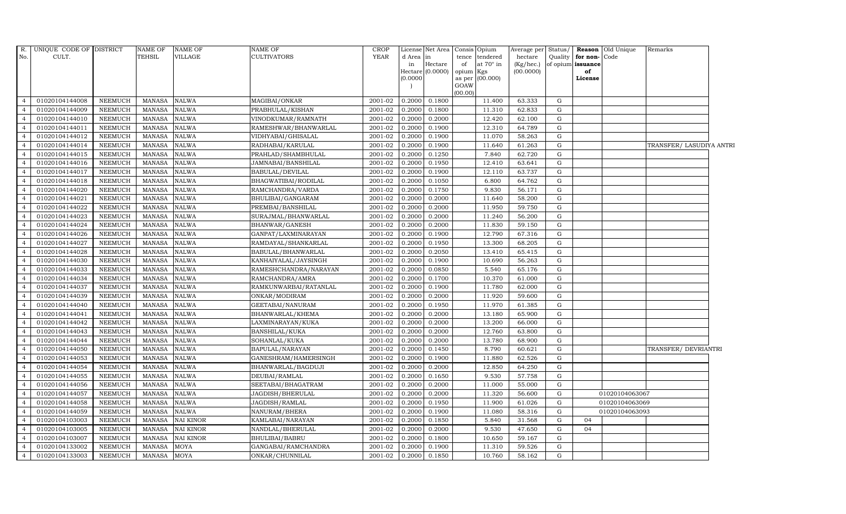|                | R. UNIQUE CODE OF DISTRICT |                | <b>NAME OF</b> | NAME OF      | <b>NAME OF</b>         | <b>CROP</b> |           | License Net Area |           | Consis Opium    | Average per     |             |                      | Status/ <b>Reason</b> Old Unique | Remarks                  |  |
|----------------|----------------------------|----------------|----------------|--------------|------------------------|-------------|-----------|------------------|-----------|-----------------|-----------------|-------------|----------------------|----------------------------------|--------------------------|--|
| No.            | CULT.                      |                | <b>TEHSIL</b>  | VILLAGE      | <b>CULTIVATORS</b>     | <b>YEAR</b> | d Area in |                  |           | tence tendered  | hectare         |             | Quality for non-Code |                                  |                          |  |
|                |                            |                |                |              |                        |             | in        | Hectare          | of        | at 70° in       | $(Kg/$ hec. $)$ |             | of opium issuance    |                                  |                          |  |
|                |                            |                |                |              |                        |             | (0.0000)  | Hectare (0.0000) | opium Kgs | as per (00.000) | (00.0000)       |             | of<br>License        |                                  |                          |  |
|                |                            |                |                |              |                        |             |           |                  | GOAW      |                 |                 |             |                      |                                  |                          |  |
|                |                            |                |                |              |                        |             |           |                  | (00.00)   |                 |                 |             |                      |                                  |                          |  |
| $\overline{4}$ | 01020104144008             | <b>NEEMUCH</b> | MANASA         | <b>NALWA</b> | MAGIBAI/ONKAR          | 2001-02     | 0.2000    | 0.1800           |           | 11.400          | 63.333          | G           |                      |                                  |                          |  |
| $\overline{4}$ | 01020104144009             | <b>NEEMUCH</b> | MANASA         | <b>NALWA</b> | PRABHULAL/KISHAN       | 2001-02     | 0.2000    | 0.1800           |           | 11.310          | 62.833          | ${\rm G}$   |                      |                                  |                          |  |
| $\overline{4}$ | 01020104144010             | <b>NEEMUCH</b> | <b>MANASA</b>  | <b>NALWA</b> | VINODKUMAR/RAMNATH     | 2001-02     | 0.2000    | 0.2000           |           | 12.420          | 62.100          | G           |                      |                                  |                          |  |
|                | 01020104144011             | <b>NEEMUCH</b> | <b>MANASA</b>  | NALWA        | RAMESHWAR/BHANWARLAL   | 2001-02     | 0.2000    | 0.1900           |           | 12.310          | 64.789          | G           |                      |                                  |                          |  |
|                | 01020104144012             | <b>NEEMUCH</b> | <b>MANASA</b>  | NALWA        | VIDHYABAI/GHISALAL     | $2001 - 02$ | 0.2000    | 0.1900           |           | 11.070          | 58.263          | $\mathbf G$ |                      |                                  |                          |  |
| $\overline{4}$ | 01020104144014             | <b>NEEMUCH</b> | <b>MANASA</b>  | NALWA        | RADHABAI/KARULAL       | 2001-02     | 0.2000    | 0.1900           |           | 11.640          | 61.263          | G           |                      |                                  | TRANSFER/ LASUDIYA ANTRI |  |
| $\overline{4}$ | 01020104144015             | <b>NEEMUCH</b> | MANASA         | <b>NALWA</b> | PRAHLAD/SHAMBHULAL     | 2001-02     | 0.2000    | 0.1250           |           | 7.840           | 62.720          | $\mathbf G$ |                      |                                  |                          |  |
|                | 01020104144016             | <b>NEEMUCH</b> | <b>MANASA</b>  | NALWA        | JAMNABAI/BANSHILAL     | 2001-02     | 0.2000    | 0.1950           |           | 12.410          | 63.641          | G           |                      |                                  |                          |  |
|                | 01020104144017             | <b>NEEMUCH</b> | <b>MANASA</b>  | NALWA        | <b>BABULAL/DEVILAL</b> | 2001-02     | 0.2000    | 0.1900           |           | 12.110          | 63.737          | $\mathbf G$ |                      |                                  |                          |  |
|                | 01020104144018             | <b>NEEMUCH</b> | MANASA         | NALWA        | BHAGWATIBAI/RODILAL    | 2001-02     | 0.2000    | 0.1050           |           | 6.800           | 64.762          | ${\rm G}$   |                      |                                  |                          |  |
| $\overline{4}$ | 01020104144020             | <b>NEEMUCH</b> | <b>MANASA</b>  | NALWA        | RAMCHANDRA/VARDA       | 2001-02     | 0.2000    | 0.1750           |           | 9.830           | 56.171          | G           |                      |                                  |                          |  |
| $\overline{4}$ | 01020104144021             | <b>NEEMUCH</b> | MANASA         | <b>NALWA</b> | BHULIBAI/GANGARAM      | 2001-02     | 0.2000    | 0.2000           |           | 11.640          | 58.200          | $\mathbf G$ |                      |                                  |                          |  |
| $\overline{a}$ | 01020104144022             | <b>NEEMUCH</b> | <b>MANASA</b>  | NALWA        | PREMBAI/BANSHILAL      | 2001-02     | 0.2000    | 0.2000           |           | 11.950          | 59.750          | G           |                      |                                  |                          |  |
|                | 01020104144023             | <b>NEEMUCH</b> | <b>MANASA</b>  | <b>NALWA</b> | SURAJMAL/BHANWARLAL    | 2001-02     | 0.2000    | 0.2000           |           | 11.240          | 56.200          | $\mathbf G$ |                      |                                  |                          |  |
|                | 01020104144024             | <b>NEEMUCH</b> | MANASA         | NALWA        | BHANWAR/GANESH         | 2001-02     | 0.2000    | 0.2000           |           | 11.830          | 59.150          | ${\rm G}$   |                      |                                  |                          |  |
| $\overline{4}$ | 01020104144026             | <b>NEEMUCH</b> | <b>MANASA</b>  | <b>NALWA</b> | GANPAT/LAXMINARAYAN    | 2001-02     | 0.2000    | 0.1900           |           | 12.790          | 67.316          | G           |                      |                                  |                          |  |
| $\overline{4}$ | 01020104144027             | <b>NEEMUCH</b> | MANASA         | <b>NALWA</b> | RAMDAYAL/SHANKARLAL    | 2001-02     | 0.2000    | 0.1950           |           | 13.300          | 68.205          | G           |                      |                                  |                          |  |
| $\overline{a}$ | 01020104144028             | <b>NEEMUCH</b> | <b>MANASA</b>  | NALWA        | BABULAL/BHANWARLAL     | 2001-02     | 0.2000    | 0.2050           |           | 13.410          | 65.415          | G           |                      |                                  |                          |  |
|                | 01020104144030             | <b>NEEMUCH</b> | <b>MANASA</b>  | <b>NALWA</b> | KANHAIYALAL/JAYSINGH   | 2001-02     | 0.2000    | 0.1900           |           | 10.690          | 56.263          | $\mathbf G$ |                      |                                  |                          |  |
|                | 01020104144033             | <b>NEEMUCH</b> | MANASA         | NALWA        | RAMESHCHANDRA/NARAYAN  | 2001-02     | 0.2000    | 0.0850           |           | 5.540           | 65.176          | ${\rm G}$   |                      |                                  |                          |  |
| $\overline{4}$ | 01020104144034             | <b>NEEMUCH</b> | <b>MANASA</b>  | NALWA        | RAMCHANDRA/AMRA        | 2001-02     | 0.2000    | 0.1700           |           | 10.370          | 61.000          | G           |                      |                                  |                          |  |
| $\overline{4}$ | 01020104144037             | <b>NEEMUCH</b> | <b>MANASA</b>  | <b>NALWA</b> | RAMKUNWARBAI/RATANLAL  | 2001-02     | 0.2000    | 0.1900           |           | 11.780          | 62.000          | G           |                      |                                  |                          |  |
| $\overline{4}$ | 01020104144039             | <b>NEEMUCH</b> | MANASA         | <b>NALWA</b> | ONKAR/MODIRAM          | 2001-02     | 0.2000    | 0.2000           |           | 11.920          | 59.600          | ${\rm G}$   |                      |                                  |                          |  |
|                | 01020104144040             | <b>NEEMUCH</b> | <b>MANASA</b>  | NALWA        | GEETABAI/NANURAM       | 2001-02     | 0.2000    | 0.1950           |           | 11.970          | 61.385          | G           |                      |                                  |                          |  |
|                | 01020104144041             | <b>NEEMUCH</b> | MANASA         | <b>NALWA</b> | BHANWARLAL/KHEMA       | 2001-02     | 0.2000    | 0.2000           |           | 13.180          | 65.900          | $\mathbf G$ |                      |                                  |                          |  |
| $\overline{4}$ | 01020104144042             | <b>NEEMUCH</b> | <b>MANASA</b>  | NALWA        | LAXMINARAYAN/KUKA      | 2001-02     | 0.2000    | 0.2000           |           | 13.200          | 66.000          | G           |                      |                                  |                          |  |
| $\overline{4}$ | 01020104144043             | <b>NEEMUCH</b> | <b>MANASA</b>  | <b>NALWA</b> | <b>BANSHILAL/KUKA</b>  | $2001 - 02$ | 0.2000    | 0.2000           |           | 12.760          | 63.800          | G           |                      |                                  |                          |  |
| $\overline{4}$ | 01020104144044             | <b>NEEMUCH</b> | MANASA         | <b>NALWA</b> | SOHANLAL/KUKA          | 2001-02     | 0.2000    | 0.2000           |           | 13.780          | 68.900          | ${\rm G}$   |                      |                                  |                          |  |
| $\overline{a}$ | 01020104144050             | <b>NEEMUCH</b> | <b>MANASA</b>  | <b>NALWA</b> | BAPULAL/NARAYAN        | 2001-02     | 0.2000    | 0.1450           |           | 8.790           | 60.621          | $\mathbf G$ |                      |                                  | TRANSFER/ DEVRIANTRI     |  |
|                | 01020104144053             | <b>NEEMUCH</b> | MANASA         | <b>NALWA</b> | GANESHRAM/HAMERSINGH   | 2001-02     | 0.2000    | 0.1900           |           | 11.880          | 62.526          | $\mathbf G$ |                      |                                  |                          |  |
|                | 01020104144054             | <b>NEEMUCH</b> | <b>MANASA</b>  | NALWA        | BHANWARLAL/BAGDUJI     | 2001-02     | 0.2000    | 0.2000           |           | 12.850          | 64.250          | G           |                      |                                  |                          |  |
| $\overline{a}$ | 01020104144055             | <b>NEEMUCH</b> | <b>MANASA</b>  | <b>NALWA</b> | DEUBAI/RAMLAL          | 2001-02     | 0.2000    | 0.1650           |           | 9.530           | 57.758          | ${\rm G}$   |                      |                                  |                          |  |
| $\overline{4}$ | 01020104144056             | <b>NEEMUCH</b> | MANASA         | NALWA        | SEETABAI/BHAGATRAM     | 2001-02     | 0.2000    | 0.2000           |           | 11.000          | 55.000          | $\mathbf G$ |                      |                                  |                          |  |
| $\overline{4}$ | 01020104144057             | <b>NEEMUCH</b> | <b>MANASA</b>  | <b>NALWA</b> | JAGDISH/BHERULAL       | 2001-02     | 0.2000    | 0.2000           |           | 11.320          | 56.600          | G           |                      | 01020104063067                   |                          |  |
|                | 01020104144058             | <b>NEEMUCH</b> | <b>MANASA</b>  | <b>NALWA</b> | JAGDISH/RAMLAL         | 2001-02     | 0.2000    | 0.1950           |           | 11.900          | 61.026          | G           |                      | 01020104063069                   |                          |  |
|                | 01020104144059             | <b>NEEMUCH</b> | <b>MANASA</b>  | NALWA        | NANURAM/BHERA          | 2001-02     | 0.2000    | 0.1900           |           | 11.080          | 58.316          | G           |                      | 01020104063093                   |                          |  |
| $\overline{4}$ | 01020104103003             | <b>NEEMUCH</b> | <b>MANASA</b>  | NAI KINOR    | KAMLABAI/NARAYAN       | 2001-02     | 0.2000    | 0.1850           |           | 5.840           | 31.568          | G           | 04                   |                                  |                          |  |
| $\overline{4}$ | 01020104103005             | <b>NEEMUCH</b> | MANASA         | NAI KINOR    | NANDLAL/BHERULAL       | 2001-02     | 0.2000    | 0.2000           |           | 9.530           | 47.650          | G           | 04                   |                                  |                          |  |
| $\overline{4}$ | 01020104103007             | <b>NEEMUCH</b> | <b>MANASA</b>  | NAI KINOR    | <b>BHULIBAI/BABRU</b>  | 2001-02     | 0.2000    | 0.1800           |           | 10.650          | 59.167          | G           |                      |                                  |                          |  |
|                | 01020104133002             | <b>NEEMUCH</b> | <b>MANASA</b>  | MOYA         | GANGABAI/RAMCHANDRA    | 2001-02     | 0.2000    | 0.1900           |           | 11.310          | 59.526          | G           |                      |                                  |                          |  |
| $\overline{4}$ | 01020104133003             | <b>NEEMUCH</b> | MANASA         | MOYA         | ONKAR/CHUNNILAL        | 2001-02     | 0.2000    | 0.1850           |           | 10.760          | 58.162          | $\mathbf G$ |                      |                                  |                          |  |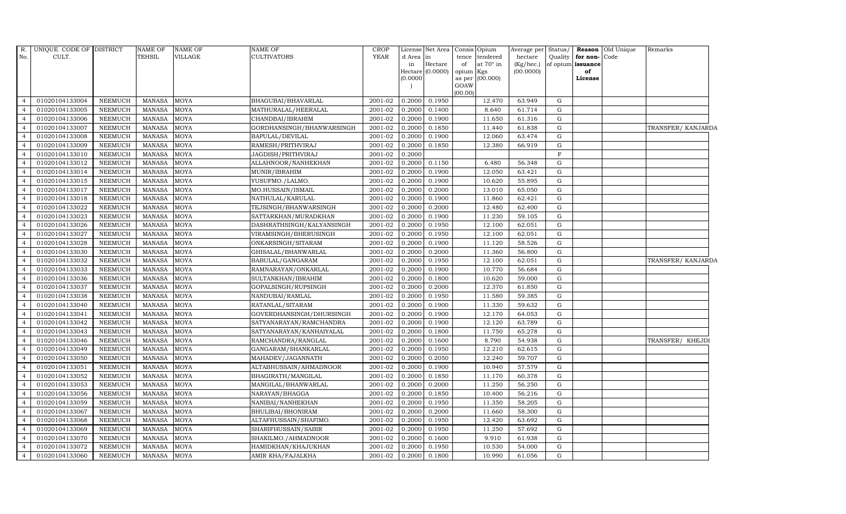| R.             | UNIQUE CODE OF DISTRICT |                | <b>NAME OF</b> | <b>NAME OF</b> | <b>NAME OF</b>            | <b>CROP</b> |                     | License Net Area | Consis Opium    |                 | Average per | Status/     |                   | <b>Reason</b> Old Unique | Remarks            |
|----------------|-------------------------|----------------|----------------|----------------|---------------------------|-------------|---------------------|------------------|-----------------|-----------------|-------------|-------------|-------------------|--------------------------|--------------------|
| No.            | CULT.                   |                | <b>TEHSIL</b>  | VILLAGE        | <b>CULTIVATORS</b>        | <b>YEAR</b> | d Area              | in               | tence           | tendered        | hectare     | Quality     | for non-          | Code                     |                    |
|                |                         |                |                |                |                           |             | in                  | Hectare          | of              | at 70° in       | (Kg/hec.)   |             | of opium issuance |                          |                    |
|                |                         |                |                |                |                           |             | Hectare<br>(0.0000) | (0.0000)         | opium<br>as per | Kgs<br>(00.000) | (00.0000)   |             | of<br>License     |                          |                    |
|                |                         |                |                |                |                           |             |                     |                  | GOAW            |                 |             |             |                   |                          |                    |
|                |                         |                |                |                |                           |             |                     |                  | (00.00)         |                 |             |             |                   |                          |                    |
| $\overline{4}$ | 01020104133004          | <b>NEEMUCH</b> | <b>MANASA</b>  | <b>MOYA</b>    | BHAGUBAI/BHAVARLAL        | 2001-02     | 0.2000              | 0.1950           |                 | 12.470          | 63.949      | G           |                   |                          |                    |
| $\overline{4}$ | 01020104133005          | <b>NEEMUCH</b> | <b>MANASA</b>  | <b>MOYA</b>    | MATHURALAL/HEERALAL       | 2001-02     | 0.2000              | 0.1400           |                 | 8.640           | 61.714      | G           |                   |                          |                    |
| $\overline{4}$ | 01020104133006          | <b>NEEMUCH</b> | <b>MANASA</b>  | <b>MOYA</b>    | CHANDBAI/IBRAHIM          | 2001-02     | 0.2000              | 0.1900           |                 | 11.650          | 61.316      | G           |                   |                          |                    |
| $\overline{4}$ | 01020104133007          | <b>NEEMUCH</b> | <b>MANASA</b>  | <b>MOYA</b>    | GORDHANSINGH/BHANWARSINGH | 2001-02     | 0.2000              | 0.1850           |                 | 11.440          | 61.838      | G           |                   |                          | TRANSFER/ KANJARDA |
| $\overline{4}$ | 01020104133008          | <b>NEEMUCH</b> | <b>MANASA</b>  | <b>MOYA</b>    | BAPULAL/DEVILAL           | 2001-02     | 0.2000              | 0.1900           |                 | 12.060          | 63.474      | G           |                   |                          |                    |
| $\overline{4}$ | 01020104133009          | <b>NEEMUCH</b> | <b>MANASA</b>  | MOYA           | RAMESH/PRITHVIRAJ         | 2001-02     | 0.2000              | 0.1850           |                 | 12.380          | 66.919      | G           |                   |                          |                    |
| $\overline{4}$ | 01020104133010          | <b>NEEMUCH</b> | <b>MANASA</b>  | <b>MOYA</b>    | JAGDISH/PRITHVIRAJ        | 2001-02     | 0.2000              |                  |                 |                 |             | $\mathbf F$ |                   |                          |                    |
| $\overline{4}$ | 01020104133012          | <b>NEEMUCH</b> | <b>MANASA</b>  | <b>MOYA</b>    | ALLAHNOOR/NANHEKHAN       | 2001-02     | 0.2000              | 0.1150           |                 | 6.480           | 56.348      | G           |                   |                          |                    |
| $\overline{4}$ | 01020104133014          | <b>NEEMUCH</b> | <b>MANASA</b>  | <b>MOYA</b>    | MUNIR/IBRAHIM             | 2001-02     | 0.2000              | 0.1900           |                 | 12.050          | 63.421      | G           |                   |                          |                    |
| $\overline{4}$ | 01020104133015          | <b>NEEMUCH</b> | <b>MANASA</b>  | <b>MOYA</b>    | YUSUFMO./LALMO.           | 2001-02     | 0.2000              | 0.1900           |                 | 10.620          | 55.895      | G           |                   |                          |                    |
| $\overline{4}$ | 01020104133017          | <b>NEEMUCH</b> | <b>MANASA</b>  | <b>MOYA</b>    | MO.HUSSAIN/ISMAIL         | 2001-02     | 0.2000              | 0.2000           |                 | 13.010          | 65.050      | G           |                   |                          |                    |
| $\overline{4}$ | 01020104133018          | <b>NEEMUCH</b> | <b>MANASA</b>  | <b>MOYA</b>    | NATHULAL/KARULAL          | 2001-02     | 0.2000              | 0.1900           |                 | 11.860          | 62.421      | ${\rm G}$   |                   |                          |                    |
| $\overline{4}$ | 01020104133022          | <b>NEEMUCH</b> | <b>MANASA</b>  | <b>MOYA</b>    | TEJSINGH/BHANWARSINGH     | 2001-02     | 0.2000              | 0.2000           |                 | 12.480          | 62.400      | G           |                   |                          |                    |
| $\overline{4}$ | 01020104133023          | <b>NEEMUCH</b> | <b>MANASA</b>  | <b>MOYA</b>    | SATTARKHAN/MURADKHAN      | 2001-02     | 0.2000              | 0.1900           |                 | 11.230          | 59.105      | G           |                   |                          |                    |
| $\overline{4}$ | 01020104133026          | <b>NEEMUCH</b> | <b>MANASA</b>  | <b>MOYA</b>    | DASHRATHSINGH/KALYANSINGH | 2001-02     | 0.2000              | 0.1950           |                 | 12.100          | 62.051      | G           |                   |                          |                    |
| $\overline{4}$ | 01020104133027          | <b>NEEMUCH</b> | <b>MANASA</b>  | <b>MOYA</b>    | VIRAMSINGH/BHERUSINGH     | 2001-02     | 0.2000              | 0.1950           |                 | 12.100          | 62.051      | G           |                   |                          |                    |
| $\overline{4}$ | 01020104133028          | <b>NEEMUCH</b> | <b>MANASA</b>  | <b>MOYA</b>    | ONKARSINGH/SITARAM        | 2001-02     | 0.2000              | 0.1900           |                 | 11.120          | 58.526      | G           |                   |                          |                    |
| $\overline{4}$ | 01020104133030          | <b>NEEMUCH</b> | <b>MANASA</b>  | MOYA           | GHISALAL/BHANWARLAL       | 2001-02     | 0.2000              | 0.2000           |                 | 11.360          | 56.800      | G           |                   |                          |                    |
| $\overline{4}$ | 01020104133032          | <b>NEEMUCH</b> | <b>MANASA</b>  | <b>MOYA</b>    | BABULAL/GANGARAM          | $2001 - 02$ | 0.2000              | 0.1950           |                 | 12.100          | 62.051      | ${\rm G}$   |                   |                          | TRANSFER/ KANJARDA |
| $\overline{4}$ | 01020104133033          | <b>NEEMUCH</b> | <b>MANASA</b>  | <b>MOYA</b>    | RAMNARAYAN/ONKARLAL       | 2001-02     | 0.2000              | 0.1900           |                 | 10.770          | 56.684      | G           |                   |                          |                    |
| $\overline{4}$ | 01020104133036          | <b>NEEMUCH</b> | <b>MANASA</b>  | <b>MOYA</b>    | SULTANKHAN/IBRAHIM        | 2001-02     | 0.2000              | 0.1800           |                 | 10.620          | 59.000      | G           |                   |                          |                    |
| $\overline{4}$ | 01020104133037          | <b>NEEMUCH</b> | <b>MANASA</b>  | <b>MOYA</b>    | GOPALSINGH/RUPSINGH       | 2001-02     | 0.2000              | 0.2000           |                 | 12.370          | 61.850      | G           |                   |                          |                    |
| $\overline{4}$ | 01020104133038          | <b>NEEMUCH</b> | <b>MANASA</b>  | MOYA           | NANDUBAI/RAMLAL           | 2001-02     | 0.2000              | 0.1950           |                 | 11.580          | 59.385      | G           |                   |                          |                    |
| $\overline{4}$ | 01020104133040          | <b>NEEMUCH</b> | <b>MANASA</b>  | <b>MOYA</b>    | RATANLAL/SITARAM          | 2001-02     | 0.2000              | 0.1900           |                 | 11.330          | 59.632      | ${\rm G}$   |                   |                          |                    |
| $\overline{4}$ | 01020104133041          | <b>NEEMUCH</b> | <b>MANASA</b>  | <b>MOYA</b>    | GOVERDHANSINGH/DHURSINGH  | 2001-02     | 0.2000              | 0.1900           |                 | 12.170          | 64.053      | G           |                   |                          |                    |
| $\overline{4}$ | 01020104133042          | <b>NEEMUCH</b> | <b>MANASA</b>  | MOYA           | SATYANARAYAN/RAMCHANDRA   | 2001-02     | 0.2000              | 0.1900           |                 | 12.120          | 63.789      | G           |                   |                          |                    |
| $\overline{4}$ | 01020104133043          | <b>NEEMUCH</b> | MANASA         | <b>MOYA</b>    | SATYANARAYAN/KANHAIYALAL  | 2001-02     | 0.2000              | 0.1800           |                 | 11.750          | 65.278      | G           |                   |                          |                    |
| $\overline{4}$ | 01020104133046          | NEEMUCH        | <b>MANASA</b>  | MOYA           | RAMCHANDRA/RANGLAL        | 2001-02     | 0.2000              | 0.1600           |                 | 8.790           | 54.938      | G           |                   |                          | TRANSFER/ KHEJDI   |
| $\overline{4}$ | 01020104133049          | <b>NEEMUCH</b> | <b>MANASA</b>  | <b>MOYA</b>    | GANGARAM/SHANKARLAL       | 2001-02     | 0.2000              | 0.1950           |                 | 12.210          | 62.615      | ${\rm G}$   |                   |                          |                    |
| $\overline{4}$ | 01020104133050          | <b>NEEMUCH</b> | <b>MANASA</b>  | MOYA           | MAHADEV/JAGANNATH         | 2001-02     | 0.2000              | 0.2050           |                 | 12.240          | 59.707      | G           |                   |                          |                    |
| $\overline{4}$ | 01020104133051          | <b>NEEMUCH</b> | <b>MANASA</b>  | MOYA           | ALTABHUSSAIN/AHMADNOOR    | 2001-02     | 0.2000              | 0.1900           |                 | 10.940          | 57.579      | G           |                   |                          |                    |
| $\overline{4}$ | 01020104133052          | <b>NEEMUCH</b> | <b>MANASA</b>  | <b>MOYA</b>    | BHAGIRATH/MANGILAL        | 2001-02     | 0.2000              | 0.1850           |                 | 11.170          | 60.378      | G           |                   |                          |                    |
| $\overline{4}$ | 01020104133053          | <b>NEEMUCH</b> | <b>MANASA</b>  | MOYA           | MANGILAL/BHANWARLAL       | 2001-02     | 0.2000              | 0.2000           |                 | 11.250          | 56.250      | G           |                   |                          |                    |
| $\overline{4}$ | 01020104133056          | <b>NEEMUCH</b> | <b>MANASA</b>  | <b>MOYA</b>    | NARAYAN/BHAGGA            | 2001-02     | 0.2000              | 0.1850           |                 | 10.400          | 56.216      | G           |                   |                          |                    |
| $\overline{4}$ | 01020104133059          | <b>NEEMUCH</b> | <b>MANASA</b>  | MOYA           | NANIBAI/NANHEKHAN         | 2001-02     | 0.2000              | 0.1950           |                 | 11.350          | 58.205      | G           |                   |                          |                    |
| $\overline{4}$ | 01020104133067          | <b>NEEMUCH</b> | <b>MANASA</b>  | MOYA           | BHULIBAI/BHONIRAM         | 2001-02     | 0.2000              | 0.2000           |                 | 11.660          | 58.300      | G           |                   |                          |                    |
| $\overline{4}$ | 01020104133068          | <b>NEEMUCH</b> | <b>MANASA</b>  | <b>MOYA</b>    | ALTAFHUSSAIN/SHAFIMO.     | 2001-02     | 0.2000              | 0.1950           |                 | 12.420          | 63.692      | G           |                   |                          |                    |
| $\overline{4}$ | 01020104133069          | <b>NEEMUCH</b> | <b>MANASA</b>  | MOYA           | SHARIFHUSSAIN/SABIR       | 2001-02     | 0.2000              | 0.1950           |                 | 11.250          | 57.692      | G           |                   |                          |                    |
| $\overline{4}$ | 01020104133070          | <b>NEEMUCH</b> | <b>MANASA</b>  | <b>MOYA</b>    | SHAKILMO./AHMADNOOR       | 2001-02     | 0.2000              | 0.1600           |                 | 9.910           | 61.938      | G           |                   |                          |                    |
| $\overline{4}$ | 01020104133072          | <b>NEEMUCH</b> | <b>MANASA</b>  | MOYA           | HAMIDKHAN/KHAJUKHAN       | 2001-02     | 0.2000              | 0.1950           |                 | 10.530          | 54.000      | G           |                   |                          |                    |
| $\overline{4}$ | 01020104133060          | <b>NEEMUCH</b> | <b>MANASA</b>  | <b>MOYA</b>    | AMIR KHA/FAJALKHA         | 2001-02     | 0.2000              | 0.1800           |                 | 10.990          | 61.056      | G           |                   |                          |                    |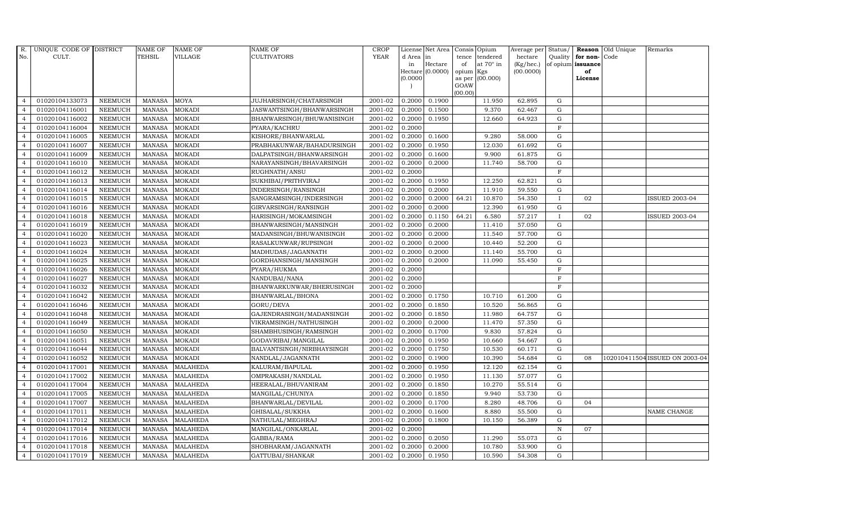| R.             | UNIQUE CODE OF DISTRICT |                | <b>NAME OF</b> | <b>NAME OF</b>  | <b>NAME OF</b>            | CROP        |           | License Net Area   Consis   Opium |           |                  | Average per | Status/      | Reason            | Old Unique | Remarks                        |
|----------------|-------------------------|----------------|----------------|-----------------|---------------------------|-------------|-----------|-----------------------------------|-----------|------------------|-------------|--------------|-------------------|------------|--------------------------------|
| No.            | CULT.                   |                | <b>TEHSIL</b>  | VILLAGE         | <b>CULTIVATORS</b>        | <b>YEAR</b> | d Area in |                                   | tence     | tendered         | hectare     | Quality      | for non-          | Code       |                                |
|                |                         |                |                |                 |                           |             | in        | Hectare                           | of        | at $70^\circ$ in | (Kg/hec.)   |              | of opium issuance |            |                                |
|                |                         |                |                |                 |                           |             |           | Hectare (0.0000)                  | opium Kgs |                  | (00.0000)   |              | of                |            |                                |
|                |                         |                |                |                 |                           |             | (0.0000)  |                                   | GOAW      | as per (00.000)  |             |              | License           |            |                                |
|                |                         |                |                |                 |                           |             |           |                                   | (00.00)   |                  |             |              |                   |            |                                |
| $\overline{4}$ | 01020104133073          | <b>NEEMUCH</b> | MANASA         | MOYA            | JUJHARSINGH/CHATARSINGH   | 2001-02     | 0.2000    | 0.1900                            |           | 11.950           | 62.895      | $\mathbf G$  |                   |            |                                |
| $\overline{4}$ | 01020104116001          | <b>NEEMUCH</b> | <b>MANASA</b>  | <b>MOKADI</b>   | JASWANTSINGH/BHANWARSINGH | 2001-02     | 0.2000    | 0.1500                            |           | 9.370            | 62.467      | G            |                   |            |                                |
| $\overline{4}$ | 01020104116002          | <b>NEEMUCH</b> | <b>MANASA</b>  | <b>MOKADI</b>   | BHANWARSINGH/BHUWANISINGH | 2001-02     | 0.2000    | 0.1950                            |           | 12.660           | 64.923      | G            |                   |            |                                |
|                | 01020104116004          | <b>NEEMUCH</b> | <b>MANASA</b>  | <b>MOKADI</b>   | PYARA/KACHRU              | 2001-02     | 0.2000    |                                   |           |                  |             | F            |                   |            |                                |
| $\overline{4}$ | 01020104116005          | <b>NEEMUCH</b> | <b>MANASA</b>  | <b>MOKADI</b>   | KISHORE/BHANWARLAL        | 2001-02     | 0.2000    | 0.1600                            |           | 9.280            | 58.000      | ${\rm G}$    |                   |            |                                |
| $\overline{4}$ | 01020104116007          | <b>NEEMUCH</b> | <b>MANASA</b>  | <b>MOKADI</b>   | PRABHAKUNWAR/BAHADURSINGH | 2001-02     | 0.2000    | 0.1950                            |           | 12.030           | 61.692      | ${\rm G}$    |                   |            |                                |
| $\overline{4}$ | 01020104116009          | <b>NEEMUCH</b> | <b>MANASA</b>  | <b>MOKADI</b>   | DALPATSINGH/BHANWARSINGH  | 2001-02     | 0.2000    | 0.1600                            |           | 9.900            | 61.875      | G            |                   |            |                                |
| $\overline{4}$ | 01020104116010          | <b>NEEMUCH</b> | <b>MANASA</b>  | <b>MOKADI</b>   | NARAYANSINGH/BHAVARSINGH  | 2001-02     | 0.2000    | 0.2000                            |           | 11.740           | 58.700      | $\mathbf G$  |                   |            |                                |
| $\overline{4}$ | 01020104116012          | <b>NEEMUCH</b> | <b>MANASA</b>  | <b>MOKADI</b>   | RUGHNATH/ANSU             | 2001-02     | 0.2000    |                                   |           |                  |             | F            |                   |            |                                |
| $\overline{4}$ | 01020104116013          | <b>NEEMUCH</b> | <b>MANASA</b>  | <b>MOKADI</b>   | SUKHIBAI/PRITHVIRAJ       | 2001-02     | 0.2000    | 0.1950                            |           | 12.250           | 62.821      | $\mathbf G$  |                   |            |                                |
| $\overline{4}$ | 01020104116014          | <b>NEEMUCH</b> | <b>MANASA</b>  | <b>MOKADI</b>   | INDERSINGH/RANSINGH       | 2001-02     | 0.2000    | 0.2000                            |           | 11.910           | 59.550      | $\mathbf G$  |                   |            |                                |
| $\overline{4}$ | 01020104116015          | <b>NEEMUCH</b> | MANASA         | <b>MOKADI</b>   | SANGRAMSINGH/INDERSINGH   | 2001-02     | 0.2000    | 0.2000                            | 64.21     | 10.870           | 54.350      | $\mathbf{I}$ | 02                |            | <b>ISSUED 2003-04</b>          |
| $\overline{4}$ | 01020104116016          | <b>NEEMUCH</b> | <b>MANASA</b>  | <b>MOKADI</b>   | GIRVARSINGH/RANSINGH      | 2001-02     | 0.2000    | 0.2000                            |           | 12.390           | 61.950      | G            |                   |            |                                |
| $\overline{a}$ | 01020104116018          | <b>NEEMUCH</b> | <b>MANASA</b>  | <b>MOKADI</b>   | HARISINGH/MOKAMSINGH      | 2001-02     | 0.2000    | 0.1150                            | 64.21     | 6.580            | 57.217      | $\mathbf{I}$ | 02                |            | <b>ISSUED 2003-04</b>          |
| $\overline{4}$ | 01020104116019          | <b>NEEMUCH</b> | <b>MANASA</b>  | <b>MOKADI</b>   | BHANWARSINGH/MANSINGH     | 2001-02     | 0.2000    | 0.2000                            |           | 11.410           | 57.050      | ${\rm G}$    |                   |            |                                |
| $\overline{4}$ | 01020104116020          | <b>NEEMUCH</b> | <b>MANASA</b>  | <b>MOKADI</b>   | MADANSINGH/BHUWANISINGH   | 2001-02     | 0.2000    | 0.2000                            |           | 11.540           | 57.700      | G            |                   |            |                                |
| $\overline{4}$ | 01020104116023          | <b>NEEMUCH</b> | <b>MANASA</b>  | <b>MOKADI</b>   | RASALKUNWAR/RUPSINGH      | 2001-02     | 0.2000    | 0.2000                            |           | 10.440           | 52.200      | ${\rm G}$    |                   |            |                                |
| $\overline{4}$ | 01020104116024          | <b>NEEMUCH</b> | <b>MANASA</b>  | <b>MOKADI</b>   | MADHUDAS/JAGANNATH        | 2001-02     | 0.2000    | 0.2000                            |           | 11.140           | 55.700      | G            |                   |            |                                |
| $\overline{4}$ | 01020104116025          | <b>NEEMUCH</b> | <b>MANASA</b>  | <b>MOKADI</b>   | GORDHANSINGH/MANSINGH     | 2001-02     | 0.2000    | 0.2000                            |           | 11.090           | 55.450      | $\mathbf G$  |                   |            |                                |
|                | 01020104116026          | <b>NEEMUCH</b> | <b>MANASA</b>  | <b>MOKADI</b>   | PYARA/HUKMA               | 2001-02     | 0.2000    |                                   |           |                  |             | $\mathbf F$  |                   |            |                                |
| $\overline{4}$ | 01020104116027          | <b>NEEMUCH</b> | <b>MANASA</b>  | <b>MOKADI</b>   | NANDUBAI/NANA             | 2001-02     | 0.2000    |                                   |           |                  |             | $\mathbf F$  |                   |            |                                |
| $\overline{4}$ | 01020104116032          | <b>NEEMUCH</b> | <b>MANASA</b>  | <b>MOKADI</b>   | BHANWARKUNWAR/BHERUSINGH  | 2001-02     | 0.2000    |                                   |           |                  |             | $\mathbf F$  |                   |            |                                |
| $\overline{4}$ | 01020104116042          | <b>NEEMUCH</b> | <b>MANASA</b>  | <b>MOKADI</b>   | BHANWARLAL/BHONA          | 2001-02     | 0.2000    | 0.1750                            |           | 10.710           | 61.200      | $\mathbf G$  |                   |            |                                |
| $\overline{4}$ | 01020104116046          | <b>NEEMUCH</b> | <b>MANASA</b>  | <b>MOKADI</b>   | GORU/DEVA                 | 2001-02     | 0.2000    | 0.1850                            |           | 10.520           | 56.865      | $\mathbf G$  |                   |            |                                |
| $\overline{4}$ | 01020104116048          | <b>NEEMUCH</b> | <b>MANASA</b>  | <b>MOKADI</b>   | GAJENDRASINGH/MADANSINGH  | 2001-02     | 0.2000    | 0.1850                            |           | 11.980           | 64.757      | $\mathbf G$  |                   |            |                                |
| $\overline{4}$ | 01020104116049          | <b>NEEMUCH</b> | <b>MANASA</b>  | <b>MOKADI</b>   | VIKRAMSINGH/NATHUSINGH    | 2001-02     | 0.2000    | 0.2000                            |           | 11.470           | 57.350      | ${\rm G}$    |                   |            |                                |
| $\overline{4}$ | 01020104116050          | <b>NEEMUCH</b> | <b>MANASA</b>  | <b>MOKADI</b>   | SHAMBHUSINGH/RAMSINGH     | 2001-02     | 0.2000    | 0.1700                            |           | 9.830            | 57.824      | $\mathbf G$  |                   |            |                                |
| $\overline{4}$ | 01020104116051          | <b>NEEMUCH</b> | <b>MANASA</b>  | <b>MOKADI</b>   | GODAVRIBAI/MANGILAL       | 2001-02     | 0.2000    | 0.1950                            |           | 10.660           | 54.667      | ${\rm G}$    |                   |            |                                |
| $\overline{4}$ | 01020104116044          | <b>NEEMUCH</b> | <b>MANASA</b>  | <b>MOKADI</b>   | BALVANTSINGH/NIRBHAYSINGH | 2001-02     | 0.2000    | 0.1750                            |           | 10.530           | 60.171      | $\mathbf G$  |                   |            |                                |
| $\overline{4}$ | 01020104116052          | <b>NEEMUCH</b> | <b>MANASA</b>  | <b>MOKADI</b>   | NANDLAL/JAGANNATH         | 2001-02     | 0.2000    | 0.1900                            |           | 10.390           | 54.684      | $\mathbf G$  | 08                |            | 102010411504 ISSUED ON 2003-04 |
| $\overline{4}$ | 01020104117001          | <b>NEEMUCH</b> | <b>MANASA</b>  | <b>MALAHEDA</b> | KALURAM/BAPULAL           | 2001-02     | 0.2000    | 0.1950                            |           | 12.120           | 62.154      | $\mathbf G$  |                   |            |                                |
| $\overline{4}$ | 01020104117002          | <b>NEEMUCH</b> | <b>MANASA</b>  | <b>MALAHEDA</b> | OMPRAKASH/NANDLAL         | 2001-02     | 0.2000    | 0.1950                            |           | 11.130           | 57.077      | ${\rm G}$    |                   |            |                                |
| $\overline{4}$ | 01020104117004          | <b>NEEMUCH</b> | <b>MANASA</b>  | <b>MALAHEDA</b> | HEERALAL/BHUVANIRAM       | 2001-02     | 0.2000    | 0.1850                            |           | 10.270           | 55.514      | $\mathbf G$  |                   |            |                                |
| $\overline{4}$ | 01020104117005          | <b>NEEMUCH</b> | <b>MANASA</b>  | <b>MALAHEDA</b> | MANGILAL/CHUNIYA          | 2001-02     | 0.2000    | 0.1850                            |           | 9.940            | 53.730      | $\mathbf G$  |                   |            |                                |
| $\overline{4}$ | 01020104117007          | <b>NEEMUCH</b> | <b>MANASA</b>  | <b>MALAHEDA</b> | BHANWARLAL/DEVILAL        | 2001-02     | 0.2000    | 0.1700                            |           | 8.280            | 48.706      | $\mathbf G$  | 04                |            |                                |
| $\overline{4}$ | 01020104117011          | <b>NEEMUCH</b> | <b>MANASA</b>  | <b>MALAHEDA</b> | GHISALAL/SUKKHA           | 2001-02     | 0.2000    | 0.1600                            |           | 8.880            | 55.500      | $\mathbf G$  |                   |            | NAME CHANGE                    |
| $\overline{4}$ | 01020104117012          | <b>NEEMUCH</b> | <b>MANASA</b>  | <b>MALAHEDA</b> | NATHULAL/MEGHRAJ          | 2001-02     | 0.2000    | 0.1800                            |           | 10.150           | 56.389      | ${\rm G}$    |                   |            |                                |
| $\overline{4}$ | 01020104117014          | <b>NEEMUCH</b> | <b>MANASA</b>  | <b>MALAHEDA</b> | MANGILAL/ONKARLAL         | 2001-02     | 0.2000    |                                   |           |                  |             | ${\bf N}$    | 07                |            |                                |
| $\overline{4}$ | 01020104117016          | <b>NEEMUCH</b> | <b>MANASA</b>  | <b>MALAHEDA</b> | GABBA/RAMA                | 2001-02     | 0.2000    | 0.2050                            |           | 11.290           | 55.073      | G            |                   |            |                                |
| $\overline{4}$ | 01020104117018          | <b>NEEMUCH</b> | <b>MANASA</b>  | <b>MALAHEDA</b> | SHOBHARAM/JAGANNATH       | 2001-02     | 0.2000    | 0.2000                            |           | 10.780           | 53.900      | $\mathbf G$  |                   |            |                                |
| $\overline{4}$ | 01020104117019          | <b>NEEMUCH</b> |                | MANASA MALAHEDA | GATTUBAI/SHANKAR          | 2001-02     | 0.2000    | 0.1950                            |           | 10.590           | 54.308      | G            |                   |            |                                |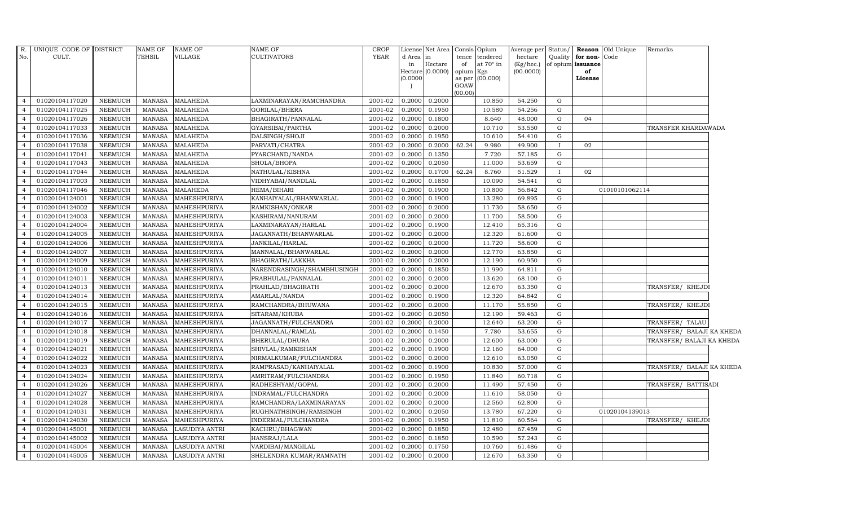| R.             | UNIQUE CODE OF DISTRICT |                | NAME OF       | <b>NAME OF</b>        | <b>NAME OF</b>             | CROP        |           | License Net Area |                     | Consis Opium     | Average per Status/ |              |                   | Reason Old Unique | Remarks                   |  |
|----------------|-------------------------|----------------|---------------|-----------------------|----------------------------|-------------|-----------|------------------|---------------------|------------------|---------------------|--------------|-------------------|-------------------|---------------------------|--|
| No.            | CULT.                   |                | <b>TEHSIL</b> | <b>VILLAGE</b>        | CULTIVATORS                | <b>YEAR</b> | d Area in |                  | tence               | tendered         | hectare             | Quality      | for non-Code      |                   |                           |  |
|                |                         |                |               |                       |                            |             | in        | Hectare          | of                  | at $70^\circ$ in | (Kg/hec.)           |              | of opium issuance |                   |                           |  |
|                |                         |                |               |                       |                            |             | (0.0000)  | Hectare (0.0000) | opium Kgs<br>as per | (00.000)         | (00.0000)           |              | of<br>License     |                   |                           |  |
|                |                         |                |               |                       |                            |             |           |                  | GOAW                |                  |                     |              |                   |                   |                           |  |
|                |                         |                |               |                       |                            |             |           |                  | (00.00)             |                  |                     |              |                   |                   |                           |  |
| $\overline{4}$ | 01020104117020          | NEEMUCH        | MANASA        | <b>MALAHEDA</b>       | LAXMINARAYAN/RAMCHANDRA    | 2001-02     | 0.2000    | 0.2000           |                     | 10.850           | 54.250              | G            |                   |                   |                           |  |
| $\overline{4}$ | 01020104117025          | <b>NEEMUCH</b> | MANASA        | <b>MALAHEDA</b>       | GORILAL/BHERA              | 2001-02     | 0.2000    | 0.1950           |                     | 10.580           | 54.256              | ${\rm G}$    |                   |                   |                           |  |
| $\overline{4}$ | 01020104117026          | <b>NEEMUCH</b> | <b>MANASA</b> | <b>MALAHEDA</b>       | BHAGIRATH/PANNALAL         | 2001-02     | 0.2000    | 0.1800           |                     | 8.640            | 48.000              | G            | 04                |                   |                           |  |
|                | 01020104117033          | <b>NEEMUCH</b> | <b>MANASA</b> | <b>MALAHEDA</b>       | GYARSIBAI/PARTHA           | 2001-02     | 0.2000    | 0.2000           |                     | 10.710           | 53.550              | G            |                   |                   | TRANSFER KHARDAWADA       |  |
| $\overline{4}$ | 01020104117036          | <b>NEEMUCH</b> | <b>MANASA</b> | <b>MALAHEDA</b>       | DALSINGH/SHOJI             | 2001-02     | 0.2000    | 0.1950           |                     | 10.610           | 54.410              | G            |                   |                   |                           |  |
| $\overline{4}$ | 01020104117038          | <b>NEEMUCH</b> | MANASA        | <b>MALAHEDA</b>       | PARVATI/CHATRA             | 2001-02     | 0.2000    | 0.2000           | 62.24               | 9.980            | 49.900              | $\mathbf{I}$ | 02                |                   |                           |  |
| $\overline{4}$ | 01020104117041          | NEEMUCH        | MANASA        | <b>MALAHEDA</b>       | PYARCHAND/NANDA            | 2001-02     | 0.2000    | 0.1350           |                     | 7.720            | 57.185              | G            |                   |                   |                           |  |
| $\overline{4}$ | 01020104117043          | <b>NEEMUCH</b> | MANASA        | <b>MALAHEDA</b>       | SHOLA/BHOPA                | 2001-02     | 0.2000    | 0.2050           |                     | 11.000           | 53.659              | G            |                   |                   |                           |  |
| $\overline{4}$ | 01020104117044          | <b>NEEMUCH</b> | <b>MANASA</b> | <b>MALAHEDA</b>       | NATHULAL/KISHNA            | 2001-02     | 0.2000    | 0.1700           | 62.24               | 8.760            | 51.529              | $\mathbf I$  | 02                |                   |                           |  |
|                | 01020104117003          | NEEMUCH        | <b>MANASA</b> | <b>MALAHEDA</b>       | VIDHYABAI/NANDLAL          | 2001-02     | 0.2000    | 0.1850           |                     | 10.090           | 54.541              | G            |                   |                   |                           |  |
| $\overline{4}$ | 01020104117046          | <b>NEEMUCH</b> | <b>MANASA</b> | <b>MALAHEDA</b>       | HEMA/BIHARI                | 2001-02     | 0.2000    | 0.1900           |                     | 10.800           | 56.842              | ${\rm G}$    |                   | 01010101062114    |                           |  |
| $\overline{4}$ | 01020104124001          | <b>NEEMUCH</b> | <b>MANASA</b> | MAHESHPURIYA          | KANHAIYALAL/BHANWARLAL     | 2001-02     | 0.2000    | 0.1900           |                     | 13.280           | 69.895              | G            |                   |                   |                           |  |
| $\overline{4}$ | 01020104124002          | <b>NEEMUCH</b> | <b>MANASA</b> | MAHESHPURIYA          | RAMKISHAN/ONKAR            | 2001-02     | 0.2000    | 0.2000           |                     | 11.730           | 58.650              | G            |                   |                   |                           |  |
| $\overline{4}$ | 01020104124003          | <b>NEEMUCH</b> | <b>MANASA</b> | <b>MAHESHPURIYA</b>   | KASHIRAM/NANURAM           | 2001-02     | 0.2000    | 0.2000           |                     | 11.700           | 58.500              | ${\rm G}$    |                   |                   |                           |  |
|                | 01020104124004          | <b>NEEMUCH</b> | <b>MANASA</b> | MAHESHPURIYA          | LAXMINARAYAN/HARLAL        | 2001-02     | 0.2000    | 0.1900           |                     | 12.410           | 65.316              | G            |                   |                   |                           |  |
| $\overline{4}$ | 01020104124005          | <b>NEEMUCH</b> | MANASA        | MAHESHPURIYA          | JAGANNATH/BHANWARLAL       | 2001-02     | 0.2000    | 0.2000           |                     | 12.320           | 61.600              | G            |                   |                   |                           |  |
| $\overline{4}$ | 01020104124006          | <b>NEEMUCH</b> | <b>MANASA</b> | MAHESHPURIYA          | JANKILAL/HARLAL            | 2001-02     | 0.2000    | 0.2000           |                     | 11.720           | 58.600              | G            |                   |                   |                           |  |
| $\overline{4}$ | 01020104124007          | <b>NEEMUCH</b> | <b>MANASA</b> | MAHESHPURIYA          | MANNALAL/BHANWARLAL        | 2001-02     | 0.2000    | 0.2000           |                     | 12.770           | 63.850              | ${\rm G}$    |                   |                   |                           |  |
| $\overline{4}$ | 01020104124009          | <b>NEEMUCH</b> | <b>MANASA</b> | <b>MAHESHPURIYA</b>   | BHAGIRATH/LAKKHA           | 2001-02     | 0.2000    | 0.2000           |                     | 12.190           | 60.950              | ${\rm G}$    |                   |                   |                           |  |
|                | 01020104124010          | <b>NEEMUCH</b> | <b>MANASA</b> | MAHESHPURIYA          | NARENDRASINGH/SHAMBHUSINGH | 2001-02     | 0.2000    | 0.1850           |                     | 11.990           | 64.811              | ${\rm G}$    |                   |                   |                           |  |
| $\overline{4}$ | 01020104124011          | <b>NEEMUCH</b> | MANASA        | MAHESHPURIYA          | PRABHULAL/PANNALAL         | 2001-02     | 0.2000    | 0.2000           |                     | 13.620           | 68.100              | G            |                   |                   |                           |  |
| $\overline{4}$ | 01020104124013          | <b>NEEMUCH</b> | <b>MANASA</b> | MAHESHPURIYA          | PRAHLAD/BHAGIRATH          | 2001-02     | 0.2000    | 0.2000           |                     | 12.670           | 63.350              | G            |                   |                   | TRANSFER/ KHEJDI          |  |
| $\overline{4}$ | 01020104124014          | NEEMUCH        | MANASA        | MAHESHPURIYA          | AMARLAL/NANDA              | 2001-02     | 0.2000    | 0.1900           |                     | 12.320           | 64.842              | G            |                   |                   |                           |  |
| $\overline{4}$ | 01020104124015          | <b>NEEMUCH</b> | <b>MANASA</b> | MAHESHPURIYA          | RAMCHANDRA/BHUWANA         | 2001-02     | 0.2000    | 0.2000           |                     | 11.170           | 55.850              | ${\rm G}$    |                   |                   | TRANSFER/ KHEJDI          |  |
|                | 01020104124016          | <b>NEEMUCH</b> | <b>MANASA</b> | MAHESHPURIYA          | SITARAM/KHUBA              | 2001-02     | 0.2000    | 0.2050           |                     | 12.190           | 59.463              | G            |                   |                   |                           |  |
| $\overline{4}$ | 01020104124017          | <b>NEEMUCH</b> | MANASA        | MAHESHPURIYA          | JAGANNATH/FULCHANDRA       | 2001-02     | 0.2000    | 0.2000           |                     | 12.640           | 63.200              | G            |                   |                   | TRANSFER/ TALAU           |  |
| $\overline{4}$ | 01020104124018          | <b>NEEMUCH</b> | <b>MANASA</b> | MAHESHPURIYA          | DHANNALAL/RAMLAL           | 2001-02     | 0.2000    | 0.1450           |                     | 7.780            | 53.655              | G            |                   |                   | TRANSFER/ BALAJI KA KHEDA |  |
| $\overline{4}$ | 01020104124019          | <b>NEEMUCH</b> | <b>MANASA</b> | MAHESHPURIYA          | BHERULAL/DHURA             | 2001-02     | 0.2000    | 0.2000           |                     | 12.600           | 63.000              | G            |                   |                   | TRANSFER/ BALAJI KA KHEDA |  |
| $\overline{4}$ | 01020104124021          | <b>NEEMUCH</b> | <b>MANASA</b> | MAHESHPURIYA          | SHIVLAL/RAMKISHAN          | 2001-02     | 0.2000    | 0.1900           |                     | 12.160           | 64.000              | ${\rm G}$    |                   |                   |                           |  |
|                | 01020104124022          | <b>NEEMUCH</b> | <b>MANASA</b> | MAHESHPURIYA          | NIRMALKUMAR/FULCHANDRA     | 2001-02     | 0.2000    | 0.2000           |                     | 12.610           | 63.050              | G            |                   |                   |                           |  |
| $\overline{4}$ | 01020104124023          | <b>NEEMUCH</b> | MANASA        | MAHESHPURIYA          | RAMPRASAD/KANHAIYALAL      | 2001-02     | 0.2000    | 0.1900           |                     | 10.830           | 57.000              | ${\rm G}$    |                   |                   | TRANSFER/ BALAJI KA KHEDA |  |
| $\overline{4}$ | 01020104124024          | <b>NEEMUCH</b> | MANASA        | <b>MAHESHPURIYA</b>   | AMRITRAM/FULCHANDRA        | 2001-02     | 0.2000    | 0.1950           |                     | 11.840           | 60.718              | ${\rm G}$    |                   |                   |                           |  |
| $\overline{4}$ | 01020104124026          | <b>NEEMUCH</b> | <b>MANASA</b> | MAHESHPURIYA          | RADHESHYAM/GOPAL           | $2001 - 02$ | 0.2000    | 0.2000           |                     | 11.490           | 57.450              | G            |                   |                   | TRANSFER/ BATTISADI       |  |
| $\overline{4}$ | 01020104124027          | <b>NEEMUCH</b> | <b>MANASA</b> | MAHESHPURIYA          | INDRAMAL/FULCHANDRA        | 2001-02     | 0.2000    | 0.2000           |                     | 11.610           | 58.050              | ${\rm G}$    |                   |                   |                           |  |
|                | 01020104124028          | <b>NEEMUCH</b> | <b>MANASA</b> | MAHESHPURIYA          | RAMCHANDRA/LAXMINARAYAN    | 2001-02     | 0.2000    | 0.2000           |                     | 12.560           | 62.800              | G            |                   |                   |                           |  |
| $\overline{a}$ | 01020104124031          | <b>NEEMUCH</b> | <b>MANASA</b> | MAHESHPURIYA          | RUGHNATHSINGH/RAMSINGH     | 2001-02     | 0.2000    | 0.2050           |                     | 13.780           | 67.220              | G            |                   | 01020104139013    |                           |  |
| $\overline{4}$ | 01020104124030          | NEEMUCH        | <b>MANASA</b> | MAHESHPURIYA          | INDERMAL/FULCHANDRA        | 2001-02     | 0.2000    | 0.1950           |                     | 11.810           | 60.564              | G            |                   |                   | TRANSFER/ KHEJDI          |  |
| $\overline{4}$ | 01020104145001          | <b>NEEMUCH</b> | <b>MANASA</b> | <b>LASUDIYA ANTRI</b> | KACHRU/BHAGWAN             | 2001-02     | 0.2000    | 0.1850           |                     | 12.480           | 67.459              | G            |                   |                   |                           |  |
| $\overline{4}$ | 01020104145002          | <b>NEEMUCH</b> | <b>MANASA</b> | LASUDIYA ANTRI        | HANSRAJ/LALA               | 2001-02     | 0.2000    | 0.1850           |                     | 10.590           | 57.243              | G            |                   |                   |                           |  |
| $\overline{4}$ | 01020104145004          | <b>NEEMUCH</b> | <b>MANASA</b> | <b>LASUDIYA ANTRI</b> | VARDIBAI/MANGILAL          | 2001-02     | 0.2000    | 0.1750           |                     | 10.760           | 61.486              | G            |                   |                   |                           |  |
| $\overline{4}$ | 01020104145005          | NEEMUCH        | MANASA        | <b>LASUDIYA ANTRI</b> | SHELENDRA KUMAR/RAMNATH    | 2001-02     | 0.2000    | 0.2000           |                     | 12.670           | 63.350              | G            |                   |                   |                           |  |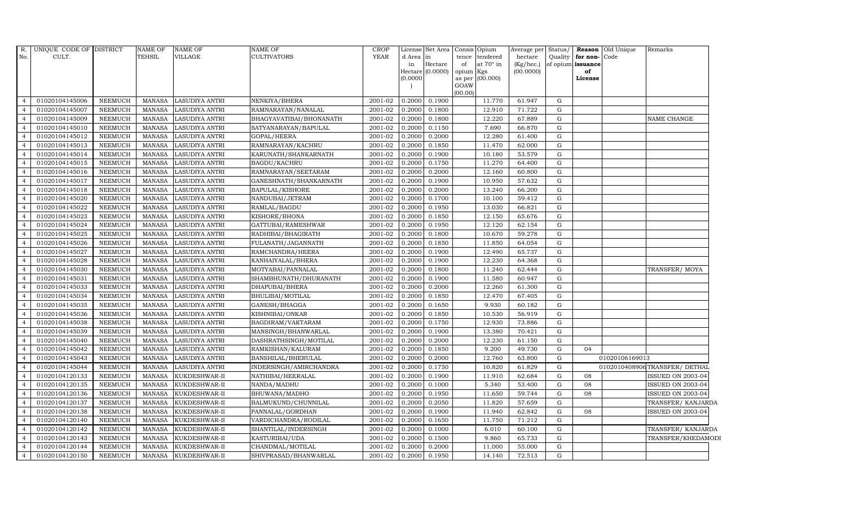| <b>YEAR</b><br>No.<br>CULT.<br><b>TEHSIL</b><br><b>VILLAGE</b><br><b>CULTIVATORS</b><br>tendered<br>hectare<br>d Area in<br>tence<br>Quality<br>for non-<br>Code<br>Hectare<br>at $70^\circ$ in<br>in<br>$(Kg/$ hec.)<br>of opium issuance<br>of<br>Hectare (0.0000)<br>(00.0000)<br>opium Kgs<br>of<br>as per (00.000)<br>(0.0000)<br>License<br>GOAW<br>(00.00)<br>0.1900<br>01020104145006<br><b>NEEMUCH</b><br><b>LASUDIYA ANTRI</b><br>2001-02<br>0.2000<br>11.770<br>61.947<br>G<br><b>MANASA</b><br>NENKIYA/BHERA<br>$\overline{4}$<br>01020104145007<br>0.2000<br><b>NEEMUCH</b><br><b>MANASA</b><br><b>LASUDIYA ANTRI</b><br>RAMNARAYAN/NANALAL<br>2001-02<br>0.1800<br>12.910<br>71.722<br>G<br>$\overline{4}$<br>01020104145009<br><b>MANASA</b><br>2001-02<br>0.2000<br>0.1800<br>12.220<br>67.889<br>$\mathbf G$<br><b>NEEMUCH</b><br><b>LASUDIYA ANTRI</b><br>BHAGYAVATIBAI/BHONANATH<br>NAME CHANGE<br>01020104145010<br>0.1150<br><b>NEEMUCH</b><br><b>MANASA</b><br><b>LASUDIYA ANTRI</b><br>SATYANARAYAN/BAPULAL<br>2001-02<br>0.2000<br>7.690<br>66.870<br>$\mathbf G$<br>01020104145012<br><b>NEEMUCH</b><br><b>MANASA</b><br><b>LASUDIYA ANTRI</b><br>GOPAL/HEERA<br>2001-02<br>0.2000<br>0.2000<br>12.280<br>$\mathbf G$<br>61.400<br>$2001 - 02$<br>0.2000<br>${\rm G}$<br>01020104145013<br><b>NEEMUCH</b><br><b>MANASA</b><br>LASUDIYA ANTRI<br>RAMNARAYAN/KACHRU<br>0.1850<br>11.470<br>62.000<br>$\overline{4}$<br>01020104145014<br>2001-02<br>0.2000<br>53.579<br>${\rm G}$<br><b>NEEMUCH</b><br><b>MANASA</b><br><b>LASUDIYA ANTRI</b><br>KARUNATH/SHANKARNATH<br>0.1900<br>10.180<br>$\overline{4}$<br>01020104145015<br>2001-02<br>0.2000<br>0.1750<br><b>NEEMUCH</b><br><b>MANASA</b><br><b>LASUDIYA ANTRI</b><br><b>BAGDU/KACHRU</b><br>11.270<br>64.400<br>G<br>$\overline{4}$<br><b>NEEMUCH</b><br>2001-02<br>0.2000<br>01020104145016<br><b>MANASA</b><br><b>LASUDIYA ANTRI</b><br>RAMNARAYAN/SEETARAM<br>0.2000<br>12.160<br>60.800<br>$\mathbf G$<br>01020104145017<br><b>NEEMUCH</b><br><b>MANASA</b><br><b>LASUDIYA ANTRI</b><br>2001-02<br>0.2000<br>0.1900<br>10.950<br>57.632<br>${\rm G}$<br>GANESHNATH/SHANKARNATH<br>2001-02<br>0.2000<br>0.2000<br>G<br>01020104145018<br><b>NEEMUCH</b><br><b>MANASA</b><br><b>LASUDIYA ANTRI</b><br><b>BAPULAL/KISHORE</b><br>13.240<br>66.200<br>4<br>01020104145020<br><b>NEEMUCH</b><br>2001-02<br>0.2000<br>0.1700<br>10.100<br>59.412<br>${\rm G}$<br><b>MANASA</b><br><b>LASUDIYA ANTRI</b><br>NANDUBAI/JETRAM<br>$\overline{4}$<br>01020104145022<br><b>NEEMUCH</b><br>2001-02<br>0.2000<br>0.1950<br><b>MANASA</b><br><b>LASUDIYA ANTRI</b><br>RAMLAL/BAGDU<br>13.030<br>66.821<br>G<br>$\overline{a}$<br>01020104145023<br><b>NEEMUCH</b><br>KISHORE/BHONA<br>2001-02<br>0.1850<br>12.150<br>$\mathbf G$<br><b>MANASA</b><br><b>LASUDIYA ANTRI</b><br>0.2000<br>65.676<br>01020104145024<br><b>NEEMUCH</b><br><b>MANASA</b><br>LASUDIYA ANTRI<br>2001-02<br>0.2000<br>0.1950<br>12.120<br>62.154<br>${\rm G}$<br>GATTUBAI/RAMESHWAR<br>0.2000<br>0.1800<br>G<br>01020104145025<br><b>NEEMUCH</b><br><b>MANASA</b><br><b>LASUDIYA ANTRI</b><br>RADHIBAI/BHAGIRATH<br>2001-02<br>10.670<br>59.278<br>$\overline{4}$<br>2001-02<br>01020104145026<br><b>NEEMUCH</b><br><b>MANASA</b><br><b>LASUDIYA ANTRI</b><br>FULANATH/JAGANNATH<br>0.2000<br>0.1850<br>11.850<br>64.054<br>$\mathbf G$<br>$\overline{4}$<br>01020104145027<br><b>NEEMUCH</b><br>2001-02<br>0.2000<br>0.1900<br>12.490<br>65.737<br>G<br><b>MANASA</b><br>LASUDIYA ANTRI<br>RAMCHANDRA/HEERA<br>$\overline{4}$<br>01020104145028<br><b>NEEMUCH</b><br><b>MANASA</b><br><b>LASUDIYA ANTRI</b><br>KANHAIYALAL/BHERA<br>2001-02<br>0.2000<br>0.1900<br>12.230<br>${\rm G}$<br>64.368<br>01020104145030<br><b>NEEMUCH</b><br><b>MANASA</b><br><b>LASUDIYA ANTRI</b><br>MOTYABAI/PANNALAL<br>2001-02<br>0.2000<br>0.1800<br>11.240<br>62.444<br>$\mathbf G$<br>TRANSFER/MOYA<br>01020104145031<br>0.2000<br>0.1900<br>G<br><b>NEEMUCH</b><br><b>MANASA</b><br><b>LASUDIYA ANTRI</b><br>SHAMBHUNATH/DHURANATH<br>2001-02<br>11.580<br>60.947<br>01020104145033<br>2001-02<br>0.2000<br>0.2000<br>${\rm G}$<br><b>NEEMUCH</b><br><b>MANASA</b><br><b>LASUDIYA ANTRI</b><br>DHAPUBAI/BHERA<br>12.260<br>61.300<br>$\overline{4}$<br>01020104145034<br><b>NEEMUCH</b><br>2001-02<br>0.2000<br>0.1850<br>G<br><b>MANASA</b><br>LASUDIYA ANTRI<br>BHULIBAI/MOTILAL<br>12.470<br>67.405<br>$\overline{4}$<br>01020104145035<br><b>NEEMUCH</b><br><b>MANASA</b><br>2001-02<br>0.2000<br>0.1650<br>9.930<br>60.182<br>$\mathbf G$<br><b>LASUDIYA ANTRI</b><br>GANESH/BHAGGA<br>$\overline{a}$<br>${\rm G}$<br>01020104145036<br><b>NEEMUCH</b><br><b>MANASA</b><br><b>LASUDIYA ANTRI</b><br>KISHNIBAI/ONKAR<br>2001-02<br>0.2000<br>0.1850<br>10.530<br>56.919<br>01020104145038<br>0.2000<br>0.1750<br>12.930<br>73.886<br>$\mathbf G$<br><b>NEEMUCH</b><br><b>MANASA</b><br>LASUDIYA ANTRI<br>BAGDIRAM/VAKTARAM<br>2001-02<br>$\overline{4}$<br>01020104145039<br>2001-02<br>0.2000<br>0.1900<br><b>NEEMUCH</b><br><b>MANASA</b><br>LASUDIYA ANTRI<br>MANSINGH/BHANWARLAL<br>13.380<br>70.421<br>$\mathbf G$<br>4<br>01020104145040<br>0.2000<br><b>NEEMUCH</b><br><b>LASUDIYA ANTRI</b><br>DASHRATHSINGH/MOTILAL<br>2001-02<br>0.2000<br>12.230<br>61.150<br>$\mathbf G$<br><b>MANASA</b><br>$\overline{4}$<br>0.1850<br>01020104145042<br><b>NEEMUCH</b><br><b>MANASA</b><br>2001-02<br>0.2000<br>9.200<br>49.730<br>$\mathbf G$<br>04<br><b>LASUDIYA ANTRI</b><br>RAMKISHAN/KALURAM<br>01020104145043<br><b>NEEMUCH</b><br>2001-02<br>0.2000<br><b>MANASA</b><br><b>LASUDIYA ANTRI</b><br>BANSHILAL/BHERULAL<br>0.2000<br>12.760<br>63.800<br>G<br>01020106169013<br><b>NEEMUCH</b><br>0.2000<br>0.1750<br>10.820<br>G<br>0102010408906TRANSFER/DETHAL<br>01020104145044<br><b>MANASA</b><br>LASUDIYA ANTRI<br>INDERSINGH/AMIRCHANDRA<br>2001-02<br>61.829<br>4<br>01020104120133<br><b>NEEMUCH</b><br>KUKDESHWAR-II<br>2001-02<br>0.2000<br>0.1900<br>11.910<br>62.684<br>${\rm G}$<br>08<br><b>MANASA</b><br>NATHIBAI/HEERALAL<br>ISSUED ON 2003-04<br>$\overline{4}$<br>01020104120135<br><b>NEEMUCH</b><br><b>MANASA</b><br>KUKDESHWAR-II<br>2001-02<br>0.2000<br>0.1000<br>5.340<br>53.400<br>$\mathbf G$<br>08<br>ISSUED ON 2003-04<br>NANDA/MADHU<br>$\overline{4}$<br>08<br>01020104120136<br><b>NEEMUCH</b><br><b>MANASA</b><br>KUKDESHWAR-II<br>BHUWANA/MADHO<br>2001-02<br>0.2000<br>0.1950<br>11.650<br>59.744<br>$\mathbf G$<br><b>ISSUED ON 2003-04</b><br>$\overline{a}$<br>01020104120137<br><b>NEEMUCH</b><br><b>MANASA</b><br>KUKDESHWAR-II<br>BALMUKUND/CHUNNILAL<br>2001-02<br>0.2000<br>0.2050<br>11.820<br>57.659<br>$\mathbf G$<br>0.2000<br><b>NEEMUCH</b><br>PANNALAL/GORDHAN<br>2001-02<br>0.1900<br>11.940<br>62.842<br>${\rm G}$<br><b>ISSUED ON 2003-04</b><br>01020104120138<br><b>MANASA</b><br>KUKDESHWAR-II<br>08<br>$\overline{4}$<br>01020104120140<br><b>NEEMUCH</b><br><b>MANASA</b><br>KUKDESHWAR-II<br>VARDICHANDRA/RODILAL<br>2001-02<br>0.2000<br>0.1650<br>11.750<br>71.212<br>$\mathbf G$<br>$\overline{4}$<br>01020104120142<br>0.2000<br><b>NEEMUCH</b><br><b>MANASA</b><br>KUKDESHWAR-II<br>SHANTILAL/INDERSINGH<br>2001-02<br>0.1000<br>6.010<br>60.100<br>$\mathbf G$<br>$\overline{4}$<br>${\rm G}$<br>01020104120143<br><b>NEEMUCH</b><br><b>MANASA</b><br>KUKDESHWAR-II<br>KASTURIBAI/UDA<br>2001-02<br>0.2000<br>0.1500<br>9.860<br>65.733<br>$\overline{a}$<br>01020104120144<br><b>NEEMUCH</b><br><b>MANASA</b><br>KUKDESHWAR-II<br>CHANDMAL/MOTILAL<br>2001-02<br>0.2000<br>0.2000<br>11.000<br>55.000<br>$\mathbf G$<br>0.2000<br>01020104120150<br><b>NEEMUCH</b><br><b>MANASA</b><br>KUKDESHWAR-II<br>SHIVPRASAD/BHANWARLAL<br>2001-02<br>0.1950<br>14.140<br>72.513<br>$\mathbf G$<br>$\overline{4}$ | R. | UNIQUE CODE OF DISTRICT | <b>NAME OF</b> | <b>NAME OF</b> | <b>NAME OF</b> | CROP | License | Net Area | Consis Opium | Average per | Status/ | <b>Reason</b> Old Unique | Remarks            |
|-------------------------------------------------------------------------------------------------------------------------------------------------------------------------------------------------------------------------------------------------------------------------------------------------------------------------------------------------------------------------------------------------------------------------------------------------------------------------------------------------------------------------------------------------------------------------------------------------------------------------------------------------------------------------------------------------------------------------------------------------------------------------------------------------------------------------------------------------------------------------------------------------------------------------------------------------------------------------------------------------------------------------------------------------------------------------------------------------------------------------------------------------------------------------------------------------------------------------------------------------------------------------------------------------------------------------------------------------------------------------------------------------------------------------------------------------------------------------------------------------------------------------------------------------------------------------------------------------------------------------------------------------------------------------------------------------------------------------------------------------------------------------------------------------------------------------------------------------------------------------------------------------------------------------------------------------------------------------------------------------------------------------------------------------------------------------------------------------------------------------------------------------------------------------------------------------------------------------------------------------------------------------------------------------------------------------------------------------------------------------------------------------------------------------------------------------------------------------------------------------------------------------------------------------------------------------------------------------------------------------------------------------------------------------------------------------------------------------------------------------------------------------------------------------------------------------------------------------------------------------------------------------------------------------------------------------------------------------------------------------------------------------------------------------------------------------------------------------------------------------------------------------------------------------------------------------------------------------------------------------------------------------------------------------------------------------------------------------------------------------------------------------------------------------------------------------------------------------------------------------------------------------------------------------------------------------------------------------------------------------------------------------------------------------------------------------------------------------------------------------------------------------------------------------------------------------------------------------------------------------------------------------------------------------------------------------------------------------------------------------------------------------------------------------------------------------------------------------------------------------------------------------------------------------------------------------------------------------------------------------------------------------------------------------------------------------------------------------------------------------------------------------------------------------------------------------------------------------------------------------------------------------------------------------------------------------------------------------------------------------------------------------------------------------------------------------------------------------------------------------------------------------------------------------------------------------------------------------------------------------------------------------------------------------------------------------------------------------------------------------------------------------------------------------------------------------------------------------------------------------------------------------------------------------------------------------------------------------------------------------------------------------------------------------------------------------------------------------------------------------------------------------------------------------------------------------------------------------------------------------------------------------------------------------------------------------------------------------------------------------------------------------------------------------------------------------------------------------------------------------------------------------------------------------------------------------------------------------------------------------------------------------------------------------------------------------------------------------------------------------------------------------------------------------------------------------------------------------------------------------------------------------------------------------------------------------------------------------------------------------------------------------------------------------------------------------------------------------------------------------------------------------------------------------------------------------------------------------------------------------------------------------------------------------------------------------------------------------------------------------------------------------------------------------------------------------------------------------------------------------------------------------------------------------------------------------------------------------------------------------------------------------------------------------------------------------------------------------------------------------------------------------------------------------------------------------------------------------------------------------------------------------------------------------------------------------------------------------------------------------------------------------------------------------------------------------------------------------------------------------------------------------------------------------------------------------------------------------------------------------------------------------------------------------------------------------------------------------------------------------------------------------------------------------------------------------------------------------------------------------------------------------------------------------------------------|----|-------------------------|----------------|----------------|----------------|------|---------|----------|--------------|-------------|---------|--------------------------|--------------------|
|                                                                                                                                                                                                                                                                                                                                                                                                                                                                                                                                                                                                                                                                                                                                                                                                                                                                                                                                                                                                                                                                                                                                                                                                                                                                                                                                                                                                                                                                                                                                                                                                                                                                                                                                                                                                                                                                                                                                                                                                                                                                                                                                                                                                                                                                                                                                                                                                                                                                                                                                                                                                                                                                                                                                                                                                                                                                                                                                                                                                                                                                                                                                                                                                                                                                                                                                                                                                                                                                                                                                                                                                                                                                                                                                                                                                                                                                                                                                                                                                                                                                                                                                                                                                                                                                                                                                                                                                                                                                                                                                                                                                                                                                                                                                                                                                                                                                                                                                                                                                                                                                                                                                                                                                                                                                                                                                                                                                                                                                                                                                                                                                                                                                                                                                                                                                                                                                                                                                                                                                                                                                                                                                                                                                                                                                                                                                                                                                                                                                                                                                                                                                                                                                                                                                                                                                                                                                                                                                                                                                                                                                                                                                                                                                                                                                                                                                                                                                                                                                                                                                                                                                                                                                                                                                                                                                                   |    |                         |                |                |                |      |         |          |              |             |         |                          |                    |
|                                                                                                                                                                                                                                                                                                                                                                                                                                                                                                                                                                                                                                                                                                                                                                                                                                                                                                                                                                                                                                                                                                                                                                                                                                                                                                                                                                                                                                                                                                                                                                                                                                                                                                                                                                                                                                                                                                                                                                                                                                                                                                                                                                                                                                                                                                                                                                                                                                                                                                                                                                                                                                                                                                                                                                                                                                                                                                                                                                                                                                                                                                                                                                                                                                                                                                                                                                                                                                                                                                                                                                                                                                                                                                                                                                                                                                                                                                                                                                                                                                                                                                                                                                                                                                                                                                                                                                                                                                                                                                                                                                                                                                                                                                                                                                                                                                                                                                                                                                                                                                                                                                                                                                                                                                                                                                                                                                                                                                                                                                                                                                                                                                                                                                                                                                                                                                                                                                                                                                                                                                                                                                                                                                                                                                                                                                                                                                                                                                                                                                                                                                                                                                                                                                                                                                                                                                                                                                                                                                                                                                                                                                                                                                                                                                                                                                                                                                                                                                                                                                                                                                                                                                                                                                                                                                                                                   |    |                         |                |                |                |      |         |          |              |             |         |                          |                    |
|                                                                                                                                                                                                                                                                                                                                                                                                                                                                                                                                                                                                                                                                                                                                                                                                                                                                                                                                                                                                                                                                                                                                                                                                                                                                                                                                                                                                                                                                                                                                                                                                                                                                                                                                                                                                                                                                                                                                                                                                                                                                                                                                                                                                                                                                                                                                                                                                                                                                                                                                                                                                                                                                                                                                                                                                                                                                                                                                                                                                                                                                                                                                                                                                                                                                                                                                                                                                                                                                                                                                                                                                                                                                                                                                                                                                                                                                                                                                                                                                                                                                                                                                                                                                                                                                                                                                                                                                                                                                                                                                                                                                                                                                                                                                                                                                                                                                                                                                                                                                                                                                                                                                                                                                                                                                                                                                                                                                                                                                                                                                                                                                                                                                                                                                                                                                                                                                                                                                                                                                                                                                                                                                                                                                                                                                                                                                                                                                                                                                                                                                                                                                                                                                                                                                                                                                                                                                                                                                                                                                                                                                                                                                                                                                                                                                                                                                                                                                                                                                                                                                                                                                                                                                                                                                                                                                                   |    |                         |                |                |                |      |         |          |              |             |         |                          |                    |
|                                                                                                                                                                                                                                                                                                                                                                                                                                                                                                                                                                                                                                                                                                                                                                                                                                                                                                                                                                                                                                                                                                                                                                                                                                                                                                                                                                                                                                                                                                                                                                                                                                                                                                                                                                                                                                                                                                                                                                                                                                                                                                                                                                                                                                                                                                                                                                                                                                                                                                                                                                                                                                                                                                                                                                                                                                                                                                                                                                                                                                                                                                                                                                                                                                                                                                                                                                                                                                                                                                                                                                                                                                                                                                                                                                                                                                                                                                                                                                                                                                                                                                                                                                                                                                                                                                                                                                                                                                                                                                                                                                                                                                                                                                                                                                                                                                                                                                                                                                                                                                                                                                                                                                                                                                                                                                                                                                                                                                                                                                                                                                                                                                                                                                                                                                                                                                                                                                                                                                                                                                                                                                                                                                                                                                                                                                                                                                                                                                                                                                                                                                                                                                                                                                                                                                                                                                                                                                                                                                                                                                                                                                                                                                                                                                                                                                                                                                                                                                                                                                                                                                                                                                                                                                                                                                                                                   |    |                         |                |                |                |      |         |          |              |             |         |                          |                    |
|                                                                                                                                                                                                                                                                                                                                                                                                                                                                                                                                                                                                                                                                                                                                                                                                                                                                                                                                                                                                                                                                                                                                                                                                                                                                                                                                                                                                                                                                                                                                                                                                                                                                                                                                                                                                                                                                                                                                                                                                                                                                                                                                                                                                                                                                                                                                                                                                                                                                                                                                                                                                                                                                                                                                                                                                                                                                                                                                                                                                                                                                                                                                                                                                                                                                                                                                                                                                                                                                                                                                                                                                                                                                                                                                                                                                                                                                                                                                                                                                                                                                                                                                                                                                                                                                                                                                                                                                                                                                                                                                                                                                                                                                                                                                                                                                                                                                                                                                                                                                                                                                                                                                                                                                                                                                                                                                                                                                                                                                                                                                                                                                                                                                                                                                                                                                                                                                                                                                                                                                                                                                                                                                                                                                                                                                                                                                                                                                                                                                                                                                                                                                                                                                                                                                                                                                                                                                                                                                                                                                                                                                                                                                                                                                                                                                                                                                                                                                                                                                                                                                                                                                                                                                                                                                                                                                                   |    |                         |                |                |                |      |         |          |              |             |         |                          |                    |
|                                                                                                                                                                                                                                                                                                                                                                                                                                                                                                                                                                                                                                                                                                                                                                                                                                                                                                                                                                                                                                                                                                                                                                                                                                                                                                                                                                                                                                                                                                                                                                                                                                                                                                                                                                                                                                                                                                                                                                                                                                                                                                                                                                                                                                                                                                                                                                                                                                                                                                                                                                                                                                                                                                                                                                                                                                                                                                                                                                                                                                                                                                                                                                                                                                                                                                                                                                                                                                                                                                                                                                                                                                                                                                                                                                                                                                                                                                                                                                                                                                                                                                                                                                                                                                                                                                                                                                                                                                                                                                                                                                                                                                                                                                                                                                                                                                                                                                                                                                                                                                                                                                                                                                                                                                                                                                                                                                                                                                                                                                                                                                                                                                                                                                                                                                                                                                                                                                                                                                                                                                                                                                                                                                                                                                                                                                                                                                                                                                                                                                                                                                                                                                                                                                                                                                                                                                                                                                                                                                                                                                                                                                                                                                                                                                                                                                                                                                                                                                                                                                                                                                                                                                                                                                                                                                                                                   |    |                         |                |                |                |      |         |          |              |             |         |                          |                    |
|                                                                                                                                                                                                                                                                                                                                                                                                                                                                                                                                                                                                                                                                                                                                                                                                                                                                                                                                                                                                                                                                                                                                                                                                                                                                                                                                                                                                                                                                                                                                                                                                                                                                                                                                                                                                                                                                                                                                                                                                                                                                                                                                                                                                                                                                                                                                                                                                                                                                                                                                                                                                                                                                                                                                                                                                                                                                                                                                                                                                                                                                                                                                                                                                                                                                                                                                                                                                                                                                                                                                                                                                                                                                                                                                                                                                                                                                                                                                                                                                                                                                                                                                                                                                                                                                                                                                                                                                                                                                                                                                                                                                                                                                                                                                                                                                                                                                                                                                                                                                                                                                                                                                                                                                                                                                                                                                                                                                                                                                                                                                                                                                                                                                                                                                                                                                                                                                                                                                                                                                                                                                                                                                                                                                                                                                                                                                                                                                                                                                                                                                                                                                                                                                                                                                                                                                                                                                                                                                                                                                                                                                                                                                                                                                                                                                                                                                                                                                                                                                                                                                                                                                                                                                                                                                                                                                                   |    |                         |                |                |                |      |         |          |              |             |         |                          |                    |
|                                                                                                                                                                                                                                                                                                                                                                                                                                                                                                                                                                                                                                                                                                                                                                                                                                                                                                                                                                                                                                                                                                                                                                                                                                                                                                                                                                                                                                                                                                                                                                                                                                                                                                                                                                                                                                                                                                                                                                                                                                                                                                                                                                                                                                                                                                                                                                                                                                                                                                                                                                                                                                                                                                                                                                                                                                                                                                                                                                                                                                                                                                                                                                                                                                                                                                                                                                                                                                                                                                                                                                                                                                                                                                                                                                                                                                                                                                                                                                                                                                                                                                                                                                                                                                                                                                                                                                                                                                                                                                                                                                                                                                                                                                                                                                                                                                                                                                                                                                                                                                                                                                                                                                                                                                                                                                                                                                                                                                                                                                                                                                                                                                                                                                                                                                                                                                                                                                                                                                                                                                                                                                                                                                                                                                                                                                                                                                                                                                                                                                                                                                                                                                                                                                                                                                                                                                                                                                                                                                                                                                                                                                                                                                                                                                                                                                                                                                                                                                                                                                                                                                                                                                                                                                                                                                                                                   |    |                         |                |                |                |      |         |          |              |             |         |                          |                    |
|                                                                                                                                                                                                                                                                                                                                                                                                                                                                                                                                                                                                                                                                                                                                                                                                                                                                                                                                                                                                                                                                                                                                                                                                                                                                                                                                                                                                                                                                                                                                                                                                                                                                                                                                                                                                                                                                                                                                                                                                                                                                                                                                                                                                                                                                                                                                                                                                                                                                                                                                                                                                                                                                                                                                                                                                                                                                                                                                                                                                                                                                                                                                                                                                                                                                                                                                                                                                                                                                                                                                                                                                                                                                                                                                                                                                                                                                                                                                                                                                                                                                                                                                                                                                                                                                                                                                                                                                                                                                                                                                                                                                                                                                                                                                                                                                                                                                                                                                                                                                                                                                                                                                                                                                                                                                                                                                                                                                                                                                                                                                                                                                                                                                                                                                                                                                                                                                                                                                                                                                                                                                                                                                                                                                                                                                                                                                                                                                                                                                                                                                                                                                                                                                                                                                                                                                                                                                                                                                                                                                                                                                                                                                                                                                                                                                                                                                                                                                                                                                                                                                                                                                                                                                                                                                                                                                                   |    |                         |                |                |                |      |         |          |              |             |         |                          |                    |
|                                                                                                                                                                                                                                                                                                                                                                                                                                                                                                                                                                                                                                                                                                                                                                                                                                                                                                                                                                                                                                                                                                                                                                                                                                                                                                                                                                                                                                                                                                                                                                                                                                                                                                                                                                                                                                                                                                                                                                                                                                                                                                                                                                                                                                                                                                                                                                                                                                                                                                                                                                                                                                                                                                                                                                                                                                                                                                                                                                                                                                                                                                                                                                                                                                                                                                                                                                                                                                                                                                                                                                                                                                                                                                                                                                                                                                                                                                                                                                                                                                                                                                                                                                                                                                                                                                                                                                                                                                                                                                                                                                                                                                                                                                                                                                                                                                                                                                                                                                                                                                                                                                                                                                                                                                                                                                                                                                                                                                                                                                                                                                                                                                                                                                                                                                                                                                                                                                                                                                                                                                                                                                                                                                                                                                                                                                                                                                                                                                                                                                                                                                                                                                                                                                                                                                                                                                                                                                                                                                                                                                                                                                                                                                                                                                                                                                                                                                                                                                                                                                                                                                                                                                                                                                                                                                                                                   |    |                         |                |                |                |      |         |          |              |             |         |                          |                    |
|                                                                                                                                                                                                                                                                                                                                                                                                                                                                                                                                                                                                                                                                                                                                                                                                                                                                                                                                                                                                                                                                                                                                                                                                                                                                                                                                                                                                                                                                                                                                                                                                                                                                                                                                                                                                                                                                                                                                                                                                                                                                                                                                                                                                                                                                                                                                                                                                                                                                                                                                                                                                                                                                                                                                                                                                                                                                                                                                                                                                                                                                                                                                                                                                                                                                                                                                                                                                                                                                                                                                                                                                                                                                                                                                                                                                                                                                                                                                                                                                                                                                                                                                                                                                                                                                                                                                                                                                                                                                                                                                                                                                                                                                                                                                                                                                                                                                                                                                                                                                                                                                                                                                                                                                                                                                                                                                                                                                                                                                                                                                                                                                                                                                                                                                                                                                                                                                                                                                                                                                                                                                                                                                                                                                                                                                                                                                                                                                                                                                                                                                                                                                                                                                                                                                                                                                                                                                                                                                                                                                                                                                                                                                                                                                                                                                                                                                                                                                                                                                                                                                                                                                                                                                                                                                                                                                                   |    |                         |                |                |                |      |         |          |              |             |         |                          |                    |
|                                                                                                                                                                                                                                                                                                                                                                                                                                                                                                                                                                                                                                                                                                                                                                                                                                                                                                                                                                                                                                                                                                                                                                                                                                                                                                                                                                                                                                                                                                                                                                                                                                                                                                                                                                                                                                                                                                                                                                                                                                                                                                                                                                                                                                                                                                                                                                                                                                                                                                                                                                                                                                                                                                                                                                                                                                                                                                                                                                                                                                                                                                                                                                                                                                                                                                                                                                                                                                                                                                                                                                                                                                                                                                                                                                                                                                                                                                                                                                                                                                                                                                                                                                                                                                                                                                                                                                                                                                                                                                                                                                                                                                                                                                                                                                                                                                                                                                                                                                                                                                                                                                                                                                                                                                                                                                                                                                                                                                                                                                                                                                                                                                                                                                                                                                                                                                                                                                                                                                                                                                                                                                                                                                                                                                                                                                                                                                                                                                                                                                                                                                                                                                                                                                                                                                                                                                                                                                                                                                                                                                                                                                                                                                                                                                                                                                                                                                                                                                                                                                                                                                                                                                                                                                                                                                                                                   |    |                         |                |                |                |      |         |          |              |             |         |                          |                    |
|                                                                                                                                                                                                                                                                                                                                                                                                                                                                                                                                                                                                                                                                                                                                                                                                                                                                                                                                                                                                                                                                                                                                                                                                                                                                                                                                                                                                                                                                                                                                                                                                                                                                                                                                                                                                                                                                                                                                                                                                                                                                                                                                                                                                                                                                                                                                                                                                                                                                                                                                                                                                                                                                                                                                                                                                                                                                                                                                                                                                                                                                                                                                                                                                                                                                                                                                                                                                                                                                                                                                                                                                                                                                                                                                                                                                                                                                                                                                                                                                                                                                                                                                                                                                                                                                                                                                                                                                                                                                                                                                                                                                                                                                                                                                                                                                                                                                                                                                                                                                                                                                                                                                                                                                                                                                                                                                                                                                                                                                                                                                                                                                                                                                                                                                                                                                                                                                                                                                                                                                                                                                                                                                                                                                                                                                                                                                                                                                                                                                                                                                                                                                                                                                                                                                                                                                                                                                                                                                                                                                                                                                                                                                                                                                                                                                                                                                                                                                                                                                                                                                                                                                                                                                                                                                                                                                                   |    |                         |                |                |                |      |         |          |              |             |         |                          |                    |
|                                                                                                                                                                                                                                                                                                                                                                                                                                                                                                                                                                                                                                                                                                                                                                                                                                                                                                                                                                                                                                                                                                                                                                                                                                                                                                                                                                                                                                                                                                                                                                                                                                                                                                                                                                                                                                                                                                                                                                                                                                                                                                                                                                                                                                                                                                                                                                                                                                                                                                                                                                                                                                                                                                                                                                                                                                                                                                                                                                                                                                                                                                                                                                                                                                                                                                                                                                                                                                                                                                                                                                                                                                                                                                                                                                                                                                                                                                                                                                                                                                                                                                                                                                                                                                                                                                                                                                                                                                                                                                                                                                                                                                                                                                                                                                                                                                                                                                                                                                                                                                                                                                                                                                                                                                                                                                                                                                                                                                                                                                                                                                                                                                                                                                                                                                                                                                                                                                                                                                                                                                                                                                                                                                                                                                                                                                                                                                                                                                                                                                                                                                                                                                                                                                                                                                                                                                                                                                                                                                                                                                                                                                                                                                                                                                                                                                                                                                                                                                                                                                                                                                                                                                                                                                                                                                                                                   |    |                         |                |                |                |      |         |          |              |             |         |                          |                    |
|                                                                                                                                                                                                                                                                                                                                                                                                                                                                                                                                                                                                                                                                                                                                                                                                                                                                                                                                                                                                                                                                                                                                                                                                                                                                                                                                                                                                                                                                                                                                                                                                                                                                                                                                                                                                                                                                                                                                                                                                                                                                                                                                                                                                                                                                                                                                                                                                                                                                                                                                                                                                                                                                                                                                                                                                                                                                                                                                                                                                                                                                                                                                                                                                                                                                                                                                                                                                                                                                                                                                                                                                                                                                                                                                                                                                                                                                                                                                                                                                                                                                                                                                                                                                                                                                                                                                                                                                                                                                                                                                                                                                                                                                                                                                                                                                                                                                                                                                                                                                                                                                                                                                                                                                                                                                                                                                                                                                                                                                                                                                                                                                                                                                                                                                                                                                                                                                                                                                                                                                                                                                                                                                                                                                                                                                                                                                                                                                                                                                                                                                                                                                                                                                                                                                                                                                                                                                                                                                                                                                                                                                                                                                                                                                                                                                                                                                                                                                                                                                                                                                                                                                                                                                                                                                                                                                                   |    |                         |                |                |                |      |         |          |              |             |         |                          |                    |
|                                                                                                                                                                                                                                                                                                                                                                                                                                                                                                                                                                                                                                                                                                                                                                                                                                                                                                                                                                                                                                                                                                                                                                                                                                                                                                                                                                                                                                                                                                                                                                                                                                                                                                                                                                                                                                                                                                                                                                                                                                                                                                                                                                                                                                                                                                                                                                                                                                                                                                                                                                                                                                                                                                                                                                                                                                                                                                                                                                                                                                                                                                                                                                                                                                                                                                                                                                                                                                                                                                                                                                                                                                                                                                                                                                                                                                                                                                                                                                                                                                                                                                                                                                                                                                                                                                                                                                                                                                                                                                                                                                                                                                                                                                                                                                                                                                                                                                                                                                                                                                                                                                                                                                                                                                                                                                                                                                                                                                                                                                                                                                                                                                                                                                                                                                                                                                                                                                                                                                                                                                                                                                                                                                                                                                                                                                                                                                                                                                                                                                                                                                                                                                                                                                                                                                                                                                                                                                                                                                                                                                                                                                                                                                                                                                                                                                                                                                                                                                                                                                                                                                                                                                                                                                                                                                                                                   |    |                         |                |                |                |      |         |          |              |             |         |                          |                    |
|                                                                                                                                                                                                                                                                                                                                                                                                                                                                                                                                                                                                                                                                                                                                                                                                                                                                                                                                                                                                                                                                                                                                                                                                                                                                                                                                                                                                                                                                                                                                                                                                                                                                                                                                                                                                                                                                                                                                                                                                                                                                                                                                                                                                                                                                                                                                                                                                                                                                                                                                                                                                                                                                                                                                                                                                                                                                                                                                                                                                                                                                                                                                                                                                                                                                                                                                                                                                                                                                                                                                                                                                                                                                                                                                                                                                                                                                                                                                                                                                                                                                                                                                                                                                                                                                                                                                                                                                                                                                                                                                                                                                                                                                                                                                                                                                                                                                                                                                                                                                                                                                                                                                                                                                                                                                                                                                                                                                                                                                                                                                                                                                                                                                                                                                                                                                                                                                                                                                                                                                                                                                                                                                                                                                                                                                                                                                                                                                                                                                                                                                                                                                                                                                                                                                                                                                                                                                                                                                                                                                                                                                                                                                                                                                                                                                                                                                                                                                                                                                                                                                                                                                                                                                                                                                                                                                                   |    |                         |                |                |                |      |         |          |              |             |         |                          |                    |
|                                                                                                                                                                                                                                                                                                                                                                                                                                                                                                                                                                                                                                                                                                                                                                                                                                                                                                                                                                                                                                                                                                                                                                                                                                                                                                                                                                                                                                                                                                                                                                                                                                                                                                                                                                                                                                                                                                                                                                                                                                                                                                                                                                                                                                                                                                                                                                                                                                                                                                                                                                                                                                                                                                                                                                                                                                                                                                                                                                                                                                                                                                                                                                                                                                                                                                                                                                                                                                                                                                                                                                                                                                                                                                                                                                                                                                                                                                                                                                                                                                                                                                                                                                                                                                                                                                                                                                                                                                                                                                                                                                                                                                                                                                                                                                                                                                                                                                                                                                                                                                                                                                                                                                                                                                                                                                                                                                                                                                                                                                                                                                                                                                                                                                                                                                                                                                                                                                                                                                                                                                                                                                                                                                                                                                                                                                                                                                                                                                                                                                                                                                                                                                                                                                                                                                                                                                                                                                                                                                                                                                                                                                                                                                                                                                                                                                                                                                                                                                                                                                                                                                                                                                                                                                                                                                                                                   |    |                         |                |                |                |      |         |          |              |             |         |                          |                    |
|                                                                                                                                                                                                                                                                                                                                                                                                                                                                                                                                                                                                                                                                                                                                                                                                                                                                                                                                                                                                                                                                                                                                                                                                                                                                                                                                                                                                                                                                                                                                                                                                                                                                                                                                                                                                                                                                                                                                                                                                                                                                                                                                                                                                                                                                                                                                                                                                                                                                                                                                                                                                                                                                                                                                                                                                                                                                                                                                                                                                                                                                                                                                                                                                                                                                                                                                                                                                                                                                                                                                                                                                                                                                                                                                                                                                                                                                                                                                                                                                                                                                                                                                                                                                                                                                                                                                                                                                                                                                                                                                                                                                                                                                                                                                                                                                                                                                                                                                                                                                                                                                                                                                                                                                                                                                                                                                                                                                                                                                                                                                                                                                                                                                                                                                                                                                                                                                                                                                                                                                                                                                                                                                                                                                                                                                                                                                                                                                                                                                                                                                                                                                                                                                                                                                                                                                                                                                                                                                                                                                                                                                                                                                                                                                                                                                                                                                                                                                                                                                                                                                                                                                                                                                                                                                                                                                                   |    |                         |                |                |                |      |         |          |              |             |         |                          |                    |
|                                                                                                                                                                                                                                                                                                                                                                                                                                                                                                                                                                                                                                                                                                                                                                                                                                                                                                                                                                                                                                                                                                                                                                                                                                                                                                                                                                                                                                                                                                                                                                                                                                                                                                                                                                                                                                                                                                                                                                                                                                                                                                                                                                                                                                                                                                                                                                                                                                                                                                                                                                                                                                                                                                                                                                                                                                                                                                                                                                                                                                                                                                                                                                                                                                                                                                                                                                                                                                                                                                                                                                                                                                                                                                                                                                                                                                                                                                                                                                                                                                                                                                                                                                                                                                                                                                                                                                                                                                                                                                                                                                                                                                                                                                                                                                                                                                                                                                                                                                                                                                                                                                                                                                                                                                                                                                                                                                                                                                                                                                                                                                                                                                                                                                                                                                                                                                                                                                                                                                                                                                                                                                                                                                                                                                                                                                                                                                                                                                                                                                                                                                                                                                                                                                                                                                                                                                                                                                                                                                                                                                                                                                                                                                                                                                                                                                                                                                                                                                                                                                                                                                                                                                                                                                                                                                                                                   |    |                         |                |                |                |      |         |          |              |             |         |                          |                    |
|                                                                                                                                                                                                                                                                                                                                                                                                                                                                                                                                                                                                                                                                                                                                                                                                                                                                                                                                                                                                                                                                                                                                                                                                                                                                                                                                                                                                                                                                                                                                                                                                                                                                                                                                                                                                                                                                                                                                                                                                                                                                                                                                                                                                                                                                                                                                                                                                                                                                                                                                                                                                                                                                                                                                                                                                                                                                                                                                                                                                                                                                                                                                                                                                                                                                                                                                                                                                                                                                                                                                                                                                                                                                                                                                                                                                                                                                                                                                                                                                                                                                                                                                                                                                                                                                                                                                                                                                                                                                                                                                                                                                                                                                                                                                                                                                                                                                                                                                                                                                                                                                                                                                                                                                                                                                                                                                                                                                                                                                                                                                                                                                                                                                                                                                                                                                                                                                                                                                                                                                                                                                                                                                                                                                                                                                                                                                                                                                                                                                                                                                                                                                                                                                                                                                                                                                                                                                                                                                                                                                                                                                                                                                                                                                                                                                                                                                                                                                                                                                                                                                                                                                                                                                                                                                                                                                                   |    |                         |                |                |                |      |         |          |              |             |         |                          |                    |
|                                                                                                                                                                                                                                                                                                                                                                                                                                                                                                                                                                                                                                                                                                                                                                                                                                                                                                                                                                                                                                                                                                                                                                                                                                                                                                                                                                                                                                                                                                                                                                                                                                                                                                                                                                                                                                                                                                                                                                                                                                                                                                                                                                                                                                                                                                                                                                                                                                                                                                                                                                                                                                                                                                                                                                                                                                                                                                                                                                                                                                                                                                                                                                                                                                                                                                                                                                                                                                                                                                                                                                                                                                                                                                                                                                                                                                                                                                                                                                                                                                                                                                                                                                                                                                                                                                                                                                                                                                                                                                                                                                                                                                                                                                                                                                                                                                                                                                                                                                                                                                                                                                                                                                                                                                                                                                                                                                                                                                                                                                                                                                                                                                                                                                                                                                                                                                                                                                                                                                                                                                                                                                                                                                                                                                                                                                                                                                                                                                                                                                                                                                                                                                                                                                                                                                                                                                                                                                                                                                                                                                                                                                                                                                                                                                                                                                                                                                                                                                                                                                                                                                                                                                                                                                                                                                                                                   |    |                         |                |                |                |      |         |          |              |             |         |                          |                    |
|                                                                                                                                                                                                                                                                                                                                                                                                                                                                                                                                                                                                                                                                                                                                                                                                                                                                                                                                                                                                                                                                                                                                                                                                                                                                                                                                                                                                                                                                                                                                                                                                                                                                                                                                                                                                                                                                                                                                                                                                                                                                                                                                                                                                                                                                                                                                                                                                                                                                                                                                                                                                                                                                                                                                                                                                                                                                                                                                                                                                                                                                                                                                                                                                                                                                                                                                                                                                                                                                                                                                                                                                                                                                                                                                                                                                                                                                                                                                                                                                                                                                                                                                                                                                                                                                                                                                                                                                                                                                                                                                                                                                                                                                                                                                                                                                                                                                                                                                                                                                                                                                                                                                                                                                                                                                                                                                                                                                                                                                                                                                                                                                                                                                                                                                                                                                                                                                                                                                                                                                                                                                                                                                                                                                                                                                                                                                                                                                                                                                                                                                                                                                                                                                                                                                                                                                                                                                                                                                                                                                                                                                                                                                                                                                                                                                                                                                                                                                                                                                                                                                                                                                                                                                                                                                                                                                                   |    |                         |                |                |                |      |         |          |              |             |         |                          |                    |
|                                                                                                                                                                                                                                                                                                                                                                                                                                                                                                                                                                                                                                                                                                                                                                                                                                                                                                                                                                                                                                                                                                                                                                                                                                                                                                                                                                                                                                                                                                                                                                                                                                                                                                                                                                                                                                                                                                                                                                                                                                                                                                                                                                                                                                                                                                                                                                                                                                                                                                                                                                                                                                                                                                                                                                                                                                                                                                                                                                                                                                                                                                                                                                                                                                                                                                                                                                                                                                                                                                                                                                                                                                                                                                                                                                                                                                                                                                                                                                                                                                                                                                                                                                                                                                                                                                                                                                                                                                                                                                                                                                                                                                                                                                                                                                                                                                                                                                                                                                                                                                                                                                                                                                                                                                                                                                                                                                                                                                                                                                                                                                                                                                                                                                                                                                                                                                                                                                                                                                                                                                                                                                                                                                                                                                                                                                                                                                                                                                                                                                                                                                                                                                                                                                                                                                                                                                                                                                                                                                                                                                                                                                                                                                                                                                                                                                                                                                                                                                                                                                                                                                                                                                                                                                                                                                                                                   |    |                         |                |                |                |      |         |          |              |             |         |                          |                    |
|                                                                                                                                                                                                                                                                                                                                                                                                                                                                                                                                                                                                                                                                                                                                                                                                                                                                                                                                                                                                                                                                                                                                                                                                                                                                                                                                                                                                                                                                                                                                                                                                                                                                                                                                                                                                                                                                                                                                                                                                                                                                                                                                                                                                                                                                                                                                                                                                                                                                                                                                                                                                                                                                                                                                                                                                                                                                                                                                                                                                                                                                                                                                                                                                                                                                                                                                                                                                                                                                                                                                                                                                                                                                                                                                                                                                                                                                                                                                                                                                                                                                                                                                                                                                                                                                                                                                                                                                                                                                                                                                                                                                                                                                                                                                                                                                                                                                                                                                                                                                                                                                                                                                                                                                                                                                                                                                                                                                                                                                                                                                                                                                                                                                                                                                                                                                                                                                                                                                                                                                                                                                                                                                                                                                                                                                                                                                                                                                                                                                                                                                                                                                                                                                                                                                                                                                                                                                                                                                                                                                                                                                                                                                                                                                                                                                                                                                                                                                                                                                                                                                                                                                                                                                                                                                                                                                                   |    |                         |                |                |                |      |         |          |              |             |         |                          |                    |
|                                                                                                                                                                                                                                                                                                                                                                                                                                                                                                                                                                                                                                                                                                                                                                                                                                                                                                                                                                                                                                                                                                                                                                                                                                                                                                                                                                                                                                                                                                                                                                                                                                                                                                                                                                                                                                                                                                                                                                                                                                                                                                                                                                                                                                                                                                                                                                                                                                                                                                                                                                                                                                                                                                                                                                                                                                                                                                                                                                                                                                                                                                                                                                                                                                                                                                                                                                                                                                                                                                                                                                                                                                                                                                                                                                                                                                                                                                                                                                                                                                                                                                                                                                                                                                                                                                                                                                                                                                                                                                                                                                                                                                                                                                                                                                                                                                                                                                                                                                                                                                                                                                                                                                                                                                                                                                                                                                                                                                                                                                                                                                                                                                                                                                                                                                                                                                                                                                                                                                                                                                                                                                                                                                                                                                                                                                                                                                                                                                                                                                                                                                                                                                                                                                                                                                                                                                                                                                                                                                                                                                                                                                                                                                                                                                                                                                                                                                                                                                                                                                                                                                                                                                                                                                                                                                                                                   |    |                         |                |                |                |      |         |          |              |             |         |                          |                    |
|                                                                                                                                                                                                                                                                                                                                                                                                                                                                                                                                                                                                                                                                                                                                                                                                                                                                                                                                                                                                                                                                                                                                                                                                                                                                                                                                                                                                                                                                                                                                                                                                                                                                                                                                                                                                                                                                                                                                                                                                                                                                                                                                                                                                                                                                                                                                                                                                                                                                                                                                                                                                                                                                                                                                                                                                                                                                                                                                                                                                                                                                                                                                                                                                                                                                                                                                                                                                                                                                                                                                                                                                                                                                                                                                                                                                                                                                                                                                                                                                                                                                                                                                                                                                                                                                                                                                                                                                                                                                                                                                                                                                                                                                                                                                                                                                                                                                                                                                                                                                                                                                                                                                                                                                                                                                                                                                                                                                                                                                                                                                                                                                                                                                                                                                                                                                                                                                                                                                                                                                                                                                                                                                                                                                                                                                                                                                                                                                                                                                                                                                                                                                                                                                                                                                                                                                                                                                                                                                                                                                                                                                                                                                                                                                                                                                                                                                                                                                                                                                                                                                                                                                                                                                                                                                                                                                                   |    |                         |                |                |                |      |         |          |              |             |         |                          |                    |
|                                                                                                                                                                                                                                                                                                                                                                                                                                                                                                                                                                                                                                                                                                                                                                                                                                                                                                                                                                                                                                                                                                                                                                                                                                                                                                                                                                                                                                                                                                                                                                                                                                                                                                                                                                                                                                                                                                                                                                                                                                                                                                                                                                                                                                                                                                                                                                                                                                                                                                                                                                                                                                                                                                                                                                                                                                                                                                                                                                                                                                                                                                                                                                                                                                                                                                                                                                                                                                                                                                                                                                                                                                                                                                                                                                                                                                                                                                                                                                                                                                                                                                                                                                                                                                                                                                                                                                                                                                                                                                                                                                                                                                                                                                                                                                                                                                                                                                                                                                                                                                                                                                                                                                                                                                                                                                                                                                                                                                                                                                                                                                                                                                                                                                                                                                                                                                                                                                                                                                                                                                                                                                                                                                                                                                                                                                                                                                                                                                                                                                                                                                                                                                                                                                                                                                                                                                                                                                                                                                                                                                                                                                                                                                                                                                                                                                                                                                                                                                                                                                                                                                                                                                                                                                                                                                                                                   |    |                         |                |                |                |      |         |          |              |             |         |                          |                    |
|                                                                                                                                                                                                                                                                                                                                                                                                                                                                                                                                                                                                                                                                                                                                                                                                                                                                                                                                                                                                                                                                                                                                                                                                                                                                                                                                                                                                                                                                                                                                                                                                                                                                                                                                                                                                                                                                                                                                                                                                                                                                                                                                                                                                                                                                                                                                                                                                                                                                                                                                                                                                                                                                                                                                                                                                                                                                                                                                                                                                                                                                                                                                                                                                                                                                                                                                                                                                                                                                                                                                                                                                                                                                                                                                                                                                                                                                                                                                                                                                                                                                                                                                                                                                                                                                                                                                                                                                                                                                                                                                                                                                                                                                                                                                                                                                                                                                                                                                                                                                                                                                                                                                                                                                                                                                                                                                                                                                                                                                                                                                                                                                                                                                                                                                                                                                                                                                                                                                                                                                                                                                                                                                                                                                                                                                                                                                                                                                                                                                                                                                                                                                                                                                                                                                                                                                                                                                                                                                                                                                                                                                                                                                                                                                                                                                                                                                                                                                                                                                                                                                                                                                                                                                                                                                                                                                                   |    |                         |                |                |                |      |         |          |              |             |         |                          |                    |
|                                                                                                                                                                                                                                                                                                                                                                                                                                                                                                                                                                                                                                                                                                                                                                                                                                                                                                                                                                                                                                                                                                                                                                                                                                                                                                                                                                                                                                                                                                                                                                                                                                                                                                                                                                                                                                                                                                                                                                                                                                                                                                                                                                                                                                                                                                                                                                                                                                                                                                                                                                                                                                                                                                                                                                                                                                                                                                                                                                                                                                                                                                                                                                                                                                                                                                                                                                                                                                                                                                                                                                                                                                                                                                                                                                                                                                                                                                                                                                                                                                                                                                                                                                                                                                                                                                                                                                                                                                                                                                                                                                                                                                                                                                                                                                                                                                                                                                                                                                                                                                                                                                                                                                                                                                                                                                                                                                                                                                                                                                                                                                                                                                                                                                                                                                                                                                                                                                                                                                                                                                                                                                                                                                                                                                                                                                                                                                                                                                                                                                                                                                                                                                                                                                                                                                                                                                                                                                                                                                                                                                                                                                                                                                                                                                                                                                                                                                                                                                                                                                                                                                                                                                                                                                                                                                                                                   |    |                         |                |                |                |      |         |          |              |             |         |                          |                    |
|                                                                                                                                                                                                                                                                                                                                                                                                                                                                                                                                                                                                                                                                                                                                                                                                                                                                                                                                                                                                                                                                                                                                                                                                                                                                                                                                                                                                                                                                                                                                                                                                                                                                                                                                                                                                                                                                                                                                                                                                                                                                                                                                                                                                                                                                                                                                                                                                                                                                                                                                                                                                                                                                                                                                                                                                                                                                                                                                                                                                                                                                                                                                                                                                                                                                                                                                                                                                                                                                                                                                                                                                                                                                                                                                                                                                                                                                                                                                                                                                                                                                                                                                                                                                                                                                                                                                                                                                                                                                                                                                                                                                                                                                                                                                                                                                                                                                                                                                                                                                                                                                                                                                                                                                                                                                                                                                                                                                                                                                                                                                                                                                                                                                                                                                                                                                                                                                                                                                                                                                                                                                                                                                                                                                                                                                                                                                                                                                                                                                                                                                                                                                                                                                                                                                                                                                                                                                                                                                                                                                                                                                                                                                                                                                                                                                                                                                                                                                                                                                                                                                                                                                                                                                                                                                                                                                                   |    |                         |                |                |                |      |         |          |              |             |         |                          |                    |
|                                                                                                                                                                                                                                                                                                                                                                                                                                                                                                                                                                                                                                                                                                                                                                                                                                                                                                                                                                                                                                                                                                                                                                                                                                                                                                                                                                                                                                                                                                                                                                                                                                                                                                                                                                                                                                                                                                                                                                                                                                                                                                                                                                                                                                                                                                                                                                                                                                                                                                                                                                                                                                                                                                                                                                                                                                                                                                                                                                                                                                                                                                                                                                                                                                                                                                                                                                                                                                                                                                                                                                                                                                                                                                                                                                                                                                                                                                                                                                                                                                                                                                                                                                                                                                                                                                                                                                                                                                                                                                                                                                                                                                                                                                                                                                                                                                                                                                                                                                                                                                                                                                                                                                                                                                                                                                                                                                                                                                                                                                                                                                                                                                                                                                                                                                                                                                                                                                                                                                                                                                                                                                                                                                                                                                                                                                                                                                                                                                                                                                                                                                                                                                                                                                                                                                                                                                                                                                                                                                                                                                                                                                                                                                                                                                                                                                                                                                                                                                                                                                                                                                                                                                                                                                                                                                                                                   |    |                         |                |                |                |      |         |          |              |             |         |                          |                    |
|                                                                                                                                                                                                                                                                                                                                                                                                                                                                                                                                                                                                                                                                                                                                                                                                                                                                                                                                                                                                                                                                                                                                                                                                                                                                                                                                                                                                                                                                                                                                                                                                                                                                                                                                                                                                                                                                                                                                                                                                                                                                                                                                                                                                                                                                                                                                                                                                                                                                                                                                                                                                                                                                                                                                                                                                                                                                                                                                                                                                                                                                                                                                                                                                                                                                                                                                                                                                                                                                                                                                                                                                                                                                                                                                                                                                                                                                                                                                                                                                                                                                                                                                                                                                                                                                                                                                                                                                                                                                                                                                                                                                                                                                                                                                                                                                                                                                                                                                                                                                                                                                                                                                                                                                                                                                                                                                                                                                                                                                                                                                                                                                                                                                                                                                                                                                                                                                                                                                                                                                                                                                                                                                                                                                                                                                                                                                                                                                                                                                                                                                                                                                                                                                                                                                                                                                                                                                                                                                                                                                                                                                                                                                                                                                                                                                                                                                                                                                                                                                                                                                                                                                                                                                                                                                                                                                                   |    |                         |                |                |                |      |         |          |              |             |         |                          |                    |
|                                                                                                                                                                                                                                                                                                                                                                                                                                                                                                                                                                                                                                                                                                                                                                                                                                                                                                                                                                                                                                                                                                                                                                                                                                                                                                                                                                                                                                                                                                                                                                                                                                                                                                                                                                                                                                                                                                                                                                                                                                                                                                                                                                                                                                                                                                                                                                                                                                                                                                                                                                                                                                                                                                                                                                                                                                                                                                                                                                                                                                                                                                                                                                                                                                                                                                                                                                                                                                                                                                                                                                                                                                                                                                                                                                                                                                                                                                                                                                                                                                                                                                                                                                                                                                                                                                                                                                                                                                                                                                                                                                                                                                                                                                                                                                                                                                                                                                                                                                                                                                                                                                                                                                                                                                                                                                                                                                                                                                                                                                                                                                                                                                                                                                                                                                                                                                                                                                                                                                                                                                                                                                                                                                                                                                                                                                                                                                                                                                                                                                                                                                                                                                                                                                                                                                                                                                                                                                                                                                                                                                                                                                                                                                                                                                                                                                                                                                                                                                                                                                                                                                                                                                                                                                                                                                                                                   |    |                         |                |                |                |      |         |          |              |             |         |                          |                    |
|                                                                                                                                                                                                                                                                                                                                                                                                                                                                                                                                                                                                                                                                                                                                                                                                                                                                                                                                                                                                                                                                                                                                                                                                                                                                                                                                                                                                                                                                                                                                                                                                                                                                                                                                                                                                                                                                                                                                                                                                                                                                                                                                                                                                                                                                                                                                                                                                                                                                                                                                                                                                                                                                                                                                                                                                                                                                                                                                                                                                                                                                                                                                                                                                                                                                                                                                                                                                                                                                                                                                                                                                                                                                                                                                                                                                                                                                                                                                                                                                                                                                                                                                                                                                                                                                                                                                                                                                                                                                                                                                                                                                                                                                                                                                                                                                                                                                                                                                                                                                                                                                                                                                                                                                                                                                                                                                                                                                                                                                                                                                                                                                                                                                                                                                                                                                                                                                                                                                                                                                                                                                                                                                                                                                                                                                                                                                                                                                                                                                                                                                                                                                                                                                                                                                                                                                                                                                                                                                                                                                                                                                                                                                                                                                                                                                                                                                                                                                                                                                                                                                                                                                                                                                                                                                                                                                                   |    |                         |                |                |                |      |         |          |              |             |         |                          |                    |
|                                                                                                                                                                                                                                                                                                                                                                                                                                                                                                                                                                                                                                                                                                                                                                                                                                                                                                                                                                                                                                                                                                                                                                                                                                                                                                                                                                                                                                                                                                                                                                                                                                                                                                                                                                                                                                                                                                                                                                                                                                                                                                                                                                                                                                                                                                                                                                                                                                                                                                                                                                                                                                                                                                                                                                                                                                                                                                                                                                                                                                                                                                                                                                                                                                                                                                                                                                                                                                                                                                                                                                                                                                                                                                                                                                                                                                                                                                                                                                                                                                                                                                                                                                                                                                                                                                                                                                                                                                                                                                                                                                                                                                                                                                                                                                                                                                                                                                                                                                                                                                                                                                                                                                                                                                                                                                                                                                                                                                                                                                                                                                                                                                                                                                                                                                                                                                                                                                                                                                                                                                                                                                                                                                                                                                                                                                                                                                                                                                                                                                                                                                                                                                                                                                                                                                                                                                                                                                                                                                                                                                                                                                                                                                                                                                                                                                                                                                                                                                                                                                                                                                                                                                                                                                                                                                                                                   |    |                         |                |                |                |      |         |          |              |             |         |                          |                    |
|                                                                                                                                                                                                                                                                                                                                                                                                                                                                                                                                                                                                                                                                                                                                                                                                                                                                                                                                                                                                                                                                                                                                                                                                                                                                                                                                                                                                                                                                                                                                                                                                                                                                                                                                                                                                                                                                                                                                                                                                                                                                                                                                                                                                                                                                                                                                                                                                                                                                                                                                                                                                                                                                                                                                                                                                                                                                                                                                                                                                                                                                                                                                                                                                                                                                                                                                                                                                                                                                                                                                                                                                                                                                                                                                                                                                                                                                                                                                                                                                                                                                                                                                                                                                                                                                                                                                                                                                                                                                                                                                                                                                                                                                                                                                                                                                                                                                                                                                                                                                                                                                                                                                                                                                                                                                                                                                                                                                                                                                                                                                                                                                                                                                                                                                                                                                                                                                                                                                                                                                                                                                                                                                                                                                                                                                                                                                                                                                                                                                                                                                                                                                                                                                                                                                                                                                                                                                                                                                                                                                                                                                                                                                                                                                                                                                                                                                                                                                                                                                                                                                                                                                                                                                                                                                                                                                                   |    |                         |                |                |                |      |         |          |              |             |         |                          |                    |
|                                                                                                                                                                                                                                                                                                                                                                                                                                                                                                                                                                                                                                                                                                                                                                                                                                                                                                                                                                                                                                                                                                                                                                                                                                                                                                                                                                                                                                                                                                                                                                                                                                                                                                                                                                                                                                                                                                                                                                                                                                                                                                                                                                                                                                                                                                                                                                                                                                                                                                                                                                                                                                                                                                                                                                                                                                                                                                                                                                                                                                                                                                                                                                                                                                                                                                                                                                                                                                                                                                                                                                                                                                                                                                                                                                                                                                                                                                                                                                                                                                                                                                                                                                                                                                                                                                                                                                                                                                                                                                                                                                                                                                                                                                                                                                                                                                                                                                                                                                                                                                                                                                                                                                                                                                                                                                                                                                                                                                                                                                                                                                                                                                                                                                                                                                                                                                                                                                                                                                                                                                                                                                                                                                                                                                                                                                                                                                                                                                                                                                                                                                                                                                                                                                                                                                                                                                                                                                                                                                                                                                                                                                                                                                                                                                                                                                                                                                                                                                                                                                                                                                                                                                                                                                                                                                                                                   |    |                         |                |                |                |      |         |          |              |             |         |                          |                    |
|                                                                                                                                                                                                                                                                                                                                                                                                                                                                                                                                                                                                                                                                                                                                                                                                                                                                                                                                                                                                                                                                                                                                                                                                                                                                                                                                                                                                                                                                                                                                                                                                                                                                                                                                                                                                                                                                                                                                                                                                                                                                                                                                                                                                                                                                                                                                                                                                                                                                                                                                                                                                                                                                                                                                                                                                                                                                                                                                                                                                                                                                                                                                                                                                                                                                                                                                                                                                                                                                                                                                                                                                                                                                                                                                                                                                                                                                                                                                                                                                                                                                                                                                                                                                                                                                                                                                                                                                                                                                                                                                                                                                                                                                                                                                                                                                                                                                                                                                                                                                                                                                                                                                                                                                                                                                                                                                                                                                                                                                                                                                                                                                                                                                                                                                                                                                                                                                                                                                                                                                                                                                                                                                                                                                                                                                                                                                                                                                                                                                                                                                                                                                                                                                                                                                                                                                                                                                                                                                                                                                                                                                                                                                                                                                                                                                                                                                                                                                                                                                                                                                                                                                                                                                                                                                                                                                                   |    |                         |                |                |                |      |         |          |              |             |         |                          |                    |
|                                                                                                                                                                                                                                                                                                                                                                                                                                                                                                                                                                                                                                                                                                                                                                                                                                                                                                                                                                                                                                                                                                                                                                                                                                                                                                                                                                                                                                                                                                                                                                                                                                                                                                                                                                                                                                                                                                                                                                                                                                                                                                                                                                                                                                                                                                                                                                                                                                                                                                                                                                                                                                                                                                                                                                                                                                                                                                                                                                                                                                                                                                                                                                                                                                                                                                                                                                                                                                                                                                                                                                                                                                                                                                                                                                                                                                                                                                                                                                                                                                                                                                                                                                                                                                                                                                                                                                                                                                                                                                                                                                                                                                                                                                                                                                                                                                                                                                                                                                                                                                                                                                                                                                                                                                                                                                                                                                                                                                                                                                                                                                                                                                                                                                                                                                                                                                                                                                                                                                                                                                                                                                                                                                                                                                                                                                                                                                                                                                                                                                                                                                                                                                                                                                                                                                                                                                                                                                                                                                                                                                                                                                                                                                                                                                                                                                                                                                                                                                                                                                                                                                                                                                                                                                                                                                                                                   |    |                         |                |                |                |      |         |          |              |             |         |                          | TRANSFER/KANJARDA  |
|                                                                                                                                                                                                                                                                                                                                                                                                                                                                                                                                                                                                                                                                                                                                                                                                                                                                                                                                                                                                                                                                                                                                                                                                                                                                                                                                                                                                                                                                                                                                                                                                                                                                                                                                                                                                                                                                                                                                                                                                                                                                                                                                                                                                                                                                                                                                                                                                                                                                                                                                                                                                                                                                                                                                                                                                                                                                                                                                                                                                                                                                                                                                                                                                                                                                                                                                                                                                                                                                                                                                                                                                                                                                                                                                                                                                                                                                                                                                                                                                                                                                                                                                                                                                                                                                                                                                                                                                                                                                                                                                                                                                                                                                                                                                                                                                                                                                                                                                                                                                                                                                                                                                                                                                                                                                                                                                                                                                                                                                                                                                                                                                                                                                                                                                                                                                                                                                                                                                                                                                                                                                                                                                                                                                                                                                                                                                                                                                                                                                                                                                                                                                                                                                                                                                                                                                                                                                                                                                                                                                                                                                                                                                                                                                                                                                                                                                                                                                                                                                                                                                                                                                                                                                                                                                                                                                                   |    |                         |                |                |                |      |         |          |              |             |         |                          |                    |
|                                                                                                                                                                                                                                                                                                                                                                                                                                                                                                                                                                                                                                                                                                                                                                                                                                                                                                                                                                                                                                                                                                                                                                                                                                                                                                                                                                                                                                                                                                                                                                                                                                                                                                                                                                                                                                                                                                                                                                                                                                                                                                                                                                                                                                                                                                                                                                                                                                                                                                                                                                                                                                                                                                                                                                                                                                                                                                                                                                                                                                                                                                                                                                                                                                                                                                                                                                                                                                                                                                                                                                                                                                                                                                                                                                                                                                                                                                                                                                                                                                                                                                                                                                                                                                                                                                                                                                                                                                                                                                                                                                                                                                                                                                                                                                                                                                                                                                                                                                                                                                                                                                                                                                                                                                                                                                                                                                                                                                                                                                                                                                                                                                                                                                                                                                                                                                                                                                                                                                                                                                                                                                                                                                                                                                                                                                                                                                                                                                                                                                                                                                                                                                                                                                                                                                                                                                                                                                                                                                                                                                                                                                                                                                                                                                                                                                                                                                                                                                                                                                                                                                                                                                                                                                                                                                                                                   |    |                         |                |                |                |      |         |          |              |             |         |                          |                    |
|                                                                                                                                                                                                                                                                                                                                                                                                                                                                                                                                                                                                                                                                                                                                                                                                                                                                                                                                                                                                                                                                                                                                                                                                                                                                                                                                                                                                                                                                                                                                                                                                                                                                                                                                                                                                                                                                                                                                                                                                                                                                                                                                                                                                                                                                                                                                                                                                                                                                                                                                                                                                                                                                                                                                                                                                                                                                                                                                                                                                                                                                                                                                                                                                                                                                                                                                                                                                                                                                                                                                                                                                                                                                                                                                                                                                                                                                                                                                                                                                                                                                                                                                                                                                                                                                                                                                                                                                                                                                                                                                                                                                                                                                                                                                                                                                                                                                                                                                                                                                                                                                                                                                                                                                                                                                                                                                                                                                                                                                                                                                                                                                                                                                                                                                                                                                                                                                                                                                                                                                                                                                                                                                                                                                                                                                                                                                                                                                                                                                                                                                                                                                                                                                                                                                                                                                                                                                                                                                                                                                                                                                                                                                                                                                                                                                                                                                                                                                                                                                                                                                                                                                                                                                                                                                                                                                                   |    |                         |                |                |                |      |         |          |              |             |         |                          | TRANSFER/KANJARDA  |
|                                                                                                                                                                                                                                                                                                                                                                                                                                                                                                                                                                                                                                                                                                                                                                                                                                                                                                                                                                                                                                                                                                                                                                                                                                                                                                                                                                                                                                                                                                                                                                                                                                                                                                                                                                                                                                                                                                                                                                                                                                                                                                                                                                                                                                                                                                                                                                                                                                                                                                                                                                                                                                                                                                                                                                                                                                                                                                                                                                                                                                                                                                                                                                                                                                                                                                                                                                                                                                                                                                                                                                                                                                                                                                                                                                                                                                                                                                                                                                                                                                                                                                                                                                                                                                                                                                                                                                                                                                                                                                                                                                                                                                                                                                                                                                                                                                                                                                                                                                                                                                                                                                                                                                                                                                                                                                                                                                                                                                                                                                                                                                                                                                                                                                                                                                                                                                                                                                                                                                                                                                                                                                                                                                                                                                                                                                                                                                                                                                                                                                                                                                                                                                                                                                                                                                                                                                                                                                                                                                                                                                                                                                                                                                                                                                                                                                                                                                                                                                                                                                                                                                                                                                                                                                                                                                                                                   |    |                         |                |                |                |      |         |          |              |             |         |                          | TRANSFER/KHEDAMODI |
|                                                                                                                                                                                                                                                                                                                                                                                                                                                                                                                                                                                                                                                                                                                                                                                                                                                                                                                                                                                                                                                                                                                                                                                                                                                                                                                                                                                                                                                                                                                                                                                                                                                                                                                                                                                                                                                                                                                                                                                                                                                                                                                                                                                                                                                                                                                                                                                                                                                                                                                                                                                                                                                                                                                                                                                                                                                                                                                                                                                                                                                                                                                                                                                                                                                                                                                                                                                                                                                                                                                                                                                                                                                                                                                                                                                                                                                                                                                                                                                                                                                                                                                                                                                                                                                                                                                                                                                                                                                                                                                                                                                                                                                                                                                                                                                                                                                                                                                                                                                                                                                                                                                                                                                                                                                                                                                                                                                                                                                                                                                                                                                                                                                                                                                                                                                                                                                                                                                                                                                                                                                                                                                                                                                                                                                                                                                                                                                                                                                                                                                                                                                                                                                                                                                                                                                                                                                                                                                                                                                                                                                                                                                                                                                                                                                                                                                                                                                                                                                                                                                                                                                                                                                                                                                                                                                                                   |    |                         |                |                |                |      |         |          |              |             |         |                          |                    |
|                                                                                                                                                                                                                                                                                                                                                                                                                                                                                                                                                                                                                                                                                                                                                                                                                                                                                                                                                                                                                                                                                                                                                                                                                                                                                                                                                                                                                                                                                                                                                                                                                                                                                                                                                                                                                                                                                                                                                                                                                                                                                                                                                                                                                                                                                                                                                                                                                                                                                                                                                                                                                                                                                                                                                                                                                                                                                                                                                                                                                                                                                                                                                                                                                                                                                                                                                                                                                                                                                                                                                                                                                                                                                                                                                                                                                                                                                                                                                                                                                                                                                                                                                                                                                                                                                                                                                                                                                                                                                                                                                                                                                                                                                                                                                                                                                                                                                                                                                                                                                                                                                                                                                                                                                                                                                                                                                                                                                                                                                                                                                                                                                                                                                                                                                                                                                                                                                                                                                                                                                                                                                                                                                                                                                                                                                                                                                                                                                                                                                                                                                                                                                                                                                                                                                                                                                                                                                                                                                                                                                                                                                                                                                                                                                                                                                                                                                                                                                                                                                                                                                                                                                                                                                                                                                                                                                   |    |                         |                |                |                |      |         |          |              |             |         |                          |                    |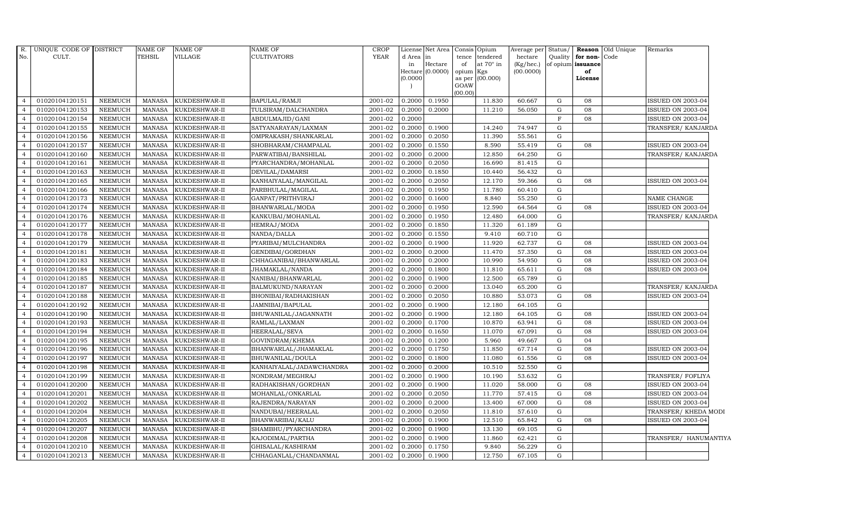| R.             | UNIQUE CODE OF DISTRICT |                | <b>NAME OF</b> | <b>NAME OF</b> | <b>NAME OF</b>           | <b>CROP</b>          | License  | Net Area | Consis    | Opium           | Average per  | Status/ | Reason            | Old Unique | Remarks                  |
|----------------|-------------------------|----------------|----------------|----------------|--------------------------|----------------------|----------|----------|-----------|-----------------|--------------|---------|-------------------|------------|--------------------------|
| No.            | CULT.                   |                | <b>TEHSIL</b>  | <b>VILLAGE</b> | <b>CULTIVATORS</b>       | <b>YEAR</b>          | d Area   | in       | tence     | tendered        | hectare      | Quality | for non-          | Code       |                          |
|                |                         |                |                |                |                          |                      | in       | Hectare  | of        | at 70° in       | $(Kg/$ hec.) |         | of opium issuance |            |                          |
|                |                         |                |                |                |                          |                      | Hectare  | (0.0000) | opium Kgs |                 | (00.0000)    |         | of<br>License     |            |                          |
|                |                         |                |                |                |                          |                      | (0.0000) |          | GOAW      | as per (00.000) |              |         |                   |            |                          |
|                |                         |                |                |                |                          |                      |          |          | (00.00)   |                 |              |         |                   |            |                          |
| $\overline{4}$ | 01020104120151          | NEEMUCH        | MANASA         | KUKDESHWAR-II  | <b>BAPULAL/RAMJI</b>     | 2001-02              | 0.2000   | 0.1950   |           | 11.830          | 60.667       | G       | 08                |            | ISSUED ON 2003-04        |
| $\overline{4}$ | 01020104120153          | <b>NEEMUCH</b> | <b>MANASA</b>  | KUKDESHWAR-II  | TULSIRAM/DALCHANDRA      | 2001-02              | 0.2000   | 0.2000   |           | 11.210          | 56.050       | G       | 08                |            | ISSUED ON 2003-04        |
| $\overline{4}$ | 01020104120154          | <b>NEEMUCH</b> | <b>MANASA</b>  | KUKDESHWAR-II  | ABDULMAJID/GANI          | 2001-02              | 0.2000   |          |           |                 |              | F       | 08                |            | ISSUED ON 2003-04        |
|                | 01020104120155          | <b>NEEMUCH</b> | <b>MANASA</b>  | KUKDESHWAR-II  | SATYANARAYAN/LAXMAN      | 2001-02              | 0.2000   | 0.1900   |           | 14.240          | 74.947       | G       |                   |            | TRANSFER/ KANJARDA       |
|                | 01020104120156          | <b>NEEMUCH</b> | <b>MANASA</b>  | KUKDESHWAR-II  | OMPRAKASH/SHANKARLAL     | 2001-02              | 0.2000   | 0.2050   |           | 11.390          | 55.561       | G       |                   |            |                          |
| $\overline{4}$ | 01020104120157          | <b>NEEMUCH</b> | <b>MANASA</b>  | KUKDESHWAR-II  | SHOBHARAM/CHAMPALAL      | 2001-02              | 0.2000   | 0.1550   |           | 8.590           | 55.419       | G       | 08                |            | ISSUED ON 2003-04        |
| $\overline{4}$ | 01020104120160          | <b>NEEMUCH</b> | <b>MANASA</b>  | KUKDESHWAR-II  | PARWATIBAI/BANSHILAL     | $2001 - 02$          | 0.2000   | 0.2000   |           | 12.850          | 64.250       | G       |                   |            | TRANSFER/ KANJARDA       |
|                | 01020104120161          | <b>NEEMUCH</b> | <b>MANASA</b>  | KUKDESHWAR-II  | PYARCHANDRA/MOHANLAL     | 2001-02              | 0.2000   | 0.2050   |           | 16.690          | 81.415       | G       |                   |            |                          |
|                | 01020104120163          | <b>NEEMUCH</b> | <b>MANASA</b>  | KUKDESHWAR-II  | DEVILAL/DAMARSI          | 2001-02              | 0.2000   | 0.1850   |           | 10.440          | 56.432       | G       |                   |            |                          |
|                | 01020104120165          | <b>NEEMUCH</b> | <b>MANASA</b>  | KUKDESHWAR-II  | KANHAIYALAL/MANGILAL     | 2001-02              | 0.2000   | 0.2050   |           | 12.170          | 59.366       | G       | 08                |            | ISSUED ON 2003-04        |
|                | 01020104120166          | <b>NEEMUCH</b> | <b>MANASA</b>  | KUKDESHWAR-II  | PARBHULAL/MAGILAL        | 2001-02              | 0.2000   | 0.1950   |           | 11.780          | 60.410       | G       |                   |            |                          |
| $\overline{4}$ | 01020104120173          | <b>NEEMUCH</b> | <b>MANASA</b>  | KUKDESHWAR-II  | GANPAT/PRITHVIRAJ        | 2001-02              | 0.2000   | 0.1600   |           | 8.840           | 55.250       | G       |                   |            | NAME CHANGE              |
|                | 01020104120174          | <b>NEEMUCH</b> | <b>MANASA</b>  | KUKDESHWAR-II  | BHANWARLAL/MODA          | 2001-02              | 0.2000   | 0.1950   |           | 12.590          | 64.564       | G       | 08                |            | ISSUED ON 2003-04        |
|                | 01020104120176          | <b>NEEMUCH</b> | <b>MANASA</b>  | KUKDESHWAR-II  | KANKUBAI/MOHANLAL        | 2001-02              | 0.2000   | 0.1950   |           | 12.480          | 64.000       | G       |                   |            | TRANSFER/ KANJARDA       |
|                | 01020104120177          | <b>NEEMUCH</b> | <b>MANASA</b>  | KUKDESHWAR-II  | HEMRAJ/MODA              | 2001-02              | 0.2000   | 0.1850   |           | 11.320          | 61.189       | G       |                   |            |                          |
| $\overline{a}$ | 01020104120178          | <b>NEEMUCH</b> | <b>MANASA</b>  | KUKDESHWAR-II  | NANDA/DALLA              | 2001-02              | 0.2000   | 0.1550   |           | 9.410           | 60.710       | G       |                   |            |                          |
| $\overline{4}$ | 01020104120179          | <b>NEEMUCH</b> | <b>MANASA</b>  | KUKDESHWAR-II  | PYARIBAI/MULCHANDRA      | 2001-02              | 0.2000   | 0.1900   |           | 11.920          | 62.737       | G       | 08                |            | ISSUED ON 2003-04        |
|                | 01020104120181          | <b>NEEMUCH</b> | <b>MANASA</b>  | KUKDESHWAR-II  | GENDIBAI/GORDHAN         | 2001-02              | 0.2000   | 0.2000   |           | 11.470          | 57.350       | G       | 08                |            | ISSUED ON 2003-04        |
|                | 01020104120183          | <b>NEEMUCH</b> | <b>MANASA</b>  | KUKDESHWAR-II  | CHHAGANIBAI/BHANWARLAL   | 2001-02              | 0.2000   | 0.2000   |           | 10.990          | 54.950       | G       | 08                |            | ISSUED ON 2003-04        |
|                | 01020104120184          | <b>NEEMUCH</b> | <b>MANASA</b>  | KUKDESHWAR-II  | JHAMAKLAL/NANDA          | 2001-02              | 0.2000   | 0.1800   |           | 11.810          | 65.611       | G       | 08                |            | ISSUED ON 2003-04        |
| 4              | 01020104120185          | <b>NEEMUCH</b> | <b>MANASA</b>  | KUKDESHWAR-II  | NANIBAI/BHANWARLAL       | 2001-02              | 0.2000   | 0.1900   |           | 12.500          | 65.789       | G       |                   |            |                          |
| $\overline{4}$ | 01020104120187          | <b>NEEMUCH</b> | <b>MANASA</b>  | KUKDESHWAR-II  | BALMUKUND/NARAYAN        | 2001-02              | 0.2000   | 0.2000   |           | 13.040          | 65.200       | G       |                   |            | TRANSFER/KANJARDA        |
| $\overline{4}$ | 01020104120188          | <b>NEEMUCH</b> | MANASA         | KUKDESHWAR-II  | BHONIBAI/RADHAKISHAN     | 2001-02              | 0.2000   | 0.2050   |           | 10.880          | 53.073       | G       | 08                |            | ISSUED ON 2003-04        |
|                | 01020104120192          | <b>NEEMUCH</b> | <b>MANASA</b>  | KUKDESHWAR-II  | JAMNIBAI/BAPULAL         | 2001-02              | 0.2000   | 0.1900   |           | 12.180          | 64.105       | G       |                   |            |                          |
|                | 01020104120190          | <b>NEEMUCH</b> | <b>MANASA</b>  | KUKDESHWAR-II  | BHUWANILAL/JAGANNATH     | 2001-02              | 0.2000   | 0.1900   |           | 12.180          | 64.105       | G       | 08                |            | <b>ISSUED ON 2003-04</b> |
|                | 01020104120193          | <b>NEEMUCH</b> | <b>MANASA</b>  | KUKDESHWAR-II  | RAMLAL/LAXMAN            | 2001-02              | 0.2000   | 0.1700   |           | 10.870          | 63.941       | G       | 08                |            | ISSUED ON 2003-04        |
| $\overline{a}$ | 01020104120194          | <b>NEEMUCH</b> | <b>MANASA</b>  | KUKDESHWAR-II  | HEERALAL/SEVA            | 2001-02              | 0.2000   | 0.1650   |           | 11.070          | 67.091       | G       | 08                |            | ISSUED ON 2003-04        |
| $\overline{4}$ | 01020104120195          | <b>NEEMUCH</b> | <b>MANASA</b>  | KUKDESHWAR-II  | GOVINDRAM/KHEMA          | $\overline{2001-02}$ | 0.2000   | 0.1200   |           | 5.960           | 49.667       | G       | 04                |            |                          |
| $\Delta$       | 01020104120196          | <b>NEEMUCH</b> | <b>MANASA</b>  | KUKDESHWAR-II  | BHANWARLAL/JHAMAKLAL     | 2001-02              | 0.2000   | 0.1750   |           | 11.850          | 67.714       | G       | 08                |            | ISSUED ON 2003-04        |
|                | 01020104120197          | <b>NEEMUCH</b> | <b>MANASA</b>  | KUKDESHWAR-II  | BHUWANILAL/DOULA         | 2001-02              | 0.2000   | 0.1800   |           | 11.080          | 61.556       | G       | 08                |            | ISSUED ON 2003-04        |
|                | 01020104120198          | <b>NEEMUCH</b> | <b>MANASA</b>  | KUKDESHWAR-II  | KANHAIYALAL/JADAWCHANDRA | 2001-02              | 0.2000   | 0.2000   |           | 10.510          | 52.550       | G       |                   |            |                          |
| 4              | 01020104120199          | <b>NEEMUCH</b> | <b>MANASA</b>  | KUKDESHWAR-II  | NONDRAM/MEGHRAJ          | 2001-02              | 0.2000   | 0.1900   |           | 10.190          | 53.632       | G       |                   |            | TRANSFER/FOFLIYA         |
| $\overline{4}$ | 01020104120200          | <b>NEEMUCH</b> | <b>MANASA</b>  | KUKDESHWAR-II  | RADHAKISHAN/GORDHAN      | 2001-02              | 0.2000   | 0.1900   |           | 11.020          | 58.000       | G       | 08                |            | <b>ISSUED ON 2003-04</b> |
| $\overline{a}$ | 01020104120201          | <b>NEEMUCH</b> | <b>MANASA</b>  | KUKDESHWAR-II  | MOHANLAL/ONKARLAL        | $2001 - 02$          | 0.2000   | 0.2050   |           | 11.770          | 57.415       | G       | 08                |            | ISSUED ON 2003-04        |
|                | 01020104120202          | <b>NEEMUCH</b> | <b>MANASA</b>  | KUKDESHWAR-II  | RAJENDRA/NARAYAN         | 2001-02              | 0.2000   | 0.2000   |           | 13.400          | 67.000       | G       | 08                |            | ISSUED ON 2003-04        |
|                | 01020104120204          | <b>NEEMUCH</b> | <b>MANASA</b>  | KUKDESHWAR-II  | NANDUBAI/HEERALAL        | 2001-02              | 0.2000   | 0.2050   |           | 11.810          | 57.610       | G       |                   |            | TRANSFER/KHEDA MODI      |
| 4              | 01020104120205          | <b>NEEMUCH</b> | MANASA         | KUKDESHWAR-II  | BHANWARIBAI/KALU         | 2001-02              | 0.2000   | 0.1900   |           | 12.510          | 65.842       | G       | 08                |            | ISSUED ON 2003-04        |
| $\overline{4}$ | 01020104120207          | NEEMUCH        | <b>MANASA</b>  | KUKDESHWAR-II  | SHAMBHU/PYARCHANDRA      | 2001-02              | 0.2000   | 0.1900   |           | 13.130          | 69.105       | G       |                   |            |                          |
| $\overline{a}$ | 01020104120208          | NEEMUCH        | <b>MANASA</b>  | KUKDESHWAR-II  | KAJODIMAL/PARTHA         | $2001 - 02$          | 0.2000   | 0.1900   |           | 11.860          | 62.421       | G       |                   |            | TRANSFER/ HANUMANTIYA    |
|                | 01020104120210          | <b>NEEMUCH</b> | <b>MANASA</b>  | KUKDESHWAR-II  | GHISALAL/KASHIRAM        | 2001-02              | 0.2000   | 0.1750   |           | 9.840           | 56.229       | G       |                   |            |                          |
| $\overline{4}$ | 01020104120213          | <b>NEEMUCH</b> | MANASA         | KUKDESHWAR-II  | CHHAGANLAL/CHANDANMAL    | 2001-02              | 0.2000   | 0.1900   |           | 12.750          | 67.105       | G       |                   |            |                          |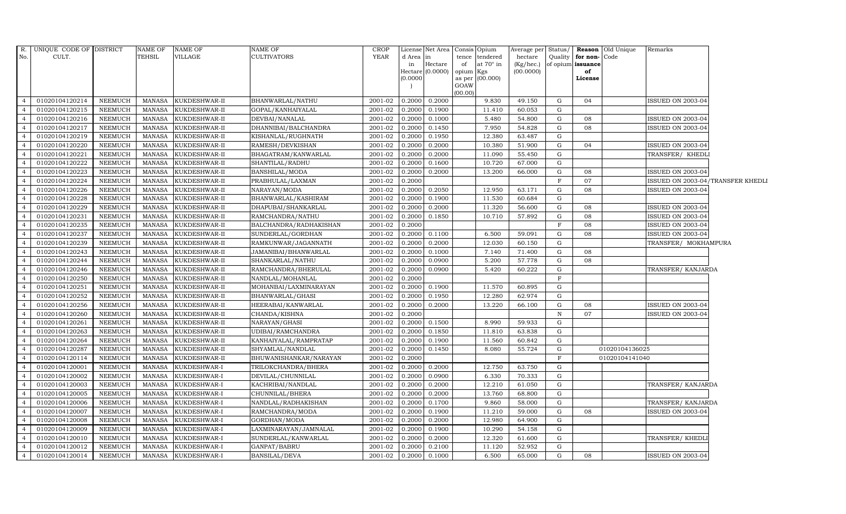| R.             | UNIQUE CODE OF DISTRICT |                | <b>NAME OF</b> | NAME OF       | NAME OF                | <b>CROP</b> |                     | License Net Area |         | Consis Opium           | Average per  | Status/      |                   | <b>Reason</b> Old Unique | Remarks                           |  |
|----------------|-------------------------|----------------|----------------|---------------|------------------------|-------------|---------------------|------------------|---------|------------------------|--------------|--------------|-------------------|--------------------------|-----------------------------------|--|
| No.            | CULT.                   |                | <b>TEHSIL</b>  | VILLAGE       | CULTIVATORS            | <b>YEAR</b> | d Area in           |                  |         | tence tendered         | hectare      | Quality      | for non-Code      |                          |                                   |  |
|                |                         |                |                |               |                        |             | in                  | Hectare          | of      | at $70^\circ$ in       | $(Kg/$ hec.) |              | of opium issuance |                          |                                   |  |
|                |                         |                |                |               |                        |             | Hectare<br>(0.0000) | (0.0000)         | opium   | Kgs<br>as per (00.000) | (00.0000)    |              | of<br>License     |                          |                                   |  |
|                |                         |                |                |               |                        |             |                     |                  | GOAW    |                        |              |              |                   |                          |                                   |  |
|                |                         |                |                |               |                        |             |                     |                  | (00.00) |                        |              |              |                   |                          |                                   |  |
| $\overline{4}$ | 01020104120214          | <b>NEEMUCH</b> | MANASA         | KUKDESHWAR-II | BHANWARLAL/NATHU       | 2001-02     | 0.2000              | 0.2000           |         | 9.830                  | 49.150       | G            | 04                |                          | <b>ISSUED ON 2003-04</b>          |  |
| $\overline{4}$ | 01020104120215          | <b>NEEMUCH</b> | MANASA         | KUKDESHWAR-II | GOPAL/KANHAIYALAL      | 2001-02     | 0.2000              | 0.1900           |         | 11.410                 | 60.053       | G            |                   |                          |                                   |  |
| $\overline{4}$ | 01020104120216          | <b>NEEMUCH</b> | <b>MANASA</b>  | KUKDESHWAR-II | DEVBAI/NANALAL         | 2001-02     | 0.2000              | 0.1000           |         | 5.480                  | 54.800       | ${\rm G}$    | 08                |                          | ISSUED ON 2003-04                 |  |
| $\overline{4}$ | 01020104120217          | <b>NEEMUCH</b> | <b>MANASA</b>  | KUKDESHWAR-II | DHANNIBAI/BALCHANDRA   | 2001-02     | 0.2000              | 0.1450           |         | 7.950                  | 54.828       | $\mathbf G$  | 08                |                          | <b>ISSUED ON 2003-04</b>          |  |
| $\overline{4}$ | 01020104120219          | <b>NEEMUCH</b> | <b>MANASA</b>  | KUKDESHWAR-II | KISHANLAL/RUGHNATH     | 2001-02     | 0.2000              | 0.1950           |         | 12.380                 | 63.487       | $\mathbf G$  |                   |                          |                                   |  |
| $\overline{4}$ | 01020104120220          | <b>NEEMUCH</b> | <b>MANASA</b>  | KUKDESHWAR-II | RAMESH/DEVKISHAN       | 2001-02     | 0.2000              | 0.2000           |         | 10.380                 | 51.900       | $\mathbf G$  | 04                |                          | <b>ISSUED ON 2003-04</b>          |  |
| $\overline{4}$ | 01020104120221          | NEEMUCH        | <b>MANASA</b>  | KUKDESHWAR-II | BHAGATRAM/KANWARLAL    | 2001-02     | 0.2000              | 0.2000           |         | 11.090                 | 55.450       | G            |                   |                          | TRANSFER/ KHEDLI                  |  |
| $\overline{4}$ | 01020104120222          | <b>NEEMUCH</b> | MANASA         | KUKDESHWAR-II | SHANTILAL/RADHU        | 2001-02     | 0.2000              | 0.1600           |         | 10.720                 | 67.000       | ${\rm G}$    |                   |                          |                                   |  |
| $\overline{4}$ | 01020104120223          | <b>NEEMUCH</b> | <b>MANASA</b>  | KUKDESHWAR-II | BANSHILAL/MODA         | 2001-02     | 0.2000              | 0.2000           |         | 13.200                 | 66.000       | ${\rm G}$    | 08                |                          | <b>ISSUED ON 2003-04</b>          |  |
| $\overline{4}$ | 01020104120224          | <b>NEEMUCH</b> | <b>MANASA</b>  | KUKDESHWAR-II | PRABHULAL/LAXMAN       | 2001-02     | 0.2000              |                  |         |                        |              | $\mathbf F$  | 07                |                          | ISSUED ON 2003-04/TRANSFER KHEDLI |  |
| $\overline{4}$ | 01020104120226          | NEEMUCH        | <b>MANASA</b>  | KUKDESHWAR-II | NARAYAN/MODA           | 2001-02     | 0.2000              | 0.2050           |         | 12.950                 | 63.171       | G            | 08                |                          | <b>ISSUED ON 2003-04</b>          |  |
| $\overline{4}$ | 01020104120228          | <b>NEEMUCH</b> | <b>MANASA</b>  | KUKDESHWAR-II | BHANWARLAL/KASHIRAM    | 2001-02     | 0.2000              | 0.1900           |         | 11.530                 | 60.684       | G            |                   |                          |                                   |  |
| $\overline{4}$ | 01020104120229          | <b>NEEMUCH</b> | <b>MANASA</b>  | KUKDESHWAR-II | DHAPUBAI/SHANKARLAL    | 2001-02     | 0.2000              | 0.2000           |         | 11.320                 | 56.600       | $\mathbf G$  | 08                |                          | <b>ISSUED ON 2003-04</b>          |  |
| $\overline{4}$ | 01020104120231          | <b>NEEMUCH</b> | <b>MANASA</b>  | KUKDESHWAR-II | RAMCHANDRA/NATHU       | 2001-02     | 0.2000              | 0.1850           |         | 10.710                 | 57.892       | ${\rm G}$    | 08                |                          | <b>ISSUED ON 2003-04</b>          |  |
| $\overline{4}$ | 01020104120235          | <b>NEEMUCH</b> | <b>MANASA</b>  | KUKDESHWAR-II | BALCHANDRA/RADHAKISHAN | 2001-02     | 0.2000              |                  |         |                        |              | $\mathbf F$  | 08                |                          | <b>ISSUED ON 2003-04</b>          |  |
| $\overline{4}$ | 01020104120237          | <b>NEEMUCH</b> | <b>MANASA</b>  | KUKDESHWAR-II | SUNDERLAL/GORDHAN      | 2001-02     | 0.2000              | 0.1100           |         | 6.500                  | 59.091       | $\mathbf G$  | 08                |                          | <b>ISSUED ON 2003-04</b>          |  |
| $\overline{4}$ | 01020104120239          | <b>NEEMUCH</b> | <b>MANASA</b>  | KUKDESHWAR-II | RAMKUNWAR/JAGANNATH    | 2001-02     | 0.2000              | 0.2000           |         | 12.030                 | 60.150       | ${\rm G}$    |                   |                          | TRANSFER/ MOKHAMPURA              |  |
| $\overline{4}$ | 01020104120243          | <b>NEEMUCH</b> | <b>MANASA</b>  | KUKDESHWAR-II | JAMANIBAI/BHANWARLAL   | 2001-02     | 0.2000              | 0.1000           |         | 7.140                  | 71.400       | $\mathbf G$  | 08                |                          |                                   |  |
| $\overline{4}$ | 01020104120244          | <b>NEEMUCH</b> | <b>MANASA</b>  | KUKDESHWAR-II | SHANKARLAL/NATHU       | 2001-02     | 0.2000              | 0.0900           |         | 5.200                  | 57.778       | ${\rm G}$    | 08                |                          |                                   |  |
| $\overline{4}$ | 01020104120246          | <b>NEEMUCH</b> | <b>MANASA</b>  | KUKDESHWAR-II | RAMCHANDRA/BHERULAL    | 2001-02     | 0.2000              | 0.0900           |         | 5.420                  | 60.222       | G            |                   |                          | TRANSFER/ KANJARDA                |  |
| $\overline{4}$ | 01020104120250          | <b>NEEMUCH</b> | <b>MANASA</b>  | KUKDESHWAR-II | NANDLAL/MOHANLAL       | 2001-02     | 0.2000              |                  |         |                        |              | $\mathbf F$  |                   |                          |                                   |  |
| $\overline{4}$ | 01020104120251          | <b>NEEMUCH</b> | <b>MANASA</b>  | KUKDESHWAR-II | MOHANBAI/LAXMINARAYAN  | 2001-02     | 0.2000              | 0.1900           |         | 11.570                 | 60.895       | G            |                   |                          |                                   |  |
| $\overline{4}$ | 01020104120252          | <b>NEEMUCH</b> | <b>MANASA</b>  | KUKDESHWAR-II | BHANWARLAL/GHASI       | 2001-02     | 0.2000              | 0.1950           |         | 12.280                 | 62.974       | G            |                   |                          |                                   |  |
| $\overline{4}$ | 01020104120256          | <b>NEEMUCH</b> | <b>MANASA</b>  | KUKDESHWAR-II | HEERABAI/KANWARLAL     | 2001-02     | 0.2000              | 0.2000           |         | 13.220                 | 66.100       | ${\rm G}$    | 08                |                          | ISSUED ON 2003-04                 |  |
| $\overline{4}$ | 01020104120260          | <b>NEEMUCH</b> | <b>MANASA</b>  | KUKDESHWAR-II | CHANDA/KISHNA          | 2001-02     | 0.2000              |                  |         |                        |              | $\, {\bf N}$ | 07                |                          | ISSUED ON 2003-04                 |  |
| $\overline{4}$ | 01020104120261          | <b>NEEMUCH</b> | <b>MANASA</b>  | KUKDESHWAR-II | NARAYAN/GHASI          | 2001-02     | 0.2000              | 0.1500           |         | 8.990                  | 59.933       | G            |                   |                          |                                   |  |
| $\overline{4}$ | 01020104120263          | <b>NEEMUCH</b> | <b>MANASA</b>  | KUKDESHWAR-II | UDIBAI/RAMCHANDRA      | 2001-02     | 0.2000              | 0.1850           |         | 11.810                 | 63.838       | ${\rm G}$    |                   |                          |                                   |  |
| $\overline{4}$ | 01020104120264          | <b>NEEMUCH</b> | <b>MANASA</b>  | KUKDESHWAR-II | KANHAIYALAL/RAMPRATAP  | 2001-02     | 0.2000              | 0.1900           |         | 11.560                 | 60.842       | G            |                   |                          |                                   |  |
| $\overline{4}$ | 01020104120287          | <b>NEEMUCH</b> | <b>MANASA</b>  | KUKDESHWAR-II | SHYAMLAL/NANDLAL       | 2001-02     | 0.2000              | 0.1450           |         | 8.080                  | 55.724       | G            |                   | 01020104136025           |                                   |  |
| $\overline{4}$ | 01020104120114          | <b>NEEMUCH</b> | <b>MANASA</b>  | KUKDESHWAR-II | BHUWANISHANKAR/NARAYAN | 2001-02     | 0.2000              |                  |         |                        |              | $\mathbf F$  |                   | 01020104141040           |                                   |  |
| $\overline{4}$ | 01020104120001          | <b>NEEMUCH</b> | <b>MANASA</b>  | KUKDESHWAR-I  | TRILOKCHANDRA/BHERA    | 2001-02     | 0.2000              | 0.2000           |         | 12.750                 | 63.750       | $\mathbf G$  |                   |                          |                                   |  |
| $\overline{4}$ | 01020104120002          | <b>NEEMUCH</b> | <b>MANASA</b>  | KUKDESHWAR-I  | DEVILAL/CHUNNILAL      | 2001-02     | 0.2000              | 0.0900           |         | 6.330                  | 70.333       | $\mathbf G$  |                   |                          |                                   |  |
| $\overline{4}$ | 01020104120003          | <b>NEEMUCH</b> | MANASA         | KUKDESHWAR-I  | KACHRIBAI/NANDLAL      | 2001-02     | 0.2000              | 0.2000           |         | 12.210                 | 61.050       | G            |                   |                          | TRANSFER/ KANJARDA                |  |
| $\overline{4}$ | 01020104120005          | <b>NEEMUCH</b> | <b>MANASA</b>  | KUKDESHWAR-I  | CHUNNILAL/BHERA        | 2001-02     | 0.2000              | 0.2000           |         | 13.760                 | 68.800       | $\mathbf G$  |                   |                          |                                   |  |
| $\overline{4}$ | 01020104120006          | <b>NEEMUCH</b> | MANASA         | KUKDESHWAR-I  | NANDLAL/RADHAKISHAN    | 2001-02     | 0.2000              | 0.1700           |         | 9.860                  | 58.000       | $\mathbf G$  |                   |                          | TRANSFER/KANJARDA                 |  |
| $\overline{4}$ | 01020104120007          | <b>NEEMUCH</b> | <b>MANASA</b>  | KUKDESHWAR-I  | RAMCHANDRA/MODA        | 2001-02     | 0.2000              | 0.1900           |         | 11.210                 | 59.000       | ${\rm G}$    | 08                |                          | <b>ISSUED ON 2003-04</b>          |  |
| $\overline{4}$ | 01020104120008          | <b>NEEMUCH</b> | <b>MANASA</b>  | KUKDESHWAR-I  | GORDHAN/MODA           | 2001-02     | 0.2000              | 0.2000           |         | 12.980                 | 64.900       | $\mathbf G$  |                   |                          |                                   |  |
| $\overline{4}$ | 01020104120009          | <b>NEEMUCH</b> | <b>MANASA</b>  | KUKDESHWAR-I  | LAXMINARAYAN/JAMNALAL  | 2001-02     | 0.2000              | 0.1900           |         | 10.290                 | 54.158       | $\mathbf G$  |                   |                          |                                   |  |
| $\overline{4}$ | 01020104120010          | <b>NEEMUCH</b> | <b>MANASA</b>  | KUKDESHWAR-I  | SUNDERLAL/KANWARLAL    | 2001-02     | 0.2000              | 0.2000           |         | 12.320                 | 61.600       | $\mathbf G$  |                   |                          | TRANSFER/ KHEDLI                  |  |
| $\overline{4}$ | 01020104120012          | <b>NEEMUCH</b> | <b>MANASA</b>  | KUKDESHWAR-I  | GANPAT/BABRU           | 2001-02     | 0.2000              | 0.2100           |         | 11.120                 | 52.952       | $\mathbf G$  |                   |                          |                                   |  |
| $\overline{4}$ | 01020104120014          | <b>NEEMUCH</b> | MANASA         | KUKDESHWAR-I  | <b>BANSILAL/DEVA</b>   | 2001-02     | 0.2000              | 0.1000           |         | 6.500                  | 65.000       | $\mathbf G$  | 08                |                          | <b>ISSUED ON 2003-04</b>          |  |
|                |                         |                |                |               |                        |             |                     |                  |         |                        |              |              |                   |                          |                                   |  |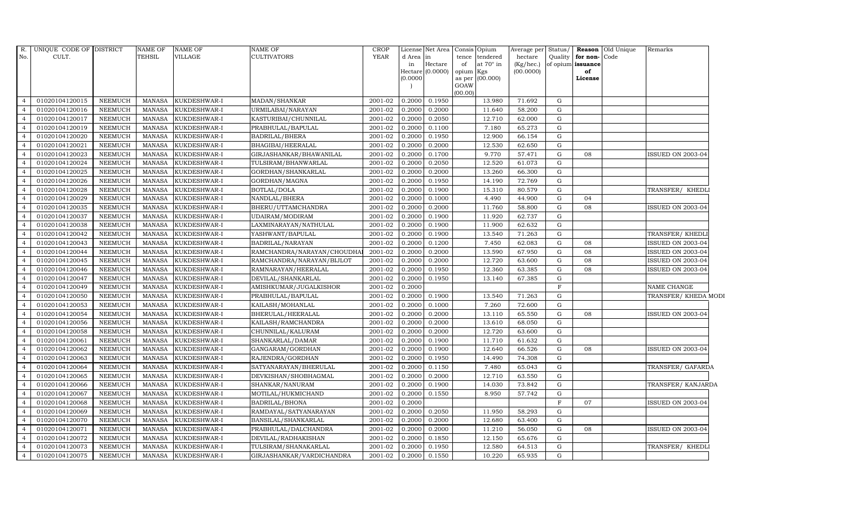| R.<br>No.        | UNIQUE CODE OF DISTRICT<br>CULT. |                | NAME OF<br>TEHSIL | <b>NAME OF</b><br>VILLAGE | NAME OF<br>CULTIVATORS     | <b>CROP</b><br><b>YEAR</b> | d Area in<br>in<br>(0.0000) | License Net Area Consis<br>Hectare<br>Hectare (0.0000) | tence<br>of<br>opium<br>as per<br>GOAW<br>(00.00) | Opium<br>tendered<br>at $70^\circ$ in<br>Kgs<br>(00.000) | Average per<br>hectare<br>(Kg/hec.)<br>(00.0000) | Status/<br>Quality | for non-Code<br>of opium issuance<br>of<br>License | <b>Reason</b> Old Unique | Remarks                  |
|------------------|----------------------------------|----------------|-------------------|---------------------------|----------------------------|----------------------------|-----------------------------|--------------------------------------------------------|---------------------------------------------------|----------------------------------------------------------|--------------------------------------------------|--------------------|----------------------------------------------------|--------------------------|--------------------------|
| $\overline{4}$   | 01020104120015                   | <b>NEEMUCH</b> | MANASA            | KUKDESHWAR-I              | MADAN/SHANKAR              | 2001-02                    | 0.2000                      | 0.1950                                                 |                                                   | 13.980                                                   | 71.692                                           | G                  |                                                    |                          |                          |
|                  | 01020104120016                   | <b>NEEMUCH</b> | MANASA            | KUKDESHWAR-I              | URMILABAI/NARAYAN          | 2001-02                    | 0.2000                      | 0.2000                                                 |                                                   | 11.640                                                   | 58.200                                           | G                  |                                                    |                          |                          |
|                  | 01020104120017                   | <b>NEEMUCH</b> | <b>MANASA</b>     | KUKDESHWAR-I              | KASTURIBAI/CHUNNILAL       | 2001-02                    | 0.2000                      | 0.2050                                                 |                                                   | 12.710                                                   | 62.000                                           | G                  |                                                    |                          |                          |
|                  | 01020104120019                   | <b>NEEMUCH</b> | <b>MANASA</b>     | KUKDESHWAR-I              | PRABHULAL/BAPULAL          | 2001-02                    | 0.2000                      | 0.1100                                                 |                                                   | 7.180                                                    | 65.273                                           | G                  |                                                    |                          |                          |
|                  | 01020104120020                   | <b>NEEMUCH</b> | <b>MANASA</b>     | KUKDESHWAR-I              | <b>BADRILAL/BHERA</b>      | 2001-02                    | 0.2000                      | 0.1950                                                 |                                                   | 12.900                                                   | 66.154                                           | ${\rm G}$          |                                                    |                          |                          |
| $\overline{4}$   | 01020104120021                   | <b>NEEMUCH</b> | <b>MANASA</b>     | KUKDESHWAR-I              | BHAGIBAI/HEERALAL          | 2001-02                    | 0.2000                      | 0.2000                                                 |                                                   | 12.530                                                   | 62.650                                           | G                  |                                                    |                          |                          |
| $\overline{4}$   | 01020104120023                   | <b>NEEMUCH</b> | MANASA            | KUKDESHWAR-I              | GIRJASHANKAR/BHAWANILAL    | 2001-02                    | 0.2000                      | 0.1700                                                 |                                                   | 9.770                                                    | 57.471                                           | G                  | 08                                                 |                          | ISSUED ON 2003-04        |
|                  | 01020104120024                   | <b>NEEMUCH</b> | <b>MANASA</b>     | KUKDESHWAR-I              | TULSIRAM/BHANWARLAL        | 2001-02                    | 0.2000                      | 0.2050                                                 |                                                   | 12.520                                                   | 61.073                                           | G                  |                                                    |                          |                          |
|                  | 01020104120025                   | <b>NEEMUCH</b> | <b>MANASA</b>     | KUKDESHWAR-I              | GORDHAN/SHANKARLAL         | 2001-02                    | 0.2000                      | 0.2000                                                 |                                                   | 13.260                                                   | 66.300                                           | G                  |                                                    |                          |                          |
|                  | 01020104120026                   | <b>NEEMUCH</b> | <b>MANASA</b>     | KUKDESHWAR-I              | GORDHAN/MAGNA              | 2001-02                    | 0.2000                      | 0.1950                                                 |                                                   | 14.190                                                   | 72.769                                           | ${\rm G}$          |                                                    |                          |                          |
| $\overline{4}$   | 01020104120028                   | <b>NEEMUCH</b> | MANASA            | KUKDESHWAR-I              | <b>BOTLAL/DOLA</b>         | 2001-02                    | 0.2000                      | 0.1900                                                 |                                                   | 15.310                                                   | 80.579                                           | G                  |                                                    |                          | TRANSFER/ KHEDLI         |
| $\overline{4}$   | 01020104120029                   | <b>NEEMUCH</b> | MANASA            | KUKDESHWAR-I              | NANDLAL/BHERA              | 2001-02                    | 0.2000                      | 0.1000                                                 |                                                   | 4.490                                                    | 44.900                                           | G                  | 04                                                 |                          |                          |
|                  | 01020104120035                   | <b>NEEMUCH</b> | MANASA            | KUKDESHWAR-I              | BHERU/UTTAMCHANDRA         | 2001-02                    | 0.2000                      | 0.2000                                                 |                                                   | 11.760                                                   | 58.800                                           | G                  | 08                                                 |                          | <b>ISSUED ON 2003-04</b> |
|                  | 01020104120037                   | <b>NEEMUCH</b> | MANASA            | KUKDESHWAR-I              | UDAIRAM/MODIRAM            | 2001-02                    | 0.2000                      | 0.1900                                                 |                                                   | 11.920                                                   | 62.737                                           | G                  |                                                    |                          |                          |
|                  | 01020104120038                   | <b>NEEMUCH</b> | <b>MANASA</b>     | KUKDESHWAR-I              | LAXMINARAYAN/NATHULAL      | 2001-02                    | 0.2000                      | 0.1900                                                 |                                                   | 11.900                                                   | 62.632                                           | G                  |                                                    |                          |                          |
| $\overline{4}$   | 01020104120042                   | <b>NEEMUCH</b> | MANASA            | KUKDESHWAR-I              | YASHWANT/BAPULAL           | 2001-02                    | 0.2000                      | 0.1900                                                 |                                                   | 13.540                                                   | 71.263                                           | G                  |                                                    |                          | TRANSFER/ KHEDLI         |
| $\overline{4}$   | 01020104120043                   | <b>NEEMUCH</b> | <b>MANASA</b>     | KUKDESHWAR-I              | BADRILAL/NARAYAN           | 2001-02                    | 0.2000                      | 0.1200                                                 |                                                   | 7.450                                                    | 62.083                                           | G                  | 08                                                 |                          | ISSUED ON 2003-04        |
|                  | 01020104120044                   | <b>NEEMUCH</b> | <b>MANASA</b>     | KUKDESHWAR-I              | RAMCHANDRA/NARAYAN/CHOUDHA | 2001-02                    | 0.2000                      | 0.2000                                                 |                                                   | 13.590                                                   | 67.950                                           | G                  | 08                                                 |                          | ISSUED ON 2003-04        |
|                  | 01020104120045                   | <b>NEEMUCH</b> | <b>MANASA</b>     | KUKDESHWAR-I              | RAMCHANDRA/NARAYAN/BIJLOT  | 2001-02                    | 0.2000                      | 0.2000                                                 |                                                   | 12.720                                                   | 63.600                                           | G                  | 08                                                 |                          | ISSUED ON 2003-04        |
|                  | 01020104120046                   | <b>NEEMUCH</b> | <b>MANASA</b>     | KUKDESHWAR-I              | RAMNARAYAN/HEERALAL        | 2001-02                    | 0.2000                      | 0.1950                                                 |                                                   | 12.360                                                   | 63.385                                           | G                  | 08                                                 |                          | ISSUED ON 2003-04        |
| 4                | 01020104120047                   | <b>NEEMUCH</b> | MANASA            | KUKDESHWAR-I              | DEVILAL/SHANKARLAL         | 2001-02                    | 0.2000                      | 0.1950                                                 |                                                   | 13.140                                                   | 67.385                                           | $\mathbf G$        |                                                    |                          |                          |
| $\boldsymbol{A}$ | 01020104120049                   | <b>NEEMUCH</b> | <b>MANASA</b>     | KUKDESHWAR-I              | AMISHKUMAR/JUGALKISHOR     | 2001-02                    | 0.2000                      |                                                        |                                                   |                                                          |                                                  | $\rm F$            |                                                    |                          | NAME CHANGE              |
| $\overline{4}$   | 01020104120050                   | <b>NEEMUCH</b> | MANASA            | KUKDESHWAR-I              | PRABHULAL/BAPULAL          | 2001-02                    | 0.2000                      | 0.1900                                                 |                                                   | 13.540                                                   | 71.263                                           | G                  |                                                    |                          | TRANSFER/ KHEDA MODI     |
|                  | 01020104120053                   | <b>NEEMUCH</b> | <b>MANASA</b>     | KUKDESHWAR-I              | KAILASH/MOHANLAL           | 2001-02                    | 0.2000                      | 0.1000                                                 |                                                   | 7.260                                                    | 72.600                                           | G                  |                                                    |                          |                          |
|                  | 01020104120054                   | <b>NEEMUCH</b> | <b>MANASA</b>     | KUKDESHWAR-I              | BHERULAL/HEERALAL          | 2001-02                    | 0.2000                      | 0.2000                                                 |                                                   | 13.110                                                   | 65.550                                           | $\mathbf G$        | 08                                                 |                          | ISSUED ON 2003-04        |
|                  | 01020104120056                   | <b>NEEMUCH</b> | MANASA            | KUKDESHWAR-I              | KAILASH/RAMCHANDRA         | 2001-02                    | 0.2000                      | 0.2000                                                 |                                                   | 13.610                                                   | 68.050                                           | G                  |                                                    |                          |                          |
| 4                | 01020104120058                   | <b>NEEMUCH</b> | <b>MANASA</b>     | KUKDESHWAR-I              | CHUNNILAL/KALURAM          | 2001-02                    | 0.2000                      | 0.2000                                                 |                                                   | 12.720                                                   | 63.600                                           | G                  |                                                    |                          |                          |
| $\overline{4}$   | 01020104120061                   | <b>NEEMUCH</b> | MANASA            | KUKDESHWAR-I              | SHANKARLAL/DAMAR           | 2001-02                    | 0.2000                      | 0.1900                                                 |                                                   | 11.710                                                   | 61.632                                           | G                  |                                                    |                          |                          |
|                  | 01020104120062                   | <b>NEEMUCH</b> | MANASA            | KUKDESHWAR-I              | GANGARAM/GORDHAN           | 2001-02                    | 0.2000                      | 0.1900                                                 |                                                   | 12.640                                                   | 66.526                                           | G                  | 08                                                 |                          | <b>ISSUED ON 2003-04</b> |
|                  | 01020104120063                   | <b>NEEMUCH</b> | <b>MANASA</b>     | KUKDESHWAR-I              | RAJENDRA/GORDHAN           | 2001-02                    | 0.2000                      | 0.1950                                                 |                                                   | 14.490                                                   | 74.308                                           | G                  |                                                    |                          |                          |
|                  | 01020104120064                   | <b>NEEMUCH</b> | <b>MANASA</b>     | KUKDESHWAR-I              | SATYANARAYAN/BHERULAL      | 2001-02                    | 0.2000                      | 0.1150                                                 |                                                   | 7.480                                                    | 65.043                                           | G                  |                                                    |                          | TRANSFER/ GAFARDA        |
|                  | 01020104120065                   | <b>NEEMUCH</b> | <b>MANASA</b>     | KUKDESHWAR-I              | DEVKISHAN/SHOBHAGMAL       | $2001 - 02$                | 0.2000                      | 0.2000                                                 |                                                   | 12.710                                                   | 63.550                                           | G                  |                                                    |                          |                          |
| $\overline{4}$   | 01020104120066                   | <b>NEEMUCH</b> | <b>MANASA</b>     | KUKDESHWAR-I              | SHANKAR/NANURAM            | 2001-02                    | 0.2000                      | 0.1900                                                 |                                                   | 14.030                                                   | 73.842                                           | G                  |                                                    |                          | TRANSFER/ KANJARDA       |
| $\overline{4}$   | 01020104120067                   | <b>NEEMUCH</b> | <b>MANASA</b>     | KUKDESHWAR-I              | MOTILAL/HUKMICHAND         | 2001-02                    | 0.2000                      | 0.1550                                                 |                                                   | 8.950                                                    | 57.742                                           | G                  |                                                    |                          |                          |
|                  | 01020104120068                   | <b>NEEMUCH</b> | <b>MANASA</b>     | KUKDESHWAR-I              | BADRILAL/BHONA             | 2001-02                    | 0.2000                      |                                                        |                                                   |                                                          |                                                  | F                  | 07                                                 |                          | ISSUED ON 2003-04        |
|                  | 01020104120069                   | <b>NEEMUCH</b> | <b>MANASA</b>     | KUKDESHWAR-I              | RAMDAYAL/SATYANARAYAN      | 2001-02                    | 0.2000                      | 0.2050                                                 |                                                   | 11.950                                                   | 58.293                                           | G                  |                                                    |                          |                          |
|                  | 01020104120070                   | <b>NEEMUCH</b> | MANASA            | KUKDESHWAR-I              | BANSILAL/SHANKARLAL        | 2001-02                    | 0.2000                      | 0.2000                                                 |                                                   | 12.680                                                   | 63.400                                           | $\mathbf G$        |                                                    |                          |                          |
| $\overline{4}$   | 01020104120071                   | <b>NEEMUCH</b> | <b>MANASA</b>     | KUKDESHWAR-I              | PRABHULAL/DALCHANDRA       | $2001 - 02$                | 0.2000                      | 0.2000                                                 |                                                   | 11.210                                                   | 56.050                                           | G                  | 08                                                 |                          | ISSUED ON 2003-04        |
| $\overline{4}$   | 01020104120072                   | <b>NEEMUCH</b> | <b>MANASA</b>     | KUKDESHWAR-I              | DEVILAL/RADHAKISHAN        | 2001-02                    | 0.2000                      | 0.1850                                                 |                                                   | 12.150                                                   | 65.676                                           | G                  |                                                    |                          |                          |
| $\overline{4}$   | 01020104120073                   | <b>NEEMUCH</b> | MANASA            | KUKDESHWAR-I              | TULSIRAM/SHANAKARLAL       | 2001-02                    | 0.2000                      | 0.1950                                                 |                                                   | 12.580                                                   | 64.513                                           | G                  |                                                    |                          | TRANSFER/ KHEDLI         |
|                  | 01020104120075                   | <b>NEEMUCH</b> | MANASA            | KUKDESHWAR-I              | GIRJASHANKAR/VARDICHANDRA  | 2001-02                    | 0.2000                      | 0.1550                                                 |                                                   | 10.220                                                   | 65.935                                           | G                  |                                                    |                          |                          |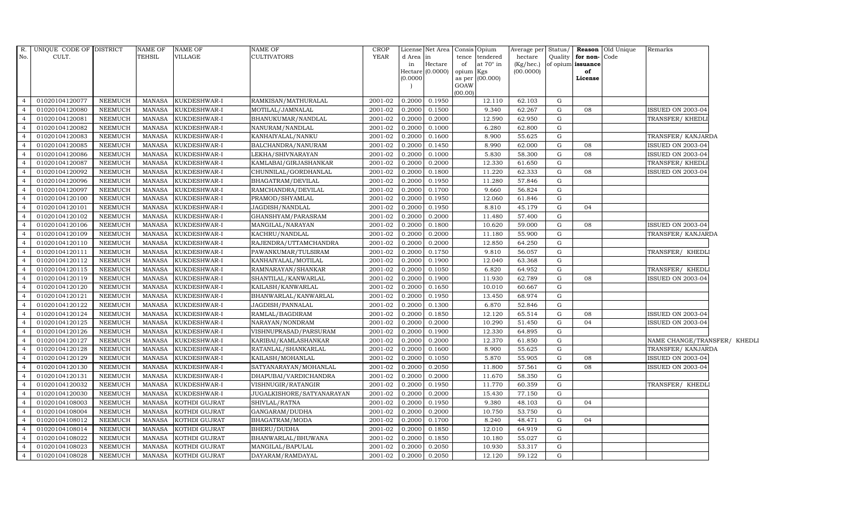| $\overline{R}$ . | UNIQUE CODE OF DISTRICT |                | <b>NAME OF</b> | <b>NAME OF</b> | <b>NAME OF</b>            | <b>CROP</b> |           | License Net Area Consis |           | Opium           |           |             |                   | Average per Status/ Reason Old Unique | Remarks                      |  |
|------------------|-------------------------|----------------|----------------|----------------|---------------------------|-------------|-----------|-------------------------|-----------|-----------------|-----------|-------------|-------------------|---------------------------------------|------------------------------|--|
| No.              | CULT.                   |                | TEHSIL         | <b>VILLAGE</b> | <b>CULTIVATORS</b>        | <b>YEAR</b> | d Area in |                         | tence     | tendered        | hectare   | Quality     | for non-Code      |                                       |                              |  |
|                  |                         |                |                |                |                           |             | in        | Hectare                 | of        | at 70° in       | (Kg/hec.) |             | of opium issuance |                                       |                              |  |
|                  |                         |                |                |                |                           |             | (0.0000)  | Hectare $(0.0000)$      | opium Kgs | as per (00.000) | (00.0000) |             | of<br>License     |                                       |                              |  |
|                  |                         |                |                |                |                           |             |           |                         | GOAW      |                 |           |             |                   |                                       |                              |  |
|                  |                         |                |                |                |                           |             |           |                         | (00.00)   |                 |           |             |                   |                                       |                              |  |
| $\overline{4}$   | 01020104120077          | NEEMUCH        | MANASA         | KUKDESHWAR-I   | RAMKISAN/MATHURALAL       | 2001-02     | 0.2000    | 0.1950                  |           | 12.110          | 62.103    | G           |                   |                                       |                              |  |
| $\overline{4}$   | 01020104120080          | <b>NEEMUCH</b> | <b>MANASA</b>  | KUKDESHWAR-I   | MOTILAL/JAMNALAL          | 2001-02     | 0.2000    | 0.1500                  |           | 9.340           | 62.267    | G           | 08                |                                       | ISSUED ON 2003-04            |  |
| $\overline{4}$   | 01020104120081          | NEEMUCH        | <b>MANASA</b>  | KUKDESHWAR-I   | BHANUKUMAR/NANDLAL        | 2001-02     | 0.2000    | 0.2000                  |           | 12.590          | 62.950    | G           |                   |                                       | TRANSFER/ KHEDLI             |  |
| $\overline{4}$   | 01020104120082          | NEEMUCH        | <b>MANASA</b>  | KUKDESHWAR-I   | NANURAM/NANDLAL           | 2001-02     | 0.2000    | 0.1000                  |           | 6.280           | 62.800    | G           |                   |                                       |                              |  |
| $\overline{4}$   | 01020104120083          | NEEMUCH        | <b>MANASA</b>  | KUKDESHWAR-I   | KANHAIYALAL/NANKU         | 2001-02     | 0.2000    | 0.1600                  |           | 8.900           | 55.625    | G           |                   |                                       | TRANSFER/ KANJARDA           |  |
| $\overline{4}$   | 01020104120085          | NEEMUCH        | <b>MANASA</b>  | KUKDESHWAR-I   | BALCHANDRA/NANURAM        | 2001-02     | 0.2000    | 0.1450                  |           | 8.990           | 62.000    | G           | 08                |                                       | <b>ISSUED ON 2003-04</b>     |  |
| $\overline{4}$   | 01020104120086          | NEEMUCH        | MANASA         | KUKDESHWAR-I   | LEKHA/SHIVNARAYAN         | 2001-02     | 0.2000    | 0.1000                  |           | 5.830           | 58.300    | G           | 08                |                                       | <b>ISSUED ON 2003-04</b>     |  |
| $\Delta$         | 01020104120087          | NEEMUCH        | <b>MANASA</b>  | KUKDESHWAR-I   | KAMLABAI/GIRJASHANKAR     | 2001-02     | 0.2000    | 0.2000                  |           | 12.330          | 61.650    | G           |                   |                                       | TRANSFER/ KHEDL              |  |
|                  | 01020104120092          | NEEMUCH        | <b>MANASA</b>  | KUKDESHWAR-I   | CHUNNILAL/GORDHANLAL      | 2001-02     | 0.2000    | 0.1800                  |           | 11.220          | 62.333    | G           | 08                |                                       | ISSUED ON 2003-04            |  |
| $\overline{4}$   | 01020104120096          | <b>NEEMUCH</b> | <b>MANASA</b>  | KUKDESHWAR-I   | BHAGATRAM/DEVILAL         | 2001-02     | 0.2000    | 0.1950                  |           | 11.280          | 57.846    | G           |                   |                                       |                              |  |
| $\overline{4}$   | 01020104120097          | NEEMUCH        | <b>MANASA</b>  | KUKDESHWAR-I   | RAMCHANDRA/DEVILAL        | 2001-02     | 0.2000    | 0.1700                  |           | 9.660           | 56.824    | G           |                   |                                       |                              |  |
| $\overline{4}$   | 01020104120100          | NEEMUCH        | <b>MANASA</b>  | KUKDESHWAR-I   | PRAMOD/SHYAMLAL           | 2001-02     | 0.2000    | 0.1950                  |           | 12.060          | 61.846    | G           |                   |                                       |                              |  |
| $\overline{4}$   | 01020104120101          | NEEMUCH        | <b>MANASA</b>  | KUKDESHWAR-I   | JAGDISH/NANDLAL           | 2001-02     | 0.2000    | 0.1950                  |           | 8.810           | 45.179    | G           | 04                |                                       |                              |  |
| $\overline{4}$   | 01020104120102          | <b>NEEMUCH</b> | <b>MANASA</b>  | KUKDESHWAR-I   | GHANSHYAM/PARASRAM        | 2001-02     | 0.2000    | 0.2000                  |           | 11.480          | 57.400    | $\mathbf G$ |                   |                                       |                              |  |
|                  | 01020104120106          | NEEMUCH        | <b>MANASA</b>  | KUKDESHWAR-I   | MANGILAL/NARAYAN          | 2001-02     | 0.2000    | 0.1800                  |           | 10.620          | 59.000    | G           | 08                |                                       | ISSUED ON 2003-04            |  |
| $\overline{4}$   | 01020104120109          | NEEMUCH        | <b>MANASA</b>  | KUKDESHWAR-I   | KACHRU/NANDLAL            | 2001-02     | 0.2000    | 0.2000                  |           | 11.180          | 55.900    | G           |                   |                                       | TRANSFER/ KANJARDA           |  |
| $\overline{4}$   | 01020104120110          | NEEMUCH        | <b>MANASA</b>  | KUKDESHWAR-I   | RAJENDRA/UTTAMCHANDRA     | 2001-02     | 0.2000    | 0.2000                  |           | 12.850          | 64.250    | G           |                   |                                       |                              |  |
| $\overline{4}$   | 01020104120111          | NEEMUCH        | <b>MANASA</b>  | KUKDESHWAR-I   | PAWANKUMAR/TULSIRAM       | 2001-02     | 0.2000    | 0.1750                  |           | 9.810           | 56.057    | G           |                   |                                       | TRANSFER/ KHEDLI             |  |
| $\overline{4}$   | 01020104120112          | NEEMUCH        | <b>MANASA</b>  | KUKDESHWAR-I   | KANHAIYALAL/MOTILAL       | 2001-02     | 0.2000    | 0.1900                  |           | 12.040          | 63.368    | G           |                   |                                       |                              |  |
| $\overline{4}$   | 01020104120115          | <b>NEEMUCH</b> | <b>MANASA</b>  | KUKDESHWAR-I   | RAMNARAYAN/SHANKAR        | 2001-02     | 0.2000    | 0.1050                  |           | 6.820           | 64.952    | G           |                   |                                       | TRANSFER/ KHEDLI             |  |
| $\overline{4}$   | 01020104120119          | NEEMUCH        | <b>MANASA</b>  | KUKDESHWAR-I   | SHANTILAL/KANWARLAL       | 2001-02     | 0.2000    | 0.1900                  |           | 11.930          | 62.789    | G           | 08                |                                       | ISSUED ON 2003-04            |  |
| $\overline{4}$   | 01020104120120          | NEEMUCH        | <b>MANASA</b>  | KUKDESHWAR-I   | KAILASH/KANWARLAL         | 2001-02     | 0.2000    | 0.1650                  |           | 10.010          | 60.667    | G           |                   |                                       |                              |  |
| $\overline{4}$   | 01020104120121          | NEEMUCH        | <b>MANASA</b>  | KUKDESHWAR-I   | BHANWARLAL/KANWARLAL      | 2001-02     | 0.2000    | 0.1950                  |           | 13.450          | 68.974    | G           |                   |                                       |                              |  |
| $\overline{4}$   | 01020104120122          | NEEMUCH        | <b>MANASA</b>  | KUKDESHWAR-I   | JAGDISH/PANNALAL          | 2001-02     | 0.2000    | 0.1300                  |           | 6.870           | 52.846    | G           |                   |                                       |                              |  |
| $\overline{4}$   | 01020104120124          | NEEMUCH        | <b>MANASA</b>  | KUKDESHWAR-I   | RAMLAL/BAGDIRAM           | 2001-02     | 0.2000    | 0.1850                  |           | 12.120          | 65.514    | G           | 08                |                                       | ISSUED ON 2003-04            |  |
|                  | 01020104120125          | NEEMUCH        | <b>MANASA</b>  | KUKDESHWAR-I   | NARAYAN/NONDRAM           | 2001-02     | 0.2000    | 0.2000                  |           | 10.290          | 51.450    | G           | 04                |                                       | <b>ISSUED ON 2003-04</b>     |  |
| $\overline{4}$   | 01020104120126          | <b>NEEMUCH</b> | <b>MANASA</b>  | KUKDESHWAR-I   | VISHNUPRASAD/PARSURAM     | 2001-02     | 0.2000    | 0.1900                  |           | 12.330          | 64.895    | G           |                   |                                       |                              |  |
| $\overline{4}$   | 01020104120127          | NEEMUCH        | <b>MANASA</b>  | KUKDESHWAR-I   | KARIBAI/KAMLASHANKAR      | 2001-02     | 0.2000    | 0.2000                  |           | 12.370          | 61.850    | G           |                   |                                       | NAME CHANGE/TRANSFER/ KHEDLI |  |
| $\overline{4}$   | 01020104120128          | NEEMUCH        | <b>MANASA</b>  | KUKDESHWAR-I   | RATANLAL/SHANKARLAL       | 2001-02     | 0.2000    | 0.1600                  |           | 8.900           | 55.625    | G           |                   |                                       | TRANSFER/ KANJARDA           |  |
| $\overline{4}$   | 01020104120129          | NEEMUCH        | <b>MANASA</b>  | KUKDESHWAR-I   | KAILASH/MOHANLAL          | 2001-02     | 0.2000    | 0.1050                  |           | 5.870           | 55.905    | G           | 08                |                                       | <b>ISSUED ON 2003-04</b>     |  |
| $\overline{4}$   | 01020104120130          | NEEMUCH        | <b>MANASA</b>  | KUKDESHWAR-I   | SATYANARAYAN/MOHANLAL     | 2001-02     | 0.2000    | 0.2050                  |           | 11.800          | 57.561    | G           | 08                |                                       | <b>ISSUED ON 2003-04</b>     |  |
| $\overline{4}$   | 01020104120131          | <b>NEEMUCH</b> | <b>MANASA</b>  | KUKDESHWAR-I   | DHAPUBAI/VARDICHANDRA     | 2001-02     | 0.2000    | 0.2000                  |           | 11.670          | 58.350    | G           |                   |                                       |                              |  |
| $\overline{4}$   | 01020104120032          | NEEMUCH        | <b>MANASA</b>  | KUKDESHWAR-I   | VISHNUGIR/RATANGIR        | 2001-02     | 0.2000    | 0.1950                  |           | 11.770          | 60.359    | G           |                   |                                       | TRANSFER/ KHEDLI             |  |
| $\overline{4}$   | 01020104120030          | <b>NEEMUCH</b> | <b>MANASA</b>  | KUKDESHWAR-I   | JUGALKISHORE/SATYANARAYAN | 2001-02     | 0.2000    | 0.2000                  |           | 15.430          | 77.150    | G           |                   |                                       |                              |  |
| $\overline{4}$   | 01020104108003          | NEEMUCH        | <b>MANASA</b>  | KOTHDI GUJRAT  | SHIVLAL/RATNA             | 2001-02     | 0.2000    | 0.1950                  |           | 9.380           | 48.103    | G           | 04                |                                       |                              |  |
| $\overline{4}$   | 01020104108004          | NEEMUCH        | <b>MANASA</b>  | KOTHDI GUJRAT  | GANGARAM/DUDHA            | 2001-02     | 0.2000    | 0.2000                  |           | 10.750          | 53.750    | G           |                   |                                       |                              |  |
|                  | 01020104108012          | NEEMUCH        | <b>MANASA</b>  | KOTHDI GUJRAT  | BHAGATRAM/MODA            | 2001-02     | 0.2000    | 0.1700                  |           | 8.240           | 48.471    | G           | 04                |                                       |                              |  |
| $\overline{4}$   | 01020104108014          | <b>NEEMUCH</b> | <b>MANASA</b>  | KOTHDI GUJRAT  | BHERU/DUDHA               | 2001-02     | 0.2000    | 0.1850                  |           | 12.010          | 64.919    | G           |                   |                                       |                              |  |
| $\overline{4}$   | 01020104108022          | NEEMUCH        | <b>MANASA</b>  | KOTHDI GUJRAT  | BHANWARLAL/BHUWANA        | 2001-02     | 0.2000    | 0.1850                  |           | 10.180          | 55.027    | G           |                   |                                       |                              |  |
| $\overline{4}$   | 01020104108023          | <b>NEEMUCH</b> | <b>MANASA</b>  | KOTHDI GUJRAT  | MANGILAL/BAPULAL          | 2001-02     | 0.2000    | 0.2050                  |           | 10.930          | 53.317    | G           |                   |                                       |                              |  |
| $\overline{4}$   | 01020104108028          | NEEMUCH        | MANASA         | KOTHDI GUJRAT  | DAYARAM/RAMDAYAL          | 2001-02     | 0.2000    | 0.2050                  |           | 12.120          | 59.122    | G           |                   |                                       |                              |  |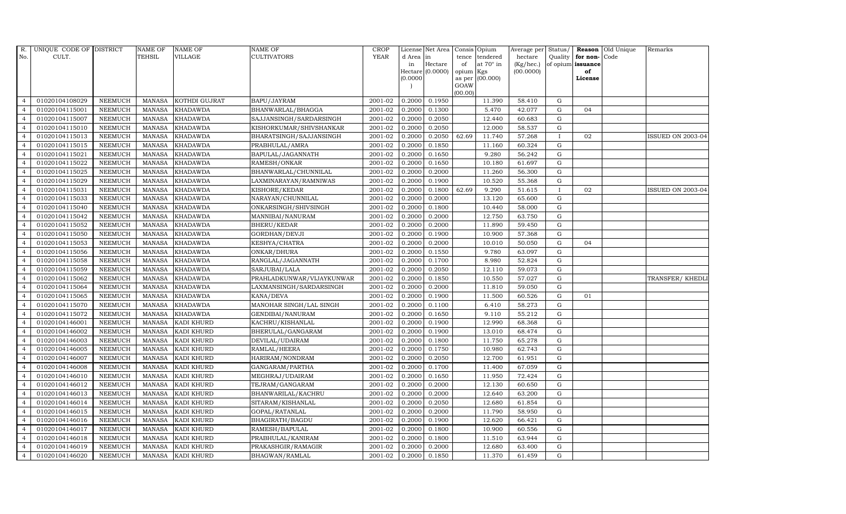| R.             | UNIQUE CODE OF DISTRICT |                | <b>NAME OF</b> | <b>NAME OF</b>    | <b>NAME OF</b>            | <b>CROP</b> |           | License Net Area   |           | Consis Opium     | Average per | Status/      |                      | Reason Old Unique | Remarks           |
|----------------|-------------------------|----------------|----------------|-------------------|---------------------------|-------------|-----------|--------------------|-----------|------------------|-------------|--------------|----------------------|-------------------|-------------------|
| No.            | CULT.                   |                | <b>TEHSIL</b>  | VILLAGE           | <b>CULTIVATORS</b>        | <b>YEAR</b> | d Area in |                    | tence     | tendered         | hectare     |              | Quality $ $ for non- | Code              |                   |
|                |                         |                |                |                   |                           |             | in        | Hectare            | of        | at $70^\circ$ in | (Kg/hec.)   |              | of opium issuance    |                   |                   |
|                |                         |                |                |                   |                           |             | (0.0000)  | Hectare $(0.0000)$ | opium Kgs | as per (00.000)  | (00.0000)   |              | of<br>License        |                   |                   |
|                |                         |                |                |                   |                           |             |           |                    | GOAW      |                  |             |              |                      |                   |                   |
|                |                         |                |                |                   |                           |             |           |                    | (00.00)   |                  |             |              |                      |                   |                   |
| $\overline{4}$ | 01020104108029          | <b>NEEMUCH</b> | MANASA         | KOTHDI GUJRAT     | BAPU/JAYRAM               | 2001-02     | 0.2000    | 0.1950             |           | 11.390           | 58.410      | G            |                      |                   |                   |
| $\overline{a}$ | 01020104115001          | <b>NEEMUCH</b> | MANASA         | <b>KHADAWDA</b>   | BHANWARLAL/BHAGGA         | 2001-02     | 0.2000    | 0.1300             |           | 5.470            | 42.077      | ${\rm G}$    | 04                   |                   |                   |
| $\overline{4}$ | 01020104115007          | <b>NEEMUCH</b> | <b>MANASA</b>  | <b>KHADAWDA</b>   | SAJJANSINGH/SARDARSINGH   | 2001-02     | 0.2000    | 0.2050             |           | 12.440           | 60.683      | G            |                      |                   |                   |
|                | 01020104115010          | <b>NEEMUCH</b> | <b>MANASA</b>  | <b>KHADAWDA</b>   | KISHORKUMAR/SHIVSHANKAR   | 2001-02     | 0.2000    | 0.2050             |           | 12.000           | 58.537      | $\mathbf G$  |                      |                   |                   |
| $\overline{4}$ | 01020104115013          | <b>NEEMUCH</b> | <b>MANASA</b>  | <b>KHADAWDA</b>   | BHARATSINGH/SAJJANSINGH   | 2001-02     | 0.2000    | 0.2050             | 62.69     | 11.740           | 57.268      | $\mathbf I$  | 02                   |                   | ISSUED ON 2003-04 |
| $\overline{4}$ | 01020104115015          | <b>NEEMUCH</b> | <b>MANASA</b>  | <b>KHADAWDA</b>   | PRABHULAL/AMRA            | 2001-02     | 0.2000    | 0.1850             |           | 11.160           | 60.324      | G            |                      |                   |                   |
| $\overline{4}$ | 01020104115021          | <b>NEEMUCH</b> | <b>MANASA</b>  | <b>KHADAWDA</b>   | BAPULAL/JAGANNATH         | 2001-02     | 0.2000    | 0.1650             |           | 9.280            | 56.242      | ${\rm G}$    |                      |                   |                   |
| $\overline{4}$ | 01020104115022          | <b>NEEMUCH</b> | <b>MANASA</b>  | <b>KHADAWDA</b>   | RAMESH/ONKAR              | 2001-02     | 0.2000    | 0.1650             |           | 10.180           | 61.697      | ${\rm G}$    |                      |                   |                   |
|                | 01020104115025          | <b>NEEMUCH</b> | <b>MANASA</b>  | <b>KHADAWDA</b>   | BHANWARLAL/CHUNNILAL      | 2001-02     | 0.2000    | 0.2000             |           | 11.260           | 56.300      | $\mathbf G$  |                      |                   |                   |
| $\overline{4}$ | 01020104115029          | <b>NEEMUCH</b> | <b>MANASA</b>  | <b>KHADAWDA</b>   | LAXMINARAYAN/RAMNIWAS     | 2001-02     | 0.2000    | 0.1900             |           | 10.520           | 55.368      | ${\rm G}$    |                      |                   |                   |
| $\overline{4}$ | 01020104115031          | <b>NEEMUCH</b> | <b>MANASA</b>  | <b>KHADAWDA</b>   | KISHORE/KEDAR             | 2001-02     | 0.2000    | 0.1800             | 62.69     | 9.290            | 51.615      | $\mathbf{I}$ | 02                   |                   | ISSUED ON 2003-04 |
| $\overline{4}$ | 01020104115033          | <b>NEEMUCH</b> | <b>MANASA</b>  | <b>KHADAWDA</b>   | NARAYAN/CHUNNILAL         | 2001-02     | 0.2000    | 0.2000             |           | 13.120           | 65.600      | G            |                      |                   |                   |
| $\overline{4}$ | 01020104115040          | <b>NEEMUCH</b> | <b>MANASA</b>  | <b>KHADAWDA</b>   | ONKARSINGH/SHIVSINGH      | 2001-02     | 0.2000    | 0.1800             |           | 10.440           | 58.000      | $\mathbf G$  |                      |                   |                   |
| $\overline{4}$ | 01020104115042          | <b>NEEMUCH</b> | <b>MANASA</b>  | <b>KHADAWDA</b>   | MANNIBAI/NANURAM          | 2001-02     | 0.2000    | 0.2000             |           | 12.750           | 63.750      | G            |                      |                   |                   |
| $\overline{4}$ | 01020104115052          | <b>NEEMUCH</b> | <b>MANASA</b>  | <b>KHADAWDA</b>   | BHERU/KEDAR               | 2001-02     | 0.2000    | 0.2000             |           | 11.890           | 59.450      | G            |                      |                   |                   |
| $\overline{4}$ | 01020104115050          | <b>NEEMUCH</b> | <b>MANASA</b>  | <b>KHADAWDA</b>   | GORDHAN/DEVJI             | 2001-02     | 0.2000    | 0.1900             |           | 10.900           | 57.368      | G            |                      |                   |                   |
| $\overline{4}$ | 01020104115053          | <b>NEEMUCH</b> | <b>MANASA</b>  | <b>KHADAWDA</b>   | KESHYA/CHATRA             | 2001-02     | 0.2000    | 0.2000             |           | 10.010           | 50.050      | G            | 04                   |                   |                   |
| $\overline{4}$ | 01020104115056          | <b>NEEMUCH</b> | MANASA         | <b>KHADAWDA</b>   | ONKAR/DHURA               | 2001-02     | 0.2000    | 0.1550             |           | 9.780            | 63.097      | G            |                      |                   |                   |
| $\overline{4}$ | 01020104115058          | <b>NEEMUCH</b> | <b>MANASA</b>  | <b>KHADAWDA</b>   | RANGLAL/JAGANNATH         | 2001-02     | 0.2000    | 0.1700             |           | 8.980            | 52.824      | G            |                      |                   |                   |
| $\overline{4}$ | 01020104115059          | <b>NEEMUCH</b> | <b>MANASA</b>  | <b>KHADAWDA</b>   | SARJUBAI/LALA             | 2001-02     | 0.2000    | 0.2050             |           | 12.110           | 59.073      | G            |                      |                   |                   |
| 4              | 01020104115062          | <b>NEEMUCH</b> | <b>MANASA</b>  | <b>KHADAWDA</b>   | PRAHLADKUNWAR/VIJAYKUNWAR | 2001-02     | 0.2000    | 0.1850             |           | 10.550           | 57.027      | G            |                      |                   | TRANSFER/ KHEDLI  |
| $\overline{4}$ | 01020104115064          | <b>NEEMUCH</b> | <b>MANASA</b>  | <b>KHADAWDA</b>   | LAXMANSINGH/SARDARSINGH   | 2001-02     | 0.2000    | 0.2000             |           | 11.810           | 59.050      | G            |                      |                   |                   |
| $\overline{4}$ | 01020104115065          | <b>NEEMUCH</b> | MANASA         | <b>KHADAWDA</b>   | KANA/DEVA                 | 2001-02     | 0.2000    | 0.1900             |           | 11.500           | 60.526      | G            | 01                   |                   |                   |
| $\overline{4}$ | 01020104115070          | <b>NEEMUCH</b> | <b>MANASA</b>  | <b>KHADAWDA</b>   | MANOHAR SINGH/LAL SINGH   | 2001-02     | 0.2000    | 0.1100             |           | 6.410            | 58.273      | $\mathbf G$  |                      |                   |                   |
| $\overline{4}$ | 01020104115072          | <b>NEEMUCH</b> | <b>MANASA</b>  | <b>KHADAWDA</b>   | GENDIBAI/NANURAM          | 2001-02     | 0.2000    | 0.1650             |           | 9.110            | 55.212      | G            |                      |                   |                   |
| $\overline{4}$ | 01020104146001          | <b>NEEMUCH</b> | <b>MANASA</b>  | KADI KHURD        | KACHRU/KISHANLAL          | 2001-02     | 0.2000    | 0.1900             |           | 12.990           | 68.368      | G            |                      |                   |                   |
| $\overline{4}$ | 01020104146002          | <b>NEEMUCH</b> | <b>MANASA</b>  | KADI KHURD        | BHERULAL/GANGARAM         | 2001-02     | 0.2000    | 0.1900             |           | 13.010           | 68.474      | G            |                      |                   |                   |
| $\overline{4}$ | 01020104146003          | <b>NEEMUCH</b> | MANASA         | <b>KADI KHURD</b> | DEVILAL/UDAIRAM           | 2001-02     | 0.2000    | 0.1800             |           | 11.750           | 65.278      | G            |                      |                   |                   |
| $\overline{4}$ | 01020104146005          | <b>NEEMUCH</b> | MANASA         | KADI KHURD        | RAMLAL/HEERA              | 2001-02     | 0.2000    | 0.1750             |           | 10.980           | 62.743      | $\mathbf G$  |                      |                   |                   |
| $\overline{4}$ | 01020104146007          | <b>NEEMUCH</b> | <b>MANASA</b>  | <b>KADI KHURD</b> | HARIRAM/NONDRAM           | 2001-02     | 0.2000    | 0.2050             |           | 12.700           | 61.951      | G            |                      |                   |                   |
| $\overline{4}$ | 01020104146008          | <b>NEEMUCH</b> | MANASA         | KADI KHURD        | GANGARAM/PARTHA           | 2001-02     | 0.2000    | 0.1700             |           | 11.400           | 67.059      | G            |                      |                   |                   |
| $\overline{4}$ | 01020104146010          | <b>NEEMUCH</b> | <b>MANASA</b>  | KADI KHURD        | MEGHRAJ/UDAIRAM           | 2001-02     | 0.2000    | 0.1650             |           | 11.950           | 72.424      | ${\rm G}$    |                      |                   |                   |
| $\overline{4}$ | 01020104146012          | <b>NEEMUCH</b> | MANASA         | KADI KHURD        | TEJRAM/GANGARAM           | 2001-02     | 0.2000    | 0.2000             |           | 12.130           | 60.650      | G            |                      |                   |                   |
| $\overline{4}$ | 01020104146013          | <b>NEEMUCH</b> | <b>MANASA</b>  | <b>KADI KHURD</b> | BHANWARILAL/KACHRU        | 2001-02     | 0.2000    | 0.2000             |           | 12.640           | 63.200      | $\mathbf G$  |                      |                   |                   |
| $\overline{4}$ | 01020104146014          | <b>NEEMUCH</b> | <b>MANASA</b>  | KADI KHURD        | SITARAM/KISHANLAL         | 2001-02     | 0.2000    | 0.2050             |           | 12.680           | 61.854      | $\mathbf G$  |                      |                   |                   |
| $\overline{4}$ | 01020104146015          | <b>NEEMUCH</b> | <b>MANASA</b>  | KADI KHURD        | GOPAL/RATANLAL            | 2001-02     | 0.2000    | 0.2000             |           | 11.790           | 58.950      | G            |                      |                   |                   |
| $\overline{4}$ | 01020104146016          | <b>NEEMUCH</b> | MANASA         | KADI KHURD        | BHAGIRATH/BAGDU           | 2001-02     | 0.2000    | 0.1900             |           | 12.620           | 66.421      | ${\rm G}$    |                      |                   |                   |
| $\overline{4}$ | 01020104146017          | <b>NEEMUCH</b> | <b>MANASA</b>  | <b>KADI KHURD</b> | RAMESH/BAPULAL            | 2001-02     | 0.2000    | 0.1800             |           | 10.900           | 60.556      | G            |                      |                   |                   |
| $\overline{4}$ | 01020104146018          | <b>NEEMUCH</b> | <b>MANASA</b>  | KADI KHURD        | PRABHULAL/KANIRAM         | 2001-02     | 0.2000    | 0.1800             |           | 11.510           | 63.944      | G            |                      |                   |                   |
| $\overline{4}$ | 01020104146019          | <b>NEEMUCH</b> | <b>MANASA</b>  | <b>KADI KHURD</b> | PRAKASHGIR/RAMAGIR        | 2001-02     | 0.2000    | 0.2000             |           | 12.680           | 63.400      | $\mathbf G$  |                      |                   |                   |
| $\overline{4}$ | 01020104146020          | <b>NEEMUCH</b> |                | MANASA KADI KHURD | BHAGWAN/RAMLAL            | 2001-02     | 0.2000    | 0.1850             |           | 11.370           | 61.459      | G            |                      |                   |                   |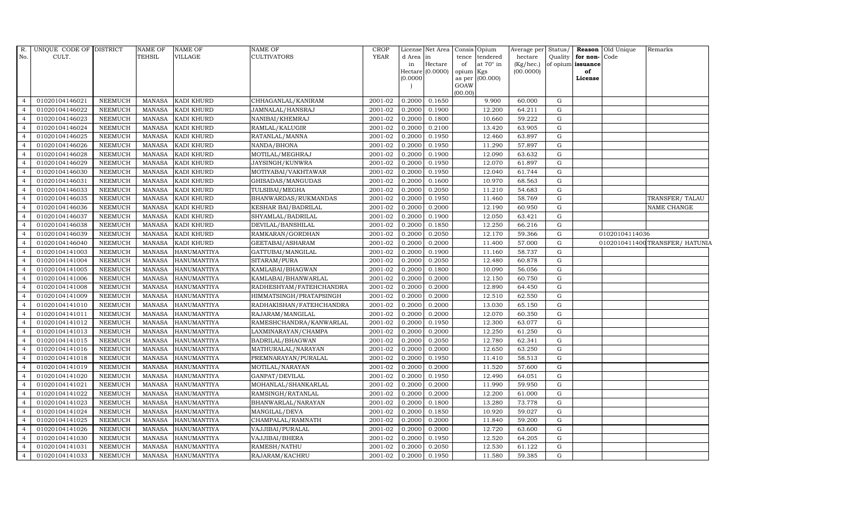| R.             | UNIQUE CODE OF DISTRICT |                | NAME OF       | <b>NAME OF</b>     | NAME OF                  | <b>CROP</b> |           | License Net Area Consis Opium |           |                  | Average per |             |                         | Status/ Reason Old Unique | Remarks                        |
|----------------|-------------------------|----------------|---------------|--------------------|--------------------------|-------------|-----------|-------------------------------|-----------|------------------|-------------|-------------|-------------------------|---------------------------|--------------------------------|
| No.            | CULT.                   |                | TEHSIL        | <b>VILLAGE</b>     | CULTIVATORS              | <b>YEAR</b> | d Area in |                               | tence     | tendered         | hectare     |             | Quality   for non- Code |                           |                                |
|                |                         |                |               |                    |                          |             | in        | Hectare                       | of        | at $70^\circ$ in | (Kg/hec.)   |             | of opium issuance       |                           |                                |
|                |                         |                |               |                    |                          |             | (0.0000)  | Hectare (0.0000)              | opium Kgs | as per (00.000)  | (00.0000)   |             | of<br>License           |                           |                                |
|                |                         |                |               |                    |                          |             |           |                               | GOAW      |                  |             |             |                         |                           |                                |
|                |                         |                |               |                    |                          |             |           |                               | (00.00)   |                  |             |             |                         |                           |                                |
| $\overline{4}$ | 01020104146021          | <b>NEEMUCH</b> | MANASA        | <b>KADI KHURD</b>  | CHHAGANLAL/KANIRAM       | 2001-02     | 0.2000    | 0.1650                        |           | 9.900            | 60.000      | G           |                         |                           |                                |
| $\overline{4}$ | 01020104146022          | <b>NEEMUCH</b> | <b>MANASA</b> | KADI KHURD         | JAMNALAL/HANSRAJ         | 2001-02     | 0.2000    | 0.1900                        |           | 12.200           | 64.211      | $\mathbf G$ |                         |                           |                                |
| $\overline{a}$ | 01020104146023          | <b>NEEMUCH</b> | <b>MANASA</b> | KADI KHURD         | NANIBAI/KHEMRAJ          | 2001-02     | 0.2000    | 0.1800                        |           | 10.660           | 59.222      | G           |                         |                           |                                |
|                | 01020104146024          | <b>NEEMUCH</b> | <b>MANASA</b> | KADI KHURD         | RAMLAL/KALUGIR           | 2001-02     | 0.2000    | 0.2100                        |           | 13.420           | 63.905      | $\mathbf G$ |                         |                           |                                |
| $\overline{4}$ | 01020104146025          | NEEMUCH        | <b>MANASA</b> | KADI KHURD         | RATANLAL/MANNA           | 2001-02     | 0.2000    | 0.1950                        |           | 12.460           | 63.897      | ${\rm G}$   |                         |                           |                                |
| $\overline{4}$ | 01020104146026          | NEEMUCH        | <b>MANASA</b> | KADI KHURD         | NANDA/BHONA              | 2001-02     | 0.2000    | 0.1950                        |           | 11.290           | 57.897      | G           |                         |                           |                                |
| $\overline{4}$ | 01020104146028          | <b>NEEMUCH</b> | <b>MANASA</b> | <b>KADI KHURD</b>  | MOTILAL/MEGHRAJ          | 2001-02     | 0.2000    | 0.1900                        |           | 12.090           | 63.632      | $\mathbf G$ |                         |                           |                                |
| $\overline{4}$ | 01020104146029          | <b>NEEMUCH</b> | <b>MANASA</b> | <b>KADI KHURD</b>  | JAYSINGH/KUNWRA          | 2001-02     | 0.2000    | 0.1950                        |           | 12.070           | 61.897      | $\mathbf G$ |                         |                           |                                |
|                | 01020104146030          | <b>NEEMUCH</b> | <b>MANASA</b> | <b>KADI KHURD</b>  | MOTIYABAI/VAKHTAWAR      | 2001-02     | 0.2000    | 0.1950                        |           | 12.040           | 61.744      | G           |                         |                           |                                |
| $\overline{4}$ | 01020104146031          | NEEMUCH        | <b>MANASA</b> | KADI KHURD         | GHISADAS/MANGUDAS        | 2001-02     | 0.2000    | 0.1600                        |           | 10.970           | 68.563      | ${\rm G}$   |                         |                           |                                |
| $\overline{4}$ | 01020104146033          | <b>NEEMUCH</b> | <b>MANASA</b> | KADI KHURD         | TULSIBAI/MEGHA           | 2001-02     | 0.2000    | 0.2050                        |           | 11.210           | 54.683      | G           |                         |                           |                                |
| $\overline{4}$ | 01020104146035          | <b>NEEMUCH</b> | <b>MANASA</b> | <b>KADI KHURD</b>  | BHANWARDAS/RUKMANDAS     | 2001-02     | 0.2000    | 0.1950                        |           | 11.460           | 58.769      | $\mathbf G$ |                         |                           | TRANSFER/TALAU                 |
| $\overline{4}$ | 01020104146036          | <b>NEEMUCH</b> | <b>MANASA</b> | KADI KHURD         | KESHAR BAI/BADRILAL      | 2001-02     | 0.2000    | 0.2000                        |           | 12.190           | 60.950      | G           |                         |                           | NAME CHANGE                    |
|                | 01020104146037          | <b>NEEMUCH</b> | <b>MANASA</b> | <b>KADI KHURD</b>  | SHYAMLAL/BADRILAL        | 2001-02     | 0.2000    | 0.1900                        |           | 12.050           | 63.421      | G           |                         |                           |                                |
| $\overline{4}$ | 01020104146038          | NEEMUCH        | <b>MANASA</b> | KADI KHURD         | DEVILAL/BANSHILAL        | 2001-02     | 0.2000    | 0.1850                        |           | 12.250           | 66.216      | G           |                         |                           |                                |
| $\overline{4}$ | 01020104146039          | <b>NEEMUCH</b> | <b>MANASA</b> | KADI KHURD         | RAMKARAN/GORDHAN         | 2001-02     | 0.2000    | 0.2050                        |           | 12.170           | 59.366      | G           |                         | 01020104114036            |                                |
| $\overline{4}$ | 01020104146040          | <b>NEEMUCH</b> | <b>MANASA</b> | KADI KHURD         | GEETABAI/ASHARAM         | 2001-02     | 0.2000    | 0.2000                        |           | 11.400           | 57.000      | G           |                         |                           | 0102010411400TRANSFER/ HATUNIA |
| $\overline{4}$ | 01020104141003          | <b>NEEMUCH</b> | <b>MANASA</b> | <b>HANUMANTIYA</b> | GATTUBAI/MANGILAL        | 2001-02     | 0.2000    | 0.1900                        |           | 11.160           | 58.737      | $\mathbf G$ |                         |                           |                                |
| $\overline{4}$ | 01020104141004          | <b>NEEMUCH</b> | <b>MANASA</b> | <b>HANUMANTIYA</b> | SITARAM/PURA             | 2001-02     | 0.2000    | 0.2050                        |           | 12.480           | 60.878      | $\mathbf G$ |                         |                           |                                |
| $\overline{4}$ | 01020104141005          | <b>NEEMUCH</b> | <b>MANASA</b> | <b>HANUMANTIYA</b> | KAMLABAI/BHAGWAN         | 2001-02     | 0.2000    | 0.1800                        |           | 10.090           | 56.056      | $\mathbf G$ |                         |                           |                                |
| $\overline{4}$ | 01020104141006          | <b>NEEMUCH</b> | <b>MANASA</b> | <b>HANUMANTIYA</b> | KAMLABAI/BHANWARLAL      | 2001-02     | 0.2000    | 0.2000                        |           | 12.150           | 60.750      | $\mathbf G$ |                         |                           |                                |
| $\overline{4}$ | 01020104141008          | NEEMUCH        | <b>MANASA</b> | <b>HANUMANTIYA</b> | RADHESHYAM/FATEHCHANDRA  | 2001-02     | 0.2000    | 0.2000                        |           | 12.890           | 64.450      | G           |                         |                           |                                |
| $\overline{4}$ | 01020104141009          | <b>NEEMUCH</b> | MANASA        | <b>HANUMANTIYA</b> | HIMMATSINGH/PRATAPSINGH  | 2001-02     | 0.2000    | 0.2000                        |           | 12.510           | 62.550      | G           |                         |                           |                                |
| $\overline{4}$ | 01020104141010          | <b>NEEMUCH</b> | <b>MANASA</b> | <b>HANUMANTIYA</b> | RADHAKISHAN/FATEHCHANDRA | 2001-02     | 0.2000    | 0.2000                        |           | 13.030           | 65.150      | $\mathbf G$ |                         |                           |                                |
|                | 01020104141011          | <b>NEEMUCH</b> | <b>MANASA</b> | <b>HANUMANTIYA</b> | RAJARAM/MANGILAL         | 2001-02     | 0.2000    | 0.2000                        |           | 12.070           | 60.350      | ${\rm G}$   |                         |                           |                                |
| $\overline{4}$ | 01020104141012          | <b>NEEMUCH</b> | <b>MANASA</b> | <b>HANUMANTIYA</b> | RAMESHCHANDRA/KANWARLAL  | 2001-02     | 0.2000    | 0.1950                        |           | 12.300           | 63.077      | G           |                         |                           |                                |
| $\overline{4}$ | 01020104141013          | <b>NEEMUCH</b> | <b>MANASA</b> | <b>HANUMANTIYA</b> | LAXMINARAYAN/CHAMPA      | 2001-02     | 0.2000    | 0.2000                        |           | 12.250           | 61.250      | G           |                         |                           |                                |
| $\overline{4}$ | 01020104141015          | <b>NEEMUCH</b> | <b>MANASA</b> | <b>HANUMANTIYA</b> | BADRILAL/BHAGWAN         | 2001-02     | 0.2000    | 0.2050                        |           | 12.780           | 62.341      | G           |                         |                           |                                |
| $\overline{4}$ | 01020104141016          | <b>NEEMUCH</b> | <b>MANASA</b> | <b>HANUMANTIYA</b> | MATHURALAL/NARAYAN       | 2001-02     | 0.2000    | 0.2000                        |           | 12.650           | 63.250      | $\mathbf G$ |                         |                           |                                |
|                | 01020104141018          | <b>NEEMUCH</b> | <b>MANASA</b> | <b>HANUMANTIYA</b> | PREMNARAYAN/PURALAL      | 2001-02     | 0.2000    | 0.1950                        |           | 11.410           | 58.513      | G           |                         |                           |                                |
| $\overline{4}$ | 01020104141019          | <b>NEEMUCH</b> | <b>MANASA</b> | <b>HANUMANTIYA</b> | MOTILAL/NARAYAN          | 2001-02     | 0.2000    | 0.2000                        |           | 11.520           | 57.600      | G           |                         |                           |                                |
| $\overline{4}$ | 01020104141020          | <b>NEEMUCH</b> | <b>MANASA</b> | <b>HANUMANTIYA</b> | GANPAT/DEVILAL           | 2001-02     | 0.2000    | 0.1950                        |           | 12.490           | 64.051      | $\mathbf G$ |                         |                           |                                |
| $\overline{4}$ | 01020104141021          | NEEMUCH        | <b>MANASA</b> | <b>HANUMANTIYA</b> | MOHANLAL/SHANKARLAL      | 2001-02     | 0.2000    | 0.2000                        |           | 11.990           | 59.950      | G           |                         |                           |                                |
| $\overline{4}$ | 01020104141022          | <b>NEEMUCH</b> | <b>MANASA</b> | <b>HANUMANTIYA</b> | RAMSINGH/RATANLAL        | 2001-02     | 0.2000    | 0.2000                        |           | 12.200           | 61.000      | $\mathbf G$ |                         |                           |                                |
|                | 01020104141023          | <b>NEEMUCH</b> | <b>MANASA</b> | <b>HANUMANTIYA</b> | BHANWARLAL/NARAYAN       | 2001-02     | 0.2000    | 0.1800                        |           | 13.280           | 73.778      | $\mathbf G$ |                         |                           |                                |
| $\overline{4}$ | 01020104141024          | NEEMUCH        | <b>MANASA</b> | <b>HANUMANTIYA</b> | MANGILAL/DEVA            | 2001-02     | 0.2000    | 0.1850                        |           | 10.920           | 59.027      | G           |                         |                           |                                |
| $\overline{4}$ | 01020104141025          | <b>NEEMUCH</b> | <b>MANASA</b> | <b>HANUMANTIYA</b> | CHAMPALAL/RAMNATH        | 2001-02     | 0.2000    | 0.2000                        |           | 11.840           | 59.200      | G           |                         |                           |                                |
| $\overline{4}$ | 01020104141026          | <b>NEEMUCH</b> | <b>MANASA</b> | <b>HANUMANTIYA</b> | VAJJIBAI/PURALAL         | 2001-02     | 0.2000    | 0.2000                        |           | 12.720           | 63.600      | $\mathbf G$ |                         |                           |                                |
| $\overline{4}$ | 01020104141030          | <b>NEEMUCH</b> | <b>MANASA</b> | <b>HANUMANTIYA</b> | VAJJIBAI/BHERA           | 2001-02     | 0.2000    | 0.1950                        |           | 12.520           | 64.205      | $\mathbf G$ |                         |                           |                                |
| $\overline{4}$ | 01020104141031          | <b>NEEMUCH</b> | <b>MANASA</b> | <b>HANUMANTIYA</b> | RAMESH/NATHU             | 2001-02     | 0.2000    | 0.2050                        |           | 12.530           | 61.122      | $\mathbf G$ |                         |                           |                                |
| $\overline{4}$ | 01020104141033          | <b>NEEMUCH</b> | <b>MANASA</b> | <b>HANUMANTIYA</b> | RAJARAM/KACHRU           | 2001-02     | 0.2000    | 0.1950                        |           | 11.580           | 59.385      | G           |                         |                           |                                |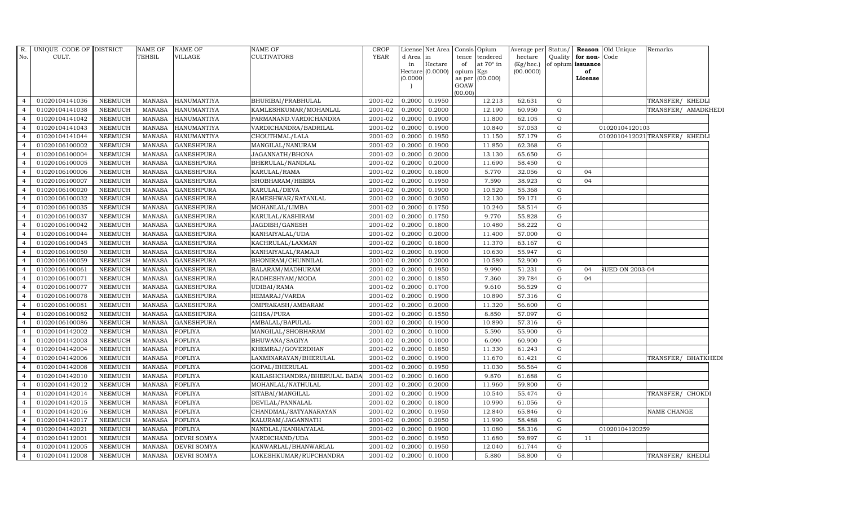| R.             | UNIQUE CODE OF DISTRICT |                | NAME OF       | <b>NAME OF</b>     | NAME OF                      | CROP        |           | License Net Area | Consis Opium        |                  | Average per  |             |                         | Status/ <b>Reason</b> Old Unique | Remarks                       |  |
|----------------|-------------------------|----------------|---------------|--------------------|------------------------------|-------------|-----------|------------------|---------------------|------------------|--------------|-------------|-------------------------|----------------------------------|-------------------------------|--|
| No.            | CULT.                   |                | TEHSIL        | VILLAGE            | <b>CULTIVATORS</b>           | <b>YEAR</b> | d Area in |                  | tence               | tendered         | hectare      |             | Quality   for non- Code |                                  |                               |  |
|                |                         |                |               |                    |                              |             | in        | Hectare          | of                  | at $70^\circ$ in | $(Kg/$ hec.) |             | of opium issuance       |                                  |                               |  |
|                |                         |                |               |                    |                              |             | (0.0000)  | Hectare (0.0000) | opium Kgs<br>as per | (00.000)         | (00.0000)    |             | of<br>License           |                                  |                               |  |
|                |                         |                |               |                    |                              |             |           |                  | GOAW                |                  |              |             |                         |                                  |                               |  |
|                |                         |                |               |                    |                              |             |           |                  | (00.00)             |                  |              |             |                         |                                  |                               |  |
| $\overline{4}$ | 01020104141036          | <b>NEEMUCH</b> | MANASA        | HANUMANTIYA        | BHURIBAI/PRABHULAL           | 2001-02     | 0.2000    | 0.1950           |                     | 12.213           | 62.631       | G           |                         |                                  | TRANSFER/ KHEDLI              |  |
| $\overline{4}$ | 01020104141038          | <b>NEEMUCH</b> | MANASA        | <b>HANUMANTIYA</b> | KAMLESHKUMAR/MOHANLAL        | 2001-02     | 0.2000    | 0.2000           |                     | 12.190           | 60.950       | G           |                         |                                  | TRANSFER/ AMADKHEDI           |  |
| $\overline{4}$ | 01020104141042          | <b>NEEMUCH</b> | MANASA        | <b>HANUMANTIYA</b> | PARMANAND.VARDICHANDRA       | 2001-02     | 0.2000    | 0.1900           |                     | 11.800           | 62.105       | G           |                         |                                  |                               |  |
|                | 01020104141043          | <b>NEEMUCH</b> | <b>MANASA</b> | <b>HANUMANTIYA</b> | VARDICHANDRA/BADRILAL        | 2001-02     | 0.2000    | 0.1900           |                     | 10.840           | 57.053       | G           |                         | 01020104120103                   |                               |  |
|                | 01020104141044          | <b>NEEMUCH</b> | <b>MANASA</b> | <b>HANUMANTIYA</b> | CHOUTHMAL/LALA               | 2001-02     | 0.2000    | 0.1950           |                     | 11.150           | 57.179       | $\mathbf G$ |                         |                                  | 0102010412021TRANSFER/ KHEDLI |  |
| $\overline{a}$ | 01020106100002          | NEEMUCH        | <b>MANASA</b> | <b>GANESHPURA</b>  | MANGILAL/NANURAM             | 2001-02     | 0.2000    | 0.1900           |                     | 11.850           | 62.368       | G           |                         |                                  |                               |  |
| $\overline{4}$ | 01020106100004          | <b>NEEMUCH</b> | MANASA        | <b>GANESHPURA</b>  | JAGANNATH/BHONA              | 2001-02     | 0.2000    | 0.2000           |                     | 13.130           | 65.650       | G           |                         |                                  |                               |  |
|                | 01020106100005          | <b>NEEMUCH</b> | MANASA        | <b>GANESHPURA</b>  | BHERULAL/NANDLAL             | 2001-02     | 0.2000    | 0.2000           |                     | 11.690           | 58.450       | G           |                         |                                  |                               |  |
|                | 01020106100006          | <b>NEEMUCH</b> | <b>MANASA</b> | <b>GANESHPURA</b>  | KARULAL/RAMA                 | 2001-02     | 0.2000    | 0.1800           |                     | 5.770            | 32.056       | G           | 04                      |                                  |                               |  |
|                | 01020106100007          | <b>NEEMUCH</b> | <b>MANASA</b> | <b>GANESHPURA</b>  | SHOBHARAM/HEERA              | 2001-02     | 0.2000    | 0.1950           |                     | 7.590            | 38.923       | $\mathbf G$ | 04                      |                                  |                               |  |
|                | 01020106100020          | <b>NEEMUCH</b> | <b>MANASA</b> | <b>GANESHPURA</b>  | KARULAL/DEVA                 | 2001-02     | 0.2000    | 0.1900           |                     | 10.520           | 55.368       | G           |                         |                                  |                               |  |
| $\overline{4}$ | 01020106100032          | <b>NEEMUCH</b> | <b>MANASA</b> | <b>GANESHPURA</b>  | RAMESHWAR/RATANLAL           | 2001-02     | 0.2000    | 0.2050           |                     | 12.130           | 59.171       | G           |                         |                                  |                               |  |
|                | 01020106100035          | NEEMUCH        | <b>MANASA</b> | <b>GANESHPURA</b>  | MOHANLAL/LIMBA               | 2001-02     | 0.2000    | 0.1750           |                     | 10.240           | 58.514       | G           |                         |                                  |                               |  |
|                | 01020106100037          | <b>NEEMUCH</b> | <b>MANASA</b> | <b>GANESHPURA</b>  | KARULAL/KASHIRAM             | 2001-02     | 0.2000    | 0.1750           |                     | 9.770            | 55.828       | G           |                         |                                  |                               |  |
|                | 01020106100042          | <b>NEEMUCH</b> | <b>MANASA</b> | <b>GANESHPURA</b>  | JAGDISH/GANESH               | 2001-02     | 0.2000    | 0.1800           |                     | 10.480           | 58.222       | $\mathbf G$ |                         |                                  |                               |  |
|                | 01020106100044          | <b>NEEMUCH</b> | <b>MANASA</b> | <b>GANESHPURA</b>  | KANHAIYALAL/UDA              | 2001-02     | 0.2000    | 0.2000           |                     | 11.400           | 57.000       | G           |                         |                                  |                               |  |
| $\overline{4}$ | 01020106100045          | <b>NEEMUCH</b> | <b>MANASA</b> | <b>GANESHPURA</b>  | KACHRULAL/LAXMAN             | 2001-02     | 0.2000    | 0.1800           |                     | 11.370           | 63.167       | G           |                         |                                  |                               |  |
|                | 01020106100050          | NEEMUCH        | <b>MANASA</b> | <b>GANESHPURA</b>  | KANHAIYALAL/RAMAJI           | 2001-02     | 0.2000    | 0.1900           |                     | 10.630           | 55.947       | G           |                         |                                  |                               |  |
|                | 01020106100059          | <b>NEEMUCH</b> | <b>MANASA</b> | <b>GANESHPURA</b>  | BHONIRAM/CHUNNILAL           | 2001-02     | 0.2000    | 0.2000           |                     | 10.580           | 52.900       | G           |                         |                                  |                               |  |
|                | 01020106100061          | <b>NEEMUCH</b> | <b>MANASA</b> | <b>GANESHPURA</b>  | BALARAM/MADHURAM             | 2001-02     | 0.2000    | 0.1950           |                     | 9.990            | 51.231       | $\mathbf G$ | 04                      | <b>SUED ON 2003-04</b>           |                               |  |
|                | 01020106100071          | <b>NEEMUCH</b> | <b>MANASA</b> | <b>GANESHPURA</b>  | RADHESHYAM/MODA              | 2001-02     | 0.2000    | 0.1850           |                     | 7.360            | 39.784       | G           | 04                      |                                  |                               |  |
| $\overline{4}$ | 01020106100077          | <b>NEEMUCH</b> | <b>MANASA</b> | <b>GANESHPURA</b>  | UDIBAI/RAMA                  | 2001-02     | 0.2000    | 0.1700           |                     | 9.610            | 56.529       | G           |                         |                                  |                               |  |
| $\overline{4}$ | 01020106100078          | <b>NEEMUCH</b> | MANASA        | <b>GANESHPURA</b>  | HEMARAJ/VARDA                | 2001-02     | 0.2000    | 0.1900           |                     | 10.890           | 57.316       | G           |                         |                                  |                               |  |
|                | 01020106100081          | <b>NEEMUCH</b> | <b>MANASA</b> | <b>GANESHPURA</b>  | OMPRAKASH/AMBARAM            | 2001-02     | 0.2000    | 0.2000           |                     | 11.320           | 56.600       | G           |                         |                                  |                               |  |
|                | 01020106100082          | <b>NEEMUCH</b> | <b>MANASA</b> | <b>GANESHPURA</b>  | GHISA/PURA                   | 2001-02     | 0.2000    | 0.1550           |                     | 8.850            | 57.097       | G           |                         |                                  |                               |  |
| 4              | 01020106100086          | <b>NEEMUCH</b> | <b>MANASA</b> | <b>GANESHPURA</b>  | AMBALAL/BAPULAL              | 2001-02     | 0.2000    | 0.1900           |                     | 10.890           | 57.316       | G           |                         |                                  |                               |  |
| $\overline{4}$ | 01020104142002          | <b>NEEMUCH</b> | <b>MANASA</b> | <b>FOFLIYA</b>     | MANGILAL/SHOBHARAM           | 2001-02     | 0.2000    | 0.1000           |                     | 5.590            | 55.900       | G           |                         |                                  |                               |  |
| $\overline{4}$ | 01020104142003          | <b>NEEMUCH</b> | MANASA        | <b>FOFLIYA</b>     | BHUWANA/SAGIYA               | 2001-02     | 0.2000    | 0.1000           |                     | 6.090            | 60.900       | G           |                         |                                  |                               |  |
|                | 01020104142004          | <b>NEEMUCH</b> | <b>MANASA</b> | <b>FOFLIYA</b>     | KHEMRAJ/GOVERDHAN            | 2001-02     | 0.2000    | 0.1850           |                     | 11.330           | 61.243       | $\mathbf G$ |                         |                                  |                               |  |
|                | 01020104142006          | <b>NEEMUCH</b> | <b>MANASA</b> | <b>FOFLIYA</b>     | LAXMINARAYAN/BHERULAL        | 2001-02     | 0.2000    | 0.1900           |                     | 11.670           | 61.421       | G           |                         |                                  | TRANSFER/ BHATKHEDI           |  |
| 4              | 01020104142008          | <b>NEEMUCH</b> | <b>MANASA</b> | <b>FOFLIYA</b>     | GOPAL/BHERULAL               | 2001-02     | 0.2000    | 0.1950           |                     | 11.030           | 56.564       | G           |                         |                                  |                               |  |
| $\overline{a}$ | 01020104142010          | <b>NEEMUCH</b> | MANASA        | <b>FOFLIYA</b>     | KAILASHCHANDRA/BHERULAL BADA | 2001-02     | 0.2000    | 0.1600           |                     | 9.870            | 61.688       | G           |                         |                                  |                               |  |
| $\overline{4}$ | 01020104142012          | <b>NEEMUCH</b> | MANASA        | <b>FOFLIYA</b>     | MOHANLAL/NATHULAL            | 2001-02     | 0.2000    | 0.2000           |                     | 11.960           | 59.800       | G           |                         |                                  |                               |  |
|                | 01020104142014          | <b>NEEMUCH</b> | <b>MANASA</b> | <b>FOFLIYA</b>     | SITABAI/MANGILAL             | 2001-02     | 0.2000    | 0.1900           |                     | 10.540           | 55.474       | G           |                         |                                  | TRANSFER/ CHOKDI              |  |
|                | 01020104142015          | <b>NEEMUCH</b> | <b>MANASA</b> | <b>FOFLIYA</b>     | DEVILAL/PANNALAL             | 2001-02     | 0.2000    | 0.1800           |                     | 10.990           | 61.056       | G           |                         |                                  |                               |  |
| 4              | 01020104142016          | <b>NEEMUCH</b> | <b>MANASA</b> | <b>FOFLIYA</b>     | CHANDMAL/SATYANARAYAN        | 2001-02     | 0.2000    | 0.1950           |                     | 12.840           | 65.846       | G           |                         |                                  | NAME CHANGE                   |  |
| $\overline{4}$ | 01020104142017          | <b>NEEMUCH</b> | MANASA        | <b>FOFLIYA</b>     | KALURAM/JAGANNATH            | 2001-02     | 0.2000    | 0.2050           |                     | 11.990           | 58.488       | G           |                         |                                  |                               |  |
| $\overline{4}$ | 01020104142021          | <b>NEEMUCH</b> | MANASA        | <b>FOFLIYA</b>     | NANDLAL/KANHAIYALAL          | 2001-02     | 0.2000    | 0.1900           |                     | 11.080           | 58.316       | G           |                         | 01020104120259                   |                               |  |
|                | 01020104112001          | <b>NEEMUCH</b> | <b>MANASA</b> | <b>DEVRI SOMYA</b> | VARDICHAND/UDA               | 2001-02     | 0.2000    | 0.1950           |                     | 11.680           | 59.897       | G           | 11                      |                                  |                               |  |
|                | 01020104112005          | <b>NEEMUCH</b> | <b>MANASA</b> | <b>DEVRI SOMYA</b> | KANWARLAL/BHANWARLAL         | 2001-02     | 0.2000    | 0.1950           |                     | 12.040           | 61.744       | G           |                         |                                  |                               |  |
| $\overline{4}$ | 01020104112008          | NEEMUCH        | MANASA        | <b>DEVRI SOMYA</b> | LOKESHKUMAR/RUPCHANDRA       | 2001-02     | 0.2000    | 0.1000           |                     | 5.880            | 58.800       | G           |                         |                                  | TRANSFER/ KHEDLI              |  |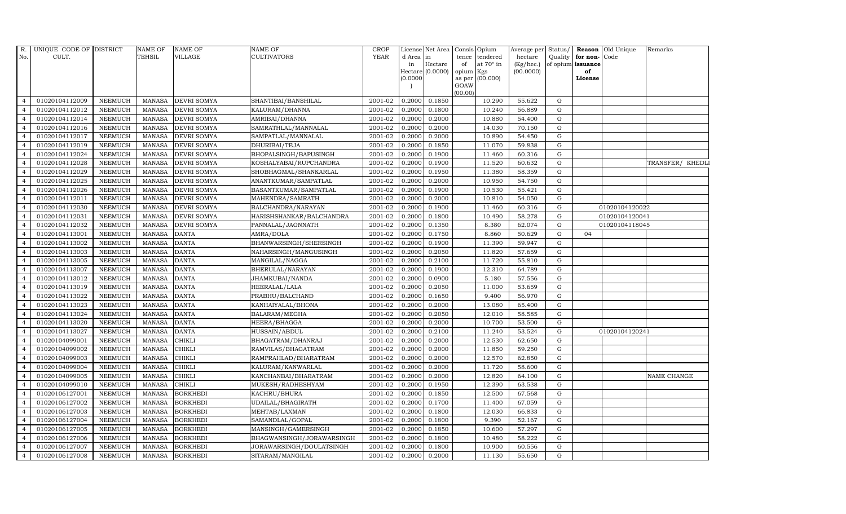| R.             | UNIQUE CODE OF DISTRICT |                | <b>NAME OF</b> | <b>NAME OF</b>     | <b>NAME OF</b>            | CROP        |           | License Net Area Consis Opium |           |                  | Average per Status/ |             |                   | <b>Reason</b> Old Unique | Remarks            |
|----------------|-------------------------|----------------|----------------|--------------------|---------------------------|-------------|-----------|-------------------------------|-----------|------------------|---------------------|-------------|-------------------|--------------------------|--------------------|
| No.            | CULT.                   |                | TEHSIL         | VILLAGE            | <b>CULTIVATORS</b>        | <b>YEAR</b> | d Area in |                               |           | tence tendered   | hectare             | Quality     | for non-          | Code                     |                    |
|                |                         |                |                |                    |                           |             | in        | Hectare                       | of        | at $70^\circ$ in | $(Kg/$ hec. $)$     |             | of opium issuance |                          |                    |
|                |                         |                |                |                    |                           |             |           | Hectare (0.0000)              | opium Kgs |                  | (00.0000)           |             | of                |                          |                    |
|                |                         |                |                |                    |                           |             | (0.0000)  |                               | GOAW      | as per (00.000)  |                     |             | License           |                          |                    |
|                |                         |                |                |                    |                           |             |           |                               | (00.00)   |                  |                     |             |                   |                          |                    |
| $\overline{4}$ | 01020104112009          | <b>NEEMUCH</b> | <b>MANASA</b>  | <b>DEVRI SOMYA</b> | SHANTIBAI/BANSHILAL       | 2001-02     | 0.2000    | 0.1850                        |           | 10.290           | 55.622              | G           |                   |                          |                    |
| $\overline{4}$ | 01020104112012          | <b>NEEMUCH</b> | MANASA         | <b>DEVRI SOMYA</b> | KALURAM/DHANNA            | 2001-02     | 0.2000    | 0.1800                        |           | 10.240           | 56.889              | ${\rm G}$   |                   |                          |                    |
| $\overline{4}$ | 01020104112014          | <b>NEEMUCH</b> | <b>MANASA</b>  | <b>DEVRI SOMYA</b> | AMRIBAI/DHANNA            | 2001-02     | 0.2000    | 0.2000                        |           | 10.880           | 54.400              | G           |                   |                          |                    |
| $\overline{4}$ | 01020104112016          | <b>NEEMUCH</b> | <b>MANASA</b>  | <b>DEVRI SOMYA</b> | SAMRATHLAL/MANNALAL       | 2001-02     | 0.2000    | 0.2000                        |           | 14.030           | 70.150              | $\mathbf G$ |                   |                          |                    |
| $\overline{4}$ | 01020104112017          | <b>NEEMUCH</b> | <b>MANASA</b>  | <b>DEVRI SOMYA</b> | SAMPATLAL/MANNALAL        | 2001-02     | 0.2000    | 0.2000                        |           | 10.890           | 54.450              | $\mathbf G$ |                   |                          |                    |
| $\overline{4}$ | 01020104112019          | <b>NEEMUCH</b> | <b>MANASA</b>  | <b>DEVRI SOMYA</b> | DHURIBAI/TEJA             | 2001-02     | 0.2000    | 0.1850                        |           | 11.070           | 59.838              | G           |                   |                          |                    |
| $\overline{4}$ | 01020104112024          | <b>NEEMUCH</b> | <b>MANASA</b>  | <b>DEVRI SOMYA</b> | BHOPALSINGH/BAPUSINGH     | 2001-02     | 0.2000    | 0.1900                        |           | 11.460           | 60.316              | ${\bf G}$   |                   |                          |                    |
| $\overline{4}$ | 01020104112028          | <b>NEEMUCH</b> | <b>MANASA</b>  | <b>DEVRI SOMYA</b> | KOSHALYABAI/RUPCHANDRA    | 2001-02     | 0.2000    | 0.1900                        |           | 11.520           | 60.632              | G           |                   |                          | TRANSFER/ KHEDLI   |
| $\overline{4}$ | 01020104112029          | <b>NEEMUCH</b> | <b>MANASA</b>  | <b>DEVRI SOMYA</b> | SHOBHAGMAL/SHANKARLAL     | 2001-02     | 0.2000    | 0.1950                        |           | 11.380           | 58.359              | $\mathbf G$ |                   |                          |                    |
| $\overline{4}$ | 01020104112025          | <b>NEEMUCH</b> | MANASA         | DEVRI SOMYA        | ANANTKUMAR/SAMPATLAL      | 2001-02     | 0.2000    | 0.2000                        |           | 10.950           | 54.750              | ${\rm G}$   |                   |                          |                    |
| $\overline{4}$ | 01020104112026          | <b>NEEMUCH</b> | <b>MANASA</b>  | <b>DEVRI SOMYA</b> | BASANTKUMAR/SAMPATLAL     | 2001-02     | 0.2000    | 0.1900                        |           | 10.530           | 55.421              | G           |                   |                          |                    |
| $\overline{4}$ | 01020104112011          | <b>NEEMUCH</b> | <b>MANASA</b>  | <b>DEVRI SOMYA</b> | MAHENDRA/SAMRATH          | 2001-02     | 0.2000    | 0.2000                        |           | 10.810           | 54.050              | ${\rm G}$   |                   |                          |                    |
| $\overline{4}$ | 01020104112030          | <b>NEEMUCH</b> | <b>MANASA</b>  | <b>DEVRI SOMYA</b> | BALCHANDRA/NARAYAN        | 2001-02     | 0.2000    | 0.1900                        |           | 11.460           | 60.316              | G           |                   | 01020104120022           |                    |
| $\overline{4}$ | 01020104112031          | <b>NEEMUCH</b> | <b>MANASA</b>  | <b>DEVRI SOMYA</b> | HARISHSHANKAR/BALCHANDRA  | 2001-02     | 0.2000    | 0.1800                        |           | 10.490           | 58.278              | $\mathbf G$ |                   | 01020104120041           |                    |
| $\overline{4}$ | 01020104112032          | <b>NEEMUCH</b> | <b>MANASA</b>  | DEVRI SOMYA        | PANNALAL/JAGNNATH         | 2001-02     | 0.2000    | 0.1350                        |           | 8.380            | 62.074              | ${\rm G}$   |                   | 01020104118045           |                    |
| $\overline{4}$ | 01020104113001          | <b>NEEMUCH</b> | <b>MANASA</b>  | <b>DANTA</b>       | AMRA/DOLA                 | 2001-02     | 0.2000    | 0.1750                        |           | 8.860            | 50.629              | G           | 04                |                          |                    |
| $\overline{4}$ | 01020104113002          | <b>NEEMUCH</b> | <b>MANASA</b>  | <b>DANTA</b>       | BHANWARSINGH/SHERSINGH    | 2001-02     | 0.2000    | 0.1900                        |           | 11.390           | 59.947              | $\mathbf G$ |                   |                          |                    |
| $\overline{4}$ | 01020104113003          | <b>NEEMUCH</b> | <b>MANASA</b>  | <b>DANTA</b>       | NAHARSINGH/MANGUSINGH     | 2001-02     | 0.2000    | 0.2050                        |           | 11.820           | 57.659              | G           |                   |                          |                    |
| $\overline{4}$ | 01020104113005          | <b>NEEMUCH</b> | <b>MANASA</b>  | <b>DANTA</b>       | MANGILAL/NAGGA            | 2001-02     | 0.2000    | 0.2100                        |           | 11.720           | 55.810              | $\mathbf G$ |                   |                          |                    |
| $\overline{4}$ | 01020104113007          | <b>NEEMUCH</b> | <b>MANASA</b>  | <b>DANTA</b>       | BHERULAL/NARAYAN          | 2001-02     | 0.2000    | 0.1900                        |           | 12.310           | 64.789              | ${\rm G}$   |                   |                          |                    |
| $\overline{4}$ | 01020104113012          | <b>NEEMUCH</b> | <b>MANASA</b>  | <b>DANTA</b>       | JHAMKUBAI/NANDA           | 2001-02     | 0.2000    | 0.0900                        |           | 5.180            | 57.556              | $\mathbf G$ |                   |                          |                    |
| $\overline{4}$ | 01020104113019          | <b>NEEMUCH</b> | <b>MANASA</b>  | <b>DANTA</b>       | HEERALAL/LALA             | 2001-02     | 0.2000    | 0.2050                        |           | 11.000           | 53.659              | ${\rm G}$   |                   |                          |                    |
| $\overline{4}$ | 01020104113022          | <b>NEEMUCH</b> | <b>MANASA</b>  | <b>DANTA</b>       | PRABHU/BALCHAND           | 2001-02     | 0.2000    | 0.1650                        |           | 9.400            | 56.970              | ${\rm G}$   |                   |                          |                    |
| $\overline{4}$ | 01020104113023          | <b>NEEMUCH</b> | <b>MANASA</b>  | <b>DANTA</b>       | KANHAIYALAL/BHONA         | 2001-02     | 0.2000    | 0.2000                        |           | 13.080           | 65.400              | ${\rm G}$   |                   |                          |                    |
| $\overline{4}$ | 01020104113024          | <b>NEEMUCH</b> | <b>MANASA</b>  | <b>DANTA</b>       | BALARAM/MEGHA             | 2001-02     | 0.2000    | 0.2050                        |           | 12.010           | 58.585              | ${\bf G}$   |                   |                          |                    |
| $\overline{4}$ | 01020104113020          | <b>NEEMUCH</b> | <b>MANASA</b>  | <b>DANTA</b>       | HEERA/BHAGGA              | 2001-02     | 0.2000    | 0.2000                        |           | 10.700           | 53.500              | G           |                   |                          |                    |
| $\overline{4}$ | 01020104113027          | <b>NEEMUCH</b> | <b>MANASA</b>  | <b>DANTA</b>       | HUSSAIN/ABDUL             | 2001-02     | 0.2000    | 0.2100                        |           | 11.240           | 53.524              | ${\rm G}$   |                   | 01020104120241           |                    |
| $\overline{4}$ | 01020104099001          | <b>NEEMUCH</b> | <b>MANASA</b>  | <b>CHIKLI</b>      | BHAGATRAM/DHANRAJ         | 2001-02     | 0.2000    | 0.2000                        |           | 12.530           | 62.650              | ${\rm G}$   |                   |                          |                    |
| $\overline{4}$ | 01020104099002          | <b>NEEMUCH</b> | <b>MANASA</b>  | <b>CHIKLI</b>      | RAMVILAS/BHAGATRAM        | 2001-02     | 0.2000    | 0.2000                        |           | 11.850           | 59.250              | ${\rm G}$   |                   |                          |                    |
| $\overline{4}$ | 01020104099003          | <b>NEEMUCH</b> | <b>MANASA</b>  | <b>CHIKLI</b>      | RAMPRAHLAD/BHARATRAM      | 2001-02     | 0.2000    | 0.2000                        |           | 12.570           | 62.850              | $\mathbf G$ |                   |                          |                    |
| $\overline{4}$ | 01020104099004          | <b>NEEMUCH</b> | <b>MANASA</b>  | <b>CHIKLI</b>      | KALURAM/KANWARLAL         | 2001-02     | 0.2000    | 0.2000                        |           | 11.720           | 58.600              | G           |                   |                          |                    |
| $\overline{4}$ | 01020104099005          | <b>NEEMUCH</b> | <b>MANASA</b>  | <b>CHIKLI</b>      | KANCHANBAI/BHARATRAM      | 2001-02     | 0.2000    | 0.2000                        |           | 12.820           | 64.100              | $\mathbf G$ |                   |                          | <b>NAME CHANGE</b> |
| $\overline{4}$ | 01020104099010          | <b>NEEMUCH</b> | <b>MANASA</b>  | <b>CHIKLI</b>      | MUKESH/RADHESHYAM         | 2001-02     | 0.2000    | 0.1950                        |           | 12.390           | 63.538              | ${\rm G}$   |                   |                          |                    |
| $\overline{4}$ | 01020106127001          | <b>NEEMUCH</b> | <b>MANASA</b>  | <b>BORKHEDI</b>    | KACHRU/BHURA              | 2001-02     | 0.2000    | 0.1850                        |           | 12.500           | 67.568              | $\mathbf G$ |                   |                          |                    |
| $\overline{4}$ | 01020106127002          | <b>NEEMUCH</b> | <b>MANASA</b>  | <b>BORKHEDI</b>    | UDAILAL/BHAGIRATH         | 2001-02     | 0.2000    | 0.1700                        |           | 11.400           | 67.059              | $\mathbf G$ |                   |                          |                    |
| $\overline{4}$ | 01020106127003          | <b>NEEMUCH</b> | <b>MANASA</b>  | <b>BORKHEDI</b>    | MEHTAB/LAXMAN             | 2001-02     | 0.2000    | 0.1800                        |           | 12.030           | 66.833              | ${\rm G}$   |                   |                          |                    |
| $\overline{4}$ | 01020106127004          | <b>NEEMUCH</b> | <b>MANASA</b>  | <b>BORKHEDI</b>    | SAMANDLAL/GOPAL           | 2001-02     | 0.2000    | 0.1800                        |           | 9.390            | 52.167              | G           |                   |                          |                    |
| $\overline{4}$ | 01020106127005          | <b>NEEMUCH</b> | <b>MANASA</b>  | <b>BORKHEDI</b>    | MANSINGH/GAMERSINGH       | 2001-02     | 0.2000    | 0.1850                        |           | 10.600           | 57.297              | ${\bf G}$   |                   |                          |                    |
| $\overline{4}$ | 01020106127006          | <b>NEEMUCH</b> | <b>MANASA</b>  | <b>BORKHEDI</b>    | BHAGWANSINGH/JORAWARSINGH | 2001-02     | 0.2000    | 0.1800                        |           | 10.480           | 58.222              | $\mathbf G$ |                   |                          |                    |
| $\overline{4}$ | 01020106127007          | <b>NEEMUCH</b> | <b>MANASA</b>  | <b>BORKHEDI</b>    | JORAWARSINGH/DOULATSINGH  | 2001-02     | 0.2000    | 0.1800                        |           | 10.900           | 60.556              | $\mathbf G$ |                   |                          |                    |
| $\overline{4}$ | 01020106127008          | <b>NEEMUCH</b> |                | MANASA BORKHEDI    | SITARAM/MANGILAL          | 2001-02     | 0.2000    | 0.2000                        |           | 11.130           | 55.650              | G           |                   |                          |                    |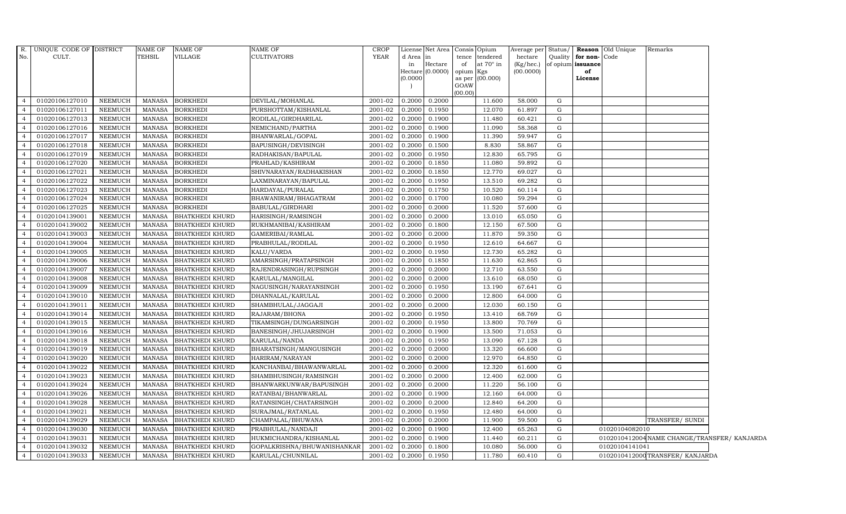|                | R. UNIQUE CODE OF DISTRICT |                | <b>NAME OF</b> | NAME OF                | <b>NAME OF</b>              | <b>CROP</b> |                     | License Net Area Consis Opium |           |                 | Average per Status/ |         |                   | <b>Reason</b> Old Unique | Remarks                                      |  |
|----------------|----------------------------|----------------|----------------|------------------------|-----------------------------|-------------|---------------------|-------------------------------|-----------|-----------------|---------------------|---------|-------------------|--------------------------|----------------------------------------------|--|
| No.            | CULT.                      |                | TEHSIL         | VILLAGE                | <b>CULTIVATORS</b>          | <b>YEAR</b> | d Area              | lin                           |           | tence tendered  | hectare             | Quality | for non-Code      |                          |                                              |  |
|                |                            |                |                |                        |                             |             | in                  | Hectare                       | of        | at 70° in       | (Kg/hec.)           |         | of opium issuance |                          |                                              |  |
|                |                            |                |                |                        |                             |             | Hectare<br>(0.0000) | (0.0000)                      | opium Kgs | as per (00.000) | (00.0000)           |         | of<br>License     |                          |                                              |  |
|                |                            |                |                |                        |                             |             |                     |                               | GOAW      |                 |                     |         |                   |                          |                                              |  |
|                |                            |                |                |                        |                             |             |                     |                               | (00.00)   |                 |                     |         |                   |                          |                                              |  |
| $\overline{4}$ | 01020106127010             | NEEMUCH        | MANASA         | <b>BORKHEDI</b>        | DEVILAL/MOHANLAL            | 2001-02     | 0.2000              | 0.2000                        |           | 11.600          | 58.000              | G       |                   |                          |                                              |  |
| $\overline{4}$ | 01020106127011             | <b>NEEMUCH</b> | <b>MANASA</b>  | <b>BORKHEDI</b>        | PURSHOTTAM/KISHANLAL        | 2001-02     | 0.2000              | 0.1950                        |           | 12.070          | 61.897              | G       |                   |                          |                                              |  |
| $\overline{4}$ | 01020106127013             | <b>NEEMUCH</b> | <b>MANASA</b>  | <b>BORKHEDI</b>        | RODILAL/GIRDHARILAL         | 2001-02     | 0.2000              | 0.1900                        |           | 11.480          | 60.421              | G       |                   |                          |                                              |  |
| $\overline{4}$ | 01020106127016             | <b>NEEMUCH</b> | <b>MANASA</b>  | <b>BORKHEDI</b>        | NEMICHAND/PARTHA            | 2001-02     | 0.2000              | 0.1900                        |           | 11.090          | 58.368              | G       |                   |                          |                                              |  |
| $\overline{4}$ | 01020106127017             | <b>NEEMUCH</b> | <b>MANASA</b>  | <b>BORKHEDI</b>        | BHANWARLAL/GOPAL            | 2001-02     | 0.2000              | 0.1900                        |           | 11.390          | 59.947              | G       |                   |                          |                                              |  |
| $\overline{4}$ | 01020106127018             | <b>NEEMUCH</b> | MANASA         | <b>BORKHEDI</b>        | BAPUSINGH/DEVISINGH         | 2001-02     | 0.2000              | 0.1500                        |           | 8.830           | 58.867              | G       |                   |                          |                                              |  |
| $\overline{4}$ | 01020106127019             | <b>NEEMUCH</b> | <b>MANASA</b>  | <b>BORKHEDI</b>        | RADHAKISAN/BAPULAL          | 2001-02     | 0.2000              | 0.1950                        |           | 12.830          | 65.795              | G       |                   |                          |                                              |  |
| $\overline{4}$ | 01020106127020             | <b>NEEMUCH</b> | <b>MANASA</b>  | <b>BORKHEDI</b>        | PRAHLAD/KASHIRAM            | 2001-02     | 0.2000              | 0.1850                        |           | 11.080          | 59.892              | G       |                   |                          |                                              |  |
| $\overline{4}$ | 01020106127021             | <b>NEEMUCH</b> | <b>MANASA</b>  | <b>BORKHEDI</b>        | SHIVNARAYAN / RADHAKISHAN   | 2001-02     | 0.2000              | 0.1850                        |           | 12.770          | 69.027              | G       |                   |                          |                                              |  |
| $\overline{4}$ | 01020106127022             | <b>NEEMUCH</b> | <b>MANASA</b>  | <b>BORKHEDI</b>        | LAXMINARAYAN/BAPULAL        | 2001-02     | 0.2000              | 0.1950                        |           | 13.510          | 69.282              | G       |                   |                          |                                              |  |
| $\overline{4}$ | 01020106127023             | <b>NEEMUCH</b> | <b>MANASA</b>  | <b>BORKHEDI</b>        | HARDAYAL/PURALAL            | 2001-02     | 0.2000              | 0.1750                        |           | 10.520          | 60.114              | G       |                   |                          |                                              |  |
| $\overline{4}$ | 01020106127024             | <b>NEEMUCH</b> | <b>MANASA</b>  | <b>BORKHEDI</b>        | BHAWANIRAM/BHAGATRAM        | 2001-02     | 0.2000              | 0.1700                        |           | 10.080          | 59.294              | G       |                   |                          |                                              |  |
| $\overline{4}$ | 01020106127025             | <b>NEEMUCH</b> | <b>MANASA</b>  | <b>BORKHEDI</b>        | BABULAL/GIRDHARI            | 2001-02     | 0.2000              | 0.2000                        |           | 11.520          | 57.600              | G       |                   |                          |                                              |  |
| $\overline{4}$ | 01020104139001             | <b>NEEMUCH</b> | <b>MANASA</b>  | <b>BHATKHEDI KHURD</b> | HARISINGH/RAMSINGH          | 2001-02     | 0.2000              | 0.2000                        |           | 13.010          | 65.050              | G       |                   |                          |                                              |  |
| $\overline{4}$ | 01020104139002             | <b>NEEMUCH</b> | <b>MANASA</b>  | <b>BHATKHEDI KHURD</b> | RUKHMANIBAI/KASHIRAM        | 2001-02     | 0.2000              | 0.1800                        |           | 12.150          | 67.500              | G       |                   |                          |                                              |  |
| $\overline{4}$ | 01020104139003             | <b>NEEMUCH</b> | <b>MANASA</b>  | <b>BHATKHEDI KHURD</b> | GAMERIBAI/RAMLAL            | 2001-02     | 0.2000              | 0.2000                        |           | 11.870          | 59.350              | G       |                   |                          |                                              |  |
| $\overline{4}$ | 01020104139004             | <b>NEEMUCH</b> | <b>MANASA</b>  | <b>BHATKHEDI KHURD</b> | PRABHULAL/RODILAL           | 2001-02     | 0.2000              | 0.1950                        |           | 12.610          | 64.667              | G       |                   |                          |                                              |  |
| $\overline{4}$ | 01020104139005             | <b>NEEMUCH</b> | <b>MANASA</b>  | <b>BHATKHEDI KHURD</b> | KALU/VARDA                  | 2001-02     | 0.2000              | 0.1950                        |           | 12.730          | 65.282              | G       |                   |                          |                                              |  |
| $\overline{4}$ | 01020104139006             | <b>NEEMUCH</b> | <b>MANASA</b>  | <b>BHATKHEDI KHURD</b> | AMARSINGH/PRATAPSINGH       | 2001-02     | 0.2000              | 0.1850                        |           | 11.630          | 62.865              | G       |                   |                          |                                              |  |
| $\overline{4}$ | 01020104139007             | <b>NEEMUCH</b> | <b>MANASA</b>  | <b>BHATKHEDI KHURD</b> | RAJENDRASINGH/RUPSINGH      | 2001-02     | 0.2000              | 0.2000                        |           | 12.710          | 63.550              | G       |                   |                          |                                              |  |
| $\overline{4}$ | 01020104139008             | <b>NEEMUCH</b> | <b>MANASA</b>  | <b>BHATKHEDI KHURD</b> | KARULAL/MANGILAL            | 2001-02     | 0.2000              | 0.2000                        |           | 13.610          | 68.050              | G       |                   |                          |                                              |  |
| $\overline{4}$ | 01020104139009             | <b>NEEMUCH</b> | <b>MANASA</b>  | <b>BHATKHEDI KHURD</b> | NAGUSINGH/NARAYANSINGH      | 2001-02     | 0.2000              | 0.1950                        |           | 13.190          | 67.641              | G       |                   |                          |                                              |  |
| $\overline{4}$ | 01020104139010             | <b>NEEMUCH</b> | <b>MANASA</b>  | <b>BHATKHEDI KHURD</b> | DHANNALAL/KARULAL           | 2001-02     | 0.2000              | 0.2000                        |           | 12.800          | 64.000              | G       |                   |                          |                                              |  |
| $\overline{4}$ | 01020104139011             | NEEMUCH        | <b>MANASA</b>  | <b>BHATKHEDI KHURD</b> | SHAMBHULAL/JAGGAJI          | 2001-02     | 0.2000              | 0.2000                        |           | 12.030          | 60.150              | G       |                   |                          |                                              |  |
| $\overline{4}$ | 01020104139014             | <b>NEEMUCH</b> | <b>MANASA</b>  | <b>BHATKHEDI KHURD</b> | RAJARAM/BHONA               | 2001-02     | 0.2000              | 0.1950                        |           | 13.410          | 68.769              | G       |                   |                          |                                              |  |
| $\overline{4}$ | 01020104139015             | <b>NEEMUCH</b> | <b>MANASA</b>  | <b>BHATKHEDI KHURD</b> | TIKAMSINGH/DUNGARSINGH      | 2001-02     | 0.2000              | 0.1950                        |           | 13.800          | 70.769              | G       |                   |                          |                                              |  |
| $\overline{4}$ | 01020104139016             | <b>NEEMUCH</b> | <b>MANASA</b>  | <b>BHATKHEDI KHURD</b> | BANESINGH/JHUJARSINGH       | 2001-02     | 0.2000              | 0.1900                        |           | 13.500          | 71.053              | G       |                   |                          |                                              |  |
| $\overline{4}$ | 01020104139018             | <b>NEEMUCH</b> | MANASA         | <b>BHATKHEDI KHURD</b> | KARULAL/NANDA               | 2001-02     | 0.2000              | 0.1950                        |           | 13.090          | 67.128              | G       |                   |                          |                                              |  |
| $\overline{4}$ | 01020104139019             | NEEMUCH        | <b>MANASA</b>  | <b>BHATKHEDI KHURD</b> | BHARATSINGH/MANGUSINGH      | 2001-02     | 0.2000              | 0.2000                        |           | 13.320          | 66.600              | G       |                   |                          |                                              |  |
| $\overline{4}$ | 01020104139020             | <b>NEEMUCH</b> | <b>MANASA</b>  | <b>BHATKHEDI KHURD</b> | HARIRAM/NARAYAN             | 2001-02     | 0.2000              | 0.2000                        |           | 12.970          | 64.850              | G       |                   |                          |                                              |  |
| $\overline{4}$ | 01020104139022             | <b>NEEMUCH</b> | <b>MANASA</b>  | <b>BHATKHEDI KHURD</b> | KANCHANBAI/BHAWANWARLAL     | 2001-02     | 0.2000              | 0.2000                        |           | 12.320          | 61.600              | G       |                   |                          |                                              |  |
| $\overline{4}$ | 01020104139023             | <b>NEEMUCH</b> | <b>MANASA</b>  | <b>BHATKHEDI KHURD</b> | SHAMBHUSINGH/RAMSINGH       | 2001-02     | 0.2000              | 0.2000                        |           | 12.400          | 62.000              | G       |                   |                          |                                              |  |
| $\overline{4}$ | 01020104139024             | <b>NEEMUCH</b> | <b>MANASA</b>  | <b>BHATKHEDI KHURD</b> | BHANWARKUNWAR/BAPUSINGH     | 2001-02     | 0.2000              | 0.2000                        |           | 11.220          | 56.100              | G       |                   |                          |                                              |  |
| $\overline{4}$ | 01020104139026             | <b>NEEMUCH</b> | <b>MANASA</b>  | <b>BHATKHEDI KHURD</b> | RATANBAI/BHANWARLAL         | 2001-02     | 0.2000              | 0.1900                        |           | 12.160          | 64.000              | G       |                   |                          |                                              |  |
| $\overline{4}$ | 01020104139028             | <b>NEEMUCH</b> | MANASA         | <b>BHATKHEDI KHURD</b> | RATANSINGH/CHATARSINGH      | 2001-02     | 0.2000              | 0.2000                        |           | 12.840          | 64.200              | G       |                   |                          |                                              |  |
| $\overline{4}$ | 01020104139021             | <b>NEEMUCH</b> | <b>MANASA</b>  | <b>BHATKHEDI KHURD</b> | SURAJMAL/RATANLAL           | 2001-02     | 0.2000              | 0.1950                        |           | 12.480          | 64.000              | G       |                   |                          |                                              |  |
| $\overline{4}$ | 01020104139029             | <b>NEEMUCH</b> | <b>MANASA</b>  | <b>BHATKHEDI KHURD</b> | CHAMPALAL/BHUWANA           | 2001-02     | 0.2000              | 0.2000                        |           | 11.900          | 59.500              | G       |                   |                          | TRANSFER/ SUNDI                              |  |
| $\overline{4}$ | 01020104139030             | <b>NEEMUCH</b> | <b>MANASA</b>  | <b>BHATKHEDI KHURD</b> | PRABHULAL/NANDAJI           | 2001-02     | 0.2000              | 0.1900                        |           | 12.400          | 65.263              | G       |                   | 01020104082010           |                                              |  |
| $\overline{4}$ | 01020104139031             | <b>NEEMUCH</b> | <b>MANASA</b>  | <b>BHATKHEDI KHURD</b> | HUKMICHANDRA/KISHANLAL      | $2001 - 02$ | 0.2000              | 0.1900                        |           | 11.440          | 60.211              | G       |                   |                          | 0102010412004 NAME CHANGE/TRANSFER/ KANJARDA |  |
| $\overline{4}$ | 01020104139032             | <b>NEEMUCH</b> | <b>MANASA</b>  | <b>BHATKHEDI KHURD</b> | GOPALKRISHNA/BHUWANISHANKAR | 2001-02     | 0.2000              | 0.1800                        |           | 10.080          | 56.000              | G       |                   | 01020104141041           |                                              |  |
| $\overline{4}$ | 01020104139033             | <b>NEEMUCH</b> | MANASA         | <b>BHATKHEDI KHURD</b> | KARULAL/CHUNNILAL           | 2001-02     | 0.2000              | 0.1950                        |           | 11.780          | 60.410              | G       |                   |                          | 0102010412000TRANSFER/KANJARDA               |  |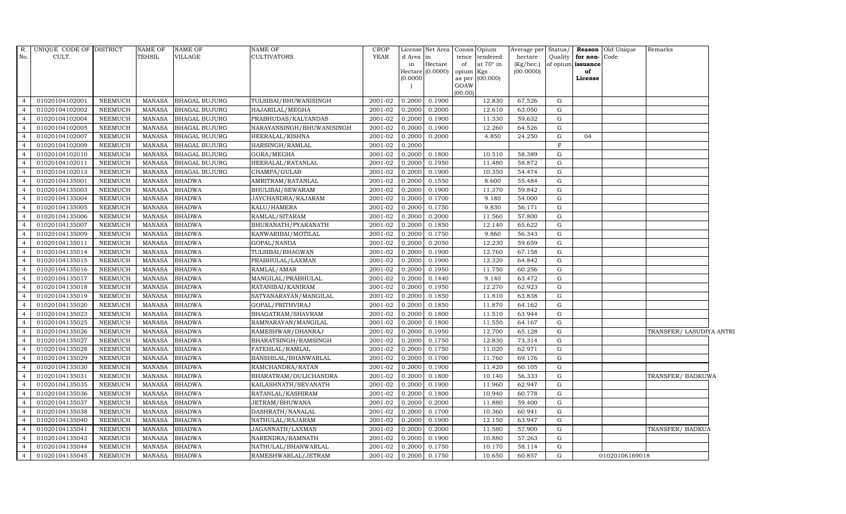| R.<br>No.      | UNIQUE CODE OF DISTRICT<br>CULT. |                | <b>NAME OF</b><br><b>TEHSIL</b> | NAME OF<br>VILLAGE   | NAME OF<br>CULTIVATORS    | <b>CROP</b><br>YEAR | d Area in<br>in<br>(0.0000) | License Net Area Consis Opium<br>Hectare<br>Hectare (0.0000) | of<br>opium Kgs<br>GOAW<br>(00.00) | tence tendered<br>at $70^\circ$ in<br>as per (00.000) | Average per<br>hectare<br>(Kg/hec.)<br>(00.0000) |             | Quality <b>for non-</b> Code<br>of opium issuance<br>of<br>License | Status/ Reason Old Unique | Remarks                  |  |
|----------------|----------------------------------|----------------|---------------------------------|----------------------|---------------------------|---------------------|-----------------------------|--------------------------------------------------------------|------------------------------------|-------------------------------------------------------|--------------------------------------------------|-------------|--------------------------------------------------------------------|---------------------------|--------------------------|--|
| $\overline{4}$ | 01020104102001                   | NEEMUCH        | MANASA                          | <b>BHAGAL BUJURG</b> | TULSIBAI/BHUWANISINGH     | 2001-02             | 0.2000                      | 0.1900                                                       |                                    | 12.830                                                | 67.526                                           | G           |                                                                    |                           |                          |  |
| $\overline{4}$ | 01020104102002                   | <b>NEEMUCH</b> | <b>MANASA</b>                   | <b>BHAGAL BUJURG</b> | HAJARILAL/MEGHA           | 2001-02             | 0.2000                      | 0.2000                                                       |                                    | 12.610                                                | 63.050                                           | ${\rm G}$   |                                                                    |                           |                          |  |
| $\overline{4}$ | 01020104102004                   | <b>NEEMUCH</b> | <b>MANASA</b>                   | <b>BHAGAL BUJURG</b> | PRABHUDAS/KALYANDAS       | 2001-02             | 0.2000                      | 0.1900                                                       |                                    | 11.330                                                | 59.632                                           | G           |                                                                    |                           |                          |  |
| $\overline{4}$ | 01020104102005                   | <b>NEEMUCH</b> | <b>MANASA</b>                   | <b>BHAGAL BUJURG</b> | NARAYANSINGH/BHUWANISINGH | 2001-02             | 0.2000                      | 0.1900                                                       |                                    | 12.260                                                | 64.526                                           | G           |                                                                    |                           |                          |  |
| $\overline{4}$ | 01020104102007                   | <b>NEEMUCH</b> | <b>MANASA</b>                   | <b>BHAGAL BUJURG</b> | HEERALAL/KISHNA           | 2001-02             | 0.2000                      | 0.2000                                                       |                                    | 4.850                                                 | 24.250                                           | ${\rm G}$   | 04                                                                 |                           |                          |  |
| $\overline{4}$ | 01020104102009                   | <b>NEEMUCH</b> | <b>MANASA</b>                   | <b>BHAGAL BUJURG</b> | HARSINGH/RAMLAL           | 2001-02             | 0.2000                      |                                                              |                                    |                                                       |                                                  | F           |                                                                    |                           |                          |  |
| $\overline{4}$ | 01020104102010                   | <b>NEEMUCH</b> | <b>MANASA</b>                   | BHAGAL BUJURG        | GORA/MEGHA                | 2001-02             | 0.2000                      | 0.1800                                                       |                                    | 10.510                                                | 58.389                                           | G           |                                                                    |                           |                          |  |
| $\overline{4}$ | 01020104102011                   | <b>NEEMUCH</b> | <b>MANASA</b>                   | <b>BHAGAL BUJURG</b> | HEERALAL/RATANLAL         | 2001-02             | 0.2000                      | 0.1950                                                       |                                    | 11.480                                                | 58.872                                           | $\mathbf G$ |                                                                    |                           |                          |  |
| $\overline{4}$ | 01020104102013                   | <b>NEEMUCH</b> | <b>MANASA</b>                   | <b>BHAGAL BUJURG</b> | CHAMPA/GULAB              | 2001-02             | 0.2000                      | 0.1900                                                       |                                    | 10.350                                                | 54.474                                           | G           |                                                                    |                           |                          |  |
| $\overline{4}$ | 01020104135001                   | <b>NEEMUCH</b> | <b>MANASA</b>                   | <b>BHADWA</b>        | AMRITRAM/RATANLAL         | 2001-02             | 0.2000                      | 0.1550                                                       |                                    | 8.600                                                 | 55.484                                           | $\mathbf G$ |                                                                    |                           |                          |  |
| $\overline{4}$ | 01020104135003                   | <b>NEEMUCH</b> | <b>MANASA</b>                   | <b>BHADWA</b>        | BHULIBAI/SEWARAM          | 2001-02             | 0.2000                      | 0.1900                                                       |                                    | 11.370                                                | 59.842                                           | G           |                                                                    |                           |                          |  |
| $\overline{4}$ | 01020104135004                   | <b>NEEMUCH</b> | <b>MANASA</b>                   | <b>BHADWA</b>        | JAYCHANDRA/RAJARAM        | 2001-02             | 0.2000                      | 0.1700                                                       |                                    | 9.180                                                 | 54.000                                           | ${\rm G}$   |                                                                    |                           |                          |  |
| $\overline{4}$ | 01020104135005                   | <b>NEEMUCH</b> | <b>MANASA</b>                   | <b>BHADWA</b>        | KALU/HAMERA               | 2001-02             | 0.2000                      | 0.1750                                                       |                                    | 9.830                                                 | 56.171                                           | G           |                                                                    |                           |                          |  |
| $\overline{4}$ | 01020104135006                   | <b>NEEMUCH</b> | <b>MANASA</b>                   | <b>BHADWA</b>        | RAMLAL/SITARAM            | 2001-02             | 0.2000                      | 0.2000                                                       |                                    | 11.560                                                | 57.800                                           | G           |                                                                    |                           |                          |  |
| $\overline{4}$ | 01020104135007                   | <b>NEEMUCH</b> | MANASA                          | <b>BHADWA</b>        | BHURANATH/PYARANATH       | 2001-02             | 0.2000                      | 0.1850                                                       |                                    | 12.140                                                | 65.622                                           | ${\rm G}$   |                                                                    |                           |                          |  |
| $\overline{4}$ | 01020104135009                   | <b>NEEMUCH</b> | <b>MANASA</b>                   | <b>BHADWA</b>        | KANWARIBAI/MOTILAL        | 2001-02             | 0.2000                      | 0.1750                                                       |                                    | 9.860                                                 | 56.343                                           | $\mathbf G$ |                                                                    |                           |                          |  |
| $\overline{4}$ | 01020104135011                   | <b>NEEMUCH</b> | <b>MANASA</b>                   | <b>BHADWA</b>        | GOPAL/NANDA               | 2001-02             | 0.2000                      | 0.2050                                                       |                                    | 12.230                                                | 59.659                                           | ${\rm G}$   |                                                                    |                           |                          |  |
| $\overline{4}$ | 01020104135014                   | <b>NEEMUCH</b> | MANASA                          | <b>BHADWA</b>        | TULSIBAI/BHAGWAN          | 2001-02             | 0.2000                      | 0.1900                                                       |                                    | 12.760                                                | 67.158                                           | ${\rm G}$   |                                                                    |                           |                          |  |
| $\overline{4}$ | 01020104135015                   | <b>NEEMUCH</b> | <b>MANASA</b>                   | <b>BHADWA</b>        | PRABHULAL/LAXMAN          | 2001-02             | 0.2000                      | 0.1900                                                       |                                    | 12.320                                                | 64.842                                           | ${\rm G}$   |                                                                    |                           |                          |  |
| $\overline{4}$ | 01020104135016                   | <b>NEEMUCH</b> | <b>MANASA</b>                   | <b>BHADWA</b>        | RAMLAL/AMAR               | 2001-02             | 0.2000                      | 0.1950                                                       |                                    | 11.750                                                | 60.256                                           | ${\rm G}$   |                                                                    |                           |                          |  |
| $\overline{4}$ | 01020104135017                   | <b>NEEMUCH</b> | <b>MANASA</b>                   | <b>BHADWA</b>        | MANGILAL/PRABHULAL        | 2001-02             | 0.2000                      | 0.1440                                                       |                                    | 9.140                                                 | 63.472                                           | G           |                                                                    |                           |                          |  |
| $\overline{4}$ | 01020104135018                   | <b>NEEMUCH</b> | <b>MANASA</b>                   | <b>BHADWA</b>        | RATANIBAI/KANIRAM         | 2001-02             | 0.2000                      | 0.1950                                                       |                                    | 12.270                                                | 62.923                                           | G           |                                                                    |                           |                          |  |
| $\overline{4}$ | 01020104135019                   | <b>NEEMUCH</b> | <b>MANASA</b>                   | <b>BHADWA</b>        | SATYANARAYAN/MANGILAL     | 2001-02             | 0.2000                      | 0.1850                                                       |                                    | 11.810                                                | 63.838                                           | ${\rm G}$   |                                                                    |                           |                          |  |
| $\overline{4}$ | 01020104135020                   | <b>NEEMUCH</b> | <b>MANASA</b>                   | <b>BHADWA</b>        | GOPAL/PRITHVIRAJ          | 2001-02             | 0.2000                      | 0.1850                                                       |                                    | 11.870                                                | 64.162                                           | $\mathbf G$ |                                                                    |                           |                          |  |
| $\overline{4}$ | 01020104135023                   | <b>NEEMUCH</b> | <b>MANASA</b>                   | <b>BHADWA</b>        | BHAGATRAM/SHAVRAM         | 2001-02             | 0.2000                      | 0.1800                                                       |                                    | 11.510                                                | 63.944                                           | ${\rm G}$   |                                                                    |                           |                          |  |
| $\overline{4}$ | 01020104135025                   | <b>NEEMUCH</b> | <b>MANASA</b>                   | <b>BHADWA</b>        | RAMNARAYAN/MANGILAL       | 2001-02             | 0.2000                      | 0.1800                                                       |                                    | 11.550                                                | 64.167                                           | G           |                                                                    |                           |                          |  |
| $\overline{4}$ | 01020104135026                   | <b>NEEMUCH</b> | <b>MANASA</b>                   | <b>BHADWA</b>        | RAMESHWAR/DHANRAJ         | 2001-02             | 0.2000                      | 0.1950                                                       |                                    | 12.700                                                | 65.128                                           | G           |                                                                    |                           | TRANSFER/ LASUDIYA ANTRI |  |
| $\overline{4}$ | 01020104135027                   | <b>NEEMUCH</b> | <b>MANASA</b>                   | <b>BHADWA</b>        | BHARATSINGH/RAMSINGH      | 2001-02             | 0.2000                      | 0.1750                                                       |                                    | 12.830                                                | 73.314                                           | ${\rm G}$   |                                                                    |                           |                          |  |
| $\overline{4}$ | 01020104135028                   | <b>NEEMUCH</b> | <b>MANASA</b>                   | <b>BHADWA</b>        | FATEHLAL/RAMLAL           | 2001-02             | 0.2000                      | 0.1750                                                       |                                    | 11.020                                                | 62.971                                           | ${\rm G}$   |                                                                    |                           |                          |  |
| $\overline{4}$ | 01020104135029                   | <b>NEEMUCH</b> | MANASA                          | <b>BHADWA</b>        | BANSHILAL/BHANWARLAL      | 2001-02             | 0.2000                      | 0.1700                                                       |                                    | 11.760                                                | 69.176                                           | $\mathbf G$ |                                                                    |                           |                          |  |
| $\overline{4}$ | 01020104135030                   | <b>NEEMUCH</b> | <b>MANASA</b>                   | <b>BHADWA</b>        | RAMCHANDRA/RATAN          | 2001-02             | 0.2000                      | 0.1900                                                       |                                    | 11.420                                                | 60.105                                           | ${\rm G}$   |                                                                    |                           |                          |  |
| $\overline{4}$ | 01020104135031                   | <b>NEEMUCH</b> | <b>MANASA</b>                   | <b>BHADWA</b>        | BHARATRAM/DULICHANDRA     | 2001-02             | 0.2000                      | 0.1800                                                       |                                    | 10.140                                                | 56.333                                           | ${\rm G}$   |                                                                    |                           | TRANSFER/BADKUWA         |  |
| $\overline{4}$ | 01020104135035                   | <b>NEEMUCH</b> | <b>MANASA</b>                   | <b>BHADWA</b>        | KAILASHNATH/SEVANATH      | 2001-02             | 0.2000                      | 0.1900                                                       |                                    | 11.960                                                | 62.947                                           | G           |                                                                    |                           |                          |  |
| $\overline{4}$ | 01020104135036                   | <b>NEEMUCH</b> | <b>MANASA</b>                   | <b>BHADWA</b>        | RATANLAL/KASHIRAM         | 2001-02             | 0.2000                      | 0.1800                                                       |                                    | 10.940                                                | 60.778                                           | ${\rm G}$   |                                                                    |                           |                          |  |
| $\overline{4}$ | 01020104135037                   | <b>NEEMUCH</b> | <b>MANASA</b>                   | <b>BHADWA</b>        | JETRAM/BHUWANA            | 2001-02             | 0.2000                      | 0.2000                                                       |                                    | 11.880                                                | 59.400                                           | G           |                                                                    |                           |                          |  |
| $\overline{4}$ | 01020104135038                   | <b>NEEMUCH</b> | <b>MANASA</b>                   | <b>BHADWA</b>        | DASHRATH/NANALAL          | 2001-02             | 0.2000                      | 0.1700                                                       |                                    | 10.360                                                | 60.941                                           | G           |                                                                    |                           |                          |  |
| $\overline{4}$ | 01020104135040                   | <b>NEEMUCH</b> | <b>MANASA</b>                   | <b>BHADWA</b>        | NATHULAL/RAJARAM          | 2001-02             | 0.2000                      | 0.1900                                                       |                                    | 12.150                                                | 63.947                                           | ${\rm G}$   |                                                                    |                           |                          |  |
| $\overline{4}$ | 01020104135041                   | <b>NEEMUCH</b> | <b>MANASA</b>                   | <b>BHADWA</b>        | JAGANNATH/LAXMAN          | 2001-02             | 0.2000                      | 0.2000                                                       |                                    | 11.580                                                | 57.900                                           | G           |                                                                    |                           | TRANSFER/ BADKUA         |  |
| $\overline{4}$ | 01020104135043                   | <b>NEEMUCH</b> | <b>MANASA</b>                   | <b>BHADWA</b>        | NARENDRA/RAMNATH          | 2001-02             | 0.2000                      | 0.1900                                                       |                                    | 10.880                                                | 57.263                                           | ${\rm G}$   |                                                                    |                           |                          |  |
| $\overline{4}$ | 01020104135044                   | <b>NEEMUCH</b> | <b>MANASA</b>                   | <b>BHADWA</b>        | NATHULAL/BHANWARLAL       | 2001-02             | 0.2000                      | 0.1750                                                       |                                    | 10.170                                                | 58.114                                           | G           |                                                                    |                           |                          |  |
| $\overline{4}$ | 01020104135045                   | <b>NEEMUCH</b> | <b>MANASA</b>                   | <b>BHADWA</b>        | RAMESHWARLAL/JETRAM       | 2001-02             | 0.2000                      | 0.1750                                                       |                                    | 10.650                                                | 60.857                                           | G           |                                                                    | 01020106169018            |                          |  |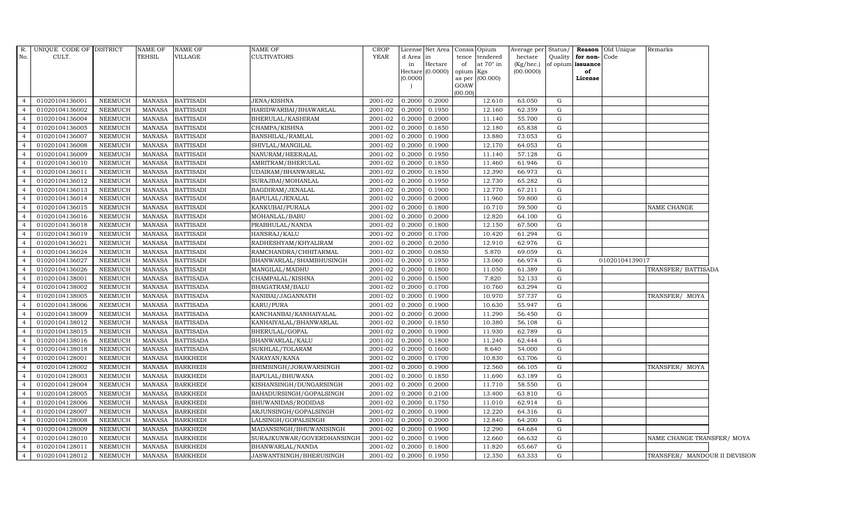| $R$ .          | UNIQUE CODE OF DISTRICT |                | <b>NAME OF</b> | <b>NAME OF</b>   | NAME OF                    | <b>CROP</b> |          | License Net Area | Consis Opium |                        | Average per Status/ |           |                   | Reason Old Unique | Remarks                       |  |
|----------------|-------------------------|----------------|----------------|------------------|----------------------------|-------------|----------|------------------|--------------|------------------------|---------------------|-----------|-------------------|-------------------|-------------------------------|--|
| No.            | CULT.                   |                | TEHSIL         | VILLAGE          | CULTIVATORS                | YEAR        | d Area   | in               | tence        | tendered               | hectare             | Quality   | for non-          | Code              |                               |  |
|                |                         |                |                |                  |                            |             | in       | Hectare          | of           | at 70° in              | (Kg/hec.)           |           | of opium issuance |                   |                               |  |
|                |                         |                |                |                  |                            |             |          | Hectare (0.0000) | opium        | Kgs<br>as per (00.000) | (00.0000)           |           | of<br>License     |                   |                               |  |
|                |                         |                |                |                  |                            |             | (0.0000) |                  | GOAW         |                        |                     |           |                   |                   |                               |  |
|                |                         |                |                |                  |                            |             |          |                  | (00.00)      |                        |                     |           |                   |                   |                               |  |
| $\overline{4}$ | 01020104136001          | NEEMUCH        | <b>MANASA</b>  | <b>BATTISADI</b> | JENA/KISHNA                | 2001-02     | 0.2000   | 0.2000           |              | 12.610                 | 63.050              | G         |                   |                   |                               |  |
| $\overline{4}$ | 01020104136002          | <b>NEEMUCH</b> | <b>MANASA</b>  | <b>BATTISADI</b> | HARIDWARBAI/BHAWARLAL      | 2001-02     | 0.2000   | 0.1950           |              | 12.160                 | 62.359              | G         |                   |                   |                               |  |
|                | 01020104136004          | NEEMUCH        | <b>MANASA</b>  | <b>BATTISADI</b> | BHERULAL/KASHIRAM          | 2001-02     | 0.2000   | 0.2000           |              | 11.140                 | 55.700              | G         |                   |                   |                               |  |
| $\overline{4}$ | 01020104136005          | <b>NEEMUCH</b> | <b>MANASA</b>  | <b>BATTISADI</b> | CHAMPA/KISHNA              | 2001-02     | 0.2000   | 0.1850           |              | 12.180                 | 65.838              | G         |                   |                   |                               |  |
| $\overline{4}$ | 01020104136007          | <b>NEEMUCH</b> | <b>MANASA</b>  | <b>BATTISADI</b> | BANSHILAL/RAMLAL           | 2001-02     | 0.2000   | 0.1900           |              | 13.880                 | 73.053              | G         |                   |                   |                               |  |
| $\overline{4}$ | 01020104136008          | NEEMUCH        | <b>MANASA</b>  | <b>BATTISADI</b> | SHIVLAL/MANGILAL           | 2001-02     | 0.2000   | 0.1900           |              | 12.170                 | 64.053              | G         |                   |                   |                               |  |
| $\overline{4}$ | 01020104136009          | NEEMUCH        | <b>MANASA</b>  | <b>BATTISADI</b> | NANURAM/HEERALAL           | 2001-02     | 0.2000   | 0.1950           |              | 11.140                 | 57.128              | ${\rm G}$ |                   |                   |                               |  |
| $\overline{4}$ | 01020104136010          | NEEMUCH        | <b>MANASA</b>  | <b>BATTISADI</b> | AMRITRAM/BHERULAL          | 2001-02     | 0.2000   | 0.1850           |              | 11.460                 | 61.946              | G         |                   |                   |                               |  |
|                | 01020104136011          | <b>NEEMUCH</b> | <b>MANASA</b>  | <b>BATTISADI</b> | UDAIRAM/BHANWARLAL         | 2001-02     | 0.2000   | 0.1850           |              | 12.390                 | 66.973              | G         |                   |                   |                               |  |
| $\overline{4}$ | 01020104136012          | NEEMUCH        | <b>MANASA</b>  | <b>BATTISADI</b> | SURAJBAI/MOHANLAL          | 2001-02     | 0.2000   | 0.1950           |              | 12.730                 | 65.282              | G         |                   |                   |                               |  |
| $\overline{4}$ | 01020104136013          | NEEMUCH        | <b>MANASA</b>  | <b>BATTISADI</b> | BAGDIRAM/JENALAL           | 2001-02     | 0.2000   | 0.1900           |              | 12.770                 | 67.211              | G         |                   |                   |                               |  |
| $\overline{4}$ | 01020104136014          | <b>NEEMUCH</b> | <b>MANASA</b>  | <b>BATTISADI</b> | BAPULAL/JENALAL            | 2001-02     | 0.2000   | 0.2000           |              | 11.960                 | 59.800              | ${\rm G}$ |                   |                   |                               |  |
| $\overline{4}$ | 01020104136015          | NEEMUCH        | <b>MANASA</b>  | <b>BATTISADI</b> | KANKUBAI/PURALA            | 2001-02     | 0.2000   | 0.1800           |              | 10.710                 | 59.500              | G         |                   |                   | NAME CHANGE                   |  |
|                | 01020104136016          | <b>NEEMUCH</b> | <b>MANASA</b>  | <b>BATTISADI</b> | MOHANLAL/BABU              | 2001-02     | 0.2000   | 0.2000           |              | 12.820                 | 64.100              | G         |                   |                   |                               |  |
| $\overline{4}$ | 01020104136018          | NEEMUCH        | <b>MANASA</b>  | <b>BATTISADI</b> | PRABHULAL/NANDA            | 2001-02     | 0.2000   | 0.1800           |              | 12.150                 | 67.500              | G         |                   |                   |                               |  |
| $\overline{4}$ | 01020104136019          | NEEMUCH        | <b>MANASA</b>  | <b>BATTISADI</b> | HANSRAJ/KALU               | 2001-02     | 0.2000   | 0.1700           |              | 10.420                 | 61.294              | G         |                   |                   |                               |  |
| $\overline{4}$ | 01020104136021          | NEEMUCH        | <b>MANASA</b>  | <b>BATTISADI</b> | RADHESHYAM/KHYALIRAM       | 2001-02     | 0.2000   | 0.2050           |              | 12.910                 | 62.976              | G         |                   |                   |                               |  |
| $\overline{4}$ | 01020104136024          | NEEMUCH        | <b>MANASA</b>  | <b>BATTISADI</b> | RAMCHANDRA/CHHITARMAL      | 2001-02     | 0.2000   | 0.0850           |              | 5.870                  | 69.059              | G         |                   |                   |                               |  |
| $\overline{4}$ | 01020104136027          | <b>NEEMUCH</b> | <b>MANASA</b>  | <b>BATTISADI</b> | BHANWARLAL/SHAMBHUSINGH    | 2001-02     | 0.2000   | 0.1950           |              | 13.060                 | 66.974              | G         |                   | 01020104139017    |                               |  |
| $\overline{4}$ | 01020104136026          | <b>NEEMUCH</b> | <b>MANASA</b>  | <b>BATTISADI</b> | MANGILAL/MADHU             | 2001-02     | 0.2000   | 0.1800           |              | 11.050                 | 61.389              | G         |                   |                   | TRANSFER/ BATTISADA           |  |
| $\overline{4}$ | 01020104138001          | <b>NEEMUCH</b> | <b>MANASA</b>  | <b>BATTISADA</b> | CHAMPALAL/KISHNA           | 2001-02     | 0.2000   | 0.1500           |              | 7.820                  | 52.133              | G         |                   |                   |                               |  |
| $\overline{4}$ | 01020104138002          | NEEMUCH        | <b>MANASA</b>  | <b>BATTISADA</b> | BHAGATRAM/BALU             | 2001-02     | 0.2000   | 0.1700           |              | 10.760                 | 63.294              | G         |                   |                   |                               |  |
| $\overline{4}$ | 01020104138005          | <b>NEEMUCH</b> | <b>MANASA</b>  | <b>BATTISADA</b> | NANIBAI/JAGANNATH          | 2001-02     | 0.2000   | 0.1900           |              | 10.970                 | 57.737              | G         |                   |                   | TRANSFER/ MOYA                |  |
| $\overline{4}$ | 01020104138006          | <b>NEEMUCH</b> | <b>MANASA</b>  | <b>BATTISADA</b> | KARU/PURA                  | 2001-02     | 0.2000   | 0.1900           |              | 10.630                 | 55.947              | G         |                   |                   |                               |  |
|                | 01020104138009          | <b>NEEMUCH</b> | <b>MANASA</b>  | <b>BATTISADA</b> | KANCHANBAI/KANHAIYALAL     | 2001-02     | 0.2000   | 0.2000           |              | 11.290                 | 56.450              | G         |                   |                   |                               |  |
| $\overline{4}$ | 01020104138012          | NEEMUCH        | <b>MANASA</b>  | <b>BATTISADA</b> | KANHAIYALAL/BHANWARLAL     | 2001-02     | 0.2000   | 0.1850           |              | 10.380                 | 56.108              | G         |                   |                   |                               |  |
| $\overline{4}$ | 01020104138015          | <b>NEEMUCH</b> | <b>MANASA</b>  | <b>BATTISADA</b> | BHERULAL/GOPAL             | 2001-02     | 0.2000   | 0.1900           |              | 11.930                 | 62.789              | G         |                   |                   |                               |  |
| $\overline{4}$ | 01020104138016          | NEEMUCH        | <b>MANASA</b>  | <b>BATTISADA</b> | BHANWARLAL/KALU            | 2001-02     | 0.2000   | 0.1800           |              | 11.240                 | 62.444              | G         |                   |                   |                               |  |
| $\overline{4}$ | 01020104138018          | NEEMUCH        | <b>MANASA</b>  | <b>BATTISADA</b> | SUKHLAL/TOLARAM            | 2001-02     | 0.2000   | 0.1600           |              | 8.640                  | 54.000              | G         |                   |                   |                               |  |
| $\overline{4}$ | 01020104128001          | <b>NEEMUCH</b> | <b>MANASA</b>  | <b>BARKHEDI</b>  | NARAYAN/KANA               | 2001-02     | 0.2000   | 0.1700           |              | 10.830                 | 63.706              | G         |                   |                   |                               |  |
| $\overline{4}$ | 01020104128002          | NEEMUCH        | <b>MANASA</b>  | <b>BARKHEDI</b>  | BHIMSINGH/JORAWARSINGH     | 2001-02     | 0.2000   | 0.1900           |              | 12.560                 | 66.105              | G         |                   |                   | TRANSFER/ MOYA                |  |
| $\overline{4}$ | 01020104128003          | NEEMUCH        | <b>MANASA</b>  | <b>BARKHEDI</b>  | BAPULAL/BHUWANA            | 2001-02     | 0.2000   | 0.1850           |              | 11.690                 | 63.189              | G         |                   |                   |                               |  |
| $\overline{4}$ | 01020104128004          | <b>NEEMUCH</b> | <b>MANASA</b>  | <b>BARKHEDI</b>  | KISHANSINGH/DUNGARSINGH    | 2001-02     | 0.2000   | 0.2000           |              | 11.710                 | 58.550              | G         |                   |                   |                               |  |
| $\overline{4}$ | 01020104128005          | NEEMUCH        | <b>MANASA</b>  | <b>BARKHEDI</b>  | BAHADURSINGH/GOPALSINGH    | 2001-02     | 0.2000   | 0.2100           |              | 13.400                 | 63.810              | ${\rm G}$ |                   |                   |                               |  |
| $\overline{4}$ | 01020104128006          | <b>NEEMUCH</b> | <b>MANASA</b>  | <b>BARKHEDI</b>  | BHUWANIDAS/RODIDAS         | 2001-02     | 0.2000   | 0.1750           |              | 11.010                 | 62.914              | G         |                   |                   |                               |  |
| $\overline{4}$ | 01020104128007          | <b>NEEMUCH</b> | <b>MANASA</b>  | <b>BARKHEDI</b>  | ARJUNSINGH/GOPALSINGH      | 2001-02     | 0.2000   | 0.1900           |              | 12.220                 | 64.316              | G         |                   |                   |                               |  |
| $\overline{4}$ | 01020104128008          | NEEMUCH        | <b>MANASA</b>  | <b>BARKHEDI</b>  | LALSINGH/GOPALSINGH        | 2001-02     | 0.2000   | 0.2000           |              | 12.840                 | 64.200              | G         |                   |                   |                               |  |
| $\overline{4}$ | 01020104128009          | NEEMUCH        | <b>MANASA</b>  | <b>BARKHEDI</b>  | MADANSINGH/BHUWANISINGH    | 2001-02     | 0.2000   | 0.1900           |              | 12.290                 | 64.684              | G         |                   |                   |                               |  |
| $\overline{4}$ | 01020104128010          | <b>NEEMUCH</b> | <b>MANASA</b>  | <b>BARKHEDI</b>  | SURAJKUNWAR/GOVERDHANSINGH | 2001-02     | 0.2000   | 0.1900           |              | 12.660                 | 66.632              | G         |                   |                   | NAME CHANGE TRANSFER/ MOYA    |  |
| $\overline{4}$ | 01020104128011          | <b>NEEMUCH</b> | <b>MANASA</b>  | <b>BARKHEDI</b>  | BHANWARLAL/NANDA           | 2001-02     | 0.2000   | 0.1800           |              | 11.820                 | 65.667              | G         |                   |                   |                               |  |
| $\overline{4}$ | 01020104128012          | <b>NEEMUCH</b> | <b>MANASA</b>  | <b>BARKHEDI</b>  | JASWANTSINGH/BHERUSINGH    | 2001-02     | 0.2000   | 0.1950           |              | 12.350                 | 63.333              | G         |                   |                   | TRANSFER/ MANDOUR II DEVISION |  |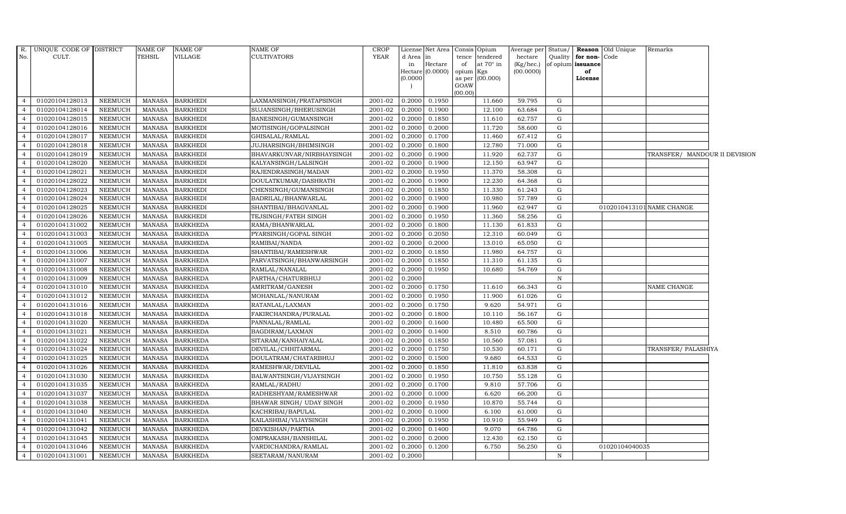| R.             | UNIQUE CODE OF DISTRICT |                | NAME OF       | <b>NAME OF</b>  | NAME OF                   | <b>CROP</b> |          | License Net Area |                 | Consis Opium    | Average per Status/ |             |                   | <b>Reason</b> Old Unique | Remarks                       |  |
|----------------|-------------------------|----------------|---------------|-----------------|---------------------------|-------------|----------|------------------|-----------------|-----------------|---------------------|-------------|-------------------|--------------------------|-------------------------------|--|
| No.            | CULT.                   |                | TEHSIL        | VILLAGE         | <b>CULTIVATORS</b>        | YEAR        | d Area   | in               | tence           | tendered        | hectare             | Quality     | for non-          | Code                     |                               |  |
|                |                         |                |               |                 |                           |             | in       | Hectare          | of              | at 70° in       | (Kg/hec.)           |             | of opium issuance |                          |                               |  |
|                |                         |                |               |                 |                           |             | (0.0000) | Hectare (0.0000) | opium<br>as per | Kgs<br>(00.000) | (00.0000)           |             | of<br>License     |                          |                               |  |
|                |                         |                |               |                 |                           |             |          |                  | GOAW            |                 |                     |             |                   |                          |                               |  |
|                |                         |                |               |                 |                           |             |          |                  | (00.00)         |                 |                     |             |                   |                          |                               |  |
| $\overline{4}$ | 01020104128013          | <b>NEEMUCH</b> | MANASA        | <b>BARKHEDI</b> | LAXMANSINGH/PRATAPSINGH   | 2001-02     | 0.2000   | 0.1950           |                 | 11.660          | 59.795              | G           |                   |                          |                               |  |
| $\overline{4}$ | 01020104128014          | <b>NEEMUCH</b> | <b>MANASA</b> | <b>BARKHEDI</b> | SUJANSINGH/BHERUSINGH     | 2001-02     | 0.2000   | 0.1900           |                 | 12.100          | 63.684              | G           |                   |                          |                               |  |
| $\overline{4}$ | 01020104128015          | <b>NEEMUCH</b> | <b>MANASA</b> | <b>BARKHEDI</b> | BANESINGH/GUMANSINGH      | 2001-02     | 0.2000   | 0.1850           |                 | 11.610          | 62.757              | G           |                   |                          |                               |  |
| $\overline{4}$ | 01020104128016          | <b>NEEMUCH</b> | <b>MANASA</b> | <b>BARKHEDI</b> | MOTISINGH/GOPALSINGH      | 2001-02     | 0.2000   | 0.2000           |                 | 11.720          | 58.600              | G           |                   |                          |                               |  |
| $\overline{4}$ | 01020104128017          | <b>NEEMUCH</b> | <b>MANASA</b> | <b>BARKHEDI</b> | GHISALAL/RAMLAL           | 2001-02     | 0.2000   | 0.1700           |                 | 11.460          | 67.412              | G           |                   |                          |                               |  |
| $\overline{4}$ | 01020104128018          | NEEMUCH        | <b>MANASA</b> | <b>BARKHEDI</b> | JUJHARSINGH/BHIMSINGH     | 2001-02     | 0.2000   | 0.1800           |                 | 12.780          | 71.000              | G           |                   |                          |                               |  |
| $\overline{4}$ | 01020104128019          | <b>NEEMUCH</b> | <b>MANASA</b> | <b>BARKHEDI</b> | BHAVARKUNVAR/NIRBHAYSINGH | 2001-02     | 0.2000   | 0.1900           |                 | 11.920          | 62.737              | G           |                   |                          | TRANSFER/ MANDOUR II DEVISION |  |
| $\overline{4}$ | 01020104128020          | <b>NEEMUCH</b> | <b>MANASA</b> | <b>BARKHEDI</b> | KALYANSINGH/LALSINGH      | 2001-02     | 0.2000   | 0.1900           |                 | 12.150          | 63.947              | G           |                   |                          |                               |  |
| $\overline{4}$ | 01020104128021          | <b>NEEMUCH</b> | <b>MANASA</b> | <b>BARKHEDI</b> | RAJENDRASINGH/MADAN       | 2001-02     | 0.2000   | 0.1950           |                 | 11.370          | 58.308              | G           |                   |                          |                               |  |
| $\overline{4}$ | 01020104128022          | <b>NEEMUCH</b> | <b>MANASA</b> | <b>BARKHEDI</b> | DOULATKUMAR/DASHRATH      | 2001-02     | 0.2000   | 0.1900           |                 | 12.230          | 64.368              | G           |                   |                          |                               |  |
| $\overline{4}$ | 01020104128023          | NEEMUCH        | <b>MANASA</b> | <b>BARKHEDI</b> | CHENSINGH/GUMANSINGH      | 2001-02     | 0.2000   | 0.1850           |                 | 11.330          | 61.243              | G           |                   |                          |                               |  |
| $\overline{4}$ | 01020104128024          | <b>NEEMUCH</b> | <b>MANASA</b> | <b>BARKHEDI</b> | BADRILAL/BHANWARLAL       | 2001-02     | 0.2000   | 0.1900           |                 | 10.980          | 57.789              | G           |                   |                          |                               |  |
| $\overline{4}$ | 01020104128025          | <b>NEEMUCH</b> | <b>MANASA</b> | <b>BARKHEDI</b> | SHANTIBAI/BHAGVANLAL      | 2001-02     | 0.2000   | 0.1900           |                 | 11.960          | 62.947              | G           |                   |                          | 0102010413101 NAME CHANGE     |  |
| $\overline{4}$ | 01020104128026          | <b>NEEMUCH</b> | <b>MANASA</b> | <b>BARKHEDI</b> | TEJSINGH/FATEH SINGH      | 2001-02     | 0.2000   | 0.1950           |                 | 11.360          | 58.256              | G           |                   |                          |                               |  |
| $\overline{4}$ | 01020104131002          | NEEMUCH        | <b>MANASA</b> | <b>BARKHEDA</b> | RAMA/BHANWARLAL           | 2001-02     | 0.2000   | 0.1800           |                 | 11.130          | 61.833              | G           |                   |                          |                               |  |
| $\overline{4}$ | 01020104131003          | <b>NEEMUCH</b> | <b>MANASA</b> | <b>BARKHEDA</b> | PYARSINGH/GOPAL SINGH     | 2001-02     | 0.2000   | 0.2050           |                 | 12.310          | 60.049              | G           |                   |                          |                               |  |
| $\overline{4}$ | 01020104131005          | NEEMUCH        | <b>MANASA</b> | <b>BARKHEDA</b> | RAMIBAI/NANDA             | 2001-02     | 0.2000   | 0.2000           |                 | 13.010          | 65.050              | G           |                   |                          |                               |  |
| $\overline{4}$ | 01020104131006          | NEEMUCH        | <b>MANASA</b> | <b>BARKHEDA</b> | SHANTIBAI/RAMESHWAR       | 2001-02     | 0.2000   | 0.1850           |                 | 11.980          | 64.757              | G           |                   |                          |                               |  |
| $\overline{4}$ | 01020104131007          | <b>NEEMUCH</b> | <b>MANASA</b> | <b>BARKHEDA</b> | PARVATSINGH/BHANWARSINGH  | 2001-02     | 0.2000   | 0.1850           |                 | 11.310          | 61.135              | G           |                   |                          |                               |  |
| $\overline{4}$ | 01020104131008          | <b>NEEMUCH</b> | <b>MANASA</b> | <b>BARKHEDA</b> | RAMLAL/NANALAL            | 2001-02     | 0.2000   | 0.1950           |                 | 10.680          | 54.769              | G           |                   |                          |                               |  |
| $\overline{4}$ | 01020104131009          | NEEMUCH        | <b>MANASA</b> | <b>BARKHEDA</b> | PARTHA/CHATURBHUJ         | 2001-02     | 0.2000   |                  |                 |                 |                     | N           |                   |                          |                               |  |
| $\overline{4}$ | 01020104131010          | <b>NEEMUCH</b> | <b>MANASA</b> | <b>BARKHEDA</b> | AMRITRAM/GANESH           | 2001-02     | 0.2000   | 0.1750           |                 | 11.610          | 66.343              | G           |                   |                          | NAME CHANGE                   |  |
| $\overline{4}$ | 01020104131012          | NEEMUCH        | <b>MANASA</b> | <b>BARKHEDA</b> | MOHANLAL/NANURAM          | 2001-02     | 0.2000   | 0.1950           |                 | 11.900          | 61.026              | G           |                   |                          |                               |  |
| $\overline{4}$ | 01020104131016          | NEEMUCH        | <b>MANASA</b> | <b>BARKHEDA</b> | RATANLAL/LAXMAN           | 2001-02     | 0.2000   | 0.1750           |                 | 9.620           | 54.971              | G           |                   |                          |                               |  |
| $\overline{4}$ | 01020104131018          | <b>NEEMUCH</b> | <b>MANASA</b> | <b>BARKHEDA</b> | FAKIRCHANDRA/PURALAL      | 2001-02     | 0.2000   | 0.1800           |                 | 10.110          | 56.167              | G           |                   |                          |                               |  |
| $\overline{4}$ | 01020104131020          | <b>NEEMUCH</b> | <b>MANASA</b> | <b>BARKHEDA</b> | PANNALAL/RAMLAL           | 2001-02     | 0.2000   | 0.1600           |                 | 10.480          | 65.500              | G           |                   |                          |                               |  |
| $\overline{4}$ | 01020104131021          | NEEMUCH        | <b>MANASA</b> | <b>BARKHEDA</b> | BAGDIRAM/LAXMAN           | 2001-02     | 0.2000   | 0.1400           |                 | 8.510           | 60.786              | G           |                   |                          |                               |  |
| $\overline{4}$ | 01020104131022          | <b>NEEMUCH</b> | <b>MANASA</b> | <b>BARKHEDA</b> | SITARAM/KANHAIYALAL       | 2001-02     | 0.2000   | 0.1850           |                 | 10.560          | 57.081              | G           |                   |                          |                               |  |
| $\overline{4}$ | 01020104131024          | <b>NEEMUCH</b> | <b>MANASA</b> | <b>BARKHEDA</b> | DEVILAL/CHHITARMAL        | 2001-02     | 0.2000   | 0.1750           |                 | 10.530          | 60.171              | G           |                   |                          | TRANSFER/PALASHIYA            |  |
| $\overline{4}$ | 01020104131025          | NEEMUCH        | <b>MANASA</b> | <b>BARKHEDA</b> | DOULATRAM/CHATARBHUJ      | 2001-02     | 0.2000   | 0.1500           |                 | 9.680           | 64.533              | G           |                   |                          |                               |  |
| $\overline{4}$ | 01020104131026          | <b>NEEMUCH</b> | <b>MANASA</b> | <b>BARKHEDA</b> | RAMESHWAR/DEVILAL         | 2001-02     | 0.2000   | 0.1850           |                 | 11.810          | 63.838              | G           |                   |                          |                               |  |
| $\overline{4}$ | 01020104131030          | <b>NEEMUCH</b> | <b>MANASA</b> | <b>BARKHEDA</b> | BALWANTSINGH/VIJAYSINGH   | 2001-02     | 0.2000   | 0.1950           |                 | 10.750          | 55.128              | G           |                   |                          |                               |  |
| $\overline{4}$ | 01020104131035          | NEEMUCH        | <b>MANASA</b> | <b>BARKHEDA</b> | RAMLAL/RADHU              | 2001-02     | 0.2000   | 0.1700           |                 | 9.810           | 57.706              | G           |                   |                          |                               |  |
| $\overline{4}$ | 01020104131037          | <b>NEEMUCH</b> | <b>MANASA</b> | <b>BARKHEDA</b> | RADHESHYAM/RAMESHWAR      | 2001-02     | 0.2000   | 0.1000           |                 | 6.620           | 66.200              | G           |                   |                          |                               |  |
| $\overline{4}$ | 01020104131038          | <b>NEEMUCH</b> | <b>MANASA</b> | <b>BARKHEDA</b> | BHAWAR SINGH / UDAY SINGH | 2001-02     | 0.2000   | 0.1950           |                 | 10.870          | 55.744              | G           |                   |                          |                               |  |
| $\overline{4}$ | 01020104131040          | <b>NEEMUCH</b> | <b>MANASA</b> | <b>BARKHEDA</b> | KACHRIBAI/BAPULAL         | 2001-02     | 0.2000   | 0.1000           |                 | 6.100           | 61.000              | G           |                   |                          |                               |  |
| $\overline{4}$ | 01020104131041          | NEEMUCH        | <b>MANASA</b> | <b>BARKHEDA</b> | KAILASHBAI/VIJAYSINGH     | 2001-02     | 0.2000   | 0.1950           |                 | 10.910          | 55.949              | G           |                   |                          |                               |  |
| $\overline{4}$ | 01020104131042          | NEEMUCH        | <b>MANASA</b> | <b>BARKHEDA</b> | DEVKISHAN/PARTHA          | 2001-02     | 0.2000   | 0.1400           |                 | 9.070           | 64.786              | G           |                   |                          |                               |  |
| $\overline{4}$ | 01020104131045          | <b>NEEMUCH</b> | <b>MANASA</b> | <b>BARKHEDA</b> | OMPRAKASH/BANSHILAL       | 2001-02     | 0.2000   | 0.2000           |                 | 12.430          | 62.150              | G           |                   |                          |                               |  |
| $\overline{4}$ | 01020104131046          | <b>NEEMUCH</b> | <b>MANASA</b> | <b>BARKHEDA</b> | VARDICHANDRA/RAMLAL       | 2001-02     | 0.2000   | 0.1200           |                 | 6.750           | 56.250              | G           |                   | 01020104040035           |                               |  |
| $\overline{4}$ | 01020104131001          | <b>NEEMUCH</b> | <b>MANASA</b> | <b>BARKHEDA</b> | SEETARAM/NANURAM          | 2001-02     | 0.2000   |                  |                 |                 |                     | $\mathbf N$ |                   |                          |                               |  |
|                |                         |                |               |                 |                           |             |          |                  |                 |                 |                     |             |                   |                          |                               |  |